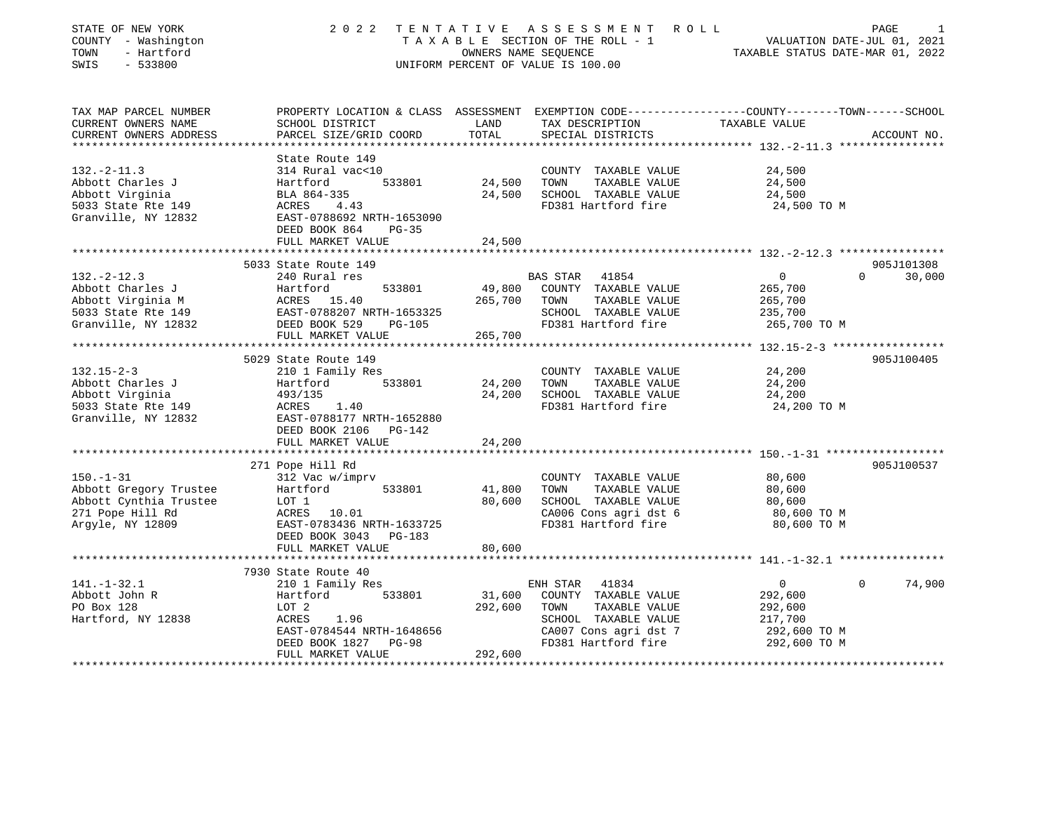| STATE OF NEW YORK<br>COUNTY - Washington<br>- Hartford<br>TOWN<br>SWIS<br>$-533800$ | 2 0 2 2                                                                                                             | OWNERS NAME SEQUENCE | TENTATIVE ASSESSMENT ROLL<br>TAXABLE SECTION OF THE ROLL - 1<br>UNIFORM PERCENT OF VALUE IS 100.00 | VALUATION DATE-JUL 01, 2021<br>TAXABLE STATUS DATE-MAR 01, 2022 | PAGE               |
|-------------------------------------------------------------------------------------|---------------------------------------------------------------------------------------------------------------------|----------------------|----------------------------------------------------------------------------------------------------|-----------------------------------------------------------------|--------------------|
| TAX MAP PARCEL NUMBER<br>CURRENT OWNERS NAME                                        | PROPERTY LOCATION & CLASS ASSESSMENT EXEMPTION CODE----------------COUNTY-------TOWN------SCHOOL<br>SCHOOL DISTRICT | LAND                 | TAX DESCRIPTION                                                                                    | TAXABLE VALUE                                                   |                    |
| CURRENT OWNERS ADDRESS                                                              | PARCEL SIZE/GRID COORD                                                                                              | TOTAL                | SPECIAL DISTRICTS                                                                                  |                                                                 | ACCOUNT NO.        |
|                                                                                     |                                                                                                                     |                      |                                                                                                    |                                                                 |                    |
|                                                                                     | State Route 149                                                                                                     |                      |                                                                                                    |                                                                 |                    |
| $132. - 2 - 11.3$                                                                   | 314 Rural vac<10                                                                                                    |                      | COUNTY TAXABLE VALUE                                                                               | 24,500                                                          |                    |
| Abbott Charles J                                                                    | Hartford<br>533801                                                                                                  | 24,500               | TOWN<br>TAXABLE VALUE                                                                              | 24,500                                                          |                    |
| Abbott Virginia                                                                     | BLA 864-335                                                                                                         | 24,500               | SCHOOL TAXABLE VALUE                                                                               | 24,500                                                          |                    |
| 5033 State Rte 149<br>Granville, NY 12832                                           | ACRES<br>4.43<br>EAST-0788692 NRTH-1653090<br>DEED BOOK 864<br>$PG-35$                                              |                      | FD381 Hartford fire                                                                                | 24,500 TO M                                                     |                    |
|                                                                                     | FULL MARKET VALUE                                                                                                   | 24,500               |                                                                                                    |                                                                 |                    |
|                                                                                     |                                                                                                                     |                      |                                                                                                    |                                                                 |                    |
|                                                                                     | 5033 State Route 149                                                                                                |                      |                                                                                                    |                                                                 | 905J101308         |
| $132. - 2 - 12.3$                                                                   | 240 Rural res                                                                                                       |                      | BAS STAR 41854                                                                                     | $\overline{0}$                                                  | $\Omega$<br>30,000 |
| Abbott Charles J                                                                    | Hartford<br>533801                                                                                                  | 49,800               | COUNTY TAXABLE VALUE                                                                               | 265,700                                                         |                    |
| Abbott Virginia M                                                                   |                                                                                                                     | 265,700              | TOWN<br>TAXABLE VALUE                                                                              | 265,700                                                         |                    |
| 5033 State Rte 149                                                                  | ACRES 15.40<br>EAST-0788207 NRTH-1653325                                                                            |                      | SCHOOL TAXABLE VALUE                                                                               | 235,700                                                         |                    |
| Granville, NY 12832                                                                 | DEED BOOK 529<br>$PG-105$<br>FULL MARKET VALUE                                                                      | 265,700              | FD381 Hartford fire                                                                                | 265,700 TO M                                                    |                    |
|                                                                                     | *****************************                                                                                       |                      |                                                                                                    |                                                                 |                    |
|                                                                                     | 5029 State Route 149                                                                                                |                      |                                                                                                    |                                                                 | 905J100405         |
| $132.15 - 2 - 3$                                                                    | 210 1 Family Res                                                                                                    |                      | COUNTY TAXABLE VALUE                                                                               | 24,200                                                          |                    |
| Abbott Charles J                                                                    | 533801<br>Hartford                                                                                                  | 24,200               | TOWN<br>TAXABLE VALUE                                                                              | 24,200                                                          |                    |
| Abbott Virginia                                                                     | 493/135                                                                                                             | 24,200               | SCHOOL TAXABLE VALUE                                                                               | 24,200                                                          |                    |
| 5033 State Rte 149                                                                  | ACRES 1.40                                                                                                          |                      | FD381 Hartford fire                                                                                | 24,200 TO M                                                     |                    |
| Granville, NY 12832                                                                 | EAST-0788177 NRTH-1652880<br>DEED BOOK 2106 PG-142                                                                  |                      |                                                                                                    |                                                                 |                    |
|                                                                                     | FULL MARKET VALUE                                                                                                   | 24,200               |                                                                                                    |                                                                 |                    |
|                                                                                     | 271 Pope Hill Rd                                                                                                    |                      |                                                                                                    |                                                                 | 905J100537         |
| $150. - 1 - 31$                                                                     | 312 Vac w/imprv                                                                                                     |                      | COUNTY TAXABLE VALUE                                                                               | 80,600                                                          |                    |
| Abbott Gregory Trustee                                                              | 533801<br>Hartford                                                                                                  | 41,800               | TOWN<br>TAXABLE VALUE                                                                              | 80,600                                                          |                    |
| Abbott Cynthia Trustee                                                              | LOT 1                                                                                                               | 80,600               | SCHOOL TAXABLE VALUE                                                                               | 80,600                                                          |                    |
| 271 Pope Hill Rd                                                                    | ACRES 10.01                                                                                                         |                      | CA006 Cons agri dst 6                                                                              | 80,600 TO M                                                     |                    |
| Argyle, NY 12809                                                                    | EAST-0783436 NRTH-1633725                                                                                           |                      | FD381 Hartford fire                                                                                | 80,600 TO M                                                     |                    |
|                                                                                     | DEED BOOK 3043 PG-183                                                                                               |                      |                                                                                                    |                                                                 |                    |
|                                                                                     | FULL MARKET VALUE                                                                                                   | 80,600               |                                                                                                    |                                                                 |                    |
|                                                                                     | 7930 State Route 40                                                                                                 |                      |                                                                                                    |                                                                 |                    |
| $141. - 1 - 32.1$                                                                   | 210 1 Family Res                                                                                                    |                      | ENH STAR 41834                                                                                     | $\Omega$<br>$\Omega$                                            | 74,900             |
| Abbott John R                                                                       | 533801<br>Hartford                                                                                                  | 31,600               | COUNTY TAXABLE VALUE                                                                               | 292,600                                                         |                    |
| PO Box 128                                                                          | LOT 2                                                                                                               | 292,600              | TAXABLE VALUE<br>TOWN                                                                              | 292,600                                                         |                    |
| Hartford, NY 12838                                                                  | ACRES<br>1.96                                                                                                       |                      | SCHOOL TAXABLE VALUE                                                                               | 217,700                                                         |                    |
|                                                                                     | EAST-0784544 NRTH-1648656                                                                                           |                      | CA007 Cons agri dst 7                                                                              | 292,600 TO M                                                    |                    |
|                                                                                     | DEED BOOK 1827 PG-98                                                                                                |                      | FD381 Hartford fire                                                                                | 292,600 TO M                                                    |                    |
|                                                                                     | FULL MARKET VALUE                                                                                                   | 292,600              |                                                                                                    |                                                                 |                    |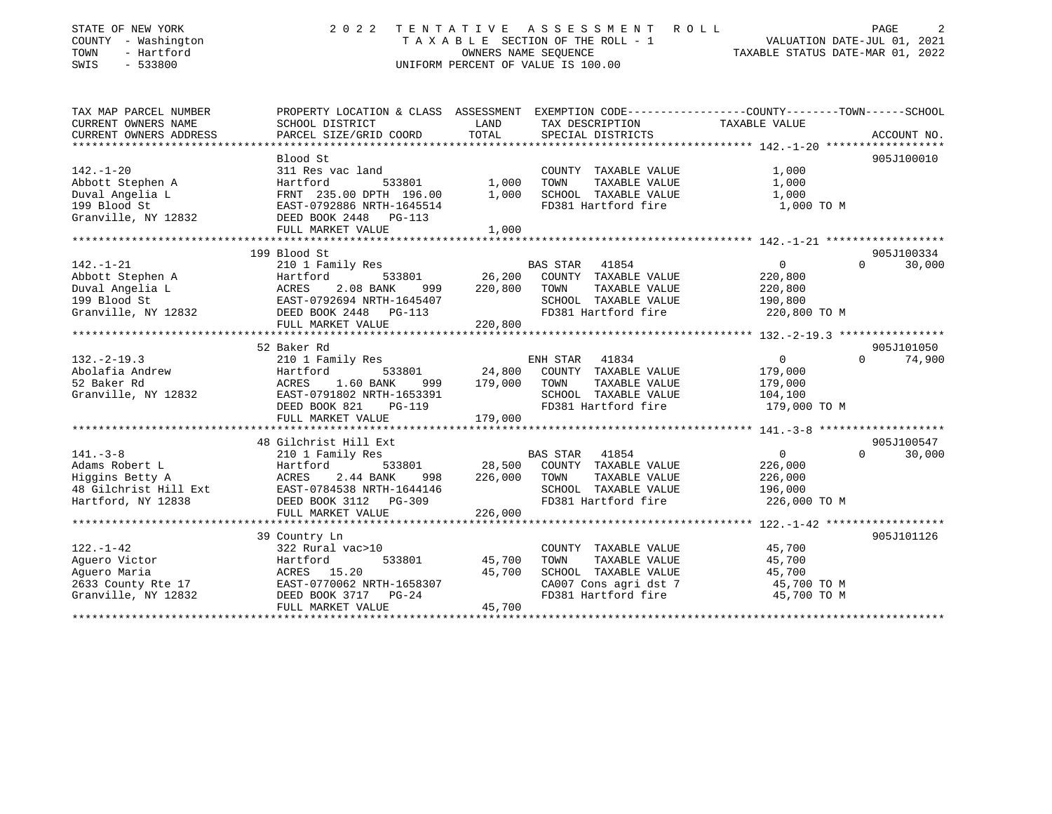| STATE OF NEW YORK<br>COUNTY - Washington<br>TOWN<br>- Hartford<br>SWIS<br>$-533800$                | 2 0 2 2                                                                                                                           |                            | TENTATIVE ASSESSMENT ROLL<br>TAXABLE SECTION OF THE ROLL - 1<br>OWNERS NAME SEQUENCE - 1<br>OWNERS NAME STATUS DATE-JUL 01, 2021<br>TAXABLE STATUS DATE-MAR 01, 2022<br>UNIFORM PERCENT OF VALUE IS 100.00 |                                                                                | PAGE<br>2            |
|----------------------------------------------------------------------------------------------------|-----------------------------------------------------------------------------------------------------------------------------------|----------------------------|------------------------------------------------------------------------------------------------------------------------------------------------------------------------------------------------------------|--------------------------------------------------------------------------------|----------------------|
| TAX MAP PARCEL NUMBER<br>CURRENT OWNERS NAME                                                       | PROPERTY LOCATION & CLASS ASSESSMENT EXEMPTION CODE---------------COUNTY-------TOWN-----SCHOOL<br>SCHOOL DISTRICT                 | LAND                       | TAX DESCRIPTION                                                                                                                                                                                            | TAXABLE VALUE                                                                  |                      |
| CURRENT OWNERS ADDRESS                                                                             | PARCEL SIZE/GRID COORD                                                                                                            | TOTAL                      | SPECIAL DISTRICTS                                                                                                                                                                                          |                                                                                | ACCOUNT NO.          |
|                                                                                                    |                                                                                                                                   |                            |                                                                                                                                                                                                            |                                                                                |                      |
| $142. - 1 - 20$<br>Abbott Stephen A<br>Duval Angelia L<br>199 Blood St<br>Granville, NY 12832      | Blood St<br>311 Res vac land<br>Hartford<br>FRNT 235.00 DPTH 196.00<br>EAST-0792886 NRTH-1645514<br>DEED BOOK 2448 PG-113         | 533801 1,000<br>1,000      | COUNTY TAXABLE VALUE<br>TOWN<br>TAXABLE VALUE<br>SCHOOL TAXABLE VALUE<br>FD381 Hartford fire                                                                                                               | 1,000<br>1,000<br>1,000<br>1,000 TO M                                          | 905J100010           |
|                                                                                                    | FULL MARKET VALUE                                                                                                                 | 1,000                      |                                                                                                                                                                                                            |                                                                                |                      |
|                                                                                                    | 199 Blood St                                                                                                                      |                            |                                                                                                                                                                                                            |                                                                                | 905J100334           |
| $142. - 1 - 21$<br>Abbott Stephen A<br>Duval Angelia L<br>199 Blood St<br>Granville, NY 12832      | 210 1 Family Res<br>Hartford<br>533801<br>2.08 BANK<br>ACRES<br>999 — 1<br>EAST-0792694 NRTH-1645407<br>DEED BOOK 2448 PG-113     | 26,200<br>220,800          | BAS STAR 41854<br>COUNTY TAXABLE VALUE<br>TAXABLE VALUE<br>TOWN<br>SCHOOL TAXABLE VALUE<br>FD381 Hartford fire                                                                                             | 0<br>220,800<br>220,800<br>190,800<br>220,800 TO M                             | $\Omega$<br>30,000   |
|                                                                                                    | FULL MARKET VALUE                                                                                                                 | 220,800                    |                                                                                                                                                                                                            |                                                                                |                      |
|                                                                                                    | 52 Baker Rd                                                                                                                       |                            |                                                                                                                                                                                                            |                                                                                | 905J101050           |
| $132. -2 - 19.3$<br>Abolafia Andrew<br>52 Baker Rd<br>Granville, NY 12832                          | 210 1 Family Res<br>Hartford<br>533801<br>ACRES 1.60 BANK<br>EAST-0791802 NRTH-1653391<br>DEED BOOK 821<br>PG-119                 | 24,800<br>999 179,000 TOWN | ENH STAR 41834<br>COUNTY TAXABLE VALUE<br>TAXABLE VALUE<br>SCHOOL TAXABLE VALUE<br>FD381 Hartford fire                                                                                                     | $\overline{0}$<br>$\Omega$<br>179,000<br>179,000<br>104,100<br>179,000 TO M    | 74,900               |
|                                                                                                    | FULL MARKET VALUE                                                                                                                 | 179,000                    |                                                                                                                                                                                                            |                                                                                |                      |
|                                                                                                    |                                                                                                                                   |                            |                                                                                                                                                                                                            |                                                                                |                      |
| $141. - 3 - 8$<br>Adams Robert L<br>Higgins Betty A<br>48 Gilchrist Hill Ext<br>Hartford, NY 12838 | 48 Gilchrist Hill Ext<br>210 1 Family Res<br>Hartford<br>2.44 BANK<br>ACRES<br>EAST-0784538 NRTH-1644146<br>DEED BOOK 3112 PG-309 | 998 226,000 TOWN           | BAS STAR 41854<br>533801 28,500 COUNTY TAXABLE VALUE<br>TAXABLE VALUE<br>SCHOOL TAXABLE VALUE<br>FD381 Hartford fire                                                                                       | $\Omega$<br>$0 \qquad \qquad$<br>226,000<br>226,000<br>196,000<br>226,000 TO M | 905J100547<br>30,000 |
|                                                                                                    | FULL MARKET VALUE                                                                                                                 | 226,000                    |                                                                                                                                                                                                            |                                                                                |                      |
|                                                                                                    | 39 Country Ln                                                                                                                     |                            |                                                                                                                                                                                                            |                                                                                | 905J101126           |
| $122. - 1 - 42$<br>Aquero Victor<br>Aquero Maria<br>2633 County Rte 17<br>Granville, NY 12832      | 322 Rural vac>10<br>Hartford<br>533801<br>ACRES 15.20<br>EAST-0770062 NRTH-1658307<br>DEED BOOK 3717 PG-24<br>FULL MARKET VALUE   | 45,700<br>45,700<br>45.700 | COUNTY TAXABLE VALUE<br>TAXABLE VALUE<br>TOWN<br>SCHOOL TAXABLE VALUE<br>CA007 Cons agri dst 7<br>FD381 Hartford fire                                                                                      | 45,700<br>45,700<br>45,700<br>45,700 TO M<br>45,700 TO M                       |                      |

FULL MARKET VALUE 45,700 \*\*\*\*\*\*\*\*\*\*\*\*\*\*\*\*\*\*\*\*\*\*\*\*\*\*\*\*\*\*\*\*\*\*\*\*\*\*\*\*\*\*\*\*\*\*\*\*\*\*\*\*\*\*\*\*\*\*\*\*\*\*\*\*\*\*\*\*\*\*\*\*\*\*\*\*\*\*\*\*\*\*\*\*\*\*\*\*\*\*\*\*\*\*\*\*\*\*\*\*\*\*\*\*\*\*\*\*\*\*\*\*\*\*\*\*\*\*\*\*\*\*\*\*\*\*\*\*\*\*\*\*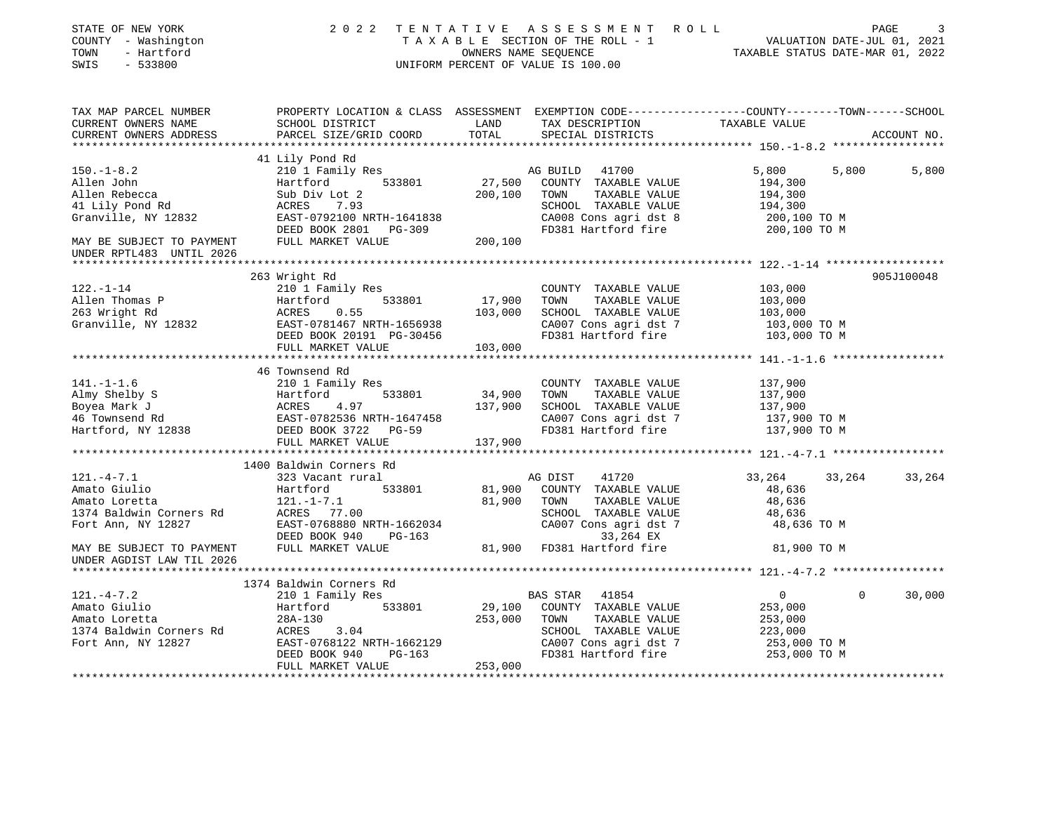| STATE OF NEW YORK<br>COUNTY - Washington<br>- Hartford<br>TOWN<br>SWIS<br>$-533800$                                                                                                                                                                                                                                                   | 2 0 2 2                                                                                                                                                                             |                    | TENTATIVE ASSESSMENT ROLL<br>TAXABLE SECTION OF THE ROLL - 1<br>TAXABLE SECTION OF THE ROLL - 1<br>OWNERS NAME SEQUENCE TAXABLE STATUS DATE-MAR 01, 2022<br>UNIFORM PERCENT OF VALUE IS 100.00 |                                         |          | PAGE<br>3   |
|---------------------------------------------------------------------------------------------------------------------------------------------------------------------------------------------------------------------------------------------------------------------------------------------------------------------------------------|-------------------------------------------------------------------------------------------------------------------------------------------------------------------------------------|--------------------|------------------------------------------------------------------------------------------------------------------------------------------------------------------------------------------------|-----------------------------------------|----------|-------------|
| TAX MAP PARCEL NUMBER THE PROPERTY LOCATION & CLASS ASSESSMENT EXEMPTION CODE--------------COUNTY-------TOWN------SCHOOL<br>CURRENT OWNERS NAME                                                                                                                                                                                       | SCHOOL DISTRICT LAND                                                                                                                                                                |                    | TAX DESCRIPTION                                                                                                                                                                                | TAXABLE VALUE                           |          |             |
| CURRENT OWNERS ADDRESS                                                                                                                                                                                                                                                                                                                | PARCEL SIZE/GRID COORD                                                                                                                                                              | TOTAL              | SPECIAL DISTRICTS                                                                                                                                                                              |                                         |          | ACCOUNT NO. |
|                                                                                                                                                                                                                                                                                                                                       | 41 Lily Pond Rd                                                                                                                                                                     |                    |                                                                                                                                                                                                |                                         |          |             |
| $150. - 1 - 8.2$<br>Allen John<br>Allen Rebecca                                                                                                                                                                                                                                                                                       | 210 1 Family Res                                                                                                                                                                    | 27,500<br>200,100  | 41700<br>AG BUILD<br>COUNTY TAXABLE VALUE<br>TOWN<br>TAXABLE VALUE                                                                                                                             | 5,800<br>194,300<br>194,300             | 5,800    | 5,800       |
| 41 Lily Pond Rd<br>Granville, NY 12832                                                                                                                                                                                                                                                                                                | Hartford 533801<br>Sub Div Lot 2<br>ACRES 7.93<br>EAST-0792100 NRTH-1641838<br>DEED BOOK 2801 PG-309<br>DEED BOOK 2801 PG-309<br>DEED BOOK 2801 PG-309<br>FULL MARKET VALUE 200,100 |                    | SCHOOL TAXABLE VALUE<br>CA008 Cons agri dst 8<br>FD381 Hartford fire                                                                                                                           | 194,300<br>200,100 ТО М<br>200,100 TO M |          |             |
| MAY BE SUBJECT TO PAYMENT<br>UNDER RPTL483 UNTIL 2026                                                                                                                                                                                                                                                                                 |                                                                                                                                                                                     |                    |                                                                                                                                                                                                |                                         |          |             |
|                                                                                                                                                                                                                                                                                                                                       |                                                                                                                                                                                     |                    |                                                                                                                                                                                                |                                         |          |             |
|                                                                                                                                                                                                                                                                                                                                       | 263 Wright Rd                                                                                                                                                                       |                    |                                                                                                                                                                                                |                                         |          | 905J100048  |
| $122. - 1 - 14$                                                                                                                                                                                                                                                                                                                       | 210 1 Family Res                                                                                                                                                                    | 17,900             | COUNTY TAXABLE VALUE<br>TOWN<br>TAXABLE VALUE                                                                                                                                                  | 103,000<br>103,000                      |          |             |
| Allen Thomas P<br>263 Wright Rd<br>Granville, NY 12832                                                                                                                                                                                                                                                                                | Hartford 533801<br>ACRES 0.55<br>EAST-0781467 NRTH-1656938<br>DEED BOOK 20191 PG-30456                                                                                              | 103,000            | SCHOOL TAXABLE VALUE                                                                                                                                                                           | 103,000                                 |          |             |
|                                                                                                                                                                                                                                                                                                                                       |                                                                                                                                                                                     |                    | CA007 Cons agri dst 7                                                                                                                                                                          | 103,000 TO M                            |          |             |
|                                                                                                                                                                                                                                                                                                                                       | DEED BOOK 20191 PG-30456                                                                                                                                                            |                    | FD381 Hartford fire                                                                                                                                                                            | 103,000 TO M                            |          |             |
|                                                                                                                                                                                                                                                                                                                                       | FULL MARKET VALUE                                                                                                                                                                   | G-30456<br>103,000 |                                                                                                                                                                                                |                                         |          |             |
|                                                                                                                                                                                                                                                                                                                                       |                                                                                                                                                                                     |                    |                                                                                                                                                                                                |                                         |          |             |
|                                                                                                                                                                                                                                                                                                                                       | 46 Townsend Rd                                                                                                                                                                      |                    |                                                                                                                                                                                                |                                         |          |             |
| $141. - 1 - 1.6$                                                                                                                                                                                                                                                                                                                      | 210 1 Family Res                                                                                                                                                                    |                    | COUNTY TAXABLE VALUE                                                                                                                                                                           | 137,900                                 |          |             |
|                                                                                                                                                                                                                                                                                                                                       |                                                                                                                                                                                     | 34,900             | TAXABLE VALUE<br>TOWN                                                                                                                                                                          | 137,900                                 |          |             |
|                                                                                                                                                                                                                                                                                                                                       |                                                                                                                                                                                     | 137,900            | SCHOOL TAXABLE VALUE                                                                                                                                                                           | 137,900                                 |          |             |
|                                                                                                                                                                                                                                                                                                                                       |                                                                                                                                                                                     |                    | CA007 Cons agri dst 7                                                                                                                                                                          | 137,900 TO M                            |          |             |
| 141.-1-1.6<br>Almy Shelby S<br>Boyea Mark J<br>46 Townsend Rd<br>Hartford, NY 12838<br>$\frac{10 \text{ L} \text{ ramity}}{265}$<br>$\frac{10 \text{ L} \text{ ramity}}{4.97}$<br>$\frac{10 \text{ L}}{33801}$<br>$\frac{10 \text{ L}}{322}$<br>$\frac{10 \text{ L}}{322}$<br>$\frac{10 \text{ L}}{322}$<br>$\frac{10 \text{ L}}{221$ |                                                                                                                                                                                     |                    | FD381 Hartford fire                                                                                                                                                                            | 137,900 TO M                            |          |             |
|                                                                                                                                                                                                                                                                                                                                       | FULL MARKET VALUE                                                                                                                                                                   | 137,900            |                                                                                                                                                                                                |                                         |          |             |
|                                                                                                                                                                                                                                                                                                                                       | 1400 Baldwin Corners Rd                                                                                                                                                             |                    |                                                                                                                                                                                                |                                         |          |             |
| $121. - 4 - 7.1$                                                                                                                                                                                                                                                                                                                      | 323 Vacant rural                                                                                                                                                                    |                    | 41720<br>AG DIST                                                                                                                                                                               | 33,264                                  | 33,264   | 33,264      |
| Amato Giulio                                                                                                                                                                                                                                                                                                                          | 533801                                                                                                                                                                              | 81,900             | COUNTY TAXABLE VALUE                                                                                                                                                                           | 48,636                                  |          |             |
| Amato Loretta                                                                                                                                                                                                                                                                                                                         | Hartford<br>121.-1-7.1                                                                                                                                                              | 81,900             | TOWN<br>TAXABLE VALUE                                                                                                                                                                          | 48,636                                  |          |             |
|                                                                                                                                                                                                                                                                                                                                       |                                                                                                                                                                                     |                    | SCHOOL TAXABLE VALUE                                                                                                                                                                           | 48,636                                  |          |             |
| 1374 Baldwin Corners Rd<br>Fort Ann, NY 12827<br>MAY BE SUBJECT TO PAYMENT<br>MAY BE SUBJECT TO PAYMENT<br>FULL MARKET VALUE                                                                                                                                                                                                          |                                                                                                                                                                                     |                    | CA007 Cons agri dst 7<br>33,264 EX                                                                                                                                                             | 48,636 TO M                             |          |             |
| UNDER AGDIST LAW TIL 2026                                                                                                                                                                                                                                                                                                             |                                                                                                                                                                                     |                    | 81,900 FD381 Hartford fire                                                                                                                                                                     | 81,900 TO M                             |          |             |
|                                                                                                                                                                                                                                                                                                                                       |                                                                                                                                                                                     |                    |                                                                                                                                                                                                |                                         |          |             |
|                                                                                                                                                                                                                                                                                                                                       | 1374 Baldwin Corners Rd                                                                                                                                                             |                    |                                                                                                                                                                                                |                                         |          |             |
| $121. -4 - 7.2$                                                                                                                                                                                                                                                                                                                       | 210 1 Family Res                                                                                                                                                                    |                    | BAS STAR<br>41854                                                                                                                                                                              | $\overline{0}$                          | $\Omega$ | 30,000      |
| Amato Giulio                                                                                                                                                                                                                                                                                                                          | 533801<br>Hartford                                                                                                                                                                  | 29,100             | COUNTY TAXABLE VALUE                                                                                                                                                                           | 253,000                                 |          |             |
| Amato Loretta                                                                                                                                                                                                                                                                                                                         | 28A-130                                                                                                                                                                             | 253,000            | TOWN<br>TAXABLE VALUE                                                                                                                                                                          | 253,000                                 |          |             |
| 1374 Baldwin Corners Rd                                                                                                                                                                                                                                                                                                               | -<br>ACRES 3.04<br>EAST-0768122 NRTH-1662129                                                                                                                                        |                    | SCHOOL TAXABLE VALUE<br>CA007 Cons agri dst 7                                                                                                                                                  | 223,000                                 |          |             |
| Fort Ann, NY 12827                                                                                                                                                                                                                                                                                                                    | DEED BOOK 940<br>PG-163<br>FULL MARKET VALUE                                                                                                                                        | 253,000            | FD381 Hartford fire                                                                                                                                                                            | 253,000 ТО М<br>253,000 TO M            |          |             |
|                                                                                                                                                                                                                                                                                                                                       |                                                                                                                                                                                     |                    |                                                                                                                                                                                                |                                         |          |             |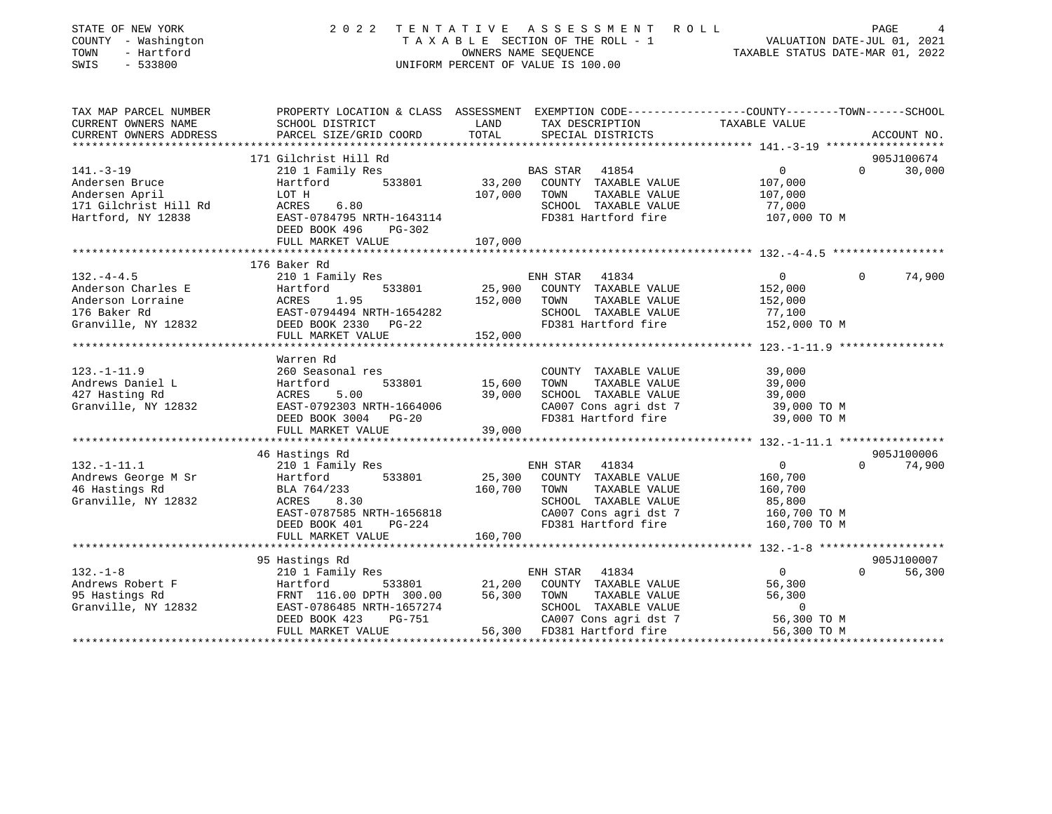| STATE OF NEW YORK<br>COUNTY - Washington<br>- Hartford<br>TOWN<br>$-533800$<br>SWIS | 2 0 2 2                                           | TENTATIVE ASSESSMENT<br>ROLL<br>TAXABLE SECTION OF THE ROLL - 1<br>OWNERS NAME SEQUENCE<br>UNIFORM PERCENT OF VALUE IS 100.00 | PAGE<br>4<br>VALUATION DATE-JUL 01, 2021<br>TAXABLE STATUS DATE-MAR 01, 2022 |
|-------------------------------------------------------------------------------------|---------------------------------------------------|-------------------------------------------------------------------------------------------------------------------------------|------------------------------------------------------------------------------|
| TAX MAP PARCEL NUMBER                                                               |                                                   | PROPERTY LOCATION & CLASS ASSESSMENT EXEMPTION CODE---------------COUNTY-------TOWN------SCHOOL                               |                                                                              |
| CURRENT OWNERS NAME<br>CURRENT OWNERS ADDRESS                                       | SCHOOL DISTRICT<br>PARCEL SIZE/GRID COORD         | LAND<br>TAX DESCRIPTION<br>TOTAL<br>SPECIAL DISTRICTS                                                                         | TAXABLE VALUE<br>ACCOUNT NO.                                                 |
|                                                                                     |                                                   |                                                                                                                               |                                                                              |
|                                                                                     | 171 Gilchrist Hill Rd                             |                                                                                                                               | 905J100674                                                                   |
| $141. - 3 - 19$                                                                     | 210 1 Family Res                                  | BAS STAR<br>41854                                                                                                             | $\overline{0}$<br>$\Omega$<br>30,000                                         |
| Andersen Bruce                                                                      | 533801<br>Hartford                                | 33,200<br>COUNTY TAXABLE VALUE                                                                                                | 107,000                                                                      |
| Andersen April                                                                      | LOT H                                             | 107,000<br>TOWN<br>TAXABLE VALUE                                                                                              | 107,000                                                                      |
| 171 Gilchrist Hill Rd                                                               | 6.80<br>ACRES                                     | SCHOOL TAXABLE VALUE                                                                                                          | 77,000                                                                       |
| Hartford, NY 12838                                                                  | EAST-0784795 NRTH-1643114                         | FD381 Hartford fire                                                                                                           | 107,000 TO M                                                                 |
|                                                                                     | DEED BOOK 496<br>PG-302<br>FULL MARKET VALUE      | 107,000                                                                                                                       |                                                                              |
|                                                                                     |                                                   |                                                                                                                               |                                                                              |
|                                                                                     | 176 Baker Rd                                      |                                                                                                                               |                                                                              |
| $132 - 4 - 4.5$                                                                     | 210 1 Family Res                                  | ENH STAR<br>41834                                                                                                             | 74,900<br>$\mathbf{0}$<br>$\Omega$                                           |
| Anderson Charles E                                                                  | Hartford<br>533801                                | COUNTY TAXABLE VALUE<br>25,900                                                                                                | 152,000                                                                      |
| Anderson Lorraine                                                                   | ACRES<br>1.95                                     | TAXABLE VALUE<br>152,000<br>TOWN                                                                                              | 152,000                                                                      |
| 176 Baker Rd                                                                        | EAST-0794494 NRTH-1654282                         | SCHOOL TAXABLE VALUE                                                                                                          | 77,100                                                                       |
| Granville, NY 12832                                                                 | DEED BOOK 2330 PG-22                              | FD381 Hartford fire                                                                                                           | 152,000 TO M                                                                 |
|                                                                                     | FULL MARKET VALUE<br>**************************** | 152,000                                                                                                                       |                                                                              |
|                                                                                     | Warren Rd                                         |                                                                                                                               |                                                                              |
| $123. - 1 - 11.9$                                                                   | 260 Seasonal res                                  | COUNTY TAXABLE VALUE                                                                                                          | 39,000                                                                       |
| Andrews Daniel L                                                                    | 533801<br>Hartford                                | 15,600<br>TOWN<br>TAXABLE VALUE                                                                                               | 39,000                                                                       |
| 427 Hasting Rd                                                                      | ACRES<br>5.00                                     | 39,000<br>SCHOOL TAXABLE VALUE                                                                                                | 39,000                                                                       |
| Granville, NY 12832                                                                 | EAST-0792303 NRTH-1664006                         | CA007 Cons agri dst 7                                                                                                         | 39,000 TO M                                                                  |
|                                                                                     | DEED BOOK 3004<br>$PG-20$                         | FD381 Hartford fire                                                                                                           | 39,000 TO M                                                                  |
|                                                                                     | FULL MARKET VALUE                                 | 39,000                                                                                                                        |                                                                              |
|                                                                                     | 46 Hastings Rd                                    |                                                                                                                               | 905J100006                                                                   |
| $132. - 1 - 11.1$                                                                   | 210 1 Family Res                                  | 41834<br>ENH STAR                                                                                                             | $\overline{0}$<br>$\Omega$<br>74,900                                         |
| Andrews George M Sr                                                                 | 533801<br>Hartford                                | 25,300<br>COUNTY TAXABLE VALUE                                                                                                | 160,700                                                                      |
| 46 Hastings Rd                                                                      | BLA 764/233                                       | 160,700<br>TAXABLE VALUE<br>TOWN                                                                                              | 160,700                                                                      |
| Granville, NY 12832                                                                 | ACRES<br>8.30                                     | SCHOOL TAXABLE VALUE                                                                                                          | 85,800                                                                       |
|                                                                                     | EAST-0787585 NRTH-1656818                         | CA007 Cons agri dst 7                                                                                                         | 160,700 TO M                                                                 |
|                                                                                     | DEED BOOK 401<br>$PG-224$                         | FD381 Hartford fire                                                                                                           | 160,700 TO M                                                                 |
|                                                                                     | FULL MARKET VALUE                                 | 160,700                                                                                                                       |                                                                              |
|                                                                                     |                                                   |                                                                                                                               | 905J100007                                                                   |
| $132. - 1 - 8$                                                                      | 95 Hastings Rd<br>210 1 Family Res                | 41834<br>ENH STAR                                                                                                             | $\mathbf{0}$<br>$\Omega$<br>56,300                                           |
| Andrews Robert F                                                                    | 533801<br>Hartford                                | 21,200<br>COUNTY TAXABLE VALUE                                                                                                | 56,300                                                                       |
| 95 Hastings Rd                                                                      | FRNT 116.00 DPTH 300.00                           | 56,300<br>TOWN<br>TAXABLE VALUE                                                                                               | 56,300                                                                       |
| Granville, NY 12832                                                                 | EAST-0786485 NRTH-1657274                         | SCHOOL TAXABLE VALUE                                                                                                          | $\mathbf 0$                                                                  |
|                                                                                     | DEED BOOK 423<br>PG-751                           | CA007 Cons agri dst 7                                                                                                         | 56,300 TO M                                                                  |
|                                                                                     | FULL MARKET VALUE                                 | 56,300<br>FD381 Hartford fire                                                                                                 | 56,300 TO M                                                                  |
|                                                                                     |                                                   | ***********************                                                                                                       |                                                                              |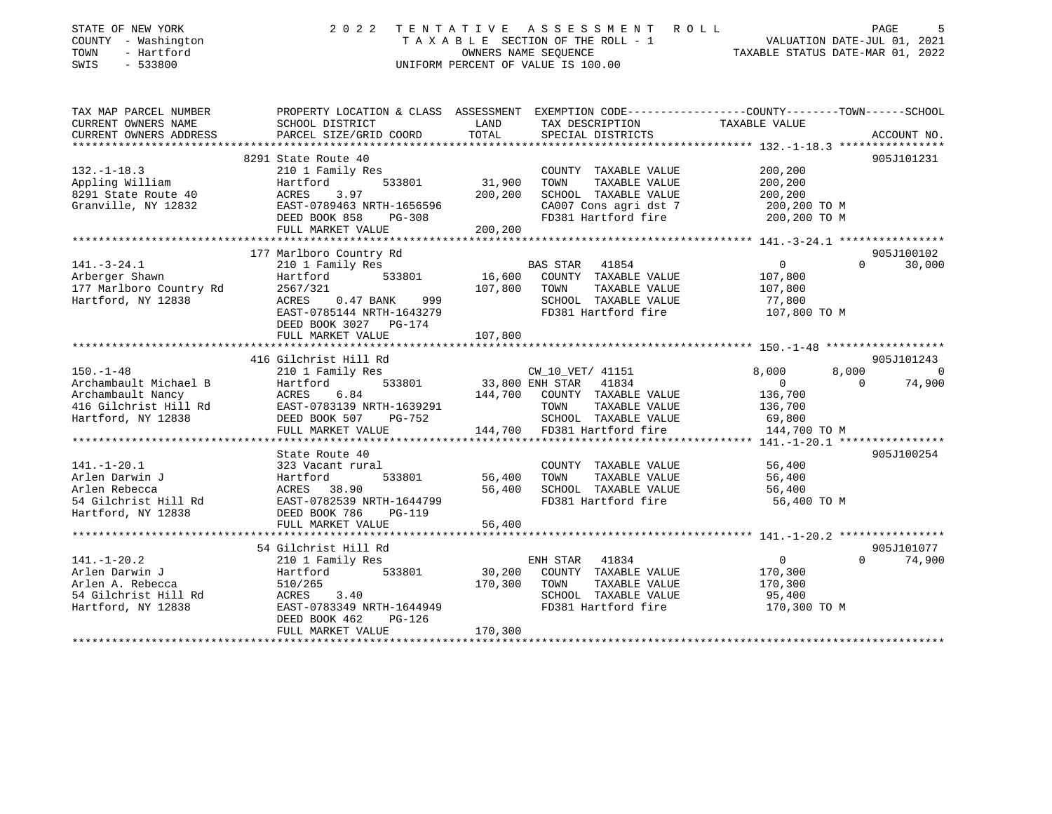| STATE OF NEW YORK<br>COUNTY - Washington<br>- Hartford<br>TOWN<br>SWIS<br>$-533800$                          | 2 0 2 2                                                                                                                                                                                 | A S S E S S M E N T<br>TENTATIVE<br>R O L L<br>TAXABLE SECTION OF THE ROLL - 1<br>OWNERS NAME SEOUENCE<br>UNIFORM PERCENT OF VALUE IS 100.00             | PAGE<br>.5<br>VALUATION DATE-JUL 01, 2021<br>TAXABLE STATUS DATE-MAR 01, 2022                                                   |
|--------------------------------------------------------------------------------------------------------------|-----------------------------------------------------------------------------------------------------------------------------------------------------------------------------------------|----------------------------------------------------------------------------------------------------------------------------------------------------------|---------------------------------------------------------------------------------------------------------------------------------|
| TAX MAP PARCEL NUMBER<br>CURRENT OWNERS NAME<br>CURRENT OWNERS ADDRESS                                       | SCHOOL DISTRICT<br>PARCEL SIZE/GRID COORD                                                                                                                                               | LAND<br>TAX DESCRIPTION<br>TOTAL<br>SPECIAL DISTRICTS                                                                                                    | PROPERTY LOCATION & CLASS ASSESSMENT EXEMPTION CODE---------------COUNTY-------TOWN------SCHOOL<br>TAXABLE VALUE<br>ACCOUNT NO. |
|                                                                                                              |                                                                                                                                                                                         |                                                                                                                                                          |                                                                                                                                 |
| $132. - 1 - 18.3$<br>Appling William<br>8291 State Route 40<br>Granville, NY 12832                           | 8291 State Route 40<br>210 1 Family Res<br>533801<br>Hartford<br>3.97<br>ACRES<br>EAST-0789463 NRTH-1656596<br>DEED BOOK 858<br>PG-308<br>FULL MARKET VALUE                             | COUNTY TAXABLE VALUE<br>31,900<br>TOWN<br>TAXABLE VALUE<br>200,200<br>SCHOOL TAXABLE VALUE<br>CA007 Cons agri dst 7<br>FD381 Hartford fire<br>200,200    | 905J101231<br>200,200<br>200,200<br>200,200<br>200,200 TO M<br>200,200 TO M                                                     |
|                                                                                                              |                                                                                                                                                                                         |                                                                                                                                                          |                                                                                                                                 |
| $141. - 3 - 24.1$<br>Arberger Shawn<br>177 Marlboro Country Rd<br>Hartford, NY 12838                         | 177 Marlboro Country Rd<br>210 1 Family Res<br>Hartford<br>533801<br>2567/321<br>ACRES<br>$0.47$ BANK<br>999<br>EAST-0785144 NRTH-1643279<br>DEED BOOK 3027 PG-174<br>FULL MARKET VALUE | <b>BAS STAR</b><br>41854<br>COUNTY TAXABLE VALUE<br>16,600<br>107,800<br>TOWN<br>TAXABLE VALUE<br>SCHOOL TAXABLE VALUE<br>FD381 Hartford fire<br>107,800 | 905J100102<br>$\overline{0}$<br>30,000<br>$\Omega$<br>107,800<br>107,800<br>77,800<br>107,800 TO M                              |
|                                                                                                              |                                                                                                                                                                                         |                                                                                                                                                          |                                                                                                                                 |
|                                                                                                              | 416 Gilchrist Hill Rd                                                                                                                                                                   |                                                                                                                                                          | 905J101243                                                                                                                      |
| $150. - 1 - 48$<br>Archambault Michael B<br>Archambault Nancy<br>416 Gilchrist Hill Rd<br>Hartford, NY 12838 | 210 1 Family Res<br>Hartford<br>533801<br>ACRES<br>6.84<br>EAST-0783139 NRTH-1639291<br>DEED BOOK 507<br>PG-752                                                                         | CW 10 VET/ 41151<br>41834<br>33,800 ENH STAR<br>144,700<br>COUNTY TAXABLE VALUE<br>TOWN<br>TAXABLE VALUE<br>SCHOOL TAXABLE VALUE                         | 8,000<br>8,000<br>$\Omega$<br>74,900<br>$\overline{0}$<br>136,700<br>136,700<br>69,800                                          |
|                                                                                                              | FULL MARKET VALUE<br>**************************************                                                                                                                             | 144,700 FD381 Hartford fire                                                                                                                              | 144,700 TO M<br>***************** 141.-1-20.1 *****************                                                                 |
| $141. - 1 - 20.1$<br>Arlen Darwin J<br>Arlen Rebecca<br>54 Gilchrist Hill Rd<br>Hartford, NY 12838           | State Route 40<br>323 Vacant rural<br>Hartford<br>533801<br>ACRES 38.90<br>EAST-0782539 NRTH-1644799<br>DEED BOOK 786<br><b>PG-119</b><br>FULL MARKET VALUE                             | COUNTY TAXABLE VALUE<br>56,400<br>TOWN<br>TAXABLE VALUE<br>56,400<br>SCHOOL TAXABLE VALUE<br>FD381 Hartford fire<br>56,400                               | 905J100254<br>56,400<br>56,400<br>56,400<br>56,400 TO M                                                                         |
| **********************                                                                                       |                                                                                                                                                                                         |                                                                                                                                                          |                                                                                                                                 |
| $141. - 1 - 20.2$<br>Arlen Darwin J<br>Arlen A. Rebecca<br>54 Gilchrist Hill Rd<br>Hartford, NY 12838        | 54 Gilchrist Hill Rd<br>210 1 Family Res<br>Hartford<br>533801<br>510/265<br>ACRES<br>3.40<br>EAST-0783349 NRTH-1644949<br>DEED BOOK 462<br>PG-126<br>FULL MARKET VALUE                 | ENH STAR 41834<br>30,200<br>COUNTY TAXABLE VALUE<br>170,300<br>TOWN<br>TAXABLE VALUE<br>SCHOOL TAXABLE VALUE<br>FD381 Hartford fire<br>170,300           | 905J101077<br>$\circ$<br>$\Omega$<br>74,900<br>170,300<br>170,300<br>95,400<br>170,300 TO M                                     |
|                                                                                                              |                                                                                                                                                                                         |                                                                                                                                                          |                                                                                                                                 |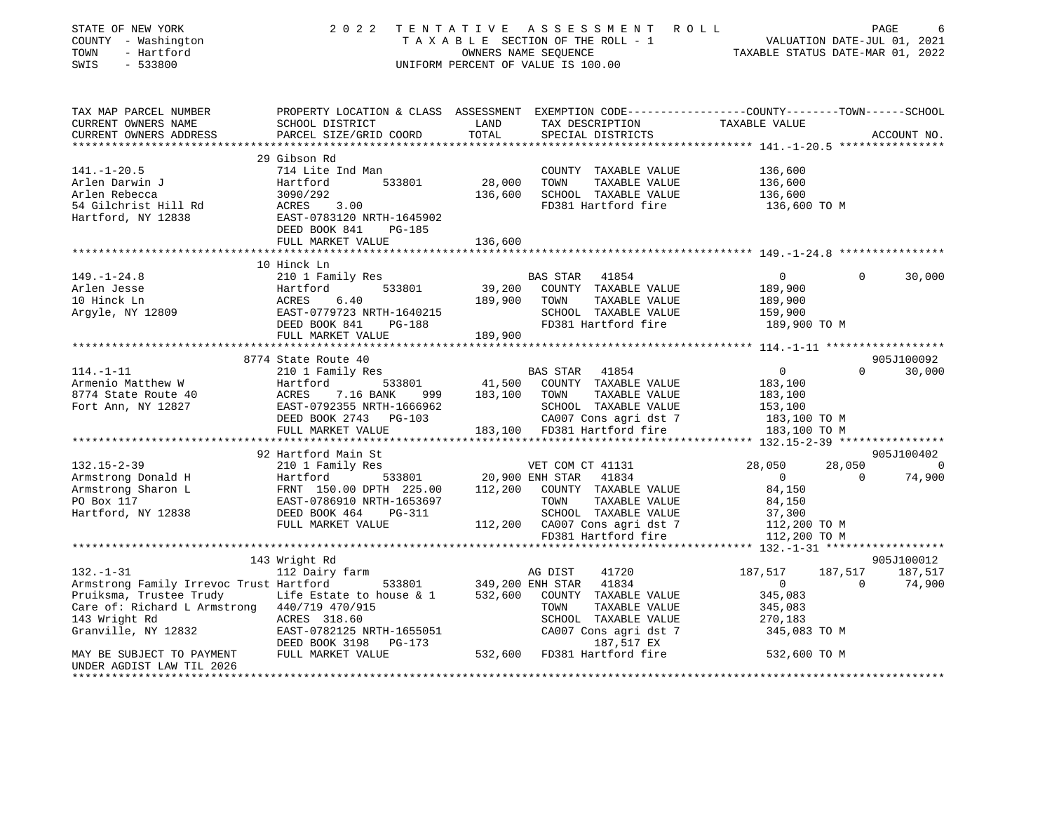| STATE OF NEW YORK<br>COUNTY - Washington<br>- Hartford<br>TOWN<br>SWIS<br>$-533800$         | 2 0 2 2                                                                                                            |         | TENTATIVE ASSESSMENT ROLL<br>T A X A B L E SECTION OF THE ROLL - 1 VALUATION DATE-JUL 01, 2021<br>OWNERS NAME SEQUENCE TAXABLE STATUS DATE-MAR 01, 2022<br>UNIFORM PERCENT OF VALUE IS 100.00 |                                                  |                     | PAGE                   |
|---------------------------------------------------------------------------------------------|--------------------------------------------------------------------------------------------------------------------|---------|-----------------------------------------------------------------------------------------------------------------------------------------------------------------------------------------------|--------------------------------------------------|---------------------|------------------------|
| TAX MAP PARCEL NUMBER<br>CURRENT OWNERS NAME                                                | PROPERTY LOCATION & CLASS ASSESSMENT EXEMPTION CODE---------------COUNTY-------TOWN------SCHOOL<br>SCHOOL DISTRICT | LAND    | TAX DESCRIPTION                                                                                                                                                                               | TAXABLE VALUE                                    |                     |                        |
| CURRENT OWNERS ADDRESS                                                                      | PARCEL SIZE/GRID COORD                                                                                             | TOTAL   | SPECIAL DISTRICTS                                                                                                                                                                             |                                                  |                     | ACCOUNT NO.            |
|                                                                                             | 29 Gibson Rd                                                                                                       |         |                                                                                                                                                                                               | ****************** 141.-1-20.5 ***************** |                     |                        |
| $141. - 1 - 20.5$                                                                           | 714 Lite Ind Man                                                                                                   |         | COUNTY TAXABLE VALUE                                                                                                                                                                          | 136,600                                          |                     |                        |
| Arlen Darwin J                                                                              | 533801<br>Hartford                                                                                                 | 28,000  | TOWN<br>TAXABLE VALUE                                                                                                                                                                         | 136,600                                          |                     |                        |
| Arlen Rebecca                                                                               | 3090/292                                                                                                           | 136,600 | SCHOOL TAXABLE VALUE                                                                                                                                                                          | 136,600                                          |                     |                        |
| 54 Gilchrist Hill Rd                                                                        | ACRES 3.00                                                                                                         |         | FD381 Hartford fire                                                                                                                                                                           | 136,600 TO M                                     |                     |                        |
| Hartford, NY 12838                                                                          | EAST-0783120 NRTH-1645902<br>DEED BOOK 841<br>PG-185                                                               |         |                                                                                                                                                                                               |                                                  |                     |                        |
|                                                                                             | FULL MARKET VALUE                                                                                                  | 136,600 |                                                                                                                                                                                               |                                                  |                     |                        |
|                                                                                             |                                                                                                                    |         |                                                                                                                                                                                               |                                                  |                     |                        |
|                                                                                             | 10 Hinck Ln                                                                                                        |         |                                                                                                                                                                                               |                                                  |                     |                        |
| $149. - 1 - 24.8$                                                                           | 210 1 Family Res                                                                                                   |         | BAS STAR<br>41854                                                                                                                                                                             | $\overline{0}$                                   | $\Omega$            | 30,000                 |
| Arlen Jesse                                                                                 | Hartford<br>533801                                                                                                 | 39,200  | COUNTY TAXABLE VALUE                                                                                                                                                                          | 189,900                                          |                     |                        |
| 10 Hinck Ln                                                                                 | ACRES<br>6.40                                                                                                      | 189,900 | TOWN<br>TAXABLE VALUE                                                                                                                                                                         | 189,900                                          |                     |                        |
| Argyle, NY 12809                                                                            |                                                                                                                    |         | SCHOOL TAXABLE VALUE                                                                                                                                                                          | 159,900                                          |                     |                        |
|                                                                                             | DEED BOOK 841<br>FULL MARKET VALUE                                                                                 | 189,900 | FD381 Hartford fire                                                                                                                                                                           | 189,900 TO M                                     |                     |                        |
|                                                                                             |                                                                                                                    |         |                                                                                                                                                                                               |                                                  |                     |                        |
|                                                                                             | 8774 State Route 40                                                                                                |         |                                                                                                                                                                                               |                                                  |                     | 905J100092             |
| $114. - 1 - 11$                                                                             | 210 1 Family Res                                                                                                   |         | BAS STAR 41854                                                                                                                                                                                | $\overline{0}$                                   | $\Omega$            | 30,000                 |
| Armenio Matthew W                                                                           | 533801<br>Hartford                                                                                                 | 41,500  | COUNTY TAXABLE VALUE                                                                                                                                                                          | 183,100                                          |                     |                        |
| 8774 State Route 40                                                                         | ACRES<br>7.16 BANK<br>999                                                                                          | 183,100 | TOWN<br>TAXABLE VALUE                                                                                                                                                                         | 183,100                                          |                     |                        |
| Fort Ann, NY 12827                                                                          | EAST-0792355 NRTH-1666962                                                                                          |         | SCHOOL TAXABLE VALUE                                                                                                                                                                          | 153,100                                          |                     |                        |
|                                                                                             | DEED BOOK 2743 PG-103                                                                                              |         | CA007 Cons agri dst 7                                                                                                                                                                         | 183,100 TO M                                     |                     |                        |
|                                                                                             | FULL MARKET VALUE                                                                                                  |         | 183,100 FD381 Hartford fire                                                                                                                                                                   | 183,100 TO M                                     |                     |                        |
|                                                                                             |                                                                                                                    |         |                                                                                                                                                                                               |                                                  |                     |                        |
| $132.15 - 2 - 39$                                                                           | 92 Hartford Main St                                                                                                |         | VET COM CT 41131                                                                                                                                                                              | 28,050                                           |                     | 905J100402<br>28,050 0 |
| Armstrong Donald H                                                                          | 210 1 Family Res<br>533801<br>Hartford                                                                             |         | 20,900 ENH STAR 41834                                                                                                                                                                         | $\overline{0}$                                   | $\bigcap$           | 74,900                 |
| Armstrong Sharon L                                                                          | FRNT 150.00 DPTH 225.00                                                                                            |         | 112,200 COUNTY TAXABLE VALUE                                                                                                                                                                  | 84,150                                           |                     |                        |
| PO Box 117                                                                                  |                                                                                                                    |         | TOWN<br>TAXABLE VALUE                                                                                                                                                                         | 84,150                                           |                     |                        |
| Hartford, NY 12838                                                                          | DEED BOOK 464<br>PG-311                                                                                            |         | SCHOOL TAXABLE VALUE                                                                                                                                                                          | 37,300                                           |                     |                        |
|                                                                                             | FULL MARKET VALUE                                                                                                  |         | 112,200 CA007 Cons agri dst 7                                                                                                                                                                 | 112,200 TO M                                     |                     |                        |
|                                                                                             |                                                                                                                    |         | FD381 Hartford fire                                                                                                                                                                           | 112,200 TO M                                     |                     |                        |
|                                                                                             |                                                                                                                    |         |                                                                                                                                                                                               |                                                  |                     |                        |
|                                                                                             | 143 Wright Rd                                                                                                      |         |                                                                                                                                                                                               |                                                  |                     | 905J100012             |
| $132. - 1 - 31$                                                                             | 112 Dairy farm                                                                                                     |         | AG DIST<br>41720                                                                                                                                                                              | 187,517<br>$\overline{0}$                        | 187,517<br>$\Omega$ | 187,517                |
| Armstrong Family Irrevoc Trust Hartford<br>Pruiksma, Trustee Trudy Life Estate to house & 1 | 533801 349,200 ENH STAR<br>te to house & 1 532,600 COUNTY                                                          |         | 41834<br>COUNTY TAXABLE VALUE                                                                                                                                                                 | 345,083                                          |                     | 74,900                 |
| Care of: Richard L Armstrong 440/719 470/915                                                |                                                                                                                    |         | TOWN<br>TAXABLE VALUE                                                                                                                                                                         | 345,083                                          |                     |                        |
| 143 Wright Rd                                                                               | ACRES 318.60                                                                                                       |         | SCHOOL TAXABLE VALUE                                                                                                                                                                          | 270,183                                          |                     |                        |
| Granville, NY 12832                                                                         | EAST-0782125 NRTH-1655051                                                                                          |         | CA007 Cons agri dst 7                                                                                                                                                                         | 345,083 TO M                                     |                     |                        |
|                                                                                             | DEED BOOK 3198 PG-173                                                                                              |         | 187,517 EX                                                                                                                                                                                    |                                                  |                     |                        |
| MAY BE SUBJECT TO PAYMENT                                                                   | FULL MARKET VALUE                                                                                                  | 532,600 | FD381 Hartford fire                                                                                                                                                                           | 532,600 TO M                                     |                     |                        |
| UNDER AGDIST LAW TIL 2026<br>***************************                                    |                                                                                                                    |         |                                                                                                                                                                                               |                                                  |                     |                        |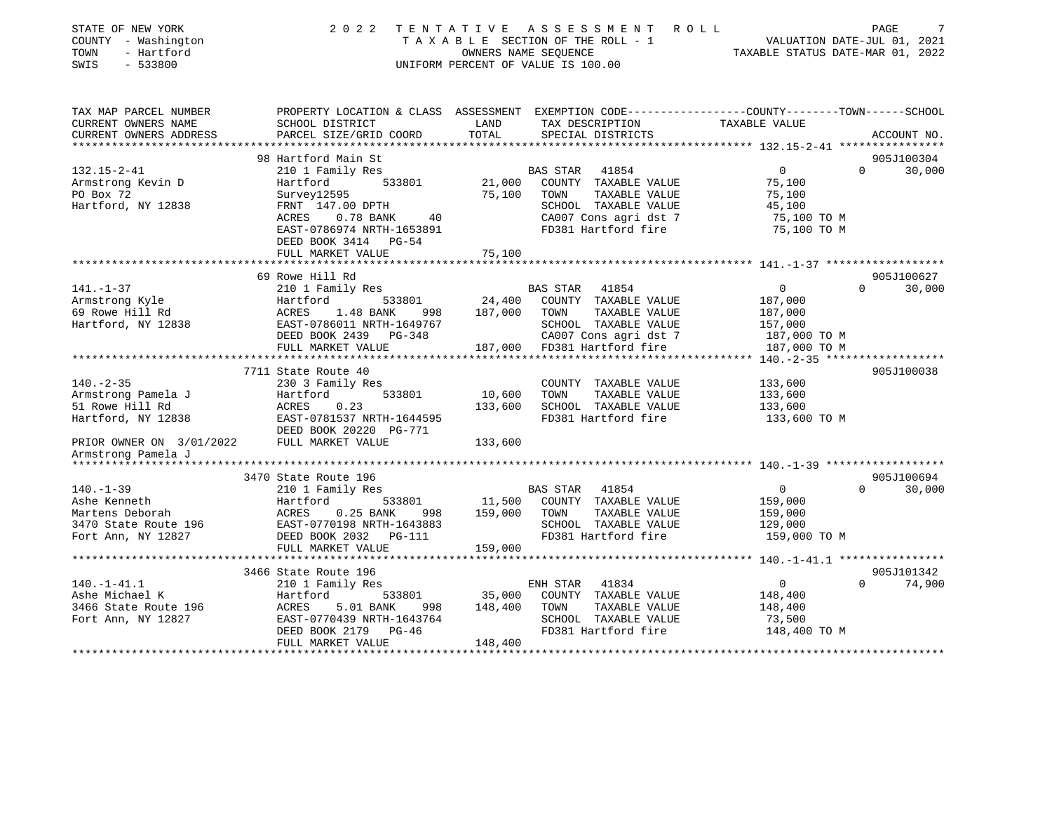| STATE OF NEW YORK<br>COUNTY - Washington<br>TOWN<br>- Hartford<br>$-533800$<br>SWIS | 2 0 2 2                                                  |         | TENTATIVE ASSESSMENT ROLL<br>OWNERS NAME SEQUENCE<br>UNIFORM PERCENT OF VALUE IS 100.00 | TAXABLE SECTION OF THE ROLL - 1 VALUATION DATE-JUL 01, 2021<br>TAXABLE STATUS DATE-MAR 01, 2022                  | PAGE     |             |
|-------------------------------------------------------------------------------------|----------------------------------------------------------|---------|-----------------------------------------------------------------------------------------|------------------------------------------------------------------------------------------------------------------|----------|-------------|
| TAX MAP PARCEL NUMBER<br>CURRENT OWNERS NAME                                        | SCHOOL DISTRICT                                          | LAND    | TAX DESCRIPTION                                                                         | PROPERTY LOCATION & CLASS ASSESSMENT EXEMPTION CODE---------------COUNTY-------TOWN------SCHOOL<br>TAXABLE VALUE |          |             |
| CURRENT OWNERS ADDRESS<br>***********************                                   | PARCEL SIZE/GRID COORD                                   | TOTAL   | SPECIAL DISTRICTS                                                                       |                                                                                                                  |          | ACCOUNT NO. |
|                                                                                     | 98 Hartford Main St                                      |         |                                                                                         |                                                                                                                  |          | 905J100304  |
| $132.15 - 2 - 41$                                                                   | 210 1 Family Res                                         |         | BAS STAR 41854                                                                          | $\overline{0}$                                                                                                   | $\Omega$ | 30,000      |
| Armstrong Kevin D                                                                   | 533801<br>Hartford                                       | 21,000  | COUNTY TAXABLE VALUE                                                                    | 75,100                                                                                                           |          |             |
| PO Box 72                                                                           | Survey12595                                              | 75,100  | TAXABLE VALUE<br>TOWN                                                                   | 75,100                                                                                                           |          |             |
| Hartford, NY 12838                                                                  | FRNT 147.00 DPTH                                         |         | SCHOOL TAXABLE VALUE                                                                    | 45,100                                                                                                           |          |             |
|                                                                                     | ACRES 0.78 BANK<br>40                                    |         | CA007 Cons agri dst 7                                                                   | 75,100 TO M                                                                                                      |          |             |
|                                                                                     | EAST-0786974 NRTH-1653891                                |         | FD381 Hartford fire                                                                     | 75,100 TO M                                                                                                      |          |             |
|                                                                                     | DEED BOOK 3414 PG-54<br>FULL MARKET VALUE                | 75,100  |                                                                                         |                                                                                                                  |          |             |
|                                                                                     | ***********************                                  |         |                                                                                         |                                                                                                                  |          |             |
|                                                                                     | 69 Rowe Hill Rd                                          |         |                                                                                         |                                                                                                                  |          | 905J100627  |
| $141. - 1 - 37$                                                                     | 210 1 Family Res                                         |         | BAS STAR 41854                                                                          | $\mathbf{0}$                                                                                                     | $\Omega$ | 30,000      |
| Armstrong Kyle                                                                      | 533801<br>Hartford                                       | 24,400  | COUNTY TAXABLE VALUE                                                                    | 187,000                                                                                                          |          |             |
| 69 Rowe Hill Rd                                                                     | ACRES<br>1.48 BANK<br>998                                | 187,000 | TOWN<br>TAXABLE VALUE                                                                   | 187,000                                                                                                          |          |             |
| Hartford, NY 12838                                                                  | EAST-0786011 NRTH-1649767                                |         | SCHOOL TAXABLE VALUE                                                                    | 157,000                                                                                                          |          |             |
|                                                                                     | DEED BOOK 2439 PG-348                                    |         | CA007 Cons agri dst 7                                                                   | 187,000 TO M                                                                                                     |          |             |
|                                                                                     | FULL MARKET VALUE                                        |         | 187,000 FD381 Hartford fire                                                             | 187,000 TO M                                                                                                     |          |             |
|                                                                                     | **********************                                   |         |                                                                                         | ** 140.-2-35 *******************                                                                                 |          |             |
| $140. - 2 - 35$                                                                     | 7711 State Route 40                                      |         |                                                                                         |                                                                                                                  |          | 905J100038  |
| Armstrong Pamela J                                                                  | 230 3 Family Res<br>Hartford<br>533801                   | 10,600  | COUNTY TAXABLE VALUE<br>TOWN<br>TAXABLE VALUE                                           | 133,600<br>133,600                                                                                               |          |             |
| 51 Rowe Hill Rd                                                                     | ACRES<br>0.23                                            | 133,600 | SCHOOL TAXABLE VALUE                                                                    | 133,600                                                                                                          |          |             |
| Hartford, NY 12838                                                                  | EAST-0781537 NRTH-1644595                                |         | FD381 Hartford fire                                                                     | 133,600 TO M                                                                                                     |          |             |
|                                                                                     | DEED BOOK 20220 PG-771                                   |         |                                                                                         |                                                                                                                  |          |             |
| PRIOR OWNER ON 3/01/2022                                                            | FULL MARKET VALUE                                        | 133,600 |                                                                                         |                                                                                                                  |          |             |
| Armstrong Pamela J                                                                  |                                                          |         |                                                                                         |                                                                                                                  |          |             |
|                                                                                     |                                                          |         |                                                                                         |                                                                                                                  |          |             |
|                                                                                     | 3470 State Route 196                                     |         |                                                                                         |                                                                                                                  |          | 905J100694  |
| $140. - 1 - 39$                                                                     | 210 1 Family Res                                         |         | BAS STAR 41854                                                                          | $\Omega$                                                                                                         | $\Omega$ | 30,000      |
| Ashe Kenneth                                                                        | Hartford<br>533801                                       | 11,500  | COUNTY TAXABLE VALUE                                                                    | 159,000                                                                                                          |          |             |
| Martens Deborah<br>3470 State Route 196                                             | ACRES<br>$0.25$ BANK<br>998<br>EAST-0770198 NRTH-1643883 | 159,000 | TOWN<br>TAXABLE VALUE<br>SCHOOL TAXABLE VALUE                                           | 159,000<br>129,000                                                                                               |          |             |
| Fort Ann, NY 12827                                                                  | DEED BOOK 2032<br>PG-111                                 |         | FD381 Hartford fire                                                                     | 159,000 TO M                                                                                                     |          |             |
|                                                                                     | FULL MARKET VALUE                                        | 159,000 |                                                                                         |                                                                                                                  |          |             |
|                                                                                     |                                                          |         |                                                                                         |                                                                                                                  |          |             |
|                                                                                     | 3466 State Route 196                                     |         |                                                                                         |                                                                                                                  |          | 905J101342  |
| $140.-1-41.1$                                                                       | 210 1 Family Res                                         |         | 41834<br>ENH STAR                                                                       | $\overline{0}$                                                                                                   | $\Omega$ | 74,900      |
| Ashe Michael K                                                                      | 533801<br>Hartford                                       | 35,000  | COUNTY TAXABLE VALUE                                                                    | 148,400                                                                                                          |          |             |
| 3466 State Route 196                                                                | ACRES<br>5.01 BANK<br>998                                | 148,400 | TOWN<br>TAXABLE VALUE                                                                   | 148,400                                                                                                          |          |             |
| Fort Ann, NY 12827                                                                  | EAST-0770439 NRTH-1643764                                |         | SCHOOL TAXABLE VALUE                                                                    | 73,500                                                                                                           |          |             |
|                                                                                     | DEED BOOK 2179<br>PG-46                                  |         | FD381 Hartford fire                                                                     | 148,400 TO M                                                                                                     |          |             |
|                                                                                     | FULL MARKET VALUE                                        | 148,400 |                                                                                         |                                                                                                                  |          |             |
|                                                                                     |                                                          |         |                                                                                         |                                                                                                                  |          |             |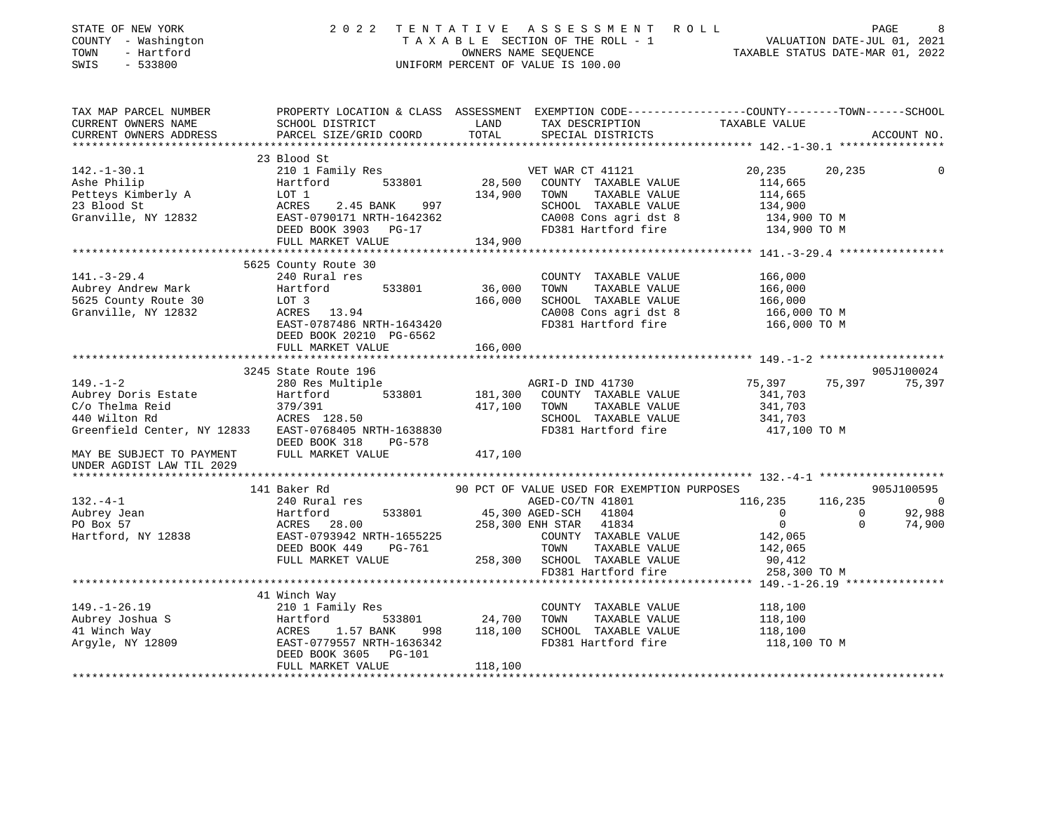| STATE OF NEW YORK<br>COUNTY - Washington<br>- Hartford<br>TOWN<br>SWIS<br>$-533800$                                                                                                   | 2 0 2 2                                                                                                 |                    | TENTATIVE ASSESSMENT ROLL<br>TAXABLE SECTION OF THE ROLL - 1<br>TAXABLE SECTION OF THE ROLL - 1<br>OWNERS NAME SEQUENCE TAXABLE STATUS DATE-MAR 01, 2022<br>UNIFORM PERCENT OF VALUE IS 100.00     |                                                                                           | PAGE                         |
|---------------------------------------------------------------------------------------------------------------------------------------------------------------------------------------|---------------------------------------------------------------------------------------------------------|--------------------|----------------------------------------------------------------------------------------------------------------------------------------------------------------------------------------------------|-------------------------------------------------------------------------------------------|------------------------------|
| TAX MAP PARCEL NUMBER PROPERTY LOCATION & CLASS ASSESSMENT EXEMPTION CODE---------------COUNTY-------TOWN------SCHOOL<br>CURRENT OWNERS NAME<br>CURRENT OWNERS ADDRESS                | SCHOOL DISTRICT LAND<br>PARCEL SIZE/GRID COORD                                                          | TOTAL              | TAX DESCRIPTION TAXABLE VALUE<br>SPECIAL DISTRICTS FILLER                                                                                                                                          |                                                                                           | ACCOUNT NO.                  |
| 142.-1-30.1 210 1 Family Res<br>Ashe Philip Hartford 533801 28,500<br>Petteys Kimberly A LOT 1 134,900<br>23 Blood St ACRES 2.45 BANK 997<br>Granville, NY 12832 DEED BOOK 3903 PG-17 | 23 Blood St<br>FULL MARKET VALUE                                                                        | 134,900            | VET WAR CT 41121<br>28,500 COUNTY TAXABLE VALUE<br>TOWN TAXABLE VALUE<br>SCHOOL TAXABLE VALUE 134,900<br>CA008 Cons agri dst 8 134,900 TO M<br>FD381 Hartford fire 134,900 TO M                    | 20,235<br>114,665<br>114,665                                                              | 20,235                       |
|                                                                                                                                                                                       |                                                                                                         |                    |                                                                                                                                                                                                    |                                                                                           |                              |
| $141. - 3 - 29.4$<br>Aubrey Andrew Mark<br>5625 County Route 30 LOT 3<br>Granville, NY 12832                                                                                          | 5625 County Route 30<br>240 Rural res<br>533801<br>EAST-0787486 NRTH-1643420<br>DEED BOOK 20210 PG-6562 | 36,000<br>166,000  | COUNTY TAXABLE VALUE<br>TOWN<br>TAXABLE VALUE<br>SCHOOL TAXABLE VALUE<br>CA008 Cons agri dst 8 166,000 TO M<br>FD381 Hartford fire 166,000 TO M                                                    | 166,000<br>166,000<br>166,000                                                             |                              |
|                                                                                                                                                                                       | FULL MARKET VALUE                                                                                       | 166,000            |                                                                                                                                                                                                    |                                                                                           |                              |
|                                                                                                                                                                                       |                                                                                                         |                    |                                                                                                                                                                                                    |                                                                                           |                              |
|                                                                                                                                                                                       | 3245 State Route 196                                                                                    |                    |                                                                                                                                                                                                    |                                                                                           | 905J100024                   |
| $149. - 1 - 2$                                                                                                                                                                        | 280 Res Multiple                                                                                        |                    | AGRI-D IND 41730                                                                                                                                                                                   | 75,397                                                                                    | 75,397 75,397                |
| Greenfield Center, NY 12833 EAST-0768405 NRTH-1638830                                                                                                                                 | DEED BOOK 318 PG-578                                                                                    | 181,300<br>417,100 | COUNTY TAXABLE VALUE<br>TOWN TAXABLE VALUE<br>SCHOOL TAXABLE VALUE<br>FD381 Hartford fire                                                                                                          | 341,703<br>341,703<br>341,703<br>417,100 TO M                                             |                              |
| MAY BE SUBJECT TO PAYMENT<br>UNDER AGDIST LAW TIL 2029                                                                                                                                | FULL MARKET VALUE                                                                                       | 417,100            |                                                                                                                                                                                                    |                                                                                           |                              |
|                                                                                                                                                                                       | 141 Baker Rd                                                                                            |                    | 90 PCT OF VALUE USED FOR EXEMPTION PURPOSES                                                                                                                                                        |                                                                                           | 905J100595                   |
| $132. -4-1$                                                                                                                                                                           | 240 Rural res                                                                                           |                    | AGED-CO/TN 41801                                                                                                                                                                                   | 116,235                                                                                   | 116,235 0                    |
| Aubrey Jean<br>PO Box 57<br>Hartford, NY 12838<br>Hartford, NY 12838<br>Hartford, NY 12838<br>PO BOX 140<br>PO MALL PO BOX 140<br>PO BOX 140<br>PO BOX 140<br>PO BOX 151              | DEED BOOK 449 PG-761<br>FULL MARKET VALUE                                                               |                    | AGED-CO/TN 41801<br>45,300 AGED-SCH 41804<br>- 1000 ENULOUR 41834<br>258,300 ENH STAR 41834<br>COUNTY TAXABLE VALUE<br>TOWN<br>TAXABLE VALUE<br>TUWN TAXABLE VALUE<br>258,300 SCHOOL TAXABLE VALUE | $\begin{matrix}0&0\\0&0\end{matrix}$<br>$0 \qquad \qquad$<br>142,065<br>142,065<br>90,412 | 92,988<br>74,900<br>$\Omega$ |
|                                                                                                                                                                                       |                                                                                                         |                    |                                                                                                                                                                                                    |                                                                                           |                              |
|                                                                                                                                                                                       |                                                                                                         |                    |                                                                                                                                                                                                    |                                                                                           |                              |
|                                                                                                                                                                                       |                                                                                                         | 118,100            | COUNTY TAXABLE VALUE 118,100                                                                                                                                                                       | 118,100<br>118,100<br>118,100 TO M                                                        |                              |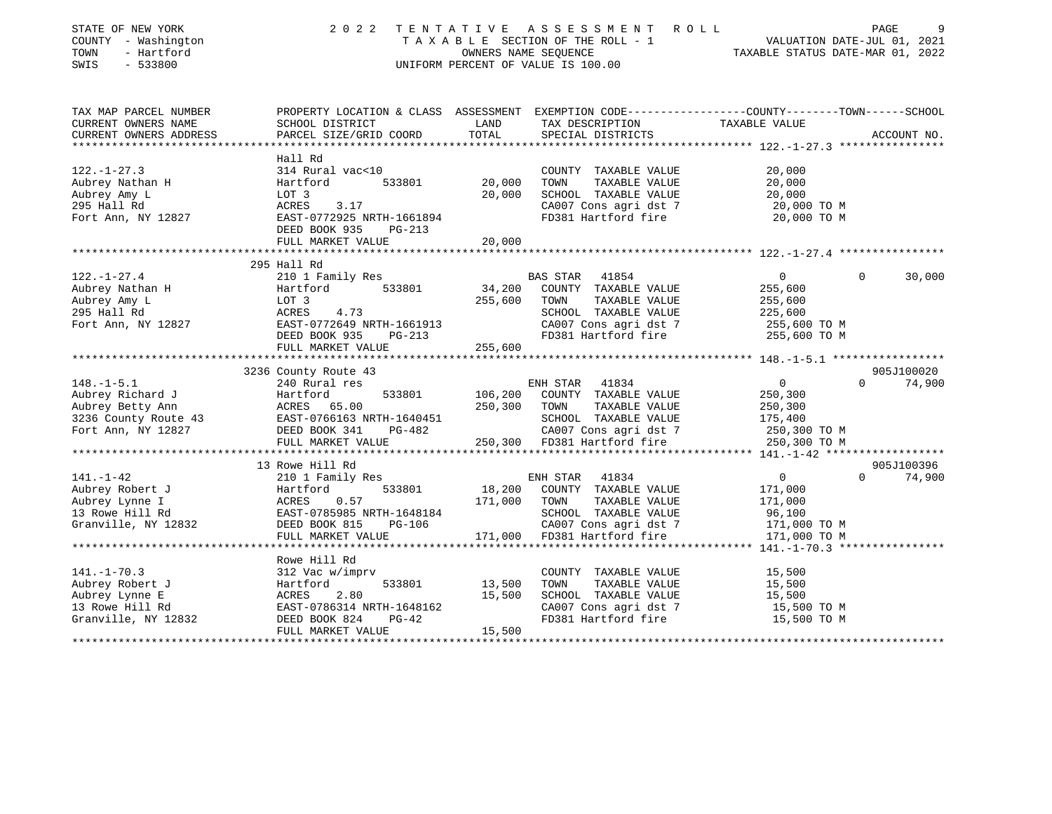| STATE OF NEW YORK<br>COUNTY - Washington<br>- Hartford<br>TOWN<br>$-533800$<br>SWIS | 2 0 2 2                                   | TENTATIVE<br>OWNERS NAME SEQUENCE | A S S E S S M E N T<br>ROLL<br>TAXABLE SECTION OF THE ROLL - 1<br>UNIFORM PERCENT OF VALUE IS 100.00 | VALUATION DATE-JUL 01, 2021<br>TAXABLE STATUS DATE-MAR 01, 2022 | PAGE<br>9                |
|-------------------------------------------------------------------------------------|-------------------------------------------|-----------------------------------|------------------------------------------------------------------------------------------------------|-----------------------------------------------------------------|--------------------------|
| TAX MAP PARCEL NUMBER                                                               |                                           |                                   | PROPERTY LOCATION & CLASS ASSESSMENT EXEMPTION CODE---------------COUNTY-------TOWN-----SCHOOL       |                                                                 |                          |
| CURRENT OWNERS NAME<br>CURRENT OWNERS ADDRESS                                       | SCHOOL DISTRICT<br>PARCEL SIZE/GRID COORD | LAND<br>TOTAL                     | TAX DESCRIPTION<br>SPECIAL DISTRICTS                                                                 | TAXABLE VALUE                                                   | ACCOUNT NO.              |
| *****************************                                                       |                                           |                                   |                                                                                                      |                                                                 |                          |
|                                                                                     | Hall Rd                                   |                                   |                                                                                                      |                                                                 |                          |
| $122. - 1 - 27.3$                                                                   | 314 Rural vac<10                          |                                   | COUNTY TAXABLE VALUE                                                                                 | 20,000                                                          |                          |
| Aubrey Nathan H                                                                     | Hartford<br>533801                        | 20,000                            | TAXABLE VALUE<br>TOWN                                                                                | 20,000                                                          |                          |
| Aubrey Amy L                                                                        | LOT 3                                     | 20,000                            | SCHOOL TAXABLE VALUE                                                                                 | 20,000                                                          |                          |
| 295 Hall Rd                                                                         | ACRES<br>3.17                             |                                   | CA007 Cons agri dst 7                                                                                | 20,000 TO M                                                     |                          |
| Fort Ann, NY 12827                                                                  | EAST-0772925 NRTH-1661894                 |                                   | FD381 Hartford fire                                                                                  | 20,000 TO M                                                     |                          |
|                                                                                     | DEED BOOK 935<br>PG-213                   |                                   |                                                                                                      |                                                                 |                          |
|                                                                                     | FULL MARKET VALUE                         | 20,000                            |                                                                                                      |                                                                 |                          |
|                                                                                     |                                           |                                   |                                                                                                      |                                                                 |                          |
| $122. - 1 - 27.4$                                                                   | 295 Hall Rd<br>210 1 Family Res           |                                   | BAS STAR 41854                                                                                       | 0                                                               | $\Omega$<br>30,000       |
| Aubrey Nathan H                                                                     | 533801<br>Hartford                        | 34,200                            | COUNTY TAXABLE VALUE                                                                                 | 255,600                                                         |                          |
| Aubrey Amy L                                                                        | LOT 3                                     | 255,600                           | TOWN<br>TAXABLE VALUE                                                                                | 255,600                                                         |                          |
| 295 Hall Rd                                                                         | ACRES<br>4.73                             |                                   | SCHOOL TAXABLE VALUE                                                                                 | 225,600                                                         |                          |
| Fort Ann, NY 12827                                                                  | EAST-0772649 NRTH-1661913                 |                                   | CA007 Cons agri dst 7                                                                                | 255,600 TO M                                                    |                          |
|                                                                                     | DEED BOOK 935<br>PG-213                   |                                   | FD381 Hartford fire                                                                                  | 255,600 TO M                                                    |                          |
|                                                                                     | FULL MARKET VALUE                         | 255,600                           |                                                                                                      |                                                                 |                          |
|                                                                                     |                                           |                                   |                                                                                                      |                                                                 |                          |
|                                                                                     | 3236 County Route 43                      |                                   |                                                                                                      |                                                                 | 905J100020               |
| $148. - 1 - 5.1$                                                                    | 240 Rural res                             |                                   | ENH STAR<br>41834                                                                                    | 0                                                               | $\Omega$<br>74,900       |
| Aubrey Richard J                                                                    | Hartford<br>533801                        | 106,200                           | COUNTY TAXABLE VALUE                                                                                 | 250,300                                                         |                          |
| Aubrey Betty Ann                                                                    | ACRES 65.00                               | 250,300                           | TOWN<br>TAXABLE VALUE                                                                                | 250,300                                                         |                          |
| 3236 County Route 43                                                                | EAST-0766163 NRTH-1640451                 |                                   | SCHOOL TAXABLE VALUE                                                                                 | 175,400                                                         |                          |
| Fort Ann, NY 12827                                                                  | DEED BOOK 341<br>PG-482                   |                                   | CA007 Cons agri dst 7                                                                                | 250,300 TO M                                                    |                          |
|                                                                                     | FULL MARKET VALUE                         |                                   | 250,300 FD381 Hartford fire                                                                          | 250,300 TO M                                                    |                          |
|                                                                                     | 13 Rowe Hill Rd                           |                                   |                                                                                                      |                                                                 | 905J100396               |
| 141.-1-42                                                                           | 210 1 Family Res                          |                                   | ENH STAR<br>41834                                                                                    | 0                                                               | $\Omega$<br>74,900       |
| Aubrey Robert J                                                                     | Hartford<br>533801                        | 18,200                            | COUNTY TAXABLE VALUE                                                                                 | 171,000                                                         |                          |
| Aubrey Lynne I                                                                      | ACRES<br>0.57                             | 171,000                           | TOWN<br>TAXABLE VALUE                                                                                | 171,000                                                         |                          |
| 13 Rowe Hill Rd                                                                     | EAST-0785985 NRTH-1648184                 |                                   | SCHOOL TAXABLE VALUE                                                                                 | 96,100                                                          |                          |
| Granville, NY 12832                                                                 | DEED BOOK 815<br>$PG-106$                 |                                   | CA007 Cons agri dst 7                                                                                | 171,000 TO M                                                    |                          |
|                                                                                     | FULL MARKET VALUE                         | 171,000                           | FD381 Hartford fire                                                                                  | 171,000 TO M                                                    |                          |
|                                                                                     |                                           |                                   |                                                                                                      |                                                                 |                          |
|                                                                                     | Rowe Hill Rd                              |                                   |                                                                                                      |                                                                 |                          |
| $141. - 1 - 70.3$                                                                   | 312 Vac w/imprv                           |                                   | COUNTY TAXABLE VALUE                                                                                 | 15,500                                                          |                          |
| Aubrey Robert J                                                                     | Hartford<br>533801                        | 13,500                            | TOWN<br>TAXABLE VALUE                                                                                | 15,500                                                          |                          |
| Aubrey Lynne E                                                                      | ACRES<br>2.80                             | 15,500                            | SCHOOL TAXABLE VALUE                                                                                 | 15,500                                                          |                          |
| 13 Rowe Hill Rd                                                                     | EAST-0786314 NRTH-1648162                 |                                   | CA007 Cons agri dst 7                                                                                | 15,500 TO M                                                     |                          |
| Granville, NY 12832                                                                 | DEED BOOK 824<br>$PG-42$                  |                                   | FD381 Hartford fire                                                                                  | 15,500 TO M                                                     |                          |
| ************                                                                        | FULL MARKET VALUE                         | 15,500                            |                                                                                                      |                                                                 | ************************ |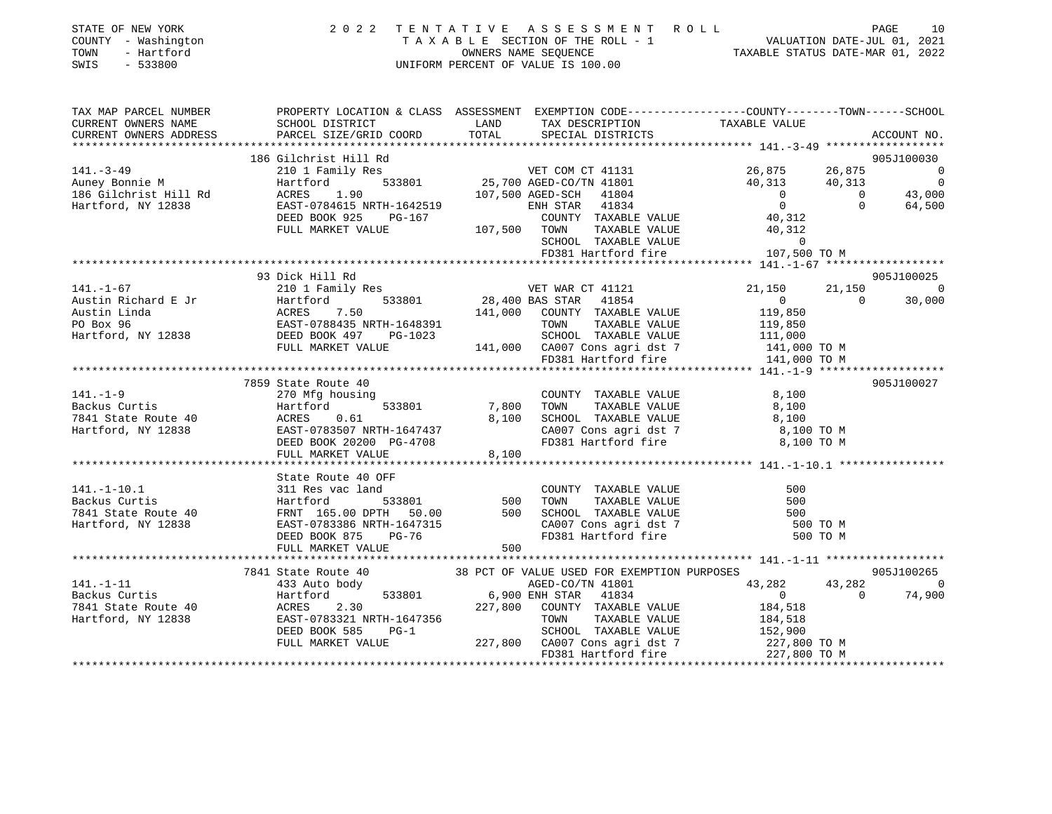|      | STATE OF NEW YORK   | 2022 TENTATIVE ASSESSMENT ROLL     | 10<br>PAGE                       |
|------|---------------------|------------------------------------|----------------------------------|
|      | COUNTY - Washington | TAXABLE SECTION OF THE ROLL - 1    | VALUATION DATE-JUL 01, 2021      |
| TOWN | - Hartford          | OWNERS NAME SEOUENCE               | TAXABLE STATUS DATE-MAR 01, 2022 |
|      | SWIS - 533800       | UNIFORM PERCENT OF VALUE IS 100.00 |                                  |

|                     | TAX MAP PARCEL NUMBER PROPERTY LOCATION & CLASS ASSESSMENT EXEMPTION CODE---------------COUNTY-------TOWN------SCHOOL                                                                                                                                                                                                                                                                                                                                                  |            |
|---------------------|------------------------------------------------------------------------------------------------------------------------------------------------------------------------------------------------------------------------------------------------------------------------------------------------------------------------------------------------------------------------------------------------------------------------------------------------------------------------|------------|
|                     |                                                                                                                                                                                                                                                                                                                                                                                                                                                                        |            |
|                     |                                                                                                                                                                                                                                                                                                                                                                                                                                                                        |            |
|                     | $[141. -3-49 \underbrace{\qquad \qquad }_{\mbox{Auney Bombi M1}} \underbrace{\qquad \qquad }_{\mbox{B6 Gilchrist Hill Rd}} \underbrace{\qquad \qquad }_{\mbox{B2 G, B75}} \underbrace{\qquad \qquad }_{\mbox{B2 G, B75}} \underbrace{\qquad \qquad }_{\mbox{B2 G, B75}} \underbrace{\qquad \qquad }_{\mbox{B2 G, B75}} \underbrace{\qquad \qquad }_{\mbox{B2 G, B75}} \underbrace{\qquad \qquad }_{\mbox{B2 G, B75}} \underbrace{\qquad \qquad }_{\mbox{B2 G, B75}} \$ |            |
|                     |                                                                                                                                                                                                                                                                                                                                                                                                                                                                        |            |
|                     |                                                                                                                                                                                                                                                                                                                                                                                                                                                                        |            |
|                     |                                                                                                                                                                                                                                                                                                                                                                                                                                                                        |            |
|                     |                                                                                                                                                                                                                                                                                                                                                                                                                                                                        |            |
|                     |                                                                                                                                                                                                                                                                                                                                                                                                                                                                        |            |
|                     |                                                                                                                                                                                                                                                                                                                                                                                                                                                                        |            |
|                     |                                                                                                                                                                                                                                                                                                                                                                                                                                                                        |            |
|                     |                                                                                                                                                                                                                                                                                                                                                                                                                                                                        |            |
|                     |                                                                                                                                                                                                                                                                                                                                                                                                                                                                        |            |
|                     |                                                                                                                                                                                                                                                                                                                                                                                                                                                                        |            |
| 93 Dick Hill Rd     |                                                                                                                                                                                                                                                                                                                                                                                                                                                                        | 905J100025 |
|                     |                                                                                                                                                                                                                                                                                                                                                                                                                                                                        |            |
|                     |                                                                                                                                                                                                                                                                                                                                                                                                                                                                        |            |
|                     |                                                                                                                                                                                                                                                                                                                                                                                                                                                                        |            |
|                     |                                                                                                                                                                                                                                                                                                                                                                                                                                                                        |            |
|                     |                                                                                                                                                                                                                                                                                                                                                                                                                                                                        |            |
|                     |                                                                                                                                                                                                                                                                                                                                                                                                                                                                        |            |
|                     |                                                                                                                                                                                                                                                                                                                                                                                                                                                                        |            |
| 7859 State Route 40 |                                                                                                                                                                                                                                                                                                                                                                                                                                                                        | 905J100027 |
|                     |                                                                                                                                                                                                                                                                                                                                                                                                                                                                        |            |
|                     |                                                                                                                                                                                                                                                                                                                                                                                                                                                                        |            |
|                     |                                                                                                                                                                                                                                                                                                                                                                                                                                                                        |            |
|                     |                                                                                                                                                                                                                                                                                                                                                                                                                                                                        |            |
|                     |                                                                                                                                                                                                                                                                                                                                                                                                                                                                        |            |
|                     | 141.-1-9<br>$37,800$<br>$7,800$<br>$7,800$<br>$7,800$<br>$7,800$<br>$7,800$<br>$7,800$<br>$7,800$<br>$7,800$<br>$7,800$<br>$7,800$<br>$7,800$<br>$7,800$<br>$7,800$<br>$7,800$<br>$7,800$<br>$7,800$<br>$7,800$<br>$7,800$<br>$7,800$<br>$7,800$<br>$7,800$<br>$7,800$<br>$7,$                                                                                                                                                                                         |            |
|                     |                                                                                                                                                                                                                                                                                                                                                                                                                                                                        |            |
|                     | 311 Res vac 1 and<br>Backus Curtis (141.-1-10.1 and 2000 mm 7AXABLE VALUE<br>311 Res vac 1 and 2000 mm 7AXABLE VALUE<br>311 Res vac 1 and 2000 mm 7AXABLE VALUE<br>311 Res vac 1 and 2000 mm 7AXABLE VALUE<br>300 mm 7AXABLE VALUE<br>500                                                                                                                                                                                                                              |            |
|                     |                                                                                                                                                                                                                                                                                                                                                                                                                                                                        |            |
|                     |                                                                                                                                                                                                                                                                                                                                                                                                                                                                        |            |
|                     |                                                                                                                                                                                                                                                                                                                                                                                                                                                                        |            |
|                     |                                                                                                                                                                                                                                                                                                                                                                                                                                                                        |            |
|                     |                                                                                                                                                                                                                                                                                                                                                                                                                                                                        |            |
|                     |                                                                                                                                                                                                                                                                                                                                                                                                                                                                        |            |
|                     |                                                                                                                                                                                                                                                                                                                                                                                                                                                                        |            |
|                     |                                                                                                                                                                                                                                                                                                                                                                                                                                                                        |            |
|                     |                                                                                                                                                                                                                                                                                                                                                                                                                                                                        |            |
|                     |                                                                                                                                                                                                                                                                                                                                                                                                                                                                        |            |
|                     |                                                                                                                                                                                                                                                                                                                                                                                                                                                                        |            |
|                     |                                                                                                                                                                                                                                                                                                                                                                                                                                                                        |            |
|                     |                                                                                                                                                                                                                                                                                                                                                                                                                                                                        |            |
|                     | $[141. -1-11$ 38 Auto body<br>38 PCT OF VALUE USED CO/TN 41801<br>38 PCT OF VALUE USED CO/TN 41801<br>38 PCT OF VALUE USED CO/TN 41801<br>43,282<br>43,282<br>43,282<br>43,282<br>43,282<br>43,282<br>43,282<br>43,282<br>43,282<br>43,282<br>43,282<br>43,2                                                                                                                                                                                                           |            |
|                     |                                                                                                                                                                                                                                                                                                                                                                                                                                                                        |            |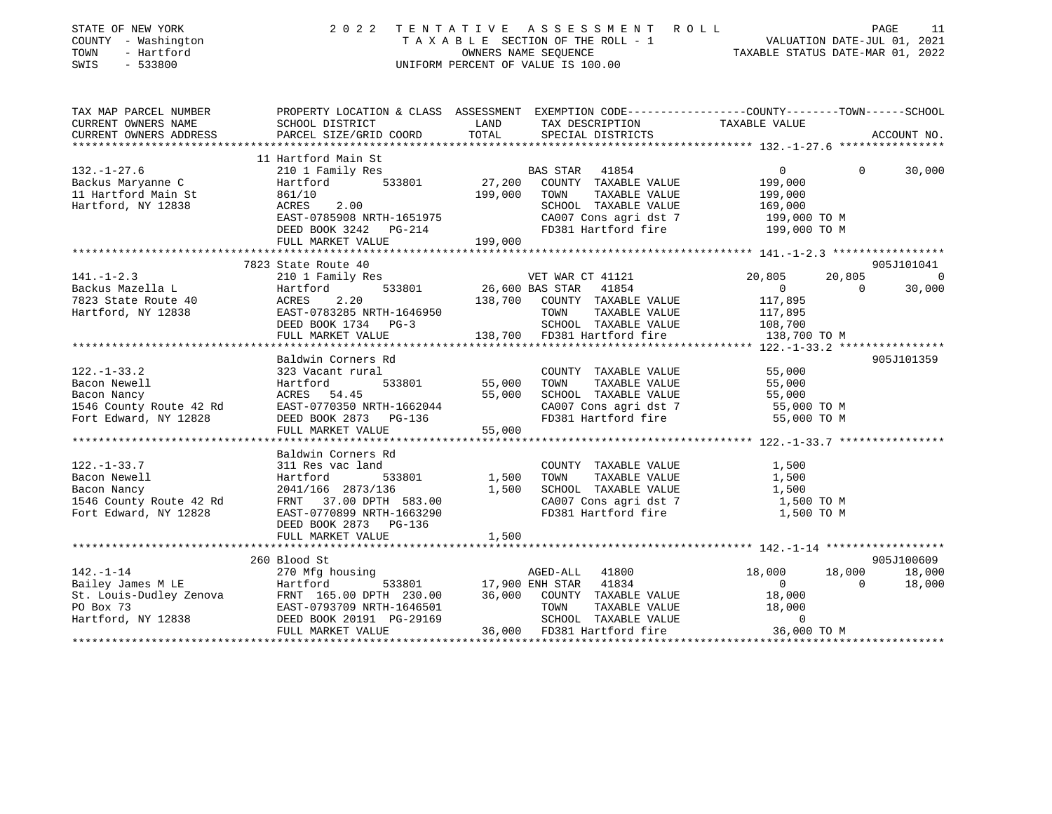| STATE OF NEW YORK<br>COUNTY - Washington<br>TOWN<br>- Hartford<br>SWIS<br>$-533800$ | 2 0 2 2                                           |                 | TENTATIVE ASSESSMENT ROLL<br>T A X A B L E SECTION OF THE ROLL - 1 VALUATION DATE-JUL 01, 2021<br>OWNERS NAME SEQUENCE TAXABLE STATUS DATE-MAR 01. 2022<br>UNIFORM PERCENT OF VALUE IS 100.00 |                                   | PAGE<br>11                           |
|-------------------------------------------------------------------------------------|---------------------------------------------------|-----------------|-----------------------------------------------------------------------------------------------------------------------------------------------------------------------------------------------|-----------------------------------|--------------------------------------|
| TAX MAP PARCEL NUMBER                                                               |                                                   |                 | PROPERTY LOCATION & CLASS ASSESSMENT EXEMPTION CODE----------------COUNTY-------TOWN------SCHOOL                                                                                              |                                   |                                      |
| CURRENT OWNERS NAME                                                                 | SCHOOL DISTRICT                                   | LAND            | TAX DESCRIPTION                                                                                                                                                                               | TAXABLE VALUE                     |                                      |
| CURRENT OWNERS ADDRESS                                                              | PARCEL SIZE/GRID COORD                            | TOTAL           | SPECIAL DISTRICTS                                                                                                                                                                             |                                   | ACCOUNT NO.                          |
|                                                                                     | 11 Hartford Main St                               |                 |                                                                                                                                                                                               |                                   |                                      |
| $132. - 1 - 27.6$                                                                   | 210 1 Family Res                                  |                 | BAS STAR 41854                                                                                                                                                                                | $\mathbf{0}$                      | $\Omega$<br>30,000                   |
| Backus Maryanne C                                                                   | 533801<br>Hartford                                | 27,200          | COUNTY TAXABLE VALUE                                                                                                                                                                          | 199,000                           |                                      |
| 11 Hartford Main St                                                                 | 861/10                                            | 199,000         | TOWN<br>TAXABLE VALUE                                                                                                                                                                         | 199,000                           |                                      |
| Hartford, NY 12838                                                                  | ACRES<br>2.00                                     |                 | SCHOOL TAXABLE VALUE                                                                                                                                                                          | 169,000                           |                                      |
|                                                                                     | EAST-0785908 NRTH-1651975                         |                 | CA007 Cons agri dst 7                                                                                                                                                                         | 199,000 TO M                      |                                      |
|                                                                                     | DEED BOOK 3242 PG-214                             |                 | FD381 Hartford fire                                                                                                                                                                           | 199,000 TO M                      |                                      |
|                                                                                     | FULL MARKET VALUE                                 | 199,000         |                                                                                                                                                                                               |                                   |                                      |
|                                                                                     |                                                   |                 |                                                                                                                                                                                               |                                   |                                      |
|                                                                                     | 7823 State Route 40                               |                 |                                                                                                                                                                                               |                                   | 905J101041                           |
| $141. - 1 - 2.3$                                                                    | 210 1 Family Res                                  |                 | VET WAR CT 41121                                                                                                                                                                              | 20,805                            | 20,805<br>$\overline{0}$<br>$\Omega$ |
| Backus Mazella L                                                                    | 533801<br>Hartford<br>ACRES<br>2.20               | 26,600 BAS STAR | 41854                                                                                                                                                                                         | $0 \qquad \qquad$<br>117,895      | 30,000                               |
| 7823 State Route 40                                                                 |                                                   | 138,700         | COUNTY TAXABLE VALUE<br>TAXABLE VALUE                                                                                                                                                         |                                   |                                      |
| Hartford, NY 12838                                                                  | EAST-0783285 NRTH-1646950<br>DEED BOOK 1734 PG-3  |                 | TOWN                                                                                                                                                                                          | 117,895                           |                                      |
|                                                                                     | FULL MARKET VALUE                                 | 138,700         | SCHOOL TAXABLE VALUE<br>FD381 Hartford fire                                                                                                                                                   | 108,700<br>138,700 TO M           |                                      |
|                                                                                     | ***********************                           |                 |                                                                                                                                                                                               | *** 122.-1-33.2 ***************** |                                      |
|                                                                                     | Baldwin Corners Rd                                |                 |                                                                                                                                                                                               |                                   | 905J101359                           |
| $122. - 1 - 33.2$                                                                   | 323 Vacant rural                                  |                 | COUNTY TAXABLE VALUE                                                                                                                                                                          | 55,000                            |                                      |
| Bacon Newell                                                                        | Hartford<br>533801                                | 55,000          | TOWN<br>TAXABLE VALUE                                                                                                                                                                         | 55,000                            |                                      |
| Bacon Nancy                                                                         | ACRES 54.45                                       | 55,000          | SCHOOL TAXABLE VALUE                                                                                                                                                                          | 55,000                            |                                      |
| 1546 County Route 42 Rd                                                             | EAST-0770350 NRTH-1662044                         |                 | CA007 Cons agri dst 7                                                                                                                                                                         | 55,000 TO M                       |                                      |
| Fort Edward, NY 12828                                                               | DEED BOOK 2873 PG-136                             |                 | FD381 Hartford fire                                                                                                                                                                           | 55,000 TO M                       |                                      |
|                                                                                     | FULL MARKET VALUE                                 | 55,000          |                                                                                                                                                                                               |                                   |                                      |
|                                                                                     |                                                   |                 |                                                                                                                                                                                               |                                   |                                      |
|                                                                                     | Baldwin Corners Rd                                |                 |                                                                                                                                                                                               |                                   |                                      |
| $122. - 1 - 33.7$                                                                   | 311 Res vac land                                  |                 | COUNTY TAXABLE VALUE                                                                                                                                                                          | 1,500                             |                                      |
| Bacon Newell                                                                        | Hartford<br>533801                                | 1,500           | TOWN<br>TAXABLE VALUE                                                                                                                                                                         | 1,500                             |                                      |
| Bacon Nancy                                                                         | 2041/166 2873/136                                 | 1,500           | SCHOOL TAXABLE VALUE                                                                                                                                                                          | 1,500                             |                                      |
| 1546 County Route 42 Rd                                                             | FRNT 37.00 DPTH 583.00                            |                 | CA007 Cons agri dst 7                                                                                                                                                                         | 1,500 TO M                        |                                      |
| Fort Edward, NY 12828                                                               | EAST-0770899 NRTH-1663290                         |                 | FD381 Hartford fire                                                                                                                                                                           | 1,500 TO M                        |                                      |
|                                                                                     | DEED BOOK 2873<br>PG-136                          |                 |                                                                                                                                                                                               |                                   |                                      |
|                                                                                     | FULL MARKET VALUE<br>**************************** | 1,500           |                                                                                                                                                                                               |                                   |                                      |
|                                                                                     |                                                   |                 |                                                                                                                                                                                               |                                   |                                      |
|                                                                                     | 260 Blood St                                      |                 |                                                                                                                                                                                               |                                   | 905J100609                           |
| $142. - 1 - 14$                                                                     | 270 Mfg housing<br>Hartford                       |                 | AGED-ALL<br>41800<br>17,900 ENH STAR 41834                                                                                                                                                    | 18,000<br>18,000<br>$\mathbf{0}$  | 18,000<br>18,000<br>$\Omega$         |
| Bailey James M LE<br>St. Louis-Dudley Zenova                                        | 533801<br>FRNT 165.00 DPTH 230.00                 | 36,000          | COUNTY TAXABLE VALUE                                                                                                                                                                          | 18,000                            |                                      |
| PO Box 73                                                                           | EAST-0793709 NRTH-1646501                         |                 | TOWN<br>TAXABLE VALUE                                                                                                                                                                         | 18,000                            |                                      |
| Hartford, NY 12838                                                                  | DEED BOOK 20191 PG-29169                          |                 | SCHOOL TAXABLE VALUE                                                                                                                                                                          | $\mathbf 0$                       |                                      |
|                                                                                     | FULL MARKET VALUE                                 |                 | 36,000 FD381 Hartford fire                                                                                                                                                                    | 36,000 TO M                       |                                      |
|                                                                                     |                                                   |                 |                                                                                                                                                                                               |                                   |                                      |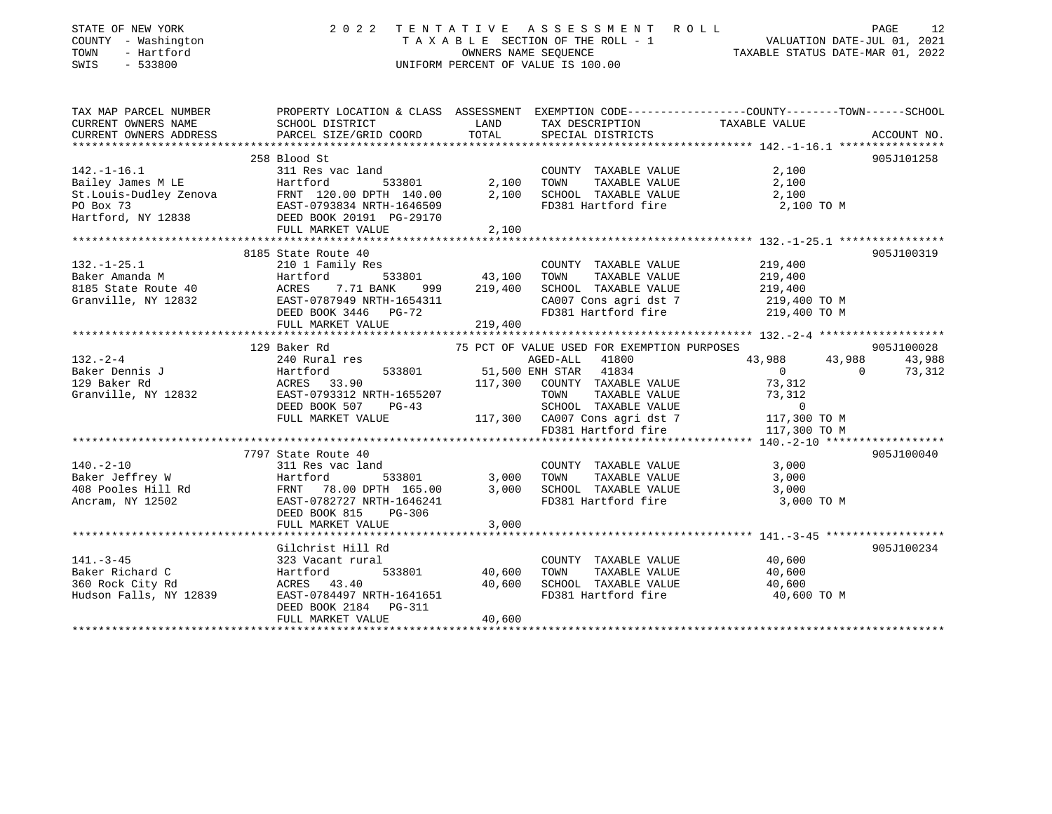| STATE OF NEW YORK<br>COUNTY - Washington<br>TOWN<br>- Hartford<br>SWIS<br>$-533800$ | 2 0 2 2<br>TENTATIVE                                                                                                                                                                                                           |               | UNIFORM PERCENT OF VALUE IS 100.00                                   | TENTATIVE ASSESSMENT ROLL PAGE 12<br>TAXABLE SECTION OF THE ROLL - 1 VALUATION DATE-JUL 01, 2021<br>OWNERS NAME SEQUENCE TAXABLE STATUS DATE-MAR 01, 2022 |
|-------------------------------------------------------------------------------------|--------------------------------------------------------------------------------------------------------------------------------------------------------------------------------------------------------------------------------|---------------|----------------------------------------------------------------------|-----------------------------------------------------------------------------------------------------------------------------------------------------------|
| CURRENT OWNERS NAME<br>CURRENT OWNERS ADDRESS                                       | SCHOOL DISTRICT<br>PARCEL SIZE/GRID COORD                                                                                                                                                                                      | LAND<br>TOTAL | TAX DESCRIPTION<br>SPECIAL DISTRICTS                                 | TAX MAP PARCEL NUMBER THE PROPERTY LOCATION & CLASS ASSESSMENT EXEMPTION CODE--------------COUNTY-------TOWN------SCHOOL<br>TAXABLE VALUE<br>ACCOUNT NO.  |
|                                                                                     | 258 Blood St                                                                                                                                                                                                                   |               |                                                                      | 905J101258                                                                                                                                                |
| $142. - 1 - 16.1$                                                                   | 311 Res vac land                                                                                                                                                                                                               |               | COUNTY TAXABLE VALUE                                                 | 2,100                                                                                                                                                     |
|                                                                                     | 533801                                                                                                                                                                                                                         | 2,100         | TOWN<br>TAXABLE VALUE                                                | 2,100                                                                                                                                                     |
|                                                                                     |                                                                                                                                                                                                                                | 2,100         | SCHOOL TAXABLE VALUE                                                 | 2,100                                                                                                                                                     |
|                                                                                     | Bailey James M LE<br>Bailey James M LE<br>SIL Res vac land<br>St.Louis-Dudley Zenova<br>PO Box 73<br>Hartford, NY 12838<br>PEED BOOK 20191 PG-29170<br>FINTL MARKET VALUE<br>PO BOX 20191 PG-29170<br>PEED BOOK 20191 PG-29170 |               | FD381 Hartford fire                                                  | 2,100 TO M                                                                                                                                                |
|                                                                                     | FULL MARKET VALUE                                                                                                                                                                                                              | 2,100         |                                                                      |                                                                                                                                                           |
|                                                                                     |                                                                                                                                                                                                                                |               |                                                                      |                                                                                                                                                           |
|                                                                                     | 8185 State Route 40                                                                                                                                                                                                            |               |                                                                      | 905J100319                                                                                                                                                |
| $132. - 1 - 25.1$                                                                   | 210 1 Family Res                                                                                                                                                                                                               |               | COUNTY TAXABLE VALUE                                                 | 219,400                                                                                                                                                   |
| Baker Amanda M                                                                      |                                                                                                                                                                                                                                | 999 219,400   | TOWN<br>TAXABLE VALUE<br>SCHOOL TAXABLE VALUE                        | 219,400                                                                                                                                                   |
| 8185 State Route 40<br>Granville, NY 12832                                          | Hartford 533801 43,100<br>ACRES 7.71 BANK 999 219,400<br>EAST-0787949 NRTH-1654311<br>PEED BOOK 3446 PG-72                                                                                                                     |               |                                                                      | 219,400                                                                                                                                                   |
|                                                                                     |                                                                                                                                                                                                                                |               | FD381 Hartford fire                                                  | CA007 Cons agri dst 7 219,400 TO M<br>219,400 TO M                                                                                                        |
|                                                                                     | FULL MARKET VALUE 219,400                                                                                                                                                                                                      |               |                                                                      |                                                                                                                                                           |
|                                                                                     |                                                                                                                                                                                                                                |               |                                                                      |                                                                                                                                                           |
|                                                                                     | 129 Baker Rd                                                                                                                                                                                                                   |               | 75 PCT OF VALUE USED FOR EXEMPTION PURPOSES                          | 905J100028                                                                                                                                                |
| $132 - 2 - 4$                                                                       | 240 Rural res                                                                                                                                                                                                                  |               | AGED-ALL 41800                                                       | 43,988<br>43,988<br>43,988                                                                                                                                |
| Baker Dennis J<br>129 Baker Rd                                                      |                                                                                                                                                                                                                                |               | 51,500 ENH STAR 41834                                                | $\overline{0}$<br>$\overline{0}$<br>73,312                                                                                                                |
|                                                                                     |                                                                                                                                                                                                                                |               | 117,300 COUNTY TAXABLE VALUE                                         | 73,312                                                                                                                                                    |
| Granville, NY 12832                                                                 | Hartford 533801<br>ACRES 33.90<br>EAST-0793312 NRTH-1655207                                                                                                                                                                    |               | TOWN<br>TAXABLE VALUE                                                | 73,312                                                                                                                                                    |
|                                                                                     | DEED BOOK 507<br>$PG-43$                                                                                                                                                                                                       |               | SCHOOL TAXABLE VALUE 0<br>117,300 CA007 Cons agri dst 7 117,300 TO M |                                                                                                                                                           |
|                                                                                     | FULL MARKET VALUE                                                                                                                                                                                                              |               |                                                                      |                                                                                                                                                           |
|                                                                                     |                                                                                                                                                                                                                                |               | FD381 Hartford fire                                                  | 117,300 TO M                                                                                                                                              |
|                                                                                     |                                                                                                                                                                                                                                |               |                                                                      |                                                                                                                                                           |
|                                                                                     | 7797 State Route 40                                                                                                                                                                                                            |               |                                                                      | 905J100040                                                                                                                                                |
|                                                                                     |                                                                                                                                                                                                                                |               | COUNTY TAXABLE VALUE                                                 | 3,000                                                                                                                                                     |
|                                                                                     | 533801                                                                                                                                                                                                                         | 3,000         | TOWN TAXABLE VALUE                                                   | 3,000                                                                                                                                                     |
|                                                                                     |                                                                                                                                                                                                                                | 3,000         | SCHOOL TAXABLE VALUE                                                 | 3,000                                                                                                                                                     |
|                                                                                     | DEED BOOK 815<br>PG-306                                                                                                                                                                                                        |               | FD381 Hartford fire                                                  | 3,000 TO M                                                                                                                                                |
|                                                                                     | FULL MARKET VALUE                                                                                                                                                                                                              | 3,000         |                                                                      |                                                                                                                                                           |
|                                                                                     |                                                                                                                                                                                                                                |               |                                                                      |                                                                                                                                                           |
|                                                                                     | Gilchrist Hill Rd                                                                                                                                                                                                              |               |                                                                      | 905J100234                                                                                                                                                |
| $141. - 3 - 45$                                                                     | 323 Vacant rural                                                                                                                                                                                                               |               | COUNTY TAXABLE VALUE                                                 | 40,600                                                                                                                                                    |
|                                                                                     |                                                                                                                                                                                                                                | 533801 40,600 | TOWN<br>TAXABLE VALUE                                                | 40,600                                                                                                                                                    |
|                                                                                     |                                                                                                                                                                                                                                | 40,600        | SCHOOL TAXABLE VALUE                                                 | 40,600                                                                                                                                                    |
|                                                                                     | Baker Richard C<br>360 Rock City Rd<br>360 Rock City Rd<br>43.40 Hudson Falls, NY 12839 EAST-0784497 NRTH-1641651                                                                                                              |               | FD381 Hartford fire                                                  | 40,600 TO M                                                                                                                                               |
|                                                                                     | DEED BOOK 2184   PG-311                                                                                                                                                                                                        |               |                                                                      |                                                                                                                                                           |
|                                                                                     | FULL MARKET VALUE                                                                                                                                                                                                              | 40,600        |                                                                      |                                                                                                                                                           |
|                                                                                     |                                                                                                                                                                                                                                |               |                                                                      |                                                                                                                                                           |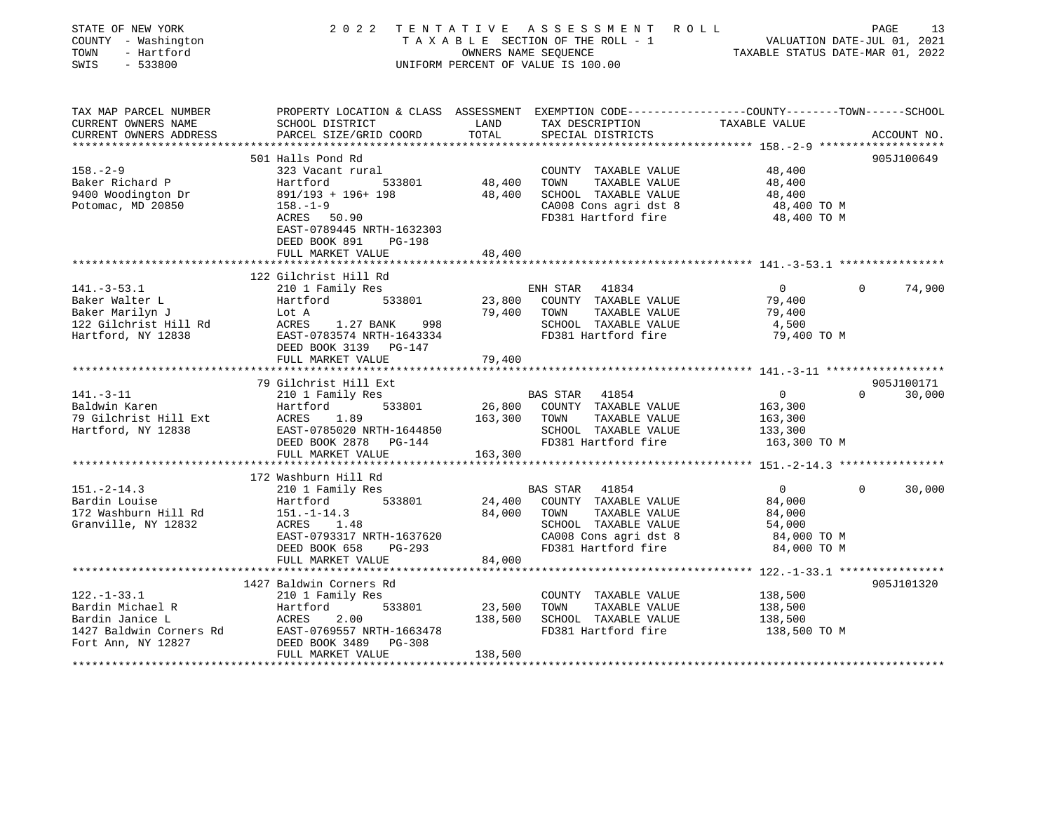| STATE OF NEW YORK<br>COUNTY - Washington<br>TOWN<br>- Hartford<br>$-533800$<br>SWIS                       | 2 0 2 2                                                                                                                                                                                            | TENTATIVE<br>OWNERS NAME SEQUENCE | ASSESSMENT ROLL<br>TAXABLE SECTION OF THE ROLL - 1<br>UNIFORM PERCENT OF VALUE IS 100.00                                                          | VALUATION DATE-JUL 01, 2021<br>TAXABLE STATUS DATE-MAR 01, 2022            | PAGE     | 13                   |
|-----------------------------------------------------------------------------------------------------------|----------------------------------------------------------------------------------------------------------------------------------------------------------------------------------------------------|-----------------------------------|---------------------------------------------------------------------------------------------------------------------------------------------------|----------------------------------------------------------------------------|----------|----------------------|
| TAX MAP PARCEL NUMBER<br>CURRENT OWNERS NAME<br>CURRENT OWNERS ADDRESS                                    | PROPERTY LOCATION & CLASS ASSESSMENT EXEMPTION CODE---------------COUNTY-------TOWN------SCHOOL<br>SCHOOL DISTRICT<br>PARCEL SIZE/GRID COORD                                                       | LAND<br>TOTAL                     | TAX DESCRIPTION<br>SPECIAL DISTRICTS                                                                                                              | TAXABLE VALUE                                                              |          | ACCOUNT NO.          |
|                                                                                                           | ***************************                                                                                                                                                                        |                                   |                                                                                                                                                   | ***************** 158. -2-9 ********************                           |          |                      |
| $158. - 2 - 9$<br>Baker Richard P<br>9400 Woodington Dr<br>Potomac, MD 20850                              | 501 Halls Pond Rd<br>323 Vacant rural<br>Hartford<br>533801<br>$891/193 + 196 + 198$<br>$158. - 1 - 9$<br>ACRES 50.90<br>EAST-0789445 NRTH-1632303<br>DEED BOOK 891<br>PG-198<br>FULL MARKET VALUE | 48,400<br>48,400<br>48,400        | COUNTY TAXABLE VALUE<br>TOWN<br>TAXABLE VALUE<br>SCHOOL TAXABLE VALUE<br>CA008 Cons agri dst 8<br>FD381 Hartford fire                             | 48,400<br>48,400<br>48,400<br>48,400 TO M<br>48,400 TO M                   |          | 905J100649           |
|                                                                                                           |                                                                                                                                                                                                    |                                   |                                                                                                                                                   |                                                                            |          |                      |
| $141. - 3 - 53.1$<br>Baker Walter L<br>Baker Marilyn J<br>122 Gilchrist Hill Rd<br>Hartford, NY 12838     | 122 Gilchrist Hill Rd<br>210 1 Family Res<br>Hartford<br>533801<br>Lot A<br>ACRES<br>1.27 BANK<br>998<br>EAST-0783574 NRTH-1643334<br>DEED BOOK 3139 PG-147                                        | 23,800<br>79,400                  | ENH STAR 41834<br>COUNTY TAXABLE VALUE<br>TOWN<br>TAXABLE VALUE<br>SCHOOL TAXABLE VALUE<br>FD381 Hartford fire                                    | $\overline{0}$<br>79,400<br>79,400<br>4,500<br>79,400 TO M                 | $\Omega$ | 74,900               |
|                                                                                                           | FULL MARKET VALUE                                                                                                                                                                                  | 79,400                            |                                                                                                                                                   |                                                                            |          |                      |
|                                                                                                           |                                                                                                                                                                                                    |                                   |                                                                                                                                                   |                                                                            |          |                      |
| $141. - 3 - 11$<br>Baldwin Karen<br>79 Gilchrist Hill Ext<br>Hartford, NY 12838                           | 79 Gilchrist Hill Ext<br>210 1 Family Res<br>533801<br>Hartford<br>ACRES<br>1.89<br>EAST-0785020 NRTH-1644850<br>DEED BOOK 2878<br>PG-144<br>FULL MARKET VALUE                                     | 26,800<br>163,300<br>163,300      | <b>BAS STAR</b><br>41854<br>COUNTY TAXABLE VALUE<br>TOWN<br>TAXABLE VALUE<br>SCHOOL TAXABLE VALUE<br>FD381 Hartford fire                          | $\overline{0}$<br>163,300<br>163,300<br>133,300<br>163,300 TO M            | $\Omega$ | 905J100171<br>30,000 |
|                                                                                                           | ****************                                                                                                                                                                                   |                                   |                                                                                                                                                   | ************* 151. -2-14.3 *****************                               |          |                      |
| $151. - 2 - 14.3$<br>Bardin Louise<br>172 Washburn Hill Rd<br>Granville, NY 12832                         | 172 Washburn Hill Rd<br>210 1 Family Res<br>533801<br>Hartford<br>$151. - 1 - 14.3$<br>ACRES<br>1.48<br>EAST-0793317 NRTH-1637620<br>DEED BOOK 658<br>PG-293                                       | 24,400<br>84,000                  | <b>BAS STAR</b><br>41854<br>COUNTY TAXABLE VALUE<br>TOWN<br>TAXABLE VALUE<br>SCHOOL TAXABLE VALUE<br>CA008 Cons agri dst 8<br>FD381 Hartford fire | $\overline{0}$<br>84,000<br>84,000<br>54,000<br>84,000 TO M<br>84,000 TO M | $\Omega$ | 30,000               |
|                                                                                                           | FULL MARKET VALUE<br>*********************                                                                                                                                                         | 84,000                            |                                                                                                                                                   |                                                                            |          |                      |
| $122. - 1 - 33.1$<br>Bardin Michael R<br>Bardin Janice L<br>1427 Baldwin Corners Rd<br>Fort Ann, NY 12827 | 1427 Baldwin Corners Rd<br>210 1 Family Res<br>Hartford<br>533801<br>ACRES<br>2.00<br>EAST-0769557 NRTH-1663478<br>DEED BOOK 3489<br>$PG-308$<br>FULL MARKET VALUE                                 | 23,500<br>138,500<br>138,500      | COUNTY TAXABLE VALUE<br>TOWN<br>TAXABLE VALUE<br>SCHOOL TAXABLE VALUE<br>FD381 Hartford fire                                                      | 138,500<br>138,500<br>138,500<br>138,500 TO M                              |          | 905J101320           |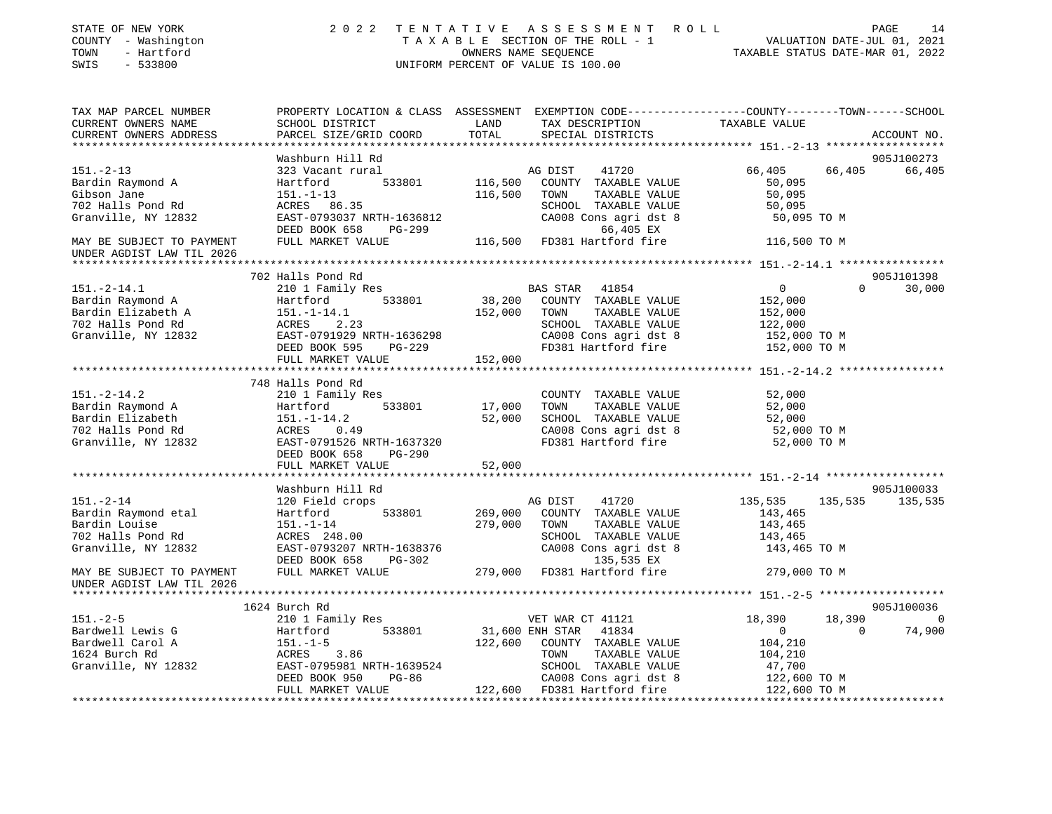| STATE OF NEW YORK<br>COUNTY - Washington               | 2 0 2 2                                              | TENTATIVE                 | A S S E S S M E N T<br>R O L L<br>TAXABLE SECTION OF THE ROLL - 1                               |                                  |          | 14<br>PAGE<br>VALUATION DATE-JUL 01, 2021 |
|--------------------------------------------------------|------------------------------------------------------|---------------------------|-------------------------------------------------------------------------------------------------|----------------------------------|----------|-------------------------------------------|
| TOWN<br>- Hartford<br>SWIS<br>$-533800$                |                                                      |                           | OWNERS NAME SEQUENCE<br>UNIFORM PERCENT OF VALUE IS 100.00                                      | TAXABLE STATUS DATE-MAR 01, 2022 |          |                                           |
| TAX MAP PARCEL NUMBER                                  |                                                      |                           | PROPERTY LOCATION & CLASS ASSESSMENT EXEMPTION CODE---------------COUNTY-------TOWN------SCHOOL |                                  |          |                                           |
| CURRENT OWNERS NAME                                    | SCHOOL DISTRICT                                      | LAND                      | TAX DESCRIPTION                                                                                 | TAXABLE VALUE                    |          |                                           |
| CURRENT OWNERS ADDRESS                                 | PARCEL SIZE/GRID COORD                               | TOTAL                     | SPECIAL DISTRICTS                                                                               |                                  |          | ACCOUNT NO.                               |
| ***********************                                |                                                      |                           |                                                                                                 |                                  |          |                                           |
|                                                        | Washburn Hill Rd                                     |                           |                                                                                                 |                                  |          | 905J100273                                |
| $151. - 2 - 13$                                        | 323 Vacant rural                                     |                           | AG DIST<br>41720                                                                                | 66,405                           | 66,405   | 66,405                                    |
| Bardin Raymond A                                       | Hartford<br>533801                                   | 116,500                   | COUNTY TAXABLE VALUE                                                                            | 50,095                           |          |                                           |
| Gibson Jane                                            | $151. - 1 - 13$                                      | 116,500                   | TOWN<br>TAXABLE VALUE                                                                           | 50,095                           |          |                                           |
| 702 Halls Pond Rd                                      | ACRES<br>86.35                                       |                           | SCHOOL TAXABLE VALUE                                                                            | 50,095                           |          |                                           |
| Granville, NY 12832                                    | EAST-0793037 NRTH-1636812                            |                           | CA008 Cons agri dst 8                                                                           | 50,095 TO M                      |          |                                           |
|                                                        | DEED BOOK 658<br>PG-299                              |                           | 66,405 EX                                                                                       |                                  |          |                                           |
| MAY BE SUBJECT TO PAYMENT                              | FULL MARKET VALUE                                    | 116,500                   | FD381 Hartford fire                                                                             | 116,500 TO M                     |          |                                           |
| UNDER AGDIST LAW TIL 2026<br>*******************       |                                                      |                           |                                                                                                 |                                  |          |                                           |
|                                                        |                                                      |                           |                                                                                                 |                                  |          |                                           |
| $151. - 2 - 14.1$                                      | 702 Halls Pond Rd                                    |                           | <b>BAS STAR</b><br>41854                                                                        | $\overline{0}$                   | $\Omega$ | 905J101398<br>30,000                      |
| Bardin Raymond A                                       | 210 1 Family Res<br>Hartford<br>533801               | 38,200                    | COUNTY TAXABLE VALUE                                                                            | 152,000                          |          |                                           |
| Bardin Elizabeth A                                     | $151. - 1 - 14.1$                                    | 152,000                   | TAXABLE VALUE<br>TOWN                                                                           | 152,000                          |          |                                           |
| 702 Halls Pond Rd                                      | ACRES<br>2.23                                        |                           | SCHOOL TAXABLE VALUE                                                                            | 122,000                          |          |                                           |
| Granville, NY 12832                                    | EAST-0791929 NRTH-1636298                            |                           | CA008 Cons agri dst 8                                                                           | 152,000 TO M                     |          |                                           |
|                                                        | DEED BOOK 595<br>$PG-229$                            |                           | FD381 Hartford fire                                                                             | 152,000 TO M                     |          |                                           |
|                                                        | FULL MARKET VALUE                                    | 152,000                   |                                                                                                 |                                  |          |                                           |
|                                                        | ***********************                              | * * * * * * * * * * * * * |                                                                                                 |                                  |          |                                           |
|                                                        | 748 Halls Pond Rd                                    |                           |                                                                                                 |                                  |          |                                           |
| $151. - 2 - 14.2$                                      | 210 1 Family Res                                     |                           | COUNTY TAXABLE VALUE                                                                            | 52,000                           |          |                                           |
| Bardin Raymond A                                       | 533801<br>Hartford                                   | 17,000                    | TOWN<br>TAXABLE VALUE                                                                           | 52,000                           |          |                                           |
| Bardin Elizabeth                                       | $151. - 1 - 14.2$                                    | 52,000                    | SCHOOL TAXABLE VALUE                                                                            | 52,000                           |          |                                           |
| 702 Halls Pond Rd                                      | ACRES<br>0.49                                        |                           | CA008 Cons agri dst 8                                                                           | 52,000 TO M                      |          |                                           |
| Granville, NY 12832                                    | EAST-0791526 NRTH-1637320                            |                           | FD381 Hartford fire                                                                             | 52,000 TO M                      |          |                                           |
|                                                        | DEED BOOK 658<br><b>PG-290</b>                       |                           |                                                                                                 |                                  |          |                                           |
|                                                        | FULL MARKET VALUE                                    | 52,000                    |                                                                                                 |                                  |          |                                           |
|                                                        | *******************                                  |                           |                                                                                                 |                                  |          |                                           |
|                                                        | Washburn Hill Rd                                     |                           |                                                                                                 |                                  |          | 905J100033                                |
| $151. - 2 - 14$                                        | 120 Field crops                                      |                           | AG DIST<br>41720                                                                                | 135,535                          | 135,535  | 135,535                                   |
| Bardin Raymond etal                                    | 533801<br>Hartford                                   | 269,000                   | COUNTY TAXABLE VALUE                                                                            | 143,465                          |          |                                           |
| Bardin Louise                                          | $151. - 1 - 14$                                      | 279,000                   | TOWN<br>TAXABLE VALUE                                                                           | 143,465                          |          |                                           |
| 702 Halls Pond Rd                                      | ACRES 248.00                                         |                           | SCHOOL TAXABLE VALUE                                                                            | 143,465                          |          |                                           |
| Granville, NY 12832                                    | EAST-0793207 NRTH-1638376<br>DEED BOOK 658<br>PG-302 |                           | CA008 Cons agri dst 8<br>135,535 EX                                                             | 143,465 TO M                     |          |                                           |
| MAY BE SUBJECT TO PAYMENT<br>UNDER AGDIST LAW TIL 2026 | FULL MARKET VALUE                                    | 279,000                   | FD381 Hartford fire                                                                             | 279,000 TO M                     |          |                                           |
|                                                        |                                                      |                           |                                                                                                 |                                  |          |                                           |
|                                                        | 1624 Burch Rd                                        |                           |                                                                                                 |                                  |          | 905J100036                                |
| $151. - 2 - 5$                                         | 210 1 Family Res                                     |                           | VET WAR CT 41121                                                                                | 18,390                           | 18,390   | 0                                         |
| Bardwell Lewis G                                       | 533801<br>Hartford                                   |                           | 31,600 ENH STAR<br>41834                                                                        | $\mathbf{0}$                     | $\Omega$ | 74,900                                    |
| Bardwell Carol A                                       | $151. - 1 - 5$                                       | 122,600                   | COUNTY TAXABLE VALUE                                                                            | 104,210                          |          |                                           |
| 1624 Burch Rd                                          | ACRES<br>3.86                                        |                           | TOWN<br>TAXABLE VALUE                                                                           | 104,210                          |          |                                           |
| Granville, NY 12832                                    | EAST-0795981 NRTH-1639524                            |                           | SCHOOL TAXABLE VALUE                                                                            | 47,700                           |          |                                           |
|                                                        | $PG-86$<br>DEED BOOK 950                             |                           | CA008 Cons agri dst 8                                                                           | 122,600 TO M                     |          |                                           |
|                                                        | FULL MARKET VALUE                                    | 122,600                   | FD381 Hartford fire                                                                             | 122,600 TO M                     |          |                                           |
|                                                        |                                                      |                           |                                                                                                 | **************                   |          | ****************                          |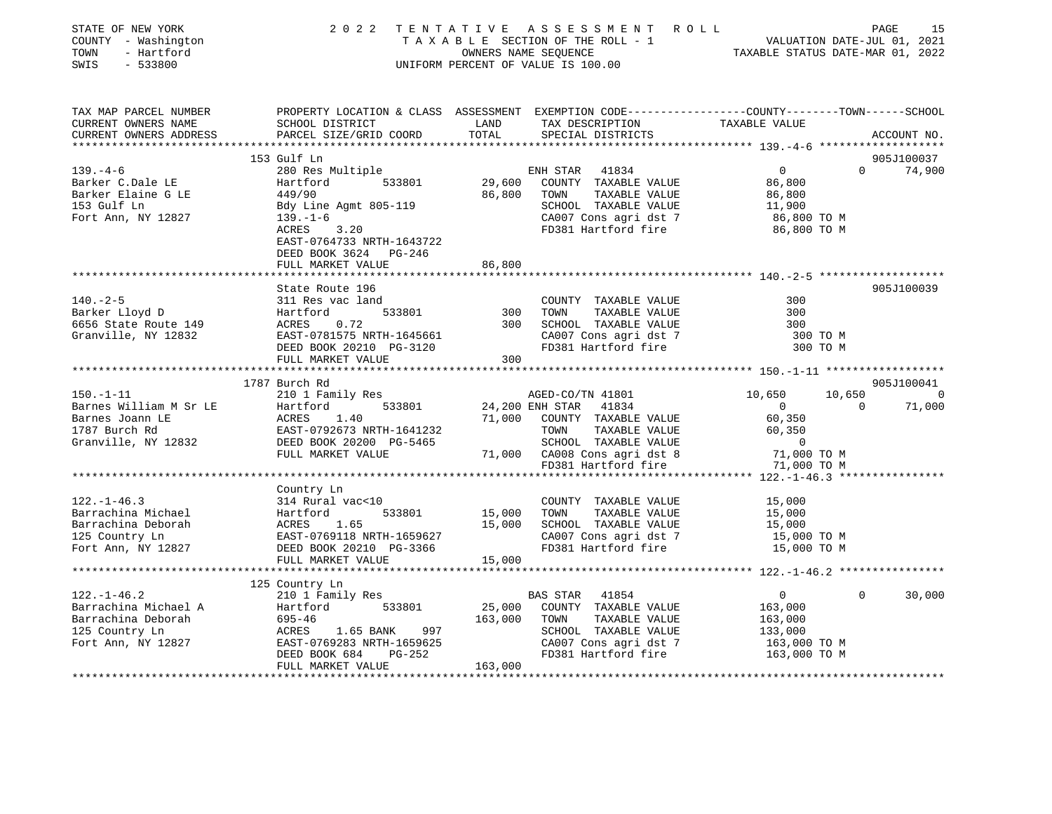| STATE OF NEW YORK<br>COUNTY - Washington<br>TOWN<br>- Hartford<br>$-533800$<br>SWIS |                                                                                                                                                                                                                                   |             |                                                                                                                                                                                                                                       | 2022 TENTATIVE ASSESSMENT ROLL PAGE 15<br>TAXABLE SECTION OF THE ROLL - 1 VALUATION DATE-JUL 01, 2021<br>OWNERS NAME SEQUENCE TAXABLE STATUS DATE-MAR 01, 2022<br>UNIFORM PERCENT OF VALUE IS 100.00 |               |
|-------------------------------------------------------------------------------------|-----------------------------------------------------------------------------------------------------------------------------------------------------------------------------------------------------------------------------------|-------------|---------------------------------------------------------------------------------------------------------------------------------------------------------------------------------------------------------------------------------------|------------------------------------------------------------------------------------------------------------------------------------------------------------------------------------------------------|---------------|
|                                                                                     |                                                                                                                                                                                                                                   |             |                                                                                                                                                                                                                                       |                                                                                                                                                                                                      |               |
| TAX MAP PARCEL NUMBER                                                               |                                                                                                                                                                                                                                   |             |                                                                                                                                                                                                                                       | PROPERTY LOCATION & CLASS ASSESSMENT EXEMPTION CODE---------------COUNTY-------TOWN-----SCHOOL                                                                                                       |               |
| CURRENT OWNERS NAME                                                                 |                                                                                                                                                                                                                                   |             |                                                                                                                                                                                                                                       |                                                                                                                                                                                                      |               |
| CURRENT OWNERS ADDRESS                                                              |                                                                                                                                                                                                                                   |             |                                                                                                                                                                                                                                       |                                                                                                                                                                                                      | ACCOUNT NO.   |
|                                                                                     |                                                                                                                                                                                                                                   |             |                                                                                                                                                                                                                                       |                                                                                                                                                                                                      |               |
|                                                                                     | 153 Gulf Ln                                                                                                                                                                                                                       |             |                                                                                                                                                                                                                                       |                                                                                                                                                                                                      | 905J100037    |
| $139. -4 - 6$                                                                       | 280 Res Multiple                                                                                                                                                                                                                  |             | NH STAR 41834 0<br>COUNTY TAXABLE VALUE 86,800<br>TOWN TAXABLE VALUE 86,800<br>SCHOOL TAXABLE VALUE 11,900<br>CA007 Cons agri dst 7 86,800 TO M<br>FD381 Hartford fire 86,800 TO M<br>ENH STAR 41834<br>$29,600$ COUNTY TAXABLE VALUE |                                                                                                                                                                                                      | $0 \t 74,900$ |
| Barker C.Dale LE                                                                    | Hartford                                                                                                                                                                                                                          |             |                                                                                                                                                                                                                                       |                                                                                                                                                                                                      |               |
|                                                                                     |                                                                                                                                                                                                                                   | 86,800 TOWN |                                                                                                                                                                                                                                       |                                                                                                                                                                                                      |               |
|                                                                                     | Barker C.Dare LE<br>Barker Elaine G LE<br>153 Gulf Ln<br>Fort Ann, NY 12827<br>139.-1-6<br>200                                                                                                                                    |             |                                                                                                                                                                                                                                       |                                                                                                                                                                                                      |               |
|                                                                                     | 3.20<br>ACRES                                                                                                                                                                                                                     |             |                                                                                                                                                                                                                                       |                                                                                                                                                                                                      |               |
|                                                                                     | EAST-0764733 NRTH-1643722                                                                                                                                                                                                         |             |                                                                                                                                                                                                                                       |                                                                                                                                                                                                      |               |
|                                                                                     | DEED BOOK 3624 PG-246                                                                                                                                                                                                             |             |                                                                                                                                                                                                                                       |                                                                                                                                                                                                      |               |
|                                                                                     | FULL MARKET VALUE                                                                                                                                                                                                                 | 86,800      |                                                                                                                                                                                                                                       |                                                                                                                                                                                                      |               |
|                                                                                     |                                                                                                                                                                                                                                   |             |                                                                                                                                                                                                                                       |                                                                                                                                                                                                      |               |
|                                                                                     | State Route 196                                                                                                                                                                                                                   |             |                                                                                                                                                                                                                                       |                                                                                                                                                                                                      | 905J100039    |
| $140. - 2 - 5$                                                                      | 311 Res vac land                                                                                                                                                                                                                  |             | COUNTY TAXABLE VALUE                                                                                                                                                                                                                  | 300                                                                                                                                                                                                  |               |
| Barker Lloyd D<br>Barker Lloyd D                                                    |                                                                                                                                                                                                                                   |             | 300 TOWN                                                                                                                                                                                                                              | 300                                                                                                                                                                                                  |               |
|                                                                                     |                                                                                                                                                                                                                                   |             |                                                                                                                                                                                                                                       | 300                                                                                                                                                                                                  |               |
|                                                                                     |                                                                                                                                                                                                                                   |             | 300 TOWN TAXABLE VALUE<br>300 SCHOOL TAXABLE VALUE<br>CA007 Cons agri dst 7                                                                                                                                                           | 300 TO M                                                                                                                                                                                             |               |
|                                                                                     | 140.-2-5<br>Barker Lloyd D<br>656 State Route 149<br>Granville, NY 12832<br>Cranville, NY 12832<br>CRES 0.72<br>EAST-0781575 NRTH-1645661<br>DEED BOOK 20210 PG-3120<br>DEED BOOK 20210 PG-3120                                   |             | FD381 Hartford fire                                                                                                                                                                                                                   | 300 TO M                                                                                                                                                                                             |               |
|                                                                                     | FULL MARKET VALUE                                                                                                                                                                                                                 | 300         |                                                                                                                                                                                                                                       |                                                                                                                                                                                                      |               |
|                                                                                     |                                                                                                                                                                                                                                   |             |                                                                                                                                                                                                                                       |                                                                                                                                                                                                      |               |
|                                                                                     |                                                                                                                                                                                                                                   |             |                                                                                                                                                                                                                                       |                                                                                                                                                                                                      | 905J100041    |
|                                                                                     |                                                                                                                                                                                                                                   |             |                                                                                                                                                                                                                                       | 10,650                                                                                                                                                                                               | $\sim$ 0      |
|                                                                                     |                                                                                                                                                                                                                                   |             |                                                                                                                                                                                                                                       | $\sim$ 0<br>$\overline{0}$                                                                                                                                                                           | 71,000        |
|                                                                                     |                                                                                                                                                                                                                                   |             | 71,000 COUNTY TAXABLE VALUE 60,350<br>TOWN TAXABLE VALUE 60,350                                                                                                                                                                       |                                                                                                                                                                                                      |               |
|                                                                                     |                                                                                                                                                                                                                                   |             |                                                                                                                                                                                                                                       |                                                                                                                                                                                                      |               |
|                                                                                     |                                                                                                                                                                                                                                   |             |                                                                                                                                                                                                                                       |                                                                                                                                                                                                      |               |
|                                                                                     |                                                                                                                                                                                                                                   |             | SCHOOL TAXABLE VALUE 0<br>71,000 CA008 Cons agri dst 8 71,000 TO M<br>FD381 Hartford fire 71,000 TO M                                                                                                                                 |                                                                                                                                                                                                      |               |
|                                                                                     |                                                                                                                                                                                                                                   |             |                                                                                                                                                                                                                                       |                                                                                                                                                                                                      |               |
|                                                                                     | Country Ln                                                                                                                                                                                                                        |             |                                                                                                                                                                                                                                       |                                                                                                                                                                                                      |               |
| $122. - 1 - 46.3$                                                                   |                                                                                                                                                                                                                                   |             | COUNTY TAXABLE VALUE 15,000                                                                                                                                                                                                           |                                                                                                                                                                                                      |               |
|                                                                                     |                                                                                                                                                                                                                                   |             |                                                                                                                                                                                                                                       |                                                                                                                                                                                                      |               |
|                                                                                     |                                                                                                                                                                                                                                   |             |                                                                                                                                                                                                                                       |                                                                                                                                                                                                      |               |
|                                                                                     |                                                                                                                                                                                                                                   |             |                                                                                                                                                                                                                                       |                                                                                                                                                                                                      |               |
|                                                                                     | 122.-1-46.3<br>Barrachina Michael Hartford 533801<br>Barrachina Deborah ACRES 1.65<br>15,000 TOWN TAXABLE VALUE 15,000 ISON 15,000 ISON 15,000 EXABLE VALUE 15,000 ISON 15,000 EXABLE VALUE 15,000<br>125 Country Ln EAST-0769118 |             |                                                                                                                                                                                                                                       |                                                                                                                                                                                                      |               |
|                                                                                     |                                                                                                                                                                                                                                   |             |                                                                                                                                                                                                                                       |                                                                                                                                                                                                      |               |
|                                                                                     |                                                                                                                                                                                                                                   |             |                                                                                                                                                                                                                                       |                                                                                                                                                                                                      |               |
|                                                                                     | 125 Country Ln                                                                                                                                                                                                                    |             |                                                                                                                                                                                                                                       |                                                                                                                                                                                                      |               |
| $122. - 1 - 46.2$                                                                   | 210 1 Family Res                                                                                                                                                                                                                  |             | BAS STAR 41854                                                                                                                                                                                                                        | $0 \qquad \qquad$<br>$\Omega$                                                                                                                                                                        | 30,000        |
|                                                                                     |                                                                                                                                                                                                                                   | 25,000      | COUNTY TAXABLE VALUE                                                                                                                                                                                                                  | 163,000                                                                                                                                                                                              |               |
|                                                                                     |                                                                                                                                                                                                                                   |             | 163,000 TOWN<br>TAXABLE VALUE                                                                                                                                                                                                         | 163,000                                                                                                                                                                                              |               |
|                                                                                     |                                                                                                                                                                                                                                   |             |                                                                                                                                                                                                                                       |                                                                                                                                                                                                      |               |
|                                                                                     |                                                                                                                                                                                                                                   |             | TOWN TAXABLE VALUE<br>SCHOOL TAXABLE VALUE 133,000<br>CA007 Cons agri dst 7 163,000 TO M<br>CA007 Cons agri dst 7<br>FD381 Hartford fire                                                                                              |                                                                                                                                                                                                      |               |
|                                                                                     |                                                                                                                                                                                                                                   |             |                                                                                                                                                                                                                                       | 163,000 TO M                                                                                                                                                                                         |               |
|                                                                                     | FULL MARKET VALUE                                                                                                                                                                                                                 | 163,000     |                                                                                                                                                                                                                                       |                                                                                                                                                                                                      |               |
|                                                                                     |                                                                                                                                                                                                                                   |             |                                                                                                                                                                                                                                       |                                                                                                                                                                                                      |               |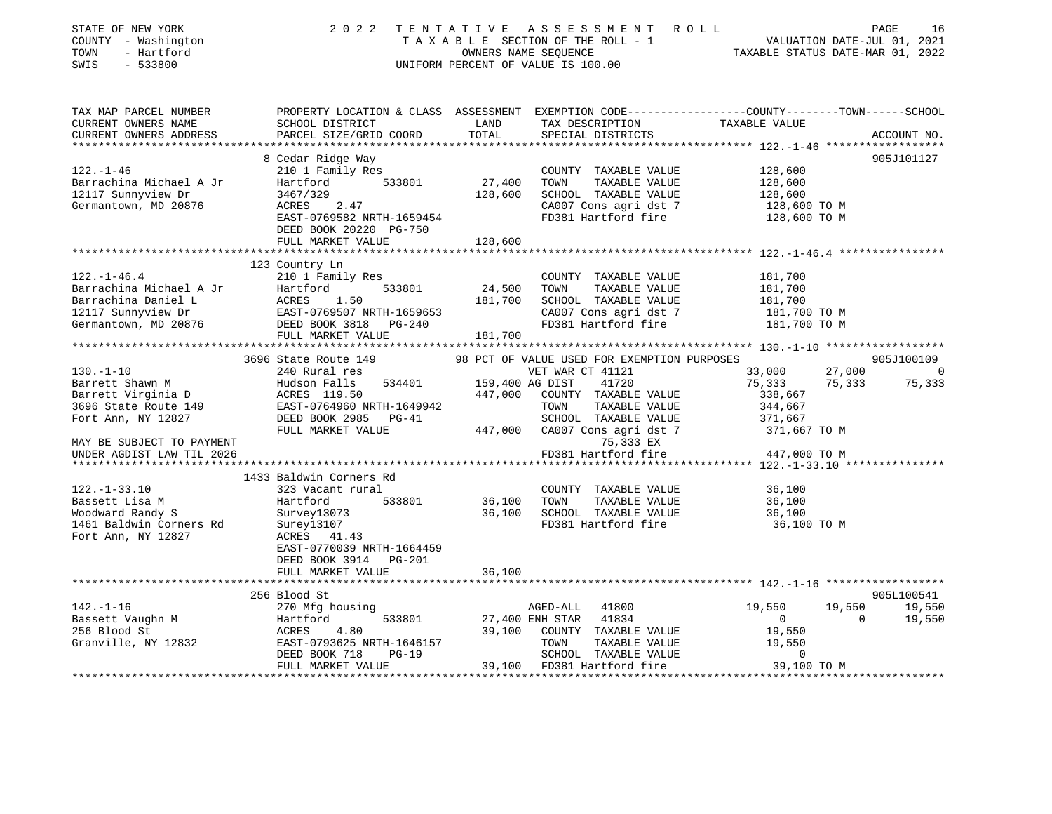| STATE OF NEW YORK<br>COUNTY - Washington<br>- Hartford<br>TOWN<br>SWIS<br>$-533800$                                                                                      |                                                                                                                                                                                    |                 | 2022 TENTATIVE ASSESSMENT ROLL<br>TAXABLE SECTION OF THE ROLL - 1<br>OWNERS NAME SEQUENCE<br>OWNERS NAME SEQUENCE<br>TAXABLE STATUS DATE-MAR 01, 2022<br>UNIFORM PERCENT OF VALUE IS 100.00 |                                                                               | PAGE<br>16                             |
|--------------------------------------------------------------------------------------------------------------------------------------------------------------------------|------------------------------------------------------------------------------------------------------------------------------------------------------------------------------------|-----------------|---------------------------------------------------------------------------------------------------------------------------------------------------------------------------------------------|-------------------------------------------------------------------------------|----------------------------------------|
| TAX MAP PARCEL NUMBER<br>CURRENT OWNERS NAME                                                                                                                             | PROPERTY LOCATION & CLASS ASSESSMENT EXEMPTION CODE----------------COUNTY-------TOWN------SCHOOL<br>SCHOOL DISTRICT                                                                | LAND            | TAX DESCRIPTION TAXABLE VALUE                                                                                                                                                               |                                                                               |                                        |
| CURRENT OWNERS ADDRESS<br>**********************                                                                                                                         | PARCEL SIZE/GRID COORD                                                                                                                                                             | TOTAL           | SPECIAL DISTRICTS                                                                                                                                                                           |                                                                               | ACCOUNT NO.                            |
| $122. - 1 - 46$<br>Barrachina Michael A Jr<br>12117 Sunnyview Dr                                                                                                         | 8 Cedar Ridge Way<br>210 1 Family Res<br>533801<br>Hartford<br>3467/329                                                                                                            | 27,400          | COUNTY TAXABLE VALUE<br>TOWN<br>TAXABLE VALUE<br>128,600 SCHOOL TAXABLE VALUE                                                                                                               | 128,600<br>128,600<br>128,600                                                 | 905J101127                             |
| Germantown, MD 20876                                                                                                                                                     | ACRES 2.47<br>EAST-0769582 NRTH-1659454<br>DEED BOOK 20220 PG-750<br>FULL MARKET VALUE                                                                                             | 128,600         | CA007 Cons agri dst 7<br>FD381 Hartford fire                                                                                                                                                | 128,600 TO M<br>128,600 TO M                                                  |                                        |
|                                                                                                                                                                          |                                                                                                                                                                                    |                 |                                                                                                                                                                                             |                                                                               |                                        |
| $122. - 1 - 46.4$<br>Barrachina Michael A Jr<br>Barrachina Daniel L<br>12117 Sunnyview Dr<br>CEAST-0769507 NRTH-1659653<br>Germantown, MD 20876<br>DEED BOOK 3818 PG-240 | 123 Country Ln<br>210 1 Family Res<br>Hartford<br>533801                                                                                                                           | 24,500 TOWN     | COUNTY TAXABLE VALUE<br>TAXABLE VALUE<br>181,700 SCHOOL TAXABLE VALUE<br>CA007 Cons agri dst 7<br>FD381 Hartford fire                                                                       | 181,700<br>181,700<br>181,700<br>181,700 TO M<br>181,700 TO M                 |                                        |
|                                                                                                                                                                          | FULL MARKET VALUE                                                                                                                                                                  | 181,700         |                                                                                                                                                                                             |                                                                               |                                        |
|                                                                                                                                                                          | 3696 State Route 149                                                                                                                                                               |                 | 98 PCT OF VALUE USED FOR EXEMPTION PURPOSES                                                                                                                                                 |                                                                               | 905J100109                             |
| $130. - 1 - 10$                                                                                                                                                          | 240 Rural res                                                                                                                                                                      |                 | VET WAR CT 41121                                                                                                                                                                            | 33,000                                                                        | 27,000<br>0                            |
| Barrett Shawn M<br>Barrett Virginia D<br>3696 State Route 149<br>Fort Ann, NY 12827                                                                                      | 534401<br>Hudson Falls<br>Hudson Falls<br>ACRES 119.50<br>EAST-0764960 NRTH-1649942<br>DEED BOOK 2985 PG-41                                                                        | 159,400 AG DIST | 41720<br>447,000 COUNTY TAXABLE VALUE<br>TOWN<br>TAXABLE VALUE<br>SCHOOL TAXABLE VALUE                                                                                                      | 75,333<br>338,667<br>344,667<br>371,667<br>371,667 TO M                       | 75,333<br>75,333                       |
| MAY BE SUBJECT TO PAYMENT<br>UNDER AGDIST LAW TIL 2026                                                                                                                   | FULL MARKET VALUE                                                                                                                                                                  |                 | 447,000 CA007 Cons agri dst 7<br>75,333 EX<br>FD381 Hartford fire                                                                                                                           | 447,000 TO M                                                                  |                                        |
|                                                                                                                                                                          |                                                                                                                                                                                    |                 |                                                                                                                                                                                             |                                                                               |                                        |
| $122. - 1 - 33.10$<br>Bassett Lisa M<br>Woodward Randy S<br>1461 Baldwin Corners Rd<br>Fort Ann, NY 12827                                                                | 1433 Baldwin Corners Rd<br>323 Vacant rural<br>Hartford<br>533801<br>Survey13073<br>Surey13107<br>ACRES 41.43<br>ACRES 41.43<br>EAST-0770039 NRTH-1664459<br>DEED BOOK 3914 PG-201 | 36,100 TOWN     | COUNTY TAXABLE VALUE<br>TAXABLE VALUE<br>36,100 SCHOOL TAXABLE VALUE<br>FD381 Hartford fire                                                                                                 | 36,100<br>36,100<br>36,100<br>36,100 TO M                                     |                                        |
|                                                                                                                                                                          | FULL MARKET VALUE                                                                                                                                                                  | 36,100          |                                                                                                                                                                                             |                                                                               |                                        |
|                                                                                                                                                                          | 256 Blood St                                                                                                                                                                       |                 |                                                                                                                                                                                             |                                                                               | 905L100541                             |
| $142. - 1 - 16$<br>Bassett Vaughn M<br>256 Plood St<br>256 Blood St<br>Granville, NY 12832                                                                               | 270 Mfg housing<br>533801<br>Hartford<br>ACRES 4.80<br>EAST-0793625 NRTH-1646157<br>DEED BOOK 718<br>$PG-19$<br>FULL MARKET VALUE                                                  | 27,400 ENH STAR | 41800<br>AGED-ALL<br>41834<br>39,100 COUNTY TAXABLE VALUE<br>TOWN<br>TAXABLE VALUE<br>SCHOOL TAXABLE VALUE<br>39,100 FD381 Hartford fire                                                    | 19,550<br>$\overline{0}$<br>19,550<br>19,550<br>$\overline{0}$<br>39,100 TO M | 19,550<br>19,550<br>$\Omega$<br>19,550 |
|                                                                                                                                                                          |                                                                                                                                                                                    |                 |                                                                                                                                                                                             |                                                                               |                                        |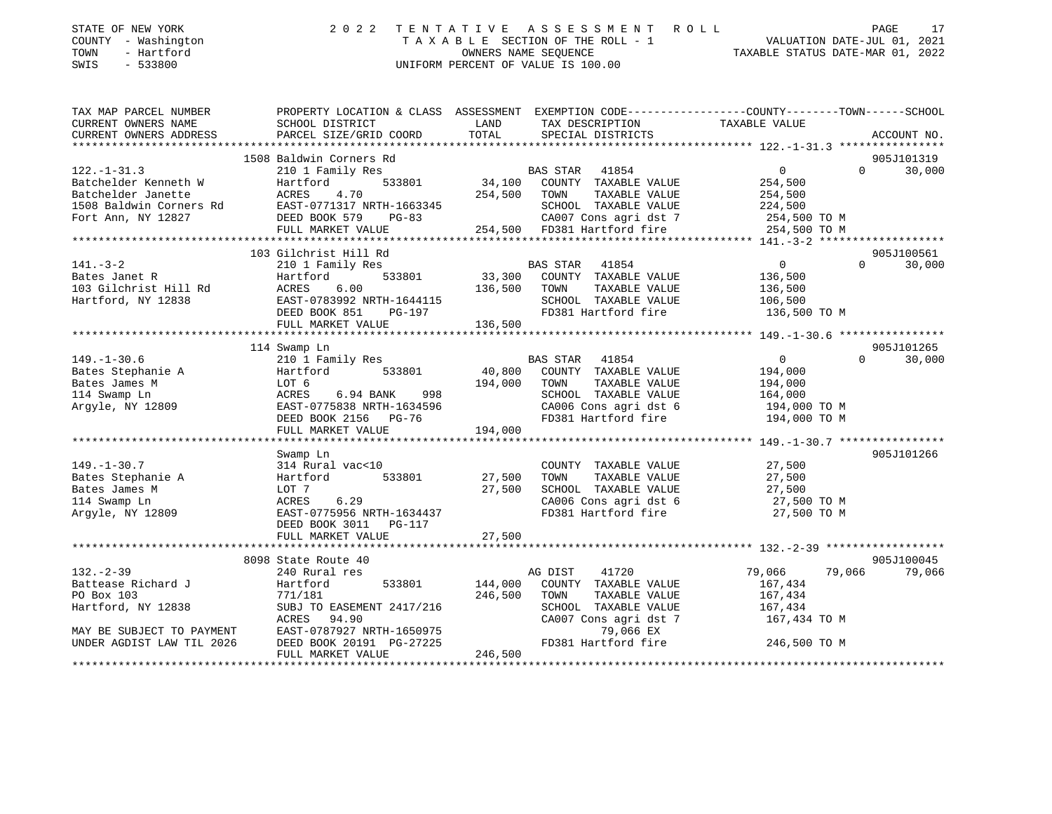| STATE OF NEW YORK<br>COUNTY - Washington<br>- Hartford<br>TOWN<br>$-533800$<br>SWIS                                                        |                                                                                                                                                           |                            | 2022 TENTATIVE ASSESSMENT ROLL<br>TAXABLE SECTION OF THE ROLL - 1<br>OWNERS NAME SEQUENCE<br>TAXABLE STATUS DATE-MAR 01, 2022<br>UNIFORM PERCENT OF VALUE IS 100.00                |                                                                 | PAGE<br>17                       |
|--------------------------------------------------------------------------------------------------------------------------------------------|-----------------------------------------------------------------------------------------------------------------------------------------------------------|----------------------------|------------------------------------------------------------------------------------------------------------------------------------------------------------------------------------|-----------------------------------------------------------------|----------------------------------|
| TAX MAP PARCEL NUMBER<br>CURRENT OWNERS NAME<br>CURRENT OWNERS ADDRESS                                                                     | SCHOOL DISTRICT<br>PARCEL SIZE/GRID COORD                                                                                                                 | LAND<br>TOTAL              | PROPERTY LOCATION & CLASS ASSESSMENT EXEMPTION CODE---------------COUNTY-------TOWN-----SCHOOL<br>TAX DESCRIPTION<br>SPECIAL DISTRICTS                                             | TAXABLE VALUE                                                   |                                  |
|                                                                                                                                            |                                                                                                                                                           |                            |                                                                                                                                                                                    |                                                                 | ACCOUNT NO.                      |
|                                                                                                                                            | 1508 Baldwin Corners Rd                                                                                                                                   |                            |                                                                                                                                                                                    |                                                                 | 905J101319                       |
| $122. - 1 - 31.3$<br>Batchelder Kenneth W<br>Batchelder Janette<br>1508 Baldwin Corners Rd EAST-0771317 NRTH-1663345<br>Fort Ann, NY 12827 | 210 1 Family Res<br>Hartford<br>ACRES<br>4.70<br>DEED BOOK 579<br>$PG-83$<br>FULL MARKET VALUE                                                            |                            | BAS STAR 41854<br>533801 34,100 COUNTY TAXABLE VALUE<br>254,500 TOWN<br>TAXABLE VALUE<br>SCHOOL TAXABLE VALUE<br>CA007 Cons agri dst 7 354,500 TO M<br>254,500 FD381 Hartford fire | $\overline{0}$<br>254,500<br>254,500<br>224,500<br>254,500 TO M | $\Omega$<br>30,000               |
|                                                                                                                                            |                                                                                                                                                           |                            |                                                                                                                                                                                    |                                                                 |                                  |
|                                                                                                                                            | 103 Gilchrist Hill Rd                                                                                                                                     |                            |                                                                                                                                                                                    |                                                                 | 905J100561                       |
| $141. - 3 - 2$<br>Bates Janet R<br>103 Gilchrist Hill Rd<br>Hartford, NY 12838                                                             | 210 1 Family Res<br>533801<br>Hartford<br>ACRES<br>6.00<br>EAST-0783992 NRTH-1644115<br>DEED BOOK 851 PG-197<br>FULL MARKET VALUE                         | 136,500 TOWN<br>136,500    | BAS STAR 41854<br>1801 - 33,300 COUNTY TAXABLE VALUE<br>TAXABLE VALUE<br>SCHOOL TAXABLE VALUE<br>FD381 Hartford fire                                                               | $\overline{0}$<br>136,500<br>136,500<br>106,500<br>136,500 TO M | $\Omega$<br>30,000               |
|                                                                                                                                            |                                                                                                                                                           |                            |                                                                                                                                                                                    |                                                                 |                                  |
| $149. - 1 - 30.6$<br>Bates Stephanie A<br>Bates James M<br>114 Swamp Ln<br>Argyle, NY 12809                                                | 114 Swamp Ln<br>210 1 Family Res<br>Hartford<br>LOT 6<br>ACRES<br>6.94 BANK 998<br>EAST-0775838 NRTH-1634596<br>DEED BOOK 2156 PG-76<br>FULL MARKET VALUE | 194,000 TOWN<br>194,000    | BAS STAR 41854<br>533801 40,800 COUNTY TAXABLE VALUE<br>TAXABLE VALUE<br>SCHOOL TAXABLE VALUE<br>CA006 Cons agri dst 6 194,000 TO M<br>FD381 Hartford fire 194,000 TO M            | $\overline{0}$<br>194,000<br>194,000<br>164,000                 | 905J101265<br>$\Omega$<br>30,000 |
|                                                                                                                                            |                                                                                                                                                           |                            |                                                                                                                                                                                    |                                                                 |                                  |
| $149. - 1 - 30.7$<br>Bates Stephanie A<br>Bates James M<br>114 Swamp Ln<br>Argyle, NY 12809                                                | Swamp Ln<br>314 Rural vac<10<br>533801<br>Hartford<br>LOT 7<br>ACRES<br>6.29<br>EAST-0775956 NRTH-1634437<br>DEED BOOK 3011 PG-117<br>FULL MARKET VALUE   | 27,500<br>27,500<br>27,500 | SCHOOL TAXABLE VALUE 27,500<br>CA006 Cons agri dst 6 27,500 TO M<br>FD381 Hartford fire                                                                                            | 27,500 TO M                                                     | 905J101266                       |

\*\*\*\*\*\*\*\*\*\*\*\*\*\*\*\*\*\*\*\*\*\*\*\*\*\*\*\*\*\*\*\*\*\*\*\*\*\*\*\*\*\*\*\*\*\*\*\*\*\*\*\*\*\*\*\*\*\*\*\*\*\*\*\*\*\*\*\*\*\*\*\*\*\*\*\*\*\*\*\*\*\*\*\*\*\*\*\*\*\*\*\*\*\*\*\*\*\*\*\*\*\*\* 132.-2-39 \*\*\*\*\*\*\*\*\*\*\*\*\*\*\*\*\*\*8098 State Route 40 905J100045 132.-2-39 240 Rural res AG DIST 41720 79,066 79,066 79,066 Battease Richard J Hartford 533801 144,000 COUNTY TAXABLE VALUE 167,434 PO Box 103 **771/181** 246,500 TOWN TAXABLE VALUE 167,434 Hartford, NY 12838 SUBJ TO EASEMENT 2417/216 SCHOOL TAXABLE VALUE 167,434 ACRES 94.90 CA007 Cons agri dst 7 167,434 TO M MAY BE SUBJECT TO PAYMENT EAST-0787927 NRTH-1650975 79,066 EX UNDER AGDIST LAW TIL 2026 DEED BOOK 20191 PG-27225 FD381 Hartford fire 246,500 TO M FULL MARKET VALUE 246,500 \*\*\*\*\*\*\*\*\*\*\*\*\*\*\*\*\*\*\*\*\*\*\*\*\*\*\*\*\*\*\*\*\*\*\*\*\*\*\*\*\*\*\*\*\*\*\*\*\*\*\*\*\*\*\*\*\*\*\*\*\*\*\*\*\*\*\*\*\*\*\*\*\*\*\*\*\*\*\*\*\*\*\*\*\*\*\*\*\*\*\*\*\*\*\*\*\*\*\*\*\*\*\*\*\*\*\*\*\*\*\*\*\*\*\*\*\*\*\*\*\*\*\*\*\*\*\*\*\*\*\*\*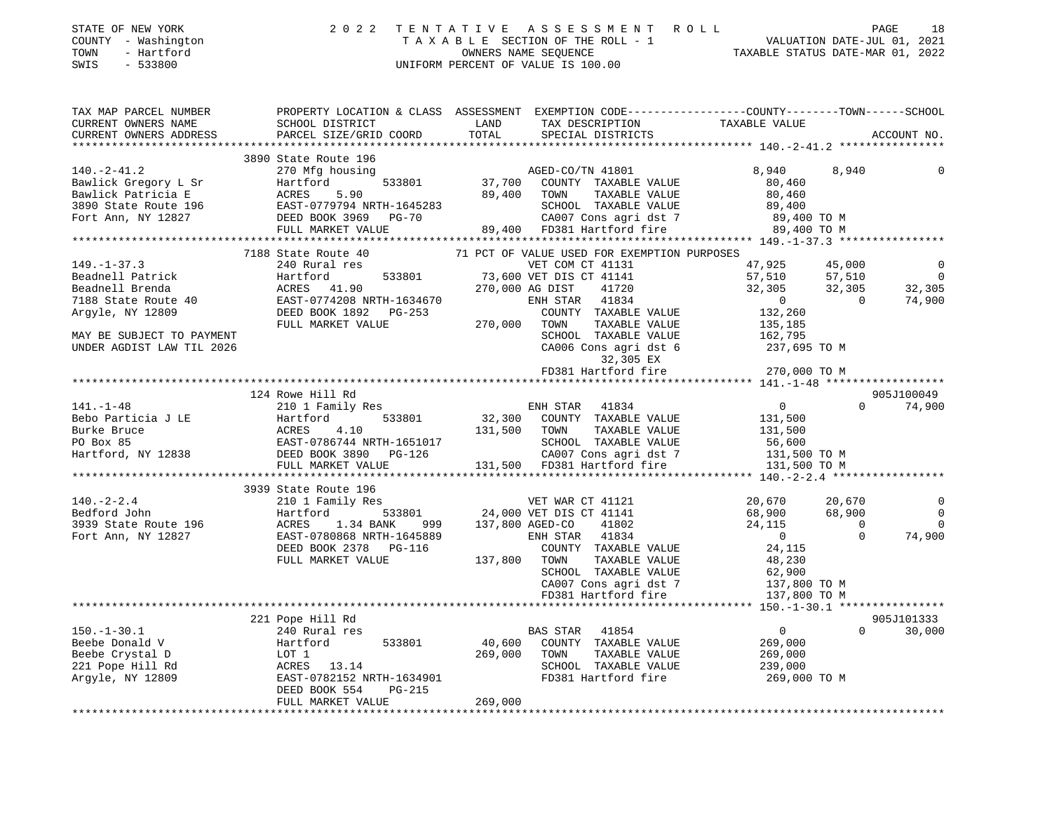| COUNTY - Washington<br>TOWN<br>- Hartford<br>SWIS<br>$-533800$ |                                                                                | UNIFORM PERCENT OF VALUE IS 100.00                                                                                                                                                                                                                                                                                                                                                                                                |                                                                                                                                     |
|----------------------------------------------------------------|--------------------------------------------------------------------------------|-----------------------------------------------------------------------------------------------------------------------------------------------------------------------------------------------------------------------------------------------------------------------------------------------------------------------------------------------------------------------------------------------------------------------------------|-------------------------------------------------------------------------------------------------------------------------------------|
| CURRENT OWNERS NAME                                            | CURRENT OWNERS ADDRESS PARCEL SIZE/GRID COORD TOTAL                            |                                                                                                                                                                                                                                                                                                                                                                                                                                   | TAX MAP PARCEL NUMBER PROPERTY LOCATION & CLASS ASSESSMENT EXEMPTION CODE--------------COUNTY-------TOWN------SCHOOL<br>ACCOUNT NO. |
|                                                                |                                                                                |                                                                                                                                                                                                                                                                                                                                                                                                                                   |                                                                                                                                     |
|                                                                | 3890 State Route 196                                                           |                                                                                                                                                                                                                                                                                                                                                                                                                                   |                                                                                                                                     |
|                                                                |                                                                                | 3890 State Route 196 3890 State Route 196 3890 State Route 196 3890 State Route 196 3890 State Route 196 3890 State Route 196 3890 State Route 196 3890 State Route 196 3890 State Route 196 3890 State Route 196 3890 State R                                                                                                                                                                                                    | 8,940                                                                                                                               |
|                                                                |                                                                                |                                                                                                                                                                                                                                                                                                                                                                                                                                   |                                                                                                                                     |
|                                                                |                                                                                |                                                                                                                                                                                                                                                                                                                                                                                                                                   |                                                                                                                                     |
|                                                                | 7188 State Route 40                                                            | 71 PCT OF VALUE USED FOR EXEMPTION PURPOSES                                                                                                                                                                                                                                                                                                                                                                                       | $\overline{0}$<br>$\overline{0}$<br>32,305<br>74,900                                                                                |
|                                                                |                                                                                |                                                                                                                                                                                                                                                                                                                                                                                                                                   |                                                                                                                                     |
|                                                                |                                                                                |                                                                                                                                                                                                                                                                                                                                                                                                                                   |                                                                                                                                     |
|                                                                | 124 Rowe Hill Rd                                                               |                                                                                                                                                                                                                                                                                                                                                                                                                                   | 905J100049<br>$\overline{0}$                                                                                                        |
|                                                                |                                                                                | ${\small \begin{tabular}{lcccc} \texttt{141.-1-48} & \texttt{1424 KOWe H11 KQ} & \texttt{1434} & \texttt{0} \\ \texttt{Bebo} \texttt{Particle} & \texttt{315,500} & \texttt{141.500} & \texttt{533801} & \texttt{32,300} & \texttt{COUNTY} \texttt{TXABLE VALUE} & \texttt{131,500} \\ \texttt{Buko Barticia J LE} & \texttt{Hartford} & \texttt{533801} & \texttt{32,300} & \texttt{COUNTY} \texttt{TAXABLE VALUE} & \texttt{13$ | $0 \t 74,900$                                                                                                                       |
|                                                                |                                                                                |                                                                                                                                                                                                                                                                                                                                                                                                                                   |                                                                                                                                     |
|                                                                |                                                                                | $\begin{array}{cccc} \text{3939 State Route 196} & \text{3939 State Route 196} & \text{VET WAR CT 41121} \\ \text{Bedford John} & \text{Hartford} & \text{533801} & \text{24,000 VET DIS CT 41141} \\ \text{3939 State Route 196} & \text{ACRES} & \text{1.34 BANK} & \text{999} & \text{137,800 AGED-CO} & \text{41802} \\ \text{Fort Ann, NY 12827} & \text{EAST-0780868 NRTH-1645889} & \text{ENH STAR} & \text{4$             | $\overline{0}$<br>$\begin{matrix}0\\0\end{matrix}$<br>74,900                                                                        |
|                                                                |                                                                                |                                                                                                                                                                                                                                                                                                                                                                                                                                   |                                                                                                                                     |
| $150. - 1 - 30.1$                                              | 221 Pope Hill Rd<br>240 Rural res<br>DEED BOOK 554 PG-215<br>FULL MARKET VALUE | BAS STAR 41854<br>COUNTY TAXABLE VALUE<br>TOWN TAXABLE VALUE 269,000<br>SCHOOL TAXABLE VALUE 269,000<br>FD381 Hartford fire 269,000 TO M<br>Example 26 and the control of the Martford and V<br>Beebe Crystal D<br>26 Crystal D<br>26 Crystal D<br>26 Crystal D<br>26 Crystal D<br>26 Crystal D<br>26 Crystal D<br>26 Crystal D<br>269,000 TOWN TAXABLE VALUE<br>269,000 TOWN TAXABLE VALUE<br>2<br>269,000                       | 905J101333<br>$\overline{0}$<br>$0 \t 30,000$                                                                                       |

STATE OF NEW YORK 2022 TENTATIVE ASSESSMENT ROLL PAGE 18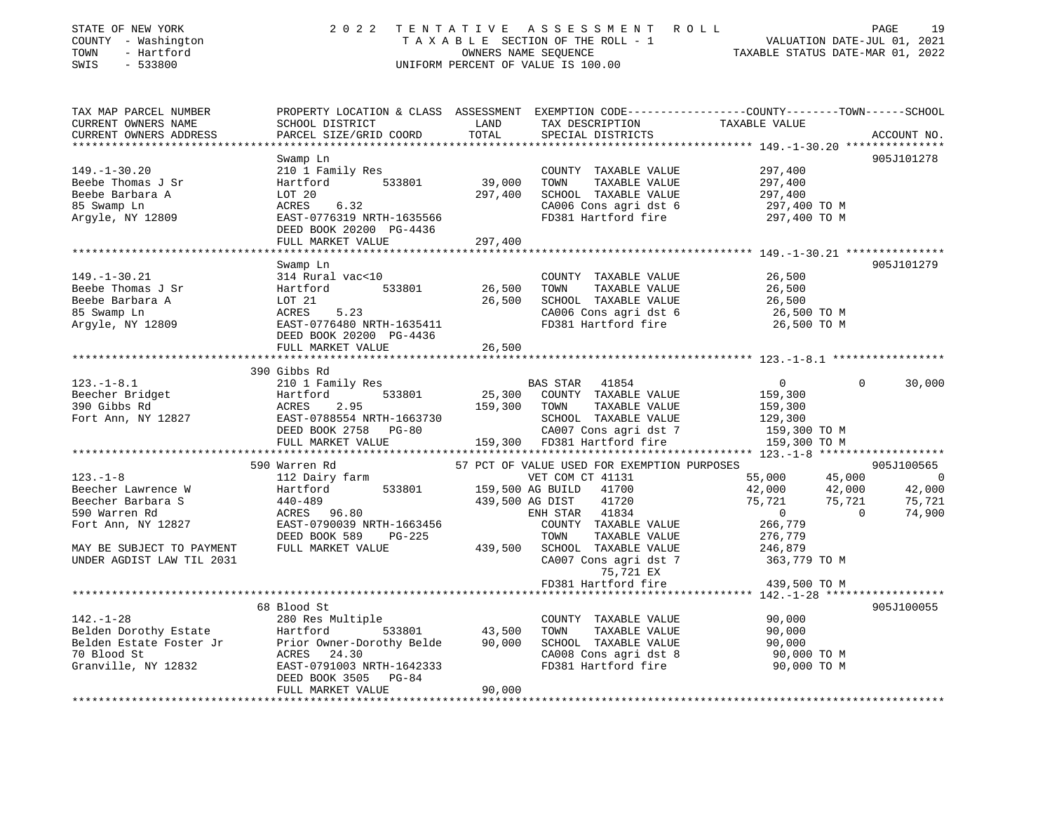| STATE OF NEW YORK<br>COUNTY - Washington<br>- Hartford<br>TOWN<br>SWIS<br>$-533800$ | 2 0 2 2                                                                                                                                       | TENTATIVE        | ASSESSMENT ROLL<br>UNIFORM PERCENT OF VALUE IS 100.00 | TAXABLE STATUS DATE-MAR 01, 2022                 | VALUATION DATE-JUL 01, 2021 | 19<br>PAGE  |
|-------------------------------------------------------------------------------------|-----------------------------------------------------------------------------------------------------------------------------------------------|------------------|-------------------------------------------------------|--------------------------------------------------|-----------------------------|-------------|
| TAX MAP PARCEL NUMBER<br>CURRENT OWNERS NAME<br>CURRENT OWNERS ADDRESS              | PROPERTY LOCATION & CLASS ASSESSMENT EXEMPTION CODE----------------COUNTY-------TOWN------SCHOOL<br>SCHOOL DISTRICT<br>PARCEL SIZE/GRID COORD | LAND<br>TOTAL    | TAX DESCRIPTION<br>SPECIAL DISTRICTS                  | TAXABLE VALUE                                    |                             | ACCOUNT NO. |
|                                                                                     | Swamp Ln                                                                                                                                      |                  |                                                       |                                                  |                             | 905J101278  |
| $149. - 1 - 30.20$                                                                  | 210 1 Family Res                                                                                                                              |                  | COUNTY TAXABLE VALUE                                  | 297,400                                          |                             |             |
| Beebe Thomas J Sr                                                                   | Hartford 533801                                                                                                                               | 39,000           | TOWN<br>TAXABLE VALUE                                 | 297,400                                          |                             |             |
| Beebe Barbara A                                                                     | LOT 20                                                                                                                                        | 297,400          | SCHOOL TAXABLE VALUE                                  | 297,400                                          |                             |             |
| 85 Swamp Ln                                                                         | ACRES<br>6.32                                                                                                                                 |                  | CA006 Cons agri dst 6                                 | 297,400 TO M                                     |                             |             |
| Argyle, NY 12809                                                                    | EAST-0776319 NRTH-1635566                                                                                                                     |                  | FD381 Hartford fire                                   | 297,400 TO M                                     |                             |             |
|                                                                                     | DEED BOOK 20200 PG-4436                                                                                                                       |                  |                                                       |                                                  |                             |             |
|                                                                                     | FULL MARKET VALUE                                                                                                                             | 297,400          |                                                       |                                                  |                             |             |
|                                                                                     |                                                                                                                                               |                  |                                                       |                                                  |                             |             |
|                                                                                     | Swamp Ln                                                                                                                                      |                  |                                                       |                                                  |                             | 905J101279  |
| $149. - 1 - 30.21$                                                                  | 314 Rural vac<10                                                                                                                              |                  | COUNTY TAXABLE VALUE                                  | 26,500                                           |                             |             |
| Beebe Thomas J Sr<br>Beebe Barbara A                                                | Hartford<br>533801                                                                                                                            | 26,500<br>26,500 | TOWN<br>TAXABLE VALUE                                 | 26,500                                           |                             |             |
| 85 Swamp Ln                                                                         | LOT 21<br>ACRES<br>5.23                                                                                                                       |                  | SCHOOL TAXABLE VALUE<br>CA006 Cons agri dst 6         | 26,500                                           |                             |             |
| Argyle, NY 12809                                                                    | EAST-0776480 NRTH-1635411                                                                                                                     |                  | FD381 Hartford fire                                   | 26,500 TO M<br>26,500 TO M                       |                             |             |
|                                                                                     | DEED BOOK 20200 PG-4436                                                                                                                       |                  |                                                       |                                                  |                             |             |
|                                                                                     | FULL MARKET VALUE                                                                                                                             | 26,500           |                                                       |                                                  |                             |             |
|                                                                                     |                                                                                                                                               | **********       |                                                       | ******************** 123.-1-8.1 **************** |                             |             |
|                                                                                     | 390 Gibbs Rd                                                                                                                                  |                  |                                                       |                                                  |                             |             |
| $123. - 1 - 8.1$                                                                    | 210 1 Family Res                                                                                                                              |                  | BAS STAR 41854                                        | $\overline{0}$                                   | $\mathbf 0$                 | 30,000      |
| Beecher Bridget                                                                     | 533801<br>Hartford                                                                                                                            | 25,300           | COUNTY TAXABLE VALUE                                  | 159,300                                          |                             |             |
| 390 Gibbs Rd                                                                        | ACRES<br>2.95                                                                                                                                 | 159,300          | TOWN<br>TAXABLE VALUE                                 | 159,300                                          |                             |             |
| Fort Ann, NY 12827                                                                  | EAST-0788554 NRTH-1663730                                                                                                                     |                  | SCHOOL TAXABLE VALUE                                  | 129,300                                          |                             |             |
|                                                                                     | DEED BOOK 2758 PG-80                                                                                                                          |                  | CA007 Cons agri dst 7                                 | 159,300 TO M                                     |                             |             |
|                                                                                     | FULL MARKET VALUE                                                                                                                             |                  | 159,300 FD381 Hartford fire                           | 159,300 TO M                                     |                             |             |
|                                                                                     |                                                                                                                                               |                  |                                                       |                                                  |                             |             |
|                                                                                     | 590 Warren Rd                                                                                                                                 |                  | 57 PCT OF VALUE USED FOR EXEMPTION PURPOSES           |                                                  |                             | 905J100565  |
| $123. - 1 - 8$                                                                      | 112 Dairy farm                                                                                                                                |                  | VET COM CT 41131                                      | 55,000                                           | 45,000                      | $\sim$ 0    |
| Beecher Lawrence W                                                                  | Hartford<br>533801                                                                                                                            |                  | 159,500 AG BUILD 41700                                | 42,000                                           | 42,000                      | 42,000      |
| Beecher Barbara S                                                                   | $440 - 489$                                                                                                                                   |                  | 439,500 AG DIST<br>41720                              | 75,721                                           | 75,721                      | 75,721      |
| 590 Warren Rd                                                                       | ACRES 96.80                                                                                                                                   |                  | ENH STAR 41834                                        | $\overline{0}$                                   | $\overline{0}$              | 74,900      |
| Fort Ann, NY 12827                                                                  | EAST-0790039 NRTH-1663456                                                                                                                     |                  | COUNTY TAXABLE VALUE                                  | 266,779                                          |                             |             |
|                                                                                     | DEED BOOK 589<br>PG-225                                                                                                                       |                  | TOWN<br>TAXABLE VALUE<br>SCHOOL TAXABLE VALUE         | 276,779                                          |                             |             |
| MAY BE SUBJECT TO PAYMENT<br>UNDER AGDIST LAW TIL 2031                              | FULL MARKET VALUE                                                                                                                             | 439,500          | CA007 Cons agri dst 7                                 | 246,879<br>363,779 TO M                          |                             |             |
|                                                                                     |                                                                                                                                               |                  | 75,721 EX                                             |                                                  |                             |             |
|                                                                                     |                                                                                                                                               |                  | FD381 Hartford fire                                   | 439,500 TO M                                     |                             |             |
|                                                                                     |                                                                                                                                               |                  |                                                       |                                                  |                             |             |
|                                                                                     | 68 Blood St                                                                                                                                   |                  |                                                       |                                                  |                             | 905J100055  |
| $142. - 1 - 28$                                                                     | 280 Res Multiple                                                                                                                              |                  | COUNTY TAXABLE VALUE                                  | 90,000                                           |                             |             |
| Belden Dorothy Estate                                                               | 533801<br>Hartford                                                                                                                            | 43,500           | TOWN<br>TAXABLE VALUE                                 | 90,000                                           |                             |             |
| Belden Estate Foster Jr                                                             | Prior Owner-Dorothy Belde                                                                                                                     | 90,000           | SCHOOL TAXABLE VALUE                                  | 90,000                                           |                             |             |
| 70 Blood St                                                                         | ACRES<br>24.30                                                                                                                                |                  | CA008 Cons agri dst 8                                 | 90,000 TO M                                      |                             |             |
| Granville, NY 12832                                                                 | EAST-0791003 NRTH-1642333                                                                                                                     |                  | FD381 Hartford fire                                   | 90,000 TO M                                      |                             |             |
|                                                                                     | DEED BOOK 3505<br>PG-84                                                                                                                       |                  |                                                       |                                                  |                             |             |
|                                                                                     | FULL MARKET VALUE                                                                                                                             | 90,000           |                                                       |                                                  |                             |             |
|                                                                                     |                                                                                                                                               |                  |                                                       |                                                  |                             |             |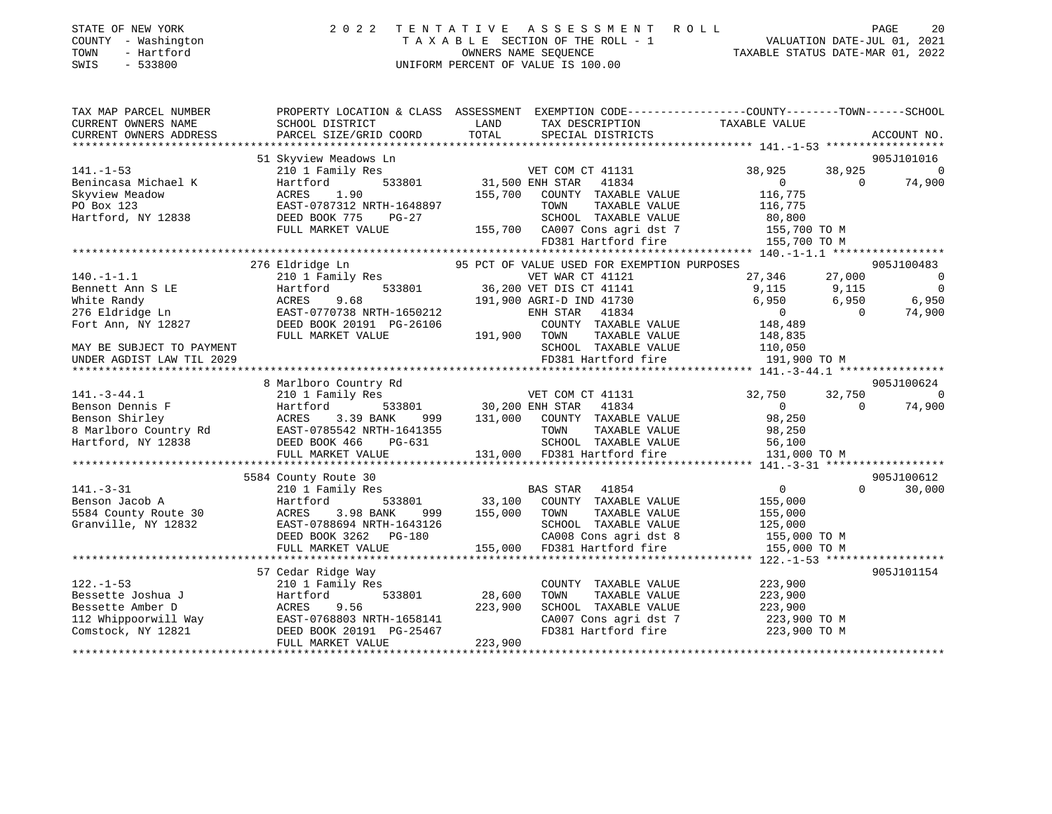| STATE OF NEW YORK |              |
|-------------------|--------------|
| <b>COUNTY</b>     | - Washington |
| TOWN              | - Hartford   |

## STATE OF NEW YORK 2 0 2 2 T E N T A T I V E A S S E S S M E N T R O L L PAGE 20COUNTY - Washington T A X A B L E SECTION OF THE ROLL - 1 VALUATION DATE-JUL 01, 2021 SWIS - 533800 UNIFORM PERCENT OF VALUE IS 100.00

 $20$ 

TAXABLE STATUS DATE-MAR 01, 2022

| TAX MAP PARCEL NUMBER<br>CURRENT OWNERS NAME<br>CURRENT OWNERS ADDRESS | PROPERTY LOCATION & CLASS ASSESSMENT<br>SCHOOL DISTRICT<br>PARCEL SIZE/GRID COORD | LAND<br>TOTAL          | TAX DESCRIPTION TAXABLE VALUE<br>SPECIAL DISTRICTS                     | EXEMPTION CODE----------------COUNTY-------TOWN------SCHOOL | ACCOUNT NO.                              |
|------------------------------------------------------------------------|-----------------------------------------------------------------------------------|------------------------|------------------------------------------------------------------------|-------------------------------------------------------------|------------------------------------------|
|                                                                        | 51 Skyview Meadows Ln                                                             |                        |                                                                        |                                                             | 905J101016                               |
| $141. - 1 - 53$<br>Benincasa Michael K<br>Skyview Meadow               | 210 1 Family Res<br>533801<br>Hartford<br>1.90<br>ACRES                           | 155,700                | VET COM CT 41131<br>31,500 ENH STAR<br>41834<br>COUNTY TAXABLE VALUE   | 38,925<br>$\circ$<br>116,775                                | 38,925<br>$\Omega$<br>74,900<br>$\Omega$ |
| PO Box 123<br>Hartford, NY 12838                                       | EAST-0787312 NRTH-1648897<br>DEED BOOK 775<br>PG-27<br>FULL MARKET VALUE          | 155,700                | TOWN<br>TAXABLE VALUE<br>SCHOOL TAXABLE VALUE<br>CA007 Cons agri dst 7 | 116,775<br>80,800<br>155,700 TO M                           |                                          |
|                                                                        |                                                                                   |                        | FD381 Hartford fire                                                    | 155,700 TO M                                                |                                          |
|                                                                        |                                                                                   |                        |                                                                        |                                                             |                                          |
|                                                                        | 276 Eldridge Ln                                                                   |                        | 95 PCT OF VALUE USED FOR EXEMPTION PURPOSES                            |                                                             | 905J100483                               |
| $140. - 1 - 1.1$                                                       | 210 1 Family Res                                                                  |                        | VET WAR CT 41121                                                       | 27,346                                                      | 27,000<br>$\overline{0}$                 |
| Bennett Ann S LE                                                       | Hartford                                                                          |                        | 533801 36,200 VET DIS CT 41141                                         | 9,115                                                       | 9,115<br>$\overline{0}$                  |
| White Randy                                                            | 9.68<br>ACRES                                                                     |                        | 191,900 AGRI-D IND 41730                                               | 6,950                                                       | 6,950<br>6,950                           |
| 276 Eldridge Ln                                                        | EAST-0770738 NRTH-1650212                                                         |                        | 41834<br>ENH STAR                                                      | $\overline{0}$                                              | 74,900<br>$\Omega$                       |
| Fort Ann, NY 12827                                                     | DEED BOOK 20191 PG-26106                                                          |                        | COUNTY TAXABLE VALUE                                                   | 148,489                                                     |                                          |
|                                                                        | FULL MARKET VALUE                                                                 | 191,900                | TOWN<br>TAXABLE VALUE                                                  | 148,835                                                     |                                          |
| MAY BE SUBJECT TO PAYMENT                                              |                                                                                   |                        | SCHOOL TAXABLE VALUE                                                   | 110,050                                                     |                                          |
| UNDER AGDIST LAW TIL 2029                                              |                                                                                   |                        | FD381 Hartford fire                                                    | 191,900 TO M                                                |                                          |
|                                                                        |                                                                                   |                        |                                                                        |                                                             |                                          |
|                                                                        | 8 Marlboro Country Rd                                                             |                        |                                                                        |                                                             | 905J100624                               |
| $141. - 3 - 44.1$                                                      | 210 1 Family Res                                                                  |                        | VET COM CT 41131                                                       | 32,750                                                      | 32,750<br>$\overline{0}$                 |
| Benson Dennis F                                                        | Hartford                                                                          | 533801 30,200 ENH STAR | 41834                                                                  | $\overline{0}$                                              | 74,900<br>$\Omega$                       |
| Benson Shirley                                                         | ACRES<br>3.39 BANK<br>999                                                         | 131,000                | COUNTY TAXABLE VALUE                                                   | 98,250                                                      |                                          |
| 8 Marlboro Country Rd                                                  | EAST-0785542 NRTH-1641355                                                         |                        | TOWN<br>TAXABLE VALUE                                                  | 98,250                                                      |                                          |
| Hartford, NY 12838                                                     |                                                                                   |                        | SCHOOL TAXABLE VALUE                                                   |                                                             |                                          |
|                                                                        | DEED BOOK 466<br>PG-631                                                           |                        |                                                                        | 56,100                                                      |                                          |
|                                                                        | FULL MARKET VALUE                                                                 |                        | 131,000 FD381 Hartford fire                                            | 131,000 TO M                                                |                                          |
|                                                                        |                                                                                   |                        |                                                                        |                                                             |                                          |
|                                                                        | 5584 County Route 30                                                              |                        |                                                                        |                                                             | 905J100612                               |
| $141. - 3 - 31$                                                        | 210 1 Family Res                                                                  |                        | <b>BAS STAR</b><br>41854                                               | $\overline{0}$                                              | $\Omega$<br>30,000                       |
| Benson Jacob A                                                         | Hartford<br>533801                                                                | 33,100                 | COUNTY TAXABLE VALUE                                                   | 155,000                                                     |                                          |
| 5584 County Route 30                                                   | ACRES<br>3.98 BANK<br>999                                                         | 155,000                | TOWN<br>TAXABLE VALUE                                                  | 155,000                                                     |                                          |
| Granville, NY 12832                                                    | EAST-0788694 NRTH-1643126                                                         |                        | SCHOOL TAXABLE VALUE                                                   | 125,000                                                     |                                          |
|                                                                        | DEED BOOK 3262 PG-180                                                             |                        | CA008 Cons agri dst 8                                                  | 155,000 TO M                                                |                                          |
|                                                                        | FULL MARKET VALUE                                                                 | 155,000                | FD381 Hartford fire                                                    | 155,000 TO M                                                |                                          |
|                                                                        |                                                                                   |                        |                                                                        |                                                             |                                          |
|                                                                        | 57 Cedar Ridge Way                                                                |                        |                                                                        |                                                             | 905J101154                               |
| $122. - 1 - 53$                                                        | 210 1 Family Res                                                                  |                        | COUNTY TAXABLE VALUE                                                   | 223,900                                                     |                                          |
| Bessette Joshua J                                                      | 533801<br>Hartford                                                                | 28,600                 | TOWN<br>TAXABLE VALUE                                                  | 223,900                                                     |                                          |
| Bessette Amber D                                                       | ACRES<br>9.56                                                                     | 223,900                | SCHOOL TAXABLE VALUE                                                   | 223,900                                                     |                                          |
| 112 Whippoorwill Way                                                   | EAST-0768803 NRTH-1658141                                                         |                        | CA007 Cons agri dst 7                                                  | 223,900 TO M                                                |                                          |
| Comstock, NY 12821                                                     | DEED BOOK 20191 PG-25467                                                          |                        | FD381 Hartford fire                                                    | 223,900 TO M                                                |                                          |
|                                                                        | FULL MARKET VALUE                                                                 | 223,900                |                                                                        |                                                             |                                          |
|                                                                        |                                                                                   |                        |                                                                        |                                                             |                                          |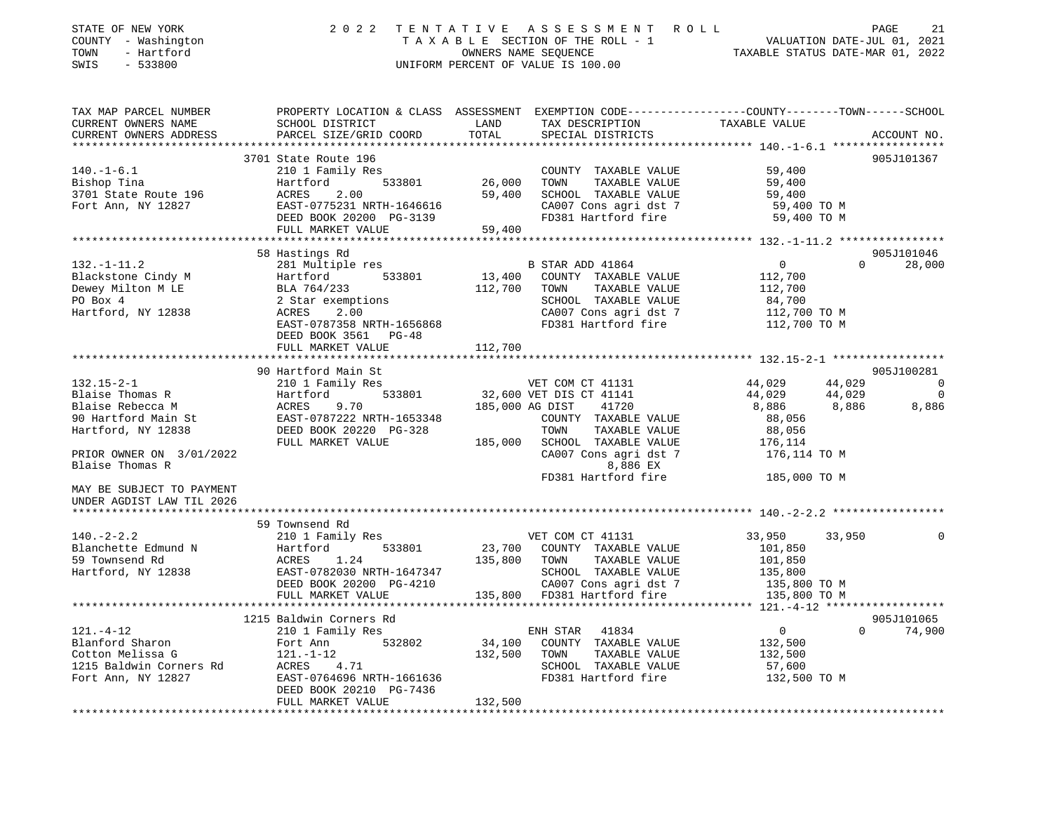| STATE OF NEW YORK<br>COUNTY - Washington<br>TOWN<br>- Hartford<br>SWIS<br>$-533800$ |                                                                                                           |                       | 2022 TENTATIVE ASSESSMENT ROLL<br>TAXABLE SECTION OF THE ROLL - 1<br>OWNERS NAME SEQUENCE<br>TAXABLE STATUS DATE-MAR 01, 2022<br>UNIFORM PERCENT OF VALUE IS 100.00 |                 |          | 21<br>PAGE                   |
|-------------------------------------------------------------------------------------|-----------------------------------------------------------------------------------------------------------|-----------------------|---------------------------------------------------------------------------------------------------------------------------------------------------------------------|-----------------|----------|------------------------------|
| TAX MAP PARCEL NUMBER                                                               | PROPERTY LOCATION & CLASS ASSESSMENT EXEMPTION CODE----------------COUNTY--------TOWN------SCHOOL         |                       |                                                                                                                                                                     |                 |          |                              |
| CURRENT OWNERS NAME<br>CURRENT OWNERS ADDRESS                                       | SCHOOL DISTRICT<br>PARCEL SIZE/GRID COORD                                                                 | LAND<br>TOTAL         | TAX DESCRIPTION<br>SPECIAL DISTRICTS                                                                                                                                | TAXABLE VALUE   |          | ACCOUNT NO.                  |
|                                                                                     |                                                                                                           |                       |                                                                                                                                                                     |                 |          |                              |
| $140. - 1 - 6.1$                                                                    | 3701 State Route 196<br>210 1 Family Res                                                                  |                       | COUNTY TAXABLE VALUE                                                                                                                                                | 59,400          |          | 905J101367                   |
| Bishop Tina                                                                         | 533801<br>Hartford                                                                                        | 26,000                | TOWN<br>TAXABLE VALUE                                                                                                                                               | 59,400          |          |                              |
| 3701 State Route 196                                                                | 2.00<br>ACRES                                                                                             | 59,400                | SCHOOL TAXABLE VALUE                                                                                                                                                | 59,400          |          |                              |
| Fort Ann, NY 12827                                                                  | EAST-0775231 NRTH-1646616                                                                                 |                       | CA007 Cons agri dst 7                                                                                                                                               | 59,400 TO M     |          |                              |
|                                                                                     | DEED BOOK 20200 PG-3139                                                                                   |                       | FD381 Hartford fire                                                                                                                                                 | 59,400 TO M     |          |                              |
|                                                                                     | FULL MARKET VALUE                                                                                         | 59,400                |                                                                                                                                                                     |                 |          |                              |
|                                                                                     |                                                                                                           |                       |                                                                                                                                                                     |                 |          |                              |
|                                                                                     | 58 Hastings Rd                                                                                            |                       |                                                                                                                                                                     |                 |          | 905J101046                   |
| $132. - 1 - 11.2$                                                                   | 281 Multiple res                                                                                          |                       | B STAR ADD 41864                                                                                                                                                    | $\overline{0}$  | $\Omega$ | 28,000                       |
| Blackstone Cindy M                                                                  | Hartford 533801<br>BLA 764/233<br>2 Star exemptions                                                       | 13,400                | COUNTY TAXABLE VALUE                                                                                                                                                | 112,700         |          |                              |
| Dewey Milton M LE                                                                   |                                                                                                           | 112,700               | TOWN<br>TAXABLE VALUE                                                                                                                                               | 112,700         |          |                              |
| PO Box 4                                                                            |                                                                                                           |                       | SCHOOL TAXABLE VALUE                                                                                                                                                | 84,700          |          |                              |
| Hartford, NY 12838                                                                  | <b>ACRES</b><br>2.00                                                                                      |                       | CA007 Cons agri dst 7                                                                                                                                               | 112,700 TO M    |          |                              |
|                                                                                     | EAST-0787358 NRTH-1656868<br>DEED BOOK 3561 PG-48                                                         |                       | FD381 Hartford fire                                                                                                                                                 | 112,700 TO M    |          |                              |
|                                                                                     | FULL MARKET VALUE<br>************************                                                             | 112,700               |                                                                                                                                                                     |                 |          |                              |
|                                                                                     |                                                                                                           |                       |                                                                                                                                                                     |                 |          |                              |
| $132.15 - 2 - 1$                                                                    | 90 Hartford Main St<br>210 1 Family Res                                                                   |                       | VET COM CT 41131                                                                                                                                                    | 44,029          | 44,029   | 905J100281<br>$\overline{0}$ |
| Blaise Thomas R                                                                     |                                                                                                           |                       | 32,600 VET DIS CT 41141                                                                                                                                             |                 | 44,029   | 0                            |
| Blaise Rebecca M                                                                    |                                                                                                           | 185,000 AG DIST       | 41720                                                                                                                                                               | 44,029<br>8,886 | 8,886    | 8,886                        |
| 90 Hartford Main St                                                                 |                                                                                                           |                       | COUNTY TAXABLE VALUE                                                                                                                                                | 88,056          |          |                              |
| Hartford, NY 12838                                                                  | Hartford 533801<br>ACRES 9.70<br>EAST-0787222 NRTH-1653348<br>DEED BOOK 20220 PG-328<br>FULL MARKET VALUE |                       | TOWN<br>TAXABLE VALUE                                                                                                                                               | 88,056          |          |                              |
|                                                                                     |                                                                                                           |                       | 185,000 SCHOOL TAXABLE VALUE                                                                                                                                        | 176,114         |          |                              |
| PRIOR OWNER ON 3/01/2022                                                            |                                                                                                           |                       | CA007 Cons agri dst 7                                                                                                                                               | 176,114 TO M    |          |                              |
| Blaise Thomas R                                                                     |                                                                                                           |                       | 8,886 EX                                                                                                                                                            |                 |          |                              |
|                                                                                     |                                                                                                           |                       | FD381 Hartford fire                                                                                                                                                 | 185,000 TO M    |          |                              |
| MAY BE SUBJECT TO PAYMENT<br>UNDER AGDIST LAW TIL 2026                              |                                                                                                           |                       |                                                                                                                                                                     |                 |          |                              |
|                                                                                     |                                                                                                           |                       |                                                                                                                                                                     |                 |          |                              |
|                                                                                     | 59 Townsend Rd                                                                                            |                       |                                                                                                                                                                     |                 |          |                              |
| $140. - 2 - 2.2$                                                                    | 210 1 Family Res                                                                                          |                       | VET COM CT 41131                                                                                                                                                    | 33,950          | 33,950   | $\mathbf 0$                  |
| Blanchette Edmund N                                                                 | Hartford 533801                                                                                           |                       | 23,700 COUNTY TAXABLE VALUE                                                                                                                                         | 101,850         |          |                              |
| 59 Townsend Rd                                                                      | ACRES 1.24                                                                                                | 135,800 TOWN          | TAXABLE VALUE                                                                                                                                                       | 101,850         |          |                              |
| Hartford, NY 12838                                                                  | EAST-0782030 NRTH-1647347<br>DEED BOOK 20200 PG-4210                                                      |                       | SCHOOL TAXABLE VALUE                                                                                                                                                | 135,800         |          |                              |
|                                                                                     |                                                                                                           |                       | CA007 Cons agri dst 7                                                                                                                                               | 135,800 TO M    |          |                              |
|                                                                                     | FULL MARKET VALUE                                                                                         |                       | 135,800 FD381 Hartford fire                                                                                                                                         | 135,800 TO M    |          |                              |
|                                                                                     |                                                                                                           |                       |                                                                                                                                                                     |                 |          |                              |
| $121. - 4 - 12$                                                                     | 1215 Baldwin Corners Rd<br>210 1 Family Res                                                               |                       | ENH STAR<br>41834                                                                                                                                                   | $\overline{0}$  | $\Omega$ | 905J101065<br>74,900         |
| Blanford Sharon                                                                     | Fort Ann 532802                                                                                           | 34,100                | COUNTY TAXABLE VALUE                                                                                                                                                | 132,500         |          |                              |
| Cotton Melissa G                                                                    | $121. - 1 - 12$                                                                                           | 132,500               | TOWN<br>TAXABLE VALUE                                                                                                                                               | 132,500         |          |                              |
| 1215 Baldwin Corners Rd                                                             | --.<br>ACRES 4.71<br>E3SE-0764696.1                                                                       |                       | SCHOOL TAXABLE VALUE                                                                                                                                                | 57,600          |          |                              |
| Fort Ann, NY 12827                                                                  | EAST-0764696 NRTH-1661636                                                                                 |                       | FD381 Hartford fire                                                                                                                                                 | 132,500 TO M    |          |                              |
|                                                                                     | DEED BOOK 20210 PG-7436<br>FULL MARKET VALUE                                                              | 132,500               |                                                                                                                                                                     |                 |          |                              |
|                                                                                     |                                                                                                           | * * * * * * * * * * * |                                                                                                                                                                     |                 |          |                              |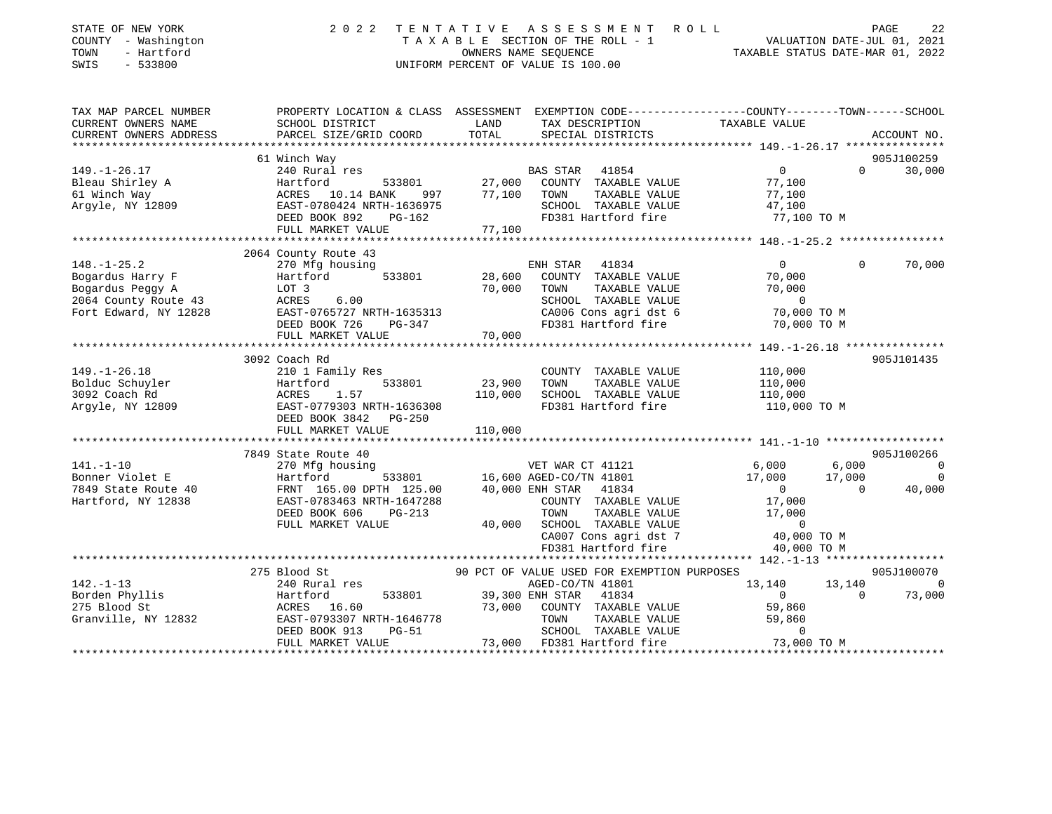| STATE OF NEW YORK<br>COUNTY - Washington<br>- Hartford<br>TOWN<br>SWIS<br>$-533800$ | 2022                                                                                           | TENTATIVE | A S S E S S M E N T<br>TAXABLE SECTION OF THE ROLL - 1<br>OWNERS NAME SEQUENCE<br>UNIFORM PERCENT OF VALUE IS 100.00 | R O L L<br>VALUATION DATE-JUL 01, 2021<br>TAXABLE STATUS DATE-MAR 01, 2022 |                | PAGE<br>22     |
|-------------------------------------------------------------------------------------|------------------------------------------------------------------------------------------------|-----------|----------------------------------------------------------------------------------------------------------------------|----------------------------------------------------------------------------|----------------|----------------|
|                                                                                     |                                                                                                |           |                                                                                                                      |                                                                            |                |                |
| TAX MAP PARCEL NUMBER                                                               | PROPERTY LOCATION & CLASS ASSESSMENT EXEMPTION CODE---------------COUNTY-------TOWN-----SCHOOL |           |                                                                                                                      |                                                                            |                |                |
| CURRENT OWNERS NAME                                                                 | SCHOOL DISTRICT                                                                                | LAND      | TAX DESCRIPTION                                                                                                      | TAXABLE VALUE                                                              |                |                |
| CURRENT OWNERS ADDRESS                                                              | PARCEL SIZE/GRID COORD                                                                         | TOTAL     | SPECIAL DISTRICTS                                                                                                    |                                                                            |                | ACCOUNT NO.    |
| **********************                                                              |                                                                                                |           |                                                                                                                      |                                                                            |                |                |
|                                                                                     | 61 Winch Way                                                                                   |           |                                                                                                                      |                                                                            |                | 905J100259     |
| $149. - 1 - 26.17$<br>Bleau Shirley A                                               | 240 Rural res<br>533801<br>Hartford                                                            |           | BAS STAR<br>41854<br>27,000 COUNTY TAXABLE VALUE                                                                     | $\overline{0}$<br>77,100                                                   | $\Omega$       | 30,000         |
| 61 Winch Way                                                                        | ACRES 10.14 BANK 997                                                                           |           | TAXABLE VALUE<br>77,100 TOWN                                                                                         | 77,100                                                                     |                |                |
| Argyle, NY 12809                                                                    | EAST-0780424 NRTH-1636975                                                                      |           | SCHOOL TAXABLE VALUE                                                                                                 | 47,100                                                                     |                |                |
|                                                                                     | DEED BOOK 892<br>PG-162                                                                        |           | FD381 Hartford fire                                                                                                  | 77,100 TO M                                                                |                |                |
|                                                                                     | FULL MARKET VALUE                                                                              | 77,100    |                                                                                                                      |                                                                            |                |                |
|                                                                                     |                                                                                                |           |                                                                                                                      |                                                                            |                |                |
|                                                                                     | 2064 County Route 43                                                                           |           |                                                                                                                      |                                                                            |                |                |
| $148. - 1 - 25.2$                                                                   | 270 Mfg housing                                                                                |           | ENH STAR<br>41834                                                                                                    | $\overline{0}$                                                             | $\Omega$       | 70,000         |
| Bogardus Harry F                                                                    | 533801<br>Hartford                                                                             | 28,600    | COUNTY TAXABLE VALUE                                                                                                 | 70,000                                                                     |                |                |
| Bogardus Peggy A                                                                    |                                                                                                | 70,000    | TOWN<br>TAXABLE VALUE                                                                                                | 70,000                                                                     |                |                |
| 2064 County Route 43                                                                |                                                                                                |           | SCHOOL TAXABLE VALUE                                                                                                 | $\sim$ 0                                                                   |                |                |
| Fort Edward, NY 12828                                                               | EAST-0765727 NRTH-1635313                                                                      |           | CA006 Cons agri dst 6                                                                                                | 70,000 TO M                                                                |                |                |
|                                                                                     | DEED BOOK 726<br>PG-347                                                                        |           | FD381 Hartford fire                                                                                                  | 70,000 TO M                                                                |                |                |
|                                                                                     | FULL MARKET VALUE<br>***********************                                                   | 70,000    |                                                                                                                      |                                                                            |                |                |
|                                                                                     |                                                                                                |           |                                                                                                                      |                                                                            |                |                |
| $149. - 1 - 26.18$                                                                  | 3092 Coach Rd                                                                                  |           |                                                                                                                      |                                                                            |                | 905J101435     |
| Bolduc Schuyler                                                                     | 210 1 Family Res<br>Hartford<br>533801                                                         | 23,900    | COUNTY TAXABLE VALUE<br>TAXABLE VALUE<br>TOWN                                                                        | 110,000<br>110,000                                                         |                |                |
| 3092 Coach Rd                                                                       | 1.57<br>ACRES                                                                                  | 110,000   | SCHOOL TAXABLE VALUE                                                                                                 | 110,000                                                                    |                |                |
| Argyle, NY 12809                                                                    | EAST-0779303 NRTH-1636308                                                                      |           | FD381 Hartford fire                                                                                                  | 110,000 TO M                                                               |                |                |
|                                                                                     | DEED BOOK 3842 PG-250                                                                          |           |                                                                                                                      |                                                                            |                |                |
|                                                                                     | FULL MARKET VALUE                                                                              | 110,000   |                                                                                                                      |                                                                            |                |                |
|                                                                                     |                                                                                                |           |                                                                                                                      |                                                                            |                |                |
|                                                                                     | 7849 State Route 40                                                                            |           |                                                                                                                      |                                                                            |                | 905J100266     |
| $141. - 1 - 10$                                                                     | 270 Mfg housing                                                                                |           | VET WAR CT 41121                                                                                                     | 6,000                                                                      | 6,000          | $\sim$ 0       |
| Bonner Violet E                                                                     | 533801<br>Hartford                                                                             |           | 16,600 AGED-CO/TN 41801                                                                                              | 17,000                                                                     | 17,000         | $\overline{0}$ |
| 7849 State Route 40                                                                 | FRNT 165.00 DPTH 125.00<br>EAST-0783463 NRTH-1647288                                           |           | 40,000 ENH STAR 41834                                                                                                | $\overline{0}$                                                             | $\overline{0}$ | 40,000         |
| Hartford, NY 12838                                                                  |                                                                                                |           | COUNTY TAXABLE VALUE                                                                                                 | 17,000                                                                     |                |                |
|                                                                                     | DEED BOOK 606<br>PG-213                                                                        |           | TAXABLE VALUE<br>TOWN                                                                                                | 17,000                                                                     |                |                |
|                                                                                     | FULL MARKET VALUE                                                                              |           | 40,000 SCHOOL TAXABLE VALUE                                                                                          | $\overline{0}$                                                             |                |                |
|                                                                                     |                                                                                                |           | CA007 Cons agri dst 7                                                                                                | 40,000 TO M                                                                |                |                |
|                                                                                     |                                                                                                |           | FD381 Hartford fire                                                                                                  | 40,000 TO M                                                                |                |                |
|                                                                                     |                                                                                                |           |                                                                                                                      |                                                                            |                | 905J100070     |
| $142. - 1 - 13$                                                                     | 275 Blood St                                                                                   |           | 90 PCT OF VALUE USED FOR EXEMPTION PURPOSES<br>AGED-CO/TN 41801                                                      | 13,140                                                                     | 13,140         | $\sim$ 0       |
| Borden Phyllis                                                                      | 240 Rural res<br>533801<br>Hartford                                                            |           | 39,300 ENH STAR<br>41834                                                                                             | $\overline{0}$                                                             | $\Omega$       | 73,000         |
| 275 Blood St                                                                        |                                                                                                | 73,000    | COUNTY TAXABLE VALUE                                                                                                 | 59,860                                                                     |                |                |
| Granville, NY 12832                                                                 | ACRES 16.60<br>EAST-0793307 NRTH-1646778                                                       |           | TOWN<br>TAXABLE VALUE                                                                                                | 59,860                                                                     |                |                |
|                                                                                     | DEED BOOK 913<br>$PG-51$                                                                       |           | SCHOOL TAXABLE VALUE                                                                                                 | $\Omega$                                                                   |                |                |
|                                                                                     | FULL MARKET VALUE                                                                              |           | 73,000 FD381 Hartford fire                                                                                           | 73,000 TO M                                                                |                |                |
|                                                                                     |                                                                                                |           |                                                                                                                      |                                                                            |                |                |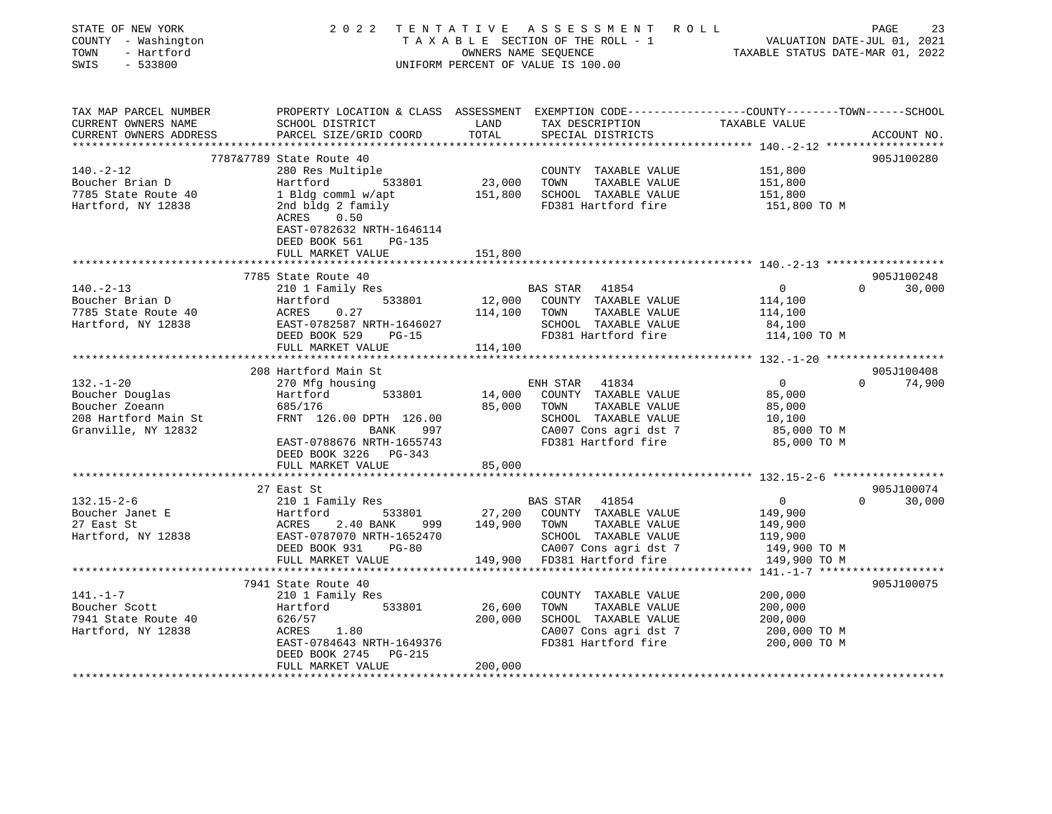| STATE OF NEW YORK<br>ASSESSMENT ROLL<br>2 0 2 2<br>TENTATIVE<br>VALUATION DATE-JUL 01, 2021<br>COUNTY - Washington<br>TAXABLE SECTION OF THE ROLL - 1<br>- Hartford<br>OWNERS NAME SEQUENCE<br>TAXABLE STATUS DATE-MAR 01, 2022<br>TOWN<br>SWIS<br>$-533800$<br>UNIFORM PERCENT OF VALUE IS 100.00 | PAGE<br>23             |
|----------------------------------------------------------------------------------------------------------------------------------------------------------------------------------------------------------------------------------------------------------------------------------------------------|------------------------|
| PROPERTY LOCATION & CLASS ASSESSMENT EXEMPTION CODE----------------COUNTY-------TOWN-----SCHOOL<br>TAX MAP PARCEL NUMBER                                                                                                                                                                           |                        |
| CURRENT OWNERS NAME<br>SCHOOL DISTRICT<br>LAND<br>TAX DESCRIPTION<br>TAXABLE VALUE<br>CURRENT OWNERS ADDRESS<br>PARCEL SIZE/GRID COORD<br>TOTAL<br>SPECIAL DISTRICTS                                                                                                                               | ACCOUNT NO.            |
| *********** 140.-2-12 *******************                                                                                                                                                                                                                                                          |                        |
| 7787&7789 State Route 40                                                                                                                                                                                                                                                                           | 905J100280             |
| $140. -2 - 12$<br>280 Res Multiple<br>COUNTY TAXABLE VALUE<br>151,800                                                                                                                                                                                                                              |                        |
| Boucher Brian D<br>Hartford<br>23,000<br>TOWN<br>TAXABLE VALUE<br>533801<br>151,800                                                                                                                                                                                                                |                        |
| 7785 State Route 40<br>1 Bldg comml w/apt<br>151,800<br>SCHOOL TAXABLE VALUE<br>151,800<br>Hartford, NY 12838<br>2nd bldg 2 family<br>FD381 Hartford fire<br>151,800 TO M                                                                                                                          |                        |
| ACRES<br>0.50                                                                                                                                                                                                                                                                                      |                        |
| EAST-0782632 NRTH-1646114                                                                                                                                                                                                                                                                          |                        |
| DEED BOOK 561<br>PG-135                                                                                                                                                                                                                                                                            |                        |
| FULL MARKET VALUE<br>151,800                                                                                                                                                                                                                                                                       |                        |
|                                                                                                                                                                                                                                                                                                    |                        |
| 7785 State Route 40                                                                                                                                                                                                                                                                                | 905J100248<br>$\Omega$ |
| $140. - 2 - 13$<br>210 1 Family Res<br>BAS STAR 41854<br>$\overline{0}$<br>533801<br>12,000<br>Boucher Brian D<br>Hartford<br>COUNTY TAXABLE VALUE<br>114,100                                                                                                                                      | 30,000                 |
| 7785 State Route 40<br>ACRES<br>0.27<br>114,100<br>TOWN<br>TAXABLE VALUE<br>114,100                                                                                                                                                                                                                |                        |
| Hartford, NY 12838<br>SCHOOL TAXABLE VALUE<br>EAST-0782587 NRTH-1646027<br>84,100                                                                                                                                                                                                                  |                        |
| FD381 Hartford fire<br>DEED BOOK 529<br>PG-15<br>114,100 TO M                                                                                                                                                                                                                                      |                        |
| FULL MARKET VALUE<br>114,100                                                                                                                                                                                                                                                                       |                        |
|                                                                                                                                                                                                                                                                                                    |                        |
| 208 Hartford Main St                                                                                                                                                                                                                                                                               | 905J100408             |
| $132. - 1 - 20$<br>ENH STAR 41834<br>$\overline{0}$<br>270 Mfg housing<br>Boucher Douglas<br>533801<br>14,000<br>COUNTY TAXABLE VALUE<br>85,000<br>Hartford                                                                                                                                        | $0 \t 74,900$          |
| 85,000<br>Boucher Zoeann<br>685/176<br>TOWN<br>TAXABLE VALUE<br>85,000                                                                                                                                                                                                                             |                        |
| 208 Hartford Main St<br>FRNT 126.00 DPTH 126.00<br>SCHOOL TAXABLE VALUE<br>10,100                                                                                                                                                                                                                  |                        |
| CA007 Cons agri dst 7<br>Granville, NY 12832<br>BANK<br>997<br>85,000 TO M                                                                                                                                                                                                                         |                        |
| EAST-0788676 NRTH-1655743<br>FD381 Hartford fire<br>85,000 TO M                                                                                                                                                                                                                                    |                        |
| DEED BOOK 3226 PG-343                                                                                                                                                                                                                                                                              |                        |
| FULL MARKET VALUE<br>85,000                                                                                                                                                                                                                                                                        |                        |
| 27 East St                                                                                                                                                                                                                                                                                         | 905J100074             |
| $132.15 - 2 - 6$<br>210 1 Family Res<br>BAS STAR<br>41854<br>$\overline{0}$                                                                                                                                                                                                                        | 30,000<br>$\Omega$     |
| Boucher Janet E<br>533801<br>27,200<br>COUNTY TAXABLE VALUE<br>Hartford<br>149,900                                                                                                                                                                                                                 |                        |
| 27 East St<br>ACRES<br>2.40 BANK 999<br>149,900<br>TOWN<br>TAXABLE VALUE<br>149,900                                                                                                                                                                                                                |                        |
| Hartford, NY 12838<br>EAST-0787070 NRTH-1652470<br>SCHOOL TAXABLE VALUE<br>119,900                                                                                                                                                                                                                 |                        |
| $PG-80$<br>CA007 Cons agri dst 7<br>DEED BOOK 931<br>149,900 TO M                                                                                                                                                                                                                                  |                        |
| FULL MARKET VALUE<br>149,900<br>FD381 Hartford fire<br>149,900 TO M                                                                                                                                                                                                                                |                        |
| ****** 141.-1-7 *******************                                                                                                                                                                                                                                                                | 905J100075             |
| 7941 State Route 40<br>$141. - 1 - 7$<br>COUNTY TAXABLE VALUE<br>200,000<br>210 1 Family Res                                                                                                                                                                                                       |                        |
| Boucher Scott<br>533801<br>26,600<br>TOWN<br>TAXABLE VALUE<br>Hartford<br>200,000                                                                                                                                                                                                                  |                        |
| 7941 State Route 40<br>626/57<br>200,000<br>SCHOOL TAXABLE VALUE<br>200,000                                                                                                                                                                                                                        |                        |
| Hartford, NY 12838<br>ACRES<br>1.80<br>CA007 Cons agri dst 7<br>200,000 TO M                                                                                                                                                                                                                       |                        |
| FD381 Hartford fire<br>EAST-0784643 NRTH-1649376<br>200,000 TO M                                                                                                                                                                                                                                   |                        |
| DEED BOOK 2745<br>PG-215                                                                                                                                                                                                                                                                           |                        |
| 200,000<br>FULL MARKET VALUE                                                                                                                                                                                                                                                                       |                        |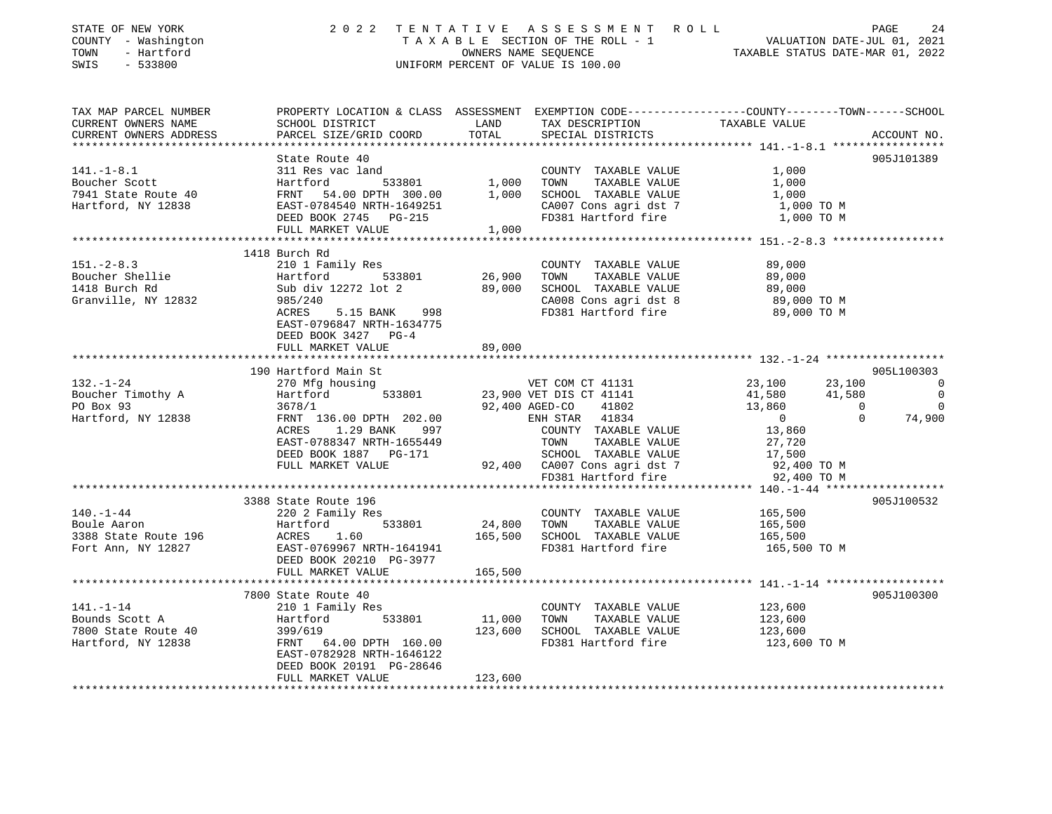| STATE OF NEW YORK<br>COUNTY - Washington<br>TOWN - Hartford<br>Errore                                                                                                                                                                   |                                                                                                                                                                                                                                            |         | T E N T A T I V E A S S E S S M E N T R O L L<br>T A X A B L E SECTION OF THE ROLL - 1 VALUATION DATE-JUL 01, 2021<br>OWNERS NAME SEQUENCE<br>INIFORM PEPCENT OF VALUE IS 100.00<br>2022 TENTATIVE ASSESSMENT ROLL<br>UNIFORM PERCENT OF VALUE IS 100.00 |                         |             |
|-----------------------------------------------------------------------------------------------------------------------------------------------------------------------------------------------------------------------------------------|--------------------------------------------------------------------------------------------------------------------------------------------------------------------------------------------------------------------------------------------|---------|----------------------------------------------------------------------------------------------------------------------------------------------------------------------------------------------------------------------------------------------------------|-------------------------|-------------|
| TAX MAP PARCEL NUMBER<br>CURRENT OWNERS NAME<br>CURRENT OWNERS ADDRESS                                                                                                                                                                  | PROPERTY LOCATION & CLASS ASSESSMENT EXEMPTION CODE----------------COUNTY-------TOWN-----SCHOOL                                                                                                                                            |         | TAX DESCRIPTION TAXABLE VALUE<br>SPECIAL DISTRICTS                                                                                                                                                                                                       |                         | ACCOUNT NO. |
|                                                                                                                                                                                                                                         |                                                                                                                                                                                                                                            |         |                                                                                                                                                                                                                                                          |                         |             |
| 141.-1-8.1<br>311 Res vac land<br>311 Res vac land<br>33801 1,000 TOWN TAXABLE VALUE 1,000<br>7941 State Route 40 FRNT 54.00 DPTH 300.00 1,000 SCHOOL TAXABLE VALUE 1,000<br>Hartford, NY 12838 EAST-0784540 NRTH-1649251 CA007 Cons ag |                                                                                                                                                                                                                                            |         |                                                                                                                                                                                                                                                          |                         | 905J101389  |
|                                                                                                                                                                                                                                         |                                                                                                                                                                                                                                            |         |                                                                                                                                                                                                                                                          |                         |             |
|                                                                                                                                                                                                                                         |                                                                                                                                                                                                                                            |         |                                                                                                                                                                                                                                                          |                         |             |
|                                                                                                                                                                                                                                         |                                                                                                                                                                                                                                            |         |                                                                                                                                                                                                                                                          |                         |             |
|                                                                                                                                                                                                                                         |                                                                                                                                                                                                                                            |         |                                                                                                                                                                                                                                                          |                         |             |
|                                                                                                                                                                                                                                         | FULL MARKET VALUE 1,000                                                                                                                                                                                                                    |         |                                                                                                                                                                                                                                                          |                         |             |
|                                                                                                                                                                                                                                         |                                                                                                                                                                                                                                            |         |                                                                                                                                                                                                                                                          |                         |             |
|                                                                                                                                                                                                                                         | 1418 Burch Rd                                                                                                                                                                                                                              |         |                                                                                                                                                                                                                                                          |                         |             |
| 151.-2-8.3<br>Boucher Shellie and Hartford 533801 26,900 TOWN TAXABLE VALUE<br>1418 Burch Rd Sub div 12272 lot 2 89,000 SCHOOL TAXABLE VALUE<br>Granville, NY 12832 985/240 289,000 SCHOOL TAXABLE VALUE<br>1418 Burch Rd Sub div 1227  |                                                                                                                                                                                                                                            |         |                                                                                                                                                                                                                                                          | 89,000                  |             |
|                                                                                                                                                                                                                                         |                                                                                                                                                                                                                                            |         |                                                                                                                                                                                                                                                          | 89,000                  |             |
|                                                                                                                                                                                                                                         |                                                                                                                                                                                                                                            |         |                                                                                                                                                                                                                                                          | 89,000                  |             |
|                                                                                                                                                                                                                                         |                                                                                                                                                                                                                                            |         |                                                                                                                                                                                                                                                          |                         |             |
|                                                                                                                                                                                                                                         | 5.15 BANK 998                                                                                                                                                                                                                              |         | CA008 Cons agri dst 8                          89,000 TO M<br>FD381 Hartford fire                        89,000 TO M                                                                                                                                     |                         |             |
|                                                                                                                                                                                                                                         | EAST-0796847 NRTH-1634775                                                                                                                                                                                                                  |         |                                                                                                                                                                                                                                                          |                         |             |
|                                                                                                                                                                                                                                         | DEED BOOK 3427 PG-4                                                                                                                                                                                                                        |         |                                                                                                                                                                                                                                                          |                         |             |
|                                                                                                                                                                                                                                         | FULL MARKET VALUE                                                                                                                                                                                                                          | 89,000  |                                                                                                                                                                                                                                                          |                         |             |
|                                                                                                                                                                                                                                         |                                                                                                                                                                                                                                            |         |                                                                                                                                                                                                                                                          |                         |             |
|                                                                                                                                                                                                                                         | 190 Hartford Main St                                                                                                                                                                                                                       |         |                                                                                                                                                                                                                                                          |                         | 905L100303  |
|                                                                                                                                                                                                                                         |                                                                                                                                                                                                                                            |         |                                                                                                                                                                                                                                                          |                         |             |
|                                                                                                                                                                                                                                         |                                                                                                                                                                                                                                            |         |                                                                                                                                                                                                                                                          |                         |             |
|                                                                                                                                                                                                                                         |                                                                                                                                                                                                                                            |         |                                                                                                                                                                                                                                                          |                         |             |
|                                                                                                                                                                                                                                         |                                                                                                                                                                                                                                            |         |                                                                                                                                                                                                                                                          |                         |             |
|                                                                                                                                                                                                                                         |                                                                                                                                                                                                                                            |         |                                                                                                                                                                                                                                                          |                         |             |
|                                                                                                                                                                                                                                         |                                                                                                                                                                                                                                            |         |                                                                                                                                                                                                                                                          |                         |             |
|                                                                                                                                                                                                                                         |                                                                                                                                                                                                                                            |         |                                                                                                                                                                                                                                                          |                         |             |
|                                                                                                                                                                                                                                         | ACRES 1.29 BANK 997 COUNTY TAXABLE VALUE 13,860<br>EAST-0788347 NRTH-1655449 TOWN TAXABLE VALUE 27,720<br>DEED BOOK 1887 PG-171 SCHOOL TAXABLE VALUE 17,500<br>FULL MARKET VALUE 92,400 CA007 Cons agri dst 7 92,400 TO M                  |         | 92,400 CA007 Cons agri dst 7<br>FD381 Hartford fire                                                                                                                                                                                                      |                         |             |
|                                                                                                                                                                                                                                         |                                                                                                                                                                                                                                            |         |                                                                                                                                                                                                                                                          | 92,400 TO M             |             |
|                                                                                                                                                                                                                                         |                                                                                                                                                                                                                                            |         |                                                                                                                                                                                                                                                          |                         |             |
|                                                                                                                                                                                                                                         | 3388 State Route 196                                                                                                                                                                                                                       |         |                                                                                                                                                                                                                                                          |                         | 905J100532  |
| $140. - 1 - 44$                                                                                                                                                                                                                         |                                                                                                                                                                                                                                            |         |                                                                                                                                                                                                                                                          | 165,500                 |             |
| 140.-1-44<br>Boule Aaron<br>3388 State Route 196                                                                                                                                                                                        | 220 2 Family Res<br>Hartford 533801 24,800 TOWN TAXABLE VALUE<br>ACRES 1.60 165,500 SCHOOL TAXABLE VALUE<br>EAST-0769967 NRTH-1641941 FD381 Hartford fire<br>DEED BOOK 20210 PG-3977<br>THE RESENTENCE CONTROL PRESSED BOOK 20210<br>THE R |         |                                                                                                                                                                                                                                                          | 165,500<br>165,500      |             |
|                                                                                                                                                                                                                                         |                                                                                                                                                                                                                                            |         |                                                                                                                                                                                                                                                          |                         |             |
| Fort Ann, NY 12827                                                                                                                                                                                                                      |                                                                                                                                                                                                                                            |         | FD381 Hartford fire                                                                                                                                                                                                                                      | 165,500 TO M            |             |
|                                                                                                                                                                                                                                         |                                                                                                                                                                                                                                            |         |                                                                                                                                                                                                                                                          |                         |             |
|                                                                                                                                                                                                                                         | FULL MARKET VALUE                                                                                                                                                                                                                          | 165,500 |                                                                                                                                                                                                                                                          |                         |             |
|                                                                                                                                                                                                                                         | 7800 State Route 40                                                                                                                                                                                                                        |         |                                                                                                                                                                                                                                                          |                         | 905J100300  |
| 141.-1-14 210 1 Family Res<br>Bounds Scott A Hartford 533801 11,000 TOWN<br>7800 State Route 40 399/619 123,600 SCHOOL<br>Hartford, NY 12838 FRNT 64.00 DPTH 160.00 FD381 Ha                                                            |                                                                                                                                                                                                                                            |         | COUNTY TAXABLE VALUE 123,600                                                                                                                                                                                                                             |                         |             |
|                                                                                                                                                                                                                                         |                                                                                                                                                                                                                                            |         | TAXABLE VALUE                                                                                                                                                                                                                                            | 123,600                 |             |
|                                                                                                                                                                                                                                         |                                                                                                                                                                                                                                            |         | 123,600 SCHOOL TAXABLE VALUE                                                                                                                                                                                                                             |                         |             |
|                                                                                                                                                                                                                                         |                                                                                                                                                                                                                                            |         | FD381 Hartford fire                                                                                                                                                                                                                                      | 123,600<br>123,600 TO M |             |
|                                                                                                                                                                                                                                         | EAST-0782928 NRTH-1646122                                                                                                                                                                                                                  |         |                                                                                                                                                                                                                                                          |                         |             |
|                                                                                                                                                                                                                                         | DEED BOOK 20191 PG-28646                                                                                                                                                                                                                   |         |                                                                                                                                                                                                                                                          |                         |             |
|                                                                                                                                                                                                                                         | FULL MARKET VALUE                                                                                                                                                                                                                          | 123,600 |                                                                                                                                                                                                                                                          |                         |             |
|                                                                                                                                                                                                                                         |                                                                                                                                                                                                                                            |         |                                                                                                                                                                                                                                                          |                         |             |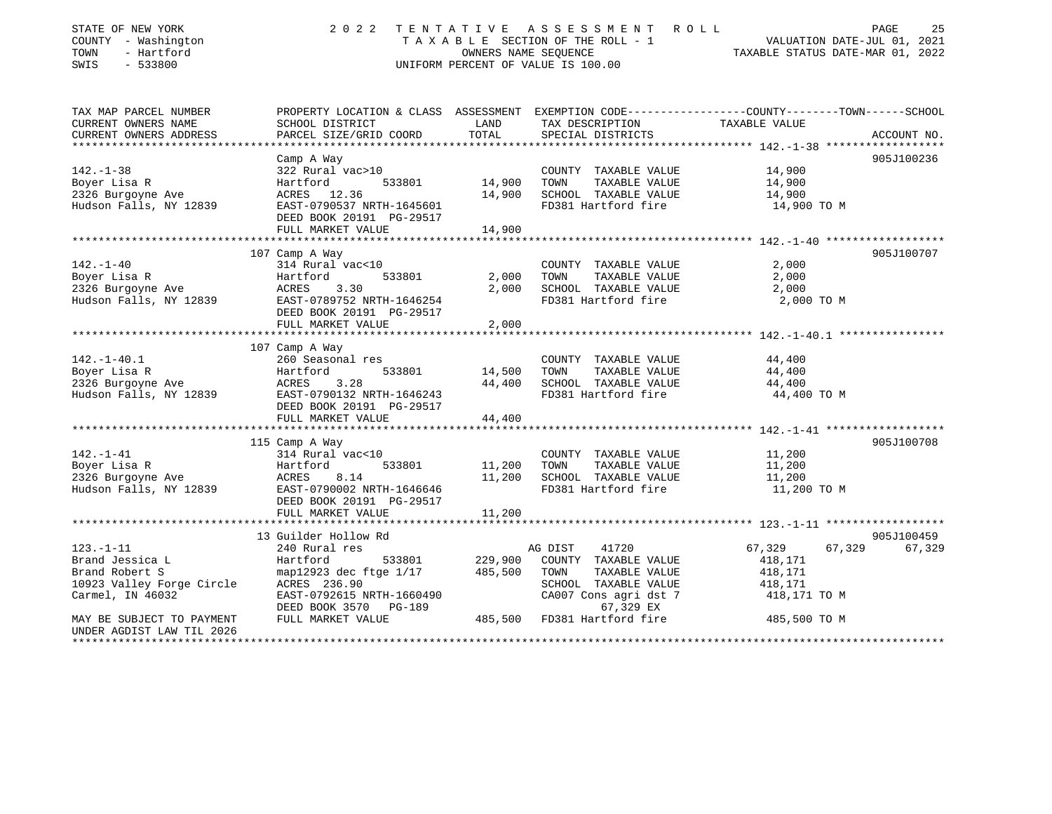| STATE OF NEW YORK<br>COUNTY - Washington<br>- Hartford<br>TOWN<br>$-533800$<br>SWIS | 2 0 2 2                                               | TENTATIVE<br>OWNERS NAME SEOUENCE | A S S E S S M E N T<br>ROLL<br>TAXABLE SECTION OF THE ROLL - 1<br>UNIFORM PERCENT OF VALUE IS 100.00 | VALUATION DATE-JUL 01, 2021<br>TAXABLE STATUS DATE-MAR 01, 2022                                                   | PAGE<br>25  |
|-------------------------------------------------------------------------------------|-------------------------------------------------------|-----------------------------------|------------------------------------------------------------------------------------------------------|-------------------------------------------------------------------------------------------------------------------|-------------|
| TAX MAP PARCEL NUMBER<br>CURRENT OWNERS NAME                                        | SCHOOL DISTRICT                                       | LAND                              | TAX DESCRIPTION                                                                                      | PROPERTY LOCATION & CLASS ASSESSMENT EXEMPTION CODE----------------COUNTY-------TOWN------SCHOOL<br>TAXABLE VALUE |             |
| CURRENT OWNERS ADDRESS                                                              | PARCEL SIZE/GRID COORD                                | TOTAL                             | SPECIAL DISTRICTS                                                                                    |                                                                                                                   | ACCOUNT NO. |
|                                                                                     |                                                       |                                   |                                                                                                      |                                                                                                                   |             |
|                                                                                     | Camp A Way                                            |                                   |                                                                                                      |                                                                                                                   | 905J100236  |
| $142. - 1 - 38$                                                                     | 322 Rural vac>10                                      |                                   | COUNTY TAXABLE VALUE                                                                                 | 14,900                                                                                                            |             |
| Boyer Lisa R                                                                        | Hartford<br>533801                                    | 14,900                            | TAXABLE VALUE<br>TOWN                                                                                | 14,900                                                                                                            |             |
| 2326 Burgoyne Ave                                                                   | ACRES 12.36                                           | 14,900                            | SCHOOL TAXABLE VALUE                                                                                 | 14,900                                                                                                            |             |
| Hudson Falls, NY 12839                                                              | EAST-0790537 NRTH-1645601<br>DEED BOOK 20191 PG-29517 |                                   | FD381 Hartford fire                                                                                  | 14,900 TO M                                                                                                       |             |
|                                                                                     | FULL MARKET VALUE                                     | 14,900                            |                                                                                                      |                                                                                                                   |             |
|                                                                                     |                                                       |                                   |                                                                                                      |                                                                                                                   |             |
|                                                                                     | 107 Camp A Way                                        |                                   |                                                                                                      |                                                                                                                   | 905J100707  |
| $142. - 1 - 40$<br>Boyer Lisa R                                                     | 314 Rural vac<10<br>533801<br>Hartford                | 2,000                             | COUNTY TAXABLE VALUE<br>TAXABLE VALUE<br>TOWN                                                        | 2,000<br>2,000                                                                                                    |             |
| 2326 Burgoyne Ave                                                                   | 3.30<br>ACRES                                         | 2,000                             | SCHOOL TAXABLE VALUE                                                                                 | 2,000                                                                                                             |             |
| Hudson Falls, NY 12839                                                              | EAST-0789752 NRTH-1646254                             |                                   | FD381 Hartford fire                                                                                  | 2,000 TO M                                                                                                        |             |
|                                                                                     | DEED BOOK 20191 PG-29517                              |                                   |                                                                                                      |                                                                                                                   |             |
|                                                                                     | FULL MARKET VALUE                                     | 2,000                             |                                                                                                      |                                                                                                                   |             |
|                                                                                     |                                                       |                                   |                                                                                                      |                                                                                                                   |             |
|                                                                                     | 107 Camp A Way                                        |                                   |                                                                                                      |                                                                                                                   |             |
| $142. - 1 - 40.1$                                                                   | 260 Seasonal res                                      |                                   | COUNTY TAXABLE VALUE                                                                                 | 44,400                                                                                                            |             |
| Boyer Lisa R                                                                        | Hartford<br>533801                                    | 14,500                            | TAXABLE VALUE<br>TOWN                                                                                | 44,400                                                                                                            |             |
| 2326 Burgoyne Ave                                                                   | ACRES<br>3.28                                         | 44,400                            | SCHOOL TAXABLE VALUE                                                                                 | 44,400                                                                                                            |             |
| Hudson Falls, NY 12839                                                              | EAST-0790132 NRTH-1646243                             |                                   | FD381 Hartford fire                                                                                  | 44,400 TO M                                                                                                       |             |
|                                                                                     | DEED BOOK 20191 PG-29517                              |                                   |                                                                                                      |                                                                                                                   |             |
|                                                                                     | FULL MARKET VALUE                                     | 44,400                            |                                                                                                      |                                                                                                                   |             |
|                                                                                     |                                                       |                                   |                                                                                                      |                                                                                                                   |             |
|                                                                                     | 115 Camp A Way                                        |                                   |                                                                                                      |                                                                                                                   | 905J100708  |
| $142. - 1 - 41$                                                                     | 314 Rural vac<10                                      |                                   | COUNTY TAXABLE VALUE                                                                                 | 11,200                                                                                                            |             |
| Boyer Lisa R<br>2326 Burgoyne Ave                                                   | Hartford<br>533801<br>8.14<br>ACRES                   | 11,200<br>11,200                  | TAXABLE VALUE<br>TOWN<br>SCHOOL TAXABLE VALUE                                                        | 11,200<br>11,200                                                                                                  |             |
| Hudson Falls, NY 12839                                                              | EAST-0790002 NRTH-1646646                             |                                   | FD381 Hartford fire                                                                                  | 11,200 TO M                                                                                                       |             |
|                                                                                     | DEED BOOK 20191 PG-29517                              |                                   |                                                                                                      |                                                                                                                   |             |
|                                                                                     | FULL MARKET VALUE                                     | 11,200                            |                                                                                                      |                                                                                                                   |             |
|                                                                                     |                                                       |                                   |                                                                                                      |                                                                                                                   |             |
|                                                                                     | 13 Guilder Hollow Rd                                  |                                   |                                                                                                      |                                                                                                                   | 905J100459  |
| $123. - 1 - 11$                                                                     | 240 Rural res                                         |                                   | AG DIST<br>41720                                                                                     | 67,329<br>67,329                                                                                                  | 67,329      |
| Brand Jessica L                                                                     | Hartford<br>533801                                    | 229,900                           | COUNTY TAXABLE VALUE                                                                                 | 418,171                                                                                                           |             |
| Brand Robert S                                                                      | map12923 dec ftge 1/17                                | 485,500                           | TOWN<br>TAXABLE VALUE                                                                                | 418,171                                                                                                           |             |
| 10923 Valley Forge Circle                                                           | ACRES 236.90                                          |                                   | SCHOOL TAXABLE VALUE                                                                                 | 418,171                                                                                                           |             |
| Carmel, IN 46032                                                                    | EAST-0792615 NRTH-1660490                             |                                   | CA007 Cons agri dst 7                                                                                | 418,171 TO M                                                                                                      |             |
|                                                                                     | DEED BOOK 3570 PG-189                                 |                                   | 67,329 EX                                                                                            |                                                                                                                   |             |
| MAY BE SUBJECT TO PAYMENT                                                           | FULL MARKET VALUE                                     |                                   | 485,500 FD381 Hartford fire                                                                          | 485,500 TO M                                                                                                      |             |
| UNDER AGDIST LAW TIL 2026<br>********************                                   |                                                       |                                   |                                                                                                      |                                                                                                                   |             |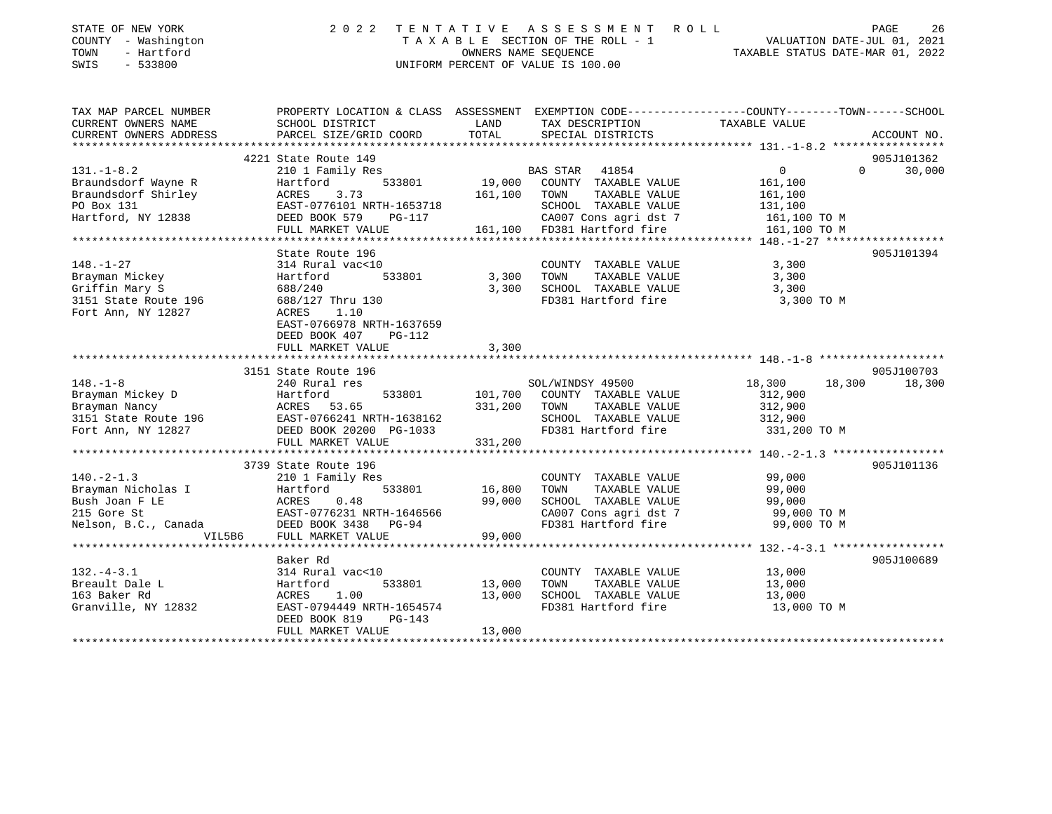| STATE OF NEW YORK<br>COUNTY - Washington<br>- Hartford<br>TOWN<br>$-533800$<br>SWIS |                                                                                                                   | OWNERS NAME SEQUENCE | 2022 TENTATIVE ASSESSMENT ROLL<br>T A X A B L E SECTION OF THE ROLL - 1<br>UNIFORM PERCENT OF VALUE IS 100.00 | PAGE 26<br>VALUATION DATE-JUL 01, 2021<br>TAXABLE STATIS DATE 11- |                    |
|-------------------------------------------------------------------------------------|-------------------------------------------------------------------------------------------------------------------|----------------------|---------------------------------------------------------------------------------------------------------------|-------------------------------------------------------------------|--------------------|
| TAX MAP PARCEL NUMBER<br>CURRENT OWNERS NAME                                        | PROPERTY LOCATION & CLASS ASSESSMENT EXEMPTION CODE---------------COUNTY-------TOWN-----SCHOOL<br>SCHOOL DISTRICT | LAND                 | TAX DESCRIPTION                                                                                               | TAXABLE VALUE                                                     |                    |
| CURRENT OWNERS ADDRESS                                                              | PARCEL SIZE/GRID COORD                                                                                            | TOTAL                | SPECIAL DISTRICTS                                                                                             |                                                                   | ACCOUNT NO.        |
|                                                                                     | 4221 State Route 149                                                                                              |                      |                                                                                                               |                                                                   | 905J101362         |
| $131. - 1 - 8.2$                                                                    | 210 1 Family Res                                                                                                  |                      | BAS STAR 41854                                                                                                | $0 \qquad \qquad$                                                 | $\Omega$<br>30,000 |
| Braundsdorf Wayne R                                                                 | 533801<br>Hartford                                                                                                |                      | 19,000 COUNTY TAXABLE VALUE                                                                                   | 161,100                                                           |                    |
| Braundsdorf Shirley                                                                 | 3.73<br>ACRES                                                                                                     | 161,100 TOWN         | TAXABLE VALUE                                                                                                 | 161,100                                                           |                    |
| PO Box 131                                                                          | EAST-0776101 NRTH-1653718                                                                                         |                      | SCHOOL TAXABLE VALUE                                                                                          | 131,100                                                           |                    |
| Hartford, NY 12838                                                                  | DEED BOOK 579<br>PG-117                                                                                           |                      | CA007 Cons agri dst 7 161,100 TO M                                                                            |                                                                   |                    |
|                                                                                     | FULL MARKET VALUE                                                                                                 |                      | 161,100 FD381 Hartford fire 161,100 TO M                                                                      |                                                                   |                    |
|                                                                                     |                                                                                                                   |                      |                                                                                                               |                                                                   |                    |
|                                                                                     | State Route 196                                                                                                   |                      |                                                                                                               |                                                                   | 905J101394         |
| $148. - 1 - 27$                                                                     | 314 Rural vac<10                                                                                                  |                      | COUNTY TAXABLE VALUE                                                                                          | 3,300                                                             |                    |
| Brayman Mickey                                                                      | 533801<br>Hartford                                                                                                | 3,300                | TAXABLE VALUE<br>TOWN                                                                                         | 3,300                                                             |                    |
| Griffin Mary S                                                                      | 688/240                                                                                                           | 3,300                | SCHOOL TAXABLE VALUE                                                                                          | 3,300                                                             |                    |
| 3151 State Route 196                                                                | 688/127 Thru 130                                                                                                  |                      | FD381 Hartford fire                                                                                           | 3,300 TO M                                                        |                    |
| Fort Ann, NY 12827                                                                  | ACRES<br>1.10                                                                                                     |                      |                                                                                                               |                                                                   |                    |
|                                                                                     | EAST-0766978 NRTH-1637659<br><b>PG-112</b>                                                                        |                      |                                                                                                               |                                                                   |                    |
|                                                                                     | DEED BOOK 407<br>FULL MARKET VALUE                                                                                | 3,300                |                                                                                                               |                                                                   |                    |
|                                                                                     |                                                                                                                   |                      |                                                                                                               |                                                                   |                    |
|                                                                                     | 3151 State Route 196                                                                                              |                      |                                                                                                               |                                                                   | 905J100703         |
| $148. - 1 - 8$                                                                      | 240 Rural res                                                                                                     |                      | SOL/WINDSY 49500                                                                                              | 18,300 18,300                                                     | 18,300             |
| Brayman Mickey D                                                                    | Hartford                                                                                                          |                      | 533801 101,700 COUNTY TAXABLE VALUE                                                                           | 312,900                                                           |                    |
| Brayman Nancy                                                                       | ACRES 53.65                                                                                                       | 331,200              | TAXABLE VALUE<br>TOWN                                                                                         | 312,900                                                           |                    |
| 3151 State Route 196                                                                | EAST-0766241 NRTH-1638162                                                                                         |                      | SCHOOL TAXABLE VALUE                                                                                          | 312,900                                                           |                    |
| Fort Ann, NY 12827                                                                  | DEED BOOK 20200 PG-1033                                                                                           |                      | FD381 Hartford fire                                                                                           | 331,200 TO M                                                      |                    |
|                                                                                     | FULL MARKET VALUE                                                                                                 | 331,200              |                                                                                                               |                                                                   |                    |
|                                                                                     |                                                                                                                   |                      |                                                                                                               |                                                                   |                    |
|                                                                                     | 3739 State Route 196                                                                                              |                      |                                                                                                               |                                                                   | 905J101136         |
| $140 - 2 - 1$ 3                                                                     | 210 1 Family Res                                                                                                  |                      | COUNTY TAXARLE VALUE                                                                                          | 99 000                                                            |                    |

|                      | $0.113$ and $0.015$ and $0.011$ |        |                         |             | 20 JU TU T JU |
|----------------------|---------------------------------|--------|-------------------------|-------------|---------------|
| 140. – 2–1.3         | 210 1 Family Res                |        | COUNTY<br>TAXABLE VALUE | 99,000      |               |
| Brayman Nicholas I   | Hartford<br>533801              | 16,800 | TAXABLE VALUE<br>TOWN   | 99,000      |               |
| Bush Joan F LE       | 0.48<br>ACRES                   | 99,000 | SCHOOL<br>TAXABLE VALUE | 99,000      |               |
| 215 Gore St          | EAST-0776231 NRTH-1646566       |        | CA007 Cons agri dst 7   | 99,000 TO M |               |
| Nelson, B.C., Canada | DEED BOOK 3438 PG-94            |        | FD381 Hartford fire     | 99,000 TO M |               |
| VIL5B6               | FULL MARKET VALUE               | 99,000 |                         |             |               |
|                      |                                 |        |                         |             |               |
|                      | Baker Rd                        |        |                         |             | 905J100689    |
| $132 - 4 - 3.1$      | 314 Rural vac<10                |        | COUNTY<br>TAXABLE VALUE | 13,000      |               |
| Breault Dale L       | 533801<br>Hartford              | 13,000 | TAXABLE VALUE<br>TOWN   | 13,000      |               |
| 163 Baker Rd         | 1.00<br>ACRES                   | 13,000 | SCHOOL<br>TAXABLE VALUE | 13,000      |               |
| Granville, NY 12832  | EAST-0794449 NRTH-1654574       |        | FD381 Hartford fire     | 13,000 TO M |               |
|                      | DEED BOOK 819<br>$PG-143$       |        |                         |             |               |
|                      | FULL MARKET VALUE               | 13,000 |                         |             |               |
|                      |                                 |        |                         |             |               |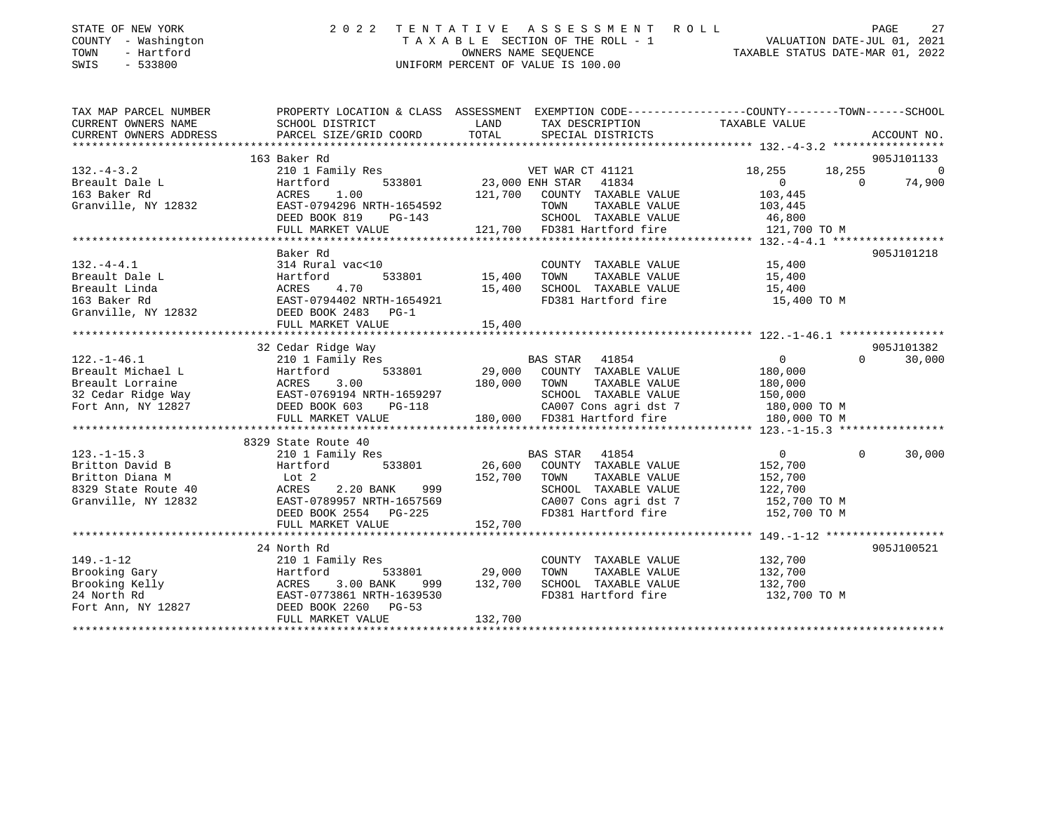| STATE OF NEW YORK   | 2022 TENTATIVE ASSESSMENT ROLL     |                                  | PAGE |  |
|---------------------|------------------------------------|----------------------------------|------|--|
| COUNTY - Washington | TAXABLE SECTION OF THE ROLL - 1    | VALUATION DATE-JUL 01, 2021      |      |  |
| TOWN<br>- Hartford  | OWNERS NAME SEOUENCE               | TAXABLE STATUS DATE-MAR 01, 2022 |      |  |
| SWIS - 533800       | UNIFORM PERCENT OF VALUE IS 100.00 |                                  |      |  |
|                     |                                    |                                  |      |  |

| TAX MAP PARCEL NUMBER                           | PROPERTY LOCATION & CLASS ASSESSMENT EXEMPTION CODE---------------COUNTY-------TOWN-----SCHOOL                                                                                                                                                                   |                    |                                                                                                                 |                                                    |               |                |
|-------------------------------------------------|------------------------------------------------------------------------------------------------------------------------------------------------------------------------------------------------------------------------------------------------------------------|--------------------|-----------------------------------------------------------------------------------------------------------------|----------------------------------------------------|---------------|----------------|
| CURRENT OWNERS NAME                             | SCHOOL DISTRICT                                                                                                                                                                                                                                                  | <b>LAND</b>        | TAX DESCRIPTION                                                                                                 | TAXABLE VALUE                                      |               |                |
| CURRENT OWNERS ADDRESS                          |                                                                                                                                                                                                                                                                  |                    |                                                                                                                 |                                                    |               |                |
|                                                 |                                                                                                                                                                                                                                                                  |                    |                                                                                                                 |                                                    |               |                |
| $***.$<br>132.-4-3.2<br>$\therefore$ ilt Dale L | 163 Baker Rd                                                                                                                                                                                                                                                     |                    |                                                                                                                 |                                                    |               | 905J101133     |
|                                                 | 210 1 Family Res<br>210 1 Family Res<br>Hartford 533801 23,000 ENH STAR 41834                                                                                                                                                                                    |                    |                                                                                                                 | 18,255                                             | $18,255$<br>0 | $\overline{0}$ |
|                                                 |                                                                                                                                                                                                                                                                  |                    |                                                                                                                 | $\begin{array}{ccc} & & 0 & \quad & 0 \end{array}$ |               | 74,900         |
|                                                 | 1.00<br>ACRES                                                                                                                                                                                                                                                    |                    | 121,700 COUNTY TAXABLE VALUE 103,445                                                                            |                                                    |               |                |
| Granville, NY 12832                             | EAST-0794296 NRTH-1654592                                                                                                                                                                                                                                        |                    |                                                                                                                 |                                                    |               |                |
|                                                 | DEED BOOK 819 PG-143                                                                                                                                                                                                                                             |                    |                                                                                                                 |                                                    |               |                |
|                                                 | FULL MARKET VALUE                                                                                                                                                                                                                                                |                    | 54592 TOWN TAXABLE VALUE 103,445<br>143 SCHOOL TAXABLE VALUE 46,800<br>121,700 FD381 Hartford fire 121,700 TO M |                                                    |               |                |
|                                                 |                                                                                                                                                                                                                                                                  |                    |                                                                                                                 |                                                    |               |                |
|                                                 | Baker Rd                                                                                                                                                                                                                                                         |                    |                                                                                                                 |                                                    |               | 905J101218     |
| $132. -4 - 4.1$                                 | 314 Rural vac<10                                                                                                                                                                                                                                                 |                    | COUNTY TAXABLE VALUE 15,400                                                                                     |                                                    |               |                |
| Breault Dale L                                  | Hartford 533801<br>ACRES 4.70<br>EAST-0794402 NRTH-1654921                                                                                                                                                                                                       | 533801 15,400 TOWN | TAXABLE VALUE 15,400                                                                                            |                                                    |               |                |
| Breault Linda                                   |                                                                                                                                                                                                                                                                  |                    | 15,400 SCHOOL TAXABLE VALUE 15,400<br>FD381 Hartford fire 15,400 TO M                                           |                                                    |               |                |
| 163 Baker Rd                                    |                                                                                                                                                                                                                                                                  |                    |                                                                                                                 |                                                    |               |                |
|                                                 | Granville, NY 12832 DEED BOOK 2483 PG-1                                                                                                                                                                                                                          |                    |                                                                                                                 |                                                    |               |                |
|                                                 |                                                                                                                                                                                                                                                                  |                    |                                                                                                                 |                                                    |               |                |
|                                                 |                                                                                                                                                                                                                                                                  |                    |                                                                                                                 |                                                    |               |                |
|                                                 | 32 Cedar Ridge Way                                                                                                                                                                                                                                               |                    |                                                                                                                 |                                                    |               | 905J101382     |
|                                                 |                                                                                                                                                                                                                                                                  |                    |                                                                                                                 |                                                    | $\Omega$      | 30,000         |
|                                                 |                                                                                                                                                                                                                                                                  |                    |                                                                                                                 |                                                    |               |                |
|                                                 |                                                                                                                                                                                                                                                                  |                    |                                                                                                                 |                                                    |               |                |
|                                                 |                                                                                                                                                                                                                                                                  |                    |                                                                                                                 |                                                    |               |                |
|                                                 |                                                                                                                                                                                                                                                                  |                    |                                                                                                                 |                                                    |               |                |
|                                                 |                                                                                                                                                                                                                                                                  |                    |                                                                                                                 |                                                    |               |                |
|                                                 |                                                                                                                                                                                                                                                                  |                    |                                                                                                                 |                                                    |               |                |
|                                                 | 8329 State Route 40                                                                                                                                                                                                                                              |                    |                                                                                                                 |                                                    |               |                |
| $123. - 1 - 15.3$                               | 210 1 Family Res                                                                                                                                                                                                                                                 |                    | BAS STAR 41854                                                                                                  | $\overline{0}$                                     | $\Omega$      | 30,000         |
| Britton David B                                 | 533801<br>Hartford                                                                                                                                                                                                                                               |                    | 26,600 COUNTY TAXABLE VALUE                                                                                     | 152,700                                            |               |                |
| Britton Diana M                                 | Lot 2                                                                                                                                                                                                                                                            |                    | TAXABLE VALUE<br>152,700 TOWN                                                                                   | 152,700                                            |               |                |
| 8329 State Route 40                             |                                                                                                                                                                                                                                                                  |                    | SCHOOL TAXABLE VALUE                                                                                            | 122,700                                            |               |                |
| Granville, NY 12832                             | ACRES 2.20 BANK 999<br>EAST-0789957 NRTH-1657569<br>DEED BOOK 2554 PG-225                                                                                                                                                                                        |                    | CA007 Cons agri dst 7<br>FD381 Hartford fire                                                                    | 152,700 TO M                                       |               |                |
|                                                 |                                                                                                                                                                                                                                                                  |                    |                                                                                                                 | 152,700 TO M                                       |               |                |
|                                                 | FULL MARKET VALUE                                                                                                                                                                                                                                                | 152,700            |                                                                                                                 |                                                    |               |                |
|                                                 |                                                                                                                                                                                                                                                                  |                    |                                                                                                                 |                                                    |               |                |
|                                                 | 24 North Rd                                                                                                                                                                                                                                                      |                    |                                                                                                                 |                                                    |               | 905J100521     |
| $149. - 1 - 12$                                 | 210 1 Family Res                                                                                                                                                                                                                                                 |                    | COUNTY TAXABLE VALUE 132,700                                                                                    |                                                    |               |                |
|                                                 | Erooking Gary<br>Brooking Kelly<br>29,000<br>24 North Rd<br>24 North Rd<br>24 North Rd<br>26 North Rd<br>26 North Rd<br>26 North Rd<br>26 North Rd<br>26 North Rd<br>26 North Rd<br>26 North Rd<br>26 North Rd<br>26 North Rd<br>26 North Rd<br>26 North Rd<br>2 |                    |                                                                                                                 |                                                    |               |                |
|                                                 |                                                                                                                                                                                                                                                                  |                    |                                                                                                                 |                                                    |               |                |
|                                                 |                                                                                                                                                                                                                                                                  |                    | FD381 Hartford fire 132,700 TO M                                                                                |                                                    |               |                |
|                                                 |                                                                                                                                                                                                                                                                  |                    |                                                                                                                 |                                                    |               |                |
|                                                 | FULL MARKET VALUE                                                                                                                                                                                                                                                | 132,700            |                                                                                                                 |                                                    |               |                |
|                                                 |                                                                                                                                                                                                                                                                  |                    |                                                                                                                 |                                                    |               |                |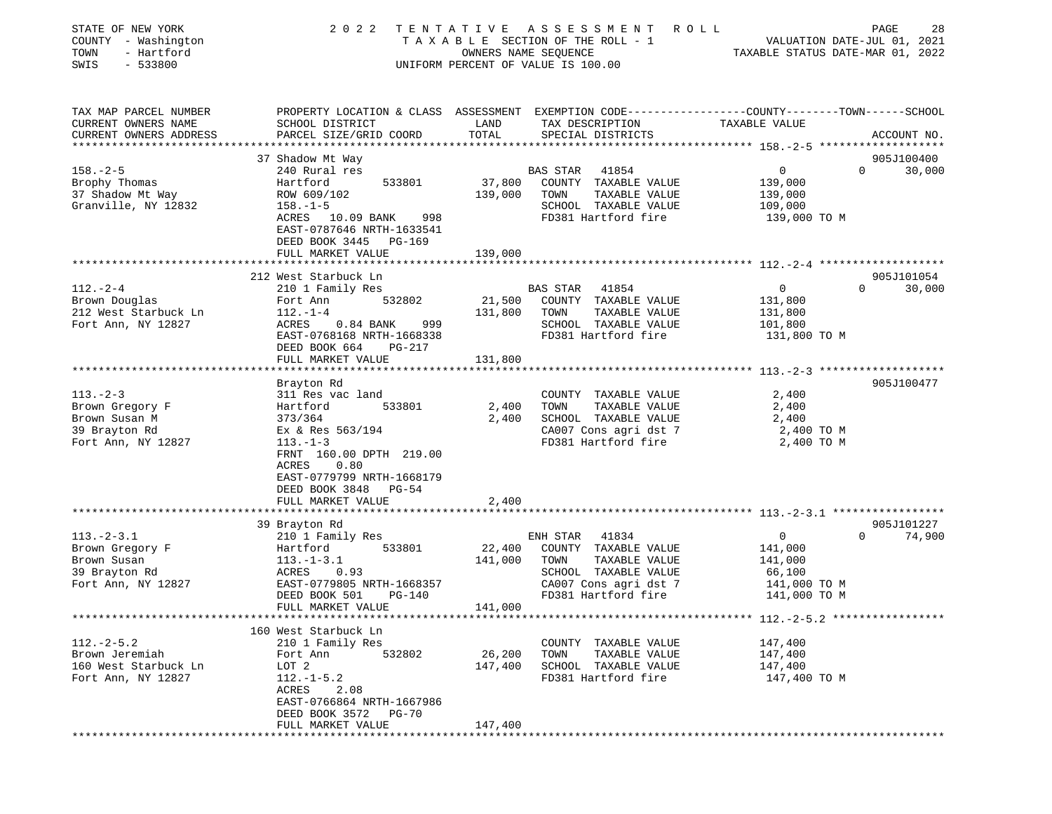| STATE OF NEW YORK | COUNTY - Washington    | 2 0 2 2                                                                                         | TENTATIVE            | A S S E S S M E N T<br>R O L L<br>T A X A B L E SECTION OF THE ROLL - 1 |                                  | 28<br>PAGE<br>VALUATION DATE-JUL 01, 2021 |
|-------------------|------------------------|-------------------------------------------------------------------------------------------------|----------------------|-------------------------------------------------------------------------|----------------------------------|-------------------------------------------|
| TOWN              | - Hartford             |                                                                                                 | OWNERS NAME SEOUENCE |                                                                         | TAXABLE STATUS DATE-MAR 01, 2022 |                                           |
| SWIS              | $-533800$              |                                                                                                 |                      | UNIFORM PERCENT OF VALUE IS 100.00                                      |                                  |                                           |
|                   | TAX MAP PARCEL NUMBER  | PROPERTY LOCATION & CLASS ASSESSMENT EXEMPTION CODE---------------COUNTY-------TOWN------SCHOOL |                      |                                                                         |                                  |                                           |
|                   | CURRENT OWNERS NAME    | SCHOOL DISTRICT                                                                                 | LAND                 | TAX DESCRIPTION                                                         | TAXABLE VALUE                    |                                           |
|                   | CURRENT OWNERS ADDRESS | PARCEL SIZE/GRID COORD                                                                          | TOTAL                | SPECIAL DISTRICTS                                                       |                                  | ACCOUNT NO.                               |
|                   |                        | 37 Shadow Mt Way                                                                                |                      |                                                                         |                                  | 905J100400                                |
| $158. - 2 - 5$    |                        | 240 Rural res                                                                                   |                      | <b>BAS STAR</b><br>41854                                                | $\mathbf 0$                      | $\Omega$<br>30,000                        |
| Brophy Thomas     |                        | 533801<br>Hartford                                                                              | 37,800               | COUNTY TAXABLE VALUE                                                    | 139,000                          |                                           |
| 37 Shadow Mt Way  |                        | ROW 609/102                                                                                     | 139,000              | TOWN<br>TAXABLE VALUE                                                   | 139,000                          |                                           |
|                   | Granville, NY 12832    | $158. - 1 - 5$<br>ACRES 10.09 BANK<br>998<br>EAST-0787646 NRTH-1633541                          |                      | SCHOOL TAXABLE VALUE<br>FD381 Hartford fire                             | 109,000<br>139,000 TO M          |                                           |
|                   |                        | DEED BOOK 3445 PG-169                                                                           |                      |                                                                         |                                  |                                           |
|                   |                        | FULL MARKET VALUE                                                                               | 139,000              |                                                                         |                                  |                                           |
|                   |                        | 212 West Starbuck Ln                                                                            |                      |                                                                         |                                  | 905J101054                                |
| $112. - 2 - 4$    |                        | 210 1 Family Res                                                                                |                      | BAS STAR<br>41854                                                       | $\mathbf{0}$                     | 30,000<br>$\Omega$                        |
| Brown Douglas     |                        | 532802<br>Fort Ann                                                                              | 21,500               | COUNTY TAXABLE VALUE                                                    | 131,800                          |                                           |
|                   | 212 West Starbuck Ln   | $112. - 1 - 4$                                                                                  | 131,800              | TOWN<br>TAXABLE VALUE                                                   | 131,800                          |                                           |
|                   | Fort Ann, NY 12827     | ACRES<br>$0.84$ BANK<br>999                                                                     |                      | SCHOOL TAXABLE VALUE                                                    | 101,800                          |                                           |
|                   |                        | EAST-0768168 NRTH-1668338<br>DEED BOOK 664<br>PG-217                                            |                      | FD381 Hartford fire                                                     | 131,800 TO M                     |                                           |
|                   |                        | FULL MARKET VALUE<br>************************                                                   | 131,800              |                                                                         |                                  |                                           |
|                   |                        | Brayton Rd                                                                                      |                      |                                                                         |                                  | 905J100477                                |
| $113. - 2 - 3$    |                        | 311 Res vac land                                                                                |                      | COUNTY TAXABLE VALUE                                                    | 2,400                            |                                           |
| Brown Gregory F   |                        | 533801<br>Hartford                                                                              | 2,400                | TOWN<br>TAXABLE VALUE                                                   | 2,400                            |                                           |
| Brown Susan M     |                        | 373/364                                                                                         | 2,400                | SCHOOL TAXABLE VALUE                                                    | 2,400                            |                                           |
| 39 Brayton Rd     |                        | Ex & Res $563/194$                                                                              |                      | CA007 Cons agri dst 7                                                   | 2,400 TO M                       |                                           |
|                   | Fort Ann, NY 12827     | $113. - 1 - 3$                                                                                  |                      | FD381 Hartford fire                                                     | 2,400 TO M                       |                                           |
|                   |                        | FRNT 160.00 DPTH 219.00<br>ACRES<br>0.80                                                        |                      |                                                                         |                                  |                                           |
|                   |                        | EAST-0779799 NRTH-1668179                                                                       |                      |                                                                         |                                  |                                           |
|                   |                        | DEED BOOK 3848<br>PG-54<br>FULL MARKET VALUE                                                    |                      |                                                                         |                                  |                                           |
|                   |                        |                                                                                                 | 2,400                |                                                                         |                                  |                                           |
|                   |                        | 39 Brayton Rd                                                                                   |                      |                                                                         |                                  | 905J101227                                |
| $113.-2-3.1$      |                        | 210 1 Family Res                                                                                |                      | ENH STAR<br>41834                                                       | $\mathbf 0$                      | $\Omega$<br>74,900                        |
| Brown Gregory F   |                        | 533801<br>Hartford                                                                              | 22,400               | COUNTY TAXABLE VALUE                                                    | 141,000                          |                                           |
| Brown Susan       |                        | $113.-1-3.1$                                                                                    | 141,000              | TOWN<br>TAXABLE VALUE                                                   | 141,000                          |                                           |
| 39 Brayton Rd     |                        | 0.93<br>ACRES                                                                                   |                      | SCHOOL TAXABLE VALUE                                                    | 66,100                           |                                           |
|                   | Fort Ann, NY 12827     | EAST-0779805 NRTH-1668357                                                                       |                      | CA007 Cons agri dst 7                                                   | 141,000 TO M                     |                                           |
|                   |                        | DEED BOOK 501<br>PG-140<br>FULL MARKET VALUE                                                    | 141,000              | FD381 Hartford fire                                                     | 141,000 TO M                     |                                           |
|                   |                        |                                                                                                 |                      |                                                                         |                                  |                                           |
|                   |                        | 160 West Starbuck Ln                                                                            |                      |                                                                         |                                  |                                           |
| $112. - 2 - 5.2$  |                        | 210 1 Family Res                                                                                |                      | COUNTY TAXABLE VALUE                                                    | 147,400                          |                                           |
| Brown Jeremiah    |                        | Fort Ann<br>532802                                                                              | 26,200               | TOWN<br>TAXABLE VALUE                                                   | 147,400                          |                                           |
|                   | 160 West Starbuck Ln   | LOT 2                                                                                           | 147,400              | SCHOOL TAXABLE VALUE                                                    | 147,400                          |                                           |
|                   | Fort Ann, NY 12827     | $112.-1-5.2$                                                                                    |                      | FD381 Hartford fire                                                     | 147,400 TO M                     |                                           |
|                   |                        | ACRES<br>2.08                                                                                   |                      |                                                                         |                                  |                                           |
|                   |                        | EAST-0766864 NRTH-1667986                                                                       |                      |                                                                         |                                  |                                           |
|                   |                        | DEED BOOK 3572<br>PG-70                                                                         |                      |                                                                         |                                  |                                           |
|                   |                        | FULL MARKET VALUE                                                                               | 147,400              |                                                                         |                                  |                                           |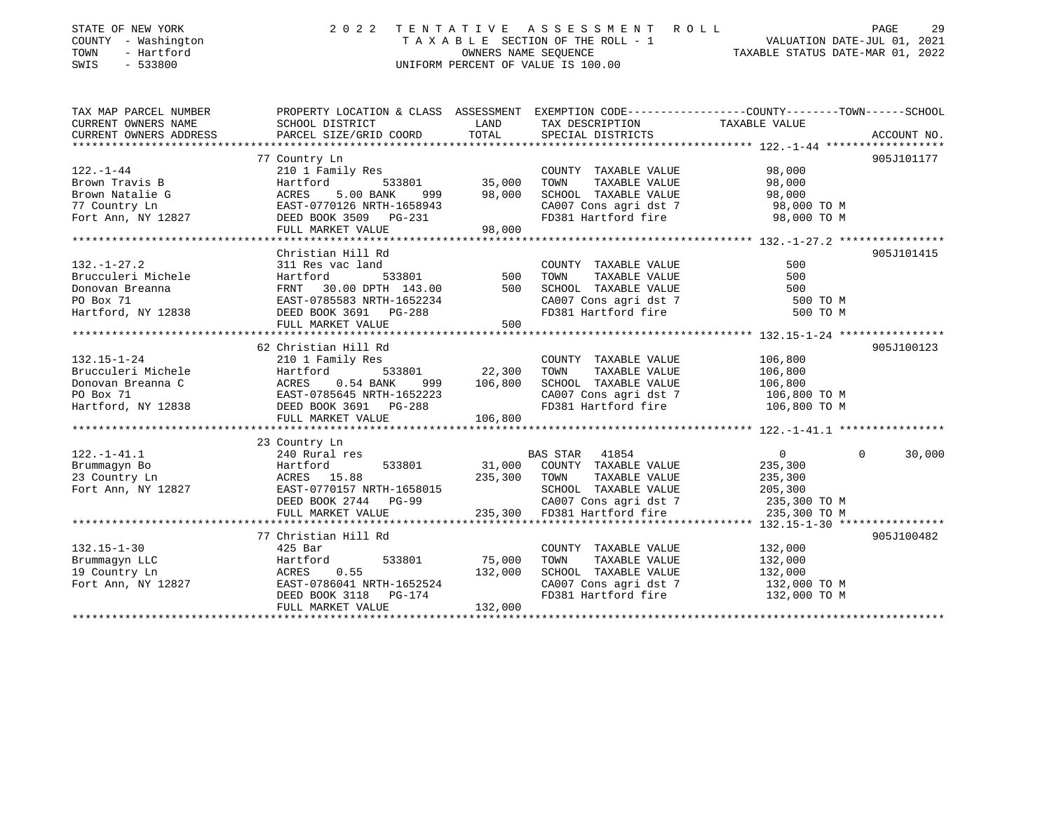| STATE OF NEW YORK<br>COUNTY - Washington<br>TOWN<br>- Hartford<br>$-533800$<br>SWIS | 2 0 2 2                                             |                   | TENTATIVE ASSESSMENT ROLL<br>TAXABLE SECTION OF THE ROLL - 1<br>OWNERS NAME SEQUENCE<br>UNIFORM PERCENT OF VALUE IS 100.00 | PAGE<br>VALUATION DATE-JUL 01, 2021<br>TAXABLE STATUS DATE-MAR 01, 2022                         | 29          |
|-------------------------------------------------------------------------------------|-----------------------------------------------------|-------------------|----------------------------------------------------------------------------------------------------------------------------|-------------------------------------------------------------------------------------------------|-------------|
| TAX MAP PARCEL NUMBER                                                               |                                                     |                   |                                                                                                                            | PROPERTY LOCATION & CLASS ASSESSMENT EXEMPTION CODE---------------COUNTY-------TOWN------SCHOOL |             |
| CURRENT OWNERS NAME                                                                 | SCHOOL DISTRICT                                     | LAND              | TAX DESCRIPTION                                                                                                            | TAXABLE VALUE                                                                                   |             |
| CURRENT OWNERS ADDRESS                                                              | PARCEL SIZE/GRID COORD                              | TOTAL             | SPECIAL DISTRICTS                                                                                                          |                                                                                                 | ACCOUNT NO. |
|                                                                                     | 77 Country Ln                                       |                   |                                                                                                                            |                                                                                                 | 905J101177  |
| $122. - 1 - 44$                                                                     | 210 1 Family Res                                    |                   | COUNTY TAXABLE VALUE                                                                                                       | 98,000                                                                                          |             |
| Brown Travis B                                                                      | Hartford<br>533801                                  | 35,000            | TOWN<br>TAXABLE VALUE                                                                                                      | 98,000                                                                                          |             |
| Brown Natalie G                                                                     | 5.00 BANK<br>ACRES<br>999                           | 98,000            | SCHOOL TAXABLE VALUE                                                                                                       | 98,000                                                                                          |             |
| 77 Country Ln                                                                       | EAST-0770126 NRTH-1658943                           |                   | CA007 Cons agri dst 7                                                                                                      | 98,000 TO M                                                                                     |             |
| Fort Ann, NY 12827                                                                  | DEED BOOK 3509 PG-231                               |                   | FD381 Hartford fire                                                                                                        | 98,000 TO M                                                                                     |             |
|                                                                                     | FULL MARKET VALUE                                   | 98,000            |                                                                                                                            |                                                                                                 |             |
|                                                                                     |                                                     |                   |                                                                                                                            |                                                                                                 |             |
|                                                                                     | Christian Hill Rd                                   |                   |                                                                                                                            |                                                                                                 | 905J101415  |
| $132. - 1 - 27.2$                                                                   | 311 Res vac land                                    |                   | COUNTY TAXABLE VALUE                                                                                                       | 500                                                                                             |             |
| Brucculeri Michele                                                                  | 533801<br>Hartford                                  | 500               | TOWN<br>TAXABLE VALUE                                                                                                      | 500                                                                                             |             |
| Donovan Breanna<br>PO Box 71                                                        | FRNT 30.00 DPTH 143.00<br>EAST-0785583 NRTH-1652234 | 500               | SCHOOL TAXABLE VALUE                                                                                                       | 500<br>500 TO M                                                                                 |             |
| Hartford, NY 12838                                                                  | DEED BOOK 3691 PG-288                               |                   | CA007 Cons agri dst 7<br>The Martford fire                                                                                 | 500 TO M                                                                                        |             |
|                                                                                     | FULL MARKET VALUE                                   | 500               |                                                                                                                            |                                                                                                 |             |
|                                                                                     |                                                     |                   |                                                                                                                            |                                                                                                 |             |
|                                                                                     | 62 Christian Hill Rd                                |                   |                                                                                                                            |                                                                                                 | 905J100123  |
| $132.15 - 1 - 24$                                                                   | 210 1 Family Res                                    |                   | COUNTY TAXABLE VALUE                                                                                                       | 106,800                                                                                         |             |
| Brucculeri Michele                                                                  | Hartford<br>533801                                  | 22,300            | TAXABLE VALUE<br>TOWN                                                                                                      | 106,800                                                                                         |             |
| Donovan Breanna C                                                                   | ACRES<br>$0.54$ BANK<br>999                         | 106,800           | SCHOOL TAXABLE VALUE                                                                                                       | 106,800                                                                                         |             |
| PO Box 71                                                                           | EAST-0785645 NRTH-1652223                           |                   | CA007 Cons agri dst 7                                                                                                      | 106,800 TO M                                                                                    |             |
| Hartford, NY 12838                                                                  | DEED BOOK 3691 PG-288                               |                   | FD381 Hartford fire                                                                                                        | 106,800 TO M                                                                                    |             |
|                                                                                     | FULL MARKET VALUE                                   | 106,800           |                                                                                                                            |                                                                                                 |             |
|                                                                                     |                                                     |                   |                                                                                                                            |                                                                                                 |             |
|                                                                                     | 23 Country Ln                                       |                   |                                                                                                                            | $\Omega$                                                                                        |             |
| $122. - 1 - 41.1$                                                                   | 240 Rural res<br>Hartford<br>533801                 |                   | BAS STAR 41854<br>COUNTY TAXABLE VALUE                                                                                     | $\overline{0}$                                                                                  | 30,000      |
| Brummaqyn Bo<br>23 Country Ln                                                       | ACRES 15.88                                         | 31,000<br>235,300 | TAXABLE VALUE<br>TOWN                                                                                                      | 235,300<br>235,300                                                                              |             |
| Fort Ann, NY 12827                                                                  | EAST-0770157 NRTH-1658015                           |                   | SCHOOL TAXABLE VALUE                                                                                                       | 205,300                                                                                         |             |
|                                                                                     | DEED BOOK 2744 PG-99                                |                   | CA007 Cons agri dst 7                                                                                                      | 235,300 TO M                                                                                    |             |
|                                                                                     | FULL MARKET VALUE                                   |                   | 235,300 FD381 Hartford fire                                                                                                | 235,300 TO M                                                                                    |             |
|                                                                                     |                                                     |                   |                                                                                                                            |                                                                                                 |             |
|                                                                                     | 77 Christian Hill Rd                                |                   |                                                                                                                            |                                                                                                 | 905J100482  |
| $132.15 - 1 - 30$                                                                   | $425$ Bar                                           |                   | COUNTY TAXABLE VALUE                                                                                                       | 132,000                                                                                         |             |
| Brummagyn LLC                                                                       | 533801<br>Hartford                                  | 75,000            | TOWN<br>TAXABLE VALUE                                                                                                      | 132,000                                                                                         |             |
| 19 Country Ln                                                                       | 0.55<br>ACRES                                       | 132,000           | SCHOOL TAXABLE VALUE                                                                                                       | 132,000                                                                                         |             |
| Fort Ann, NY 12827                                                                  | EAST-0786041 NRTH-1652524                           |                   | CA007 Cons agri dst 7                                                                                                      | 132,000 TO M                                                                                    |             |
|                                                                                     | DEED BOOK 3118<br>$PG-174$                          |                   | FD381 Hartford fire                                                                                                        | 132,000 TO M                                                                                    |             |

FULL MARKET VALUE 132,000 \*\*\*\*\*\*\*\*\*\*\*\*\*\*\*\*\*\*\*\*\*\*\*\*\*\*\*\*\*\*\*\*\*\*\*\*\*\*\*\*\*\*\*\*\*\*\*\*\*\*\*\*\*\*\*\*\*\*\*\*\*\*\*\*\*\*\*\*\*\*\*\*\*\*\*\*\*\*\*\*\*\*\*\*\*\*\*\*\*\*\*\*\*\*\*\*\*\*\*\*\*\*\*\*\*\*\*\*\*\*\*\*\*\*\*\*\*\*\*\*\*\*\*\*\*\*\*\*\*\*\*\*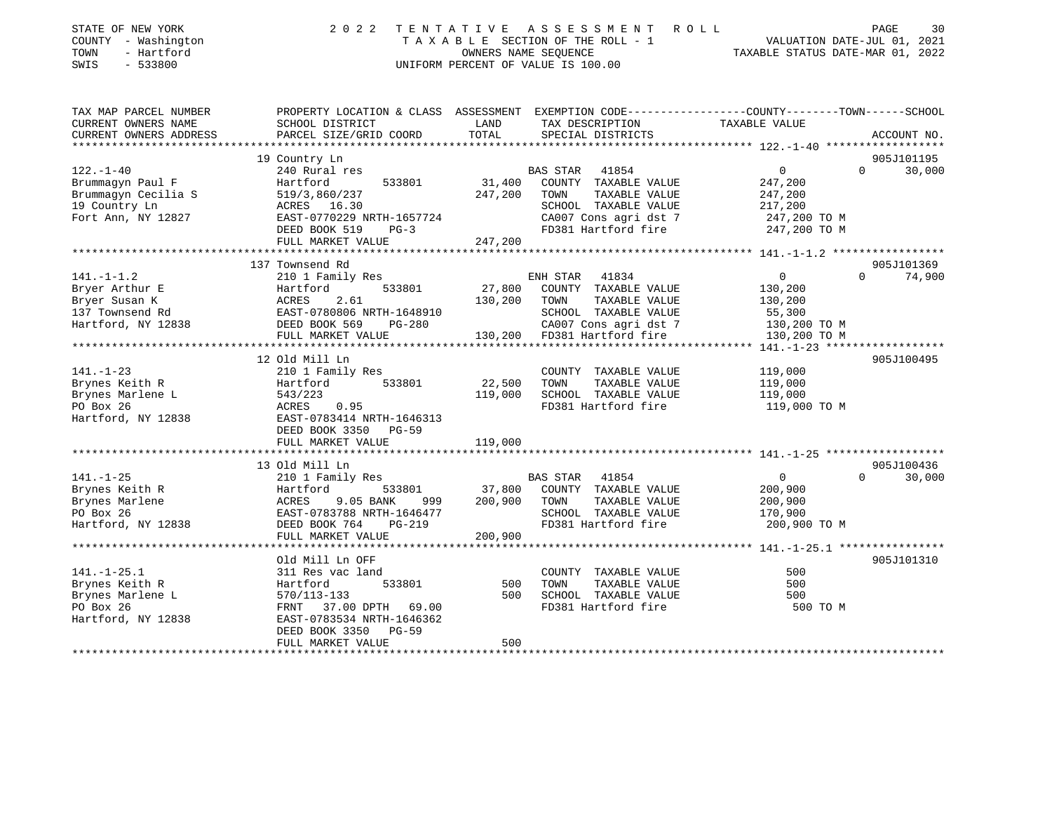| STATE OF NEW YORK |     |            |
|-------------------|-----|------------|
| COUNTY            | $-$ | Washington |
| TOWN              |     | - Hartford |

## STATE OF NEW YORK 2 0 2 2 T E N T A T I V E A S S E S S M E N T R O L L PAGE 30 COUNTY - Washington T A X A B L E SECTION OF THE ROLL - 1 VALUATION DATE-JUL 01, 2021 TOWN - Hartford OWNERS NAME SEQUENCE TAXABLE STATUS DATE-MAR 01, 2022 SWIS - 533800 UNIFORM PERCENT OF VALUE IS 100.00

| TAX MAP PARCEL NUMBER<br>CURRENT OWNERS NAME                                                                                                                                                                                                                                              | PROPERTY LOCATION & CLASS ASSESSMENT EXEMPTION CODE---------------COUNTY-------TOWN-----SCHOOL<br>SCHOOL DISTRICT | LAND             | TAX DESCRIPTION TAXABLE VALUE                                                                                              |                |                             |
|-------------------------------------------------------------------------------------------------------------------------------------------------------------------------------------------------------------------------------------------------------------------------------------------|-------------------------------------------------------------------------------------------------------------------|------------------|----------------------------------------------------------------------------------------------------------------------------|----------------|-----------------------------|
| CURRENT OWNERS ADDRESS                                                                                                                                                                                                                                                                    | PARCEL SIZE/GRID COORD                                                                                            | TOTAL            | SPECIAL DISTRICTS                                                                                                          |                | ACCOUNT NO.                 |
|                                                                                                                                                                                                                                                                                           | 19 Country Ln                                                                                                     |                  |                                                                                                                            |                | 905J101195                  |
| $122. - 1 - 40$                                                                                                                                                                                                                                                                           | 240 Rural res                                                                                                     |                  | <b>BAS STAR</b><br>41854                                                                                                   | $\overline{0}$ | $\Omega$<br>30,000          |
| Brummagyn Paul F                                                                                                                                                                                                                                                                          | 533801<br>Hartford                                                                                                | 31,400           | COUNTY TAXABLE VALUE                                                                                                       | 247,200        |                             |
| Brummagyn Cecilia S                                                                                                                                                                                                                                                                       | 519/3,860/237                                                                                                     | 247,200          | TOWN<br>TAXABLE VALUE                                                                                                      | 247,200        |                             |
| 19 Country Ln                                                                                                                                                                                                                                                                             | ACRES 16.30                                                                                                       |                  | SCHOOL TAXABLE VALUE                                                                                                       | 217,200        |                             |
| Fort Ann, NY 12827                                                                                                                                                                                                                                                                        | EAST-0770229 NRTH-1657724                                                                                         |                  | SCHOOL TAXABLE VALUE 217,200<br>CA007 Cons agri dst 7 1247,200 TO M                                                        |                |                             |
|                                                                                                                                                                                                                                                                                           | DEED BOOK 519<br>$PG-3$                                                                                           |                  | FD381 Hartford fire 247,200 TO M                                                                                           |                |                             |
|                                                                                                                                                                                                                                                                                           | FULL MARKET VALUE                                                                                                 | 247,200          |                                                                                                                            |                |                             |
|                                                                                                                                                                                                                                                                                           |                                                                                                                   |                  |                                                                                                                            |                |                             |
|                                                                                                                                                                                                                                                                                           | 137 Townsend Rd                                                                                                   |                  |                                                                                                                            |                | 905J101369                  |
| $141. - 1 - 1.2$                                                                                                                                                                                                                                                                          | 210 1 Family Res                                                                                                  |                  | ENH STAR<br>41834                                                                                                          | $\Omega$       | $0 \qquad \qquad$<br>74,900 |
| Bryer Arthur E                                                                                                                                                                                                                                                                            | 533801<br>Hartford                                                                                                | 27,800           | COUNTY TAXABLE VALUE                                                                                                       | 130,200        |                             |
| Bryer Susan K                                                                                                                                                                                                                                                                             | ACRES<br>2.61                                                                                                     | 130,200          | TAXABLE VALUE<br>TOWN                                                                                                      | 130,200        |                             |
| 137 Townsend Rd                                                                                                                                                                                                                                                                           | EAST-0780806 NRTH-1648910                                                                                         |                  | SCHOOL TAXABLE VALUE                                                                                                       | 55,300         |                             |
| Hartford, NY 12838                                                                                                                                                                                                                                                                        | DEED BOOK 569<br>PG-280                                                                                           |                  |                                                                                                                            | 130,200 TO M   |                             |
|                                                                                                                                                                                                                                                                                           | FULL MARKET VALUE                                                                                                 |                  | CA007 Cons agri dst 7<br>130,200 FD381 Hartford fire                                                                       | 130,200 TO M   |                             |
|                                                                                                                                                                                                                                                                                           |                                                                                                                   |                  |                                                                                                                            |                |                             |
|                                                                                                                                                                                                                                                                                           |                                                                                                                   |                  |                                                                                                                            |                | 905J100495                  |
|                                                                                                                                                                                                                                                                                           |                                                                                                                   |                  | COUNTY TAXABLE VALUE                                                                                                       | 119,000        |                             |
|                                                                                                                                                                                                                                                                                           |                                                                                                                   | 22,500           | TOWN<br>TAXABLE VALUE                                                                                                      | 119,000        |                             |
|                                                                                                                                                                                                                                                                                           |                                                                                                                   | 119,000          | SCHOOL TAXABLE VALUE                                                                                                       | 119,000        |                             |
|                                                                                                                                                                                                                                                                                           |                                                                                                                   |                  | FD381 Hartford fire 119,000 TO M                                                                                           |                |                             |
|                                                                                                                                                                                                                                                                                           |                                                                                                                   |                  |                                                                                                                            |                |                             |
|                                                                                                                                                                                                                                                                                           |                                                                                                                   |                  |                                                                                                                            |                |                             |
| A<br>$\frac{141. -1-23}{12838}$<br>Brynes Keith R<br>Brynes Marlene L<br>$\frac{543/223}{12838}$<br>$\frac{543/223}{12838}$<br>$\frac{543/223}{12838}$<br>$\frac{543/223}{12834}$<br>$\frac{543/223}{12834}$<br>$\frac{543/223}{12834}$<br>$\frac{543/223}{12834}$<br>$\frac{543/223}{12$ |                                                                                                                   | 119,000          |                                                                                                                            |                |                             |
|                                                                                                                                                                                                                                                                                           |                                                                                                                   |                  |                                                                                                                            |                |                             |
|                                                                                                                                                                                                                                                                                           | 13 Old Mill Ln                                                                                                    |                  |                                                                                                                            |                | 905J100436                  |
| $141. - 1 - 25$                                                                                                                                                                                                                                                                           | 210 1 Family Res                                                                                                  |                  | BAS STAR 41854                                                                                                             | $\overline{0}$ | 30,000<br>$\Omega$          |
| Brynes Keith R                                                                                                                                                                                                                                                                            |                                                                                                                   |                  | ${\tt 533801} \hspace{20pt} {\tt 37,800} \hspace{20pt} {\tt COUNTY} \hspace{20pt} {\tt TAXABLE} \hspace{20pt} {\tt VALUE}$ | 200,900        |                             |
| Brynes Marlene                                                                                                                                                                                                                                                                            |                                                                                                                   | 999 200,900 TOWN | TAXABLE VALUE                                                                                                              | 200,900        |                             |
| PO Box 26                                                                                                                                                                                                                                                                                 |                                                                                                                   |                  | SCHOOL TAXABLE VALUE 170,900                                                                                               |                |                             |
| Hartford, NY 12838                                                                                                                                                                                                                                                                        | DEED BOOK 764<br>PG-219                                                                                           |                  | FD381 Hartford fire 200,900 TO M                                                                                           |                |                             |
|                                                                                                                                                                                                                                                                                           | FULL MARKET VALUE                                                                                                 | 200,900          |                                                                                                                            |                |                             |
|                                                                                                                                                                                                                                                                                           |                                                                                                                   |                  |                                                                                                                            |                |                             |
|                                                                                                                                                                                                                                                                                           | Old Mill Ln OFF                                                                                                   |                  |                                                                                                                            |                | 905J101310                  |
| $141. - 1 - 25.1$                                                                                                                                                                                                                                                                         | 311 Res vac land                                                                                                  |                  | COUNTY TAXABLE VALUE                                                                                                       | 500            |                             |
| Brynes Keith R                                                                                                                                                                                                                                                                            | Hartford<br>533801                                                                                                | 500              | TAXABLE VALUE<br>TOWN                                                                                                      | 500            |                             |
| Brynes Marlene L                                                                                                                                                                                                                                                                          | 570/113-133                                                                                                       | 500              | SCHOOL TAXABLE VALUE                                                                                                       | 500            |                             |
| PO Box 26                                                                                                                                                                                                                                                                                 | FRNT 37.00 DPTH 69.00                                                                                             |                  | FD381 Hartford fire                                                                                                        | 500 TO M       |                             |
| Hartford, NY 12838                                                                                                                                                                                                                                                                        | EAST-0783534 NRTH-1646362                                                                                         |                  |                                                                                                                            |                |                             |
|                                                                                                                                                                                                                                                                                           | DEED BOOK 3350 PG-59                                                                                              |                  |                                                                                                                            |                |                             |
|                                                                                                                                                                                                                                                                                           | FULL MARKET VALUE                                                                                                 | 500              |                                                                                                                            |                |                             |
|                                                                                                                                                                                                                                                                                           |                                                                                                                   |                  |                                                                                                                            |                |                             |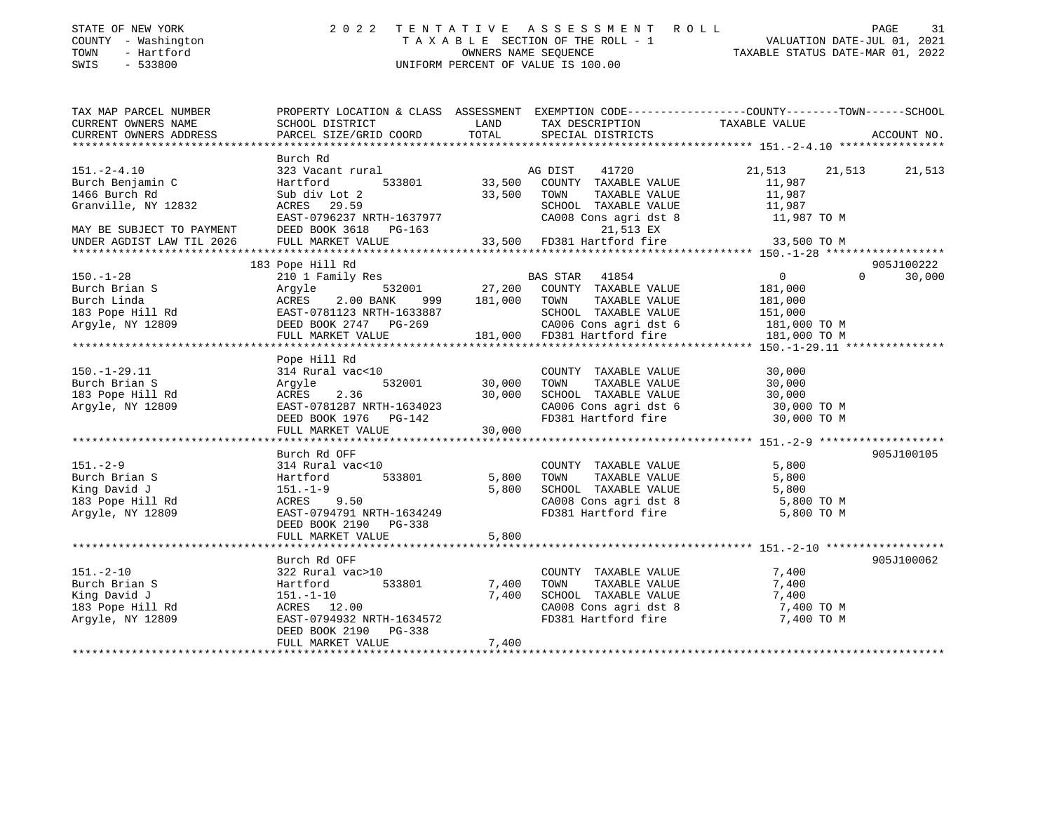| STATE OF NEW YORK   | 2022 TENTATIVE ASSESSMENT ROLL     | 31<br>PAGE                       |
|---------------------|------------------------------------|----------------------------------|
| COUNTY - Washington | TAXABLE SECTION OF THE ROLL - 1    | VALUATION DATE-JUL 01, 2021      |
| TOWN<br>- Hartford  | OWNERS NAME SEOUENCE               | TAXABLE STATUS DATE-MAR 01, 2022 |
| - 533800<br>SWIS    | UNIFORM PERCENT OF VALUE IS 100.00 |                                  |

| TAXABLE VALUE<br>CURRENT OWNERS NAME<br>SCHOOL DISTRICT<br>LAND<br>TAX DESCRIPTION<br>CURRENT OWNERS ADDRESS<br>TOTAL<br>ACCOUNT NO.<br>PARCEL SIZE/GRID COORD<br>SPECIAL DISTRICTS<br>Burch Rd<br>$151. - 2 - 4.10$<br>21,513 21,513<br>21,513<br>Burch Benjamin C<br>11,987<br>1466 Burch Rd<br>Sub div Lot 2<br>33,500 TOWN<br>TAXABLE VALUE<br>11,987<br>11,987<br>ACRES 29.59<br>SCHOOL TAXABLE VALUE<br>Granville, NY 12832<br>CA008 Cons agri dst 8 11,987 TO M<br>RORES 27.37<br>EAST-0796237 NRTH-1637977<br>2008 2008 2618 PG-163<br>MAY BE SUBJECT TO PAYMENT<br>21,513 EX<br>33,500 FD381 Hartford fire 33,500 TO M<br>UNDER AGDIST LAW TIL 2026<br>FULL MARKET VALUE<br>183 Pope Hill Rd<br>905J100222<br>210 1 Family Res<br>Argyle 532001 27,200 COUNTY TAXABLE VALUE<br>$\begin{array}{c} 0 \\ 181,000 \end{array}$<br>$\Omega$<br>30,000<br>$150. - 1 - 28$<br>150.-1-28 --<br>Burch Brian S<br>Burch Linda ACRES 2.00 BANK 999 181,000 TOWN TAXABLE VALUE<br>183 Pope Hill Rd EAST-0781123 NRTH-1633887 SCHOOL TAXABLE VALUE 151,000<br>181,000 TO M CA006 Cons agri dst 6 181,000 TO M<br>FULL MARKET<br>Pope Hill Rd<br>$150. - 1 - 29.11$<br>314 Rural vac<10<br>COUNTY TAXABLE VALUE<br>30,000<br>TAXABLE VALUE<br>TOWN<br>30,000<br>Burch Brian S<br>Argyle<br>ACRES 2.36<br>183 Pope Hill Rd<br>30,000<br>SCHOOL TAXABLE VALUE 30,000<br>CA006 Cons agri dst 6 30,000 TO M<br>EAST-0781287 NRTH-1634023<br>Argyle, NY 12809<br>EAST-0781287 NRTH-1634023<br>DEED BOOK 1976 PG-142<br>FD381 Hartford fire 30,000 TO M<br>30,000<br>FULL MARKET VALUE<br>905J100105<br>Burch Rd OFF<br>314 Rural vac<10<br>COUNTY TAXABLE VALUE<br>5,800<br>$151 - 2 - 9$<br>533801<br>Burch Brian S<br>5,800<br>TOWN<br>TAXABLE VALUE<br>5,800<br>Hartford<br>5,800<br>SCHOOL TAXABLE VALUE 5,800<br>CA008 Cons agri dst 8 5,800 TO M<br>King David J<br>$151.-1-9$<br>ACRES 9.50<br>183 Pope Hill Rd<br>EAST-0794791 NRTH-1634249<br>FD381 Hartford fire 5,800 TO M<br>Argyle, NY 12809<br>DEED BOOK 2190 PG-338<br>5,800<br>FULL MARKET VALUE<br>905J100062<br>Burch Rd OFF<br>$151. - 2 - 10$<br>7,400<br>322 Rural vac>10<br>COUNTY TAXABLE VALUE<br>TAXABLE VALUE<br>TAXABLE VALUE<br>533801<br>7,400<br>7,400<br>Burch Brian S<br>Hartford<br>TOWN<br>7,400<br>King David J<br>SCHOOL TAXABLE VALUE<br>7,400<br>151.-1-10<br>183 Pope Hill Rd<br>ACRES 12.00<br>CA008 Cons agri dst 8<br>FD381 Hartford fire<br>7,400 TO M<br>7,400 TO M<br>EAST-0794932 NRTH-1634572<br>Argyle, NY 12809<br>DEED BOOK 2190 PG-338<br>7,400<br>FULL MARKET VALUE | TAX MAP PARCEL NUMBER | PROPERTY LOCATION & CLASS ASSESSMENT EXEMPTION CODE---------------COUNTY-------TOWN------SCHOOL |  |  |
|---------------------------------------------------------------------------------------------------------------------------------------------------------------------------------------------------------------------------------------------------------------------------------------------------------------------------------------------------------------------------------------------------------------------------------------------------------------------------------------------------------------------------------------------------------------------------------------------------------------------------------------------------------------------------------------------------------------------------------------------------------------------------------------------------------------------------------------------------------------------------------------------------------------------------------------------------------------------------------------------------------------------------------------------------------------------------------------------------------------------------------------------------------------------------------------------------------------------------------------------------------------------------------------------------------------------------------------------------------------------------------------------------------------------------------------------------------------------------------------------------------------------------------------------------------------------------------------------------------------------------------------------------------------------------------------------------------------------------------------------------------------------------------------------------------------------------------------------------------------------------------------------------------------------------------------------------------------------------------------------------------------------------------------------------------------------------------------------------------------------------------------------------------------------------------------------------------------------------------------------------------------------------------------------------------------------------------------------------------------------------------------------------------------------------------------------------------------------------------------------------------------------------------------------------------------|-----------------------|-------------------------------------------------------------------------------------------------|--|--|
|                                                                                                                                                                                                                                                                                                                                                                                                                                                                                                                                                                                                                                                                                                                                                                                                                                                                                                                                                                                                                                                                                                                                                                                                                                                                                                                                                                                                                                                                                                                                                                                                                                                                                                                                                                                                                                                                                                                                                                                                                                                                                                                                                                                                                                                                                                                                                                                                                                                                                                                                                               |                       |                                                                                                 |  |  |
|                                                                                                                                                                                                                                                                                                                                                                                                                                                                                                                                                                                                                                                                                                                                                                                                                                                                                                                                                                                                                                                                                                                                                                                                                                                                                                                                                                                                                                                                                                                                                                                                                                                                                                                                                                                                                                                                                                                                                                                                                                                                                                                                                                                                                                                                                                                                                                                                                                                                                                                                                               |                       |                                                                                                 |  |  |
|                                                                                                                                                                                                                                                                                                                                                                                                                                                                                                                                                                                                                                                                                                                                                                                                                                                                                                                                                                                                                                                                                                                                                                                                                                                                                                                                                                                                                                                                                                                                                                                                                                                                                                                                                                                                                                                                                                                                                                                                                                                                                                                                                                                                                                                                                                                                                                                                                                                                                                                                                               |                       |                                                                                                 |  |  |
|                                                                                                                                                                                                                                                                                                                                                                                                                                                                                                                                                                                                                                                                                                                                                                                                                                                                                                                                                                                                                                                                                                                                                                                                                                                                                                                                                                                                                                                                                                                                                                                                                                                                                                                                                                                                                                                                                                                                                                                                                                                                                                                                                                                                                                                                                                                                                                                                                                                                                                                                                               |                       |                                                                                                 |  |  |
|                                                                                                                                                                                                                                                                                                                                                                                                                                                                                                                                                                                                                                                                                                                                                                                                                                                                                                                                                                                                                                                                                                                                                                                                                                                                                                                                                                                                                                                                                                                                                                                                                                                                                                                                                                                                                                                                                                                                                                                                                                                                                                                                                                                                                                                                                                                                                                                                                                                                                                                                                               |                       |                                                                                                 |  |  |
|                                                                                                                                                                                                                                                                                                                                                                                                                                                                                                                                                                                                                                                                                                                                                                                                                                                                                                                                                                                                                                                                                                                                                                                                                                                                                                                                                                                                                                                                                                                                                                                                                                                                                                                                                                                                                                                                                                                                                                                                                                                                                                                                                                                                                                                                                                                                                                                                                                                                                                                                                               |                       |                                                                                                 |  |  |
|                                                                                                                                                                                                                                                                                                                                                                                                                                                                                                                                                                                                                                                                                                                                                                                                                                                                                                                                                                                                                                                                                                                                                                                                                                                                                                                                                                                                                                                                                                                                                                                                                                                                                                                                                                                                                                                                                                                                                                                                                                                                                                                                                                                                                                                                                                                                                                                                                                                                                                                                                               |                       |                                                                                                 |  |  |
|                                                                                                                                                                                                                                                                                                                                                                                                                                                                                                                                                                                                                                                                                                                                                                                                                                                                                                                                                                                                                                                                                                                                                                                                                                                                                                                                                                                                                                                                                                                                                                                                                                                                                                                                                                                                                                                                                                                                                                                                                                                                                                                                                                                                                                                                                                                                                                                                                                                                                                                                                               |                       |                                                                                                 |  |  |
|                                                                                                                                                                                                                                                                                                                                                                                                                                                                                                                                                                                                                                                                                                                                                                                                                                                                                                                                                                                                                                                                                                                                                                                                                                                                                                                                                                                                                                                                                                                                                                                                                                                                                                                                                                                                                                                                                                                                                                                                                                                                                                                                                                                                                                                                                                                                                                                                                                                                                                                                                               |                       |                                                                                                 |  |  |
|                                                                                                                                                                                                                                                                                                                                                                                                                                                                                                                                                                                                                                                                                                                                                                                                                                                                                                                                                                                                                                                                                                                                                                                                                                                                                                                                                                                                                                                                                                                                                                                                                                                                                                                                                                                                                                                                                                                                                                                                                                                                                                                                                                                                                                                                                                                                                                                                                                                                                                                                                               |                       |                                                                                                 |  |  |
|                                                                                                                                                                                                                                                                                                                                                                                                                                                                                                                                                                                                                                                                                                                                                                                                                                                                                                                                                                                                                                                                                                                                                                                                                                                                                                                                                                                                                                                                                                                                                                                                                                                                                                                                                                                                                                                                                                                                                                                                                                                                                                                                                                                                                                                                                                                                                                                                                                                                                                                                                               |                       |                                                                                                 |  |  |
|                                                                                                                                                                                                                                                                                                                                                                                                                                                                                                                                                                                                                                                                                                                                                                                                                                                                                                                                                                                                                                                                                                                                                                                                                                                                                                                                                                                                                                                                                                                                                                                                                                                                                                                                                                                                                                                                                                                                                                                                                                                                                                                                                                                                                                                                                                                                                                                                                                                                                                                                                               |                       |                                                                                                 |  |  |
|                                                                                                                                                                                                                                                                                                                                                                                                                                                                                                                                                                                                                                                                                                                                                                                                                                                                                                                                                                                                                                                                                                                                                                                                                                                                                                                                                                                                                                                                                                                                                                                                                                                                                                                                                                                                                                                                                                                                                                                                                                                                                                                                                                                                                                                                                                                                                                                                                                                                                                                                                               |                       |                                                                                                 |  |  |
|                                                                                                                                                                                                                                                                                                                                                                                                                                                                                                                                                                                                                                                                                                                                                                                                                                                                                                                                                                                                                                                                                                                                                                                                                                                                                                                                                                                                                                                                                                                                                                                                                                                                                                                                                                                                                                                                                                                                                                                                                                                                                                                                                                                                                                                                                                                                                                                                                                                                                                                                                               |                       |                                                                                                 |  |  |
|                                                                                                                                                                                                                                                                                                                                                                                                                                                                                                                                                                                                                                                                                                                                                                                                                                                                                                                                                                                                                                                                                                                                                                                                                                                                                                                                                                                                                                                                                                                                                                                                                                                                                                                                                                                                                                                                                                                                                                                                                                                                                                                                                                                                                                                                                                                                                                                                                                                                                                                                                               |                       |                                                                                                 |  |  |
|                                                                                                                                                                                                                                                                                                                                                                                                                                                                                                                                                                                                                                                                                                                                                                                                                                                                                                                                                                                                                                                                                                                                                                                                                                                                                                                                                                                                                                                                                                                                                                                                                                                                                                                                                                                                                                                                                                                                                                                                                                                                                                                                                                                                                                                                                                                                                                                                                                                                                                                                                               |                       |                                                                                                 |  |  |
|                                                                                                                                                                                                                                                                                                                                                                                                                                                                                                                                                                                                                                                                                                                                                                                                                                                                                                                                                                                                                                                                                                                                                                                                                                                                                                                                                                                                                                                                                                                                                                                                                                                                                                                                                                                                                                                                                                                                                                                                                                                                                                                                                                                                                                                                                                                                                                                                                                                                                                                                                               |                       |                                                                                                 |  |  |
|                                                                                                                                                                                                                                                                                                                                                                                                                                                                                                                                                                                                                                                                                                                                                                                                                                                                                                                                                                                                                                                                                                                                                                                                                                                                                                                                                                                                                                                                                                                                                                                                                                                                                                                                                                                                                                                                                                                                                                                                                                                                                                                                                                                                                                                                                                                                                                                                                                                                                                                                                               |                       |                                                                                                 |  |  |
|                                                                                                                                                                                                                                                                                                                                                                                                                                                                                                                                                                                                                                                                                                                                                                                                                                                                                                                                                                                                                                                                                                                                                                                                                                                                                                                                                                                                                                                                                                                                                                                                                                                                                                                                                                                                                                                                                                                                                                                                                                                                                                                                                                                                                                                                                                                                                                                                                                                                                                                                                               |                       |                                                                                                 |  |  |
|                                                                                                                                                                                                                                                                                                                                                                                                                                                                                                                                                                                                                                                                                                                                                                                                                                                                                                                                                                                                                                                                                                                                                                                                                                                                                                                                                                                                                                                                                                                                                                                                                                                                                                                                                                                                                                                                                                                                                                                                                                                                                                                                                                                                                                                                                                                                                                                                                                                                                                                                                               |                       |                                                                                                 |  |  |
|                                                                                                                                                                                                                                                                                                                                                                                                                                                                                                                                                                                                                                                                                                                                                                                                                                                                                                                                                                                                                                                                                                                                                                                                                                                                                                                                                                                                                                                                                                                                                                                                                                                                                                                                                                                                                                                                                                                                                                                                                                                                                                                                                                                                                                                                                                                                                                                                                                                                                                                                                               |                       |                                                                                                 |  |  |
|                                                                                                                                                                                                                                                                                                                                                                                                                                                                                                                                                                                                                                                                                                                                                                                                                                                                                                                                                                                                                                                                                                                                                                                                                                                                                                                                                                                                                                                                                                                                                                                                                                                                                                                                                                                                                                                                                                                                                                                                                                                                                                                                                                                                                                                                                                                                                                                                                                                                                                                                                               |                       |                                                                                                 |  |  |
|                                                                                                                                                                                                                                                                                                                                                                                                                                                                                                                                                                                                                                                                                                                                                                                                                                                                                                                                                                                                                                                                                                                                                                                                                                                                                                                                                                                                                                                                                                                                                                                                                                                                                                                                                                                                                                                                                                                                                                                                                                                                                                                                                                                                                                                                                                                                                                                                                                                                                                                                                               |                       |                                                                                                 |  |  |
|                                                                                                                                                                                                                                                                                                                                                                                                                                                                                                                                                                                                                                                                                                                                                                                                                                                                                                                                                                                                                                                                                                                                                                                                                                                                                                                                                                                                                                                                                                                                                                                                                                                                                                                                                                                                                                                                                                                                                                                                                                                                                                                                                                                                                                                                                                                                                                                                                                                                                                                                                               |                       |                                                                                                 |  |  |
|                                                                                                                                                                                                                                                                                                                                                                                                                                                                                                                                                                                                                                                                                                                                                                                                                                                                                                                                                                                                                                                                                                                                                                                                                                                                                                                                                                                                                                                                                                                                                                                                                                                                                                                                                                                                                                                                                                                                                                                                                                                                                                                                                                                                                                                                                                                                                                                                                                                                                                                                                               |                       |                                                                                                 |  |  |
|                                                                                                                                                                                                                                                                                                                                                                                                                                                                                                                                                                                                                                                                                                                                                                                                                                                                                                                                                                                                                                                                                                                                                                                                                                                                                                                                                                                                                                                                                                                                                                                                                                                                                                                                                                                                                                                                                                                                                                                                                                                                                                                                                                                                                                                                                                                                                                                                                                                                                                                                                               |                       |                                                                                                 |  |  |
|                                                                                                                                                                                                                                                                                                                                                                                                                                                                                                                                                                                                                                                                                                                                                                                                                                                                                                                                                                                                                                                                                                                                                                                                                                                                                                                                                                                                                                                                                                                                                                                                                                                                                                                                                                                                                                                                                                                                                                                                                                                                                                                                                                                                                                                                                                                                                                                                                                                                                                                                                               |                       |                                                                                                 |  |  |
|                                                                                                                                                                                                                                                                                                                                                                                                                                                                                                                                                                                                                                                                                                                                                                                                                                                                                                                                                                                                                                                                                                                                                                                                                                                                                                                                                                                                                                                                                                                                                                                                                                                                                                                                                                                                                                                                                                                                                                                                                                                                                                                                                                                                                                                                                                                                                                                                                                                                                                                                                               |                       |                                                                                                 |  |  |
|                                                                                                                                                                                                                                                                                                                                                                                                                                                                                                                                                                                                                                                                                                                                                                                                                                                                                                                                                                                                                                                                                                                                                                                                                                                                                                                                                                                                                                                                                                                                                                                                                                                                                                                                                                                                                                                                                                                                                                                                                                                                                                                                                                                                                                                                                                                                                                                                                                                                                                                                                               |                       |                                                                                                 |  |  |
|                                                                                                                                                                                                                                                                                                                                                                                                                                                                                                                                                                                                                                                                                                                                                                                                                                                                                                                                                                                                                                                                                                                                                                                                                                                                                                                                                                                                                                                                                                                                                                                                                                                                                                                                                                                                                                                                                                                                                                                                                                                                                                                                                                                                                                                                                                                                                                                                                                                                                                                                                               |                       |                                                                                                 |  |  |
|                                                                                                                                                                                                                                                                                                                                                                                                                                                                                                                                                                                                                                                                                                                                                                                                                                                                                                                                                                                                                                                                                                                                                                                                                                                                                                                                                                                                                                                                                                                                                                                                                                                                                                                                                                                                                                                                                                                                                                                                                                                                                                                                                                                                                                                                                                                                                                                                                                                                                                                                                               |                       |                                                                                                 |  |  |
|                                                                                                                                                                                                                                                                                                                                                                                                                                                                                                                                                                                                                                                                                                                                                                                                                                                                                                                                                                                                                                                                                                                                                                                                                                                                                                                                                                                                                                                                                                                                                                                                                                                                                                                                                                                                                                                                                                                                                                                                                                                                                                                                                                                                                                                                                                                                                                                                                                                                                                                                                               |                       |                                                                                                 |  |  |
|                                                                                                                                                                                                                                                                                                                                                                                                                                                                                                                                                                                                                                                                                                                                                                                                                                                                                                                                                                                                                                                                                                                                                                                                                                                                                                                                                                                                                                                                                                                                                                                                                                                                                                                                                                                                                                                                                                                                                                                                                                                                                                                                                                                                                                                                                                                                                                                                                                                                                                                                                               |                       |                                                                                                 |  |  |
|                                                                                                                                                                                                                                                                                                                                                                                                                                                                                                                                                                                                                                                                                                                                                                                                                                                                                                                                                                                                                                                                                                                                                                                                                                                                                                                                                                                                                                                                                                                                                                                                                                                                                                                                                                                                                                                                                                                                                                                                                                                                                                                                                                                                                                                                                                                                                                                                                                                                                                                                                               |                       |                                                                                                 |  |  |
|                                                                                                                                                                                                                                                                                                                                                                                                                                                                                                                                                                                                                                                                                                                                                                                                                                                                                                                                                                                                                                                                                                                                                                                                                                                                                                                                                                                                                                                                                                                                                                                                                                                                                                                                                                                                                                                                                                                                                                                                                                                                                                                                                                                                                                                                                                                                                                                                                                                                                                                                                               |                       |                                                                                                 |  |  |
|                                                                                                                                                                                                                                                                                                                                                                                                                                                                                                                                                                                                                                                                                                                                                                                                                                                                                                                                                                                                                                                                                                                                                                                                                                                                                                                                                                                                                                                                                                                                                                                                                                                                                                                                                                                                                                                                                                                                                                                                                                                                                                                                                                                                                                                                                                                                                                                                                                                                                                                                                               |                       |                                                                                                 |  |  |
|                                                                                                                                                                                                                                                                                                                                                                                                                                                                                                                                                                                                                                                                                                                                                                                                                                                                                                                                                                                                                                                                                                                                                                                                                                                                                                                                                                                                                                                                                                                                                                                                                                                                                                                                                                                                                                                                                                                                                                                                                                                                                                                                                                                                                                                                                                                                                                                                                                                                                                                                                               |                       |                                                                                                 |  |  |
|                                                                                                                                                                                                                                                                                                                                                                                                                                                                                                                                                                                                                                                                                                                                                                                                                                                                                                                                                                                                                                                                                                                                                                                                                                                                                                                                                                                                                                                                                                                                                                                                                                                                                                                                                                                                                                                                                                                                                                                                                                                                                                                                                                                                                                                                                                                                                                                                                                                                                                                                                               |                       |                                                                                                 |  |  |
|                                                                                                                                                                                                                                                                                                                                                                                                                                                                                                                                                                                                                                                                                                                                                                                                                                                                                                                                                                                                                                                                                                                                                                                                                                                                                                                                                                                                                                                                                                                                                                                                                                                                                                                                                                                                                                                                                                                                                                                                                                                                                                                                                                                                                                                                                                                                                                                                                                                                                                                                                               |                       |                                                                                                 |  |  |
|                                                                                                                                                                                                                                                                                                                                                                                                                                                                                                                                                                                                                                                                                                                                                                                                                                                                                                                                                                                                                                                                                                                                                                                                                                                                                                                                                                                                                                                                                                                                                                                                                                                                                                                                                                                                                                                                                                                                                                                                                                                                                                                                                                                                                                                                                                                                                                                                                                                                                                                                                               |                       |                                                                                                 |  |  |
|                                                                                                                                                                                                                                                                                                                                                                                                                                                                                                                                                                                                                                                                                                                                                                                                                                                                                                                                                                                                                                                                                                                                                                                                                                                                                                                                                                                                                                                                                                                                                                                                                                                                                                                                                                                                                                                                                                                                                                                                                                                                                                                                                                                                                                                                                                                                                                                                                                                                                                                                                               |                       |                                                                                                 |  |  |
|                                                                                                                                                                                                                                                                                                                                                                                                                                                                                                                                                                                                                                                                                                                                                                                                                                                                                                                                                                                                                                                                                                                                                                                                                                                                                                                                                                                                                                                                                                                                                                                                                                                                                                                                                                                                                                                                                                                                                                                                                                                                                                                                                                                                                                                                                                                                                                                                                                                                                                                                                               |                       |                                                                                                 |  |  |
|                                                                                                                                                                                                                                                                                                                                                                                                                                                                                                                                                                                                                                                                                                                                                                                                                                                                                                                                                                                                                                                                                                                                                                                                                                                                                                                                                                                                                                                                                                                                                                                                                                                                                                                                                                                                                                                                                                                                                                                                                                                                                                                                                                                                                                                                                                                                                                                                                                                                                                                                                               |                       |                                                                                                 |  |  |
|                                                                                                                                                                                                                                                                                                                                                                                                                                                                                                                                                                                                                                                                                                                                                                                                                                                                                                                                                                                                                                                                                                                                                                                                                                                                                                                                                                                                                                                                                                                                                                                                                                                                                                                                                                                                                                                                                                                                                                                                                                                                                                                                                                                                                                                                                                                                                                                                                                                                                                                                                               |                       |                                                                                                 |  |  |
|                                                                                                                                                                                                                                                                                                                                                                                                                                                                                                                                                                                                                                                                                                                                                                                                                                                                                                                                                                                                                                                                                                                                                                                                                                                                                                                                                                                                                                                                                                                                                                                                                                                                                                                                                                                                                                                                                                                                                                                                                                                                                                                                                                                                                                                                                                                                                                                                                                                                                                                                                               |                       |                                                                                                 |  |  |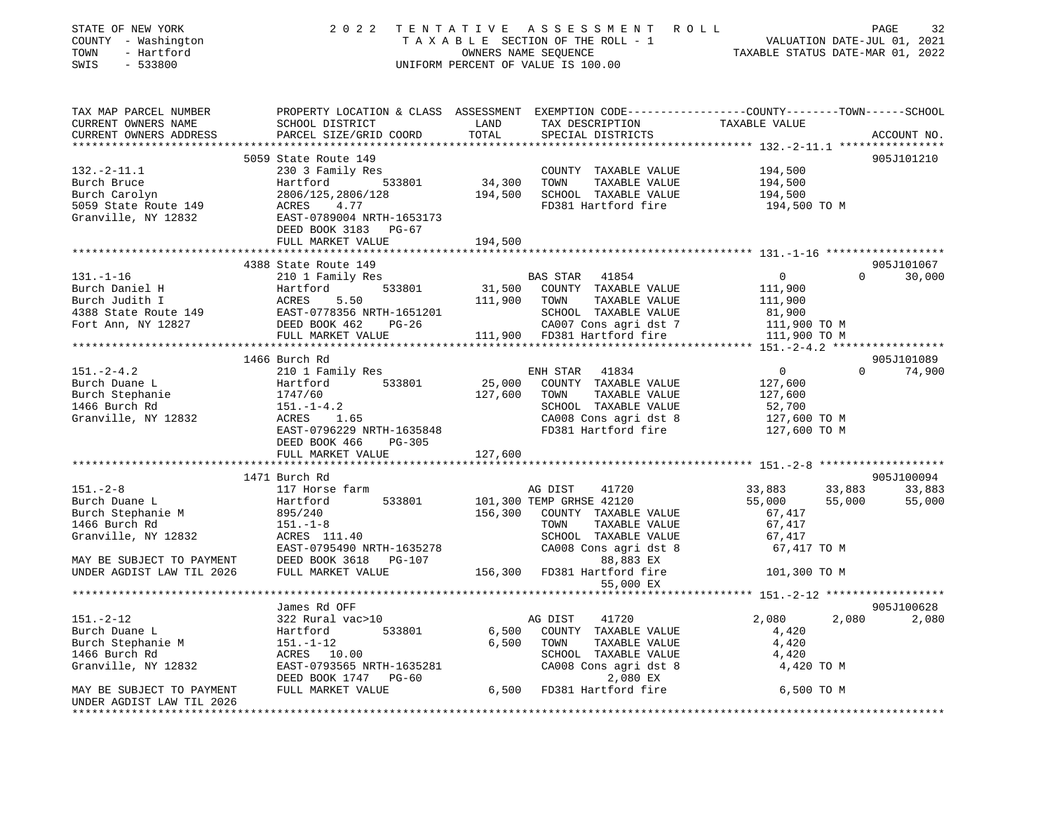| STATE OF NEW YORK<br>COUNTY - Washington<br>- Hartford<br>TOWN                                                                    | 2 0 2 2                                                | TENTATIVE | ASSESSMENT ROLL<br>TAXABLE SECTION OF THE ROLL - 1<br>OWNERS NAME SEQUENCE<br>OWNERS NAME SEQUENCE<br>TAXABLE STATUS DATE-MAR 01, 2022 |                   | PAGE<br>32         |
|-----------------------------------------------------------------------------------------------------------------------------------|--------------------------------------------------------|-----------|----------------------------------------------------------------------------------------------------------------------------------------|-------------------|--------------------|
| SWIS<br>$-533800$                                                                                                                 |                                                        |           | UNIFORM PERCENT OF VALUE IS 100.00                                                                                                     |                   |                    |
| TAX MAP PARCEL NUMBER            PROPERTY LOCATION & CLASS ASSESSMENT EXEMPTION CODE---------------COUNTY--------TOWN------SCHOOL |                                                        |           |                                                                                                                                        |                   |                    |
| CURRENT OWNERS NAME                                                                                                               | SCHOOL DISTRICT                                        | LAND      | TAX DESCRIPTION                                                                                                                        | TAXABLE VALUE     |                    |
| CURRENT OWNERS ADDRESS                                                                                                            | PARCEL SIZE/GRID COORD                                 | TOTAL     | SPECIAL DISTRICTS                                                                                                                      |                   | ACCOUNT NO.        |
|                                                                                                                                   |                                                        |           |                                                                                                                                        |                   |                    |
|                                                                                                                                   | 5059 State Route 149                                   |           |                                                                                                                                        |                   | 905J101210         |
| $132. -2 - 11.1$                                                                                                                  | 230 3 Family Res                                       |           | COUNTY TAXABLE VALUE                                                                                                                   | 194,500           |                    |
| Burch Bruce                                                                                                                       | Hartford 533801                                        | 34,300    | TOWN<br>TAXABLE VALUE                                                                                                                  | 194,500           |                    |
| Burch Carolyn                                                                                                                     | 2806/125,2806/128                                      | 194,500   | SCHOOL TAXABLE VALUE                                                                                                                   | 194,500           |                    |
| 5059 State Route 149                                                                                                              | ACRES 4.77                                             |           | FD381 Hartford fire                                                                                                                    | 194,500 TO M      |                    |
| Granville, NY 12832                                                                                                               | ACRES      4.77<br>EAST-0789004 NRTH-1653173           |           |                                                                                                                                        |                   |                    |
|                                                                                                                                   | DEED BOOK 3183 PG-67                                   |           |                                                                                                                                        |                   |                    |
|                                                                                                                                   | FULL MARKET VALUE                                      | 194,500   |                                                                                                                                        |                   |                    |
|                                                                                                                                   |                                                        |           |                                                                                                                                        |                   |                    |
|                                                                                                                                   | 4388 State Route 149                                   |           |                                                                                                                                        |                   | 905J101067         |
|                                                                                                                                   |                                                        |           |                                                                                                                                        | $\overline{0}$    | $\Omega$<br>30,000 |
|                                                                                                                                   |                                                        |           |                                                                                                                                        | 111,900           |                    |
|                                                                                                                                   |                                                        |           |                                                                                                                                        | 111,900           |                    |
|                                                                                                                                   |                                                        |           |                                                                                                                                        | 81,900            |                    |
|                                                                                                                                   |                                                        |           |                                                                                                                                        | 111,900 TO M      |                    |
|                                                                                                                                   |                                                        |           |                                                                                                                                        | 111,900 TO M      |                    |
|                                                                                                                                   |                                                        |           |                                                                                                                                        |                   |                    |
|                                                                                                                                   |                                                        |           |                                                                                                                                        |                   | 905J101089         |
| 151.-2-4.2<br>Burch Duane L                                                                                                       |                                                        |           |                                                                                                                                        | $\overline{0}$    | $0 \t 74,900$      |
|                                                                                                                                   |                                                        | 25,000    | COUNTY TAXABLE VALUE<br>TAXABLE VALUE                                                                                                  | 127,600           |                    |
| Burch Stephanie<br>1455 Burch Rd                                                                                                  |                                                        | 127,600   | TOWN<br>SCHOOL TAXABLE VALUE                                                                                                           | 127,600<br>52,700 |                    |
| Granville, NY 12832                                                                                                               | Hartford 533801<br>1747/60<br>151.-1-4.2<br>ACRES 1.65 |           | CA008 Cons agri dst 8                                                                                                                  | 127,600 TO M      |                    |
|                                                                                                                                   | EAST-0796229 NRTH-1635848                              |           | FD381 Hartford fire                                                                                                                    | 127,600 TO M      |                    |
|                                                                                                                                   | DEED BOOK 466<br>$PG-305$                              |           |                                                                                                                                        |                   |                    |
|                                                                                                                                   | FULL MARKET VALUE                                      | 127,600   |                                                                                                                                        |                   |                    |
|                                                                                                                                   |                                                        |           |                                                                                                                                        |                   |                    |
|                                                                                                                                   | 1471 Burch Rd                                          |           |                                                                                                                                        |                   | 905J100094         |
| $151. - 2 - 8$                                                                                                                    | 117 Horse farm                                         |           | 41720<br>AG DIST                                                                                                                       | 33,883            | 33,883<br>33,883   |
| Burch Duane L                                                                                                                     | 533801<br>Hartford                                     |           | 101,300 TEMP GRHSE 42120                                                                                                               | 55,000            | 55,000<br>55,000   |
| Burch Duane L<br>Burch Stephanie M                                                                                                | 895/240                                                | 156,300   | COUNTY TAXABLE VALUE                                                                                                                   | 67,417            |                    |
| 1466 Burch Rd                                                                                                                     | $151.-1-8$                                             |           | TAXABLE VALUE<br>TOWN                                                                                                                  | 67,417            |                    |
| Granville, NY 12832 $CRES$ 111.40                                                                                                 |                                                        |           | SCHOOL TAXABLE VALUE                                                                                                                   | 67,417            |                    |
|                                                                                                                                   | EAST-0795490 NRTH-1635278                              |           | CA008 Cons agri dst 8                                                                                                                  | 67,417 TO M       |                    |
| MAY BE SUBJECT TO PAYMENT DEED BOOK 3618 PG-107 UNDER AGDIST LAW TIL 2026 FULL MARKET VALUE                                       |                                                        |           | 88,883 EX                                                                                                                              |                   |                    |
|                                                                                                                                   |                                                        |           | 156,300 FD381 Hartford fire                                                                                                            | 101,300 TO M      |                    |
|                                                                                                                                   |                                                        |           | 55,000 EX                                                                                                                              |                   |                    |
|                                                                                                                                   |                                                        |           |                                                                                                                                        |                   |                    |
|                                                                                                                                   | James Rd OFF                                           |           |                                                                                                                                        |                   | 905J100628         |
| $151. - 2 - 12$                                                                                                                   | 322 Rural vac>10                                       |           | AG DIST 41720                                                                                                                          | 2,080             | 2,080 2,080        |
| Burch Duane L                                                                                                                     | 533801<br>Hartford                                     | 6,500     | COUNTY TAXABLE VALUE                                                                                                                   | 4,420             |                    |
| Burch Stephanie M                                                                                                                 | $151. - 1 - 12$                                        | 6,500     | TOWN<br>TAXABLE VALUE                                                                                                                  | 4,420             |                    |
| 1466 Burch Rd                                                                                                                     | ACRES 10.00                                            |           | SCHOOL TAXABLE VALUE                                                                                                                   | 4,420             |                    |
| Granville, NY 12832                                                                                                               | EAST-0793565 NRTH-1635281                              |           | CA008 Cons agri dst 8                                                                                                                  | 4,420 TO M        |                    |
|                                                                                                                                   | DEED BOOK 1747<br>PG-60                                |           | 2,080 EX                                                                                                                               |                   |                    |
| MAY BE SUBJECT TO PAYMENT                                                                                                         | FULL MARKET VALUE                                      | 6,500     | FD381 Hartford fire                                                                                                                    | 6,500 TO M        |                    |
| UNDER AGDIST LAW TIL 2026                                                                                                         |                                                        |           |                                                                                                                                        |                   |                    |
|                                                                                                                                   |                                                        |           |                                                                                                                                        |                   |                    |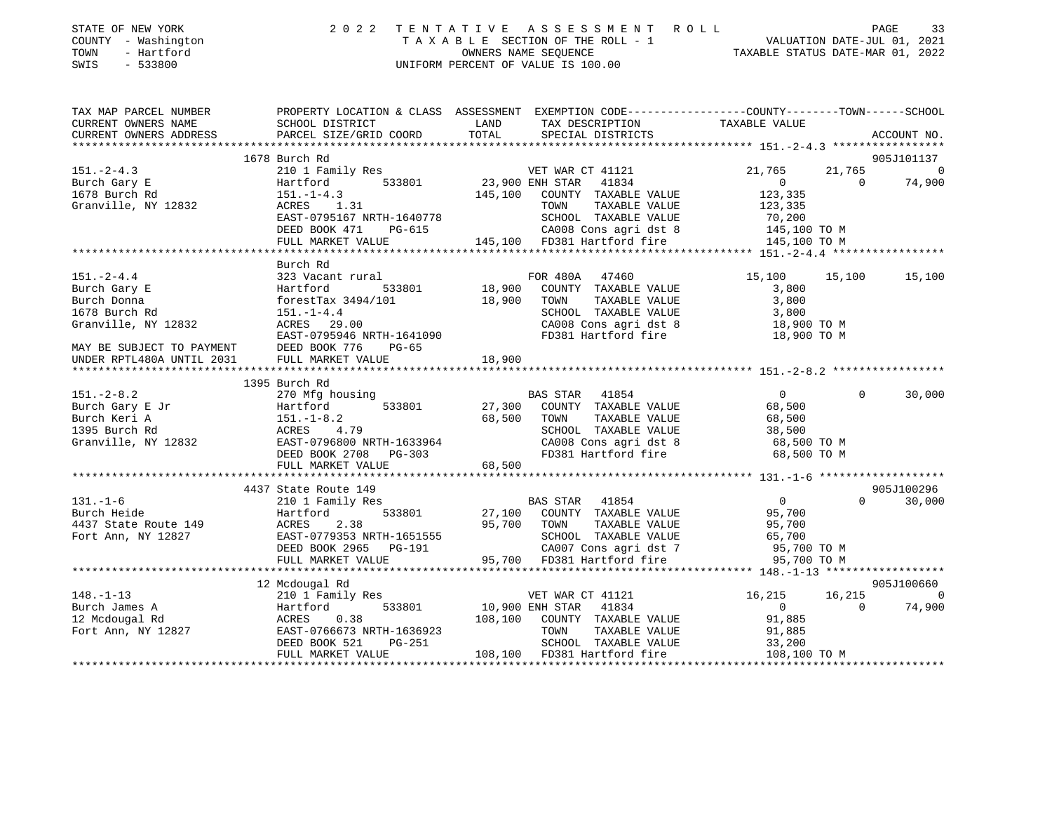| STATE OF NEW YORK<br>COUNTY - Washington<br>TOWN<br>SWIS | - Hartford<br>$-533800$ |                        |                        |       | 2022 TENTATIVE ASSESSMENT ROLL<br>TAXABLE SECTION OF THE ROLL - 1<br>OWNERS NAME SEOUENCE<br>UNIFORM PERCENT OF VALUE IS 100.00 | VALUATION DATE-JUL 01, 2021<br>TAXABLE STATUS DATE-MAR 01, 2022 | PAGE |             | 33 |
|----------------------------------------------------------|-------------------------|------------------------|------------------------|-------|---------------------------------------------------------------------------------------------------------------------------------|-----------------------------------------------------------------|------|-------------|----|
| TAX MAP PARCEL NUMBER                                    |                         |                        |                        |       | PROPERTY LOCATION & CLASS ASSESSMENT EXEMPTION CODE---------------COUNTY-------TOWN-----SCHOOL                                  |                                                                 |      |             |    |
| CURRENT OWNERS NAME                                      |                         |                        | SCHOOL DISTRICT        | LAND  | TAX DESCRIPTION                                                                                                                 | TAXABLE VALUE                                                   |      |             |    |
|                                                          |                         | CURRENT OWNERS ADDRESS | PARCEL SIZE/GRID COORD | TOTAL | SPECIAL DISTRICTS                                                                                                               |                                                                 |      | ACCOUNT NO. |    |

\*\*\*\*\*\*\*\*\*\*\*\*\*\*\*\*\*\*\*\*\*\*\*\*\*\*\*\*\*\*\*\*\*\*\*\*\*\*\*\*\*\*\*\*\*\*\*\*\*\*\*\*\*\*\*\*\*\*\*\*\*\*\*\*\*\*\*\*\*\*\*\*\*\*\*\*\*\*\*\*\*\*\*\*\*\*\*\*\*\*\*\*\*\*\*\*\*\*\*\*\*\*\* 151.-2-4.3 \*\*\*\*\*\*\*\*\*\*\*\*\*\*\*\*\*

|                                                                                                                                                                                                                          | 1678 Burch Rd                                                                                                                                       |                                                                                                                                                                                                                          | 905J101137                                                                                                                           |
|--------------------------------------------------------------------------------------------------------------------------------------------------------------------------------------------------------------------------|-----------------------------------------------------------------------------------------------------------------------------------------------------|--------------------------------------------------------------------------------------------------------------------------------------------------------------------------------------------------------------------------|--------------------------------------------------------------------------------------------------------------------------------------|
| $151. - 2 - 4.3$<br>Burch Gary E<br>1678 Burch Rd<br>Granville, NY 12832                                                                                                                                                 | 210 1 Family Res<br>Hartford<br>$151. - 1 - 4.3$<br>ACRES 1.31<br>EAST-0795167 NRTH-1640778<br>DEED BOOK 471<br>PG-615<br>FULL MARKET VALUE         | VET WAR CT 41121<br>533801 23,900 ENH STAR<br>41834<br>145,100 COUNTY TAXABLE VALUE<br>TAXABLE VALUE<br>TOWN<br>SCHOOL TAXABLE VALUE<br>CA008 Cons agri dst 8<br>2 CACCO COMB agir dst of<br>145,100 FD381 Hartford fire | 21,765<br>21,765<br>$\Omega$<br>74,900<br>$\overline{0}$<br>$\Omega$<br>123,335<br>123,335<br>70,200<br>145,100 TO M<br>145,100 TO M |
|                                                                                                                                                                                                                          |                                                                                                                                                     |                                                                                                                                                                                                                          |                                                                                                                                      |
| $151. - 2 - 4.4$<br>Burch Gary E<br>Burch Donna<br>1678 Burch Rd<br>Granville, NY 12832<br>EAST-0795946 MAY BE SUBJECT TO PAYMENT<br>MAY BE SUBJECT TO PAYMENT DEED BOOK 776<br>UNDER RPTL480A UNTIL 2031 FULL MARKET VA | Burch Rd<br>323 Vacant rural<br>533801<br>Hartford<br>forestTax $3494/101$<br>$151. - 1 - 4.4$<br>ACRES 29.00<br>EAST-0795946 NRTH-1641090<br>PG-65 | FOR 480A 47460<br>18,900<br>COUNTY TAXABLE VALUE<br>18,900<br>TAXABLE VALUE<br>TOWN<br>SCHOOL TAXABLE VALUE<br>CA008 Cons agri dst 8<br>FD381 Hartford fire                                                              | 15,100<br>15,100<br>15,100<br>3,800<br>3,800<br>3,800<br>18,900 TO M<br>18,900 TO M                                                  |
|                                                                                                                                                                                                                          | FULL MARKET VALUE                                                                                                                                   | 18,900                                                                                                                                                                                                                   |                                                                                                                                      |
|                                                                                                                                                                                                                          | 1395 Burch Rd                                                                                                                                       |                                                                                                                                                                                                                          |                                                                                                                                      |
| 151.-2-8.2<br>Burch Gary E Jr<br>Burch Keri A<br>$151.-1-8.2$<br>1395 Burch Rd<br>Granville, NY 12832                                                                                                                    | 270 Mfg housing<br>533801<br>Hartford<br>ACRES 4.79<br>EAST-0796800 NRTH-1633964<br>DEED BOOK 2708<br>PG-303<br>FULL MARKET VALUE                   | BAS STAR 41854<br>27,300<br>COUNTY TAXABLE VALUE<br>68,500<br>TOWN<br>TAXABLE VALUE<br>SCHOOL TAXABLE VALUE<br>CA008 Cons agri dst 8<br>FD381 Hartford fire<br>68,500                                                    | $\overline{0}$<br>30,000<br>$\Omega$<br>68,500<br>68,500<br>38,500<br>68,500 TO M<br>68,500 TO M                                     |
|                                                                                                                                                                                                                          | 4437 State Route 149                                                                                                                                |                                                                                                                                                                                                                          | 905J100296                                                                                                                           |
| $131. - 1 - 6$<br>Burch Heide<br>4437 State Route 149 ACRES<br>Fort Ann, NY 12827                                                                                                                                        | 210 1 Family Res<br>533801<br>Hartford<br>2.38<br>EAST-0779353 NRTH-1651555<br>DEED BOOK 2965 PG-191<br>FULL MARKET VALUE                           | BAS STAR 41854<br>27,100 COUNTY TAXABLE VALUE<br>95,700<br>TAXABLE VALUE<br>TOWN<br>SCHOOL TAXABLE VALUE<br>CA007 Cons agri dst 7<br>95,700 FD381 Hartford fire                                                          | $\overline{0}$<br>$\Omega$<br>30,000<br>95,700<br>95,700<br>65,700<br>95,700 TO M<br>95,700 TO M                                     |
|                                                                                                                                                                                                                          | 12 Mcdougal Rd                                                                                                                                      |                                                                                                                                                                                                                          | 905J100660                                                                                                                           |
| $148. - 1 - 13$<br>Burch James A<br>12 Mcdougal Rd<br>Fort Ann, NY 12827 EAST-0766673 NRTH-1636923                                                                                                                       | 210 1 Family Res<br>533801<br>Hartford<br>ACRES<br>0.38<br>DEED BOOK 521<br>PG-251<br>FULL MARKET VALUE<br>***************************              | VET WAR CT 41121<br>10,900 ENH STAR<br>41834<br>COUNTY TAXABLE VALUE<br>108,100<br>TOWN<br>TAXABLE VALUE<br>SCHOOL TAXABLE VALUE<br>108,100 FD381 Hartford fire                                                          | 16,215<br>16,215<br>74,900<br>$\overline{0}$<br>$\Omega$<br>91,885<br>91,885<br>33,200<br>108,100 TO M                               |
|                                                                                                                                                                                                                          |                                                                                                                                                     |                                                                                                                                                                                                                          |                                                                                                                                      |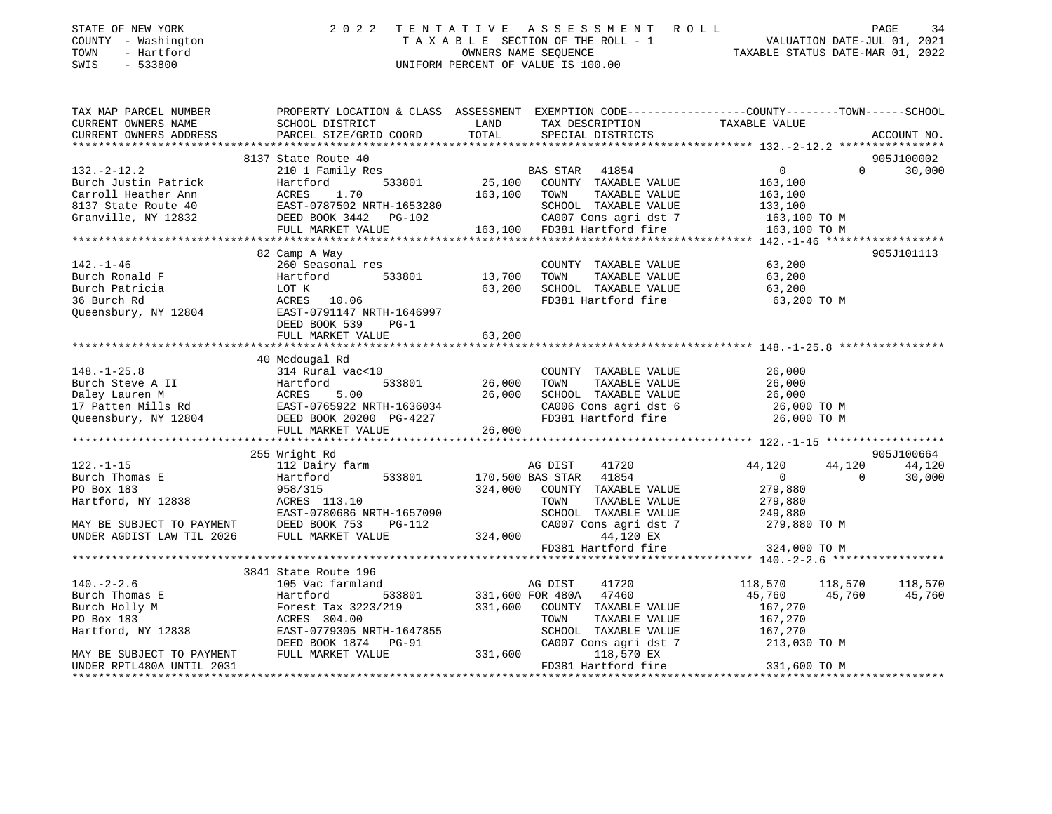| STATE OF NEW YORK<br>COUNTY - Washington<br>- Hartford<br>TOWN<br>SWIS<br>$-533800$ |                                                        |                                       | 2022 TENTATIVE ASSESSMENT ROLL<br>UNIFORM PERCENT OF VALUE IS 100.00 | TAXABLE SECTION OF THE ROLL - 1<br>OWNERS NAME SEQUENCE THE ROLL - 1<br>OWNERS NAME SEQUENCE TAXABLE STATUS DATE-MAR 01, 2022 | PAGE<br>34         |
|-------------------------------------------------------------------------------------|--------------------------------------------------------|---------------------------------------|----------------------------------------------------------------------|-------------------------------------------------------------------------------------------------------------------------------|--------------------|
| TAX MAP PARCEL NUMBER<br>CURRENT OWNERS NAME                                        | SCHOOL DISTRICT                                        | LAND                                  | TAX DESCRIPTION                                                      | PROPERTY LOCATION & CLASS ASSESSMENT EXEMPTION CODE---------------COUNTY-------TOWN-----SCHOOL<br>TAXABLE VALUE               |                    |
| CURRENT OWNERS ADDRESS                                                              | PARCEL SIZE/GRID COORD                                 | TOTAL                                 | SPECIAL DISTRICTS                                                    |                                                                                                                               | ACCOUNT NO.        |
|                                                                                     |                                                        |                                       |                                                                      |                                                                                                                               |                    |
|                                                                                     | 8137 State Route 40                                    |                                       |                                                                      |                                                                                                                               | 905J100002         |
| $132 - 2 - 12.2$                                                                    | 210 1 Family Res                                       |                                       | BAS STAR 41854                                                       | $\overline{0}$                                                                                                                | $\Omega$<br>30,000 |
| Burch Justin Patrick                                                                | Hartford<br>533801                                     |                                       | 25,100 COUNTY TAXABLE VALUE                                          | 163,100                                                                                                                       |                    |
| Carroll Heather Ann                                                                 | ACRES 1.70                                             |                                       | 163,100 TOWN<br>TAXABLE VALUE                                        | 163,100                                                                                                                       |                    |
| 8137 State Route 40                                                                 | EAST-0787502 NRTH-1653280                              |                                       | SCHOOL TAXABLE VALUE                                                 | 133,100<br>163,100 TO M                                                                                                       |                    |
| Granville, NY 12832                                                                 | DEED BOOK 3442 PG-102                                  |                                       | CA007 Cons agri dst 7                                                |                                                                                                                               |                    |
|                                                                                     | FULL MARKET VALUE                                      |                                       | 163,100 FD381 Hartford fire                                          | 163,100 TO M                                                                                                                  |                    |
|                                                                                     |                                                        |                                       |                                                                      |                                                                                                                               |                    |
|                                                                                     | 82 Camp A Way                                          |                                       |                                                                      |                                                                                                                               | 905J101113         |
| $142. - 1 - 46$                                                                     | 260 Seasonal res                                       |                                       | COUNTY TAXABLE VALUE                                                 | 63,200                                                                                                                        |                    |
| Burch Ronald F                                                                      | Hartford<br>533801                                     | 13,700 TOWN                           | TAXABLE VALUE                                                        | 63,200                                                                                                                        |                    |
| Burch Patricia                                                                      | LOT K                                                  |                                       | 63,200 SCHOOL TAXABLE VALUE                                          | 63,200                                                                                                                        |                    |
| 36 Burch Rd                                                                         | ACRES 10.06                                            |                                       | FD381 Hartford fire                                                  | 63,200 TO M                                                                                                                   |                    |
| Queensbury, NY 12804                                                                | EAST-0791147 NRTH-1646997                              |                                       |                                                                      |                                                                                                                               |                    |
|                                                                                     | DEED BOOK 539<br>$PG-1$                                |                                       |                                                                      |                                                                                                                               |                    |
|                                                                                     | FULL MARKET VALUE<br>********************************* | 63,200<br>* * * * * * * * * * * * * * |                                                                      |                                                                                                                               |                    |
|                                                                                     |                                                        |                                       |                                                                      |                                                                                                                               |                    |
| $148. - 1 - 25.8$                                                                   | 40 Mcdougal Rd<br>314 Rural vac<10                     |                                       | COUNTY TAXABLE VALUE                                                 | 26,000                                                                                                                        |                    |
| Burch Steve A II                                                                    | 533801                                                 |                                       | 26,000 TOWN<br>TAXABLE VALUE                                         | 26,000                                                                                                                        |                    |
|                                                                                     |                                                        |                                       | 26,000 SCHOOL TAXABLE VALUE                                          |                                                                                                                               |                    |
|                                                                                     |                                                        |                                       | CA006 Cons agri dst 6                                                |                                                                                                                               |                    |
| Queensbury, NY 12804                                                                | DEED BOOK 20200 PG-4227                                |                                       | FD381 Hartford fire                                                  | 26,000 TO M<br>26,000 TO M<br>26,000 TO M                                                                                     |                    |
|                                                                                     | FULL MARKET VALUE                                      | 26,000                                |                                                                      |                                                                                                                               |                    |
|                                                                                     |                                                        |                                       |                                                                      |                                                                                                                               |                    |
|                                                                                     | 255 Wright Rd                                          |                                       |                                                                      |                                                                                                                               | 905J100664         |
| $122. - 1 - 15$                                                                     | 112 Dairy farm                                         |                                       | 41720<br>AG DIST                                                     | 44,120<br>44,120                                                                                                              | 44,120             |
| Burch Thomas E                                                                      | 533801<br>Hartford                                     |                                       | 170,500 BAS STAR 41854                                               | $\overline{0}$<br>$\mathbf 0$                                                                                                 | 30,000             |
| PO Box 183                                                                          | 958/315                                                |                                       | 324,000 COUNTY TAXABLE VALUE                                         | 279,880                                                                                                                       |                    |
| Hartford, NY 12838                                                                  | ACRES 113.10                                           |                                       | TOWN<br>TAXABLE VALUE                                                | 279,880                                                                                                                       |                    |
|                                                                                     | EAST-0780686 NRTH-1657090                              |                                       | SCHOOL TAXABLE VALUE                                                 | 249,880                                                                                                                       |                    |
| MAY BE SUBJECT TO PAYMENT DEED BOOK 753                                             | PG-112                                                 |                                       | CA007 Cons agri dst 7                                                | 279,880 TO M                                                                                                                  |                    |
|                                                                                     |                                                        |                                       | 324,000<br>44,120 EX                                                 |                                                                                                                               |                    |
|                                                                                     |                                                        |                                       | FD381 Hartford fire                                                  | 324,000 TO M                                                                                                                  |                    |
|                                                                                     |                                                        |                                       |                                                                      |                                                                                                                               |                    |
|                                                                                     | 3841 State Route 196                                   |                                       |                                                                      |                                                                                                                               |                    |
| $140. - 2 - 2.6$                                                                    | 105 Vac farmland                                       |                                       | AG DIST<br>41720                                                     | 118,570<br>118,570                                                                                                            | 118,570            |
| Burch Thomas E                                                                      | Hartford<br>533801                                     |                                       | 331,600 FOR 480A 47460                                               | 45,760<br>45,760                                                                                                              | 45,760             |
| Burch Holly M                                                                       | Forest Tax 3223/219                                    |                                       | 331,600 COUNTY TAXABLE VALUE                                         | 167,270                                                                                                                       |                    |
| PO Box 183                                                                          | ACRES 304.00                                           |                                       | TOWN<br>TAXABLE VALUE                                                | 167,270                                                                                                                       |                    |
| Hartford, NY 12838                                                                  | EAST-0779305 NRTH-1647855                              |                                       | SCHOOL TAXABLE VALUE                                                 | 167,270                                                                                                                       |                    |
|                                                                                     | DEED BOOK 1874    PG-91                                |                                       | CA007 Cons agri dst 7                                                | 213,030 TO M                                                                                                                  |                    |
| MAY BE SUBJECT TO PAYMENT                                                           | FULL MARKET VALUE                                      | 331,600                               | 118,570 EX                                                           |                                                                                                                               |                    |
| 1001 זדידותו ה400 זידים סתרותו                                                      |                                                        |                                       | $F1201$ Usytford fire                                                | 221 600 TO M                                                                                                                  |                    |

UNDER RPTL480A UNTIL 2031 FD381 Hartford fire 331,600 TO M \*\*\*\*\*\*\*\*\*\*\*\*\*\*\*\*\*\*\*\*\*\*\*\*\*\*\*\*\*\*\*\*\*\*\*\*\*\*\*\*\*\*\*\*\*\*\*\*\*\*\*\*\*\*\*\*\*\*\*\*\*\*\*\*\*\*\*\*\*\*\*\*\*\*\*\*\*\*\*\*\*\*\*\*\*\*\*\*\*\*\*\*\*\*\*\*\*\*\*\*\*\*\*\*\*\*\*\*\*\*\*\*\*\*\*\*\*\*\*\*\*\*\*\*\*\*\*\*\*\*\*\*

# STATE OF NEW YORK 2022 TENTATIVE ASSESSMENT ROLL PAGE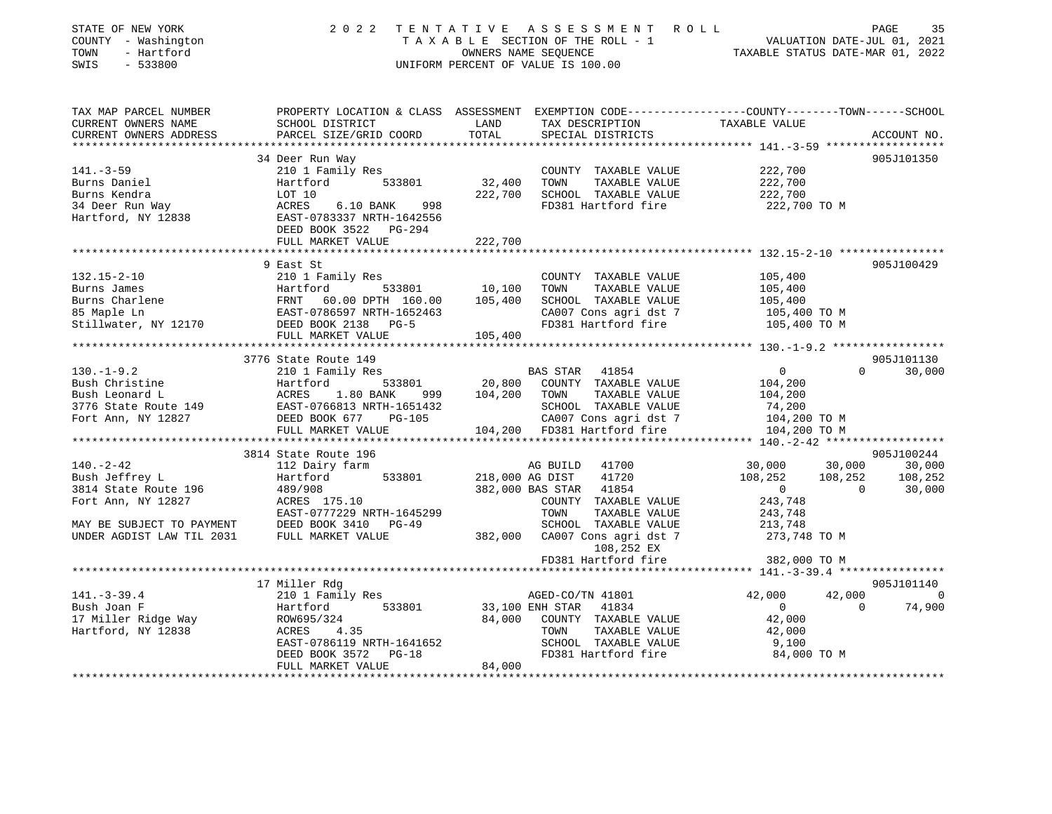| STATE OF NEW YORK<br>COUNTY - Washington<br>- Hartford<br>TOWN<br>SWIS<br>$-533800$                                                                                                                                                                  |                                                                                                                     |                        | 2022 TENTATIVE ASSESSMENT ROLL<br>UNIFORM PERCENT OF VALUE IS 100.00                                                                                                   | T E N T A T I V E A S S E S S M E N T R O L L<br>T A X A B L E SECTION OF THE ROLL - 1 VALUATION DATE-JUL 01, 2021<br>OWNERS NAME SEQUENCE<br>INIEORM PERCENT OF VALUE IS 100.00 |                |
|------------------------------------------------------------------------------------------------------------------------------------------------------------------------------------------------------------------------------------------------------|---------------------------------------------------------------------------------------------------------------------|------------------------|------------------------------------------------------------------------------------------------------------------------------------------------------------------------|----------------------------------------------------------------------------------------------------------------------------------------------------------------------------------|----------------|
|                                                                                                                                                                                                                                                      |                                                                                                                     |                        |                                                                                                                                                                        |                                                                                                                                                                                  |                |
| TAX MAP PARCEL NUMBER                                                                                                                                                                                                                                | PROPERTY LOCATION & CLASS ASSESSMENT EXEMPTION CODE---------------COUNTY-------TOWN-----SCHOOL                      |                        |                                                                                                                                                                        |                                                                                                                                                                                  |                |
| CURRENT OWNERS NAME<br>CURRENT OWNERS ADDRESS                                                                                                                                                                                                        | SCHOOL DISTRICT<br>PARCEL SIZE/GRID COORD                                                                           | LAND<br>TOTAL          | TAX DESCRIPTION TAXABLE VALUE<br>SPECIAL DISTRICTS                                                                                                                     |                                                                                                                                                                                  | ACCOUNT NO.    |
|                                                                                                                                                                                                                                                      |                                                                                                                     |                        |                                                                                                                                                                        |                                                                                                                                                                                  |                |
|                                                                                                                                                                                                                                                      | 34 Deer Run Way                                                                                                     |                        |                                                                                                                                                                        |                                                                                                                                                                                  | 905J101350     |
| $141. - 3 - 59$                                                                                                                                                                                                                                      | 210 1 Family Res                                                                                                    |                        | COUNTY TAXABLE VALUE                                                                                                                                                   | 222,700                                                                                                                                                                          |                |
| Burns Daniel                                                                                                                                                                                                                                         | 533801<br>Hartford                                                                                                  | 32,400                 |                                                                                                                                                                        | 222,700<br>222,700                                                                                                                                                               |                |
|                                                                                                                                                                                                                                                      |                                                                                                                     |                        | TAXABLE VALUE<br>222,700 SCHOOL TAXABLE VALUE<br>PD381 Ward Control Taxable VALUE                                                                                      |                                                                                                                                                                                  |                |
| Burns Kendra<br>34 Deer Run Way<br>Hartford, NY 12838<br>Hartford, NY 12838<br>$\begin{array}{r} \text{EAST}-0783337 \text{ NRFH}-1642556 \end{array}$                                                                                               |                                                                                                                     |                        | FD381 Hartford fire                                                                                                                                                    | 222,700 TO M                                                                                                                                                                     |                |
|                                                                                                                                                                                                                                                      | DEED BOOK 3522 PG-294                                                                                               |                        |                                                                                                                                                                        |                                                                                                                                                                                  |                |
|                                                                                                                                                                                                                                                      | FULL MARKET VALUE                                                                                                   | 222,700                |                                                                                                                                                                        |                                                                                                                                                                                  |                |
|                                                                                                                                                                                                                                                      |                                                                                                                     |                        |                                                                                                                                                                        |                                                                                                                                                                                  |                |
|                                                                                                                                                                                                                                                      | 9 East St                                                                                                           |                        |                                                                                                                                                                        |                                                                                                                                                                                  | 905J100429     |
| $132.15 - 2 - 10$                                                                                                                                                                                                                                    | 210 1 Family Res                                                                                                    |                        | COUNTY TAXABLE VALUE                                                                                                                                                   | 105,400                                                                                                                                                                          |                |
|                                                                                                                                                                                                                                                      |                                                                                                                     |                        |                                                                                                                                                                        | $\frac{105}{105}$ , 400                                                                                                                                                          |                |
|                                                                                                                                                                                                                                                      |                                                                                                                     |                        |                                                                                                                                                                        |                                                                                                                                                                                  |                |
|                                                                                                                                                                                                                                                      |                                                                                                                     |                        | CA007 Cons agri dst 7                                                                                                                                                  | 105,400 TO M<br>105,400 TO M                                                                                                                                                     |                |
| Burns James<br>Burns James<br>Burns Charlene<br>Burns Charlene<br>Burns Charlene<br>Burns Charlene<br>ERST-0786597 NRTH-1652463<br>CA007 Cons agri dst 7<br>CA007 Cons agri dst 7<br>CA007 Cons agri dst 7<br>CA007 Cons agri dst 7<br>CA007 Cons ag |                                                                                                                     |                        | FD381 Hartford fire                                                                                                                                                    |                                                                                                                                                                                  |                |
|                                                                                                                                                                                                                                                      | FULL MARKET VALUE                                                                                                   | 105,400                |                                                                                                                                                                        |                                                                                                                                                                                  |                |
|                                                                                                                                                                                                                                                      | 3776 State Route 149                                                                                                |                        |                                                                                                                                                                        |                                                                                                                                                                                  | 905J101130     |
| $130. - 1 - 9.2$                                                                                                                                                                                                                                     | 210 1 Family Res                                                                                                    |                        | <b>BAS STAR</b> 41854                                                                                                                                                  | $\overline{0}$                                                                                                                                                                   | $0 \t 30,000$  |
|                                                                                                                                                                                                                                                      | Hartford                                                                                                            |                        |                                                                                                                                                                        |                                                                                                                                                                                  |                |
|                                                                                                                                                                                                                                                      | 1.80 BANK                                                                                                           |                        | $\begin{array}{ccccccccc} 533801 && 20,800 && \text{COUNTY} & \text{TAXABLE VALUE} \\ \text{NNK} && 999 && 104,200 && \text{TOWN} && \text{TAXABLE VALUE} \end{array}$ | 104,200<br>104,200                                                                                                                                                               |                |
|                                                                                                                                                                                                                                                      | EAST-0766813 NRTH-1651432                                                                                           |                        | SCHOOL TAXABLE VALUE                                                                                                                                                   | 74,200                                                                                                                                                                           |                |
| Paush Christine Hartford<br>Bush Leonard L ACRES<br>3776 State Route 149 EAST-C<br>Fort Ann, NY 12827 DEED E                                                                                                                                         | DEED BOOK 677<br>$PG-105$                                                                                           |                        | CA007 Cons agri dst 7                                                                                                                                                  |                                                                                                                                                                                  |                |
|                                                                                                                                                                                                                                                      | FULL MARKET VALUE                                                                                                   |                        | CA007 Cons agri dst 7 104,200 TO M<br>104,200 FD381 Hartford fire 104,200 TO M                                                                                         |                                                                                                                                                                                  |                |
|                                                                                                                                                                                                                                                      |                                                                                                                     |                        |                                                                                                                                                                        |                                                                                                                                                                                  |                |
|                                                                                                                                                                                                                                                      | 3814 State Route 196                                                                                                |                        |                                                                                                                                                                        |                                                                                                                                                                                  | 905J100244     |
| $140. -2 - 42$                                                                                                                                                                                                                                       | 112 Dairy farm                                                                                                      |                        | AG BUILD 41700                                                                                                                                                         | 30,000 30,000 30,000<br>108,252 108,252 108,252                                                                                                                                  |                |
| Bush Jeffrey L                                                                                                                                                                                                                                       | Hartford                                                                                                            | 533801 218,000 AG DIST | 41720                                                                                                                                                                  |                                                                                                                                                                                  |                |
| 3814 State Route 196                                                                                                                                                                                                                                 | $ACRES$ 175.10<br>$ACRES$ 175.10                                                                                    |                        | 382,000 BAS STAR 41854                                                                                                                                                 | $\begin{array}{c} 0 \\ 243,748 \end{array}$<br>$\overline{0}$                                                                                                                    | 30,000         |
| Fort Ann, NY 12827                                                                                                                                                                                                                                   |                                                                                                                     |                        | COUNTY TAXABLE VALUE                                                                                                                                                   |                                                                                                                                                                                  |                |
|                                                                                                                                                                                                                                                      | EAST-0777229 NRTH-1645299                                                                                           |                        | TOWN<br>TAXABLE VALUE                                                                                                                                                  | 243,748                                                                                                                                                                          |                |
| MAY BE SUBJECT TO PAYMENT                                                                                                                                                                                                                            | DEED BOOK 3410 PG-49<br>FULL MARKET VALUE                                                                           |                        | SCHOOL TAXABLE VALUE                                                                                                                                                   |                                                                                                                                                                                  |                |
| UNDER AGDIST LAW TIL 2031                                                                                                                                                                                                                            | FULL MARKET VALUE                                                                                                   |                        | 382,000 CA007 Cons agri dst 7<br>108,252 EX                                                                                                                            | 213,748<br>273,748 TO M                                                                                                                                                          |                |
|                                                                                                                                                                                                                                                      |                                                                                                                     |                        | FD381 Hartford fire                                                                                                                                                    | 382,000 TO M                                                                                                                                                                     |                |
|                                                                                                                                                                                                                                                      |                                                                                                                     |                        |                                                                                                                                                                        |                                                                                                                                                                                  |                |
|                                                                                                                                                                                                                                                      | 17 Miller Rdg                                                                                                       |                        |                                                                                                                                                                        |                                                                                                                                                                                  | 905J101140     |
|                                                                                                                                                                                                                                                      |                                                                                                                     |                        | AGED-CO/TN 41801                                                                                                                                                       | 42,000<br>42,000                                                                                                                                                                 | $\overline{0}$ |
| Example 1 1 2003<br>Bush Joan F<br>17 Miller Ridge Way<br>Hartford, NY 12838<br>Hartford, NY 12838<br>Prices 1.35<br>Prices 1.35                                                                                                                     | 533801                                                                                                              |                        | AGED-CO/TN 41801<br>33,100 ENH STAR 41834                                                                                                                              | $\overline{0}$<br>$\Omega$                                                                                                                                                       | 74,900         |
|                                                                                                                                                                                                                                                      |                                                                                                                     |                        | 84,000 COUNTY TAXABLE VALUE                                                                                                                                            | $\frac{42,000}{42,000}$                                                                                                                                                          |                |
|                                                                                                                                                                                                                                                      |                                                                                                                     |                        | TOWN<br>TAXABLE VALUE                                                                                                                                                  |                                                                                                                                                                                  |                |
|                                                                                                                                                                                                                                                      |                                                                                                                     |                        | SCHOOL TAXABLE VALUE                                                                                                                                                   | 9,100                                                                                                                                                                            |                |
|                                                                                                                                                                                                                                                      | ACRES 4.35<br>EAST-0786119 NRTH-1641652<br>DEED BOOK 3572 PG-18<br>FULL MARKET VALUE                         84,000 |                        | FD381 Hartford fire                                                                                                                                                    | 84,000 TO M                                                                                                                                                                      |                |
|                                                                                                                                                                                                                                                      |                                                                                                                     | 84,000                 |                                                                                                                                                                        |                                                                                                                                                                                  |                |
|                                                                                                                                                                                                                                                      |                                                                                                                     |                        |                                                                                                                                                                        |                                                                                                                                                                                  |                |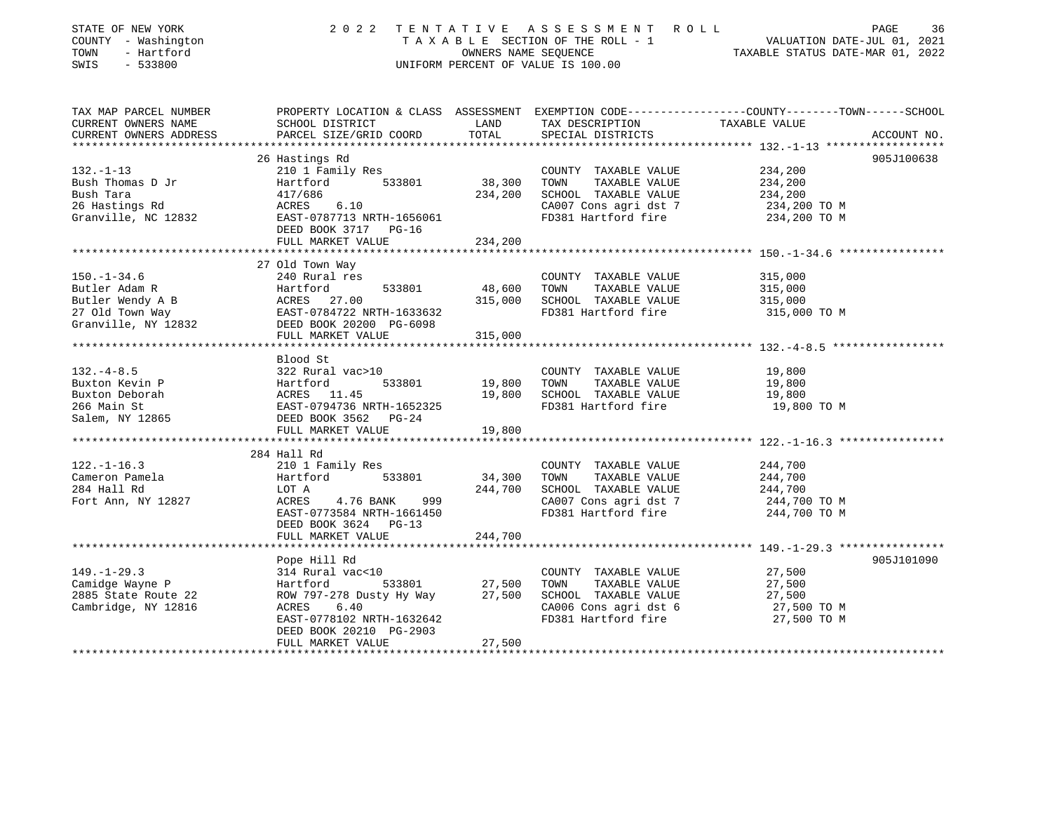| STATE OF NEW YORK<br>COUNTY - Washington<br>TOWN<br>- Hartford<br>SWIS<br>$-533800$ | 2 0 2 2                                                 | TENTATIVE<br>OWNERS NAME SEOUENCE | ASSESSMENT ROLL<br>TAXABLE SECTION OF THE ROLL - 1<br>UNIFORM PERCENT OF VALUE IS 100.00 | PAGE<br>36<br>VALUATION DATE-JUL 01, 2021<br>TAXABLE STATUS DATE-MAR 01, 2022                                     |
|-------------------------------------------------------------------------------------|---------------------------------------------------------|-----------------------------------|------------------------------------------------------------------------------------------|-------------------------------------------------------------------------------------------------------------------|
| TAX MAP PARCEL NUMBER<br>CURRENT OWNERS NAME                                        | SCHOOL DISTRICT                                         | LAND                              | TAX DESCRIPTION                                                                          | PROPERTY LOCATION & CLASS ASSESSMENT EXEMPTION CODE----------------COUNTY-------TOWN------SCHOOL<br>TAXABLE VALUE |
| CURRENT OWNERS ADDRESS                                                              | PARCEL SIZE/GRID COORD                                  | TOTAL                             | SPECIAL DISTRICTS                                                                        | ACCOUNT NO.                                                                                                       |
|                                                                                     |                                                         |                                   |                                                                                          |                                                                                                                   |
|                                                                                     | 26 Hastings Rd                                          |                                   |                                                                                          | 905J100638                                                                                                        |
| $132. - 1 - 13$                                                                     | 210 1 Family Res                                        |                                   | COUNTY TAXABLE VALUE                                                                     | 234,200                                                                                                           |
| Bush Thomas D Jr                                                                    | 533801<br>Hartford                                      | 38,300                            | TOWN<br>TAXABLE VALUE                                                                    | 234,200                                                                                                           |
| Bush Tara                                                                           | 417/686                                                 | 234,200                           | SCHOOL TAXABLE VALUE                                                                     | 234,200                                                                                                           |
| 26 Hastings Rd                                                                      | ACRES<br>6.10                                           |                                   | CA007 Cons agri dst 7                                                                    | 234,200 TO M                                                                                                      |
| Granville, NC 12832                                                                 | EAST-0787713 NRTH-1656061<br>DEED BOOK 3717 PG-16       |                                   | FD381 Hartford fire                                                                      | 234,200 TO M                                                                                                      |
|                                                                                     | FULL MARKET VALUE                                       | 234,200                           |                                                                                          |                                                                                                                   |
|                                                                                     |                                                         |                                   |                                                                                          |                                                                                                                   |
|                                                                                     | 27 Old Town Way                                         |                                   |                                                                                          |                                                                                                                   |
| $150. - 1 - 34.6$                                                                   | 240 Rural res                                           |                                   | COUNTY TAXABLE VALUE                                                                     | 315,000                                                                                                           |
| Butler Adam R                                                                       | Hartford<br>533801                                      | 48,600                            | TOWN<br>TAXABLE VALUE                                                                    | 315,000                                                                                                           |
| Butler Wendy A B                                                                    | ACRES 27.00                                             | 315,000                           | SCHOOL TAXABLE VALUE                                                                     | 315,000                                                                                                           |
| 27 Old Town Way                                                                     | EAST-0784722 NRTH-1633632<br>DEED BOOK 20200 PG-6098    |                                   | FD381 Hartford fire                                                                      | 315,000 TO M                                                                                                      |
| Granville, NY 12832                                                                 |                                                         |                                   |                                                                                          |                                                                                                                   |
|                                                                                     | FULL MARKET VALUE<br>********************************** | 315,000                           |                                                                                          |                                                                                                                   |
|                                                                                     |                                                         |                                   |                                                                                          |                                                                                                                   |
| $132. -4 - 8.5$                                                                     | Blood St<br>322 Rural vac>10                            |                                   | COUNTY TAXABLE VALUE                                                                     | 19,800                                                                                                            |
| Buxton Kevin P                                                                      | Hartford<br>533801                                      | 19,800                            | TOWN<br>TAXABLE VALUE                                                                    | 19,800                                                                                                            |
| Buxton Deborah                                                                      |                                                         | 19,800                            | SCHOOL TAXABLE VALUE                                                                     | 19,800                                                                                                            |
| 266 Main St                                                                         | ACRES 11.45<br>EAST-0794736 NRTH-1652325                |                                   | FD381 Hartford fire                                                                      | 19,800 TO M                                                                                                       |
| Salem, NY 12865                                                                     | DEED BOOK 3562 PG-24                                    |                                   |                                                                                          |                                                                                                                   |
|                                                                                     | FULL MARKET VALUE                                       | 19,800                            |                                                                                          |                                                                                                                   |
|                                                                                     |                                                         |                                   |                                                                                          |                                                                                                                   |
|                                                                                     | 284 Hall Rd                                             |                                   |                                                                                          |                                                                                                                   |
| $122. - 1 - 16.3$                                                                   | 210 1 Family Res                                        |                                   | COUNTY TAXABLE VALUE                                                                     | 244,700                                                                                                           |
| Cameron Pamela                                                                      | 533801<br>Hartford                                      | 34,300                            | TOWN<br>TAXABLE VALUE                                                                    | 244,700                                                                                                           |
| 284 Hall Rd                                                                         | LOT A                                                   | 244,700                           | SCHOOL TAXABLE VALUE                                                                     | 244,700                                                                                                           |
| Fort Ann, NY 12827                                                                  | ACRES<br>4.76 BANK<br>999                               |                                   | CA007 Cons agri dst 7                                                                    | 244,700 TO M                                                                                                      |
|                                                                                     | EAST-0773584 NRTH-1661450                               |                                   | FD381 Hartford fire                                                                      | 244,700 TO M                                                                                                      |
|                                                                                     | DEED BOOK 3624 PG-13                                    |                                   |                                                                                          |                                                                                                                   |
|                                                                                     | FULL MARKET VALUE                                       | 244,700                           |                                                                                          | ***************************** 149.-1-29.3 ***********                                                             |
|                                                                                     | Pope Hill Rd                                            |                                   |                                                                                          | 905J101090                                                                                                        |
| $149. - 1 - 29.3$                                                                   | 314 Rural vac<10                                        |                                   | COUNTY TAXABLE VALUE                                                                     | 27,500                                                                                                            |
| Camidge Wayne P                                                                     | 533801<br>Hartford                                      | 27,500                            | TOWN<br>TAXABLE VALUE                                                                    | 27,500                                                                                                            |
| 2885 State Route 22                                                                 | ROW 797-278 Dusty Hy Way                                | 27,500                            | SCHOOL TAXABLE VALUE                                                                     | 27,500                                                                                                            |
| Cambridge, NY 12816                                                                 | ACRES<br>6.40                                           |                                   | CA006 Cons agri dst 6                                                                    | 27,500 TO M                                                                                                       |
|                                                                                     | EAST-0778102 NRTH-1632642                               |                                   | FD381 Hartford fire                                                                      | 27,500 TO M                                                                                                       |
|                                                                                     | DEED BOOK 20210 PG-2903                                 |                                   |                                                                                          |                                                                                                                   |
| ****************************                                                        | FULL MARKET VALUE                                       | 27,500                            |                                                                                          |                                                                                                                   |
|                                                                                     |                                                         |                                   |                                                                                          |                                                                                                                   |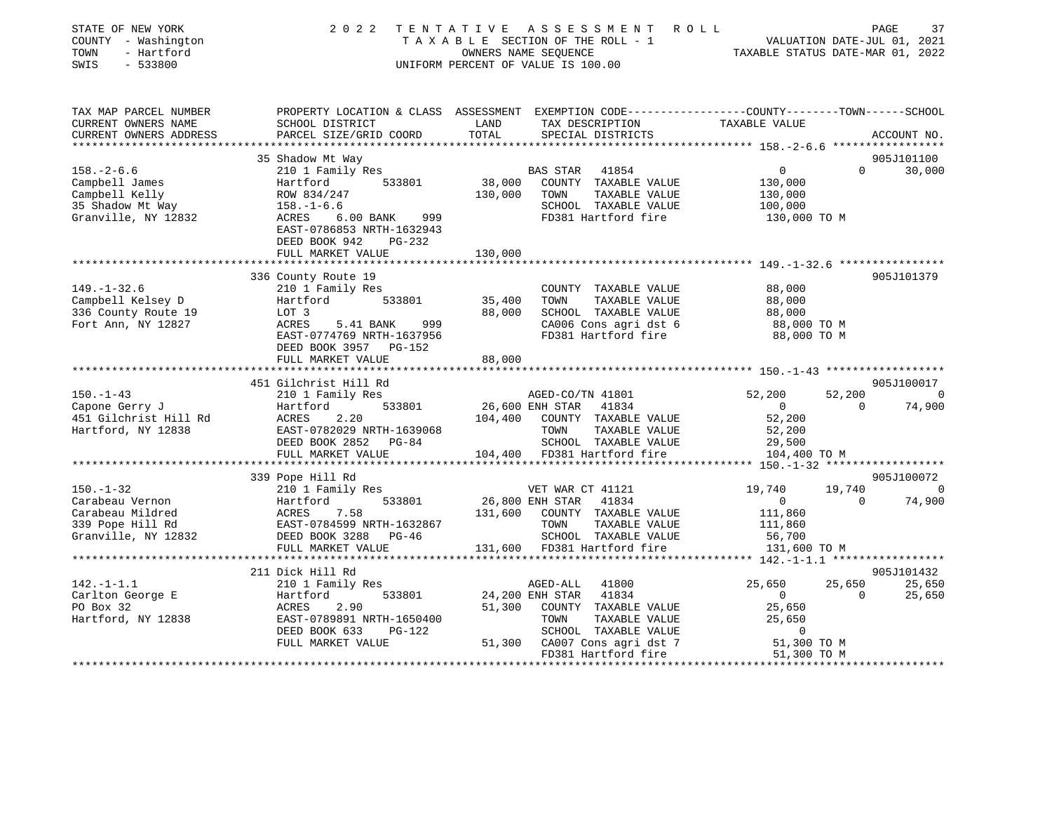| STATE OF NEW YORK<br>COUNTY - Washington<br>- Hartford<br>TOWN<br>SWIS<br>$-533800$ | 2 0 2 2                                                                                                             |              | TENTATIVE ASSESSMENT ROLL<br>$\begin{tabular}{lllllllll} T\ & A\ & X\ & B\ & L\ & E\ & SECTION\ & OF\ & THE\ & ROLL\ & $\text{--}\ & 1$ \\\ & \text{OWNERS\ & NAME}\ & SEQUENCE\ & \text{---} & \\\end{tabular} \label{tab:2}$<br>UNIFORM PERCENT OF VALUE IS 100.00 | TAXABLE STATUS DATE-MAR 01, 2022                           |                    | 37<br>PAGE<br>VALUATION DATE-JUL 01, 2021 |
|-------------------------------------------------------------------------------------|---------------------------------------------------------------------------------------------------------------------|--------------|----------------------------------------------------------------------------------------------------------------------------------------------------------------------------------------------------------------------------------------------------------------------|------------------------------------------------------------|--------------------|-------------------------------------------|
| TAX MAP PARCEL NUMBER<br>CURRENT OWNERS NAME                                        | PROPERTY LOCATION & CLASS ASSESSMENT EXEMPTION CODE----------------COUNTY-------TOWN------SCHOOL<br>SCHOOL DISTRICT | LAND         | TAX DESCRIPTION                                                                                                                                                                                                                                                      | TAXABLE VALUE                                              |                    |                                           |
| CURRENT OWNERS ADDRESS                                                              | PARCEL SIZE/GRID COORD                                                                                              | TOTAL        | SPECIAL DISTRICTS                                                                                                                                                                                                                                                    |                                                            |                    | ACCOUNT NO.                               |
|                                                                                     |                                                                                                                     |              |                                                                                                                                                                                                                                                                      |                                                            |                    |                                           |
|                                                                                     | 35 Shadow Mt Way                                                                                                    |              |                                                                                                                                                                                                                                                                      |                                                            |                    | 905J101100                                |
| $158. - 2 - 6.6$                                                                    | 210 1 Family Res                                                                                                    |              | BAS STAR<br>41854                                                                                                                                                                                                                                                    | $\Omega$                                                   | $\Omega$           | 30,000                                    |
| Campbell James                                                                      | Hartford 533801                                                                                                     |              | 38,000 COUNTY TAXABLE VALUE                                                                                                                                                                                                                                          | 130,000                                                    |                    |                                           |
| Campbell Kelly                                                                      | ROW 834/247                                                                                                         | 130,000 TOWN | TAXABLE VALUE                                                                                                                                                                                                                                                        | 130,000                                                    |                    |                                           |
| 35 Shadow Mt Way                                                                    | $158. - 1 - 6.6$                                                                                                    |              | SCHOOL TAXABLE VALUE                                                                                                                                                                                                                                                 | 100,000                                                    |                    |                                           |
| Granville, NY 12832                                                                 | ACRES 6.00 BANK 999<br>EAST-0786853 NRTH-1632943<br>DEED BOOK 942<br>PG-232                                         |              | FD381 Hartford fire                                                                                                                                                                                                                                                  | 130,000 TO M                                               |                    |                                           |
|                                                                                     | FULL MARKET VALUE                                                                                                   | 130,000      |                                                                                                                                                                                                                                                                      | **************************** 149.-1-32.6 ***************** |                    |                                           |
|                                                                                     | 336 County Route 19                                                                                                 |              |                                                                                                                                                                                                                                                                      |                                                            |                    | 905J101379                                |
| $149. - 1 - 32.6$                                                                   | 210 1 Family Res                                                                                                    |              | COUNTY TAXABLE VALUE                                                                                                                                                                                                                                                 | 88,000                                                     |                    |                                           |
| Campbell Kelsey D                                                                   | 533801<br>Hartford                                                                                                  | 35,400       | TOWN<br>TAXABLE VALUE                                                                                                                                                                                                                                                | 88,000                                                     |                    |                                           |
| 336 County Route 19                                                                 | LOT 3                                                                                                               | 88,000       | SCHOOL TAXABLE VALUE                                                                                                                                                                                                                                                 | 88,000                                                     |                    |                                           |
| Fort Ann, NY 12827                                                                  | ACRES<br>5.41 BANK<br>999                                                                                           |              | CA006 Cons agri dst 6                                                                                                                                                                                                                                                | 88,000 TO M                                                |                    |                                           |
|                                                                                     | EAST-0774769 NRTH-1637956<br>DEED BOOK 3957 PG-152                                                                  |              | FD381 Hartford fire                                                                                                                                                                                                                                                  | 88,000 TO M                                                |                    |                                           |
|                                                                                     | FULL MARKET VALUE                                                                                                   | 88,000       |                                                                                                                                                                                                                                                                      |                                                            |                    |                                           |
|                                                                                     |                                                                                                                     |              |                                                                                                                                                                                                                                                                      |                                                            |                    |                                           |
|                                                                                     | 451 Gilchrist Hill Rd                                                                                               |              |                                                                                                                                                                                                                                                                      |                                                            |                    | 905J100017                                |
| $150. - 1 - 43$<br>Capone Gerry J                                                   | 210 1 Family Res<br>533801                                                                                          |              | AGED-CO/TN 41801                                                                                                                                                                                                                                                     | 52,200<br>$\overline{0}$                                   | 52,200<br>$\Omega$ | $\Omega$<br>74,900                        |
|                                                                                     | ---<br>Hartford<br>ACRES 2.20                                                                                       |              | 26,600 ENH STAR 41834<br>104,400 COUNTY TAXABLE VALUE                                                                                                                                                                                                                | 52,200                                                     |                    |                                           |
| 451 Gilchrist Hill Rd<br>Hartford, NY 12838                                         | EAST-0782029 NRTH-1639068                                                                                           |              | TAXABLE VALUE<br>TOWN                                                                                                                                                                                                                                                | 52,200                                                     |                    |                                           |
|                                                                                     | DEED BOOK 2852 PG-84                                                                                                |              | SCHOOL TAXABLE VALUE                                                                                                                                                                                                                                                 | 29,500                                                     |                    |                                           |
|                                                                                     | FULL MARKET VALUE                                                                                                   |              | 104,400 FD381 Hartford fire                                                                                                                                                                                                                                          | 104,400 TO M                                               |                    |                                           |
|                                                                                     | **********************                                                                                              |              |                                                                                                                                                                                                                                                                      |                                                            |                    |                                           |
|                                                                                     | 339 Pope Hill Rd                                                                                                    |              |                                                                                                                                                                                                                                                                      |                                                            |                    | 905J100072                                |
| $150. - 1 - 32$                                                                     | 210 1 Family Res                                                                                                    |              | VET WAR CT 41121                                                                                                                                                                                                                                                     | 19,740                                                     | 19,740             | $\Omega$                                  |
| Carabeau Vernon                                                                     | Hartford<br>Hartford<br>ACRES 7.58<br>Hartford<br>533801                                                            |              | 26,800 ENH STAR<br>41834                                                                                                                                                                                                                                             | $\overline{0}$                                             | $\Omega$           | 74,900                                    |
| Carabeau Mildred                                                                    |                                                                                                                     | 131,600      | COUNTY TAXABLE VALUE                                                                                                                                                                                                                                                 | 111,860                                                    |                    |                                           |
| 339 Pope Hill Rd                                                                    | EAST-0784599 NRTH-1632867<br>DEED BOOK 3288 PG-46                                                                   |              | TOWN<br>TAXABLE VALUE                                                                                                                                                                                                                                                | 111,860                                                    |                    |                                           |
| Granville, NY 12832                                                                 |                                                                                                                     |              | SCHOOL TAXABLE VALUE                                                                                                                                                                                                                                                 | 56,700                                                     |                    |                                           |
|                                                                                     | FULL MARKET VALUE                                                                                                   |              | 131,600 FD381 Hartford fire                                                                                                                                                                                                                                          | 131,600 TO M                                               |                    |                                           |
|                                                                                     | **********************                                                                                              |              |                                                                                                                                                                                                                                                                      |                                                            |                    |                                           |
|                                                                                     | 211 Dick Hill Rd                                                                                                    |              |                                                                                                                                                                                                                                                                      |                                                            |                    | 905J101432                                |
| $142. - 1 - 1.1$                                                                    | 210 1 Family Res                                                                                                    |              | AGED-ALL<br>41800                                                                                                                                                                                                                                                    | 25,650                                                     | 25,650             | 25,650                                    |
| Carlton George E                                                                    | 533801<br>Hartford                                                                                                  |              | 24,200 ENH STAR<br>41834                                                                                                                                                                                                                                             | $0 \qquad \qquad$                                          | $\Omega$           | 25,650                                    |
| PO Box 32                                                                           | ACRES<br>2.90                                                                                                       |              | 51,300 COUNTY TAXABLE VALUE                                                                                                                                                                                                                                          | 25,650                                                     |                    |                                           |
| Hartford, NY 12838                                                                  | EAST-0789891 NRTH-1650400                                                                                           |              | TOWN<br>TAXABLE VALUE                                                                                                                                                                                                                                                | 25,650                                                     |                    |                                           |
|                                                                                     | DEED BOOK 633<br>PG-122                                                                                             |              | SCHOOL TAXABLE VALUE                                                                                                                                                                                                                                                 | $\mathbf 0$                                                |                    |                                           |
|                                                                                     | FULL MARKET VALUE                                                                                                   |              | 51,300 CA007 Cons agri dst 7                                                                                                                                                                                                                                         | 51,300 TO M                                                |                    |                                           |
|                                                                                     |                                                                                                                     |              | FD381 Hartford fire<br>************************                                                                                                                                                                                                                      | 51,300 TO M                                                |                    |                                           |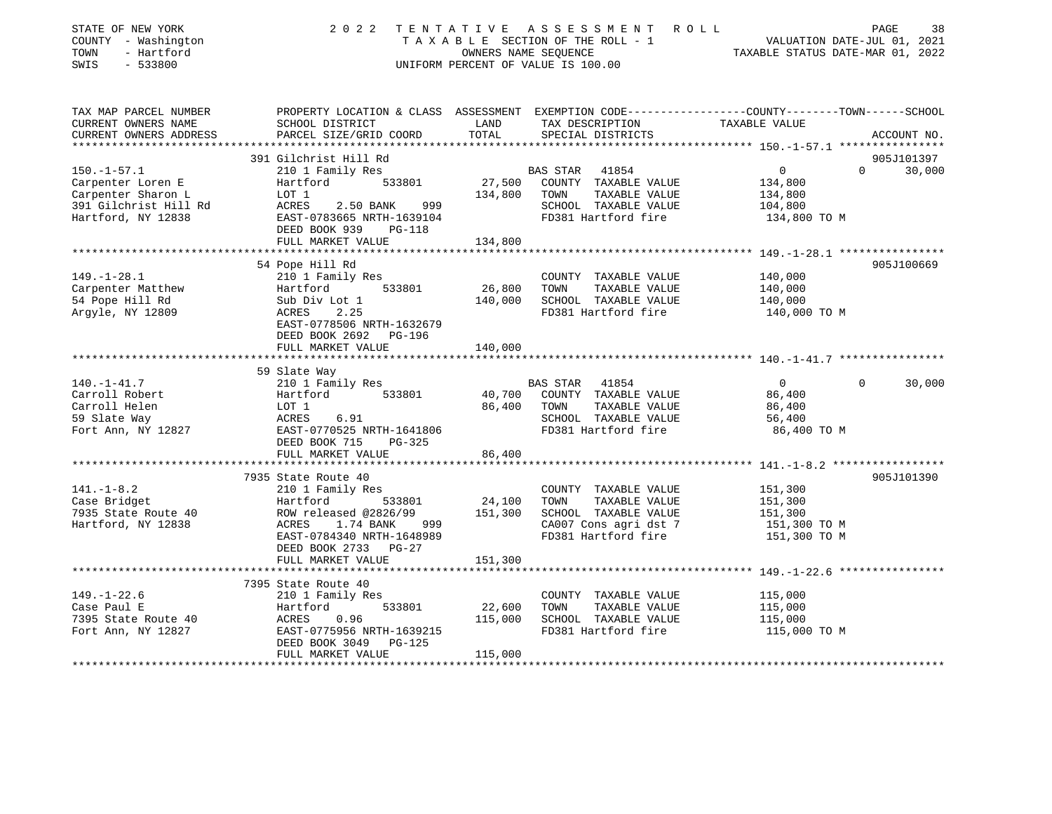| STATE OF NEW YORK<br>COUNTY - Washington<br>TOWN<br>- Hartford<br>SWIS<br>$-533800$ | 2 0 2 2                                              |                      | TENTATIVE ASSESSMENT ROLL<br>T A X A B L E SECTION OF THE ROLL - 1<br>OWNERS NAME SEQUENCE<br>UNIFORM PERCENT OF VALUE IS 100.00 | PAGE<br>VALUATION DATE-JUL 01, 2021<br>TAXABLE STATUS DATE-MAR 01, 2022                                          | 38     |
|-------------------------------------------------------------------------------------|------------------------------------------------------|----------------------|----------------------------------------------------------------------------------------------------------------------------------|------------------------------------------------------------------------------------------------------------------|--------|
| TAX MAP PARCEL NUMBER<br>CURRENT OWNERS NAME                                        | SCHOOL DISTRICT                                      | LAND                 | TAX DESCRIPTION                                                                                                                  | PROPERTY LOCATION & CLASS ASSESSMENT EXEMPTION CODE---------------COUNTY-------TOWN------SCHOOL<br>TAXABLE VALUE |        |
| CURRENT OWNERS ADDRESS                                                              | PARCEL SIZE/GRID COORD                               | TOTAL                | SPECIAL DISTRICTS                                                                                                                | ACCOUNT NO.                                                                                                      |        |
|                                                                                     |                                                      |                      |                                                                                                                                  |                                                                                                                  |        |
|                                                                                     | 391 Gilchrist Hill Rd                                |                      |                                                                                                                                  | 905J101397                                                                                                       |        |
| $150. - 1 - 57.1$                                                                   | 210 1 Family Res                                     |                      | BAS STAR<br>41854                                                                                                                | 0<br>$\Omega$                                                                                                    | 30,000 |
| Carpenter Loren E                                                                   | Hartford<br>533801                                   | 27,500               | COUNTY TAXABLE VALUE                                                                                                             | 134,800                                                                                                          |        |
| Carpenter Sharon L                                                                  | LOT 1                                                | 134,800              | TOWN<br>TAXABLE VALUE                                                                                                            | 134,800                                                                                                          |        |
| 391 Gilchrist Hill Rd                                                               | 2.50 BANK<br>999<br>ACRES                            |                      | SCHOOL TAXABLE VALUE                                                                                                             | 104,800                                                                                                          |        |
| Hartford, NY 12838                                                                  | EAST-0783665 NRTH-1639104<br>DEED BOOK 939<br>PG-118 |                      | FD381 Hartford fire                                                                                                              | 134,800 TO M                                                                                                     |        |
|                                                                                     | FULL MARKET VALUE                                    | 134,800              |                                                                                                                                  |                                                                                                                  |        |
|                                                                                     | **************************                           |                      |                                                                                                                                  |                                                                                                                  |        |
|                                                                                     | 54 Pope Hill Rd                                      |                      |                                                                                                                                  | 905J100669                                                                                                       |        |
| $149. - 1 - 28.1$                                                                   | 210 1 Family Res                                     |                      | COUNTY TAXABLE VALUE                                                                                                             | 140,000                                                                                                          |        |
| Carpenter Matthew                                                                   | 533801<br>Hartford                                   | 26,800               | TOWN<br>TAXABLE VALUE                                                                                                            | 140,000                                                                                                          |        |
| 54 Pope Hill Rd                                                                     | Sub Div Lot 1                                        | 140,000              | SCHOOL TAXABLE VALUE                                                                                                             | 140,000                                                                                                          |        |
| Argyle, NY 12809                                                                    | 2.25<br>ACRES                                        |                      | FD381 Hartford fire                                                                                                              | 140,000 TO M                                                                                                     |        |
|                                                                                     | EAST-0778506 NRTH-1632679<br>DEED BOOK 2692 PG-196   |                      |                                                                                                                                  |                                                                                                                  |        |
|                                                                                     | FULL MARKET VALUE<br>********************            | 140,000<br>********* |                                                                                                                                  | ****************************** 140.-1-41.7 ***************                                                       |        |
|                                                                                     | 59 Slate Way                                         |                      |                                                                                                                                  |                                                                                                                  |        |
| $140. - 1 - 41.7$                                                                   | 210 1 Family Res                                     |                      | BAS STAR<br>41854                                                                                                                | $\overline{0}$<br>$\Omega$                                                                                       | 30,000 |
| Carroll Robert                                                                      | 533801<br>Hartford                                   | 40,700               | COUNTY TAXABLE VALUE                                                                                                             | 86,400                                                                                                           |        |
| Carroll Helen                                                                       | LOT 1                                                | 86,400               | TOWN<br>TAXABLE VALUE                                                                                                            | 86,400                                                                                                           |        |
| 59 Slate Way                                                                        | 6.91<br>ACRES                                        |                      | SCHOOL TAXABLE VALUE                                                                                                             | 56,400                                                                                                           |        |
| Fort Ann, NY 12827                                                                  | EAST-0770525 NRTH-1641806                            |                      | FD381 Hartford fire                                                                                                              | 86,400 TO M                                                                                                      |        |
|                                                                                     | DEED BOOK 715<br>PG-325                              |                      |                                                                                                                                  |                                                                                                                  |        |
|                                                                                     | FULL MARKET VALUE                                    | 86,400               |                                                                                                                                  |                                                                                                                  |        |
|                                                                                     | ************************                             | *************        |                                                                                                                                  |                                                                                                                  |        |
|                                                                                     | 7935 State Route 40                                  |                      |                                                                                                                                  | 905J101390                                                                                                       |        |
| $141. - 1 - 8.2$                                                                    | 210 1 Family Res                                     |                      | COUNTY TAXABLE VALUE<br>TOWN                                                                                                     | 151,300                                                                                                          |        |
| Case Bridget<br>7935 State Route 40                                                 | 533801<br>Hartford<br>ROW released @2826/99          | 24,100<br>151,300    | TAXABLE VALUE<br>SCHOOL TAXABLE VALUE                                                                                            | 151,300<br>151,300                                                                                               |        |
| Hartford, NY 12838                                                                  | ACRES 1.74 BANK<br>999                               |                      | CA007 Cons agri dst 7                                                                                                            | 151,300 TO M                                                                                                     |        |
|                                                                                     | EAST-0784340 NRTH-1648989                            |                      | FD381 Hartford fire                                                                                                              | 151,300 TO M                                                                                                     |        |
|                                                                                     | DEED BOOK 2733 PG-27                                 |                      |                                                                                                                                  |                                                                                                                  |        |
|                                                                                     | FULL MARKET VALUE                                    | 151,300              |                                                                                                                                  |                                                                                                                  |        |
|                                                                                     | *******************                                  |                      |                                                                                                                                  | ** $149. - 1 - 22.6$ ******                                                                                      |        |
|                                                                                     | 7395 State Route 40                                  |                      |                                                                                                                                  |                                                                                                                  |        |
| $149. - 1 - 22.6$                                                                   | 210 1 Family Res                                     |                      | COUNTY TAXABLE VALUE                                                                                                             | 115,000                                                                                                          |        |
| Case Paul E                                                                         | Hartford<br>533801                                   | 22,600               | TOWN<br>TAXABLE VALUE                                                                                                            | 115,000                                                                                                          |        |
| 7395 State Route 40                                                                 | ACRES<br>0.96                                        | 115,000              | SCHOOL TAXABLE VALUE                                                                                                             | 115,000                                                                                                          |        |
| Fort Ann, NY 12827                                                                  | EAST-0775956 NRTH-1639215                            |                      | FD381 Hartford fire                                                                                                              | 115,000 TO M                                                                                                     |        |
|                                                                                     | DEED BOOK 3049<br><b>PG-125</b><br>FULL MARKET VALUE | 115,000              |                                                                                                                                  |                                                                                                                  |        |
|                                                                                     |                                                      |                      |                                                                                                                                  |                                                                                                                  |        |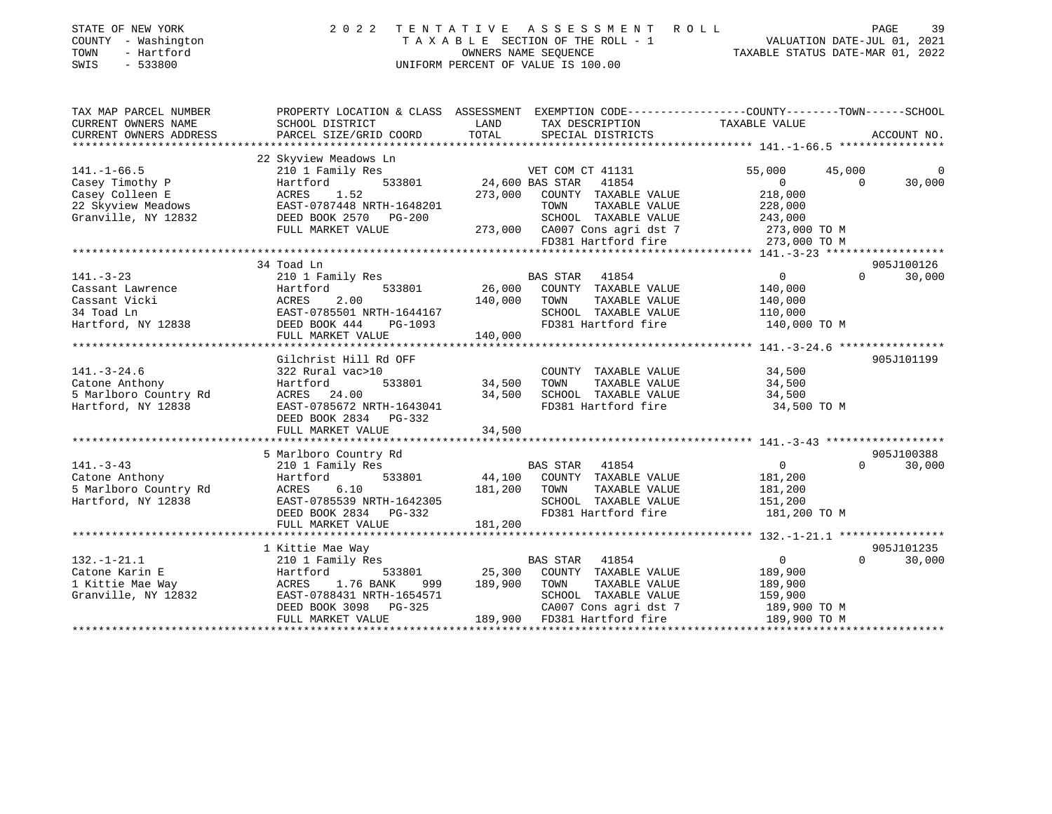| STATE OF NEW YORK<br>COUNTY - Washington<br>TOWN<br>- Hartford<br>$-533800$<br>SWIS               | 2 0 2 2<br>TENTATIVE                               |               | ASSESSMENT ROLL<br>TAXABLE SECTION OF THE ROLL - 1<br>TAXABLE SECTION OF THE ROLL - 1<br>OWNERS NAME SEQUENCE TAXABLE STATUS DATE-MAR 01, 2022<br>UNIFORM PERCENT OF VALUE IS 100.00 |                    | PAGE               | 39 |
|---------------------------------------------------------------------------------------------------|----------------------------------------------------|---------------|--------------------------------------------------------------------------------------------------------------------------------------------------------------------------------------|--------------------|--------------------|----|
| TAX MAP PARCEL NUMBER<br>CURRENT OWNERS NAME<br>CURRENT OWNERS ADDRESS<br>*********************** | SCHOOL DISTRICT<br>PARCEL SIZE/GRID COORD          | LAND<br>TOTAL | PROPERTY LOCATION & CLASS ASSESSMENT EXEMPTION CODE---------------COUNTY-------TOWN------SCHOOL<br>TAX DESCRIPTION<br>SPECIAL DISTRICTS                                              | TAXABLE VALUE      | ACCOUNT NO.        |    |
|                                                                                                   | 22 Skyview Meadows Ln                              |               |                                                                                                                                                                                      |                    |                    |    |
| $141. - 1 - 66.5$                                                                                 | 210 1 Family Res                                   |               | VET COM CT 41131                                                                                                                                                                     | 55,000             | 45,000             | 0  |
| Casey Timothy P                                                                                   | 533801<br>Hartford                                 |               | 24,600 BAS STAR 41854                                                                                                                                                                | $\overline{0}$     | 30,000<br>$\Omega$ |    |
| Casey Colleen E                                                                                   | ACRES<br>1.52                                      | 273,000       | COUNTY TAXABLE VALUE                                                                                                                                                                 | 218,000            |                    |    |
| 22 Skyview Meadows<br>Granville, NY 12832                                                         | EAST-0787448 NRTH-1648201<br>DEED BOOK 2570 PG-200 |               | TOWN<br>TAXABLE VALUE<br>SCHOOL TAXABLE VALUE                                                                                                                                        | 228,000<br>243,000 |                    |    |
|                                                                                                   | FULL MARKET VALUE                                  |               | 273,000 CA007 Cons agri dst 7                                                                                                                                                        | 273,000 TO M       |                    |    |
|                                                                                                   |                                                    |               | FD381 Hartford fire                                                                                                                                                                  | 273,000 TO M       |                    |    |
|                                                                                                   |                                                    |               |                                                                                                                                                                                      |                    |                    |    |
|                                                                                                   | 34 Toad Ln                                         |               |                                                                                                                                                                                      |                    | 905J100126         |    |
| $141. - 3 - 23$                                                                                   | 210 1 Family Res                                   |               | BAS STAR<br>41854                                                                                                                                                                    | $\overline{0}$     | 30,000<br>$\Omega$ |    |
| Cassant Lawrence                                                                                  | Hartford<br>533801                                 | 26,000        | COUNTY TAXABLE VALUE                                                                                                                                                                 | 140,000            |                    |    |
| Cassant Vicki                                                                                     | ACRES<br>2.00                                      | 140,000       | TOWN<br>TAXABLE VALUE                                                                                                                                                                | 140,000            |                    |    |
| 34 Toad Ln                                                                                        | EAST-0785501 NRTH-1644167                          |               | SCHOOL TAXABLE VALUE                                                                                                                                                                 | 110,000            |                    |    |
| Hartford, NY 12838                                                                                | DEED BOOK 444<br>PG-1093                           |               | FD381 Hartford fire                                                                                                                                                                  | 140,000 TO M       |                    |    |
|                                                                                                   | FULL MARKET VALUE                                  | 140,000       |                                                                                                                                                                                      |                    |                    |    |
|                                                                                                   |                                                    |               |                                                                                                                                                                                      |                    |                    |    |
|                                                                                                   | Gilchrist Hill Rd OFF                              |               |                                                                                                                                                                                      |                    | 905J101199         |    |
| $141. - 3 - 24.6$                                                                                 | 322 Rural vac>10                                   |               | COUNTY TAXABLE VALUE                                                                                                                                                                 | 34,500             |                    |    |
| Catone Anthony                                                                                    | Hartford<br>533801                                 | 34,500        | TAXABLE VALUE<br>TOWN                                                                                                                                                                | 34,500             |                    |    |
| 5 Marlboro Country Rd                                                                             | ACRES 24.00                                        | 34,500        | SCHOOL TAXABLE VALUE                                                                                                                                                                 | 34,500             |                    |    |
| Hartford, NY 12838                                                                                | EAST-0785672 NRTH-1643041                          |               | FD381 Hartford fire                                                                                                                                                                  | 34,500 TO M        |                    |    |
|                                                                                                   | DEED BOOK 2834 PG-332<br>FULL MARKET VALUE         | 34,500        |                                                                                                                                                                                      |                    |                    |    |
|                                                                                                   |                                                    |               |                                                                                                                                                                                      |                    |                    |    |
|                                                                                                   | 5 Marlboro Country Rd                              |               |                                                                                                                                                                                      |                    | 905J100388         |    |
| $141. - 3 - 43$                                                                                   | 210 1 Family Res                                   |               | BAS STAR<br>41854                                                                                                                                                                    | $\overline{0}$     | $\Omega$<br>30,000 |    |
| Catone Anthony                                                                                    | 533801<br>Hartford                                 |               | 44,100 COUNTY TAXABLE VALUE                                                                                                                                                          | 181,200            |                    |    |
| 5 Marlboro Country Rd                                                                             | ACRES<br>6.10                                      | 181,200       | TAXABLE VALUE<br>TOWN                                                                                                                                                                | 181,200            |                    |    |
| Hartford, NY 12838                                                                                | EAST-0785539 NRTH-1642305                          |               | SCHOOL TAXABLE VALUE                                                                                                                                                                 | 151,200            |                    |    |
|                                                                                                   | DEED BOOK 2834 PG-332                              |               | FD381 Hartford fire                                                                                                                                                                  | 181,200 TO M       |                    |    |
|                                                                                                   | FULL MARKET VALUE                                  | 181,200       |                                                                                                                                                                                      |                    |                    |    |
|                                                                                                   |                                                    |               |                                                                                                                                                                                      |                    |                    |    |
|                                                                                                   | 1 Kittie Mae Way                                   |               |                                                                                                                                                                                      |                    | 905J101235         |    |
| $132. - 1 - 21.1$                                                                                 | 210 1 Family Res                                   |               | BAS STAR<br>41854                                                                                                                                                                    | $\overline{0}$     | $\Omega$<br>30,000 |    |
| Catone Karin E                                                                                    | Hartford<br>533801                                 | 25,300        | COUNTY TAXABLE VALUE                                                                                                                                                                 | 189,900            |                    |    |
| 1 Kittie Mae Way                                                                                  | ACRES<br>1.76 BANK<br>999                          | 189,900       | TAXABLE VALUE<br>TOWN                                                                                                                                                                | 189,900            |                    |    |
| Granville, NY 12832                                                                               | EAST-0788431 NRTH-1654571                          |               | SCHOOL TAXABLE VALUE                                                                                                                                                                 | 159,900            |                    |    |
|                                                                                                   | DEED BOOK 3098 PG-325                              |               | CA007 Cons agri dst 7                                                                                                                                                                | 189,900 TO M       |                    |    |
|                                                                                                   | FULL MARKET VALUE                                  |               | 189,900 FD381 Hartford fire                                                                                                                                                          | 189,900 TO M       |                    |    |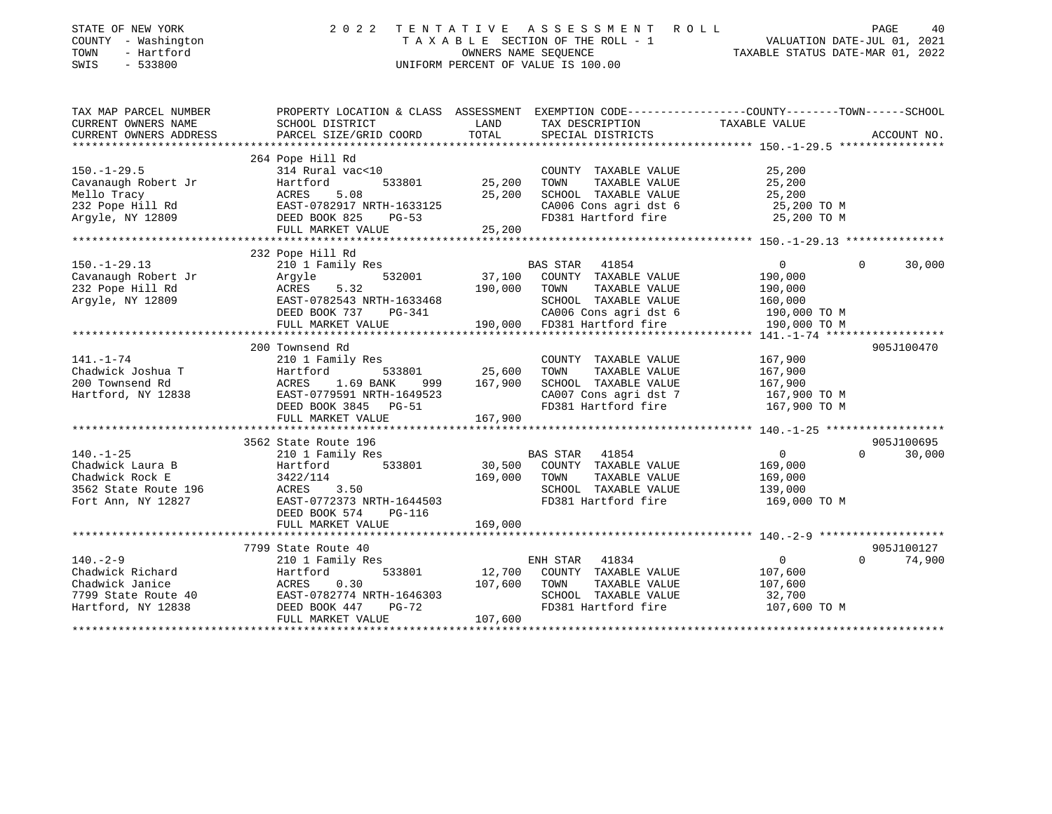| STATE OF NEW YORK<br>COUNTY - Washington<br>TOWN<br>- Hartford<br>SWIS<br>$-533800$ | 2 0 2 2                                                                                         | TENTATIVE | ASSESSMENT ROLL<br>T A X A B L E SECTION OF THE ROLL - 1<br>OWNERS NAME SEQUENCE TAXA<br>OWNERS NAME SEOUENCE<br>UNIFORM PERCENT OF VALUE IS 100.00 | TAXABLE STATUS DATE-MAR 01, 2022 | PAGE<br>40<br>VALUATION DATE-JUL 01, 2021 |
|-------------------------------------------------------------------------------------|-------------------------------------------------------------------------------------------------|-----------|-----------------------------------------------------------------------------------------------------------------------------------------------------|----------------------------------|-------------------------------------------|
| TAX MAP PARCEL NUMBER                                                               | PROPERTY LOCATION & CLASS ASSESSMENT EXEMPTION CODE---------------COUNTY-------TOWN------SCHOOL |           |                                                                                                                                                     |                                  |                                           |
| CURRENT OWNERS NAME                                                                 | SCHOOL DISTRICT                                                                                 | LAND      | TAX DESCRIPTION                                                                                                                                     | TAXABLE VALUE                    |                                           |
| CURRENT OWNERS ADDRESS                                                              | PARCEL SIZE/GRID COORD<br>*************************                                             | TOTAL     | SPECIAL DISTRICTS                                                                                                                                   |                                  | ACCOUNT NO.                               |
|                                                                                     |                                                                                                 |           |                                                                                                                                                     |                                  |                                           |
| $150. - 1 - 29.5$                                                                   | 264 Pope Hill Rd<br>314 Rural vac<10                                                            |           | COUNTY TAXABLE VALUE                                                                                                                                | 25,200                           |                                           |
| Cavanaugh Robert Jr                                                                 | 533801<br>Hartford                                                                              | 25,200    | TOWN<br>TAXABLE VALUE                                                                                                                               | 25,200                           |                                           |
| Mello Tracy                                                                         | 5.08<br>ACRES                                                                                   | 25,200    | SCHOOL TAXABLE VALUE                                                                                                                                | 25,200                           |                                           |
| 232 Pope Hill Rd                                                                    | EAST-0782917 NRTH-1633125                                                                       |           | CA006 Cons agri dst 6                                                                                                                               | 25,200 TO M                      |                                           |
| Argyle, NY 12809                                                                    | DEED BOOK 825<br>PG-53                                                                          |           | FD381 Hartford fire                                                                                                                                 | 25,200 TO M                      |                                           |
|                                                                                     | FULL MARKET VALUE                                                                               | 25,200    |                                                                                                                                                     |                                  |                                           |
|                                                                                     |                                                                                                 |           |                                                                                                                                                     |                                  |                                           |
|                                                                                     | 232 Pope Hill Rd                                                                                |           |                                                                                                                                                     |                                  |                                           |
| $150. - 1 - 29.13$                                                                  | 210 1 Family Res                                                                                |           | BAS STAR 41854                                                                                                                                      | $\overline{0}$                   | $\Omega$<br>30,000                        |
| Cavanaugh Robert Jr                                                                 | 532001<br>Argyle                                                                                | 37,100    | COUNTY TAXABLE VALUE                                                                                                                                | 190,000                          |                                           |
| 232 Pope Hill Rd                                                                    | ACRES<br>5.32                                                                                   | 190,000   | TOWN<br>TAXABLE VALUE                                                                                                                               | 190,000                          |                                           |
| Argyle, NY 12809                                                                    | EAST-0782543 NRTH-1633468                                                                       |           | SCHOOL TAXABLE VALUE                                                                                                                                | 160,000                          |                                           |
|                                                                                     | DEED BOOK 737<br>PG-341                                                                         |           | CA006 Cons agri dst 6                                                                                                                               | 190,000 TO M                     |                                           |
|                                                                                     | FULL MARKET VALUE                                                                               |           | 190,000 FD381 Hartford fire                                                                                                                         | 190,000 TO M                     |                                           |
|                                                                                     | 200 Townsend Rd                                                                                 |           |                                                                                                                                                     |                                  | 905J100470                                |
| $141. - 1 - 74$                                                                     | 210 1 Family Res                                                                                |           | COUNTY TAXABLE VALUE                                                                                                                                | 167,900                          |                                           |
| Chadwick Joshua T                                                                   | 533801<br>Hartford                                                                              | 25,600    | TOWN<br>TAXABLE VALUE                                                                                                                               | 167,900                          |                                           |
| 200 Townsend Rd                                                                     | ACRES<br>1.69 BANK<br>999 —                                                                     | 167,900   | SCHOOL TAXABLE VALUE                                                                                                                                | 167,900                          |                                           |
| Hartford, NY 12838                                                                  | EAST-0779591 NRTH-1649523                                                                       |           | CA007 Cons agri dst 7                                                                                                                               | 167,900 TO M                     |                                           |
|                                                                                     | DEED BOOK 3845 PG-51                                                                            |           | FD381 Hartford fire                                                                                                                                 | 167,900 TO M                     |                                           |
|                                                                                     | FULL MARKET VALUE                                                                               | 167,900   |                                                                                                                                                     |                                  |                                           |
|                                                                                     |                                                                                                 |           |                                                                                                                                                     |                                  |                                           |
|                                                                                     | 3562 State Route 196                                                                            |           |                                                                                                                                                     |                                  | 905J100695                                |
| $140. - 1 - 25$                                                                     | 210 1 Family Res                                                                                |           | BAS STAR 41854                                                                                                                                      | $\overline{0}$                   | $\Omega$<br>30,000                        |
| Chadwick Laura B                                                                    | 533801<br>Hartford                                                                              | 30,500    | COUNTY TAXABLE VALUE                                                                                                                                | 169,000                          |                                           |
| Chadwick Rock E                                                                     | 3422/114                                                                                        | 169,000   | TOWN<br>TAXABLE VALUE                                                                                                                               | 169,000                          |                                           |
| 3562 State Route 196                                                                | ACRES<br>3.50                                                                                   |           | SCHOOL TAXABLE VALUE                                                                                                                                | 139,000                          |                                           |
| Fort Ann, NY 12827                                                                  | EAST-0772373 NRTH-1644503                                                                       |           | FD381 Hartford fire                                                                                                                                 | 169,000 TO M                     |                                           |
|                                                                                     | DEED BOOK 574<br>PG-116<br>FULL MARKET VALUE                                                    | 169,000   |                                                                                                                                                     |                                  |                                           |
|                                                                                     |                                                                                                 |           |                                                                                                                                                     |                                  |                                           |
|                                                                                     | 7799 State Route 40                                                                             |           |                                                                                                                                                     |                                  | 905J100127                                |
| $140. - 2 - 9$                                                                      | 210 1 Family Res                                                                                |           | ENH STAR 41834                                                                                                                                      | $\overline{0}$                   | 74,900<br>$\Omega$                        |
| Chadwick Richard                                                                    | 533801<br>Hartford                                                                              | 12,700    | COUNTY TAXABLE VALUE                                                                                                                                | 107,600                          |                                           |
| Chadwick Janice                                                                     | ACRES<br>0.30                                                                                   | 107,600   | TOWN<br>TAXABLE VALUE                                                                                                                               | 107,600                          |                                           |
| 7799 State Route 40                                                                 |                                                                                                 |           | SCHOOL TAXABLE VALUE                                                                                                                                | 32,700                           |                                           |
| Hartford, NY 12838                                                                  | EAST-0782774 NRTH-1646303<br>DEED BOOK 447 PG-72                                                |           | FD381 Hartford fire                                                                                                                                 | 107,600 TO M                     |                                           |
|                                                                                     | FULL MARKET VALUE                                                                               | 107,600   |                                                                                                                                                     |                                  |                                           |
|                                                                                     |                                                                                                 |           |                                                                                                                                                     |                                  |                                           |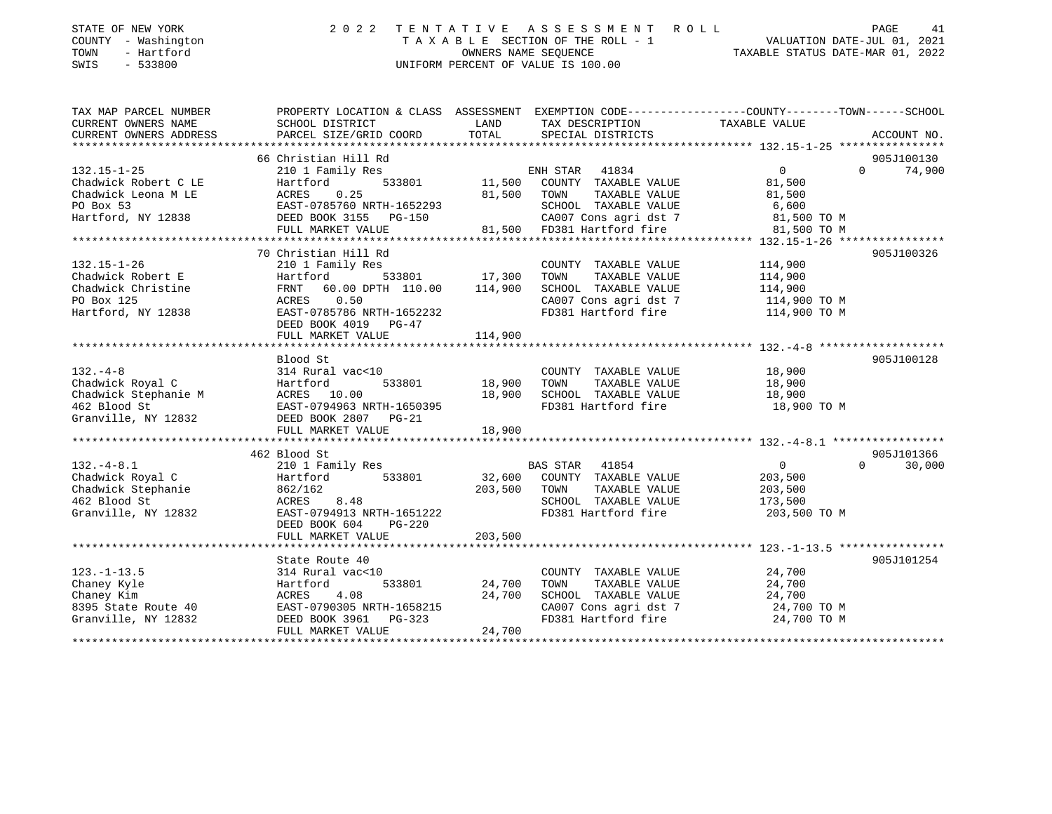| STATE OF NEW YORK<br>COUNTY - Washington<br>- Hartford<br>TOWN<br>SWIS<br>- 533800 | 2022 TENTATIVE ASSESSMENT ROLL<br>VALUATION DATE-JUL 01, 2021<br>TAXABLE SECTION OF THE ROLL - 1<br>TAXABLE STATUS DATE-MAR 01, 2022<br>OWNERS NAME SEOUENCE<br>UNIFORM PERCENT OF VALUE IS 100.00 | PAGE | 41 |
|------------------------------------------------------------------------------------|----------------------------------------------------------------------------------------------------------------------------------------------------------------------------------------------------|------|----|
|                                                                                    |                                                                                                                                                                                                    |      |    |

| TAX MAP PARCEL NUMBER  | PROPERTY LOCATION & CLASS ASSESSMENT EXEMPTION CODE---------------COUNTY-------TOWN-----SCHOOL                                                                                                                                                         |                                            |                                                                                                     |                |          |               |
|------------------------|--------------------------------------------------------------------------------------------------------------------------------------------------------------------------------------------------------------------------------------------------------|--------------------------------------------|-----------------------------------------------------------------------------------------------------|----------------|----------|---------------|
| CURRENT OWNERS NAME    | SCHOOL DISTRICT                                                                                                                                                                                                                                        | <b>EXAMPLE THE STATE OF STATE OF STATE</b> | TAX DESCRIPTION                                                                                     | TAXABLE VALUE  |          |               |
| CURRENT OWNERS ADDRESS |                                                                                                                                                                                                                                                        |                                            |                                                                                                     |                |          |               |
|                        | 66 Christian Hill Rd                                                                                                                                                                                                                                   |                                            |                                                                                                     |                |          | 905J100130    |
| $132.15 - 1 - 25$      |                                                                                                                                                                                                                                                        |                                            |                                                                                                     | $\overline{0}$ |          | $0 \t 74,900$ |
| Chadwick Robert C LE   |                                                                                                                                                                                                                                                        |                                            |                                                                                                     | 81,500         |          |               |
|                        |                                                                                                                                                                                                                                                        |                                            |                                                                                                     |                |          |               |
|                        |                                                                                                                                                                                                                                                        |                                            |                                                                                                     |                |          |               |
|                        |                                                                                                                                                                                                                                                        |                                            |                                                                                                     |                |          |               |
|                        |                                                                                                                                                                                                                                                        |                                            |                                                                                                     |                |          |               |
|                        | Chadwick Robert C LE (Chadwick Leona M LE ACRES 0.25<br>PO Box 53<br>Hartford, NY 12838 DEED BOOK 3155 PG-150 (CA007 Cons agri dst 7 81,500 TO M<br>FULL MARKET VALUE 81,500 FD381 Hartford fire 81,500 TO M<br>FULL MARKET VALUE 81,5                 |                                            |                                                                                                     |                |          |               |
|                        | 132.15-1-26<br>210 1 Family Res<br>Chadwick Robert E<br>Chadwick Christine FRNT 60.00 DPTH 110.00<br>PO Box 125<br>Hartford, NY 12838<br>EAST 0.50<br>Hartford, NY 12838<br>EAST 0.50<br>FRNT 60.00 DPTH 110.00<br>210 114,900<br>210 114,900<br>22007 |                                            |                                                                                                     |                |          | 905J100326    |
|                        |                                                                                                                                                                                                                                                        |                                            |                                                                                                     |                |          |               |
|                        |                                                                                                                                                                                                                                                        |                                            |                                                                                                     |                |          |               |
|                        |                                                                                                                                                                                                                                                        |                                            |                                                                                                     |                |          |               |
|                        |                                                                                                                                                                                                                                                        |                                            |                                                                                                     |                |          |               |
|                        |                                                                                                                                                                                                                                                        |                                            | CA007 Cons agri dst 7 $114,900$ TO M<br>FD381 Hartford fire $114,900$ TO M                          |                |          |               |
|                        |                                                                                                                                                                                                                                                        |                                            |                                                                                                     |                |          |               |
|                        | FULL MARKET VALUE                                                                                                                                                                                                                                      | 114,900                                    |                                                                                                     |                |          |               |
|                        |                                                                                                                                                                                                                                                        |                                            |                                                                                                     |                |          |               |
|                        | Blood St                                                                                                                                                                                                                                               |                                            |                                                                                                     |                |          | 905J100128    |
| $132 - 4 - 8$          | 314 Rural vac<10                                                                                                                                                                                                                                       |                                            | COUNTY TAXABLE VALUE 18,900                                                                         |                |          |               |
|                        |                                                                                                                                                                                                                                                        |                                            |                                                                                                     |                |          |               |
|                        |                                                                                                                                                                                                                                                        |                                            |                                                                                                     |                |          |               |
|                        |                                                                                                                                                                                                                                                        |                                            |                                                                                                     |                |          |               |
|                        |                                                                                                                                                                                                                                                        |                                            |                                                                                                     |                |          |               |
|                        |                                                                                                                                                                                                                                                        |                                            |                                                                                                     |                |          |               |
|                        |                                                                                                                                                                                                                                                        |                                            |                                                                                                     |                |          |               |
|                        | 462 Blood St                                                                                                                                                                                                                                           |                                            |                                                                                                     |                |          | 905J101366    |
|                        | 132.-4-8.1            210 1 Family Res             BAS STAR   41854              0<br>Chadwick Royal C         Hartford     533801      32,600  COUNTY TAXABLE VALUE        203,500                                                                    |                                            |                                                                                                     | $\overline{0}$ | $\Omega$ | 30,000        |
|                        |                                                                                                                                                                                                                                                        |                                            |                                                                                                     |                |          |               |
|                        |                                                                                                                                                                                                                                                        |                                            | TAXABLE VALUE 203,500                                                                               |                |          |               |
|                        |                                                                                                                                                                                                                                                        |                                            | SCHOOL TAXABLE VALUE                                                                                | 173,500        |          |               |
|                        |                                                                                                                                                                                                                                                        |                                            | FD381 Hartford fire 303,500 TO M                                                                    |                |          |               |
|                        | DEED BOOK 604<br>$PG-220$                                                                                                                                                                                                                              |                                            |                                                                                                     |                |          |               |
|                        | FULL MARKET VALUE                                                                                                                                                                                                                                      | 203,500                                    |                                                                                                     |                |          |               |
|                        |                                                                                                                                                                                                                                                        |                                            |                                                                                                     |                |          |               |
|                        | State Route 40                                                                                                                                                                                                                                         |                                            |                                                                                                     |                |          | 905J101254    |
| $123. - 1 - 13.5$      | 314 Rural vac<10                                                                                                                                                                                                                                       |                                            | COUNTY TAXABLE VALUE 24,700                                                                         |                |          |               |
|                        |                                                                                                                                                                                                                                                        | 533801 24,700                              | TOWN TAXABLE VALUE $24,700$<br>SCHOOL TAXABLE VALUE $24,700$<br>CA007 Cons agri dst 7 $24,700$ TO M |                |          |               |
|                        |                                                                                                                                                                                                                                                        |                                            |                                                                                                     |                |          |               |
|                        |                                                                                                                                                                                                                                                        |                                            |                                                                                                     |                |          |               |
|                        |                                                                                                                                                                                                                                                        |                                            |                                                                                                     |                |          |               |
|                        |                                                                                                                                                                                                                                                        |                                            |                                                                                                     |                |          |               |
|                        |                                                                                                                                                                                                                                                        |                                            |                                                                                                     |                |          |               |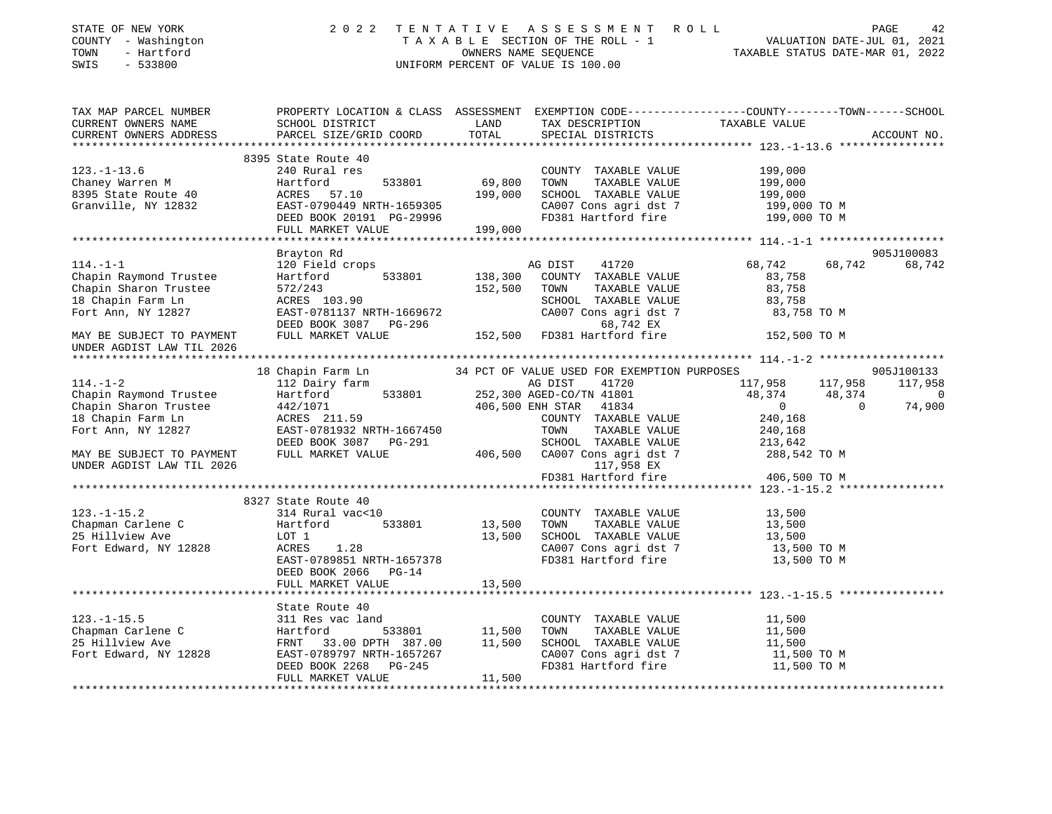| STATE OF NEW YORK<br>COUNTY - Washington<br>TOWN<br>- Hartford<br>SWIS<br>$-533800$                     | 2 0 2 2                                                                                                                                                                                                                                    |                   | TENTATIVE ASSESSMENT ROLL PAGE 42<br>TAXABLE SECTION OF THE ROLL - 1 VALUATION DATE-JUL 01, 2021<br>OWNERS NAME SEQUENCE TAXABLE STATUS DATE-MAR 01, 2022<br>UNIFORM PERCENT OF VALUE IS 100.00 |                            |                          |
|---------------------------------------------------------------------------------------------------------|--------------------------------------------------------------------------------------------------------------------------------------------------------------------------------------------------------------------------------------------|-------------------|-------------------------------------------------------------------------------------------------------------------------------------------------------------------------------------------------|----------------------------|--------------------------|
| TAX MAP PARCEL NUMBER<br>CURRENT OWNERS NAME<br>CURRENT OWNERS ADDRESS                                  | PROPERTY LOCATION & CLASS ASSESSMENT EXEMPTION CODE---------------COUNTY-------TOWN-----SCHOOL<br>SCHOOL DISTRICT<br>PARCEL SIZE/GRID COORD                                                                                                | LAND<br>TOTAL     | TAX DESCRIPTION TAXABLE VALUE<br>SPECIAL DISTRICTS                                                                                                                                              |                            | ACCOUNT NO.              |
|                                                                                                         |                                                                                                                                                                                                                                            |                   |                                                                                                                                                                                                 |                            |                          |
|                                                                                                         | 8395 State Route 40                                                                                                                                                                                                                        |                   |                                                                                                                                                                                                 |                            |                          |
| 123.-1-13.6<br>Chaney Warren M<br>8395 State Route 40<br>111e. NY 12832                                 | 240 Rural res                                                                                                                                                                                                                              |                   | COUNTY TAXABLE VALUE<br>TOWN                                                                                                                                                                    | 199,000                    |                          |
|                                                                                                         | 533801<br>Hartford                                                                                                                                                                                                                         | 69,800<br>199,000 | TAXABLE VALUE<br>SCHOOL TAXABLE VALUE                                                                                                                                                           | 199,000                    |                          |
|                                                                                                         | ACRES 57.10                                                                                                                                                                                                                                |                   | CA007 Cons agri dst 7                                                                                                                                                                           | 199,000<br>199,000 TO M    |                          |
|                                                                                                         |                                                                                                                                                                                                                                            |                   | FD381 Hartford fire                                                                                                                                                                             | 199,000 TO M               |                          |
|                                                                                                         |                                                                                                                                                                                                                                            |                   |                                                                                                                                                                                                 |                            |                          |
|                                                                                                         |                                                                                                                                                                                                                                            |                   |                                                                                                                                                                                                 |                            |                          |
|                                                                                                         | Brayton Rd                                                                                                                                                                                                                                 |                   |                                                                                                                                                                                                 |                            | 905J100083               |
| $114. - 1 - 1$                                                                                          | 120 Field crops                                                                                                                                                                                                                            |                   | AG DIST<br>41720                                                                                                                                                                                | 68,742                     | 68,742 68,742            |
| Chapin Raymond Trustee                                                                                  | 533801<br>Hartford                                                                                                                                                                                                                         | 138,300           | COUNTY TAXABLE VALUE                                                                                                                                                                            | 83,758                     |                          |
| Chapin Sharon Trustee                                                                                   | 572/243                                                                                                                                                                                                                                    | 152,500           | TAXABLE VALUE<br>TOWN                                                                                                                                                                           | 83,758                     |                          |
| 18 Chapin Farm Ln                                                                                       | ACRES 103.90                                                                                                                                                                                                                               |                   | SCHOOL TAXABLE VALUE                                                                                                                                                                            | 83,758                     |                          |
| Fort Ann, NY 12827                                                                                      | EAST-0781137 NRTH-1669672                                                                                                                                                                                                                  |                   | CA007 Cons agri dst 7 83,758 TO M                                                                                                                                                               |                            |                          |
|                                                                                                         |                                                                                                                                                                                                                                            |                   |                                                                                                                                                                                                 |                            |                          |
| MAY BE SUBJECT TO PAYMENT<br>UNDER AGDIST LAW TIL 2026                                                  | $\begin{array}{lllllll} \texttt{EAS1}-\texttt{v/01137} & \texttt{m111} \\ \texttt{DEED BOOK 3087} & \texttt{PG-296} & & & & & & & & \\ \texttt{m111} & \texttt{MARKET VALUE} & & & & & 152,500 & \texttt{FD381 Hartford fire} \end{array}$ |                   |                                                                                                                                                                                                 | 152,500 TO M               |                          |
|                                                                                                         |                                                                                                                                                                                                                                            |                   |                                                                                                                                                                                                 |                            |                          |
|                                                                                                         | 18 Chapin Farm Ln                                                                                                                                                                                                                          |                   | 34 PCT OF VALUE USED FOR EXEMPTION PURPOSES                                                                                                                                                     |                            | 905J100133               |
| $114. - 1 - 2$                                                                                          | 112 Dairy farm                                                                                                                                                                                                                             |                   | AG DIST 41720<br>252,300 AGED-CO/TN 41801                                                                                                                                                       | 117,958 117,958            | 117,958                  |
| Chapin Raymond Trustee                                                                                  | Hartford 533801                                                                                                                                                                                                                            |                   |                                                                                                                                                                                                 | 48,374 48,374              | $\sim$ 0                 |
| Chapin Sharon Trustee                                                                                   | 442/1071<br>ACRES 211.59                                                                                                                                                                                                                   |                   | 406,500 ENH STAR 41834                                                                                                                                                                          | $\sim$ 0                   | $\overline{0}$<br>74,900 |
| 18 Chapin Farm Ln                                                                                       |                                                                                                                                                                                                                                            |                   | COUNTY TAXABLE VALUE                                                                                                                                                                            | 240,168                    |                          |
| Fort Ann, NY 12827                                                                                      | EAST-0781932 NRTH-1667450                                                                                                                                                                                                                  |                   | TOWN<br>TAXABLE VALUE                                                                                                                                                                           | 240,168                    |                          |
|                                                                                                         | DEED BOOK 3087 PG-291                                                                                                                                                                                                                      |                   |                                                                                                                                                                                                 |                            |                          |
| MAY BE SUBJECT TO PAYMENT                                                                               | FULL MARKET VALUE                                                                                                                                                                                                                          |                   | SCHOOL TAXABLE VALUE 213,642<br>406,500 CA007 Cons agri dst 7 288,542 TO M                                                                                                                      |                            |                          |
| UNDER AGDIST LAW TIL 2026                                                                               |                                                                                                                                                                                                                                            |                   | 117,958 EX                                                                                                                                                                                      |                            |                          |
|                                                                                                         |                                                                                                                                                                                                                                            |                   | FD381 Hartford fire                                                                                                                                                                             | 406,500 TO M               |                          |
|                                                                                                         |                                                                                                                                                                                                                                            |                   |                                                                                                                                                                                                 |                            |                          |
|                                                                                                         | 8327 State Route 40                                                                                                                                                                                                                        |                   |                                                                                                                                                                                                 |                            |                          |
| $123. - 1 - 15.2$                                                                                       | 314 Rural vac<10                                                                                                                                                                                                                           |                   | COUNTY TAXABLE VALUE                                                                                                                                                                            | 13,500                     |                          |
| Chapman Carlene C                                                                                       | 533801<br>Hartford                                                                                                                                                                                                                         | 13,500            | TOWN<br>TAXABLE VALUE                                                                                                                                                                           | 13,500                     |                          |
| 25 Hillview Ave                                                                                         | LOT 1                                                                                                                                                                                                                                      | 13,500            | SCHOOL TAXABLE VALUE                                                                                                                                                                            | 13,500                     |                          |
| Fort Edward, NY 12828                                                                                   | ACRES 1.28<br>EAST-0789851 NRTH-1657378                                                                                                                                                                                                    |                   | CA007 Cons agri dst 7<br>FD381 Hartford fire                                                                                                                                                    | 13,500 TO M<br>13,500 TO M |                          |
|                                                                                                         | DEED BOOK 2066 PG-14                                                                                                                                                                                                                       |                   |                                                                                                                                                                                                 |                            |                          |
|                                                                                                         | FULL MARKET VALUE                                                                                                                                                                                                                          | 13,500            |                                                                                                                                                                                                 |                            |                          |
|                                                                                                         |                                                                                                                                                                                                                                            |                   |                                                                                                                                                                                                 |                            |                          |
|                                                                                                         | State Route 40                                                                                                                                                                                                                             |                   |                                                                                                                                                                                                 |                            |                          |
|                                                                                                         | 311 Res vac land                                                                                                                                                                                                                           |                   | COUNTY TAXABLE VALUE                                                                                                                                                                            | 11,500                     |                          |
| Chapman Carlene C<br>Chapman Carlene C<br>25 Hillview Ave FRNT 33<br>Fort Edward, NY 12828<br>EAST-0789 | 533801                                                                                                                                                                                                                                     | 11,500            | TOWN<br>TAXABLE VALUE                                                                                                                                                                           | 11,500                     |                          |
|                                                                                                         | FRNT 33.00 DPTH 387.00 11,500                                                                                                                                                                                                              |                   | SCHOOL TAXABLE VALUE                                                                                                                                                                            | 11,500                     |                          |
|                                                                                                         | EAST-0789797 NRTH-1657267                                                                                                                                                                                                                  |                   | CA007 Cons agri dst 7                                                                                                                                                                           | 11,500 TO M                |                          |
|                                                                                                         | DEED BOOK 2268 PG-245                                                                                                                                                                                                                      |                   | FD381 Hartford fire                                                                                                                                                                             | 11,500 TO M                |                          |
|                                                                                                         | FULL MARKET VALUE                                                                                                                                                                                                                          | 11,500            |                                                                                                                                                                                                 |                            |                          |
|                                                                                                         |                                                                                                                                                                                                                                            |                   |                                                                                                                                                                                                 |                            |                          |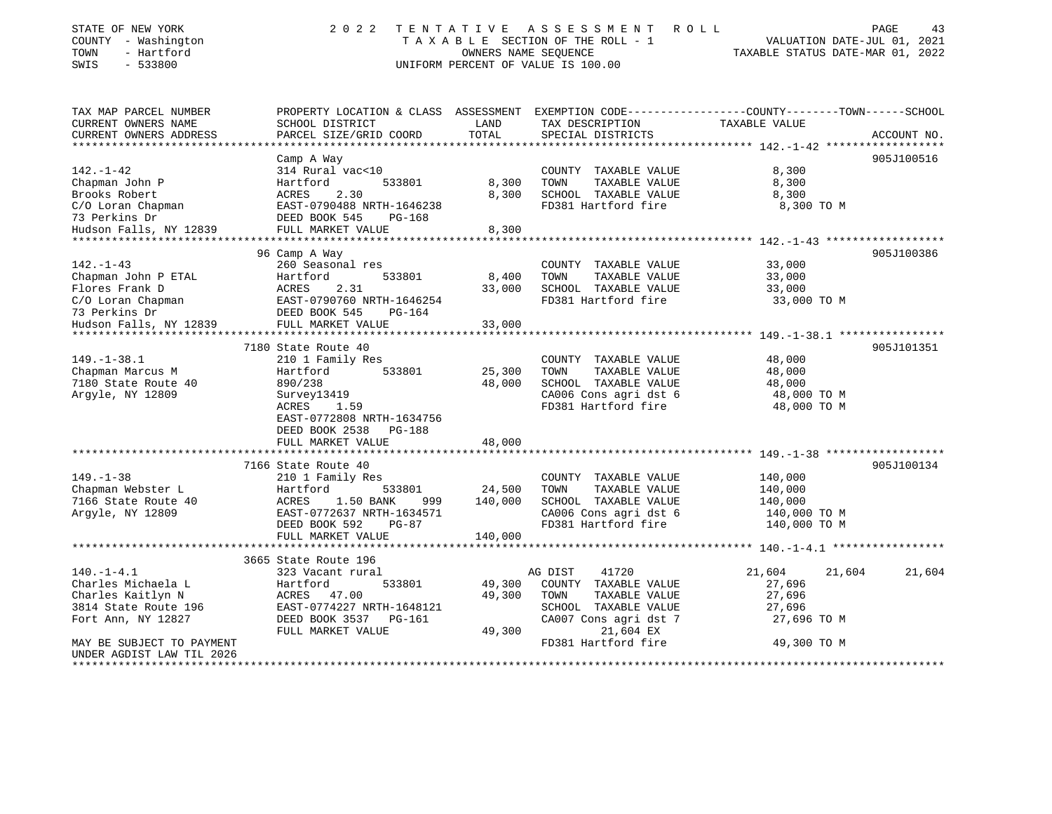| STATE OF NEW YORK<br>COUNTY - Washington<br>- Hartford<br>TOWN<br>$-533800$<br>SWIS | 2 0 2 2                                                |                           | TENTATIVE ASSESSMENT ROLL<br>TAXABLE SECTION OF THE ROLL - 1<br>OWNERS NAME SEQUENCE<br>UNIFORM PERCENT OF VALUE IS 100.00 | VALUATION DATE-JUL 01, 2021<br>TAXABLE STATUS DATE-MAR 01, 2022                                 | PAGE<br>43  |
|-------------------------------------------------------------------------------------|--------------------------------------------------------|---------------------------|----------------------------------------------------------------------------------------------------------------------------|-------------------------------------------------------------------------------------------------|-------------|
| TAX MAP PARCEL NUMBER                                                               |                                                        |                           |                                                                                                                            | PROPERTY LOCATION & CLASS ASSESSMENT EXEMPTION CODE----------------COUNTY-------TOWN-----SCHOOL |             |
| CURRENT OWNERS NAME                                                                 | SCHOOL DISTRICT                                        | LAND                      | TAX DESCRIPTION                                                                                                            | TAXABLE VALUE                                                                                   |             |
| CURRENT OWNERS ADDRESS                                                              | PARCEL SIZE/GRID COORD                                 | TOTAL                     | SPECIAL DISTRICTS                                                                                                          |                                                                                                 | ACCOUNT NO. |
| ***********************                                                             |                                                        |                           |                                                                                                                            |                                                                                                 |             |
| $142. - 1 - 42$                                                                     | Camp A Way<br>314 Rural vac<10                         |                           | COUNTY TAXABLE VALUE                                                                                                       | 8,300                                                                                           | 905J100516  |
| Chapman John P                                                                      | 533801<br>Hartford                                     | 8,300                     | TAXABLE VALUE<br>TOWN                                                                                                      | 8,300                                                                                           |             |
| Brooks Robert                                                                       | ACRES<br>2.30                                          | 8,300                     | SCHOOL TAXABLE VALUE                                                                                                       | 8,300                                                                                           |             |
| C/O Loran Chapman                                                                   | EAST-0790488 NRTH-1646238                              |                           | FD381 Hartford fire                                                                                                        | 8,300 TO M                                                                                      |             |
| 73 Perkins Dr                                                                       | DEED BOOK 545<br>PG-168                                |                           |                                                                                                                            |                                                                                                 |             |
| Hudson Falls, NY 12839                                                              | FULL MARKET VALUE                                      | 8,300                     |                                                                                                                            |                                                                                                 |             |
|                                                                                     |                                                        | * * * * * * * * * * * * * |                                                                                                                            | ************************************* 142.-1-43 *******************                             |             |
|                                                                                     | 96 Camp A Way                                          |                           |                                                                                                                            |                                                                                                 | 905J100386  |
| $142. - 1 - 43$                                                                     | 260 Seasonal res                                       |                           | COUNTY TAXABLE VALUE                                                                                                       | 33,000                                                                                          |             |
| Chapman John P ETAL                                                                 | 533801<br>Hartford                                     | 8,400                     | TOWN<br>TAXABLE VALUE                                                                                                      | 33,000                                                                                          |             |
| Flores Frank D<br>C/O Loran Chapman                                                 | ACRES<br>2.31<br>EAST-0790760 NRTH-1646254             | 33,000                    | SCHOOL TAXABLE VALUE<br>FD381 Hartford fire                                                                                | 33,000<br>33,000 TO M                                                                           |             |
| 73 Perkins Dr                                                                       | DEED BOOK 545<br>PG-164                                |                           |                                                                                                                            |                                                                                                 |             |
| Hudson Falls, NY 12839                                                              | FULL MARKET VALUE                                      | 33,000                    |                                                                                                                            |                                                                                                 |             |
| ********************                                                                |                                                        |                           |                                                                                                                            |                                                                                                 |             |
|                                                                                     | 7180 State Route 40                                    |                           |                                                                                                                            |                                                                                                 | 905J101351  |
| $149. - 1 - 38.1$                                                                   | 210 1 Family Res                                       |                           | COUNTY TAXABLE VALUE                                                                                                       | 48,000                                                                                          |             |
| Chapman Marcus M                                                                    | 533801<br>Hartford                                     | 25,300                    | TOWN<br>TAXABLE VALUE                                                                                                      | 48,000                                                                                          |             |
| 7180 State Route 40                                                                 | 890/238                                                | 48,000                    | SCHOOL TAXABLE VALUE                                                                                                       | 48,000                                                                                          |             |
| Argyle, NY 12809                                                                    | Survey13419<br>ACRES<br>1.59                           |                           | CA006 Cons agri dst 6<br>FD381 Hartford fire                                                                               | 48,000 TO M<br>48,000 TO M                                                                      |             |
|                                                                                     | EAST-0772808 NRTH-1634756                              |                           |                                                                                                                            |                                                                                                 |             |
|                                                                                     | DEED BOOK 2538 PG-188                                  |                           |                                                                                                                            |                                                                                                 |             |
|                                                                                     | FULL MARKET VALUE                                      | 48,000                    |                                                                                                                            |                                                                                                 |             |
|                                                                                     |                                                        |                           |                                                                                                                            |                                                                                                 |             |
|                                                                                     | 7166 State Route 40                                    |                           |                                                                                                                            |                                                                                                 | 905J100134  |
| $149. - 1 - 38$                                                                     | 210 1 Family Res                                       |                           | COUNTY TAXABLE VALUE                                                                                                       | 140,000                                                                                         |             |
| Chapman Webster L                                                                   | Hartford<br>533801                                     | 24,500                    | TAXABLE VALUE<br>TOWN                                                                                                      | 140,000                                                                                         |             |
| 7166 State Route 40                                                                 | ACRES<br>1.50 BANK<br>999<br>EAST-0772637 NRTH-1634571 | 140,000                   | SCHOOL TAXABLE VALUE<br>CA006 Cons agri dst 6                                                                              | 140,000<br>140,000 TO M                                                                         |             |
| Argyle, NY 12809                                                                    | DEED BOOK 592<br>PG-87                                 |                           | FD381 Hartford fire                                                                                                        | 140,000 TO M                                                                                    |             |
|                                                                                     | FULL MARKET VALUE                                      | 140,000                   |                                                                                                                            |                                                                                                 |             |
|                                                                                     |                                                        |                           |                                                                                                                            |                                                                                                 |             |
|                                                                                     | 3665 State Route 196                                   |                           |                                                                                                                            |                                                                                                 |             |
| $140. - 1 - 4.1$                                                                    | 323 Vacant rural                                       |                           | AG DIST<br>41720                                                                                                           | 21,604<br>21,604                                                                                | 21,604      |
| Charles Michaela L                                                                  | Hartford<br>533801                                     | 49,300                    | COUNTY TAXABLE VALUE                                                                                                       | 27,696                                                                                          |             |
| Charles Kaitlyn N                                                                   | ACRES 47.00                                            | 49,300                    | TOWN<br>TAXABLE VALUE                                                                                                      | 27,696                                                                                          |             |
| 3814 State Route 196                                                                | EAST-0774227 NRTH-1648121                              |                           | SCHOOL TAXABLE VALUE                                                                                                       | 27,696                                                                                          |             |
| Fort Ann, NY 12827                                                                  | DEED BOOK 3537 PG-161<br>FULL MARKET VALUE             | 49,300                    | CA007 Cons agri dst 7<br>21,604 EX                                                                                         | 27,696 TO M                                                                                     |             |
| MAY BE SUBJECT TO PAYMENT                                                           |                                                        |                           | FD381 Hartford fire                                                                                                        | 49,300 TO M                                                                                     |             |
| UNDER AGDIST LAW TIL 2026                                                           |                                                        |                           |                                                                                                                            |                                                                                                 |             |
| *****************************                                                       |                                                        |                           |                                                                                                                            |                                                                                                 |             |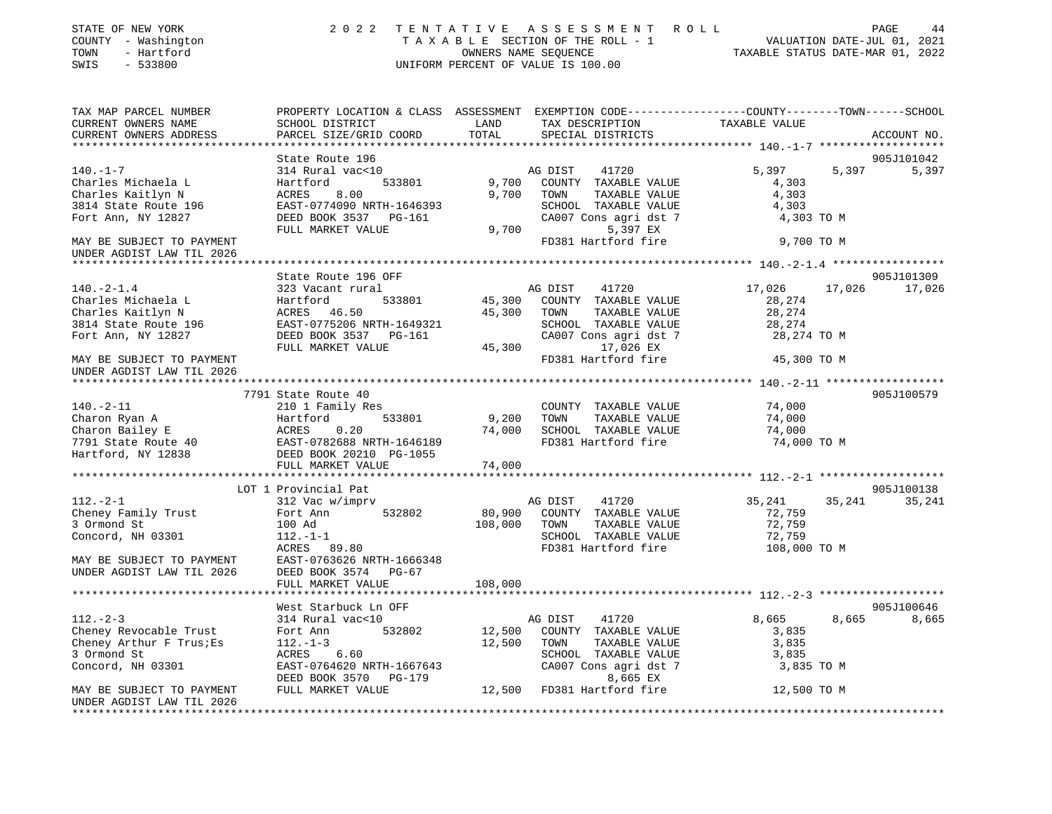| PROPERTY LOCATION & CLASS ASSESSMENT EXEMPTION CODE---------------COUNTY-------TOWN-----SCHOOL<br>LAND<br>SCHOOL DISTRICT<br>TAX DESCRIPTION<br>TAXABLE VALUE<br>TOTAL<br>SPECIAL DISTRICTS<br>PARCEL SIZE/GRID COORD<br>ACCOUNT NO.<br>State Route 196<br>905J101042<br>AG DIST<br>41720<br>5,397<br>5,397<br>5,397<br>314 Rural vac<10<br>533801<br>9,700<br>COUNTY TAXABLE VALUE<br>Hartford<br>4,303<br>9,700<br>TOWN<br>4,303<br>ACRES<br>8.00<br>TAXABLE VALUE<br>EAST-0774090 NRTH-1646393<br>SCHOOL TAXABLE VALUE<br>4,303<br>CA007 Cons agri dst 7<br>DEED BOOK 3537 PG-161<br>4,303 TO M<br>9,700<br>5,397 EX<br>FULL MARKET VALUE<br>FD381 Hartford fire<br>9,700 TO M<br>State Route 196 OFF<br>905J101309<br>323 Vacant rural<br>AG DIST<br>41720<br>17,026<br>17,026<br>17,026<br>533801<br>45,300<br>COUNTY TAXABLE VALUE<br>Hartford<br>28,274<br>ACRES 46.50<br>45,300<br>28,274<br>TOWN<br>TAXABLE VALUE<br>EAST-0775206 NRTH-1649321<br>SCHOOL TAXABLE VALUE<br>28,274<br>DEED BOOK 3537 PG-161<br>CA007 Cons agri dst 7<br>28,274 TO M<br>45,300<br>17,026 EX<br>FULL MARKET VALUE<br>FD381 Hartford fire<br>45,300 TO M<br>7791 State Route 40<br>905J100579<br>$140. -2 - 11$<br>COUNTY TAXABLE VALUE<br>74,000<br>210 1 Family Res<br>Charon Ryan A<br>9,200<br>TOWN<br>TAXABLE VALUE<br>Hartford<br>533801<br>74,000<br>Charon Bailey E<br>ACRES<br>0.20<br>74,000<br>SCHOOL TAXABLE VALUE<br>74,000<br>7791 State Route 40<br>EAST-0782688 NRTH-1646189<br>FD381 Hartford fire<br>74,000 TO M<br>Hartford, NY 12838<br>DEED BOOK 20210 PG-1055<br>FULL MARKET VALUE<br>74,000<br>************<br>*********************** 112._2_1 ********************<br>905J100138<br>LOT 1 Provincial Pat<br>35,241<br>312 Vac w/imprv<br>AG DIST<br>41720<br>35,241<br>35,241<br>COUNTY TAXABLE VALUE<br>72,759<br>Fort Ann<br>532802<br>80,900<br>108,000<br>72,759<br>100 Ad<br>TOWN<br>TAXABLE VALUE<br>72,759<br>Concord, NH 03301<br>$112. - 1 - 1$<br>SCHOOL TAXABLE VALUE<br>FD381 Hartford fire<br>108,000 TO M<br>ACRES 89.80<br>MAY BE SUBJECT TO PAYMENT<br>EAST-0763626 NRTH-1666348<br>DEED BOOK 3574 PG-67<br>108,000<br>FULL MARKET VALUE<br>905J100646<br>West Starbuck Ln OFF<br>8,665<br>$112. - 2 - 3$<br>8,665<br>314 Rural vac<10<br>AG DIST<br>41720<br>8,665<br>Cheney Revocable Trust<br>532802<br>12,500<br>COUNTY TAXABLE VALUE<br>3,835<br>Fort Ann<br>12,500<br>3,835<br>$112.-1-3$<br>TOWN<br>TAXABLE VALUE<br>6.60<br>ACRES<br>SCHOOL TAXABLE VALUE<br>3,835<br>EAST-0764620 NRTH-1667643<br>CA007 Cons agri dst 7<br>3,835 TO M<br>8,665 EX<br>DEED BOOK 3570 PG-179<br>FD381 Hartford fire<br>FULL MARKET VALUE<br>12,500<br>12,500 TO M | STATE OF NEW YORK<br>COUNTY - Washington<br>- Hartford<br>TOWN<br>$-533800$<br>SWIS                      | 2 0 2 2 | OWNERS NAME SEQUENCE | TENTATIVE ASSESSMENT ROLL<br>T A X A B L E SECTION OF THE ROLL - 1<br>UNIFORM PERCENT OF VALUE IS 100.00 | TAXABLE STATUS DATE-MAR 01, 2022 | PAGE<br>44<br>VALUATION DATE-JUL 01, 2021 |
|---------------------------------------------------------------------------------------------------------------------------------------------------------------------------------------------------------------------------------------------------------------------------------------------------------------------------------------------------------------------------------------------------------------------------------------------------------------------------------------------------------------------------------------------------------------------------------------------------------------------------------------------------------------------------------------------------------------------------------------------------------------------------------------------------------------------------------------------------------------------------------------------------------------------------------------------------------------------------------------------------------------------------------------------------------------------------------------------------------------------------------------------------------------------------------------------------------------------------------------------------------------------------------------------------------------------------------------------------------------------------------------------------------------------------------------------------------------------------------------------------------------------------------------------------------------------------------------------------------------------------------------------------------------------------------------------------------------------------------------------------------------------------------------------------------------------------------------------------------------------------------------------------------------------------------------------------------------------------------------------------------------------------------------------------------------------------------------------------------------------------------------------------------------------------------------------------------------------------------------------------------------------------------------------------------------------------------------------------------------------------------------------------------------------------------------------------------------------------------------------------------------------------------------------------------------------------------------------------------------------------------------------------------------------------------------|----------------------------------------------------------------------------------------------------------|---------|----------------------|----------------------------------------------------------------------------------------------------------|----------------------------------|-------------------------------------------|
|                                                                                                                                                                                                                                                                                                                                                                                                                                                                                                                                                                                                                                                                                                                                                                                                                                                                                                                                                                                                                                                                                                                                                                                                                                                                                                                                                                                                                                                                                                                                                                                                                                                                                                                                                                                                                                                                                                                                                                                                                                                                                                                                                                                                                                                                                                                                                                                                                                                                                                                                                                                                                                                                                       | TAX MAP PARCEL NUMBER<br>CURRENT OWNERS NAME<br>CURRENT OWNERS ADDRESS<br>****************************** |         |                      |                                                                                                          |                                  |                                           |
|                                                                                                                                                                                                                                                                                                                                                                                                                                                                                                                                                                                                                                                                                                                                                                                                                                                                                                                                                                                                                                                                                                                                                                                                                                                                                                                                                                                                                                                                                                                                                                                                                                                                                                                                                                                                                                                                                                                                                                                                                                                                                                                                                                                                                                                                                                                                                                                                                                                                                                                                                                                                                                                                                       |                                                                                                          |         |                      |                                                                                                          |                                  |                                           |
|                                                                                                                                                                                                                                                                                                                                                                                                                                                                                                                                                                                                                                                                                                                                                                                                                                                                                                                                                                                                                                                                                                                                                                                                                                                                                                                                                                                                                                                                                                                                                                                                                                                                                                                                                                                                                                                                                                                                                                                                                                                                                                                                                                                                                                                                                                                                                                                                                                                                                                                                                                                                                                                                                       | $140. - 1 - 7$<br>Charles Michaela L<br>Charles Kaitlyn N<br>3814 State Route 196<br>Fort Ann, NY 12827  |         |                      |                                                                                                          |                                  |                                           |
|                                                                                                                                                                                                                                                                                                                                                                                                                                                                                                                                                                                                                                                                                                                                                                                                                                                                                                                                                                                                                                                                                                                                                                                                                                                                                                                                                                                                                                                                                                                                                                                                                                                                                                                                                                                                                                                                                                                                                                                                                                                                                                                                                                                                                                                                                                                                                                                                                                                                                                                                                                                                                                                                                       | MAY BE SUBJECT TO PAYMENT<br>UNDER AGDIST LAW TIL 2026                                                   |         |                      |                                                                                                          |                                  |                                           |
|                                                                                                                                                                                                                                                                                                                                                                                                                                                                                                                                                                                                                                                                                                                                                                                                                                                                                                                                                                                                                                                                                                                                                                                                                                                                                                                                                                                                                                                                                                                                                                                                                                                                                                                                                                                                                                                                                                                                                                                                                                                                                                                                                                                                                                                                                                                                                                                                                                                                                                                                                                                                                                                                                       |                                                                                                          |         |                      |                                                                                                          |                                  |                                           |
|                                                                                                                                                                                                                                                                                                                                                                                                                                                                                                                                                                                                                                                                                                                                                                                                                                                                                                                                                                                                                                                                                                                                                                                                                                                                                                                                                                                                                                                                                                                                                                                                                                                                                                                                                                                                                                                                                                                                                                                                                                                                                                                                                                                                                                                                                                                                                                                                                                                                                                                                                                                                                                                                                       | $140. -2 - 1.4$<br>Charles Michaela L                                                                    |         |                      |                                                                                                          |                                  |                                           |
|                                                                                                                                                                                                                                                                                                                                                                                                                                                                                                                                                                                                                                                                                                                                                                                                                                                                                                                                                                                                                                                                                                                                                                                                                                                                                                                                                                                                                                                                                                                                                                                                                                                                                                                                                                                                                                                                                                                                                                                                                                                                                                                                                                                                                                                                                                                                                                                                                                                                                                                                                                                                                                                                                       | Charles Kaitlyn N<br>3814 State Route 196<br>Fort Ann, NY 12827                                          |         |                      |                                                                                                          |                                  |                                           |
|                                                                                                                                                                                                                                                                                                                                                                                                                                                                                                                                                                                                                                                                                                                                                                                                                                                                                                                                                                                                                                                                                                                                                                                                                                                                                                                                                                                                                                                                                                                                                                                                                                                                                                                                                                                                                                                                                                                                                                                                                                                                                                                                                                                                                                                                                                                                                                                                                                                                                                                                                                                                                                                                                       | MAY BE SUBJECT TO PAYMENT<br>UNDER AGDIST LAW TIL 2026                                                   |         |                      |                                                                                                          |                                  |                                           |
|                                                                                                                                                                                                                                                                                                                                                                                                                                                                                                                                                                                                                                                                                                                                                                                                                                                                                                                                                                                                                                                                                                                                                                                                                                                                                                                                                                                                                                                                                                                                                                                                                                                                                                                                                                                                                                                                                                                                                                                                                                                                                                                                                                                                                                                                                                                                                                                                                                                                                                                                                                                                                                                                                       |                                                                                                          |         |                      |                                                                                                          |                                  |                                           |
|                                                                                                                                                                                                                                                                                                                                                                                                                                                                                                                                                                                                                                                                                                                                                                                                                                                                                                                                                                                                                                                                                                                                                                                                                                                                                                                                                                                                                                                                                                                                                                                                                                                                                                                                                                                                                                                                                                                                                                                                                                                                                                                                                                                                                                                                                                                                                                                                                                                                                                                                                                                                                                                                                       |                                                                                                          |         |                      |                                                                                                          |                                  |                                           |
|                                                                                                                                                                                                                                                                                                                                                                                                                                                                                                                                                                                                                                                                                                                                                                                                                                                                                                                                                                                                                                                                                                                                                                                                                                                                                                                                                                                                                                                                                                                                                                                                                                                                                                                                                                                                                                                                                                                                                                                                                                                                                                                                                                                                                                                                                                                                                                                                                                                                                                                                                                                                                                                                                       |                                                                                                          |         |                      |                                                                                                          |                                  |                                           |
|                                                                                                                                                                                                                                                                                                                                                                                                                                                                                                                                                                                                                                                                                                                                                                                                                                                                                                                                                                                                                                                                                                                                                                                                                                                                                                                                                                                                                                                                                                                                                                                                                                                                                                                                                                                                                                                                                                                                                                                                                                                                                                                                                                                                                                                                                                                                                                                                                                                                                                                                                                                                                                                                                       |                                                                                                          |         |                      |                                                                                                          |                                  |                                           |
|                                                                                                                                                                                                                                                                                                                                                                                                                                                                                                                                                                                                                                                                                                                                                                                                                                                                                                                                                                                                                                                                                                                                                                                                                                                                                                                                                                                                                                                                                                                                                                                                                                                                                                                                                                                                                                                                                                                                                                                                                                                                                                                                                                                                                                                                                                                                                                                                                                                                                                                                                                                                                                                                                       |                                                                                                          |         |                      |                                                                                                          |                                  |                                           |
|                                                                                                                                                                                                                                                                                                                                                                                                                                                                                                                                                                                                                                                                                                                                                                                                                                                                                                                                                                                                                                                                                                                                                                                                                                                                                                                                                                                                                                                                                                                                                                                                                                                                                                                                                                                                                                                                                                                                                                                                                                                                                                                                                                                                                                                                                                                                                                                                                                                                                                                                                                                                                                                                                       |                                                                                                          |         |                      |                                                                                                          |                                  |                                           |
|                                                                                                                                                                                                                                                                                                                                                                                                                                                                                                                                                                                                                                                                                                                                                                                                                                                                                                                                                                                                                                                                                                                                                                                                                                                                                                                                                                                                                                                                                                                                                                                                                                                                                                                                                                                                                                                                                                                                                                                                                                                                                                                                                                                                                                                                                                                                                                                                                                                                                                                                                                                                                                                                                       |                                                                                                          |         |                      |                                                                                                          |                                  |                                           |
|                                                                                                                                                                                                                                                                                                                                                                                                                                                                                                                                                                                                                                                                                                                                                                                                                                                                                                                                                                                                                                                                                                                                                                                                                                                                                                                                                                                                                                                                                                                                                                                                                                                                                                                                                                                                                                                                                                                                                                                                                                                                                                                                                                                                                                                                                                                                                                                                                                                                                                                                                                                                                                                                                       |                                                                                                          |         |                      |                                                                                                          |                                  |                                           |
|                                                                                                                                                                                                                                                                                                                                                                                                                                                                                                                                                                                                                                                                                                                                                                                                                                                                                                                                                                                                                                                                                                                                                                                                                                                                                                                                                                                                                                                                                                                                                                                                                                                                                                                                                                                                                                                                                                                                                                                                                                                                                                                                                                                                                                                                                                                                                                                                                                                                                                                                                                                                                                                                                       |                                                                                                          |         |                      |                                                                                                          |                                  |                                           |
|                                                                                                                                                                                                                                                                                                                                                                                                                                                                                                                                                                                                                                                                                                                                                                                                                                                                                                                                                                                                                                                                                                                                                                                                                                                                                                                                                                                                                                                                                                                                                                                                                                                                                                                                                                                                                                                                                                                                                                                                                                                                                                                                                                                                                                                                                                                                                                                                                                                                                                                                                                                                                                                                                       | $112. - 2 - 1$                                                                                           |         |                      |                                                                                                          |                                  |                                           |
|                                                                                                                                                                                                                                                                                                                                                                                                                                                                                                                                                                                                                                                                                                                                                                                                                                                                                                                                                                                                                                                                                                                                                                                                                                                                                                                                                                                                                                                                                                                                                                                                                                                                                                                                                                                                                                                                                                                                                                                                                                                                                                                                                                                                                                                                                                                                                                                                                                                                                                                                                                                                                                                                                       | Cheney Family Trust                                                                                      |         |                      |                                                                                                          |                                  |                                           |
|                                                                                                                                                                                                                                                                                                                                                                                                                                                                                                                                                                                                                                                                                                                                                                                                                                                                                                                                                                                                                                                                                                                                                                                                                                                                                                                                                                                                                                                                                                                                                                                                                                                                                                                                                                                                                                                                                                                                                                                                                                                                                                                                                                                                                                                                                                                                                                                                                                                                                                                                                                                                                                                                                       | 3 Ormond St                                                                                              |         |                      |                                                                                                          |                                  |                                           |
|                                                                                                                                                                                                                                                                                                                                                                                                                                                                                                                                                                                                                                                                                                                                                                                                                                                                                                                                                                                                                                                                                                                                                                                                                                                                                                                                                                                                                                                                                                                                                                                                                                                                                                                                                                                                                                                                                                                                                                                                                                                                                                                                                                                                                                                                                                                                                                                                                                                                                                                                                                                                                                                                                       |                                                                                                          |         |                      |                                                                                                          |                                  |                                           |
|                                                                                                                                                                                                                                                                                                                                                                                                                                                                                                                                                                                                                                                                                                                                                                                                                                                                                                                                                                                                                                                                                                                                                                                                                                                                                                                                                                                                                                                                                                                                                                                                                                                                                                                                                                                                                                                                                                                                                                                                                                                                                                                                                                                                                                                                                                                                                                                                                                                                                                                                                                                                                                                                                       |                                                                                                          |         |                      |                                                                                                          |                                  |                                           |
|                                                                                                                                                                                                                                                                                                                                                                                                                                                                                                                                                                                                                                                                                                                                                                                                                                                                                                                                                                                                                                                                                                                                                                                                                                                                                                                                                                                                                                                                                                                                                                                                                                                                                                                                                                                                                                                                                                                                                                                                                                                                                                                                                                                                                                                                                                                                                                                                                                                                                                                                                                                                                                                                                       | UNDER AGDIST LAW TIL 2026                                                                                |         |                      |                                                                                                          |                                  |                                           |
|                                                                                                                                                                                                                                                                                                                                                                                                                                                                                                                                                                                                                                                                                                                                                                                                                                                                                                                                                                                                                                                                                                                                                                                                                                                                                                                                                                                                                                                                                                                                                                                                                                                                                                                                                                                                                                                                                                                                                                                                                                                                                                                                                                                                                                                                                                                                                                                                                                                                                                                                                                                                                                                                                       |                                                                                                          |         |                      |                                                                                                          |                                  |                                           |
|                                                                                                                                                                                                                                                                                                                                                                                                                                                                                                                                                                                                                                                                                                                                                                                                                                                                                                                                                                                                                                                                                                                                                                                                                                                                                                                                                                                                                                                                                                                                                                                                                                                                                                                                                                                                                                                                                                                                                                                                                                                                                                                                                                                                                                                                                                                                                                                                                                                                                                                                                                                                                                                                                       |                                                                                                          |         |                      |                                                                                                          |                                  |                                           |
|                                                                                                                                                                                                                                                                                                                                                                                                                                                                                                                                                                                                                                                                                                                                                                                                                                                                                                                                                                                                                                                                                                                                                                                                                                                                                                                                                                                                                                                                                                                                                                                                                                                                                                                                                                                                                                                                                                                                                                                                                                                                                                                                                                                                                                                                                                                                                                                                                                                                                                                                                                                                                                                                                       |                                                                                                          |         |                      |                                                                                                          |                                  |                                           |
|                                                                                                                                                                                                                                                                                                                                                                                                                                                                                                                                                                                                                                                                                                                                                                                                                                                                                                                                                                                                                                                                                                                                                                                                                                                                                                                                                                                                                                                                                                                                                                                                                                                                                                                                                                                                                                                                                                                                                                                                                                                                                                                                                                                                                                                                                                                                                                                                                                                                                                                                                                                                                                                                                       |                                                                                                          |         |                      |                                                                                                          |                                  |                                           |
|                                                                                                                                                                                                                                                                                                                                                                                                                                                                                                                                                                                                                                                                                                                                                                                                                                                                                                                                                                                                                                                                                                                                                                                                                                                                                                                                                                                                                                                                                                                                                                                                                                                                                                                                                                                                                                                                                                                                                                                                                                                                                                                                                                                                                                                                                                                                                                                                                                                                                                                                                                                                                                                                                       | Cheney Arthur F Trus; Es                                                                                 |         |                      |                                                                                                          |                                  |                                           |
|                                                                                                                                                                                                                                                                                                                                                                                                                                                                                                                                                                                                                                                                                                                                                                                                                                                                                                                                                                                                                                                                                                                                                                                                                                                                                                                                                                                                                                                                                                                                                                                                                                                                                                                                                                                                                                                                                                                                                                                                                                                                                                                                                                                                                                                                                                                                                                                                                                                                                                                                                                                                                                                                                       | 3 Ormond St                                                                                              |         |                      |                                                                                                          |                                  |                                           |
|                                                                                                                                                                                                                                                                                                                                                                                                                                                                                                                                                                                                                                                                                                                                                                                                                                                                                                                                                                                                                                                                                                                                                                                                                                                                                                                                                                                                                                                                                                                                                                                                                                                                                                                                                                                                                                                                                                                                                                                                                                                                                                                                                                                                                                                                                                                                                                                                                                                                                                                                                                                                                                                                                       | Concord, NH 03301                                                                                        |         |                      |                                                                                                          |                                  |                                           |
|                                                                                                                                                                                                                                                                                                                                                                                                                                                                                                                                                                                                                                                                                                                                                                                                                                                                                                                                                                                                                                                                                                                                                                                                                                                                                                                                                                                                                                                                                                                                                                                                                                                                                                                                                                                                                                                                                                                                                                                                                                                                                                                                                                                                                                                                                                                                                                                                                                                                                                                                                                                                                                                                                       | MAY BE SUBJECT TO PAYMENT<br>UNDER AGDIST LAW TIL 2026                                                   |         |                      |                                                                                                          |                                  |                                           |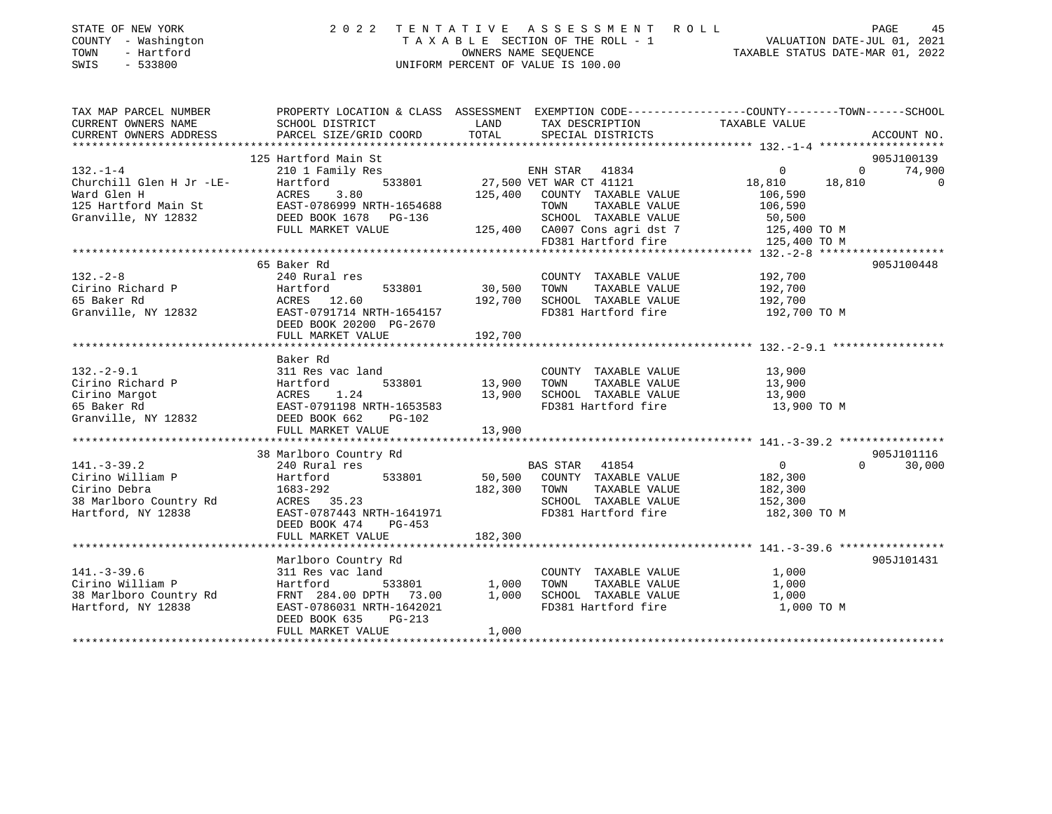| STATE OF NEW YORK<br>SIAIL OF NEW TORK<br>COUNTY - Washington<br>TOWN - Hartford<br>SWIS - 533800                                                                                                                                                                                                    |                                                                                                            |                                     |                                                                                              |                                                                                                                                                    |
|------------------------------------------------------------------------------------------------------------------------------------------------------------------------------------------------------------------------------------------------------------------------------------------------------|------------------------------------------------------------------------------------------------------------|-------------------------------------|----------------------------------------------------------------------------------------------|----------------------------------------------------------------------------------------------------------------------------------------------------|
| TAX MAP PARCEL NUMBER<br>CURRENT OWNERS NAME                                                                                                                                                                                                                                                         | SCHOOL DISTRICT<br><b>LAND</b><br>PARCEL SIZE/GRID COORD                                                   |                                     | TAX DESCRIPTION TAXABLE VALUE<br>SPECIAL DISTRICTS<br>SPECIAL DISTRICTS                      | PROPERTY LOCATION & CLASS ASSESSMENT EXEMPTION CODE----------------COUNTY--------TOWN-----SCHOOL                                                   |
| CURRENT OWNERS ADDRESS                                                                                                                                                                                                                                                                               |                                                                                                            | TOTAL                               |                                                                                              | ACCOUNT NO.                                                                                                                                        |
|                                                                                                                                                                                                                                                                                                      | 125 Hartford Main St                                                                                       |                                     |                                                                                              | 905J100139                                                                                                                                         |
| $132. - 1 - 4$<br>Churchill Glen H Jr -LE-<br>Mard Glen H<br>Mard Glen H<br>Mard Glen H<br>Mard Glen H<br>March Main St<br>ERST-0786999 NRTH-1654688<br>DEED BOOK 1678 PG-136<br>FULL MARKET VALUE<br>FULL MARKET VALUE<br>TOWN TAXABLE VALUE<br>TOWN TAXABLE VALUE<br>TOWN TAXABLE VALUE<br>TOWN TA | 210 1 Family Res<br>Hartford                                                                               |                                     |                                                                                              | 27,500 VET WAR CT 41834<br>F33801 27,500 VET WAR CT 41121 18,810 18,810 18,810<br>125 400 COUNTY TAXABLE VALUE 106,590<br>74,900<br>$\overline{0}$ |
|                                                                                                                                                                                                                                                                                                      |                                                                                                            |                                     |                                                                                              |                                                                                                                                                    |
|                                                                                                                                                                                                                                                                                                      | 65 Baker Rd                                                                                                |                                     |                                                                                              | 905J100448                                                                                                                                         |
|                                                                                                                                                                                                                                                                                                      | FULL MARKET VALUE                                                                                          | 192,700                             |                                                                                              |                                                                                                                                                    |
|                                                                                                                                                                                                                                                                                                      |                                                                                                            |                                     |                                                                                              |                                                                                                                                                    |
| 311 Res vac land<br>Cirino Richard P<br>Cirino Margot ACRES 1.24 13,900 TOWN TAXABLE VALUE 13,900<br>65 Baker Rd EAST-0791198 NRTH-1653583 FD381 Hartford fire 13,900 TOWN 13,900<br>Granville, NY 12832 DEED BOOK 662 PG-102<br>FITIT.                                                              | Baker Rd                                                                                                   |                                     |                                                                                              |                                                                                                                                                    |
|                                                                                                                                                                                                                                                                                                      |                                                                                                            |                                     |                                                                                              |                                                                                                                                                    |
|                                                                                                                                                                                                                                                                                                      |                                                                                                            |                                     |                                                                                              |                                                                                                                                                    |
| 30 Mariboro Country Rd<br>Cirino William P<br>Cirino Debra<br>240 Rural res<br>240 Rural res<br>240 Rural res<br>240 Rural res<br>240 Rural res<br>240 Rural res<br>240 Rural res<br>2533801<br>26,500 COUNTY TAXABLE VALUE<br>263-292<br>28 Mariboro Co                                             | EAST-0787443 NRTH-1641971 FD381 Hartford fire 182,300 TO M                                                 |                                     |                                                                                              | 905J101116<br>$\begin{array}{c} 0 \\ 182,300 \end{array}$<br>$\Omega$<br>30,000<br>182,300<br>152,300                                              |
|                                                                                                                                                                                                                                                                                                      |                                                                                                            |                                     |                                                                                              |                                                                                                                                                    |
|                                                                                                                                                                                                                                                                                                      | Marlboro Country Rd                                                                                        |                                     |                                                                                              | 905J101431                                                                                                                                         |
| $141. - 3 - 39.6$<br>Cirino William P<br>38 Marlboro Country Rd<br>Hartford, NY 12838                                                                                                                                                                                                                | Mariboro country Ru<br>311 Res vac land<br>Hartford<br>FRNT 284.00 DPTH 73.00<br>EAST-0786031 NRTH-1642021 | -<br>533801 1,000<br>TH 73.00 1,000 | COUNTY TAXABLE VALUE<br>TOWN<br>TAXABLE VALUE<br>SCHOOL TAXABLE VALUE<br>FD381 Hartford fire | 1,000<br>1,000<br>1,000<br>1,000 TO M                                                                                                              |

\*\*\*\*\*\*\*\*\*\*\*\*\*\*\*\*\*\*\*\*\*\*\*\*\*\*\*\*\*\*\*\*\*\*\*\*\*\*\*\*\*\*\*\*\*\*\*\*\*\*\*\*\*\*\*\*\*\*\*\*\*\*\*\*\*\*\*\*\*\*\*\*\*\*\*\*\*\*\*\*\*\*\*\*\*\*\*\*\*\*\*\*\*\*\*\*\*\*\*\*\*\*\*\*\*\*\*\*\*\*\*\*\*\*\*\*\*\*\*\*\*\*\*\*\*\*\*\*\*\*\*\*

DEED BOOK 635 PG-213

FULL MARKET VALUE 1,000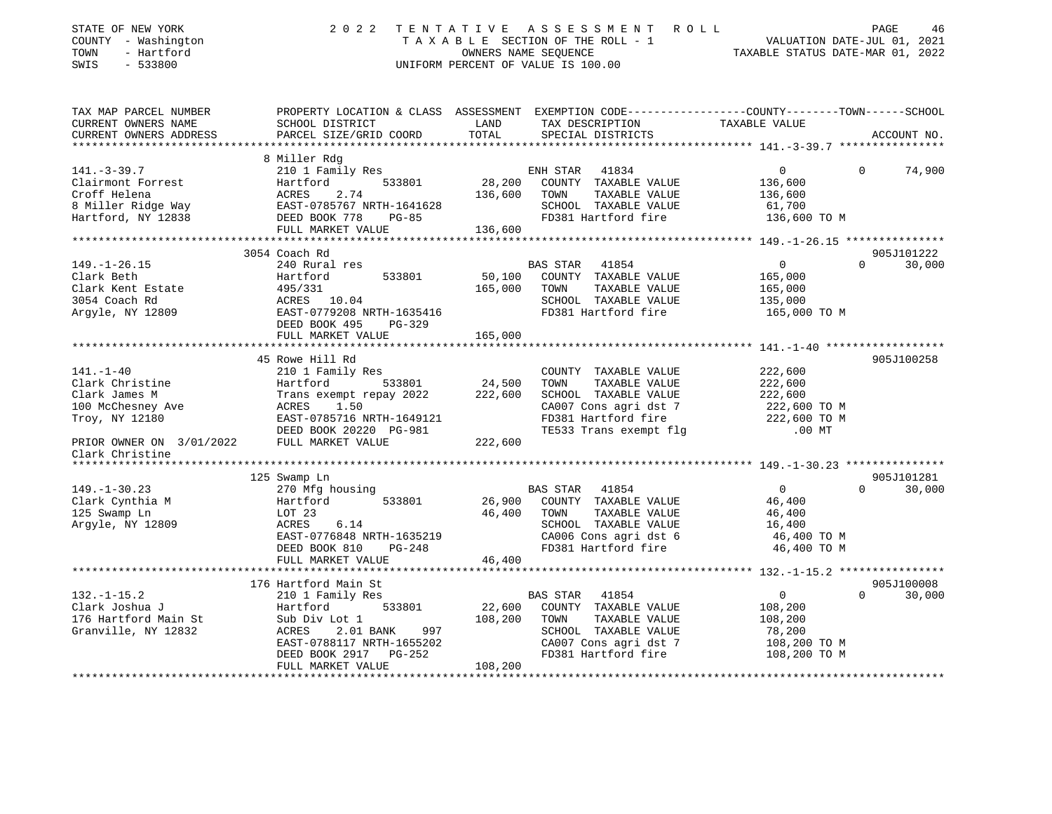| STATE OF NEW YORK<br>COUNTY - Washington<br>TOWN<br>- Hartford<br>SWIS<br>$-533800$ | 2 0 2 2                                                      |               | TENTATIVE ASSESSMENT ROLL<br>TAXABLE SECTION OF THE ROLL - 1<br>OWNERS NAME SEQUENCE<br>UNIFORM PERCENT OF VALUE IS 100.00 | VALUATION DATE-JUL 01, 2021<br>TAXABLE STATUS DATE-MAR 01, 2022 | PAGE<br>46           |
|-------------------------------------------------------------------------------------|--------------------------------------------------------------|---------------|----------------------------------------------------------------------------------------------------------------------------|-----------------------------------------------------------------|----------------------|
| TAX MAP PARCEL NUMBER                                                               |                                                              |               | PROPERTY LOCATION & CLASS ASSESSMENT EXEMPTION CODE----------------COUNTY-------TOWN-----SCHOOL                            |                                                                 |                      |
| CURRENT OWNERS NAME<br>CURRENT OWNERS ADDRESS                                       | SCHOOL DISTRICT<br>PARCEL SIZE/GRID COORD                    | LAND<br>TOTAL | TAX DESCRIPTION<br>SPECIAL DISTRICTS                                                                                       | TAXABLE VALUE                                                   | ACCOUNT NO.          |
| **********************                                                              |                                                              |               |                                                                                                                            |                                                                 |                      |
|                                                                                     | 8 Miller Rdg                                                 |               |                                                                                                                            |                                                                 |                      |
| $141. - 3 - 39.7$                                                                   | 210 1 Family Res                                             |               | ENH STAR<br>41834                                                                                                          | $\overline{0}$<br>$\Omega$                                      | 74,900               |
| Clairmont Forrest                                                                   | Hartford<br>533801                                           | 28,200        | COUNTY TAXABLE VALUE                                                                                                       | 136,600                                                         |                      |
| Croff Helena                                                                        | ACRES<br>2.74                                                | 136,600       | TOWN<br>TAXABLE VALUE                                                                                                      | 136,600                                                         |                      |
| 8 Miller Ridge Way                                                                  | EAST-0785767 NRTH-1641628<br>EAST-0785767 N<br>DEED BOOK 778 |               | SCHOOL TAXABLE VALUE                                                                                                       | 61,700                                                          |                      |
| Hartford, NY 12838                                                                  | $PG-85$                                                      |               | FD381 Hartford fire                                                                                                        | 136,600 TO M                                                    |                      |
|                                                                                     | FULL MARKET VALUE                                            | 136,600       |                                                                                                                            |                                                                 |                      |
|                                                                                     |                                                              |               |                                                                                                                            |                                                                 |                      |
|                                                                                     | 3054 Coach Rd                                                |               |                                                                                                                            |                                                                 | 905J101222           |
| $149. - 1 - 26.15$                                                                  | 240 Rural res                                                |               | BAS STAR 41854                                                                                                             | $\overline{0}$<br>$\Omega$                                      | 30,000               |
| Clark Beth<br>Clark Kent Estate                                                     | 533801<br>Hartford<br>495/331                                | 50,100        | COUNTY TAXABLE VALUE<br>TAXABLE VALUE                                                                                      | 165,000                                                         |                      |
| 3054 Coach Rd                                                                       | ACRES 10.04                                                  | 165,000       | TOWN<br>SCHOOL TAXABLE VALUE                                                                                               | 165,000<br>135,000                                              |                      |
| Argyle, NY 12809                                                                    | EAST-0779208 NRTH-1635416                                    |               | FD381 Hartford fire                                                                                                        | 165,000 TO M                                                    |                      |
|                                                                                     | DEED BOOK 495<br>$PG-329$                                    |               |                                                                                                                            |                                                                 |                      |
|                                                                                     | FULL MARKET VALUE                                            | 165,000       |                                                                                                                            |                                                                 |                      |
|                                                                                     |                                                              |               |                                                                                                                            |                                                                 |                      |
|                                                                                     | 45 Rowe Hill Rd                                              |               |                                                                                                                            |                                                                 | 905J100258           |
| $141. - 1 - 40$                                                                     | 210 1 Family Res                                             |               | COUNTY TAXABLE VALUE                                                                                                       | 222,600                                                         |                      |
| Clark Christine                                                                     | 533801<br>Hartford                                           | 24,500        | TAXABLE VALUE<br>TOWN                                                                                                      | 222,600                                                         |                      |
| Clark James M                                                                       | Trans exempt repay 2022                                      | 222,600       | SCHOOL TAXABLE VALUE                                                                                                       | 222,600                                                         |                      |
| 100 McChesney Ave                                                                   | ACRES<br>1.50                                                |               | CA007 Cons agri dst 7                                                                                                      | 222,600 TO M                                                    |                      |
| Troy, NY 12180                                                                      | EAST-0785716 NRTH-1649121                                    |               | FD381 Hartford fire                                                                                                        | 222,600 TO M                                                    |                      |
| PRIOR OWNER ON 3/01/2022<br>Clark Christine                                         | DEED BOOK 20220 PG-981<br>FULL MARKET VALUE                  | 222,600       | TE533 Trans exempt flg                                                                                                     | $.00$ MT                                                        |                      |
|                                                                                     | ******************                                           |               |                                                                                                                            |                                                                 |                      |
|                                                                                     | 125 Swamp Ln                                                 |               |                                                                                                                            |                                                                 | 905J101281           |
| $149. - 1 - 30.23$                                                                  | 270 Mfg housing                                              |               | 41854<br>BAS STAR                                                                                                          | $\Omega$<br>$\Omega$                                            | 30,000               |
| Clark Cynthia M                                                                     | Hartford<br>533801                                           | 26,900        | COUNTY TAXABLE VALUE                                                                                                       | 46,400                                                          |                      |
| 125 Swamp Ln                                                                        | LOT 23                                                       | 46,400        | TOWN<br>TAXABLE VALUE                                                                                                      | 46,400                                                          |                      |
| Argyle, NY 12809                                                                    | ACRES<br>6.14                                                |               | SCHOOL TAXABLE VALUE                                                                                                       | 16,400                                                          |                      |
|                                                                                     | EAST-0776848 NRTH-1635219                                    |               | CA006 Cons agri dst 6                                                                                                      | 46,400 TO M                                                     |                      |
|                                                                                     | DEED BOOK 810<br>PG-248                                      |               | FD381 Hartford fire                                                                                                        | 46,400 TO M                                                     |                      |
|                                                                                     | FULL MARKET VALUE<br>**********************                  | 46,400        |                                                                                                                            |                                                                 |                      |
|                                                                                     |                                                              |               |                                                                                                                            |                                                                 |                      |
| $132. - 1 - 15.2$                                                                   | 176 Hartford Main St<br>210 1 Family Res                     |               | BAS STAR<br>41854                                                                                                          | $\overline{0}$<br>$\Omega$                                      | 905J100008<br>30,000 |
| Clark Joshua J                                                                      | Hartford<br>533801                                           | 22,600        | COUNTY TAXABLE VALUE                                                                                                       | 108,200                                                         |                      |
| 176 Hartford Main St                                                                | Sub Div Lot 1                                                | 108,200       | TOWN<br>TAXABLE VALUE                                                                                                      | 108,200                                                         |                      |
| Granville, NY 12832                                                                 | ACRES<br>2.01 BANK<br>997                                    |               | SCHOOL TAXABLE VALUE                                                                                                       | 78,200                                                          |                      |
|                                                                                     | EAST-0788117 NRTH-1655202                                    |               | CA007 Cons agri dst 7                                                                                                      | 108,200 TO M                                                    |                      |
|                                                                                     | DEED BOOK 2917<br>PG-252                                     |               | FD381 Hartford fire                                                                                                        | 108,200 TO M                                                    |                      |
|                                                                                     | FULL MARKET VALUE                                            | 108,200       |                                                                                                                            |                                                                 |                      |
|                                                                                     |                                                              |               |                                                                                                                            |                                                                 |                      |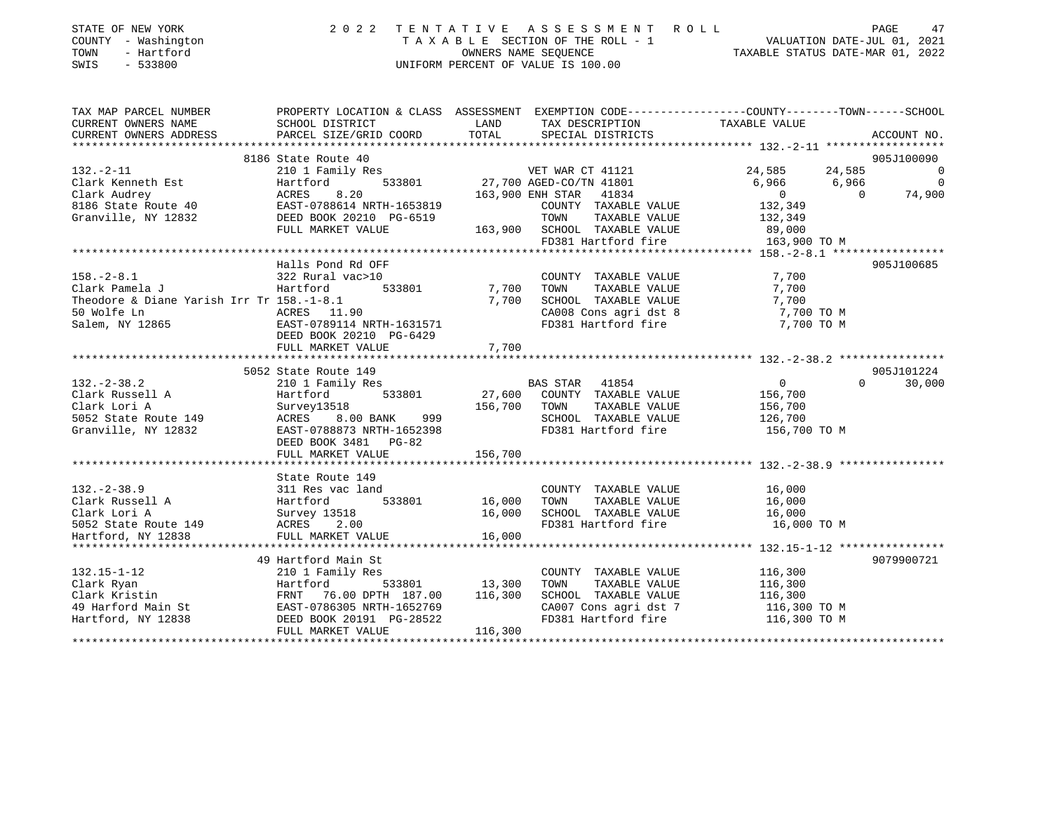| STATE OF NEW YORK   | 2022 TENTATIVE ASSESSMENT ROLL     | PAGE                             |
|---------------------|------------------------------------|----------------------------------|
| COUNTY - Washington | TAXABLE SECTION OF THE ROLL - 1    | VALUATION DATE-JUL 01, 2021      |
| - Hartford<br>TOWN  | OWNERS NAME SEOUENCE               | TAXABLE STATUS DATE-MAR 01, 2022 |
| $-533800$<br>SWIS   | UNIFORM PERCENT OF VALUE IS 100.00 |                                  |
|                     |                                    |                                  |

| TAX MAP PARCEL NUMBER                                                                                                              | PROPERTY LOCATION & CLASS ASSESSMENT EXEMPTION CODE---------------COUNTY-------TOWN-----SCHOOL |                                                                                         |                                                                                                  |                  |          |                          |
|------------------------------------------------------------------------------------------------------------------------------------|------------------------------------------------------------------------------------------------|-----------------------------------------------------------------------------------------|--------------------------------------------------------------------------------------------------|------------------|----------|--------------------------|
| CURRENT OWNERS NAME                                                                                                                | SCHOOL DISTRICT                                                                                | <b>EXAMPLE THE STATE OF STATE OF STATE OF STATE OF STATE OF STATE OF STATE OF STATE</b> | TAX DESCRIPTION                                                                                  | TAXABLE VALUE    |          |                          |
| CURRENT OWNERS ADDRESS                                                                                                             |                                                                                                |                                                                                         |                                                                                                  |                  |          |                          |
|                                                                                                                                    |                                                                                                |                                                                                         |                                                                                                  |                  |          |                          |
|                                                                                                                                    | 8186 State Route 40                                                                            |                                                                                         | s<br>VET WAR CT 41121<br>533801 27,700 AGED-CO/TN 41801                                          |                  |          | 905J100090               |
| $132. - 2 - 11$                                                                                                                    | 210 1 Family Res                                                                               |                                                                                         |                                                                                                  | 24, 585 24, 585  |          | $\overline{0}$           |
| Clark Kenneth Est                                                                                                                  | Hartford                                                                                       |                                                                                         |                                                                                                  | 6,966 6,966      |          | $\overline{\phantom{0}}$ |
| Clark Audrey<br>8186 State Route 40<br>Granville, NY 12832                                                                         | 8.20<br>ACRES                                                                                  |                                                                                         | 163,900 ENH STAR 41834                                                                           | $\overline{0}$   | $\cap$   | 74,900                   |
|                                                                                                                                    | EAST-0788614 NRTH-1653819                                                                      |                                                                                         | COUNTY TAXABLE VALUE<br>TOWN     TAXABLE VALUE                                                   | 132,349          |          |                          |
|                                                                                                                                    | DEED BOOK 20210 PG-6519<br>FIILI MADVER ::-                                                    |                                                                                         |                                                                                                  | 132,349          |          |                          |
|                                                                                                                                    | FULL MARKET VALUE                                                                              |                                                                                         | 163,900 SCHOOL TAXABLE VALUE 89,000                                                              |                  |          |                          |
|                                                                                                                                    |                                                                                                |                                                                                         | FD381 Hartford fire 163,900 TO M                                                                 |                  |          |                          |
|                                                                                                                                    |                                                                                                |                                                                                         |                                                                                                  |                  |          |                          |
|                                                                                                                                    | Halls Pond Rd OFF                                                                              |                                                                                         |                                                                                                  |                  |          | 905J100685               |
| $158. - 2 - 8.1$                                                                                                                   |                                                                                                |                                                                                         | COUNTY TAXABLE VALUE                                                                             | 7,700            |          |                          |
| Clark Pamela J                                                                                                                     | E LUIN ROUP!<br>322 Rural vac>10<br>Hartfr:                                                    |                                                                                         | TAXABLE VALUE<br>TOWN                                                                            | 7,700            |          |                          |
| Theodore & Diane Yarish Irr Tr 158.-1-8.1                                                                                          |                                                                                                | 7,700                                                                                   |                                                                                                  |                  |          |                          |
| 50 Wolfe Ln                                                                                                                        | ACRES 11.90                                                                                    |                                                                                         | SCHOOL TAXABLE VALUE 7,700<br>CA008 Cons agri dst 8 7,700 TO M<br>FD381 Hartford fire 7,700 TO M |                  |          |                          |
| Salem, NY 12865 EAST-0789114 NRTH-1631571                                                                                          |                                                                                                |                                                                                         |                                                                                                  |                  |          |                          |
|                                                                                                                                    | DEED BOOK 20210 PG-6429                                                                        |                                                                                         |                                                                                                  |                  |          |                          |
|                                                                                                                                    |                                                                                                |                                                                                         |                                                                                                  |                  |          |                          |
|                                                                                                                                    |                                                                                                |                                                                                         |                                                                                                  |                  |          |                          |
|                                                                                                                                    | 5052 State Route 149                                                                           |                                                                                         |                                                                                                  |                  |          | 905J101224               |
| $132. - 2 - 38.2$                                                                                                                  | 210 1 Family Res                                                                               |                                                                                         | <b>BAS STAR</b> 41854                                                                            | $\overline{0}$   | $\Omega$ | 30,000                   |
| Clark Russell A                                                                                                                    | Hartford                                                                                       |                                                                                         | 533801 27,600 COUNTY TAXABLE VALUE                                                               | 156,700          |          |                          |
| Clark Lori A                                                                                                                       | Survey13518                                                                                    | 156,700 TOWN                                                                            | TAXABLE VALUE                                                                                    | 156,700          |          |                          |
| 5052 State Route 149                                                                                                               | 999<br>ACRES 8.00 BANK                                                                         |                                                                                         | SCHOOL TAXABLE VALUE 126,700                                                                     |                  |          |                          |
| Granville, NY 12832                                                                                                                | EAST-0788873 NRTH-1652398                                                                      |                                                                                         | FD381 Hartford fire 156,700 TO M                                                                 |                  |          |                          |
|                                                                                                                                    | DEED BOOK 3481 PG-82                                                                           |                                                                                         |                                                                                                  |                  |          |                          |
|                                                                                                                                    | FULL MARKET VALUE                                                                              | 156,700                                                                                 |                                                                                                  |                  |          |                          |
|                                                                                                                                    |                                                                                                |                                                                                         |                                                                                                  |                  |          |                          |
|                                                                                                                                    | State Route 149                                                                                |                                                                                         |                                                                                                  |                  |          |                          |
|                                                                                                                                    | 311 Res vac land                                                                               |                                                                                         | COUNTY TAXABLE VALUE                                                                             |                  |          |                          |
|                                                                                                                                    | 533801 16,000                                                                                  |                                                                                         | TAXABLE VALUE<br>TOWN                                                                            | 16,000<br>16,000 |          |                          |
|                                                                                                                                    |                                                                                                | 16,000                                                                                  | SCHOOL TAXABLE VALUE 16,000                                                                      |                  |          |                          |
|                                                                                                                                    |                                                                                                |                                                                                         | FD381 Hartford fire 16,000 TO M                                                                  |                  |          |                          |
|                                                                                                                                    | FULL MARKET VALUE                                                                              | 16,000                                                                                  |                                                                                                  |                  |          |                          |
|                                                                                                                                    |                                                                                                |                                                                                         |                                                                                                  |                  |          |                          |
| A<br>Lark Lori A<br>Hartford<br>5052 State Route 149<br>Hartford, NY 12838<br>TULL MARKER<br>ACRES<br>2.00<br>TULL MARKER<br>ACRES | 49 Hartford Main St                                                                            |                                                                                         |                                                                                                  |                  |          | 9079900721               |
| $132.15 - 1 - 12$                                                                                                                  | 210 1 Family Res                                                                               |                                                                                         | COUNTY TAXABLE VALUE 116,300                                                                     |                  |          |                          |
|                                                                                                                                    |                                                                                                |                                                                                         | TOWN<br>TAXABLE VALUE                                                                            |                  |          |                          |
|                                                                                                                                    | Hartford 533801 13,300<br>FRNT 76.00 DPTH 187.00 116,300                                       |                                                                                         |                                                                                                  | 116,300          |          |                          |
|                                                                                                                                    |                                                                                                |                                                                                         | SCHOOL TAXABLE VALUE 116,300<br>CA007 Cons agri dst 7 116,300 TO M                               |                  |          |                          |
|                                                                                                                                    |                                                                                                |                                                                                         |                                                                                                  |                  |          |                          |
| Hartford, NY 12838                                                                                                                 | DEED BOOK 20191 PG-28522<br>FULL MARKET VALUE                                                  | 116,300                                                                                 | FD381 Hartford fire 116,300 TO M                                                                 |                  |          |                          |
|                                                                                                                                    |                                                                                                |                                                                                         |                                                                                                  |                  |          |                          |
|                                                                                                                                    |                                                                                                |                                                                                         |                                                                                                  |                  |          |                          |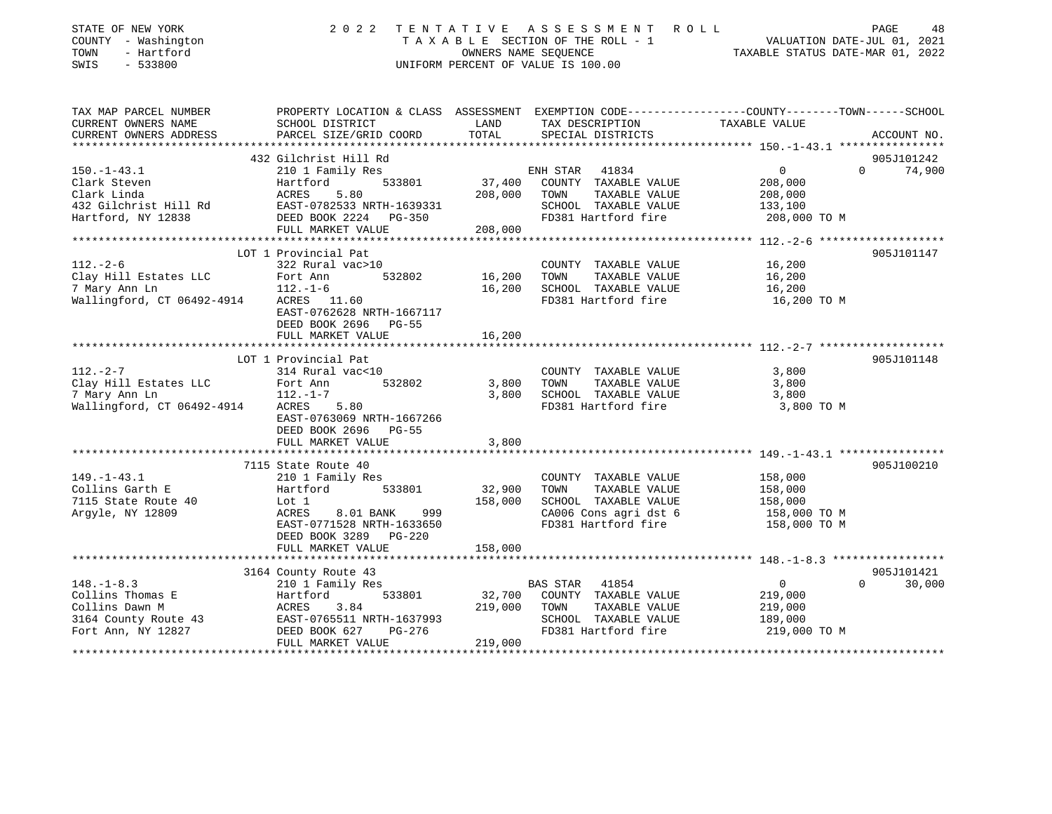| STATE OF NEW YORK<br>COUNTY - Washington<br>TOWN<br>- Hartford<br>$-533800$<br>SWIS | 2 0 2 2                                    |         | TENTATIVE ASSESSMENT ROLL<br>TAXABLE SECTION OF THE ROLL - 1<br>OWNERS NAME SEOUENCE<br>UNIFORM PERCENT OF VALUE IS 100.00 | PAGE 48<br>VALUATION DATE-JUL 01, 2021<br>TAXABLE STATIC DATE ::-                                                |
|-------------------------------------------------------------------------------------|--------------------------------------------|---------|----------------------------------------------------------------------------------------------------------------------------|------------------------------------------------------------------------------------------------------------------|
| TAX MAP PARCEL NUMBER<br>CURRENT OWNERS NAME                                        | SCHOOL DISTRICT                            | LAND    | TAX DESCRIPTION                                                                                                            | PROPERTY LOCATION & CLASS ASSESSMENT EXEMPTION CODE---------------COUNTY-------TOWN------SCHOOL<br>TAXABLE VALUE |
| CURRENT OWNERS ADDRESS                                                              | PARCEL SIZE/GRID COORD                     | TOTAL   | SPECIAL DISTRICTS                                                                                                          | ACCOUNT NO.                                                                                                      |
|                                                                                     | 432 Gilchrist Hill Rd                      |         |                                                                                                                            | 905J101242                                                                                                       |
| $150. - 1 - 43.1$                                                                   | 210 1 Family Res                           |         | ENH STAR 41834                                                                                                             | $\overline{0}$<br>$\Omega$<br>74,900                                                                             |
| Clark Steven                                                                        | Hartford<br>533801                         | 37,400  | COUNTY TAXABLE VALUE                                                                                                       | 208,000                                                                                                          |
| Clark Linda                                                                         | ACRES<br>5.80                              | 208,000 | TAXABLE VALUE<br>TOWN                                                                                                      | 208,000                                                                                                          |
| 432 Gilchrist Hill Rd                                                               | EAST-0782533 NRTH-1639331                  |         | SCHOOL TAXABLE VALUE                                                                                                       | 133,100                                                                                                          |
| Hartford, NY 12838                                                                  | DEED BOOK 2224 PG-350                      |         | FD381 Hartford fire                                                                                                        | 208,000 TO M                                                                                                     |
|                                                                                     | FULL MARKET VALUE                          | 208,000 |                                                                                                                            |                                                                                                                  |
|                                                                                     |                                            |         |                                                                                                                            |                                                                                                                  |
|                                                                                     | LOT 1 Provincial Pat                       |         |                                                                                                                            | 905J101147                                                                                                       |
| $112. - 2 - 6$                                                                      | 322 Rural vac>10                           |         | COUNTY TAXABLE VALUE                                                                                                       | 16,200                                                                                                           |
| Clay Hill Estates LLC                                                               | 532802<br>Fort Ann                         | 16,200  | TOWN<br>TAXABLE VALUE                                                                                                      | 16,200                                                                                                           |
| 7 Mary Ann Ln<br>Wallingford, CT 06492-4914                                         | $112.-1-6$<br>ACRES 11.60                  | 16,200  | SCHOOL TAXABLE VALUE<br>FD381 Hartford fire                                                                                | 16,200<br>16,200 TO M                                                                                            |
|                                                                                     | EAST-0762628 NRTH-1667117                  |         |                                                                                                                            |                                                                                                                  |
|                                                                                     | DEED BOOK 2696 PG-55                       |         |                                                                                                                            |                                                                                                                  |
|                                                                                     | FULL MARKET VALUE                          | 16,200  |                                                                                                                            |                                                                                                                  |
|                                                                                     |                                            |         |                                                                                                                            |                                                                                                                  |
|                                                                                     | LOT 1 Provincial Pat                       |         |                                                                                                                            | 905J101148                                                                                                       |
| $112. - 2 - 7$                                                                      | 314 Rural vac<10                           |         | COUNTY TAXABLE VALUE                                                                                                       | 3,800                                                                                                            |
| Clay Hill Estates LLC                                                               | Fort Ann<br>532802                         | 3,800   | TAXABLE VALUE<br>TOWN                                                                                                      | 3,800                                                                                                            |
| 7 Mary Ann Ln                                                                       | $112. - 1 - 7$                             | 3,800   | SCHOOL TAXABLE VALUE                                                                                                       | 3,800                                                                                                            |
| Wallingford, CT 06492-4914                                                          | ACRES<br>5.80<br>EAST-0763069 NRTH-1667266 |         | FD381 Hartford fire                                                                                                        | 3,800 TO M                                                                                                       |
|                                                                                     | DEED BOOK 2696 PG-55                       |         |                                                                                                                            |                                                                                                                  |
|                                                                                     | FULL MARKET VALUE                          | 3,800   |                                                                                                                            |                                                                                                                  |
|                                                                                     |                                            |         |                                                                                                                            |                                                                                                                  |
|                                                                                     | 7115 State Route 40                        |         |                                                                                                                            | 905J100210                                                                                                       |
| $149. - 1 - 43.1$                                                                   | 210 1 Family Res                           |         | COUNTY TAXABLE VALUE                                                                                                       | 158,000                                                                                                          |
| Collins Garth E                                                                     | Hartford<br>533801                         | 32,900  | TAXABLE VALUE<br>TOWN                                                                                                      | 158,000                                                                                                          |
| 7115 State Route 40                                                                 | Lot 1                                      | 158,000 | SCHOOL TAXABLE VALUE                                                                                                       | 158,000                                                                                                          |
| Argyle, NY 12809                                                                    | ACRES<br>8.01 BANK<br>999                  |         | CA006 Cons agri dst 6                                                                                                      | 158,000 TO M                                                                                                     |
|                                                                                     | EAST-0771528 NRTH-1633650                  |         | FD381 Hartford fire                                                                                                        | 158,000 TO M                                                                                                     |
|                                                                                     | DEED BOOK 3289 PG-220                      |         |                                                                                                                            |                                                                                                                  |
|                                                                                     | FULL MARKET VALUE                          | 158,000 |                                                                                                                            |                                                                                                                  |
|                                                                                     | 3164 County Route 43                       |         |                                                                                                                            | 905J101421                                                                                                       |
| $148. - 1 - 8.3$                                                                    | 210 1 Family Res                           |         | BAS STAR 41854                                                                                                             | $\Omega$<br>30,000<br>$\overline{0}$                                                                             |
| Collins Thomas E                                                                    | 533801<br>Hartford                         | 32,700  | COUNTY TAXABLE VALUE                                                                                                       | 219,000                                                                                                          |
| Collins Dawn M                                                                      | ACRES<br>3.84                              | 219,000 | TOWN<br>TAXABLE VALUE                                                                                                      | 219,000                                                                                                          |
| 3164 County Route 43                                                                | EAST-0765511 NRTH-1637993                  |         | SCHOOL TAXABLE VALUE                                                                                                       | 189,000                                                                                                          |
| Fort Ann, NY 12827                                                                  | DEED BOOK 627<br>PG-276                    |         | FD381 Hartford fire                                                                                                        | 219,000 TO M                                                                                                     |
|                                                                                     | FULL MARKET VALUE                          | 219,000 |                                                                                                                            |                                                                                                                  |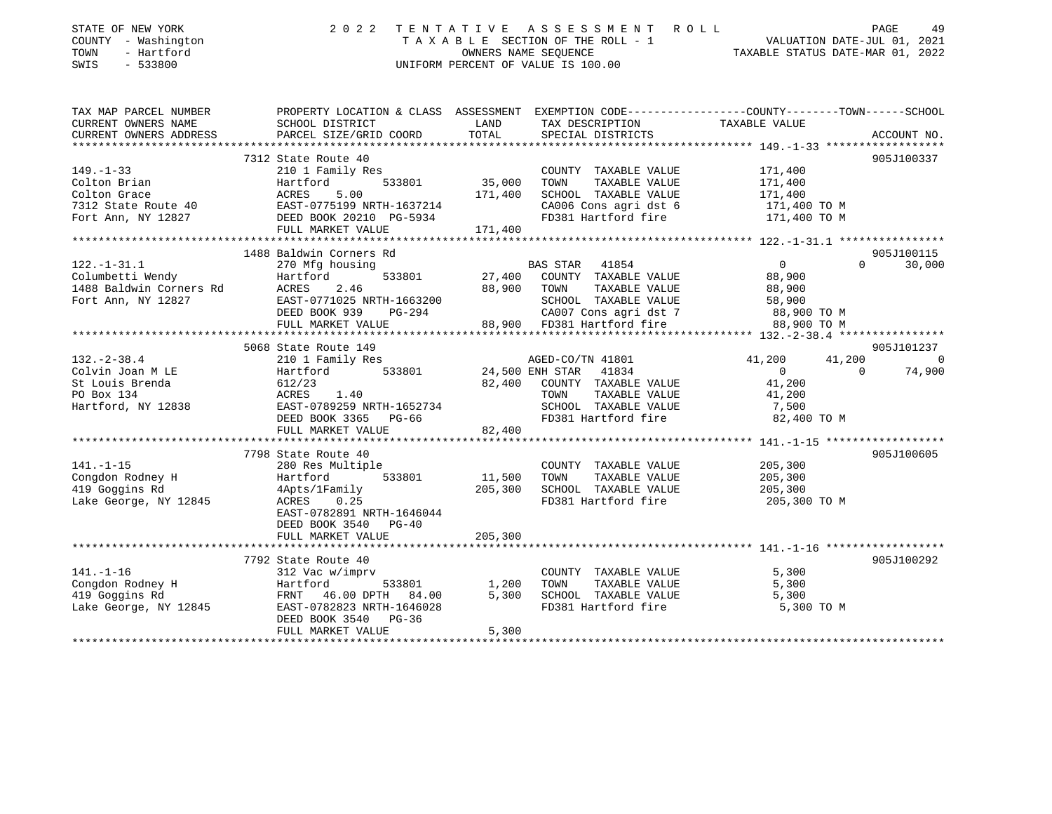| STATE OF NEW YORK<br>COUNTY - Washington<br>- Hartford<br>TOWN<br>SWIS<br>$-533800$          | 2 0 2 2<br>TENTATIVE<br>TAXABLE SECTION OF THE ROLL - 1<br>UNIFORM PERCENT OF VALUE IS 100.00                                                                                  | R O L L<br>PAGE<br>49<br>29 PAGE<br>VALUATION DATE-JUL 01, 2021<br>TAXABLE STATIIS DATE MARICALLE                                                                            |                                                                                                                                |  |
|----------------------------------------------------------------------------------------------|--------------------------------------------------------------------------------------------------------------------------------------------------------------------------------|------------------------------------------------------------------------------------------------------------------------------------------------------------------------------|--------------------------------------------------------------------------------------------------------------------------------|--|
| TAX MAP PARCEL NUMBER<br>CURRENT OWNERS NAME<br>CURRENT OWNERS ADDRESS                       | SCHOOL DISTRICT<br>PARCEL SIZE/GRID COORD                                                                                                                                      | PROPERTY LOCATION & CLASS ASSESSMENT EXEMPTION CODE---------------COUNTY-------TOWN-----SCHOOL<br>LAND<br>TAX DESCRIPTION<br>TOTAL<br>SPECIAL DISTRICTS                      | TAXABLE VALUE<br>ACCOUNT NO.                                                                                                   |  |
| $149. - 1 - 33$<br>Colton Brian<br>Colton Grace<br>7312 State Route 40<br>Fort Ann, NY 12827 | 7312 State Route 40<br>210 1 Family Res<br>533801<br>Hartford<br>ACRES<br>5.00<br>EAST-0775199 NRTH-1637214<br>DEED BOOK 20210 PG-5934<br>FULL MARKET VALUE                    | COUNTY TAXABLE VALUE<br>35,000<br>TAXABLE VALUE<br>TOWN<br>171,400<br>SCHOOL TAXABLE VALUE<br>CA006 Cons agri dst 6<br>FD381 Hartford fire<br>171,400                        | 905J100337<br>171,400<br>171,400<br>171,400<br>171,400 TO M<br>171,400 TO M                                                    |  |
| $122. - 1 - 31.1$<br>Columbetti Wendy<br>1488 Baldwin Corners Rd<br>Fort Ann, NY 12827       | 1488 Baldwin Corners Rd<br>270 Mfg housing<br>Hartford<br>533801<br>ACRES<br>2.46<br>EAST-0771025 NRTH-1663200<br>DEED BOOK 939<br>PG-294<br>FULL MARKET VALUE                 | <b>BAS STAR</b><br>41854<br>COUNTY TAXABLE VALUE<br>27,400<br>88,900<br>TOWN<br>TAXABLE VALUE<br>SCHOOL TAXABLE VALUE<br>CA007 Cons agri dst 7<br>88,900 FD381 Hartford fire | 905J100115<br>$\overline{0}$<br>30,000<br>$\Omega$<br>88,900<br>88,900<br>58,900<br>88,900 TO M<br>88,900 TO M                 |  |
| $132. - 2 - 38.4$<br>Colvin Joan M LE<br>St Louis Brenda<br>PO Box 134<br>Hartford, NY 12838 | 5068 State Route 149<br>210 1 Family Res<br>533801<br>Hartford<br>612/23<br>1.40<br>ACRES<br>EAST-0789259 NRTH-1652734<br>DEED BOOK 3365 PG-66<br>FULL MARKET VALUE            | AGED-CO/TN 41801<br>24,500 ENH STAR<br>41834<br>82,400<br>COUNTY TAXABLE VALUE<br>TAXABLE VALUE<br>TOWN<br>SCHOOL TAXABLE VALUE<br>FD381 Hartford fire<br>82,400             | 905J101237<br>41,200<br>41,200<br>$\overline{0}$<br>$\Omega$<br>$\Omega$<br>74,900<br>41,200<br>41,200<br>7,500<br>82,400 TO M |  |
| $141. - 1 - 15$<br>Congdon Rodney H<br>419 Goggins Rd<br>Lake George, NY 12845               | 7798 State Route 40<br>280 Res Multiple<br>Hartford<br>533801<br>4Apts/1Family<br>0.25<br>ACRES<br>EAST-0782891 NRTH-1646044<br>DEED BOOK 3540<br>$PG-40$<br>FULL MARKET VALUE | COUNTY TAXABLE VALUE<br>TAXABLE VALUE<br>11,500<br>TOWN<br>205,300<br>SCHOOL TAXABLE VALUE<br>FD381 Hartford fire<br>205,300                                                 | 905J100605<br>205,300<br>205,300<br>205,300<br>205,300 TO M                                                                    |  |
| $141. - 1 - 16$<br>Congdon Rodney H<br>419 Goggins Rd<br>Lake George, NY 12845               | 7792 State Route 40<br>312 Vac w/imprv<br>Hartford<br>533801<br>FRNT 46.00 DPTH 84.00<br>EAST-0782823 NRTH-1646028<br>DEED BOOK 3540<br>$PG-36$<br>FULL MARKET VALUE           | COUNTY TAXABLE VALUE<br>1,200<br>TAXABLE VALUE<br>TOWN<br>5,300<br>SCHOOL TAXABLE VALUE<br>FD381 Hartford fire<br>5,300                                                      | 905J100292<br>5,300<br>5,300<br>5,300<br>5,300 TO M                                                                            |  |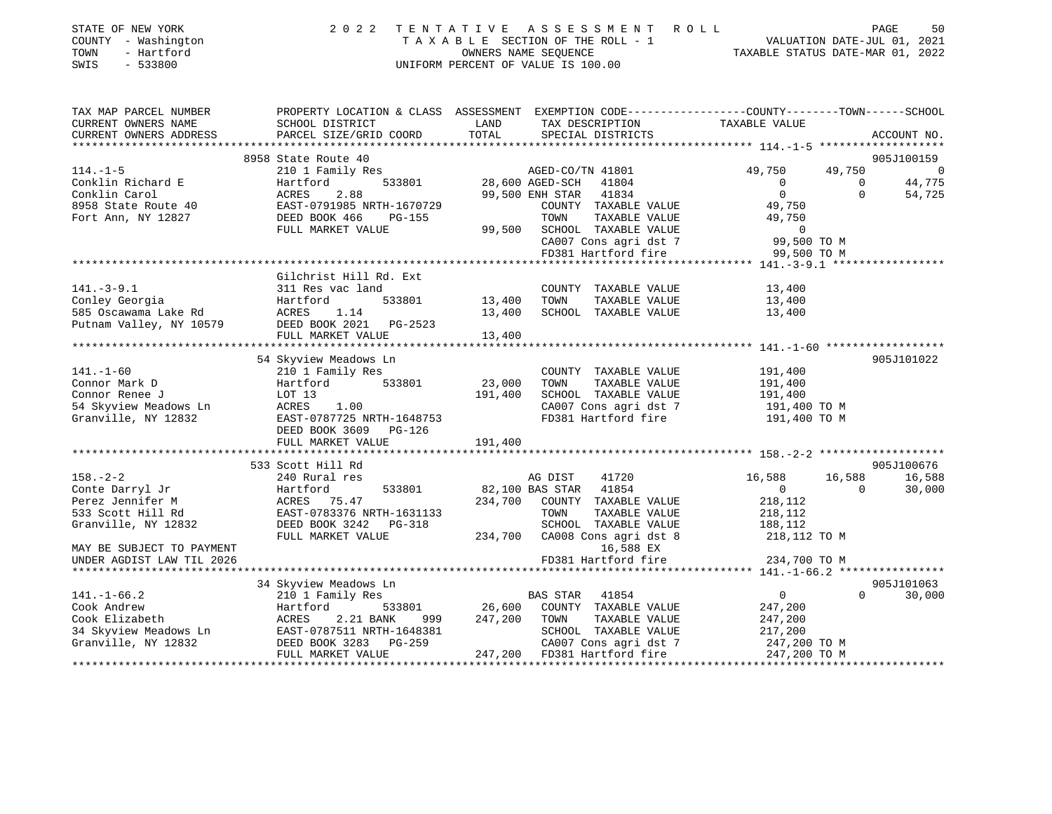| STATE OF NEW YORK<br>COUNTY - Washington<br>- Hartford<br>TOWN<br>SWIS<br>$-533800$ |                                                                                                                                                     |               | 2022 TENTATIVE ASSESSMENT ROLL<br>TAXABLE SECTION OF THE ROLL - 1<br>OWNERS NAME SEQUENCE<br>UNIFORM PERCENT OF VALUE IS 100.00 | VALUATION DATE-JUL 01, 2021<br>TAXABLE STATUS DATE-MAR 01, 2022 |                | 50<br>PAGE     |
|-------------------------------------------------------------------------------------|-----------------------------------------------------------------------------------------------------------------------------------------------------|---------------|---------------------------------------------------------------------------------------------------------------------------------|-----------------------------------------------------------------|----------------|----------------|
| TAX MAP PARCEL NUMBER<br>CURRENT OWNERS NAME<br>CURRENT OWNERS ADDRESS              | PROPERTY LOCATION & CLASS ASSESSMENT EXEMPTION CODE----------------COUNTY-------TOWN------SCHOOL<br>SCHOOL DISTRICT<br>PARCEL SIZE/GRID COORD TOTAL | LAND          | TAX DESCRIPTION TAXABLE VALUE<br>SPECIAL DISTRICTS                                                                              |                                                                 |                | ACCOUNT NO.    |
|                                                                                     | 8958 State Route 40                                                                                                                                 |               |                                                                                                                                 |                                                                 |                | 905J100159     |
| $114. -1 - 5$                                                                       | 210 1 Family Res                                                                                                                                    |               | AGED-CO/TN 41801                                                                                                                |                                                                 | 49,750 49,750  | $\overline{0}$ |
| Conklin Richard E                                                                   | Hartford                                                                                                                                            |               | 533801 28,600 AGED-SCH 41804                                                                                                    | $\overline{0}$                                                  | $\overline{0}$ | 44,775         |
| Conklin Carol                                                                       | ACRES 2.88 99,500 ENH STAR 41834                                                                                                                    |               |                                                                                                                                 |                                                                 |                | 54,725         |
| 8958 State Route 40                                                                 | EAST-0791985 NRTH-1670729                                                                                                                           |               | COUNTY TAXABLE VALUE                                                                                                            |                                                                 | 49,750         |                |
| Fort Ann, NY 12827                                                                  | DEED BOOK 466<br>$PG-155$                                                                                                                           |               | TOWN                                                                                                                            | TAXABLE VALUE                                                   | 49,750         |                |
|                                                                                     | FULL MARKET VALUE                                                                                                                                   |               | 99,500 SCHOOL TAXABLE VALUE                                                                                                     |                                                                 | $\overline{0}$ |                |
|                                                                                     |                                                                                                                                                     |               | CA007 Cons agri dst 7 99,500 TO M                                                                                               |                                                                 |                |                |
|                                                                                     |                                                                                                                                                     |               | FD381 Hartford fire 99,500 TO M                                                                                                 |                                                                 |                |                |
|                                                                                     |                                                                                                                                                     |               |                                                                                                                                 |                                                                 |                |                |
|                                                                                     | Gilchrist Hill Rd. Ext                                                                                                                              |               |                                                                                                                                 |                                                                 |                |                |
| $141. - 3 - 9.1$                                                                    | 311 Res vac land                                                                                                                                    |               | COUNTY TAXABLE VALUE 13,400                                                                                                     |                                                                 |                |                |
| Conley Georgia                                                                      | Hartford                                                                                                                                            | 533801 13,400 | TOWN<br>TAXABLE VALUE                                                                                                           | 13,400                                                          |                |                |
| 585 Oscawama Lake Rd                                                                | ACRES 1.14                                                                                                                                          |               | TAXABLE VALUE<br>13,400 SCHOOL                                                                                                  | 13,400                                                          |                |                |
| Putnam Valley, NY 10579                                                             | DEED BOOK 2021 PG-2523                                                                                                                              |               |                                                                                                                                 |                                                                 |                |                |
|                                                                                     | FULL MARKET VALUE                                                                                                                                   | 13,400        |                                                                                                                                 |                                                                 |                |                |
|                                                                                     |                                                                                                                                                     |               |                                                                                                                                 |                                                                 |                |                |

| $141. - 1 - 60$<br>Connor Mark D<br>Connor Renee J<br>54 Skyview Meadows Ln<br>Granville, NY 12832                                                          | 54 Skyview Meadows Ln<br>210 1 Family Res<br>533801 23,000<br>Hartford<br>LOT 13<br>ACRES<br>1.00<br>EAST-0787725 NRTH-1648753<br>DEED BOOK 3609 PG-126<br>FULL MARKET VALUE | COUNTY TAXABLE VALUE<br>TOWN<br>TAXABLE VALUE<br>191,400<br>SCHOOL TAXABLE VALUE<br>CA007 Cons agri dst 7<br>FD381 Hartford fire<br>191,400                                                                     | 905J101022<br>191,400<br>191,400<br>191,400<br>191,400 TO M<br>191,400 TO M                                                              |
|-------------------------------------------------------------------------------------------------------------------------------------------------------------|------------------------------------------------------------------------------------------------------------------------------------------------------------------------------|-----------------------------------------------------------------------------------------------------------------------------------------------------------------------------------------------------------------|------------------------------------------------------------------------------------------------------------------------------------------|
|                                                                                                                                                             |                                                                                                                                                                              |                                                                                                                                                                                                                 |                                                                                                                                          |
| $158. - 2 - 2$<br>Conte Darryl Jr<br>Perez Jennifer M<br>533 Scott Hill Rd<br>Granville, NY 12832<br>MAY BE SUBJECT TO PAYMENT<br>UNDER AGDIST LAW TIL 2026 | 533 Scott Hill Rd<br>240 Rural res<br>Hartford<br>ACRES 75.47<br>EAST-0783376 NRTH-1631133<br>DEED BOOK 3242 PG-318<br>FULL MARKET VALUE                                     | AG DIST 41720<br>533801 82,100 BAS STAR<br>41854<br>234,700 COUNTY<br>TAXABLE VALUE<br>TOWN<br>TAXABLE VALUE<br>TAXABLE VALUE<br>SCHOOL<br>234,700<br>CA008 Cons agri dst 8<br>16,588 EX<br>FD381 Hartford fire | 905J100676<br>16,588 16,588<br>16,588<br>30,000<br>$\Omega$<br>$\Omega$<br>218,112<br>218,112<br>188,112<br>218,112 TO M<br>234,700 TO M |
|                                                                                                                                                             |                                                                                                                                                                              |                                                                                                                                                                                                                 |                                                                                                                                          |
|                                                                                                                                                             | 34 Skyview Meadows Ln                                                                                                                                                        |                                                                                                                                                                                                                 | 905J101063                                                                                                                               |
| $141. - 1 - 66.2$<br>Cook Andrew<br>Cook Elizabeth<br>Granville, NY 12832                                                                                   | 210 1 Family Res<br>Hartford<br>ACRES 2.21 BANK 999<br>34 Skyview Meadows Ln BAST-0787511 NRTH-1648381<br>DEED BOOK 3283 PG-259<br>FULL MARKET VALUE                         | BAS STAR 41854<br>533801 26,600 COUNTY<br>TAXABLE VALUE<br>247,200<br>TOWN<br>TAXABLE VALUE<br>TAXABLE VALUE<br>SCHOOL<br>CA007 Cons agri dst 7<br>247,200<br>FD381 Hartford fire                               | $\Omega$<br>$\Omega$<br>30,000<br>247,200<br>247,200<br>217,200<br>247,200 TO M<br>247,200 TO M                                          |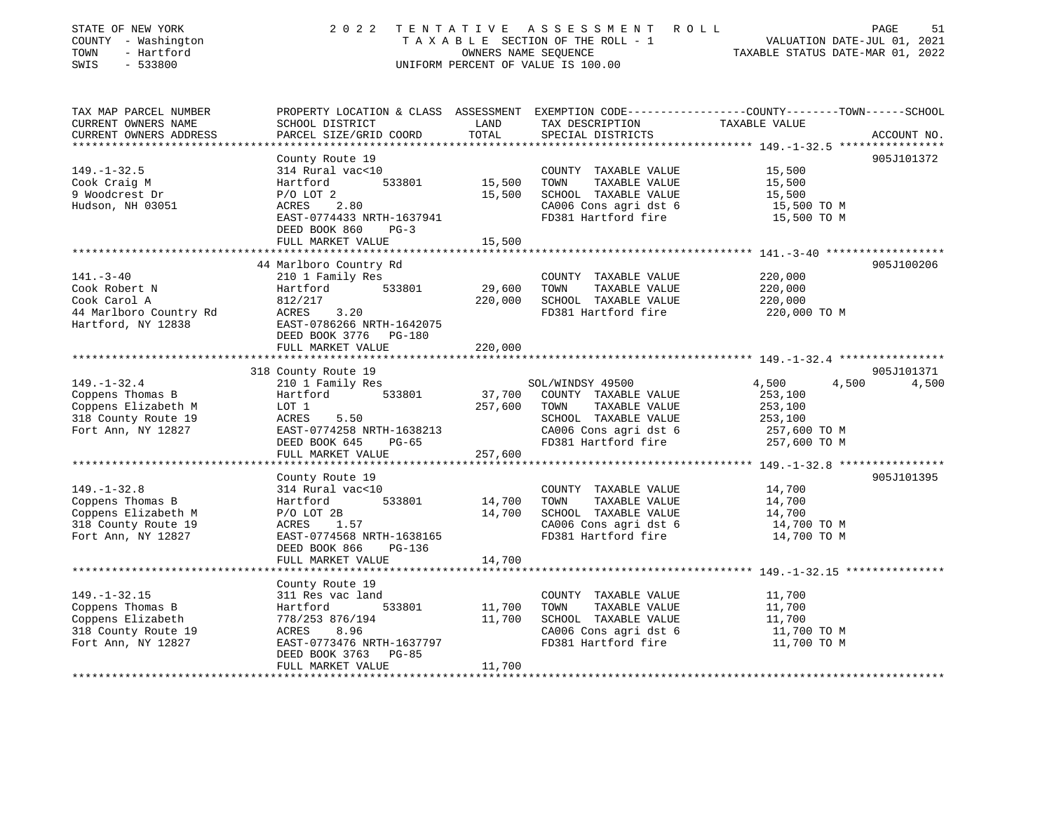| STATE OF NEW YORK<br>COUNTY - Washington<br>TOWN<br>- Hartford<br>SWIS<br>$-533800$                       | 2 0 2 2                                                                                                                                                             | TENTATIVE                  | ASSESSMENT ROLL<br>UNIFORM PERCENT OF VALUE IS 100.00                                                                 | PAGE<br>51<br>TAXABLE SECTION OF THE ROLL - 1<br>TAXABLE SECTION OF THE ROLL - 1<br>OWNERS NAME SEQUENCE<br>TAXABLE STATUS DATE-MAR 01, 2022                                          |
|-----------------------------------------------------------------------------------------------------------|---------------------------------------------------------------------------------------------------------------------------------------------------------------------|----------------------------|-----------------------------------------------------------------------------------------------------------------------|---------------------------------------------------------------------------------------------------------------------------------------------------------------------------------------|
| TAX MAP PARCEL NUMBER<br>CURRENT OWNERS NAME<br>CURRENT OWNERS ADDRESS<br>**********************          | SCHOOL DISTRICT<br>PARCEL SIZE/GRID COORD                                                                                                                           | LAND<br>TOTAL              | TAX DESCRIPTION<br>SPECIAL DISTRICTS                                                                                  | PROPERTY LOCATION & CLASS ASSESSMENT EXEMPTION CODE---------------COUNTY-------TOWN-----SCHOOL<br>TAXABLE VALUE<br>ACCOUNT NO.<br>********************* 149.-1-32.5 ***************** |
| $149. - 1 - 32.5$<br>Cook Craig M<br>9 Woodcrest Dr<br>Hudson, NH 03051                                   | County Route 19<br>314 Rural vac<10<br>533801<br>Hartford<br>$P/O$ LOT 2<br>ACRES 2.80<br>EAST-0774433 NRTH-1637941<br>DEED BOOK 860<br>$PG-3$<br>FULL MARKET VALUE | 15,500<br>15,500<br>15,500 | COUNTY TAXABLE VALUE<br>TOWN<br>TAXABLE VALUE<br>SCHOOL TAXABLE VALUE<br>CA006 Cons agri dst 6<br>FD381 Hartford fire | 905J101372<br>15,500<br>15,500<br>15,500<br>15,500 TO M<br>15,500 TO M                                                                                                                |
|                                                                                                           |                                                                                                                                                                     |                            |                                                                                                                       |                                                                                                                                                                                       |
| $141. - 3 - 40$<br>Cook Robert N<br>Cook Carol A<br>44 Marlboro Country Rd<br>Hartford, NY 12838          | 44 Marlboro Country Rd<br>210 1 Family Res<br>533801<br>Hartford<br>812/217<br>ACRES<br>3.20<br>EAST-0786266 NRTH-1642075<br>DEED BOOK 3776 PG-180                  | 29,600<br>220,000          | COUNTY TAXABLE VALUE<br>TOWN<br>TAXABLE VALUE<br>SCHOOL TAXABLE VALUE<br>FD381 Hartford fire                          | 905J100206<br>220,000<br>220,000<br>220,000<br>220,000 TO M                                                                                                                           |
|                                                                                                           | FULL MARKET VALUE                                                                                                                                                   | 220,000                    |                                                                                                                       |                                                                                                                                                                                       |
|                                                                                                           |                                                                                                                                                                     |                            |                                                                                                                       |                                                                                                                                                                                       |
|                                                                                                           | 318 County Route 19                                                                                                                                                 |                            |                                                                                                                       | 905J101371                                                                                                                                                                            |
| $149. - 1 - 32.4$                                                                                         | 210 1 Family Res                                                                                                                                                    |                            | SOL/WINDSY 49500                                                                                                      | 4,500<br>4,500<br>4,500                                                                                                                                                               |
| Coppens Thomas B<br>Coppens Elizabeth M<br>318 County Route 19<br>Fort Ann, NY 12827                      | 533801<br>Hartford<br>LOT 1<br>5.50<br>ACRES<br>EAST-0774258 NRTH-1638213<br>DEED BOOK 645<br>PG-65                                                                 | 37,700<br>257,600          | COUNTY TAXABLE VALUE<br>TAXABLE VALUE<br>TOWN<br>SCHOOL TAXABLE VALUE<br>CA006 Cons agri dst 6<br>FD381 Hartford fire | 253,100<br>253,100<br>253,100<br>257,600 TO M<br>257,600 TO M                                                                                                                         |
|                                                                                                           | FULL MARKET VALUE                                                                                                                                                   | 257,600                    |                                                                                                                       |                                                                                                                                                                                       |
|                                                                                                           | *********************<br>County Route 19                                                                                                                            |                            |                                                                                                                       | 905J101395                                                                                                                                                                            |
| $149. - 1 - 32.8$<br>Coppens Thomas B<br>Coppens Elizabeth M<br>318 County Route 19<br>Fort Ann, NY 12827 | 314 Rural vac<10<br>533801<br>Hartford<br>$P/O$ LOT $2B$<br>ACRES 1.57<br>EAST-0774568 NRTH-1638165<br>DEED BOOK 866<br>PG-136                                      | 14,700<br>14,700           | COUNTY TAXABLE VALUE<br>TOWN<br>TAXABLE VALUE<br>SCHOOL TAXABLE VALUE<br>CA006 Cons agri dst 6<br>FD381 Hartford fire | 14,700<br>14,700<br>14,700<br>14,700 TO M<br>14,700 TO M                                                                                                                              |
|                                                                                                           | FULL MARKET VALUE                                                                                                                                                   | 14,700                     |                                                                                                                       |                                                                                                                                                                                       |
|                                                                                                           |                                                                                                                                                                     |                            |                                                                                                                       |                                                                                                                                                                                       |
| $149. - 1 - 32.15$<br>Coppens Thomas B<br>Coppens Elizabeth<br>318 County Route 19<br>Fort Ann, NY 12827  | County Route 19<br>311 Res vac land<br>533801<br>Hartford<br>778/253 876/194<br>8.96<br>ACRES<br>EAST-0773476 NRTH-1637797<br>DEED BOOK 3763 PG-85                  | 11,700<br>11,700           | COUNTY TAXABLE VALUE<br>TOWN<br>TAXABLE VALUE<br>SCHOOL TAXABLE VALUE<br>CA006 Cons agri dst 6<br>FD381 Hartford fire | 11,700<br>11,700<br>11,700<br>11,700 TO M<br>11,700 TO M                                                                                                                              |
|                                                                                                           | FULL MARKET VALUE                                                                                                                                                   | 11,700                     |                                                                                                                       |                                                                                                                                                                                       |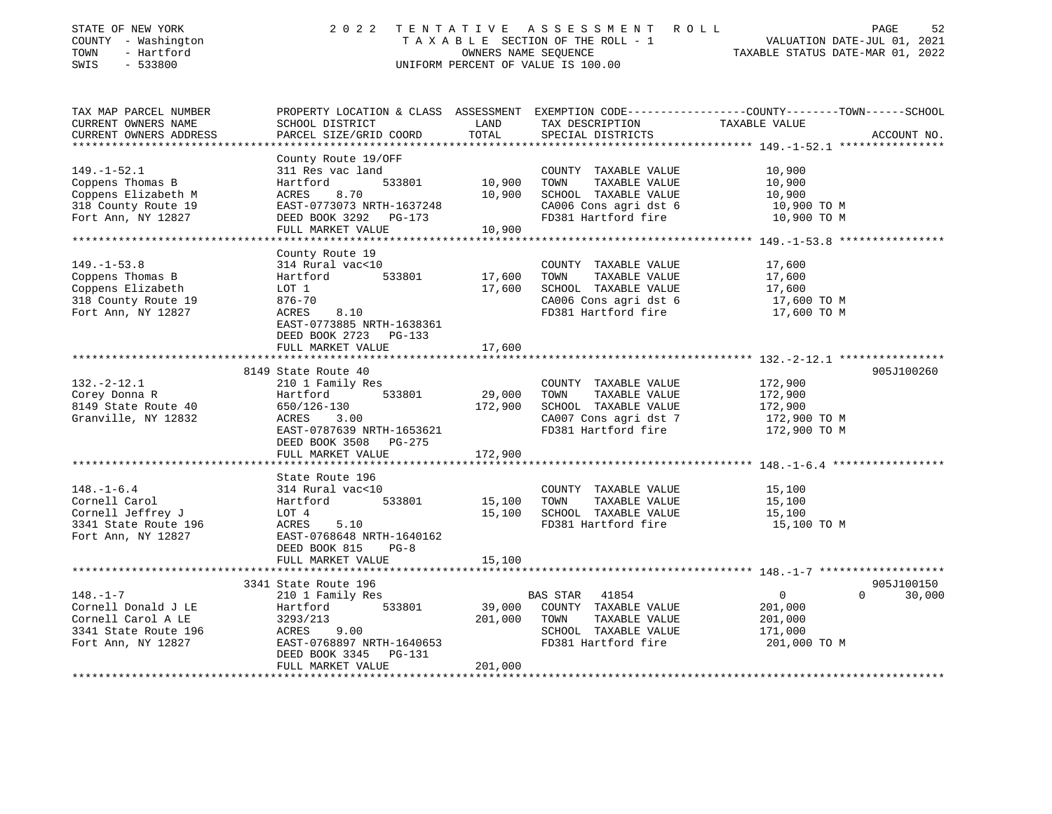| STATE OF NEW YORK<br>COUNTY - Washington<br>TOWN<br>- Hartford<br>SWIS<br>$-533800$                       |                                                                                                                                                                       | OWNERS NAME SEQUENCE         | 2022 TENTATIVE ASSESSMENT ROLL<br>TAXABLE SECTION OF THE ROLL - 1<br>UNIFORM PERCENT OF VALUE IS 100.00                                 | VALUATION DATE-JUL 01, 2021<br>TAXABLE STATUS DATE-MAR 01, 2022             | PAGE<br>52           |
|-----------------------------------------------------------------------------------------------------------|-----------------------------------------------------------------------------------------------------------------------------------------------------------------------|------------------------------|-----------------------------------------------------------------------------------------------------------------------------------------|-----------------------------------------------------------------------------|----------------------|
| TAX MAP PARCEL NUMBER<br>CURRENT OWNERS NAME<br>CURRENT OWNERS ADDRESS                                    | SCHOOL DISTRICT<br>PARCEL SIZE/GRID COORD                                                                                                                             | LAND<br>TOTAL                | PROPERTY LOCATION & CLASS ASSESSMENT EXEMPTION CODE----------------COUNTY-------TOWN-----SCHOOL<br>TAX DESCRIPTION<br>SPECIAL DISTRICTS | TAXABLE VALUE                                                               | ACCOUNT NO.          |
| $149. - 1 - 52.1$<br>Coppens Thomas B<br>Coppens Elizabeth M<br>318 County Route 19<br>Fort Ann, NY 12827 | County Route 19/OFF<br>311 Res vac land<br>533801<br>Hartford<br>ACRES<br>8.70<br>EAST-0773073 NRTH-1637248<br>DEED BOOK 3292 PG-173<br>FULL MARKET VALUE             | 10,900<br>10,900<br>10,900   | COUNTY TAXABLE VALUE<br>TOWN<br>TAXABLE VALUE<br>SCHOOL TAXABLE VALUE<br>CA006 Cons agri dst 6<br>FD381 Hartford fire                   | 10,900<br>10,900<br>10,900<br>10,900 TO M<br>10,900 TO M                    |                      |
| $149. - 1 - 53.8$<br>Coppens Thomas B<br>Coppens Elizabeth<br>318 County Route 19<br>Fort Ann, NY 12827   | County Route 19<br>314 Rural vac<10<br>533801<br>Hartford<br>LOT 1<br>876-70<br>ACRES<br>8.10<br>EAST-0773885 NRTH-1638361<br>DEED BOOK 2723 PG-133                   | 17,600<br>17,600             | COUNTY TAXABLE VALUE<br>TAXABLE VALUE<br>TOWN<br>SCHOOL TAXABLE VALUE<br>CA006 Cons agri dst 6<br>FD381 Hartford fire                   | 17,600<br>17,600<br>17,600<br>17,600 TO M<br>17,600 TO M                    |                      |
|                                                                                                           | FULL MARKET VALUE                                                                                                                                                     | 17,600                       |                                                                                                                                         |                                                                             |                      |
| $132 - 2 - 12.1$<br>Corey Donna R<br>8149 State Route 40<br>Granville, NY 12832                           | 8149 State Route 40<br>210 1 Family Res<br>533801<br>Hartford<br>650/126-130<br>ACRES 3.00<br>EAST-0787639 NRTH-1653621<br>DEED BOOK 3508 PG-275<br>FULL MARKET VALUE | 29,000<br>172,900<br>172,900 | COUNTY TAXABLE VALUE<br>TAXABLE VALUE<br>TOWN<br>SCHOOL TAXABLE VALUE<br>CA007 Cons agri dst 7<br>FD381 Hartford fire                   | 172,900<br>172,900<br>172,900<br>172,900 TO M<br>172,900 TO M               | 905J100260           |
|                                                                                                           | State Route 196                                                                                                                                                       |                              |                                                                                                                                         |                                                                             |                      |
| $148. - 1 - 6.4$<br>Cornell Carol<br>Cornell Jeffrey J<br>3341 State Route 196<br>Fort Ann, NY 12827      | 314 Rural vac<10<br>533801<br>Hartford<br>LOT 4<br>ACRES<br>5.10<br>EAST-0768648 NRTH-1640162<br>DEED BOOK 815<br>$PG-8$                                              | 15,100<br>15,100             | COUNTY TAXABLE VALUE<br>TOWN<br>TAXABLE VALUE<br>SCHOOL TAXABLE VALUE<br>FD381 Hartford fire                                            | 15,100<br>15,100<br>15,100<br>15,100 TO M                                   |                      |
|                                                                                                           | FULL MARKET VALUE                                                                                                                                                     | 15,100<br>* * * * * * * * *  |                                                                                                                                         |                                                                             |                      |
| $148. - 1 - 7$<br>Cornell Donald J LE<br>Cornell Carol A LE<br>3341 State Route 196<br>Fort Ann, NY 12827 | 3341 State Route 196<br>210 1 Family Res<br>533801<br>Hartford<br>3293/213<br>ACRES 9.00<br>EAST-0768897 NRTH-1640653<br>DEED BOOK 3345 PG-131<br>FULL MARKET VALUE   | 39,000<br>201,000<br>201,000 | BAS STAR<br>41854<br>COUNTY TAXABLE VALUE<br>TOWN<br>TAXABLE VALUE<br>SCHOOL TAXABLE VALUE<br>FD381 Hartford fire                       | $\overline{0}$<br>$\Omega$<br>201,000<br>201,000<br>171,000<br>201,000 TO M | 905J100150<br>30,000 |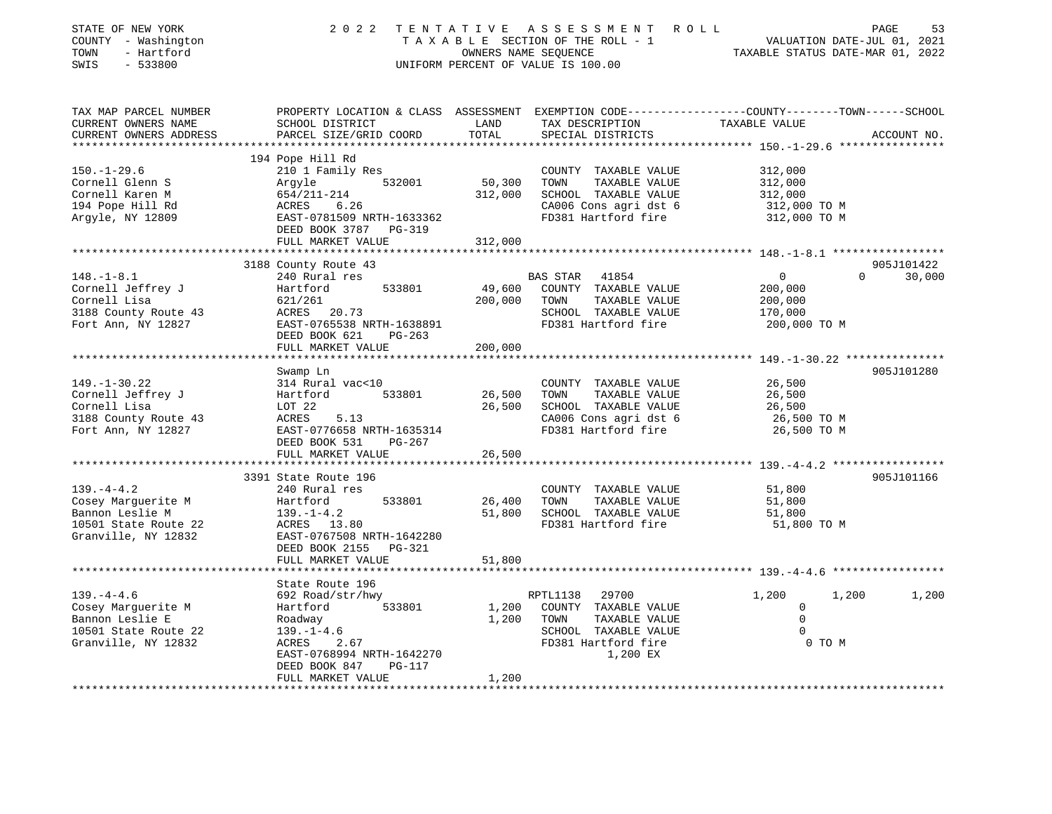| STATE OF NEW YORK<br>COUNTY - Washington<br>TOWN<br>- Hartford<br>SWIS<br>$-533800$ | 2 0 2 2                                                                                                                                      | TENTATIVE     | A S S E S S M E N T<br>TAXABLE SECTION OF THE ROLL - 1<br>OWNERS NAME SEQUENCE<br>UNIFORM PERCENT OF VALUE IS 100.00 | ROLL<br>VALUATION DATE-JUL 01, 2021<br>TAXABLE STATUS DATE-MAR 01, 2022 | PAGE<br>53         |
|-------------------------------------------------------------------------------------|----------------------------------------------------------------------------------------------------------------------------------------------|---------------|----------------------------------------------------------------------------------------------------------------------|-------------------------------------------------------------------------|--------------------|
| TAX MAP PARCEL NUMBER<br>CURRENT OWNERS NAME<br>CURRENT OWNERS ADDRESS              | PROPERTY LOCATION & CLASS ASSESSMENT EXEMPTION CODE----------------COUNTY-------TOWN-----SCHOOL<br>SCHOOL DISTRICT<br>PARCEL SIZE/GRID COORD | LAND<br>TOTAL | TAX DESCRIPTION<br>SPECIAL DISTRICTS                                                                                 | TAXABLE VALUE                                                           | ACCOUNT NO.        |
| **********************                                                              |                                                                                                                                              |               |                                                                                                                      | ********************************* 150.-1-29.6 ****************          |                    |
|                                                                                     | 194 Pope Hill Rd                                                                                                                             |               |                                                                                                                      |                                                                         |                    |
| $150. - 1 - 29.6$                                                                   | 210 1 Family Res                                                                                                                             |               | COUNTY TAXABLE VALUE                                                                                                 | 312,000                                                                 |                    |
| Cornell Glenn S                                                                     | 532001<br>Argyle                                                                                                                             | 50,300        | TOWN<br>TAXABLE VALUE                                                                                                | 312,000                                                                 |                    |
| Cornell Karen M                                                                     | 654/211-214                                                                                                                                  | 312,000       | SCHOOL TAXABLE VALUE                                                                                                 | 312,000                                                                 |                    |
| 194 Pope Hill Rd                                                                    | 6.26<br>ACRES                                                                                                                                |               | CA006 Cons agri dst 6                                                                                                | 312,000 TO M                                                            |                    |
| Argyle, NY 12809                                                                    | EAST-0781509 NRTH-1633362                                                                                                                    |               | FD381 Hartford fire                                                                                                  | 312,000 TO M                                                            |                    |
|                                                                                     | DEED BOOK 3787<br>PG-319                                                                                                                     |               |                                                                                                                      |                                                                         |                    |
|                                                                                     | FULL MARKET VALUE                                                                                                                            | 312,000       |                                                                                                                      |                                                                         |                    |
|                                                                                     | 3188 County Route 43                                                                                                                         |               |                                                                                                                      |                                                                         | 905J101422         |
| $148. - 1 - 8.1$                                                                    | 240 Rural res                                                                                                                                |               | <b>BAS STAR</b><br>41854                                                                                             | $\circ$                                                                 | 30,000<br>$\Omega$ |
| Cornell Jeffrey J                                                                   | Hartford<br>533801                                                                                                                           | 49,600        | COUNTY TAXABLE VALUE                                                                                                 | 200,000                                                                 |                    |
| Cornell Lisa                                                                        | 621/261                                                                                                                                      | 200,000       | TOWN<br>TAXABLE VALUE                                                                                                | 200,000                                                                 |                    |
| 3188 County Route 43                                                                | ACRES<br>20.73                                                                                                                               |               | SCHOOL TAXABLE VALUE                                                                                                 | 170,000                                                                 |                    |
| Fort Ann, NY 12827                                                                  | EAST-0765538 NRTH-1638891                                                                                                                    |               | FD381 Hartford fire                                                                                                  | 200,000 TO M                                                            |                    |
|                                                                                     | DEED BOOK 621<br>$PG-263$                                                                                                                    |               |                                                                                                                      |                                                                         |                    |
|                                                                                     | FULL MARKET VALUE                                                                                                                            | 200,000       |                                                                                                                      |                                                                         |                    |
|                                                                                     |                                                                                                                                              |               |                                                                                                                      | ***************** 149.-1-30.22 ****************                         |                    |
|                                                                                     | Swamp Ln                                                                                                                                     |               |                                                                                                                      |                                                                         | 905J101280         |
| $149. - 1 - 30.22$                                                                  | 314 Rural vac<10                                                                                                                             |               | COUNTY TAXABLE VALUE                                                                                                 | 26,500                                                                  |                    |
| Cornell Jeffrey J                                                                   | Hartford<br>533801                                                                                                                           | 26,500        | TOWN<br>TAXABLE VALUE                                                                                                | 26,500                                                                  |                    |
| Cornell Lisa                                                                        | LOT 22                                                                                                                                       | 26,500        | SCHOOL TAXABLE VALUE                                                                                                 | 26,500                                                                  |                    |
| 3188 County Route 43                                                                | ACRES<br>5.13                                                                                                                                |               | CA006 Cons agri dst 6                                                                                                | 26,500 TO M                                                             |                    |
| Fort Ann, NY 12827                                                                  | EAST-0776658 NRTH-1635314                                                                                                                    |               | FD381 Hartford fire                                                                                                  | 26,500 TO M                                                             |                    |
|                                                                                     | DEED BOOK 531<br>PG-267                                                                                                                      |               |                                                                                                                      |                                                                         |                    |
|                                                                                     | FULL MARKET VALUE                                                                                                                            | 26,500        |                                                                                                                      |                                                                         |                    |
|                                                                                     | ****************************                                                                                                                 |               |                                                                                                                      |                                                                         |                    |
|                                                                                     | 3391 State Route 196                                                                                                                         |               |                                                                                                                      |                                                                         | 905J101166         |
| $139. -4 - 4.2$                                                                     | 240 Rural res                                                                                                                                |               | COUNTY TAXABLE VALUE                                                                                                 | 51,800                                                                  |                    |
| Cosey Marquerite M                                                                  | 533801<br>Hartford                                                                                                                           | 26,400        | TOWN<br>TAXABLE VALUE                                                                                                | 51,800                                                                  |                    |
| Bannon Leslie M                                                                     | $139. - 1 - 4.2$                                                                                                                             | 51,800        | SCHOOL TAXABLE VALUE                                                                                                 | 51,800                                                                  |                    |
| 10501 State Route 22                                                                | ACRES 13.80                                                                                                                                  |               | FD381 Hartford fire                                                                                                  | 51,800 TO M                                                             |                    |
| Granville, NY 12832                                                                 | EAST-0767508 NRTH-1642280<br>DEED BOOK 2155                                                                                                  |               |                                                                                                                      |                                                                         |                    |
|                                                                                     | PG-321<br>FULL MARKET VALUE                                                                                                                  | 51,800        |                                                                                                                      |                                                                         |                    |
|                                                                                     |                                                                                                                                              |               |                                                                                                                      |                                                                         |                    |
|                                                                                     | State Route 196                                                                                                                              |               |                                                                                                                      |                                                                         |                    |
| $139. -4 - 4.6$                                                                     | 692 Road/str/hwy                                                                                                                             |               | RPTL1138<br>29700                                                                                                    | 1,200<br>1,200                                                          | 1,200              |
| Cosey Marguerite M                                                                  | Hartford<br>533801                                                                                                                           | 1,200         | COUNTY TAXABLE VALUE                                                                                                 | $\mathbf 0$                                                             |                    |
| Bannon Leslie E                                                                     | Roadway                                                                                                                                      | 1,200         | TOWN<br>TAXABLE VALUE                                                                                                | $\Omega$                                                                |                    |
| 10501 State Route 22                                                                | $139. - 1 - 4.6$                                                                                                                             |               | SCHOOL TAXABLE VALUE                                                                                                 | $\Omega$                                                                |                    |
| Granville, NY 12832                                                                 | ACRES<br>2.67                                                                                                                                |               | FD381 Hartford fire                                                                                                  | 0 TO M                                                                  |                    |
|                                                                                     | EAST-0768994 NRTH-1642270                                                                                                                    |               | 1,200 EX                                                                                                             |                                                                         |                    |
|                                                                                     | DEED BOOK 847<br>$PG-117$                                                                                                                    |               |                                                                                                                      |                                                                         |                    |
|                                                                                     | FULL MARKET VALUE                                                                                                                            | 1,200         |                                                                                                                      |                                                                         |                    |
| *********************                                                               |                                                                                                                                              |               |                                                                                                                      |                                                                         |                    |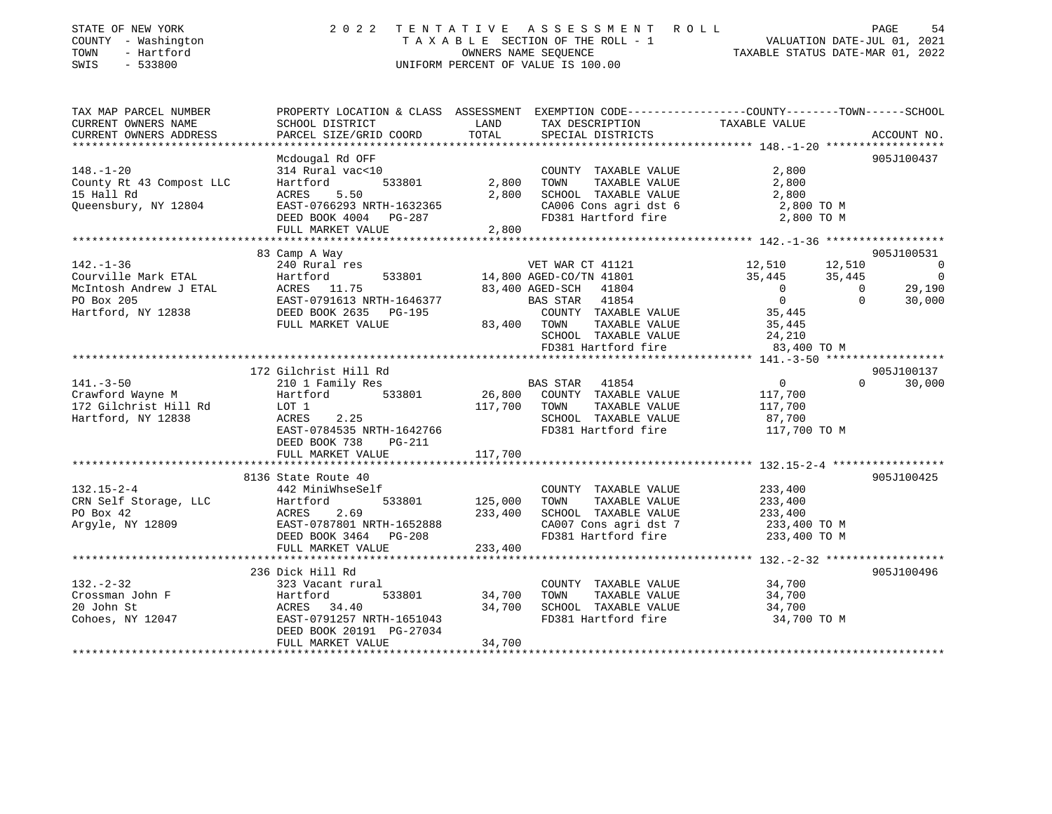| PROPERTY LOCATION & CLASS ASSESSMENT EXEMPTION CODE---------------COUNTY-------TOWN------SCHOOL<br>CURRENT OWNERS NAME<br>SCHOOL DISTRICT<br>LAND<br>TAX DESCRIPTION<br>TAXABLE VALUE<br>TOTAL<br>PARCEL SIZE/GRID COORD<br>CURRENT OWNERS ADDRESS<br>SPECIAL DISTRICTS<br>ACCOUNT NO.<br>***********************<br>Mcdougal Rd OFF<br>905J100437<br>314 Rural vac<10<br>COUNTY TAXABLE VALUE<br>2,800<br>TAXABLE VALUE<br>533801<br>2,800<br>TOWN<br>2,800<br>Hartford<br>5.50<br>2,800<br>SCHOOL TAXABLE VALUE<br>15 Hall Rd<br>ACRES<br>2,800<br>CA006 Cons agri dst 6<br>Queensbury, NY 12804<br>EAST-0766293 NRTH-1632365<br>2,800 TO M<br>FD381 Hartford fire<br>2,800 TO M<br>DEED BOOK 4004 PG-287<br>2,800<br>FULL MARKET VALUE<br>83 Camp A Way<br>905J100531<br>$142. - 1 - 36$<br>12,510<br>240 Rural res<br>VET WAR CT 41121<br>12,510<br>$\Omega$<br>Courville Mark ETAL<br>533801<br>14,800 AGED-CO/TN 41801<br>35,445<br>35,445<br>Hartford<br>$\overline{\phantom{0}}$<br>83,400 AGED-SCH 41804<br>$\Omega$<br>29,190<br>ACRES 11.75<br>$\Omega$<br>EAST-0791613 NRTH-1646377<br>BAS STAR 41854<br>$\overline{0}$<br>$\Omega$<br>30,000<br>DEED BOOK 2635 PG-195<br>COUNTY TAXABLE VALUE<br>35,445<br>FULL MARKET VALUE<br>TOWN<br>83,400<br>TAXABLE VALUE<br>35,445<br>SCHOOL TAXABLE VALUE<br>24,210<br>FD381 Hartford fire<br>83,400 TO M<br>172 Gilchrist Hill Rd<br>905J100137<br>BAS STAR 41854<br>30,000<br>$141. - 3 - 50$<br>210 1 Family Res<br>$\overline{0}$<br>$\Omega$<br>Crawford Wayne M<br>533801<br>26,800<br>COUNTY TAXABLE VALUE<br>Hartford<br>117,700<br>172 Gilchrist Hill Rd<br>LOT 1<br>117,700<br>TOWN<br>TAXABLE VALUE<br>117,700<br>Hartford, NY 12838<br>2.25<br>SCHOOL TAXABLE VALUE<br>ACRES<br>87,700<br>FD381 Hartford fire<br>EAST-0784535 NRTH-1642766<br>117,700 TO M<br>DEED BOOK 738<br>PG-211<br>FULL MARKET VALUE<br>117,700<br>8136 State Route 40<br>905J100425<br>$132.15 - 2 - 4$<br>442 MiniWhseSelf<br>COUNTY TAXABLE VALUE<br>233,400<br>CRN Self Storage, LLC<br>Hartford<br>533801<br>125,000<br>TOWN<br>TAXABLE VALUE<br>233,400<br>PO Box 42<br>2.69<br>233,400<br>SCHOOL TAXABLE VALUE<br>ACRES<br>233,400<br>Argyle, NY 12809<br>EAST-0787801 NRTH-1652888<br>CA007 Cons agri dst 7<br>233,400 TO M<br>DEED BOOK 3464 PG-208<br>FD381 Hartford fire<br>233,400 TO M<br>FULL MARKET VALUE<br>233,400<br>236 Dick Hill Rd<br>905J100496<br>$132 - 2 - 32$<br>323 Vacant rural<br>COUNTY TAXABLE VALUE<br>34,700<br>Hartford<br>533801<br>34,700<br>TOWN<br>TAXABLE VALUE<br>34,700<br>34,700<br>SCHOOL TAXABLE VALUE<br>ACRES 34.40<br>34,700<br>EAST-0791257 NRTH-1651043<br>FD381 Hartford fire<br>34,700 TO M<br>DEED BOOK 20191 PG-27034 | STATE OF NEW YORK<br>COUNTY - Washington<br>- Hartford<br>TOWN<br>$-533800$<br>SWIS | 2 0 2 2           | TENTATIVE<br>OWNERS NAME SEQUENCE | ASSESSMENT ROLL<br>TAXABLE SECTION OF THE ROLL - 1<br>UNIFORM PERCENT OF VALUE IS 100.00 | PAGE<br>54<br>VALUATION DATE-JUL 01, 2021<br>TAXABLE STATUS DATE-MAR 01, 2022 |
|-------------------------------------------------------------------------------------------------------------------------------------------------------------------------------------------------------------------------------------------------------------------------------------------------------------------------------------------------------------------------------------------------------------------------------------------------------------------------------------------------------------------------------------------------------------------------------------------------------------------------------------------------------------------------------------------------------------------------------------------------------------------------------------------------------------------------------------------------------------------------------------------------------------------------------------------------------------------------------------------------------------------------------------------------------------------------------------------------------------------------------------------------------------------------------------------------------------------------------------------------------------------------------------------------------------------------------------------------------------------------------------------------------------------------------------------------------------------------------------------------------------------------------------------------------------------------------------------------------------------------------------------------------------------------------------------------------------------------------------------------------------------------------------------------------------------------------------------------------------------------------------------------------------------------------------------------------------------------------------------------------------------------------------------------------------------------------------------------------------------------------------------------------------------------------------------------------------------------------------------------------------------------------------------------------------------------------------------------------------------------------------------------------------------------------------------------------------------------------------------------------------------------------------------------------------------------------------------------------------------------------------------------------------------------------------------------------------------|-------------------------------------------------------------------------------------|-------------------|-----------------------------------|------------------------------------------------------------------------------------------|-------------------------------------------------------------------------------|
|                                                                                                                                                                                                                                                                                                                                                                                                                                                                                                                                                                                                                                                                                                                                                                                                                                                                                                                                                                                                                                                                                                                                                                                                                                                                                                                                                                                                                                                                                                                                                                                                                                                                                                                                                                                                                                                                                                                                                                                                                                                                                                                                                                                                                                                                                                                                                                                                                                                                                                                                                                                                                                                                                                                   | TAX MAP PARCEL NUMBER                                                               |                   |                                   |                                                                                          |                                                                               |
|                                                                                                                                                                                                                                                                                                                                                                                                                                                                                                                                                                                                                                                                                                                                                                                                                                                                                                                                                                                                                                                                                                                                                                                                                                                                                                                                                                                                                                                                                                                                                                                                                                                                                                                                                                                                                                                                                                                                                                                                                                                                                                                                                                                                                                                                                                                                                                                                                                                                                                                                                                                                                                                                                                                   |                                                                                     |                   |                                   |                                                                                          |                                                                               |
|                                                                                                                                                                                                                                                                                                                                                                                                                                                                                                                                                                                                                                                                                                                                                                                                                                                                                                                                                                                                                                                                                                                                                                                                                                                                                                                                                                                                                                                                                                                                                                                                                                                                                                                                                                                                                                                                                                                                                                                                                                                                                                                                                                                                                                                                                                                                                                                                                                                                                                                                                                                                                                                                                                                   |                                                                                     |                   |                                   |                                                                                          |                                                                               |
|                                                                                                                                                                                                                                                                                                                                                                                                                                                                                                                                                                                                                                                                                                                                                                                                                                                                                                                                                                                                                                                                                                                                                                                                                                                                                                                                                                                                                                                                                                                                                                                                                                                                                                                                                                                                                                                                                                                                                                                                                                                                                                                                                                                                                                                                                                                                                                                                                                                                                                                                                                                                                                                                                                                   |                                                                                     |                   |                                   |                                                                                          |                                                                               |
|                                                                                                                                                                                                                                                                                                                                                                                                                                                                                                                                                                                                                                                                                                                                                                                                                                                                                                                                                                                                                                                                                                                                                                                                                                                                                                                                                                                                                                                                                                                                                                                                                                                                                                                                                                                                                                                                                                                                                                                                                                                                                                                                                                                                                                                                                                                                                                                                                                                                                                                                                                                                                                                                                                                   | $148. - 1 - 20$                                                                     |                   |                                   |                                                                                          |                                                                               |
|                                                                                                                                                                                                                                                                                                                                                                                                                                                                                                                                                                                                                                                                                                                                                                                                                                                                                                                                                                                                                                                                                                                                                                                                                                                                                                                                                                                                                                                                                                                                                                                                                                                                                                                                                                                                                                                                                                                                                                                                                                                                                                                                                                                                                                                                                                                                                                                                                                                                                                                                                                                                                                                                                                                   | County Rt 43 Compost LLC                                                            |                   |                                   |                                                                                          |                                                                               |
|                                                                                                                                                                                                                                                                                                                                                                                                                                                                                                                                                                                                                                                                                                                                                                                                                                                                                                                                                                                                                                                                                                                                                                                                                                                                                                                                                                                                                                                                                                                                                                                                                                                                                                                                                                                                                                                                                                                                                                                                                                                                                                                                                                                                                                                                                                                                                                                                                                                                                                                                                                                                                                                                                                                   |                                                                                     |                   |                                   |                                                                                          |                                                                               |
|                                                                                                                                                                                                                                                                                                                                                                                                                                                                                                                                                                                                                                                                                                                                                                                                                                                                                                                                                                                                                                                                                                                                                                                                                                                                                                                                                                                                                                                                                                                                                                                                                                                                                                                                                                                                                                                                                                                                                                                                                                                                                                                                                                                                                                                                                                                                                                                                                                                                                                                                                                                                                                                                                                                   |                                                                                     |                   |                                   |                                                                                          |                                                                               |
|                                                                                                                                                                                                                                                                                                                                                                                                                                                                                                                                                                                                                                                                                                                                                                                                                                                                                                                                                                                                                                                                                                                                                                                                                                                                                                                                                                                                                                                                                                                                                                                                                                                                                                                                                                                                                                                                                                                                                                                                                                                                                                                                                                                                                                                                                                                                                                                                                                                                                                                                                                                                                                                                                                                   |                                                                                     |                   |                                   |                                                                                          |                                                                               |
|                                                                                                                                                                                                                                                                                                                                                                                                                                                                                                                                                                                                                                                                                                                                                                                                                                                                                                                                                                                                                                                                                                                                                                                                                                                                                                                                                                                                                                                                                                                                                                                                                                                                                                                                                                                                                                                                                                                                                                                                                                                                                                                                                                                                                                                                                                                                                                                                                                                                                                                                                                                                                                                                                                                   |                                                                                     |                   |                                   |                                                                                          |                                                                               |
|                                                                                                                                                                                                                                                                                                                                                                                                                                                                                                                                                                                                                                                                                                                                                                                                                                                                                                                                                                                                                                                                                                                                                                                                                                                                                                                                                                                                                                                                                                                                                                                                                                                                                                                                                                                                                                                                                                                                                                                                                                                                                                                                                                                                                                                                                                                                                                                                                                                                                                                                                                                                                                                                                                                   |                                                                                     |                   |                                   |                                                                                          |                                                                               |
|                                                                                                                                                                                                                                                                                                                                                                                                                                                                                                                                                                                                                                                                                                                                                                                                                                                                                                                                                                                                                                                                                                                                                                                                                                                                                                                                                                                                                                                                                                                                                                                                                                                                                                                                                                                                                                                                                                                                                                                                                                                                                                                                                                                                                                                                                                                                                                                                                                                                                                                                                                                                                                                                                                                   |                                                                                     |                   |                                   |                                                                                          |                                                                               |
|                                                                                                                                                                                                                                                                                                                                                                                                                                                                                                                                                                                                                                                                                                                                                                                                                                                                                                                                                                                                                                                                                                                                                                                                                                                                                                                                                                                                                                                                                                                                                                                                                                                                                                                                                                                                                                                                                                                                                                                                                                                                                                                                                                                                                                                                                                                                                                                                                                                                                                                                                                                                                                                                                                                   |                                                                                     |                   |                                   |                                                                                          |                                                                               |
|                                                                                                                                                                                                                                                                                                                                                                                                                                                                                                                                                                                                                                                                                                                                                                                                                                                                                                                                                                                                                                                                                                                                                                                                                                                                                                                                                                                                                                                                                                                                                                                                                                                                                                                                                                                                                                                                                                                                                                                                                                                                                                                                                                                                                                                                                                                                                                                                                                                                                                                                                                                                                                                                                                                   | McIntosh Andrew J ETAL                                                              |                   |                                   |                                                                                          |                                                                               |
|                                                                                                                                                                                                                                                                                                                                                                                                                                                                                                                                                                                                                                                                                                                                                                                                                                                                                                                                                                                                                                                                                                                                                                                                                                                                                                                                                                                                                                                                                                                                                                                                                                                                                                                                                                                                                                                                                                                                                                                                                                                                                                                                                                                                                                                                                                                                                                                                                                                                                                                                                                                                                                                                                                                   | PO Box 205                                                                          |                   |                                   |                                                                                          |                                                                               |
|                                                                                                                                                                                                                                                                                                                                                                                                                                                                                                                                                                                                                                                                                                                                                                                                                                                                                                                                                                                                                                                                                                                                                                                                                                                                                                                                                                                                                                                                                                                                                                                                                                                                                                                                                                                                                                                                                                                                                                                                                                                                                                                                                                                                                                                                                                                                                                                                                                                                                                                                                                                                                                                                                                                   | Hartford, NY 12838                                                                  |                   |                                   |                                                                                          |                                                                               |
|                                                                                                                                                                                                                                                                                                                                                                                                                                                                                                                                                                                                                                                                                                                                                                                                                                                                                                                                                                                                                                                                                                                                                                                                                                                                                                                                                                                                                                                                                                                                                                                                                                                                                                                                                                                                                                                                                                                                                                                                                                                                                                                                                                                                                                                                                                                                                                                                                                                                                                                                                                                                                                                                                                                   |                                                                                     |                   |                                   |                                                                                          |                                                                               |
|                                                                                                                                                                                                                                                                                                                                                                                                                                                                                                                                                                                                                                                                                                                                                                                                                                                                                                                                                                                                                                                                                                                                                                                                                                                                                                                                                                                                                                                                                                                                                                                                                                                                                                                                                                                                                                                                                                                                                                                                                                                                                                                                                                                                                                                                                                                                                                                                                                                                                                                                                                                                                                                                                                                   |                                                                                     |                   |                                   |                                                                                          |                                                                               |
|                                                                                                                                                                                                                                                                                                                                                                                                                                                                                                                                                                                                                                                                                                                                                                                                                                                                                                                                                                                                                                                                                                                                                                                                                                                                                                                                                                                                                                                                                                                                                                                                                                                                                                                                                                                                                                                                                                                                                                                                                                                                                                                                                                                                                                                                                                                                                                                                                                                                                                                                                                                                                                                                                                                   |                                                                                     |                   |                                   |                                                                                          |                                                                               |
|                                                                                                                                                                                                                                                                                                                                                                                                                                                                                                                                                                                                                                                                                                                                                                                                                                                                                                                                                                                                                                                                                                                                                                                                                                                                                                                                                                                                                                                                                                                                                                                                                                                                                                                                                                                                                                                                                                                                                                                                                                                                                                                                                                                                                                                                                                                                                                                                                                                                                                                                                                                                                                                                                                                   |                                                                                     |                   |                                   |                                                                                          |                                                                               |
|                                                                                                                                                                                                                                                                                                                                                                                                                                                                                                                                                                                                                                                                                                                                                                                                                                                                                                                                                                                                                                                                                                                                                                                                                                                                                                                                                                                                                                                                                                                                                                                                                                                                                                                                                                                                                                                                                                                                                                                                                                                                                                                                                                                                                                                                                                                                                                                                                                                                                                                                                                                                                                                                                                                   |                                                                                     |                   |                                   |                                                                                          |                                                                               |
|                                                                                                                                                                                                                                                                                                                                                                                                                                                                                                                                                                                                                                                                                                                                                                                                                                                                                                                                                                                                                                                                                                                                                                                                                                                                                                                                                                                                                                                                                                                                                                                                                                                                                                                                                                                                                                                                                                                                                                                                                                                                                                                                                                                                                                                                                                                                                                                                                                                                                                                                                                                                                                                                                                                   |                                                                                     |                   |                                   |                                                                                          |                                                                               |
|                                                                                                                                                                                                                                                                                                                                                                                                                                                                                                                                                                                                                                                                                                                                                                                                                                                                                                                                                                                                                                                                                                                                                                                                                                                                                                                                                                                                                                                                                                                                                                                                                                                                                                                                                                                                                                                                                                                                                                                                                                                                                                                                                                                                                                                                                                                                                                                                                                                                                                                                                                                                                                                                                                                   |                                                                                     |                   |                                   |                                                                                          |                                                                               |
|                                                                                                                                                                                                                                                                                                                                                                                                                                                                                                                                                                                                                                                                                                                                                                                                                                                                                                                                                                                                                                                                                                                                                                                                                                                                                                                                                                                                                                                                                                                                                                                                                                                                                                                                                                                                                                                                                                                                                                                                                                                                                                                                                                                                                                                                                                                                                                                                                                                                                                                                                                                                                                                                                                                   |                                                                                     |                   |                                   |                                                                                          |                                                                               |
|                                                                                                                                                                                                                                                                                                                                                                                                                                                                                                                                                                                                                                                                                                                                                                                                                                                                                                                                                                                                                                                                                                                                                                                                                                                                                                                                                                                                                                                                                                                                                                                                                                                                                                                                                                                                                                                                                                                                                                                                                                                                                                                                                                                                                                                                                                                                                                                                                                                                                                                                                                                                                                                                                                                   |                                                                                     |                   |                                   |                                                                                          |                                                                               |
|                                                                                                                                                                                                                                                                                                                                                                                                                                                                                                                                                                                                                                                                                                                                                                                                                                                                                                                                                                                                                                                                                                                                                                                                                                                                                                                                                                                                                                                                                                                                                                                                                                                                                                                                                                                                                                                                                                                                                                                                                                                                                                                                                                                                                                                                                                                                                                                                                                                                                                                                                                                                                                                                                                                   |                                                                                     |                   |                                   |                                                                                          |                                                                               |
|                                                                                                                                                                                                                                                                                                                                                                                                                                                                                                                                                                                                                                                                                                                                                                                                                                                                                                                                                                                                                                                                                                                                                                                                                                                                                                                                                                                                                                                                                                                                                                                                                                                                                                                                                                                                                                                                                                                                                                                                                                                                                                                                                                                                                                                                                                                                                                                                                                                                                                                                                                                                                                                                                                                   |                                                                                     |                   |                                   |                                                                                          |                                                                               |
|                                                                                                                                                                                                                                                                                                                                                                                                                                                                                                                                                                                                                                                                                                                                                                                                                                                                                                                                                                                                                                                                                                                                                                                                                                                                                                                                                                                                                                                                                                                                                                                                                                                                                                                                                                                                                                                                                                                                                                                                                                                                                                                                                                                                                                                                                                                                                                                                                                                                                                                                                                                                                                                                                                                   |                                                                                     |                   |                                   |                                                                                          |                                                                               |
|                                                                                                                                                                                                                                                                                                                                                                                                                                                                                                                                                                                                                                                                                                                                                                                                                                                                                                                                                                                                                                                                                                                                                                                                                                                                                                                                                                                                                                                                                                                                                                                                                                                                                                                                                                                                                                                                                                                                                                                                                                                                                                                                                                                                                                                                                                                                                                                                                                                                                                                                                                                                                                                                                                                   |                                                                                     |                   |                                   |                                                                                          |                                                                               |
|                                                                                                                                                                                                                                                                                                                                                                                                                                                                                                                                                                                                                                                                                                                                                                                                                                                                                                                                                                                                                                                                                                                                                                                                                                                                                                                                                                                                                                                                                                                                                                                                                                                                                                                                                                                                                                                                                                                                                                                                                                                                                                                                                                                                                                                                                                                                                                                                                                                                                                                                                                                                                                                                                                                   |                                                                                     |                   |                                   |                                                                                          |                                                                               |
|                                                                                                                                                                                                                                                                                                                                                                                                                                                                                                                                                                                                                                                                                                                                                                                                                                                                                                                                                                                                                                                                                                                                                                                                                                                                                                                                                                                                                                                                                                                                                                                                                                                                                                                                                                                                                                                                                                                                                                                                                                                                                                                                                                                                                                                                                                                                                                                                                                                                                                                                                                                                                                                                                                                   |                                                                                     |                   |                                   |                                                                                          |                                                                               |
|                                                                                                                                                                                                                                                                                                                                                                                                                                                                                                                                                                                                                                                                                                                                                                                                                                                                                                                                                                                                                                                                                                                                                                                                                                                                                                                                                                                                                                                                                                                                                                                                                                                                                                                                                                                                                                                                                                                                                                                                                                                                                                                                                                                                                                                                                                                                                                                                                                                                                                                                                                                                                                                                                                                   |                                                                                     |                   |                                   |                                                                                          |                                                                               |
|                                                                                                                                                                                                                                                                                                                                                                                                                                                                                                                                                                                                                                                                                                                                                                                                                                                                                                                                                                                                                                                                                                                                                                                                                                                                                                                                                                                                                                                                                                                                                                                                                                                                                                                                                                                                                                                                                                                                                                                                                                                                                                                                                                                                                                                                                                                                                                                                                                                                                                                                                                                                                                                                                                                   |                                                                                     |                   |                                   |                                                                                          |                                                                               |
|                                                                                                                                                                                                                                                                                                                                                                                                                                                                                                                                                                                                                                                                                                                                                                                                                                                                                                                                                                                                                                                                                                                                                                                                                                                                                                                                                                                                                                                                                                                                                                                                                                                                                                                                                                                                                                                                                                                                                                                                                                                                                                                                                                                                                                                                                                                                                                                                                                                                                                                                                                                                                                                                                                                   |                                                                                     |                   |                                   |                                                                                          |                                                                               |
|                                                                                                                                                                                                                                                                                                                                                                                                                                                                                                                                                                                                                                                                                                                                                                                                                                                                                                                                                                                                                                                                                                                                                                                                                                                                                                                                                                                                                                                                                                                                                                                                                                                                                                                                                                                                                                                                                                                                                                                                                                                                                                                                                                                                                                                                                                                                                                                                                                                                                                                                                                                                                                                                                                                   |                                                                                     |                   |                                   |                                                                                          |                                                                               |
|                                                                                                                                                                                                                                                                                                                                                                                                                                                                                                                                                                                                                                                                                                                                                                                                                                                                                                                                                                                                                                                                                                                                                                                                                                                                                                                                                                                                                                                                                                                                                                                                                                                                                                                                                                                                                                                                                                                                                                                                                                                                                                                                                                                                                                                                                                                                                                                                                                                                                                                                                                                                                                                                                                                   |                                                                                     |                   |                                   |                                                                                          |                                                                               |
|                                                                                                                                                                                                                                                                                                                                                                                                                                                                                                                                                                                                                                                                                                                                                                                                                                                                                                                                                                                                                                                                                                                                                                                                                                                                                                                                                                                                                                                                                                                                                                                                                                                                                                                                                                                                                                                                                                                                                                                                                                                                                                                                                                                                                                                                                                                                                                                                                                                                                                                                                                                                                                                                                                                   |                                                                                     |                   |                                   |                                                                                          |                                                                               |
|                                                                                                                                                                                                                                                                                                                                                                                                                                                                                                                                                                                                                                                                                                                                                                                                                                                                                                                                                                                                                                                                                                                                                                                                                                                                                                                                                                                                                                                                                                                                                                                                                                                                                                                                                                                                                                                                                                                                                                                                                                                                                                                                                                                                                                                                                                                                                                                                                                                                                                                                                                                                                                                                                                                   | Crossman John F                                                                     |                   |                                   |                                                                                          |                                                                               |
|                                                                                                                                                                                                                                                                                                                                                                                                                                                                                                                                                                                                                                                                                                                                                                                                                                                                                                                                                                                                                                                                                                                                                                                                                                                                                                                                                                                                                                                                                                                                                                                                                                                                                                                                                                                                                                                                                                                                                                                                                                                                                                                                                                                                                                                                                                                                                                                                                                                                                                                                                                                                                                                                                                                   | 20 John St                                                                          |                   |                                   |                                                                                          |                                                                               |
|                                                                                                                                                                                                                                                                                                                                                                                                                                                                                                                                                                                                                                                                                                                                                                                                                                                                                                                                                                                                                                                                                                                                                                                                                                                                                                                                                                                                                                                                                                                                                                                                                                                                                                                                                                                                                                                                                                                                                                                                                                                                                                                                                                                                                                                                                                                                                                                                                                                                                                                                                                                                                                                                                                                   | Cohoes, NY 12047                                                                    |                   |                                   |                                                                                          |                                                                               |
|                                                                                                                                                                                                                                                                                                                                                                                                                                                                                                                                                                                                                                                                                                                                                                                                                                                                                                                                                                                                                                                                                                                                                                                                                                                                                                                                                                                                                                                                                                                                                                                                                                                                                                                                                                                                                                                                                                                                                                                                                                                                                                                                                                                                                                                                                                                                                                                                                                                                                                                                                                                                                                                                                                                   |                                                                                     |                   |                                   |                                                                                          |                                                                               |
|                                                                                                                                                                                                                                                                                                                                                                                                                                                                                                                                                                                                                                                                                                                                                                                                                                                                                                                                                                                                                                                                                                                                                                                                                                                                                                                                                                                                                                                                                                                                                                                                                                                                                                                                                                                                                                                                                                                                                                                                                                                                                                                                                                                                                                                                                                                                                                                                                                                                                                                                                                                                                                                                                                                   |                                                                                     | FULL MARKET VALUE | 34,700                            |                                                                                          |                                                                               |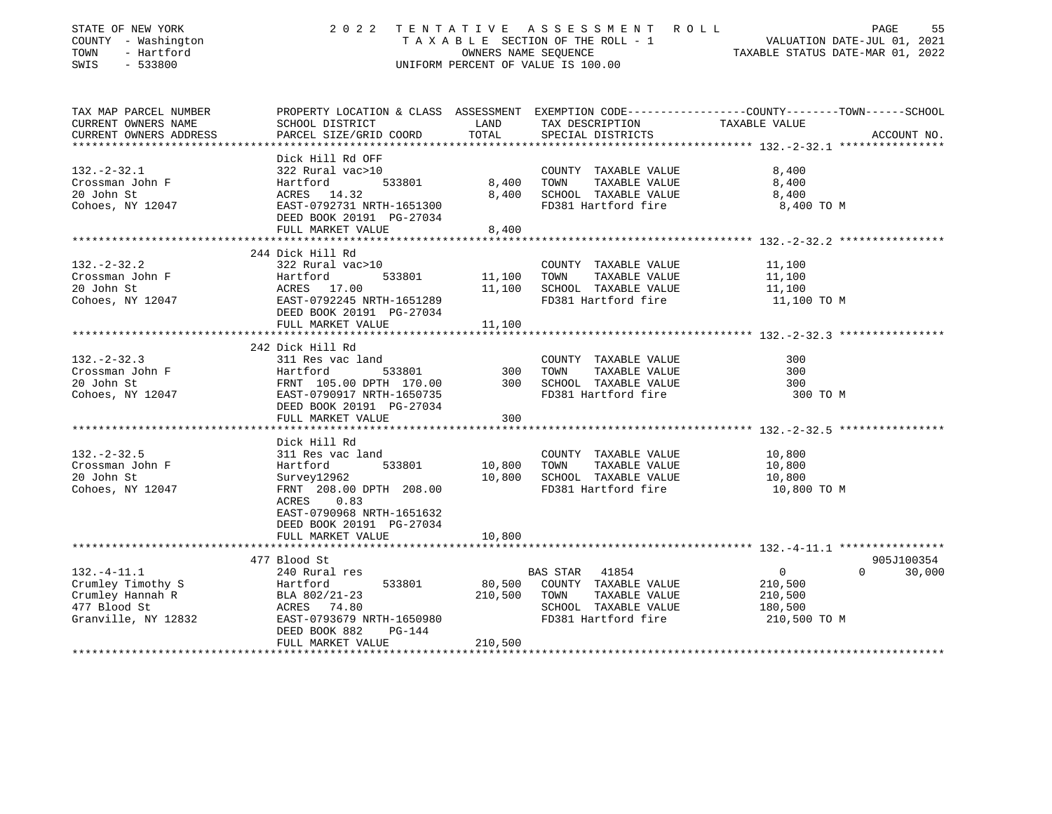| STATE OF NEW YORK              | 2 0 2 2                                          |         | TENTATIVE ASSESSMENT ROLL                          | PAGE<br>55                       |
|--------------------------------|--------------------------------------------------|---------|----------------------------------------------------|----------------------------------|
| COUNTY - Washington            |                                                  |         | TAXABLE SECTION OF THE ROLL - 1                    | VALUATION DATE-JUL 01, 2021      |
| TOWN<br>- Hartford             |                                                  |         | OWNERS NAME SEQUENCE                               | TAXABLE STATUS DATE-MAR 01, 2022 |
| SWIS<br>$-533800$              |                                                  |         | UNIFORM PERCENT OF VALUE IS 100.00                 |                                  |
| TAX MAP PARCEL NUMBER          |                                                  |         |                                                    |                                  |
| CURRENT OWNERS NAME            |                                                  |         |                                                    |                                  |
| CURRENT OWNERS ADDRESS         | PARCEL SIZE/GRID COORD                           | TOTAL   | SPECIAL DISTRICTS                                  | ACCOUNT NO.                      |
| **********************         |                                                  |         |                                                    |                                  |
|                                | Dick Hill Rd OFF                                 |         |                                                    |                                  |
| $132 - 2 - 32.1$               | 322 Rural vac>10                                 |         | COUNTY TAXABLE VALUE                               | 8,400                            |
| Crossman John F                | Hartford<br>533801                               |         | 8,400 TOWN<br>TAXABLE VALUE                        | 8,400                            |
| 20 John St                     | ACRES 14.32                                      |         | 8,400 SCHOOL TAXABLE VALUE                         | 8,400                            |
| Cohoes, NY 12047               | EAST-0792731 NRTH-1651300                        |         | FD381 Hartford fire                                | 8,400 TO M                       |
|                                | DEED BOOK 20191 PG-27034                         |         |                                                    |                                  |
|                                | FULL MARKET VALUE                                | 8,400   |                                                    |                                  |
|                                |                                                  |         |                                                    |                                  |
| $132 - 2 - 32.2$               | 244 Dick Hill Rd<br>322 Rural vac>10             |         | COUNTY TAXABLE VALUE                               | 11,100                           |
| Crossman John F                | Hartford<br>533801                               | 11,100  | TOWN TAXABLE VALUE                                 | 11,100                           |
|                                |                                                  |         |                                                    |                                  |
| 20 John St<br>Cohoes, NY 12047 | ACRES 17.00<br>EAST-0792245 NRTH-1651289         |         | 11,100 SCHOOL TAXABLE VALUE<br>FD381 Hartford fire | 11,100<br>11,100 TO M            |
|                                | DEED BOOK 20191 PG-27034                         |         |                                                    |                                  |
|                                | FULL MARKET VALUE                                | 11,100  |                                                    |                                  |
|                                |                                                  |         |                                                    |                                  |
|                                | 242 Dick Hill Rd                                 |         |                                                    |                                  |
| $132. - 2 - 32.3$              | 311 Res vac land                                 |         | COUNTY TAXABLE VALUE                               | 300                              |
| Crossman John F                | 533801<br>Hartford                               |         | 300 TOWN<br>TAXABLE VALUE                          | 300                              |
| 20 John St                     | FRNT 105.00 DPTH 170.00 300 SCHOOL TAXABLE VALUE |         |                                                    | 300                              |
| Cohoes, NY 12047               | EAST-0790917 NRTH-1650735                        |         | FD381 Hartford fire                                | 300 TO M                         |
|                                | DEED BOOK 20191 PG-27034                         |         |                                                    |                                  |
|                                | FULL MARKET VALUE                                | 300     |                                                    |                                  |
|                                |                                                  |         |                                                    |                                  |
|                                | Dick Hill Rd                                     |         |                                                    |                                  |
| $132. - 2 - 32.5$              | 311 Res vac land                                 |         | COUNTY TAXABLE VALUE                               | 10,800                           |
| Crossman John F                | 533801<br>Hartford                               | 10,800  | TOWN<br>TAXABLE VALUE                              | 10,800                           |
| 20 John St                     | Survey12962                                      |         | 10,800 SCHOOL TAXABLE VALUE                        | 10,800                           |
| Cohoes, NY 12047               | FRNT 208.00 DPTH 208.00                          |         | FD381 Hartford fire                                | 10,800 TO M                      |
|                                | ACRES 0.83                                       |         |                                                    |                                  |
|                                | EAST-0790968 NRTH-1651632                        |         |                                                    |                                  |
|                                | DEED BOOK 20191 PG-27034                         |         |                                                    |                                  |
|                                | FULL MARKET VALUE                                | 10,800  |                                                    |                                  |
|                                | 477 Blood St                                     |         |                                                    | 905J100354                       |
| $132. - 4 - 11.1$              | 240 Rural res                                    |         | BAS STAR 41854                                     | $0 \t 30,000$<br>$\overline{0}$  |
| Crumley Timothy S              | 533801                                           |         | 80,500 COUNTY TAXABLE VALUE                        | 210,500                          |
| Crumley Hannah R               | Hartford<br>BLA 802/21-23                        |         | 210,500 TOWN<br>TAXABLE VALUE                      | 210,500                          |
| 477 Blood St                   | ACRES 74.80                                      |         | SCHOOL TAXABLE VALUE                               | 180,500                          |
| Granville, NY 12832            | EAST-0793679 NRTH-1650980                        |         | FD381 Hartford fire                                | 210,500 TO M                     |
|                                | DEED BOOK 882<br>PG-144                          |         |                                                    |                                  |
|                                | FULL MARKET VALUE                                | 210,500 |                                                    |                                  |
|                                |                                                  |         |                                                    |                                  |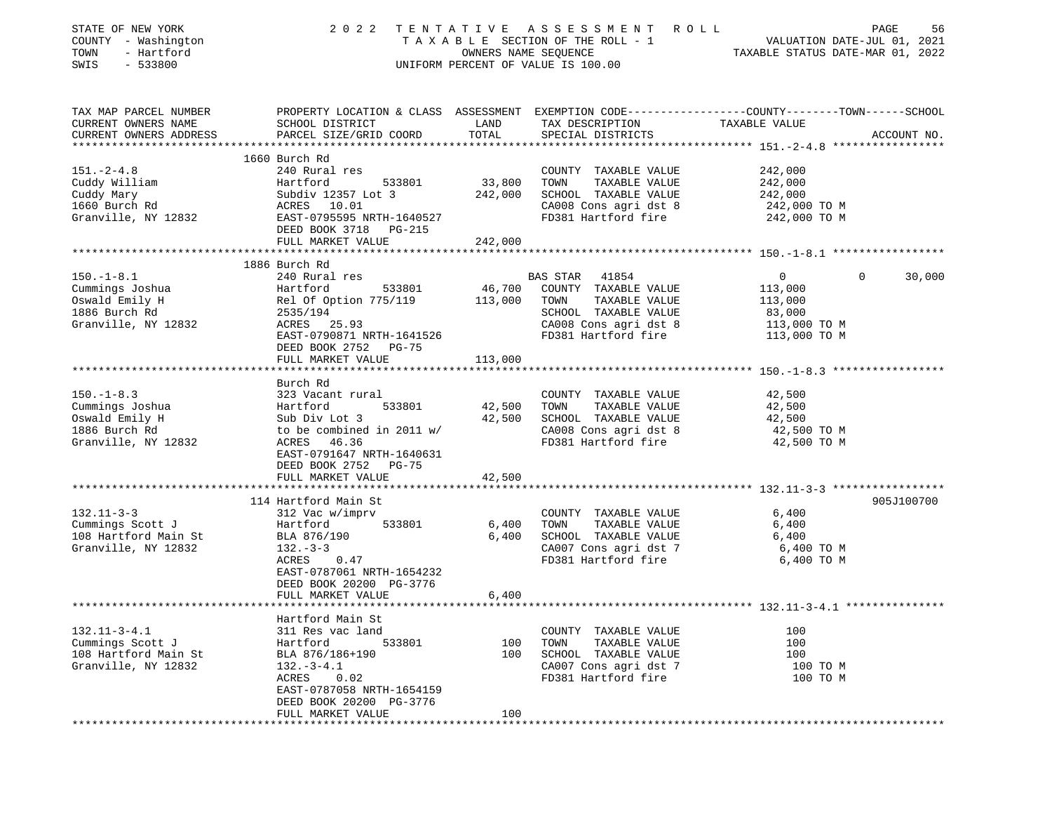| STATE OF NEW YORK<br>COUNTY - Washington<br>- Hartford<br>TOWN<br>SWIS<br>$-533800$           | 2 0 2 2                                                                                                                                                                                        | OWNERS NAME SEQUENCE         | TENTATIVE ASSESSMENT ROLL<br>TAXABLE SECTION OF THE ROLL - 1<br>UNIFORM PERCENT OF VALUE IS 100.00                                      | VALUATION DATE-JUL 01, 2021<br>TAXABLE STATUS DATE-MAR 01, 2022                | PAGE<br>56  |
|-----------------------------------------------------------------------------------------------|------------------------------------------------------------------------------------------------------------------------------------------------------------------------------------------------|------------------------------|-----------------------------------------------------------------------------------------------------------------------------------------|--------------------------------------------------------------------------------|-------------|
| TAX MAP PARCEL NUMBER<br>CURRENT OWNERS NAME<br>CURRENT OWNERS ADDRESS                        | PROPERTY LOCATION & CLASS ASSESSMENT EXEMPTION CODE---------------COUNTY-------TOWN------SCHOOL<br>SCHOOL DISTRICT<br>PARCEL SIZE/GRID COORD                                                   | LAND<br>TOTAL                | TAX DESCRIPTION<br>SPECIAL DISTRICTS                                                                                                    | TAXABLE VALUE                                                                  | ACCOUNT NO. |
| $151. - 2 - 4.8$<br>Cuddy William<br>Cuddy Mary<br>1660 Burch Rd<br>Granville, NY 12832       | 1660 Burch Rd<br>240 Rural res<br>533801<br>Hartford<br>Subdiv 12357 Lot 3<br>ACRES 10.01<br>EAST-0795595 NRTH-1640527<br>DEED BOOK 3718 PG-215<br>FULL MARKET VALUE                           | 33,800<br>242,000<br>242,000 | COUNTY TAXABLE VALUE<br>TAXABLE VALUE<br>TOWN<br>SCHOOL TAXABLE VALUE<br>CA008 Cons agri dst 8<br>FD381 Hartford fire                   | 242,000<br>242,000<br>242,000<br>242,000 TO M<br>242,000 TO M                  |             |
|                                                                                               |                                                                                                                                                                                                |                              |                                                                                                                                         |                                                                                |             |
| $150. - 1 - 8.1$<br>Cummings Joshua<br>Oswald Emily H<br>1886 Burch Rd<br>Granville, NY 12832 | 1886 Burch Rd<br>240 Rural res<br>Hartford<br>533801<br>Rel Of Option 775/119<br>2535/194<br>ACRES 25.93<br>EAST-0790871 NRTH-1641526<br>DEED BOOK 2752 PG-75<br>FULL MARKET VALUE             | 46,700<br>113,000<br>113,000 | BAS STAR 41854<br>COUNTY TAXABLE VALUE<br>TAXABLE VALUE<br>TOWN<br>SCHOOL TAXABLE VALUE<br>CA008 Cons agri dst 8<br>FD381 Hartford fire | $\overline{0}$<br>113,000<br>113,000<br>83,000<br>113,000 TO M<br>113,000 TO M | 0<br>30,000 |
|                                                                                               |                                                                                                                                                                                                |                              |                                                                                                                                         |                                                                                |             |
| $150. - 1 - 8.3$<br>Cummings Joshua<br>Oswald Emily H<br>1886 Burch Rd<br>Granville, NY 12832 | Burch Rd<br>323 Vacant rural<br>533801<br>Hartford<br>Sub Div Lot 3<br>to be combined in 2011 w/<br>ACRES 46.36<br>EAST-0791647 NRTH-1640631<br>DEED BOOK 2752 PG-75<br>FULL MARKET VALUE      | 42,500<br>42,500<br>42,500   | COUNTY TAXABLE VALUE<br>TAXABLE VALUE<br>TOWN<br>SCHOOL TAXABLE VALUE<br>CA008 Cons agri dst 8<br>FD381 Hartford fire                   | 42,500<br>42,500<br>42,500<br>42,500 TO M<br>42,500 TO M                       |             |
|                                                                                               |                                                                                                                                                                                                |                              |                                                                                                                                         |                                                                                |             |
| $132.11 - 3 - 3$<br>Cummings Scott J<br>108 Hartford Main St<br>Granville, NY 12832           | 114 Hartford Main St<br>312 Vac w/imprv<br>533801<br>Hartford<br>BLA 876/190<br>$132 - 3 - 3$<br>ACRES<br>0.47<br>EAST-0787061 NRTH-1654232<br>DEED BOOK 20200 PG-3776<br>FULL MARKET VALUE    | 6,400<br>6,400<br>6,400      | COUNTY TAXABLE VALUE<br>TAXABLE VALUE<br>TOWN<br>SCHOOL TAXABLE VALUE<br>CA007 Cons agri dst 7<br>FD381 Hartford fire                   | 6,400<br>6,400<br>6,400<br>6,400 TO M<br>6,400 TO M                            | 905J100700  |
|                                                                                               |                                                                                                                                                                                                |                              |                                                                                                                                         |                                                                                |             |
| $132.11 - 3 - 4.1$<br>Cummings Scott J<br>108 Hartford Main St<br>Granville, NY 12832         | Hartford Main St<br>311 Res vac land<br>Hartford<br>533801<br>BLA 876/186+190<br>$132 - 3 - 4.1$<br>ACRES<br>0.02<br>EAST-0787058 NRTH-1654159<br>DEED BOOK 20200 PG-3776<br>FULL MARKET VALUE | 100<br>100<br>100            | COUNTY TAXABLE VALUE<br>TOWN<br>TAXABLE VALUE<br>SCHOOL TAXABLE VALUE<br>CA007 Cons agri dst 7<br>FD381 Hartford fire                   | 100<br>100<br>100<br>100 TO M<br>100 TO M                                      |             |
|                                                                                               |                                                                                                                                                                                                |                              |                                                                                                                                         |                                                                                |             |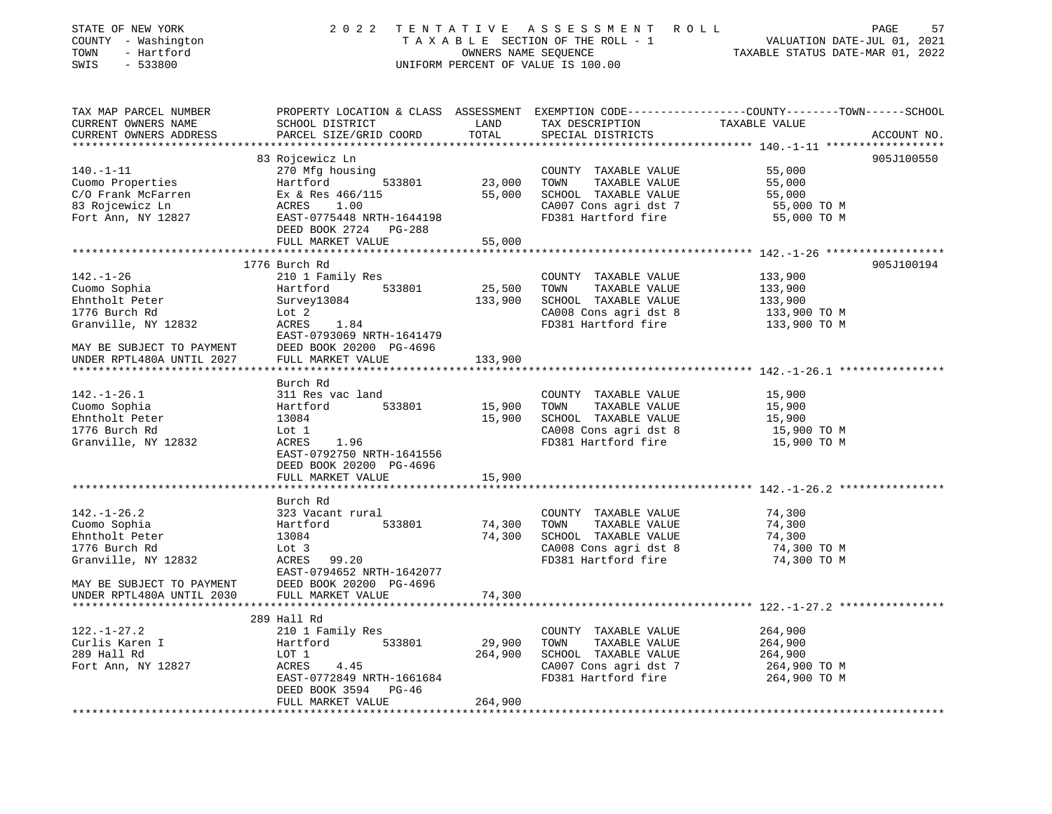| STATE OF NEW YORK<br>COUNTY - Washington<br>TOWN<br>- Hartford<br>SWIS<br>$-533800$ | 2 0 2 2                                    | OWNERS NAME SEQUENCE | TENTATIVE ASSESSMENT ROLL<br>T A X A B L E SECTION OF THE ROLL - 1<br>UNIFORM PERCENT OF VALUE IS 100.00 | PAGE<br>57<br>VALUATION DATE-JUL 01, 2021<br>TAXABLE STATUS DATE-MAR 01, 2022                   |
|-------------------------------------------------------------------------------------|--------------------------------------------|----------------------|----------------------------------------------------------------------------------------------------------|-------------------------------------------------------------------------------------------------|
| TAX MAP PARCEL NUMBER                                                               |                                            |                      |                                                                                                          | PROPERTY LOCATION & CLASS ASSESSMENT EXEMPTION CODE---------------COUNTY-------TOWN------SCHOOL |
| CURRENT OWNERS NAME<br>CURRENT OWNERS ADDRESS                                       | SCHOOL DISTRICT<br>PARCEL SIZE/GRID COORD  | LAND<br>TOTAL        | TAX DESCRIPTION<br>SPECIAL DISTRICTS                                                                     | TAXABLE VALUE<br>ACCOUNT NO.                                                                    |
|                                                                                     |                                            |                      |                                                                                                          |                                                                                                 |
|                                                                                     | 83 Rojcewicz Ln                            |                      |                                                                                                          | 905J100550                                                                                      |
| $140. - 1 - 11$                                                                     | 270 Mfg housing                            |                      | COUNTY TAXABLE VALUE                                                                                     | 55,000                                                                                          |
| Cuomo Properties                                                                    | Hartford<br>533801                         | 23,000               | TOWN<br>TAXABLE VALUE                                                                                    | 55,000                                                                                          |
| C/O Frank McFarren                                                                  | Ex & Res 466/115                           | 55,000               | SCHOOL TAXABLE VALUE                                                                                     | 55,000                                                                                          |
| 83 Rojcewicz Ln                                                                     | ACRES<br>1.00<br>EAST-0775448 NRTH-1644198 |                      | CA007 Cons agri dst 7<br>FD381 Hartford fire                                                             | 55,000 TO M<br>55,000 TO M                                                                      |
| Fort Ann, NY 12827                                                                  | DEED BOOK 2724 PG-288                      |                      |                                                                                                          |                                                                                                 |
|                                                                                     | FULL MARKET VALUE                          | 55,000               |                                                                                                          |                                                                                                 |
|                                                                                     |                                            |                      |                                                                                                          |                                                                                                 |
|                                                                                     | 1776 Burch Rd                              |                      |                                                                                                          | 905J100194                                                                                      |
| $142. - 1 - 26$                                                                     | 210 1 Family Res                           |                      | COUNTY TAXABLE VALUE                                                                                     | 133,900                                                                                         |
| Cuomo Sophia                                                                        | 533801<br>Hartford                         | 25,500               | TOWN<br>TAXABLE VALUE                                                                                    | 133,900                                                                                         |
| Ehntholt Peter                                                                      | Survey13084                                | 133,900              | SCHOOL TAXABLE VALUE                                                                                     | 133,900                                                                                         |
| 1776 Burch Rd                                                                       | Lot 2                                      |                      | CA008 Cons agri dst 8                                                                                    | 133,900 TO M                                                                                    |
| Granville, NY 12832                                                                 | ACRES<br>1.84                              |                      | FD381 Hartford fire                                                                                      | 133,900 TO M                                                                                    |
|                                                                                     | EAST-0793069 NRTH-1641479                  |                      |                                                                                                          |                                                                                                 |
| MAY BE SUBJECT TO PAYMENT                                                           | DEED BOOK 20200 PG-4696                    |                      |                                                                                                          |                                                                                                 |
| UNDER RPTL480A UNTIL 2027                                                           | FULL MARKET VALUE                          | 133,900              |                                                                                                          |                                                                                                 |
|                                                                                     |                                            |                      |                                                                                                          |                                                                                                 |
|                                                                                     | Burch Rd                                   |                      |                                                                                                          |                                                                                                 |
| $142. - 1 - 26.1$                                                                   | 311 Res vac land                           |                      | COUNTY TAXABLE VALUE                                                                                     | 15,900                                                                                          |
| Cuomo Sophia                                                                        | 533801<br>Hartford                         | 15,900               | TOWN<br>TAXABLE VALUE                                                                                    | 15,900                                                                                          |
| Ehntholt Peter                                                                      | 13084                                      | 15,900               | SCHOOL TAXABLE VALUE                                                                                     | 15,900                                                                                          |
| 1776 Burch Rd                                                                       | Lot 1                                      |                      | CA008 Cons agri dst 8                                                                                    | 15,900 TO M                                                                                     |
| Granville, NY 12832                                                                 | ACRES<br>1.96                              |                      | FD381 Hartford fire                                                                                      | 15,900 TO M                                                                                     |
|                                                                                     | EAST-0792750 NRTH-1641556                  |                      |                                                                                                          |                                                                                                 |
|                                                                                     | DEED BOOK 20200 PG-4696                    |                      |                                                                                                          |                                                                                                 |
|                                                                                     | FULL MARKET VALUE                          | 15,900               |                                                                                                          |                                                                                                 |
|                                                                                     |                                            |                      |                                                                                                          |                                                                                                 |
| $142. - 1 - 26.2$                                                                   | Burch Rd<br>323 Vacant rural               |                      | COUNTY TAXABLE VALUE                                                                                     | 74,300                                                                                          |
| Cuomo Sophia                                                                        | 533801<br>Hartford                         | 74,300               | TOWN<br>TAXABLE VALUE                                                                                    | 74,300                                                                                          |
| Ehntholt Peter                                                                      | 13084                                      | 74,300               | SCHOOL TAXABLE VALUE                                                                                     | 74,300                                                                                          |
| 1776 Burch Rd                                                                       | Lot 3                                      |                      | CA008 Cons agri dst 8                                                                                    | 74,300 TO M                                                                                     |
| Granville, NY 12832                                                                 | ACRES<br>99.20                             |                      | FD381 Hartford fire                                                                                      | 74,300 TO M                                                                                     |
|                                                                                     | EAST-0794652 NRTH-1642077                  |                      |                                                                                                          |                                                                                                 |
| MAY BE SUBJECT TO PAYMENT                                                           | DEED BOOK 20200 PG-4696                    |                      |                                                                                                          |                                                                                                 |
| UNDER RPTL480A UNTIL 2030                                                           | FULL MARKET VALUE                          | 74,300               |                                                                                                          |                                                                                                 |
|                                                                                     |                                            |                      |                                                                                                          |                                                                                                 |
|                                                                                     | 289 Hall Rd                                |                      |                                                                                                          |                                                                                                 |
| $122. - 1 - 27.2$                                                                   | 210 1 Family Res                           |                      | COUNTY TAXABLE VALUE                                                                                     | 264,900                                                                                         |
| Curlis Karen I                                                                      | Hartford<br>533801                         | 29,900               | TOWN<br>TAXABLE VALUE                                                                                    | 264,900                                                                                         |
| 289 Hall Rd                                                                         | LOT 1                                      | 264,900              | SCHOOL TAXABLE VALUE                                                                                     | 264,900                                                                                         |
| Fort Ann, NY 12827                                                                  | ACRES<br>4.45                              |                      | CA007 Cons agri dst 7                                                                                    | 264,900 TO M                                                                                    |
|                                                                                     | EAST-0772849 NRTH-1661684                  |                      | FD381 Hartford fire                                                                                      | 264,900 TO M                                                                                    |
|                                                                                     | DEED BOOK 3594<br>PG-46                    |                      |                                                                                                          |                                                                                                 |
|                                                                                     | FULL MARKET VALUE                          | 264,900              |                                                                                                          |                                                                                                 |
| *************************                                                           |                                            |                      |                                                                                                          |                                                                                                 |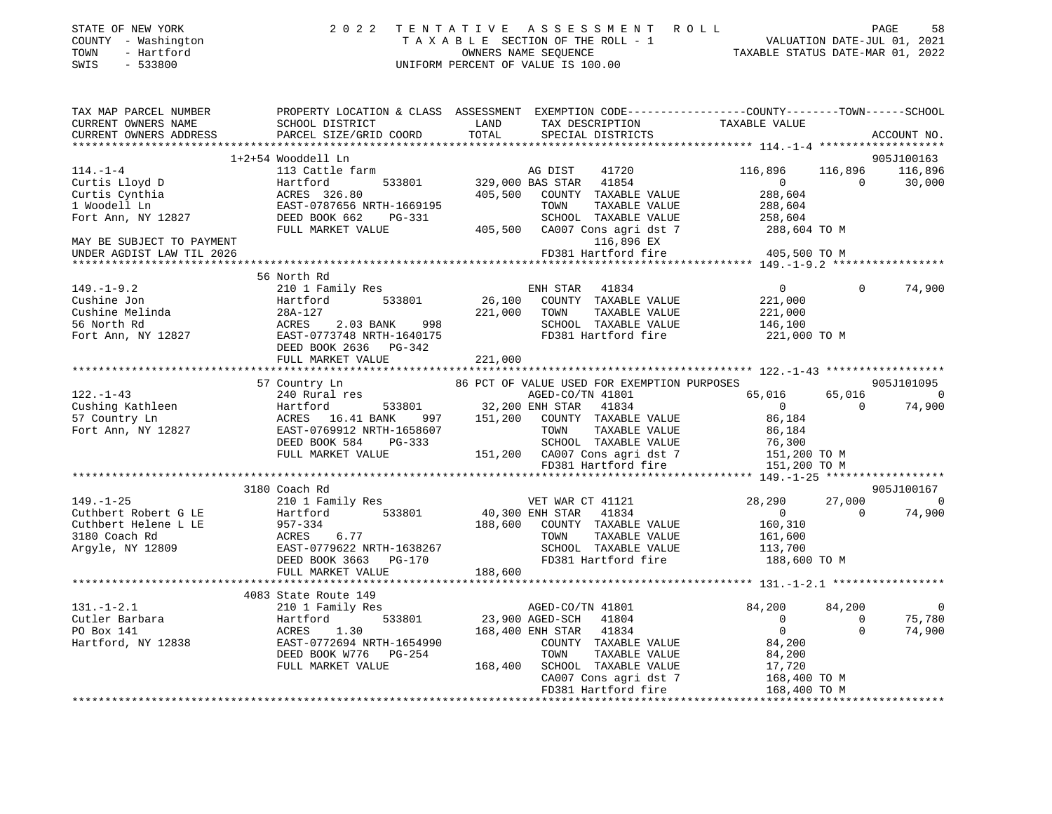| STATE OF NEW YORK<br>COUNTY - Washington<br>- Hartford<br>TOWN | 2 0 2 2                                | TENTATIVE<br>A S S E S S M E N T<br>ROLL<br>T A X A B L E SECTION OF THE ROLL - 1<br>OWNERS NAME SEQUENCE | VALUATION DATE-JUL 01, 2021<br>TAXABLE STATUS DATE-MAR 01, 2022 | PAGE<br>58            |
|----------------------------------------------------------------|----------------------------------------|-----------------------------------------------------------------------------------------------------------|-----------------------------------------------------------------|-----------------------|
| SWIS<br>$-533800$                                              |                                        | UNIFORM PERCENT OF VALUE IS 100.00                                                                        |                                                                 |                       |
| TAX MAP PARCEL NUMBER                                          |                                        | PROPERTY LOCATION & CLASS ASSESSMENT EXEMPTION CODE---------------COUNTY-------TOWN------SCHOOL           |                                                                 |                       |
| CURRENT OWNERS NAME                                            | SCHOOL DISTRICT                        | LAND<br>TAX DESCRIPTION                                                                                   | TAXABLE VALUE                                                   |                       |
| CURRENT OWNERS ADDRESS                                         | PARCEL SIZE/GRID COORD                 | TOTAL<br>SPECIAL DISTRICTS                                                                                |                                                                 | ACCOUNT NO.           |
|                                                                | 1+2+54 Wooddell Ln                     |                                                                                                           |                                                                 | 905J100163            |
| $114. - 1 - 4$                                                 | 113 Cattle farm                        | AG DIST<br>41720                                                                                          | 116,896<br>116,896                                              | 116,896               |
| Curtis Lloyd D                                                 | 533801<br>Hartford                     | 41854<br>329,000 BAS STAR                                                                                 | $\Omega$                                                        | $\Omega$<br>30,000    |
| Curtis Cynthia                                                 | ACRES 326.80                           | 405,500<br>COUNTY TAXABLE VALUE                                                                           | 288,604                                                         |                       |
| 1 Woodell Ln                                                   | EAST-0787656 NRTH-1669195              | TAXABLE VALUE<br>TOWN                                                                                     | 288,604                                                         |                       |
| Fort Ann, NY 12827                                             | DEED BOOK 662<br>$PG-331$              | SCHOOL TAXABLE VALUE                                                                                      | 258,604                                                         |                       |
|                                                                | FULL MARKET VALUE                      | 405,500<br>CA007 Cons agri dst 7                                                                          | 288,604 TO M                                                    |                       |
| MAY BE SUBJECT TO PAYMENT                                      |                                        | 116,896 EX                                                                                                |                                                                 |                       |
| UNDER AGDIST LAW TIL 2026                                      |                                        | FD381 Hartford fire                                                                                       | 405,500 TO M                                                    |                       |
|                                                                |                                        |                                                                                                           |                                                                 |                       |
|                                                                | 56 North Rd                            |                                                                                                           |                                                                 |                       |
| $149. - 1 - 9.2$                                               | 210 1 Family Res                       | 41834<br>ENH STAR                                                                                         | $\circ$                                                         | $\Omega$<br>74,900    |
| Cushine Jon                                                    | 533801<br>Hartford                     | 26,100<br>COUNTY TAXABLE VALUE                                                                            | 221,000                                                         |                       |
| Cushine Melinda                                                | 28A-127                                | 221,000<br>TOWN<br>TAXABLE VALUE                                                                          | 221,000                                                         |                       |
| 56 North Rd                                                    | ACRES<br>2.03 BANK<br>998              | SCHOOL TAXABLE VALUE                                                                                      | 146,100                                                         |                       |
| Fort Ann, NY 12827                                             | EAST-0773748 NRTH-1640175              | FD381 Hartford fire                                                                                       | 221,000 TO M                                                    |                       |
|                                                                | DEED BOOK 2636 PG-342                  |                                                                                                           |                                                                 |                       |
|                                                                | FULL MARKET VALUE                      | 221,000                                                                                                   |                                                                 |                       |
|                                                                |                                        |                                                                                                           |                                                                 |                       |
|                                                                | 57 Country Ln                          | 86 PCT OF VALUE USED FOR EXEMPTION PURPOSES                                                               |                                                                 | 905J101095            |
| $122. - 1 - 43$                                                | 240 Rural res                          | AGED-CO/TN 41801                                                                                          | 65,016                                                          | 65,016<br>$\Omega$    |
| Cushing Kathleen                                               | Hartford<br>533801<br>ACRES 16.41 BANK | 32,200 ENH STAR<br>41834<br>COUNTY TAXABLE VALUE                                                          | $\mathbf{0}$                                                    | 74,900<br>$\Omega$    |
| 57 Country Ln<br>Fort Ann, NY 12827                            | 997<br>EAST-0769912 NRTH-1658607       | 151,200<br>TAXABLE VALUE<br>TOWN                                                                          | 86,184<br>86,184                                                |                       |
|                                                                | DEED BOOK 584<br>PG-333                | SCHOOL TAXABLE VALUE                                                                                      | 76,300                                                          |                       |
|                                                                | FULL MARKET VALUE                      | CA007 Cons agri dst 7<br>151,200                                                                          | 151,200 TO M                                                    |                       |
|                                                                |                                        | FD381 Hartford fire                                                                                       | 151,200 TO M                                                    |                       |
|                                                                |                                        |                                                                                                           |                                                                 |                       |
|                                                                | 3180 Coach Rd                          |                                                                                                           |                                                                 | 905J100167            |
| $149. - 1 - 25$                                                | 210 1 Family Res                       | VET WAR CT 41121                                                                                          | 28,290                                                          | 27,000<br>$\Omega$    |
| Cuthbert Robert G LE                                           | 533801<br>Hartford                     | 40,300 ENH STAR<br>41834                                                                                  | $\Omega$                                                        | 74,900<br>$\Omega$    |
| Cuthbert Helene L LE                                           | $957 - 334$                            | 188,600<br>COUNTY TAXABLE VALUE                                                                           | 160,310                                                         |                       |
| 3180 Coach Rd                                                  | ACRES<br>6.77                          | TAXABLE VALUE<br>TOWN                                                                                     | 161,600                                                         |                       |
| Argyle, NY 12809                                               | EAST-0779622 NRTH-1638267              | SCHOOL TAXABLE VALUE                                                                                      | 113,700                                                         |                       |
|                                                                | DEED BOOK 3663 PG-170                  | FD381 Hartford fire                                                                                       | 188,600 TO M                                                    |                       |
|                                                                | FULL MARKET VALUE                      | 188,600                                                                                                   |                                                                 |                       |
|                                                                |                                        |                                                                                                           |                                                                 |                       |
|                                                                | 4083 State Route 149                   |                                                                                                           |                                                                 |                       |
| $131. - 1 - 2.1$                                               | 210 1 Family Res                       | AGED-CO/TN 41801                                                                                          | 84,200                                                          | $\mathbf 0$<br>84,200 |

| 131.-1-2.1         | 210 1 Family Res          |         | AGED-CO/TN 41801 |                       | 84,200       | 84,200 |        |
|--------------------|---------------------------|---------|------------------|-----------------------|--------------|--------|--------|
| Cutler Barbara     | Hartford                  | 533801  | 23,900 AGED-SCH  | 41804                 |              |        | 75,780 |
| PO Box 141         | 1.30<br>ACRES             |         | 168,400 ENH STAR | 41834                 |              |        | 74,900 |
| Hartford, NY 12838 | EAST-0772694 NRTH-1654990 |         | COUNTY           | TAXABLE VALUE         | 84,200       |        |        |
|                    | DEED BOOK W776            | PG-254  | TOWN             | TAXABLE VALUE         | 84,200       |        |        |
|                    | FULL MARKET VALUE         | 168,400 | SCHOOL           | TAXABLE VALUE         | 17,720       |        |        |
|                    |                           |         |                  | CA007 Cons agri dst 7 | 168,400 TO M |        |        |
|                    |                           |         |                  | FD381 Hartford fire   | 168,400 TO M |        |        |
|                    |                           |         |                  |                       |              |        |        |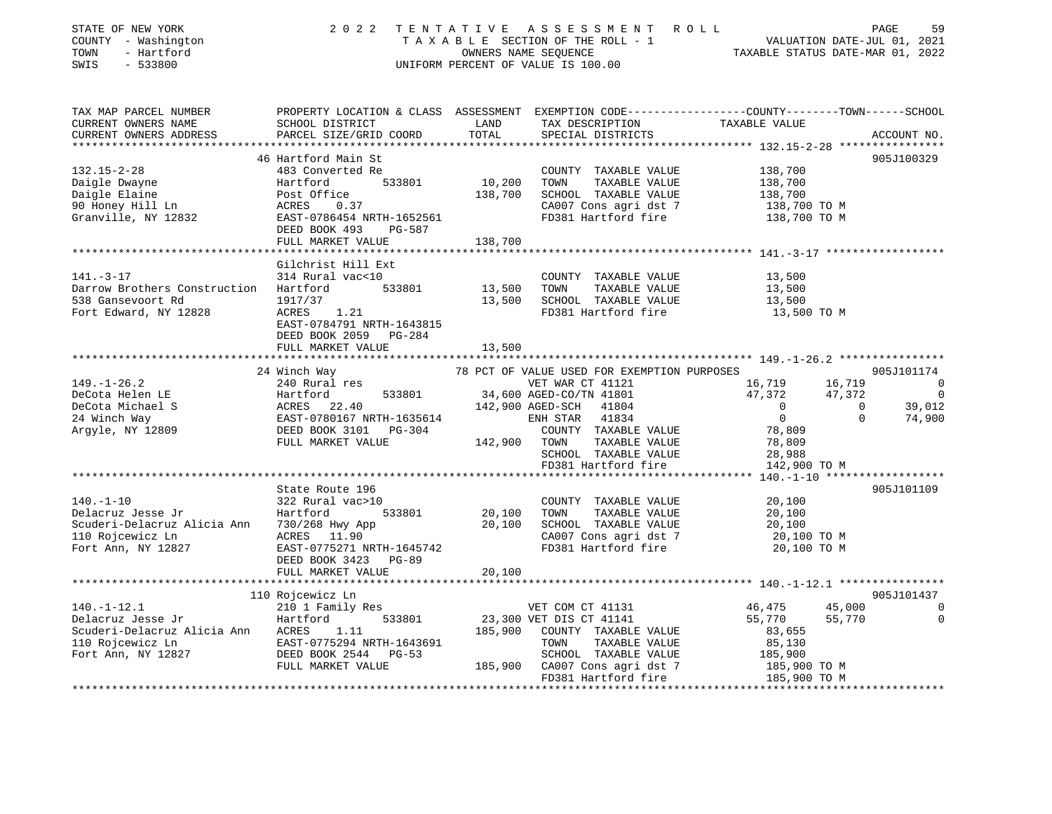| TAX MAP PARCEL NUMBER<br>CURRENT OWNERS NAME<br>CURRENT OWNERS ADDRESS                                                                                                                                                                                             | SCHOOL DISTRICT<br>PARCEL SIZE/GRID COORD<br>46 Hartford Main St<br>483 Converted Re                                            | LAND<br>TOTAL<br>*************** | TAX DESCRIPTION<br>SPECIAL DISTRICTS                                                                                                                                            | PROPERTY LOCATION & CLASS ASSESSMENT EXEMPTION CODE---------------COUNTY-------TOWN-----SCHOOL<br>TAXABLE VALUE                    |                                                                      |
|--------------------------------------------------------------------------------------------------------------------------------------------------------------------------------------------------------------------------------------------------------------------|---------------------------------------------------------------------------------------------------------------------------------|----------------------------------|---------------------------------------------------------------------------------------------------------------------------------------------------------------------------------|------------------------------------------------------------------------------------------------------------------------------------|----------------------------------------------------------------------|
|                                                                                                                                                                                                                                                                    |                                                                                                                                 |                                  |                                                                                                                                                                                 |                                                                                                                                    | ACCOUNT NO.                                                          |
|                                                                                                                                                                                                                                                                    |                                                                                                                                 |                                  |                                                                                                                                                                                 |                                                                                                                                    | 905J100329                                                           |
| $132.15 - 2 - 28$<br>Daigle Dwayne<br>Daigle Elaine<br>90 Honey Hill Ln<br>Daigle Dwayne<br>Daigle Elaine<br>90 Honey Hill Ln<br>Granville, NY 12832<br>EAST-0786454 NRTH-1652561<br>Daigle District Post O.37<br>Granville, NY 12832<br>EAST-0786454 NRTH-1652561 | DEED BOOK 493<br>PG-587                                                                                                         | 10,200<br>138,700                | COUNTY TAXABLE VALUE<br>TOWN<br>TAXABLE VALUE<br>SCHOOL TAXABLE VALUE<br>CA007 Cons agri dst 7<br>FD381 Hartford fire                                                           | 138,700<br>138,700<br>138,700<br>138,700 TO M<br>138,700 TO M                                                                      |                                                                      |
|                                                                                                                                                                                                                                                                    | FULL MARKET VALUE                                                                                                               | 138,700                          |                                                                                                                                                                                 |                                                                                                                                    |                                                                      |
|                                                                                                                                                                                                                                                                    |                                                                                                                                 |                                  |                                                                                                                                                                                 |                                                                                                                                    |                                                                      |
| $141. -3 - 17$<br>Darrow Brothers Construction Hartford<br>538 Gansevoort Rd<br>Fort Edward, NY 12828                                                                                                                                                              | Gilchrist Hill Ext<br>314 Rural vac<10<br>533801<br>1917/37<br>ACRES 1.21<br>EAST-0784791 NRTH-1643815<br>DEED BOOK 2059 PG-284 | 13,500<br>13,500                 | COUNTY TAXABLE VALUE<br>TOWN<br>TAXABLE VALUE<br>SCHOOL TAXABLE VALUE<br>FD381 Hartford fire                                                                                    | 13,500<br>13,500<br>13,500<br>13,500 TO M                                                                                          |                                                                      |
|                                                                                                                                                                                                                                                                    | FULL MARKET VALUE                                                                                                               | 13,500                           |                                                                                                                                                                                 |                                                                                                                                    |                                                                      |
|                                                                                                                                                                                                                                                                    | **************************                                                                                                      |                                  |                                                                                                                                                                                 |                                                                                                                                    |                                                                      |
|                                                                                                                                                                                                                                                                    | 24 Winch Way                                                                                                                    |                                  | 78 PCT OF VALUE USED FOR EXEMPTION PURPOSES                                                                                                                                     |                                                                                                                                    | 905J101174                                                           |
| $149. - 1 - 26.2$<br>DeCota Helen LE<br>DeCota Michael S<br>24 Winch Way<br>Argyle, NY 12809                                                                                                                                                                       | 240 Rural res<br>Hartford 533801<br>ACRES 22.40<br>EAST-0780167 NRTH-1635614<br>DEED BOOK 3101 PG-304<br>FULL MARKET VALUE      | 142,900 TOWN                     | VET WAR CT 41121<br>34,600 AGED-CO/TN 41801<br>142,900 AGED-SCH 41804<br>ENH STAR 41834<br>COUNTY TAXABLE VALUE<br>TAXABLE VALUE<br>SCHOOL TAXABLE VALUE<br>FD381 Hartford fire | 16,719<br>16,719<br>47,372<br>47,372<br>$\sim$ 0<br>$\overline{0}$<br>$\overline{0}$<br>78,809<br>78,809<br>28,988<br>142,900 TO M | $\overline{\phantom{0}}$<br>$\sim$ 0<br>39,012<br>74,900<br>$\Omega$ |
|                                                                                                                                                                                                                                                                    |                                                                                                                                 |                                  |                                                                                                                                                                                 |                                                                                                                                    |                                                                      |
| $140. - 1 - 10$<br>Hartford<br>Delacruz Jesse Jr<br>Scuderi-Delacruz Alicia Ann 1730/268 Hwy App<br>110 Roicewicz Ln 10 ACRES 11.90<br>110 Rojcewicz Ln<br>Fort Ann, NY 12827                                                                                      | State Route 196<br>322 Rural vac>10<br>533801<br>ACRES 11.90<br>EAST-0775271 NRTH-1645742<br>DEED BOOK 3423 PG-89               | 20,100<br>20,100                 | COUNTY TAXABLE VALUE<br>TOWN<br>TAXABLE VALUE<br>SCHOOL TAXABLE VALUE<br>CA007 Cons agri dst 7<br>FD381 Hartford fire                                                           | 20,100<br>20,100<br>20,100<br>20,100 TO M<br>20,100 TO M                                                                           | 905J101109                                                           |
|                                                                                                                                                                                                                                                                    | FULL MARKET VALUE                                                                                                               | 20,100                           |                                                                                                                                                                                 |                                                                                                                                    |                                                                      |
|                                                                                                                                                                                                                                                                    |                                                                                                                                 |                                  |                                                                                                                                                                                 |                                                                                                                                    |                                                                      |
|                                                                                                                                                                                                                                                                    | 110 Rojcewicz Ln                                                                                                                |                                  |                                                                                                                                                                                 |                                                                                                                                    | 905J101437                                                           |
| $140. - 1 - 12.1$<br>---<br>Hartford<br>Delacruz Jesse Jr<br>Scuderi-Delacruz Alicia Ann ACRES 1.11<br>110 Rojcewicz Ln<br>Fort Ann, NY 12827<br>EED BOOK 2544 PG-53                                                                                               | 210 1 Family Res<br>533801<br>FULL MARKET VALUE                                                                                 | 185,900                          | VET COM CT 41131<br>23,300 VET DIS CT 41141<br>COUNTY TAXABLE VALUE<br>TOWN<br>TAXABLE VALUE<br>SCHOOL TAXABLE VALUE<br>185,900 CA007 Cons agri dst 7<br>FD381 Hartford fire    | 45,000<br>46,475<br>55,770<br>55,770<br>83,655<br>85,130<br>185,900<br>185,900 TO M<br>185,900 TO M                                | $\overline{0}$<br>0                                                  |

\*\*\*\*\*\*\*\*\*\*\*\*\*\*\*\*\*\*\*\*\*\*\*\*\*\*\*\*\*\*\*\*\*\*\*\*\*\*\*\*\*\*\*\*\*\*\*\*\*\*\*\*\*\*\*\*\*\*\*\*\*\*\*\*\*\*\*\*\*\*\*\*\*\*\*\*\*\*\*\*\*\*\*\*\*\*\*\*\*\*\*\*\*\*\*\*\*\*\*\*\*\*\*\*\*\*\*\*\*\*\*\*\*\*\*\*\*\*\*\*\*\*\*\*\*\*\*\*\*\*\*\*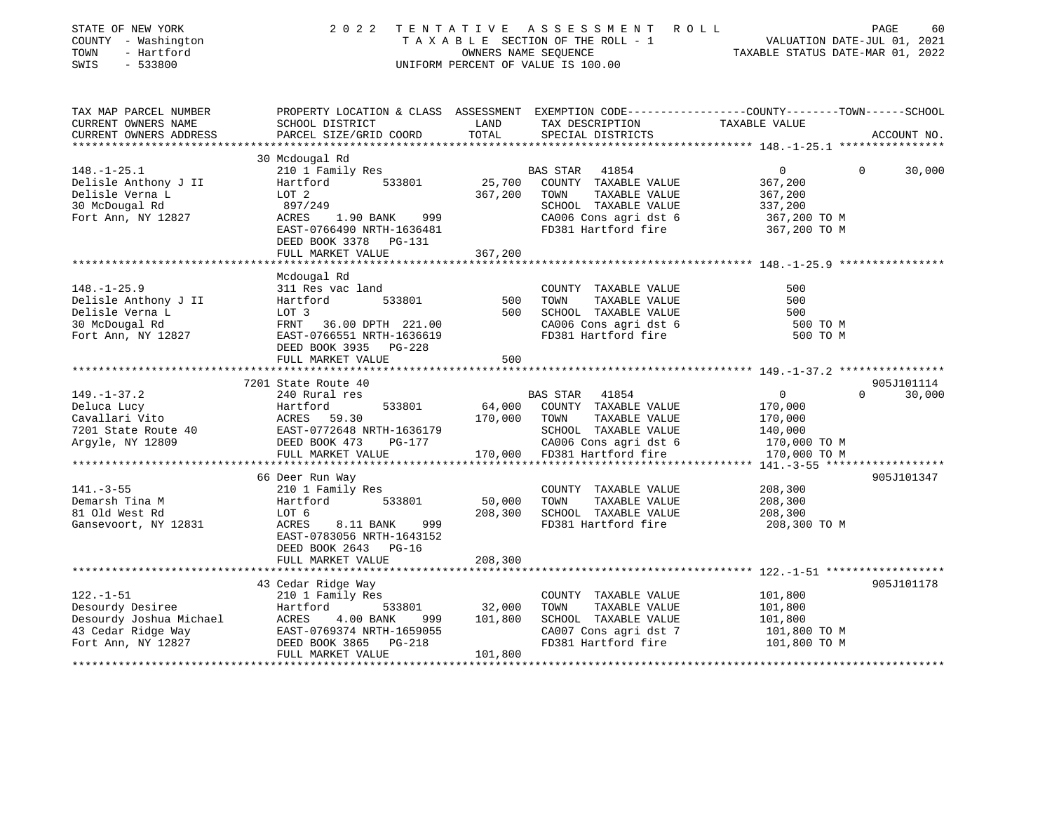| STATE OF NEW YORK<br>COUNTY - Washington<br>- Hartford<br>TOWN<br>SWIS<br>$-533800$ | 2 0 2 2                                                | TENTATIVE               | ASSESSMENT ROLL<br>TAXABLE SECTION OF THE ROLL - 1<br>OWNERS NAME SEQUENCE<br>UNIFORM PERCENT OF VALUE IS 100.00 | PAGE<br>60<br>VALUATION DATE-JUL 01, 2021<br>TAXABLE STATUS DATE-MAR 01, 2022                                     |
|-------------------------------------------------------------------------------------|--------------------------------------------------------|-------------------------|------------------------------------------------------------------------------------------------------------------|-------------------------------------------------------------------------------------------------------------------|
| TAX MAP PARCEL NUMBER<br>CURRENT OWNERS NAME                                        | SCHOOL DISTRICT                                        | LAND                    | TAX DESCRIPTION                                                                                                  | PROPERTY LOCATION & CLASS ASSESSMENT EXEMPTION CODE----------------COUNTY-------TOWN------SCHOOL<br>TAXABLE VALUE |
| CURRENT OWNERS ADDRESS                                                              | PARCEL SIZE/GRID COORD                                 | TOTAL                   | SPECIAL DISTRICTS                                                                                                | ACCOUNT NO.                                                                                                       |
|                                                                                     | 30 Mcdougal Rd                                         |                         |                                                                                                                  |                                                                                                                   |
| $148. - 1 - 25.1$                                                                   | 210 1 Family Res                                       |                         | <b>BAS STAR</b><br>41854                                                                                         | 0<br>30,000<br>$\Omega$                                                                                           |
| Delisle Anthony J II                                                                | 533801<br>Hartford                                     | 25,700                  | COUNTY TAXABLE VALUE                                                                                             | 367,200                                                                                                           |
| Delisle Verna L                                                                     | LOT 2                                                  | 367,200                 | TOWN<br>TAXABLE VALUE                                                                                            | 367,200                                                                                                           |
| 30 McDougal Rd                                                                      | 897/249                                                |                         | SCHOOL TAXABLE VALUE                                                                                             | 337,200                                                                                                           |
| Fort Ann, NY 12827                                                                  | 1.90 BANK 999<br>ACRES                                 |                         | CA006 Cons agri dst 6                                                                                            | 367,200 TO M                                                                                                      |
|                                                                                     | EAST-0766490 NRTH-1636481                              |                         | FD381 Hartford fire                                                                                              | 367,200 TO M                                                                                                      |
|                                                                                     | DEED BOOK 3378 PG-131                                  |                         |                                                                                                                  |                                                                                                                   |
|                                                                                     | FULL MARKET VALUE                                      | 367,200                 |                                                                                                                  |                                                                                                                   |
|                                                                                     |                                                        |                         |                                                                                                                  |                                                                                                                   |
|                                                                                     | Mcdougal Rd                                            |                         |                                                                                                                  |                                                                                                                   |
| $148. - 1 - 25.9$                                                                   | 311 Res vac land                                       |                         | COUNTY TAXABLE VALUE                                                                                             | 500                                                                                                               |
| Delisle Anthony J II                                                                | Hartford<br>533801                                     | 500                     | TAXABLE VALUE<br>TOWN                                                                                            | 500                                                                                                               |
| Delisle Verna L                                                                     | LOT 3                                                  | 500                     | SCHOOL TAXABLE VALUE                                                                                             | 500                                                                                                               |
| 30 McDougal Rd                                                                      | FRNT 36.00 DPTH 221.00                                 |                         | CA006 Cons agri dst 6                                                                                            | 500 TO M                                                                                                          |
| Fort Ann, NY 12827                                                                  | EAST-0766551 NRTH-1636619                              |                         | FD381 Hartford fire                                                                                              | 500 TO M                                                                                                          |
|                                                                                     | DEED BOOK 3935 PG-228<br>FULL MARKET VALUE             | 500                     |                                                                                                                  |                                                                                                                   |
|                                                                                     |                                                        |                         |                                                                                                                  |                                                                                                                   |
|                                                                                     | 7201 State Route 40                                    |                         |                                                                                                                  | 905J101114                                                                                                        |
| $149. - 1 - 37.2$                                                                   | 240 Rural res                                          |                         | BAS STAR<br>41854                                                                                                | $\mathbf{0}$<br>30,000<br>$\Omega$                                                                                |
| Deluca Lucy                                                                         | 533801<br>Hartford                                     | 64,000                  | COUNTY TAXABLE VALUE                                                                                             | 170,000                                                                                                           |
| Cavallari Vito                                                                      | ACRES 59.30                                            | 170,000                 | TOWN<br>TAXABLE VALUE                                                                                            | 170,000                                                                                                           |
| 7201 State Route 40                                                                 | EAST-0772648 NRTH-1636179                              |                         | SCHOOL TAXABLE VALUE                                                                                             | 140,000                                                                                                           |
| Argyle, NY 12809                                                                    | DEED BOOK 473<br>PG-177                                |                         | CA006 Cons agri dst 6                                                                                            | 170,000 TO M                                                                                                      |
|                                                                                     | FULL MARKET VALUE                                      | 170,000                 | FD381 Hartford fire                                                                                              | 170,000 TO M                                                                                                      |
|                                                                                     |                                                        |                         |                                                                                                                  | ** 141.-3-55 ******                                                                                               |
|                                                                                     | 66 Deer Run Way                                        |                         |                                                                                                                  | 905J101347                                                                                                        |
| $141. - 3 - 55$                                                                     | 210 1 Family Res                                       |                         | COUNTY TAXABLE VALUE                                                                                             | 208,300                                                                                                           |
| Demarsh Tina M                                                                      | Hartford<br>533801                                     | 50,000                  | TOWN<br>TAXABLE VALUE                                                                                            | 208,300                                                                                                           |
| 81 Old West Rd                                                                      | LOT 6                                                  | 208,300                 | SCHOOL TAXABLE VALUE                                                                                             | 208,300                                                                                                           |
| Gansevoort, NY 12831                                                                | 999<br>ACRES<br>8.11 BANK<br>EAST-0783056 NRTH-1643152 |                         | FD381 Hartford fire                                                                                              | 208,300 TO M                                                                                                      |
|                                                                                     | DEED BOOK 2643 PG-16                                   |                         |                                                                                                                  |                                                                                                                   |
|                                                                                     | FULL MARKET VALUE                                      | 208,300                 |                                                                                                                  |                                                                                                                   |
|                                                                                     | *************************                              | * * * * * * * * * * * * |                                                                                                                  |                                                                                                                   |
|                                                                                     | 43 Cedar Ridge Way                                     |                         |                                                                                                                  | 905J101178                                                                                                        |
| $122. - 1 - 51$                                                                     | 210 1 Family Res                                       |                         | COUNTY TAXABLE VALUE                                                                                             | 101,800                                                                                                           |
| Desourdy Desiree                                                                    | Hartford<br>533801                                     | 32,000                  | TOWN<br>TAXABLE VALUE                                                                                            | 101,800                                                                                                           |
| Desourdy Joshua Michael                                                             | 4.00 BANK<br>ACRES<br>999                              | 101,800                 | SCHOOL TAXABLE VALUE                                                                                             | 101,800                                                                                                           |
| 43 Cedar Ridge Way                                                                  | EAST-0769374 NRTH-1659055                              |                         | CA007 Cons agri dst 7                                                                                            | 101,800 TO M                                                                                                      |
| Fort Ann, NY 12827                                                                  | DEED BOOK 3865<br>PG-218                               |                         | FD381 Hartford fire                                                                                              | 101,800 TO M                                                                                                      |
|                                                                                     | FULL MARKET VALUE                                      | 101,800                 |                                                                                                                  |                                                                                                                   |
|                                                                                     |                                                        |                         |                                                                                                                  |                                                                                                                   |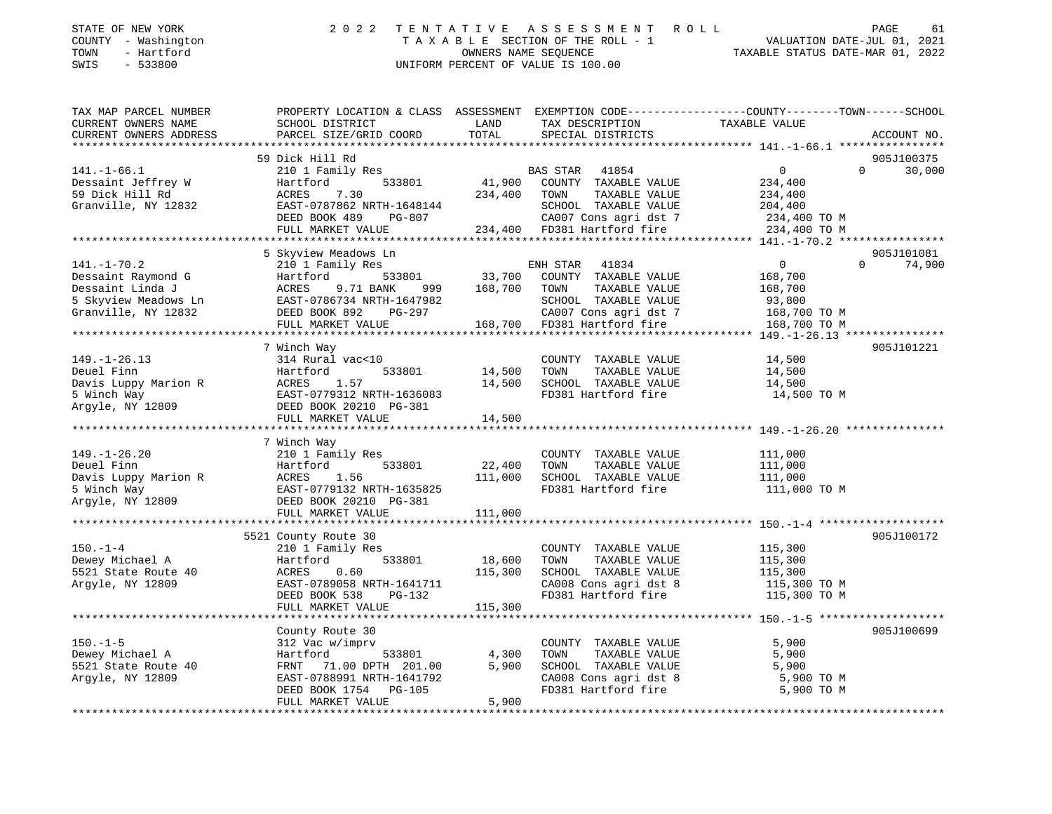| STATE OF NEW YORK   | 2022 TENTATIVE ASSESSMENT ROLL     |                                  | PAGE | -61 |
|---------------------|------------------------------------|----------------------------------|------|-----|
| COUNTY - Washington | TAXABLE SECTION OF THE ROLL - 1    | VALUATION DATE-JUL 01, 2021      |      |     |
| TOWN<br>- Hartford  | OWNERS NAME SEOUENCE               | TAXABLE STATUS DATE-MAR 01, 2022 |      |     |
| $-533800$<br>SWIS   | UNIFORM PERCENT OF VALUE IS 100.00 |                                  |      |     |
|                     |                                    |                                  |      |     |

| TAX MAP PARCEL NUMBER                   | PROPERTY LOCATION & CLASS ASSESSMENT EXEMPTION CODE---------------COUNTY-------TOWN-----SCHOOL                                           |                  |                                                                    |                         |                    |
|-----------------------------------------|------------------------------------------------------------------------------------------------------------------------------------------|------------------|--------------------------------------------------------------------|-------------------------|--------------------|
| CURRENT OWNERS NAME                     | SCHOOL DISTRICT                                                                                                                          | LAND             | TAX DESCRIPTION                                                    | TAXABLE VALUE           |                    |
| CURRENT OWNERS ADDRESS                  | PARCEL SIZE/GRID COORD                                                                                                                   | TOTAL            | SPECIAL DISTRICTS                                                  |                         | ACCOUNT NO.        |
|                                         |                                                                                                                                          |                  |                                                                    |                         |                    |
|                                         | 59 Dick Hill Rd                                                                                                                          |                  |                                                                    |                         | 905J100375         |
| $141. - 1 - 66.1$                       | 210 1 Family Res                                                                                                                         |                  | BAS STAR 41854                                                     | $\overline{0}$          | $\Omega$<br>30,000 |
| Dessaint Jeffrey W                      | 533801<br>Hartford                                                                                                                       | 41,900           | COUNTY TAXABLE VALUE                                               | 234,400                 |                    |
| 59 Dick Hill Rd                         | 7.30<br>ACRES                                                                                                                            | 234,400          | TAXABLE VALUE<br>TOWN                                              | 234,400                 |                    |
|                                         |                                                                                                                                          |                  |                                                                    |                         |                    |
| Granville, NY 12832                     | --<br>EAST-0787862 NRTH-1648144<br>DEED BOOK 489 PG-807                                                                                  |                  | SCHOOL TAXABLE VALUE 204,400<br>CA007 Cons agri dst 7 234,400 TO M |                         |                    |
|                                         |                                                                                                                                          |                  |                                                                    |                         |                    |
|                                         | FULL MARKET VALUE 234,400 FD381 Hartford fire                                                                                            |                  |                                                                    | 234,400 TO M            |                    |
|                                         |                                                                                                                                          |                  |                                                                    |                         |                    |
|                                         | 5 Skyview Meadows Ln                                                                                                                     |                  |                                                                    |                         | 905J101081         |
| $141. - 1 - 70.2$                       | 210 1 Family Res                                                                                                                         |                  | ENH STAR 41834                                                     | $\overline{0}$          | $\Omega$<br>74,900 |
| Dessaint Raymond G                      | 533801<br>Hartford                                                                                                                       |                  | 33,700 COUNTY TAXABLE VALUE                                        | 168,700                 |                    |
|                                         |                                                                                                                                          | 999 168,700 TOWN | TAXABLE VALUE                                                      | 168,700                 |                    |
|                                         |                                                                                                                                          |                  | SCHOOL TAXABLE VALUE                                               | 93,800                  |                    |
|                                         | Pessaint Linda J<br>Bessaint Linda J<br>S Skyview Meadows Ln<br>EAST-0786734 NRTH-1647982<br>Granville, NY 12832<br>DEED BOOK 892 PG-297 |                  | CA007 Cons agri dst 7                                              | 168,700 TO M            |                    |
|                                         | FULL MARKET VALUE                                                                                                                        |                  |                                                                    | 168,700 TO M            |                    |
|                                         |                                                                                                                                          |                  |                                                                    |                         |                    |
|                                         | 7 Winch Way                                                                                                                              |                  |                                                                    |                         | 905J101221         |
| $149. - 1 - 26.13$                      | 314 Rural vac<10                                                                                                                         |                  | COUNTY TAXABLE VALUE                                               | 14,500                  |                    |
|                                         |                                                                                                                                          | 14,500           | TOWN<br>TAXABLE VALUE                                              | 14,500                  |                    |
|                                         |                                                                                                                                          | 14,500           | SCHOOL TAXABLE VALUE                                               | 14,500                  |                    |
|                                         |                                                                                                                                          |                  | FD381 Hartford fire                                                | 14,500 TO M             |                    |
|                                         | Deuel Finn<br>Davis Luppy Marion R<br>5 Winch Way<br>Argyle, NY 12809<br>DEED BOOK 20210 PG-381<br>DEED BOOK 20210 PG-381                |                  |                                                                    |                         |                    |
|                                         |                                                                                                                                          |                  |                                                                    |                         |                    |
|                                         | FULL MARKET VALUE                                                                                                                        | 14,500           |                                                                    |                         |                    |
|                                         |                                                                                                                                          |                  |                                                                    |                         |                    |
|                                         | 7 Winch Way                                                                                                                              |                  |                                                                    |                         |                    |
| $149. - 1 - 26.20$                      | 210 1 Family Res                                                                                                                         |                  | COUNTY TAXABLE VALUE                                               | 111,000                 |                    |
| Deuel Finn                              | 533801<br>Hartford                                                                                                                       | 22,400           | TAXABLE VALUE<br>TOWN                                              | 111,000                 |                    |
| Davis Luppy Marion R ACRES              | 1.56                                                                                                                                     | 111,000          | SCHOOL TAXABLE VALUE                                               | 111,000                 |                    |
| 5 Winch Way                             | EAST-0779132 NRTH-1635825                                                                                                                |                  | FD381 Hartford fire                                                | 111,000 TO M            |                    |
| Argyle, NY 12809 DEED BOOK 20210 PG-381 |                                                                                                                                          |                  |                                                                    |                         |                    |
|                                         | FULL MARKET VALUE                                                                                                                        | 111,000          |                                                                    |                         |                    |
|                                         |                                                                                                                                          | ***********      |                                                                    |                         |                    |
|                                         | 5521 County Route 30                                                                                                                     |                  |                                                                    |                         | 905J100172         |
| $150. - 1 - 4$                          | 210 1 Family Res                                                                                                                         |                  | COUNTY TAXABLE VALUE                                               | 115,300                 |                    |
| Dewey Michael A                         | 533801<br>Hartford                                                                                                                       | 18,600           | TOWN<br>TAXABLE VALUE                                              | 115,300                 |                    |
| 5521 State Route 40                     | 0.60<br>ACRES                                                                                                                            | 115,300          | SCHOOL TAXABLE VALUE                                               | 115,300                 |                    |
| Argyle, NY 12809                        | EAST-0789058 NRTH-1641711                                                                                                                |                  | CA008 Cons agri dst 8                                              | 115,300<br>115,300 TO M |                    |
|                                         | DEED BOOK 538<br>PG-132                                                                                                                  |                  | FD381 Hartford fire                                                | 115,300 TO M            |                    |
|                                         | FULL MARKET VALUE                                                                                                                        | 115,300          |                                                                    |                         |                    |
|                                         |                                                                                                                                          |                  |                                                                    |                         |                    |
|                                         | County Route 30                                                                                                                          |                  |                                                                    |                         | 905J100699         |
| $150. - 1 - 5$                          | 312 Vac w/imprv                                                                                                                          |                  | COUNTY TAXABLE VALUE                                               | 5,900                   |                    |
|                                         |                                                                                                                                          | 4,300            | TOWN                                                               | 5,900                   |                    |
| Dewey Michael A                         | Hartford<br>533801                                                                                                                       |                  | TAXABLE VALUE                                                      |                         |                    |
| 5521 State Route 40                     | FRNT 71.00 DPTH 201.00                                                                                                                   | 5,900            | SCHOOL TAXABLE VALUE                                               | 5,900                   |                    |
| Argyle, NY 12809                        | EAST-0788991 NRTH-1641792                                                                                                                |                  | CA008 Cons agri dst 8                                              | 5,900 TO M              |                    |
|                                         | DEED BOOK 1754 PG-105                                                                                                                    |                  | FD381 Hartford fire                                                | 5,900 TO M              |                    |
|                                         | FULL MARKET VALUE                                                                                                                        | 5,900            |                                                                    |                         |                    |
|                                         |                                                                                                                                          |                  |                                                                    |                         |                    |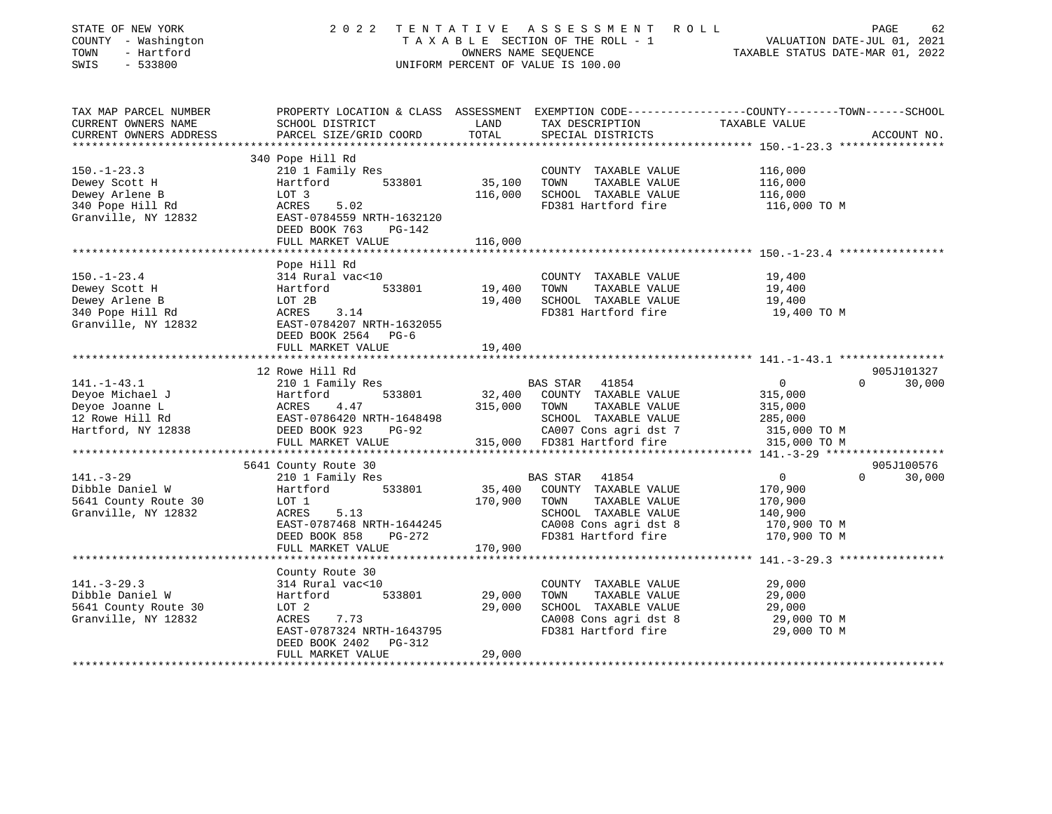| STATE OF NEW YORK<br>COUNTY - Washington<br>- Hartford<br>TOWN<br>SWIS<br>$-533800$             | 2 0 2 2<br>TENTATIVE                                                                                                                                                  | OWNERS NAME SEOUENCE         | ASSESSMENT ROLL<br>T A X A B L E SECTION OF THE ROLL - 1<br>OWNERS NAME SECUENCE<br>UNIFORM PERCENT OF VALUE IS 100.00                    | PAGE<br>62<br>VALUATION DATE-JUL 01, 2021<br>TAXABLE STATUS DATE-MAR 01, 2022                                                    |
|-------------------------------------------------------------------------------------------------|-----------------------------------------------------------------------------------------------------------------------------------------------------------------------|------------------------------|-------------------------------------------------------------------------------------------------------------------------------------------|----------------------------------------------------------------------------------------------------------------------------------|
| TAX MAP PARCEL NUMBER<br>CURRENT OWNERS NAME<br>CURRENT OWNERS ADDRESS<br>******************    | SCHOOL DISTRICT<br>PARCEL SIZE/GRID COORD                                                                                                                             | LAND<br>TOTAL                | TAX DESCRIPTION<br>SPECIAL DISTRICTS                                                                                                      | PROPERTY LOCATION & CLASS ASSESSMENT EXEMPTION CODE----------------COUNTY-------TOWN------SCHOOL<br>TAXABLE VALUE<br>ACCOUNT NO. |
|                                                                                                 | 340 Pope Hill Rd                                                                                                                                                      |                              |                                                                                                                                           |                                                                                                                                  |
| $150. - 1 - 23.3$<br>Dewey Scott H<br>Dewey Arlene B<br>340 Pope Hill Rd<br>Granville, NY 12832 | 210 1 Family Res<br>533801<br>Hartford<br>LOT 3<br>ACRES<br>5.02<br>EAST-0784559 NRTH-1632120<br>DEED BOOK 763<br>PG-142                                              | 35,100<br>116,000            | COUNTY TAXABLE VALUE<br>TOWN<br>TAXABLE VALUE<br>SCHOOL TAXABLE VALUE<br>FD381 Hartford fire                                              | 116,000<br>116,000<br>116,000<br>116,000 TO M                                                                                    |
|                                                                                                 | FULL MARKET VALUE                                                                                                                                                     | 116,000                      |                                                                                                                                           |                                                                                                                                  |
|                                                                                                 |                                                                                                                                                                       | **************               |                                                                                                                                           | ********************************** 150.-1-23.4 ********                                                                          |
| $150. - 1 - 23.4$<br>Dewey Scott H<br>Dewey Arlene B<br>340 Pope Hill Rd<br>Granville, NY 12832 | Pope Hill Rd<br>314 Rural vac<10<br>533801<br>Hartford<br>LOT 2B<br>ACRES<br>3.14<br>EAST-0784207 NRTH-1632055<br>DEED BOOK 2564 PG-6                                 | 19,400<br>19,400             | COUNTY TAXABLE VALUE<br>TOWN<br>TAXABLE VALUE<br>SCHOOL TAXABLE VALUE<br>FD381 Hartford fire                                              | 19,400<br>19,400<br>19,400<br>19,400 TO M                                                                                        |
|                                                                                                 | FULL MARKET VALUE                                                                                                                                                     | 19,400                       |                                                                                                                                           |                                                                                                                                  |
|                                                                                                 | ******************************                                                                                                                                        |                              |                                                                                                                                           |                                                                                                                                  |
|                                                                                                 | 12 Rowe Hill Rd                                                                                                                                                       |                              |                                                                                                                                           | 905J101327                                                                                                                       |
| $141. - 1 - 43.1$<br>Deyoe Michael J<br>Deyoe Joanne L<br>12 Rowe Hill Rd<br>Hartford, NY 12838 | 210 1 Family Res<br>533801<br>Hartford<br>ACRES<br>4.47<br>EAST-0786420 NRTH-1648498<br>DEED BOOK 923<br>PG-92<br>FULL MARKET VALUE                                   | 32,400<br>315,000 TOWN       | BAS STAR 41854<br>COUNTY TAXABLE VALUE<br>TAXABLE VALUE<br>SCHOOL TAXABLE VALUE<br>CA007 Cons agri dst 7<br>$315,000$ FD381 Hartford fire | $\overline{0}$<br>$\Omega$<br>30,000<br>315,000<br>315,000<br>285,000<br>315,000 TO M<br>315,000 TO M                            |
|                                                                                                 |                                                                                                                                                                       |                              |                                                                                                                                           |                                                                                                                                  |
| $141. - 3 - 29$<br>Dibble Daniel W<br>5641 County Route 30<br>Granville, NY 12832               | 5641 County Route 30<br>210 1 Family Res<br>533801<br>Hartford<br>LOT 1<br>ACRES<br>5.13<br>EAST-0787468 NRTH-1644245<br>DEED BOOK 858<br>PG-272<br>FULL MARKET VALUE | 35,400<br>170,900<br>170,900 | BAS STAR 41854<br>COUNTY TAXABLE VALUE<br>TAXABLE VALUE<br>TOWN<br>SCHOOL TAXABLE VALUE<br>CA008 Cons agri dst 8<br>FD381 Hartford fire   | 905J100576<br>$\overline{0}$<br>$\Omega$<br>30,000<br>170,900<br>170,900<br>140,900<br>170,900 TO M<br>170,900 TO M              |
|                                                                                                 |                                                                                                                                                                       |                              |                                                                                                                                           |                                                                                                                                  |
| $141. - 3 - 29.3$<br>Dibble Daniel W<br>5641 County Route 30<br>Granville, NY 12832             | County Route 30<br>314 Rural vac<10<br>533801<br>Hartford<br>LOT 2<br>7.73<br>ACRES<br>EAST-0787324 NRTH-1643795<br>DEED BOOK 2402<br>PG-312<br>FULL MARKET VALUE     | 29,000<br>29,000<br>29,000   | COUNTY TAXABLE VALUE<br>TOWN<br>TAXABLE VALUE<br>SCHOOL TAXABLE VALUE<br>CA008 Cons agri dst 8<br>FD381 Hartford fire                     | 29,000<br>29,000<br>29,000<br>29,000 TO M<br>29,000 TO M                                                                         |
|                                                                                                 |                                                                                                                                                                       |                              |                                                                                                                                           |                                                                                                                                  |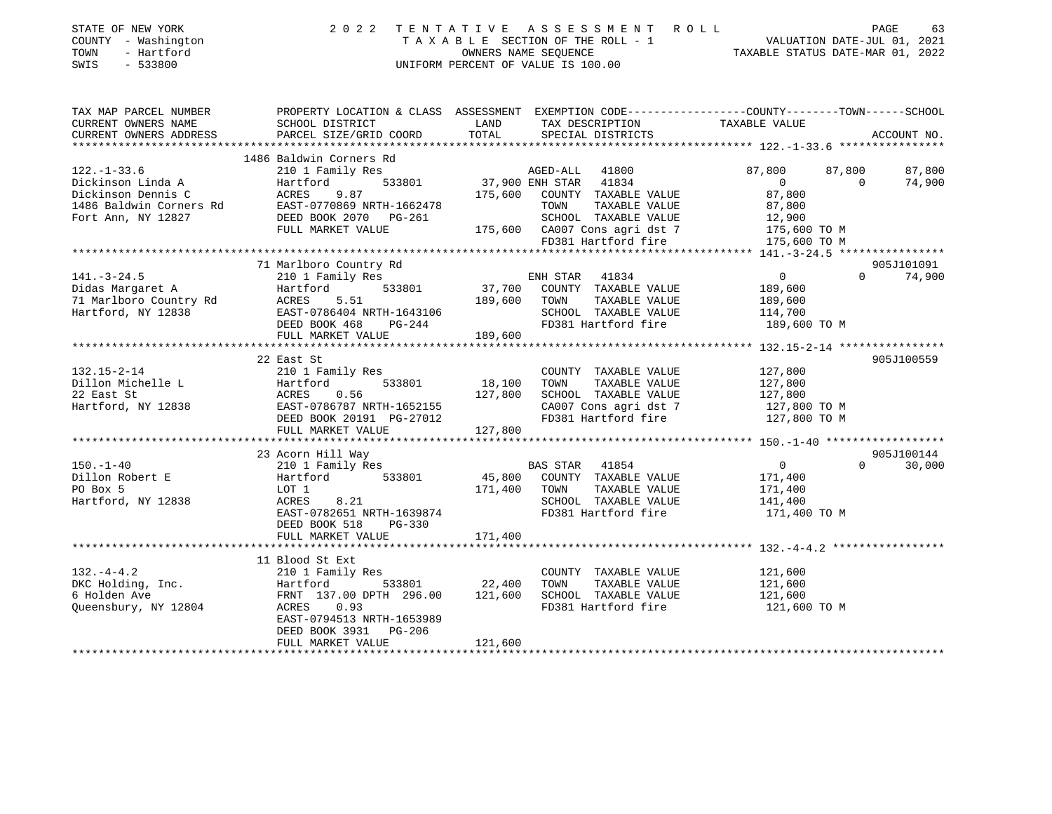| COUNTY - Washington<br>TOWN<br>- Hartford<br>SWIS<br>$-533800$                                                | T A X A B L E SECTION OF THE ROLL - 1<br>UNIFORM PERCENT OF VALUE IS 100.00                                                                                                                           | VALUATION DATE-JUL 01, 2021<br>TAXABLE STATUS DATE-MAR 01, 2022                                                                                                                     |                                                                                                                                |
|---------------------------------------------------------------------------------------------------------------|-------------------------------------------------------------------------------------------------------------------------------------------------------------------------------------------------------|-------------------------------------------------------------------------------------------------------------------------------------------------------------------------------------|--------------------------------------------------------------------------------------------------------------------------------|
| TAX MAP PARCEL NUMBER<br>CURRENT OWNERS NAME<br>CURRENT OWNERS ADDRESS<br>*************************           | SCHOOL DISTRICT<br>PARCEL SIZE/GRID COORD                                                                                                                                                             | LAND<br>TAX DESCRIPTION<br>TOTAL<br>SPECIAL DISTRICTS                                                                                                                               | PROPERTY LOCATION & CLASS ASSESSMENT EXEMPTION CODE---------------COUNTY-------TOWN-----SCHOOL<br>TAXABLE VALUE<br>ACCOUNT NO. |
| $122. - 1 - 33.6$<br>Dickinson Linda A<br>Dickinson Dennis C<br>1486 Baldwin Corners Rd<br>Fort Ann, NY 12827 | 1486 Baldwin Corners Rd<br>210 1 Family Res<br>Hartford<br>533801<br>9.87<br>ACRES<br>EAST-0770869 NRTH-1662478<br>DEED BOOK 2070 PG-261<br>FULL MARKET VALUE                                         | AGED-ALL 41800<br>37,900 ENH STAR 41834<br>175,600<br>COUNTY TAXABLE VALUE<br>TOWN<br>TAXABLE VALUE<br>SCHOOL TAXABLE VALUE<br>175,600 CA007 Cons agri dst 7<br>FD381 Hartford fire | 87,800<br>87,800<br>87,800<br>$\Omega$<br>$\Omega$<br>74,900<br>87,800<br>87,800<br>12,900<br>175,600 TO M<br>175,600 TO M     |
| $141. - 3 - 24.5$<br>Didas Margaret A<br>71 Marlboro Country Rd<br>Hartford, NY 12838                         | 71 Marlboro Country Rd<br>210 1 Family Res<br>533801<br>Hartford<br>5.51<br>ACRES<br>EAST-0786404 NRTH-1643106<br>DEED BOOK 468 PG-244<br>FULL MARKET VALUE                                           | ENH STAR 41834<br>37,700<br>COUNTY TAXABLE VALUE<br>189,600<br>TAXABLE VALUE<br>TOWN<br>SCHOOL TAXABLE VALUE<br>FD381 Hartford fire<br>189,600                                      | 905J101091<br>$\Omega$<br>$\Omega$<br>74,900<br>189,600<br>189,600<br>114,700<br>189,600 TO M                                  |
| 132.15-2-14<br>Dillon Michelle L<br>22 East St<br>Hartford, NY 12838                                          | 22 East St<br>210 1 Family Res<br>533801<br>Hartford<br>0.56<br>ACRES<br>EAST-0786787 NRTH-1652155<br>DEED BOOK 20191 PG-27012<br>FULL MARKET VALUE                                                   | COUNTY TAXABLE VALUE<br>18,100<br>TOWN<br>TAXABLE VALUE<br>127,800<br>SCHOOL TAXABLE VALUE<br>CA007 Cons agri dst 7<br>FD381 Hartford fire<br>127,800                               | 905J100559<br>127,800<br>127,800<br>127,800<br>127,800 TO M<br>127,800 TO M                                                    |
| $150. - 1 - 40$<br>Dillon Robert E<br>PO Box 5<br>Hartford, NY 12838                                          | 23 Acorn Hill Way<br>210 1 Family Res<br>Hartford<br>533801<br>LOT 1<br>8.21<br>ACRES<br>EAST-0782651 NRTH-1639874<br>DEED BOOK 518<br>PG-330                                                         | BAS STAR<br>41854<br>45,800<br>COUNTY TAXABLE VALUE<br>171,400<br>TOWN<br>TAXABLE VALUE<br>SCHOOL TAXABLE VALUE<br>FD381 Hartford fire                                              | 905J100144<br>$\overline{0}$<br>$\Omega$<br>30,000<br>171,400<br>171,400<br>141,400<br>171,400 TO M                            |
| $132. -4 - 4.2$<br>DKC Holding, Inc.<br>6 Holden Ave<br>Queensbury, NY 12804                                  | FULL MARKET VALUE<br>11 Blood St Ext<br>210 1 Family Res<br>533801<br>Hartford<br>FRNT 137.00 DPTH 296.00<br>ACRES<br>0.93<br>EAST-0794513 NRTH-1653989<br>DEED BOOK 3931 PG-206<br>FULL MARKET VALUE | 171,400<br>COUNTY TAXABLE VALUE<br>22,400<br>TOWN<br>TAXABLE VALUE<br>121,600<br>SCHOOL TAXABLE VALUE<br>FD381 Hartford fire<br>121,600                                             | 121,600<br>121,600<br>121,600<br>121,600 TO M                                                                                  |

STATE OF NEW YORK 2022 TENTATIVE ASSESSMENT ROLL PAGE

63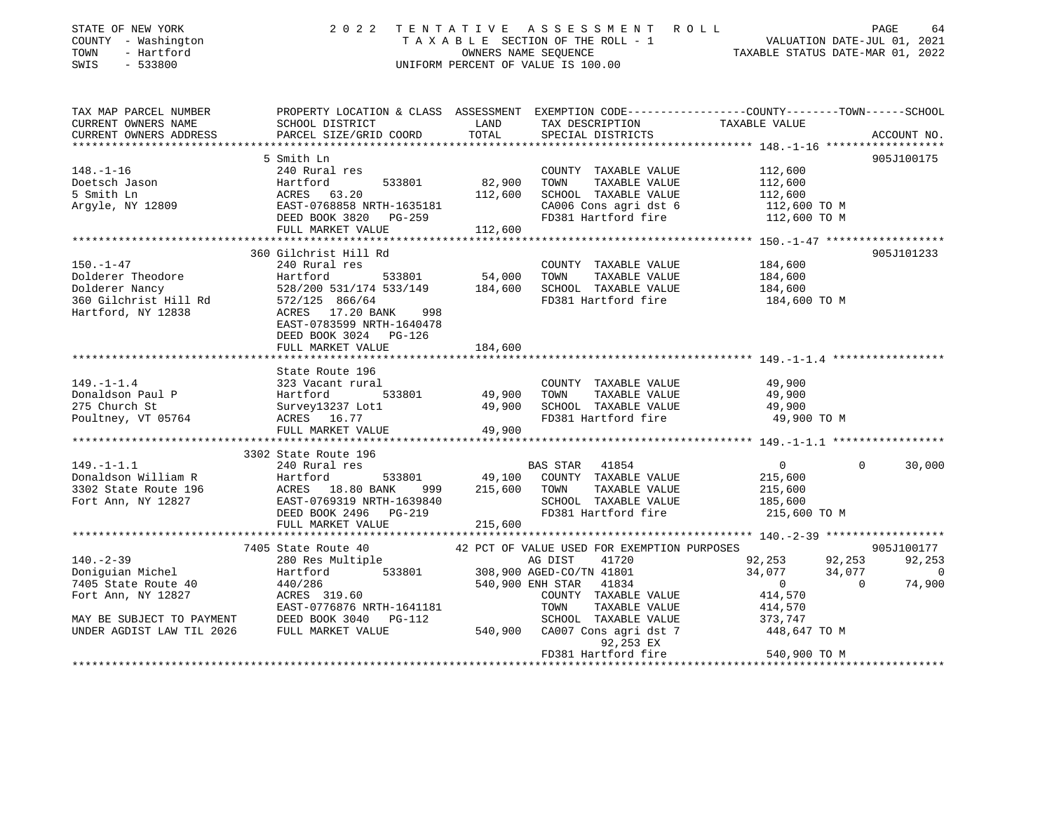| STATE OF NEW YORK<br>COUNTY - Washington<br>TOWN<br>- Hartford<br>SWIS<br>$-533800$ | 2 0 2 2                                                                       |                  | TENTATIVE ASSESSMENT ROLL<br>UNIFORM PERCENT OF VALUE IS 100.00 | TAXABLE SECTION OF THE ROLL - 1<br>VALUATION DATE-JUL 01, 2021<br>TAXABLE STATUS DATE-MAR 01, 2022               | PAGE<br>64         |
|-------------------------------------------------------------------------------------|-------------------------------------------------------------------------------|------------------|-----------------------------------------------------------------|------------------------------------------------------------------------------------------------------------------|--------------------|
| TAX MAP PARCEL NUMBER<br>CURRENT OWNERS NAME                                        | SCHOOL DISTRICT                                                               | LAND             | TAX DESCRIPTION                                                 | PROPERTY LOCATION & CLASS ASSESSMENT EXEMPTION CODE----------------COUNTY-------TOWN-----SCHOOL<br>TAXABLE VALUE |                    |
| CURRENT OWNERS ADDRESS                                                              | PARCEL SIZE/GRID COORD                                                        | TOTAL            | SPECIAL DISTRICTS                                               |                                                                                                                  | ACCOUNT NO.        |
|                                                                                     |                                                                               |                  |                                                                 |                                                                                                                  |                    |
|                                                                                     | 5 Smith Ln                                                                    |                  |                                                                 |                                                                                                                  | 905J100175         |
| $148. - 1 - 16$                                                                     | 240 Rural res                                                                 |                  | COUNTY TAXABLE VALUE                                            | 112,600                                                                                                          |                    |
| Doetsch Jason                                                                       | Hartford<br>ACRES 6<br>533801                                                 | 82,900           | TAXABLE VALUE<br>TOWN                                           | 112,600                                                                                                          |                    |
| 5 Smith Ln<br>Argyle, NY 12809                                                      | ACRES 63.20<br>EAST-0768858 NRTH-1635181                                      | 112,600          | SCHOOL TAXABLE VALUE<br>CA006 Cons agri dst 6                   | 112,600                                                                                                          |                    |
|                                                                                     | LASI-0/08858 NKTH-1635181<br>DEED BOOK 3820 PG-259                            |                  | FD381 Hartford fire                                             | 112,600 TO M<br>112,600 TO M                                                                                     |                    |
|                                                                                     | FULL MARKET VALUE                                                             | 112,600          |                                                                 |                                                                                                                  |                    |
|                                                                                     |                                                                               |                  |                                                                 |                                                                                                                  |                    |
|                                                                                     | 360 Gilchrist Hill Rd                                                         |                  |                                                                 |                                                                                                                  | 905J101233         |
| $150. - 1 - 47$                                                                     | 240 Rural res                                                                 |                  | COUNTY TAXABLE VALUE                                            | 184,600                                                                                                          |                    |
| Dolderer Theodore                                                                   | Hartford<br>533801                                                            | 54,000           | TOWN<br>TAXABLE VALUE                                           | 184,600                                                                                                          |                    |
| Dolderer Nancy                                                                      | 528/200 531/174 533/149                                                       | 184,600          | SCHOOL TAXABLE VALUE                                            | 184,600                                                                                                          |                    |
| 360 Gilchrist Hill Rd                                                               | 572/125 866/64                                                                |                  | FD381 Hartford fire                                             | 184,600 TO M                                                                                                     |                    |
| Hartford, NY 12838                                                                  | ACRES 17.20 BANK<br>998<br>EAST-0783599 NRTH-1640478<br>DEED BOOK 3024 PG-126 |                  |                                                                 |                                                                                                                  |                    |
|                                                                                     | FULL MARKET VALUE                                                             | 184,600          |                                                                 |                                                                                                                  |                    |
|                                                                                     |                                                                               |                  |                                                                 |                                                                                                                  |                    |
| $149. - 1 - 1.4$                                                                    | State Route 196<br>323 Vacant rural                                           |                  | COUNTY TAXABLE VALUE                                            | 49,900                                                                                                           |                    |
| Donaldson Paul P                                                                    | 533801<br>Hartford                                                            |                  | TAXABLE VALUE<br>TOWN                                           | 49,900                                                                                                           |                    |
| 275 Church St                                                                       | Survey13237 Lot1                                                              | 49,900<br>49,900 | SCHOOL TAXABLE VALUE                                            | 49,900                                                                                                           |                    |
| Poultney, VT 05764                                                                  | ACRES 16.77                                                                   |                  | FD381 Hartford fire                                             | 49,900 TO M                                                                                                      |                    |
|                                                                                     | FULL MARKET VALUE                                                             | 49,900           |                                                                 |                                                                                                                  |                    |
|                                                                                     |                                                                               |                  |                                                                 |                                                                                                                  |                    |
|                                                                                     | 3302 State Route 196                                                          |                  |                                                                 |                                                                                                                  |                    |
| $149. - 1 - 1.1$                                                                    | 240 Rural res                                                                 |                  | BAS STAR 41854                                                  | $\overline{0}$<br>$\Omega$                                                                                       | 30,000             |
| Donaldson William R                                                                 | Hartford<br>533801                                                            |                  | 49,100 COUNTY TAXABLE VALUE                                     | 215,600                                                                                                          |                    |
| 3302 State Route 196                                                                | ACRES 18.80 BANK 999 215,600 TOWN TAXABLE VALUE                               |                  |                                                                 | 215,600                                                                                                          |                    |
| Fort Ann, NY 12827                                                                  | EAST-0769319 NRTH-1639840                                                     |                  | SCHOOL TAXABLE VALUE                                            | 185,600                                                                                                          |                    |
|                                                                                     | DEED BOOK 2496    PG-219                                                      |                  | FD381 Hartford fire                                             | 215,600 TO M                                                                                                     |                    |
|                                                                                     | FULL MARKET VALUE                                                             | 215,600          |                                                                 |                                                                                                                  |                    |
|                                                                                     |                                                                               |                  |                                                                 |                                                                                                                  |                    |
|                                                                                     | 7405 State Route 40<br>280 Res Multiple                                       |                  | 42 PCT OF VALUE USED FOR EXEMPTION PURPOSES                     |                                                                                                                  | 905J100177         |
| $140. - 2 - 39$<br>Doniguian Michel                                                 | 533801<br>Hartford                                                            |                  | AG DIST 41720<br>308,900 AGED-CO/TN 41801                       | 92,253<br>92,253<br>34,077<br>34,077                                                                             | 92,253<br>$\sim$ 0 |
| 7405 State Route 40                                                                 | 440/286                                                                       |                  | 540,900 ENH STAR<br>41834                                       | $\overline{0}$<br>$\overline{0}$                                                                                 | 74,900             |
| Fort Ann, NY 12827                                                                  | ACRES 319.60                                                                  |                  | COUNTY TAXABLE VALUE                                            | 414,570                                                                                                          |                    |
|                                                                                     | EAST-0776876 NRTH-1641181                                                     |                  | TOWN<br>TAXABLE VALUE                                           | 414,570                                                                                                          |                    |
| MAY BE SUBJECT TO PAYMENT                                                           | DEED BOOK 3040 PG-112                                                         |                  | SCHOOL TAXABLE VALUE                                            |                                                                                                                  |                    |
| UNDER AGDIST LAW TIL 2026                                                           | FULL MARKET VALUE                                                             |                  | 540,900 CA007 Cons agri dst 7<br>92,253 EX                      | 373,747<br>448,647 TO M                                                                                          |                    |
|                                                                                     |                                                                               |                  | FD381 Hartford fire                                             | 540,900 TO M                                                                                                     |                    |
|                                                                                     |                                                                               |                  |                                                                 |                                                                                                                  |                    |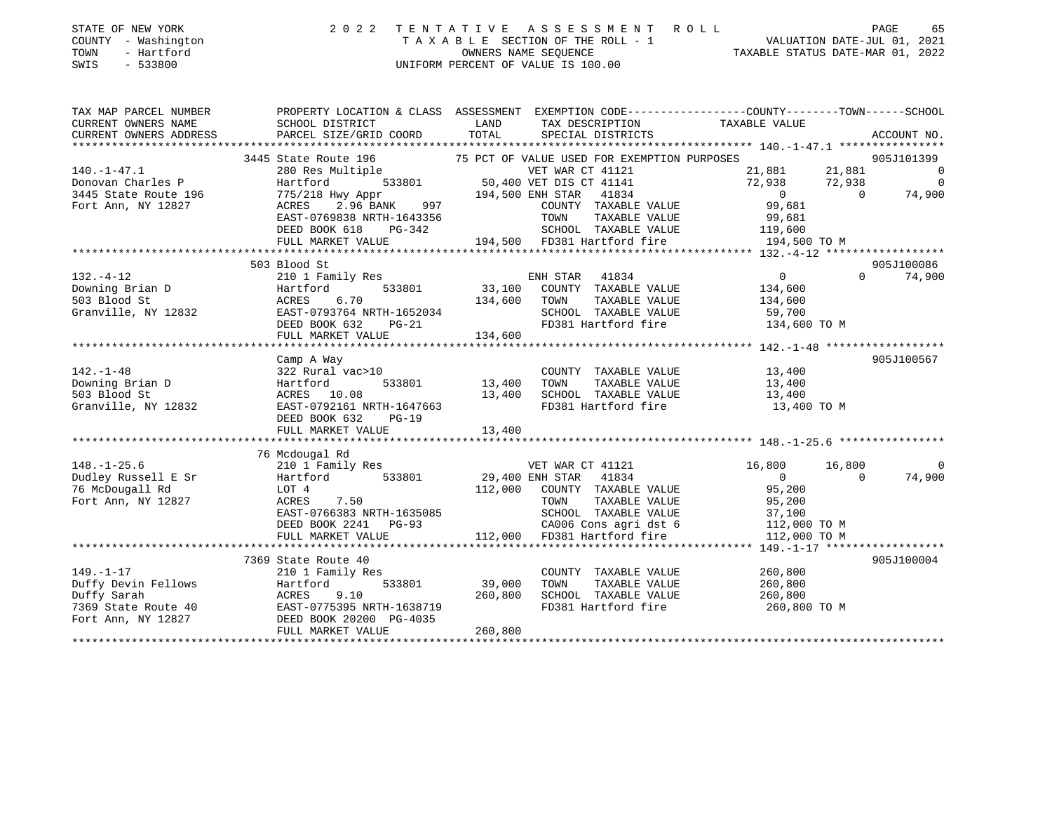| STATE OF NEW YORK<br>COUNTY - Washington<br>TOWN<br>- Hartford<br>SWIS - 533800 | 2022 TENTATIVE ASSESSMENT ROLL<br>TAXABLE SECTION OF THE ROLL - 1<br>OWNERS NAME SEOUENCE<br>UNIFORM PERCENT OF VALUE IS 100.00 | 65<br>PAGE<br>VALUATION DATE-JUL 01, 2021<br>TAXABLE STATUS DATE-MAR 01, 2022 |
|---------------------------------------------------------------------------------|---------------------------------------------------------------------------------------------------------------------------------|-------------------------------------------------------------------------------|
|                                                                                 |                                                                                                                                 |                                                                               |

| TAX MAP PARCEL NUMBER                                                                                                                                                                                                                          |                                                                                                                                                         |                                                                                                                         | PROPERTY LOCATION & CLASS ASSESSMENT EXEMPTION CODE---------------COUNTY-------TOWN-----SCHOOL |                          |
|------------------------------------------------------------------------------------------------------------------------------------------------------------------------------------------------------------------------------------------------|---------------------------------------------------------------------------------------------------------------------------------------------------------|-------------------------------------------------------------------------------------------------------------------------|------------------------------------------------------------------------------------------------|--------------------------|
| CURRENT OWNERS NAME                                                                                                                                                                                                                            | SCHOOL DISTRICT                                                                                                                                         | <b>Example 12</b> LAND                                                                                                  | TAX DESCRIPTION TAXABLE VALUE                                                                  |                          |
|                                                                                                                                                                                                                                                | .CURRENT OWNERS ADDRESS PARCEL SIZE/GRID COORD TOTAL SPECIAL DISTRICTS ACCOUNT NO ACCOUNT NO ACCOUNT NO ARCEL SIZE/GRID COORD TOTAL SEECIAL DISTRICTS   |                                                                                                                         |                                                                                                |                          |
|                                                                                                                                                                                                                                                |                                                                                                                                                         |                                                                                                                         |                                                                                                |                          |
|                                                                                                                                                                                                                                                | 3445 State Route 196 75 PCT OF VALUE USED FOR EXEMPTION PURPOSES                                                                                        |                                                                                                                         |                                                                                                | 905J101399               |
| $140. - 1 - 47.1$                                                                                                                                                                                                                              |                                                                                                                                                         | 280 Res Multiple 533801 VET WAR CT 41121<br>Hartford 533801 50,400 VET DIS CT 41141                                     | 21,881 21,881<br>72,938 72,938                                                                 | $\overline{\phantom{0}}$ |
| Donovan Charles P                                                                                                                                                                                                                              | Hartford                                                                                                                                                |                                                                                                                         |                                                                                                | $\overline{\phantom{0}}$ |
| 3445 State Route 196                                                                                                                                                                                                                           |                                                                                                                                                         | 775/218 Hwy Appr 194,500 ENH STAR 41834<br>ACRES 2.96 BANK 997 COUNTY TAXABLE<br>EAST-0769838 NRTH-1643356 TOWN TAXABLE | $\overline{0}$                                                                                 | $\overline{0}$<br>74,900 |
| Fort Ann, NY 12827                                                                                                                                                                                                                             |                                                                                                                                                         | COUNTY TAXABLE VALUE<br>TOWN     TAXABLE VALUE                                                                          | 99,681                                                                                         |                          |
|                                                                                                                                                                                                                                                |                                                                                                                                                         | TOWN<br>TOWN                                                                                                            | 99,681                                                                                         |                          |
|                                                                                                                                                                                                                                                |                                                                                                                                                         |                                                                                                                         |                                                                                                |                          |
|                                                                                                                                                                                                                                                |                                                                                                                                                         |                                                                                                                         |                                                                                                |                          |
| $132.-4-12$<br>Downing Brian D<br>$12832$<br>Blood St<br>The Management Control of Table 1<br>The Management Control of Table 1<br>The Management Control of Table 1<br>The Management Control of Table 1<br>The Management Control of Table 1 |                                                                                                                                                         |                                                                                                                         |                                                                                                |                          |
|                                                                                                                                                                                                                                                | 503 Blood St                                                                                                                                            |                                                                                                                         |                                                                                                | 905J100086               |
|                                                                                                                                                                                                                                                | 210 1 Family Res                                                                                                                                        | ENH STAR 41834                                                                                                          | $\overline{0}$                                                                                 | $\Omega$<br>74,900       |
|                                                                                                                                                                                                                                                | Hartford                                                                                                                                                | $\overline{5}$ 33801 33,100 COUNTY TAXABLE VALUE $\overline{1}$ 134,600                                                 |                                                                                                |                          |
|                                                                                                                                                                                                                                                | ACRES 6.70                                                                                                                                              | 134,600 TOWN<br>TAXABLE VALUE                                                                                           | 134,600                                                                                        |                          |
|                                                                                                                                                                                                                                                | EAST-0793764 NRTH-1652034                                                                                                                               |                                                                                                                         | 59,700                                                                                         |                          |
|                                                                                                                                                                                                                                                | DEED BOOK 632                                                                                                                                           |                                                                                                                         |                                                                                                |                          |
|                                                                                                                                                                                                                                                | FULL MARKET VALUE                                                                                                                                       | 134,600                                                                                                                 |                                                                                                |                          |
|                                                                                                                                                                                                                                                |                                                                                                                                                         |                                                                                                                         |                                                                                                |                          |
|                                                                                                                                                                                                                                                | Camp A Way                                                                                                                                              |                                                                                                                         |                                                                                                | 905J100567               |
| $142. - 1 - 48$                                                                                                                                                                                                                                | 322 Rural vac>10                                                                                                                                        |                                                                                                                         | COUNTY TAXABLE VALUE 13,400<br>TOWN TAXABLE VALUE 13,400                                       |                          |
| Downing Brian D                                                                                                                                                                                                                                | Hartford 533801 13,400 TOWN                                                                                                                             |                                                                                                                         |                                                                                                |                          |
| 503 Blood St                                                                                                                                                                                                                                   | ACRES 10.08                                                                                                                                             | 13,400 SCHOOL TAXABLE VALUE 13,400<br>RTH-1647663 FD381 Hartford fire 13,400                                            |                                                                                                |                          |
| Granville, NY 12832                                                                                                                                                                                                                            | EAST-0792161 NRTH-1647663                                                                                                                               |                                                                                                                         | 13,400 TO M                                                                                    |                          |
|                                                                                                                                                                                                                                                | DEED BOOK 632 PG-19                                                                                                                                     |                                                                                                                         |                                                                                                |                          |
|                                                                                                                                                                                                                                                |                                                                                                                                                         |                                                                                                                         |                                                                                                |                          |
|                                                                                                                                                                                                                                                |                                                                                                                                                         |                                                                                                                         |                                                                                                |                          |
|                                                                                                                                                                                                                                                | 148.-1-25.6<br>210 1 Family Res<br>210 1 Family Res<br>29,400 ENH STAR 41834<br>29,400 ENH STAR 41834<br>29,400 ENH STAR 41834<br>29,400 ENH STAR 41834 |                                                                                                                         |                                                                                                |                          |
|                                                                                                                                                                                                                                                |                                                                                                                                                         |                                                                                                                         | 16,800 16,800                                                                                  |                          |
|                                                                                                                                                                                                                                                |                                                                                                                                                         |                                                                                                                         | $\overline{0}$                                                                                 | 74,900<br>$\overline{0}$ |
|                                                                                                                                                                                                                                                |                                                                                                                                                         | 112,000 COUNTY TAXABLE VALUE 95,200                                                                                     |                                                                                                |                          |
| Fort Ann, NY 12827                                                                                                                                                                                                                             | ACRES 7.50                                                                                                                                              |                                                                                                                         | TOWN TAXABLE VALUE 95,200<br>SCHOOL TAXABLE VALUE 37,100<br>CA006 Cons agri dst 6 112,000 TO M |                          |
|                                                                                                                                                                                                                                                | EAST-0766383 NRTH-1635085<br>DEED BOOK 2241 PG-93                                                                                                       |                                                                                                                         |                                                                                                |                          |
|                                                                                                                                                                                                                                                |                                                                                                                                                         |                                                                                                                         |                                                                                                |                          |
|                                                                                                                                                                                                                                                | FULL MARKET VALUE                                                                                                                                       | 112,000 FD381 Hartford fire                                                                                             | 112,000 TO M                                                                                   |                          |
|                                                                                                                                                                                                                                                |                                                                                                                                                         |                                                                                                                         |                                                                                                |                          |
|                                                                                                                                                                                                                                                | 7369 State Route 40                                                                                                                                     |                                                                                                                         |                                                                                                | 905J100004               |
| $149. - 1 - 17$                                                                                                                                                                                                                                | 210 1 Family Res                                                                                                                                        | COUNTY TAXABLE VALUE                                                                                                    | 260,800                                                                                        |                          |
|                                                                                                                                                                                                                                                | $533801$ 39,000                                                                                                                                         | TOWN<br>TAXABLE VALUE                                                                                                   | 260,800                                                                                        |                          |
|                                                                                                                                                                                                                                                |                                                                                                                                                         |                                                                                                                         | SCHOOL TAXABLE VALUE 260,800                                                                   |                          |
|                                                                                                                                                                                                                                                | ACRES 9.10 260,800<br>EAST-0775395 NRTH-1638719                                                                                                         | FD381 Hartford fire                                                                                                     | 260,800 TO M                                                                                   |                          |
|                                                                                                                                                                                                                                                |                                                                                                                                                         |                                                                                                                         |                                                                                                |                          |
|                                                                                                                                                                                                                                                | FULL MARKET VALUE                                                                                                                                       | 260,800                                                                                                                 |                                                                                                |                          |
|                                                                                                                                                                                                                                                |                                                                                                                                                         |                                                                                                                         |                                                                                                |                          |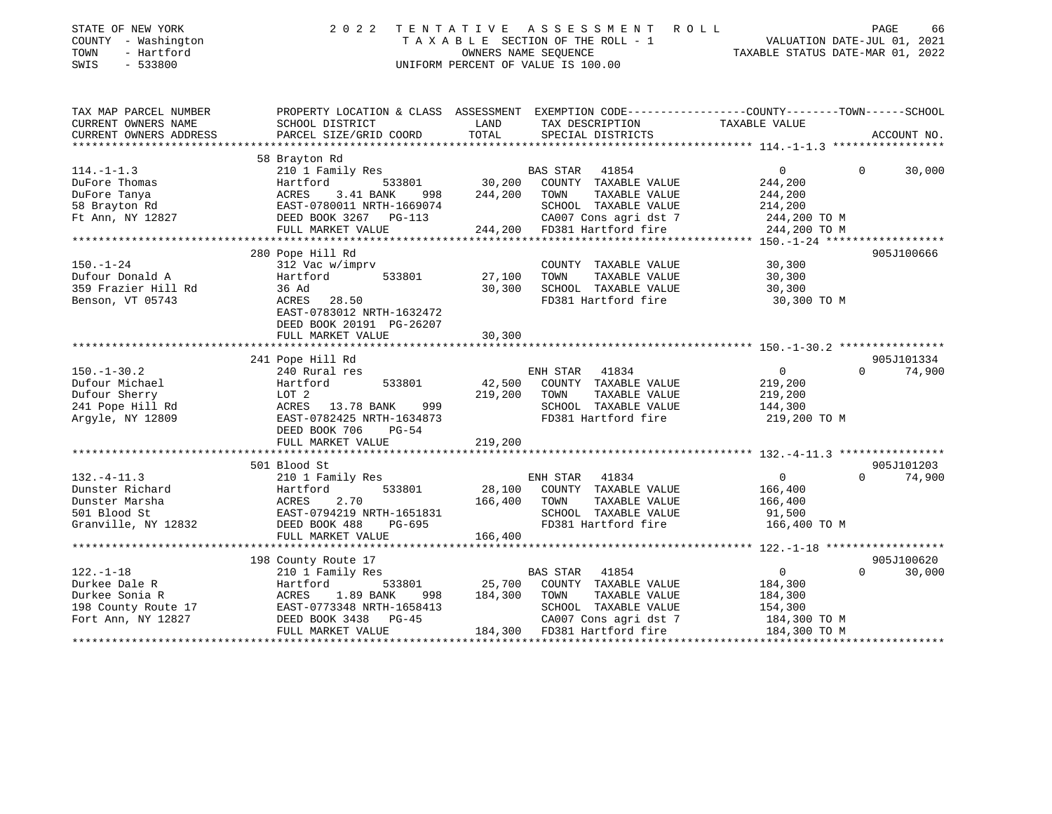| STATE OF NEW YORK<br>COUNTY - Washington<br>- Hartford<br>TOWN<br>SWIS<br>$-533800$ | 2 0 2 2                                                        | ASSESSMENT<br>TENTATIVE<br>ROLL<br>T A X A B L E SECTION OF THE ROLL - 1<br>OWNERS NAME SEOUENCE<br>UNIFORM PERCENT OF VALUE IS 100.00 | PAGE<br>66<br>VALUATION DATE-JUL 01, 2021<br>TAXABLE STATUS DATE-MAR 01, 2022 |
|-------------------------------------------------------------------------------------|----------------------------------------------------------------|----------------------------------------------------------------------------------------------------------------------------------------|-------------------------------------------------------------------------------|
| TAX MAP PARCEL NUMBER                                                               |                                                                | PROPERTY LOCATION & CLASS ASSESSMENT EXEMPTION CODE----------------COUNTY-------TOWN------SCHOOL                                       |                                                                               |
| CURRENT OWNERS NAME                                                                 | SCHOOL DISTRICT                                                | LAND<br>TAX DESCRIPTION                                                                                                                | TAXABLE VALUE                                                                 |
| CURRENT OWNERS ADDRESS                                                              | PARCEL SIZE/GRID COORD                                         | TOTAL<br>SPECIAL DISTRICTS                                                                                                             | ACCOUNT NO.                                                                   |
|                                                                                     | 58 Brayton Rd                                                  |                                                                                                                                        |                                                                               |
| $114. - 1 - 1.3$                                                                    | 210 1 Family Res                                               | BAS STAR<br>41854                                                                                                                      | 0<br>30,000<br>$\Omega$                                                       |
| DuFore Thomas                                                                       | Hartford<br>533801                                             | 30,200<br>COUNTY TAXABLE VALUE                                                                                                         | 244,200                                                                       |
| DuFore Tanya                                                                        | ACRES<br>3.41 BANK<br>998                                      | 244,200<br>TOWN<br>TAXABLE VALUE                                                                                                       | 244,200                                                                       |
| 58 Brayton Rd                                                                       | EAST-0780011 NRTH-1669074                                      | SCHOOL TAXABLE VALUE                                                                                                                   | 214,200                                                                       |
| Ft Ann, NY 12827                                                                    | DEED BOOK 3267<br>PG-113                                       | CA007 Cons agri dst 7                                                                                                                  | 244,200 TO M                                                                  |
|                                                                                     | FULL MARKET VALUE                                              | 244,200<br>FD381 Hartford fire                                                                                                         | 244,200 TO M                                                                  |
|                                                                                     | ************************                                       |                                                                                                                                        |                                                                               |
|                                                                                     | 280 Pope Hill Rd                                               |                                                                                                                                        | 905J100666                                                                    |
| $150. - 1 - 24$                                                                     | 312 Vac w/imprv                                                | COUNTY TAXABLE VALUE                                                                                                                   | 30,300                                                                        |
| Dufour Donald A                                                                     | Hartford<br>533801                                             | 27,100<br>TOWN<br>TAXABLE VALUE                                                                                                        | 30,300                                                                        |
| 359 Frazier Hill Rd                                                                 | 36 Ad<br>28.50                                                 | 30,300<br>SCHOOL TAXABLE VALUE<br>FD381 Hartford fire                                                                                  | 30,300                                                                        |
| Benson, VT 05743                                                                    | ACRES<br>EAST-0783012 NRTH-1632472<br>DEED BOOK 20191 PG-26207 |                                                                                                                                        | 30,300 TO M                                                                   |
|                                                                                     | FULL MARKET VALUE                                              | 30,300<br>* * * * * * * *                                                                                                              | ********************* 150. -1-30.2 *****************                          |
|                                                                                     | 241 Pope Hill Rd                                               |                                                                                                                                        | 905J101334                                                                    |
| $150. - 1 - 30.2$                                                                   | 240 Rural res                                                  | ENH STAR<br>41834                                                                                                                      | $\overline{0}$<br>74,900<br>$\Omega$                                          |
| Dufour Michael                                                                      | 533801<br>Hartford                                             | 42,500<br>COUNTY TAXABLE VALUE                                                                                                         | 219,200                                                                       |
| Dufour Sherry                                                                       | LOT 2                                                          | 219,200<br>TAXABLE VALUE<br>TOWN                                                                                                       | 219,200                                                                       |
| 241 Pope Hill Rd                                                                    | ACRES<br>13.78 BANK<br>999                                     | SCHOOL TAXABLE VALUE                                                                                                                   | 144,300                                                                       |
| Argyle, NY 12809                                                                    | EAST-0782425 NRTH-1634873                                      | FD381 Hartford fire                                                                                                                    | 219,200 TO M                                                                  |
|                                                                                     | DEED BOOK 706<br>$PG-54$                                       |                                                                                                                                        |                                                                               |
|                                                                                     | FULL MARKET VALUE                                              | 219,200                                                                                                                                |                                                                               |
|                                                                                     |                                                                |                                                                                                                                        |                                                                               |
|                                                                                     | 501 Blood St                                                   |                                                                                                                                        | 905J101203                                                                    |
| $132. -4 - 11.3$                                                                    | 210 1 Family Res                                               | 41834<br>ENH STAR                                                                                                                      | $\mathbf 0$<br>74,900<br>$\Omega$                                             |
| Dunster Richard                                                                     | 533801<br>Hartford                                             | 28,100<br>COUNTY TAXABLE VALUE                                                                                                         | 166,400                                                                       |
| Dunster Marsha                                                                      | ACRES<br>2.70                                                  | 166,400<br>TOWN<br>TAXABLE VALUE                                                                                                       | 166,400                                                                       |
| 501 Blood St                                                                        | EAST-0794219 NRTH-1651831                                      | SCHOOL TAXABLE VALUE                                                                                                                   | 91,500                                                                        |
| Granville, NY 12832                                                                 | DEED BOOK 488<br>$PG-695$                                      | FD381 Hartford fire                                                                                                                    | 166,400 TO M                                                                  |
|                                                                                     | FULL MARKET VALUE                                              | 166,400                                                                                                                                |                                                                               |
|                                                                                     | *****************************                                  |                                                                                                                                        |                                                                               |
|                                                                                     | 198 County Route 17                                            |                                                                                                                                        | 905J100620                                                                    |
| $122. - 1 - 18$                                                                     | 210 1 Family Res                                               | 41854<br><b>BAS STAR</b>                                                                                                               | 30,000<br>$\mathbf{0}$<br>$\Omega$                                            |
| Durkee Dale R                                                                       | Hartford<br>533801                                             | COUNTY TAXABLE VALUE<br>25,700                                                                                                         | 184,300                                                                       |
| Durkee Sonia R                                                                      | ACRES<br>1.89 BANK<br>998                                      | 184,300<br>TAXABLE VALUE<br>TOWN                                                                                                       | 184,300                                                                       |
| 198 County Route 17                                                                 | EAST-0773348 NRTH-1658413                                      | SCHOOL TAXABLE VALUE                                                                                                                   | 154,300                                                                       |
| Fort Ann, NY 12827                                                                  | DEED BOOK 3438<br>$PG-45$                                      | CA007 Cons agri dst 7                                                                                                                  | 184,300 TO M                                                                  |
|                                                                                     | FULL MARKET VALUE                                              | 184,300<br>FD381 Hartford fire                                                                                                         | 184,300 TO M                                                                  |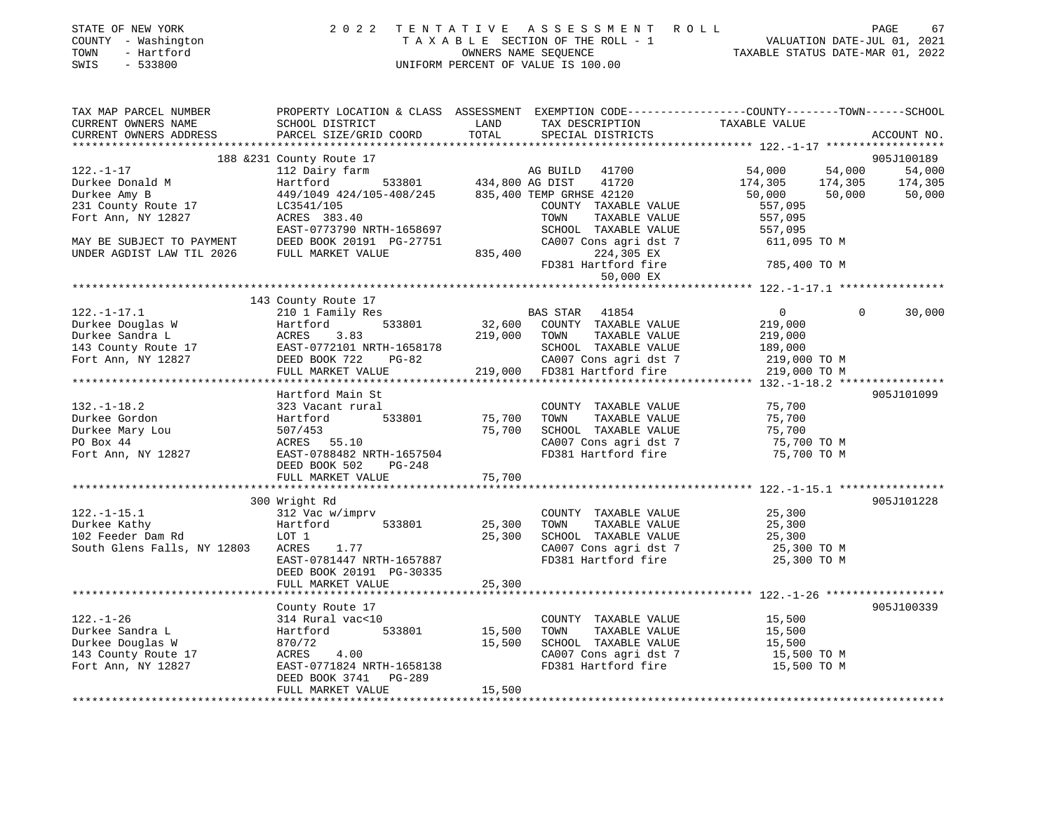| STATE OF NEW YORK<br>COUNTY - Washington<br>- Hartford<br>TOWN<br>SWIS<br>$-533800$ | 2 0 2 2                                   | TENTATIVE              | ASSESSMENT ROLL<br>T A X A B L E SECTION OF THE ROLL - 1<br>OWNERS NAME SEQUENCE<br>UNIFORM PERCENT OF VALUE IS 100.00 | VALUATION DATE-JUL 01, 2021<br>TAXABLE STATUS DATE-MAR 01, 2022                                                 | PAGE<br>67  |
|-------------------------------------------------------------------------------------|-------------------------------------------|------------------------|------------------------------------------------------------------------------------------------------------------------|-----------------------------------------------------------------------------------------------------------------|-------------|
| TAX MAP PARCEL NUMBER<br>CURRENT OWNERS NAME<br>CURRENT OWNERS ADDRESS              | SCHOOL DISTRICT<br>PARCEL SIZE/GRID COORD | LAND<br>TOTAL          | TAX DESCRIPTION<br>SPECIAL DISTRICTS                                                                                   | PROPERTY LOCATION & CLASS ASSESSMENT EXEMPTION CODE---------------COUNTY-------TOWN-----SCHOOL<br>TAXABLE VALUE | ACCOUNT NO. |
|                                                                                     | 188 & 231 County Route 17                 |                        |                                                                                                                        |                                                                                                                 | 905J100189  |
| $122. - 1 - 17$                                                                     | 112 Dairy farm                            |                        | 41700<br>AG BUILD                                                                                                      | 54,000<br>54,000                                                                                                | 54,000      |
| Durkee Donald M                                                                     | Hartford                                  | 533801 434,800 AG DIST | 41720                                                                                                                  | 174,305<br>174,305                                                                                              | 174,305     |
| Durkee Amy B                                                                        | 449/1049 424/105-408/245                  |                        | 835,400 TEMP GRHSE 42120                                                                                               | 50,000<br>50,000                                                                                                | 50,000      |
| 231 County Route 17                                                                 | LC3541/105                                |                        | COUNTY TAXABLE VALUE                                                                                                   | 557,095                                                                                                         |             |
| Fort Ann, NY 12827                                                                  | ACRES 383.40                              |                        | TOWN<br>TAXABLE VALUE                                                                                                  | 557,095                                                                                                         |             |
|                                                                                     | EAST-0773790 NRTH-1658697                 |                        | SCHOOL TAXABLE VALUE                                                                                                   | 557,095                                                                                                         |             |
| MAY BE SUBJECT TO PAYMENT                                                           | DEED BOOK 20191 PG-27751                  |                        | CA007 Cons agri dst 7                                                                                                  | 611,095 TO M                                                                                                    |             |
| UNDER AGDIST LAW TIL 2026                                                           | FULL MARKET VALUE                         | 835,400                | 224,305 EX                                                                                                             | 785,400 TO M                                                                                                    |             |
|                                                                                     |                                           |                        | FD381 Hartford fire<br>50,000 EX                                                                                       |                                                                                                                 |             |
|                                                                                     |                                           |                        |                                                                                                                        |                                                                                                                 |             |
|                                                                                     | 143 County Route 17                       |                        |                                                                                                                        |                                                                                                                 |             |
| $122. - 1 - 17.1$                                                                   | 210 1 Family Res                          |                        | BAS STAR 41854                                                                                                         | $\overline{0}$<br>$\Omega$                                                                                      | 30,000      |
| Durkee Douglas W                                                                    | Hartford<br>533801                        | 32,600                 | COUNTY TAXABLE VALUE                                                                                                   | 219,000                                                                                                         |             |
| Durkee Sandra L                                                                     | ACRES<br>3.83                             | 219,000                | TOWN<br>TAXABLE VALUE                                                                                                  | 219,000                                                                                                         |             |
| 143 County Route 17                                                                 | EAST-0772101 NRTH-1658178                 |                        | SCHOOL TAXABLE VALUE                                                                                                   | 189,000                                                                                                         |             |
| Fort Ann, NY 12827                                                                  | DEED BOOK 722<br>$PG-82$                  |                        | CA007 Cons agri dst 7                                                                                                  | 219,000 TO M                                                                                                    |             |
|                                                                                     | FULL MARKET VALUE                         | 219,000                | FD381 Hartford fire                                                                                                    | 219,000 TO M                                                                                                    |             |
|                                                                                     |                                           |                        |                                                                                                                        |                                                                                                                 |             |
|                                                                                     | Hartford Main St                          |                        |                                                                                                                        |                                                                                                                 | 905J101099  |
| $132. - 1 - 18.2$                                                                   | 323 Vacant rural                          |                        | COUNTY TAXABLE VALUE                                                                                                   | 75,700                                                                                                          |             |
| Durkee Gordon                                                                       | Hartford<br>533801                        | 75,700                 | TOWN<br>TAXABLE VALUE                                                                                                  | 75,700                                                                                                          |             |
| Durkee Mary Lou                                                                     | 507/453                                   | 75,700                 | SCHOOL TAXABLE VALUE                                                                                                   | 75,700                                                                                                          |             |
| PO Box 44                                                                           | ACRES 55.10                               |                        | CA007 Cons agri dst 7                                                                                                  | 75,700 TO M                                                                                                     |             |
| Fort Ann, NY 12827                                                                  | EAST-0788482 NRTH-1657504                 |                        | FD381 Hartford fire                                                                                                    | 75,700 TO M                                                                                                     |             |
|                                                                                     | DEED BOOK 502<br>PG-248                   |                        |                                                                                                                        |                                                                                                                 |             |
|                                                                                     | FULL MARKET VALUE                         | 75,700                 |                                                                                                                        |                                                                                                                 |             |
|                                                                                     | 300 Wright Rd                             |                        |                                                                                                                        |                                                                                                                 | 905J101228  |
| $122. - 1 - 15.1$                                                                   | 312 Vac w/imprv                           |                        | COUNTY TAXABLE VALUE                                                                                                   | 25,300                                                                                                          |             |
| Durkee Kathy                                                                        | 533801<br>Hartford                        | 25,300                 | TOWN<br>TAXABLE VALUE                                                                                                  | 25,300                                                                                                          |             |
| 102 Feeder Dam Rd                                                                   | LOT 1                                     | 25,300                 | SCHOOL TAXABLE VALUE                                                                                                   | 25,300                                                                                                          |             |
| South Glens Falls, NY 12803                                                         | ACRES<br>1.77                             |                        | CA007 Cons agri dst 7                                                                                                  | 25,300 TO M                                                                                                     |             |
|                                                                                     | EAST-0781447 NRTH-1657887                 |                        | FD381 Hartford fire                                                                                                    | 25,300 TO M                                                                                                     |             |
|                                                                                     | DEED BOOK 20191 PG-30335                  |                        |                                                                                                                        |                                                                                                                 |             |
|                                                                                     | FULL MARKET VALUE                         | 25,300                 |                                                                                                                        |                                                                                                                 |             |
|                                                                                     |                                           |                        |                                                                                                                        |                                                                                                                 |             |
|                                                                                     | County Route 17                           |                        |                                                                                                                        |                                                                                                                 | 905J100339  |
| $122. - 1 - 26$                                                                     | 314 Rural vac<10                          |                        | COUNTY TAXABLE VALUE                                                                                                   | 15,500                                                                                                          |             |
| Durkee Sandra L                                                                     | 533801<br>Hartford                        | 15,500                 | TOWN<br>TAXABLE VALUE                                                                                                  | 15,500                                                                                                          |             |
| Durkee Douglas W                                                                    | 870/72                                    | 15,500                 | SCHOOL TAXABLE VALUE                                                                                                   | 15,500                                                                                                          |             |
| 143 County Route 17                                                                 | ACRES<br>4.00                             |                        | CA007 Cons agri dst 7                                                                                                  | 15,500 TO M                                                                                                     |             |
| Fort Ann, NY 12827                                                                  | EAST-0771824 NRTH-1658138                 |                        | FD381 Hartford fire                                                                                                    | 15,500 TO M                                                                                                     |             |
|                                                                                     | DEED BOOK 3741 PG-289                     |                        |                                                                                                                        |                                                                                                                 |             |
|                                                                                     | FULL MARKET VALUE                         | 15,500                 |                                                                                                                        |                                                                                                                 |             |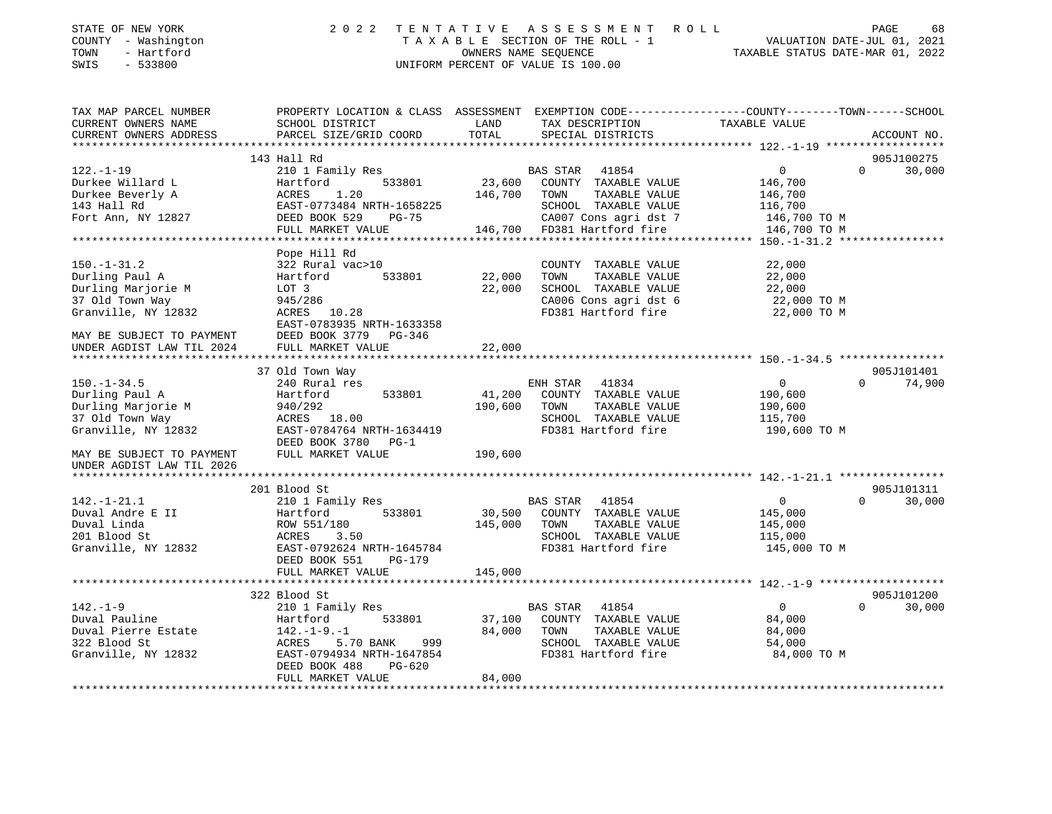| STATE OF NEW YORK<br>COUNTY - Washington<br>- Hartford<br>TOWN<br>SWIS<br>- 533800 | 2022 TENTATIVE ASSESSMENT ROLL<br>TAXABLE SECTION OF THE ROLL - 1<br>OWNERS NAME SEOUENCE<br>UNIFORM PERCENT OF VALUE IS 100.00 | VALUATION DATE-JUL 01, 2021<br>TAXABLE STATUS DATE-MAR 01, 2022 | PAGE | 68 |
|------------------------------------------------------------------------------------|---------------------------------------------------------------------------------------------------------------------------------|-----------------------------------------------------------------|------|----|
|                                                                                    |                                                                                                                                 |                                                                 |      |    |

| TAX MAP PARCEL NUMBER     | PROPERTY LOCATION & CLASS ASSESSMENT EXEMPTION CODE----------------COUNTY-------TOWN------SCHOOL                                                                                                                                                             |               |                                                                  |                         |                    |
|---------------------------|--------------------------------------------------------------------------------------------------------------------------------------------------------------------------------------------------------------------------------------------------------------|---------------|------------------------------------------------------------------|-------------------------|--------------------|
| CURRENT OWNERS NAME       | SCHOOL DISTRICT                                                                                                                                                                                                                                              | LAND          | TAX DESCRIPTION                                                  | TAXABLE VALUE           |                    |
| CURRENT OWNERS ADDRESS    | PARCEL SIZE/GRID COORD                                                                                                                                                                                                                                       | TOTAL         | SPECIAL DISTRICTS                                                |                         | ACCOUNT NO.        |
|                           |                                                                                                                                                                                                                                                              |               |                                                                  |                         |                    |
|                           | 143 Hall Rd                                                                                                                                                                                                                                                  |               |                                                                  |                         | 905J100275         |
| $122. - 1 - 19$           | 210 1 Family Res                                                                                                                                                                                                                                             |               | <b>BAS STAR 41854</b>                                            | $0 \qquad \qquad$       | $\Omega$<br>30,000 |
|                           |                                                                                                                                                                                                                                                              |               | 533801 23,600 COUNTY TAXABLE VALUE                               | 146,700                 |                    |
|                           | Durkee Willard L<br>Durkee Beverly A<br>143 Hall Rd<br>143 Hall Rd<br>143 Hall Rd<br>143 Hall Rd<br>143 Hall Rd<br>143 Hall Rd<br>143 Hall Rd<br>143 Hall Rd<br>143 Hall Rd<br>143 Hall Rd<br>143 Hall Rd<br>143 Hall Rd<br>148 DEED BOOK 529<br>145 Hall Rd | 146,700 TOWN  | TAXABLE VALUE                                                    | 146,700                 |                    |
|                           |                                                                                                                                                                                                                                                              |               | SCHOOL TAXABLE VALUE 116,700                                     |                         |                    |
|                           |                                                                                                                                                                                                                                                              |               |                                                                  | 146,700 TO M            |                    |
|                           | FULL MARKET VALUE                                                                                                                                                                                                                                            |               | CA007 Cons agri dst 7<br>146,700 FD381 Hartford fire             | 146,700 TO M            |                    |
|                           |                                                                                                                                                                                                                                                              |               |                                                                  |                         |                    |
|                           | Pope Hill Rd                                                                                                                                                                                                                                                 |               |                                                                  |                         |                    |
| $150. - 1 - 31.2$         | 322 Rural vac>10                                                                                                                                                                                                                                             |               | COUNTY TAXABLE VALUE                                             | 22,000                  |                    |
| Durling Paul A            | Hartford                                                                                                                                                                                                                                                     | 533801 22,000 | TAXABLE VALUE<br>TOWN                                            | 22,000                  |                    |
| Durling Marjorie M        | LOT 3                                                                                                                                                                                                                                                        | 22,000        |                                                                  |                         |                    |
| 37 Old Town Way           | 945/286                                                                                                                                                                                                                                                      |               | SCHOOL TAXABLE VALUE 22,000<br>CA006 Cons agri dst 6 22,000 TO M |                         |                    |
| Granville, NY 12832       | ACRES 10.28                                                                                                                                                                                                                                                  |               | FD381 Hartford fire 22,000 TO M                                  |                         |                    |
|                           | EAST-0783935 NRTH-1633358                                                                                                                                                                                                                                    |               |                                                                  |                         |                    |
|                           | DEED BOOK 3779 PG-346                                                                                                                                                                                                                                        |               |                                                                  |                         |                    |
|                           |                                                                                                                                                                                                                                                              | 22,000        |                                                                  |                         |                    |
|                           |                                                                                                                                                                                                                                                              |               |                                                                  |                         |                    |
|                           | 37 Old Town Way                                                                                                                                                                                                                                              |               |                                                                  |                         | 905J101401         |
| $150. - 1 - 34.5$         | 240 Rural res                                                                                                                                                                                                                                                |               | ENH STAR 41834                                                   | $\overline{0}$          | $\Omega$<br>74,900 |
| Durling Paul A            | Hartford<br>533801                                                                                                                                                                                                                                           |               | 41,200 COUNTY TAXABLE VALUE                                      | 190,600                 |                    |
| Durling Marjorie M        |                                                                                                                                                                                                                                                              | 190,600 TOWN  | TAXABLE VALUE                                                    | 190,600                 |                    |
| 37 Old Town Way           | 940/292<br>ACRES 18.00                                                                                                                                                                                                                                       |               | SCHOOL TAXABLE VALUE                                             | 115,700                 |                    |
| Granville, NY 12832       | EAST-0784764 NRTH-1634419                                                                                                                                                                                                                                    |               | FD381 Hartford fire 190,600 TO M                                 |                         |                    |
|                           | DEED BOOK 3780 PG-1                                                                                                                                                                                                                                          |               |                                                                  |                         |                    |
| MAY BE SUBJECT TO PAYMENT | FULL MARKET VALUE                                                                                                                                                                                                                                            | 190,600       |                                                                  |                         |                    |
| UNDER AGDIST LAW TIL 2026 |                                                                                                                                                                                                                                                              |               |                                                                  |                         |                    |
|                           |                                                                                                                                                                                                                                                              |               |                                                                  |                         |                    |
|                           | 201 Blood St                                                                                                                                                                                                                                                 |               |                                                                  |                         | 905J101311         |
| $142. - 1 - 21.1$         | 210 1 Family Res                                                                                                                                                                                                                                             |               | BAS STAR 41854                                                   | $\overline{0}$          | $\Omega$<br>30,000 |
| Duval Andre E II          |                                                                                                                                                                                                                                                              |               | 30,500 COUNTY TAXABLE VALUE                                      | 145,000                 |                    |
| Duval Linda               |                                                                                                                                                                                                                                                              | 145,000 TOWN  | TAXABLE VALUE                                                    | 145,000                 |                    |
| 201 Blood St              |                                                                                                                                                                                                                                                              |               |                                                                  |                         |                    |
| Granville, NY 12832       |                                                                                                                                                                                                                                                              |               | SCHOOL TAXABLE VALUE<br>FD381 Hartford fire                      | 115,000<br>145,000 TO M |                    |
|                           |                                                                                                                                                                                                                                                              |               |                                                                  |                         |                    |
|                           |                                                                                                                                                                                                                                                              | 145,000       |                                                                  |                         |                    |
|                           | Hartton.<br>ROW 551/180<br>ACRES 3.50<br>EAST-0792624 NRTH-1645784<br>DEED BOOK 551 PG-179<br>WART VALUE                                                                                                                                                     |               |                                                                  |                         |                    |
|                           | 322 Blood St                                                                                                                                                                                                                                                 |               |                                                                  |                         | 905J101200         |
| $142. - 1 - 9$            | 210 1 Family Res                                                                                                                                                                                                                                             |               |                                                                  | $\overline{0}$          | $\Omega$<br>30,000 |
| Duval Pauline             | 533801<br>Hartford                                                                                                                                                                                                                                           |               | BAS STAR 41854<br>37,100 COUNTY TAXABLE VALUE                    | 84,000                  |                    |
|                           |                                                                                                                                                                                                                                                              | 84,000 TOWN   | TAXABLE VALUE                                                    | 84,000                  |                    |
|                           | 5.70 BANK 999                                                                                                                                                                                                                                                |               | SCHOOL TAXABLE VALUE                                             | 54,000                  |                    |
| Granville, NY 12832       | EAST-0794934 NRTH-1647854                                                                                                                                                                                                                                    |               | FD381 Hartford fire                                              | 84,000 TO M             |                    |
|                           | DEED BOOK 488<br>PG-620                                                                                                                                                                                                                                      |               |                                                                  |                         |                    |
|                           | FULL MARKET VALUE                                                                                                                                                                                                                                            | 84,000        |                                                                  |                         |                    |
|                           |                                                                                                                                                                                                                                                              |               |                                                                  |                         |                    |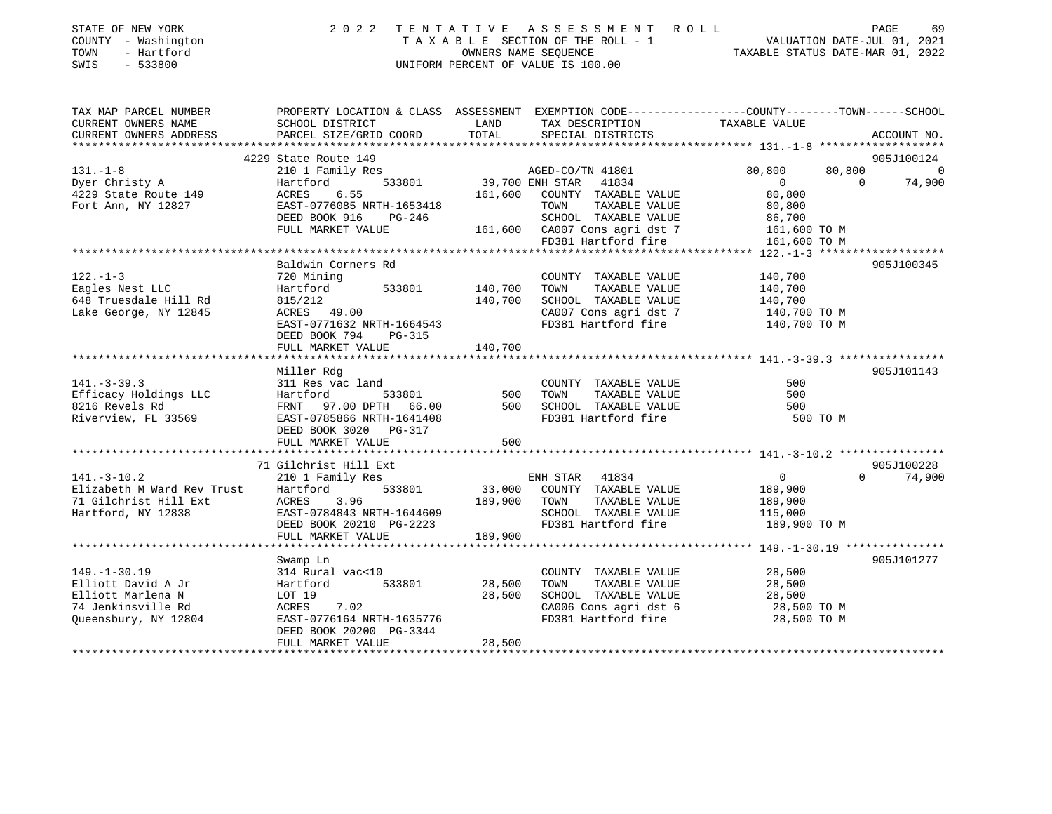| STATE OF NEW YORK<br>COUNTY - Washington<br>- Hartford<br>TOWN<br>SWIS<br>$-533800$ |                                                                                                                                                                                      | 2022 TENTATIVE ASSESSMENT ROLL<br>UNIFORM PERCENT OF VALUE IS 100.00                                                                                                                                                      | 69<br>PAGE<br>TAXABLE SECTION OF THE ROLL - 1 VALUATION DATE-JUL 01, 2021<br>OWNERS NAME SEQUENCE TAXABLE STATUS DATE-MAR 01, 2022            |
|-------------------------------------------------------------------------------------|--------------------------------------------------------------------------------------------------------------------------------------------------------------------------------------|---------------------------------------------------------------------------------------------------------------------------------------------------------------------------------------------------------------------------|-----------------------------------------------------------------------------------------------------------------------------------------------|
| TAX MAP PARCEL NUMBER<br>CURRENT OWNERS NAME<br>CURRENT OWNERS ADDRESS              | SCHOOL DISTRICT                                                                                                                                                                      | <b>Example 12</b><br>TAX DESCRIPTION TAXABLE VALUE                                                                                                                                                                        | PROPERTY LOCATION & CLASS ASSESSMENT EXEMPTION CODE----------------COUNTY-------TOWN-----SCHOOL                                               |
| 131.-1-8<br>Dyer Christy A<br>4229 State Route 149<br>Fort Ann, NY 12827            | 4229 State Route 149<br>Hartford<br>ACRES 6.55<br>EAST-0776085 NRTH-1653418<br>DEED BOOK 916<br>$PG-246$<br>FULL MARKET VALUE                                                        | 210 1 Family Res AGED-CO/TN 41801<br>533801 39,700 ENH STAR 41834<br>161,600 COUNTY TAXABLE VALUE<br>1653418 TOWN TAXABLE VALUE 80,800<br>G-246 SCHOOL TAXABLE VALUE 86,700<br>161,600 CA007 Cons agri dst 7 161,600 TO M | 905J100124<br>80,800<br>80,800<br>$\overline{0}$<br>$\overline{0}$ and $\overline{0}$<br>74,900<br>80,800<br>FD381 Hartford fire 161,600 TO M |
| $122. - 1 - 3$<br>Eagles Nest LLC<br>648 Truesdale Hill Rd<br>Lake George, NY 12845 | Baldwin Corners Rd<br>720 Mining<br>Hartford 533801 140,700 TOWN<br>815/212 140,700<br>ACRES 49.00 140,700<br>EAST-0771632 NRTH-1664543<br>DEED BOOK 794 PG-315<br>FULL MARKET VALUE | TAXABLE VALUE<br>SCHOOL TAXABLE VALUE<br>140,700                                                                                                                                                                          | 905J100345<br>COUNTY TAXABLE VALUE 140,700<br>140,700<br>140,700<br>CA007 Cons agri dst 7 140,700 TO M<br>FD381 Hartford fire 140,700 TO M    |
| $141. - 3 - 39.3$<br>Efficacy Holdings LLC<br>8216 Revels Rd<br>Riverview, FL 33569 | Miller Rdg<br>311 Res vac land<br>Hartford<br>FRNT 97.00 DPTH 66.00<br>EAST-0785866 NRTH-1641408                                                                                     | COUNTY TAXABLE VALUE<br>TAXABLE VALUE<br>500<br>SCHOOL TAXABLE VALUE<br>FD381 Hartford fire                                                                                                                               | 905J101143<br>500<br>500<br>500<br>500 TO M                                                                                                   |

FULL MARKET VALUE 600 \*\*\*\*\*\*\*\*\*\*\*\*\*\*\*\*\*\*\*\*\*\*\*\*\*\*\*\*\*\*\*\*\*\*\*\*\*\*\*\*\*\*\*\*\*\*\*\*\*\*\*\*\*\*\*\*\*\*\*\*\*\*\*\*\*\*\*\*\*\*\*\*\*\*\*\*\*\*\*\*\*\*\*\*\*\*\*\*\*\*\*\*\*\*\*\*\*\*\*\*\*\*\* 141.-3-10.2 \*\*\*\*\*\*\*\*\*\*\*\*\*\*\*\*905J100228 71 Gilchrist Hill Ext 905J100228 $0 \t 74,900$ 141.-3-10.2 210 1 Family Res ENH STAR 41834 0 0 74,900 Elizabeth M Ward Rev Trust Hartford 533801 33,000 COUNTY TAXABLE VALUE 189,900 71 Gilchrist Hill Ext ACRES 3.96 189,900 TOWN TAXABLE VALUE 189,900 Hartford, NY 12838 EAST-0784843 NRTH-1644609 SCHOOL TAXABLE VALUE 115,000 DEED BOOK 20210 PG-2223 FD381 Hartford fire 189,900 TO M FULL MARKET VALUE 189,900 \*\*\*\*\*\*\*\*\*\*\*\*\*\*\*\*\*\*\*\*\*\*\*\*\*\*\*\*\*\*\*\*\*\*\*\*\*\*\*\*\*\*\*\*\*\*\*\*\*\*\*\*\*\*\*\*\*\*\*\*\*\*\*\*\*\*\*\*\*\*\*\*\*\*\*\*\*\*\*\*\*\*\*\*\*\*\*\*\*\*\*\*\*\*\*\*\*\*\*\*\*\*\* 149.-1-30.19 \*\*\*\*\*\*\*\*\*\*\*\*\*\*\* Swamp Ln 905J101277 149.-1-30.19 314 Rural vac<10 COUNTY TAXABLE VALUE 28,500<br>
149.-1-30.19 314 Rural vac<10 28,500 TOWN TAXABLE VALUE 28,500<br>
169.500 Elliott Marlena N LOT 19 28,500 28,500 SCHOOL TAXABLE VALUE 28,500 Elliott David A Jr Hartford 533801 28,500 TOWN TAXABLE VALUE 28,500 Elliott Marlena N LOT 19 28,500 SCHOOL TAXABLE VALUE 28,500 74 Jenkinsville Rd ACRES 7.02 CA006 Cons agri dst 6 28,500 TO M Queensbury, NY 12804 EAST-0776164 NRTH-1635776 FD381 Hartford fire 28,500 TO M

\*\*\*\*\*\*\*\*\*\*\*\*\*\*\*\*\*\*\*\*\*\*\*\*\*\*\*\*\*\*\*\*\*\*\*\*\*\*\*\*\*\*\*\*\*\*\*\*\*\*\*\*\*\*\*\*\*\*\*\*\*\*\*\*\*\*\*\*\*\*\*\*\*\*\*\*\*\*\*\*\*\*\*\*\*\*\*\*\*\*\*\*\*\*\*\*\*\*\*\*\*\*\*\*\*\*\*\*\*\*\*\*\*\*\*\*\*\*\*\*\*\*\*\*\*\*\*\*\*\*\*\*

DEED BOOK 3020 PG-317

DEED BOOK 20200 PG-3344

FULL MARKET VALUE 28,500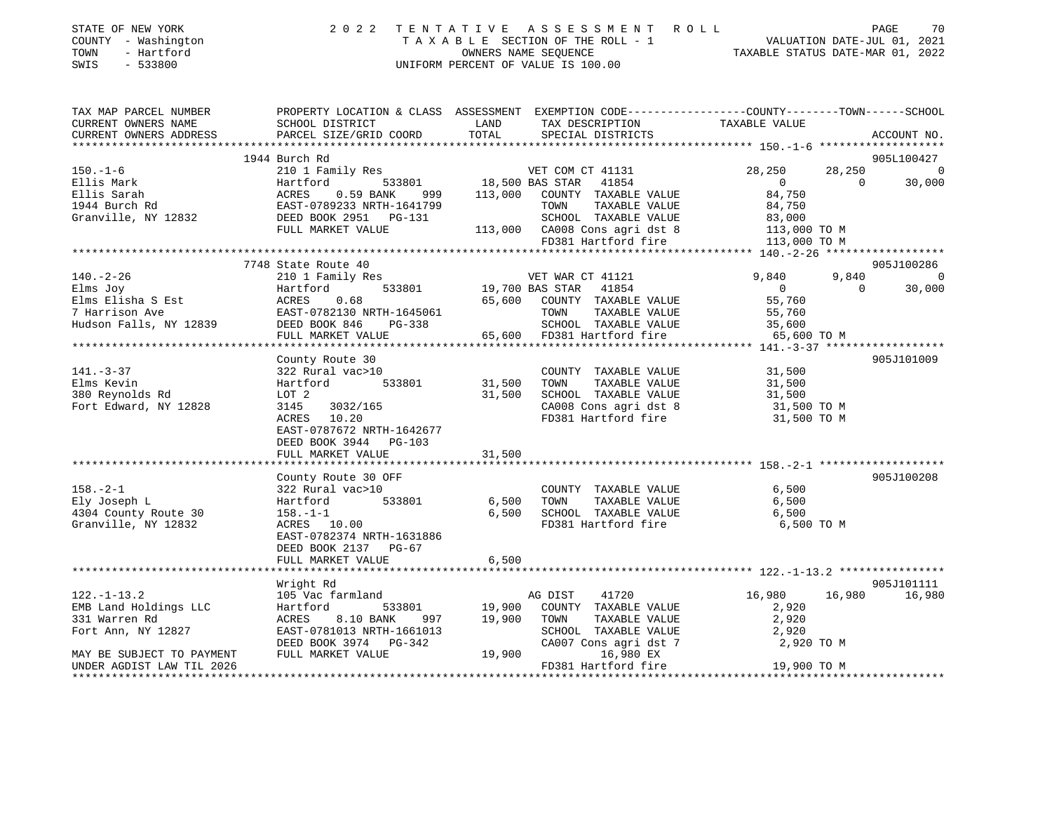|      | STATE OF NEW YORK   | 2022 TENTATIVE ASSESSMENT ROLL     | 70<br>PAGE                       |
|------|---------------------|------------------------------------|----------------------------------|
|      | COUNTY - Washington | TAXABLE SECTION OF THE ROLL - 1    | VALUATION DATE-JUL 01, 2021      |
| TOWN | - Hartford          | OWNERS NAME SEOUENCE               | TAXABLE STATUS DATE-MAR 01, 2022 |
| SWIS | - 533800            | UNIFORM PERCENT OF VALUE IS 100.00 |                                  |

| TAX MAP PARCEL NUMBER                             |                                           | PROPERTY LOCATION & CLASS ASSESSMENT EXEMPTION CODE---------------COUNTY-------TOWN-----SCHOOL                                                          |                  |                        |
|---------------------------------------------------|-------------------------------------------|---------------------------------------------------------------------------------------------------------------------------------------------------------|------------------|------------------------|
| CURRENT OWNERS NAME                               | SCHOOL DISTRICT                           | LAND<br>TAX DESCRIPTION                                                                                                                                 | TAXABLE VALUE    |                        |
|                                                   |                                           |                                                                                                                                                         |                  |                        |
|                                                   | 1944 Burch Rd                             |                                                                                                                                                         |                  |                        |
| $150. - 1 - 6$                                    |                                           |                                                                                                                                                         |                  | 905L100427<br>28,250 0 |
|                                                   |                                           |                                                                                                                                                         | $\Omega$         | 30,000                 |
|                                                   |                                           |                                                                                                                                                         |                  |                        |
|                                                   |                                           | TAXABLE VALUE                                                                                                                                           |                  |                        |
|                                                   |                                           | 641799 TOWN TAXABLE VALUE 84,750<br>3-131 SCHOOL TAXABLE VALUE 83,000<br>113,000 CA008 Cons agri dst 8 113,000 TO M<br>50381 Hartford fire 113,000 TO M |                  |                        |
|                                                   | FULL MARKET VALUE                         |                                                                                                                                                         |                  |                        |
|                                                   |                                           |                                                                                                                                                         |                  |                        |
|                                                   |                                           |                                                                                                                                                         |                  |                        |
|                                                   | 7748 State Route 40                       |                                                                                                                                                         |                  | 905J100286             |
| $140. - 2 - 26$                                   | 210 1 Family Res                          | 3<br>533801 19,700 BAS STAR 41854 9,840<br>533801 19,700 BAS STAR 41854 0                                                                               | 9,840            | $\overline{0}$         |
|                                                   |                                           |                                                                                                                                                         | $\Omega$         | 30,000                 |
|                                                   |                                           |                                                                                                                                                         | 55,760           |                        |
|                                                   |                                           |                                                                                                                                                         |                  |                        |
|                                                   |                                           |                                                                                                                                                         | 55,760<br>35,600 |                        |
|                                                   |                                           |                                                                                                                                                         | 65,600 TO M      |                        |
|                                                   |                                           |                                                                                                                                                         |                  |                        |
|                                                   | County Route 30                           |                                                                                                                                                         |                  | 905J101009             |
| $141. - 3 - 37$                                   | 322 Rural vac>10                          | COUNTY TAXABLE VALUE 31,500                                                                                                                             |                  |                        |
| Elms Kevin                                        | Hartford                                  | 533801 31,500 TOWN                                                                                                                                      |                  |                        |
| 380 Reynolds Rd                                   | LOT 2                                     | 31,500 TOWN TAXABLE VALUE 31,500<br>31,500 SCHOOL TAXABLE VALUE 31,500<br>CA008 Cons agri dst 8 31,500 TO M                                             |                  |                        |
| Fort Edward, NY 12828                             | 3145<br>3032/165                          |                                                                                                                                                         |                  |                        |
|                                                   | ACRES 10.20                               | FD381 Hartford fire                                                                                                                                     | 31,500 TO M      |                        |
|                                                   | EAST-0787672 NRTH-1642677                 |                                                                                                                                                         |                  |                        |
|                                                   | DEED BOOK 3944 PG-103                     |                                                                                                                                                         |                  |                        |
|                                                   | FULL MARKET VALUE                         | 31,500                                                                                                                                                  |                  |                        |
|                                                   |                                           |                                                                                                                                                         |                  |                        |
|                                                   | County Route 30 OFF                       |                                                                                                                                                         |                  | 905J100208             |
| $158. - 2 - 1$                                    | 322 Rural vac>10<br>Hartford 533801       | COUNTY<br>6,500 TOWN<br>COUNTY TAXABLE VALUE<br>TOWN      TAXABLE VALUE                                                                                 | 6,500<br>6,500   |                        |
|                                                   |                                           |                                                                                                                                                         |                  |                        |
| Ely Joseph L<br>4304 County Route 30<br>*** 12832 | 158.-1-1<br>ACRES 10.00                   | $6,500 \qquad \text{SCHOOL} \qquad \text{TAXABLE VALUE} \qquad \qquad 6,500$                                                                            |                  |                        |
| Granville, NY 12832                               |                                           | FD381 Hartford fire                                                                                                                                     | 6,500 TO M       |                        |
|                                                   | EAST-0782374 NRTH-1631886                 |                                                                                                                                                         |                  |                        |
|                                                   | DEED BOOK 2137 PG-67<br>FULL MARKET VALUE | 6,500                                                                                                                                                   |                  |                        |
|                                                   |                                           |                                                                                                                                                         |                  |                        |
|                                                   | Wright Rd                                 |                                                                                                                                                         |                  | 905J101111             |
|                                                   | 105 Vac farmland                          |                                                                                                                                                         | 16,980 16,980    | 16,980                 |
| 122.-1-13.2<br>EMB Land Holdings LLC              | Hartford                                  |                                                                                                                                                         | 2,920            |                        |
| 331 Warren Rd                                     | ACRES 8.10 BANK                           | TOWN                                                                                                                                                    |                  |                        |
| Fort Ann, NY 12827                                | EAST-0781013 NRTH-1661013                 | $997$ 19,900                                                                                                                                            |                  |                        |
|                                                   | DEED BOOK 3974 PG-342                     | TOWN TAXABLE VALUE<br>SCHOOL TAXABLE VALUE 2,920<br>CA007 Cons agri dst 7 2,920 TO M                                                                    |                  |                        |
| MAY BE SUBJECT TO PAYMENT                         | FULL MARKET VALUE                         | 1661013 SCHOOL<br>3-342 CA007 C<br>16,980 EX                                                                                                            |                  |                        |
| UNDER AGDIST LAW TIL 2026                         |                                           | FD381 Hartford fire                                                                                                                                     | 19,900 TO M      |                        |
|                                                   |                                           |                                                                                                                                                         |                  |                        |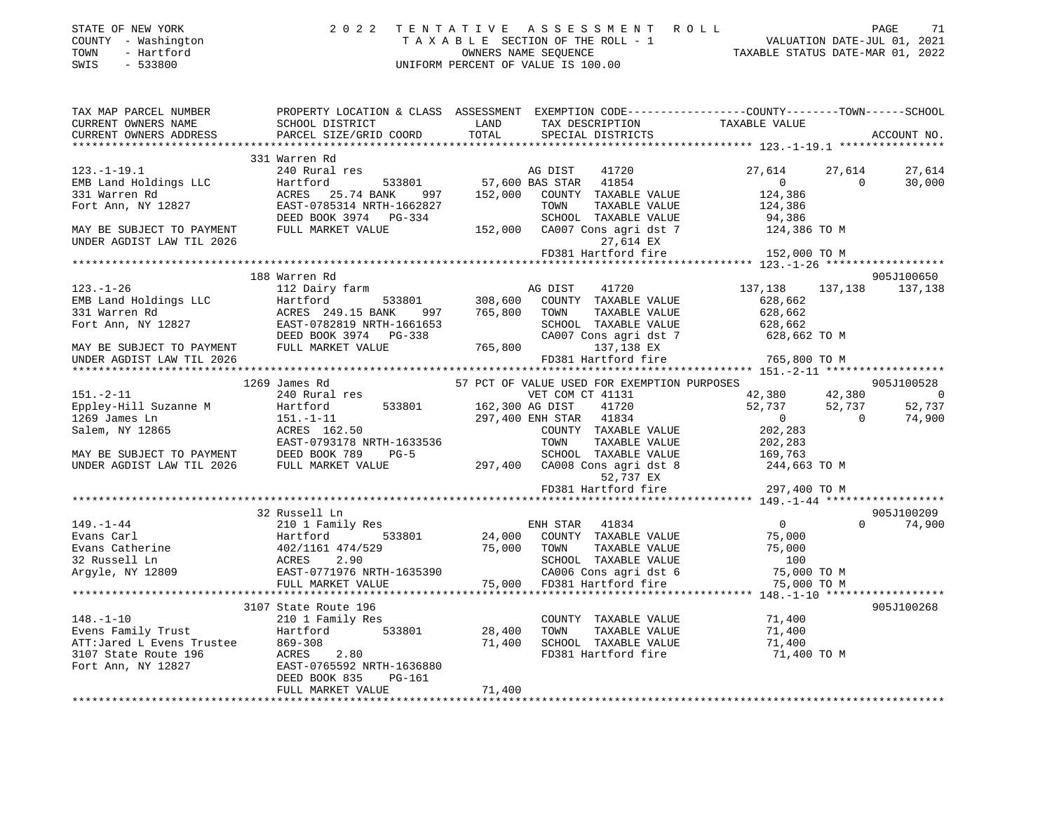| STATE OF NEW YORK<br>COUNTY - Washington<br>TOWN<br>- Hartford<br>SWIS<br>$-533800$                   |                                                                                                                                                                  |                 | T E N T A T I V E A S S E S S M E N T R O L L<br>T A X A B L E SECTION OF THE ROLL - 1 VALUATION DATE-JUL 01, 2021<br>OWNERS NAME SEQUENCE<br>UNIFORM PERCENT OF VALUE TS 100.00<br>2022 TENTATIVE ASSESSMENT ROLL<br>UNIFORM PERCENT OF VALUE IS 100.00 |                                |                                    |                          |
|-------------------------------------------------------------------------------------------------------|------------------------------------------------------------------------------------------------------------------------------------------------------------------|-----------------|----------------------------------------------------------------------------------------------------------------------------------------------------------------------------------------------------------------------------------------------------------|--------------------------------|------------------------------------|--------------------------|
| TAX MAP PARCEL NUMBER<br>CURRENT OWNERS NAME<br>CURRENT OWNERS ADDRESS                                | PROPERTY LOCATION & CLASS ASSESSMENT EXEMPTION CODE---------------COUNTY-------TOWN-----SCHOOL<br><b>Example 12</b><br>SCHOOL DISTRICT<br>PARCEL SIZE/GRID COORD | TOTAL           | TAX DESCRIPTION TAXABLE VALUE                                                                                                                                                                                                                            |                                | ACCOUNT NO.                        |                          |
|                                                                                                       |                                                                                                                                                                  |                 |                                                                                                                                                                                                                                                          |                                |                                    |                          |
| $123. - 1 - 19.1$                                                                                     | 331 Warren Rd<br>240 Rural res                                                                                                                                   |                 | AG DIST<br>41720                                                                                                                                                                                                                                         | 27,614                         | 27,614<br>27,614                   |                          |
| EMB Land Holdings LLC                                                                                 | Hartford                                                                                                                                                         |                 |                                                                                                                                                                                                                                                          | $\sim$ 0                       | $\overline{0}$<br>30,000           |                          |
| 331 Warren Rd                                                                                         | ACRES 25.74 BANK 997                                                                                                                                             |                 | 152,000 COUNTY TAXABLE VALUE                                                                                                                                                                                                                             | 124,386                        |                                    |                          |
| Fort Ann, NY 12827                                                                                    |                                                                                                                                                                  |                 | TOWN<br>TAXABLE VALUE                                                                                                                                                                                                                                    |                                |                                    |                          |
|                                                                                                       | EAST-0785314 NRTH-1662827<br>DEED BOOK 3974 PG-334                                                                                                               |                 | SCHOOL TAXABLE VALUE                                                                                                                                                                                                                                     | 124,386<br>94,386              |                                    |                          |
| MAY BE SUBJECT TO PAYMENT<br>UNDER AGDIST LAW TIL 2026                                                | FULL MARKET VALUE                                                                                                                                                |                 | 152,000 CA007 Cons agri dst 7<br>27,614 EX                                                                                                                                                                                                               | 124,386 TO M                   |                                    |                          |
|                                                                                                       |                                                                                                                                                                  |                 | FD381 Hartford fire                                                                                                                                                                                                                                      | 152,000 TO M                   |                                    |                          |
|                                                                                                       |                                                                                                                                                                  |                 |                                                                                                                                                                                                                                                          |                                |                                    |                          |
| $123. - 1 - 26$                                                                                       | 188 Warren Rd<br>112 Dairy farm                                                                                                                                  |                 | AG DIST                                                                                                                                                                                                                                                  | 137,138                        | 905J100650<br>137, 138 137, 138    |                          |
| EMB Land Holdings LLC                                                                                 | 533801<br>Hartford                                                                                                                                               | 308,600         | 41720<br>COUNTY TAXABLE VALUE                                                                                                                                                                                                                            | 628,662                        |                                    |                          |
| 331 Warren Rd                                                                                         | ACRES 249.15 BANK 997 765,800 TOWN                                                                                                                               |                 | TAXABLE VALUE                                                                                                                                                                                                                                            | 628,662                        |                                    |                          |
|                                                                                                       | Fort Ann, NY 12827 EAST-0782819 NRTH-1661653                                                                                                                     |                 | SCHOOL TAXABLE VALUE                                                                                                                                                                                                                                     |                                |                                    |                          |
|                                                                                                       | DEED BOOK 3974 PG-338<br>FULL MARKET VALUE                                                                                                                       |                 | CA007 Cons agri dst 7                                                                                                                                                                                                                                    | 628,662<br>628,662 TO M        |                                    |                          |
| MAY BE SUBJECT TO PAYMENT                                                                             | FULL MARKET VALUE                                                                                                                                                |                 | 765,800 137,138 EX                                                                                                                                                                                                                                       |                                |                                    |                          |
| UNDER AGDIST LAW TIL 2026                                                                             |                                                                                                                                                                  |                 | FD381 Hartford fire                                                                                                                                                                                                                                      | 765,800 TO M                   |                                    |                          |
|                                                                                                       |                                                                                                                                                                  |                 |                                                                                                                                                                                                                                                          |                                |                                    |                          |
|                                                                                                       | 1269 James Rd                                                                                                                                                    |                 | 57 PCT OF VALUE USED FOR EXEMPTION PURPOSES                                                                                                                                                                                                              |                                | 905J100528                         |                          |
| $151. - 2 - 11$                                                                                       | 240 Rural res                                                                                                                                                    |                 | VET COM CT 41131                                                                                                                                                                                                                                         | 42,380 42,380<br>52,737 52,737 |                                    | $\overline{\phantom{0}}$ |
| Eppley-Hill Suzanne M<br>1269 James Ln                                                                | 533801<br>Hartford                                                                                                                                               | 162,300 AG DIST | 41720<br>297,400 ENH STAR 41834                                                                                                                                                                                                                          | $\overline{0}$                 | 52,737<br>$\overline{0}$<br>74,900 |                          |
| Salem, NY 12865                                                                                       | 151.-1-11<br>ACRES 162.50                                                                                                                                        |                 | COUNTY TAXABLE VALUE                                                                                                                                                                                                                                     | 202,283                        |                                    |                          |
|                                                                                                       |                                                                                                                                                                  |                 | TOWN<br>TAXABLE VALUE                                                                                                                                                                                                                                    | 202,283                        |                                    |                          |
| MAY BE SUBJECT TO PAYMENT DEED BOOK 789                                                               | EAST-0793178 NRTH-1633536<br>DEED BOOK 789 PG-5<br>$PG-5$                                                                                                        |                 | SCHOOL TAXABLE VALUE                                                                                                                                                                                                                                     | 169,763                        |                                    |                          |
| UNDER AGDIST LAW TIL 2026                                                                             | FULL MARKET VALUE                                                                                                                                                |                 | 297,400 CA008 Cons agri dst 8                                                                                                                                                                                                                            | 244,663 TO M                   |                                    |                          |
|                                                                                                       |                                                                                                                                                                  |                 | 52,737 EX                                                                                                                                                                                                                                                |                                |                                    |                          |
|                                                                                                       |                                                                                                                                                                  |                 | FD381 Hartford fire                                                                                                                                                                                                                                      | 297,400 TO M                   |                                    |                          |
|                                                                                                       |                                                                                                                                                                  |                 |                                                                                                                                                                                                                                                          |                                |                                    |                          |
| $149. - 1 - 44$                                                                                       | 32 Russell Ln<br>210 1 Family Res                                                                                                                                |                 | ENH STAR 41834                                                                                                                                                                                                                                           | $\overline{0}$                 | 905J100209<br>$0 \t 74,900$        |                          |
| 149.-1-44<br>Evans Carl                                                                               |                                                                                                                                                                  |                 | 24,000 COUNTY TAXABLE VALUE                                                                                                                                                                                                                              | 75,000                         |                                    |                          |
|                                                                                                       |                                                                                                                                                                  |                 | 75,000 TOWN<br>TAXABLE VALUE                                                                                                                                                                                                                             | 75,000                         |                                    |                          |
| Evans Catherine<br>32 Russell Ln<br>Argyle, NY 12809                                                  | ACRES<br>2.90                                                                                                                                                    |                 |                                                                                                                                                                                                                                                          | 100                            |                                    |                          |
|                                                                                                       | $\frac{1}{2}$ EAST-0771976 NRTH-1635390                                                                                                                          |                 | SCHOOL TAXABLE VALUE<br>CA006 Cons agri dst 6<br>FD381 Hartford fire                                                                                                                                                                                     | 75,000 TO M                    |                                    |                          |
|                                                                                                       | FULL MARKET VALUE                                                                                                                                                | 75,000          |                                                                                                                                                                                                                                                          | 75,000 TO M                    |                                    |                          |
|                                                                                                       |                                                                                                                                                                  |                 |                                                                                                                                                                                                                                                          |                                |                                    |                          |
|                                                                                                       | 3107 State Route 196                                                                                                                                             |                 |                                                                                                                                                                                                                                                          |                                | 905J100268                         |                          |
|                                                                                                       | 210 1 Family Res<br>533801                                                                                                                                       |                 | COUNTY TAXABLE VALUE<br>TOWN                                                                                                                                                                                                                             | 71,400                         |                                    |                          |
| 148.-1-10<br>Evens Family Trust<br>ATT:Jared L Evens Trustee<br>3107 State Route 196<br>ATT: NV 12827 | Hartford<br>869-308                                                                                                                                              | 28,400          | TAXABLE VALUE<br>71,400 SCHOOL TAXABLE VALUE                                                                                                                                                                                                             | 71,400<br>71,400               |                                    |                          |
|                                                                                                       | 2.80<br>ACRES                                                                                                                                                    |                 | FD381 Hartford fire                                                                                                                                                                                                                                      | 71,400 TO M                    |                                    |                          |
|                                                                                                       | EAST-0765592 NRTH-1636880                                                                                                                                        |                 |                                                                                                                                                                                                                                                          |                                |                                    |                          |
|                                                                                                       | $PG-161$<br>DEED BOOK 835                                                                                                                                        |                 |                                                                                                                                                                                                                                                          |                                |                                    |                          |
|                                                                                                       | FULL MARKET VALUE                                                                                                                                                | 71,400          |                                                                                                                                                                                                                                                          |                                |                                    |                          |
|                                                                                                       |                                                                                                                                                                  |                 |                                                                                                                                                                                                                                                          |                                |                                    |                          |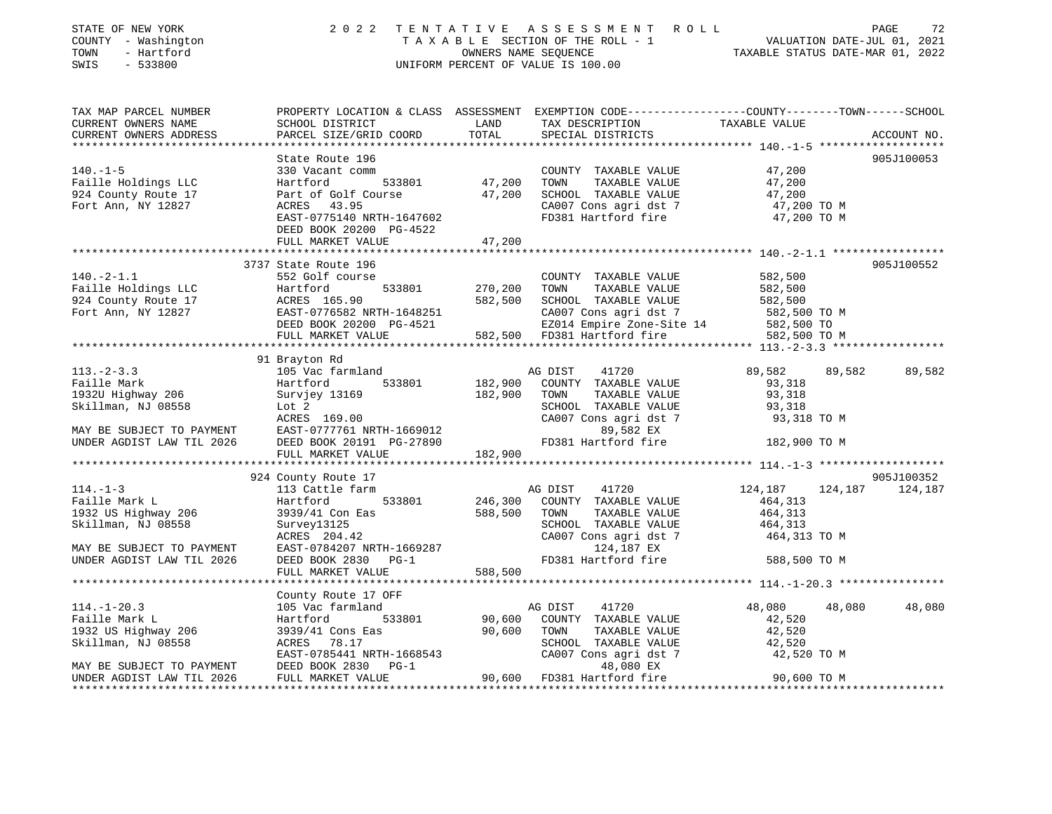| STATE OF NEW YORK<br>COUNTY - Washington<br>TOWN - Hartford<br>SWIS - 533800 |                                                                                                                                                                                                                                                |                          | 2022 TENTATIVE ASSESSMENT ROLL<br>TAXABLE SECTION OF THE ROLL - 1<br>OWNERS NAME SEQUENCE TAXABLE STATUS DATE-JUL 01, 2021<br>OWNERS NAME SEQUENCE TAXABLE STATUS DATE-MAR 01, 2022<br>UNIFORM PERCENT OF VALUE IS 100.00 |                  | PAGE                          | 72     |
|------------------------------------------------------------------------------|------------------------------------------------------------------------------------------------------------------------------------------------------------------------------------------------------------------------------------------------|--------------------------|---------------------------------------------------------------------------------------------------------------------------------------------------------------------------------------------------------------------------|------------------|-------------------------------|--------|
| TAX MAP PARCEL NUMBER<br>CURRENT OWNERS NAME                                 | SCHOOL DISTRICT                                                                                                                                                                                                                                | TOTAL                    | PROPERTY LOCATION & CLASS ASSESSMENT EXEMPTION CODE---------------COUNTY-------TOWN------SCHOOL<br>LAND TAX DESCRIPTION TAXABLE VALUE                                                                                     |                  |                               |        |
| CURRENT OWNERS ADDRESS                                                       | PARCEL SIZE/GRID COORD                                                                                                                                                                                                                         |                          | SPECIAL DISTRICTS                                                                                                                                                                                                         |                  | ACCOUNT NO.                   |        |
|                                                                              | State Route 196                                                                                                                                                                                                                                |                          |                                                                                                                                                                                                                           |                  | 905J100053                    |        |
|                                                                              |                                                                                                                                                                                                                                                |                          |                                                                                                                                                                                                                           |                  |                               |        |
|                                                                              |                                                                                                                                                                                                                                                |                          |                                                                                                                                                                                                                           |                  |                               |        |
|                                                                              |                                                                                                                                                                                                                                                |                          |                                                                                                                                                                                                                           |                  |                               |        |
|                                                                              | 140.-1-5<br>Faille Holdings LLC 330 Vacant comm<br>Faille Holdings LLC 330 Vacant comm<br>924 County Route 17<br>Fort Ann, NY 12827 (EAST-0775140 NRTH-1647602<br>EAST-0775140 NRTH-1647602<br>FORES 43.95<br>EAST-0775140 NRTH-1647602<br>FOR |                          |                                                                                                                                                                                                                           | 47,200 TO M      |                               |        |
|                                                                              |                                                                                                                                                                                                                                                |                          |                                                                                                                                                                                                                           | 47,200 TO M      |                               |        |
|                                                                              | DEED BOOK 20200 PG-4522                                                                                                                                                                                                                        |                          |                                                                                                                                                                                                                           |                  |                               |        |
|                                                                              | FULL MARKET VALUE                                                                                                                                                                                                                              | 47,200                   |                                                                                                                                                                                                                           |                  |                               |        |
|                                                                              | 3737 State Route 196                                                                                                                                                                                                                           |                          |                                                                                                                                                                                                                           |                  | 905J100552                    |        |
| $140.-2-1.1$                                                                 | 552 Golf course                                                                                                                                                                                                                                |                          | COUNTY TAXABLE VALUE                                                                                                                                                                                                      | 582,500          |                               |        |
|                                                                              | Hartford                                                                                                                                                                                                                                       | 533801 270,200 TOWN      | TAXABLE VALUE                                                                                                                                                                                                             | 582,500          |                               |        |
|                                                                              |                                                                                                                                                                                                                                                |                          |                                                                                                                                                                                                                           |                  |                               |        |
| Faille Holdings LLC<br>924 County Route 17<br>Fort Ann, NY 12827             | ACRES 165.90<br>EAST-0776582 NRTH-1648251 582,500 SCHOOL TAXABLE VALUE 582,500<br>DEED BOOK 20200 PG-4521 E2014 Empire Zone-Site 14 582,500 TO M<br>FULL MARKET VALUE<br>FULL MARKET VALUE<br>FULL MARKET VALUE<br>FULL MARKET VALUE<br>FULL   |                          |                                                                                                                                                                                                                           |                  |                               |        |
|                                                                              |                                                                                                                                                                                                                                                |                          |                                                                                                                                                                                                                           |                  |                               |        |
|                                                                              |                                                                                                                                                                                                                                                |                          |                                                                                                                                                                                                                           |                  |                               |        |
|                                                                              |                                                                                                                                                                                                                                                |                          |                                                                                                                                                                                                                           |                  |                               |        |
| $113 - 2 - 3.3$                                                              | 91 Brayton Rd                                                                                                                                                                                                                                  |                          |                                                                                                                                                                                                                           | 89,582           | 89,582                        |        |
| Faille Mark                                                                  | 105 Vac farmland<br>Hartford 533801                                                                                                                                                                                                            |                          | AG DIST<br>41720<br>182,900 COUNTY TAXABLE VALUE                                                                                                                                                                          | 93,318           |                               | 89,582 |
| 1932U Highway 206                                                            | Survjey 13169                                                                                                                                                                                                                                  | 182,900 TOWN             | TAXABLE VALUE                                                                                                                                                                                                             | 93,318           |                               |        |
|                                                                              |                                                                                                                                                                                                                                                |                          | SCHOOL TAXABLE VALUE                                                                                                                                                                                                      | 93,318           |                               |        |
|                                                                              |                                                                                                                                                                                                                                                |                          | CA007 Cons agri dst 7                                                                                                                                                                                                     | 93,318 TO M      |                               |        |
|                                                                              |                                                                                                                                                                                                                                                |                          |                                                                                                                                                                                                                           |                  |                               |        |
|                                                                              | Skillman, NJ 08558<br>MAY BE SUBJECT TO PAYMENT<br>MAY BE SUBJECT TO PAYMENT<br>MAY BE SUBJECT TO PAYMENT<br>MAY BE SUBJECT TO PAYMENT<br>EAST-0777761 NRTH-1669012<br>DEED BOOK 20191 PG-27890<br>PER AGDIST LAW TIL 2026<br>DEED BOOK 20191  |                          |                                                                                                                                                                                                                           | 182,900 TO M     |                               |        |
|                                                                              | FULL MARKET VALUE                                                                                                                                                                                                                              | 182,900                  |                                                                                                                                                                                                                           |                  |                               |        |
|                                                                              |                                                                                                                                                                                                                                                |                          |                                                                                                                                                                                                                           |                  |                               |        |
| $114. - 1 - 3$                                                               | 924 County Route 17<br>113 Cattle farm                                                                                                                                                                                                         |                          | AG DIST<br>41720                                                                                                                                                                                                          | 124,187          | 905J100352<br>124,187 124,187 |        |
| Faille Mark L                                                                | Hartford                                                                                                                                                                                                                                       |                          | 533801 246,300 COUNTY TAXABLE VALUE                                                                                                                                                                                       | 464, 313         |                               |        |
| 1932 US Highway 206                                                          |                                                                                                                                                                                                                                                |                          | 588,500 TOWN<br>TAXABLE VALUE                                                                                                                                                                                             | 464,313          |                               |        |
| Skillman, NJ 08558                                                           | 3939/41 Con Eas<br>Survey13125<br>ACRES 204.42                                                                                                                                                                                                 |                          | SCHOOL TAXABLE VALUE                                                                                                                                                                                                      | 464,313          |                               |        |
|                                                                              |                                                                                                                                                                                                                                                | SCHOOL<br>CA007<br>FD381 | CA007 Cons agri dst 7                                                                                                                                                                                                     | 464,313 TO M     |                               |        |
|                                                                              | MAY BE SUBJECT TO PAYMENT EAST-0784207 NRTH-1669287                                                                                                                                                                                            |                          | 124,187 EX                                                                                                                                                                                                                |                  |                               |        |
| UNDER AGDIST LAW TIL 2026                                                    | DEED BOOK 2830 PG-1                                                                                                                                                                                                                            |                          | FD381 Hartford fire                                                                                                                                                                                                       | 588,500 TO M     |                               |        |
|                                                                              | FULL MARKET VALUE                                                                                                                                                                                                                              | 588,500                  |                                                                                                                                                                                                                           |                  |                               |        |
|                                                                              |                                                                                                                                                                                                                                                |                          |                                                                                                                                                                                                                           |                  |                               |        |
|                                                                              | County Route 17 OFF                                                                                                                                                                                                                            |                          |                                                                                                                                                                                                                           |                  |                               |        |
| $114.-1-20.3$<br>Faille Mark L                                               | 105 Vac farmland<br>533801<br>Hartford                                                                                                                                                                                                         |                          | AG DIST<br>41720<br>90,600 COUNTY TAXABLE VALUE                                                                                                                                                                           | 48,080<br>42,520 | 48,080                        | 48,080 |
|                                                                              | 3939/41 Cons Eas                                                                                                                                                                                                                               | 90,600 TOWN              | TAXABLE VALUE                                                                                                                                                                                                             | 42,520           |                               |        |
| 1932 US Highway 206<br>Skillman, NJ 08558<br>Skillman, NJ 08558              | ACRES 78.17                                                                                                                                                                                                                                    |                          | SCHOOL TAXABLE VALUE                                                                                                                                                                                                      | 42,520           |                               |        |
|                                                                              |                                                                                                                                                                                                                                                |                          |                                                                                                                                                                                                                           |                  |                               |        |
|                                                                              | Skillman, NJ 08558 ACRES 78.17<br>EAST-0785441 NRTH-1668543 CA007 Cons agri dst 7 42,520 TO M<br>MAY BE SUBJECT TO PAYMENT DEED BOOK 2830 PG-1 48,080 EX<br>UNDER AGDIST LAW TIL 2026 FULL MARKET VALUE 90,600 FD381 Hartford fire 9           |                          |                                                                                                                                                                                                                           |                  |                               |        |
|                                                                              |                                                                                                                                                                                                                                                |                          |                                                                                                                                                                                                                           |                  |                               |        |
|                                                                              |                                                                                                                                                                                                                                                |                          |                                                                                                                                                                                                                           |                  |                               |        |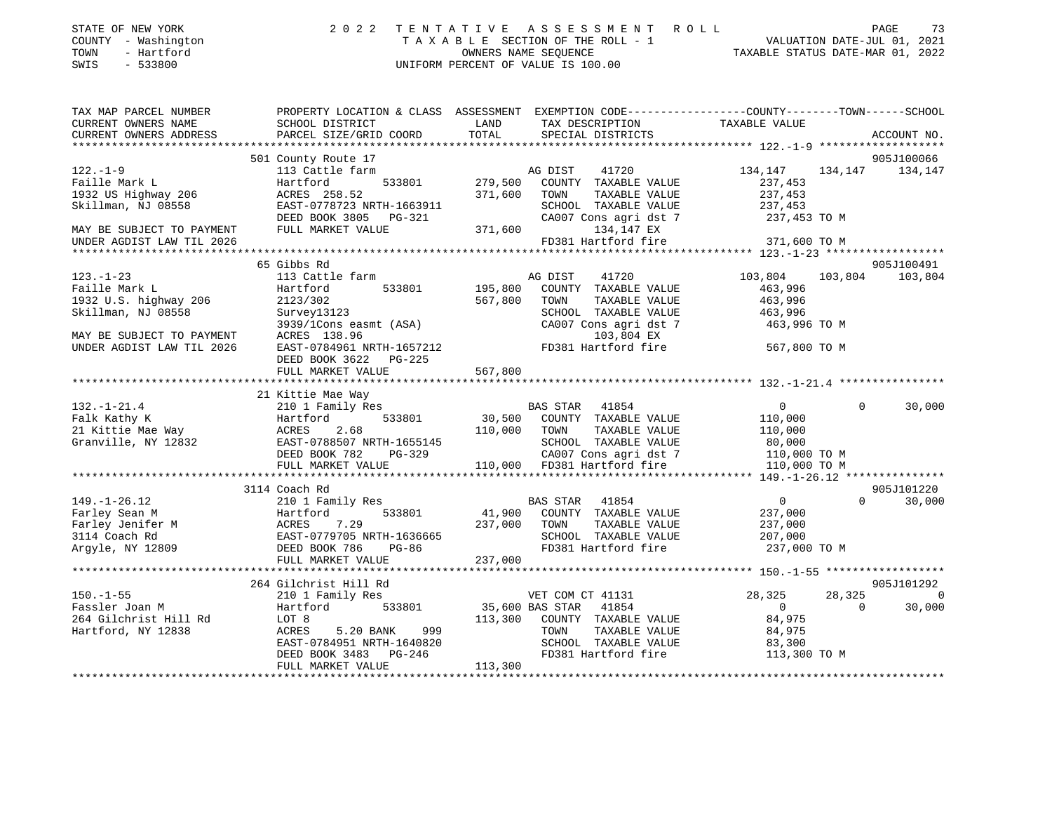| COUNTY - Washington<br>TOWN<br>- Hartford<br>$-533800$<br>SWIS                                                                                                                                                                                   |                                                                                                                                                                                                                                        |              | T A X A B L E SECTION OF THE ROLL - 1<br>OWNERS NAME SEQUENCE<br>TAXABLE STATUS DATE-JUL 01, 2021<br>TAXABLE STATUS DATE-MAR 01, 2022<br>UNIFORM PERCENT OF VALUE IS 100.00                                                                                                                                                                                                                                                                                      |                                                                                                                                                                                       |                                    |
|--------------------------------------------------------------------------------------------------------------------------------------------------------------------------------------------------------------------------------------------------|----------------------------------------------------------------------------------------------------------------------------------------------------------------------------------------------------------------------------------------|--------------|------------------------------------------------------------------------------------------------------------------------------------------------------------------------------------------------------------------------------------------------------------------------------------------------------------------------------------------------------------------------------------------------------------------------------------------------------------------|---------------------------------------------------------------------------------------------------------------------------------------------------------------------------------------|------------------------------------|
| TAX MAP PARCEL NUMBER<br>CURRENT OWNERS NAME                                                                                                                                                                                                     | PROPERTY LOCATION & CLASS ASSESSMENT EXEMPTION CODE----------------COUNTY--------TOWN------SCHOOL<br>SCHOOL DISTRICT                                                                                                                   | <b>LAND</b>  | TAX DESCRIPTION                                                                                                                                                                                                                                                                                                                                                                                                                                                  | TAXABLE VALUE                                                                                                                                                                         |                                    |
| CURRENT OWNERS ADDRESS                                                                                                                                                                                                                           | PARCEL SIZE/GRID COORD                                                                                                                                                                                                                 | TOTAL        | SPECIAL DISTRICTS                                                                                                                                                                                                                                                                                                                                                                                                                                                |                                                                                                                                                                                       | ACCOUNT NO.                        |
|                                                                                                                                                                                                                                                  |                                                                                                                                                                                                                                        |              |                                                                                                                                                                                                                                                                                                                                                                                                                                                                  |                                                                                                                                                                                       |                                    |
|                                                                                                                                                                                                                                                  | 501 County Route 17                                                                                                                                                                                                                    |              |                                                                                                                                                                                                                                                                                                                                                                                                                                                                  |                                                                                                                                                                                       | 905J100066                         |
| $122. - 1 - 9$<br>Faille Mark L                                                                                                                                                                                                                  | 113 Cattle farm                                                                                                                                                                                                                        |              |                                                                                                                                                                                                                                                                                                                                                                                                                                                                  | 134,147                                                                                                                                                                               | 134, 147 134, 147                  |
|                                                                                                                                                                                                                                                  | Hartford                                                                                                                                                                                                                               |              | $\begin{array}{ccccccccc} \texttt{A}\texttt{G} & \texttt{D}\texttt{I}\texttt{S}\texttt{T} & \texttt{H}\texttt{I}\texttt{A}\texttt{C} \\ \texttt{farm} & & & & \texttt{A}\texttt{G} & \texttt{D}\texttt{I}\texttt{S}\texttt{T} & \texttt{H}\texttt{A}\texttt{A}\texttt{A}\texttt{D}\texttt{I}\texttt{E} \\ & & & & \texttt{A}\texttt{G}\texttt{I}\texttt{I}\texttt{I}\texttt{I}\texttt{I}\texttt{A}\texttt{A}\texttt{A}\texttt{A}\texttt{B}\texttt{I}\texttt{I}\$ |                                                                                                                                                                                       |                                    |
|                                                                                                                                                                                                                                                  |                                                                                                                                                                                                                                        |              | SCHOOL TAXABLE VALUE                                                                                                                                                                                                                                                                                                                                                                                                                                             |                                                                                                                                                                                       |                                    |
| 1932 US Highway 206 $ACRES$ 258.52<br>Skillman, NJ 08558<br>EAST-0778723 NRTH-1663911<br>DEED BOOK 3805 PG-321 CA007 Cons agri dst 7<br>MAY BE SUBJECT TO PAYMENT FULL MARKET VALUE 371,600 134,147 EX                                           |                                                                                                                                                                                                                                        |              | CA007 Cons agri dst 7                                                                                                                                                                                                                                                                                                                                                                                                                                            | $237,453$<br>$237,453$<br>$237,453$<br>$237,453$ TO M                                                                                                                                 |                                    |
|                                                                                                                                                                                                                                                  |                                                                                                                                                                                                                                        |              |                                                                                                                                                                                                                                                                                                                                                                                                                                                                  |                                                                                                                                                                                       |                                    |
| UNDER AGDIST LAW TIL 2026                                                                                                                                                                                                                        |                                                                                                                                                                                                                                        |              | FD381 Hartford fire 371,600 TO M                                                                                                                                                                                                                                                                                                                                                                                                                                 |                                                                                                                                                                                       |                                    |
|                                                                                                                                                                                                                                                  |                                                                                                                                                                                                                                        |              |                                                                                                                                                                                                                                                                                                                                                                                                                                                                  |                                                                                                                                                                                       |                                    |
|                                                                                                                                                                                                                                                  | 65 Gibbs Rd                                                                                                                                                                                                                            |              |                                                                                                                                                                                                                                                                                                                                                                                                                                                                  |                                                                                                                                                                                       | 905J100491                         |
| $123. - 1 - 23$                                                                                                                                                                                                                                  | 113 Cattle farm                                                                                                                                                                                                                        |              | AG DIST 41720<br>195,800 COUNTY TAXABLE VALUE                                                                                                                                                                                                                                                                                                                                                                                                                    |                                                                                                                                                                                       | 41720 103,804 103,804 103,804      |
| Faille Mark L                                                                                                                                                                                                                                    | Hartford<br>533801                                                                                                                                                                                                                     |              |                                                                                                                                                                                                                                                                                                                                                                                                                                                                  | 463,996                                                                                                                                                                               |                                    |
| $1932$ U.S. highway 206<br>Skillman, NJ 08558                                                                                                                                                                                                    |                                                                                                                                                                                                                                        | 567,800 TOWN |                                                                                                                                                                                                                                                                                                                                                                                                                                                                  |                                                                                                                                                                                       |                                    |
|                                                                                                                                                                                                                                                  | $\frac{1}{5}$<br>Survey13123<br>3929/16<br>survey13123<br>3939/1Cons easmt (ASA)<br>ACRES 138 96                                                                                                                                       |              | SCHOOL TAXABLE VALUE 463,996<br>SCHOOL TAXABLE VALUE 463,996<br>CA007 Cons agri dst 7<br>CA007 Cons agri dst 7                                                                                                                                                                                                                                                                                                                                                   | 463,996 TO M                                                                                                                                                                          |                                    |
|                                                                                                                                                                                                                                                  | ACRES 138.96                                                                                                                                                                                                                           |              | 103,804 EX                                                                                                                                                                                                                                                                                                                                                                                                                                                       |                                                                                                                                                                                       |                                    |
| MAY BE SUBJECT TO PAYMENT<br>UNDER AGDIST LAW TIL 2026<br>UNDER AGDIST LAW TIL 2026                                                                                                                                                              | EAST-0784961 NRTH-1657212<br>FD381 Hartford fire 567,800 TO M                                                                                                                                                                          |              |                                                                                                                                                                                                                                                                                                                                                                                                                                                                  |                                                                                                                                                                                       |                                    |
|                                                                                                                                                                                                                                                  | DEED BOOK 3622 PG-225                                                                                                                                                                                                                  |              |                                                                                                                                                                                                                                                                                                                                                                                                                                                                  |                                                                                                                                                                                       |                                    |
|                                                                                                                                                                                                                                                  | FULL MARKET VALUE                                                                                                                                                                                                                      | 567,800      |                                                                                                                                                                                                                                                                                                                                                                                                                                                                  |                                                                                                                                                                                       |                                    |
|                                                                                                                                                                                                                                                  |                                                                                                                                                                                                                                        |              |                                                                                                                                                                                                                                                                                                                                                                                                                                                                  |                                                                                                                                                                                       |                                    |
|                                                                                                                                                                                                                                                  | 21 Kittie Mae Way                                                                                                                                                                                                                      |              |                                                                                                                                                                                                                                                                                                                                                                                                                                                                  |                                                                                                                                                                                       |                                    |
|                                                                                                                                                                                                                                                  |                                                                                                                                                                                                                                        |              |                                                                                                                                                                                                                                                                                                                                                                                                                                                                  |                                                                                                                                                                                       | 30,000<br>$\Omega$                 |
|                                                                                                                                                                                                                                                  |                                                                                                                                                                                                                                        |              |                                                                                                                                                                                                                                                                                                                                                                                                                                                                  |                                                                                                                                                                                       |                                    |
|                                                                                                                                                                                                                                                  |                                                                                                                                                                                                                                        |              |                                                                                                                                                                                                                                                                                                                                                                                                                                                                  |                                                                                                                                                                                       |                                    |
| 132.-1-21.4<br>Falk Kathy K 21 Kittle Mae Way<br>21 Kittle Mae Way<br>21 Kittle Mae Way<br>21 Kittle Mae Way<br>2.68 2.68 110,000 TOWN TAXABLE VALUE<br>30,500 COUNTY TAXABLE VALUE<br>21 Kittle Mae Way<br>21 Kittle Mae Way<br>21 Kittle Mae W |                                                                                                                                                                                                                                        |              |                                                                                                                                                                                                                                                                                                                                                                                                                                                                  |                                                                                                                                                                                       |                                    |
|                                                                                                                                                                                                                                                  |                                                                                                                                                                                                                                        |              |                                                                                                                                                                                                                                                                                                                                                                                                                                                                  |                                                                                                                                                                                       |                                    |
|                                                                                                                                                                                                                                                  |                                                                                                                                                                                                                                        |              |                                                                                                                                                                                                                                                                                                                                                                                                                                                                  |                                                                                                                                                                                       |                                    |
| 149.-1-26.12<br>Farley Sean M (10 1 Family Res BAS STAR 41854<br>Farley Jenifer M (1,900 COUNTY TAXABLE VALUE<br>Farley Jenifer M (1,900 COUNTY TAXABLE VALUE<br>3114 Coach Rd (1,900 ERED BOOK 786 PG-86 (2,900 FOWN TAXABLE VALUE)<br>         | 3114 Coach Rd                                                                                                                                                                                                                          |              |                                                                                                                                                                                                                                                                                                                                                                                                                                                                  |                                                                                                                                                                                       | 905J101220                         |
|                                                                                                                                                                                                                                                  |                                                                                                                                                                                                                                        |              |                                                                                                                                                                                                                                                                                                                                                                                                                                                                  | $\begin{array}{ccccc} \text{VALUE} & & & & 0 \\ \text{VALUE} & & & 237,000 \\ \text{VALUE} & & & 237,000 \\ \text{VALUE} & & & 207,000 \\ \text{Sitter} & & & 207,000 \\ \end{array}$ | $0 \t 30,000$                      |
|                                                                                                                                                                                                                                                  |                                                                                                                                                                                                                                        |              |                                                                                                                                                                                                                                                                                                                                                                                                                                                                  |                                                                                                                                                                                       |                                    |
|                                                                                                                                                                                                                                                  |                                                                                                                                                                                                                                        |              |                                                                                                                                                                                                                                                                                                                                                                                                                                                                  |                                                                                                                                                                                       |                                    |
|                                                                                                                                                                                                                                                  |                                                                                                                                                                                                                                        |              | FD381 Hartford fire                                                                                                                                                                                                                                                                                                                                                                                                                                              | 237,000 TO M                                                                                                                                                                          |                                    |
|                                                                                                                                                                                                                                                  | FULL MARKET VALUE 237,000                                                                                                                                                                                                              |              |                                                                                                                                                                                                                                                                                                                                                                                                                                                                  |                                                                                                                                                                                       |                                    |
|                                                                                                                                                                                                                                                  |                                                                                                                                                                                                                                        |              |                                                                                                                                                                                                                                                                                                                                                                                                                                                                  |                                                                                                                                                                                       |                                    |
|                                                                                                                                                                                                                                                  | 264 Gilchrist Hill Rd                                                                                                                                                                                                                  |              |                                                                                                                                                                                                                                                                                                                                                                                                                                                                  |                                                                                                                                                                                       | 905J101292                         |
|                                                                                                                                                                                                                                                  | community Res<br>210 1 Family Res<br>Hartford                                                                                                                                                                                          |              | VET COM CT 41131<br>35,600 BAS STAR 41854                                                                                                                                                                                                                                                                                                                                                                                                                        | 28,325                                                                                                                                                                                | $28,325$<br>0 30<br>$\overline{0}$ |
| 150.-1-55<br>Fassler Joan M                                                                                                                                                                                                                      | Hartford 533801                                                                                                                                                                                                                        |              |                                                                                                                                                                                                                                                                                                                                                                                                                                                                  | $\overline{0}$                                                                                                                                                                        | 30,000                             |
| 264 Gilchrist Hill Rd<br>Hartford, NY 12838                                                                                                                                                                                                      | LOT 8<br>ACRES 5.20 BANK 999<br>EAST-0784951 NRTH-1640820<br>DEED BOOK 3483 PG-246<br>PEAST PORT PRESS PRESS PRESS PRESS PRESS PRESS PRESS PRESS PRESS PRESS PRESS PRESS PRESS PRESS PRESS PRESS PRESS PRESS PRESS PRESS PRESS PRESS P |              |                                                                                                                                                                                                                                                                                                                                                                                                                                                                  | 84,975                                                                                                                                                                                |                                    |
|                                                                                                                                                                                                                                                  |                                                                                                                                                                                                                                        |              |                                                                                                                                                                                                                                                                                                                                                                                                                                                                  |                                                                                                                                                                                       |                                    |
|                                                                                                                                                                                                                                                  |                                                                                                                                                                                                                                        |              | COUNTI TAAABLE VALUE<br>TOWN TAXABLE VALUE 84,975<br>SCHOOL TAXABLE VALUE 83,300<br>FD381 Hartford fire 113,300 TO M                                                                                                                                                                                                                                                                                                                                             |                                                                                                                                                                                       |                                    |
|                                                                                                                                                                                                                                                  | DEED BOOK 3483 PG-246<br>FULL MARKET VALUE                                                                                                                                                                                             | 113,300      |                                                                                                                                                                                                                                                                                                                                                                                                                                                                  |                                                                                                                                                                                       |                                    |
|                                                                                                                                                                                                                                                  |                                                                                                                                                                                                                                        |              |                                                                                                                                                                                                                                                                                                                                                                                                                                                                  |                                                                                                                                                                                       |                                    |

STATE OF NEW YORK 2022 TENTATIVE ASSESSMENT ROLL PAGE 73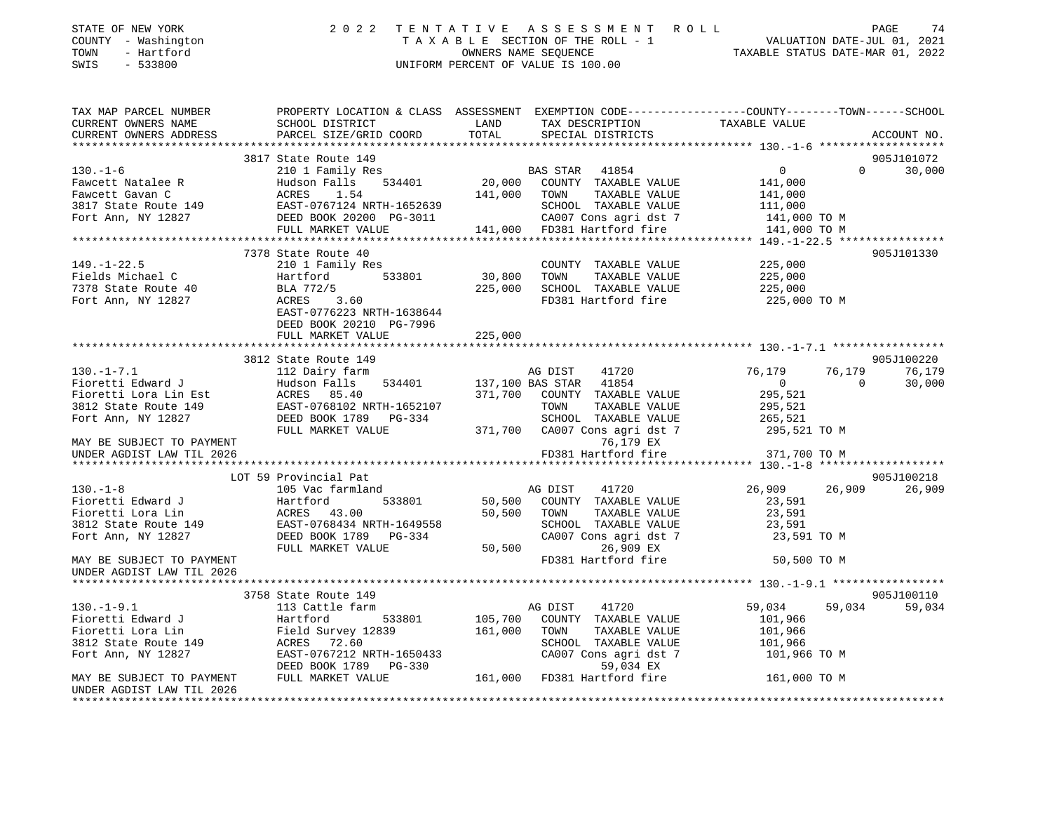| STATE OF NEW YORK                                                                                                                 | 2022                                                                                            |                                    |              | TENTATIVE ASSESSMENT ROLL                     |                                                                                                                                                                                           |                |                             |
|-----------------------------------------------------------------------------------------------------------------------------------|-------------------------------------------------------------------------------------------------|------------------------------------|--------------|-----------------------------------------------|-------------------------------------------------------------------------------------------------------------------------------------------------------------------------------------------|----------------|-----------------------------|
| COUNTY - Washington                                                                                                               |                                                                                                 |                                    |              |                                               | FENTATIVE ASSESSMENT ROLL PAGE 74<br>TAXABLE SECTION OF THE ROLL - 1 VALUATION DATE-JUL 01, 2021<br>OWNERS NAME SEQUENCE STATUS DATE-MAR 01, 2022<br>NIFORM DEPENTE OF VALUATIE TO 100.00 |                |                             |
| - Hartford<br>TOWN                                                                                                                |                                                                                                 |                                    |              |                                               |                                                                                                                                                                                           |                |                             |
| $-533800$<br>SWIS                                                                                                                 |                                                                                                 | UNIFORM PERCENT OF VALUE IS 100.00 |              |                                               |                                                                                                                                                                                           |                |                             |
|                                                                                                                                   |                                                                                                 |                                    |              |                                               |                                                                                                                                                                                           |                |                             |
|                                                                                                                                   |                                                                                                 |                                    |              |                                               |                                                                                                                                                                                           |                |                             |
|                                                                                                                                   |                                                                                                 |                                    |              |                                               |                                                                                                                                                                                           |                |                             |
| TAX MAP PARCEL NUMBER                                                                                                             | PROPERTY LOCATION & CLASS ASSESSMENT EXEMPTION CODE----------------COUNTY-------TOWN-----SCHOOL |                                    |              |                                               |                                                                                                                                                                                           |                |                             |
| CURRENT OWNERS NAME                                                                                                               | SCHOOL DISTRICT                                                                                 |                                    |              |                                               | LAND TAX DESCRIPTION TAXABLE VALUE                                                                                                                                                        |                |                             |
| CURRENT OWNERS ADDRESS                                                                                                            | PARCEL SIZE/GRID COORD                                                                          | TOTAL                              |              | SPECIAL DISTRICTS                             |                                                                                                                                                                                           |                | ACCOUNT NO.                 |
|                                                                                                                                   |                                                                                                 |                                    |              |                                               |                                                                                                                                                                                           |                |                             |
|                                                                                                                                   | 3817 State Route 149                                                                            |                                    |              |                                               |                                                                                                                                                                                           |                | 905J101072                  |
| $130. - 1 - 6$                                                                                                                    | 210 1 Family Res                                                                                |                                    |              | BAS STAR 41854<br>20,000 COUNTY TAXABLE VALUE | $0 \qquad \qquad$                                                                                                                                                                         |                | $0 \qquad \qquad$<br>30,000 |
| Fawcett Natalee R                                                                                                                 | Hudson Falls 534401                                                                             |                                    |              |                                               | 141,000                                                                                                                                                                                   |                |                             |
| Fawcett Gavan C<br>Fawcett Gavan C<br>3817 State Route 149<br>Fort Ann, NY 12827<br>Fort Ann, NY 12827<br>DEED BOOK 20200 PG-3011 | 1.54                                                                                            |                                    | 141,000 TOWN | TAXABLE VALUE                                 | 141,000                                                                                                                                                                                   |                |                             |
|                                                                                                                                   |                                                                                                 |                                    |              |                                               | 111,000                                                                                                                                                                                   |                |                             |
|                                                                                                                                   |                                                                                                 |                                    |              | SCHOOL TAXABLE VALUE<br>CA007 Cons agri dst 7 |                                                                                                                                                                                           |                |                             |
|                                                                                                                                   |                                                                                                 |                                    |              | CA007 Cons agri dst 7                         | 141,000 TO M                                                                                                                                                                              |                |                             |
|                                                                                                                                   | FULL MARKET VALUE                                                                               |                                    |              | 141,000 FD381 Hartford fire                   | 141,000 TO M                                                                                                                                                                              |                |                             |
|                                                                                                                                   |                                                                                                 |                                    |              |                                               |                                                                                                                                                                                           |                |                             |
|                                                                                                                                   | 7378 State Route 40                                                                             |                                    |              |                                               |                                                                                                                                                                                           |                | 905J101330                  |
| $149. - 1 - 22.5$                                                                                                                 | 210 1 Family Res                                                                                |                                    |              | COUNTY TAXABLE VALUE                          | 225,000                                                                                                                                                                                   |                |                             |
| Fields Michael C                                                                                                                  | Hartford<br>533801                                                                              | 30,800                             | TOWN         | TAXABLE VALUE                                 | 225,000                                                                                                                                                                                   |                |                             |
| 7378 State Route 40                                                                                                               | BLA 772/5                                                                                       |                                    |              | 225,000 SCHOOL TAXABLE VALUE                  | 225,000                                                                                                                                                                                   |                |                             |
| Fort Ann, NY 12827                                                                                                                | ACRES 3.60                                                                                      |                                    |              |                                               | FD381 Hartford fire 225,000 TO M                                                                                                                                                          |                |                             |
|                                                                                                                                   | EAST-0776223 NRTH-1638644                                                                       |                                    |              |                                               |                                                                                                                                                                                           |                |                             |
|                                                                                                                                   | DEED BOOK 20210 PG-7996                                                                         |                                    |              |                                               |                                                                                                                                                                                           |                |                             |
|                                                                                                                                   | FULL MARKET VALUE                                                                               | 225,000                            |              |                                               |                                                                                                                                                                                           |                |                             |
|                                                                                                                                   |                                                                                                 |                                    |              |                                               |                                                                                                                                                                                           |                |                             |
|                                                                                                                                   | 3812 State Route 149                                                                            |                                    |              |                                               |                                                                                                                                                                                           |                | 905J100220                  |
| $130. -1 - 7.1$                                                                                                                   | 112 Dairy farm                                                                                  |                                    | AG DIST      | 41720                                         | 76,179                                                                                                                                                                                    | 76,179         | 76,179                      |
| Fioretti Edward J                                                                                                                 |                                                                                                 |                                    |              |                                               | $\overline{0}$                                                                                                                                                                            | $\overline{0}$ |                             |
|                                                                                                                                   | Hudson Falls 534401 137,100 BAS STAR 41854                                                      |                                    |              |                                               |                                                                                                                                                                                           |                | 30,000                      |
| Fioretti Lora Lin Est                                                                                                             | ACRES 85.40                                                                                     |                                    |              | 371,700 COUNTY TAXABLE VALUE                  | 295,521                                                                                                                                                                                   |                |                             |
| 3812 State Route 149                                                                                                              | EAST-0768102 NRTH-1652107                                                                       |                                    | TOWN         | TAXABLE VALUE                                 | 295,521                                                                                                                                                                                   |                |                             |
| Fort Ann, NY 12827 DEED BOOK 1789 PG-334                                                                                          |                                                                                                 |                                    |              | SCHOOL TAXABLE VALUE                          | 265,521                                                                                                                                                                                   |                |                             |
|                                                                                                                                   | FULL MARKET VALUE 371,700 CA007 Cons agri dst 7                                                 |                                    |              |                                               | 295,521 TO M                                                                                                                                                                              |                |                             |
| MAY BE SUBJECT TO PAYMENT                                                                                                         |                                                                                                 |                                    |              | 76,179 EX                                     |                                                                                                                                                                                           |                |                             |
| UNDER AGDIST LAW TIL 2026                                                                                                         |                                                                                                 |                                    |              | FD381 Hartford fire                           | 371,700 TO M                                                                                                                                                                              |                |                             |
|                                                                                                                                   |                                                                                                 |                                    |              |                                               |                                                                                                                                                                                           |                |                             |
|                                                                                                                                   | LOT 59 Provincial Pat                                                                           |                                    |              |                                               |                                                                                                                                                                                           |                | 905J100218                  |
| $130. -1 - 8$                                                                                                                     | 105 Vac farmland                                                                                |                                    | AG DIST      | 41720                                         | 26,909                                                                                                                                                                                    | 26,909         | 26,909                      |
| Fioretti Edward J                                                                                                                 |                                                                                                 |                                    |              | 533801 50,500 COUNTY TAXABLE VALUE            | 23,591                                                                                                                                                                                    |                |                             |
| Fioretti Lora Lin                                                                                                                 | Harttoru<br>ACRES 43.00<br>-- 2768434 N                                                         |                                    | 50,500 TOWN  | TAXABLE VALUE                                 | 23,591                                                                                                                                                                                    |                |                             |
| Fioretti Lora Lin<br>3812 State Route 149<br>Fort Ann. NY 12827<br>Fort Ann. NY 12827<br>DEED BOOK 1789 PG-334                    |                                                                                                 |                                    |              | SCHOOL TAXABLE VALUE                          | 23,591                                                                                                                                                                                    |                |                             |
|                                                                                                                                   |                                                                                                 |                                    |              |                                               |                                                                                                                                                                                           |                |                             |
|                                                                                                                                   |                                                                                                 |                                    |              | CA007 Cons agri dst 7                         | 23,591 TO M                                                                                                                                                                               |                |                             |
|                                                                                                                                   | FULL MARKET VALUE                                                                               |                                    | 50,500       | 26,909 EX                                     |                                                                                                                                                                                           |                |                             |
| MAY BE SUBJECT TO PAYMENT                                                                                                         |                                                                                                 |                                    |              | FD381 Hartford fire                           | 50,500 TO M                                                                                                                                                                               |                |                             |
| UNDER AGDIST LAW TIL 2026                                                                                                         |                                                                                                 |                                    |              |                                               |                                                                                                                                                                                           |                |                             |
|                                                                                                                                   |                                                                                                 |                                    |              |                                               |                                                                                                                                                                                           |                |                             |
|                                                                                                                                   | 3758 State Route 149                                                                            |                                    |              |                                               |                                                                                                                                                                                           |                | 905J100110                  |
| $130. - 1 - 9.1$                                                                                                                  | 113 Cattle farm                                                                                 |                                    | AG DIST      | 41720                                         | 59,034                                                                                                                                                                                    | 59,034         | 59,034                      |
| Fioretti Edward J                                                                                                                 | 533801<br>Hartford                                                                              |                                    |              | 105,700 COUNTY TAXABLE VALUE                  | 101,966                                                                                                                                                                                   |                |                             |
| Fioretti Lora Lin                                                                                                                 | Field Survey 12839                                                                              | 161,000 TOWN                       |              | TAXABLE VALUE                                 | 101,966                                                                                                                                                                                   |                |                             |
| 3812 State Route 149                                                                                                              | ACRES 72.60                                                                                     |                                    |              | SCHOOL TAXABLE VALUE                          | 101.966                                                                                                                                                                                   |                |                             |

Fort Ann, NY 12827 EAST-0767212 NRTH-1650433 CA007 Cons agri dst 7 101,966 TO M<br>DEED BOOK 1789 PG-330 59,034 EX DEED BOOK 1789 PG-330 MAY BE SUBJECT TO PAYMENT FULL MARKET VALUE 161,000 FD381 Hartford fire 161,000 TO M UNDER AGDIST LAW TIL 2026\*\*\*\*\*\*\*\*\*\*\*\*\*\*\*\*\*\*\*\*\*\*\*\*\*\*\*\*\*\*\*\*\*\*\*\*\*\*\*\*\*\*\*\*\*\*\*\*\*\*\*\*\*\*\*\*\*\*\*\*\*\*\*\*\*\*\*\*\*\*\*\*\*\*\*\*\*\*\*\*\*\*\*\*\*\*\*\*\*\*\*\*\*\*\*\*\*\*\*\*\*\*\*\*\*\*\*\*\*\*\*\*\*\*\*\*\*\*\*\*\*\*\*\*\*\*\*\*\*\*\*\*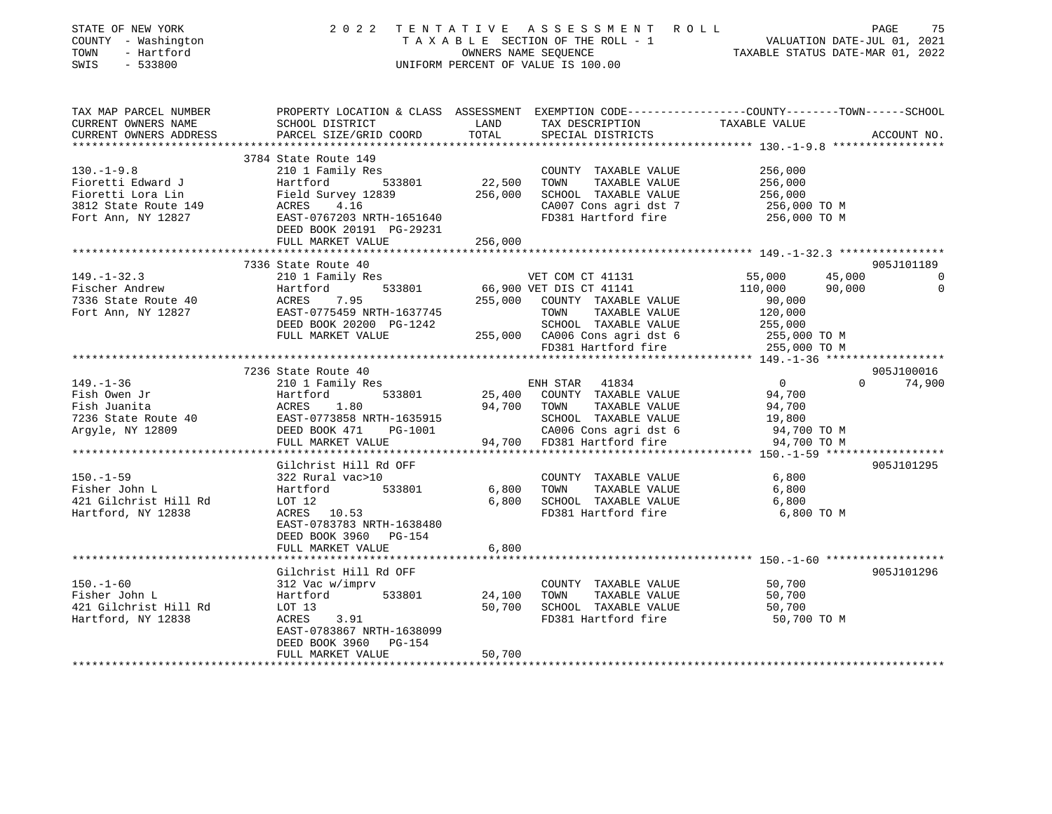| STATE OF NEW YORK<br>COUNTY - Washington<br>------ - Hartford                                                                                                                                                                                                             |                                                                                                                                                                                                        |         | 2022 TENTATIVE ASSESSMENT ROLL<br>TAXABLE SECTION OF THE ROLL - 1<br>OWNERS NAME SEQUENCE<br>TAXABLE STATUS DATE-JUL 01, 2021<br>OWNERS NAME SEQUENCE<br>TAXABLE STATUS DATE-MAR 01, 2022<br>UNIFORM PERCENT OF VALUE IS 100.00 |                                                               | PAGE<br>75                                     |
|---------------------------------------------------------------------------------------------------------------------------------------------------------------------------------------------------------------------------------------------------------------------------|--------------------------------------------------------------------------------------------------------------------------------------------------------------------------------------------------------|---------|---------------------------------------------------------------------------------------------------------------------------------------------------------------------------------------------------------------------------------|---------------------------------------------------------------|------------------------------------------------|
| TAX MAP PARCEL NUMBER             PROPERTY LOCATION & CLASS ASSESSMENT EXEMPTION CODE--------------COUNTY--------TOWN------SCHOOL<br>CURRENT OWNERS NAME<br>CURRENT OWNERS ADDRESS                                                                                        | SCHOOL DISTRICT LAND<br>PARCEL SIZE/GRID COORD TOTAL                                                                                                                                                   |         | TAX DESCRIPTION TAXABLE VALUE SPECIAL DISTRICTS                                                                                                                                                                                 |                                                               | ACCOUNT NO.                                    |
| ***********************                                                                                                                                                                                                                                                   |                                                                                                                                                                                                        |         |                                                                                                                                                                                                                                 |                                                               |                                                |
| 130.-1-9.8<br>Fioretti Edward J<br>Fioretti Edward J<br>Fioretti Lora Lin Field Survey 12839 22,500 TOWN TAXABLE VALUE<br>Fioretti Lora Lin Field Survey 12839 256,000 SCHOOL TAXABLE VALUE<br>3812 State Route 149 ACRES 4.16 CA007 Cons agri dst 7<br>Fort Ann, NY 1282 | 3784 State Route 149<br>210 1 Family Res                                                                                                                                                               |         | COUNTY TAXABLE VALUE<br>CA007 Cons agri dst 7                                                                                                                                                                                   | 256,000<br>256,000<br>256,000<br>256,000 ТО М<br>256,000 ТО М |                                                |
|                                                                                                                                                                                                                                                                           | DEED BOOK 20191 PG-29231<br>FULL MARKET VALUE                                                                                                                                                          | 256,000 |                                                                                                                                                                                                                                 |                                                               |                                                |
|                                                                                                                                                                                                                                                                           | 7336 State Route 40                                                                                                                                                                                    |         |                                                                                                                                                                                                                                 |                                                               | 905J101189                                     |
| $149. - 1 - 32.3$<br>Fischer Andrew<br>7336 State Route 40                                                                                                                                                                                                                | 210 1 Family Res<br>Hartford 533801 66,900 VET DIS CT 41131<br>ACRES 7.95 255,000 COUNTY TAXABLE VALUE<br>EAST-0775459 NRTH-1637745 TOWN TAXABLE VALUE<br>DEED BOOK 20200 PG-1242 SCHOOL TAXABLE VALUE |         |                                                                                                                                                                                                                                 | 55,000<br>110,000                                             | 45,000 0<br>90,000<br>$\overline{\phantom{0}}$ |
| Fort Ann, NY 12827                                                                                                                                                                                                                                                        | FULL MARKET VALUE                                                                                                                                                                                      |         |                                                                                                                                                                                                                                 | 90,000<br>120,000                                             |                                                |
|                                                                                                                                                                                                                                                                           |                                                                                                                                                                                                        |         |                                                                                                                                                                                                                                 |                                                               |                                                |
|                                                                                                                                                                                                                                                                           | 7236 State Route 40                                                                                                                                                                                    |         |                                                                                                                                                                                                                                 |                                                               | 905J100016                                     |
| $149. - 1 - 36$                                                                                                                                                                                                                                                           | 210 1 Family Res                                                                                                                                                                                       |         | ENH STAR 41834                                                                                                                                                                                                                  | $\overline{0}$                                                | $0 \t 74,900$                                  |
|                                                                                                                                                                                                                                                                           |                                                                                                                                                                                                        |         |                                                                                                                                                                                                                                 |                                                               |                                                |
|                                                                                                                                                                                                                                                                           |                                                                                                                                                                                                        |         |                                                                                                                                                                                                                                 |                                                               |                                                |
|                                                                                                                                                                                                                                                                           |                                                                                                                                                                                                        |         |                                                                                                                                                                                                                                 |                                                               |                                                |
| Fish Owen Jr<br>Fish Owen Jr<br>Fish Juanita ACRES 1.80<br>TaxABLE VALUE 94,700<br>TONN TAXABLE VALUE 94,700<br>TONN TAXABLE VALUE 94,700<br>SCHOOL TAXABLE VALUE 94,700<br>SCHOOL TAXABLE VALUE 19,800<br>Argyle, NY 12809<br>PULL MARKET VALUE                          |                                                                                                                                                                                                        |         |                                                                                                                                                                                                                                 |                                                               |                                                |
|                                                                                                                                                                                                                                                                           | Gilchrist Hill Rd OFF                                                                                                                                                                                  |         |                                                                                                                                                                                                                                 |                                                               | 905J101295                                     |
| $150. - 1 - 59$<br>Fisher John L<br>421 Gilchrist Hill Rd LOT 12                                                                                                                                                                                                          | 322 Rural vac>10<br>Hartford 533801                                                                                                                                                                    |         | COUNTY TAXABLE VALUE 6,800<br>6,800 TOWN TAXABLE VALUE<br>6,800 SCHOOL TAXABLE VALUE 6,800                                                                                                                                      | 6,800                                                         |                                                |
| Hartford, NY 12838                                                                                                                                                                                                                                                        | ACRES 10.53<br>EAST-0783783 NRTH-1638480<br>DEED BOOK 3960 PG-154<br>FULL MARKET VALUE                                                                                                                 | 6,800   | FD381 Hartford fire                                                                                                                                                                                                             | 6,800 TO M                                                    |                                                |
| ******************************                                                                                                                                                                                                                                            |                                                                                                                                                                                                        |         |                                                                                                                                                                                                                                 |                                                               |                                                |
| 150.-1-60<br>Fisher John L<br>421 Gilchrist Hill Rd<br>Hartford, NY 12838                                                                                                                                                                                                 | Gilchrist Hill Rd OFF<br>312 Vac w/imprv<br>Hartford 533801 24,100 TOWN TAXABLE VALUE<br>LOT 13 533801 50,700 SCHOOL TAXABLE VALUE<br>ACRES 3.91<br>EAST-0783867 NRTH-1638099<br>DEED BOOK 3960 PG-154 |         | COUNTY TAXABLE VALUE<br>50,700 SCHOOL TAXABLE VALUE<br>FD381 Hartford fire 50,700 TO M                                                                                                                                          | 50,700<br>50,700<br>50,700                                    | 905J101296                                     |
|                                                                                                                                                                                                                                                                           | FULL MARKET VALUE                                                                                                                                                                                      | 50,700  |                                                                                                                                                                                                                                 |                                                               |                                                |
|                                                                                                                                                                                                                                                                           |                                                                                                                                                                                                        |         |                                                                                                                                                                                                                                 |                                                               |                                                |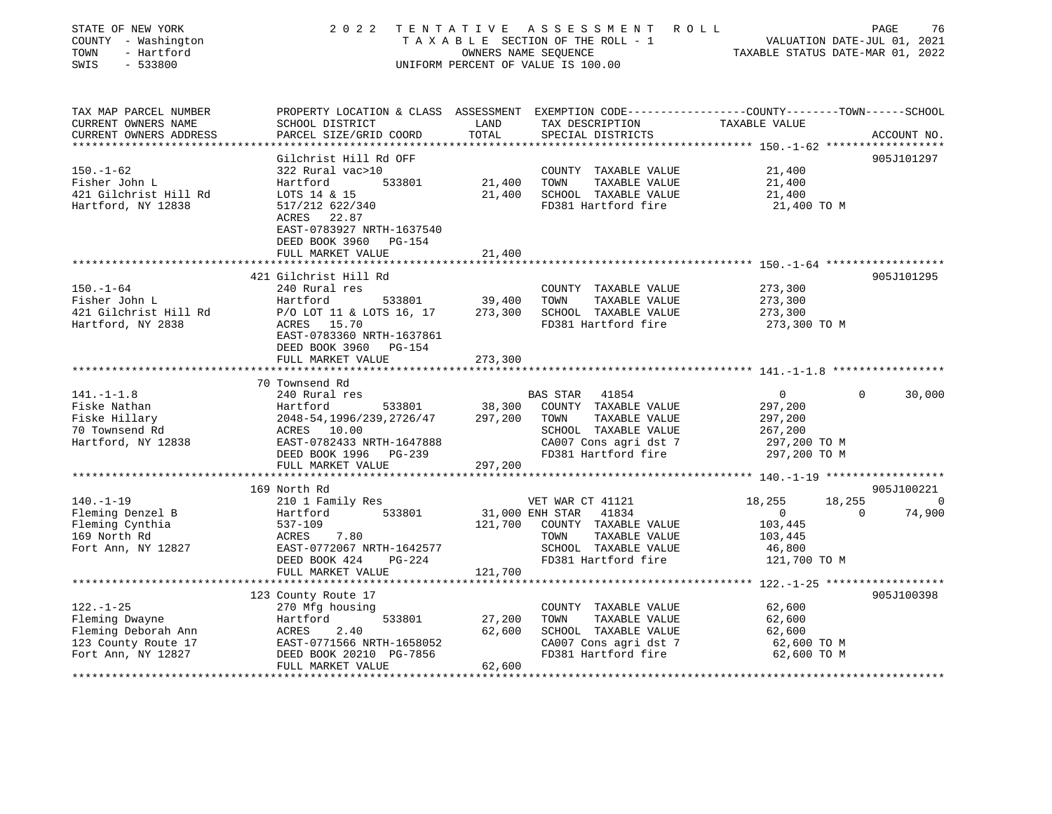| STATE OF NEW YORK<br>COUNTY - Washington<br>- Hartford<br>TOWN<br>SWIS<br>$-533800$ | 2 0 2 2                                                                                         |                 | TENTATIVE ASSESSMENT ROLL<br>UNIFORM PERCENT OF VALUE IS 100.00 | T A X A B L E SECTION OF THE ROLL - 1 VALUATION DATE-JUL 01, 2021<br>OWNERS NAME SEQUENCE TAXABLE STATUS DATE-MAR 01, 2022 |           | PAGE<br>76  |
|-------------------------------------------------------------------------------------|-------------------------------------------------------------------------------------------------|-----------------|-----------------------------------------------------------------|----------------------------------------------------------------------------------------------------------------------------|-----------|-------------|
| TAX MAP PARCEL NUMBER                                                               | PROPERTY LOCATION & CLASS ASSESSMENT EXEMPTION CODE---------------COUNTY-------TOWN------SCHOOL |                 |                                                                 |                                                                                                                            |           |             |
| CURRENT OWNERS NAME<br>CURRENT OWNERS ADDRESS                                       | SCHOOL DISTRICT<br>PARCEL SIZE/GRID COORD                                                       | LAND<br>TOTAL   | TAX DESCRIPTION<br>SPECIAL DISTRICTS                            | TAXABLE VALUE                                                                                                              |           | ACCOUNT NO. |
| *****************                                                                   | ***********************                                                                         |                 |                                                                 | ******************* 150.-1-62 *******************                                                                          |           |             |
| $150. - 1 - 62$                                                                     | Gilchrist Hill Rd OFF<br>322 Rural vac>10                                                       |                 |                                                                 |                                                                                                                            |           | 905J101297  |
| Fisher John L                                                                       | Hartford<br>533801                                                                              | 21,400          | COUNTY TAXABLE VALUE<br>TOWN<br>TAXABLE VALUE                   | 21,400<br>21,400                                                                                                           |           |             |
|                                                                                     |                                                                                                 |                 |                                                                 |                                                                                                                            |           |             |
| 421 Gilchrist Hill Rd                                                               | LOTS 14 & 15<br>517/212 622/340                                                                 |                 | 21,400 SCHOOL TAXABLE VALUE<br>FD381 Hartford fire              | 21,400                                                                                                                     |           |             |
| Hartford, NY 12838                                                                  | ACRES 22.87                                                                                     |                 |                                                                 | 21,400 TO M                                                                                                                |           |             |
|                                                                                     | EAST-0783927 NRTH-1637540                                                                       |                 |                                                                 |                                                                                                                            |           |             |
|                                                                                     | DEED BOOK 3960 PG-154                                                                           |                 |                                                                 |                                                                                                                            |           |             |
|                                                                                     | FULL MARKET VALUE<br>*********************                                                      | 21,400          |                                                                 |                                                                                                                            |           |             |
|                                                                                     |                                                                                                 |                 |                                                                 |                                                                                                                            |           |             |
|                                                                                     | 421 Gilchrist Hill Rd                                                                           |                 |                                                                 |                                                                                                                            |           | 905J101295  |
| $150. - 1 - 64$                                                                     | 240 Rural res                                                                                   |                 | COUNTY TAXABLE VALUE                                            | 273,300                                                                                                                    |           |             |
| Fisher John L                                                                       | Hartford<br>533801                                                                              | 39,400          | TOWN<br>TAXABLE VALUE                                           | 273,300                                                                                                                    |           |             |
| 421 Gilchrist Hill Rd                                                               | P/O LOT 11 & LOTS 16, 17                                                                        | 273,300         | SCHOOL TAXABLE VALUE                                            | 273,300                                                                                                                    |           |             |
| Hartford, NY 2838                                                                   | ACRES 15.70<br>EAST-0783360 NRTH-1637861<br>DEED BOOK 3960 PG-154                               |                 | FD381 Hartford fire                                             | 273,300 TO M                                                                                                               |           |             |
|                                                                                     | FULL MARKET VALUE                                                                               | 273,300         |                                                                 |                                                                                                                            |           |             |
|                                                                                     |                                                                                                 |                 |                                                                 |                                                                                                                            |           |             |
|                                                                                     | 70 Townsend Rd                                                                                  |                 |                                                                 |                                                                                                                            |           |             |
| $141. - 1 - 1.8$                                                                    | 240 Rural res                                                                                   |                 | 41854<br>BAS STAR                                               | $\overline{0}$                                                                                                             | $\Omega$  | 30,000      |
| Fiske Nathan                                                                        | 533801<br>Hartford                                                                              | 38,300          | COUNTY TAXABLE VALUE                                            | 297,200                                                                                                                    |           |             |
| Fiske Hillary                                                                       | 2048-54, 1996/239, 2726/47                                                                      | 297,200         | TAXABLE VALUE<br>TOWN                                           | 297,200                                                                                                                    |           |             |
| 70 Townsend Rd                                                                      | ACRES 10.00                                                                                     |                 | SCHOOL TAXABLE VALUE                                            | 267,200                                                                                                                    |           |             |
| Hartford, NY 12838                                                                  | EAST-0782433 NRTH-1647888                                                                       |                 | CA007 Cons agri dst 7                                           | 297,200 TO M                                                                                                               |           |             |
|                                                                                     | DEED BOOK 1996 PG-239                                                                           |                 | FD381 Hartford fire                                             | 297,200 TO M                                                                                                               |           |             |
|                                                                                     | FULL MARKET VALUE                                                                               | 297,200         |                                                                 |                                                                                                                            |           |             |
|                                                                                     |                                                                                                 |                 |                                                                 |                                                                                                                            |           |             |
|                                                                                     | 169 North Rd                                                                                    |                 |                                                                 |                                                                                                                            |           | 905J100221  |
| 140.-1-19                                                                           | 210 1 Family Res                                                                                |                 | VET WAR CT 41121                                                | 18,255                                                                                                                     | 18,255    | 0           |
| Fleming Denzel B                                                                    | 533801<br>Hartford                                                                              | 31,000 ENH STAR | 41834                                                           | $\overline{0}$                                                                                                             | $\bigcap$ | 74,900      |
| Fleming Cynthia                                                                     | 537-109                                                                                         |                 | 121,700 COUNTY TAXABLE VALUE                                    | 103,445                                                                                                                    |           |             |
| 169 North Rd                                                                        | ACRES 7.80                                                                                      |                 | TAXABLE VALUE<br>TOWN                                           | 103,445                                                                                                                    |           |             |
| Fort Ann, NY 12827                                                                  | EAST-0772067 NRTH-1642577                                                                       |                 | SCHOOL TAXABLE VALUE                                            | 46,800                                                                                                                     |           |             |
|                                                                                     | DEED BOOK 424<br>PG-224                                                                         |                 | FD381 Hartford fire                                             | 121,700 TO M                                                                                                               |           |             |
|                                                                                     | FULL MARKET VALUE                                                                               | 121,700         |                                                                 |                                                                                                                            |           |             |
|                                                                                     |                                                                                                 |                 |                                                                 |                                                                                                                            |           |             |
|                                                                                     | 123 County Route 17                                                                             |                 |                                                                 |                                                                                                                            |           | 905J100398  |
| $122. - 1 - 25$                                                                     | 270 Mfg housing                                                                                 |                 | COUNTY TAXABLE VALUE                                            | 62,600                                                                                                                     |           |             |
| Fleming Dwayne                                                                      | 533801<br>Hartford                                                                              | 27,200          | TOWN<br>TAXABLE VALUE                                           | 62,600                                                                                                                     |           |             |
| Fleming Deborah Ann                                                                 | nar ere<br>2.40                                                                                 | 62,600          | SCHOOL TAXABLE VALUE                                            | 62,600                                                                                                                     |           |             |
| 123 County Route 17                                                                 | EAST-0771566 NRTH-1658052                                                                       |                 | CA007 Cons agri dst 7                                           | 62,600 TO M                                                                                                                |           |             |
| Fort Ann, NY 12827                                                                  | DEED BOOK 20210 PG-7856<br>FULL MARKET VALUE                                                    | 62,600          | FD381 Hartford fire                                             | 62,600 TO M                                                                                                                |           |             |
| ********************                                                                |                                                                                                 |                 |                                                                 |                                                                                                                            |           |             |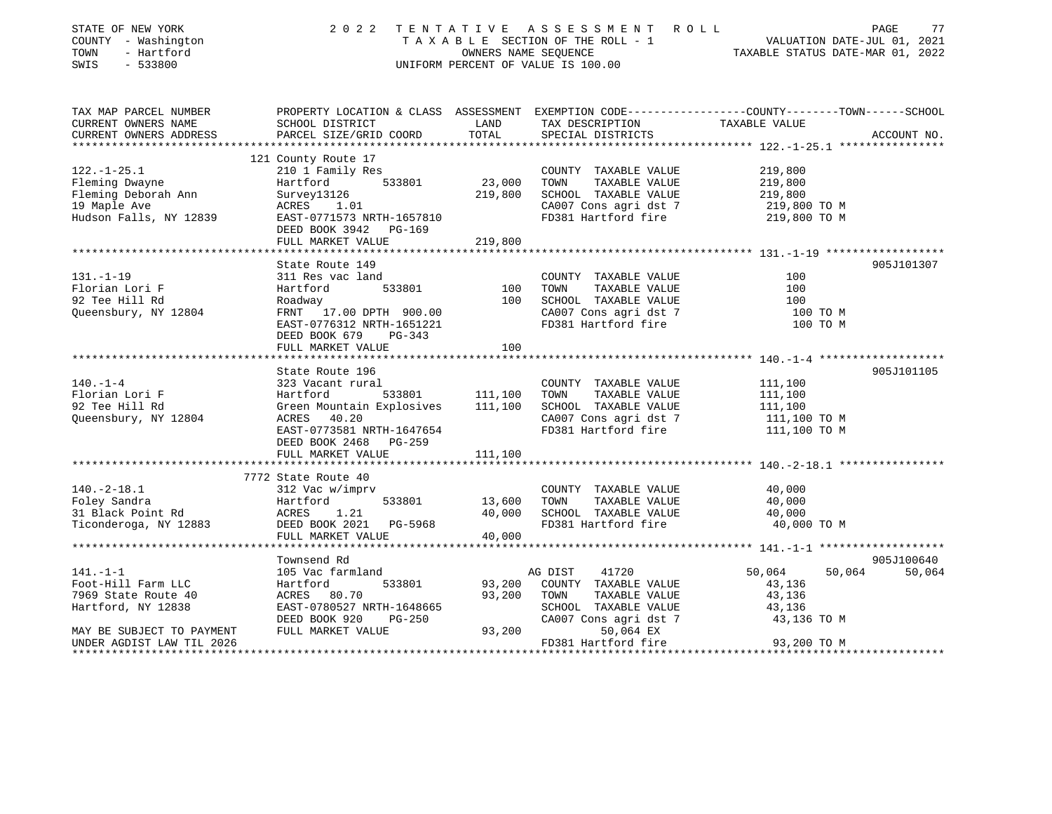| STATE OF NEW YORK                                      | 2022                                                                                            |                      | TENTATIVE ASSESSMENT ROLL                     |                                  | 77<br>PAGE                  |
|--------------------------------------------------------|-------------------------------------------------------------------------------------------------|----------------------|-----------------------------------------------|----------------------------------|-----------------------------|
| COUNTY - Washington                                    |                                                                                                 |                      | TAXABLE SECTION OF THE ROLL - 1               |                                  | VALUATION DATE-JUL 01, 2021 |
| TOWN<br>- Hartford                                     |                                                                                                 | OWNERS NAME SEQUENCE |                                               | TAXABLE STATUS DATE-MAR 01, 2022 |                             |
| $-533800$<br>SWIS                                      |                                                                                                 |                      | UNIFORM PERCENT OF VALUE IS 100.00            |                                  |                             |
| TAX MAP PARCEL NUMBER                                  | PROPERTY LOCATION & CLASS ASSESSMENT EXEMPTION CODE---------------COUNTY-------TOWN------SCHOOL |                      |                                               |                                  |                             |
| CURRENT OWNERS NAME                                    | SCHOOL DISTRICT                                                                                 | LAND                 | TAX DESCRIPTION                               | TAXABLE VALUE                    |                             |
| CURRENT OWNERS ADDRESS                                 | PARCEL SIZE/GRID COORD                                                                          | TOTAL                | SPECIAL DISTRICTS                             |                                  | ACCOUNT NO.                 |
|                                                        |                                                                                                 |                      |                                               |                                  |                             |
| $122. - 1 - 25.1$                                      | 121 County Route 17                                                                             |                      |                                               |                                  |                             |
|                                                        | 210 1 Family Res<br>533801<br>Hartford                                                          | 23,000               | COUNTY TAXABLE VALUE<br>TAXABLE VALUE<br>TOWN | 219,800<br>219,800               |                             |
| Fleming Dwayne<br>Fleming Deborah Ann                  |                                                                                                 | 219,800              | SCHOOL TAXABLE VALUE                          |                                  |                             |
|                                                        | Survey13126<br>ACRES 1.01                                                                       |                      |                                               | 219,800                          |                             |
| 19 Maple Ave<br>Hudson Falls, NY 12839                 | EAST-0771573 NRTH-1657810                                                                       |                      | CA007 Cons agri dst 7<br>FD381 Hartford fire  | 219,800 TO M<br>219,800 TO M     |                             |
|                                                        | DEED BOOK 3942 PG-169                                                                           |                      |                                               |                                  |                             |
|                                                        | FULL MARKET VALUE                                                                               | 219,800              |                                               |                                  |                             |
|                                                        |                                                                                                 |                      |                                               |                                  |                             |
|                                                        | State Route 149                                                                                 |                      |                                               |                                  | 905J101307                  |
| $131. - 1 - 19$                                        | 311 Res vac land                                                                                |                      | COUNTY TAXABLE VALUE                          | 100                              |                             |
| Florian Lori F                                         | Hartford<br>533801                                                                              | 100                  | TAXABLE VALUE<br>TOWN                         | 100                              |                             |
| 92 Tee Hill Rd                                         | Roadway                                                                                         | 100                  | SCHOOL TAXABLE VALUE                          | 100                              |                             |
| Queensbury, NY 12804                                   | FRNT 17.00 DPTH 900.00                                                                          |                      | CA007 Cons agri dst 7                         | 100 TO M                         |                             |
|                                                        | EAST-0776312 NRTH-1651221                                                                       |                      | FD381 Hartford fire                           | 100 TO M                         |                             |
|                                                        | DEED BOOK 679 PG-343                                                                            |                      |                                               |                                  |                             |
|                                                        | FULL MARKET VALUE                                                                               | 100                  |                                               |                                  |                             |
|                                                        |                                                                                                 |                      |                                               |                                  |                             |
|                                                        | State Route 196                                                                                 |                      |                                               |                                  | 905J101105                  |
| $140. - 1 - 4$                                         | 323 Vacant rural                                                                                |                      | COUNTY TAXABLE VALUE                          | 111,100                          |                             |
| Florian Lori F                                         | 533801<br>Hartford                                                                              | 111,100              | TAXABLE VALUE<br>TOWN                         | 111,100                          |                             |
| 92 Tee Hill Rd                                         | Green Mountain Explosives 111,100                                                               |                      | SCHOOL TAXABLE VALUE                          | 111,100                          |                             |
| Queensbury, NY 12804                                   | ACRES 40.20                                                                                     |                      | CA007 Cons agri dst 7                         | 111,100 TO M                     |                             |
|                                                        | EAST-0773581 NRTH-1647654                                                                       |                      | FD381 Hartford fire                           | 111,100 TO M                     |                             |
|                                                        | DEED BOOK 2468 PG-259<br>FULL MARKET VALUE                                                      | 111,100              |                                               |                                  |                             |
|                                                        |                                                                                                 |                      |                                               |                                  |                             |
|                                                        | 7772 State Route 40                                                                             |                      |                                               |                                  |                             |
| $140.-2-18.1$                                          | 312 Vac w/imprv                                                                                 |                      | COUNTY TAXABLE VALUE                          | 40,000                           |                             |
| Foley Sandra                                           | Hartford<br>533801                                                                              | 13,600               | TOWN<br>TAXABLE VALUE                         | 40,000                           |                             |
| 31 Black Point Rd                                      | 1.21<br>ACRES                                                                                   | 40,000               | SCHOOL TAXABLE VALUE                          | 40,000                           |                             |
| Ticonderoga, NY 12883                                  | DEED BOOK 2021 PG-5968                                                                          |                      | FD381 Hartford fire                           | 40,000 TO M                      |                             |
|                                                        | FULL MARKET VALUE                                                                               | 40,000               |                                               |                                  |                             |
|                                                        |                                                                                                 |                      |                                               |                                  |                             |
|                                                        | Townsend Rd                                                                                     |                      |                                               |                                  | 905J100640                  |
| 141.-1-1                                               | 105 Vac farmland                                                                                |                      | 41720<br>AG DIST                              | 50,064                           | 50,064<br>50,064            |
| Foot-Hill Farm LLC                                     | 533801<br>Hartford                                                                              | 93,200               | COUNTY TAXABLE VALUE                          | 43,136                           |                             |
| 7969 State Route 40                                    | ACRES 80.70                                                                                     | 93,200               | TOWN<br>TAXABLE VALUE                         | 43,136                           |                             |
| Hartford, NY 12838                                     | EAST-0780527 NRTH-1648665                                                                       |                      | SCHOOL TAXABLE VALUE                          | 43,136                           |                             |
|                                                        | DEED BOOK 920<br>PG-250                                                                         |                      | CA007 Cons agri dst 7                         | 43,136 TO M                      |                             |
|                                                        |                                                                                                 |                      |                                               |                                  |                             |
| MAY BE SUBJECT TO PAYMENT<br>UNDER AGDIST LAW TIL 2026 | FULL MARKET VALUE                                                                               | 93,200               | 50,064 EX<br>FD381 Hartford fire              | 93,200 TO M                      |                             |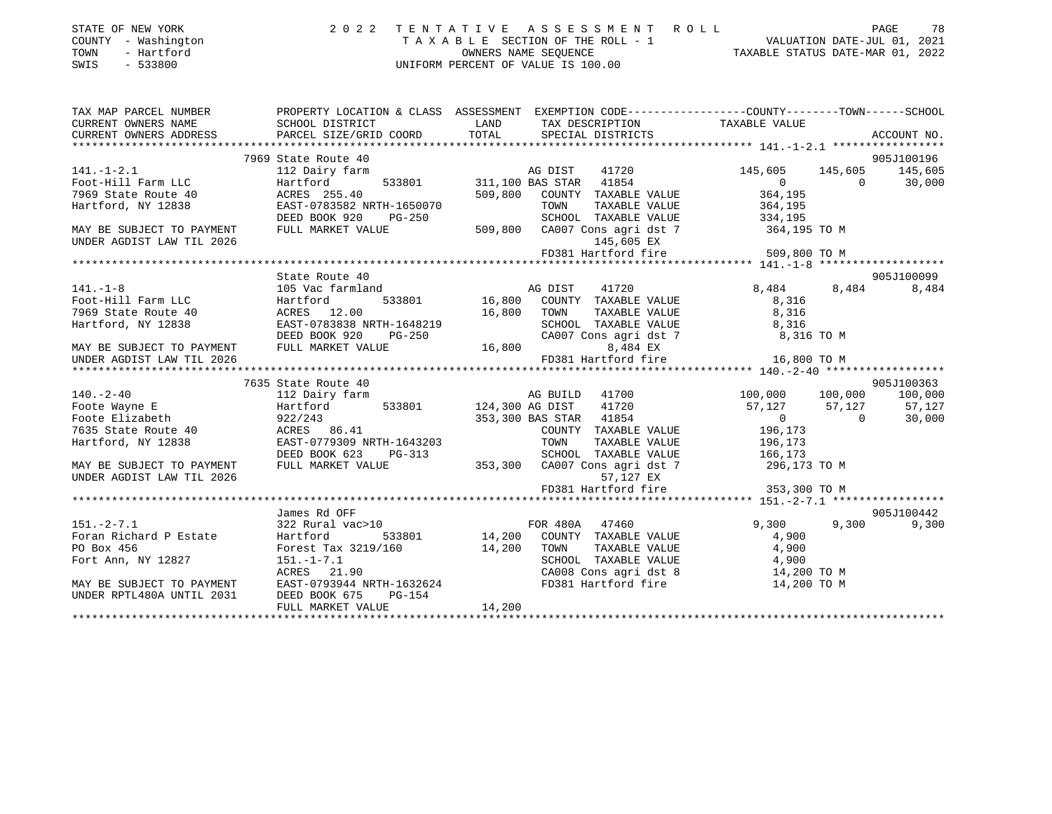|      | STATE OF NEW YORK   | 2022 TENTATIVE ASSESSMENT ROLL        |                                  | PAGE | 78 |
|------|---------------------|---------------------------------------|----------------------------------|------|----|
|      | COUNTY - Washington | T A X A B L E SECTION OF THE ROLL - 1 | VALUATION DATE-JUL 01, 2021      |      |    |
| TOWN | - Hartford          | OWNERS NAME SEOUENCE                  | TAXABLE STATUS DATE-MAR 01, 2022 |      |    |
| SWIS | - 533800            | UNIFORM PERCENT OF VALUE IS 100.00    |                                  |      |    |
|      |                     |                                       |                                  |      |    |

| TAX MAP PARCEL NUMBER                                                                                                                                                             |                           | PROPERTY LOCATION & CLASS ASSESSMENT EXEMPTION CODE---------------COUNTY-------TOWN-----SCHOOL                                                                                                                                         |                                                                                                                                                    |
|-----------------------------------------------------------------------------------------------------------------------------------------------------------------------------------|---------------------------|----------------------------------------------------------------------------------------------------------------------------------------------------------------------------------------------------------------------------------------|----------------------------------------------------------------------------------------------------------------------------------------------------|
| CURRENT OWNERS NAME                                                                                                                                                               | SCHOOL DISTRICT           | LAND TAX DESCRIPTION TAXABLE VALUE                                                                                                                                                                                                     |                                                                                                                                                    |
| CURRENT OWNERS ADDRESS                                                                                                                                                            |                           |                                                                                                                                                                                                                                        |                                                                                                                                                    |
|                                                                                                                                                                                   |                           |                                                                                                                                                                                                                                        |                                                                                                                                                    |
|                                                                                                                                                                                   | 7969 State Route 40       |                                                                                                                                                                                                                                        | 905J100196                                                                                                                                         |
| $141. -1 - 2.1$                                                                                                                                                                   | 112 Dairy farm            | Farm MG DIST 41720<br>533801 311,100 BAS STAR 41854                                                                                                                                                                                    | 145,605 145,605 145,605                                                                                                                            |
|                                                                                                                                                                                   |                           |                                                                                                                                                                                                                                        | $0$ 0 30,000<br>364,195                                                                                                                            |
|                                                                                                                                                                                   |                           | 509,800 COUNTY TAXABLE VALUE                                                                                                                                                                                                           |                                                                                                                                                    |
|                                                                                                                                                                                   | EAST-0783582 NRTH-1650070 |                                                                                                                                                                                                                                        |                                                                                                                                                    |
|                                                                                                                                                                                   |                           | Hartford, NY 12838<br>Hartford, NY 12838<br>DEED BOOK 920 PG-250<br>NAY BE SUBJECT TO PAYMENT<br>FULL MARKET VALUE<br>FULL MARKET VALUE<br>PULL MARKET VALUE<br>SO9,800 CA007 Cons agri dst 7<br>145,665 EY<br>TARBLE VALUE<br>364,195 |                                                                                                                                                    |
|                                                                                                                                                                                   |                           |                                                                                                                                                                                                                                        | 364,195 TO M                                                                                                                                       |
| UNDER AGDIST LAW TIL 2026                                                                                                                                                         |                           | 145,605 EX                                                                                                                                                                                                                             |                                                                                                                                                    |
|                                                                                                                                                                                   |                           | FD381 Hartford fire                                                                                                                                                                                                                    | 509,800 TO M                                                                                                                                       |
|                                                                                                                                                                                   | State Route 40            |                                                                                                                                                                                                                                        | 905J100099                                                                                                                                         |
| $141. - 1 - 8$                                                                                                                                                                    | 105 Vac farmland          |                                                                                                                                                                                                                                        | 8,484 8,484<br>8,484                                                                                                                               |
|                                                                                                                                                                                   |                           | rmland<br>533801 16,800 COUNTY TAXABLE VALUE                                                                                                                                                                                           | 8,316                                                                                                                                              |
|                                                                                                                                                                                   |                           | TAXABLE VALUE                                                                                                                                                                                                                          | 8,316                                                                                                                                              |
|                                                                                                                                                                                   |                           | SCHOOL TAXABLE VALUE 8,316                                                                                                                                                                                                             |                                                                                                                                                    |
| Foot-Hill Farm LLC<br>Foot-Hill Farm LLC<br>7969 State Route 40 (ACRES 12.00 (2000)<br>Hartford, NY 12838 (EAST-0783838 NRTH-1648219 (2000)<br>Finally Compared CALL CHOOL (2007) | DEED BOOK 920             | $PG-250$<br>CA007 Cons agri dst 7 8,316 TO M                                                                                                                                                                                           |                                                                                                                                                    |
| MAY BE SUBJECT TO PAYMENT FULL MARKET VALUE $16,800$                                                                                                                              |                           | 8,484 EX                                                                                                                                                                                                                               |                                                                                                                                                    |
| UNDER AGDIST LAW TIL 2026                                                                                                                                                         |                           |                                                                                                                                                                                                                                        |                                                                                                                                                    |
|                                                                                                                                                                                   |                           | אמא מש דטד, טיס שטאר טי, דטד שמ ער פון דאר (האבלט יינער דאר האט די האט די האט די האט די האט די האט די האט די ה<br>16,800 TO M FD381 Hartford fire 16,800 TO M FD381 FD381 For the state of the 16,800 TO M FD381 FD381 Hartford        |                                                                                                                                                    |
|                                                                                                                                                                                   | 7635 State Route 40       |                                                                                                                                                                                                                                        | 905J100363                                                                                                                                         |
|                                                                                                                                                                                   |                           |                                                                                                                                                                                                                                        |                                                                                                                                                    |
|                                                                                                                                                                                   |                           |                                                                                                                                                                                                                                        |                                                                                                                                                    |
| Foote Elizabeth (1854)<br>7635 State Route 40 (2007) ACRES (2008) ACRES (2008) 26.41<br>Hartford, NY 12838 (2008T-0779309 NRTH-1643203 (2008) TOWN TAXABLE                        |                           |                                                                                                                                                                                                                                        | $\begin{array}{ccc} & & & 0 & \quad & 0 \\ \multicolumn{2}{c}{} & 0 & \quad & 0 \\ \multicolumn{2}{c}{} & 196,173 & \quad & \end{array}$<br>30,000 |
|                                                                                                                                                                                   |                           | COUNTY TAXABLE VALUE                                                                                                                                                                                                                   |                                                                                                                                                    |
|                                                                                                                                                                                   |                           |                                                                                                                                                                                                                                        | TAXABLE VALUE 196,173                                                                                                                              |
|                                                                                                                                                                                   | DEED BOOK 623 PG-313      | SCHOOL TAXABLE VALUE 166,173                                                                                                                                                                                                           |                                                                                                                                                    |
| MAY BE SUBJECT TO PAYMENT                                                                                                                                                         |                           | FULL MARKET VALUE 353,300 CA007 Cons agri dst 7 396,173 TO M                                                                                                                                                                           |                                                                                                                                                    |
| UNDER AGDIST LAW TIL 2026                                                                                                                                                         |                           | 57,127 EX                                                                                                                                                                                                                              |                                                                                                                                                    |
|                                                                                                                                                                                   |                           | FD381 Hartford fire 353,300 TO M                                                                                                                                                                                                       |                                                                                                                                                    |
|                                                                                                                                                                                   |                           |                                                                                                                                                                                                                                        |                                                                                                                                                    |
|                                                                                                                                                                                   | James Rd OFF              |                                                                                                                                                                                                                                        | 905J100442                                                                                                                                         |
| $151. - 2 - 7.1$                                                                                                                                                                  |                           | 322 Rural vac>10 TOR 480A 47460                                                                                                                                                                                                        | 9,300<br>9,300<br>9,300                                                                                                                            |
|                                                                                                                                                                                   |                           | Foran Richard P Estate Martford 533801 14,200 COUNTY TAXABLE VALUE 4,900                                                                                                                                                               |                                                                                                                                                    |
| PO Box 456<br>Forest Tax 3219/160<br>14,200 TOWN<br>Fort Ann, NY 12827<br>151.-1-7.1<br>SCHOOL                                                                                    |                           | TOWN TAXABLE VALUE 4,900<br>SCHOOL TAXABLE VALUE 4,900                                                                                                                                                                                 |                                                                                                                                                    |
|                                                                                                                                                                                   | ACRES 21.90               | CA008 Cons agri dst 8 14,200 TO M                                                                                                                                                                                                      |                                                                                                                                                    |
|                                                                                                                                                                                   | EAST-0793944 NRTH-1632624 |                                                                                                                                                                                                                                        |                                                                                                                                                    |
| MAY BE SUBJECT TO PAYMENT<br>UNDER RPTL480A UNTIL 2031                                                                                                                            | DEED BOOK 675 PG-154      | FD381 Hartford fire 14,200 TO M                                                                                                                                                                                                        |                                                                                                                                                    |
|                                                                                                                                                                                   | FULL MARKET VALUE         | 14,200                                                                                                                                                                                                                                 |                                                                                                                                                    |
|                                                                                                                                                                                   |                           |                                                                                                                                                                                                                                        |                                                                                                                                                    |
|                                                                                                                                                                                   |                           |                                                                                                                                                                                                                                        |                                                                                                                                                    |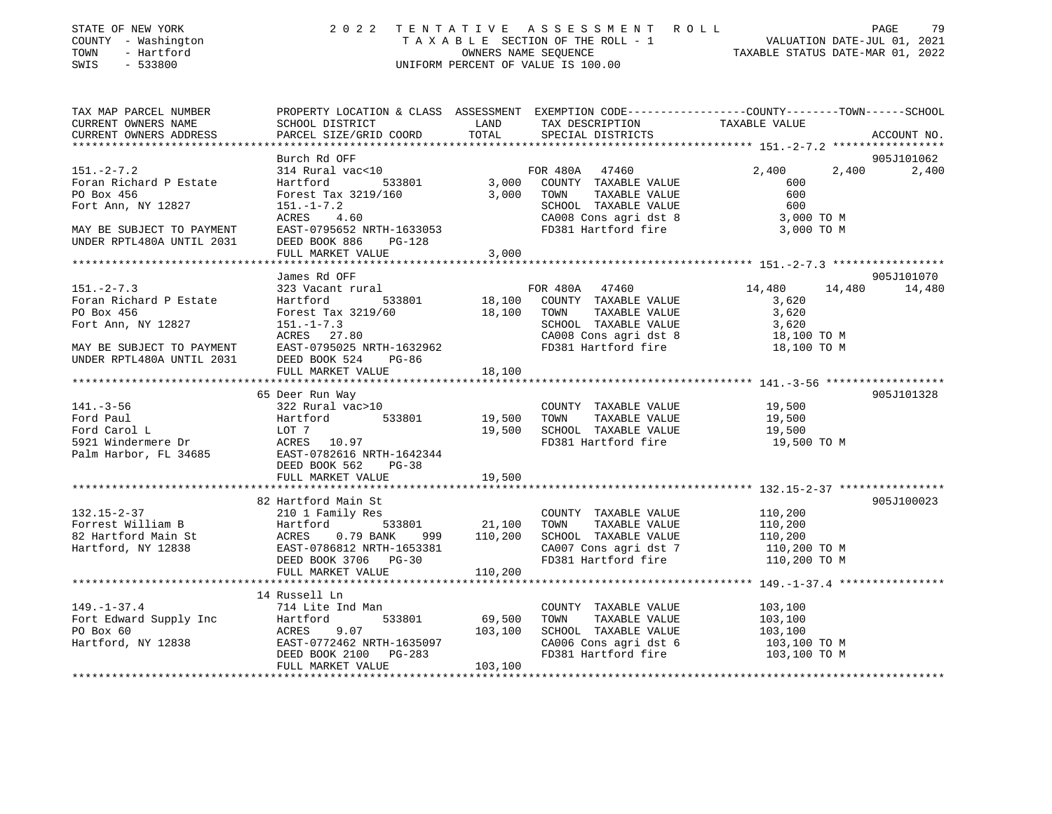| STATE OF NEW YORK<br>COUNTY - Washington<br>TOWN<br>- Hartford<br>SWIS<br>$-533800$ |                                                       |                    | 2022 TENTATIVE ASSESSMENT ROLL<br>UNIFORM PERCENT OF VALUE IS 100.00 | FENTATIVE ASSESSMENT ROLL PAGE 79<br>TAXABLE SECTION OF THE ROLL - 1 VALUATION DATE-JUL 01, 2021<br>OWNERS NAME SEQUENCE TAXABLE STATUS DATE-MAR 01, 2022 |               |
|-------------------------------------------------------------------------------------|-------------------------------------------------------|--------------------|----------------------------------------------------------------------|-----------------------------------------------------------------------------------------------------------------------------------------------------------|---------------|
| TAX MAP PARCEL NUMBER<br>CURRENT OWNERS NAME                                        | SCHOOL DISTRICT                                       | LAND               | TAX DESCRIPTION                                                      | PROPERTY LOCATION & CLASS ASSESSMENT EXEMPTION CODE---------------COUNTY-------TOWN------SCHOOL<br>TAXABLE VALUE                                          |               |
| CURRENT OWNERS ADDRESS                                                              | PARCEL SIZE/GRID COORD                                | TOTAL              | SPECIAL DISTRICTS                                                    |                                                                                                                                                           | ACCOUNT NO.   |
|                                                                                     |                                                       |                    |                                                                      |                                                                                                                                                           |               |
|                                                                                     | Burch Rd OFF                                          |                    |                                                                      |                                                                                                                                                           | 905J101062    |
| $151 - 2 - 7.2$<br>Foran Richard P Estate                                           | 314 Rural vac<10<br>Hartford 533801                   |                    | FOR 480A 47460<br>3,000 COUNTY TAXABLE VALUE                         | 2,400<br>2,400<br>600                                                                                                                                     | 2,400         |
| PO Box 456                                                                          | Forest Tax 3219/160                                   |                    | 3,000 TOWN<br>TAXABLE VALUE                                          | 600                                                                                                                                                       |               |
| Fort Ann, NY 12827                                                                  | $151. - 1 - 7.2$                                      |                    |                                                                      | 600                                                                                                                                                       |               |
|                                                                                     | $ACRES$ 4.60                                          |                    | SCHOOL TAXABLE VALUE<br>CA008 Cons agri dst 8                        | $3,000$ TO M                                                                                                                                              |               |
| MAY BE SUBJECT TO PAYMENT                                                           | EAST-0795652 NRTH-1633053                             |                    | FD381 Hartford fire 3,000 TO M                                       |                                                                                                                                                           |               |
| UNDER RPTL480A UNTIL 2031                                                           | DEED BOOK 886<br>PG-128                               |                    |                                                                      |                                                                                                                                                           |               |
|                                                                                     | FULL MARKET VALUE                                     | 3,000              |                                                                      |                                                                                                                                                           |               |
|                                                                                     | James Rd OFF                                          |                    |                                                                      |                                                                                                                                                           | 905J101070    |
| $151 - 2 - 7.3$                                                                     | 323 Vacant rural                                      |                    | FOR 480A 47460                                                       | 14,480                                                                                                                                                    | 14,480 14,480 |
| Foran Richard P Estate                                                              | Hartford 533801                                       |                    | 18,100 COUNTY TAXABLE VALUE                                          | 3,620                                                                                                                                                     |               |
| PO Box 456                                                                          | Forest Tax 3219/60                                    | 18,100 TOWN        | TAXABLE VALUE                                                        | 3,620                                                                                                                                                     |               |
| Fort Ann, NY 12827                                                                  | $151. - 1 - 7.3$                                      |                    | SCHOOL TAXABLE VALUE                                                 | 3,620                                                                                                                                                     |               |
|                                                                                     | ACRES 27.80                                           |                    | CA008 Cons agri dst 8                                                | 18,100 TO M                                                                                                                                               |               |
| MAY BE SUBJECT TO PAYMENT                                                           | EAST-0795025 NRTH-1632962                             |                    | FD381 Hartford fire                                                  | 18,100 TO M                                                                                                                                               |               |
| UNDER RPTL480A UNTIL 2031                                                           | DEED BOOK 524<br>PG-86<br>FULL MARKET VALUE           | 18,100             |                                                                      |                                                                                                                                                           |               |
|                                                                                     |                                                       |                    |                                                                      |                                                                                                                                                           |               |
|                                                                                     | 65 Deer Run Way                                       |                    |                                                                      |                                                                                                                                                           | 905J101328    |
| $141. - 3 - 56$                                                                     | 322 Rural vac>10                                      |                    | COUNTY TAXABLE VALUE 19,500                                          |                                                                                                                                                           |               |
| Ford Paul                                                                           | Hartford 533801                                       | 19,500             | TOWN<br>TAXABLE VALUE                                                | 19,500                                                                                                                                                    |               |
|                                                                                     |                                                       |                    | 19,500 SCHOOL TAXABLE VALUE                                          | 19,500                                                                                                                                                    |               |
|                                                                                     |                                                       |                    | FD381 Hartford fire                                                  | 19,500 TO M                                                                                                                                               |               |
| Palm Harbor, FL 34685                                                               | EAST-0782616 NRTH-1642344<br>DEED BOOK 562<br>$PG-38$ |                    |                                                                      |                                                                                                                                                           |               |
|                                                                                     | FULL MARKET VALUE                                     | 19,500             |                                                                      |                                                                                                                                                           |               |
|                                                                                     |                                                       |                    |                                                                      |                                                                                                                                                           |               |
|                                                                                     | 82 Hartford Main St                                   |                    |                                                                      |                                                                                                                                                           | 905J100023    |
| $132.15 - 2 - 37$                                                                   | 210 1 Family Res                                      |                    | COUNTY TAXABLE VALUE                                                 | 110,200                                                                                                                                                   |               |
|                                                                                     |                                                       | 533801 21,100 TOWN | TAXABLE VALUE                                                        | 110,200<br>110,200                                                                                                                                        |               |
|                                                                                     | 999                                                   | 110,200            | SCHOOL TAXABLE VALUE                                                 |                                                                                                                                                           |               |
|                                                                                     | EAST-0786812 NRTH-1653381                             |                    | CA007 Cons agri dst 7                                                | 110,200 TO M<br>FD381 Hartford fire 110,200 TO M                                                                                                          |               |
|                                                                                     | DEED BOOK 3706 PG-30<br>FULL MARKET VALUE             | 110,200            |                                                                      |                                                                                                                                                           |               |
|                                                                                     |                                                       |                    |                                                                      |                                                                                                                                                           |               |
|                                                                                     | 14 Russell Ln                                         |                    |                                                                      |                                                                                                                                                           |               |
| $149. - 1 - 37.4$                                                                   | 714 Lite Ind Man                                      |                    | COUNTY TAXABLE VALUE                                                 | 103,100                                                                                                                                                   |               |
| Fort Edward Supply Inc Hartford<br>PO Box 60 ACRES<br>Hartford, NY 12838 EAST-0772  | 533801                                                | 69,500             | TOWN<br>TAXABLE VALUE                                                | 103,100                                                                                                                                                   |               |
|                                                                                     | 9.07                                                  | 103,100            | SCHOOL TAXABLE VALUE                                                 | 103,100                                                                                                                                                   |               |
|                                                                                     | EAST-0772462 NRTH-1635097                             |                    | CA006 Cons agri dst 6                                                | 103,100 TO M                                                                                                                                              |               |
|                                                                                     | DEED BOOK 2100 PG-283<br>FULL MARKET VALUE            | 103,100            | FD381 Hartford fire                                                  | 103,100 TO M                                                                                                                                              |               |

\*\*\*\*\*\*\*\*\*\*\*\*\*\*\*\*\*\*\*\*\*\*\*\*\*\*\*\*\*\*\*\*\*\*\*\*\*\*\*\*\*\*\*\*\*\*\*\*\*\*\*\*\*\*\*\*\*\*\*\*\*\*\*\*\*\*\*\*\*\*\*\*\*\*\*\*\*\*\*\*\*\*\*\*\*\*\*\*\*\*\*\*\*\*\*\*\*\*\*\*\*\*\*\*\*\*\*\*\*\*\*\*\*\*\*\*\*\*\*\*\*\*\*\*\*\*\*\*\*\*\*\*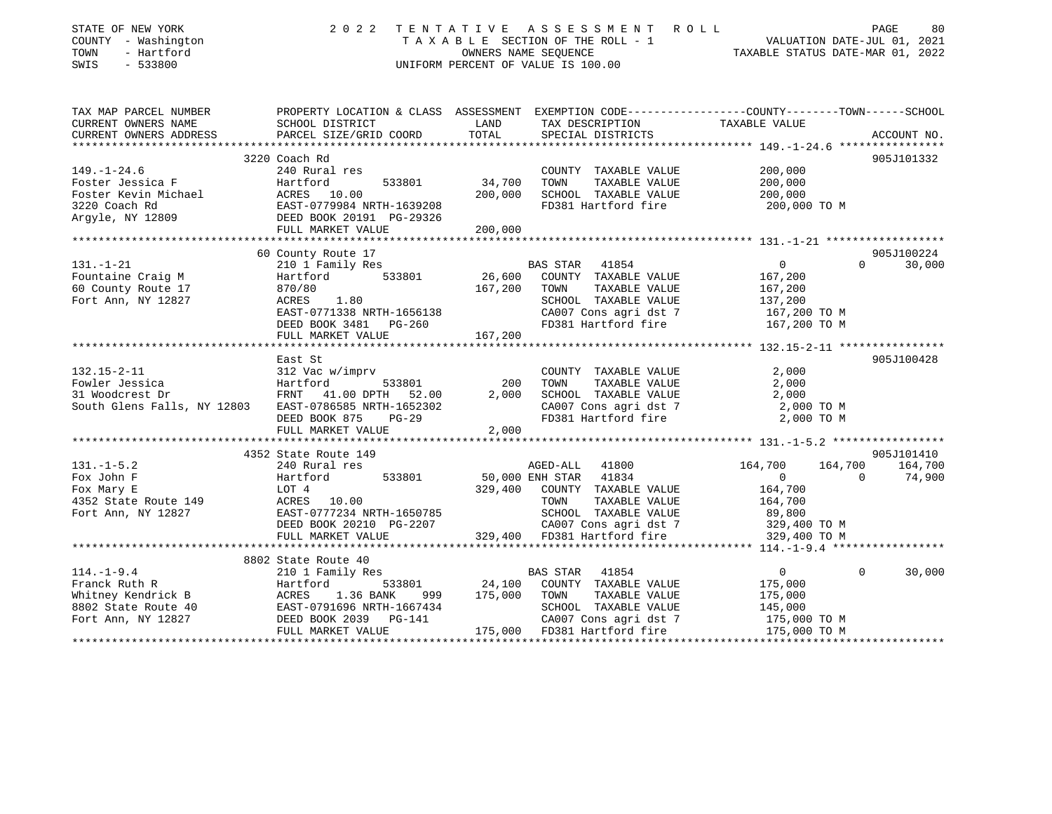| STATE OF NEW YORK<br>COUNTY - Washington<br>TOWN<br>- Hartford<br>SWIS<br>$-533800$                  | 2 0 2 2                                                                                                                                             |                   | TENTATIVE ASSESSMENT ROLL<br>TAXABLE SECTION OF THE ROLL - 1<br>OWNERS NAME SEQUENCE<br>UNIFORM PERCENT OF VALUE IS 100.00                   | VALUATION DATE-JUL 01, 2021<br>TAXABLE STATUS DATE-MAR 01, 2022     |                     | PAGE<br>80                      |
|------------------------------------------------------------------------------------------------------|-----------------------------------------------------------------------------------------------------------------------------------------------------|-------------------|----------------------------------------------------------------------------------------------------------------------------------------------|---------------------------------------------------------------------|---------------------|---------------------------------|
| TAX MAP PARCEL NUMBER<br>CURRENT OWNERS NAME<br>CURRENT OWNERS ADDRESS                               | PROPERTY LOCATION & CLASS ASSESSMENT EXEMPTION CODE---------------COUNTY-------TOWN------SCHOOL<br>SCHOOL DISTRICT<br>PARCEL SIZE/GRID COORD        | LAND<br>TOTAL     | TAX DESCRIPTION<br>SPECIAL DISTRICTS                                                                                                         | TAXABLE VALUE                                                       |                     | ACCOUNT NO.                     |
|                                                                                                      | 3220 Coach Rd                                                                                                                                       |                   |                                                                                                                                              |                                                                     |                     | 905J101332                      |
| $149. - 1 - 24.6$<br>Foster Jessica F<br>Foster Kevin Michael<br>3220 Coach Rd<br>Argyle, NY 12809   | 240 Rural res<br>Hartford<br>533801<br>ACRES 10.00<br>EAST-0779984 NRTH-1639208<br>DEED BOOK 20191 PG-29326                                         | 34,700<br>200,000 | COUNTY TAXABLE VALUE<br>TAXABLE VALUE<br>TOWN<br>SCHOOL TAXABLE VALUE<br>FD381 Hartford fire                                                 | 200,000<br>200,000<br>200,000<br>200,000 TO M                       |                     |                                 |
|                                                                                                      | FULL MARKET VALUE                                                                                                                                   | 200,000           |                                                                                                                                              |                                                                     |                     |                                 |
| $131. - 1 - 21$<br>Fountaine Craig M<br>60 County Route 17<br>Fort Ann, NY 12827                     | 60 County Route 17<br>210 1 Family Res<br>533801<br>Hartford<br>870/80<br>1.80<br>ACRES                                                             | 26,600<br>167,200 | <b>BAS STAR</b><br>41854<br>COUNTY TAXABLE VALUE<br>TAXABLE VALUE<br>TOWN<br>SCHOOL TAXABLE VALUE                                            | $\overline{0}$<br>167,200<br>167,200<br>137,200                     | $\Omega$            | 905J100224<br>30,000            |
|                                                                                                      | EAST-0771338 NRTH-1656138<br>DEED BOOK 3481<br>PG-260<br>FULL MARKET VALUE                                                                          | 167,200           | CA007 Cons agri dst 7<br>FD381 Hartford fire                                                                                                 | 167,200 TO M<br>167,200 TO M                                        |                     |                                 |
| $132.15 - 2 - 11$<br>Fowler Jessica<br>31 Woodcrest Dr<br>South Glens Falls, NY 12803                | East St<br>312 Vac w/imprv<br>533801<br>Hartford<br>FRNT 41.00 DPTH 52.00<br>EAST-0786585 NRTH-1652302<br>DEED BOOK 875<br>$PG-29$                  | 200<br>2,000      | COUNTY TAXABLE VALUE<br>TOWN<br>TAXABLE VALUE<br>SCHOOL TAXABLE VALUE<br>CA007 Cons agri dst 7<br>FD381 Hartford fire                        | 2,000<br>2,000<br>2,000<br>2,000 TO M<br>2,000 TO M                 |                     | 905J100428                      |
|                                                                                                      | FULL MARKET VALUE                                                                                                                                   | 2,000             |                                                                                                                                              |                                                                     |                     |                                 |
|                                                                                                      |                                                                                                                                                     |                   |                                                                                                                                              |                                                                     |                     |                                 |
| $131. - 1 - 5.2$<br>Fox John F<br>Fox Mary E<br>4352 State Route 149<br>Fort Ann, NY 12827           | 4352 State Route 149<br>240 Rural res<br>Hartford<br>533801<br>LOT 4<br>ACRES 10.00<br>EAST-0777234 NRTH-1650785<br>DEED BOOK 20210 PG-2207         | 329,400           | AGED-ALL 41800<br>50,000 ENH STAR<br>41834<br>COUNTY TAXABLE VALUE<br>TOWN<br>TAXABLE VALUE<br>SCHOOL TAXABLE VALUE<br>CA007 Cons agri dst 7 | 164,700<br>$\Omega$<br>164,700<br>164,700<br>89,800<br>329,400 TO M | 164,700<br>$\Omega$ | 905J101410<br>164,700<br>74,900 |
|                                                                                                      | FULL MARKET VALUE                                                                                                                                   | 329,400           | FD381 Hartford fire                                                                                                                          | 329,400 TO M                                                        |                     |                                 |
|                                                                                                      |                                                                                                                                                     |                   |                                                                                                                                              |                                                                     |                     |                                 |
| $114. - 1 - 9.4$<br>Franck Ruth R<br>Whitney Kendrick B<br>8802 State Route 40<br>Fort Ann, NY 12827 | 8802 State Route 40<br>210 1 Family Res<br>Hartford<br>533801<br>1.36 BANK<br>ACRES<br>999<br>EAST-0791696 NRTH-1667434<br>DEED BOOK 2039<br>PG-141 | 24,100<br>175,000 | 41854<br><b>BAS STAR</b><br>COUNTY TAXABLE VALUE<br>TAXABLE VALUE<br>TOWN<br>SCHOOL TAXABLE VALUE<br>CA007 Cons agri dst 7                   | $\overline{0}$<br>175,000<br>175,000<br>145,000<br>175,000 TO M     | $\Omega$            | 30,000                          |
|                                                                                                      | FULL MARKET VALUE                                                                                                                                   | 175,000           | FD381 Hartford fire                                                                                                                          | 175,000 TO M                                                        |                     |                                 |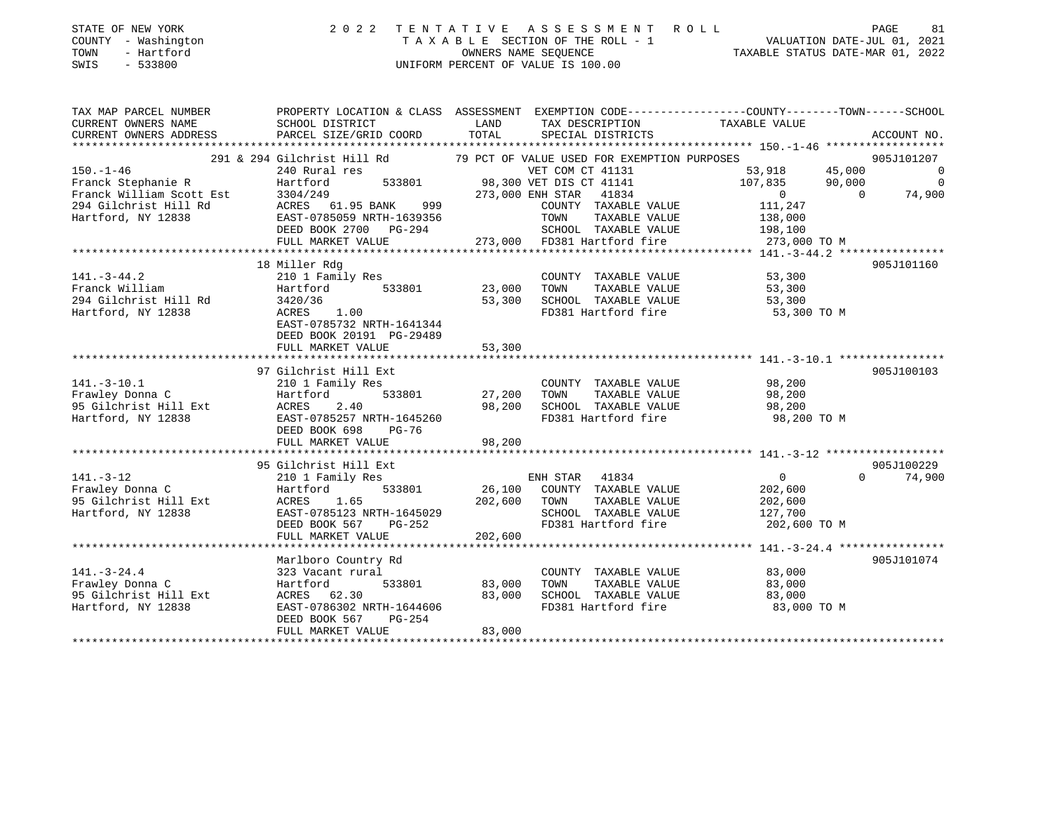| STATE OF NEW YORK<br>- Washington<br>COUNTY<br>- Hartford<br>TOWN<br>SWIS<br>$-533800$ |                                                                        |                             | 2022 TENTATIVE ASSESSMENT ROLL<br>TAXABLE SECTION OF THE ROLL - 1<br>OWNERS NAME SEOUENCE<br>UNIFORM PERCENT OF VALUE IS 100.00 |                                                                               | 81<br>PAGE<br>VALUATION DATE-JUL 01, 2021<br>TAXABLE STATUS DATE-MAR 01, 2022 |
|----------------------------------------------------------------------------------------|------------------------------------------------------------------------|-----------------------------|---------------------------------------------------------------------------------------------------------------------------------|-------------------------------------------------------------------------------|-------------------------------------------------------------------------------|
| TAX MAP PARCEL NUMBER<br>CURRENT OWNERS NAME<br>CURRENT OWNERS ADDRESS                 | PROPERTY LOCATION & CLASS<br>SCHOOL DISTRICT<br>PARCEL SIZE/GRID COORD | ASSESSMENT<br>LAND<br>TOTAL | TAX DESCRIPTION<br>SPECIAL DISTRICTS                                                                                            | EXEMPTION CODE-----------------COUNTY-------TOWN------SCHOOL<br>TAXABLE VALUE | ACCOUNT NO.                                                                   |

|                          |                             |                                             | $\pm 50.7 - \pm 70$                  |
|--------------------------|-----------------------------|---------------------------------------------|--------------------------------------|
|                          | 291 & 294 Gilchrist Hill Rd | 79 PCT OF VALUE USED FOR EXEMPTION PURPOSES | 905J101207                           |
| $150. - 1 - 46$          | 240 Rural res               | VET COM CT 41131                            | 45,000<br>53,918<br>$\overline{0}$   |
| Franck Stephanie R       | 533801<br>Hartford          | 98,300 VET DIS CT 41141                     | 107,835<br>90,000<br>$\Omega$        |
| Franck William Scott Est | 3304/249                    | 273,000 ENH STAR 41834                      | $\overline{0}$<br>$\Omega$<br>74,900 |
| 294 Gilchrist Hill Rd    | ACRES 61.95 BANK<br>999     | COUNTY TAXABLE VALUE                        | 111,247                              |
| Hartford, NY 12838       | EAST-0785059 NRTH-1639356   | TOWN<br>TAXABLE VALUE                       | 138,000                              |
|                          | DEED BOOK 2700<br>PG-294    | SCHOOL TAXABLE VALUE                        | 198,100                              |
|                          | FULL MARKET VALUE           | 273,000 FD381 Hartford fire                 | 273,000 TO M                         |
|                          |                             |                                             |                                      |
|                          | 18 Miller Rdg               |                                             | 905J101160                           |
| $141. - 3 - 44.2$        | 210 1 Family Res            | COUNTY TAXABLE VALUE                        | 53,300                               |
| Franck William           | Hartford<br>533801          | 23,000<br>TAXABLE VALUE<br>TOWN             | 53,300                               |
| 294 Gilchrist Hill Rd    | 3420/36                     | 53,300<br>SCHOOL TAXABLE VALUE              | 53,300                               |
| Hartford, NY 12838       | 1.00<br>ACRES               | FD381 Hartford fire                         | 53,300 TO M                          |
|                          | EAST-0785732 NRTH-1641344   |                                             |                                      |
|                          | DEED BOOK 20191 PG-29489    |                                             |                                      |
|                          | FULL MARKET VALUE           | 53,300                                      |                                      |
|                          |                             |                                             |                                      |
|                          | 97 Gilchrist Hill Ext       |                                             | 905J100103                           |
| $141. - 3 - 10.1$        | 210 1 Family Res            | COUNTY TAXABLE VALUE                        | 98,200                               |
| Frawley Donna C          | Hartford<br>533801          | TAXABLE VALUE<br>27,200<br>TOWN             | 98,200                               |
| 95 Gilchrist Hill Ext    | ACRES<br>2.40               | SCHOOL TAXABLE VALUE<br>98,200              | 98,200                               |
| Hartford, NY 12838       | EAST-0785257 NRTH-1645260   | FD381 Hartford fire                         | 98,200 TO M                          |
|                          | DEED BOOK 698<br>$PG-76$    |                                             |                                      |
|                          | FULL MARKET VALUE           | 98,200                                      |                                      |
|                          |                             |                                             |                                      |
|                          | 95 Gilchrist Hill Ext       |                                             | 905J100229                           |
| $141. - 3 - 12$          | 210 1 Family Res            | ENH STAR 41834                              | $\mathbf{0}$<br>$\Omega$<br>74,900   |
| Frawley Donna C          | Hartford<br>533801          | 26,100<br>COUNTY TAXABLE VALUE              | 202,600                              |
| 95 Gilchrist Hill Ext    | 1.65<br><b>ACRES</b>        | 202,600<br>TOWN<br>TAXABLE VALUE            | 202,600                              |
| Hartford, NY 12838       | EAST-0785123 NRTH-1645029   | SCHOOL TAXABLE VALUE                        | 127,700                              |
|                          | DEED BOOK 567<br>PG-252     | FD381 Hartford fire                         | 202,600 TO M                         |
|                          | FULL MARKET VALUE           | 202,600                                     |                                      |
|                          |                             |                                             |                                      |
|                          | Marlboro Country Rd         |                                             | 905J101074                           |
| $141. - 3 - 24.4$        | 323 Vacant rural            | COUNTY TAXABLE VALUE                        | 83,000                               |
| Frawley Donna C          | Hartford<br>533801          | 83,000<br>TOWN<br>TAXABLE VALUE             | 83,000                               |
| 95 Gilchrist Hill Ext    | ACRES 62.30                 | 83,000<br>SCHOOL TAXABLE VALUE              | 83,000                               |
| Hartford, NY 12838       | EAST-0786302 NRTH-1644606   | FD381 Hartford fire                         | 83,000 TO M                          |
|                          | DEED BOOK 567<br>$PG-254$   |                                             |                                      |
|                          | FULL MARKET VALUE           | 83,000                                      |                                      |
|                          |                             |                                             |                                      |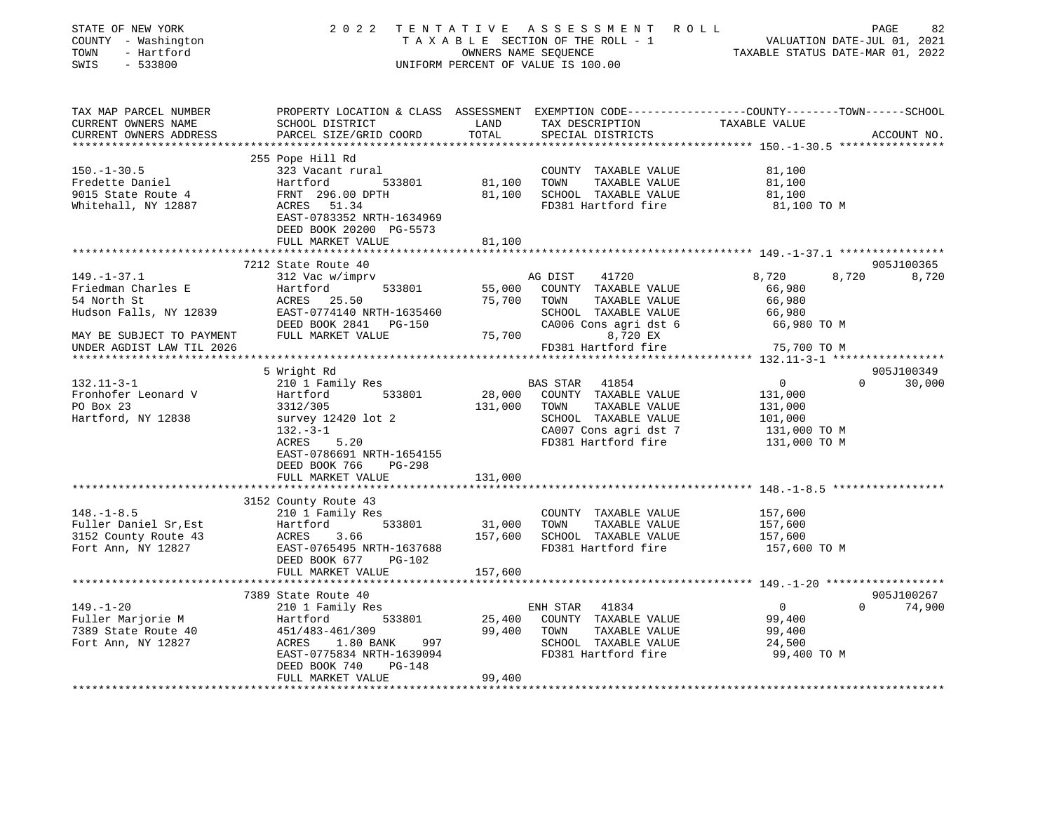| STATE OF NEW YORK<br>STATE OF NEW YORR<br>COUNTY - Washington<br>TOWN - Hartford<br>SWIS<br>$-533800$ |                                                                                                                                                                                                                                               |               | UNIFORM PERCENT OF VALUE IS 100.00                                 |                            |               |
|-------------------------------------------------------------------------------------------------------|-----------------------------------------------------------------------------------------------------------------------------------------------------------------------------------------------------------------------------------------------|---------------|--------------------------------------------------------------------|----------------------------|---------------|
| TAX MAP PARCEL NUMBER                                                                                 | PROPERTY LOCATION & CLASS ASSESSMENT EXEMPTION CODE---------------COUNTY-------TOWN-----SCHOOL                                                                                                                                                |               |                                                                    |                            |               |
| CURRENT OWNERS NAME<br>CURRENT OWNERS ADDRESS                                                         | SCHOOL DISTRICT<br>PARCEL SIZE/GRID COORD                                                                                                                                                                                                     | LAND<br>TOTAL | TAX DESCRIPTION TAXABLE VALUE<br>SPECIAL DISTRICTS                 |                            | ACCOUNT NO.   |
|                                                                                                       |                                                                                                                                                                                                                                               |               |                                                                    |                            |               |
|                                                                                                       | 255 Pope Hill Rd                                                                                                                                                                                                                              |               |                                                                    |                            |               |
| $150. - 1 - 30.5$                                                                                     | 323 Vacant rural                                                                                                                                                                                                                              |               | COUNTY TAXABLE VALUE                                               | 81,100                     |               |
| Fredette Daniel                                                                                       | Hartford 533801<br>FRNT 296.00 DPTH<br>ACRES 51.34                                                                                                                                                                                            |               | 81,100 TOWN TAXABLE VALUE                                          | 81,100                     |               |
| 9015 State Route 4                                                                                    |                                                                                                                                                                                                                                               |               | 81,100 SCHOOL TAXABLE VALUE                                        | 81,100                     |               |
| Whitehall, NY 12887                                                                                   | EAST-0783352 NRTH-1634969                                                                                                                                                                                                                     |               | FD381 Hartford fire                                                | 81,100 TO M                |               |
|                                                                                                       | DEED BOOK 20200 PG-5573                                                                                                                                                                                                                       |               |                                                                    |                            |               |
|                                                                                                       | FULL MARKET VALUE                                                                                                                                                                                                                             | 81,100        |                                                                    |                            |               |
|                                                                                                       |                                                                                                                                                                                                                                               |               |                                                                    |                            |               |
|                                                                                                       | 7212 State Route 40                                                                                                                                                                                                                           |               |                                                                    |                            | 905J100365    |
| $149. - 1 - 37.1$                                                                                     | 312 Vac w/imprv                                                                                                                                                                                                                               |               | AG DIST 41720                                                      | 8,720                      | 8,720 8,720   |
|                                                                                                       |                                                                                                                                                                                                                                               |               | 55,000 COUNTY TAXABLE VALUE                                        | 66,980                     |               |
|                                                                                                       |                                                                                                                                                                                                                                               |               | TAXABLE VALUE                                                      | 66,980                     |               |
|                                                                                                       | 149.-1-37.1<br>Friedman Charles E<br>54 North St<br>Hudson Falls, NY 12839 EAST-0774140 NRTH-1635460 SCHOOL TAXABLE VALUE<br>DEED BOOK 2841 PG-150 CA006 Cons agri dst 6<br>THIT MARKET VALUE<br>THIT MARKET VALUE<br>THIT MARKET VALUE<br>FD |               | SCHOOL TAXABLE VALUE                                               | 66,980                     |               |
|                                                                                                       |                                                                                                                                                                                                                                               |               | CA006 Cons agri dst 6                                              | 66,980 TO M                |               |
|                                                                                                       |                                                                                                                                                                                                                                               |               | FD381 Hartford fire                                                | 75,700 TO M                |               |
|                                                                                                       |                                                                                                                                                                                                                                               |               |                                                                    |                            |               |
|                                                                                                       | 5 Wright Rd                                                                                                                                                                                                                                   |               |                                                                    |                            | 905J100349    |
| $132.11 - 3 - 1$                                                                                      | 210 1 Family Res                                                                                                                                                                                                                              |               | <b>BAS STAR 41854</b>                                              | $\overline{0}$<br>$\Omega$ | 30,000        |
| Fronhofer Leonard V                                                                                   | Hartford 533801                                                                                                                                                                                                                               |               | 28,000 COUNTY TAXABLE VALUE                                        | 131,000                    |               |
| PO Box 23                                                                                             | 3312/305                                                                                                                                                                                                                                      | 131,000 TOWN  | TAXABLE VALUE                                                      | 131,000                    |               |
| Hartford, NY 12838                                                                                    | survey 12420 lot 2                                                                                                                                                                                                                            |               |                                                                    | 101,000                    |               |
|                                                                                                       | 132.-3-1<br>ACRES 5.20<br>$132.-3-1$                                                                                                                                                                                                          |               | SCHOOL TAXABLE WALLER CAOOT Cons agri dst 7<br>FD381 Hartford fire | 131,000 TO M               |               |
|                                                                                                       |                                                                                                                                                                                                                                               |               |                                                                    | 131,000 TO M               |               |
|                                                                                                       | EAST-0786691 NRTH-1654155                                                                                                                                                                                                                     |               |                                                                    |                            |               |
|                                                                                                       | DEED BOOK 766 PG-298                                                                                                                                                                                                                          |               |                                                                    |                            |               |
|                                                                                                       | FULL MARKET VALUE                                                                                                                                                                                                                             | 131,000       |                                                                    |                            |               |
|                                                                                                       | 3152 County Route 43                                                                                                                                                                                                                          |               |                                                                    |                            |               |
| $148. - 1 - 8.5$                                                                                      | 210 1 Family Res                                                                                                                                                                                                                              |               | COUNTY TAXABLE VALUE                                               | 157,600                    |               |
| Fuller Daniel Sr, Est                                                                                 |                                                                                                                                                                                                                                               | 31,000 TOWN   | TAXABLE VALUE                                                      | 157,600                    |               |
| 3152 County Route 43                                                                                  | Hartford 533801<br>ACRES 3.66<br>EAST-0765495_NRTH-1637688                                                                                                                                                                                    |               | 157,600 SCHOOL TAXABLE VALUE                                       | 157,600                    |               |
| Fort Ann, NY 12827                                                                                    |                                                                                                                                                                                                                                               |               | FD381 Hartford fire                                                | 157,600 TO M               |               |
|                                                                                                       | DEED BOOK 677 PG-102                                                                                                                                                                                                                          |               |                                                                    |                            |               |
|                                                                                                       | FULL MARKET VALUE                                                                                                                                                                                                                             | 157,600       |                                                                    |                            |               |
|                                                                                                       |                                                                                                                                                                                                                                               |               |                                                                    |                            |               |
|                                                                                                       | 7389 State Route 40                                                                                                                                                                                                                           |               |                                                                    |                            | 905J100267    |
| $149. - 1 - 20$                                                                                       | 210 1 Family Res                                                                                                                                                                                                                              |               | ENH STAR 41834                                                     | $\overline{0}$             | $0 \t 74,900$ |
|                                                                                                       |                                                                                                                                                                                                                                               |               | 25,400 COUNTY TAXABLE VALUE                                        | 99,400                     |               |
|                                                                                                       |                                                                                                                                                                                                                                               |               | 99,400 TOWN TAXABLE VALUE                                          | 99,400                     |               |
|                                                                                                       |                                                                                                                                                                                                                                               |               | SCHOOL TAXABLE VALUE                                               | 24,500                     |               |
|                                                                                                       | EAST-0775834 NRTH-1639094<br>DEED BOOK 740<br>PG-148                                                                                                                                                                                          |               | FD381 Hartford fire                                                | 99,400 TO M                |               |
|                                                                                                       | FULL MARKET VALUE                                                                                                                                                                                                                             | 99,400        |                                                                    |                            |               |
|                                                                                                       |                                                                                                                                                                                                                                               |               |                                                                    |                            |               |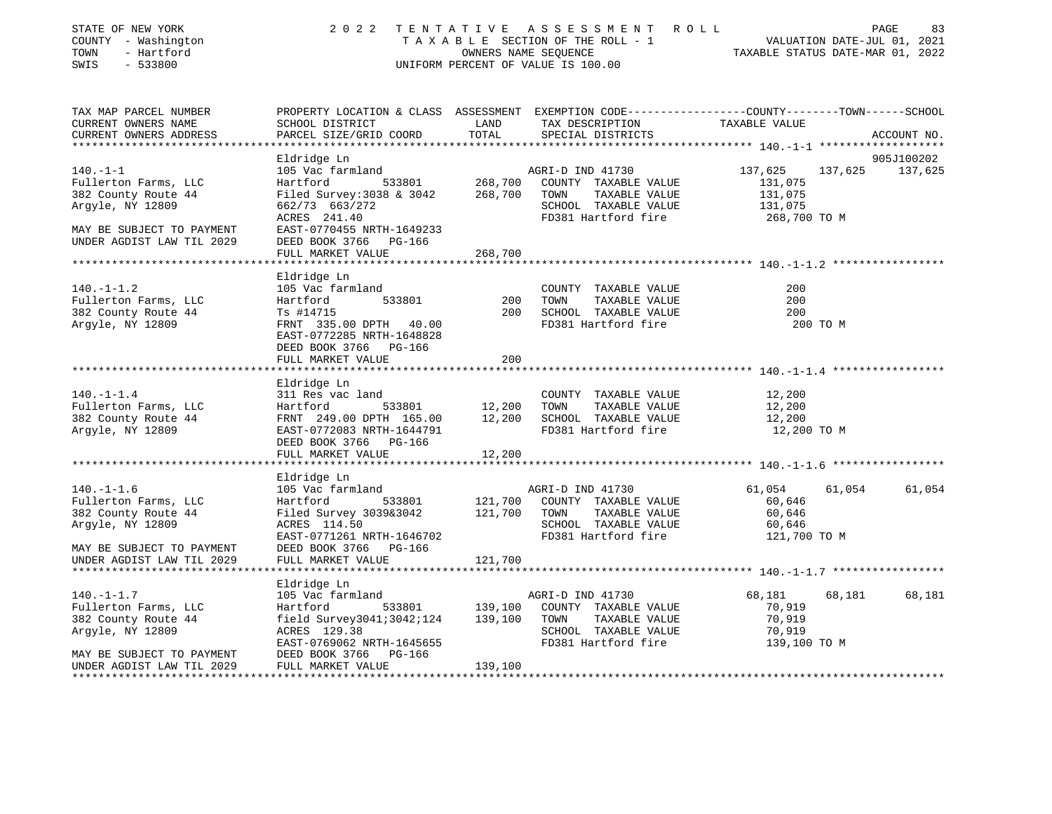| STATE OF NEW YORK<br>COUNTY - Washington<br>- Hartford<br>TOWN<br>SWIS<br>$-533800$                                                           | 2022 TENTATIVE                                                                                                                                           | OWNERS NAME SEQUENCE      | A S S E S S M E N T<br>R O L L<br>TAXABLE SECTION OF THE ROLL - 1<br>UNIFORM PERCENT OF VALUE IS 100.00          | VALUATION DATE-JUL 01, 2021<br>TAXABLE STATUS DATE-MAR 01, 2022 | PAGE<br>83                    |
|-----------------------------------------------------------------------------------------------------------------------------------------------|----------------------------------------------------------------------------------------------------------------------------------------------------------|---------------------------|------------------------------------------------------------------------------------------------------------------|-----------------------------------------------------------------|-------------------------------|
| TAX MAP PARCEL NUMBER<br>CURRENT OWNERS NAME<br>CURRENT OWNERS ADDRESS<br>***************                                                     | PROPERTY LOCATION & CLASS ASSESSMENT EXEMPTION CODE---------------COUNTY-------TOWN------SCHOOL<br>SCHOOL DISTRICT<br>PARCEL SIZE/GRID COORD             | LAND<br>TOTAL             | TAX DESCRIPTION<br>SPECIAL DISTRICTS                                                                             | TAXABLE VALUE                                                   | ACCOUNT NO.                   |
|                                                                                                                                               |                                                                                                                                                          |                           |                                                                                                                  |                                                                 |                               |
| $140. - 1 - 1$<br>Fullerton Farms, LLC<br>382 County Route 44                                                                                 | Eldridge Ln<br>105 Vac farmland<br>Hartford<br>Filed Survey:3038 & 3042                                                                                  | 533801 268,700<br>268,700 | AGRI-D IND 41730<br>COUNTY TAXABLE VALUE<br>TOWN<br>TAXABLE VALUE                                                | 137,625<br>131,075<br>131,075                                   | 905J100202<br>137,625 137,625 |
| Argyle, NY 12809                                                                                                                              | 662/73 663/272<br>ACRES 241.40                                                                                                                           |                           | SCHOOL TAXABLE VALUE<br>FD381 Hartford fire                                                                      | 131,075<br>268,700 TO M                                         |                               |
| MAY BE SUBJECT TO PAYMENT<br>UNDER AGDIST LAW TIL 2029                                                                                        | EAST-0770455 NRTH-1649233<br>DEED BOOK 3766 PG-166<br>FULL MARKET VALUE                                                                                  | 268,700                   |                                                                                                                  |                                                                 |                               |
|                                                                                                                                               |                                                                                                                                                          |                           |                                                                                                                  |                                                                 |                               |
| $140. - 1 - 1.2$<br>Fullerton Farms, LLC                                                                                                      | Eldridge Ln<br>105 Vac farmland<br>533801<br>Hartford                                                                                                    | 200                       | COUNTY TAXABLE VALUE<br>TOWN<br>TAXABLE VALUE                                                                    | 200<br>200                                                      |                               |
| 382 County Route 44<br>Argyle, NY 12809                                                                                                       | Ts #14715<br>FRNT 335.00 DPTH 40.00<br>EAST-0772285 NRTH-1648828<br>DEED BOOK 3766 PG-166                                                                | 200                       | SCHOOL TAXABLE VALUE<br>FD381 Hartford fire                                                                      | 200<br>200 TO M                                                 |                               |
|                                                                                                                                               | FULL MARKET VALUE                                                                                                                                        | 200                       |                                                                                                                  |                                                                 |                               |
| $140. - 1 - 1.4$<br>Fullerton Farms, LLC<br>382 County Route 44<br>Argyle, NY 12809                                                           | Eldridge Ln<br>311 Res vac land<br>533801 12,200<br>Hartford<br>FRNT 249.00 DPTH 165.00<br>EAST-0772083 NRTH-1644791<br>DEED BOOK 3766 PG-166            | 12,200                    | COUNTY TAXABLE VALUE<br>TOWN<br>TAXABLE VALUE<br>SCHOOL TAXABLE VALUE<br>FD381 Hartford fire                     | 12,200<br>12,200<br>12,200<br>12,200 TO M                       |                               |
|                                                                                                                                               | FULL MARKET VALUE                                                                                                                                        | 12,200                    |                                                                                                                  |                                                                 |                               |
|                                                                                                                                               |                                                                                                                                                          |                           |                                                                                                                  |                                                                 |                               |
| $140. - 1 - 1.6$<br>Fullerton Farms, LLC<br>382 County Route 44<br>Argyle, NY 12809<br>MAY BE SUBJECT TO PAYMENT                              | Eldridge Ln<br>105 Vac farmland<br>Hartford<br>Filed Survey 3039&3042<br>ACRES 114.50<br>EAST-0771261 NRTH-1646702<br>DEED BOOK 3766 PG-166              | 533801 121,700<br>121,700 | AGRI-D IND 41730<br>COUNTY TAXABLE VALUE<br>TOWN<br>TAXABLE VALUE<br>SCHOOL TAXABLE VALUE<br>FD381 Hartford fire | 61,054<br>61,054<br>60,646<br>60,646<br>60,646<br>121,700 TO M  | 61,054                        |
| UNDER AGDIST LAW TIL 2029                                                                                                                     | FULL MARKET VALUE                                                                                                                                        | 121,700                   |                                                                                                                  |                                                                 |                               |
|                                                                                                                                               |                                                                                                                                                          |                           |                                                                                                                  |                                                                 |                               |
| $140. - 1 - 1.7$<br>Fullerton Farms, LLC<br>382 County Route 44<br>Argyle, NY 12809<br>MAY BE SUBJECT TO PAYMENT<br>UNDER AGDIST LAW TIL 2029 | Eldridge Ln<br>105 Vac farmland<br>Hartford<br>533801<br>field Survey3041;3042;124<br>ACRES 129.38<br>EAST-0769062 NRTH-1645655<br>DEED BOOK 3766 PG-166 | 139,100<br>139,100        | AGRI-D IND 41730<br>COUNTY TAXABLE VALUE<br>TOWN<br>TAXABLE VALUE<br>SCHOOL TAXABLE VALUE<br>FD381 Hartford fire | 68,181<br>68,181<br>70,919<br>70,919<br>70,919<br>139,100 TO M  | 68,181                        |
|                                                                                                                                               | FULL MARKET VALUE                                                                                                                                        | 139,100                   |                                                                                                                  |                                                                 |                               |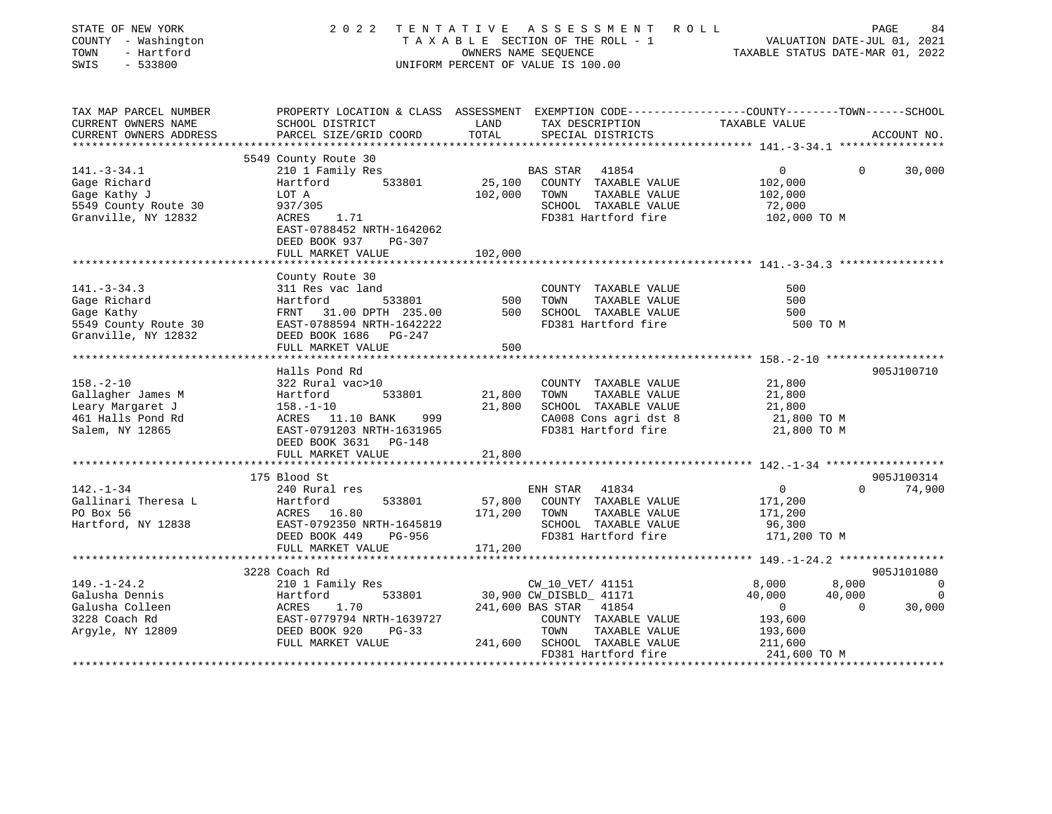| STATE OF NEW YORK<br>COUNTY - Washington<br>TOWN<br>- Hartford<br>SWIS<br>$-533800$ | 2 0 2 2                                                                                         |                  | TENTATIVE ASSESSMENT ROLL<br>TAXABLE SECTION OF THE ROLL - 1<br>OWNERS NAME SEQUENCE<br>UNIFORM PERCENT OF VALUE IS 100.00 | VALUATION DATE-JUL 01, 2021<br>TAXABLE STATUS DATE-MAR 01, 2022 | PAGE<br>84                       |
|-------------------------------------------------------------------------------------|-------------------------------------------------------------------------------------------------|------------------|----------------------------------------------------------------------------------------------------------------------------|-----------------------------------------------------------------|----------------------------------|
| TAX MAP PARCEL NUMBER                                                               | PROPERTY LOCATION & CLASS ASSESSMENT EXEMPTION CODE----------------COUNTY-------TOWN-----SCHOOL |                  |                                                                                                                            |                                                                 |                                  |
| CURRENT OWNERS NAME<br>CURRENT OWNERS ADDRESS                                       | SCHOOL DISTRICT<br>PARCEL SIZE/GRID COORD                                                       | LAND<br>TOTAL    | TAX DESCRIPTION TAXABLE VALUE<br>SPECIAL DISTRICTS                                                                         |                                                                 | ACCOUNT NO.                      |
|                                                                                     | 5549 County Route 30                                                                            |                  |                                                                                                                            |                                                                 |                                  |
| $141. - 3 - 34.1$                                                                   | 210 1 Family Res                                                                                |                  | BAS STAR<br>41854                                                                                                          | $\Omega$                                                        | $\Omega$<br>30,000               |
| Gage Richard                                                                        | Hartford<br>533801                                                                              | 25,100           | COUNTY TAXABLE VALUE                                                                                                       | 102,000                                                         |                                  |
| Gage Kathy J                                                                        | LOT A                                                                                           | 102,000          | TOWN<br>TAXABLE VALUE                                                                                                      | 102,000                                                         |                                  |
| 5549 County Route 30                                                                | 937/305                                                                                         |                  | SCHOOL TAXABLE VALUE                                                                                                       | 72,000                                                          |                                  |
| Granville, NY 12832                                                                 | ACRES 1.71<br>EAST-0788452 NRTH-1642062                                                         |                  | FD381 Hartford fire                                                                                                        | 102,000 TO M                                                    |                                  |
|                                                                                     | DEED BOOK 937<br>PG-307                                                                         | 102,000          |                                                                                                                            |                                                                 |                                  |
|                                                                                     | FULL MARKET VALUE                                                                               |                  |                                                                                                                            |                                                                 |                                  |
|                                                                                     | County Route 30                                                                                 |                  |                                                                                                                            |                                                                 |                                  |
| $141. - 3 - 34.3$                                                                   | 311 Res vac land                                                                                |                  | COUNTY TAXABLE VALUE                                                                                                       | 500                                                             |                                  |
| Gage Richard                                                                        | 533801<br>Hartford                                                                              | 500              | TOWN<br>TAXABLE VALUE                                                                                                      | 500                                                             |                                  |
| Gage Kathy                                                                          | FRNT 31.00 DPTH 235.00                                                                          | 500              | SCHOOL TAXABLE VALUE                                                                                                       | 500                                                             |                                  |
| 5549 County Route 30                                                                | EAST-0788594 NRTH-1642222                                                                       |                  | FD381 Hartford fire                                                                                                        | 500 TO M                                                        |                                  |
| Granville, NY 12832                                                                 | DEED BOOK 1686 PG-247                                                                           |                  |                                                                                                                            |                                                                 |                                  |
|                                                                                     | FULL MARKET VALUE                                                                               | 500              |                                                                                                                            |                                                                 |                                  |
|                                                                                     |                                                                                                 |                  |                                                                                                                            |                                                                 |                                  |
|                                                                                     | Halls Pond Rd                                                                                   |                  |                                                                                                                            |                                                                 | 905J100710                       |
| $158. - 2 - 10$                                                                     | 322 Rural vac>10                                                                                |                  | COUNTY TAXABLE VALUE                                                                                                       | 21,800                                                          |                                  |
| Gallagher James M                                                                   | 533801<br>Hartford                                                                              | 21,800<br>21,800 | TAXABLE VALUE<br>TOWN<br>SCHOOL TAXABLE VALUE                                                                              | 21,800                                                          |                                  |
| Leary Margaret J<br>461 Halls Pond Rd                                               | $158. - 1 - 10$<br>ACRES 11.10 BANK<br>999                                                      |                  | CA008 Cons agri dst 8                                                                                                      | 21,800                                                          |                                  |
| Salem, NY 12865                                                                     | EAST-0791203 NRTH-1631965                                                                       |                  | FD381 Hartford fire                                                                                                        | 21,800 TO M<br>21,800 TO M                                      |                                  |
|                                                                                     | DEED BOOK 3631 PG-148                                                                           |                  |                                                                                                                            |                                                                 |                                  |
|                                                                                     | FULL MARKET VALUE                                                                               | 21,800           |                                                                                                                            |                                                                 |                                  |
|                                                                                     |                                                                                                 |                  |                                                                                                                            |                                                                 |                                  |
|                                                                                     | 175 Blood St                                                                                    |                  |                                                                                                                            |                                                                 | 905J100314                       |
| $142. - 1 - 34$                                                                     | 240 Rural res                                                                                   |                  | ENH STAR 41834                                                                                                             | $\overline{0}$                                                  | $\Omega$<br>74,900               |
| Gallinari Theresa L                                                                 | Hartford<br>ACRES :<br>533801                                                                   | 57,800           | COUNTY TAXABLE VALUE                                                                                                       | 171,200                                                         |                                  |
| PO Box 56                                                                           | ACRES 16.80                                                                                     | 171,200          | TOWN<br>TAXABLE VALUE                                                                                                      | 171,200                                                         |                                  |
| Hartford, NY 12838                                                                  | EAST-0792350 NRTH-1645819                                                                       |                  | SCHOOL TAXABLE VALUE                                                                                                       | 96,300                                                          |                                  |
|                                                                                     | DEED BOOK 449<br>PG-956                                                                         |                  | FD381 Hartford fire                                                                                                        | 171,200 TO M                                                    |                                  |
|                                                                                     | FULL MARKET VALUE                                                                               | 171,200          |                                                                                                                            |                                                                 |                                  |
|                                                                                     | ***********************                                                                         |                  |                                                                                                                            |                                                                 |                                  |
|                                                                                     | 3228 Coach Rd                                                                                   |                  |                                                                                                                            |                                                                 | 905J101080                       |
| $149. - 1 - 24.2$                                                                   | 210 1 Family Res                                                                                |                  | CW 10 VET/ 41151                                                                                                           | 8,000<br>8,000                                                  | $\overline{0}$<br>$\overline{0}$ |
| Galusha Dennis                                                                      | 533801<br>Hartford                                                                              |                  | 30,900 CW_DISBLD_ 41171                                                                                                    | 40,000<br>40,000                                                |                                  |
| Galusha Colleen                                                                     | AGRES 1.70<br>ACRES 1.70<br>EAST-0779794 NRTH-1639727<br>DEED BOOK 920 PG-33                    |                  | 241,600 BAS STAR 41854                                                                                                     | $\overline{0}$                                                  | $\overline{0}$<br>30,000         |
| 3228 Coach Rd<br>3228 Coach Rd<br>Argyle, NY 12809                                  |                                                                                                 |                  | COUNTY TAXABLE VALUE<br>TOWN<br>TAXABLE VALUE                                                                              | 193,600<br>193,600                                              |                                  |
|                                                                                     | FULL MARKET VALUE                                                                               |                  | 241,600 SCHOOL TAXABLE VALUE                                                                                               | 211,600                                                         |                                  |
|                                                                                     |                                                                                                 |                  | FD381 Hartford fire                                                                                                        | 241,600 TO M                                                    |                                  |
|                                                                                     |                                                                                                 |                  |                                                                                                                            |                                                                 |                                  |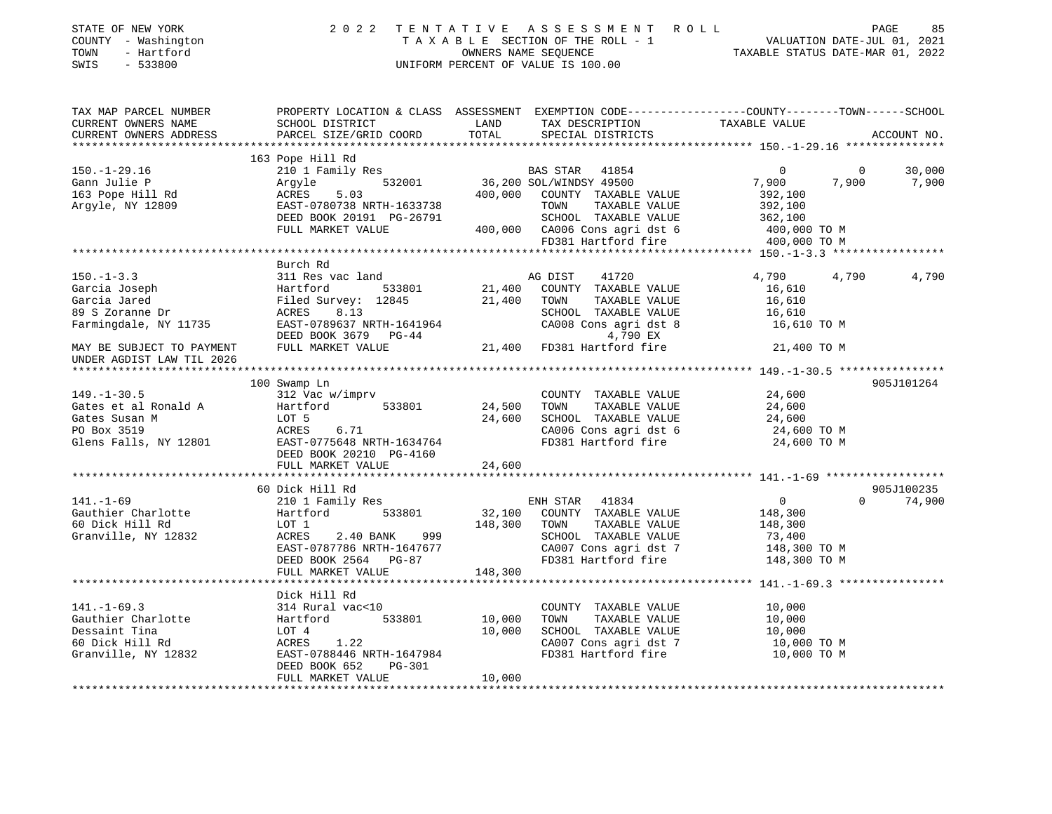| STATE OF NEW YORK<br>COUNTY - Washington<br>- Hartford<br>TOWN<br>$-533800$<br>SWIS                | 2 0 2 2                                                                                                                                                                                                                                            |                            | FENTATIVE ASSESSMENT ROLL PAGE 85<br>TAXABLE SECTION OF THE ROLL - 1 VALUATION DATE-JUL 01, 2021<br>OWNERS NAME SEQUENCE TAXABLE STATUS DATE-MAR 01, 2022<br>TENTATIVE ASSESSMENT ROLL<br>UNIFORM PERCENT OF VALUE IS 100.00 |                                                                                          |                         |                 |
|----------------------------------------------------------------------------------------------------|----------------------------------------------------------------------------------------------------------------------------------------------------------------------------------------------------------------------------------------------------|----------------------------|------------------------------------------------------------------------------------------------------------------------------------------------------------------------------------------------------------------------------|------------------------------------------------------------------------------------------|-------------------------|-----------------|
| TAX MAP PARCEL NUMBER<br>CURRENT OWNERS NAME<br>CURRENT OWNERS ADDRESS                             | PROPERTY LOCATION & CLASS ASSESSMENT EXEMPTION CODE----------------COUNTY-------TOWN-----SCHOOL<br>SCHOOL DISTRICT<br>PARCEL SIZE/GRID COORD                                                                                                       | LAND<br>TOTAL              | TAX DESCRIPTION TAXABLE VALUE<br>SPECIAL DISTRICTS                                                                                                                                                                           |                                                                                          |                         | ACCOUNT NO.     |
| $150. - 1 - 29.16$<br>Gann Julie P<br>163 Pope Hill Rd<br>Argyle, NY 12809                         | 163 Pope Hill Rd<br>210 1 Family Res<br>210 1 Family Res<br>532001 36,200 SOL/WINDSY 49500<br>36,200 SOL/WINDSY 49500<br>ACRES<br>5.03<br>EAST-0780738 NRTH-1633738<br>DEED BOOK 20191 PG-26791<br>FULL MARKET VALUE 400,000 CA006 Cons agri dst 6 |                            | 400,000 COUNTY TAXABLE VALUE<br>TOWN<br>TAXABLE VALUE<br>SCHOOL TAXABLE VALUE<br>FD381 Hartford fire                                                                                                                         | $\overline{0}$<br>7,900<br>392,100<br>392,100<br>362,100<br>400,000 TO M<br>400,000 TO M | $\overline{0}$<br>7,900 | 30,000<br>7,900 |
|                                                                                                    |                                                                                                                                                                                                                                                    |                            |                                                                                                                                                                                                                              |                                                                                          |                         |                 |
| $150. - 1 - 3.3$<br>Garcia Joseph<br>Garcia Jared<br>89 S Zoranne Dr<br>Farmingdale, NY 11735      | Burch Rd<br>311 Res vac land<br>Hartford 533801<br>Filed Survey: 12845<br>ACRES 8.13<br>EAST-0789637 NRTH-1641964                                                                                                                                  | 21,400<br>21,400           | AG DIST 41720<br>COUNTY TAXABLE VALUE<br>TOWN<br>TAXABLE VALUE<br>SCHOOL TAXABLE VALUE<br>CA008 Cons agri dst 8                                                                                                              | 4,790<br>16,610<br>16,610<br>16,610<br>16,610 TO M                                       | 4,790                   | 4,790           |
| MAY BE SUBJECT TO PAYMENT<br>UNDER AGDIST LAW TIL 2026                                             | DEED BOOK 3679 PG-44<br>FULL MARKET VALUE                                                                                                                                                                                                          |                            | 4,790 EX<br>$21,400$ FD381 Hartford fire                                                                                                                                                                                     | 21,400 TO M                                                                              |                         |                 |
| $149. - 1 - 30.5$<br>Gates et al Ronald A<br>Gates Susan M<br>PO Box 3519                          | 100 Swamp Ln<br>312 Vac w/imprv<br>Hartford<br>533801<br>LOT 5<br>ACRES<br>6.71<br>DEED BOOK 20210 PG-4160<br>FULL MARKET VALUE                                                                                                                    | 24,500<br>24,600<br>24,600 | COUNTY TAXABLE VALUE<br>TOWN<br>TAXABLE VALUE<br>SCHOOL TAXABLE VALUE<br>CA006 Cons agri dst 6<br>FD381 Hartford fire                                                                                                        | 24,600<br>24,600<br>24,600<br>24,600 TO M<br>24,600 TO M                                 |                         | 905J101264      |
|                                                                                                    | 60 Dick Hill Rd                                                                                                                                                                                                                                    |                            |                                                                                                                                                                                                                              |                                                                                          |                         | 905J100235      |
| $141. - 1 - 69$<br>Gauthier Charlotte<br>60 Dick Hill Rd<br>Granville, NY 12832                    | 210 1 Family Res<br>Hartford<br>533801<br>LOT 1<br>ACRES<br>2.40 BANK<br>999 —<br>EAST-0787786 NRTH-1647677<br>DEED BOOK 2564 PG-87                                                                                                                | 32,100<br>148,300          | ENH STAR<br>41834<br>COUNTY TAXABLE VALUE<br>TAXABLE VALUE<br>TOWN<br>SCHOOL TAXABLE VALUE<br>CA007 Cons agri dst 7<br>FD381 Hartford fire                                                                                   | $\overline{0}$<br>148,300<br>148,300<br>73,400<br>148,300 TO M<br>148,300 TO M           | $\Omega$                | 74,900          |
|                                                                                                    | FULL MARKET VALUE                                                                                                                                                                                                                                  | 148,300                    |                                                                                                                                                                                                                              |                                                                                          |                         |                 |
| $141. - 1 - 69.3$<br>Gauthier Charlotte<br>Dessaint Tina<br>60 Dick Hill Rd<br>Granville, NY 12832 | Dick Hill Rd<br>314 Rural vac<10<br>Hartford<br>533801<br>LOT 4<br>ACRES<br>1.22<br>EAST-0788446 NRTH-1647984<br>DEED BOOK 652<br>PG-301<br>FULL MARKET VALUE                                                                                      | 10,000<br>10,000<br>10,000 | COUNTY TAXABLE VALUE<br>TOWN<br>TAXABLE VALUE<br>SCHOOL TAXABLE VALUE<br>CA007 Cons agri dst 7<br>FD381 Hartford fire<br>FD381 Hartford fire                                                                                 | 10,000<br>10,000<br>10,000<br>10,000 TO M<br>10,000 TO M                                 |                         |                 |

\*\*\*\*\*\*\*\*\*\*\*\*\*\*\*\*\*\*\*\*\*\*\*\*\*\*\*\*\*\*\*\*\*\*\*\*\*\*\*\*\*\*\*\*\*\*\*\*\*\*\*\*\*\*\*\*\*\*\*\*\*\*\*\*\*\*\*\*\*\*\*\*\*\*\*\*\*\*\*\*\*\*\*\*\*\*\*\*\*\*\*\*\*\*\*\*\*\*\*\*\*\*\*\*\*\*\*\*\*\*\*\*\*\*\*\*\*\*\*\*\*\*\*\*\*\*\*\*\*\*\*\*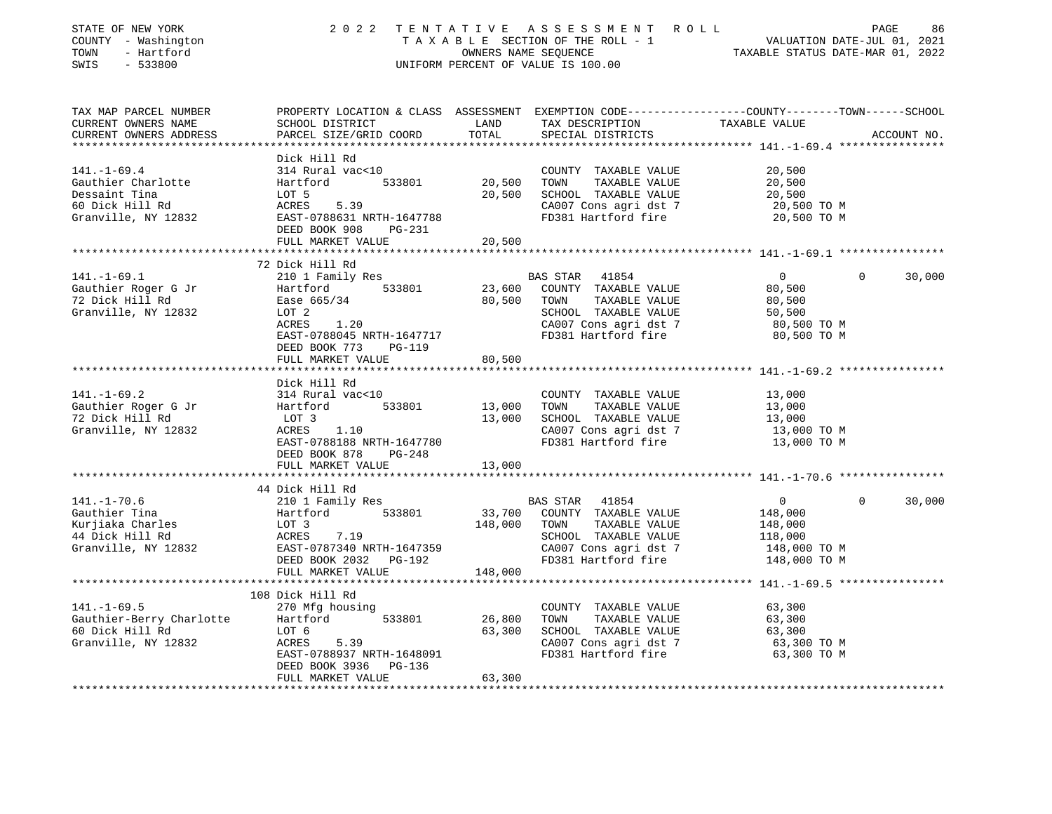| STATE OF NEW YORK<br>COUNTY - Washington<br>TOWN<br>- Hartford<br>$-533800$<br>SWIS                |                                                                                                                                                                                 | OWNERS NAME SEQUENCE | 2022 TENTATIVE ASSESSMENT ROLL<br>T A X A B L E SECTION OF THE ROLL - 1 VALUATION DATE-JUL 01, 2021<br>UNIFORM PERCENT OF VALUE IS 100.00           | TAXABLE STATUS DATE-MAR 01, 2022                                                   | PAGE<br>86         |
|----------------------------------------------------------------------------------------------------|---------------------------------------------------------------------------------------------------------------------------------------------------------------------------------|----------------------|-----------------------------------------------------------------------------------------------------------------------------------------------------|------------------------------------------------------------------------------------|--------------------|
| TAX MAP PARCEL NUMBER<br>CURRENT OWNERS NAME<br>CURRENT OWNERS ADDRESS                             | PROPERTY LOCATION & CLASS ASSESSMENT EXEMPTION CODE---------------COUNTY-------TOWN------SCHOOL<br>SCHOOL DISTRICT<br>PARCEL SIZE/GRID COORD                                    | LAND<br>TOTAL        | TAX DESCRIPTION TAXABLE VALUE<br>SPECIAL DISTRICTS                                                                                                  |                                                                                    | ACCOUNT NO.        |
|                                                                                                    |                                                                                                                                                                                 |                      |                                                                                                                                                     |                                                                                    |                    |
| $141. - 1 - 69.4$<br>Gauthier Charlotte<br>Dessaint Tina<br>60 Dick Hill Rd<br>Granville, NY 12832 | Dick Hill Rd<br>314 Rural vac<10<br>533801<br>Hartford<br>LOT 5<br>ACRES 5.39<br>EAST-0788631 NRTH-1647788<br>DEED BOOK 908 PG-231                                              | 20,500<br>20,500     | COUNTY TAXABLE VALUE<br>TOWN<br>TAXABLE VALUE<br>SCHOOL TAXABLE VALUE<br>CA007 Cons agri dst 7<br>FD381 Hartford fire                               | 20,500<br>20,500<br>20,500<br>20,500 TO M<br>20,500 TO M                           |                    |
|                                                                                                    | FULL MARKET VALUE                                                                                                                                                               | 20,500               |                                                                                                                                                     |                                                                                    |                    |
|                                                                                                    |                                                                                                                                                                                 |                      |                                                                                                                                                     |                                                                                    |                    |
| $141. - 1 - 69.1$<br>Gauthier Roger G Jr<br>72 Dick Hill Rd<br>Granville, NY 12832                 | 72 Dick Hill Rd<br>210 1 Family Res<br>533801<br>Hartford<br>Ease 665/34<br>LOT 2<br>1.20<br>ACRES<br>EAST-0788045 NRTH-1647717<br>DEED BOOK 773<br>PG-119<br>FULL MARKET VALUE | 23,600<br>80,500     | BAS STAR 41854<br>COUNTY TAXABLE VALUE<br>80,500 TOWN<br>TAXABLE VALUE<br>SCHOOL TAXABLE VALUE<br>CA007 Cons agri dst 7<br>FD381 Hartford fire      | $\overline{0}$<br>80,500<br>80,500<br>50,500<br>80,500 TO M<br>80,500 TO M         | $\Omega$<br>30,000 |
|                                                                                                    |                                                                                                                                                                                 |                      |                                                                                                                                                     |                                                                                    |                    |
| 141. –1–69.2<br>Gauthier Roger G Jr<br>72 Dick Hill Rd<br>Granville, NY 12832                      | Dick Hill Rd<br>314 Rural vac<10<br>Hartford 533801<br>LOT 3<br>ACRES 1.10<br>EAST-0788188 NRTH-1647780<br>DEED BOOK 878<br>PG-248                                              | 13,000 TOWN          | COUNTY TAXABLE VALUE<br>TAXABLE VALUE<br>13,000 SCHOOL TAXABLE VALUE<br>CA007 Cons agri dst 7<br>FD381 Hartford fire                                | 13,000<br>13,000<br>13,000<br>13,000 TO M<br>13,000 TO M                           |                    |
|                                                                                                    | FULL MARKET VALUE                                                                                                                                                               | 13,000               |                                                                                                                                                     |                                                                                    |                    |
|                                                                                                    |                                                                                                                                                                                 |                      |                                                                                                                                                     |                                                                                    |                    |
| $141. - 1 - 70.6$<br>Gauthier Tina<br>Kurjiaka Charles<br>44 Dick Hill Rd<br>Granville, NY 12832   | 44 Dick Hill Rd<br>210 1 Family Res<br>Hartford 533801<br>LOT 3<br>ACRES 7.19<br>EAST-0787340 NRTH-1647359<br>DEED BOOK 2032 PG-192<br>FULL MARKET VALUE                        | 148,000              | BAS STAR 41854<br>33,700 COUNTY TAXABLE VALUE<br>148,000 TOWN TAXABLE VALUE<br>SCHOOL TAXABLE VALUE<br>CA007 Cons agri dst 7<br>FD381 Hartford fire | $0 \qquad \qquad$<br>148,000<br>148,000<br>118,000<br>148,000 TO M<br>148,000 TO M | $\Omega$<br>30,000 |
|                                                                                                    |                                                                                                                                                                                 |                      |                                                                                                                                                     |                                                                                    |                    |
| $141. - 1 - 69.5$<br>Gauthier-Berry Charlotte Hartford<br>60 Dick Hill Rd<br>Granville, NY 12832   | 108 Dick Hill Rd<br>270 Mfg housing<br>533801<br>LOT 6<br>ACRES<br>5.39<br>EAST-0788937 NRTH-1648091<br>DEED BOOK 3936 PG-136                                                   |                      | COUNTY TAXABLE VALUE<br>26,800 TOWN<br>TAXABLE VALUE<br>63,300 SCHOOL TAXABLE VALUE<br>CA007 Cons agri dst 7<br>FD381 Hartford fire                 | 63,300<br>63,300<br>63,300<br>63,300 TO M<br>63,300 TO M                           |                    |
|                                                                                                    | FULL MARKET VALUE                                                                                                                                                               | 63,300               |                                                                                                                                                     |                                                                                    |                    |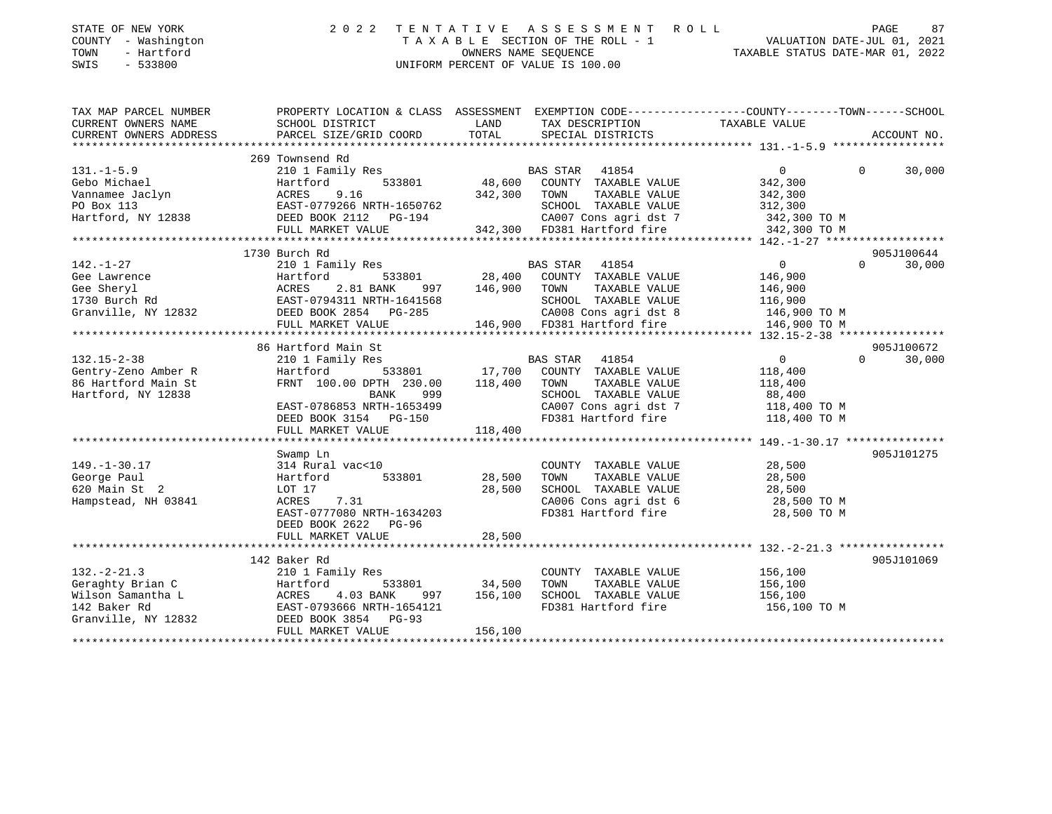| - Washington<br>COUNTY<br>TOWN<br>- Hartford<br>SWIS<br>$-533800$                                |                                                                                                                                               |                              | TAXABLE SECTION OF THE ROLL - 1<br>OWNERS NAME SEOUENCE<br>UNIFORM PERCENT OF VALUE IS 100.00                                                     | VALUATION DATE-JUL 01, 2021<br>TAXABLE STATUS DATE-MAR 01, 2022   |                    |
|--------------------------------------------------------------------------------------------------|-----------------------------------------------------------------------------------------------------------------------------------------------|------------------------------|---------------------------------------------------------------------------------------------------------------------------------------------------|-------------------------------------------------------------------|--------------------|
| TAX MAP PARCEL NUMBER<br>CURRENT OWNERS NAME<br>CURRENT OWNERS ADDRESS                           | PROPERTY LOCATION & CLASS ASSESSMENT EXEMPTION CODE---------------COUNTY-------TOWN------SCHOOL<br>SCHOOL DISTRICT<br>PARCEL SIZE/GRID COORD  | LAND<br>TOTAL                | TAX DESCRIPTION<br>SPECIAL DISTRICTS                                                                                                              | TAXABLE VALUE                                                     | ACCOUNT NO.        |
|                                                                                                  |                                                                                                                                               |                              |                                                                                                                                                   |                                                                   |                    |
| $131. -1 - 5.9$<br>Gebo Michael<br>Vannamee Jaclyn<br>PO Box 113                                 | 269 Townsend Rd<br>210 1 Family Res<br>Hartford<br>533801<br>9.16<br>ACRES<br>EAST-0779266 NRTH-1650762                                       | 48,600<br>342,300 TOWN       | BAS STAR<br>41854<br>COUNTY TAXABLE VALUE<br>TAXABLE VALUE<br>SCHOOL TAXABLE VALUE                                                                | $\circ$<br>342,300<br>342,300<br>312,300                          | $\Omega$<br>30,000 |
| Hartford, NY 12838                                                                               | DEED BOOK 2112 PG-194<br>FULL MARKET VALUE                                                                                                    |                              | CA007 Cons agri dst 7<br>342,300 FD381 Hartford fire                                                                                              | 342,300 TO M<br>342,300 TO M                                      |                    |
|                                                                                                  | 1730 Burch Rd                                                                                                                                 |                              |                                                                                                                                                   |                                                                   | 905J100644         |
| $142. - 1 - 27$<br>Gee Lawrence<br>Gee Sheryl<br>1730 Burch Rd                                   | 210 1 Family Res<br>533801<br>Hartford<br>ACRES<br>2.81 BANK<br>997<br>EAST-0794311 NRTH-1641568                                              | 28,400<br>146,900            | <b>BAS STAR</b><br>41854<br>COUNTY TAXABLE VALUE<br>TOWN<br>TAXABLE VALUE<br>SCHOOL TAXABLE VALUE                                                 | $\overline{0}$<br>146,900<br>146,900<br>116,900                   | $\Omega$<br>30,000 |
| Granville, NY 12832                                                                              | DEED BOOK 2854 PG-285<br>FULL MARKET VALUE                                                                                                    |                              | CA008 Cons agri dst 8<br>146,900 FD381 Hartford fire                                                                                              | 146,900 TO M<br>146,900 TO M                                      |                    |
|                                                                                                  | 86 Hartford Main St                                                                                                                           |                              |                                                                                                                                                   |                                                                   | 905J100672         |
| $132.15 - 2 - 38$<br>Gentry-Zeno Amber R<br>86 Hartford Main St<br>Hartford, NY 12838            | 210 1 Family Res<br>Hartford<br>533801<br>FRNT 100.00 DPTH 230.00<br><b>BANK</b><br>999<br>EAST-0786853 NRTH-1653499<br>DEED BOOK 3154 PG-150 | 17,700<br>118,400            | <b>BAS STAR</b><br>41854<br>COUNTY TAXABLE VALUE<br>TOWN<br>TAXABLE VALUE<br>SCHOOL TAXABLE VALUE<br>CA007 Cons agri dst 7<br>FD381 Hartford fire | 0<br>118,400<br>118,400<br>88,400<br>118,400 TO M<br>118,400 TO M | 30,000<br>$\Omega$ |
|                                                                                                  | FULL MARKET VALUE                                                                                                                             | 118,400                      |                                                                                                                                                   |                                                                   |                    |
| $149. - 1 - 30.17$<br>George Paul<br>620 Main St 2<br>Hampstead, NH 03841                        | Swamp Ln<br>314 Rural vac<10<br>533801<br>Hartford<br>LOT 17<br>7.31<br>ACRES<br>EAST-0777080 NRTH-1634203<br>DEED BOOK 2622<br>PG-96         | 28,500<br>28,500             | COUNTY TAXABLE VALUE<br>TAXABLE VALUE<br>TOWN<br>SCHOOL TAXABLE VALUE<br>CA006 Cons agri dst 6<br>FD381 Hartford fire                             | 28,500<br>28,500<br>28,500<br>28,500 TO M<br>28,500 TO M          | 905J101275         |
|                                                                                                  | FULL MARKET VALUE                                                                                                                             | 28,500                       |                                                                                                                                                   |                                                                   |                    |
|                                                                                                  | **************************<br>142 Baker Rd                                                                                                    | * * * * * * * * * * *        |                                                                                                                                                   | ******************* 132.-2-21.3 *****************                 | 905J101069         |
| $132 - 2 - 21.3$<br>Geraghty Brian C<br>Wilson Samantha L<br>142 Baker Rd<br>Granville, NY 12832 | 210 1 Family Res<br>533801<br>Hartford<br>ACRES<br>4.03 BANK<br>997<br>EAST-0793666 NRTH-1654121<br>DEED BOOK 3854 PG-93<br>FULL MARKET VALUE | 34,500<br>156,100<br>156,100 | COUNTY TAXABLE VALUE<br>TAXABLE VALUE<br>TOWN<br>SCHOOL TAXABLE VALUE<br>FD381 Hartford fire                                                      | 156,100<br>156,100<br>156,100<br>156,100 TO M                     |                    |
|                                                                                                  |                                                                                                                                               |                              |                                                                                                                                                   |                                                                   |                    |

STATE OF NEW YORK 2022 TENTATIVE ASSESSMENT ROLL PAGE

87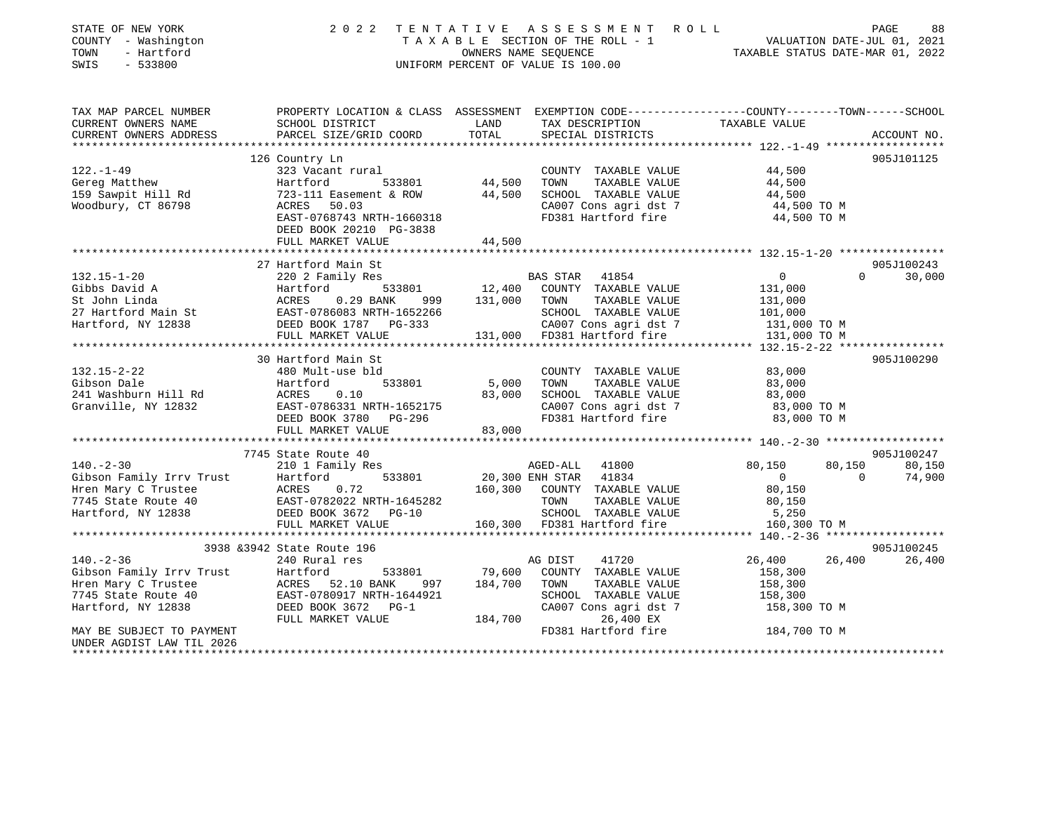| STATE OF NEW YORK<br>COUNTY - Washington<br>- Hartford<br>TOWN<br>$-533800$<br>SWIS | 2 0 2 2                                                                                          | TENTATIVE | ASSESSMENT ROLL<br>TAXABLE SECTION OF THE ROLL - 1<br>OWNERS NAME SEQUENCE<br>UNIFORM PERCENT OF VALUE IS 100.00 | TAXABLE STATUS DATE-MAR 01, 2022 |          | PAGE<br>88<br>VALUATION DATE-JUL 01, 2021 |
|-------------------------------------------------------------------------------------|--------------------------------------------------------------------------------------------------|-----------|------------------------------------------------------------------------------------------------------------------|----------------------------------|----------|-------------------------------------------|
| TAX MAP PARCEL NUMBER                                                               | PROPERTY LOCATION & CLASS ASSESSMENT EXEMPTION CODE----------------COUNTY-------TOWN------SCHOOL |           |                                                                                                                  |                                  |          |                                           |
| CURRENT OWNERS NAME                                                                 | SCHOOL DISTRICT                                                                                  | LAND      | TAX DESCRIPTION                                                                                                  | TAXABLE VALUE                    |          |                                           |
| CURRENT OWNERS ADDRESS<br>**********************                                    | PARCEL SIZE/GRID COORD                                                                           | TOTAL     | SPECIAL DISTRICTS                                                                                                |                                  |          | ACCOUNT NO.                               |
|                                                                                     | 126 Country Ln                                                                                   |           |                                                                                                                  |                                  |          | 905J101125                                |
| $122. - 1 - 49$                                                                     | 323 Vacant rural                                                                                 |           | COUNTY TAXABLE VALUE                                                                                             | 44,500                           |          |                                           |
| Gereg Matthew                                                                       | 533801<br>Hartford                                                                               | 44,500    | TAXABLE VALUE<br>TOWN                                                                                            | 44,500                           |          |                                           |
| 159 Sawpit Hill Rd                                                                  | 723-111 Easement & ROW                                                                           | 44,500    | SCHOOL TAXABLE VALUE                                                                                             | 44,500                           |          |                                           |
| Woodbury, CT 86798                                                                  | 50.03<br>ACRES                                                                                   |           | CA007 Cons agri dst 7                                                                                            | 44,500 TO M                      |          |                                           |
|                                                                                     | EAST-0768743 NRTH-1660318                                                                        |           | FD381 Hartford fire                                                                                              | 44,500 TO M                      |          |                                           |
|                                                                                     | DEED BOOK 20210 PG-3838                                                                          |           |                                                                                                                  |                                  |          |                                           |
|                                                                                     | FULL MARKET VALUE                                                                                | 44,500    |                                                                                                                  |                                  |          |                                           |
|                                                                                     |                                                                                                  |           |                                                                                                                  |                                  |          |                                           |
|                                                                                     | 27 Hartford Main St                                                                              |           |                                                                                                                  |                                  |          | 905J100243                                |
| $132.15 - 1 - 20$                                                                   | 220 2 Family Res                                                                                 |           | BAS STAR<br>41854                                                                                                | $\mathbf{0}$                     | $\Omega$ | 30,000                                    |
| Gibbs David A                                                                       | 533801<br>Hartford                                                                               | 12,400    | COUNTY TAXABLE VALUE                                                                                             | 131,000                          |          |                                           |
| St John Linda                                                                       | ACRES<br>0.29 BANK<br>999                                                                        | 131,000   | TOWN<br>TAXABLE VALUE                                                                                            | 131,000                          |          |                                           |
| 27 Hartford Main St                                                                 | EAST-0786083 NRTH-1652266                                                                        |           | SCHOOL TAXABLE VALUE                                                                                             | 101,000                          |          |                                           |
| Hartford, NY 12838                                                                  | DEED BOOK 1787 PG-333<br>FULL MARKET VALUE                                                       |           | CA007 Cons agri dst 7<br>131,000 FD381 Hartford fire                                                             | 131,000 TO M<br>131,000 TO M     |          |                                           |
|                                                                                     | ***************************                                                                      |           |                                                                                                                  |                                  |          |                                           |
|                                                                                     | 30 Hartford Main St                                                                              |           |                                                                                                                  |                                  |          | 905J100290                                |
| $132.15 - 2 - 22$                                                                   | 480 Mult-use bld                                                                                 |           | COUNTY TAXABLE VALUE                                                                                             | 83,000                           |          |                                           |
| Gibson Dale                                                                         | Hartford<br>533801                                                                               | 5,000     | TOWN<br>TAXABLE VALUE                                                                                            | 83,000                           |          |                                           |
| 241 Washburn Hill Rd                                                                | ACRES<br>0.10                                                                                    | 83,000    | SCHOOL TAXABLE VALUE                                                                                             | 83,000                           |          |                                           |
| Granville, NY 12832                                                                 | EAST-0786331 NRTH-1652175                                                                        |           | CA007 Cons agri dst 7                                                                                            | 83,000 TO M                      |          |                                           |
|                                                                                     | DEED BOOK 3780 PG-296                                                                            |           | FD381 Hartford fire                                                                                              | 83,000 TO M                      |          |                                           |
|                                                                                     | FULL MARKET VALUE                                                                                | 83,000    |                                                                                                                  |                                  |          |                                           |
|                                                                                     |                                                                                                  |           |                                                                                                                  |                                  |          |                                           |
|                                                                                     | 7745 State Route 40                                                                              |           |                                                                                                                  |                                  |          | 905J100247                                |
| $140. - 2 - 30$                                                                     | 210 1 Family Res                                                                                 |           | AGED-ALL 41800                                                                                                   | 80,150                           | 80,150   | 80,150                                    |
| Gibson Family Irrv Trust                                                            | 533801<br>Hartford                                                                               |           | 20,300 ENH STAR 41834                                                                                            | $\Omega$                         | $\Omega$ | 74,900                                    |
| Hren Mary C Trustee                                                                 | ACRES<br>0.72                                                                                    | 160,300   | COUNTY TAXABLE VALUE                                                                                             | 80,150                           |          |                                           |
| 7745 State Route 40                                                                 | EAST-0782022 NRTH-1645282                                                                        |           | TOWN<br>TAXABLE VALUE                                                                                            | 80,150                           |          |                                           |
| Hartford, NY 12838                                                                  | DEED BOOK 3672 PG-10                                                                             |           | SCHOOL TAXABLE VALUE                                                                                             | 5,250                            |          |                                           |
|                                                                                     | FULL MARKET VALUE                                                                                |           | 160,300 FD381 Hartford fire                                                                                      | 160,300 TO M                     |          |                                           |
|                                                                                     | 3938 & 3942 State Route 196                                                                      |           |                                                                                                                  |                                  |          | 905J100245                                |
| $140. - 2 - 36$                                                                     | 240 Rural res                                                                                    |           | 41720<br>AG DIST                                                                                                 | 26,400                           | 26,400   | 26,400                                    |
| Gibson Family Irrv Trust                                                            | Hartford<br>533801                                                                               | 79,600    | COUNTY TAXABLE VALUE                                                                                             | 158,300                          |          |                                           |
| Hren Mary C Trustee                                                                 | ACRES<br>52.10 BANK<br>997                                                                       | 184,700   | TOWN<br>TAXABLE VALUE                                                                                            | 158,300                          |          |                                           |
| 7745 State Route 40                                                                 | EAST-0780917 NRTH-1644921                                                                        |           | SCHOOL TAXABLE VALUE                                                                                             | 158,300                          |          |                                           |
| Hartford, NY 12838                                                                  | DEED BOOK 3672<br>$PG-1$                                                                         |           | CA007 Cons agri dst 7                                                                                            | 158,300 TO M                     |          |                                           |
|                                                                                     | FULL MARKET VALUE                                                                                | 184,700   | 26,400 EX                                                                                                        |                                  |          |                                           |
| MAY BE SUBJECT TO PAYMENT                                                           |                                                                                                  |           | FD381 Hartford fire                                                                                              | 184,700 TO M                     |          |                                           |
| UNDER AGDIST LAW TIL 2026                                                           |                                                                                                  |           |                                                                                                                  |                                  |          |                                           |
| ****************************                                                        |                                                                                                  |           |                                                                                                                  |                                  |          |                                           |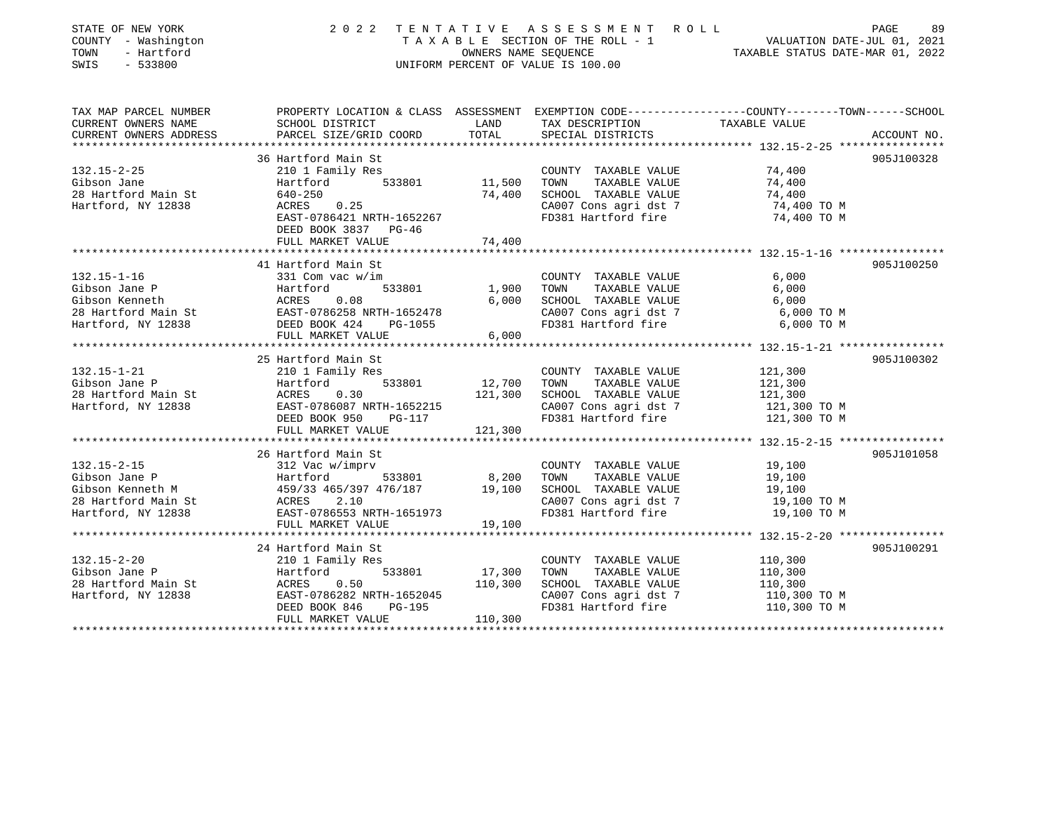| STATE OF NEW YORK<br>COUNTY - Washington<br>TOWN<br>- Hartford<br>SWIS<br>$-533800$ | 2 0 2 2                                               | TENTATIVE<br>OWNERS NAME SEQUENCE | ASSESSMENT ROLL<br>TAXABLE SECTION OF THE ROLL - 1<br>UNIFORM PERCENT OF VALUE IS 100.00 | PAGE<br>89<br>VALUATION DATE-JUL 01, 2021<br>TAXABLE STATUS DATE-MAR 01, 2022                                    |
|-------------------------------------------------------------------------------------|-------------------------------------------------------|-----------------------------------|------------------------------------------------------------------------------------------|------------------------------------------------------------------------------------------------------------------|
| TAX MAP PARCEL NUMBER<br>CURRENT OWNERS NAME                                        | SCHOOL DISTRICT                                       | LAND                              | TAX DESCRIPTION                                                                          | PROPERTY LOCATION & CLASS ASSESSMENT EXEMPTION CODE----------------COUNTY-------TOWN-----SCHOOL<br>TAXABLE VALUE |
| CURRENT OWNERS ADDRESS                                                              | PARCEL SIZE/GRID COORD                                | TOTAL                             | SPECIAL DISTRICTS                                                                        | ACCOUNT NO.                                                                                                      |
| *************************                                                           |                                                       |                                   |                                                                                          |                                                                                                                  |
| $132.15 - 2 - 25$                                                                   | 36 Hartford Main St<br>210 1 Family Res               |                                   | COUNTY TAXABLE VALUE                                                                     | 905J100328<br>74,400                                                                                             |
| Gibson Jane                                                                         | 533801<br>Hartford                                    | 11,500                            | TOWN<br>TAXABLE VALUE                                                                    | 74,400                                                                                                           |
| 28 Hartford Main St                                                                 | $640 - 250$                                           | 74,400                            | SCHOOL TAXABLE VALUE                                                                     | 74,400                                                                                                           |
| Hartford, NY 12838                                                                  | ACRES<br>0.25                                         |                                   | CA007 Cons agri dst 7                                                                    | 74,400 TO M                                                                                                      |
|                                                                                     | EAST-0786421 NRTH-1652267                             |                                   | FD381 Hartford fire                                                                      | 74,400 TO M                                                                                                      |
|                                                                                     | DEED BOOK 3837 PG-46                                  |                                   |                                                                                          |                                                                                                                  |
|                                                                                     | FULL MARKET VALUE                                     | 74,400                            |                                                                                          |                                                                                                                  |
|                                                                                     |                                                       |                                   |                                                                                          |                                                                                                                  |
|                                                                                     | 41 Hartford Main St                                   |                                   |                                                                                          | 905J100250                                                                                                       |
| $132.15 - 1 - 16$                                                                   | 331 Com vac w/im                                      |                                   | COUNTY TAXABLE VALUE                                                                     | 6,000                                                                                                            |
| Gibson Jane P                                                                       | Hartford<br>533801                                    | 1,900                             | TAXABLE VALUE<br>TOWN                                                                    | 6,000                                                                                                            |
| Gibson Kenneth                                                                      | ACRES<br>0.08                                         | 6,000                             | SCHOOL TAXABLE VALUE                                                                     | 6,000                                                                                                            |
| 28 Hartford Main St<br>Hartford, NY 12838                                           | EAST-0786258 NRTH-1652478<br>DEED BOOK 424<br>PG-1055 |                                   | CA007 Cons agri dst 7<br>FD381 Hartford fire                                             | 6,000 TO M<br>6,000 TO M                                                                                         |
|                                                                                     | FULL MARKET VALUE                                     | 6,000                             |                                                                                          |                                                                                                                  |
|                                                                                     |                                                       |                                   |                                                                                          |                                                                                                                  |
|                                                                                     | 25 Hartford Main St                                   |                                   |                                                                                          | 905J100302                                                                                                       |
| $132.15 - 1 - 21$                                                                   | 210 1 Family Res                                      |                                   | COUNTY TAXABLE VALUE                                                                     | 121,300                                                                                                          |
| Gibson Jane P                                                                       | 533801<br>Hartford                                    | 12,700                            | TOWN<br>TAXABLE VALUE                                                                    | 121,300                                                                                                          |
| 28 Hartford Main St                                                                 | 0.30<br>ACRES                                         | 121,300                           | SCHOOL TAXABLE VALUE                                                                     | 121,300                                                                                                          |
| Hartford, NY 12838                                                                  | EAST-0786087 NRTH-1652215                             |                                   | CA007 Cons agri dst 7                                                                    | 121,300 TO M                                                                                                     |
|                                                                                     | DEED BOOK 950<br>PG-117                               |                                   | FD381 Hartford fire                                                                      | 121,300 TO M                                                                                                     |
|                                                                                     | FULL MARKET VALUE                                     | 121,300                           |                                                                                          |                                                                                                                  |
|                                                                                     |                                                       |                                   |                                                                                          |                                                                                                                  |
| $132.15 - 2 - 15$                                                                   | 26 Hartford Main St<br>312 Vac w/imprv                |                                   | COUNTY TAXABLE VALUE                                                                     | 905J101058                                                                                                       |
| Gibson Jane P                                                                       | 533801<br>Hartford                                    | 8,200                             | TOWN<br>TAXABLE VALUE                                                                    | 19,100<br>19,100                                                                                                 |
| Gibson Kenneth M                                                                    | 459/33 465/397 476/187                                | 19,100                            | SCHOOL TAXABLE VALUE                                                                     | 19,100                                                                                                           |
| 28 Hartford Main St                                                                 | ACRES<br>2.10                                         |                                   | CA007 Cons agri dst 7                                                                    | 19,100 TO M                                                                                                      |
| Hartford, NY 12838                                                                  | EAST-0786553 NRTH-1651973                             |                                   | FD381 Hartford fire                                                                      | 19,100 TO M                                                                                                      |
|                                                                                     | FULL MARKET VALUE                                     | 19,100                            |                                                                                          |                                                                                                                  |
|                                                                                     | **********************                                | **********                        |                                                                                          |                                                                                                                  |
|                                                                                     | 24 Hartford Main St                                   |                                   |                                                                                          | 905J100291                                                                                                       |
| $132.15 - 2 - 20$                                                                   | 210 1 Family Res                                      |                                   | COUNTY TAXABLE VALUE                                                                     | 110,300                                                                                                          |
| Gibson Jane P                                                                       | 533801<br>Hartford                                    | 17,300                            | TOWN<br>TAXABLE VALUE                                                                    | 110,300                                                                                                          |
| 28 Hartford Main St                                                                 | ACRES<br>0.50                                         | 110,300                           | SCHOOL TAXABLE VALUE                                                                     | 110,300                                                                                                          |
| Hartford, NY 12838                                                                  | EAST-0786282 NRTH-1652045                             |                                   | CA007 Cons agri dst 7                                                                    | 110,300 TO M                                                                                                     |
|                                                                                     | DEED BOOK 846<br>PG-195                               |                                   | FD381 Hartford fire                                                                      | 110,300 TO M                                                                                                     |
|                                                                                     | FULL MARKET VALUE                                     | 110,300                           |                                                                                          |                                                                                                                  |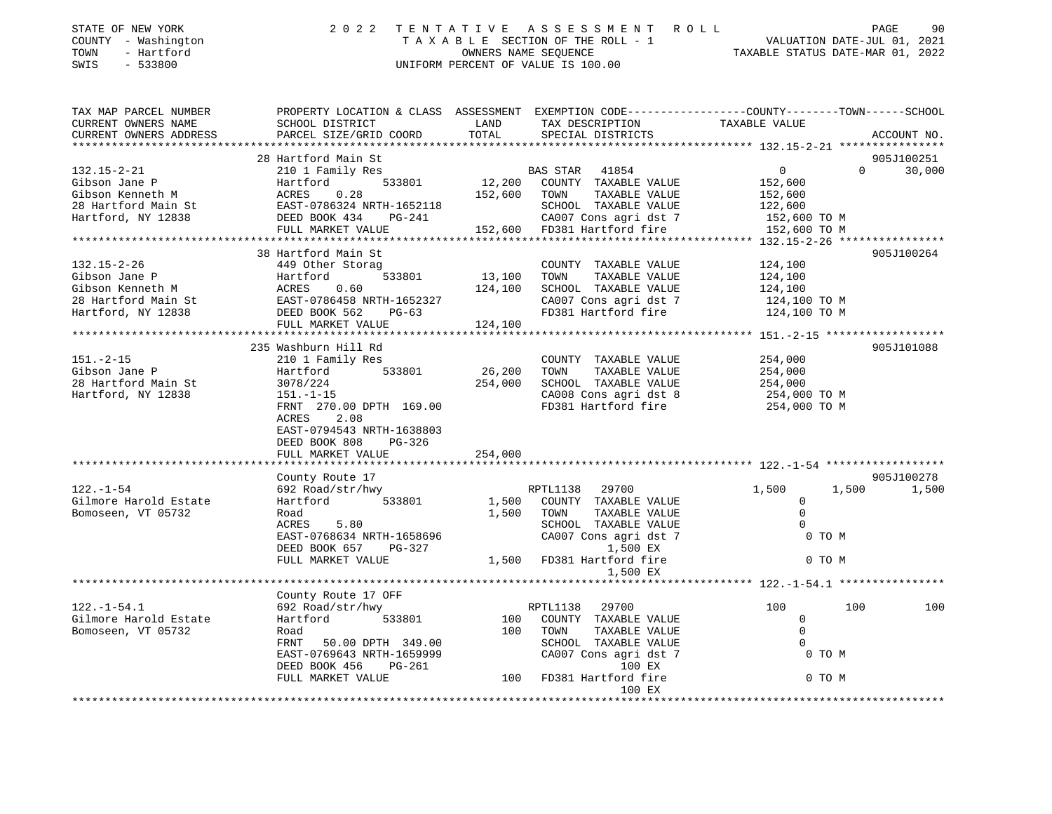| STATE OF NEW YORK<br>COUNTY - Washington<br>- Hartford<br>TOWN<br>SWIS<br>$-533800$ | 2 0 2 2                                                                                                                                                                                                              | ASSESSMENT ROLL<br>TENTATIVE<br>T A X A B L E SECTION OF THE ROLL - 1 VALUATION DATE-JUL 01, 2021<br>OWNERS NAME SEQUENCE TAXABLE STATUS DATE-MAR 01, 2022<br>UNIFORM PERCENT OF VALUE IS 100.00 | PAGE<br>90                                                                                                                                                  |
|-------------------------------------------------------------------------------------|----------------------------------------------------------------------------------------------------------------------------------------------------------------------------------------------------------------------|--------------------------------------------------------------------------------------------------------------------------------------------------------------------------------------------------|-------------------------------------------------------------------------------------------------------------------------------------------------------------|
| TAX MAP PARCEL NUMBER<br>CURRENT OWNERS NAME<br>CURRENT OWNERS ADDRESS              | SCHOOL DISTRICT<br>PARCEL SIZE/GRID COORD                                                                                                                                                                            | PROPERTY LOCATION & CLASS ASSESSMENT EXEMPTION CODE---------------COUNTY-------TOWN-----SCHOOL<br>LAND<br>TAX DESCRIPTION<br>TOTAL<br>SPECIAL DISTRICTS                                          | TAXABLE VALUE<br>ACCOUNT NO.                                                                                                                                |
| $132.15 - 2 - 21$<br>Gibson Jane P<br>Gibson Kenneth M<br>Hartford, NY 12838        | 28 Hartford Main St<br>210 1 Family Res<br>Hartford<br>0.28<br>ACRES<br>28 Hartford Main St EAST-0786324 NRTH-1652118<br>DEED BOOK 434 PG-241<br>FULL MARKET VALUE                                                   | BAS STAR 41854<br>533801 12,200 COUNTY TAXABLE VALUE<br>152,600 TOWN<br>TAXABLE VALUE<br>SCHOOL TAXABLE VALUE<br>CA007 Cons agri dst 7<br>152,600 FD381 Hartford fire                            | 905J100251<br>0<br>$\Omega$<br>30,000<br>152,600<br>152,600<br>122,600<br>152,600 TO M<br>152,600 TO M                                                      |
| 132.15-2-26<br>Gibson Jane P<br>Hartford, NY 12838                                  | 38 Hartford Main St<br>A49 Other Storag<br>Hartford<br>533801<br>DEED BOOK 562<br>$PG-63$<br>FULL MARKET VALUE                                                                                                       | COUNTY TAXABLE VALUE<br>13,100 TOWN<br>TAXABLE VALUE<br>124,100 SCHOOL TAXABLE VALUE<br>CA007 Cons agri dst 7<br>FD381 Hartford fire<br>124,100                                                  | 905J100264<br>124,100<br>124,100<br>124,100<br>124,100 TO M<br>124,100 TO M                                                                                 |
| $151 - 2 - 15$<br>Gibson Jane P<br>28 Hartford Main St<br>Hartford, NY 12838        | 235 Washburn Hill Rd<br>210 1 Family Res<br>533801<br>Hartford<br>3078/224<br>$151.-1-15$<br>FRNT 270.00 DPTH 169.00<br>2.08<br>ACRES<br>EAST-0794543 NRTH-1638803<br>DEED BOOK 808<br>$PG-326$<br>FULL MARKET VALUE | COUNTY TAXABLE VALUE<br>26,200 TOWN<br>TAXABLE VALUE<br>254,000 SCHOOL TAXABLE VALUE<br>CA008 Cons agri dst 8<br>FD381 Hartford fire<br>254,000                                                  | 905J101088<br>254,000<br>254,000<br>254,000<br>254,000 TO M<br>254,000 TO M                                                                                 |
| $122. - 1 - 54$<br>Gilmore Harold Estate<br>Bomoseen, VT 05732                      | County Route 17<br>692 Road/str/hwy<br>Hartford 533801<br>Road<br>5.80<br>ACRES<br>EAST-0768634 NRTH-1658696<br>DEED BOOK 657 PG-327<br>FULL MARKET VALUE<br>***************************                             | RPTL1138 29700<br>1,500<br>COUNTY TAXABLE VALUE<br>1,500<br>TOWN<br>TAXABLE VALUE<br>SCHOOL TAXABLE VALUE<br>CA007 Cons agri dst 7<br>1,500 EX<br>1,500 FD381 Hartford fire<br>1,500 EX          | 905J100278<br>1,500<br>1,500<br>1,500<br>$\circ$<br>$\mathbf 0$<br>$\Omega$<br>0 TO M<br>0 TO M<br>******************************* 122.-1-54.1 ************ |

|                       | County Route 17 OFF       |     |                         |     |        |     |
|-----------------------|---------------------------|-----|-------------------------|-----|--------|-----|
| $122. - 1 - 54.1$     | 692 Road/str/hwy          |     | 29700<br>RPTL1138       | 100 | 100    | 100 |
| Gilmore Harold Estate | Hartford<br>533801        | 100 | TAXABLE VALUE<br>COUNTY |     |        |     |
| Bomoseen, VT 05732    | Road                      | 100 | TAXABLE VALUE<br>TOWN   |     |        |     |
|                       | 50.00 DPTH 349.00<br>FRNT |     | TAXABLE VALUE<br>SCHOOL |     |        |     |
|                       | EAST-0769643 NRTH-1659999 |     | CA007 Cons agri dst 7   |     | 0 TO M |     |
|                       | DEED BOOK 456<br>PG-261   |     | 100 EX                  |     |        |     |
|                       | FULL MARKET VALUE         | 100 | FD381 Hartford fire     |     | 0 TO M |     |
|                       |                           |     | 100 EX                  |     |        |     |
|                       |                           |     |                         |     |        |     |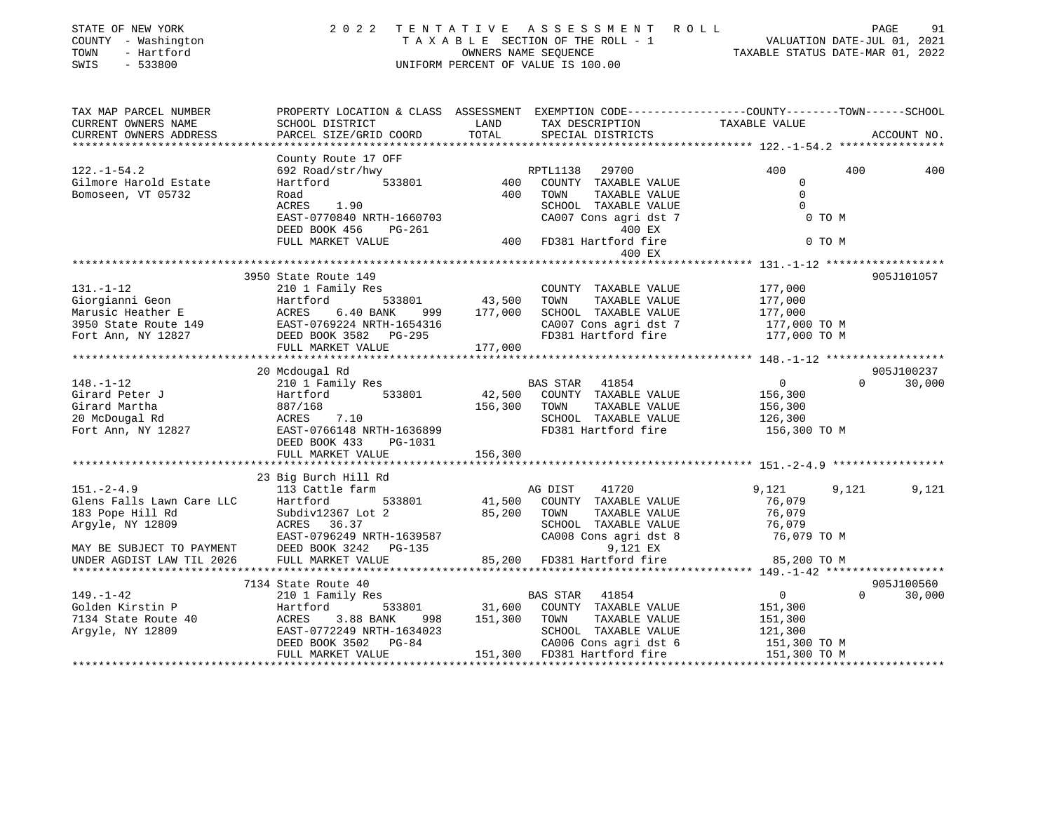| STATE OF NEW YORK<br>COUNTY - Washington<br>- Hartford<br>TOWN<br>SWIS<br>$-533800$ | 2 0 2 2                                                                                        |                   | TENTATIVE ASSESSMENT ROLL<br>TAXABLE SECTION OF THE ROLL - 1<br>OWNERS NAME SEQUENCE<br>UNIFORM PERCENT OF VALUE IS 100.00 |                                          | PAGE<br>91<br>VALUATION DATE-JUL 01, 2021<br>TAXABLE STATUS DATE-MAR 01, 2022 |
|-------------------------------------------------------------------------------------|------------------------------------------------------------------------------------------------|-------------------|----------------------------------------------------------------------------------------------------------------------------|------------------------------------------|-------------------------------------------------------------------------------|
| TAX MAP PARCEL NUMBER                                                               | PROPERTY LOCATION & CLASS ASSESSMENT EXEMPTION CODE---------------COUNTY-------TOWN-----SCHOOL |                   |                                                                                                                            |                                          |                                                                               |
| CURRENT OWNERS NAME<br>CURRENT OWNERS ADDRESS                                       | SCHOOL DISTRICT<br>PARCEL SIZE/GRID COORD                                                      | LAND<br>TOTAL     | TAX DESCRIPTION<br>SPECIAL DISTRICTS                                                                                       | TAXABLE VALUE                            | ACCOUNT NO.                                                                   |
|                                                                                     |                                                                                                |                   |                                                                                                                            |                                          |                                                                               |
|                                                                                     | County Route 17 OFF                                                                            |                   |                                                                                                                            |                                          |                                                                               |
| $122. - 1 - 54.2$                                                                   | 692 Road/str/hwy                                                                               |                   | RPTL1138<br>29700                                                                                                          | 400                                      | 400<br>400                                                                    |
| Gilmore Harold Estate                                                               | 533801<br>Hartford                                                                             | 400               | COUNTY TAXABLE VALUE                                                                                                       | $\Omega$                                 |                                                                               |
| Bomoseen, VT 05732                                                                  | Road                                                                                           | 400               | TOWN<br>TAXABLE VALUE                                                                                                      | $\Omega$                                 |                                                                               |
|                                                                                     | ACRES<br>1.90                                                                                  |                   | SCHOOL TAXABLE VALUE                                                                                                       | $\Omega$                                 |                                                                               |
|                                                                                     | EAST-0770840 NRTH-1660703                                                                      |                   | CA007 Cons agri dst 7                                                                                                      | 0 TO M                                   |                                                                               |
|                                                                                     | DEED BOOK 456<br>PG-261                                                                        |                   | 400 EX                                                                                                                     |                                          |                                                                               |
|                                                                                     | FULL MARKET VALUE                                                                              | 400               | FD381 Hartford fire                                                                                                        | 0 TO M                                   |                                                                               |
|                                                                                     |                                                                                                |                   | 400 EX                                                                                                                     | **************** 131.-1-12 ************* |                                                                               |
|                                                                                     | 3950 State Route 149                                                                           |                   |                                                                                                                            |                                          | 905J101057                                                                    |
| $131. - 1 - 12$                                                                     | 210 1 Family Res                                                                               |                   | COUNTY TAXABLE VALUE                                                                                                       | 177,000                                  |                                                                               |
| Giorgianni Geon                                                                     | 533801<br>Hartford                                                                             | 43,500            | TOWN<br>TAXABLE VALUE                                                                                                      | 177,000                                  |                                                                               |
| Marusic Heather E                                                                   | ACRES<br>6.40 BANK<br>999                                                                      | 177,000           | SCHOOL TAXABLE VALUE                                                                                                       | 177,000                                  |                                                                               |
| 3950 State Route 149                                                                | EAST-0769224 NRTH-1654316                                                                      |                   | CA007 Cons agri dst 7                                                                                                      | 177,000 TO M                             |                                                                               |
| Fort Ann, NY 12827                                                                  | DEED BOOK 3582 PG-295                                                                          |                   | FD381 Hartford fire                                                                                                        | 177,000 TO M                             |                                                                               |
|                                                                                     | FULL MARKET VALUE                                                                              | 177,000           |                                                                                                                            |                                          |                                                                               |
|                                                                                     |                                                                                                |                   |                                                                                                                            |                                          |                                                                               |
|                                                                                     | 20 Mcdougal Rd                                                                                 |                   |                                                                                                                            |                                          | 905J100237                                                                    |
| $148. - 1 - 12$                                                                     | 210 1 Family Res                                                                               |                   | BAS STAR 41854                                                                                                             | $\overline{0}$                           | $\Omega$<br>30,000                                                            |
| Girard Peter J<br>Girard Martha                                                     | Hartford<br>533801<br>887/168                                                                  | 42,500<br>156,300 | COUNTY TAXABLE VALUE<br>TOWN<br>TAXABLE VALUE                                                                              | 156,300                                  |                                                                               |
| 20 McDougal Rd                                                                      | ACRES<br>7.10                                                                                  |                   | SCHOOL TAXABLE VALUE                                                                                                       | 156,300<br>126,300                       |                                                                               |
| Fort Ann, NY 12827                                                                  | EAST-0766148 NRTH-1636899                                                                      |                   | FD381 Hartford fire                                                                                                        | 156,300 ТО М                             |                                                                               |
|                                                                                     | DEED BOOK 433<br>PG-1031                                                                       |                   |                                                                                                                            |                                          |                                                                               |
|                                                                                     | FULL MARKET VALUE                                                                              | 156,300           |                                                                                                                            |                                          |                                                                               |
|                                                                                     |                                                                                                |                   |                                                                                                                            |                                          |                                                                               |
|                                                                                     | 23 Big Burch Hill Rd                                                                           |                   |                                                                                                                            |                                          |                                                                               |
| $151. - 2 - 4.9$                                                                    | 113 Cattle farm                                                                                |                   | 41720<br>AG DIST                                                                                                           | 9,121                                    | 9,121<br>9,121                                                                |
| Glens Falls Lawn Care LLC                                                           | Hartford<br>533801                                                                             | 41,500            | COUNTY TAXABLE VALUE                                                                                                       | 76,079                                   |                                                                               |
| 183 Pope Hill Rd                                                                    | Subdiv12367 Lot 2                                                                              | 85,200            | TAXABLE VALUE<br>TOWN                                                                                                      | 76,079                                   |                                                                               |
| Argyle, NY 12809                                                                    | ACRES 36.37                                                                                    |                   | SCHOOL TAXABLE VALUE                                                                                                       | 76,079                                   |                                                                               |
| MAY BE SUBJECT TO PAYMENT                                                           | EAST-0796249 NRTH-1639587<br>DEED BOOK 3242 PG-135                                             |                   | CA008 Cons agri dst 8<br>9,121 EX                                                                                          | 76,079 TO M                              |                                                                               |
| UNDER AGDIST LAW TIL 2026                                                           | FULL MARKET VALUE                                                                              | 85,200            | FD381 Hartford fire                                                                                                        | 85,200 TO M                              |                                                                               |
|                                                                                     |                                                                                                |                   |                                                                                                                            |                                          |                                                                               |
|                                                                                     | 7134 State Route 40                                                                            |                   |                                                                                                                            |                                          | 905J100560                                                                    |
| 149. – 1–42                                                                         | 210 1 Family Res                                                                               |                   | <b>BAS STAR</b><br>41854                                                                                                   | 0                                        | $\Omega$<br>30,000                                                            |
| Golden Kirstin P                                                                    | Hartford<br>533801                                                                             | 31,600            | COUNTY TAXABLE VALUE                                                                                                       | 151,300                                  |                                                                               |
| 7134 State Route 40                                                                 | 3.88 BANK<br>ACRES<br>998                                                                      | 151,300           | TAXABLE VALUE<br>TOWN                                                                                                      | 151,300                                  |                                                                               |
| Argyle, NY 12809                                                                    | EAST-0772249 NRTH-1634023                                                                      |                   | SCHOOL TAXABLE VALUE                                                                                                       | 121,300                                  |                                                                               |
|                                                                                     | DEED BOOK 3502<br>$PG-84$                                                                      |                   | CA006 Cons agri dst 6                                                                                                      | 151,300 TO M                             |                                                                               |
|                                                                                     | FULL MARKET VALUE                                                                              |                   | 151,300 FD381 Hartford fire<br>**************************                                                                  | 151,300 TO M                             |                                                                               |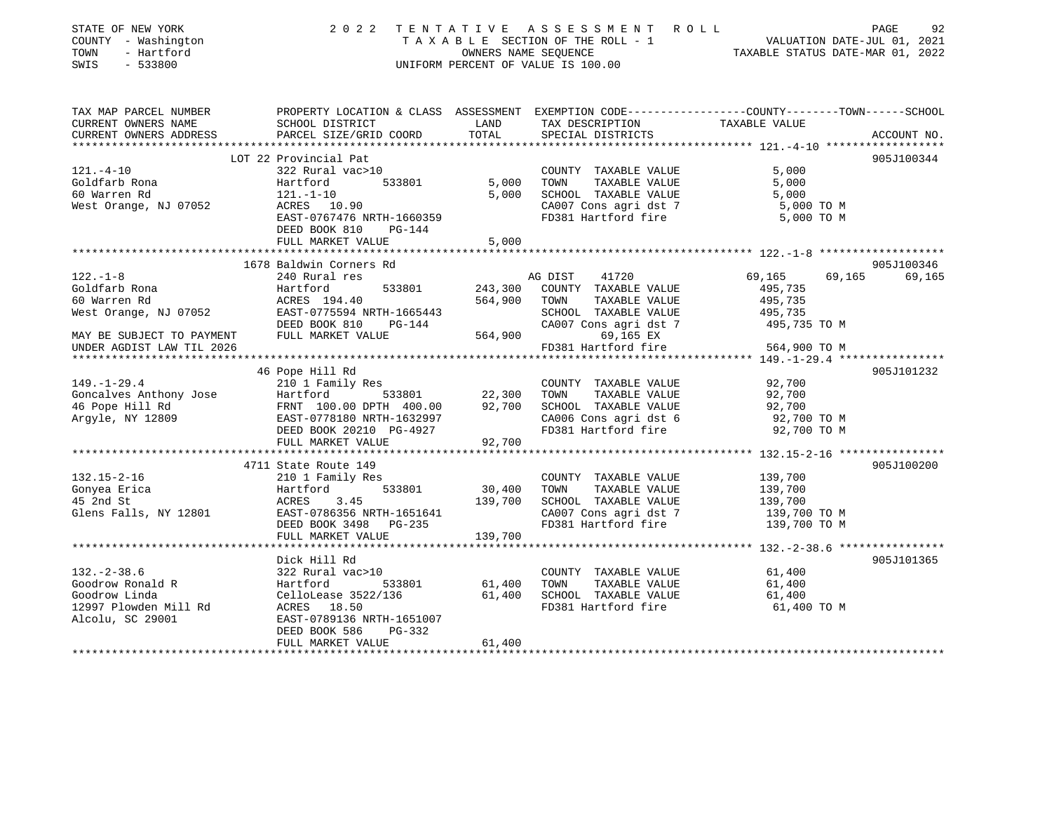| STATE OF NEW YORK<br>COUNTY - Washington<br>TOWN<br>- Hartford<br>$-533800$<br>SWIS | 2 0 2 2                                                                 |                  | TENTATIVE ASSESSMENT ROLL<br>UNIFORM PERCENT OF VALUE IS 100.00 | PAGE<br>TAXABLE SECTION OF THE ROLL - 1<br>OWNERS NAME SEQUENCE THE ROLL - 1<br>OWNERS NAME SEQUENCE TAXABLE STATUS DATE-MAR 01, 2022 | 92          |
|-------------------------------------------------------------------------------------|-------------------------------------------------------------------------|------------------|-----------------------------------------------------------------|---------------------------------------------------------------------------------------------------------------------------------------|-------------|
| TAX MAP PARCEL NUMBER<br>CURRENT OWNERS NAME                                        | SCHOOL DISTRICT                                                         | LAND             | TAX DESCRIPTION                                                 | PROPERTY LOCATION & CLASS ASSESSMENT EXEMPTION CODE----------------COUNTY-------TOWN------SCHOOL<br>TAXABLE VALUE                     |             |
| CURRENT OWNERS ADDRESS                                                              | PARCEL SIZE/GRID COORD                                                  | TOTAL            | SPECIAL DISTRICTS                                               |                                                                                                                                       | ACCOUNT NO. |
|                                                                                     |                                                                         |                  |                                                                 |                                                                                                                                       |             |
|                                                                                     | LOT 22 Provincial Pat                                                   |                  |                                                                 |                                                                                                                                       | 905J100344  |
| $121. - 4 - 10$                                                                     | 322 Rural vac>10                                                        |                  | COUNTY TAXABLE VALUE                                            | 5,000                                                                                                                                 |             |
| Goldfarb Rona                                                                       | 533801<br>Hartford                                                      | 5,000            | TAXABLE VALUE<br>TOWN                                           | 5,000                                                                                                                                 |             |
| 60 Warren Rd                                                                        | 121.-1-10                                                               | 5,000            | SCHOOL TAXABLE VALUE                                            | 5,000                                                                                                                                 |             |
| West Orange, NJ 07052                                                               | ACRES 10.90<br>EAST-0767476 NRTH-1660359                                |                  | CA007 Cons agri dst 7<br>FD381 Hartford fire                    | 5,000 TO M<br>5,000 TO M                                                                                                              |             |
|                                                                                     | DEED BOOK 810<br>PG-144                                                 |                  |                                                                 |                                                                                                                                       |             |
|                                                                                     | FULL MARKET VALUE                                                       | 5,000            |                                                                 |                                                                                                                                       |             |
|                                                                                     | ******************************                                          | ************     |                                                                 |                                                                                                                                       |             |
|                                                                                     | 1678 Baldwin Corners Rd                                                 |                  |                                                                 |                                                                                                                                       | 905J100346  |
| $122. - 1 - 8$                                                                      | 240 Rural res                                                           |                  | AG DIST<br>41720                                                | 69,165<br>69,165                                                                                                                      | 69,165      |
| Goldfarb Rona                                                                       | Hartford<br>533801                                                      | 243,300          | COUNTY TAXABLE VALUE                                            | 495,735                                                                                                                               |             |
| 60 Warren Rd                                                                        | ACRES 194.40                                                            | 564,900          | TOWN<br>TAXABLE VALUE                                           | 495,735                                                                                                                               |             |
| West Orange, NJ 07052                                                               | EAST-0775594 NRTH-1665443                                               |                  | SCHOOL TAXABLE VALUE                                            | 495,735                                                                                                                               |             |
| MAY BE SUBJECT TO PAYMENT                                                           | DEED BOOK 810<br>$PG-144$<br>FULL MARKET VALUE                          | 564,900          | CA007 Cons agri dst 7<br>69,165 EX                              | 495,735 TO M                                                                                                                          |             |
| UNDER AGDIST LAW TIL 2026                                                           |                                                                         |                  | FD381 Hartford fire                                             | 564,900 TO M                                                                                                                          |             |
|                                                                                     |                                                                         |                  |                                                                 |                                                                                                                                       |             |
|                                                                                     | 46 Pope Hill Rd                                                         |                  |                                                                 |                                                                                                                                       | 905J101232  |
| $149. - 1 - 29.4$                                                                   | 210 1 Family Res                                                        |                  | COUNTY TAXABLE VALUE                                            | 92,700                                                                                                                                |             |
| Goncalves Anthony Jose                                                              | 533801                                                                  | 22,300           | TOWN<br>TAXABLE VALUE                                           | 92,700                                                                                                                                |             |
| 46 Pope Hill Rd                                                                     | Hartford 533801<br>FRNT 100.00 DPTH 400.00<br>EAST-0778180 NRTH-1632997 | 92,700           | SCHOOL TAXABLE VALUE                                            | 92,700                                                                                                                                |             |
| Argyle, NY 12809                                                                    |                                                                         |                  | CA006 Cons agri dst 6                                           | 92,700 TO M                                                                                                                           |             |
|                                                                                     | DEED BOOK 20210 PG-4927                                                 |                  | FD381 Hartford fire                                             | 92,700 TO M                                                                                                                           |             |
|                                                                                     | FULL MARKET VALUE                                                       | 92,700           |                                                                 |                                                                                                                                       |             |
|                                                                                     | 4711 State Route 149                                                    |                  |                                                                 |                                                                                                                                       | 905J100200  |
| $132.15 - 2 - 16$                                                                   | 210 1 Family Res                                                        |                  | COUNTY TAXABLE VALUE                                            | 139,700                                                                                                                               |             |
| Gonyea Erica                                                                        | 533801<br>Hartford                                                      | 30,400           | TOWN<br>TAXABLE VALUE                                           | 139,700                                                                                                                               |             |
| 45 2nd St                                                                           | ACRES<br>3.45                                                           | 139,700          | SCHOOL TAXABLE VALUE                                            | 139,700                                                                                                                               |             |
| Glens Falls, NY 12801                                                               | EAST-0786356 NRTH-1651641<br>DEED BOOK 3498 PG-235                      |                  | CA007 Cons agri dst 7                                           | 139,700 TO M                                                                                                                          |             |
|                                                                                     | DEED BOOK 3498 PG-235                                                   |                  | FD381 Hartford fire                                             | 139,700 TO M                                                                                                                          |             |
|                                                                                     | FULL MARKET VALUE                                                       | 139,700          |                                                                 |                                                                                                                                       |             |
|                                                                                     | **************************                                              |                  |                                                                 |                                                                                                                                       |             |
|                                                                                     | Dick Hill Rd                                                            |                  |                                                                 |                                                                                                                                       | 905J101365  |
| $132 - 2 - 38.6$                                                                    | 322 Rural vac>10                                                        |                  | COUNTY TAXABLE VALUE                                            | 61,400                                                                                                                                |             |
| Goodrow Ronald R<br>Goodrow Linda                                                   | Hartford<br>533801<br>CelloLease 3522/136                               | 61,400<br>61,400 | TOWN<br>TAXABLE VALUE<br>SCHOOL TAXABLE VALUE                   | 61,400<br>61,400                                                                                                                      |             |
| 12997 Plowden Mill Rd                                                               | ACRES 18.50                                                             |                  | FD381 Hartford fire                                             | 61,400 TO M                                                                                                                           |             |
| Alcolu, SC 29001                                                                    | EAST-0789136 NRTH-1651007                                               |                  |                                                                 |                                                                                                                                       |             |
|                                                                                     | DEED BOOK 586<br>PG-332                                                 |                  |                                                                 |                                                                                                                                       |             |
|                                                                                     | FULL MARKET VALUE                                                       | 61,400           |                                                                 |                                                                                                                                       |             |
|                                                                                     |                                                                         |                  |                                                                 |                                                                                                                                       |             |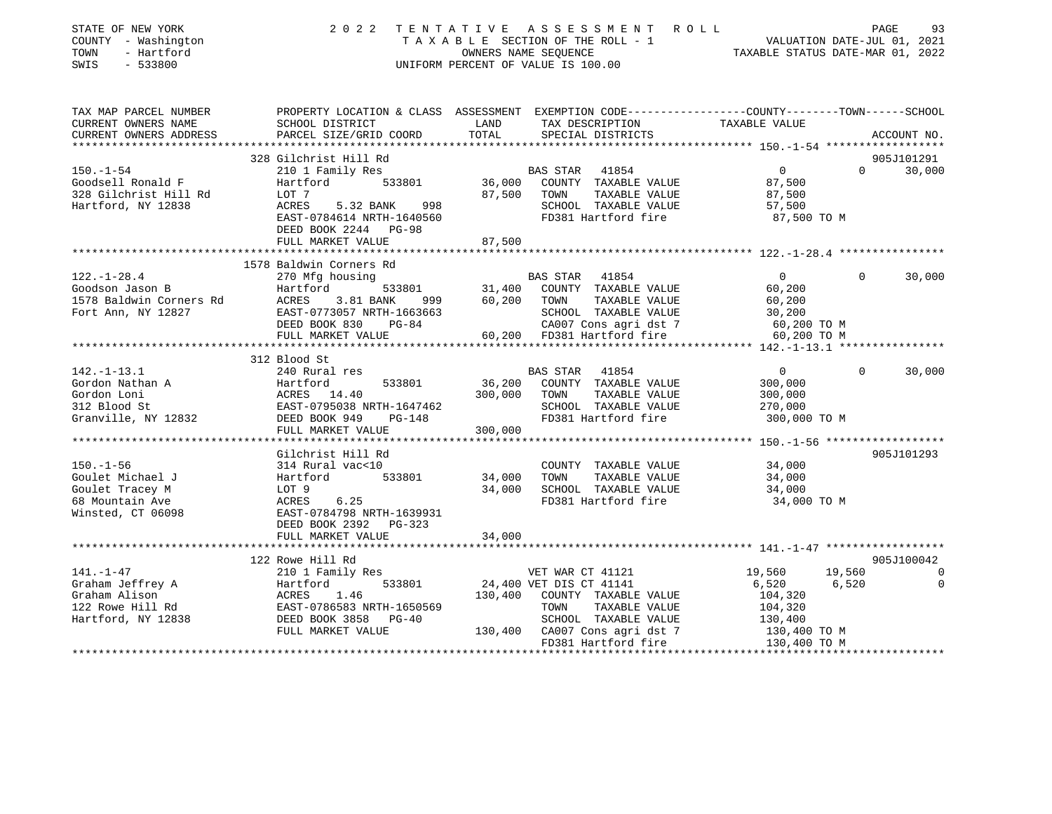| STATE OF NEW YORK<br>COUNTY - Washington<br>- Hartford<br>TOWN<br>SWIS<br>$-533800$            | 2022                                                                                                                                                             | OWNERS NAME SEQUENCE | TENTATIVE ASSESSMENT ROLL<br>TAXABLE SECTION OF THE ROLL - 1<br>UNIFORM PERCENT OF VALUE IS 100.00                                                                                                      | 93<br>VALUATION DATE-JUL 01, 2021<br>TAXABLE STATIIS DATE MARICE               |                                     |
|------------------------------------------------------------------------------------------------|------------------------------------------------------------------------------------------------------------------------------------------------------------------|----------------------|---------------------------------------------------------------------------------------------------------------------------------------------------------------------------------------------------------|--------------------------------------------------------------------------------|-------------------------------------|
| TAX MAP PARCEL NUMBER<br>CURRENT OWNERS NAME<br>CURRENT OWNERS ADDRESS                         | PROPERTY LOCATION & CLASS ASSESSMENT EXEMPTION CODE----------------COUNTY-------TOWN------SCHOOL<br>SCHOOL DISTRICT<br>PARCEL SIZE/GRID COORD                    | LAND<br>TOTAL        | TAX DESCRIPTION<br>SPECIAL DISTRICTS                                                                                                                                                                    | TAXABLE VALUE                                                                  | ACCOUNT NO.                         |
|                                                                                                |                                                                                                                                                                  |                      |                                                                                                                                                                                                         |                                                                                |                                     |
| $150. - 1 - 54$<br>Goodsell Ronald F<br>328 Gilchrist Hill Rd<br>Hartford, NY 12838            | 328 Gilchrist Hill Rd<br>210 1 Family Res<br>533801<br>Hartford<br>LOT 7<br>ACRES<br>5.32 BANK<br>998<br>EAST-0784614 NRTH-1640560<br>DEED BOOK 2244 PG-98       |                      | BAS STAR<br>41854<br>36,000 COUNTY TAXABLE VALUE<br>87,500 TOWN<br>TAXABLE VALUE<br>SCHOOL TAXABLE VALUE<br>FD381 Hartford fire                                                                         | $\overline{0}$<br>87,500<br>87,500<br>57,500<br>87,500 TO M                    | 905J101291<br>$\Omega$<br>30,000    |
|                                                                                                | FULL MARKET VALUE                                                                                                                                                | 87,500               |                                                                                                                                                                                                         |                                                                                |                                     |
|                                                                                                |                                                                                                                                                                  |                      |                                                                                                                                                                                                         |                                                                                |                                     |
| $122. - 1 - 28.4$<br>Goodson Jason B<br>1578 Baldwin Corners Rd<br>Fort Ann, NY 12827          | 1578 Baldwin Corners Rd<br>270 Mfg housing<br>Hartford<br>Hartfor<br>ACRES<br>3.81 BANK<br>EAST-0773057 NRTH-1663663<br>DEED BOOK 830 PG-84<br>FULL MARKET VALUE |                      | BAS STAR 41854<br>533801 31,400 COUNTY TAXABLE VALUE<br>NK 999 60,200 TOWN TAXABLE VALUE<br>60,200 TOWN<br>TAXABLE VALUE<br>SCHOOL TAXABLE VALUE<br>CA007 Cons agri dst 7<br>60,200 FD381 Hartford fire | $\Omega$<br>60,200<br>60,200<br>30,200<br>30,200<br>60,200 TO M<br>60,200 TO M | $\Omega$<br>30,000                  |
|                                                                                                |                                                                                                                                                                  |                      |                                                                                                                                                                                                         |                                                                                |                                     |
|                                                                                                | 312 Blood St                                                                                                                                                     |                      |                                                                                                                                                                                                         |                                                                                |                                     |
| $142. - 1 - 13.1$<br>Gordon Nathan A<br>Gordon Loni<br>312 Blood St<br>Granville, NY 12832     | 240 Rural res<br>533801<br>Hartford<br>ACRES 14.40<br>EAST-0795038 NRTH-1647462<br>DEED BOOK 949 PG-148<br>DEED BOOK 949 PG-148                                  |                      | BAS STAR 41854<br>36,200 COUNTY TAXABLE VALUE<br>300,000 TOWN<br>TAXABLE VALUE<br>SCHOOL TAXABLE VALUE<br>FD381 Hartford fire                                                                           | $\overline{0}$<br>300,000<br>300,000<br>270,000<br>300,000 TO M                | 30,000<br>$\Omega$                  |
|                                                                                                | FULL MARKET VALUE                                                                                                                                                | 300,000              |                                                                                                                                                                                                         |                                                                                |                                     |
| $150. - 1 - 56$<br>Goulet Michael J<br>Goulet Tracey M<br>68 Mountain Ave<br>Winsted, CT 06098 | Gilchrist Hill Rd<br>314 Rural vac<10<br>533801<br>Hartford<br>LOT 9<br>ACRES 6.25<br>EAST-0784798 NRTH-1639931<br>DEED BOOK 2392 PG-323                         | 34,000<br>34,000     | COUNTY TAXABLE VALUE<br>TOWN<br>TAXABLE VALUE<br>SCHOOL TAXABLE VALUE<br>FD381 Hartford fire                                                                                                            | 34,000<br>34,000<br>34,000<br>34,000 TO M                                      | 905J101293                          |
|                                                                                                | FULL MARKET VALUE                                                                                                                                                | 34,000               |                                                                                                                                                                                                         |                                                                                |                                     |
|                                                                                                | 122 Rowe Hill Rd                                                                                                                                                 |                      |                                                                                                                                                                                                         |                                                                                | 905J100042                          |
| 141.-1-47<br>Graham Jeffrey A<br>Graham Alison<br>122 Rowe Hill Rd<br>Hartford, NY 12838       | 210 1 Family Res<br>533801<br>Hartford<br>ACRES 1.46<br>EAST-0786583 NRTH-1650569<br>DEED BOOK 3858 PG-40<br>FULL MARKET VALUE                                   |                      | VET WAR CT 41121<br>24,400 VET DIS CT 41141<br>130,400 COUNTY TAXABLE VALUE<br>TOWN<br>TAXABLE VALUE<br>SCHOOL TAXABLE VALUE<br>130,400 CA007 Cons agri dst 7<br>FD381 Hartford fire                    | 19,560<br>6,520<br>104,320<br>104,320<br>130,400<br>130,400 TO M               | 19,560<br>0<br>6,520<br>$\mathbf 0$ |
|                                                                                                |                                                                                                                                                                  |                      |                                                                                                                                                                                                         |                                                                                |                                     |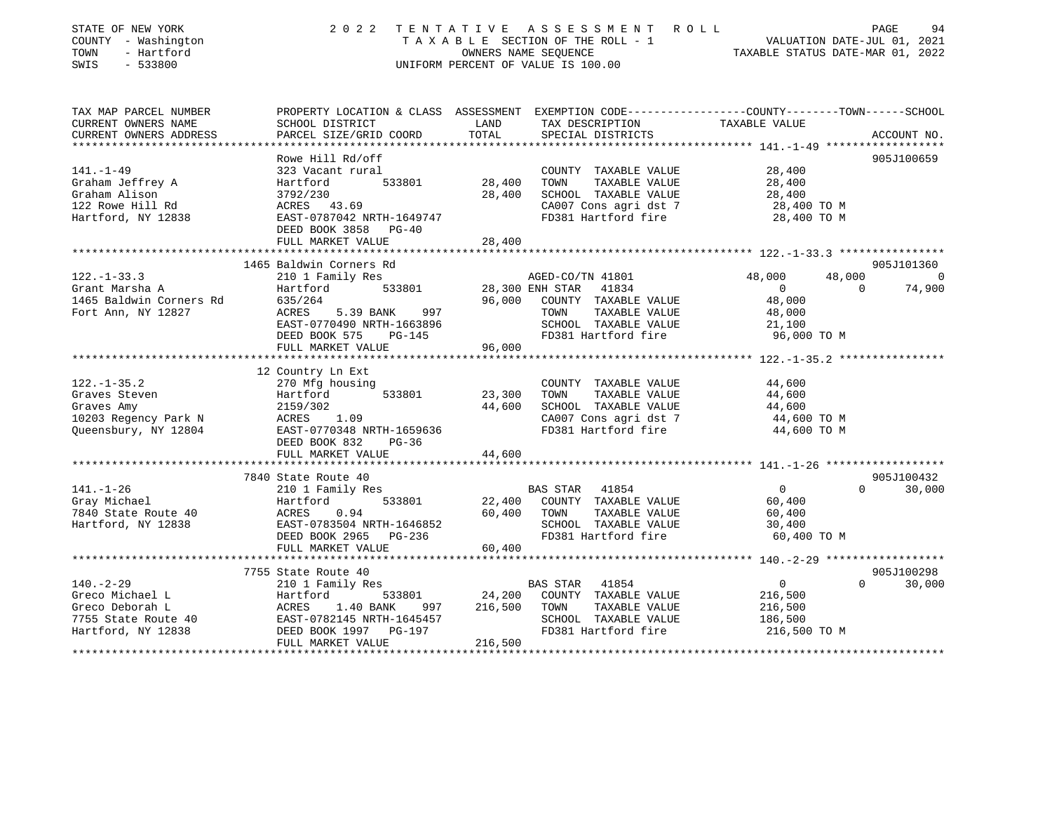| STATE OF NEW YORK<br>COUNTY - Washington<br>TOWN<br>- Hartford<br>SWIS<br>$-533800$ | 2 0 2 2                                                                                         | OWNERS NAME SEQUENCE | TENTATIVE ASSESSMENT ROLL<br>TAXABLE SECTION OF THE ROLL - 1<br>UNIFORM PERCENT OF VALUE IS 100.00 | VALUATION DATE-JUL 01, 2021<br>TAXABLE STATUS DATE-MAR 01, 2022 | PAGE               | 94                           |
|-------------------------------------------------------------------------------------|-------------------------------------------------------------------------------------------------|----------------------|----------------------------------------------------------------------------------------------------|-----------------------------------------------------------------|--------------------|------------------------------|
| TAX MAP PARCEL NUMBER<br>CURRENT OWNERS NAME                                        | PROPERTY LOCATION & CLASS ASSESSMENT EXEMPTION CODE---------------COUNTY-------TOWN------SCHOOL | LAND                 |                                                                                                    | TAXABLE VALUE                                                   |                    |                              |
| CURRENT OWNERS ADDRESS                                                              | SCHOOL DISTRICT<br>PARCEL SIZE/GRID COORD                                                       | TOTAL                | TAX DESCRIPTION<br>SPECIAL DISTRICTS                                                               |                                                                 |                    | ACCOUNT NO.                  |
|                                                                                     |                                                                                                 |                      |                                                                                                    |                                                                 |                    |                              |
|                                                                                     | Rowe Hill Rd/off                                                                                |                      |                                                                                                    |                                                                 |                    | 905J100659                   |
| $141. - 1 - 49$                                                                     | 323 Vacant rural                                                                                |                      | COUNTY TAXABLE VALUE                                                                               | 28,400                                                          |                    |                              |
| Graham Jeffrey A                                                                    | 533801<br>Hartford                                                                              | 28,400               | TAXABLE VALUE<br>TOWN                                                                              | 28,400                                                          |                    |                              |
| Graham Alison                                                                       | 3792/230                                                                                        | 28,400               | SCHOOL TAXABLE VALUE                                                                               | 28,400                                                          |                    |                              |
| 122 Rowe Hill Rd                                                                    | ACRES 43.69                                                                                     |                      | CA007 Cons agri dst 7                                                                              | 28,400 TO M                                                     |                    |                              |
| Hartford, NY 12838                                                                  | EAST-0787042 NRTH-1649747                                                                       |                      | FD381 Hartford fire                                                                                | 28,400 TO M                                                     |                    |                              |
|                                                                                     | DEED BOOK 3858 PG-40                                                                            |                      |                                                                                                    |                                                                 |                    |                              |
|                                                                                     | FULL MARKET VALUE                                                                               | 28,400               |                                                                                                    |                                                                 |                    |                              |
|                                                                                     |                                                                                                 |                      |                                                                                                    |                                                                 |                    |                              |
|                                                                                     | 1465 Baldwin Corners Rd                                                                         |                      |                                                                                                    |                                                                 |                    | 905J101360<br>$\overline{0}$ |
| $122. - 1 - 33.3$<br>Grant Marsha A                                                 | 210 1 Family Res<br>533801                                                                      |                      | AGED-CO/TN 41801<br>28,300 ENH STAR<br>41834                                                       | 48,000<br>$\overline{0}$                                        | 48,000<br>$\Omega$ | 74,900                       |
| 1465 Baldwin Corners Rd                                                             | Hartford<br>635/264                                                                             | 96,000               | COUNTY TAXABLE VALUE                                                                               | 48,000                                                          |                    |                              |
| Fort Ann, NY 12827                                                                  | 997<br>ACRES<br>5.39 BANK                                                                       |                      | TAXABLE VALUE<br>TOWN                                                                              | 48,000                                                          |                    |                              |
|                                                                                     | EAST-0770490 NRTH-1663896                                                                       |                      | SCHOOL TAXABLE VALUE                                                                               | 21,100                                                          |                    |                              |
|                                                                                     | DEED BOOK 575<br><b>PG-145</b>                                                                  |                      | FD381 Hartford fire                                                                                | 96,000 TO M                                                     |                    |                              |
|                                                                                     | FULL MARKET VALUE                                                                               | 96,000               |                                                                                                    |                                                                 |                    |                              |
|                                                                                     |                                                                                                 |                      |                                                                                                    |                                                                 |                    |                              |
|                                                                                     | 12 Country Ln Ext                                                                               |                      |                                                                                                    |                                                                 |                    |                              |
| $122. - 1 - 35.2$                                                                   | 270 Mfg housing                                                                                 |                      | COUNTY TAXABLE VALUE                                                                               | 44,600                                                          |                    |                              |
| Graves Steven                                                                       | 533801<br>Hartford                                                                              | 23,300               | TOWN<br>TAXABLE VALUE                                                                              | 44,600                                                          |                    |                              |
| Graves Amy                                                                          | 2159/302                                                                                        | 44,600               | SCHOOL TAXABLE VALUE                                                                               | 44,600                                                          |                    |                              |
| 10203 Regency Park N                                                                | 1.09<br>ACRES                                                                                   |                      | CA007 Cons agri dst 7                                                                              | 44,600 TO M                                                     |                    |                              |
| Queensbury, NY 12804                                                                | EAST-0770348 NRTH-1659636                                                                       |                      | FD381 Hartford fire                                                                                | 44,600 TO M                                                     |                    |                              |
|                                                                                     | DEED BOOK 832<br>PG-36<br>FULL MARKET VALUE                                                     | 44,600               |                                                                                                    |                                                                 |                    |                              |
|                                                                                     |                                                                                                 |                      |                                                                                                    |                                                                 |                    |                              |
|                                                                                     | 7840 State Route 40                                                                             |                      |                                                                                                    |                                                                 |                    | 905J100432                   |
| $141. - 1 - 26$                                                                     | 210 1 Family Res                                                                                |                      | BAS STAR<br>41854                                                                                  | $\overline{0}$                                                  | $\Omega$           | 30,000                       |
| Gray Michael                                                                        | 533801<br>Hartford                                                                              | 22,400               | COUNTY TAXABLE VALUE                                                                               | 60,400                                                          |                    |                              |
| 7840 State Route 40                                                                 | 0.94<br>ACRES                                                                                   | 60,400               | TOWN<br>TAXABLE VALUE                                                                              | 60,400                                                          |                    |                              |
| Hartford, NY 12838                                                                  | EAST-0783504 NRTH-1646852                                                                       |                      | SCHOOL TAXABLE VALUE                                                                               | 30,400                                                          |                    |                              |
|                                                                                     | DEED BOOK 2965 PG-236                                                                           |                      | FD381 Hartford fire                                                                                | 60,400 TO M                                                     |                    |                              |
|                                                                                     | FULL MARKET VALUE                                                                               | 60,400               |                                                                                                    |                                                                 |                    |                              |
|                                                                                     |                                                                                                 |                      |                                                                                                    |                                                                 |                    |                              |
|                                                                                     | 7755 State Route 40                                                                             |                      |                                                                                                    |                                                                 |                    | 905J100298                   |
| $140. -2 - 29$                                                                      | 210 1 Family Res                                                                                |                      | <b>BAS STAR</b><br>41854                                                                           | $\mathbf{0}$                                                    | $\Omega$           | 30,000                       |
| Greco Michael L                                                                     | Hartford<br>533801                                                                              | 24,200               | COUNTY TAXABLE VALUE                                                                               | 216,500                                                         |                    |                              |
| Greco Deborah L                                                                     | ACRES<br>1.40 BANK<br>997                                                                       | 216,500              | TOWN<br>TAXABLE VALUE                                                                              | 216,500                                                         |                    |                              |
| 7755 State Route 40<br>Hartford, NY 12838                                           | EAST-0782145 NRTH-1645457<br>DEED BOOK 1997 PG-197                                              |                      | SCHOOL TAXABLE VALUE<br>FD381 Hartford fire                                                        | 186,500<br>216,500 TO M                                         |                    |                              |
|                                                                                     | FULL MARKET VALUE                                                                               | 216,500              |                                                                                                    |                                                                 |                    |                              |
|                                                                                     |                                                                                                 |                      |                                                                                                    |                                                                 |                    |                              |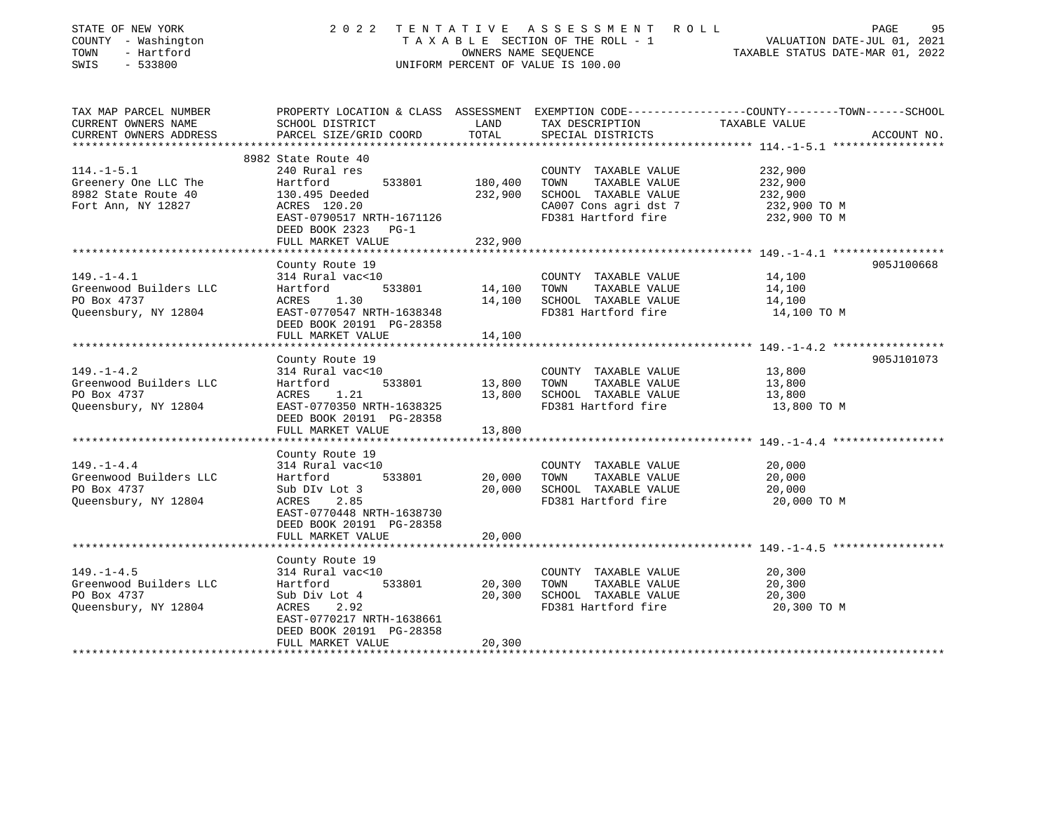| STATE OF NEW YORK<br>COUNTY - Washington<br>TOWN<br>- Hartford<br>SWIS<br>$-533800$ | ASSESSMENT<br>2 0 2 2<br>TENTATIVE<br>ROLL<br>TAXABLE SECTION OF THE ROLL - 1<br>OWNERS NAME SEQUENCE<br>UNIFORM PERCENT OF VALUE IS 100.00                               |                              |                                                                                                                       | PAGE<br>95<br>VALUATION DATE-JUL 01, 2021<br>TAXABLE STATUS DATE-MAR 01, 2022                                                    |  |
|-------------------------------------------------------------------------------------|---------------------------------------------------------------------------------------------------------------------------------------------------------------------------|------------------------------|-----------------------------------------------------------------------------------------------------------------------|----------------------------------------------------------------------------------------------------------------------------------|--|
| TAX MAP PARCEL NUMBER<br>CURRENT OWNERS NAME<br>CURRENT OWNERS ADDRESS              | SCHOOL DISTRICT<br>PARCEL SIZE/GRID COORD                                                                                                                                 | LAND<br>TOTAL                | TAX DESCRIPTION<br>SPECIAL DISTRICTS                                                                                  | PROPERTY LOCATION & CLASS ASSESSMENT EXEMPTION CODE----------------COUNTY-------TOWN------SCHOOL<br>TAXABLE VALUE<br>ACCOUNT NO. |  |
|                                                                                     |                                                                                                                                                                           |                              |                                                                                                                       |                                                                                                                                  |  |
| $114.-1-5.1$<br>Greenery One LLC The<br>8982 State Route 40<br>Fort Ann, NY 12827   | 8982 State Route 40<br>240 Rural res<br>Hartford<br>533801<br>130.495 Deeded<br>ACRES 120.20<br>EAST-0790517 NRTH-1671126<br>DEED BOOK 2323<br>$PG-1$                     | 180,400<br>232,900           | COUNTY TAXABLE VALUE<br>TOWN<br>TAXABLE VALUE<br>SCHOOL TAXABLE VALUE<br>CA007 Cons agri dst 7<br>FD381 Hartford fire | 232,900<br>232,900<br>232,900<br>232,900 TO M<br>232,900 TO M                                                                    |  |
|                                                                                     | FULL MARKET VALUE                                                                                                                                                         | 232,900                      |                                                                                                                       |                                                                                                                                  |  |
| $149. - 1 - 4.1$<br>Greenwood Builders LLC<br>PO Box 4737<br>Queensbury, NY 12804   | ****************<br>County Route 19<br>314 Rural vac<10<br>Hartford<br>533801<br>ACRES<br>1.30<br>EAST-0770547 NRTH-1638348<br>DEED BOOK 20191 PG-28358                   | ********<br>14,100<br>14,100 | COUNTY TAXABLE VALUE<br>TAXABLE VALUE<br>TOWN<br>SCHOOL TAXABLE VALUE<br>FD381 Hartford fire                          | ****************** 149. -1-4.1 ******************<br>905J100668<br>14,100<br>14,100<br>14,100<br>14,100 TO M                     |  |
|                                                                                     | FULL MARKET VALUE<br>********************                                                                                                                                 | 14,100                       |                                                                                                                       |                                                                                                                                  |  |
| $149. - 1 - 4.2$<br>Greenwood Builders LLC<br>PO Box 4737<br>Queensbury, NY 12804   | County Route 19<br>314 Rural vac<10<br>Hartford<br>533801<br>1.21<br>ACRES<br>EAST-0770350 NRTH-1638325<br>DEED BOOK 20191 PG-28358                                       | 13,800<br>13,800             | COUNTY TAXABLE VALUE<br>TAXABLE VALUE<br>TOWN<br>SCHOOL TAXABLE VALUE<br>FD381 Hartford fire                          | 905J101073<br>13,800<br>13,800<br>13,800<br>13,800 TO M                                                                          |  |
|                                                                                     | FULL MARKET VALUE<br>*********************                                                                                                                                | 13,800<br>*********          |                                                                                                                       |                                                                                                                                  |  |
| $149. - 1 - 4.4$<br>Greenwood Builders LLC<br>PO Box 4737<br>Queensbury, NY 12804   | County Route 19<br>314 Rural vac<10<br>533801<br>Hartford<br>Sub DIv Lot 3<br>ACRES<br>2.85<br>EAST-0770448 NRTH-1638730<br>DEED BOOK 20191 PG-28358<br>FULL MARKET VALUE | 20,000<br>20,000<br>20,000   | COUNTY TAXABLE VALUE<br>TOWN<br>TAXABLE VALUE<br>SCHOOL TAXABLE VALUE<br>FD381 Hartford fire                          | ************************************ 149.-1-4.4 ******************<br>20,000<br>20,000<br>20,000<br>20,000 TO M                  |  |
|                                                                                     | ******************                                                                                                                                                        | * * * * * * * * * * * *      |                                                                                                                       |                                                                                                                                  |  |
| $149. - 1 - 4.5$<br>Greenwood Builders LLC<br>PO Box 4737<br>Queensbury, NY 12804   | County Route 19<br>314 Rural vac<10<br>Hartford<br>533801<br>Sub Div Lot 4<br>2.92<br>ACRES<br>EAST-0770217 NRTH-1638661<br>DEED BOOK 20191 PG-28358<br>FULL MARKET VALUE | 20,300<br>20,300<br>20,300   | COUNTY TAXABLE VALUE<br>TOWN<br>TAXABLE VALUE<br>SCHOOL TAXABLE VALUE<br>FD381 Hartford fire                          | 20,300<br>20,300<br>20,300<br>20,300 TO M                                                                                        |  |
| * * * * * * * * * * * * * * * * * * *                                               |                                                                                                                                                                           |                              |                                                                                                                       |                                                                                                                                  |  |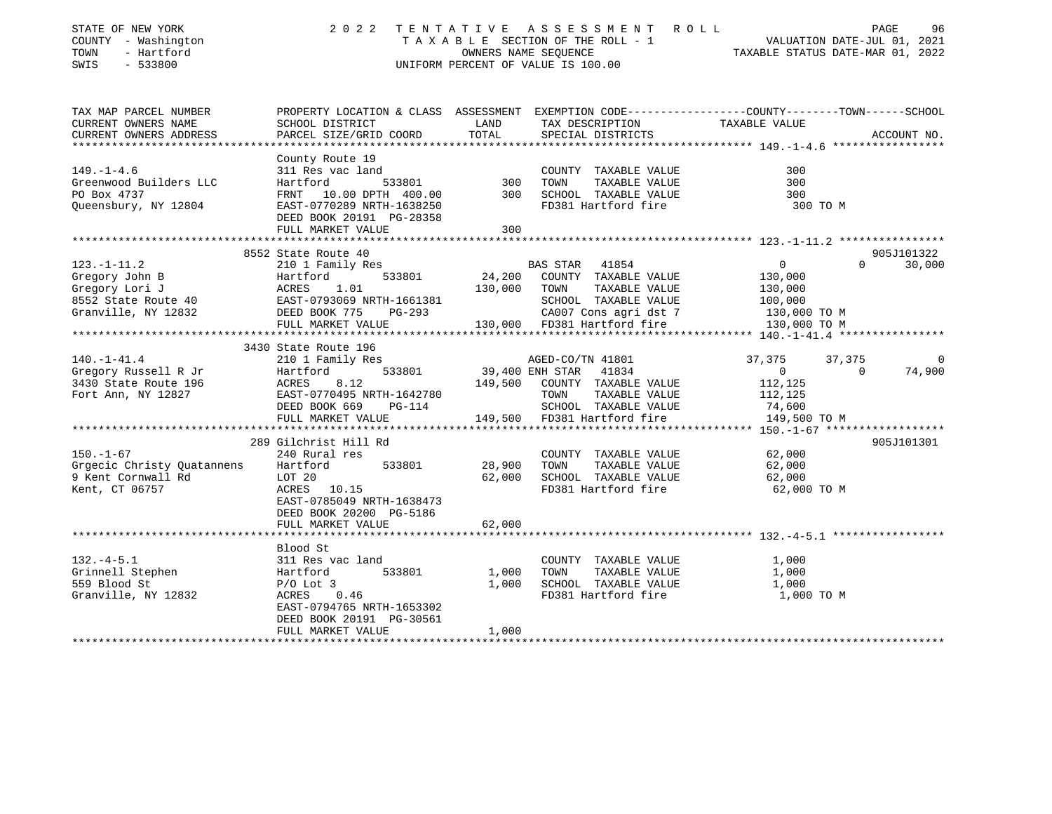| STATE OF NEW YORK<br>COUNTY - Washington<br>TOWN<br>- Hartford<br>SWIS<br>$-533800$                 | 2 0 2 2                                                                                                                                                           | TENTATIVE<br>OWNERS NAME SEQUENCE | A S S E S S M E N T<br>R O L L<br>TAXABLE SECTION OF THE ROLL - 1<br>UNIFORM PERCENT OF VALUE IS 100.00                                   | PAGE<br>96<br>VALUATION DATE-JUL 01, 2021<br>TAXABLE STATUS DATE-MAR 01, 2022                                                   |
|-----------------------------------------------------------------------------------------------------|-------------------------------------------------------------------------------------------------------------------------------------------------------------------|-----------------------------------|-------------------------------------------------------------------------------------------------------------------------------------------|---------------------------------------------------------------------------------------------------------------------------------|
| TAX MAP PARCEL NUMBER<br>CURRENT OWNERS NAME<br>CURRENT OWNERS ADDRESS<br>***********************   | SCHOOL DISTRICT<br>PARCEL SIZE/GRID COORD                                                                                                                         | LAND<br>TOTAL                     | TAX DESCRIPTION<br>SPECIAL DISTRICTS                                                                                                      | PROPERTY LOCATION & CLASS ASSESSMENT EXEMPTION CODE---------------COUNTY-------TOWN------SCHOOL<br>TAXABLE VALUE<br>ACCOUNT NO. |
| $149. - 1 - 4.6$<br>Greenwood Builders LLC<br>PO Box 4737<br>Queensbury, NY 12804                   | County Route 19<br>311 Res vac land<br>533801<br>Hartford<br>FRNT 10.00 DPTH 400.00<br>EAST-0770289 NRTH-1638250<br>DEED BOOK 20191 PG-28358<br>FULL MARKET VALUE | 300<br>300<br>300                 | COUNTY TAXABLE VALUE<br>TOWN<br>TAXABLE VALUE<br>SCHOOL TAXABLE VALUE<br>FD381 Hartford fire                                              | 300<br>300<br>300<br>300 TO M                                                                                                   |
|                                                                                                     |                                                                                                                                                                   |                                   |                                                                                                                                           |                                                                                                                                 |
| $123. - 1 - 11.2$<br>Gregory John B<br>Gregory Lori J<br>8552 State Route 40<br>Granville, NY 12832 | 8552 State Route 40<br>210 1 Family Res<br>Hartford<br>533801<br>1.01<br>ACRES<br>EAST-0793069 NRTH-1661381<br>DEED BOOK 775<br>$PG-293$                          | 24,200<br>130,000                 | BAS STAR 41854<br>COUNTY TAXABLE VALUE<br>TAXABLE VALUE<br>TOWN<br>SCHOOL TAXABLE VALUE<br>CA007 Cons agri dst 7                          | 905J101322<br>30,000<br>$\circ$<br>$\Omega$<br>130,000<br>130,000<br>100,000<br>130,000 TO M                                    |
|                                                                                                     | FULL MARKET VALUE                                                                                                                                                 |                                   | 130,000 FD381 Hartford fire                                                                                                               | 130,000 TO M                                                                                                                    |
| $140. - 1 - 41.4$<br>Gregory Russell R Jr<br>3430 State Route 196<br>Fort Ann, NY 12827             | 3430 State Route 196<br>210 1 Family Res<br>533801<br>Hartford<br>ACRES<br>8.12<br>EAST-0770495 NRTH-1642780<br>DEED BOOK 669<br>PG-114<br>FULL MARKET VALUE      | 149,500<br>149,500                | AGED-CO/TN 41801<br>39,400 ENH STAR 41834<br>COUNTY TAXABLE VALUE<br>TOWN<br>TAXABLE VALUE<br>SCHOOL TAXABLE VALUE<br>FD381 Hartford fire | 37,375<br>37,375<br>0<br>74,900<br>$\mathbf 0$<br>$\Omega$<br>112,125<br>112,125<br>74,600<br>149,500 TO M                      |
|                                                                                                     | 289 Gilchrist Hill Rd                                                                                                                                             |                                   |                                                                                                                                           | 905J101301                                                                                                                      |
| $150. - 1 - 67$<br>Grgecic Christy Ouatannens<br>9 Kent Cornwall Rd<br>Kent, CT 06757               | 240 Rural res<br>Hartford<br>533801<br>LOT 20<br>ACRES<br>10.15<br>EAST-0785049 NRTH-1638473<br>DEED BOOK 20200 PG-5186<br>FULL MARKET VALUE                      | 28,900<br>62,000<br>62,000        | COUNTY TAXABLE VALUE<br>TAXABLE VALUE<br>TOWN<br>SCHOOL TAXABLE VALUE<br>FD381 Hartford fire                                              | 62,000<br>62,000<br>62,000<br>62,000 TO M                                                                                       |
|                                                                                                     |                                                                                                                                                                   |                                   |                                                                                                                                           |                                                                                                                                 |
| $132. -4 - 5.1$<br>Grinnell Stephen<br>559 Blood St<br>Granville, NY 12832                          | Blood St<br>311 Res vac land<br>533801<br>Hartford<br>$P/O$ Lot 3<br>ACRES<br>0.46<br>EAST-0794765 NRTH-1653302<br>DEED BOOK 20191 PG-30561<br>FULL MARKET VALUE  | 1,000<br>1,000<br>1,000           | COUNTY TAXABLE VALUE<br>TOWN<br>TAXABLE VALUE<br>SCHOOL TAXABLE VALUE<br>FD381 Hartford fire                                              | 1,000<br>1,000<br>1,000<br>1,000 TO M                                                                                           |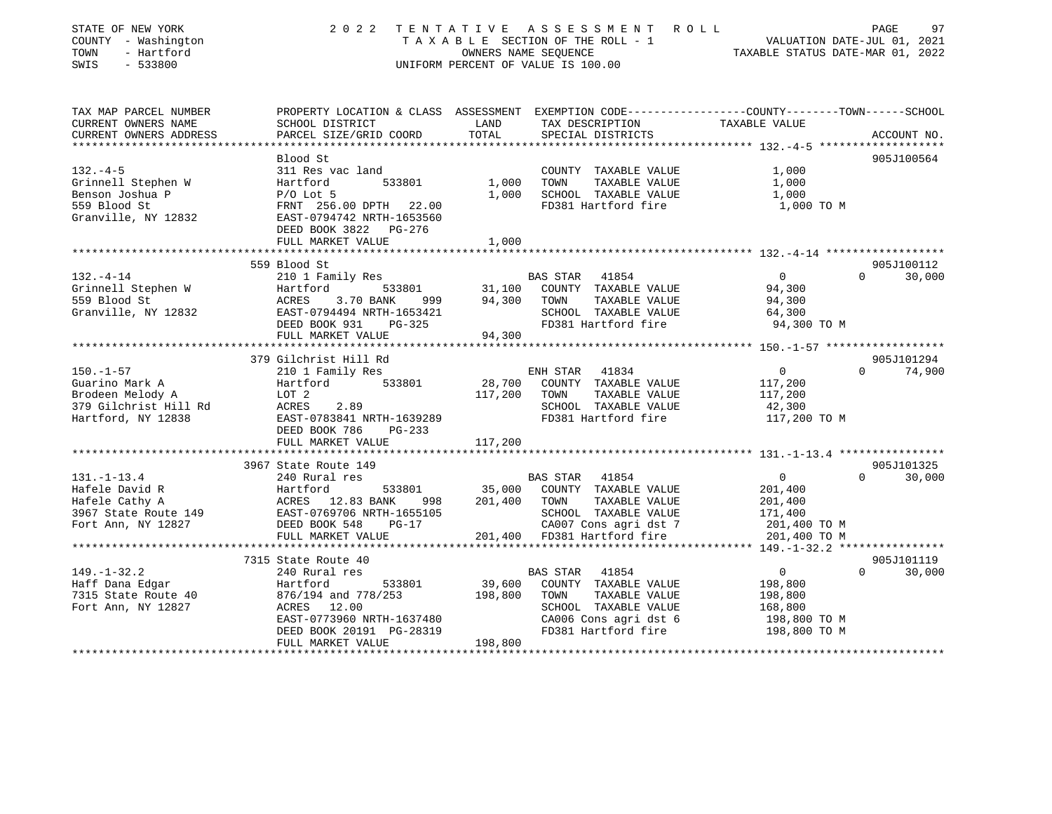| STATE OF NEW YORK<br>COUNTY - Washington<br>- Hartford<br>TOWN<br>SWIS<br>$-533800$ | 2 0 2 2                                                                                        | OWNERS NAME SEQUENCE | TENTATIVE ASSESSMENT ROLL<br>TAXABLE SECTION OF THE ROLL - 1<br>UNIFORM PERCENT OF VALUE IS 100.00         | 1 VALUATION DATE-JUL 01, 2021<br>TAXABLE STATUS DATE-MAR 01, 2022 | 97<br>PAGE         |
|-------------------------------------------------------------------------------------|------------------------------------------------------------------------------------------------|----------------------|------------------------------------------------------------------------------------------------------------|-------------------------------------------------------------------|--------------------|
| TAX MAP PARCEL NUMBER                                                               | PROPERTY LOCATION & CLASS ASSESSMENT EXEMPTION CODE---------------COUNTY-------TOWN-----SCHOOL |                      |                                                                                                            |                                                                   |                    |
| CURRENT OWNERS NAME<br>CURRENT OWNERS ADDRESS                                       | SCHOOL DISTRICT<br>PARCEL SIZE/GRID COORD                                                      | LAND<br>TOTAL        | TAX DESCRIPTION TAXABLE VALUE<br>SPECIAL DISTRICTS                                                         |                                                                   | ACCOUNT NO.        |
|                                                                                     |                                                                                                |                      |                                                                                                            |                                                                   |                    |
|                                                                                     | Blood St                                                                                       |                      |                                                                                                            |                                                                   | 905J100564         |
| $132 - 4 - 5$                                                                       | 311 Res vac land                                                                               |                      | COUNTY TAXABLE VALUE                                                                                       | 1,000                                                             |                    |
| Grinnell Stephen W                                                                  | Hartford<br>533801<br>$P/O$ Lot 5                                                              | 1,000 TOWN           | TAXABLE VALUE                                                                                              | 1,000                                                             |                    |
| Benson Joshua P<br>559 Blood St                                                     | FRNT 256.00 DPTH 22.00                                                                         |                      | 1,000 SCHOOL TAXABLE VALUE<br>FD381 Hartford fire                                                          | 1,000<br>1,000 TO M                                               |                    |
| Granville, NY 12832                                                                 | EAST-0794742 NRTH-1653560<br>DEED BOOK 3822 PG-276                                             |                      |                                                                                                            |                                                                   |                    |
|                                                                                     | FULL MARKET VALUE                                                                              | 1,000                |                                                                                                            |                                                                   |                    |
|                                                                                     |                                                                                                |                      |                                                                                                            |                                                                   |                    |
|                                                                                     | 559 Blood St                                                                                   |                      |                                                                                                            |                                                                   | 905J100112         |
| $132. - 4 - 14$                                                                     | 210 1 Family Res                                                                               |                      | 9 11,100 BAS STAR 41854<br>1933801 31,100 COUNTY TAXABLE VALUE 94,300<br>494,300 TOWN TAXABLE VALUE 94,300 |                                                                   | $\Omega$<br>30,000 |
| Grinnell Stephen W Hartford Hartford Blood St                                       | Hartford<br>3.70 BANK                                                                          |                      |                                                                                                            |                                                                   |                    |
| Granville, NY 12832                                                                 | EAST-0794494 NRTH-1653421                                                                      |                      | SCHOOL TAXABLE VALUE                                                                                       | 64,300                                                            |                    |
|                                                                                     | DEED BOOK 931 PG-325                                                                           |                      | FD381 Hartford fire                                                                                        | 94,300 TO M                                                       |                    |
|                                                                                     | FULL MARKET VALUE                                                                              | 94,300               |                                                                                                            |                                                                   |                    |
|                                                                                     |                                                                                                |                      |                                                                                                            |                                                                   |                    |
|                                                                                     | 379 Gilchrist Hill Rd                                                                          |                      |                                                                                                            |                                                                   | 905J101294         |
| 150.-1-57 210 1 Family Res<br>Guarino Mark A Hartford 53                            |                                                                                                |                      | ENH STAR 41834                                                                                             | $\overline{0}$                                                    | $\Omega$<br>74,900 |
|                                                                                     |                                                                                                |                      | $\frac{1}{28,700}$ COUNTY TAXABLE VALUE 200                                                                |                                                                   |                    |
| Brodeen Melody A LOT 2<br>379 Gilchrist Hill Rd ACRES                               |                                                                                                | 117,200 TOWN         | TAXABLE VALUE                                                                                              | $117,200$<br>$42,300$                                             |                    |
|                                                                                     | 2.89<br>EAST-0783841 NRTH-1639289                                                              |                      | SCHOOL TAXABLE VALUE                                                                                       |                                                                   |                    |
| Hartford, NY 12838                                                                  | DEED BOOK 786 PG-233                                                                           |                      | FD381 Hartford fire 117,200 TO M                                                                           |                                                                   |                    |
|                                                                                     | FULL MARKET VALUE                                                                              | 117,200              |                                                                                                            |                                                                   |                    |
|                                                                                     |                                                                                                |                      |                                                                                                            |                                                                   |                    |
|                                                                                     | 3967 State Route 149                                                                           |                      |                                                                                                            |                                                                   | 905J101325         |
| $131. - 1 - 13.4$                                                                   | 240 Rural res                                                                                  |                      | BAS STAR 41854                                                                                             | $\overline{0}$                                                    | 30,000<br>$\Omega$ |
|                                                                                     |                                                                                                |                      | 533801 35,000 COUNTY TAXABLE VALUE                                                                         | 201,400                                                           |                    |
|                                                                                     | 998                                                                                            | 201,400 TOWN         | TAXABLE VALUE                                                                                              | 201,400                                                           |                    |
|                                                                                     |                                                                                                |                      | SCHOOL TAXABLE VALUE<br>CA007 Cons agri dst 7                                                              | 171,400                                                           |                    |
|                                                                                     |                                                                                                |                      |                                                                                                            | 201,400 TO M                                                      |                    |
|                                                                                     | FULL MARKET VALUE                                                                              |                      | 201,400 FD381 Hartford fire                                                                                | 201,400 TO M                                                      |                    |
|                                                                                     | 7315 State Route 40                                                                            |                      |                                                                                                            |                                                                   | 905J101119         |
| $149. - 1 - 32.2$                                                                   | state Route 40<br>240 Rural res                                                                |                      | BAS STAR 41854                                                                                             | $\overline{0}$                                                    | $\Omega$<br>30,000 |
| Haff Dana Edgar                                                                     | 533801<br>Hartford                                                                             |                      | 39,600 COUNTY TAXABLE VALUE                                                                                | 198,800                                                           |                    |

|                      | FULL MARKET VALUE         | 117,200                           |              |            |
|----------------------|---------------------------|-----------------------------------|--------------|------------|
|                      |                           |                                   |              |            |
|                      | 3967 State Route 149      |                                   |              | 905J101325 |
| 131.-1-13.4          | 240 Rural res             | 41854<br>BAS STAR                 | $\Omega$     | 30,000     |
| Hafele David R       | Hartford<br>533801        | 35,000<br>COUNTY<br>TAXABLE VALUE | 201,400      |            |
| Hafele Cathy A       | ACRES 12.83 BANK<br>998   | 201,400<br>TOWN<br>TAXABLE VALUE  | 201,400      |            |
| 3967 State Route 149 | EAST-0769706 NRTH-1655105 | SCHOOL<br>TAXABLE VALUE           | 171,400      |            |
| Fort Ann, NY 12827   | DEED BOOK 548<br>$PG-17$  | CA007 Cons agri dst 7             | 201,400 TO M |            |
|                      | FULL MARKET VALUE         | 201,400<br>FD381 Hartford fire    | 201,400 TO M |            |
|                      |                           |                                   |              |            |
|                      | 7315 State Route 40       |                                   |              | 905J101119 |
| 149.–1–32.2          | 240 Rural res             | 41854<br>BAS STAR                 |              | 30,000     |
| Haff Dana Edgar      | 533801<br>Hartford        | 39,600<br>COUNTY<br>TAXABLE VALUE | 198,800      |            |
| 7315 State Route 40  | 876/194 and 778/253       | 198,800<br>TOWN<br>TAXABLE VALUE  | 198,800      |            |
| Fort Ann, NY 12827   | ACRES 12.00               | SCHOOL<br>TAXABLE VALUE           | 168,800      |            |
|                      | EAST-0773960 NRTH-1637480 | CA006 Cons agri dst 6             | 198,800 TO M |            |
|                      | DEED BOOK 20191 PG-28319  | FD381 Hartford fire               | 198,800 TO M |            |
|                      | FULL MARKET VALUE         | 198,800                           |              |            |
|                      |                           |                                   |              |            |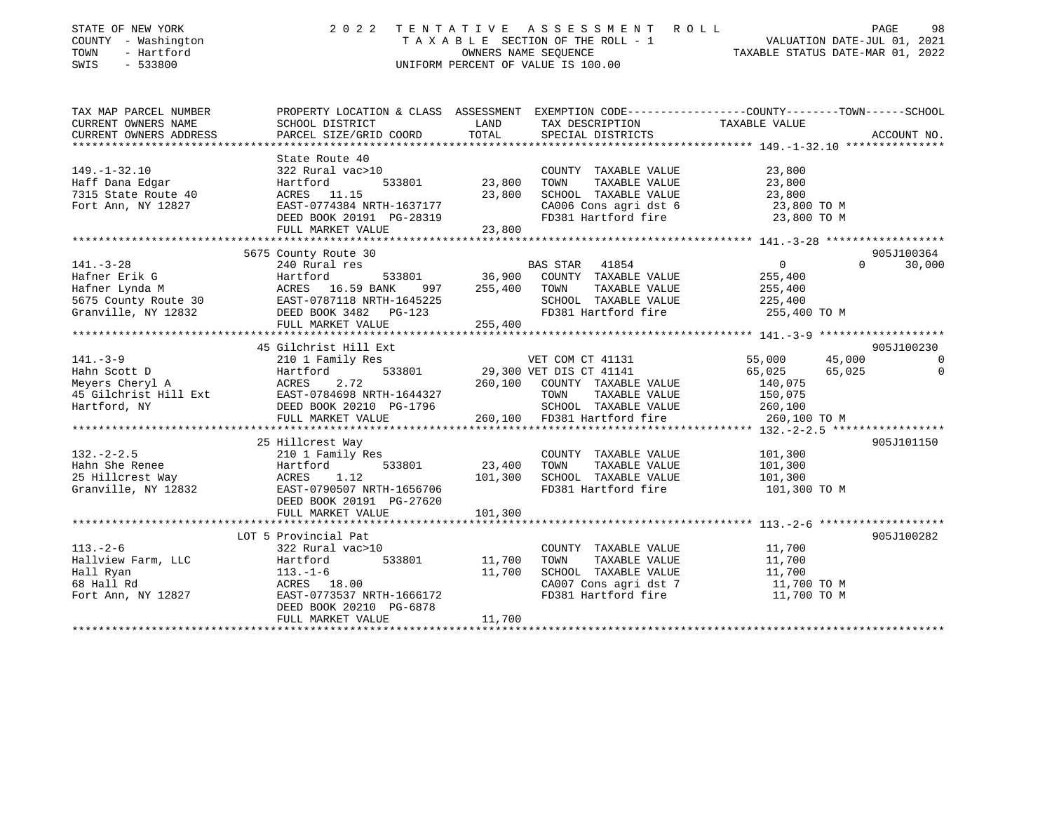| STATE OF NEW YORK<br>COUNTY - Washington<br>TOWN<br>- Hartford<br>SWIS<br>$-533800$                                         |                                                                                                                                                                                          |                              | 2022 TENTATIVE ASSESSMENT ROLL<br>T A X A B L E SECTION OF THE ROLL - 1<br>OWNERS NAME SEQUENCE<br>TAXABLE STATUS DATE-MAR 01, 2022<br>UNIFORM PERCENT OF VALUE IS 100.00 |                                                                   | 98<br>PAGE                                      |
|-----------------------------------------------------------------------------------------------------------------------------|------------------------------------------------------------------------------------------------------------------------------------------------------------------------------------------|------------------------------|---------------------------------------------------------------------------------------------------------------------------------------------------------------------------|-------------------------------------------------------------------|-------------------------------------------------|
| TAX MAP PARCEL NUMBER<br>CURRENT OWNERS NAME<br>CURRENT OWNERS ADDRESS<br>***********************                           | PROPERTY LOCATION & CLASS ASSESSMENT EXEMPTION CODE----------------COUNTY-------TOWN------SCHOOL<br>SCHOOL DISTRICT<br>PARCEL SIZE/GRID COORD                                            | LAND<br>TOTAL                | TAX DESCRIPTION<br>SPECIAL DISTRICTS                                                                                                                                      | TAXABLE VALUE                                                     | ACCOUNT NO.                                     |
| $149. - 1 - 32.10$<br>Haff Dana Edgar<br>7315 State Route 40<br>Fort Ann, NY 12827                                          | State Route 40<br>322 Rural vac>10<br>,<br>533801<br>Hartford<br>ACRES 11.15<br>EAST-0774384 NRTH-1637177<br>DEED BOOK 20191 PG-28319<br>FULL MARKET VALUE                               | 23,800<br>23,800<br>23,800   | COUNTY TAXABLE VALUE<br>TAXABLE VALUE<br>TOWN<br>SCHOOL TAXABLE VALUE<br>CA006 Cons agri dst 6<br>FD381 Hartford fire                                                     | 23,800<br>23,800<br>23,800<br>23,800 TO M<br>23,800 TO M          |                                                 |
| $141. - 3 - 28$<br>Hafner Erik G<br>Hafner Lynda M<br>5675 County Route 30<br>Granville, NY 12832<br>********************** | 5675 County Route 30<br>240 Rural res<br>533801<br>Hartford<br>Hartford 533801<br>ACRES 16.59 BANK 997<br>EAST-0787118 NRTH-1645225<br>997<br>DEED BOOK 3482 PG-123<br>FULL MARKET VALUE | 255,400 TOWN<br>255,400      | BAS STAR 41854<br>36,900 COUNTY TAXABLE VALUE<br>TAXABLE VALUE<br>SCHOOL TAXABLE VALUE<br>FD381 Hartford fire                                                             | $\overline{0}$<br>255,400<br>255,400<br>225,400<br>255,400 TO M   | 905J100364<br>$\Omega$<br>30,000                |
| $141. - 3 - 9$<br>Hahn Scott D<br>Meyers Cheryl A<br>45 Gilchrist Hill Ext<br>Hartford, NY                                  | 45 Gilchrist Hill Ext<br>210 1 Family Res<br>Hartford<br>2.72<br>ACRES<br>EAST-0784698 NRTH-1644327<br>DEED BOOK 20210 PG-1796<br>FULL MARKET VALUE                                      | 260,100                      | VET COM CT 41131<br>533801 29,300 VET DIS CT 41141<br>260,100 COUNTY TAXABLE VALUE<br>TOWN<br>TAXABLE VALUE<br>SCHOOL TAXABLE VALUE<br>FD381 Hartford fire                | 55,000<br>65,025<br>140,075<br>150,075<br>260,100<br>260,100 TO M | 905J100230<br>45,000<br>$\Omega$<br>65,025<br>0 |
| $132. - 2 - 2.5$<br>Hahn She Renee<br>25 Hillcrest Way<br>Granville, NY 12832                                               | 25 Hillcrest Way<br>210 1 Family Res<br>Hartford<br>533801<br>ACRES 1.12<br>EAST-0790507 NRTH-1656706<br>DEED BOOK 20191 PG-27620<br>FULL MARKET VALUE                                   | 23,400<br>101,300<br>101,300 | COUNTY TAXABLE VALUE<br>TOWN<br>TAXABLE VALUE<br>SCHOOL TAXABLE VALUE<br>FD381 Hartford fire                                                                              | 101,300<br>101,300<br>101,300<br>101,300 TO M                     | 905J101150                                      |
| $113. - 2 - 6$<br>Hallview Farm, LLC<br>Hall Ryan<br>68 Hall Rd<br>Fort Ann, NY 12827                                       | LOT 5 Provincial Pat<br>322 Rural vac>10<br>533801<br>Hartford<br>113.-1-6<br>ACRES 18.00<br>EAST-0773537 NRTH-1666172<br>DEED BOOK 20210 PG-6878<br>FULL MARKET VALUE                   | 11,700<br>11,700<br>11,700   | COUNTY TAXABLE VALUE<br>TOWN<br>TAXABLE VALUE<br>SCHOOL TAXABLE VALUE<br>CA007 Cons agri dst 7<br>FD381 Hartford fire                                                     | 11,700<br>11,700<br>11,700<br>11,700 TO M<br>11,700 TO M          | 905J100282                                      |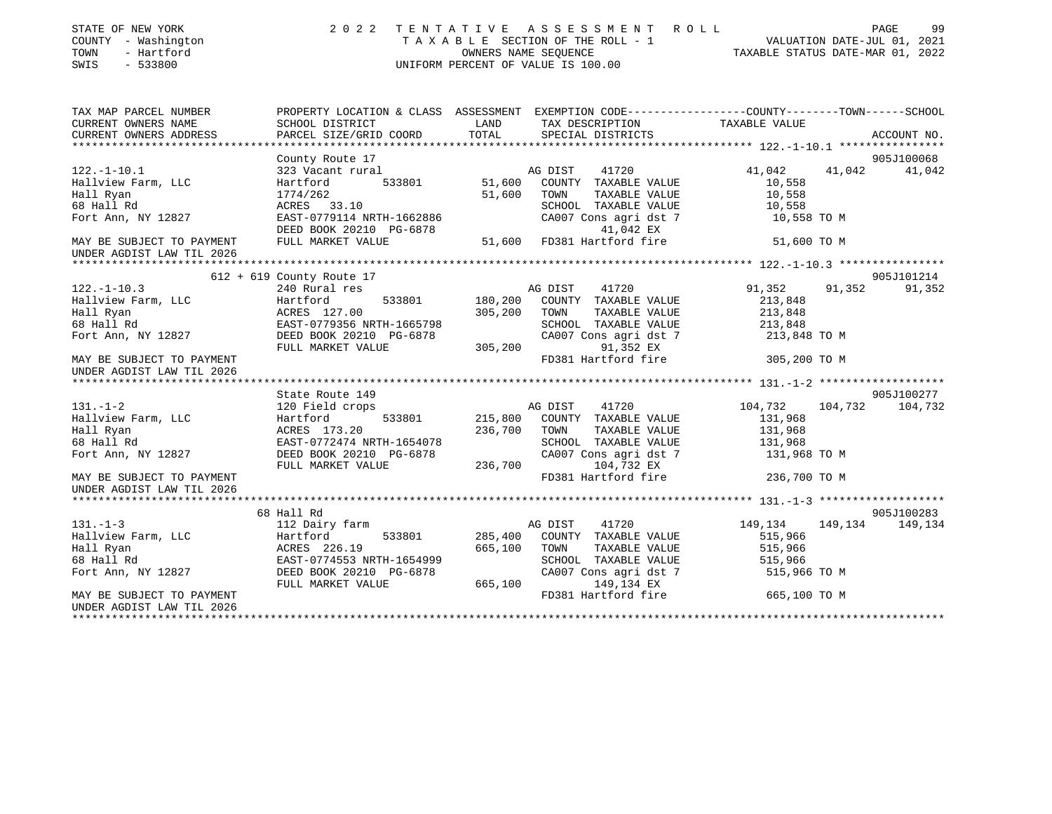| STATE OF NEW YORK<br>COUNTY - Washington<br>TOWN<br>- Hartford<br>SWIS<br>$-533800$ | PAGE 99<br>TAXABLE SECTION OF THE ROLL - 1<br>OWNERS NAME SEQUENCE TAXABLE STATUS DATE-MAR 01, 2022<br>UNIFORM PERCENT OF VALUE IS 100.00<br>2022 TENTATIVE |                   |                                                  |                         |                 |  |
|-------------------------------------------------------------------------------------|-------------------------------------------------------------------------------------------------------------------------------------------------------------|-------------------|--------------------------------------------------|-------------------------|-----------------|--|
| TAX MAP PARCEL NUMBER                                                               | PROPERTY LOCATION & CLASS ASSESSMENT EXEMPTION CODE---------------COUNTY-------TOWN-----SCHOOL                                                              |                   |                                                  |                         |                 |  |
| CURRENT OWNERS NAME                                                                 | SCHOOL DISTRICT                                                                                                                                             | LAND              | TAX DESCRIPTION                                  | TAXABLE VALUE           |                 |  |
| CURRENT OWNERS ADDRESS                                                              | PARCEL SIZE/GRID COORD                                                                                                                                      | TOTAL             | SPECIAL DISTRICTS                                |                         | ACCOUNT NO.     |  |
|                                                                                     | County Route 17                                                                                                                                             |                   |                                                  |                         | 905J100068      |  |
| $122. - 1 - 10.1$                                                                   | 323 Vacant rural<br>Hartford 533801 51,600 COUNTY TAXABLE VALUE                                                                                             |                   | 41720                                            | 41,042                  | 41,042 41,042   |  |
| Hallview Farm, LLC                                                                  |                                                                                                                                                             |                   |                                                  | 10,558                  |                 |  |
| Hall Ryan                                                                           | 1774/262                                                                                                                                                    | 51,600            | TOWN<br>TAXABLE VALUE                            | 10,558                  |                 |  |
| 68 Hall Rd                                                                          | ACRES 33.10                                                                                                                                                 |                   | SCHOOL TAXABLE VALUE                             | 10,558                  |                 |  |
| Fort Ann, NY 12827                                                                  | EAST-0779114 NRTH-1662886                                                                                                                                   |                   | CA007 Cons agri dst 7 10,558 TO M                |                         |                 |  |
|                                                                                     | DEED BOOK 20210 PG-6878                                                                                                                                     |                   | 41,042 EX                                        |                         |                 |  |
| MAY BE SUBJECT TO PAYMENT                                                           | FULL MARKET VALUE                                                                                                                                           |                   | 5.5<br>51,600 FD381 Hartford fire                | 51,600 TO M             |                 |  |
| UNDER AGDIST LAW TIL 2026                                                           |                                                                                                                                                             |                   |                                                  |                         |                 |  |
|                                                                                     | $612 + 619$ County Route 17                                                                                                                                 |                   |                                                  |                         | 905J101214      |  |
| $122. - 1 - 10.3$                                                                   | 240 Rural res                                                                                                                                               |                   | AG DIST<br>41720                                 | 91,352<br>91,352        | 91,352          |  |
|                                                                                     | 533801<br>Hartford                                                                                                                                          | 180,200           | COUNTY TAXABLE VALUE                             | 213,848                 |                 |  |
|                                                                                     | ACRES 127.00                                                                                                                                                | 305,200           | TOWN<br>TAXABLE VALUE                            | 213,848                 |                 |  |
|                                                                                     | EAST-0779356 NRTH-1665798                                                                                                                                   |                   | SCHOOL TAXABLE VALUE                             | 213,848                 |                 |  |
| 122.-1-10.3<br>Hallview Farm, LLC<br>Hall Ryan<br>68 Hall Rd<br>Fort Ann, NY 12827  | DEED BOOK 20210 PG-6878                                                                                                                                     |                   | CA007 Cons agri dst 7 213,848 TO M               |                         |                 |  |
|                                                                                     | FULL MARKET VALUE                                                                                                                                           | $305,200$ FD381 H | 91,352 EX                                        |                         |                 |  |
| MAY BE SUBJECT TO PAYMENT<br>UNDER AGDIST LAW TIL 2026                              |                                                                                                                                                             |                   | FD381 Hartford fire 305,200 TO M                 |                         |                 |  |
|                                                                                     |                                                                                                                                                             |                   |                                                  |                         |                 |  |
|                                                                                     | State Route 149                                                                                                                                             |                   |                                                  |                         | 905J100277      |  |
| $131. - 1 - 2$<br>Hallview Farm, LLC                                                | 120 Field crops<br>533801<br>Hartford                                                                                                                       |                   | AG DIST<br>41720<br>215,800 COUNTY TAXABLE VALUE | 104,732<br>131,968      | 104,732 104,732 |  |
| Hall Ryan                                                                           | ACRES 173.20                                                                                                                                                | 236,700           | TOWN<br>TAXABLE VALUE                            | 131,968                 |                 |  |
| 68 Hall Rd                                                                          | EAST-0772474 NRTH-1654078                                                                                                                                   |                   | SCHOOL TAXABLE VALUE                             | 131,968                 |                 |  |
| Fort Ann, NY 12827                                                                  |                                                                                                                                                             |                   | CA007 Cons agri dst 7                            | 131,968 TO M            |                 |  |
|                                                                                     | EASI-0772171 ------<br>DEED BOOK 20210 PG-6878 (CAU<br>FIILE 236,700 PRE                                                                                    |                   | 104,732 EX                                       |                         |                 |  |
| MAY BE SUBJECT TO PAYMENT<br>UNDER AGDIST LAW TIL 2026                              |                                                                                                                                                             |                   | FD381 Hartford fire                              | 236,700 TO M            |                 |  |
|                                                                                     |                                                                                                                                                             |                   |                                                  |                         |                 |  |
|                                                                                     | 68 Hall Rd                                                                                                                                                  |                   |                                                  |                         | 905J100283      |  |
| $131. -1-3$                                                                         | 112 Dairy farm                                                                                                                                              |                   | 41720<br>AG DIST                                 | 149,134 149,134 149,134 |                 |  |
|                                                                                     |                                                                                                                                                             | 285,400           | COUNTY TAXABLE VALUE                             | 515,966                 |                 |  |
|                                                                                     |                                                                                                                                                             | 665,100           | TOWN<br>TAXABLE VALUE                            | 515,966<br>515,966      |                 |  |
|                                                                                     |                                                                                                                                                             |                   | SCHOOL TAXABLE VALUE<br>CA007 Cons agri dst 7    | 515,966 TO M            |                 |  |
|                                                                                     |                                                                                                                                                             |                   | 665,100 149,134 EX                               |                         |                 |  |
| MAY BE SUBJECT TO PAYMENT                                                           |                                                                                                                                                             |                   | FD381 Hartford fire 665,100 TO M                 |                         |                 |  |
| UNDER AGDIST LAW TIL 2026                                                           |                                                                                                                                                             |                   |                                                  |                         |                 |  |
|                                                                                     |                                                                                                                                                             |                   |                                                  |                         |                 |  |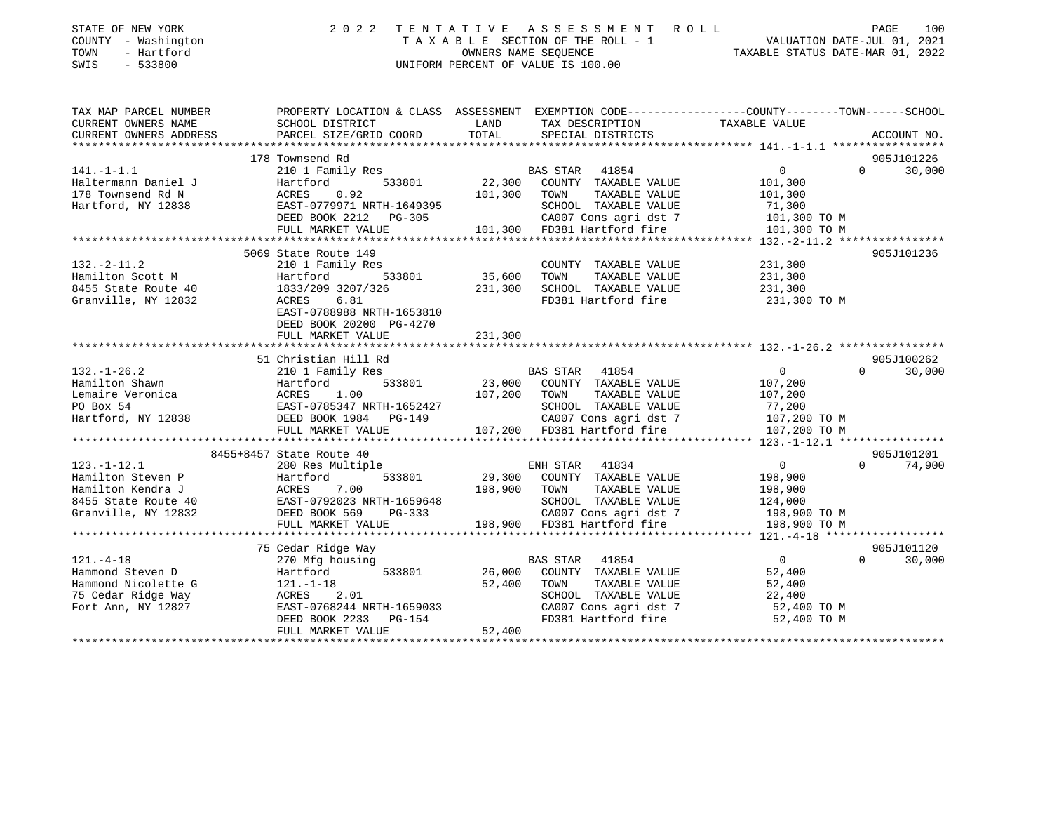| STATE OF NEW YORK<br>COUNTY - Washington<br>TOWN<br>- Hartford<br>SWIS<br>$-533800$ | 2 0 2 2                                                                                         | TENTATIVE<br>OWNERS NAME SEOUENCE | ASSESSMENT ROLL<br>TAXABLE SECTION OF THE ROLL - 1<br>UNIFORM PERCENT OF VALUE IS 100.00 | VALUATION DATE-JUL 01, 2021<br>TAXABLE STATUS DATE-MAR 01, 2022 | PAGE<br>100        |
|-------------------------------------------------------------------------------------|-------------------------------------------------------------------------------------------------|-----------------------------------|------------------------------------------------------------------------------------------|-----------------------------------------------------------------|--------------------|
| TAX MAP PARCEL NUMBER                                                               | PROPERTY LOCATION & CLASS ASSESSMENT EXEMPTION CODE---------------COUNTY-------TOWN------SCHOOL |                                   |                                                                                          |                                                                 |                    |
| CURRENT OWNERS NAME                                                                 | SCHOOL DISTRICT                                                                                 | LAND                              | TAX DESCRIPTION                                                                          | TAXABLE VALUE                                                   |                    |
| CURRENT OWNERS ADDRESS                                                              | PARCEL SIZE/GRID COORD                                                                          | TOTAL                             | SPECIAL DISTRICTS                                                                        |                                                                 | ACCOUNT NO.        |
|                                                                                     | 178 Townsend Rd                                                                                 |                                   |                                                                                          |                                                                 | 905J101226         |
| $141. - 1 - 1.1$                                                                    | 210 1 Family Res                                                                                |                                   | BAS STAR 41854                                                                           | $\mathbf 0$                                                     | $\Omega$<br>30,000 |
| Haltermann Daniel J                                                                 | 533801<br>Hartford                                                                              | 22,300                            | COUNTY TAXABLE VALUE                                                                     | 101,300                                                         |                    |
| 178 Townsend Rd N                                                                   | ACRES<br>0.92                                                                                   | 101,300                           | TOWN<br>TAXABLE VALUE                                                                    | 101,300                                                         |                    |
| Hartford, NY 12838                                                                  | EAST-0779971 NRTH-1649395                                                                       |                                   | SCHOOL TAXABLE VALUE                                                                     | 71,300                                                          |                    |
|                                                                                     | DEED BOOK 2212 PG-305                                                                           |                                   | CA007 Cons agri dst 7                                                                    | 101,300 TO M                                                    |                    |
|                                                                                     | FULL MARKET VALUE                                                                               |                                   | 101,300 FD381 Hartford fire                                                              | 101,300 TO M                                                    |                    |
|                                                                                     | 5069 State Route 149                                                                            |                                   |                                                                                          |                                                                 |                    |
| $132. - 2 - 11.2$                                                                   | 210 1 Family Res                                                                                |                                   | COUNTY TAXABLE VALUE                                                                     | 231,300                                                         | 905J101236         |
| Hamilton Scott M                                                                    | Hartford<br>533801                                                                              | 35,600                            | TAXABLE VALUE<br>TOWN                                                                    | 231,300                                                         |                    |
| 8455 State Route 40                                                                 | 1833/209 3207/326                                                                               | 231,300                           | SCHOOL TAXABLE VALUE                                                                     | 231,300                                                         |                    |
| Granville, NY 12832                                                                 | 6.81<br>ACRES                                                                                   |                                   | FD381 Hartford fire                                                                      | 231,300 TO M                                                    |                    |
|                                                                                     | EAST-0788988 NRTH-1653810<br>DEED BOOK 20200 PG-4270<br>FULL MARKET VALUE                       | 231,300                           |                                                                                          |                                                                 |                    |
|                                                                                     | *********************                                                                           | *********                         |                                                                                          | ************************ 132.-1-26.2 *****************          |                    |
|                                                                                     | 51 Christian Hill Rd                                                                            |                                   |                                                                                          |                                                                 | 905J100262         |
| $132. - 1 - 26.2$                                                                   | 210 1 Family Res                                                                                |                                   | BAS STAR 41854                                                                           | $\overline{0}$                                                  | $\Omega$<br>30,000 |
| Hamilton Shawn                                                                      | Hartford<br>533801                                                                              | 23,000                            | COUNTY TAXABLE VALUE                                                                     | 107,200                                                         |                    |
| Lemaire Veronica                                                                    | ACRES<br>1.00                                                                                   | 107,200                           | TOWN<br>TAXABLE VALUE                                                                    | 107,200                                                         |                    |
| PO Box 54                                                                           | EAST-0785347 NRTH-1652427                                                                       |                                   | SCHOOL TAXABLE VALUE                                                                     | 77,200                                                          |                    |
| Hartford, NY 12838                                                                  | DEED BOOK 1984 PG-149                                                                           |                                   | CA007 Cons agri dst 7                                                                    | 107,200 TO M                                                    |                    |
|                                                                                     | FULL MARKET VALUE                                                                               |                                   | 107,200 FD381 Hartford fire                                                              | 107,200 TO M                                                    |                    |
|                                                                                     | 8455+8457 State Route 40                                                                        |                                   |                                                                                          |                                                                 | 905J101201         |
| $123. - 1 - 12.1$                                                                   | 280 Res Multiple                                                                                |                                   | ENH STAR 41834                                                                           | $\overline{0}$                                                  | 74,900<br>$\Omega$ |
| Hamilton Steven P                                                                   | 533801<br>Hartford                                                                              | 29,300                            | COUNTY TAXABLE VALUE                                                                     | 198,900                                                         |                    |
| Hamilton Kendra J                                                                   | ACRES<br>7.00                                                                                   | 198,900                           | TOWN<br>TAXABLE VALUE                                                                    | 198,900                                                         |                    |
| 8455 State Route 40                                                                 | EAST-0792023 NRTH-1659648                                                                       |                                   | SCHOOL TAXABLE VALUE                                                                     | 124,000                                                         |                    |
| Granville, NY 12832                                                                 | DEED BOOK 569<br>PG-333                                                                         |                                   | CA007 Cons agri dst 7                                                                    | 198,900 TO M                                                    |                    |
|                                                                                     | FULL MARKET VALUE                                                                               |                                   | 198,900 FD381 Hartford fire                                                              | 198,900 TO M                                                    |                    |
|                                                                                     | *************************                                                                       |                                   |                                                                                          |                                                                 |                    |
|                                                                                     | 75 Cedar Ridge Way                                                                              |                                   |                                                                                          |                                                                 | 905J101120         |
| $121. - 4 - 18$                                                                     | 270 Mfg housing                                                                                 |                                   | BAS STAR 41854                                                                           | $\overline{0}$                                                  | $\Omega$<br>30,000 |
| Hammond Steven D                                                                    | 533801<br>Hartford                                                                              | 26,000                            | COUNTY TAXABLE VALUE                                                                     | 52,400                                                          |                    |
| Hammond Nicolette G                                                                 | 121.-1-18                                                                                       | 52,400                            | TOWN<br>TAXABLE VALUE                                                                    | 52,400                                                          |                    |
| 75 Cedar Ridge Way<br>Fort Ann, NY 12827                                            | ACRES<br>2.01<br>EAST-0768244 NRTH-1659033                                                      |                                   | SCHOOL TAXABLE VALUE<br>CA007 Cons agri dst 7                                            | 22,400<br>52,400 TO M                                           |                    |
|                                                                                     | DEED BOOK 2233<br>$PG-154$                                                                      |                                   | FD381 Hartford fire                                                                      | 52,400 TO M                                                     |                    |
|                                                                                     | FULL MARKET VALUE                                                                               | 52,400                            |                                                                                          |                                                                 |                    |
|                                                                                     |                                                                                                 | ***********************           |                                                                                          |                                                                 |                    |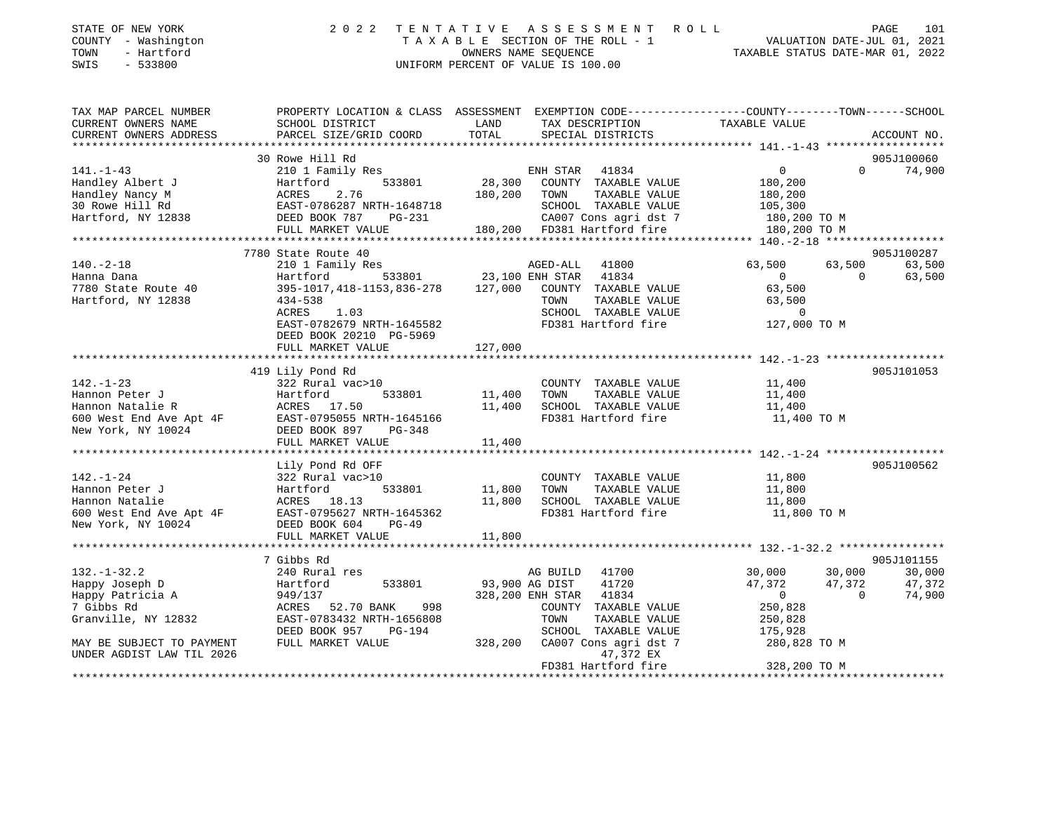| STATE OF NEW YORK<br>COUNTY - Washington<br>- Hartford<br>TOWN<br>SWIS<br>$-533800$ |                                                                              | 2022 TENTATIVE ASSESSMENT ROLL<br>TAXABLE SECTION OF THE ROLL - 1<br>OWNERS NAME SEOUENCE<br>UNIFORM PERCENT OF VALUE IS 100.00 | 101<br>PAGE<br>VALUATION DATE-JUL 01, 2021<br>TAXABLE STATUS DATE-MAR 01, 2022               |
|-------------------------------------------------------------------------------------|------------------------------------------------------------------------------|---------------------------------------------------------------------------------------------------------------------------------|----------------------------------------------------------------------------------------------|
| TAX MAP PARCEL NUMBER<br>CURRENT OWNERS NAME<br>CURRENT OWNERS ADDRESS              | PROPERTY LOCATION & CLASS<br>SCHOOL DISTRICT<br>PARCEL SIZE/GRID COORD TOTAL | ASSESSMENT<br>TAX DESCRIPTION<br>LAND<br>SPECIAL DISTRICTS                                                                      | EXEMPTION CODE-----------------COUNTY-------TOWN------SCHOOL<br>TAXABLE VALUE<br>ACCOUNT NO. |
| 141.–1–43<br>Handley Albert J                                                       | 30 Rowe Hill Rd<br>210 1 Family Res<br>533801<br>Hartford                    | 41834<br>ENH STAR<br>28,300<br>COUNTY TAXABLE VALUE                                                                             | 905J100060<br>74,900<br>$\Omega$<br>$\Omega$<br>180,200                                      |

| Handley Nancy M           | ACRES<br>2.76                                                                         | 180,200 | TAXABLE VALUE<br>TOWN        | 180,200                    |            |
|---------------------------|---------------------------------------------------------------------------------------|---------|------------------------------|----------------------------|------------|
| 30 Rowe Hill Rd           | EAST-0786287 NRTH-1648718                                                             |         | SCHOOL TAXABLE VALUE         | 105,300                    |            |
| Hartford, NY 12838        | $PG-231$<br>DEED BOOK 787                                                             |         | CA007 Cons agri dst 7        | 180,200 TO M               |            |
|                           | FULL MARKET VALUE                                                                     |         | 180,200 FD381 Hartford fire  | 180,200 TO M               |            |
|                           |                                                                                       |         |                              |                            |            |
|                           | 7780 State Route 40                                                                   |         |                              |                            | 905J100287 |
| $140. - 2 - 18$           | 210 1 Family Res                                                                      |         | AGED-ALL 41800               | 63,500<br>63,500           | 63,500     |
| Hanna Dana                | Hartford                                                                              |         | 533801 23,100 ENH STAR 41834 | $\overline{0}$<br>$\Omega$ | 63,500     |
| 7780 State Route 40       | 395-1017, 418-1153, 836-278                                                           | 127,000 | COUNTY TAXABLE VALUE         | 63,500                     |            |
| Hartford, NY 12838        | $434 - 538$                                                                           |         | TOWN<br>TAXABLE VALUE        | 63,500                     |            |
|                           | 1.03<br>ACRES                                                                         |         | SCHOOL TAXABLE VALUE         | $\Omega$                   |            |
|                           | EAST-0782679 NRTH-1645582                                                             |         | FD381 Hartford fire          | 127,000 TO M               |            |
|                           | DEED BOOK 20210 PG-5969                                                               |         |                              |                            |            |
|                           | FULL MARKET VALUE                                                                     | 127,000 |                              |                            |            |
|                           |                                                                                       |         |                              |                            |            |
|                           | 419 Lily Pond Rd                                                                      |         |                              |                            | 905J101053 |
| $142. - 1 - 23$           | 322 Rural vac>10                                                                      |         | COUNTY TAXABLE VALUE         | 11,400                     |            |
| Hannon Peter J            | 533801 11,400<br>Hartford                                                             |         | TOWN<br>TAXABLE VALUE        | 11,400                     |            |
| Hannon Natalie R          | ACRES 17.50                                                                           | 11,400  | SCHOOL TAXABLE VALUE         | 11,400                     |            |
| 600 West End Ave Apt 4F   |                                                                                       |         | FD381 Hartford fire          | 11,400 TO M                |            |
| New York, NY 10024        | AURES 1773<br>EAST-0795055 NRTH-1645166<br>DEED BOOK 8977 PG-348<br>FULL MARKET VALUE | 11,400  |                              |                            |            |
|                           |                                                                                       |         |                              |                            |            |
|                           | Lily Pond Rd OFF                                                                      |         |                              |                            | 905J100562 |
| $142. - 1 - 24$           | 322 Rural vac>10                                                                      |         | COUNTY TAXABLE VALUE         | 11,800                     |            |
| Hannon Peter J            | Hartford<br>533801                                                                    | 11,800  | TOWN<br>TAXABLE VALUE        | 11,800                     |            |
| Hannon Natalie            | ACRES 18.13                                                                           | 11,800  | SCHOOL TAXABLE VALUE         | 11,800                     |            |
| 600 West End Ave Apt 4F   | EAST-0795627 NRTH-1645362                                                             |         | FD381 Hartford fire          | 11,800 TO M                |            |
| New York, NY 10024        | DEED BOOK 604<br>$PG-49$                                                              |         |                              |                            |            |
|                           | FULL MARKET VALUE                                                                     | 11,800  |                              |                            |            |
|                           |                                                                                       |         |                              |                            |            |
|                           | 7 Gibbs Rd                                                                            |         |                              |                            | 905J101155 |
| $132. - 1 - 32.2$         | 240 Rural res                                                                         |         | AG BUILD 41700               | 30,000<br>30,000           | 30,000     |
| Happy Joseph D            | 533801<br>Hartford                                                                    |         | 93,900 AG DIST<br>41720      | 47,372<br>47,372           | 47,372     |
| Happy Patricia A          | 949/137                                                                               |         | 328,200 ENH STAR 41834       | $\overline{0}$<br>$\Omega$ | 74,900     |
| 7 Gibbs Rd                | 998<br>ACRES<br>52.70 BANK                                                            |         | COUNTY TAXABLE VALUE         | 250,828                    |            |
| Granville, NY 12832       | EAST-0783432 NRTH-1656808                                                             |         | TOWN<br>TAXABLE VALUE        | 250,828                    |            |
|                           | DEED BOOK 957<br><b>PG-194</b>                                                        |         | SCHOOL<br>TAXABLE VALUE      | 175,928                    |            |
| MAY BE SUBJECT TO PAYMENT | FULL MARKET VALUE                                                                     | 328,200 | CA007 Cons agri dst 7        | 280,828 TO M               |            |
| UNDER AGDIST LAW TIL 2026 |                                                                                       |         | 47,372 EX                    |                            |            |
|                           |                                                                                       |         | FD381 Hartford fire          | 328,200 TO M               |            |
|                           |                                                                                       |         |                              |                            |            |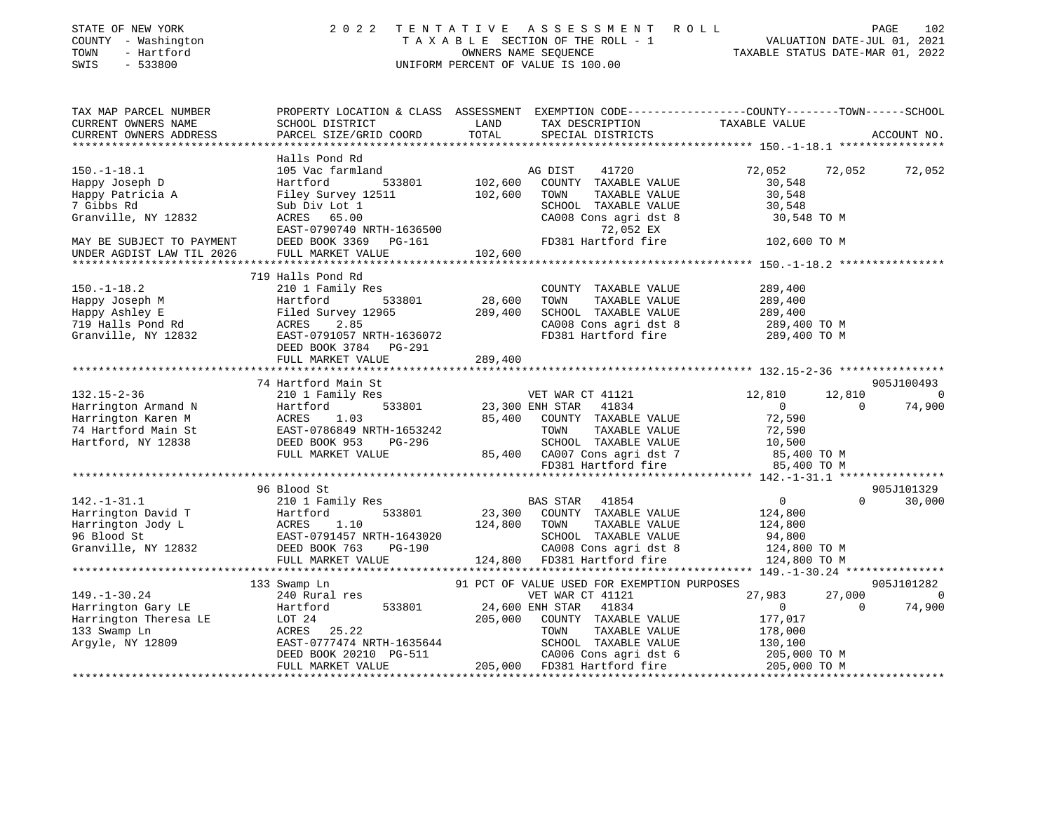| STATE OF NEW YORK<br>COUNTY - Washington<br>TOWN<br>- Hartford<br>SWIS<br>$-533800$ | 2 0 2 2                                                                          | TENTATIVE     | ASSESSMENT ROLL<br>UNIFORM PERCENT OF VALUE IS 100.00 | T A X A B L E SECTION OF THE ROLL - 1 VALUATION DATE-JUL 01, 2021 OWNERS NAME SEQUENCE TAXABLE STATUS DATE-MAR 01, 2022 | PAGE<br>102              |
|-------------------------------------------------------------------------------------|----------------------------------------------------------------------------------|---------------|-------------------------------------------------------|-------------------------------------------------------------------------------------------------------------------------|--------------------------|
| TAX MAP PARCEL NUMBER<br>CURRENT OWNERS NAME<br>CURRENT OWNERS ADDRESS              | SCHOOL DISTRICT<br>PARCEL SIZE/GRID COORD                                        | LAND<br>TOTAL | TAX DESCRIPTION<br>SPECIAL DISTRICTS                  | PROPERTY LOCATION & CLASS ASSESSMENT EXEMPTION CODE----------------COUNTY-------TOWN------SCHOOL<br>TAXABLE VALUE       | ACCOUNT NO.              |
| *****************                                                                   |                                                                                  |               |                                                       |                                                                                                                         |                          |
|                                                                                     | Halls Pond Rd                                                                    |               |                                                       |                                                                                                                         |                          |
| $150. - 1 - 18.1$                                                                   | 105 Vac farmland                                                                 |               | AG DIST<br>41720                                      | 72,052<br>72,052                                                                                                        | 72,052                   |
| Happy Joseph D                                                                      | Hartford<br>533801                                                               | 102,600       | COUNTY TAXABLE VALUE                                  | 30,548                                                                                                                  |                          |
| Happy Patricia A                                                                    | Filey Survey 12511                                                               | 102,600       | TAXABLE VALUE<br>TOWN                                 | 30,548                                                                                                                  |                          |
| 7 Gibbs Rd                                                                          | Sub Div Lot 1<br>ACRES 65.00                                                     |               | SCHOOL TAXABLE VALUE                                  | 30,548                                                                                                                  |                          |
| Granville, NY 12832                                                                 | EAST-0790740 NRTH-1636500                                                        |               | CA008 Cons agri dst 8<br>72,052 EX                    | 30,548 TO M                                                                                                             |                          |
| MAY BE SUBJECT TO PAYMENT                                                           | DEED BOOK 3369<br>PG-161                                                         |               | FD381 Hartford fire                                   | 102,600 ТО М                                                                                                            |                          |
| UNDER AGDIST LAW TIL 2026                                                           | FULL MARKET VALUE                                                                | 102,600       |                                                       |                                                                                                                         |                          |
|                                                                                     |                                                                                  |               |                                                       |                                                                                                                         |                          |
|                                                                                     | 719 Halls Pond Rd                                                                |               |                                                       |                                                                                                                         |                          |
| $150. - 1 - 18.2$                                                                   | 210 1 Family Res                                                                 |               | COUNTY TAXABLE VALUE                                  | 289,400                                                                                                                 |                          |
| Happy Joseph M                                                                      | 533801<br>Hartford                                                               | 28,600        | TOWN<br>TAXABLE VALUE                                 | 289,400                                                                                                                 |                          |
| Happy Ashley E                                                                      |                                                                                  | 289,400       | SCHOOL TAXABLE VALUE                                  | 289,400                                                                                                                 |                          |
| 719 Halls Pond Rd                                                                   |                                                                                  |               | CA008 Cons agri dst 8                                 | 289,400 TO M                                                                                                            |                          |
| Granville, NY 12832                                                                 | Hartford 533801<br>Filed Survey 12965<br>ACRES 2.85<br>EAST-0791057 NRTH-1636072 |               | FD381 Hartford fire                                   | 289,400 TO M                                                                                                            |                          |
|                                                                                     | DEED BOOK 3784<br>PG-291                                                         |               |                                                       |                                                                                                                         |                          |
|                                                                                     | FULL MARKET VALUE                                                                | 289,400       |                                                       |                                                                                                                         |                          |
|                                                                                     |                                                                                  |               |                                                       |                                                                                                                         |                          |
|                                                                                     | 74 Hartford Main St                                                              |               |                                                       |                                                                                                                         | 905J100493               |
| $132.15 - 2 - 36$                                                                   | 210 1 Family Res                                                                 |               | VET WAR CT 41121                                      | 12,810<br>12,810                                                                                                        | $\sim$ 0                 |
| Harrington Armand N                                                                 | Hartford<br>533801                                                               |               | 23,300 ENH STAR 41834                                 | $\overline{0}$<br>$\mathbf 0$                                                                                           | 74,900                   |
| Harrington Karen M                                                                  | ACRES<br>1.03                                                                    | 85,400        | COUNTY TAXABLE VALUE                                  | 72,590                                                                                                                  |                          |
| 74 Hartford Main St                                                                 | EAST-0786849 NRTH-1653242<br>EAST-0786849 NRTH-1653242<br>DEED BOOK 953 PG-296   |               | TAXABLE VALUE<br>TOWN                                 | 72,590                                                                                                                  |                          |
| Hartford, NY 12838                                                                  | FULL MARKET VALUE                                                                |               | SCHOOL TAXABLE VALUE                                  | 10,500                                                                                                                  |                          |
|                                                                                     |                                                                                  |               | 85,400 CA007 Cons agri dst 7<br>FD381 Hartford fire   | 85,400 TO M<br>85,400 TO M                                                                                              |                          |
|                                                                                     |                                                                                  |               |                                                       |                                                                                                                         |                          |
|                                                                                     | 96 Blood St                                                                      |               |                                                       |                                                                                                                         | 905J101329               |
| $142. - 1 - 31.1$                                                                   | 210 1 Family Res                                                                 |               | BAS STAR<br>41854                                     | 0<br>$\Omega$                                                                                                           | 30,000                   |
| Harrington David T                                                                  | 533801<br>Hartford                                                               | 23,300        | COUNTY TAXABLE VALUE                                  | 124,800                                                                                                                 |                          |
| Harrington Jody L                                                                   |                                                                                  | 124,800       | TOWN<br>TAXABLE VALUE                                 | 124,800                                                                                                                 |                          |
| 96 Blood St                                                                         | ACRES 1.10<br>EAST-0791457 NRTH-1643020<br>DEED BOOK 763 PG-190                  |               | SCHOOL TAXABLE VALUE                                  | 94,800                                                                                                                  |                          |
| Granville, NY 12832                                                                 |                                                                                  |               | CA008 Cons agri dst 8                                 | 124,800 TO M                                                                                                            |                          |
|                                                                                     | FULL MARKET VALUE                                                                |               | 124,800 FD381 Hartford fire                           | 124,800 TO M                                                                                                            |                          |
|                                                                                     | **************************************                                           |               |                                                       |                                                                                                                         |                          |
|                                                                                     | 133 Swamp Ln                                                                     |               | 91 PCT OF VALUE USED FOR EXEMPTION PURPOSES           |                                                                                                                         | 905J101282               |
| $149. - 1 - 30.24$                                                                  | 240 Rural res                                                                    |               | VET WAR CT 41121                                      | 27,983<br>27,000                                                                                                        | $\overline{\phantom{0}}$ |
| Harrington Gary LE                                                                  | 533801<br>Hartford                                                               |               | 24,600 ENH STAR<br>41834                              | $\overline{0}$<br>$\Omega$                                                                                              | 74,900                   |
| Harrington Theresa LE                                                               | LOT 24                                                                           | 205,000       | COUNTY TAXABLE VALUE                                  | 177,017                                                                                                                 |                          |
| 133 Swamp Ln                                                                        | ACRES 25.22                                                                      |               | TOWN<br>TAXABLE VALUE                                 | 178,000                                                                                                                 |                          |
| Argyle, NY 12809                                                                    | EAST-0777474 NRTH-1635644                                                        |               | SCHOOL TAXABLE VALUE                                  | 130,100                                                                                                                 |                          |
|                                                                                     | DEED BOOK 20210 PG-511                                                           |               | CA006 Cons agri dst 6<br>205,000 FD381 Hartford fire  | 205,000 TO M                                                                                                            |                          |
|                                                                                     | FULL MARKET VALUE                                                                |               |                                                       | 205,000 TO M                                                                                                            |                          |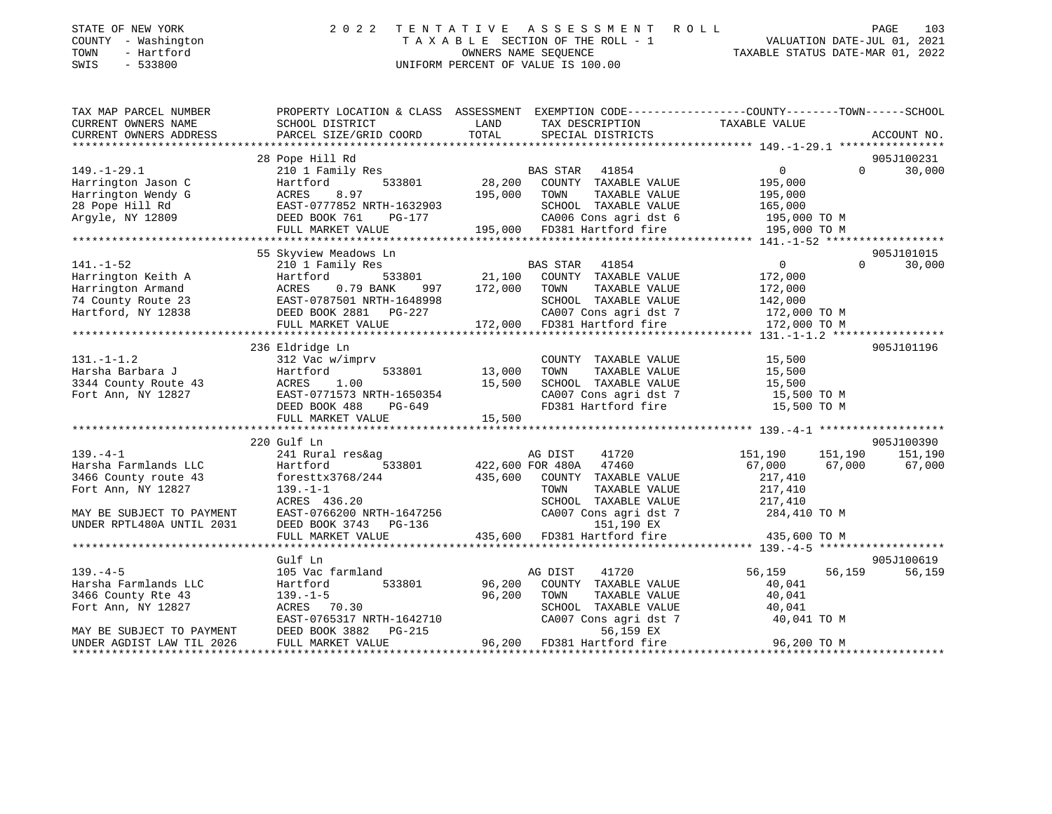| STATE OF NEW YORK   | 2022 TENTATIVE ASSESSMENT ROLL     | 103<br>PAGE                      |
|---------------------|------------------------------------|----------------------------------|
| COUNTY - Washington | TAXABLE SECTION OF THE ROLL - 1    | VALUATION DATE-JUL 01, 2021      |
| TOWN<br>- Hartford  | OWNERS NAME SEOUENCE               | TAXABLE STATUS DATE-MAR 01, 2022 |
| $-533800$<br>SWIS   | UNIFORM PERCENT OF VALUE IS 100.00 |                                  |

| TAX MAP PARCEL NUMBER<br>CURRENT OWNERS NAME                   | SCHOOL DISTRICT                     | PROPERTY LOCATION & CLASS ASSESSMENT EXEMPTION CODE---------------COUNTY-------TOWN-----SCHOOL<br>LAND<br>TAX DESCRIPTION                                         | TAXABLE VALUE                        |
|----------------------------------------------------------------|-------------------------------------|-------------------------------------------------------------------------------------------------------------------------------------------------------------------|--------------------------------------|
| CURRENT OWNERS ADDRESS                                         | PARCEL SIZE/GRID COORD              | TOTAL<br>SPECIAL DISTRICTS                                                                                                                                        | ACCOUNT NO.                          |
|                                                                |                                     |                                                                                                                                                                   | 905J100231                           |
| $149. - 1 - 29.1$                                              | 28 Pope Hill Rd<br>210 1 Family Res |                                                                                                                                                                   | $\overline{0}$<br>30,000<br>$\Omega$ |
| Harrington Jason C                                             | 533801<br>Hartford                  | BAS STAR 41854<br>33801 28,200 COUNTY TAXABLE VALUE                                                                                                               | 195,000                              |
|                                                                |                                     | 195,000 TOWN<br>TAXABLE VALUE                                                                                                                                     | 195,000                              |
|                                                                |                                     |                                                                                                                                                                   |                                      |
|                                                                |                                     | SCHOOL TAXABLE VALUE 165,000<br>CA006 Cons agri dst 6 195,000 TO M                                                                                                |                                      |
|                                                                |                                     | FULL MARKET VALUE 195,000 FD381 Hartford fire                                                                                                                     | 195,000 TO M                         |
|                                                                |                                     |                                                                                                                                                                   |                                      |
|                                                                | 55 Skyview Meadows Ln               |                                                                                                                                                                   | 905J101015                           |
| $141. - 1 - 52$                                                | 210 1 Family Res                    | BAS STAR 41854                                                                                                                                                    | $\overline{0}$<br>$\Omega$<br>30,000 |
| Harrington Keith A                                             | Hartford                            | $\frac{21}{21,100}$ COUNTY TAXABLE VALUE                                                                                                                          | 172,000                              |
|                                                                |                                     | TAXABLE VALUE<br>997 172,000 TOWN                                                                                                                                 | 172,000                              |
|                                                                |                                     | SCHOOL TAXABLE VALUE                                                                                                                                              | 142,000                              |
|                                                                |                                     | CA007 Cons agri dst 7                                                                                                                                             | 172,000 TO M                         |
|                                                                | FULL MARKET VALUE                   | 172,000 FD381 Hartford fire                                                                                                                                       | 172,000 TO M                         |
|                                                                |                                     |                                                                                                                                                                   |                                      |
|                                                                | 236 Eldridge Ln                     |                                                                                                                                                                   | 905J101196                           |
| $131. - 1 - 1.2$                                               | 312 Vac w/imprv                     | COUNTY TAXABLE VALUE                                                                                                                                              | 15,500                               |
|                                                                | Hartford                            | 533801 13,000<br>TAXABLE VALUE<br>TOWN                                                                                                                            |                                      |
|                                                                |                                     |                                                                                                                                                                   | 15,500<br>15,500                     |
| Harsha Barbara J<br>3344 County Route 43<br>Fort Ann, NY 12827 |                                     | CA007 Cons agri dst 7 15,500 TO M                                                                                                                                 |                                      |
|                                                                |                                     | FD381 Hartford fire                                                                                                                                               | 15,500 TO M                          |
|                                                                |                                     | ACRES 1.00 15,500 SCHOOL TAXABLE VALUE<br>EAST-0771573 NRTH-1650354 CA007 Cons agri dst 7<br>DEED BOOK 488 PG-649 FD381 Hartford fire<br>FULL MARKET VALUE 15,500 |                                      |
|                                                                |                                     |                                                                                                                                                                   |                                      |
|                                                                | 220 Gulf Ln                         |                                                                                                                                                                   | 905J100390                           |
| $139. -4 -1$                                                   | 241 Rural res&ag                    | AG DIST<br>41720                                                                                                                                                  | 151,190<br>151,190<br>151,190        |
| Harsha Farmlands LLC                                           | Hartford<br>533801                  | 422,600 FOR 480A 47460<br>435,600 COUNTY TAXABLE VALUE                                                                                                            | 67,000<br>67,000<br>67,000           |
| 3466 County route 43                                           | foresttx3768/244                    |                                                                                                                                                                   | 217,410                              |
| Fort Ann, NY 12827                                             | $139. - 1 - 1$                      | TOWN<br>TAXABLE VALUE                                                                                                                                             | 217,410                              |
|                                                                | ACRES 436.20                        | SCHOOL TAXABLE VALUE                                                                                                                                              | 217,410                              |
| MAY BE SUBJECT TO PAYMENT                                      |                                     | EAST-0766200 NRTH-1647256<br>DEED BOOK 3743 PG-136<br>DEED BOOK 3743 PG-136<br>151.190 FX                                                                         |                                      |
| UNDER RPTL480A UNTIL 2031                                      |                                     |                                                                                                                                                                   |                                      |
|                                                                | FULL MARKET VALUE                   | 435,600 FD381 Hartford fire 435,600 TO M                                                                                                                          |                                      |
|                                                                |                                     |                                                                                                                                                                   |                                      |
|                                                                | Gulf Ln                             |                                                                                                                                                                   | 905J100619                           |
| $139. -4 - 5$                                                  | 105 Vac farmland                    | AG DIST<br>41720                                                                                                                                                  | 56,159<br>56,159<br>56,159           |
| Harsha Farmlands LLC                                           | Hartford<br>533801                  | 96,200<br>COUNTY TAXABLE VALUE                                                                                                                                    | 40,041                               |
| 3466 County Rte 43                                             | $139. - 1 - 5$                      | 96,200<br>TOWN<br>TAXABLE VALUE                                                                                                                                   | 40,041                               |
| Fort Ann, NY 12827                                             | ACRES 70.30                         |                                                                                                                                                                   | 40,041                               |
|                                                                | EAST-0765317 NRTH-1642710           | SCHOOL TAXABLE VALUE<br>CA007 Cons agri dst 7<br>ES 150 EY                                                                                                        | 40,041 TO M                          |
| MAY BE SUBJECT TO PAYMENT                                      | DEED BOOK 3882<br>PG-215            | 56,159 EX<br>96,200 FD381 Hartford fire                                                                                                                           |                                      |
| UNDER AGDIST LAW TIL 2026                                      | FULL MARKET VALUE                   |                                                                                                                                                                   | 96,200 TO M                          |
|                                                                |                                     |                                                                                                                                                                   |                                      |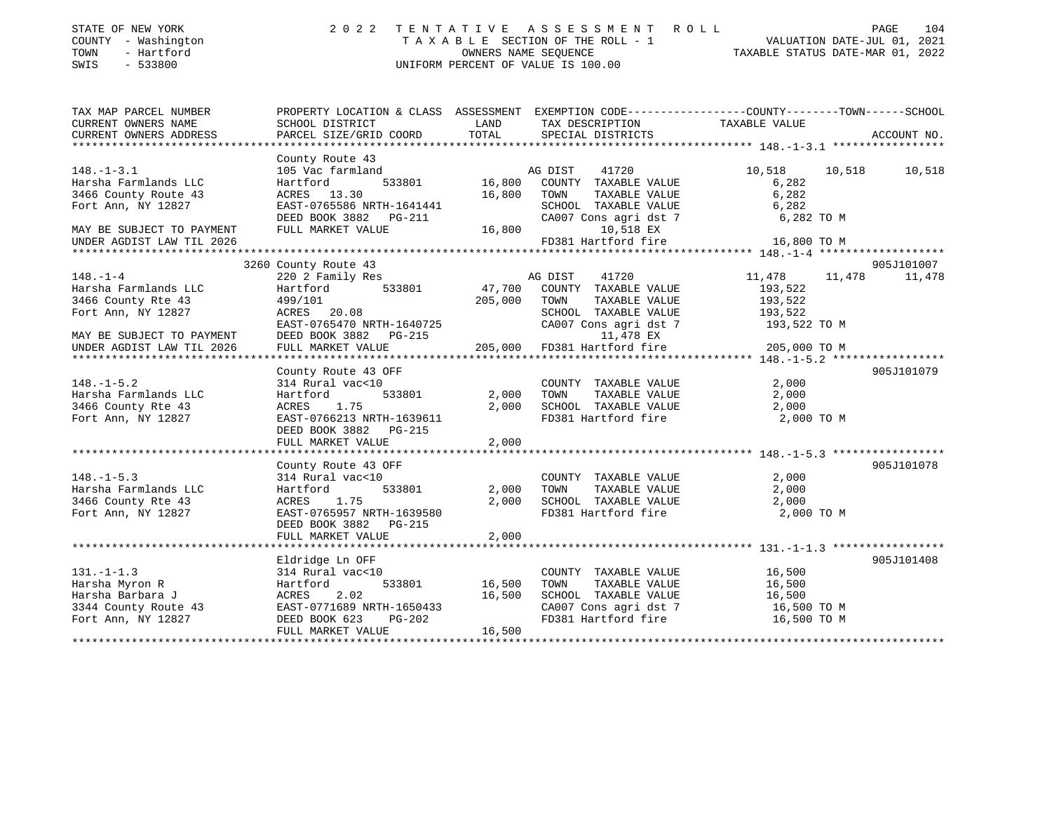| STATE OF NEW YORK<br>COUNTY - Washington<br>TOWN<br>- Hartford<br>$-533800$<br>SWIS | 2 0 2 2                                   |                  | TENTATIVE ASSESSMENT ROLL<br>TAXABLE SECTION OF THE ROLL - 1<br>OWNERS NAME SEQUENCE<br>UNIFORM PERCENT OF VALUE IS 100.00 | VALUATION DATE-JUL 01, 2021<br>TAXABLE STATUS DATE-MAR 01, 2022 | PAGE<br>104 |
|-------------------------------------------------------------------------------------|-------------------------------------------|------------------|----------------------------------------------------------------------------------------------------------------------------|-----------------------------------------------------------------|-------------|
| TAX MAP PARCEL NUMBER                                                               |                                           |                  | PROPERTY LOCATION & CLASS ASSESSMENT EXEMPTION CODE---------------COUNTY-------TOWN------SCHOOL                            |                                                                 |             |
| CURRENT OWNERS NAME<br>CURRENT OWNERS ADDRESS                                       | SCHOOL DISTRICT<br>PARCEL SIZE/GRID COORD | LAND<br>TOTAL    | TAX DESCRIPTION<br>SPECIAL DISTRICTS                                                                                       | TAXABLE VALUE                                                   | ACCOUNT NO. |
|                                                                                     |                                           |                  |                                                                                                                            |                                                                 |             |
|                                                                                     | County Route 43                           |                  |                                                                                                                            |                                                                 |             |
| $148. - 1 - 3.1$                                                                    | 105 Vac farmland                          |                  | AG DIST<br>41720                                                                                                           | 10,518<br>10,518                                                | 10,518      |
| Harsha Farmlands LLC                                                                | Hartford<br>533801                        | 16,800           | COUNTY TAXABLE VALUE                                                                                                       | 6,282                                                           |             |
| 3466 County Route 43                                                                | ACRES 13.30                               | 16,800           | TOWN<br>TAXABLE VALUE                                                                                                      | 6,282                                                           |             |
| Fort Ann, NY 12827                                                                  | EAST-0765586 NRTH-1641441                 |                  | SCHOOL TAXABLE VALUE                                                                                                       | 6,282                                                           |             |
|                                                                                     | DEED BOOK 3882 PG-211                     |                  | CA007 Cons agri dst 7                                                                                                      | 6,282 TO M                                                      |             |
| MAY BE SUBJECT TO PAYMENT                                                           | FULL MARKET VALUE                         | 16,800           | 10,518 EX                                                                                                                  |                                                                 |             |
| UNDER AGDIST LAW TIL 2026                                                           |                                           |                  | FD381 Hartford fire                                                                                                        | 16,800 TO M                                                     |             |
|                                                                                     |                                           |                  |                                                                                                                            |                                                                 |             |
|                                                                                     | 3260 County Route 43                      |                  |                                                                                                                            |                                                                 | 905J101007  |
| $148. - 1 - 4$                                                                      | 220 2 Family Res                          |                  | 41720<br>AG DIST                                                                                                           | 11,478<br>11,478                                                | 11,478      |
| Harsha Farmlands LLC                                                                | 533801<br>Hartford                        | 47,700           | COUNTY TAXABLE VALUE                                                                                                       | 193,522                                                         |             |
| 3466 County Rte 43                                                                  | 499/101                                   | 205,000          | TOWN<br>TAXABLE VALUE                                                                                                      | 193,522                                                         |             |
| Fort Ann, NY 12827                                                                  | ACRES 20.08<br>EAST-0765470 NRTH-1640725  |                  | SCHOOL TAXABLE VALUE                                                                                                       | 193,522                                                         |             |
| MAY BE SUBJECT TO PAYMENT                                                           | DEED BOOK 3882 PG-215                     |                  | CA007 Cons agri dst 7<br>11,478 EX                                                                                         | 193,522 TO M                                                    |             |
| UNDER AGDIST LAW TIL 2026                                                           | FULL MARKET VALUE                         | 205,000          | FD381 Hartford fire                                                                                                        | 205,000 TO M                                                    |             |
|                                                                                     |                                           |                  |                                                                                                                            |                                                                 |             |
|                                                                                     | County Route 43 OFF                       |                  |                                                                                                                            |                                                                 | 905J101079  |
| $148. - 1 - 5.2$                                                                    | 314 Rural vac<10                          |                  | COUNTY TAXABLE VALUE                                                                                                       | 2,000                                                           |             |
| Harsha Farmlands LLC                                                                | Hartford<br>533801                        | 2,000            | TAXABLE VALUE<br>TOWN                                                                                                      | 2,000                                                           |             |
| 3466 County Rte 43                                                                  | 1.75<br>ACRES                             | 2,000            | SCHOOL TAXABLE VALUE                                                                                                       | 2,000                                                           |             |
| Fort Ann, NY 12827                                                                  | EAST-0766213 NRTH-1639611                 |                  | FD381 Hartford fire                                                                                                        | 2,000 TO M                                                      |             |
|                                                                                     | DEED BOOK 3882 PG-215                     |                  |                                                                                                                            |                                                                 |             |
|                                                                                     | FULL MARKET VALUE                         | 2,000            |                                                                                                                            |                                                                 |             |
|                                                                                     |                                           |                  |                                                                                                                            |                                                                 |             |
|                                                                                     | County Route 43 OFF                       |                  |                                                                                                                            |                                                                 | 905J101078  |
| $148. - 1 - 5.3$                                                                    | 314 Rural vac<10                          |                  | COUNTY TAXABLE VALUE                                                                                                       | 2,000                                                           |             |
| Harsha Farmlands LLC                                                                | 533801<br>Hartford                        | 2,000            | TAXABLE VALUE<br>TOWN                                                                                                      | 2,000                                                           |             |
| 3466 County Rte 43                                                                  | ACRES 1.75                                | 2,000            | SCHOOL TAXABLE VALUE                                                                                                       | 2,000                                                           |             |
| Fort Ann, NY 12827                                                                  | EAST-0765957 NRTH-1639580                 |                  | FD381 Hartford fire                                                                                                        | 2,000 TO M                                                      |             |
|                                                                                     | DEED BOOK 3882 PG-215                     |                  |                                                                                                                            |                                                                 |             |
|                                                                                     | FULL MARKET VALUE                         | 2,000            |                                                                                                                            |                                                                 |             |
|                                                                                     |                                           |                  |                                                                                                                            |                                                                 |             |
|                                                                                     | Eldridge Ln OFF                           |                  |                                                                                                                            |                                                                 | 905J101408  |
| $131. -1 -1.3$                                                                      | 314 Rural vac<10                          |                  | COUNTY TAXABLE VALUE<br>TOWN                                                                                               | 16,500                                                          |             |
| Harsha Myron R<br>Harsha Barbara J                                                  | Hartford<br>533801<br>2.02<br>ACRES       | 16,500<br>16,500 | TAXABLE VALUE<br>SCHOOL TAXABLE VALUE                                                                                      | 16,500<br>16,500                                                |             |
| 3344 County Route 43                                                                | EAST-0771689 NRTH-1650433                 |                  | CA007 Cons agri dst 7                                                                                                      | 16,500 TO M                                                     |             |
| Fort Ann, NY 12827                                                                  | DEED BOOK 623<br>PG-202                   |                  | FD381 Hartford fire                                                                                                        | 16,500 TO M                                                     |             |
|                                                                                     | FULL MARKET VALUE                         | 16,500           |                                                                                                                            |                                                                 |             |
|                                                                                     |                                           |                  |                                                                                                                            |                                                                 |             |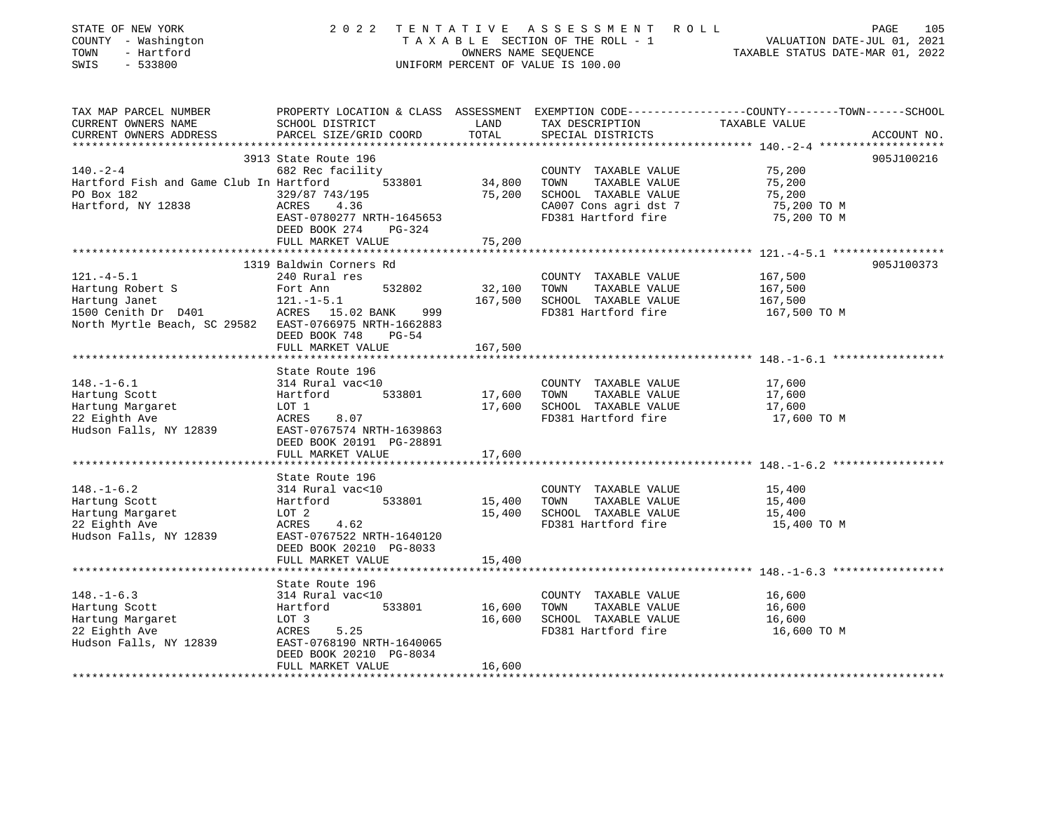| STATE OF NEW YORK<br>COUNTY - Washington<br>TOWN<br>- Hartford<br>SWIS<br>$-533800$ |                                              | OWNERS NAME SEQUENCE | 2022 TENTATIVE ASSESSMENT ROLL<br>TAXABLE SECTION OF THE ROLL - 1<br>UNIFORM PERCENT OF VALUE IS 100.00 | PAGE<br>VALUATION DATE-JUL 01, 2021<br>TAXABLE STATUS DATE-MAR 01, 2022                         | 105 |
|-------------------------------------------------------------------------------------|----------------------------------------------|----------------------|---------------------------------------------------------------------------------------------------------|-------------------------------------------------------------------------------------------------|-----|
| TAX MAP PARCEL NUMBER                                                               |                                              |                      |                                                                                                         | PROPERTY LOCATION & CLASS ASSESSMENT EXEMPTION CODE----------------COUNTY-------TOWN-----SCHOOL |     |
| CURRENT OWNERS NAME                                                                 | SCHOOL DISTRICT                              | LAND                 | TAX DESCRIPTION                                                                                         | TAXABLE VALUE                                                                                   |     |
| CURRENT OWNERS ADDRESS<br>***********************                                   | PARCEL SIZE/GRID COORD                       | TOTAL                | SPECIAL DISTRICTS                                                                                       | ACCOUNT NO.                                                                                     |     |
|                                                                                     | 3913 State Route 196                         |                      |                                                                                                         | 905J100216                                                                                      |     |
| $140. - 2 - 4$                                                                      | 682 Rec facility                             |                      | COUNTY TAXABLE VALUE                                                                                    | 75,200                                                                                          |     |
| Hartford Fish and Game Club In Hartford                                             | 533801                                       | 34,800               | TAXABLE VALUE<br>TOWN                                                                                   | 75,200                                                                                          |     |
| PO Box 182                                                                          | 329/87 743/195                               | 75,200               | SCHOOL TAXABLE VALUE                                                                                    | 75,200                                                                                          |     |
| Hartford, NY 12838                                                                  | ACRES<br>4.36                                |                      | CA007 Cons agri dst 7                                                                                   | 75,200 TO M                                                                                     |     |
|                                                                                     | EAST-0780277 NRTH-1645653                    |                      | FD381 Hartford fire                                                                                     | 75,200 TO M                                                                                     |     |
|                                                                                     | DEED BOOK 274 PG-324                         |                      |                                                                                                         |                                                                                                 |     |
|                                                                                     | FULL MARKET VALUE                            | 75,200               |                                                                                                         |                                                                                                 |     |
|                                                                                     | ************************                     |                      |                                                                                                         |                                                                                                 |     |
|                                                                                     | 1319 Baldwin Corners Rd                      |                      |                                                                                                         | 905J100373                                                                                      |     |
| $121. -4 - 5.1$<br>Hartung Robert S                                                 | 240 Rural res<br>532802<br>Fort Ann          | 32,100               | COUNTY TAXABLE VALUE<br>TAXABLE VALUE<br>TOWN                                                           | 167,500<br>167,500                                                                              |     |
| Hartung Janet                                                                       | $121.-1-5.1$                                 | 167,500              | SCHOOL TAXABLE VALUE                                                                                    | 167,500                                                                                         |     |
| 1500 Cenith Dr D401 ACRES 15.02 BANK                                                | 999                                          |                      | FD381 Hartford fire                                                                                     | 167,500 TO M                                                                                    |     |
| North Myrtle Beach, SC 29582 EAST-0766975 NRTH-1662883                              |                                              |                      |                                                                                                         |                                                                                                 |     |
|                                                                                     | DEED BOOK 748 PG-54                          |                      |                                                                                                         |                                                                                                 |     |
|                                                                                     | FULL MARKET VALUE                            | 167,500              |                                                                                                         |                                                                                                 |     |
|                                                                                     |                                              |                      |                                                                                                         |                                                                                                 |     |
|                                                                                     | State Route 196                              |                      |                                                                                                         |                                                                                                 |     |
| $148. - 1 - 6.1$                                                                    | 314 Rural vac<10                             |                      | COUNTY TAXABLE VALUE                                                                                    | 17,600                                                                                          |     |
| Hartung Scott                                                                       | 533801<br>Hartford                           | 17,600               | TAXABLE VALUE<br>TOWN                                                                                   | 17,600                                                                                          |     |
| Hartung Margaret<br>22 Eighth Ave                                                   | LOT 1<br>ACRES<br>8.07                       | 17,600               | SCHOOL TAXABLE VALUE<br>FD381 Hartford fire                                                             | 17,600<br>17,600 TO M                                                                           |     |
| Hudson Falls, NY 12839                                                              | EAST-0767574 NRTH-1639863                    |                      |                                                                                                         |                                                                                                 |     |
|                                                                                     | DEED BOOK 20191 PG-28891                     |                      |                                                                                                         |                                                                                                 |     |
|                                                                                     | FULL MARKET VALUE                            | 17,600               |                                                                                                         |                                                                                                 |     |
|                                                                                     |                                              |                      |                                                                                                         |                                                                                                 |     |
|                                                                                     | State Route 196                              |                      |                                                                                                         |                                                                                                 |     |
| $148. - 1 - 6.2$                                                                    | 314 Rural vac<10                             |                      | COUNTY TAXABLE VALUE                                                                                    | 15,400                                                                                          |     |
| Hartung Scott                                                                       | Hartford<br>533801                           | 15,400               | TOWN<br>TAXABLE VALUE                                                                                   | 15,400                                                                                          |     |
| Hartung Margaret                                                                    | LOT 2                                        | 15,400               | SCHOOL TAXABLE VALUE                                                                                    | 15,400                                                                                          |     |
| 22 Eighth Ave                                                                       | ACRES<br>4.62                                |                      | FD381 Hartford fire                                                                                     | 15,400 TO M                                                                                     |     |
| Hudson Falls, NY 12839                                                              | EAST-0767522 NRTH-1640120                    |                      |                                                                                                         |                                                                                                 |     |
|                                                                                     | DEED BOOK 20210 PG-8033<br>FULL MARKET VALUE |                      |                                                                                                         |                                                                                                 |     |
|                                                                                     | *********************                        | 15,400               |                                                                                                         |                                                                                                 |     |
|                                                                                     | State Route 196                              |                      |                                                                                                         |                                                                                                 |     |
| $148. - 1 - 6.3$                                                                    | 314 Rural vac<10                             |                      | COUNTY TAXABLE VALUE                                                                                    | 16,600                                                                                          |     |
| Hartung Scott                                                                       | Hartford<br>533801                           | 16,600               | TOWN<br>TAXABLE VALUE                                                                                   | 16,600                                                                                          |     |
| Hartung Margaret                                                                    | LOT 3                                        | 16,600               | SCHOOL TAXABLE VALUE                                                                                    | 16,600                                                                                          |     |
| 22 Eighth Ave                                                                       | ACRES<br>5.25                                |                      | FD381 Hartford fire                                                                                     | 16,600 TO M                                                                                     |     |
| Hudson Falls, NY 12839                                                              | EAST-0768190 NRTH-1640065                    |                      |                                                                                                         |                                                                                                 |     |
|                                                                                     | DEED BOOK 20210 PG-8034                      |                      |                                                                                                         |                                                                                                 |     |
|                                                                                     | FULL MARKET VALUE                            | 16,600               |                                                                                                         |                                                                                                 |     |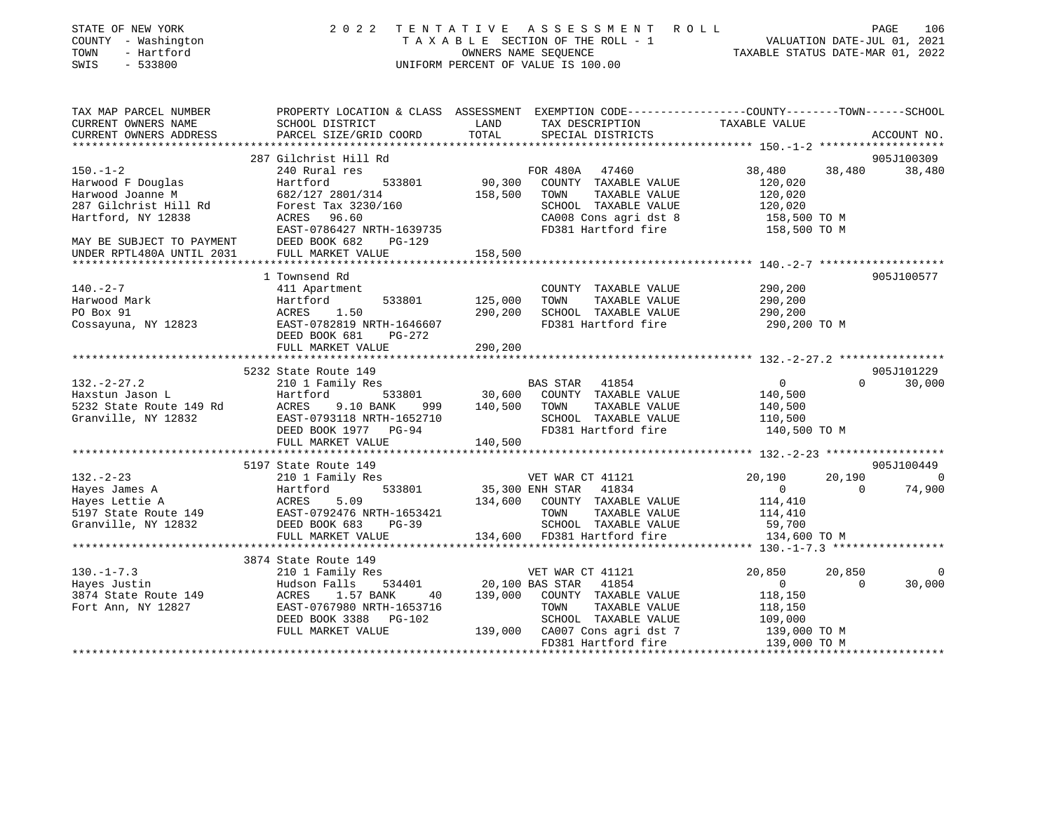| STATE OF NEW YORK<br>COUNTY - Washington<br>- Hartford<br>TOWN<br>SWIS<br>$-533800$                                                                                                                                              |                                                                                                                    |         | 2022 TENTATIVE ASSESSMENT ROLL<br>TAXABLE SECTION OF THE ROLL - 1<br>OWNERS NAME SEQUENCE<br>TAXABLE STATUS DATE-JUL 01, 2021<br>TAXABLE STATUS DATE-MAR 01, 2022<br>UNIFORM PERCENT OF VALUE IS 100.00 |                              |                | PAGE<br>106                                                                                                                                                                                                                                                                                                                        |
|----------------------------------------------------------------------------------------------------------------------------------------------------------------------------------------------------------------------------------|--------------------------------------------------------------------------------------------------------------------|---------|---------------------------------------------------------------------------------------------------------------------------------------------------------------------------------------------------------|------------------------------|----------------|------------------------------------------------------------------------------------------------------------------------------------------------------------------------------------------------------------------------------------------------------------------------------------------------------------------------------------|
| TAX MAP PARCEL NUMBER<br>CURRENT OWNERS NAME                                                                                                                                                                                     | PROPERTY LOCATION & CLASS ASSESSMENT EXEMPTION CODE----------------COUNTY-------TOWN-----SCHOOL<br>SCHOOL DISTRICT | LAND    | TAX DESCRIPTION                                                                                                                                                                                         | TAXABLE VALUE                |                |                                                                                                                                                                                                                                                                                                                                    |
| CURRENT OWNERS ADDRESS                                                                                                                                                                                                           | PARCEL SIZE/GRID COORD                                                                                             | TOTAL   | SPECIAL DISTRICTS                                                                                                                                                                                       |                              |                | ACCOUNT NO.                                                                                                                                                                                                                                                                                                                        |
|                                                                                                                                                                                                                                  | 287 Gilchrist Hill Rd                                                                                              |         |                                                                                                                                                                                                         |                              |                | 905J100309                                                                                                                                                                                                                                                                                                                         |
| $150. - 1 - 2$                                                                                                                                                                                                                   | 240 Rural res                                                                                                      |         | FOR 480A 47460                                                                                                                                                                                          | 38,480                       | 38,480         | 38,480                                                                                                                                                                                                                                                                                                                             |
| Harwood F Douglas                                                                                                                                                                                                                | 533801<br>Hartford                                                                                                 |         | 90,300 COUNTY TAXABLE VALUE                                                                                                                                                                             | 120,020                      |                |                                                                                                                                                                                                                                                                                                                                    |
| Harwood Joanne M                                                                                                                                                                                                                 | 682/127 2801/314                                                                                                   | 158,500 | TOWN<br>TAXABLE VALUE                                                                                                                                                                                   | 120,020                      |                |                                                                                                                                                                                                                                                                                                                                    |
|                                                                                                                                                                                                                                  | 682/127 2801/314<br>Forest Tax 3230/160                                                                            |         | SCHOOL TAXABLE VALUE                                                                                                                                                                                    | 120,020                      |                |                                                                                                                                                                                                                                                                                                                                    |
| Harwood Joanne<br>287 Gilchrist Hill Rd                                                                                                                                                                                          | ACRES 96.60                                                                                                        |         | CA008 Cons agri dst 8                                                                                                                                                                                   | 158,500 TO M<br>158,500 TO M |                |                                                                                                                                                                                                                                                                                                                                    |
|                                                                                                                                                                                                                                  | EAST-0786427 NRTH-1639735                                                                                          |         | FD381 Hartford fire                                                                                                                                                                                     |                              |                |                                                                                                                                                                                                                                                                                                                                    |
| EAST-0786427 NRTH-<br>MAY BE SUBJECT TO PAYMENT DEED BOOK 682 I<br>UNDER RPTL480A UNTIL 2031 FULL MARKET VALUE                                                                                                                   | PG-129                                                                                                             |         |                                                                                                                                                                                                         |                              |                |                                                                                                                                                                                                                                                                                                                                    |
|                                                                                                                                                                                                                                  |                                                                                                                    | 158,500 |                                                                                                                                                                                                         |                              |                |                                                                                                                                                                                                                                                                                                                                    |
|                                                                                                                                                                                                                                  | 1 Townsend Rd                                                                                                      |         |                                                                                                                                                                                                         |                              |                | 905J100577                                                                                                                                                                                                                                                                                                                         |
| $140. -2 - 7$                                                                                                                                                                                                                    | 411 Apartment                                                                                                      |         | COUNTY TAXABLE VALUE                                                                                                                                                                                    | 290,200                      |                |                                                                                                                                                                                                                                                                                                                                    |
| Harwood Mark                                                                                                                                                                                                                     | 533801<br>Hartford                                                                                                 | 125,000 | TAXABLE VALUE<br>TOWN                                                                                                                                                                                   | 290,200                      |                |                                                                                                                                                                                                                                                                                                                                    |
| PO Box 91                                                                                                                                                                                                                        |                                                                                                                    | 290,200 | SCHOOL TAXABLE VALUE                                                                                                                                                                                    | 290,200                      |                |                                                                                                                                                                                                                                                                                                                                    |
| Cossayuna, NY 12823                                                                                                                                                                                                              | ACRES 1.50 290,20<br>EAST-0782819 NRTH-1646607                                                                     |         | FD381 Hartford fire                                                                                                                                                                                     | 290,200 TO M                 |                |                                                                                                                                                                                                                                                                                                                                    |
|                                                                                                                                                                                                                                  | DEED BOOK 681<br>PG-272                                                                                            |         |                                                                                                                                                                                                         |                              |                |                                                                                                                                                                                                                                                                                                                                    |
|                                                                                                                                                                                                                                  | FULL MARKET VALUE                                                                                                  | 290,200 |                                                                                                                                                                                                         |                              |                |                                                                                                                                                                                                                                                                                                                                    |
|                                                                                                                                                                                                                                  | 5232 State Route 149                                                                                               |         |                                                                                                                                                                                                         |                              |                | 905J101229                                                                                                                                                                                                                                                                                                                         |
| $132 - 2 - 27.2$                                                                                                                                                                                                                 | 210 1 Family Res                                                                                                   |         | BAS STAR 41854                                                                                                                                                                                          | $\overline{0}$               | $\Omega$       | 30,000                                                                                                                                                                                                                                                                                                                             |
|                                                                                                                                                                                                                                  |                                                                                                                    |         | 533801 30,600 COUNTY TAXABLE VALUE                                                                                                                                                                      |                              |                |                                                                                                                                                                                                                                                                                                                                    |
|                                                                                                                                                                                                                                  | 999                                                                                                                |         | 140,500 TOWN<br>TAXABLE VALUE                                                                                                                                                                           | 140,500<br>140,500           |                |                                                                                                                                                                                                                                                                                                                                    |
|                                                                                                                                                                                                                                  | EAST-0793118 NRTH-1652710                                                                                          |         | SCHOOL TAXABLE VALUE                                                                                                                                                                                    | 110,500                      |                |                                                                                                                                                                                                                                                                                                                                    |
| 132.-2-27.2<br>Haxstun Jason L<br>5232 State Route 149 Rd<br>67232 State Route 149 Rd<br>67232 EAST-0793118 NRTH-1652710<br>EAST-0793118 NRTH-1652710<br>DEED BOOK 1977 PG-94<br>PULLE PULLE PULLE<br>PULLE PULLE<br>PULLE PULLE |                                                                                                                    |         | FD381 Hartford fire 140,500 TO M                                                                                                                                                                        |                              |                |                                                                                                                                                                                                                                                                                                                                    |
|                                                                                                                                                                                                                                  | FULL MARKET VALUE                                                                                                  | 140,500 |                                                                                                                                                                                                         |                              |                |                                                                                                                                                                                                                                                                                                                                    |
|                                                                                                                                                                                                                                  | 5197 State Route 149                                                                                               |         |                                                                                                                                                                                                         |                              |                | 905J100449                                                                                                                                                                                                                                                                                                                         |
|                                                                                                                                                                                                                                  | 210 1 Family Res                                                                                                   |         | VET WAR CT 41121                                                                                                                                                                                        | 20,190                       | 20,190         | $\overline{a}$ and $\overline{a}$ and $\overline{a}$ and $\overline{a}$ and $\overline{a}$ and $\overline{a}$ and $\overline{a}$ and $\overline{a}$ and $\overline{a}$ and $\overline{a}$ and $\overline{a}$ and $\overline{a}$ and $\overline{a}$ and $\overline{a}$ and $\overline{a}$ and $\overline{a}$ and $\overline{a}$ and |
|                                                                                                                                                                                                                                  | 533801                                                                                                             |         | 35,300 ENH STAR 41834                                                                                                                                                                                   | $\overline{0}$               | $\overline{0}$ | 74,900                                                                                                                                                                                                                                                                                                                             |
|                                                                                                                                                                                                                                  |                                                                                                                    |         | 134,600 COUNTY TAXABLE VALUE                                                                                                                                                                            | 114,410                      |                |                                                                                                                                                                                                                                                                                                                                    |
|                                                                                                                                                                                                                                  |                                                                                                                    |         | TOWN<br>TAXABLE VALUE                                                                                                                                                                                   |                              |                |                                                                                                                                                                                                                                                                                                                                    |
|                                                                                                                                                                                                                                  | EAST-0792476 NRTH-1653421<br>DEED BOOK 683 PG-39                                                                   |         | SCHOOL TAXABLE VALUE                                                                                                                                                                                    | 114,410<br>59,700            |                |                                                                                                                                                                                                                                                                                                                                    |
| 132.-2-23<br>Hayes James A Hartford<br>Hayes Lettie A ACRES 5.09<br>5197 State Route 149 EAST-0792476 N<br>Granville, NY 12832 DEED BOOK 683<br>FULL MARKET VAN                                                                  | FULL MARKET VALUE<br>**************************                                                                    |         | 134,600 FD381 Hartford fire                                                                                                                                                                             | 134,600 TO M                 |                |                                                                                                                                                                                                                                                                                                                                    |
|                                                                                                                                                                                                                                  | 3874 State Route 149                                                                                               |         |                                                                                                                                                                                                         |                              |                |                                                                                                                                                                                                                                                                                                                                    |
| $130. - 1 - 7.3$                                                                                                                                                                                                                 | 210 1 Family Res                                                                                                   |         | VET WAR CT 41121                                                                                                                                                                                        | 20,850                       | 20,850         | $\overline{0}$                                                                                                                                                                                                                                                                                                                     |
|                                                                                                                                                                                                                                  |                                                                                                                    |         | 534401 20,100 BAS STAR 41854                                                                                                                                                                            | $\overline{0}$               | $\Omega$       | 30,000                                                                                                                                                                                                                                                                                                                             |
| 130.-1-7.3<br>Hayes Justin Hudson Falls 534401<br>3874 State Route 149 ACRES 1.57 BANK 40<br>Fort Ann, NY 12827 EAST-0767980 NRTH-1653716<br>ROTT ANN, NY 12827 EAST-0767980 NRTH-1653716                                        |                                                                                                                    |         | 139,000 COUNTY TAXABLE VALUE                                                                                                                                                                            | 118,150                      |                |                                                                                                                                                                                                                                                                                                                                    |
|                                                                                                                                                                                                                                  |                                                                                                                    |         |                                                                                                                                                                                                         |                              |                |                                                                                                                                                                                                                                                                                                                                    |
|                                                                                                                                                                                                                                  | DEED BOOK 3388 PG-102                                                                                              |         |                                                                                                                                                                                                         |                              |                |                                                                                                                                                                                                                                                                                                                                    |
|                                                                                                                                                                                                                                  | FULL MARKET VALUE                                                                                                  |         | TOWN TAXABLE VALUE 118,150<br>SCHOOL TAXABLE VALUE 109,000<br>CA007 Cons agri dst 7 139,000 TO M<br>FD381 Hartford fire 139,000 TO M<br>139,000 CA007 Cons agri dst 7                                   |                              |                |                                                                                                                                                                                                                                                                                                                                    |
|                                                                                                                                                                                                                                  |                                                                                                                    |         |                                                                                                                                                                                                         |                              |                |                                                                                                                                                                                                                                                                                                                                    |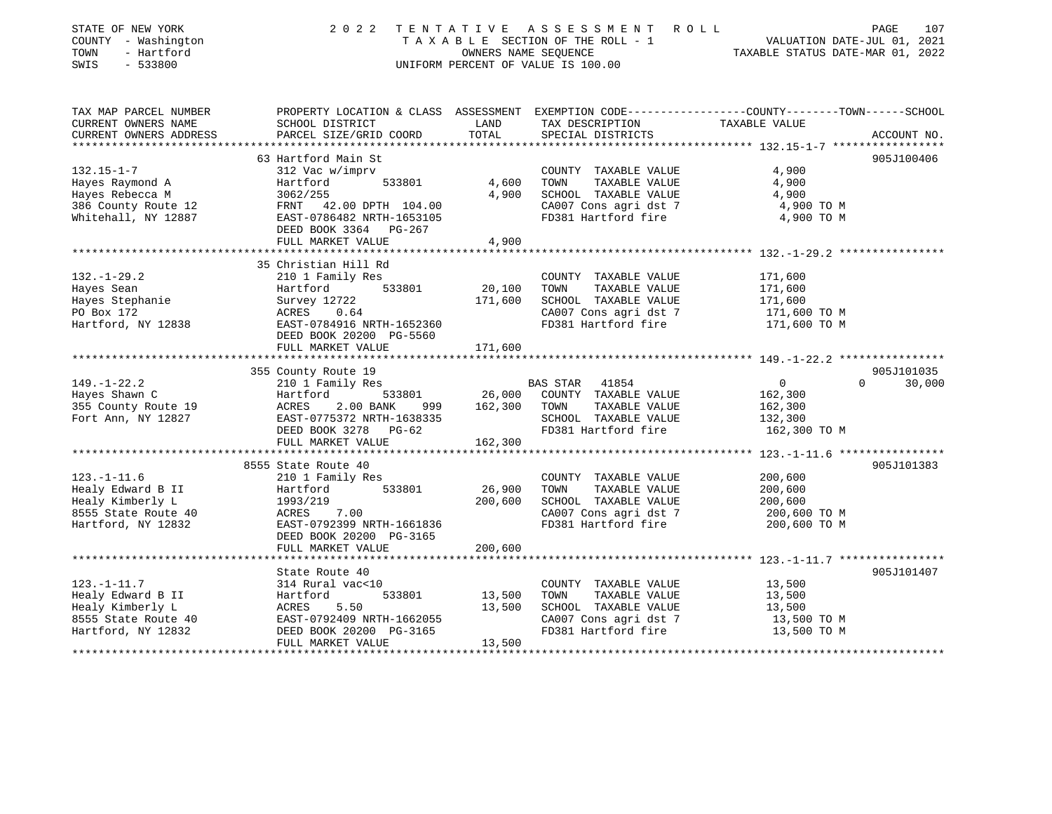| STATE OF NEW YORK      | 2022                      |         | TENTATIVE ASSESSMENT ROLL          | 107<br>PAGE                                                                                    |
|------------------------|---------------------------|---------|------------------------------------|------------------------------------------------------------------------------------------------|
| COUNTY - Washington    |                           |         | TAXABLE SECTION OF THE ROLL - 1    | VALUATION DATE-JUL 01, 2021                                                                    |
| TOWN<br>- Hartford     |                           |         | OWNERS NAME SEQUENCE               | TAXABLE STATUS DATE-MAR 01, 2022                                                               |
| SWIS<br>$-533800$      |                           |         | UNIFORM PERCENT OF VALUE IS 100.00 |                                                                                                |
|                        |                           |         |                                    |                                                                                                |
| TAX MAP PARCEL NUMBER  |                           |         |                                    | PROPERTY LOCATION & CLASS ASSESSMENT EXEMPTION CODE---------------COUNTY-------TOWN-----SCHOOL |
| CURRENT OWNERS NAME    | SCHOOL DISTRICT           | LAND    | TAX DESCRIPTION                    | TAXABLE VALUE                                                                                  |
| CURRENT OWNERS ADDRESS | PARCEL SIZE/GRID COORD    | TOTAL   | SPECIAL DISTRICTS                  | ACCOUNT NO.                                                                                    |
|                        | 63 Hartford Main St       |         |                                    | 905J100406                                                                                     |
| $132.15 - 1 - 7$       | 312 Vac w/imprv           |         | COUNTY TAXABLE VALUE               | 4,900                                                                                          |
| Hayes Raymond A        | Hartford<br>533801        | 4,600   | TAXABLE VALUE<br>TOWN              | 4,900                                                                                          |
| Hayes Rebecca M        | 3062/255                  | 4,900   | SCHOOL TAXABLE VALUE               | 4,900                                                                                          |
| 386 County Route 12    | FRNT 42.00 DPTH 104.00    |         | CA007 Cons agri dst 7              | 4,900 TO M                                                                                     |
| Whitehall, NY 12887    | EAST-0786482 NRTH-1653105 |         | FD381 Hartford fire                | 4,900 TO M                                                                                     |
|                        | DEED BOOK 3364<br>PG-267  |         |                                    |                                                                                                |
|                        | FULL MARKET VALUE         | 4,900   |                                    |                                                                                                |
|                        |                           |         |                                    |                                                                                                |
|                        | 35 Christian Hill Rd      |         |                                    |                                                                                                |
| $132. - 1 - 29.2$      | 210 1 Family Res          |         | COUNTY TAXABLE VALUE               | 171,600                                                                                        |
| Hayes Sean             | 533801<br>Hartford        | 20,100  | TAXABLE VALUE<br>TOWN              | 171,600                                                                                        |
| Hayes Stephanie        | Survey 12722              | 171,600 | SCHOOL TAXABLE VALUE               | 171,600                                                                                        |
| PO Box 172             | ACRES<br>0.64             |         | CA007 Cons agri dst 7              | 171,600 TO M                                                                                   |
| Hartford, NY 12838     | EAST-0784916 NRTH-1652360 |         | FD381 Hartford fire                | 171,600 TO M                                                                                   |
|                        | DEED BOOK 20200 PG-5560   |         |                                    |                                                                                                |
|                        | FULL MARKET VALUE         | 171,600 |                                    |                                                                                                |
|                        |                           |         |                                    |                                                                                                |
|                        | 355 County Route 19       |         |                                    | 905J101035                                                                                     |
| $149. - 1 - 22.2$      | 210 1 Family Res          |         | BAS STAR 41854                     | $\overline{0}$<br>$\Omega$<br>30,000                                                           |
| Hayes Shawn C          | Hartford<br>533801        | 26,000  | COUNTY TAXABLE VALUE               | 162,300                                                                                        |
| 355 County Route 19    | 2.00 BANK<br>ACRES<br>999 | 162,300 | TOWN<br>TAXABLE VALUE              | 162,300                                                                                        |
| Fort Ann, NY 12827     | EAST-0775372 NRTH-1638335 |         | SCHOOL TAXABLE VALUE               | 132,300                                                                                        |
|                        | DEED BOOK 3278 PG-62      |         | FD381 Hartford fire                | 162,300 TO M                                                                                   |
|                        | FULL MARKET VALUE         | 162,300 |                                    |                                                                                                |
|                        |                           |         |                                    | ************** 123.-1-11.6 *****************                                                   |
|                        | 8555 State Route 40       |         |                                    | 905J101383                                                                                     |
| $123. - 1 - 11.6$      | 210 1 Family Res          |         | COUNTY TAXABLE VALUE               | 200,600                                                                                        |
| Healy Edward B II      | 533801<br>Hartford        | 26,900  | TOWN<br>TAXABLE VALUE              | 200,600                                                                                        |
| Healy Kimberly L       | 1993/219                  | 200,600 | SCHOOL TAXABLE VALUE               | 200,600                                                                                        |
| 8555 State Route 40    | ACRES<br>7.00             |         | CA007 Cons agri dst 7              | 200,600 TO M                                                                                   |
| Hartford, NY 12832     | EAST-0792399 NRTH-1661836 |         | FD381 Hartford fire                | 200,600 TO M                                                                                   |
|                        | DEED BOOK 20200 PG-3165   |         |                                    |                                                                                                |
|                        | FULL MARKET VALUE         | 200,600 |                                    |                                                                                                |
|                        | *******************       |         |                                    | ****************** 123.-1-11.7 *****************                                               |
|                        | State Route 40            |         |                                    | 905J101407                                                                                     |
| $123. - 1 - 11.7$      |                           |         |                                    |                                                                                                |
|                        | 314 Rural vac<10          |         | COUNTY TAXABLE VALUE               | 13,500                                                                                         |
| Healy Edward B II      | 533801<br>Hartford        | 13,500  | TOWN<br>TAXABLE VALUE              | 13,500                                                                                         |
| Healy Kimberly L       | 5.50<br>ACRES             | 13,500  | SCHOOL TAXABLE VALUE               | 13,500                                                                                         |
| 8555 State Route 40    | EAST-0792409 NRTH-1662055 |         | CA007 Cons agri dst 7              | 13,500 TO M                                                                                    |
| Hartford, NY 12832     | DEED BOOK 20200 PG-3165   |         | FD381 Hartford fire                | 13,500 TO M                                                                                    |
|                        | FULL MARKET VALUE         | 13,500  |                                    |                                                                                                |
|                        |                           |         |                                    |                                                                                                |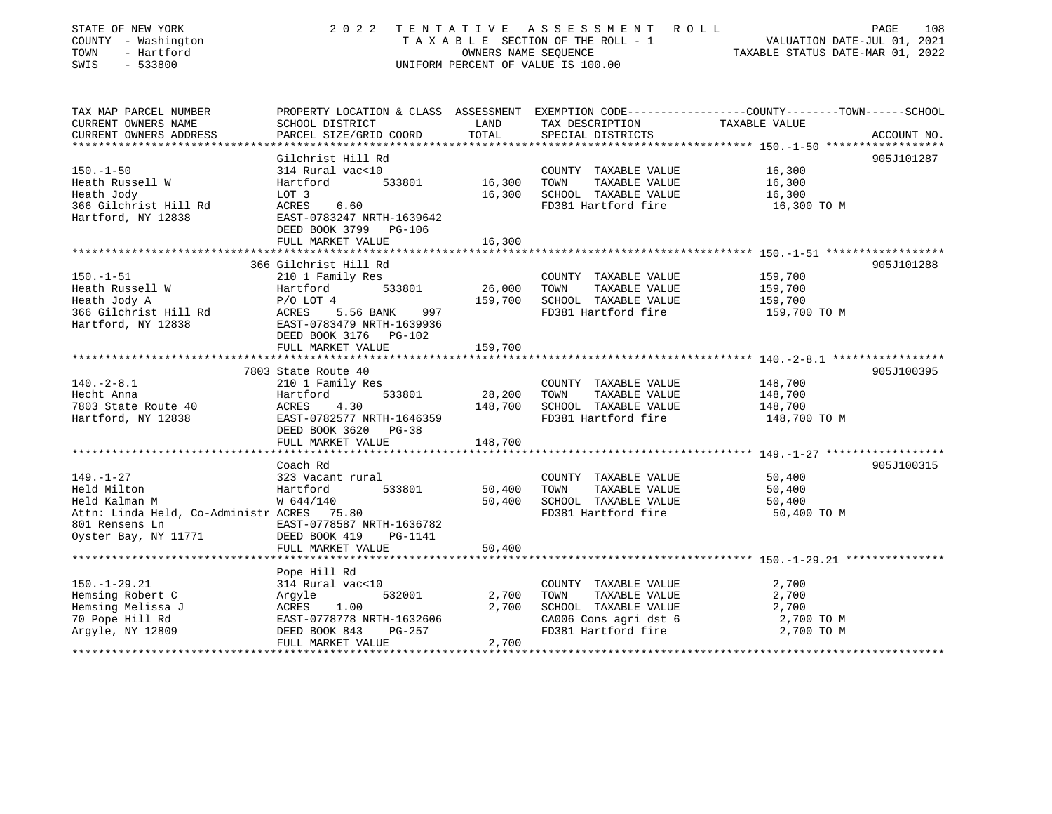| STATE OF NEW YORK<br>COUNTY - Washington<br>TOWN<br>- Hartford<br>SWIS<br>$-533800$ | 2022                                          | OWNERS NAME SEQUENCE | TENTATIVE ASSESSMENT ROLL<br>TAXABLE SECTION OF THE ROLL - 1<br>UNIFORM PERCENT OF VALUE IS 100.00 | PAGE<br>108<br>VALUATION DATE-JUL 01, 2021<br>TAXABLE STATUS DATE-MAR 01, 2022                                   |
|-------------------------------------------------------------------------------------|-----------------------------------------------|----------------------|----------------------------------------------------------------------------------------------------|------------------------------------------------------------------------------------------------------------------|
| TAX MAP PARCEL NUMBER<br>CURRENT OWNERS NAME                                        | SCHOOL DISTRICT                               | LAND                 | TAX DESCRIPTION                                                                                    | PROPERTY LOCATION & CLASS ASSESSMENT EXEMPTION CODE----------------COUNTY-------TOWN-----SCHOOL<br>TAXABLE VALUE |
| CURRENT OWNERS ADDRESS                                                              | PARCEL SIZE/GRID COORD                        | TOTAL                | SPECIAL DISTRICTS                                                                                  | ACCOUNT NO.                                                                                                      |
|                                                                                     |                                               |                      |                                                                                                    |                                                                                                                  |
| $150. - 1 - 50$                                                                     | Gilchrist Hill Rd<br>314 Rural vac<10         |                      | COUNTY TAXABLE VALUE                                                                               | 905J101287<br>16,300                                                                                             |
| Heath Russell W                                                                     | Hartford<br>533801                            | 16,300               | TOWN<br>TAXABLE VALUE                                                                              | 16,300                                                                                                           |
| Heath Jody                                                                          | LOT 3                                         | 16,300               | SCHOOL TAXABLE VALUE                                                                               | 16,300                                                                                                           |
| 366 Gilchrist Hill Rd                                                               | ACRES<br>6.60                                 |                      | FD381 Hartford fire                                                                                | 16,300 TO M                                                                                                      |
| Hartford, NY 12838                                                                  | EAST-0783247 NRTH-1639642                     |                      |                                                                                                    |                                                                                                                  |
|                                                                                     | DEED BOOK 3799<br>PG-106                      |                      |                                                                                                    |                                                                                                                  |
|                                                                                     | FULL MARKET VALUE                             | 16,300               |                                                                                                    |                                                                                                                  |
|                                                                                     | 366 Gilchrist Hill Rd                         |                      |                                                                                                    | 905J101288                                                                                                       |
| $150. - 1 - 51$                                                                     | 210 1 Family Res                              |                      | COUNTY TAXABLE VALUE                                                                               | 159,700                                                                                                          |
| Heath Russell W                                                                     | Hartford<br>533801                            | 26,000               | TOWN<br>TAXABLE VALUE                                                                              | 159,700                                                                                                          |
| Heath Jody A                                                                        | $P/O$ LOT 4                                   | 159,700              | SCHOOL TAXABLE VALUE                                                                               | 159,700                                                                                                          |
| 366 Gilchrist Hill Rd                                                               | ACRES<br>5.56 BANK<br>997                     |                      | FD381 Hartford fire                                                                                | 159,700 TO M                                                                                                     |
| Hartford, NY 12838                                                                  | EAST-0783479 NRTH-1639936                     |                      |                                                                                                    |                                                                                                                  |
|                                                                                     | DEED BOOK 3176 PG-102                         |                      |                                                                                                    |                                                                                                                  |
|                                                                                     | FULL MARKET VALUE<br>************************ | 159,700              |                                                                                                    | ************************************* 140.-2-8.1 ******************                                              |
|                                                                                     | 7803 State Route 40                           |                      |                                                                                                    | 905J100395                                                                                                       |
| $140. -2 - 8.1$                                                                     | 210 1 Family Res                              |                      | COUNTY TAXABLE VALUE                                                                               | 148,700                                                                                                          |
| Hecht Anna                                                                          | Hartford<br>533801                            | 28,200               | TOWN<br>TAXABLE VALUE                                                                              | 148,700                                                                                                          |
| 7803 State Route 40                                                                 | ACRES<br>4.30                                 | 148,700              | SCHOOL TAXABLE VALUE                                                                               | 148,700                                                                                                          |
| Hartford, NY 12838                                                                  | EAST-0782577 NRTH-1646359                     |                      | FD381 Hartford fire                                                                                | 148,700 TO M                                                                                                     |
|                                                                                     | DEED BOOK 3620<br>$PG-38$                     |                      |                                                                                                    |                                                                                                                  |
|                                                                                     | FULL MARKET VALUE                             | 148,700              |                                                                                                    |                                                                                                                  |
|                                                                                     | Coach Rd                                      |                      |                                                                                                    | 905J100315                                                                                                       |
| 149. – 1–27                                                                         | 323 Vacant rural                              |                      | COUNTY TAXABLE VALUE                                                                               | 50,400                                                                                                           |
| Held Milton                                                                         | 533801<br>Hartford                            | 50,400               | TAXABLE VALUE<br>TOWN                                                                              | 50,400                                                                                                           |
| Held Kalman M                                                                       | W 644/140                                     | 50,400               | SCHOOL TAXABLE VALUE                                                                               | 50,400                                                                                                           |
| Attn: Linda Held, Co-Administr ACRES 75.80                                          |                                               |                      | FD381 Hartford fire                                                                                | 50,400 TO M                                                                                                      |
| 801 Rensens Ln                                                                      | EAST-0778587 NRTH-1636782                     |                      |                                                                                                    |                                                                                                                  |
| Oyster Bay, NY 11771                                                                | DEED BOOK 419<br>PG-1141<br>FULL MARKET VALUE | 50,400               |                                                                                                    |                                                                                                                  |
|                                                                                     | **********************                        |                      |                                                                                                    | ****************************** 150.-1-29.21 ***************                                                      |
|                                                                                     | Pope Hill Rd                                  |                      |                                                                                                    |                                                                                                                  |
| $150. - 1 - 29.21$                                                                  | 314 Rural vac<10                              |                      | COUNTY TAXABLE VALUE                                                                               | 2,700                                                                                                            |
| Hemsing Robert C                                                                    | 532001<br>Argyle                              | 2,700                | TOWN<br>TAXABLE VALUE                                                                              | 2,700                                                                                                            |
| Hemsing Melissa J                                                                   | 1.00<br>ACRES                                 | 2,700                | SCHOOL TAXABLE VALUE                                                                               | 2,700                                                                                                            |
| 70 Pope Hill Rd                                                                     | EAST-0778778 NRTH-1632606                     |                      | CA006 Cons agri dst 6                                                                              | 2,700 TO M                                                                                                       |
| Argyle, NY 12809                                                                    | DEED BOOK 843<br>PG-257<br>FULL MARKET VALUE  | 2,700                | FD381 Hartford fire                                                                                | 2,700 TO M                                                                                                       |
|                                                                                     |                                               |                      |                                                                                                    |                                                                                                                  |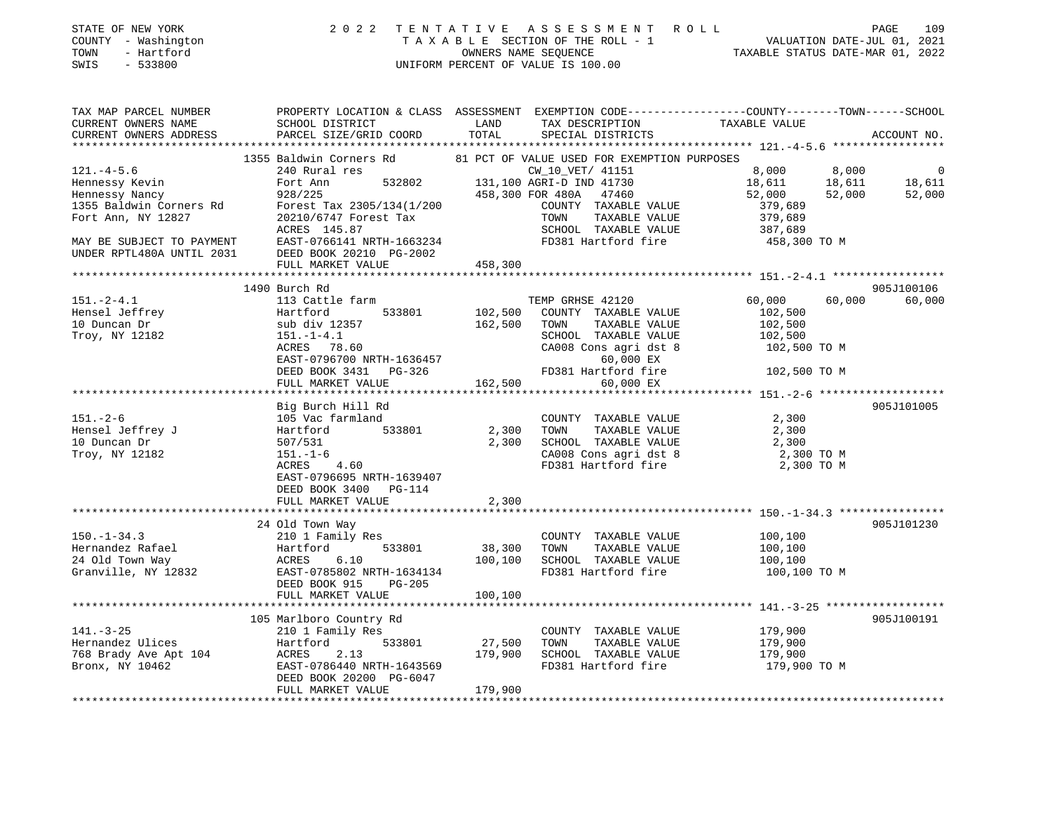| DIAID OF NOW IONN<br>COUNTY - Washington<br>TOWN<br>- Hartford<br>SWIS<br>$-533800$ | TAXABLE SECTION OF THE ROLL - 1<br>TAXABLE STATUS DATE-JUL 01, 2021<br>NALUATION DATE-JUL 01, 2021<br>TAXABLE STATUS DATE-MAR 01, 2022<br>UNIFORM PERCENT OF VALUE IS 100.00                                                        |         |                                                                  |                               |        |             |
|-------------------------------------------------------------------------------------|-------------------------------------------------------------------------------------------------------------------------------------------------------------------------------------------------------------------------------------|---------|------------------------------------------------------------------|-------------------------------|--------|-------------|
|                                                                                     |                                                                                                                                                                                                                                     |         |                                                                  |                               |        |             |
| TAX MAP PARCEL NUMBER                                                               | PROPERTY LOCATION & CLASS ASSESSMENT EXEMPTION CODE----------------COUNTY-------TOWN------SCHOOL                                                                                                                                    |         |                                                                  |                               |        |             |
| CURRENT OWNERS NAME                                                                 | SCHOOL DISTRICT LAND                                                                                                                                                                                                                |         | TAX DESCRIPTION TAXABLE VALUE                                    |                               |        |             |
| CURRENT OWNERS ADDRESS                                                              | PARCEL SIZE/GRID COORD                                                                                                                                                                                                              | TOTAL   | SPECIAL DISTRICTS                                                |                               |        | ACCOUNT NO. |
|                                                                                     |                                                                                                                                                                                                                                     |         |                                                                  |                               |        |             |
|                                                                                     | 1355 Baldwin Corners Rd 81 PCT OF VALUE USED FOR EXEMPTION PURPOSES                                                                                                                                                                 |         |                                                                  |                               |        |             |
|                                                                                     |                                                                                                                                                                                                                                     |         |                                                                  |                               |        |             |
|                                                                                     |                                                                                                                                                                                                                                     |         |                                                                  |                               |        |             |
|                                                                                     | 121.-4-5.6 240 Rural res<br>Hennessy Kevin Fort Ann 532802 131,100 AGRI-D IND 41730 18,611 18,611 18,611 18,611<br>Hennessy Nancy 928/225 458,300 FOR 480A 47460 52,000 52,000 52,000<br>1355 Baldwin Corners Rd Forest Tax 2305/13 |         |                                                                  |                               |        |             |
| Fort Ann, NY 12827                                                                  | 20210/6747 Forest Tax                                                                                                                                                                                                               |         | TOWN<br>TAXABLE VALUE                                            | 379,689                       |        |             |
|                                                                                     | ACRES 145.87                                                                                                                                                                                                                        |         |                                                                  |                               |        |             |
|                                                                                     | MAY BE SUBJECT TO PAYMENT EAST-0766141 NRTH-1663234                                                                                                                                                                                 |         | FD381 Hartford fire                                              |                               |        |             |
| UNDER RPTL480A UNTIL 2031                                                           | DEED BOOK 20210 PG-2002<br>FULL MARKET VALUE                                                                                                                                                                                        |         |                                                                  |                               |        |             |
|                                                                                     | FULL MARKET VALUE                                                                                                                                                                                                                   | 458,300 |                                                                  |                               |        |             |
|                                                                                     |                                                                                                                                                                                                                                     |         |                                                                  |                               |        |             |
|                                                                                     | 1490 Burch Rd                                                                                                                                                                                                                       |         |                                                                  |                               |        | 905J100106  |
| $151. - 2 - 4.1$                                                                    | 113 Cattle farm                                                                                                                                                                                                                     |         | TEMP GRHSE 42120                                                 | 60,000                        | 60,000 | 60,000      |
|                                                                                     |                                                                                                                                                                                                                                     |         |                                                                  | 102,500                       |        |             |
|                                                                                     |                                                                                                                                                                                                                                     |         | TAXABLE VALUE                                                    | 102,500<br>102,500            |        |             |
| Troy, NY 12182                                                                      |                                                                                                                                                                                                                                     |         |                                                                  |                               |        |             |
|                                                                                     | ACRES 78.60                                                                                                                                                                                                                         |         | CA008 Cons agri dst 8 102,500 TO M                               |                               |        |             |
|                                                                                     | EAST-0796700 NRTH-1636457<br>DEED BOOK 3431 PG-326 FD381 Hartford fire                                                                                                                                                              |         |                                                                  |                               |        |             |
|                                                                                     | FULL MARKET VALUE 162,500                                                                                                                                                                                                           |         |                                                                  | 102,500 TO M                  |        |             |
|                                                                                     |                                                                                                                                                                                                                                     |         | 60,000 EX                                                        |                               |        |             |
|                                                                                     | Big Burch Hill Rd                                                                                                                                                                                                                   |         |                                                                  |                               |        | 905J101005  |
|                                                                                     |                                                                                                                                                                                                                                     |         | COUNTY TAXABLE VALUE 2,300                                       |                               |        |             |
|                                                                                     |                                                                                                                                                                                                                                     |         | 2,300 TOWN<br>TAXABLE VALUE                                      | 2,300                         |        |             |
|                                                                                     | Hensel Jeffrey J<br>105 Vac farmland<br>10 Duncan Dr<br>Trov NY 12192                                                                                                                                                               |         | 2,300 SCHOOL TAXABLE VALUE                                       | 2,300                         |        |             |
| Troy, NY 12182                                                                      |                                                                                                                                                                                                                                     |         | CA008 Cons agri dst 8                                            | $2,300$ TO M                  |        |             |
|                                                                                     | $ACRES$ 4.60                                                                                                                                                                                                                        |         | FD381 Hartford fire                                              | 2,300 TO M                    |        |             |
|                                                                                     | EAST-0796695 NRTH-1639407                                                                                                                                                                                                           |         |                                                                  |                               |        |             |
|                                                                                     | DEED BOOK 3400 PG-114                                                                                                                                                                                                               |         |                                                                  |                               |        |             |
|                                                                                     | FULL MARKET VALUE                                                                                                                                                                                                                   | 2,300   |                                                                  |                               |        |             |
|                                                                                     |                                                                                                                                                                                                                                     |         |                                                                  |                               |        |             |
|                                                                                     | 24 Old Town Way                                                                                                                                                                                                                     |         |                                                                  |                               |        | 905J101230  |
| $150. - 1 - 34.3$                                                                   | 210 1 Family Res                                                                                                                                                                                                                    |         | COUNTY TAXABLE VALUE                                             |                               |        |             |
|                                                                                     | 533801 38,300 TOWN                                                                                                                                                                                                                  |         | TAXABLE VALUE                                                    | 100,100<br>100,100<br>100,100 |        |             |
|                                                                                     |                                                                                                                                                                                                                                     |         | 100,100 SCHOOL TAXABLE VALUE<br>FD381 Hartford fire 100,100 TO M | 100,100                       |        |             |
|                                                                                     |                                                                                                                                                                                                                                     |         |                                                                  |                               |        |             |
|                                                                                     | DEED BOOK 915 PG-205<br>FULL MARKET VALUE                                                                                                                                                                                           | 100,100 |                                                                  |                               |        |             |
|                                                                                     |                                                                                                                                                                                                                                     |         |                                                                  |                               |        |             |
|                                                                                     | 105 Marlboro Country Rd                                                                                                                                                                                                             |         |                                                                  |                               |        | 905J100191  |
| $141. - 3 - 25$                                                                     |                                                                                                                                                                                                                                     |         |                                                                  |                               |        |             |
|                                                                                     |                                                                                                                                                                                                                                     |         | COUNTY TAXABLE VALUE 179,900<br>TOWN TAXABLE VALUE 179,900       |                               |        |             |
| Hernandez Ulices<br>768 Brady Ave Apt 104<br>Bronx, NY 10462                        | ACRES 2.13                                                                                                                                                                                                                          | 179,900 | SCHOOL TAXABLE VALUE                                             | 179,900                       |        |             |
|                                                                                     | EAST-0786440 NRTH-1643569                                                                                                                                                                                                           |         | FD381 Hartford fire                                              | 179,900 TO M                  |        |             |

DEED BOOK 20200 PG-6047

FULL MARKET VALUE 179,900

STATE OF NEW YORK 2 0 2 2 T E N T A T I V E A S S E S S M E N T R O L L PAGE 109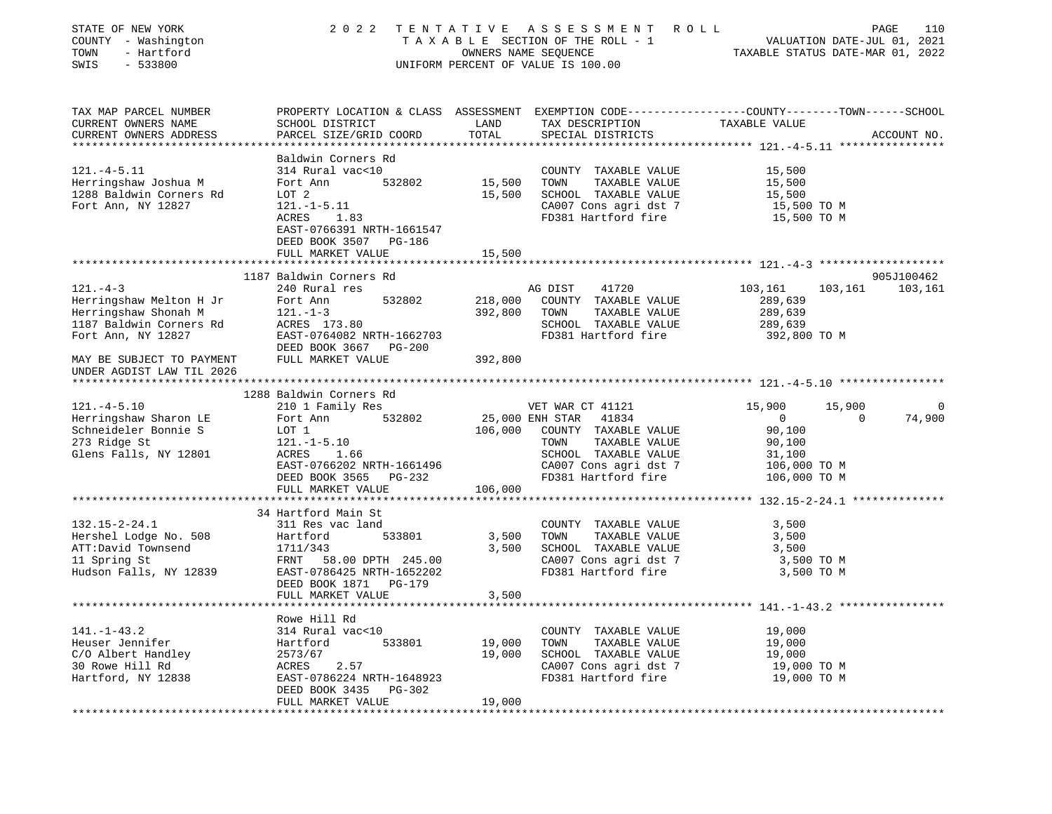| STATE OF NEW YORK<br>COUNTY - Washington<br>- Hartford<br>TOWN<br>$-533800$<br>SWIS                                | 2 0 2 2                                                                                                                                                                                |                            | TENTATIVE ASSESSMENT ROLL<br>TAXABLE SECTION OF THE ROLL - 1<br>OWNERS NAME SEQUENCE<br>UNIFORM PERCENT OF VALUE IS 100.00                                            | VALUATION DATE-JUL 01, 2021<br>TAXABLE STATUS DATE-MAR 01, 2022                                              | 110<br>PAGE           |
|--------------------------------------------------------------------------------------------------------------------|----------------------------------------------------------------------------------------------------------------------------------------------------------------------------------------|----------------------------|-----------------------------------------------------------------------------------------------------------------------------------------------------------------------|--------------------------------------------------------------------------------------------------------------|-----------------------|
| TAX MAP PARCEL NUMBER<br>CURRENT OWNERS NAME<br>CURRENT OWNERS ADDRESS<br>***********************                  | PROPERTY LOCATION & CLASS ASSESSMENT EXEMPTION CODE---------------COUNTY-------TOWN-----SCHOOL<br>SCHOOL DISTRICT<br>PARCEL SIZE/GRID COORD                                            | LAND<br>TOTAL              | TAX DESCRIPTION<br>SPECIAL DISTRICTS                                                                                                                                  | TAXABLE VALUE                                                                                                | ACCOUNT NO.           |
| $121. -4 - 5.11$<br>Herringshaw Joshua M<br>1288 Baldwin Corners Rd<br>Fort Ann, NY 12827                          | Baldwin Corners Rd<br>314 Rural vac<10<br>532802<br>Fort Ann<br>LOT 2<br>$121. - 1 - 5.11$<br>ACRES<br>1.83<br>EAST-0766391 NRTH-1661547<br>DEED BOOK 3507 PG-186<br>FULL MARKET VALUE | 15,500<br>15,500<br>15,500 | COUNTY TAXABLE VALUE<br>TOWN<br>TAXABLE VALUE<br>SCHOOL TAXABLE VALUE<br>CA007 Cons agri dst 7<br>FD381 Hartford fire                                                 | 15,500<br>15,500<br>15,500<br>15,500 TO M<br>15,500 TO M                                                     |                       |
|                                                                                                                    |                                                                                                                                                                                        |                            |                                                                                                                                                                       |                                                                                                              |                       |
| $121. - 4 - 3$<br>Herringshaw Melton H Jr<br>Herringshaw Shonah M<br>1187 Baldwin Corners Rd<br>Fort Ann, NY 12827 | 1187 Baldwin Corners Rd<br>240 Rural res<br>532802<br>Fort Ann<br>$121. - 1 - 3$<br>ACRES 173.80<br>EAST-0764082 NRTH-1662703<br>DEED BOOK 3667 PG-200                                 | 218,000<br>392,800         | AG DIST<br>41720<br>COUNTY TAXABLE VALUE<br>TAXABLE VALUE<br>TOWN<br>SCHOOL TAXABLE VALUE<br>FD381 Hartford fire                                                      | 103,161<br>103,161<br>289,639<br>289,639<br>289,639<br>392,800 TO M                                          | 905J100462<br>103,161 |
| MAY BE SUBJECT TO PAYMENT<br>UNDER AGDIST LAW TIL 2026                                                             | FULL MARKET VALUE                                                                                                                                                                      | 392,800                    |                                                                                                                                                                       |                                                                                                              |                       |
|                                                                                                                    | 1288 Baldwin Corners Rd                                                                                                                                                                |                            |                                                                                                                                                                       |                                                                                                              |                       |
| $121. -4 - 5.10$<br>Herringshaw Sharon LE<br>Schneideler Bonnie S<br>273 Ridge St<br>Glens Falls, NY 12801         | 210 1 Family Res<br>Fort Ann<br>532802<br>LOT 1<br>$121. - 1 - 5.10$<br>ACRES<br>1.66<br>EAST-0766202 NRTH-1661496<br>DEED BOOK 3565 PG-232<br>FULL MARKET VALUE                       | 106,000<br>106,000         | VET WAR CT 41121<br>25,000 ENH STAR<br>41834<br>COUNTY TAXABLE VALUE<br>TAXABLE VALUE<br>TOWN<br>SCHOOL TAXABLE VALUE<br>CA007 Cons agri dst 7<br>FD381 Hartford fire | 15,900<br>15,900<br>$\overline{0}$<br>$\Omega$<br>90,100<br>90,100<br>31,100<br>106,000 TO M<br>106,000 TO M | 74,900                |
|                                                                                                                    |                                                                                                                                                                                        |                            |                                                                                                                                                                       |                                                                                                              |                       |
| $132.15 - 2 - 24.1$<br>Hershel Lodge No. 508<br>ATT:David Townsend<br>11 Spring St<br>Hudson Falls, NY 12839       | 34 Hartford Main St<br>311 Res vac land<br>Hartford<br>533801<br>1711/343<br>FRNT 58.00 DPTH 245.00<br>EAST-0786425 NRTH-1652202                                                       | 3,500<br>3,500             | COUNTY TAXABLE VALUE<br>TOWN<br>TAXABLE VALUE<br>SCHOOL TAXABLE VALUE<br>CA007 Cons agri dst 7<br>FD381 Hartford fire                                                 | 3,500<br>3,500<br>3,500<br>3,500 TO M<br>3,500 TO M                                                          |                       |
|                                                                                                                    | DEED BOOK 1871 PG-179<br>FULL MARKET VALUE                                                                                                                                             | 3,500                      |                                                                                                                                                                       |                                                                                                              |                       |
| $141. - 1 - 43.2$<br>Heuser Jennifer<br>C/O Albert Handley<br>30 Rowe Hill Rd<br>Hartford, NY 12838                | Rowe Hill Rd<br>314 Rural vac<10<br>533801<br>Hartford<br>2573/67<br>2.57<br>ACRES<br>EAST-0786224 NRTH-1648923<br>DEED BOOK 3435<br>PG-302<br>FULL MARKET VALUE                       | 19,000<br>19,000<br>19,000 | COUNTY TAXABLE VALUE<br>TOWN<br>TAXABLE VALUE<br>SCHOOL TAXABLE VALUE<br>CA007 Cons agri dst 7<br>FD381 Hartford fire                                                 | 19,000<br>19,000<br>19,000<br>19,000 TO M<br>19,000 TO M                                                     |                       |
|                                                                                                                    |                                                                                                                                                                                        |                            |                                                                                                                                                                       |                                                                                                              |                       |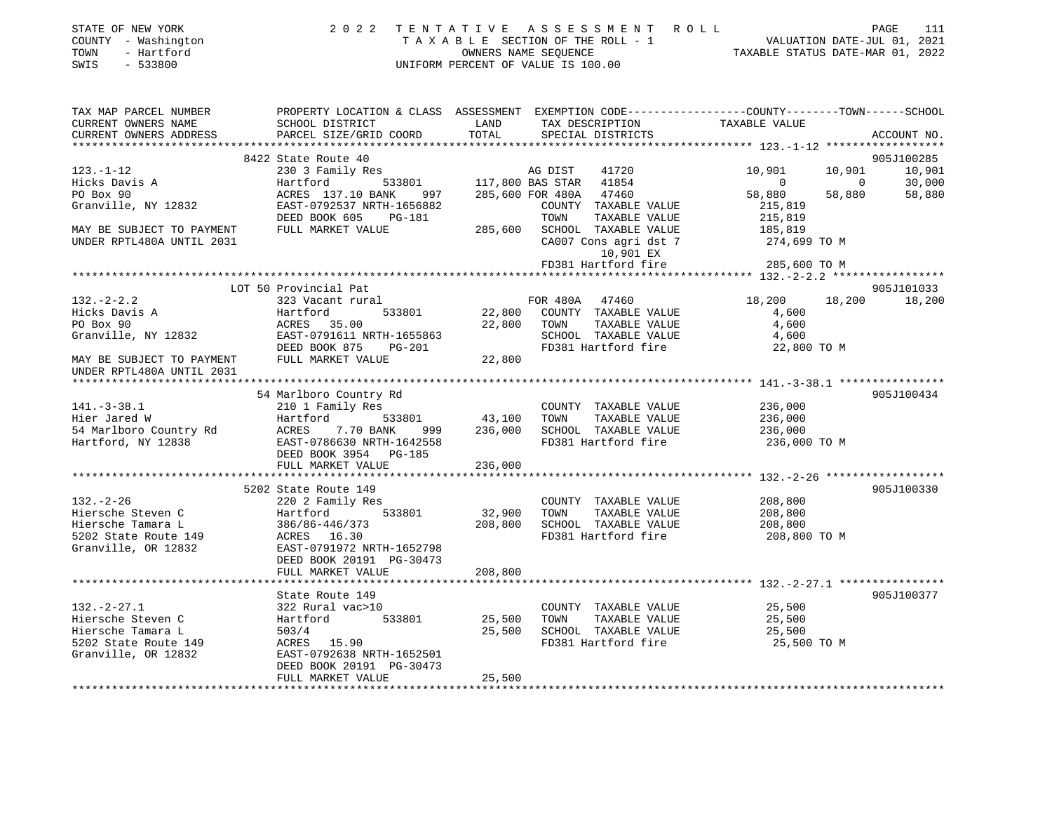| STATE OF NEW YORK   | 2022 TENTATIVE ASSESSMENT ROLL     | 111<br>PAGE                      |
|---------------------|------------------------------------|----------------------------------|
| COUNTY - Washington | TAXABLE SECTION OF THE ROLL - 1    | VALUATION DATE-JUL 01, 2021      |
| TOWN<br>- Hartford  | OWNERS NAME SEOUENCE               | TAXABLE STATUS DATE-MAR 01, 2022 |
| SWIS - 533800       | UNIFORM PERCENT OF VALUE IS 100.00 |                                  |
|                     |                                    |                                  |

| TAX MAP PARCEL NUMBER                                                                                                                                                                                                                                                                                                                                                                                                                                                                                  | PROPERTY LOCATION & CLASS ASSESSMENT EXEMPTION CODE---------------COUNTY-------TOWN-----SCHOOL |                                                |                                                    |                                                                                                    |                |             |
|--------------------------------------------------------------------------------------------------------------------------------------------------------------------------------------------------------------------------------------------------------------------------------------------------------------------------------------------------------------------------------------------------------------------------------------------------------------------------------------------------------|------------------------------------------------------------------------------------------------|------------------------------------------------|----------------------------------------------------|----------------------------------------------------------------------------------------------------|----------------|-------------|
| CURRENT OWNERS NAME                                                                                                                                                                                                                                                                                                                                                                                                                                                                                    | SCHOOL DISTRICT                                                                                | LAND                                           | TAX DESCRIPTION                                    | TAXABLE VALUE                                                                                      |                |             |
| CURRENT OWNERS ADDRESS . PARCEL SIZE/GRID COORD TOTAL SPECIAL DISTRICTS                                                                                                                                                                                                                                                                                                                                                                                                                                |                                                                                                |                                                |                                                    |                                                                                                    |                | ACCOUNT NO. |
|                                                                                                                                                                                                                                                                                                                                                                                                                                                                                                        |                                                                                                |                                                |                                                    |                                                                                                    |                |             |
|                                                                                                                                                                                                                                                                                                                                                                                                                                                                                                        | 8422 State Route 40                                                                            |                                                |                                                    |                                                                                                    |                | 905J100285  |
| $123. - 1 - 12$                                                                                                                                                                                                                                                                                                                                                                                                                                                                                        | 230 3 Family Res                                                                               | MG DIST 41720<br>533801 117,800 BAS STAR 41854 | 41720                                              | 10,901                                                                                             | 10,901         | 10,901      |
| Hicks Davis A                                                                                                                                                                                                                                                                                                                                                                                                                                                                                          | Hartford                                                                                       |                                                |                                                    | $\overline{0}$                                                                                     | $\overline{0}$ | 30,000      |
| PO Box 90                                                                                                                                                                                                                                                                                                                                                                                                                                                                                              | ACRES 137.10 BANK 997 285,600 FOR 480A 47460                                                   |                                                |                                                    | 58,880                                                                                             | 58,880         | 58,880      |
| Granville, NY 12832                                                                                                                                                                                                                                                                                                                                                                                                                                                                                    | EAST-0792537 NRTH-1656882                                                                      |                                                | COUNTY TAXABLE VALUE                               | 215,819                                                                                            |                |             |
|                                                                                                                                                                                                                                                                                                                                                                                                                                                                                                        | DEED BOOK 605 PG-181                                                                           |                                                |                                                    | COUNTY TAXABLE VALUE 215,819<br>TOWN TAXABLE VALUE 215,819<br>285,600 SCHOOL TAXABLE VALUE 185,819 |                |             |
| MAY BE SUBJECT TO PAYMENT                                                                                                                                                                                                                                                                                                                                                                                                                                                                              | FULL MARKET VALUE                                                                              |                                                |                                                    |                                                                                                    |                |             |
| UNDER RPTL480A UNTIL 2031                                                                                                                                                                                                                                                                                                                                                                                                                                                                              |                                                                                                |                                                |                                                    | CA007 Cons agri dst 7 274,699 TO M                                                                 |                |             |
|                                                                                                                                                                                                                                                                                                                                                                                                                                                                                                        |                                                                                                |                                                | 10,901 EX                                          |                                                                                                    |                |             |
|                                                                                                                                                                                                                                                                                                                                                                                                                                                                                                        |                                                                                                |                                                | FD381 Hartford fire                                | 285,600 TO M                                                                                       |                |             |
|                                                                                                                                                                                                                                                                                                                                                                                                                                                                                                        |                                                                                                |                                                |                                                    |                                                                                                    |                |             |
|                                                                                                                                                                                                                                                                                                                                                                                                                                                                                                        | LOT 50 Provincial Pat                                                                          |                                                |                                                    |                                                                                                    |                | 905J101033  |
| $132. - 2 - 2.2$                                                                                                                                                                                                                                                                                                                                                                                                                                                                                       | FOR 480A 47460<br>533801 22,800 COUNTY TAXABLE VALUE<br>323 Vacant rural                       |                                                |                                                    | 18,200 18,200                                                                                      |                | 18,200      |
| 132.-2<br>Hicks Davis A                                                                                                                                                                                                                                                                                                                                                                                                                                                                                | Hartford                                                                                       |                                                |                                                    |                                                                                                    |                |             |
|                                                                                                                                                                                                                                                                                                                                                                                                                                                                                                        |                                                                                                |                                                |                                                    | 4,600<br>4,600                                                                                     |                |             |
|                                                                                                                                                                                                                                                                                                                                                                                                                                                                                                        |                                                                                                |                                                |                                                    |                                                                                                    |                |             |
|                                                                                                                                                                                                                                                                                                                                                                                                                                                                                                        |                                                                                                |                                                |                                                    |                                                                                                    |                |             |
| PO Box 90<br>Granville, NY 12832 EAST-0791611 NRTH-1655863<br>MAY BE SUBJECT TO PAYMENT FULL MARKET VALUE PULL MARKET VALUE<br>FULL MARKET VALUE 22,800<br>TAY BE SUBJECT TO PAYMENT<br>FULL MARKET VALUE 22,800<br>TO PAYMENT 2021<br>FULL                                                                                                                                                                                                                                                            |                                                                                                |                                                |                                                    |                                                                                                    |                |             |
| UNDER RPTL480A UNTIL 2031                                                                                                                                                                                                                                                                                                                                                                                                                                                                              |                                                                                                |                                                |                                                    |                                                                                                    |                |             |
|                                                                                                                                                                                                                                                                                                                                                                                                                                                                                                        |                                                                                                |                                                |                                                    |                                                                                                    |                |             |
|                                                                                                                                                                                                                                                                                                                                                                                                                                                                                                        | 54 Marlboro Country Rd                                                                         |                                                |                                                    |                                                                                                    |                | 905J100434  |
| 141.-3-38.1 210 1 Family Ru 210 1 Family Res<br>Hier Jared W Hartford 533801 43,100 TOWN TAXABLE VALUE<br>54 Marlboro Country Rd ACRES 7.70 BANK 999 236,000 SCHOOL TAXABLE VALUE<br>Hartford, NY 12838 EAST-0786630 NRTH-1642558 FD                                                                                                                                                                                                                                                                   |                                                                                                |                                                |                                                    |                                                                                                    |                |             |
|                                                                                                                                                                                                                                                                                                                                                                                                                                                                                                        |                                                                                                |                                                |                                                    | COUNTY TAXABLE VALUE 236,000<br>236,000                                                            |                |             |
|                                                                                                                                                                                                                                                                                                                                                                                                                                                                                                        |                                                                                                |                                                |                                                    |                                                                                                    |                |             |
|                                                                                                                                                                                                                                                                                                                                                                                                                                                                                                        |                                                                                                |                                                |                                                    | $\frac{36}{999}$ 236,000 SCHOOL TAXABLE VALUE 236,000<br>642558 FD381 Hartford fire 236,000 TO M   |                |             |
|                                                                                                                                                                                                                                                                                                                                                                                                                                                                                                        |                                                                                                |                                                |                                                    |                                                                                                    |                |             |
|                                                                                                                                                                                                                                                                                                                                                                                                                                                                                                        |                                                                                                |                                                |                                                    |                                                                                                    |                |             |
|                                                                                                                                                                                                                                                                                                                                                                                                                                                                                                        | FULL MARKET VALUE                                                                              | 236,000                                        |                                                    |                                                                                                    |                |             |
|                                                                                                                                                                                                                                                                                                                                                                                                                                                                                                        |                                                                                                |                                                |                                                    |                                                                                                    |                |             |
|                                                                                                                                                                                                                                                                                                                                                                                                                                                                                                        | 5202 State Route 149                                                                           |                                                |                                                    |                                                                                                    |                | 905J100330  |
|                                                                                                                                                                                                                                                                                                                                                                                                                                                                                                        | 220 2 Family Res                                                                               |                                                | COUNTY TAXABLE VALUE<br>32,900 TOWN TAXABLE VALUE  |                                                                                                    |                |             |
|                                                                                                                                                                                                                                                                                                                                                                                                                                                                                                        |                                                                                                |                                                |                                                    |                                                                                                    |                |             |
|                                                                                                                                                                                                                                                                                                                                                                                                                                                                                                        |                                                                                                |                                                |                                                    |                                                                                                    |                |             |
| $\begin{array}{lllllllllllllllllllllll} \end{array} & \begin{array}{lllllllllllllllllllll} \end{array} & \begin{array}{lllllllllllllllllllll} \end{array} & \begin{array}{lllllllllllllllllllll} \end{array} & \begin{array}{lllllllllllllllllllllll} \end{array} & \begin{array}{lllllllllllllllllllllllllllllll} \end{array} & \begin{array}{lllllllllllllllllllllllllllllll} \end{array} & \begin{array}{lllllllllllllllllllllllllllllll} \end{array} & \begin{array}{llllllllllllllllllllllllllll$ |                                                                                                |                                                |                                                    | 208,800 TO M                                                                                       |                |             |
|                                                                                                                                                                                                                                                                                                                                                                                                                                                                                                        |                                                                                                |                                                |                                                    |                                                                                                    |                |             |
|                                                                                                                                                                                                                                                                                                                                                                                                                                                                                                        | DEED BOOK 20191 PG-30473                                                                       |                                                |                                                    |                                                                                                    |                |             |
|                                                                                                                                                                                                                                                                                                                                                                                                                                                                                                        | FULL MARKET VALUE                                                                              | 208,800                                        |                                                    |                                                                                                    |                |             |
|                                                                                                                                                                                                                                                                                                                                                                                                                                                                                                        |                                                                                                |                                                |                                                    |                                                                                                    |                |             |
|                                                                                                                                                                                                                                                                                                                                                                                                                                                                                                        | State Route 149                                                                                |                                                |                                                    |                                                                                                    |                | 905J100377  |
| $132 - 2 - 27.1$                                                                                                                                                                                                                                                                                                                                                                                                                                                                                       |                                                                                                |                                                | COUNTY TAXABLE VALUE                               | 25,500                                                                                             |                |             |
| Hiersche Steven C                                                                                                                                                                                                                                                                                                                                                                                                                                                                                      |                                                                                                |                                                |                                                    | TAXABLE VALUE 25,500                                                                               |                |             |
| Hiersche Tamara L                                                                                                                                                                                                                                                                                                                                                                                                                                                                                      | 503/4                                                                                          |                                                | 25,500 SCHOOL TAXABLE VALUE<br>FD381 Hartford fire | 25,500                                                                                             |                |             |
| 5202 State Route 149                                                                                                                                                                                                                                                                                                                                                                                                                                                                                   | ACRES 15.90                                                                                    |                                                |                                                    | 25,500 TO M                                                                                        |                |             |
| Granville, OR 12832                                                                                                                                                                                                                                                                                                                                                                                                                                                                                    | EAST-0792638 NRTH-1652501                                                                      |                                                |                                                    |                                                                                                    |                |             |
|                                                                                                                                                                                                                                                                                                                                                                                                                                                                                                        | DEED BOOK 20191 PG-30473                                                                       |                                                |                                                    |                                                                                                    |                |             |
|                                                                                                                                                                                                                                                                                                                                                                                                                                                                                                        | FULL MARKET VALUE                                                                              | 25,500                                         |                                                    |                                                                                                    |                |             |
|                                                                                                                                                                                                                                                                                                                                                                                                                                                                                                        |                                                                                                |                                                |                                                    |                                                                                                    |                |             |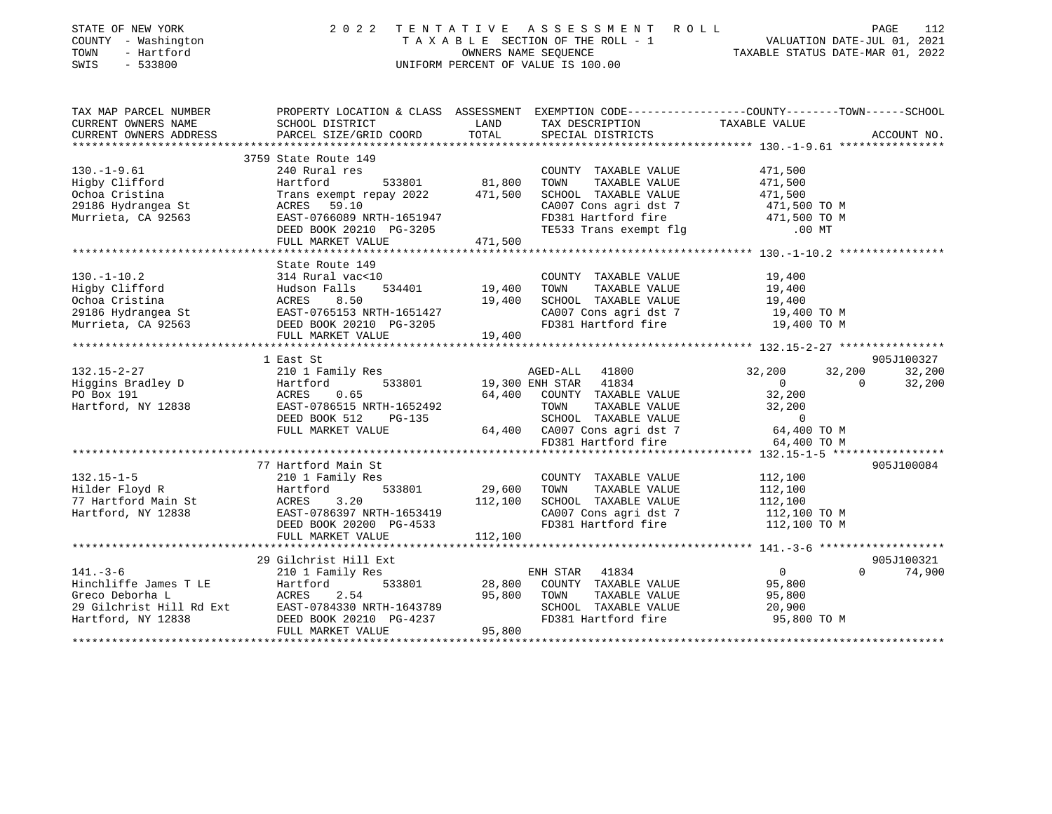| STATE OF NEW YORK<br>COUNTY - Washington<br>- Hartford<br>TOWN<br>SWIS<br>$-533800$ | 2 0 2 2                                                                                                             | TENTATIVE        | ASSESSMENT ROLL<br>TAXABLE SECTION OF THE ROLL - 1<br>OWNERS NAME SEQUENCE<br>UNIFORM PERCENT OF VALUE IS 100.00 | PAGE 112<br>VALUATION DATE-JUL 01, 2021<br>TAXABLE STATUS DATE WARE 2021 |                      |
|-------------------------------------------------------------------------------------|---------------------------------------------------------------------------------------------------------------------|------------------|------------------------------------------------------------------------------------------------------------------|--------------------------------------------------------------------------|----------------------|
| TAX MAP PARCEL NUMBER<br>CURRENT OWNERS NAME                                        | PROPERTY LOCATION & CLASS ASSESSMENT EXEMPTION CODE----------------COUNTY-------TOWN------SCHOOL<br>SCHOOL DISTRICT | LAND             | TAX DESCRIPTION                                                                                                  | TAXABLE VALUE                                                            |                      |
| CURRENT OWNERS ADDRESS                                                              | PARCEL SIZE/GRID COORD                                                                                              | TOTAL            | SPECIAL DISTRICTS                                                                                                |                                                                          | ACCOUNT NO.          |
|                                                                                     |                                                                                                                     |                  |                                                                                                                  |                                                                          |                      |
|                                                                                     | 3759 State Route 149                                                                                                |                  |                                                                                                                  |                                                                          |                      |
| $130. - 1 - 9.61$                                                                   | 240 Rural res                                                                                                       |                  | COUNTY TAXABLE VALUE                                                                                             | 471,500                                                                  |                      |
| Higby Clifford                                                                      | Hartford<br>533801                                                                                                  | 81,800           | TOWN<br>TAXABLE VALUE                                                                                            | 471,500                                                                  |                      |
| Ochoa Cristina<br>29186 Hydrangea St                                                | Trans exempt repay 2022<br>59.10<br>ACRES                                                                           | 471,500          | SCHOOL TAXABLE VALUE<br>CA007 Cons agri dst 7                                                                    | 471,500                                                                  |                      |
| Murrieta, CA 92563                                                                  | EAST-0766089 NRTH-1651947                                                                                           |                  | FD381 Hartford fire                                                                                              | 471,500 TO M<br>471,500 TO M                                             |                      |
|                                                                                     | DEED BOOK 20210 PG-3205                                                                                             |                  | TE533 Trans exempt flg                                                                                           | $.00$ MT                                                                 |                      |
|                                                                                     | FULL MARKET VALUE                                                                                                   | 471,500          |                                                                                                                  |                                                                          |                      |
|                                                                                     |                                                                                                                     |                  |                                                                                                                  |                                                                          |                      |
|                                                                                     | State Route 149                                                                                                     |                  |                                                                                                                  |                                                                          |                      |
| $130. - 1 - 10.2$                                                                   | 314 Rural vac<10                                                                                                    |                  | COUNTY TAXABLE VALUE                                                                                             | 19,400                                                                   |                      |
| Higby Clifford                                                                      | Hudson Falls<br>534401                                                                                              | 19,400           | TOWN<br>TAXABLE VALUE                                                                                            | 19,400                                                                   |                      |
| Ochoa Cristina                                                                      | 8.50<br>ACRES                                                                                                       | 19,400           | SCHOOL TAXABLE VALUE                                                                                             | 19,400                                                                   |                      |
| 29186 Hydrangea St                                                                  | EAST-0765153 NRTH-1651427                                                                                           |                  | CA007 Cons agri dst 7                                                                                            | 19,400 TO M                                                              |                      |
| Murrieta, CA 92563                                                                  | DEED BOOK 20210 PG-3205                                                                                             |                  | FD381 Hartford fire                                                                                              | 19,400 TO M                                                              |                      |
|                                                                                     | FULL MARKET VALUE<br>************************                                                                       | 19,400           |                                                                                                                  |                                                                          |                      |
|                                                                                     |                                                                                                                     |                  |                                                                                                                  |                                                                          |                      |
| $132.15 - 2 - 27$                                                                   | 1 East St                                                                                                           |                  | AGED-ALL<br>41800                                                                                                | 32,200<br>32,200                                                         | 905J100327<br>32,200 |
| Higgins Bradley D                                                                   | 210 1 Family Res<br>533801                                                                                          |                  | 19,300 ENH STAR 41834                                                                                            | $\circ$<br>$\Omega$                                                      | 32,200               |
| PO Box 191                                                                          | Hartford<br>0.65<br>ACRES                                                                                           | 64,400           | COUNTY TAXABLE VALUE                                                                                             | 32,200                                                                   |                      |
| Hartford, NY 12838                                                                  | EAST-0786515 NRTH-1652492                                                                                           |                  | TOWN<br>TAXABLE VALUE                                                                                            | 32,200                                                                   |                      |
|                                                                                     | DEED BOOK 512<br>PG-135                                                                                             |                  | SCHOOL TAXABLE VALUE                                                                                             | $\mathbf 0$                                                              |                      |
|                                                                                     | FULL MARKET VALUE                                                                                                   | 64,400           | CA007 Cons agri dst 7                                                                                            | 64,400 TO M                                                              |                      |
|                                                                                     |                                                                                                                     |                  | FD381 Hartford fire                                                                                              | 64,400 TO M                                                              |                      |
|                                                                                     |                                                                                                                     |                  |                                                                                                                  |                                                                          |                      |
|                                                                                     | 77 Hartford Main St                                                                                                 |                  |                                                                                                                  |                                                                          | 905J100084           |
| $132.15 - 1 - 5$                                                                    | 210 1 Family Res                                                                                                    |                  | COUNTY TAXABLE VALUE                                                                                             | 112,100                                                                  |                      |
| Hilder Floyd R                                                                      | Hartford<br>533801                                                                                                  | 29,600           | TAXABLE VALUE<br>TOWN                                                                                            | 112,100                                                                  |                      |
| 77 Hartford Main St                                                                 | ACRES<br>3.20                                                                                                       | 112,100          | SCHOOL TAXABLE VALUE                                                                                             | 112,100                                                                  |                      |
| Hartford, NY 12838                                                                  | EAST-0786397 NRTH-1653419                                                                                           |                  | CA007 Cons agri dst 7                                                                                            | 112,100 TO M                                                             |                      |
|                                                                                     | DEED BOOK 20200 PG-4533                                                                                             |                  | FD381 Hartford fire                                                                                              | 112,100 TO M                                                             |                      |
|                                                                                     | FULL MARKET VALUE                                                                                                   | 112,100          |                                                                                                                  |                                                                          |                      |
|                                                                                     |                                                                                                                     |                  |                                                                                                                  |                                                                          |                      |
|                                                                                     | 29 Gilchrist Hill Ext                                                                                               |                  |                                                                                                                  |                                                                          | 905J100321           |
| $141. - 3 - 6$                                                                      | 210 1 Family Res                                                                                                    |                  | ENH STAR<br>41834                                                                                                | 0<br>$\Omega$                                                            | 74,900               |
| Hinchliffe James T LE<br>Greco Deborha L                                            | Hartford<br>533801<br>ACRES<br>2.54                                                                                 | 28,800<br>95,800 | COUNTY TAXABLE VALUE<br>TAXABLE VALUE<br>TOWN                                                                    | 95,800<br>95,800                                                         |                      |
| 29 Gilchrist Hill Rd Ext                                                            | EAST-0784330 NRTH-1643789                                                                                           |                  | SCHOOL TAXABLE VALUE                                                                                             | 20,900                                                                   |                      |
| Hartford, NY 12838                                                                  | DEED BOOK 20210 PG-4237                                                                                             |                  | FD381 Hartford fire                                                                                              | 95,800 TO M                                                              |                      |
|                                                                                     | FULL MARKET VALUE                                                                                                   | 95,800           |                                                                                                                  |                                                                          |                      |
|                                                                                     |                                                                                                                     |                  |                                                                                                                  |                                                                          |                      |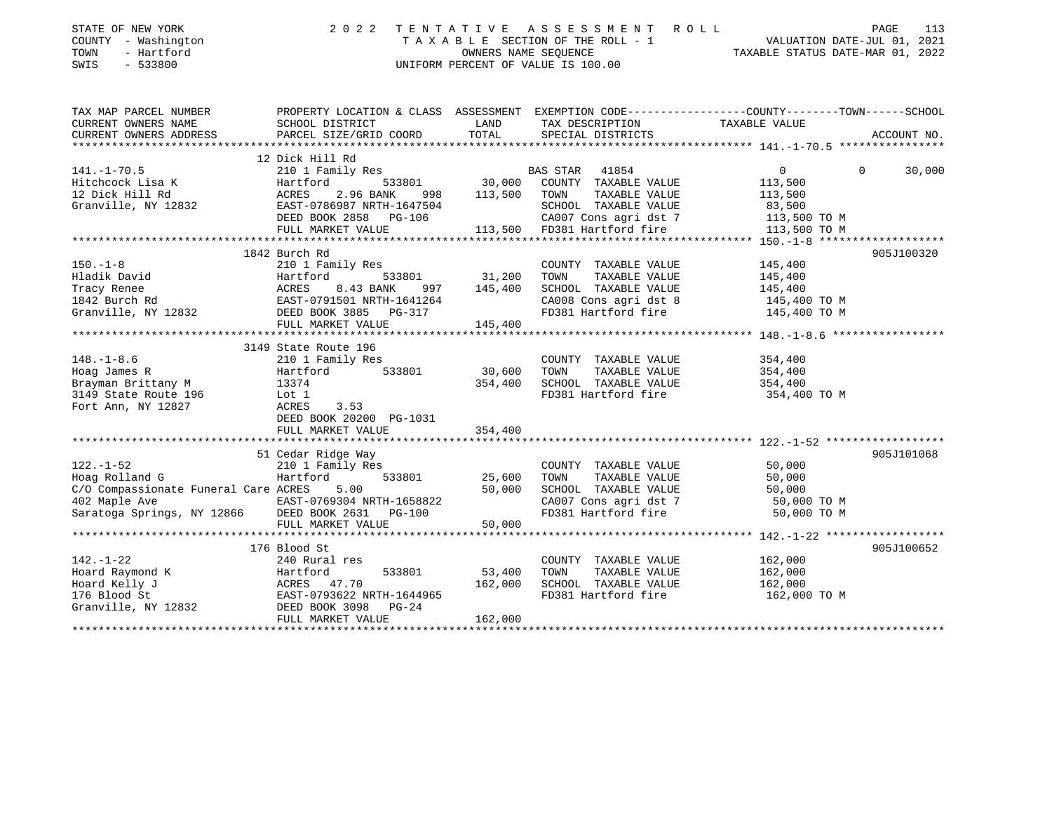| STATE OF NEW YORK<br>COUNTY - Washington<br>- Hartford<br>TOWN<br>SWIS<br>$-533800$ | 2 0 2 2<br>TENTATIVE<br>UNIFORM PERCENT OF VALUE IS 100.00                                   | ASSESSMENT ROLL<br>PAGE<br>T A X A B L E SECTION OF THE ROLL - 1 VALUATION DATE-JUL 01, 2021 OWNERS NAME SEQUENCE TAXABLE STATUS DATE-MAR 01, 2022<br>TAXABLE STATUS DATE-MAR 01, 2022 | 113                                           |                                                                                                  |             |
|-------------------------------------------------------------------------------------|----------------------------------------------------------------------------------------------|----------------------------------------------------------------------------------------------------------------------------------------------------------------------------------------|-----------------------------------------------|--------------------------------------------------------------------------------------------------|-------------|
| TAX MAP PARCEL NUMBER                                                               |                                                                                              |                                                                                                                                                                                        |                                               | PROPERTY LOCATION & CLASS ASSESSMENT EXEMPTION CODE----------------COUNTY-------TOWN------SCHOOL |             |
| CURRENT OWNERS NAME                                                                 | SCHOOL DISTRICT                                                                              | LAND                                                                                                                                                                                   | TAX DESCRIPTION                               | TAXABLE VALUE                                                                                    |             |
| CURRENT OWNERS ADDRESS<br>***********************                                   | PARCEL SIZE/GRID COORD                                                                       | TOTAL                                                                                                                                                                                  | SPECIAL DISTRICTS                             |                                                                                                  | ACCOUNT NO. |
|                                                                                     | 12 Dick Hill Rd                                                                              |                                                                                                                                                                                        |                                               |                                                                                                  |             |
| $141. - 1 - 70.5$                                                                   | 210 1 Family Res                                                                             |                                                                                                                                                                                        | BAS STAR<br>41854                             | $\overline{0}$<br>$\mathbf{0}$                                                                   | 30,000      |
| Hitchcock Lisa K                                                                    | 533801<br>Hartford                                                                           | 30,000                                                                                                                                                                                 | COUNTY TAXABLE VALUE                          | 113,500                                                                                          |             |
| 12 Dick Hill Rd                                                                     |                                                                                              | 113,500                                                                                                                                                                                | TOWN<br>TAXABLE VALUE                         | 113,500                                                                                          |             |
| Granville, NY 12832                                                                 | ACRES 2.96 BANK 998<br>EAST-0786987 NRTH-1647504                                             |                                                                                                                                                                                        | SCHOOL TAXABLE VALUE                          | 83,500                                                                                           |             |
|                                                                                     | DEED BOOK 2858 PG-106                                                                        |                                                                                                                                                                                        | CA007 Cons agri dst 7                         | 113,500 TO M                                                                                     |             |
|                                                                                     | FULL MARKET VALUE                                                                            |                                                                                                                                                                                        | 113,500 FD381 Hartford fire                   | 113,500 TO M                                                                                     |             |
|                                                                                     |                                                                                              |                                                                                                                                                                                        |                                               |                                                                                                  |             |
|                                                                                     | 1842 Burch Rd                                                                                |                                                                                                                                                                                        |                                               |                                                                                                  | 905J100320  |
| $150. - 1 - 8$                                                                      | 210 1 Family Res                                                                             |                                                                                                                                                                                        | COUNTY TAXABLE VALUE                          | 145,400                                                                                          |             |
| Hladik David                                                                        |                                                                                              | 31,200                                                                                                                                                                                 | TAXABLE VALUE<br>TOWN                         | 145,400                                                                                          |             |
| Tracy Renee                                                                         | Hartford 533801<br>ACRES 8.43 BANK 997<br>EAST-0791501 NRTH-1641264<br>DEED BOOK 3885 PG-317 | 145,400                                                                                                                                                                                | SCHOOL TAXABLE VALUE                          | 145,400                                                                                          |             |
| 1842 Burch Rd                                                                       |                                                                                              |                                                                                                                                                                                        | CA008 Cons agri dst 8                         | 145,400 TO M                                                                                     |             |
| Granville, NY 12832                                                                 |                                                                                              |                                                                                                                                                                                        | FD381 Hartford fire                           | 145,400 TO M                                                                                     |             |
|                                                                                     | FULL MARKET VALUE                                                                            | 145,400                                                                                                                                                                                |                                               |                                                                                                  |             |
|                                                                                     |                                                                                              |                                                                                                                                                                                        |                                               |                                                                                                  |             |
|                                                                                     | 3149 State Route 196                                                                         |                                                                                                                                                                                        |                                               |                                                                                                  |             |
| $148. - 1 - 8.6$<br>Hoag James R                                                    | 210 1 Family Res<br>533801<br>Hartford                                                       | 30,600                                                                                                                                                                                 | COUNTY TAXABLE VALUE<br>TOWN<br>TAXABLE VALUE | 354,400<br>354,400                                                                               |             |
| Brayman Brittany M                                                                  | 13374                                                                                        | 354,400                                                                                                                                                                                | SCHOOL TAXABLE VALUE                          | 354,400                                                                                          |             |
| 3149 State Route 196                                                                | Lot 1                                                                                        |                                                                                                                                                                                        | FD381 Hartford fire                           | 354,400 TO M                                                                                     |             |
| Fort Ann, NY 12827                                                                  | ACRES<br>3.53                                                                                |                                                                                                                                                                                        |                                               |                                                                                                  |             |
|                                                                                     | DEED BOOK 20200 PG-1031                                                                      |                                                                                                                                                                                        |                                               |                                                                                                  |             |
|                                                                                     | FULL MARKET VALUE                                                                            | 354,400                                                                                                                                                                                |                                               |                                                                                                  |             |
|                                                                                     |                                                                                              |                                                                                                                                                                                        |                                               |                                                                                                  |             |
|                                                                                     | 51 Cedar Ridge Way                                                                           |                                                                                                                                                                                        |                                               |                                                                                                  | 905J101068  |
| $122. - 1 - 52$                                                                     | 210 1 Family Res                                                                             |                                                                                                                                                                                        | COUNTY TAXABLE VALUE                          | 50,000                                                                                           |             |
| Hoag Rolland G                                                                      | Hartford<br>533801                                                                           | 25,600                                                                                                                                                                                 | TOWN<br>TAXABLE VALUE                         | 50,000                                                                                           |             |
| C/O Compassionate Funeral Care ACRES                                                | 5.00                                                                                         | 50,000                                                                                                                                                                                 | SCHOOL TAXABLE VALUE                          | 50,000                                                                                           |             |
| 402 Maple Ave                                                                       | EAST-0769304 NRTH-1658822                                                                    |                                                                                                                                                                                        | CA007 Cons agri dst 7                         | 50,000 TO M                                                                                      |             |
| Saratoga Springs, NY 12866                                                          | DEED BOOK 2631<br><b>PG-100</b>                                                              |                                                                                                                                                                                        | FD381 Hartford fire                           | 50,000 TO M                                                                                      |             |
|                                                                                     | FULL MARKET VALUE                                                                            | 50,000                                                                                                                                                                                 |                                               |                                                                                                  |             |
|                                                                                     |                                                                                              |                                                                                                                                                                                        |                                               |                                                                                                  |             |
|                                                                                     | 176 Blood St                                                                                 |                                                                                                                                                                                        |                                               |                                                                                                  | 905J100652  |
| $142. - 1 - 22$                                                                     | 240 Rural res                                                                                | 53,400                                                                                                                                                                                 | COUNTY TAXABLE VALUE<br>TOWN<br>TAXABLE VALUE | 162,000<br>162,000                                                                               |             |
| Hoard Raymond K<br>Hoard Kelly J                                                    |                                                                                              | 162,000                                                                                                                                                                                | SCHOOL TAXABLE VALUE                          | 162,000                                                                                          |             |
| 176 Blood St                                                                        |                                                                                              |                                                                                                                                                                                        | FD381 Hartford fire                           | 162,000 TO M                                                                                     |             |
| Granville, NY 12832                                                                 | Hartford 533801<br>ACRES 47.70<br>EAST-0793622 NRTH-1644965<br>DEED BOOK 3098 PG-24          |                                                                                                                                                                                        |                                               |                                                                                                  |             |
|                                                                                     | FULL MARKET VALUE                                                                            | 162,000                                                                                                                                                                                |                                               |                                                                                                  |             |
|                                                                                     |                                                                                              |                                                                                                                                                                                        |                                               |                                                                                                  |             |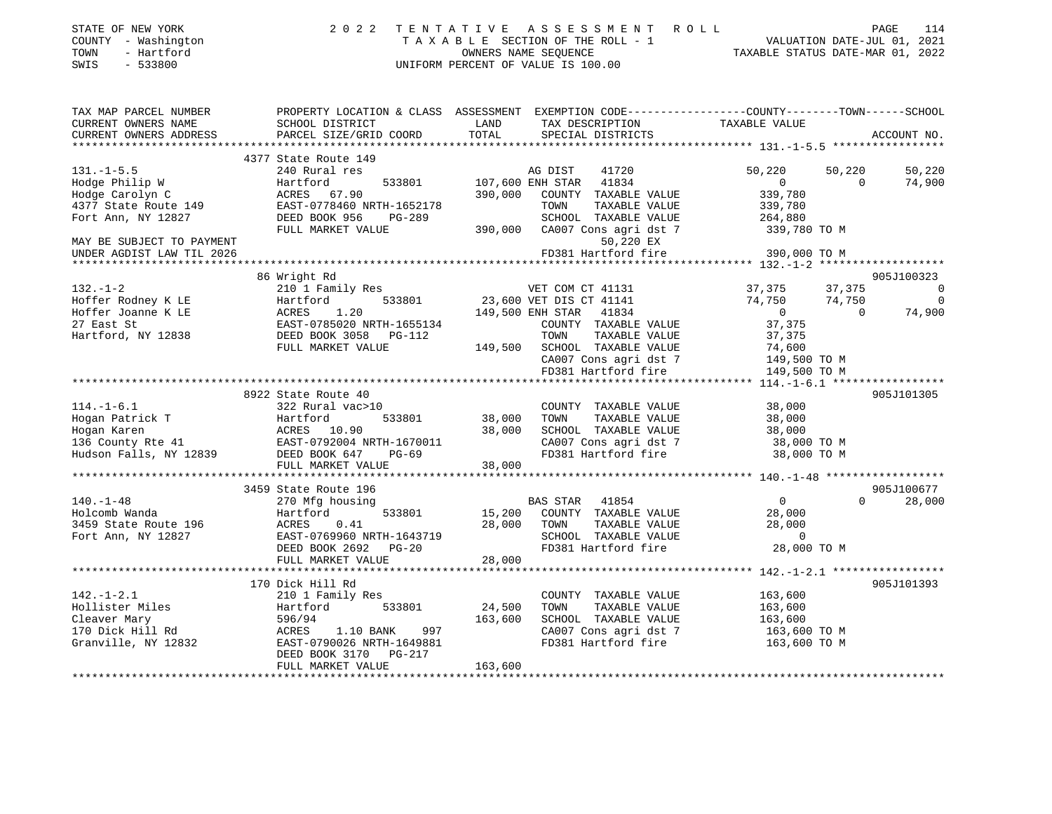| STATE OF NEW YORK<br>COUNTY - Washington<br>TOWN<br>- Hartford<br>$-533800$<br>SWIS | 2 0 2 2                                   | TENTATIVE ASSESSMENT<br>TAXABLE SECTION OF THE ROLL - 1<br>OWNERS NAME SEQUENCE<br>UNIFORM PERCENT OF VALUE IS 100.00 | ROLL<br>PAGE<br>114<br>VALUATION DATE-JUL 01, 2021<br>TAXABLE STATUS DATE-MAR 01, 2022          |
|-------------------------------------------------------------------------------------|-------------------------------------------|-----------------------------------------------------------------------------------------------------------------------|-------------------------------------------------------------------------------------------------|
| TAX MAP PARCEL NUMBER                                                               |                                           |                                                                                                                       | PROPERTY LOCATION & CLASS ASSESSMENT EXEMPTION CODE---------------COUNTY-------TOWN------SCHOOL |
| CURRENT OWNERS NAME<br>CURRENT OWNERS ADDRESS                                       | SCHOOL DISTRICT<br>PARCEL SIZE/GRID COORD | LAND<br>TAX DESCRIPTION<br>TOTAL<br>SPECIAL DISTRICTS                                                                 | TAXABLE VALUE<br>ACCOUNT NO.                                                                    |
|                                                                                     |                                           |                                                                                                                       |                                                                                                 |
|                                                                                     | 4377 State Route 149                      |                                                                                                                       |                                                                                                 |
| $131. -1 - 5.5$                                                                     | 240 Rural res                             | AG DIST<br>41720                                                                                                      | 50,220<br>50,220<br>50,220                                                                      |
| Hodge Philip W                                                                      | 533801<br>Hartford                        | 107,600 ENH STAR 41834                                                                                                | $\Omega$<br>$\Omega$<br>74,900                                                                  |
| Hodge Carolyn C                                                                     | ACRES 67.90                               | 390,000<br>COUNTY TAXABLE VALUE                                                                                       | 339,780                                                                                         |
| 4377 State Route 149                                                                | EAST-0778460 NRTH-1652178                 | TOWN<br>TAXABLE VALUE                                                                                                 | 339,780                                                                                         |
| Fort Ann, NY 12827                                                                  | DEED BOOK 956<br>PG-289                   | SCHOOL TAXABLE VALUE                                                                                                  | 264,880                                                                                         |
|                                                                                     | FULL MARKET VALUE                         | CA007 Cons agri dst 7<br>390,000                                                                                      | 339,780 TO M                                                                                    |
| MAY BE SUBJECT TO PAYMENT                                                           |                                           | 50,220 EX                                                                                                             |                                                                                                 |
| UNDER AGDIST LAW TIL 2026                                                           |                                           | FD381 Hartford fire                                                                                                   | 390,000 TO M                                                                                    |
|                                                                                     |                                           |                                                                                                                       |                                                                                                 |
|                                                                                     | 86 Wright Rd                              |                                                                                                                       | 905J100323                                                                                      |
| $132. - 1 - 2$                                                                      | 210 1 Family Res                          | VET COM CT 41131                                                                                                      | 37,375<br>37,375<br>$\Omega$                                                                    |
| Hoffer Rodney K LE                                                                  | Hartford<br>533801                        | 23,600 VET DIS CT 41141                                                                                               | 74,750<br>74,750<br>$\overline{0}$                                                              |
| Hoffer Joanne K LE                                                                  | ACRES<br>1.20                             | 149,500 ENH STAR 41834                                                                                                | $\Omega$<br>74,900<br>$\Omega$                                                                  |
| 27 East St                                                                          | EAST-0785020 NRTH-1655134                 | COUNTY TAXABLE VALUE                                                                                                  | 37,375                                                                                          |
| Hartford, NY 12838                                                                  | DEED BOOK 3058 PG-112                     | TAXABLE VALUE<br>TOWN                                                                                                 | 37,375                                                                                          |
|                                                                                     | FULL MARKET VALUE                         | 149,500 SCHOOL TAXABLE VALUE                                                                                          | 74,600                                                                                          |
|                                                                                     |                                           | CA007 Cons agri dst 7                                                                                                 | 149,500 TO M                                                                                    |
|                                                                                     |                                           | FD381 Hartford fire                                                                                                   | 149,500 TO M                                                                                    |
|                                                                                     |                                           |                                                                                                                       |                                                                                                 |
|                                                                                     | 8922 State Route 40                       |                                                                                                                       | 905J101305                                                                                      |
| $114. - 1 - 6.1$                                                                    | 322 Rural vac>10                          | COUNTY TAXABLE VALUE                                                                                                  | 38,000                                                                                          |
| Hogan Patrick T                                                                     | Hartford<br>533801                        | 38,000<br>TOWN<br>TAXABLE VALUE                                                                                       | 38,000                                                                                          |
| Hogan Karen                                                                         | ACRES 10.90                               | 38,000<br>SCHOOL TAXABLE VALUE                                                                                        | 38,000                                                                                          |
| 136 County Rte 41                                                                   | EAST-0792004 NRTH-1670011                 | CA007 Cons agri dst 7                                                                                                 | 38,000 TO M                                                                                     |
| Hudson Falls, NY 12839                                                              | DEED BOOK 647<br>$PG-69$                  | FD381 Hartford fire                                                                                                   | 38,000 TO M                                                                                     |
|                                                                                     | FULL MARKET VALUE                         | 38,000                                                                                                                |                                                                                                 |
|                                                                                     |                                           |                                                                                                                       |                                                                                                 |
|                                                                                     | 3459 State Route 196                      |                                                                                                                       | 905J100677                                                                                      |
| $140. - 1 - 48$                                                                     | 270 Mfg housing                           | BAS STAR 41854                                                                                                        | 28,000<br>$\overline{0}$<br>$\Omega$                                                            |
| Holcomb Wanda                                                                       | Hartford<br>533801                        | 15,200<br>COUNTY TAXABLE VALUE                                                                                        | 28,000                                                                                          |
| 3459 State Route 196                                                                | ACRES<br>0.41                             | TAXABLE VALUE<br>28,000<br>TOWN                                                                                       | 28,000                                                                                          |
| Fort Ann, NY 12827                                                                  | EAST-0769960 NRTH-1643719                 | SCHOOL TAXABLE VALUE                                                                                                  | $\overline{0}$                                                                                  |
|                                                                                     | DEED BOOK 2692 PG-20                      | FD381 Hartford fire                                                                                                   | 28,000 TO M                                                                                     |
|                                                                                     | FULL MARKET VALUE                         | 28,000                                                                                                                |                                                                                                 |
|                                                                                     |                                           |                                                                                                                       |                                                                                                 |
|                                                                                     | 170 Dick Hill Rd                          |                                                                                                                       | 905J101393                                                                                      |
| $142. - 1 - 2.1$                                                                    | 210 1 Family Res                          | COUNTY TAXABLE VALUE                                                                                                  | 163,600                                                                                         |
| Hollister Miles                                                                     | 533801<br>Hartford                        | 24.500<br>TAXABLE VALUE<br>TOWN                                                                                       | 163.600                                                                                         |

|                     | 170 Dick Hill Rd          |         |                         | 905J101393   |  |
|---------------------|---------------------------|---------|-------------------------|--------------|--|
| 142.-1-2.1          | 210 1 Family Res          |         | TAXABLE VALUE<br>COUNTY | 163,600      |  |
| Hollister Miles     | Hartford<br>533801        | 24,500  | TAXABLE VALUE<br>TOWN   | 163,600      |  |
| Cleaver Mary        | 596/94                    | 163,600 | TAXABLE VALUE<br>SCHOOL | 163,600      |  |
| 170 Dick Hill Rd    | 997<br>1.10 BANK<br>ACRES |         | CA007 Cons agri dst 7   | 163,600 TO M |  |
| Granville, NY 12832 | EAST-0790026 NRTH-1649881 |         | FD381 Hartford fire     | 163,600 TO M |  |
|                     | DEED BOOK 3170 PG-217     |         |                         |              |  |
|                     | FULL MARKET VALUE         | 163,600 |                         |              |  |
|                     |                           |         |                         |              |  |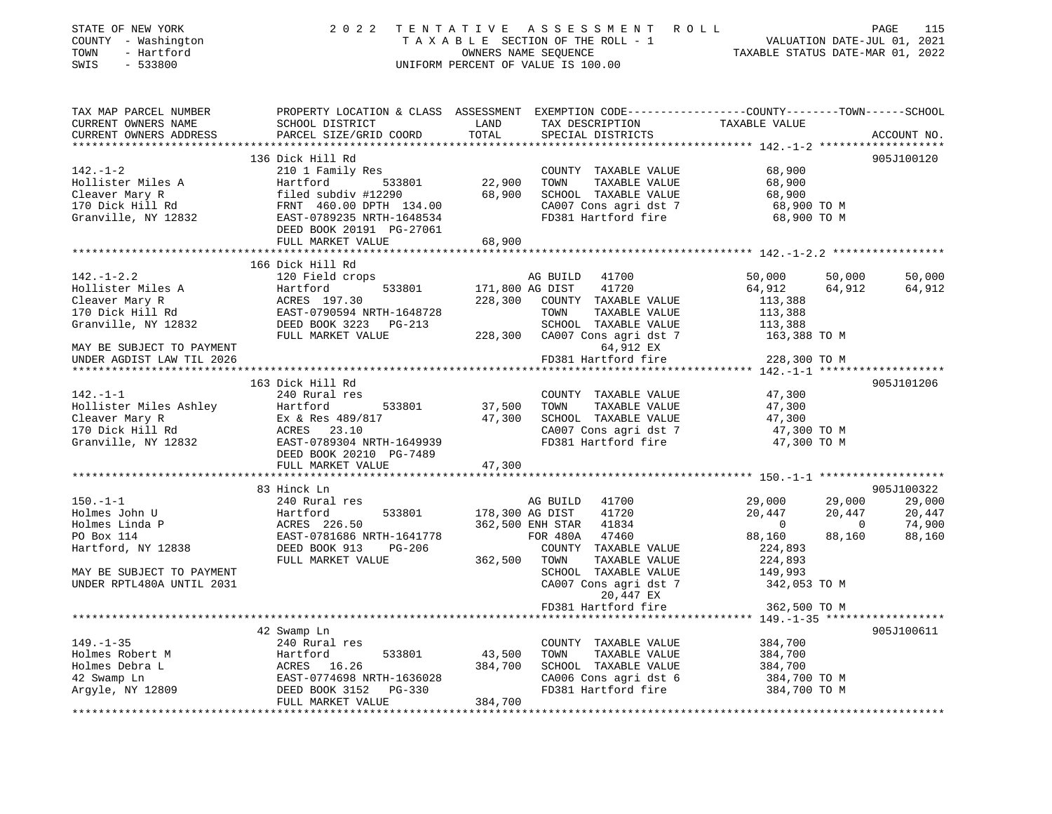| STATE OF NEW YORK<br>COUNTY - Washington | 2022                                                                                               |         | TENTATIVE ASSESSMENT ROLL<br>TAXABLE SECTION OF THE ROLL - 1 |                    | PAGE<br>115<br>VALUATION DATE-JUL 01, 2021 |
|------------------------------------------|----------------------------------------------------------------------------------------------------|---------|--------------------------------------------------------------|--------------------|--------------------------------------------|
| TOWN<br>- Hartford                       |                                                                                                    |         | OWNERS NAME SEQUENCE                                         |                    | TAXABLE STATUS DATE-MAR 01, 2022           |
| SWIS<br>$-533800$                        |                                                                                                    |         | UNIFORM PERCENT OF VALUE IS 100.00                           |                    |                                            |
|                                          |                                                                                                    |         |                                                              |                    |                                            |
| TAX MAP PARCEL NUMBER                    | PROPERTY LOCATION & CLASS ASSESSMENT EXEMPTION CODE-----------------COUNTY--------TOWN------SCHOOL |         |                                                              |                    |                                            |
| CURRENT OWNERS NAME                      | SCHOOL DISTRICT                                                                                    | LAND    | TAX DESCRIPTION                                              | TAXABLE VALUE      |                                            |
| CURRENT OWNERS ADDRESS                   | PARCEL SIZE/GRID COORD                                                                             | TOTAL   | SPECIAL DISTRICTS                                            |                    | ACCOUNT NO.                                |
|                                          | 136 Dick Hill Rd                                                                                   |         |                                                              |                    | 905J100120                                 |
| $142. - 1 - 2$                           | 210 1 Family Res                                                                                   |         | COUNTY TAXABLE VALUE                                         | 68,900             |                                            |
| Hollister Miles A                        | Hartford 533801                                                                                    | 22,900  | TOWN<br>TAXABLE VALUE                                        | 68,900             |                                            |
|                                          |                                                                                                    | 68,900  | SCHOOL TAXABLE VALUE                                         | 68,900             |                                            |
| Cleaver Mary R<br>170 Dick Hill Rd       | filed subdiv #12290<br>FRNT 460.00 DPTH 134.00<br>EAST-0789235 NRTH-1648534                        |         | CA007 Cons agri dst 7                                        | 68,900 TO M        |                                            |
| Granville, NY 12832                      |                                                                                                    |         | FD381 Hartford fire                                          | 68,900 TO M        |                                            |
|                                          | DEED BOOK 20191 PG-27061                                                                           |         |                                                              |                    |                                            |
|                                          | FULL MARKET VALUE                                                                                  | 68,900  |                                                              |                    |                                            |
|                                          |                                                                                                    |         |                                                              |                    |                                            |
|                                          | 166 Dick Hill Rd                                                                                   |         |                                                              |                    |                                            |
| $142. - 1 - 2.2$                         | 120 Field crops                                                                                    |         | AG BUILD<br>41700                                            | 50,000             | 50,000<br>50,000                           |
| Hollister Miles A                        | Hartford<br>533801                                                                                 |         | 41720<br>171,800 AG DIST                                     | 64,912             | 64,912<br>64,912                           |
| Cleaver Mary R<br>170 Dick Hill Rd       | ACRES 197.30<br>EAST-0790594 NRTH-1648728                                                          | 228,300 | COUNTY TAXABLE VALUE<br>TOWN<br>TAXABLE VALUE                | 113,388<br>113,388 |                                            |
| Granville, NY 12832                      | DEED BOOK 3223 PG-213                                                                              |         | SCHOOL TAXABLE VALUE                                         | 113,388            |                                            |
|                                          | FULL MARKET VALUE                                                                                  | 228,300 | CA007 Cons agri dst 7                                        | 163,388 TO M       |                                            |
| MAY BE SUBJECT TO PAYMENT                |                                                                                                    |         | 64,912 EX                                                    |                    |                                            |
| UNDER AGDIST LAW TIL 2026                |                                                                                                    |         | FD381 Hartford fire                                          | 228,300 TO M       |                                            |
|                                          |                                                                                                    |         |                                                              |                    |                                            |
|                                          | 163 Dick Hill Rd                                                                                   |         |                                                              |                    | 905J101206                                 |
| 142.-1-1                                 | 240 Rural res                                                                                      |         | COUNTY TAXABLE VALUE                                         | 47,300             |                                            |
| Hollister Miles Ashley                   | Hartford<br>533801                                                                                 | 37,500  | TOWN<br>TAXABLE VALUE                                        | 47,300             |                                            |
| Cleaver Mary R<br>$\mathbf d$            | Ex & Res 489/817                                                                                   | 47,300  | SCHOOL TAXABLE VALUE                                         | 47,300             |                                            |
| 170 Dick Hill Rd                         | ACRES 23.10                                                                                        |         | CA007 Cons agri dst 7                                        | 47,300 TO M        |                                            |
|                                          | Granville, NY 12832 EAST-0789304 NRTH-1649939                                                      |         | FD381 Hartford fire                                          | 47,300 TO M        |                                            |
|                                          | DEED BOOK 20210 PG-7489<br>FULL MARKET VALUE                                                       | 47,300  |                                                              |                    |                                            |
|                                          |                                                                                                    |         |                                                              |                    |                                            |
|                                          | 83 Hinck Ln                                                                                        |         |                                                              |                    | 905J100322                                 |
| $150. - 1 - 1$                           | 240 Rural res                                                                                      |         | AG BUILD 41700                                               | 29,000             | 29,000<br>29,000                           |
| Holmes John U                            | 533801<br>Hartford                                                                                 |         | 178,300 AG DIST<br>41720                                     | 20,447             | 20,447<br>20,447                           |
| Holmes Linda P                           | ACRES 226.50                                                                                       |         | 362,500 ENH STAR<br>41834                                    | $\overline{0}$     | $\overline{0}$<br>74,900                   |
| PO Box 114                               | EAST-0781686 NRTH-1641778                                                                          |         | 47460<br>FOR 480A                                            | 88,160             | 88,160<br>88,160                           |
| Hartford, NY 12838                       | DEED BOOK 913<br>PG-206                                                                            |         | COUNTY TAXABLE VALUE                                         | 224,893            |                                            |
|                                          | FULL MARKET VALUE                                                                                  | 362,500 | TOWN<br>TAXABLE VALUE                                        | 224,893            |                                            |
| MAY BE SUBJECT TO PAYMENT                |                                                                                                    |         | SCHOOL TAXABLE VALUE                                         | 149,993            |                                            |
| UNDER RPTL480A UNTIL 2031                |                                                                                                    |         | CA007 Cons agri dst 7                                        | 342,053 TO M       |                                            |
|                                          |                                                                                                    |         | 20,447 EX                                                    |                    |                                            |
|                                          |                                                                                                    |         | FD381 Hartford fire                                          | 362,500 TO M       |                                            |
|                                          |                                                                                                    |         |                                                              |                    | 905J100611                                 |
| $149. - 1 - 35$                          | 42 Swamp Ln<br>240 Rural res                                                                       |         | COUNTY TAXABLE VALUE                                         | 384,700            |                                            |
| Holmes Robert M                          | Hartford<br>533801                                                                                 | 43,500  | TOWN<br>TAXABLE VALUE                                        | 384,700            |                                            |
| Holmes Debra L                           |                                                                                                    | 384,700 | SCHOOL TAXABLE VALUE                                         | 384,700            |                                            |
| 42 Swamp Ln                              | ACRES 16.26<br>EAST-0774698 N<br>EAST-0774698 NRTH-1636028                                         |         | CA006 Cons agri dst 6                                        | 384,700 TO M       |                                            |
| Argyle, NY 12809                         | DEED BOOK 3152 PG-330                                                                              |         | FD381 Hartford fire                                          | 384,700 TO M       |                                            |
|                                          | FULL MARKET VALUE                                                                                  | 384,700 |                                                              |                    |                                            |
|                                          |                                                                                                    |         |                                                              |                    |                                            |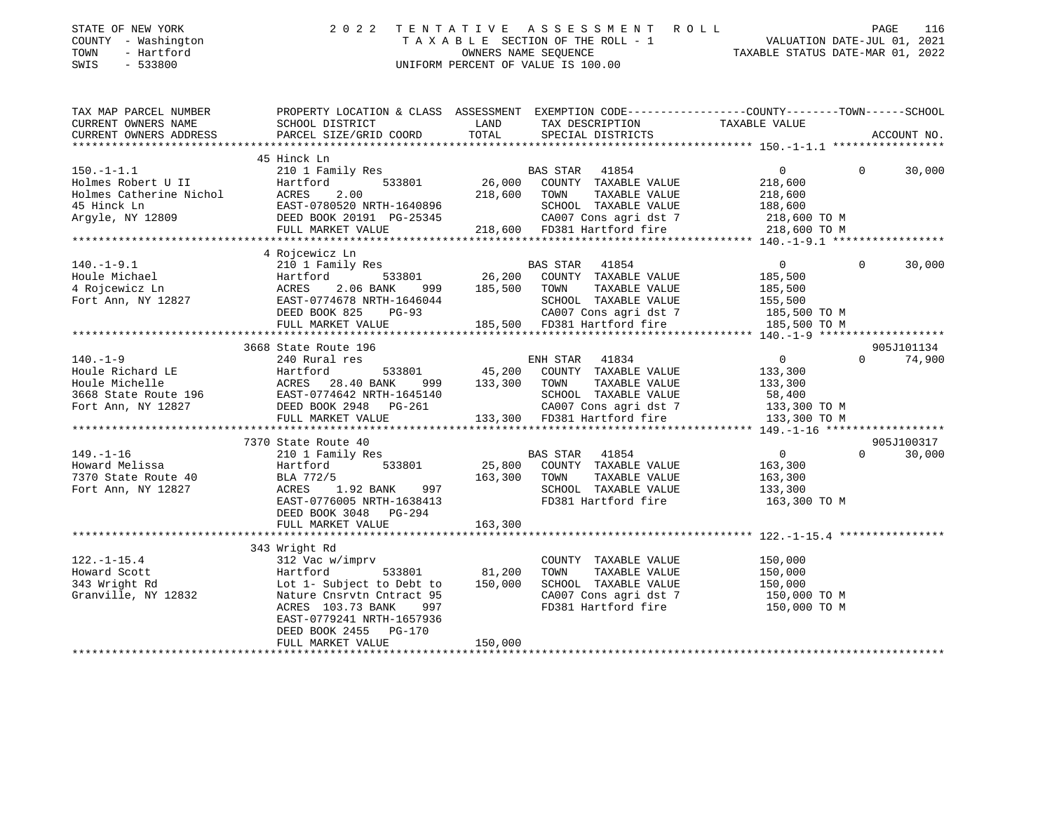| STATE OF NEW YORK |  |                         |  |
|-------------------|--|-------------------------|--|
| COUNTY            |  | - Washington            |  |
| <b>THOLIDIT</b>   |  | $T = r + f \cdot r - d$ |  |

## STATE OF NEW YORK 2 0 2 2 T E N T A T I V E A S S E S S M E N T R O L L PAGE 116 COUNTY - Washington T A X A B L E SECTION OF THE ROLL - 1 VALUATION DATE-JUL 01, 2021 TOWN - Hartford OWNERS NAME SEQUENCE TAXABLE STATUS DATE-MAR 01, 2022 SWIS - 533800 UNIFORM PERCENT OF VALUE IS 100.00

TAX MAP PARCEL NUMBER PROPERTY LOCATION & CLASS ASSESSMENT EXEMPTION CODE------------------COUNTY--------TOWN------SCHOOL

CURRENT OWNERS NAME SCHOOL DISTRICT LAND TAX DESCRIPTION TAXABLE VALUE CURRENT OWNERS ADDRESS PARCEL SIZE/GRID COORD TOTAL SPECIAL DISTRICTS ACCOUNT NO. \*\*\*\*\*\*\*\*\*\*\*\*\*\*\*\*\*\*\*\*\*\*\*\*\*\*\*\*\*\*\*\*\*\*\*\*\*\*\*\*\*\*\*\*\*\*\*\*\*\*\*\*\*\*\*\*\*\*\*\*\*\*\*\*\*\*\*\*\*\*\*\*\*\*\*\*\*\*\*\*\*\*\*\*\*\*\*\*\*\*\*\*\*\*\*\*\*\*\*\*\*\*\* 150.-1-1.1 \*\*\*\*\*\*\*\*\*\*\*\*\*\*\*\*\* 45 Hinck Ln 150.-1-1.1 210 1 Family Res BAS STAR 41854 0 0 30,000 Holmes Robert U II Hartford 533801 26,000 COUNTY TAXABLE VALUE 218,600 Holmes Catherine Nichol ACRES 2.00 218,600 TOWN TAXABLE VALUE 218,600 45 Hinck Ln EAST-0780520 NRTH-1640896 SCHOOL TAXABLE VALUE 188,600 Argyle, NY 12809 DEED BOOK 20191 PG-25345 CA007 Cons agri dst 7 218,600 TO M FULL MARKET VALUE 218,600 FD381 Hartford fire 218,600 TO M \*\*\*\*\*\*\*\*\*\*\*\*\*\*\*\*\*\*\*\*\*\*\*\*\*\*\*\*\*\*\*\*\*\*\*\*\*\*\*\*\*\*\*\*\*\*\*\*\*\*\*\*\*\*\*\*\*\*\*\*\*\*\*\*\*\*\*\*\*\*\*\*\*\*\*\*\*\*\*\*\*\*\*\*\*\*\*\*\*\*\*\*\*\*\*\*\*\*\*\*\*\*\* 140.-1-9.1 \*\*\*\*\*\*\*\*\*\*\*\*\*\*\*\*\* 4 Rojcewicz Ln 140.-1-9.1 210 1 Family Res BAS STAR 41854 0 0 30,000 Houle Michael Hartford 533801 26,200 COUNTY TAXABLE VALUE 185,500 4 Rojcewicz Ln ACRES 2.06 BANK 999 185,500 TOWN TAXABLE VALUE 185,500 Fort Ann, NY 12827 EAST-0774678 NRTH-1646044 SCHOOL TAXABLE VALUE 155,500 DEED BOOK 825 PG-93 CA007 Cons agri dst 7 185,500 TO M FULL MARKET VALUE 185,500 FD381 Hartford fire 185,500 TO M \*\*\*\*\*\*\*\*\*\*\*\*\*\*\*\*\*\*\*\*\*\*\*\*\*\*\*\*\*\*\*\*\*\*\*\*\*\*\*\*\*\*\*\*\*\*\*\*\*\*\*\*\*\*\*\*\*\*\*\*\*\*\*\*\*\*\*\*\*\*\*\*\*\*\*\*\*\*\*\*\*\*\*\*\*\*\*\*\*\*\*\*\*\*\*\*\*\*\*\*\*\*\* 140.-1-9 \*\*\*\*\*\*\*\*\*\*\*\*\*\*\*\*\*\*\* 3668 State Route 196 905J101134140.-1-9 240 Rural res ENH STAR 41834 0 0 74,900 Houle Richard LE Hartford 533801 45,200 COUNTY TAXABLE VALUE 133,300 Houle Michelle ACRES 28.40 BANK 999 133,300 TOWN TAXABLE VALUE 133,300 3668 State Route 196 EAST-0774642 NRTH-1645140 SCHOOL TAXABLE VALUE 58,400 Fort Ann, NY 12827 DEED BOOK 2948 PG-261 CA007 Cons agri dst 7 133,300 TO M FULL MARKET VALUE 133,300 FD381 Hartford fire 133,300 TO M \*\*\*\*\*\*\*\*\*\*\*\*\*\*\*\*\*\*\*\*\*\*\*\*\*\*\*\*\*\*\*\*\*\*\*\*\*\*\*\*\*\*\*\*\*\*\*\*\*\*\*\*\*\*\*\*\*\*\*\*\*\*\*\*\*\*\*\*\*\*\*\*\*\*\*\*\*\*\*\*\*\*\*\*\*\*\*\*\*\*\*\*\*\*\*\*\*\*\*\*\*\*\* 149.-1-16 \*\*\*\*\*\*\*\*\*\*\*\*\*\*\*\*\*\*905J100317 7370 State Route 40 905J100317 $0 \t 30.000$ 149.-1-16 210 1 Family Res BAS STAR 41854 0 0 30,000 Howard Melissa Hartford 533801 25,800 COUNTY TAXABLE VALUE 163,300 7370 State Route 40 BLA 772/5 163,300 TOWN TAXABLE VALUE 163,300 Fort Ann, NY 12827 ACRES 1.92 BANK 997 SCHOOL TAXABLE VALUE 133,300 EAST-0776005 NRTH-1638413 FD381 Hartford fire 163,300 TO M DEED BOOK 3048 PG-294FULL MARKET VALUE 163,300 \*\*\*\*\*\*\*\*\*\*\*\*\*\*\*\*\*\*\*\*\*\*\*\*\*\*\*\*\*\*\*\*\*\*\*\*\*\*\*\*\*\*\*\*\*\*\*\*\*\*\*\*\*\*\*\*\*\*\*\*\*\*\*\*\*\*\*\*\*\*\*\*\*\*\*\*\*\*\*\*\*\*\*\*\*\*\*\*\*\*\*\*\*\*\*\*\*\*\*\*\*\*\* 122.-1-15.4 \*\*\*\*\*\*\*\*\*\*\*\*\*\*\*\* 343 Wright Rd 122.-1-15.4 312 Vac w/imprv COUNTY TAXABLE VALUE 150,000 Howard Scott Hartford 533801 81,200 TOWN TAXABLE VALUE 150,000 343 Wright Rd Lot 1- Subject to Debt to 150,000 SCHOOL TAXABLE VALUE 150,000 Granville, NY 12832 Nature Cnsrvtn Cntract 95 CA007 Cons agri dst 7 150,000 TO M ACRES 103.73 BANK 997 FD381 Hartford fire 150,000 TO M EAST-0779241 NRTH-1657936DEED BOOK 2455 PG-170

\*\*\*\*\*\*\*\*\*\*\*\*\*\*\*\*\*\*\*\*\*\*\*\*\*\*\*\*\*\*\*\*\*\*\*\*\*\*\*\*\*\*\*\*\*\*\*\*\*\*\*\*\*\*\*\*\*\*\*\*\*\*\*\*\*\*\*\*\*\*\*\*\*\*\*\*\*\*\*\*\*\*\*\*\*\*\*\*\*\*\*\*\*\*\*\*\*\*\*\*\*\*\*\*\*\*\*\*\*\*\*\*\*\*\*\*\*\*\*\*\*\*\*\*\*\*\*\*\*\*\*\*

FULL MARKET VALUE 150,000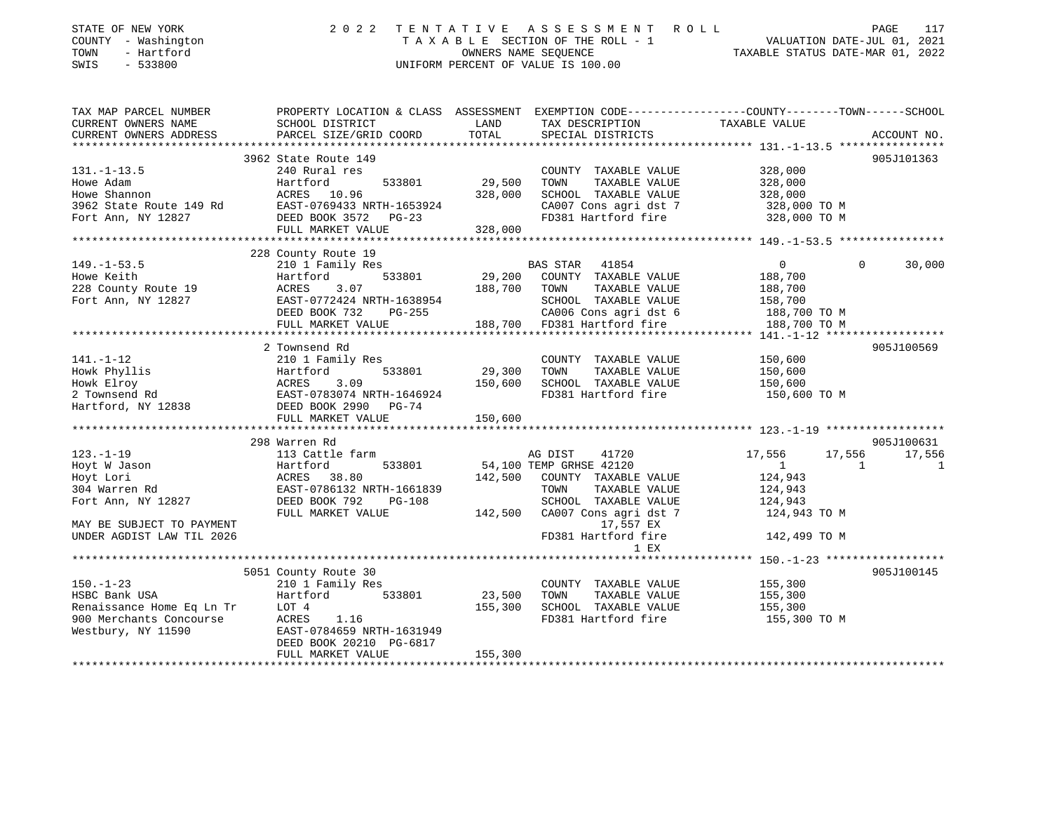| STATE OF NEW YORK         | 2 0 2 2                   | TENTATIVE | A S S E S S M E N T A O L L        | PAGE                                                                                           | 117          |
|---------------------------|---------------------------|-----------|------------------------------------|------------------------------------------------------------------------------------------------|--------------|
| COUNTY - Washington       |                           |           | TAXABLE SECTION OF THE ROLL - 1    | VALUATION DATE-JUL 01, 2021                                                                    |              |
| TOWN<br>- Hartford        |                           |           | OWNERS NAME SEQUENCE               | TAXABLE STATUS DATE-MAR 01, 2022                                                               |              |
| SWIS<br>$-533800$         |                           |           | UNIFORM PERCENT OF VALUE IS 100.00 |                                                                                                |              |
|                           |                           |           |                                    |                                                                                                |              |
| TAX MAP PARCEL NUMBER     |                           |           |                                    | PROPERTY LOCATION & CLASS ASSESSMENT EXEMPTION CODE---------------COUNTY-------TOWN-----SCHOOL |              |
| CURRENT OWNERS NAME       | SCHOOL DISTRICT           | LAND      | TAX DESCRIPTION                    | TAXABLE VALUE                                                                                  |              |
| CURRENT OWNERS ADDRESS    | PARCEL SIZE/GRID COORD    | TOTAL     | SPECIAL DISTRICTS                  |                                                                                                | ACCOUNT NO.  |
|                           |                           |           |                                    |                                                                                                |              |
|                           | 3962 State Route 149      |           |                                    |                                                                                                | 905J101363   |
| $131. - 1 - 13.5$         | 240 Rural res             |           | COUNTY TAXABLE VALUE               | 328,000                                                                                        |              |
| Howe Adam                 | Hartford<br>533801        | 29,500    | TOWN<br>TAXABLE VALUE              | 328,000                                                                                        |              |
| Howe Shannon              | ACRES 10.96               | 328,000   | SCHOOL TAXABLE VALUE               | 328,000                                                                                        |              |
| 3962 State Route 149 Rd   | EAST-0769433 NRTH-1653924 |           | CA007 Cons agri dst 7              | 328,000 TO M                                                                                   |              |
| Fort Ann, NY 12827        | DEED BOOK 3572 PG-23      |           | FD381 Hartford fire                | 328,000 TO M                                                                                   |              |
|                           | FULL MARKET VALUE         | 328,000   |                                    |                                                                                                |              |
|                           |                           |           |                                    |                                                                                                |              |
|                           | 228 County Route 19       |           |                                    |                                                                                                |              |
| $149. - 1 - 53.5$         | 210 1 Family Res          |           | BAS STAR 41854                     | $\overline{0}$<br>$\Omega$                                                                     | 30,000       |
| Howe Keith                | 533801<br>Hartford        | 29,200    | COUNTY TAXABLE VALUE               | 188,700                                                                                        |              |
| 228 County Route 19       | 3.07<br>ACRES             | 188,700   | TOWN<br>TAXABLE VALUE              | 188,700                                                                                        |              |
| Fort Ann, NY 12827        | EAST-0772424 NRTH-1638954 |           | SCHOOL TAXABLE VALUE               | 158,700                                                                                        |              |
|                           | DEED BOOK 732<br>PG-255   |           | CA006 Cons agri dst 6              | 188,700 TO M                                                                                   |              |
|                           | FULL MARKET VALUE         |           | 188,700 FD381 Hartford fire        | 188,700 TO M                                                                                   |              |
|                           |                           |           |                                    |                                                                                                |              |
|                           | 2 Townsend Rd             |           |                                    |                                                                                                | 905J100569   |
| 141.-1-12                 | 210 1 Family Res          |           | COUNTY TAXABLE VALUE               | 150,600                                                                                        |              |
|                           | 533801                    | 29,300    | TOWN<br>TAXABLE VALUE              | 150,600                                                                                        |              |
|                           |                           | 150,600   | SCHOOL TAXABLE VALUE               | 150,600                                                                                        |              |
|                           | EAST-0783074 NRTH-1646924 |           | FD381 Hartford fire                | 150,600 TO M                                                                                   |              |
|                           |                           |           |                                    |                                                                                                |              |
|                           | FULL MARKET VALUE         | 150,600   |                                    |                                                                                                |              |
|                           |                           |           |                                    |                                                                                                |              |
|                           | 298 Warren Rd             |           |                                    |                                                                                                | 905J100631   |
| $123. - 1 - 19$           | 113 Cattle farm           |           | AG DIST<br>41720                   | 17,556<br>17,556                                                                               | 17,556       |
| Hoyt W Jason              | 533801<br>Hartford        |           | 54,100 TEMP GRHSE 42120            | 1<br>1                                                                                         | $\mathbf{1}$ |
| Hoyt Lori                 | <b>ACRES</b><br>38.80     | 142,500   | COUNTY TAXABLE VALUE               | 124,943                                                                                        |              |
| 304 Warren Rd             | EAST-0786132 NRTH-1661839 |           | TOWN<br>TAXABLE VALUE              | 124,943                                                                                        |              |
| Fort Ann, NY 12827        | DEED BOOK 792<br>PG-108   |           | SCHOOL TAXABLE VALUE               | 124,943                                                                                        |              |
|                           | FULL MARKET VALUE         | 142,500   | CA007 Cons agri dst 7              | 124,943 TO M                                                                                   |              |
| MAY BE SUBJECT TO PAYMENT |                           |           | 17,557 EX                          |                                                                                                |              |
| UNDER AGDIST LAW TIL 2026 |                           |           | FD381 Hartford fire                | 142,499 TO M                                                                                   |              |
|                           |                           |           | 1 EX                               |                                                                                                |              |
|                           |                           |           |                                    |                                                                                                |              |
|                           | 5051 County Route 30      |           |                                    |                                                                                                | 905J100145   |
| $150. - 1 - 23$           | 210 1 Family Res          |           | COUNTY TAXABLE VALUE               | 155,300                                                                                        |              |
| HSBC Bank USA             | 533801<br>Hartford        | 23,500    | TOWN<br>TAXABLE VALUE              | 155,300                                                                                        |              |
| Renaissance Home Eq Ln Tr | LOT 4                     | 155,300   | SCHOOL TAXABLE VALUE               | 155,300                                                                                        |              |
| 900 Merchants Concourse   | ACRES 1.16                |           | FD381 Hartford fire                | 155,300 TO M                                                                                   |              |
| Westbury, NY 11590        | EAST-0784659 NRTH-1631949 |           |                                    |                                                                                                |              |
|                           | DEED BOOK 20210 PG-6817   |           |                                    |                                                                                                |              |
|                           | FULL MARKET VALUE         | 155,300   |                                    |                                                                                                |              |
|                           |                           |           |                                    |                                                                                                |              |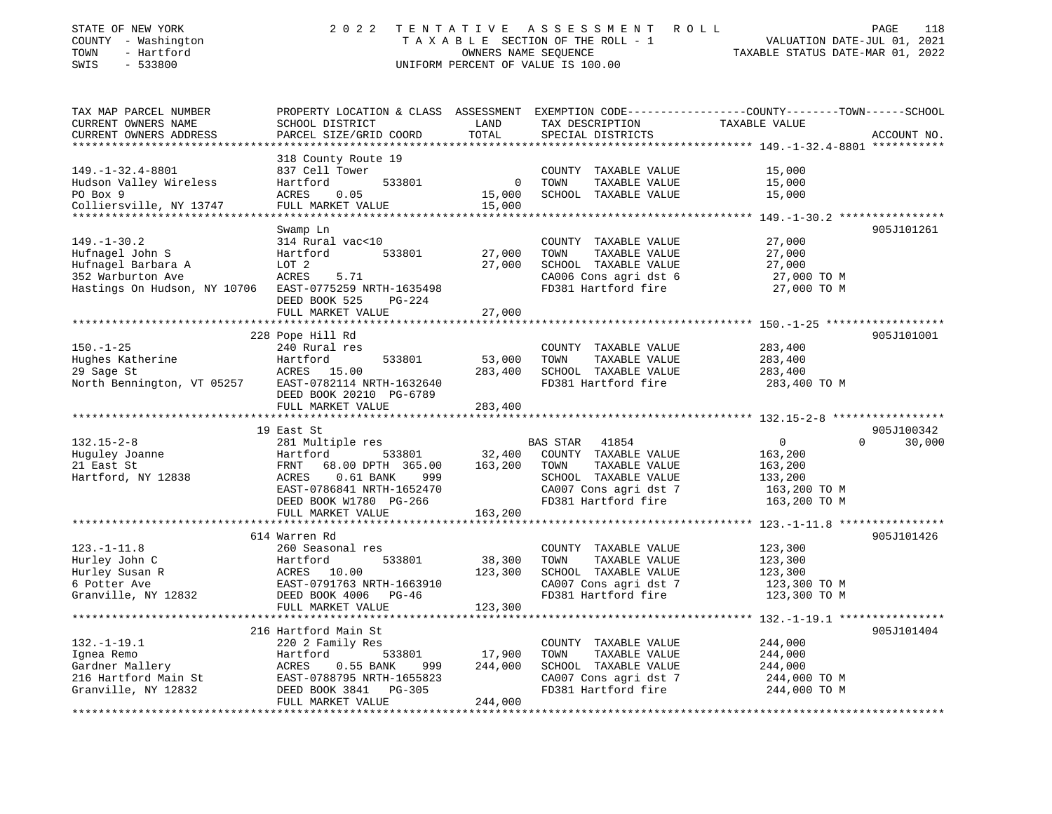| COUNTY - Washington<br>TOWN<br>- Hartford<br>SWIS<br>$-533800$ | TAXABLE SECTION OF THE ROLL - 1<br>OWNERS NAME SEQUENCE<br>UNIFORM PERCENT OF VALUE IS 100.00 |                   |                                               | VALUATION DATE-JUL 01, 2021<br>TAXABLE STATUS DATE-MAR 01, 2022                                 |
|----------------------------------------------------------------|-----------------------------------------------------------------------------------------------|-------------------|-----------------------------------------------|-------------------------------------------------------------------------------------------------|
| TAX MAP PARCEL NUMBER                                          |                                                                                               |                   |                                               | PROPERTY LOCATION & CLASS ASSESSMENT EXEMPTION CODE---------------COUNTY-------TOWN------SCHOOL |
| CURRENT OWNERS NAME<br>CURRENT OWNERS ADDRESS                  | SCHOOL DISTRICT<br>PARCEL SIZE/GRID COORD                                                     | LAND<br>TOTAL     | TAX DESCRIPTION<br>SPECIAL DISTRICTS          | TAXABLE VALUE<br>ACCOUNT NO.                                                                    |
|                                                                |                                                                                               |                   |                                               | ***************** 149.-1-32.4-8801 ***********                                                  |
|                                                                | 318 County Route 19                                                                           |                   |                                               |                                                                                                 |
| $149. - 1 - 32.4 - 8801$                                       | 837 Cell Tower                                                                                |                   | COUNTY TAXABLE VALUE                          | 15,000                                                                                          |
| Hudson Valley Wireless                                         | Hartford<br>533801                                                                            | 0                 | TOWN<br>TAXABLE VALUE                         | 15,000                                                                                          |
| PO Box 9                                                       | ACRES<br>0.05                                                                                 | 15,000            | SCHOOL TAXABLE VALUE                          | 15,000                                                                                          |
| Colliersville, NY 13747<br>*********************               | FULL MARKET VALUE<br>****************************                                             | 15,000            |                                               |                                                                                                 |
|                                                                |                                                                                               |                   |                                               | 905J101261                                                                                      |
| $149. - 1 - 30.2$                                              | Swamp Ln<br>314 Rural vac<10                                                                  |                   | COUNTY TAXABLE VALUE                          | 27,000                                                                                          |
| Hufnagel John S                                                | 533801<br>Hartford                                                                            | 27,000            | TOWN<br>TAXABLE VALUE                         | 27,000                                                                                          |
| Hufnagel Barbara A                                             | LOT 2                                                                                         | 27,000            | SCHOOL TAXABLE VALUE                          | 27,000                                                                                          |
| 352 Warburton Ave                                              | ACRES<br>5.71                                                                                 |                   | CA006 Cons agri dst 6                         | 27,000 TO M                                                                                     |
| Hastings On Hudson, NY 10706                                   | EAST-0775259 NRTH-1635498                                                                     |                   | FD381 Hartford fire                           | 27,000 TO M                                                                                     |
|                                                                | DEED BOOK 525<br>PG-224                                                                       |                   |                                               |                                                                                                 |
|                                                                | FULL MARKET VALUE                                                                             | 27,000            |                                               |                                                                                                 |
|                                                                | ************************                                                                      | ****************  |                                               |                                                                                                 |
| $150. - 1 - 25$                                                | 228 Pope Hill Rd                                                                              |                   | COUNTY TAXABLE VALUE                          | 905J101001<br>283,400                                                                           |
| Hughes Katherine                                               | 240 Rural res<br>533801<br>Hartford                                                           | 53,000            | TOWN<br>TAXABLE VALUE                         | 283,400                                                                                         |
| 29 Sage St                                                     | ACRES 15.00                                                                                   | 283,400           | SCHOOL TAXABLE VALUE                          | 283,400                                                                                         |
| North Bennington, VT 05257 EAST-0782114 NRTH-1632640           |                                                                                               |                   | FD381 Hartford fire                           | 283,400 TO M                                                                                    |
|                                                                | DEED BOOK 20210 PG-6789                                                                       |                   |                                               |                                                                                                 |
|                                                                | FULL MARKET VALUE                                                                             | 283,400           |                                               |                                                                                                 |
|                                                                |                                                                                               |                   |                                               |                                                                                                 |
|                                                                | 19 East St                                                                                    |                   |                                               | 905J100342                                                                                      |
| $132.15 - 2 - 8$                                               | 281 Multiple res<br>Hartford                                                                  | 32,400            | BAS STAR<br>41854<br>COUNTY TAXABLE VALUE     | $\overline{0}$<br>$\Omega$<br>30,000                                                            |
| Huguley Joanne<br>21 East St                                   | 533801<br>FRNT<br>68.00 DPTH 365.00                                                           | 163,200           | TOWN<br>TAXABLE VALUE                         | 163,200<br>163,200                                                                              |
| Hartford, NY 12838                                             | ACRES<br>$0.61$ BANK<br>999                                                                   |                   | SCHOOL TAXABLE VALUE                          | 133,200                                                                                         |
|                                                                | EAST-0786841 NRTH-1652470                                                                     |                   | CA007 Cons agri dst 7                         | 163,200 ТО М                                                                                    |
|                                                                | DEED BOOK W1780 PG-266                                                                        |                   | FD381 Hartford fire                           | 163,200 TO M                                                                                    |
|                                                                | FULL MARKET VALUE                                                                             | 163,200           |                                               |                                                                                                 |
|                                                                | ******************                                                                            |                   |                                               |                                                                                                 |
|                                                                | 614 Warren Rd                                                                                 |                   |                                               | 905J101426                                                                                      |
| $123. - 1 - 11.8$                                              | 260 Seasonal res<br>533801                                                                    |                   | COUNTY TAXABLE VALUE                          | 123,300                                                                                         |
| Hurley John C<br>Hurley Susan R                                | Hartford<br>ACRES 10.00                                                                       | 38,300<br>123,300 | TOWN<br>TAXABLE VALUE<br>SCHOOL TAXABLE VALUE | 123,300<br>123,300                                                                              |
| 6 Potter Ave                                                   | EAST-0791763 NRTH-1663910                                                                     |                   | CA007 Cons agri dst 7                         | 123,300 TO M                                                                                    |
| Granville, NY 12832                                            | DEED BOOK 4006 PG-46                                                                          |                   | FD381 Hartford fire                           | 123,300 TO M                                                                                    |
|                                                                | FULL MARKET VALUE                                                                             | 123,300           |                                               |                                                                                                 |
|                                                                | ***************************                                                                   |                   | *****************************                 | ************ 132.-1-19.1 ****************                                                       |
|                                                                | 216 Hartford Main St                                                                          |                   |                                               | 905J101404                                                                                      |
| $132. - 1 - 19.1$                                              | 220 2 Family Res                                                                              |                   | COUNTY TAXABLE VALUE                          | 244,000                                                                                         |
| Ignea Remo                                                     | Hartford<br>533801                                                                            | 17,900            | TOWN<br>TAXABLE VALUE                         | 244,000                                                                                         |
| Gardner Mallery<br>216 Hartford Main St                        | ACRES<br>$0.55$ BANK<br>999<br>EAST-0788795 NRTH-1655823                                      | 244,000           | SCHOOL TAXABLE VALUE<br>CA007 Cons agri dst 7 | 244,000<br>244,000 TO M                                                                         |
| Granville, NY 12832                                            | DEED BOOK 3841<br>$PG-305$                                                                    |                   | FD381 Hartford fire                           | 244,000 TO M                                                                                    |
|                                                                | FULL MARKET VALUE                                                                             | 244,000           |                                               |                                                                                                 |

STATE OF NEW YORK 2022 TENTATIVE ASSESSMENT ROLL PAGE

118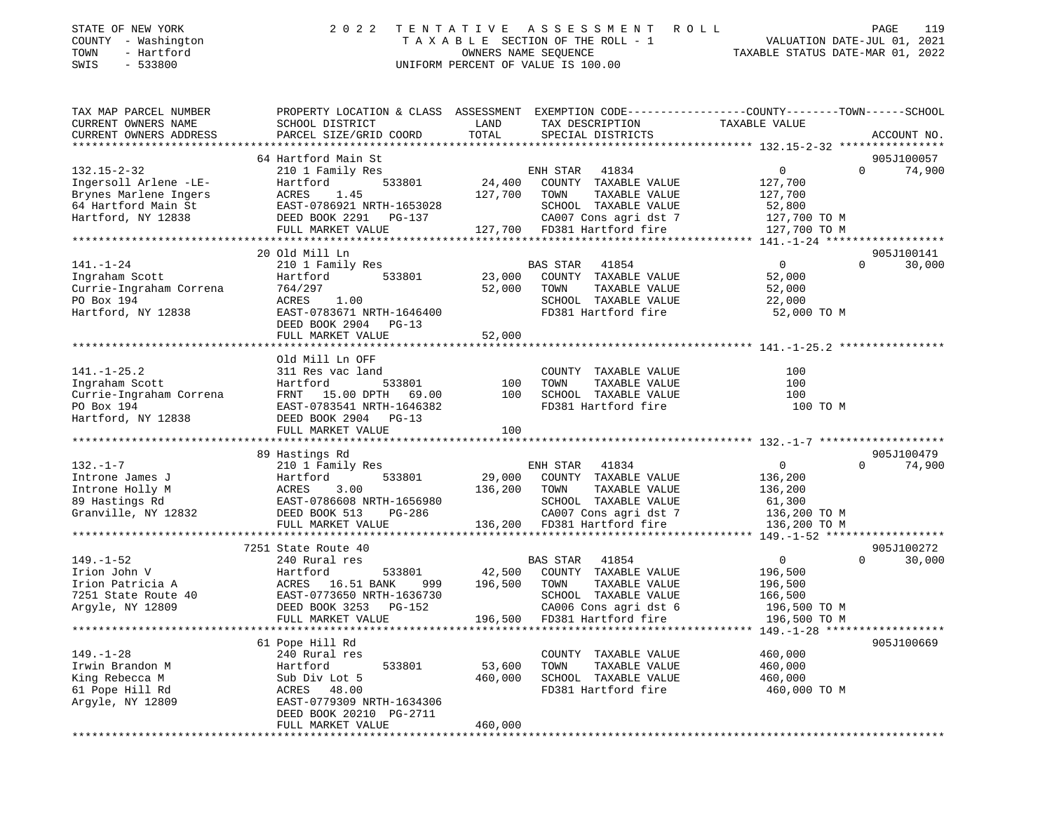| STATE OF NEW YORK<br>- Washington<br>COUNTY<br>- Hartford<br>TOWN<br>SWIS<br>$-533800$ | 2 0 2 2                   | A S S E S S M E N T<br>ROLL<br>TENTATIVE<br>TAXABLE SECTION OF THE ROLL - 1<br>OWNERS NAME SEQUENCE<br>UNIFORM PERCENT OF VALUE IS 100.00 | 119<br>PAGE<br>VALUATION DATE-JUL 01, 2021<br>TAXABLE STATUS DATE-MAR 01,<br>2022 |
|----------------------------------------------------------------------------------------|---------------------------|-------------------------------------------------------------------------------------------------------------------------------------------|-----------------------------------------------------------------------------------|
| TAX MAP PARCEL NUMBER                                                                  | PROPERTY LOCATION & CLASS | ASSESSMENT                                                                                                                                | EXEMPTION CODE-----------------COUNTY--------TOWN------SCHOOL                     |
| CURRENT OWNERS NAME                                                                    | SCHOOL DISTRICT           | LAND<br>TAX DESCRIPTION                                                                                                                   | TAXABLE VALUE                                                                     |
| CURRENT OWNERS ADDRESS                                                                 | PARCEL SIZE/GRID COORD    | SPECIAL DISTRICTS<br>TOTAL                                                                                                                | ACCOUNT NO.                                                                       |
|                                                                                        |                           |                                                                                                                                           |                                                                                   |
|                                                                                        | 64 Hartford Main St       |                                                                                                                                           | 905J100057                                                                        |
| $132.15 - 2 - 32$                                                                      | 210 1 Family Res          | 41834<br>ENH STAR                                                                                                                         | $\overline{0}$<br>74,900<br>$\mathbf 0$                                           |
| Ingersoll Arlene -LE-                                                                  | Hartford<br>533801        | 24,400<br>COUNTY<br>TAXABLE VALUE                                                                                                         | 127,700                                                                           |
| Brynes Marlene Ingers                                                                  | 1.45<br>ACRES             | 127,700<br>TOWN<br>TAXABLE VALUE                                                                                                          | 127,700                                                                           |
| 64 Hartford Main St                                                                    | EAST-0786921 NRTH-1653028 | TAXABLE VALUE<br>SCHOOL                                                                                                                   | 52,800                                                                            |
| Hartford, NY 12838                                                                     | DEED BOOK 2291<br>PG-137  | CA007 Cons agri dst 7 127,700 TO M                                                                                                        |                                                                                   |
|                                                                                        | FULL MARKET VALUE         | FD381 Hartford fire<br>127,700                                                                                                            | 127,700 TO M                                                                      |
|                                                                                        |                           |                                                                                                                                           |                                                                                   |
|                                                                                        | 20 Old Mill Ln            |                                                                                                                                           | 905J100141                                                                        |
| $141. - 1 - 24$                                                                        | 210 1 Family Res          | BAS STAR<br>41854                                                                                                                         | $\overline{0}$<br>30,000<br>$\Omega$                                              |
| Ingraham Scott                                                                         | Hartford<br>533801        | COUNTY<br>23,000<br>TAXABLE VALUE                                                                                                         | 52,000                                                                            |
| Currie-Ingraham Correna                                                                | 764/297                   | 52,000<br>TOWN<br>TAXABLE VALUE                                                                                                           | 52,000                                                                            |
| PO Box 194                                                                             | 1.00<br>ACRES             | TAXABLE VALUE<br>SCHOOL                                                                                                                   | 22,000                                                                            |
| Hartford, NY 12838                                                                     | EAST-0783671 NRTH-1646400 | FD381 Hartford fire                                                                                                                       | 52,000 TO M                                                                       |

DEED BOOK 2904 PG-13

|                         | FULL MARKET VALUE         | 52,000      |                      |          |  |
|-------------------------|---------------------------|-------------|----------------------|----------|--|
|                         |                           |             |                      |          |  |
|                         | Old Mill Ln OFF           |             |                      |          |  |
| $141. - 1 - 25.2$       | 311 Res vac land          |             | COUNTY TAXABLE VALUE | 100      |  |
| Ingraham Scott          | 533801<br>Hartford        | 100<br>TOWN | TAXABLE VALUE        | 100      |  |
| Currie-Ingraham Correna | FRNT 15.00 DPTH 69.00     | 100         | SCHOOL TAXABLE VALUE | 100      |  |
| PO Box 194              | EAST-0783541 NRTH-1646382 |             | FD381 Hartford fire  | 100 TO M |  |

| Hartford, NY 12838  | DEED BOOK 2904<br>$PG-13$ |                                    |                                |
|---------------------|---------------------------|------------------------------------|--------------------------------|
|                     | FULL MARKET VALUE         | 100                                |                                |
|                     |                           |                                    |                                |
|                     | 89 Hastings Rd            |                                    | 905J100479                     |
| $132. - 1 - 7$      | 210 1 Family Res          | ENH STAR<br>41834                  | 74,900<br>$\Omega$<br>$\Omega$ |
| Introne James J     | Hartford<br>533801        | 29,000<br>COUNTY<br>TAXABLE VALUE  | 136,200                        |
| Introne Holly M     | 3.00<br>ACRES             | 136,200<br>TOWN<br>TAXABLE VALUE   | 136,200                        |
| 89 Hastings Rd      | EAST-0786608 NRTH-1656980 | SCHOOL<br>TAXABLE VALUE            | 61,300                         |
| Granville, NY 12832 | DEED BOOK 513<br>PG-286   | CA007 Cons agri dst 7              | 136,200 TO M                   |
|                     | FULL MARKET VALUE         | 136,200 FD381 Hartford fire        | 136,200 TO M                   |
|                     | ******************        |                                    |                                |
|                     | 7251 State Route 40       |                                    | 905J100272                     |
| 149.-1-52           | 240 Rural res             | 41854<br>BAS STAR                  | $\Omega$<br>$\Omega$<br>30,000 |
| Irion John V        | Hartford<br>533801        | 42,500<br>COUNTY<br>TAXABLE VALUE  | 196,500                        |
| Irion Patricia A    | ACRES 16.51 BANK<br>999   | 196,500<br>TOWN<br>TAXABLE VALUE   | 196,500                        |
| 7251 State Route 40 | EAST-0773650 NRTH-1636730 | SCHOOL<br>TAXABLE VALUE            | 166,500                        |
| Argyle, NY 12809    | DEED BOOK 3253 PG-152     | CA006 Cons agri dst 6              | 196,500 TO M                   |
|                     | FULL MARKET VALUE         | 196,500 FD381 Hartford fire        | 196,500 TO M                   |
|                     |                           |                                    |                                |
|                     | 61 Pope Hill Rd           |                                    | 905J100669                     |
| 149. – 1–28         | 240 Rural res             | TAXABLE VALUE<br>COUNTY            | 460,000                        |
| Irwin Brandon M     | 533801<br>Hartford        | 53,600<br>TAXABLE VALUE<br>TOWN    | 460,000                        |
| King Rebecca M      | Sub Div Lot 5             | 460,000<br>SCHOOL<br>TAXABLE VALUE | 460,000                        |
| 61 Pope Hill Rd     | ACRES 48.00               | FD381 Hartford fire                | 460,000 TO M                   |
| Argyle, NY 12809    | EAST-0779309 NRTH-1634306 |                                    |                                |
|                     | DEED BOOK 20210 PG-2711   |                                    |                                |
|                     | FULL MARKET VALUE         | 460,000                            |                                |

\*\*\*\*\*\*\*\*\*\*\*\*\*\*\*\*\*\*\*\*\*\*\*\*\*\*\*\*\*\*\*\*\*\*\*\*\*\*\*\*\*\*\*\*\*\*\*\*\*\*\*\*\*\*\*\*\*\*\*\*\*\*\*\*\*\*\*\*\*\*\*\*\*\*\*\*\*\*\*\*\*\*\*\*\*\*\*\*\*\*\*\*\*\*\*\*\*\*\*\*\*\*\*\*\*\*\*\*\*\*\*\*\*\*\*\*\*\*\*\*\*\*\*\*\*\*\*\*\*\*\*\*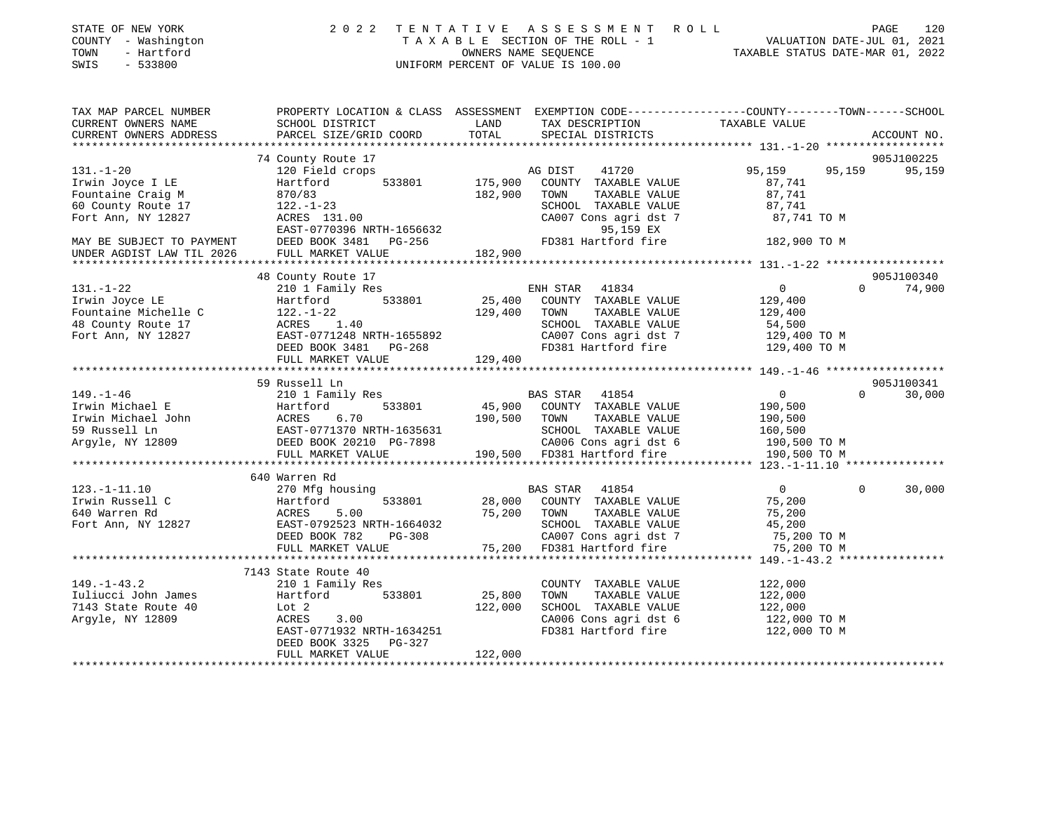| STATE OF NEW YORK<br>COUNTY - Washington<br>TOWN<br>- Hartford<br>SWIS<br>$-533800$ |                           |              | 2022 TENTATIVE ASSESSMENT ROLL<br>T A X A B L E SECTION OF THE ROLL - 1 VALUATION DATE-JUL 01, 2021 OWNERS NAME SEQUENCE TAXABLE STATUS DATE-MAR 01, 2022<br>UNIFORM PERCENT OF VALUE IS 100.00 |                                        | 120<br>PAGE |
|-------------------------------------------------------------------------------------|---------------------------|--------------|-------------------------------------------------------------------------------------------------------------------------------------------------------------------------------------------------|----------------------------------------|-------------|
| TAX MAP PARCEL NUMBER                                                               |                           |              | PROPERTY LOCATION & CLASS ASSESSMENT EXEMPTION CODE----------------COUNTY-------TOWN------SCHOOL                                                                                                |                                        |             |
| CURRENT OWNERS NAME                                                                 | SCHOOL DISTRICT           | LAND         | TAX DESCRIPTION TAXABLE VALUE                                                                                                                                                                   |                                        |             |
| CURRENT OWNERS ADDRESS                                                              | PARCEL SIZE/GRID COORD    | TOTAL        | SPECIAL DISTRICTS                                                                                                                                                                               |                                        | ACCOUNT NO. |
|                                                                                     | 74 County Route 17        |              |                                                                                                                                                                                                 |                                        | 905J100225  |
| $131. - 1 - 20$                                                                     | 120 Field crops           |              | 41720<br>AG DIST                                                                                                                                                                                | 95,159 95,159                          | 95,159      |
| Irwin Joyce I LE                                                                    | Hartford                  |              | 533801 175,900 COUNTY TAXABLE VALUE                                                                                                                                                             | 87,741                                 |             |
| Fountaine Craig M                                                                   | 870/83                    | 182,900      | TAXABLE VALUE 87,741<br>TOWN                                                                                                                                                                    |                                        |             |
| 60 County Route 17                                                                  | $122. - 1 - 23$           |              | SCHOOL TAXABLE VALUE 87,741                                                                                                                                                                     |                                        |             |
| Fort Ann, NY 12827                                                                  | ACRES 131.00              |              | CA007 Cons agri dst 7 87,741 TO M                                                                                                                                                               |                                        |             |
|                                                                                     | EAST-0770396 NRTH-1656632 |              | 95,159 EX                                                                                                                                                                                       |                                        |             |
| MAY BE SUBJECT TO PAYMENT DEED BOOK 3481 PG-256                                     |                           |              | FD381 Hartford fire 182,900 TO M                                                                                                                                                                |                                        |             |
| UNDER AGDIST LAW TIL 2026                                                           | FULL MARKET VALUE         | 182,900      |                                                                                                                                                                                                 |                                        |             |
|                                                                                     | 48 County Route 17        |              |                                                                                                                                                                                                 |                                        | 905J100340  |
| $131. - 1 - 22$                                                                     | 210 1 Family Res          |              | ENH STAR 41834                                                                                                                                                                                  | $\Omega$<br>$\overline{0}$             | 74,900      |
| Irwin Joyce LE                                                                      | Hartford                  |              | 533801 25,400 COUNTY TAXABLE VALUE 129,400                                                                                                                                                      |                                        |             |
| Fountaine Michelle C                                                                | $122. - 1 - 22$           | 129,400 TOWN | TAXABLE VALUE 129,400                                                                                                                                                                           |                                        |             |
| 48 County Route 17                                                                  | ACRES 1.40                |              | SCHOOL TAXABLE VALUE                                                                                                                                                                            | 54,500                                 |             |
| Fort Ann, NY 12827                                                                  | EAST-0771248 NRTH-1655892 |              | CA007 Cons agri dst 7 129,400 TO M                                                                                                                                                              |                                        |             |
|                                                                                     | DEED BOOK 3481 PG-268     |              | FD381 Hartford fire                                                                                                                                                                             | 129,400 TO M                           |             |
|                                                                                     | FULL MARKET VALUE         | 129,400      |                                                                                                                                                                                                 |                                        |             |
|                                                                                     | 59 Russell Ln             |              |                                                                                                                                                                                                 |                                        | 905J100341  |
| $149. - 1 - 46$                                                                     | 210 1 Family Res          |              | <b>BAS STAR</b><br>41854                                                                                                                                                                        | $\Omega$<br>$\Omega$                   | 30,000      |
| Irwin Michael E                                                                     | 533801<br>Hartford        |              | 45,900 COUNTY TAXABLE VALUE                                                                                                                                                                     | 190,500                                |             |
| IIwin Michael John<br>59 Russell Ln<br>39 Russell Ln<br>3 roule NV 12809            | ACRES<br>6.70             | 190,500      | TOWN                                                                                                                                                                                            | 190,500                                |             |
|                                                                                     | EAST-0771370 NRTH-1635631 |              | TAXABLE VALUE<br>TAXABLE VALUE<br>SCHOOL TAXABLE VALUE                                                                                                                                          |                                        |             |
| Argyle, NY 12809                                                                    | DEED BOOK 20210 PG-7898   |              | CA006 Cons agri dst 6                                                                                                                                                                           |                                        |             |
|                                                                                     | FULL MARKET VALUE         |              | 190,500 FD381 Hartford fire                                                                                                                                                                     | 160,500<br>190,500 TO M<br>CO 500 TO M |             |

|                     | 640 Warren Rd             |         |                         |              |        |
|---------------------|---------------------------|---------|-------------------------|--------------|--------|
| $123. - 1 - 11.10$  | 270 Mfg housing           |         | 41854<br>BAS STAR       | $\Omega$     | 30,000 |
| Irwin Russell C     | 533801<br>Hartford        | 28,000  | COUNTY<br>TAXABLE VALUE | 75,200       |        |
| 640 Warren Rd       | ACRES 5.00                | 75,200  | TOWN<br>TAXABLE VALUE   | 75,200       |        |
| Fort Ann, NY 12827  | EAST-0792523 NRTH-1664032 |         | SCHOOL TAXABLE VALUE    | 45,200       |        |
|                     | DEED BOOK 782 PG-308      |         | CA007 Cons agri dst 7   | 75,200 TO M  |        |
|                     | FULL MARKET VALUE         | 75,200  | FD381 Hartford fire     | 75,200 TO M  |        |
|                     |                           |         |                         |              |        |
|                     | 7143 State Route 40       |         |                         |              |        |
| $149. - 1 - 43.2$   | 210 1 Family Res          |         | COUNTY<br>TAXABLE VALUE | 122,000      |        |
| Iuliucci John James | Hartford<br>533801        | 25,800  | TOWN<br>TAXABLE VALUE   | 122,000      |        |
| 7143 State Route 40 | Lot 2                     | 122,000 | SCHOOL TAXABLE VALUE    | 122,000      |        |
| Argyle, NY 12809    | 3.00<br>ACRES             |         | CA006 Cons agri dst 6   | 122,000 TO M |        |
|                     | EAST-0771932 NRTH-1634251 |         | FD381 Hartford fire     | 122,000 TO M |        |
|                     | DEED BOOK 3325 PG-327     |         |                         |              |        |
|                     | FULL MARKET VALUE         | 122,000 |                         |              |        |
|                     |                           |         |                         |              |        |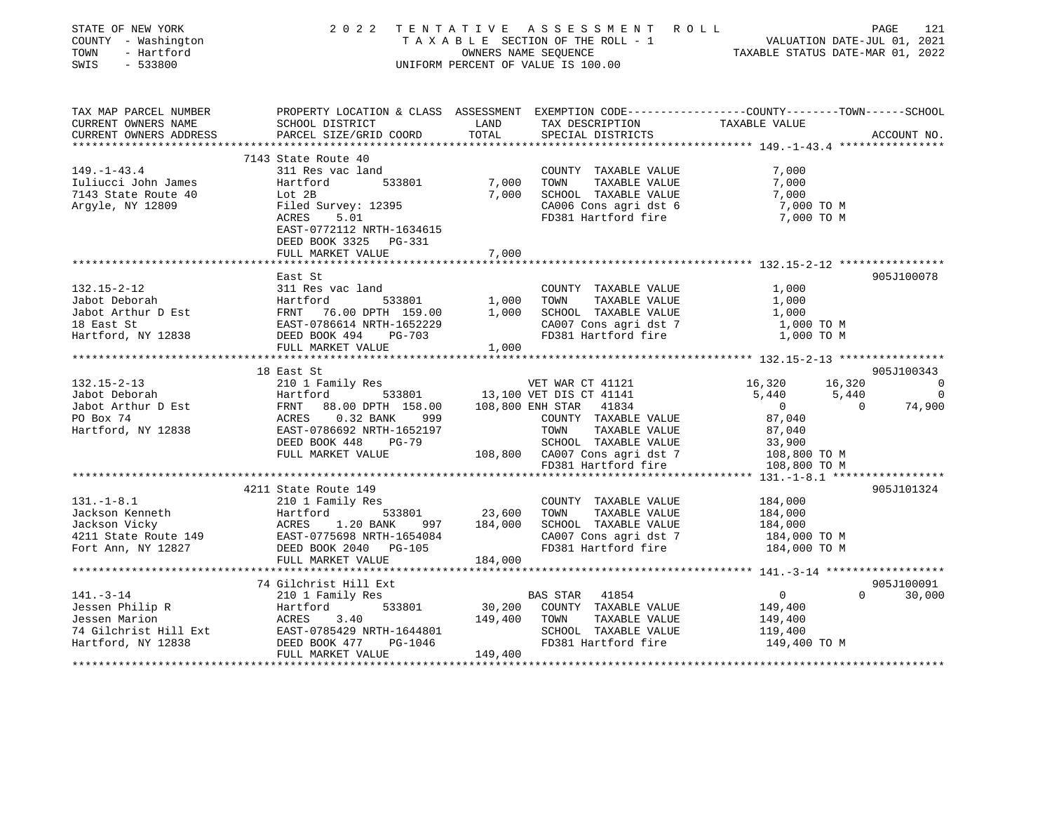| STATE OF NEW YORK<br>COUNTY - Washington<br>TOWN<br>- Hartford<br>$-533800$<br>SWIS | 2 0 2 2                                                                                                                                                                                                                                                                        |              | TENTATIVE ASSESSMENT ROLL<br>TAXABLE SECTION OF THE ROLL - 1 VALUATION DATE-JUL 01, 2021<br>OWNERS NAME SEQUENCE TAXABLE STATUS DATE-MAR 01, 2022<br>UNIFORM PERCENT OF VALUE IS 100.00 |                                                             | PAGE<br>121                      |
|-------------------------------------------------------------------------------------|--------------------------------------------------------------------------------------------------------------------------------------------------------------------------------------------------------------------------------------------------------------------------------|--------------|-----------------------------------------------------------------------------------------------------------------------------------------------------------------------------------------|-------------------------------------------------------------|----------------------------------|
| TAX MAP PARCEL NUMBER                                                               | PROPERTY LOCATION & CLASS ASSESSMENT EXEMPTION CODE----------------COUNTY-------TOWN------SCHOOL                                                                                                                                                                               |              |                                                                                                                                                                                         |                                                             |                                  |
| CURRENT OWNERS NAME                                                                 | SCHOOL DISTRICT                                                                                                                                                                                                                                                                | LAND         | TAX DESCRIPTION TAXABLE VALUE                                                                                                                                                           |                                                             |                                  |
| CURRENT OWNERS ADDRESS                                                              | PARCEL SIZE/GRID COORD                                                                                                                                                                                                                                                         | TOTAL        | SPECIAL DISTRICTS                                                                                                                                                                       | ******************** 149.-1-43.4 *****************          | ACCOUNT NO.                      |
|                                                                                     | 7143 State Route 40                                                                                                                                                                                                                                                            |              |                                                                                                                                                                                         |                                                             |                                  |
| $149. - 1 - 43.4$                                                                   | 311 Res vac land                                                                                                                                                                                                                                                               |              | COUNTY TAXABLE VALUE                                                                                                                                                                    | 7,000                                                       |                                  |
| Iuliucci John James                                                                 | Hartford<br>533801                                                                                                                                                                                                                                                             | 7,000 TOWN   | TAXABLE VALUE                                                                                                                                                                           | 7,000                                                       |                                  |
| 7143 State Route 40                                                                 | Lot 2B                                                                                                                                                                                                                                                                         |              | 7,000 SCHOOL TAXABLE VALUE                                                                                                                                                              | 7,000                                                       |                                  |
| Argyle, NY 12809                                                                    | Filed Survey: 12395                                                                                                                                                                                                                                                            |              | CA006 Cons agri dst 6<br>FD381 Hartford fire                                                                                                                                            | 7,000 TO M                                                  |                                  |
|                                                                                     | ACRES<br>5.01                                                                                                                                                                                                                                                                  |              |                                                                                                                                                                                         | 7,000 TO M                                                  |                                  |
|                                                                                     | EAST-0772112 NRTH-1634615                                                                                                                                                                                                                                                      |              |                                                                                                                                                                                         |                                                             |                                  |
|                                                                                     | DEED BOOK 3325 PG-331                                                                                                                                                                                                                                                          |              |                                                                                                                                                                                         |                                                             |                                  |
|                                                                                     | FULL MARKET VALUE                                                                                                                                                                                                                                                              | 7,000        |                                                                                                                                                                                         |                                                             |                                  |
|                                                                                     | East St                                                                                                                                                                                                                                                                        |              |                                                                                                                                                                                         |                                                             | 905J100078                       |
| $132.15 - 2 - 12$                                                                   | 311 Res vac land                                                                                                                                                                                                                                                               |              | COUNTY TAXABLE VALUE                                                                                                                                                                    | 1,000                                                       |                                  |
|                                                                                     |                                                                                                                                                                                                                                                                                |              |                                                                                                                                                                                         | 1,000                                                       |                                  |
|                                                                                     |                                                                                                                                                                                                                                                                                |              |                                                                                                                                                                                         | 1,000                                                       |                                  |
|                                                                                     |                                                                                                                                                                                                                                                                                |              |                                                                                                                                                                                         | 1,000 TO M                                                  |                                  |
| Hartford, NY 12838 DEED BOOK 494 PG-703                                             |                                                                                                                                                                                                                                                                                |              | CA007 Cons agri dst 7<br>FD381 Hartford fire                                                                                                                                            | 1,000 TO M                                                  |                                  |
|                                                                                     | FULL MARKET VALUE                                                                                                                                                                                                                                                              | 1,000        |                                                                                                                                                                                         |                                                             |                                  |
|                                                                                     |                                                                                                                                                                                                                                                                                |              |                                                                                                                                                                                         |                                                             |                                  |
|                                                                                     | 18 East St<br>132.15-2-13<br>Jabot Deborah Hartford Hartford 533801 13,100 VET DIS CT 41141<br>Jabot Arthur D Est FRNT 88.00 DPTH 158.00 108,800 ENH STAR 41834<br>PO Box 74 ACRES 0.32 BANK 999 COUNTY TAXABLE VALUE<br>Hartford, NY 12838 EAST-078                           |              |                                                                                                                                                                                         |                                                             | 905J100343                       |
|                                                                                     |                                                                                                                                                                                                                                                                                |              |                                                                                                                                                                                         | 16,320 16,320                                               | $\overline{a}$<br>$\overline{0}$ |
|                                                                                     |                                                                                                                                                                                                                                                                                |              |                                                                                                                                                                                         | 5,440<br>5,440<br>$\overline{\mathbf{0}}$<br>$\overline{0}$ | 74,900                           |
|                                                                                     |                                                                                                                                                                                                                                                                                |              |                                                                                                                                                                                         | 87,040                                                      |                                  |
|                                                                                     |                                                                                                                                                                                                                                                                                |              | COUNTY TAXABLE VALUE<br>TOWN TAXABLE VALUE<br>SCHOOL TAXABLE VALUE                                                                                                                      | 87,040                                                      |                                  |
|                                                                                     | DEED BOOK 448<br>PG-79                                                                                                                                                                                                                                                         |              | SCHOOL TAXABLE VALUE<br>SCHOOL TAXABLE VALUE 33,900                                                                                                                                     |                                                             |                                  |
|                                                                                     | FULL MARKET VALUE                                                                                                                                                                                                                                                              |              | 108,800 CA007 Cons agri dst 7                                                                                                                                                           | 108,800 TO M                                                |                                  |
|                                                                                     |                                                                                                                                                                                                                                                                                |              | FD381 Hartford fire                                                                                                                                                                     | 108,800 TO M                                                |                                  |
|                                                                                     |                                                                                                                                                                                                                                                                                |              |                                                                                                                                                                                         |                                                             |                                  |
|                                                                                     | 4211 State Route 149                                                                                                                                                                                                                                                           |              |                                                                                                                                                                                         |                                                             | 905J101324                       |
| $131. - 1 - 8.1$                                                                    | 210 1 Family Res                                                                                                                                                                                                                                                               |              | COUNTY TAXABLE VALUE                                                                                                                                                                    | 184,000                                                     |                                  |
|                                                                                     |                                                                                                                                                                                                                                                                                |              | TAXABLE VALUE                                                                                                                                                                           | 184,000                                                     |                                  |
|                                                                                     | 31.-1-6.1<br>Jackson Kenneth Hartford 533801 23,600 TOWN<br>Jackson Vicky ACRES 1.20 BANK 997 184,000 SCHOOL<br>4211 State Route 149 EAST-0775698 NRTH-1654084 CA007 CA007 CA007                                                                                               |              | 184,000 SCHOOL TAXABLE VALUE                                                                                                                                                            | 184,000                                                     |                                  |
| Fort Ann, NY 12827                                                                  | DEED BOOK 2040 PG-105                                                                                                                                                                                                                                                          |              | CA007 Cons agri dst 7<br>FD381 Hartford fire                                                                                                                                            | 184,000 TO M<br>184,000 TO M                                |                                  |
|                                                                                     | FULL MARKET VALUE                                                                                                                                                                                                                                                              | 184,000      |                                                                                                                                                                                         |                                                             |                                  |
|                                                                                     |                                                                                                                                                                                                                                                                                |              |                                                                                                                                                                                         |                                                             |                                  |
|                                                                                     | 74 Gilchrist Hill Ext                                                                                                                                                                                                                                                          |              |                                                                                                                                                                                         |                                                             | 905J100091                       |
|                                                                                     | 141.-3-14<br>141.-3-14<br>141.-3-14<br>14201 Family Res<br>16201 Family Res<br>1633801<br>14338<br>16201 ACRES<br>2101 Family Res<br>1633801<br>533801<br>533801<br>2026 ACRES<br>2.40<br>2.40<br>2.40<br>2.40<br>2.40<br>2.40<br>2.40<br>2.40<br>2.40<br>2.40<br>2.40<br>2.40 |              | BAS STAR 41854                                                                                                                                                                          | 0                                                           | $\Omega$<br>30,000               |
|                                                                                     |                                                                                                                                                                                                                                                                                | 30,200       | COUNTY TAXABLE VALUE                                                                                                                                                                    | 149,400                                                     |                                  |
|                                                                                     |                                                                                                                                                                                                                                                                                | 149,400 TOWN | TAXABLE VALUE                                                                                                                                                                           | 149,400                                                     |                                  |
|                                                                                     |                                                                                                                                                                                                                                                                                |              | SCHOOL TAXABLE VALUE                                                                                                                                                                    | 119,400                                                     |                                  |
|                                                                                     |                                                                                                                                                                                                                                                                                |              | FD381 Hartford fire                                                                                                                                                                     | 149,400 TO M                                                |                                  |
|                                                                                     | FULL MARKET VALUE                                                                                                                                                                                                                                                              | 149,400      |                                                                                                                                                                                         |                                                             |                                  |
|                                                                                     |                                                                                                                                                                                                                                                                                |              |                                                                                                                                                                                         |                                                             |                                  |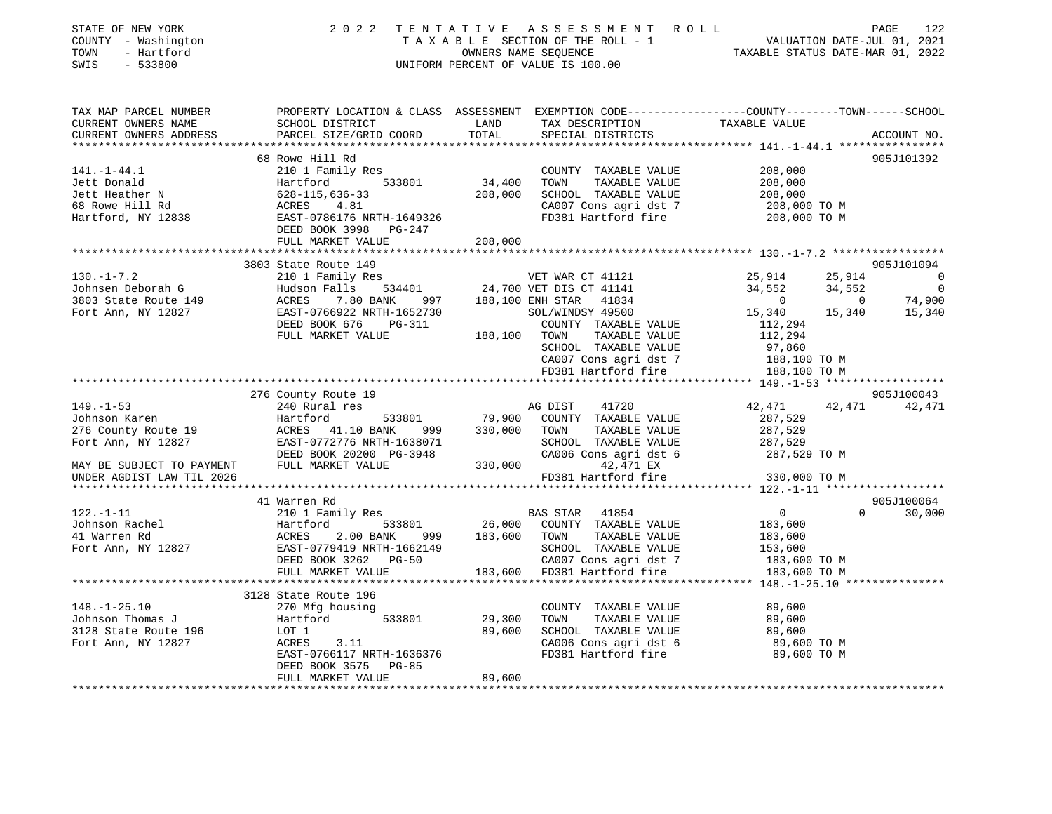| STATE OF NEW YORK<br>COUNTY - Washington<br>- Hartford<br>TOWN<br>$-533800$<br>SWIS                                                                                                                                                                                                                             |                                                                                                                                                                                                                                                                       |                       | 2022 TENTATIVE ASSESSMENT ROLL<br>TAXABLE SECTION OF THE ROLL - 1<br>OWNERS NAME SEQUENCE CONNERS ARE CONNERS AND TAXABLE STATUS DATE-JUL 01, 2021<br>UNIFORM PERCENT OF VALUE IS 100.00 |                                                                                                             | PAGE<br>122                                                                                       |
|-----------------------------------------------------------------------------------------------------------------------------------------------------------------------------------------------------------------------------------------------------------------------------------------------------------------|-----------------------------------------------------------------------------------------------------------------------------------------------------------------------------------------------------------------------------------------------------------------------|-----------------------|------------------------------------------------------------------------------------------------------------------------------------------------------------------------------------------|-------------------------------------------------------------------------------------------------------------|---------------------------------------------------------------------------------------------------|
| TAX MAP PARCEL NUMBER<br>CURRENT OWNERS NAME<br>CURRENT OWNERS ADDRESS                                                                                                                                                                                                                                          | PROPERTY LOCATION & CLASS ASSESSMENT EXEMPTION CODE---------------COUNTY-------TOWN-----SCHOOL<br>SCHOOL DISTRICT<br>PARCEL SIZE/GRID COORD                                                                                                                           | LAND<br>TOTAL         | TAX DESCRIPTION<br>TAX DESCRIPTION TAXABLE VALUE<br>SPECIAL DISTRICTS                                                                                                                    |                                                                                                             | ACCOUNT NO.                                                                                       |
|                                                                                                                                                                                                                                                                                                                 |                                                                                                                                                                                                                                                                       |                       |                                                                                                                                                                                          |                                                                                                             |                                                                                                   |
| $141. - 1 - 44.1$<br>Jett Donald<br>Jett Heather N<br>68 Rowe Hill Rd<br>Hartford, NY 12838                                                                                                                                                                                                                     | 68 Rowe Hill Rd<br>210 1 Family Res<br>Hartford 533801<br>628-115,636-33<br>ACRES 4.81<br>EAST-0786176 NRT<br>EAST-0786176 NRT<br>$628 - 115, 636 - 33$<br>ACRES 4 81<br>ACRES 4.81<br>EAST-0786176 NRTH-1649326<br>DEED BOOK 3998 PG-247                             | $34,400$<br>$208,000$ | COUNTY TAXABLE VALUE<br>TOWN<br>TAXABLE VALUE<br>SCHOOL TAXABLE VALUE<br>CA007 Cons agri dst 7                                                                                           | 208,000<br>208,000<br>208,000<br>208,000 TO M<br>FD381 Hartford fire 208,000 TO M                           | 905J101392                                                                                        |
|                                                                                                                                                                                                                                                                                                                 | FULL MARKET VALUE                                                                                                                                                                                                                                                     | 208,000               |                                                                                                                                                                                          |                                                                                                             |                                                                                                   |
| $130. -1 - 7.2$                                                                                                                                                                                                                                                                                                 | 3803 State Route 149                                                                                                                                                                                                                                                  |                       |                                                                                                                                                                                          |                                                                                                             | 905J101094<br>25,914 0                                                                            |
|                                                                                                                                                                                                                                                                                                                 | State Route 149<br>210 1 Family Res<br>Hudson Falls 534401<br>24,700 VET DIS CT 41141<br>24,700 VET DIS CT 41141<br>24,700 VET DIS CT 41141<br>24,700 VET DIS CT 41141<br>24,700 VET DIS CT 41141<br>26,100 ENH STAR 41834<br>2010 SOL/WINDSY 49<br>FULL MARKET VALUE | 188,100 TOWN          | COUNTY TAXABLE VALUE<br>TAXABLE VALUE<br>SCHOOL TAXABLE VALUE<br>CA007 Cons agri dst 7<br>FD381 Hartford fire                                                                            | 25,914<br>34,552<br>0<br>34,552<br>15,340<br>112,294<br>112,294<br>97,860<br>188,100 TO M<br>188,100 TO M   | $\overline{\phantom{0}}$<br>$\begin{array}{cccc} & 0 & & 74,900 \\ 15,340 & & 15,340 \end{array}$ |
|                                                                                                                                                                                                                                                                                                                 |                                                                                                                                                                                                                                                                       |                       |                                                                                                                                                                                          |                                                                                                             |                                                                                                   |
|                                                                                                                                                                                                                                                                                                                 | 276 County Route 19                                                                                                                                                                                                                                                   |                       |                                                                                                                                                                                          |                                                                                                             | 905J100043                                                                                        |
| $149. - 1 - 53$                                                                                                                                                                                                                                                                                                 | 240 Rural res                                                                                                                                                                                                                                                         |                       | AG DIST<br>41720                                                                                                                                                                         | 42,471                                                                                                      | 42,471 42,471                                                                                     |
| Johnson Karen<br>JOHNSON NATIONAL 276 County Route 19<br>Fort Ann, NY 12827<br>Fort Ann, NY 12827<br>EAST-0772776 NRTH-1638071<br>DEED BOOK 20200 PG-3948<br>MAY BE SUBJECT TO PAYMENT<br>FULL MARKET VALUE                                                                                                     | DEED BOOK 20200 PG-3948<br>FULL MARKET VALUE 3948<br>FULL MARKET VALUE 330,000                                                                                                                                                                                        | 533801 79,900         | COUNTY TAXABLE VALUE<br>TOWN<br>TAXABLE VALUE<br>SCHOOL TAXABLE VALUE<br>CA006 Cons agri dst 6<br>330,000 42,471 EX                                                                      | 287,529<br>287,529<br>287,529<br>287,529 TO M                                                               |                                                                                                   |
| UNDER AGDIST LAW TIL 2026                                                                                                                                                                                                                                                                                       |                                                                                                                                                                                                                                                                       |                       | FD381 Hartford fire                                                                                                                                                                      | 330,000 TO M                                                                                                |                                                                                                   |
|                                                                                                                                                                                                                                                                                                                 |                                                                                                                                                                                                                                                                       |                       |                                                                                                                                                                                          |                                                                                                             |                                                                                                   |
| $122. - 1 - 11$<br>210 12827<br>210 12827 26,000 COUNTY TAXABLE VALUE<br>Fort Ann, NY 12827 2625 200 BANK<br>26,000 COUNTY TAXABLE VALUE<br>26,000 COUNTY TAXABLE VALUE<br>26,000 COUNTY TAXABLE VALUE<br>26,000 COUNTY TAXABLE VALUE<br>26,000 COUNTY TAXABLE                                                  | 41 Warren Rd<br>210 1 Family Res                                                                                                                                                                                                                                      |                       | BAS STAR 41854<br>SCHOOL TAXABLE VALUE                                                                                                                                                   | $\overline{0}$<br>183,600<br>183,600<br>153,600<br>CA001 IAAADLE VALUE<br>CA007 Cons agridst 7 183,600 TO M | 905J100064<br>$0 \t 30,000$                                                                       |
|                                                                                                                                                                                                                                                                                                                 | FULL MARKET VALUE                                                                                                                                                                                                                                                     |                       | 183,600 FD381 Hartford fire                                                                                                                                                              | 183,600 TO M                                                                                                |                                                                                                   |
|                                                                                                                                                                                                                                                                                                                 | 3128 State Route 196                                                                                                                                                                                                                                                  |                       |                                                                                                                                                                                          |                                                                                                             |                                                                                                   |
| $148. - 1 - 25.10$<br>Johnson Thomas J<br>Johnson Thomas J<br>$\begin{tabular}{lllllllllll} \textsc{Johnson} & \textsc{Thomas J} & \textsc{Hartfc} \\ \textsc{3128} & \textsc{State Route} & \textsc{196} & \textsc{LOT} & \textsc{1} \\ \textsc{Fort Ann, NY} & \textsc{12827} & \textsc{ACRES} \end{tabular}$ | 270 Mfg housing<br>Hartford 533801<br>3.11<br>EAST-0766117 NRTH-1636376                                                                                                                                                                                               | 29,300<br>89,600      | COUNTY TAXABLE VALUE<br>TAXABLE VALUE<br>TOWN<br>SCHOOL TAXABLE VALUE<br>CA006 Cons agri dst 6<br>FD381 Hartford fire                                                                    | 89,600<br>89,600<br>89,600<br>89,600 TO M<br>89,600 TO M                                                    |                                                                                                   |
|                                                                                                                                                                                                                                                                                                                 | DEED BOOK 3575 PG-85<br>FULL MARKET VALUE                                                                                                                                                                                                                             | 89,600                |                                                                                                                                                                                          |                                                                                                             |                                                                                                   |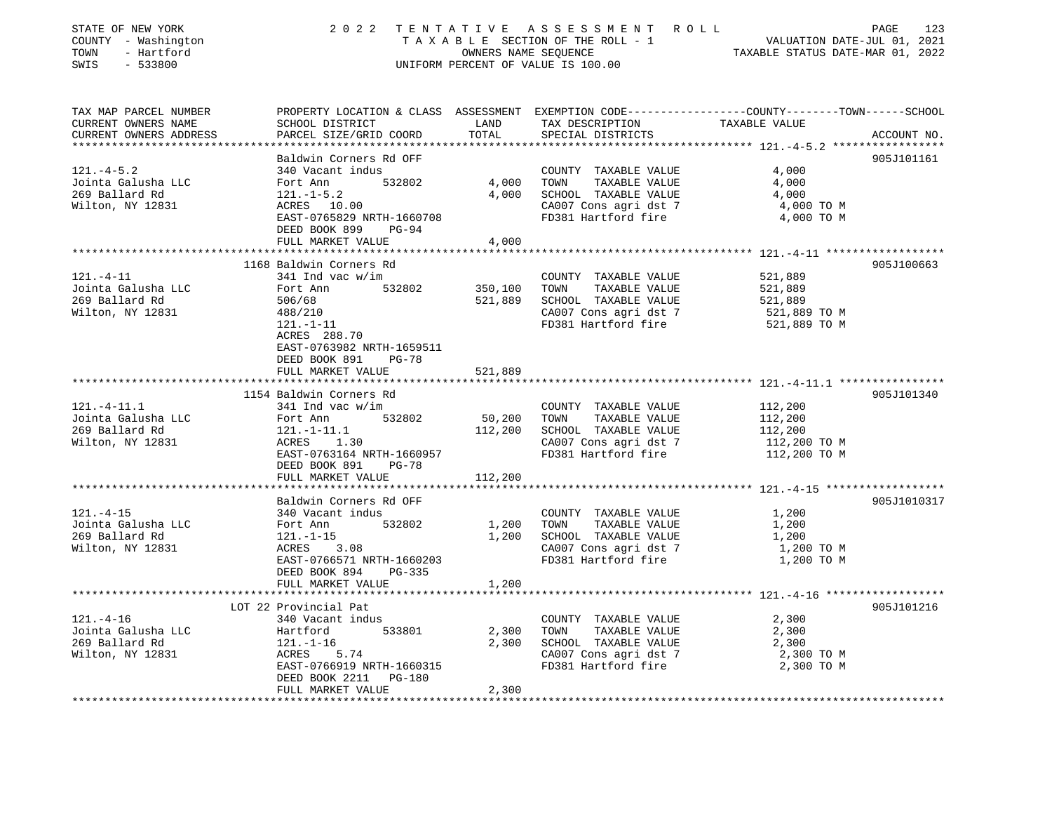| STATE OF NEW YORK<br>COUNTY - Washington<br>- Hartford<br>TOWN<br>SWIS<br>$-533800$ |                                                                                                                                                                                |                         | 2022 TENTATIVE ASSESSMENT ROLL<br>TAXABLE SECTION OF THE ROLL - 1<br>OWNERS NAME SEQUENCE THE ROLL - 1<br>OWNERS NAME SEQUENCE TAXABLE STATUS DATE-MAR 01, 2022<br>UNIFORM PERCENT OF VALUE IS 100.00 |                                                               | PAGE<br>123 |
|-------------------------------------------------------------------------------------|--------------------------------------------------------------------------------------------------------------------------------------------------------------------------------|-------------------------|-------------------------------------------------------------------------------------------------------------------------------------------------------------------------------------------------------|---------------------------------------------------------------|-------------|
| TAX MAP PARCEL NUMBER<br>CURRENT OWNERS NAME<br>CURRENT OWNERS ADDRESS              | PROPERTY LOCATION & CLASS ASSESSMENT EXEMPTION CODE---------------COUNTY-------TOWN-----SCHOOL<br>SCHOOL DISTRICT<br>PARCEL SIZE/GRID COORD                                    | LAND<br>TOTAL           | TAX DESCRIPTION TAXABLE VALUE<br>SPECIAL DISTRICTS                                                                                                                                                    |                                                               | ACCOUNT NO. |
|                                                                                     |                                                                                                                                                                                |                         |                                                                                                                                                                                                       |                                                               |             |
| $121. -4-5.2$<br>Jointa Galusha LLC                                                 | Baldwin Corners Rd OFF<br>340 Vacant indus<br>532802<br>Fort Ann                                                                                                               | 4,000                   | COUNTY TAXABLE VALUE<br>TOWN<br>TAXABLE VALUE                                                                                                                                                         | 4,000<br>4,000                                                | 905J101161  |
| 269 Ballard Rd<br>Wilton, NY 12831                                                  | $121.-1-5.2$<br>ACRES 10.00<br>EAST-0765829 NRTH-1660708<br>DEED BOOK 899<br>PG-94                                                                                             | 4,000                   | SCHOOL TAXABLE VALUE<br>CA007 Cons agri dst 7<br>FD381 Hartford fire                                                                                                                                  | 4,000<br>4,000 TO M<br>4,000 TO M                             |             |
|                                                                                     | FULL MARKET VALUE                                                                                                                                                              | 4,000                   |                                                                                                                                                                                                       |                                                               |             |
|                                                                                     |                                                                                                                                                                                |                         |                                                                                                                                                                                                       |                                                               |             |
| $121. - 4 - 11$<br>Jointa Galusha LLC<br>269 Ballard Rd<br>Wilton, NY 12831         | 1168 Baldwin Corners Rd<br>$341$ Ind vac w/im<br>532802<br>Fort Ann<br>506/68<br>488/210<br>$121. - 1 - 11$<br>ACRES 288.70                                                    | 350,100<br>521,889      | COUNTY TAXABLE VALUE<br>TAXABLE VALUE<br>TOWN<br>SCHOOL TAXABLE VALUE<br>CA007 Cons agri dst 7<br>FD381 Hartford fire                                                                                 | 521,889<br>521,889<br>521,889<br>521,889 TO M<br>521,889 TO M | 905J100663  |
|                                                                                     | EAST-0763982 NRTH-1659511<br>DEED BOOK 891<br><b>PG-78</b><br>FULL MARKET VALUE                                                                                                | 521,889                 |                                                                                                                                                                                                       |                                                               |             |
|                                                                                     | 1154 Baldwin Corners Rd                                                                                                                                                        |                         |                                                                                                                                                                                                       |                                                               | 905J101340  |
| $121. - 4 - 11.1$<br>Jointa Galusha LLC<br>269 Ballard Rd<br>Wilton, NY 12831       | 341 Ind vac w/im<br>532802<br>Fort Ann<br>121.-1-11.1<br>121.-1-11.1<br>ACRES 1.30<br>EAST-0763164 NRTH-1660957<br>DEED BOOK 891<br>PG-78                                      | 50,200<br>112,200       | COUNTY TAXABLE VALUE<br>TAXABLE VALUE<br>TOWN<br>SCHOOL TAXABLE VALUE<br>CA007 Cons agri dst 7<br>FD381 Hartford fire                                                                                 | 112,200<br>112,200<br>112,200<br>112,200 TO M<br>112,200 TO M |             |
|                                                                                     | FULL MARKET VALUE                                                                                                                                                              | 112,200                 |                                                                                                                                                                                                       |                                                               |             |
| $121. - 4 - 15$<br>Jointa Galusha LLC<br>269 Ballard Rd<br>Wilton, NY 12831         | Baldwin Corners Rd OFF<br>340 Vacant indus<br>532802<br>Fort Ann<br>$121. - 1 - 15$<br>ACRES 3.08<br>EAST-0766571 NRTH-1660203<br>DEED BOOK 894<br>PG-335                      | 1,200<br>1,200          | COUNTY TAXABLE VALUE<br>TAXABLE VALUE<br>TOWN<br>SCHOOL TAXABLE VALUE<br>CA007 Cons agri dst 7<br>FD381 Hartford fire                                                                                 | 1,200<br>1,200<br>1,200<br>1,200 TO M<br>1,200 TO M           | 905J1010317 |
|                                                                                     | FULL MARKET VALUE                                                                                                                                                              | 1,200                   |                                                                                                                                                                                                       |                                                               |             |
|                                                                                     | ******************************                                                                                                                                                 |                         |                                                                                                                                                                                                       |                                                               |             |
| $121. - 4 - 16$<br>Jointa Galusha LLC<br>269 Ballard Rd<br>Wilton, NY 12831         | LOT 22 Provincial Pat<br>340 Vacant indus<br>533801<br>Hartford<br>$121. - 1 - 16$<br>ACRES 5.74<br>EAST-0766919 NRTH-1660315<br>DEED BOOK 2211<br>PG-180<br>FULL MARKET VALUE | 2,300<br>2,300<br>2,300 | COUNTY TAXABLE VALUE<br>TAXABLE VALUE<br>TOWN<br>SCHOOL TAXABLE VALUE<br>CA007 Cons agri dst 7<br>FD381 Hartford fire                                                                                 | 2,300<br>2,300<br>2,300<br>2,300 TO M<br>2,300 TO M           | 905J101216  |
|                                                                                     |                                                                                                                                                                                |                         |                                                                                                                                                                                                       |                                                               |             |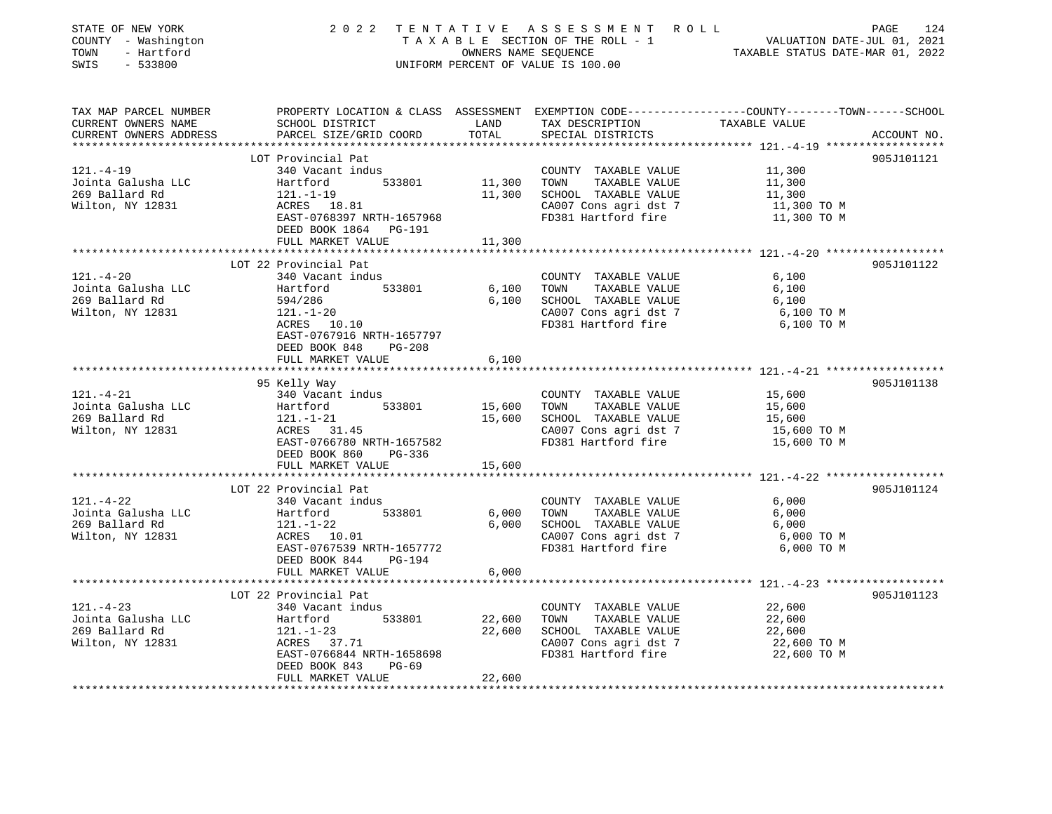| STATE OF NEW YORK<br>COUNTY - Washington<br>TOWN<br>- Hartford<br>SWIS<br>$-533800$ |                                                                          |               | UNIFORM PERCENT OF VALUE IS 100.00                 | $\begin{tabular}{ccccc} 2 & 0 & 2 & 2 & T E & N T & A & T & I & V & E & A & S & S & E & S & M & E & N T & R & O & L & \\\hline & T & A & X & A & B & L & E & SECTION OF THE ROLL-1 & & & & & & \text{VALUATION DATE-JUL 01, 2021}\\ & & & & & & & & & & \text{VALUATION DATE–JUL 01, 2022} & & & & & & \\\hline \end{tabular}$ |             |
|-------------------------------------------------------------------------------------|--------------------------------------------------------------------------|---------------|----------------------------------------------------|--------------------------------------------------------------------------------------------------------------------------------------------------------------------------------------------------------------------------------------------------------------------------------------------------------------------------------|-------------|
| TAX MAP PARCEL NUMBER<br>CURRENT OWNERS NAME<br>CURRENT OWNERS ADDRESS              | SCHOOL DISTRICT<br>PARCEL SIZE/GRID COORD                                | LAND<br>TOTAL | TAX DESCRIPTION TAXABLE VALUE<br>SPECIAL DISTRICTS | PROPERTY LOCATION & CLASS ASSESSMENT EXEMPTION CODE---------------COUNTY-------TOWN------SCHOOL                                                                                                                                                                                                                                | ACCOUNT NO. |
|                                                                                     |                                                                          |               |                                                    |                                                                                                                                                                                                                                                                                                                                | 905J101121  |
| $121. -4-19$                                                                        | LOT Provincial Pat<br>340 Vacant indus                                   |               | COUNTY TAXABLE VALUE                               | 11,300                                                                                                                                                                                                                                                                                                                         |             |
| Jointa Galusha LLC                                                                  | 533801<br>Hartford                                                       | 11,300        | TOWN TAXABLE VALUE                                 | 11,300                                                                                                                                                                                                                                                                                                                         |             |
| 269 Ballard Rd                                                                      |                                                                          | 11,300        | SCHOOL TAXABLE VALUE                               | 11,300                                                                                                                                                                                                                                                                                                                         |             |
| Wilton, NY 12831                                                                    | $ACRES$ 18.81<br>EAST-0768397 NRTH-1657968<br>DEED BOOK 1864 PG-191      |               | CA007 Cons agri dst 7<br>FD381 Hartford fire       | 11,300 TO M<br>11,300 TO M                                                                                                                                                                                                                                                                                                     |             |
|                                                                                     | FULL MARKET VALUE                                                        | 11,300        |                                                    |                                                                                                                                                                                                                                                                                                                                |             |
|                                                                                     | LOT 22 Provincial Pat                                                    |               |                                                    |                                                                                                                                                                                                                                                                                                                                | 905J101122  |
| $121. - 4 - 20$                                                                     | 340 Vacant indus                                                         |               | COUNTY TAXABLE VALUE                               | 6,100                                                                                                                                                                                                                                                                                                                          |             |
| Jointa Galusha LLC                                                                  | Hartford 533801                                                          | 6,100         | TOWN<br>TAXABLE VALUE                              | 6,100                                                                                                                                                                                                                                                                                                                          |             |
| 269 Ballard Rd                                                                      | 594/286                                                                  | 6,100         | SCHOOL TAXABLE VALUE                               | 6,100                                                                                                                                                                                                                                                                                                                          |             |
| Wilton, NY 12831                                                                    | $121. - 1 - 20$                                                          |               | CA007 Cons agri dst 7                              | 6,100 TO M                                                                                                                                                                                                                                                                                                                     |             |
|                                                                                     | ACRES 10.10<br>EAST-0767916 NRTH-1657797<br>DEED BOOK 848<br>PG-208      |               | FD381 Hartford fire                                | 6,100 TO M                                                                                                                                                                                                                                                                                                                     |             |
|                                                                                     | FULL MARKET VALUE                                                        | 6,100         |                                                    |                                                                                                                                                                                                                                                                                                                                |             |
|                                                                                     | 95 Kelly Way                                                             |               |                                                    |                                                                                                                                                                                                                                                                                                                                | 905J101138  |
| $121. - 4 - 21$                                                                     | 340 Vacant indus                                                         |               | COUNTY TAXABLE VALUE                               | 15,600                                                                                                                                                                                                                                                                                                                         |             |
| Jointa Galusha LLC                                                                  |                                                                          | 15,600        | TOWN<br>TAXABLE VALUE                              | 15,600                                                                                                                                                                                                                                                                                                                         |             |
| 269 Ballard Rd                                                                      |                                                                          | 15,600        | SCHOOL TAXABLE VALUE                               | 15,600                                                                                                                                                                                                                                                                                                                         |             |
| Wilton, NY 12831                                                                    | Hartford 533801<br>121.-1-21<br>ACRES 31.45                              |               |                                                    | CA007 Cons agri dst 7 15,600 TO M<br>FD381 Hartford fire 15,600 TO M                                                                                                                                                                                                                                                           |             |
|                                                                                     | EAST-0766780 NRTH-1657582                                                |               |                                                    |                                                                                                                                                                                                                                                                                                                                |             |
|                                                                                     | DEED BOOK 860<br>PG-336                                                  |               |                                                    |                                                                                                                                                                                                                                                                                                                                |             |
|                                                                                     | FULL MARKET VALUE                                                        | 15,600        |                                                    |                                                                                                                                                                                                                                                                                                                                |             |
|                                                                                     | LOT 22 Provincial Pat                                                    |               |                                                    |                                                                                                                                                                                                                                                                                                                                | 905J101124  |
| $121. - 4 - 22$                                                                     | 340 Vacant indus                                                         |               | COUNTY TAXABLE VALUE                               | 6,000                                                                                                                                                                                                                                                                                                                          |             |
| Jointa Galusha LLC                                                                  | Hartford 533801<br>121.-1-22<br>ACRES 10.01                              | 6,000         | TAXABLE VALUE<br>TOWN                              | 6,000                                                                                                                                                                                                                                                                                                                          |             |
| 269 Ballard Rd                                                                      |                                                                          | 6,000         | SCHOOL TAXABLE VALUE                               | 6,000                                                                                                                                                                                                                                                                                                                          |             |
| Wilton, NY 12831                                                                    |                                                                          |               | CA007 Cons agri dst 7<br>FD381 Hartford fire       | 6,000 TO M                                                                                                                                                                                                                                                                                                                     |             |
|                                                                                     | EAST-0767539 NRTH-1657772                                                |               |                                                    | 6,000 TO M                                                                                                                                                                                                                                                                                                                     |             |
|                                                                                     | DEED BOOK 844 PG-194                                                     |               |                                                    |                                                                                                                                                                                                                                                                                                                                |             |
|                                                                                     | FULL MARKET VALUE                                                        | 6,000         |                                                    |                                                                                                                                                                                                                                                                                                                                |             |
|                                                                                     | LOT 22 Provincial Pat                                                    |               |                                                    |                                                                                                                                                                                                                                                                                                                                | 905J101123  |
| $121. - 4 - 23$                                                                     | 340 Vacant indus                                                         |               | COUNTY TAXABLE VALUE                               | 22,600                                                                                                                                                                                                                                                                                                                         |             |
| Jointa Galusha LLC<br>269 Ballard Rd                                                | Hartford 533801<br>121.-1-23<br>ACRES 37.71                              | 22,600        | TAXABLE VALUE<br>TOWN                              | 22,600                                                                                                                                                                                                                                                                                                                         |             |
|                                                                                     |                                                                          | 22,600        | SCHOOL TAXABLE VALUE                               | 22,600                                                                                                                                                                                                                                                                                                                         |             |
| Wilton, NY 12831                                                                    |                                                                          |               | CA007 Cons agri dst 7                              | 22,600 TO M                                                                                                                                                                                                                                                                                                                    |             |
|                                                                                     | EAST-0766844 NRTH-1658698<br>DEED BOOK 843<br>PG-69<br>FULL MARKET VALUE | 22,600        | FD381 Hartford fire                                | 22,600 TO M                                                                                                                                                                                                                                                                                                                    |             |
|                                                                                     |                                                                          |               |                                                    |                                                                                                                                                                                                                                                                                                                                |             |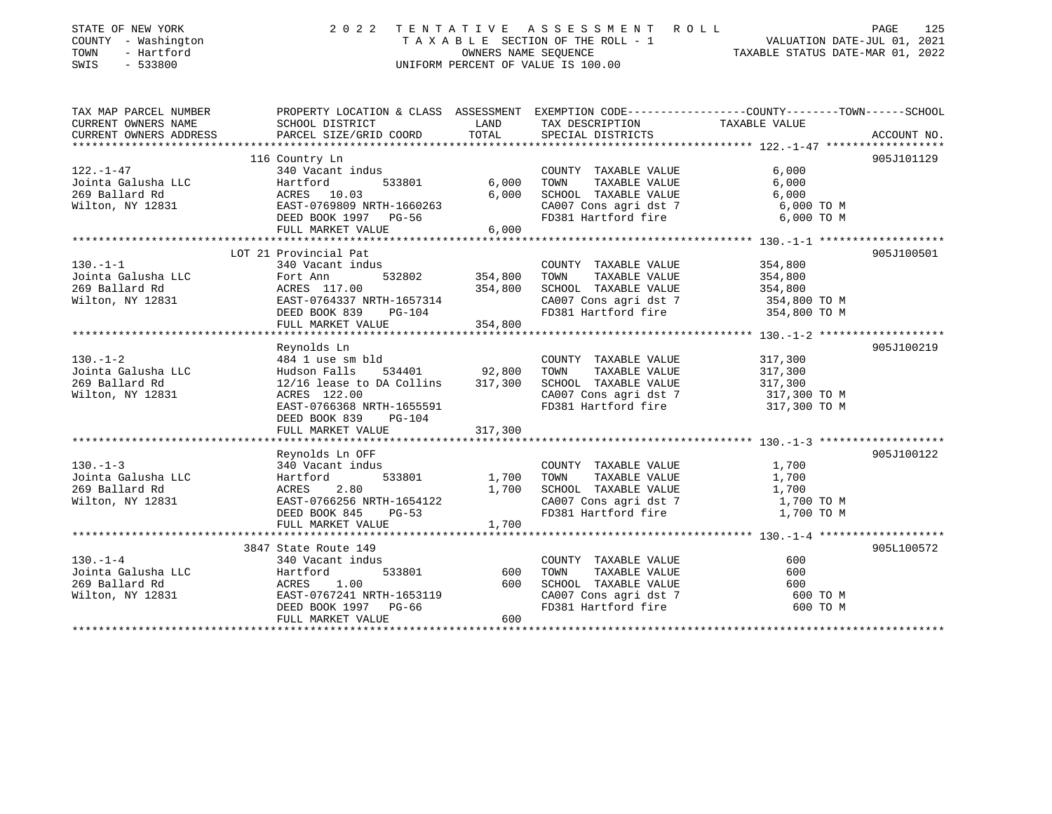| STATE OF NEW YORK<br>COUNTY - Washington<br>- Hartford<br>TOWN<br>SWIS<br>$-533800$ | 2022 TENTATIVE                                                                                                          |                           | ASSESSMENT ROLL<br>UNIFORM PERCENT OF VALUE IS 100.00                  | PAGE<br>TAXABLE SECTION OF THE ROLL - 1<br>TAXABLE SECTION OF THE ROLL - 1<br>OWNERS NAME SEQUENCE TAXABLE STATUS DATE-MAR 01, 2022 | 125         |
|-------------------------------------------------------------------------------------|-------------------------------------------------------------------------------------------------------------------------|---------------------------|------------------------------------------------------------------------|-------------------------------------------------------------------------------------------------------------------------------------|-------------|
|                                                                                     | TAX MAP PARCEL NUMBER THE PROPERTY LOCATION & CLASS ASSESSMENT EXEMPTION CODE--------------COUNTY-------TOWN-----SCHOOL |                           |                                                                        |                                                                                                                                     |             |
| CURRENT OWNERS NAME                                                                 | SCHOOL DISTRICT                                                                                                         | LAND                      | TAX DESCRIPTION                                                        | TAXABLE VALUE                                                                                                                       |             |
| CURRENT OWNERS ADDRESS                                                              | PARCEL SIZE/GRID COORD                                                                                                  | TOTAL                     | SPECIAL DISTRICTS                                                      |                                                                                                                                     | ACCOUNT NO. |
|                                                                                     | 116 Country Ln                                                                                                          |                           |                                                                        |                                                                                                                                     | 905J101129  |
| 122.-1-47                                                                           | 340 Vacant indus                                                                                                        |                           | COUNTY TAXABLE VALUE                                                   | 6,000                                                                                                                               |             |
| Jointa Galusha LLC                                                                  | 340 vacant indus<br>Hartford 533801<br>ACRES 10.03<br>EAST-0769809 NRTH-1660263                                         | 6,000                     | TOWN<br>TAXABLE VALUE                                                  | 6,000                                                                                                                               |             |
| 269 Ballard Rd                                                                      |                                                                                                                         | 6,000                     | SCHOOL TAXABLE VALUE                                                   | 6,000                                                                                                                               |             |
| Wilton, NY 12831                                                                    |                                                                                                                         |                           | $C A 007$ Cons agri dst 7<br>$F D 291$ Tauth                           | 6,000 TO M                                                                                                                          |             |
|                                                                                     | DEED BOOK 1997 PG-56                                                                                                    |                           | FD381 Hartford fire                                                    | 6,000 TO M                                                                                                                          |             |
|                                                                                     | FULL MARKET VALUE                                                                                                       | 6,000                     |                                                                        |                                                                                                                                     |             |
|                                                                                     |                                                                                                                         |                           |                                                                        |                                                                                                                                     |             |
|                                                                                     | LOT 21 Provincial Pat                                                                                                   |                           |                                                                        |                                                                                                                                     | 905J100501  |
| $130. - 1 - 1$                                                                      | 340 Vacant indus                                                                                                        |                           | COUNTY TAXABLE VALUE<br>TOWN                                           | 354,800                                                                                                                             |             |
|                                                                                     |                                                                                                                         | 532802 354,800<br>354,800 | TAXABLE VALUE<br>SCHOOL TAXABLE VALUE                                  | 354,800<br>354,800                                                                                                                  |             |
|                                                                                     |                                                                                                                         |                           |                                                                        |                                                                                                                                     |             |
|                                                                                     |                                                                                                                         |                           | CA007 Cons agri dst 7 354,800 TO M<br>FD381 Hartford fire 354,800 TO M |                                                                                                                                     |             |
|                                                                                     | FULL MARKET VALUE                                                                                                       | 354,800                   |                                                                        |                                                                                                                                     |             |
|                                                                                     |                                                                                                                         |                           |                                                                        |                                                                                                                                     |             |
|                                                                                     | Reynolds Ln                                                                                                             |                           |                                                                        |                                                                                                                                     | 905J100219  |
| $130. - 1 - 2$                                                                      | 484 1 use sm bld                                                                                                        |                           | COUNTY TAXABLE VALUE                                                   | 317,300                                                                                                                             |             |
| Jointa Galusha LLC                                                                  | Hudson Falls 534401<br>12/16 lease to DA Collins<br>534401                                                              | 92,800                    | TOWN<br>TAXABLE VALUE                                                  | 317,300                                                                                                                             |             |
| 269 Ballard Rd                                                                      |                                                                                                                         | 317,300                   | SCHOOL TAXABLE VALUE                                                   | 317,300                                                                                                                             |             |
| Wilton, NY 12831                                                                    | ACRES 122.00                                                                                                            |                           | CA007 Cons agri dst 7 317,300 TO M<br>FD381 Hartford fire 317,300 TO M |                                                                                                                                     |             |
|                                                                                     | EAST-0766368 NRTH-1655591                                                                                               |                           |                                                                        |                                                                                                                                     |             |
|                                                                                     | DEED BOOK 839<br>$PG-104$<br>FULL MARKET VALUE                                                                          | 317,300                   |                                                                        |                                                                                                                                     |             |
|                                                                                     |                                                                                                                         |                           |                                                                        |                                                                                                                                     |             |
|                                                                                     | Reynolds Ln OFF                                                                                                         |                           |                                                                        |                                                                                                                                     | 905J100122  |
| $130. - 1 - 3$                                                                      | 340 Vacant indus                                                                                                        |                           | COUNTY TAXABLE VALUE                                                   | 1,700                                                                                                                               |             |
| Jointa Galusha LLC                                                                  | 533801<br>Hartford                                                                                                      | 1,700                     | TOWN TAXABLE VALUE                                                     | 1,700                                                                                                                               |             |
| 269 Ballard Rd                                                                      | ACRES<br>2.80                                                                                                           | 1,700                     | SCHOOL TAXABLE VALUE                                                   | 1,700                                                                                                                               |             |
| Wilton, NY 12831                                                                    | EAST-0766256 NRTH-1654122                                                                                               |                           | CA007 Cons agri dst 7                                                  | 1,700 TO M                                                                                                                          |             |
|                                                                                     | DEED BOOK 845<br>$PG-53$                                                                                                |                           | FD381 Hartford fire                                                    | 1,700 TO M                                                                                                                          |             |
|                                                                                     | FULL MARKET VALUE                                                                                                       | 1,700                     |                                                                        |                                                                                                                                     |             |
|                                                                                     |                                                                                                                         |                           |                                                                        |                                                                                                                                     |             |
|                                                                                     | 3847 State Route 149                                                                                                    |                           |                                                                        |                                                                                                                                     | 905L100572  |
| $130. - 1 - 4$                                                                      | 340 Vacant indus<br>533801                                                                                              |                           | COUNTY TAXABLE VALUE                                                   | 600                                                                                                                                 |             |
| Jointa Galusha LLC<br>269 Ballard Rd                                                | Hartford<br>ACRES<br>1.00                                                                                               | 600<br>600                | TOWN<br>TAXABLE VALUE<br>SCHOOL TAXABLE VALUE                          | 600<br>600                                                                                                                          |             |
|                                                                                     | Wilton, NY 12831 EAST-0767241 NRTH-1653119                                                                              |                           | CA007 Cons agri dst 7                                                  | 600 TO M                                                                                                                            |             |
|                                                                                     | DEED BOOK 1997 PG-66                                                                                                    |                           | FD381 Hartford fire                                                    | 600 TO M                                                                                                                            |             |
|                                                                                     | FULL MARKET VALUE                                                                                                       | 600                       |                                                                        |                                                                                                                                     |             |
|                                                                                     |                                                                                                                         |                           |                                                                        |                                                                                                                                     |             |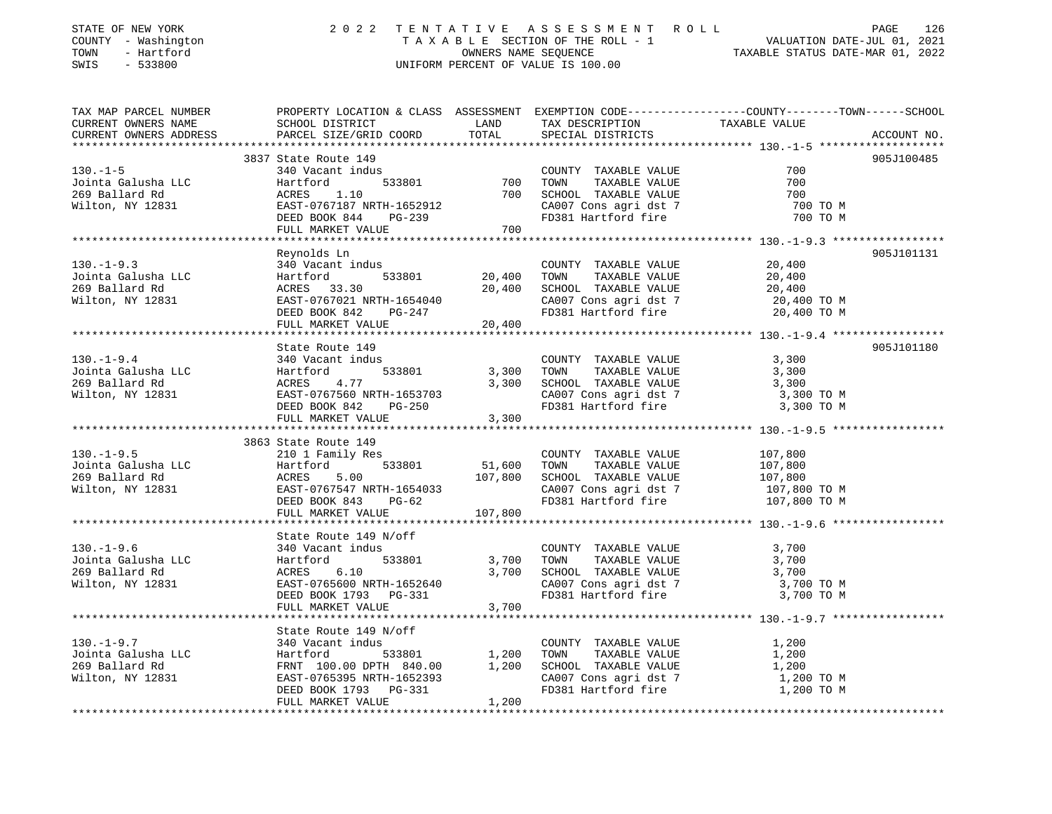| STATE OF NEW YORK<br>COUNTY - Washington<br>TOWN<br>- Hartford<br>SWIS<br>$-533800$                | 2 0 2 2                                                                                                                                                                                                |                                |                                                                                                                                            | TENTATIVE ASSESSMENT ROLL PAGE 126<br>TAXABLE SECTION OF THE ROLL - 1 VALUATION DATE-JUL 01, 2021<br>OWNERS NAME SEQUENCE TAXABLE STATUS DATE-MAR 01, 2022<br>UNIFORM PERCENT OF VALUE IS 100.00 |
|----------------------------------------------------------------------------------------------------|--------------------------------------------------------------------------------------------------------------------------------------------------------------------------------------------------------|--------------------------------|--------------------------------------------------------------------------------------------------------------------------------------------|--------------------------------------------------------------------------------------------------------------------------------------------------------------------------------------------------|
| TAX MAP PARCEL NUMBER<br>CURRENT OWNERS NAME<br>CURRENT OWNERS ADDRESS<br>************************ |                                                                                                                                                                                                        |                                |                                                                                                                                            |                                                                                                                                                                                                  |
| $130. -1 - 5$<br>Jointa Galusha LLC<br>269 Ballard Rd<br>Wilton, NY 12831                          | 3837 State Route 149<br>340 Vacant indus<br>Hartford<br>ACRES<br>1.10<br>EAST-0767187 NRTH-1652912<br>DEED BOOK 844 PG-239<br>FULL MARKET VALUE                                                        | 533801 700<br>700              | COUNTY TAXABLE VALUE<br>TOWN<br>TAXABLE VALUE<br>SCHOOL TAXABLE VALUE<br>CA007 Cons agri dst 7<br>FD381 Hartford fire                      | 905J100485<br>700<br>700<br>700<br>700 TO M<br>700 TO M                                                                                                                                          |
| $130. -1 - 9.3$<br>Jointa Galusha LLC<br>269 Ballard Rd<br>Wilton, NY 12831                        | Reynolds Ln<br>340 Vacant indus<br>$533801$ 20,400<br>Hartford<br>ACRES 33.30<br>EAST-0767021 NRTH-1654040<br>DREP POOK 842 PG-247<br>DEED BOOK 842 PG-247<br>FULL MARKET VALUE                        | 20,400<br>20,400               | COUNTY TAXABLE VALUE<br>TOWN TAXABLE VALUE<br>SCHOOL TAXABLE VALUE<br>CA007 Cons agri dst 7 20,400 TO M<br>FD381 Hartford fire 20,400 TO M | 905J101131<br>20,400<br>20,400<br>20,400                                                                                                                                                         |
| $130. -1 - 9.4$                                                                                    | State Route 149<br>DEED BOOK 842 PG-250<br>FULL MARKET VALUE                                                                                                                                           | 3,300<br>3,300<br>3,300        | COUNTY TAXABLE VALUE<br>TOWN TAXABLE VALUE<br>SCHOOL TAXABLE VALUE<br>CA007 Cons agri dst 7<br>FD381 Hartford fire                         | 905J101180<br>3,300<br>3,300<br>3,300<br>3,300 TO M<br>3,300 TO M                                                                                                                                |
| $130. - 1 - 9.5$<br>Jointa Galusha LLC<br>269 Ballard Rd<br>Wilton, NY 12831                       | 3863 State Route 149<br>210 1 Family Res<br>533801<br>Hartford<br>ACRES<br>5.00<br>EAST-0767547 NRTH-1654033<br>DEED BOOK 843 PG-62<br>DEED BOOK 843 PG-62<br>FULL MARKET VALUE                        | 51,600<br>107,800<br>107,800   | COUNTY TAXABLE VALUE<br>TOWN TAXABLE VALUE<br>SCHOOL TAXABLE VALUE<br>CA007 Cons agri dst 7<br>FD381 Hartford fire                         | 107,800<br>107,800<br>107,800<br>107,800 TO M<br>107,800 TO M                                                                                                                                    |
| $130. - 1 - 9.6$<br>Jointa Galusha LLC<br>269 Ballard Rd<br>Wilton, NY 12831                       | State Route 149 N/off<br>340 Vacant indus<br>Le Route 14:<br>340 Vacant indu<br>Hartford<br>ACRES 6.10<br>EAST-07<br>533801<br>EAST-0765600 NRTH-1652640<br>DEED BOOK 1793 PG-331<br>FULL MARKET VALUE | 3,700<br>3,700<br>3,700        | COUNTY TAXABLE VALUE<br>TOWN TAXABLE VALUE<br>SCHOOL TAXABLE VALUE<br>CA007 Cons agri dst 7<br>FD381 Hartford fire                         | 3,700<br>3,700<br>3,700<br>3,700 TO M<br>3,700 TO M                                                                                                                                              |
| $130. - 1 - 9.7$<br>Jointa Galusha LLC<br>269 Ballard Rd<br>Wilton, NY 12831                       | State Route 149 N/off<br>340 Vacant indus<br>Hartford<br>FRNT 100.00 DPTH 840.00<br>EAST-0765395 NRTH-1652393<br>DEED BOOK 1793 PG-331<br>FULL MARKET VALUE                                            | 533801 1,200<br>1,200<br>1,200 | COUNTY TAXABLE VALUE<br>TAXABLE VALUE<br>TOWN<br>SCHOOL TAXABLE VALUE<br>CA007 Cons agri dst 7<br>FD381 Hartford fire                      | 1,200<br>1,200<br>1,200<br>1,200 TO M<br>1,200 TO M                                                                                                                                              |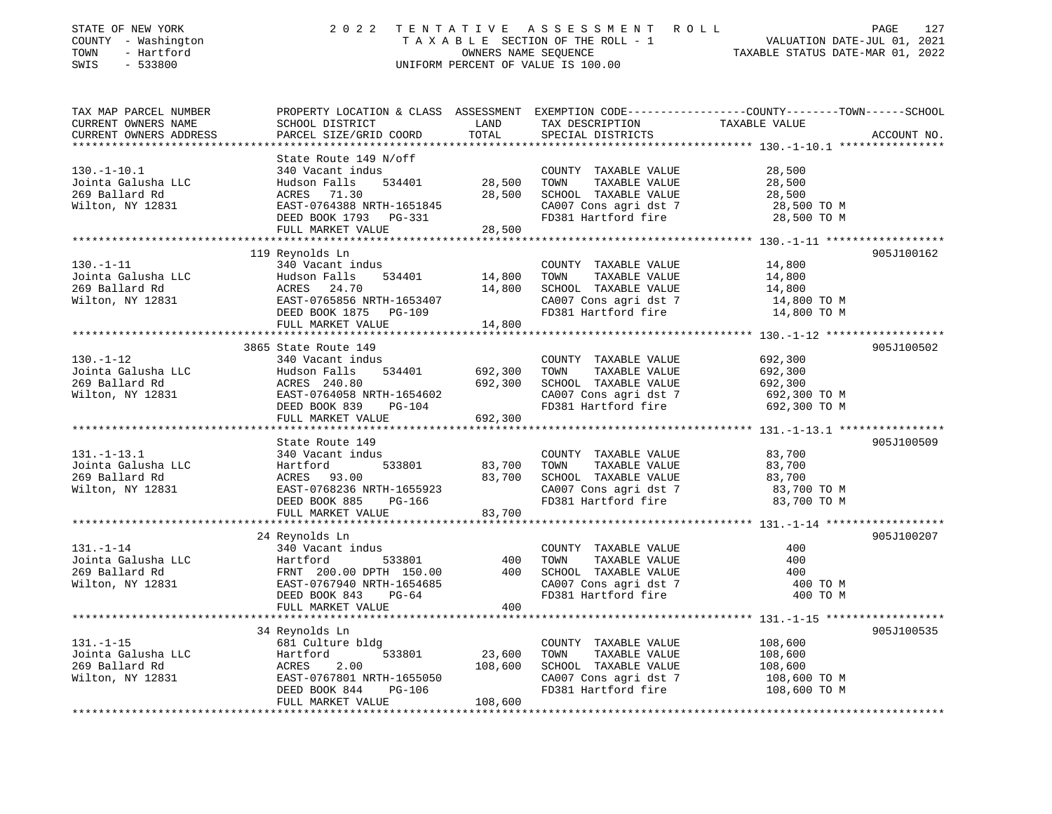| STATE OF NEW YORK<br>COUNTY - Washington<br>TOWN<br>- Hartford<br>SWIS<br>$-533800$ | 2 0 2 2                                                                                                       |         | TENTATIVE ASSESSMENT ROLL<br>UNIFORM PERCENT OF VALUE IS 100.00     | TAXABLE SECTION OF THE ROLL - 1<br>OWNERS NAME SECTION OF THE ROLL - 1<br>TAXABLE STATUS DATE-JUL 01, 2021<br>TAXABLE STATUS DATE-MAR 01, 2022                                                                        | 127<br>PAGE |
|-------------------------------------------------------------------------------------|---------------------------------------------------------------------------------------------------------------|---------|---------------------------------------------------------------------|-----------------------------------------------------------------------------------------------------------------------------------------------------------------------------------------------------------------------|-------------|
| TAX MAP PARCEL NUMBER<br>CURRENT OWNERS NAME<br>CURRENT OWNERS ADDRESS              | PARCEL SIZE/GRID COORD                                                                                        | TOTAL   | SPECIAL DISTRICTS                                                   | PROPERTY LOCATION & CLASS ASSESSMENT EXEMPTION CODE-----------------COUNTY-------TOWN------SCHOOL<br>SCHOOL DISTRICT LAND TAX DESCRIPTION TAXABLE VALUE<br>PARCEL SIZE/GRID COORD TOTAL SPECIAL DISTRICTS ACCOUNT NO. | ACCOUNT NO. |
| **************************                                                          | State Route 149 N/off                                                                                         |         |                                                                     |                                                                                                                                                                                                                       |             |
| $130. - 1 - 10.1$                                                                   | 340 Vacant indus                                                                                              |         | COUNTY TAXABLE VALUE                                                | 28,500                                                                                                                                                                                                                |             |
| Jointa Galusha LLC                                                                  | 534401<br>Hudson Falls                                                                                        | 28,500  | TOWN<br>TAXABLE VALUE                                               | 28,500                                                                                                                                                                                                                |             |
| 269 Ballard Rd                                                                      |                                                                                                               | 28,500  | SCHOOL TAXABLE VALUE                                                | 28,500                                                                                                                                                                                                                |             |
| Wilton, NY 12831                                                                    | ACRES 71.30<br>EAST-0764388 N<br>EAST-0764388 NRTH-1651845                                                    |         | CA007 Cons agri dst 7                                               | 28,500 TO M                                                                                                                                                                                                           |             |
|                                                                                     | DEED BOOK 1793 PG-331                                                                                         |         | FD381 Hartford fire                                                 | 28,500 TO M                                                                                                                                                                                                           |             |
|                                                                                     | FULL MARKET VALUE                                                                                             | 28,500  |                                                                     |                                                                                                                                                                                                                       |             |
|                                                                                     |                                                                                                               |         |                                                                     |                                                                                                                                                                                                                       |             |
| $130. - 1 - 11$                                                                     | 119 Reynolds Ln<br>340 Vacant indus                                                                           |         |                                                                     |                                                                                                                                                                                                                       | 905J100162  |
| Jointa Galusha LLC                                                                  |                                                                                                               | 14,800  | COUNTY TAXABLE VALUE<br>TOWN<br>TAXABLE VALUE                       | 14,800<br>14,800                                                                                                                                                                                                      |             |
| 269 Ballard Rd                                                                      |                                                                                                               | 14,800  | SCHOOL TAXABLE VALUE                                                | 14,800                                                                                                                                                                                                                |             |
| Wilton, NY 12831                                                                    |                                                                                                               |         |                                                                     |                                                                                                                                                                                                                       |             |
|                                                                                     | Hudson Falls 534401 14,800<br>ACRES 24.70 14,800<br>EAST-0765856 NRTH-1653407 14,800<br>DEED BOOK 1875 PG-109 |         | FD381 Hartford fire $14,800$ TO M<br>$14,800$ TO M<br>$14,800$ TO M |                                                                                                                                                                                                                       |             |
|                                                                                     | FULL MARKET VALUE                                                                                             | 14,800  |                                                                     |                                                                                                                                                                                                                       |             |
|                                                                                     |                                                                                                               |         |                                                                     |                                                                                                                                                                                                                       |             |
|                                                                                     | 3865 State Route 149                                                                                          |         |                                                                     |                                                                                                                                                                                                                       | 905J100502  |
| 130.-1-14<br>Jointa Galusha LLC<br>Pred Rd                                          | 340 Vacant indus                                                                                              |         | COUNTY TAXABLE VALUE                                                | 692,300                                                                                                                                                                                                               |             |
|                                                                                     | Hudson Falls<br>ACRES 240.80<br>534401                                                                        | 692,300 | TOWN<br>TAXABLE VALUE                                               | 692,300                                                                                                                                                                                                               |             |
|                                                                                     |                                                                                                               | 692,300 | SCHOOL TAXABLE VALUE<br>CA007 Cons agri dst 7                       | 692,300                                                                                                                                                                                                               |             |
| Wilton, NY 12831<br>Wilton, NY 12831<br>DEED BOOK 839 PG-104                        | DEED BOOK 839                                                                                                 |         | FD381 Hartford fire                                                 | 692,300 ТО М<br>692,300 TO M                                                                                                                                                                                          |             |
|                                                                                     | FULL MARKET VALUE                                                                                             | 692,300 |                                                                     |                                                                                                                                                                                                                       |             |
|                                                                                     |                                                                                                               |         |                                                                     |                                                                                                                                                                                                                       |             |
|                                                                                     | State Route 149                                                                                               |         |                                                                     |                                                                                                                                                                                                                       | 905J100509  |
| $131. -1 - 13.1$                                                                    | 340 Vacant indus                                                                                              |         | COUNTY TAXABLE VALUE                                                | 83,700                                                                                                                                                                                                                |             |
| Jointa Galusha LLC<br>269 Ballard Rd                                                |                                                                                                               | 83,700  | TAXABLE VALUE<br>TOWN                                               | 83,700                                                                                                                                                                                                                |             |
|                                                                                     |                                                                                                               | 83,700  | SCHOOL TAXABLE VALUE                                                | 83,700                                                                                                                                                                                                                |             |
| Wilton, NY 12831                                                                    |                                                                                                               |         | CA007 Cons agri dst 7                                               | 83,700 TO M                                                                                                                                                                                                           |             |
|                                                                                     | DEED BOOK 885<br>PG-166                                                                                       |         | FD381 Hartford fire                                                 | 83,700 TO M                                                                                                                                                                                                           |             |
|                                                                                     | FULL MARKET VALUE                                                                                             | 83,700  |                                                                     |                                                                                                                                                                                                                       |             |
|                                                                                     | 24 Reynolds Ln                                                                                                |         |                                                                     |                                                                                                                                                                                                                       | 905J100207  |
| $131. - 1 - 14$                                                                     | 340 Vacant indus                                                                                              |         | COUNTY TAXABLE VALUE                                                | 400                                                                                                                                                                                                                   |             |
| Jointa Galusha LLC                                                                  | Hartford<br>533801                                                                                            | 400     | TOWN<br>TAXABLE VALUE                                               | 400                                                                                                                                                                                                                   |             |
| 269 Ballard Rd                                                                      |                                                                                                               | 400     | SCHOOL TAXABLE VALUE                                                | 400                                                                                                                                                                                                                   |             |
| Wilton, NY 12831                                                                    | FRNT 200.00 DPTH 150.00<br>EAST-0767940 NRTH-1654685                                                          |         | SCHOOL IAAADDD CAOOT CONS agridst 7<br>CAOOT Cons agridst 7         | 400 TO M                                                                                                                                                                                                              |             |
|                                                                                     | DEED BOOK 843<br>PG-64                                                                                        |         |                                                                     | 400 TO M                                                                                                                                                                                                              |             |
|                                                                                     | FULL MARKET VALUE                                                                                             | 400     |                                                                     |                                                                                                                                                                                                                       |             |
|                                                                                     |                                                                                                               |         |                                                                     |                                                                                                                                                                                                                       |             |
| $131. - 1 - 15$                                                                     | 34 Reynolds Ln<br>681 Culture bldg                                                                            |         |                                                                     | 108,600                                                                                                                                                                                                               | 905J100535  |
| Jointa Galusha LLC                                                                  | Hartford<br>533801                                                                                            | 23,600  | COUNTY TAXABLE VALUE<br>TOWN<br>TAXABLE VALUE                       | 108,600                                                                                                                                                                                                               |             |
| 269 Ballard Rd                                                                      | 2.00                                                                                                          | 108,600 | SCHOOL TAXABLE VALUE                                                | 108,600                                                                                                                                                                                                               |             |
| Wilton, NY 12831                                                                    | EAST-0767801 NRTH-1655050                                                                                     |         | CA007 Cons agri dst 7                                               | 108,600 TO M                                                                                                                                                                                                          |             |
| Hartf<br>ACRES<br>EAST                                                              | PG-106<br>DEED BOOK 844                                                                                       |         | FD381 Hartford fire                                                 | 108,600 TO M                                                                                                                                                                                                          |             |
|                                                                                     | FULL MARKET VALUE                                                                                             | 108,600 |                                                                     |                                                                                                                                                                                                                       |             |
|                                                                                     |                                                                                                               |         |                                                                     |                                                                                                                                                                                                                       |             |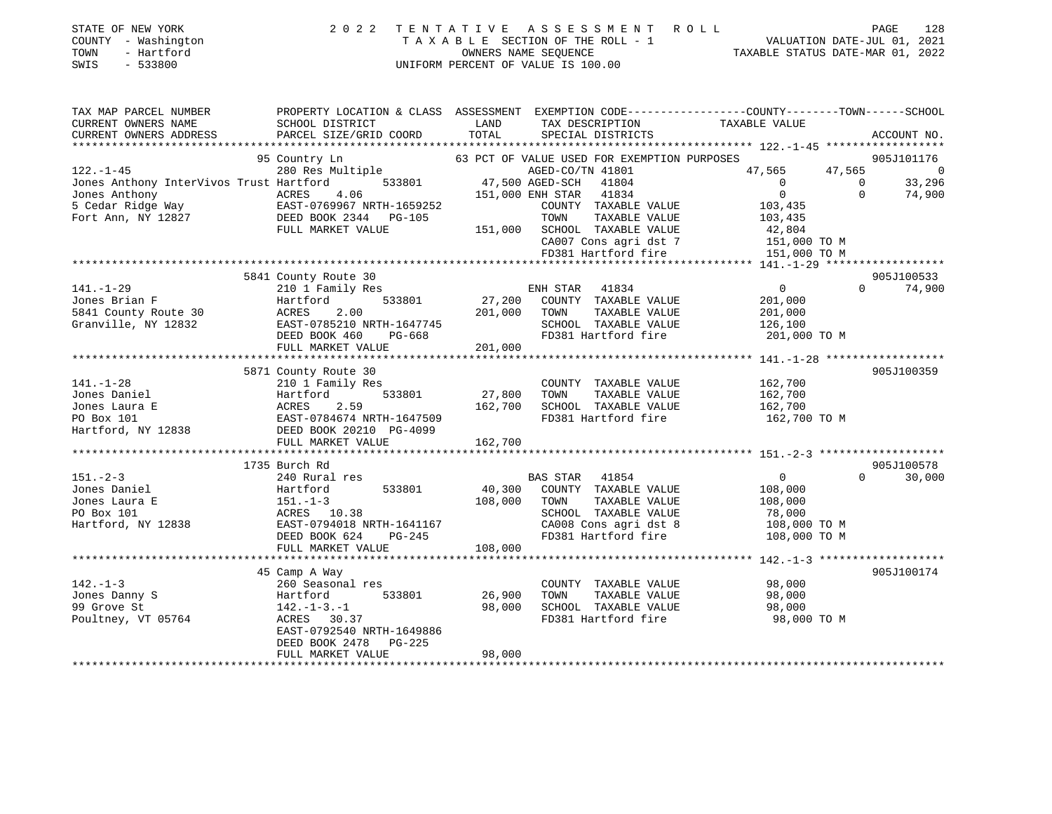| STATE OF NEW YORK   | 2022 TENTATIVE ASSESSMENT ROLL     | 128<br>PAGE                      |  |
|---------------------|------------------------------------|----------------------------------|--|
| COUNTY - Washington | TAXABLE SECTION OF THE ROLL - 1    | VALUATION DATE-JUL 01, 2021      |  |
| - Hartford<br>TOWN  | OWNERS NAME SEOUENCE               | TAXABLE STATUS DATE-MAR 01, 2022 |  |
| SWIS - 533800       | UNIFORM PERCENT OF VALUE IS 100.00 |                                  |  |
|                     |                                    |                                  |  |

| TAX MAP PARCEL NUMBER                                                                                                                                                                                          | PROPERTY LOCATION & CLASS ASSESSMENT EXEMPTION CODE---------------COUNTY-------TOWN-----SCHOOL |              |                                                                                         |                       |                                  |                    |
|----------------------------------------------------------------------------------------------------------------------------------------------------------------------------------------------------------------|------------------------------------------------------------------------------------------------|--------------|-----------------------------------------------------------------------------------------|-----------------------|----------------------------------|--------------------|
| CURRENT OWNERS NAME                                                                                                                                                                                            | SCHOOL DISTRICT                                                                                | LAND         | TAX DESCRIPTION                                                                         | TAXABLE VALUE         |                                  |                    |
| CURRENT OWNERS ADDRESS                                                                                                                                                                                         | PARCEL SIZE/GRID COORD                                                                         | TOTAL        | SPECIAL DISTRICTS                                                                       |                       |                                  | ACCOUNT NO.        |
| ***********************                                                                                                                                                                                        |                                                                                                |              |                                                                                         |                       |                                  |                    |
|                                                                                                                                                                                                                | 95 Country Ln                                                                                  |              | 63 PCT OF VALUE USED FOR EXEMPTION PURPOSES                                             |                       |                                  | 905J101176         |
| 122.-1-45<br>Jones Anthony InterVivos Trust Hartford 533801 47,500 AGED-CO/TN 41801<br>Jones Anthony InterVivos Trust Hartford 533801 47,500 AGED-SCH 41804<br>Jones Anthony ACRES 4.06 151,000 ENH STAR 41834 |                                                                                                |              |                                                                                         | 47,565 47,565 0       |                                  |                    |
|                                                                                                                                                                                                                |                                                                                                |              |                                                                                         | $\overline{0}$        | $\begin{matrix}0\\0\end{matrix}$ | 33,296             |
|                                                                                                                                                                                                                |                                                                                                |              |                                                                                         | $\overline{0}$        |                                  | 74,900             |
| Jones Anthony<br>5 Cedar Ridge Way<br>Fort Ann, NY 12827<br>Fort Ann, NY 12827<br>DEED BOOK 2344<br>PG-105                                                                                                     |                                                                                                |              | COUNTY TAXABLE VALUE                                                                    | 103,435<br>103,435    |                                  |                    |
|                                                                                                                                                                                                                |                                                                                                |              | TAXABLE VALUE<br>TOWN                                                                   |                       |                                  |                    |
|                                                                                                                                                                                                                | FULL MARKET VALUE                                                                              |              | 151,000 SCHOOL TAXABLE VALUE 42,804<br>CA007 Cons agri dst 7 151,000 TO M               |                       |                                  |                    |
|                                                                                                                                                                                                                |                                                                                                |              |                                                                                         |                       |                                  |                    |
|                                                                                                                                                                                                                |                                                                                                |              | FD381 Hartford fire                                                                     | 151,000 TO M          |                                  |                    |
|                                                                                                                                                                                                                |                                                                                                |              |                                                                                         |                       |                                  |                    |
|                                                                                                                                                                                                                | 5841 County Route 30                                                                           |              |                                                                                         |                       |                                  | 905J100533         |
| $141. - 1 - 29$                                                                                                                                                                                                | 210 1 Family Res                                                                               |              | ENH STAR 41834<br>27,200 COUNTY TAXABLE VALUE                                           | $\overline{0}$        | $\Omega$                         | 74,900             |
| Jones Brian F                                                                                                                                                                                                  | 533801<br>Hartford                                                                             |              |                                                                                         | 201,000               |                                  |                    |
| 5841 County Route 30 ACRES<br>Granville, NY 12832 EAST-0                                                                                                                                                       | 2.00                                                                                           | 201,000 TOWN | TAXABLE VALUE                                                                           | 201,000               |                                  |                    |
|                                                                                                                                                                                                                | EAST-0785210 NRTH-1647745<br>DEED BOOK 460 PG-668                                              |              | SCHOOL TAXABLE VALUE                                                                    | 126,100               |                                  |                    |
|                                                                                                                                                                                                                |                                                                                                |              | FD381 Hartford fire                                                                     | 201,000 TO M          |                                  |                    |
|                                                                                                                                                                                                                | FULL MARKET VALUE                                                                              | 201,000      |                                                                                         |                       |                                  |                    |
|                                                                                                                                                                                                                |                                                                                                |              |                                                                                         |                       |                                  |                    |
|                                                                                                                                                                                                                | 5871 County Route 30                                                                           |              |                                                                                         |                       |                                  | 905J100359         |
| $141. - 1 - 28$                                                                                                                                                                                                | 210 1 Family Res                                                                               |              | COUNTY TAXABLE VALUE 162,700                                                            |                       |                                  |                    |
| Jones Daniel                                                                                                                                                                                                   | Hartford 533801<br>ACRES 2.59<br>EAST-0784674 NRTH-1647509<br>DEED BOOK 20210 PG-4099          | 27,800       | TAXABLE VALUE<br>TOWN                                                                   | 162,700               |                                  |                    |
| Jones Laura E                                                                                                                                                                                                  |                                                                                                |              |                                                                                         | 162,700               |                                  |                    |
| Jones Laura E<br>PO Box 101<br>Hartford, NY 12838                                                                                                                                                              |                                                                                                |              | 162,700 SCHOOL TAXABLE VALUE<br>FD381 Hartford fire<br>FD381 Hartford fire 162,700 TO M |                       |                                  |                    |
|                                                                                                                                                                                                                |                                                                                                |              |                                                                                         |                       |                                  |                    |
|                                                                                                                                                                                                                | FULL MARKET VALUE                                                                              | 162,700      |                                                                                         |                       |                                  |                    |
|                                                                                                                                                                                                                |                                                                                                |              |                                                                                         |                       |                                  |                    |
|                                                                                                                                                                                                                | 1735 Burch Rd                                                                                  |              |                                                                                         |                       |                                  | 905J100578         |
| $151 - 2 - 3$                                                                                                                                                                                                  | 240 Rural res                                                                                  |              | BAS STAR 41854                                                                          | $\overline{0}$        |                                  | 30,000<br>$\Omega$ |
| Jones Daniel                                                                                                                                                                                                   | Hartford 533801                                                                                |              | 40,300 COUNTY TAXABLE VALUE                                                             | 108,000               |                                  |                    |
| Jones Laura E                                                                                                                                                                                                  | $151. - 1 - 3$                                                                                 | 108,000 TOWN |                                                                                         | TAXABLE VALUE 108,000 |                                  |                    |
| PO Box 101                                                                                                                                                                                                     | ACRES 10.38                                                                                    |              | SCHOOL TAXABLE VALUE<br>$CAO08$ Cons agri dst 8 108,000 TO M                            | 78,000                |                                  |                    |
| Hartford, NY 12838                                                                                                                                                                                             | EAST-0794018 NRTH-1641167                                                                      |              |                                                                                         |                       |                                  |                    |
|                                                                                                                                                                                                                | DEED BOOK 624<br>PG-245                                                                        |              | FD381 Hartford fire 108,000 TO M                                                        |                       |                                  |                    |
|                                                                                                                                                                                                                | FULL MARKET VALUE                                                                              | 108,000      |                                                                                         |                       |                                  |                    |
|                                                                                                                                                                                                                |                                                                                                |              |                                                                                         |                       |                                  |                    |
|                                                                                                                                                                                                                | 45 Camp A Way                                                                                  |              |                                                                                         |                       |                                  | 905J100174         |
| $142. - 1 - 3$                                                                                                                                                                                                 | 260 Seasonal res                                                                               |              | COUNTY TAXABLE VALUE                                                                    | 98,000                |                                  |                    |
| Jones Danny S                                                                                                                                                                                                  | Hartford<br>533801                                                                             | 26,900       | TOWN<br>TAXABLE VALUE                                                                   | 98,000                |                                  |                    |
| 99 Grove St                                                                                                                                                                                                    | $142. - 1 - 3. - 1$                                                                            | 98,000       | SCHOOL TAXABLE VALUE                                                                    | 98,000                |                                  |                    |
| Poultney, VT 05764                                                                                                                                                                                             | ACRES 30.37                                                                                    |              | FD381 Hartford fire                                                                     | 98,000 TO M           |                                  |                    |
|                                                                                                                                                                                                                | EAST-0792540 NRTH-1649886                                                                      |              |                                                                                         |                       |                                  |                    |
|                                                                                                                                                                                                                | DEED BOOK 2478 PG-225                                                                          |              |                                                                                         |                       |                                  |                    |
|                                                                                                                                                                                                                | FULL MARKET VALUE                                                                              | 98,000       |                                                                                         |                       |                                  |                    |
|                                                                                                                                                                                                                |                                                                                                |              |                                                                                         |                       |                                  |                    |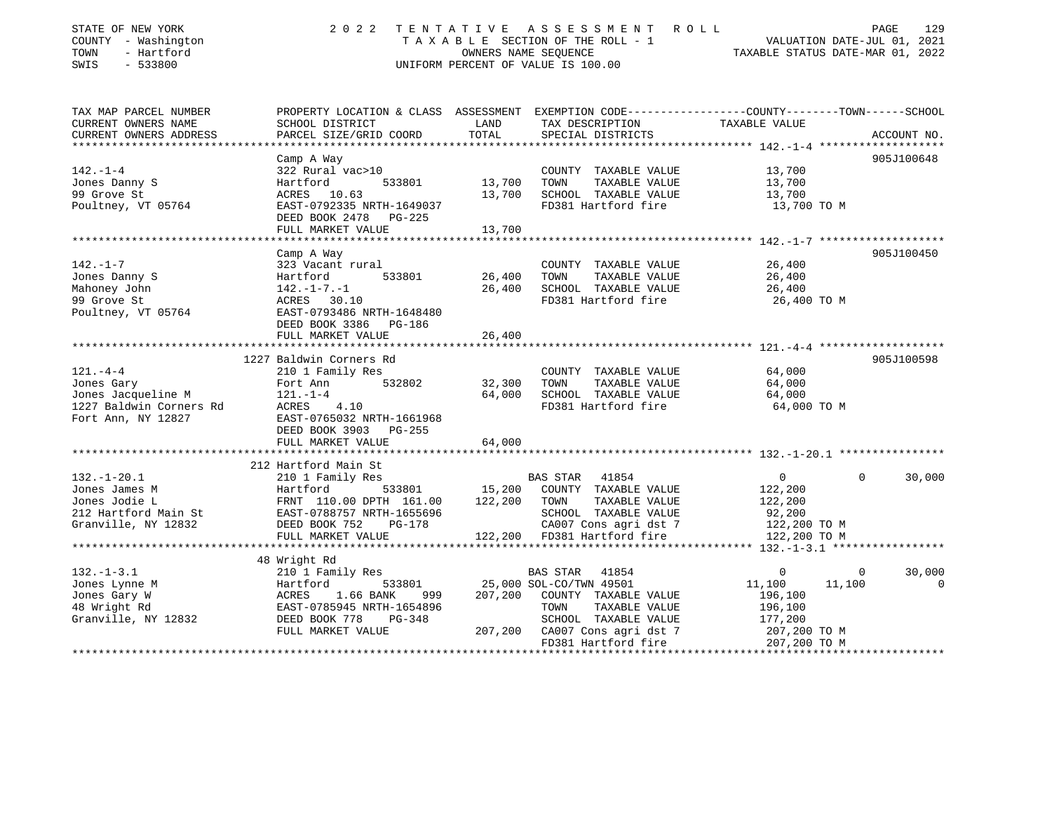| STATE OF NEW YORK<br>COUNTY - Washington<br>- Hartford<br>TOWN<br>$-533800$<br>SWIS | 2 0 2 2                                                                                                            |                  | TENTATIVE ASSESSMENT ROLL<br>T A X A B L E SECTION OF THE ROLL - 1<br>OWNERS NAME SEQUENCE TAXABLE STATUS DATE-MAR 01, 2022<br>UNIFORM PERCENT OF VALUE IS 100.00 |                                       | PAGE         | 129            |
|-------------------------------------------------------------------------------------|--------------------------------------------------------------------------------------------------------------------|------------------|-------------------------------------------------------------------------------------------------------------------------------------------------------------------|---------------------------------------|--------------|----------------|
| TAX MAP PARCEL NUMBER<br>CURRENT OWNERS NAME                                        | PROPERTY LOCATION & CLASS ASSESSMENT EXEMPTION CODE---------------COUNTY-------TOWN------SCHOOL<br>SCHOOL DISTRICT | LAND             | TAX DESCRIPTION                                                                                                                                                   | TAXABLE VALUE                         |              |                |
| CURRENT OWNERS ADDRESS                                                              | PARCEL SIZE/GRID COORD                                                                                             | TOTAL            | SPECIAL DISTRICTS                                                                                                                                                 |                                       |              | ACCOUNT NO.    |
|                                                                                     |                                                                                                                    |                  |                                                                                                                                                                   |                                       |              |                |
|                                                                                     | Camp A Way                                                                                                         |                  |                                                                                                                                                                   |                                       |              | 905J100648     |
| $142. - 1 - 4$                                                                      | 322 Rural vac>10<br>Hartford<br>533801                                                                             |                  | COUNTY TAXABLE VALUE<br>TOWN                                                                                                                                      | 13,700                                |              |                |
| Jones Danny S<br>99 Grove St                                                        | ACRES 10.63                                                                                                        | 13,700<br>13,700 | TAXABLE VALUE<br>SCHOOL TAXABLE VALUE                                                                                                                             | 13,700<br>13,700                      |              |                |
| Poultney, VT 05764                                                                  | EAST-0792335 NRTH-1649037                                                                                          |                  | FD381 Hartford fire                                                                                                                                               | 13,700 TO M                           |              |                |
|                                                                                     | DEED BOOK 2478 PG-225                                                                                              |                  |                                                                                                                                                                   |                                       |              |                |
|                                                                                     | FULL MARKET VALUE                                                                                                  | 13,700           |                                                                                                                                                                   |                                       |              |                |
|                                                                                     |                                                                                                                    |                  |                                                                                                                                                                   |                                       |              |                |
|                                                                                     | Camp A Way                                                                                                         |                  |                                                                                                                                                                   |                                       |              | 905J100450     |
| $142. - 1 - 7$                                                                      | 323 Vacant rural                                                                                                   |                  | COUNTY TAXABLE VALUE                                                                                                                                              | 26,400                                |              |                |
| Jones Danny S                                                                       | 533801<br>Hartford                                                                                                 | 26,400           | TOWN<br>TAXABLE VALUE                                                                                                                                             | 26,400                                |              |                |
| Mahoney John<br>99 Grove St                                                         | $142. - 1 - 7. - 1$<br>ACRES 30.10                                                                                 | 26,400           | SCHOOL TAXABLE VALUE<br>FD381 Hartford fire                                                                                                                       | 26,400<br>26,400 TO M                 |              |                |
| Poultney, VT 05764                                                                  | EAST-0793486 NRTH-1648480                                                                                          |                  |                                                                                                                                                                   |                                       |              |                |
|                                                                                     | DEED BOOK 3386 PG-186                                                                                              |                  |                                                                                                                                                                   |                                       |              |                |
|                                                                                     | FULL MARKET VALUE                                                                                                  | 26,400           |                                                                                                                                                                   |                                       |              |                |
|                                                                                     |                                                                                                                    |                  |                                                                                                                                                                   |                                       |              |                |
|                                                                                     | 1227 Baldwin Corners Rd                                                                                            |                  |                                                                                                                                                                   |                                       |              | 905J100598     |
| $121. - 4 - 4$                                                                      | 210 1 Family Res                                                                                                   |                  | COUNTY TAXABLE VALUE                                                                                                                                              | 64,000                                |              |                |
| Jones Gary                                                                          | 532802<br>Fort Ann                                                                                                 | 32,300           | TAXABLE VALUE<br>TOWN                                                                                                                                             | 64,000                                |              |                |
| Jones Jacqueline M<br>1227 Baldwin Corners Rd                                       | $121. - 1 - 4$<br>ACRES 4.10                                                                                       | 64,000           | SCHOOL TAXABLE VALUE<br>FD381 Hartford fire                                                                                                                       | 64,000<br>64,000 TO M                 |              |                |
| Fort Ann, NY 12827                                                                  | EAST-0765032 NRTH-1661968                                                                                          |                  |                                                                                                                                                                   |                                       |              |                |
|                                                                                     | DEED BOOK 3903 PG-255                                                                                              |                  |                                                                                                                                                                   |                                       |              |                |
|                                                                                     | FULL MARKET VALUE                                                                                                  | 64,000           |                                                                                                                                                                   |                                       |              |                |
|                                                                                     |                                                                                                                    |                  |                                                                                                                                                                   |                                       |              |                |
|                                                                                     | 212 Hartford Main St                                                                                               |                  |                                                                                                                                                                   |                                       |              |                |
| $132. - 1 - 20.1$                                                                   | 210 1 Family Res                                                                                                   |                  | BAS STAR 41854                                                                                                                                                    | $\overline{0}$                        | $\Omega$     | 30,000         |
| Jones James M                                                                       | 533801<br>Hartford 533801<br>FRNT 110.00 DPTH 161.00                                                               | 15,200           | COUNTY TAXABLE VALUE                                                                                                                                              | 122,200                               |              |                |
| Jones Jodie L                                                                       | EAST-0788757 NRTH-1655696                                                                                          | 122,200          | TOWN<br>TAXABLE VALUE<br>SCHOOL TAXABLE VALUE                                                                                                                     | 122,200<br>92,200                     |              |                |
| 212 Hartford Main St<br>Granville, NY 12832                                         | DEED BOOK 752<br><b>PG-178</b>                                                                                     |                  | CA007 Cons agri dst 7                                                                                                                                             | 122,200 TO M                          |              |                |
|                                                                                     | FULL MARKET VALUE                                                                                                  |                  | 122,200 FD381 Hartford fire                                                                                                                                       | 122,200 TO M                          |              |                |
|                                                                                     | ***********************                                                                                            |                  |                                                                                                                                                                   | ********* 132.-1-3.1 **************** |              |                |
|                                                                                     | 48 Wright Rd                                                                                                       |                  |                                                                                                                                                                   |                                       |              |                |
| $132. - 1 - 3.1$                                                                    | 210 1 Family Res                                                                                                   |                  | BAS STAR<br>41854                                                                                                                                                 | $\mathbf{0}$                          | $\mathbf{0}$ | 30,000         |
| Jones Lynne M                                                                       | Hartford<br>533801                                                                                                 |                  | 25,000 SOL-CO/TWN 49501                                                                                                                                           | 11,100                                | 11,100       | $\overline{0}$ |
| Jones Gary W                                                                        | ACRES<br>1.66 BANK<br>999                                                                                          |                  | 207,200 COUNTY TAXABLE VALUE                                                                                                                                      | 196,100                               |              |                |
| 48 Wright Rd                                                                        |                                                                                                                    |                  | TOWN<br>TAXABLE VALUE                                                                                                                                             | 196,100                               |              |                |
| Granville, NY 12832                                                                 |                                                                                                                    |                  | SCHOOL TAXABLE VALUE                                                                                                                                              | 177,200                               |              |                |
|                                                                                     | FULL MARKET VALUE                                                                                                  |                  | 207,200 CA007 Cons agri dst 7<br>FD381 Hartford fire                                                                                                              | 207,200 TO M<br>207.200 TO M          |              |                |
|                                                                                     |                                                                                                                    |                  |                                                                                                                                                                   |                                       |              |                |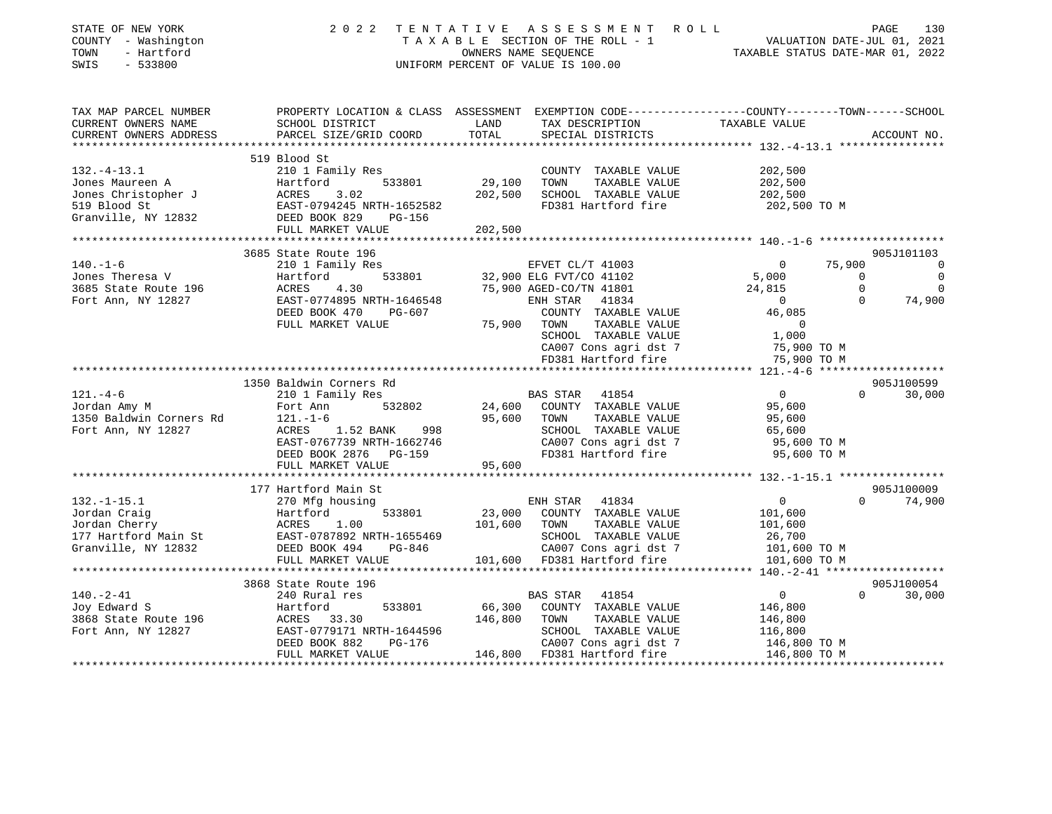| STATE OF NEW YORK<br>COUNTY - Washington<br>TOWN<br>- Hartford<br>SWIS<br>$-533800$                                                                                   | 2 0 2 2                                                                                                           |         | TENTATIVE ASSESSMENT ROLL<br>TAXABLE SECTION OF THE ROLL - 1<br>OWNERS NAME SEQUENCE<br>TAXABLE STATUS DATE-MAR 01, 2022<br>UNIFORM PERCENT OF VALUE IS 100.00 | TAXABLE STATUS DATE-MAR 01, 2022 | PAGE<br>130                  |
|-----------------------------------------------------------------------------------------------------------------------------------------------------------------------|-------------------------------------------------------------------------------------------------------------------|---------|----------------------------------------------------------------------------------------------------------------------------------------------------------------|----------------------------------|------------------------------|
| TAX MAP PARCEL NUMBER<br>CURRENT OWNERS NAME                                                                                                                          | PROPERTY LOCATION & CLASS ASSESSMENT EXEMPTION CODE---------------COUNTY-------TOWN-----SCHOOL<br>SCHOOL DISTRICT | LAND    | TAX DESCRIPTION                                                                                                                                                | TAXABLE VALUE                    |                              |
| CURRENT OWNERS ADDRESS                                                                                                                                                | PARCEL SIZE/GRID COORD                                                                                            | TOTAL   | SPECIAL DISTRICTS                                                                                                                                              |                                  | ACCOUNT NO.                  |
|                                                                                                                                                                       | 519 Blood St                                                                                                      |         |                                                                                                                                                                |                                  |                              |
| $132. - 4 - 13.1$                                                                                                                                                     | 210 1 Family Res                                                                                                  |         | COUNTY TAXABLE VALUE                                                                                                                                           | 202,500                          |                              |
|                                                                                                                                                                       | 533801                                                                                                            | 29,100  | TOWN<br>TAXABLE VALUE                                                                                                                                          | 202,500                          |                              |
|                                                                                                                                                                       |                                                                                                                   | 202,500 | SCHOOL TAXABLE VALUE                                                                                                                                           | 202,500                          |                              |
| 132.-4-13.1<br>Jones Maureen A Hartford 533801<br>Jones Christopher J ACRES 3.02<br>519 Blood St EAST-0794245 NRTH-165258<br>Granville. NY 12832 DEED BOOK 829 PG-156 | EAST-0794245 NRTH-1652582                                                                                         |         | FD381 Hartford fire                                                                                                                                            | 202,500 TO M                     |                              |
|                                                                                                                                                                       |                                                                                                                   |         |                                                                                                                                                                |                                  |                              |
|                                                                                                                                                                       | FULL MARKET VALUE                                                                                                 | 202,500 |                                                                                                                                                                |                                  |                              |
|                                                                                                                                                                       |                                                                                                                   |         |                                                                                                                                                                |                                  |                              |
| $140. - 1 - 6$                                                                                                                                                        | 3685 State Route 196<br>210 1 Family Res                                                                          |         | EFVET CL/T 41003                                                                                                                                               | 75,900<br>$\mathbf{0}$           | 905J101103<br>$\overline{0}$ |
| Jones Theresa V                                                                                                                                                       | 。<br>533801<br>Hartford                                                                                           |         | 32,900 ELG FVT/CO 41102                                                                                                                                        | 5,000                            | $\overline{0}$<br>$\Omega$   |
| 3685 State Route 196                                                                                                                                                  | ACRES<br>4.30                                                                                                     |         | 75,900 AGED-CO/TN 41801                                                                                                                                        | 24,815                           | $\overline{0}$<br>$\Omega$   |
| Fort Ann, NY 12827                                                                                                                                                    | EAST-0774895 NRTH-1646548                                                                                         |         | ENH STAR 41834                                                                                                                                                 | $\overline{0}$                   | 74,900<br>$\Omega$           |
|                                                                                                                                                                       | DEED BOOK 470<br>PG-607                                                                                           |         | COUNTY TAXABLE VALUE                                                                                                                                           | 46,085                           |                              |
|                                                                                                                                                                       | FULL MARKET VALUE                                                                                                 | 75,900  | TAXABLE VALUE<br>TOWN                                                                                                                                          | $\Omega$                         |                              |
|                                                                                                                                                                       |                                                                                                                   |         | SCHOOL TAXABLE VALUE                                                                                                                                           | 1,000                            |                              |
|                                                                                                                                                                       |                                                                                                                   |         | CA007 Cons agri dst 7                                                                                                                                          | 75,900 TO M                      |                              |
|                                                                                                                                                                       |                                                                                                                   |         | FD381 Hartford fire                                                                                                                                            | 75,900 TO M                      |                              |
|                                                                                                                                                                       |                                                                                                                   |         |                                                                                                                                                                |                                  |                              |
| $121. - 4 - 6$                                                                                                                                                        | 1350 Baldwin Corners Rd                                                                                           |         |                                                                                                                                                                | $\overline{0}$                   | 905J100599<br>$\Omega$       |
| 121.-4-6<br>Jordan Amy M                                                                                                                                              | 210 1 Family Res<br>532802<br>Fort Ann                                                                            |         | BAS STAR 41854<br>24,600 COUNTY TAXABLE VALUE                                                                                                                  | 95,600                           | 30,000                       |
| 1350 Baldwin Corners Rd                                                                                                                                               | $121. - 1 - 6$                                                                                                    |         | 95,600 TOWN<br>TAXABLE VALUE                                                                                                                                   | 95,600                           |                              |
| Fort Ann, NY 12827                                                                                                                                                    | 998<br>ACRES<br>1.52 BANK                                                                                         |         | SCHOOL TAXABLE VALUE                                                                                                                                           | 65,600                           |                              |
|                                                                                                                                                                       | EAST-0767739 NRTH-1662746                                                                                         |         | CA007 Cons agri dst 7                                                                                                                                          | 95,600 TO M                      |                              |
|                                                                                                                                                                       | DEED BOOK 2876 PG-159                                                                                             |         | FD381 Hartford fire                                                                                                                                            | 95,600 TO M                      |                              |
|                                                                                                                                                                       | FULL MARKET VALUE                                                                                                 | 95,600  |                                                                                                                                                                |                                  |                              |
|                                                                                                                                                                       | ****************************                                                                                      |         |                                                                                                                                                                |                                  |                              |
|                                                                                                                                                                       | 177 Hartford Main St                                                                                              |         |                                                                                                                                                                |                                  | 905J100009                   |
| $132. - 1 - 15.1$                                                                                                                                                     | 270 Mfg housing                                                                                                   |         | ENH STAR 41834                                                                                                                                                 | $\overline{0}$                   | $0 \t 74,900$                |
| Jordan Craig<br>Jordan Cherry                                                                                                                                         | Hartford 533801 23,000<br>ACRES 1.00 101,600<br>EAST-0787892 NRTH-1655469 101,600                                 |         | 23,000 COUNTY TAXABLE VALUE<br>101,600 TOWN<br>TAXABLE VALUE                                                                                                   | 101,600<br>101,600               |                              |
| 177 Hartford Main St                                                                                                                                                  |                                                                                                                   |         | SCHOOL TAXABLE VALUE                                                                                                                                           | 26,700                           |                              |
| Granville, NY 12832                                                                                                                                                   |                                                                                                                   |         | CA007 Cons agri dst 7                                                                                                                                          | 101,600 TO M                     |                              |
|                                                                                                                                                                       | FULL MARKET VALUE                                                                                                 |         | 101,600 FD381 Hartford fire                                                                                                                                    | 101,600 TO M                     |                              |
|                                                                                                                                                                       |                                                                                                                   |         |                                                                                                                                                                |                                  |                              |
|                                                                                                                                                                       | 3868 State Route 196                                                                                              |         |                                                                                                                                                                |                                  | 905J100054                   |
| $140. - 2 - 41$                                                                                                                                                       | 240 Rural res                                                                                                     |         | BAS STAR 41854                                                                                                                                                 | $\overline{0}$                   | $\Omega$<br>30,000           |
| Joy Edward S                                                                                                                                                          | 533801<br>Hartford                                                                                                |         | 66,300 COUNTY TAXABLE VALUE                                                                                                                                    | 146,800                          |                              |
| 3868 State Route 196<br>The Rose of ACRES 33.30<br>Fort Ann, NY 12827 EAST-0779171 1                                                                                  |                                                                                                                   | 146,800 | TOWN<br>TAXABLE VALUE                                                                                                                                          | 146,800                          |                              |
|                                                                                                                                                                       | EAST-0779171 NRTH-1644596                                                                                         |         | SCHOOL TAXABLE VALUE                                                                                                                                           | 116,800                          |                              |
|                                                                                                                                                                       | DEED BOOK 882<br>PG-176<br>FULL MARKET VALUE                                                                      |         | CA007 Cons agri dst 7<br>146,800 FD381 Hartford fire                                                                                                           | 146,800 TO M<br>146,800 TO M     |                              |
|                                                                                                                                                                       |                                                                                                                   |         |                                                                                                                                                                |                                  |                              |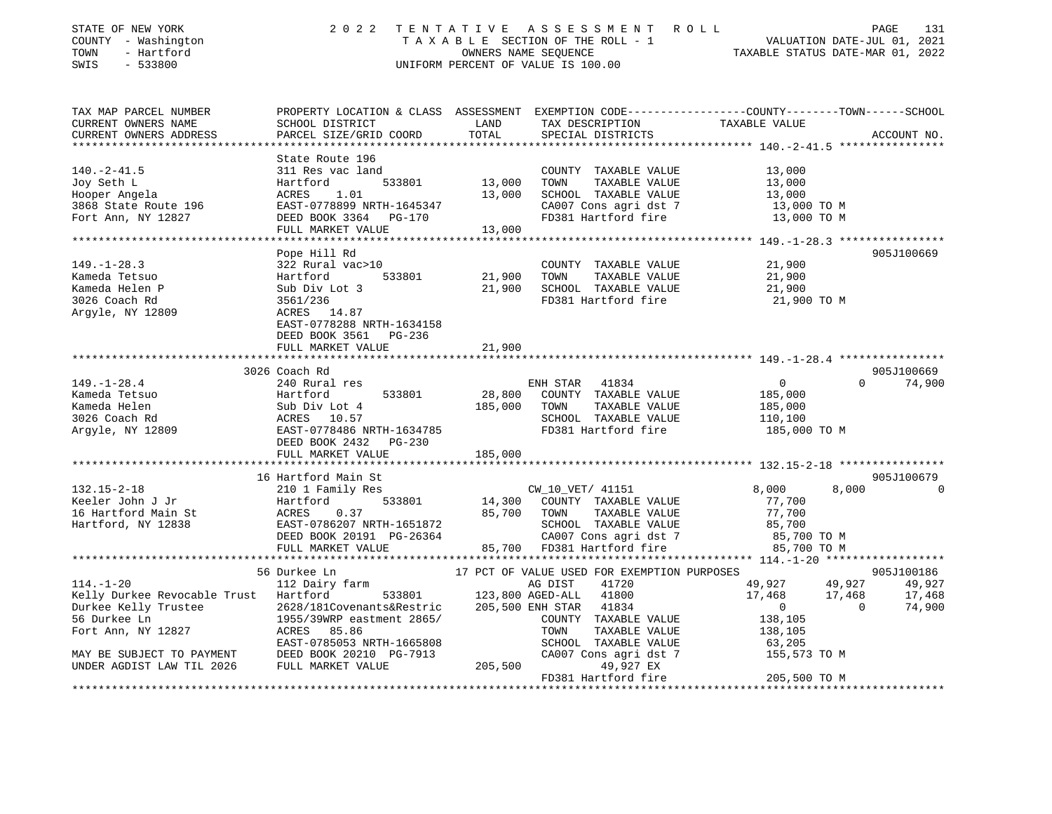| STATE OF NEW YORK<br>COUNTY - Washington<br>TOWN<br>- Hartford<br>SWIS<br>$-533800$ | 2 0 2 2                                   | TENTATIVE     | ASSESSMENT ROLL<br>TAXABLE SECTION OF THE ROLL - 1<br>OWNERS NAME SEQUENCE<br>UNIFORM PERCENT OF VALUE IS 100.00 | PAGE 131<br>VALUATION DATE-JUL 01, 2021<br>TAXABLE STATIS DATE 11-                                               |                  |
|-------------------------------------------------------------------------------------|-------------------------------------------|---------------|------------------------------------------------------------------------------------------------------------------|------------------------------------------------------------------------------------------------------------------|------------------|
| TAX MAP PARCEL NUMBER<br>CURRENT OWNERS NAME<br>CURRENT OWNERS ADDRESS              | SCHOOL DISTRICT<br>PARCEL SIZE/GRID COORD | LAND<br>TOTAL | TAX DESCRIPTION<br>SPECIAL DISTRICTS                                                                             | PROPERTY LOCATION & CLASS ASSESSMENT EXEMPTION CODE----------------COUNTY-------TOWN-----SCHOOL<br>TAXABLE VALUE | ACCOUNT NO.      |
| *************************                                                           |                                           |               |                                                                                                                  |                                                                                                                  |                  |
|                                                                                     | State Route 196                           |               |                                                                                                                  |                                                                                                                  |                  |
| $140. -2 - 41.5$<br>Joy Seth L                                                      | 311 Res vac land<br>533801<br>Hartford    | 13,000        | COUNTY TAXABLE VALUE<br>TOWN<br>TAXABLE VALUE                                                                    | 13,000<br>13,000                                                                                                 |                  |
| Hooper Angela                                                                       | ACRES<br>1.01                             | 13,000        | SCHOOL TAXABLE VALUE                                                                                             | 13,000                                                                                                           |                  |
| 3868 State Route 196                                                                | EAST-0778899 NRTH-1645347                 |               | CA007 Cons agri dst 7                                                                                            | 13,000 TO M                                                                                                      |                  |
| Fort Ann, NY 12827                                                                  | DEED BOOK 3364 PG-170                     |               | FD381 Hartford fire                                                                                              | 13,000 TO M                                                                                                      |                  |
|                                                                                     | FULL MARKET VALUE                         | 13,000        |                                                                                                                  |                                                                                                                  |                  |
|                                                                                     |                                           |               |                                                                                                                  |                                                                                                                  |                  |
|                                                                                     | Pope Hill Rd                              |               |                                                                                                                  |                                                                                                                  | 905J100669       |
| $149. - 1 - 28.3$<br>Kameda Tetsuo                                                  | 322 Rural vac>10<br>Hartford<br>533801    | 21,900        | COUNTY TAXABLE VALUE<br>TAXABLE VALUE<br>TOWN                                                                    | 21,900<br>21,900                                                                                                 |                  |
| Kameda Helen P                                                                      | Sub Div Lot 3                             | 21,900        | SCHOOL TAXABLE VALUE                                                                                             | 21,900                                                                                                           |                  |
| 3026 Coach Rd                                                                       | 3561/236                                  |               | FD381 Hartford fire                                                                                              | 21,900 TO M                                                                                                      |                  |
| Argyle, NY 12809                                                                    | ACRES 14.87                               |               |                                                                                                                  |                                                                                                                  |                  |
|                                                                                     | EAST-0778288 NRTH-1634158                 |               |                                                                                                                  |                                                                                                                  |                  |
|                                                                                     | DEED BOOK 3561 PG-236                     |               |                                                                                                                  |                                                                                                                  |                  |
|                                                                                     | FULL MARKET VALUE                         | 21,900        |                                                                                                                  |                                                                                                                  |                  |
|                                                                                     | ***********************                   |               |                                                                                                                  |                                                                                                                  | 905J100669       |
| $149. - 1 - 28.4$                                                                   | 3026 Coach Rd<br>240 Rural res            |               | ENH STAR 41834                                                                                                   | $\Omega$<br>$\overline{0}$                                                                                       | 74,900           |
| Kameda Tetsuo                                                                       | Hartford<br>533801                        | 28,800        | COUNTY TAXABLE VALUE                                                                                             | 185,000                                                                                                          |                  |
| Kameda Helen                                                                        | Sub Div Lot 4                             | 185,000       | TAXABLE VALUE<br>TOWN                                                                                            | 185,000                                                                                                          |                  |
| 3026 Coach Rd                                                                       | ACRES 10.57                               |               | SCHOOL TAXABLE VALUE                                                                                             | 110,100                                                                                                          |                  |
| Argyle, NY 12809                                                                    | EAST-0778486 NRTH-1634785                 |               | FD381 Hartford fire                                                                                              | 185,000 TO M                                                                                                     |                  |
|                                                                                     | DEED BOOK 2432 PG-230                     |               |                                                                                                                  |                                                                                                                  |                  |
|                                                                                     | FULL MARKET VALUE                         | 185,000       |                                                                                                                  |                                                                                                                  |                  |
|                                                                                     |                                           |               |                                                                                                                  |                                                                                                                  |                  |
| $132.15 - 2 - 18$                                                                   | 16 Hartford Main St<br>210 1 Family Res   |               | CW_10_VET/ 41151                                                                                                 | 8,000<br>8,000                                                                                                   | 905J100679       |
| Keeler John J Jr                                                                    | Hartford<br>533801                        | 14,300        | COUNTY TAXABLE VALUE                                                                                             | 77,700                                                                                                           |                  |
| 16 Hartford Main St                                                                 | ACRES<br>0.37                             | 85,700        | TOWN<br>TAXABLE VALUE                                                                                            | 77,700                                                                                                           |                  |
| Hartford, NY 12838                                                                  | EAST-0786207 NRTH-1651872                 |               | SCHOOL TAXABLE VALUE                                                                                             | 85,700                                                                                                           |                  |
|                                                                                     | DEED BOOK 20191 PG-26364                  |               | CA007 Cons agri dst 7                                                                                            | 85,700 TO M                                                                                                      |                  |
|                                                                                     | FULL MARKET VALUE                         |               | 85,700 FD381 Hartford fire                                                                                       | 85,700 TO M                                                                                                      |                  |
|                                                                                     | ********************                      |               | *************************************                                                                            | ****** $114. - 1 - 20$ *******************                                                                       |                  |
|                                                                                     | 56 Durkee Ln                              |               | 17 PCT OF VALUE USED FOR EXEMPTION PURPOSES                                                                      |                                                                                                                  | 905J100186       |
| $114. - 1 - 20$<br>Kelly Durkee Revocable Trust Hartford                            | 112 Dairy farm<br>533801                  |               | AG DIST<br>41720<br>41800<br>123,800 AGED-ALL                                                                    | 49,927<br>49,927<br>17,468<br>17,468                                                                             | 49,927<br>17,468 |
| Durkee Kelly Trustee                                                                | 2628/181Covenants&Restric                 |               | 41834<br>205,500 ENH STAR                                                                                        | $\overline{0}$<br>$\Omega$                                                                                       | 74,900           |
| 56 Durkee Ln                                                                        | 1955/39WRP eastment 2865/                 |               | COUNTY TAXABLE VALUE                                                                                             | 138,105                                                                                                          |                  |
| Fort Ann, NY 12827                                                                  | ACRES 85.86                               |               | TOWN<br>TAXABLE VALUE                                                                                            | 138,105                                                                                                          |                  |
|                                                                                     | EAST-0785053 NRTH-1665808                 |               | SCHOOL TAXABLE VALUE                                                                                             | 63,205                                                                                                           |                  |
| MAY BE SUBJECT TO PAYMENT                                                           | DEED BOOK 20210 PG-7913                   |               | CA007 Cons agri dst 7                                                                                            | 155,573 TO M                                                                                                     |                  |
| UNDER AGDIST LAW TIL 2026                                                           | FULL MARKET VALUE                         | 205,500       | 49,927 EX                                                                                                        |                                                                                                                  |                  |
|                                                                                     |                                           |               | FD381 Hartford fire                                                                                              | 205,500 TO M                                                                                                     |                  |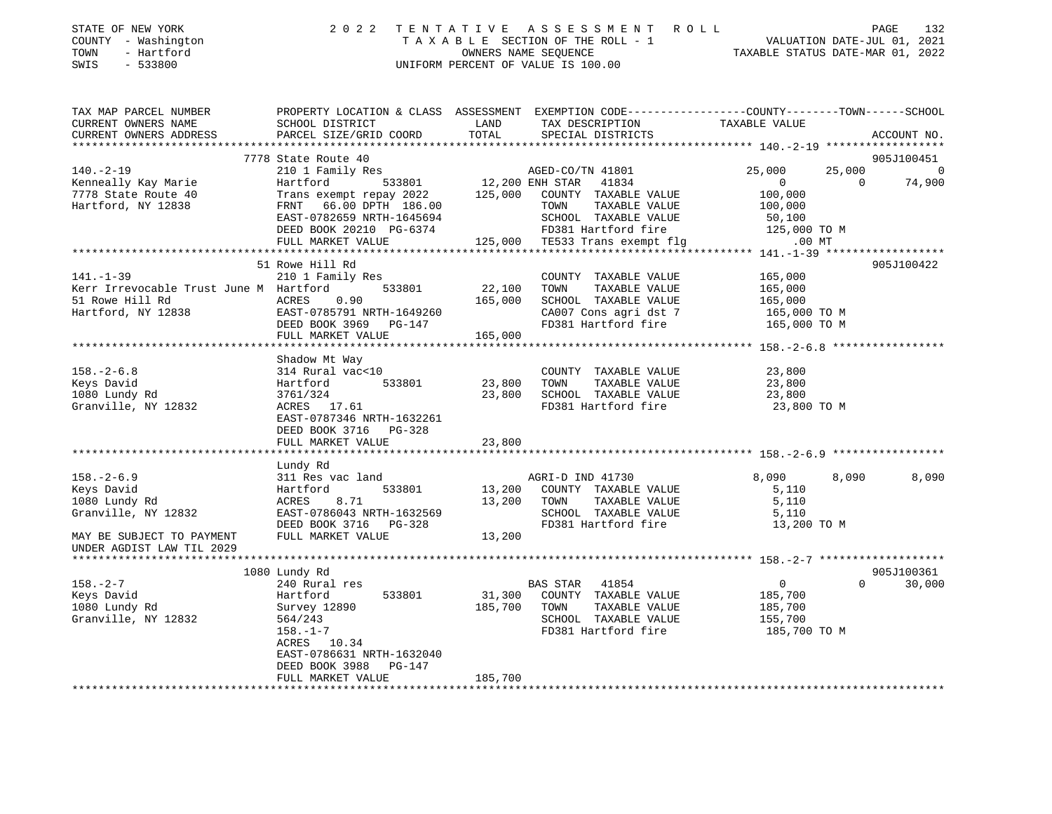| STATE OF NEW YORK<br>COUNTY - Washington<br>TOWN<br>- Hartford | 2022 TENTATIVE ASSESSMENT ROLL<br>T A X A B L E SECTION OF THE ROLL - 1<br>OWNERS NAME SEOUENCE | 132<br>PAGE<br>VALUATION DATE-JUL 01, 2021<br>TAXABLE STATUS DATE-MAR 01, 2022 |
|----------------------------------------------------------------|-------------------------------------------------------------------------------------------------|--------------------------------------------------------------------------------|
| SWIS - 533800                                                  | UNIFORM PERCENT OF VALUE IS 100.00                                                              |                                                                                |

| TAX MAP PARCEL NUMBER                                     | PROPERTY LOCATION & CLASS ASSESSMENT EXEMPTION CODE---------------COUNTY-------TOWN-----SCHOOL |                               |                                                                 |                       |                |                          |
|-----------------------------------------------------------|------------------------------------------------------------------------------------------------|-------------------------------|-----------------------------------------------------------------|-----------------------|----------------|--------------------------|
| CURRENT OWNERS NAME                                       | SCHOOL DISTRICT                                                                                | LAND                          | TAX DESCRIPTION                                                 | TAXABLE VALUE         |                |                          |
| CURRENT OWNERS ADDRESS                                    | PARCEL SIZE/GRID COORD                                                                         | TOTAL                         | SPECIAL DISTRICTS                                               |                       |                | ACCOUNT NO.              |
|                                                           | 7778 State Route 40                                                                            |                               |                                                                 |                       |                | 905J100451               |
| $140. - 2 - 19$                                           |                                                                                                |                               |                                                                 | 25,000                |                | 25,000<br>$\overline{0}$ |
| Kenneally Kay Marie                                       |                                                                                                |                               |                                                                 | $\overline{0}$        | $\overline{0}$ | 74,900                   |
|                                                           | Trans exempt repay 2022 125,000 COUNTY TAXABLE VALUE                                           |                               |                                                                 | 100,000               |                |                          |
| 7778 State Route 40<br>Hartford, NY 12838                 | FRNT 66.00 DPTH 186.00                                                                         |                               | TOWN TAXABLE VALUE                                              | 100,000               |                |                          |
|                                                           | EAST-0782659 NRTH-1645694                                                                      |                               |                                                                 |                       |                |                          |
|                                                           | DEED BOOK 20210 PG-6374                                                                        |                               | SCHOOL TAXABLE VALUE 50,100<br>FD381 Hartford fire 125,000 TO M |                       |                |                          |
|                                                           | FULL MARKET VALUE                                                                              |                               | $125,000$ TE533 Trans exempt flg $\qquad \qquad 00 \text{ MT}$  |                       |                |                          |
|                                                           |                                                                                                |                               |                                                                 |                       |                |                          |
|                                                           | 51 Rowe Hill Rd                                                                                |                               |                                                                 |                       |                | 905J100422               |
| $141. - 1 - 39$                                           | 210 1 Family Res                                                                               |                               | COUNTY TAXABLE VALUE 165,000                                    |                       |                |                          |
| Kerr Irrevocable Trust June M Hartford 533801 22,100 TOWN |                                                                                                |                               | TAXABLE VALUE 165,000                                           |                       |                |                          |
| 51 Rowe Hill Rd                                           | ACRES 0.90                                                                                     | 165,000                       | SCHOOL TAXABLE VALUE                                            | 165,000               |                |                          |
| Hartford, NY 12838 EAST-0785791 NRTH-1649260              |                                                                                                |                               | CA007 Cons agri dst 7 165,000 TO M                              |                       |                |                          |
|                                                           | DEED BOOK 3969 PG-147                                                                          |                               | FD381 Hartford fire                                             | 165,000 TO M          |                |                          |
|                                                           | FULL MARKET VALUE                                                                              | 165,000                       |                                                                 |                       |                |                          |
|                                                           |                                                                                                |                               |                                                                 |                       |                |                          |
| $158. - 2 - 6.8$                                          | Shadow Mt Way<br>314 Rural vac<10                                                              |                               |                                                                 |                       |                |                          |
| Keys David                                                | Hartford                                                                                       | 0 COUNT<br>533801 23,800 TOWN | COUNTY TAXABLE VALUE<br>TOWN TAXABLE VALUE 23,800               |                       |                |                          |
| 1080 Lundy Rd                                             |                                                                                                |                               |                                                                 |                       |                |                          |
| Granville, NY 12832                                       | $ACRES$ 17.61<br>$FART$ $-1$                                                                   |                               | 23,800    SCHOOL   TAXABLE VALUE<br>FD381 Hartford fire         |                       |                |                          |
|                                                           | EAST-0787346 NRTH-1632261                                                                      |                               |                                                                 | 23,800<br>23,800 TO M |                |                          |
|                                                           | DEED BOOK 3716 PG-328                                                                          |                               |                                                                 |                       |                |                          |
|                                                           | FULL MARKET VALUE 23,800                                                                       |                               |                                                                 |                       |                |                          |
|                                                           |                                                                                                |                               |                                                                 |                       |                |                          |
|                                                           | Lundy Rd                                                                                       |                               |                                                                 |                       |                |                          |
| $158. - 2 - 6.9$                                          | 311 Res vac land                                                                               |                               | AGRI-D IND 41730                                                | 8,090                 | 8,090          | 8,090                    |
| Keys David                                                | Hartford                                                                                       |                               | 533801 13,200 COUNTY TAXABLE VALUE                              | 5,110<br>5,110        |                |                          |
| 1080 Lundy Rd                                             | 8.71<br>ACRES                                                                                  | 13,200 TOWN                   | TAXABLE VALUE                                                   |                       |                |                          |
| Granville, NY 12832                                       |                                                                                                |                               | SCHOOL TAXABLE VALUE 5,110<br>FD381 Hartford fire 13,200 TO M   |                       |                |                          |
|                                                           | EAST-0786043 NRTH-1632569<br>DEED BOOK 3716 PG-328<br>FULL MARKET VALUE 13,200                 |                               |                                                                 |                       |                |                          |
| MAY BE SUBJECT TO PAYMENT                                 |                                                                                                |                               |                                                                 |                       |                |                          |
| UNDER AGDIST LAW TIL 2029                                 |                                                                                                |                               |                                                                 |                       |                |                          |
|                                                           |                                                                                                |                               |                                                                 |                       |                | 905J100361               |
| $158. - 2 - 7$                                            | 1080 Lundy Rd<br>240 Rural res                                                                 |                               | BAS STAR 41854                                                  | 0                     |                | $\Omega$<br>30,000       |
| Keys David                                                | 533801<br>Hartford                                                                             |                               | 31,300 COUNTY TAXABLE VALUE                                     | 185,700               |                |                          |
| 1080 Lundy Rd                                             |                                                                                                | 185,700 TOWN                  | TAXABLE VALUE                                                   |                       |                |                          |
| Granville, NY 12832                                       |                                                                                                |                               | SCHOOL TAXABLE VALUE                                            | 185,700<br>155,700    |                |                          |
|                                                           |                                                                                                |                               | FD381 Hartford fire 185,700 TO M                                |                       |                |                          |
|                                                           | Survey 12890<br>564/243<br>158.-1-7<br>ACRES 10.34                                             |                               |                                                                 |                       |                |                          |
|                                                           | EAST-0786631 NRTH-1632040                                                                      |                               |                                                                 |                       |                |                          |
|                                                           | DEED BOOK 3988 PG-147                                                                          |                               |                                                                 |                       |                |                          |
|                                                           | FULL MARKET VALUE                                                                              | 185,700                       |                                                                 |                       |                |                          |
|                                                           |                                                                                                |                               |                                                                 |                       |                |                          |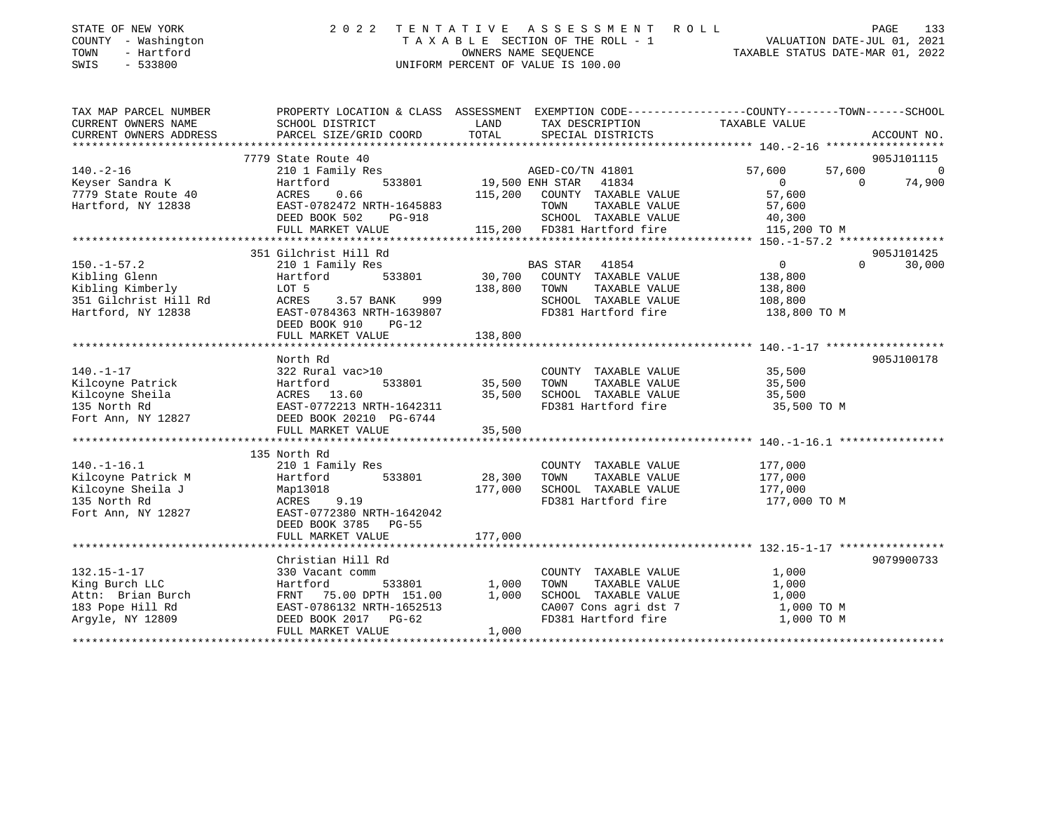| STATE OF NEW YORK<br>- Washington<br>COUNTY<br>- Hartford<br>TOWN<br>SWIS<br>$-533800$ | 2022                                 | TENTATIVE<br>OWNERS NAME SEOUENCE | ASSESSMENT ROLL<br>TAXABLE SECTION OF THE ROLL - 1<br>UNIFORM PERCENT OF VALUE IS 100.00 | VALUATION DATE-JUL 01, 2021<br>TAXABLE STATUS DATE-MAR 01, 2022 | 133<br>PAGE            |
|----------------------------------------------------------------------------------------|--------------------------------------|-----------------------------------|------------------------------------------------------------------------------------------|-----------------------------------------------------------------|------------------------|
| TAX MAP PARCEL NUMBER                                                                  | PROPERTY LOCATION & CLASS ASSESSMENT |                                   |                                                                                          | EXEMPTION CODE-----------------COUNTY-------TOWN------SCHOOL    |                        |
| CURRENT OWNERS NAME                                                                    | SCHOOL DISTRICT                      | LAND                              | TAX DESCRIPTION                                                                          | TAXABLE VALUE                                                   |                        |
| CURRENT OWNERS ADDRESS                                                                 | PARCEL SIZE/GRID COORD               | TOTAL                             | SPECIAL DISTRICTS                                                                        |                                                                 | ACCOUNT NO.            |
|                                                                                        |                                      |                                   |                                                                                          |                                                                 |                        |
|                                                                                        | 7779 State Route 40                  |                                   |                                                                                          |                                                                 | 905J101115             |
| 140.-2-16                                                                              | 210 1 Family Res                     |                                   | AGED-CO/TN 41801                                                                         | 57,600<br>57,600                                                |                        |
|                                                                                        | 533801                               | 19,500 ENH STAR                   | 41834                                                                                    |                                                                 | 74,900<br>$\Omega$     |
| 7779 State Route 40                                                                    | ACRES 0.66                           | 115,200                           | COUNTY<br>TAXABLE VALUE                                                                  | 57,600                                                          |                        |
| Hartford, NY 12838                                                                     | EAST-0782472 NRTH-1645883            |                                   | TOWN<br>TAXABLE VALUE                                                                    | 57,600                                                          |                        |
|                                                                                        | DEED BOOK 502<br>PG-918              |                                   | TAXABLE VALUE<br>SCHOOL                                                                  | 40,300                                                          |                        |
|                                                                                        | FULL MARKET VALUE                    | 115,200                           | FD381 Hartford fire                                                                      | 115,200 TO M                                                    |                        |
|                                                                                        |                                      |                                   |                                                                                          |                                                                 |                        |
|                                                                                        | 351 Gilchrist Hill Rd                |                                   |                                                                                          |                                                                 | 905J101425             |
| $150. - 1 - 57.2$                                                                      | 210 1 Family Res                     | <b>EXAMPLE STAR</b>               | 41854                                                                                    | $\mathbf 0$                                                     | 30,000<br>$\mathbf{0}$ |

Kibling Glenn Hartford 533801 30,700 COUNTY TAXABLE VALUE 138,800

| Kibling Kimberly                                             | LOT 5                     | 138,800 | TAXABLE VALUE<br>TOWN | 138,800      |
|--------------------------------------------------------------|---------------------------|---------|-----------------------|--------------|
|                                                              |                           |         | SCHOOL TAXABLE VALUE  | 108,800      |
| Hartford, NY 12838                                           | EAST-0784363 NRTH-1639807 |         | FD381 Hartford fire   | 138,800 TO M |
|                                                              | DEED BOOK 910<br>$PG-12$  |         |                       |              |
|                                                              | FULL MARKET VALUE 138,800 |         |                       |              |
|                                                              |                           |         |                       |              |
|                                                              | North Rd                  |         |                       | 905J100178   |
| $140. - 1 - 17$                                              | 322 Rural vac>10          |         | COUNTY TAXABLE VALUE  | 35,500       |
| Kilcoyne Patrick                                             | Hartford 533801 35,500    |         | TAXABLE VALUE<br>TOWN | 35,500       |
| Kilcoyne Sheila                                              |                           | 35,500  | SCHOOL TAXABLE VALUE  | 35,500       |
| 135 North Rd                                                 |                           |         | FD381 Hartford fire   | 35,500 TO M  |
| Fort Ann, NY 12827         DEED BOOK 20210 PG-6744           |                           |         |                       |              |
|                                                              |                           |         |                       |              |
|                                                              |                           |         |                       |              |
|                                                              | 135 North Rd              |         |                       |              |
| $140.-1-16.1$                                                | 210 1 Family Res          |         | COUNTY TAXABLE VALUE  | 177,000      |
|                                                              |                           |         | TAXABLE VALUE<br>TOWN | 177,000      |
|                                                              |                           | 177,000 | SCHOOL TAXABLE VALUE  | 177,000      |
|                                                              |                           |         |                       |              |
| 135 North Rd<br>Fort Ann, NY 12827 EAST-0772380 NRTH-1642042 | ACRES 9.19                |         | FD381 Hartford fire   | 177,000 TO M |
|                                                              |                           |         |                       |              |
|                                                              | DEED BOOK 3785 PG-55      |         |                       |              |
|                                                              | FULL MARKET VALUE         | 177,000 |                       |              |
|                                                              |                           |         |                       |              |
|                                                              | Christian Hill Rd         |         |                       | 9079900733   |
| 132.15-1-17                                                  | 330 Vacant comm           |         | COUNTY TAXABLE VALUE  | 1,000        |
| King Burch LLC                                               | 533801 1,000<br>Hartford  |         | TAXABLE VALUE<br>TOWN | 1,000        |
| Attn: Brian Burch                                            | FRNT 75.00 DPTH 151.00    | 1,000   | SCHOOL TAXABLE VALUE  | 1,000        |
| 183 Pope Hill Rd                                             | EAST-0786132 NRTH-1652513 |         | CA007 Cons agri dst 7 | 1,000 TO M   |
| Arqyle, NY 12809                                             | DEED BOOK 2017 PG-62      |         | FD381 Hartford fire   | 1,000 TO M   |
|                                                              | FULL MARKET VALUE         | 1,000   |                       |              |
|                                                              |                           |         |                       |              |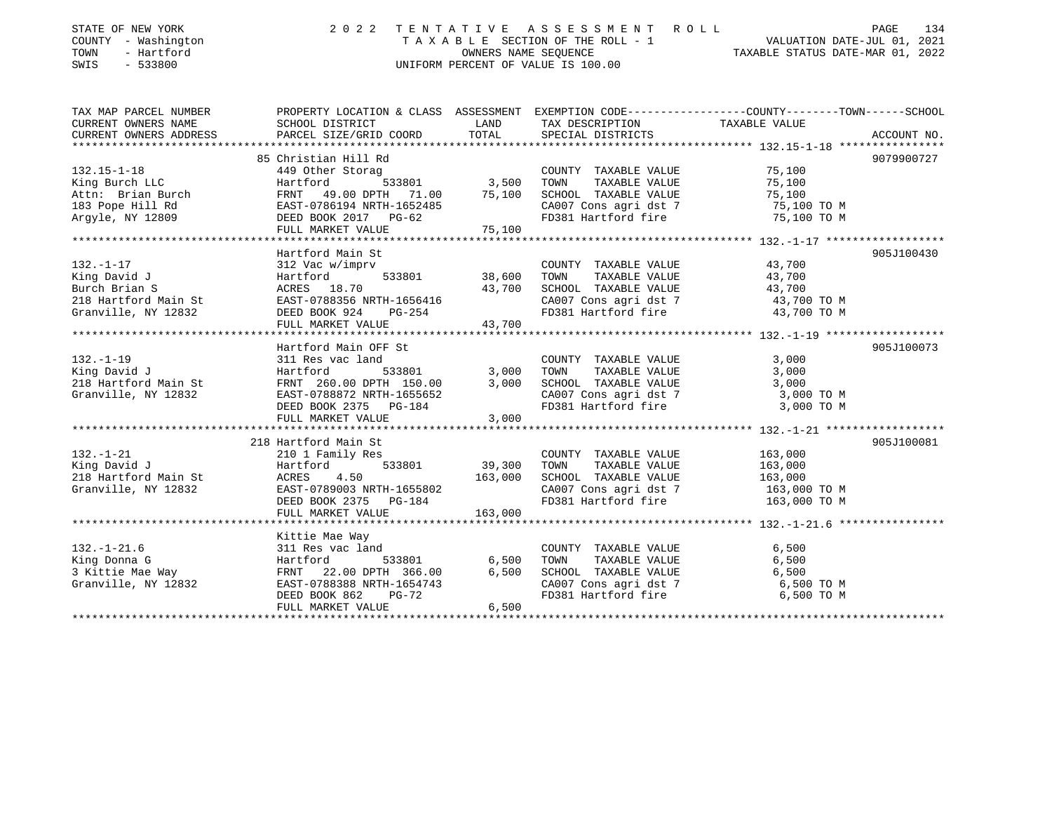| STATE OF NEW YORK<br>COUNTY - Washington<br>- Hartford<br>TOWN<br>$-533800$<br>SWIS             | 2 U 2 Z                                                                                                                                                                       | TENTATIVE ASSESSMENT ROLL<br>TAXABLE SECTION OF THE ROLL - 1<br>OWNERS NAME SEOUENCE<br>UNIFORM PERCENT OF VALUE IS 100.00 |                                                                                                                       |                                                               |             |  |
|-------------------------------------------------------------------------------------------------|-------------------------------------------------------------------------------------------------------------------------------------------------------------------------------|----------------------------------------------------------------------------------------------------------------------------|-----------------------------------------------------------------------------------------------------------------------|---------------------------------------------------------------|-------------|--|
| TAX MAP PARCEL NUMBER<br>CURRENT OWNERS NAME<br>CURRENT OWNERS ADDRESS                          | PROPERTY LOCATION & CLASS ASSESSMENT EXEMPTION CODE---------------COUNTY-------TOWN-----SCHOOL<br>SCHOOL DISTRICT<br>PARCEL SIZE/GRID COORD                                   | LAND<br>TOTAL                                                                                                              | TAX DESCRIPTION<br>SPECIAL DISTRICTS                                                                                  | TAXABLE VALUE                                                 | ACCOUNT NO. |  |
| $132.15 - 1 - 18$                                                                               | 85 Christian Hill Rd<br>449 Other Storag                                                                                                                                      |                                                                                                                            | COUNTY TAXABLE VALUE                                                                                                  | 75,100                                                        | 9079900727  |  |
| King Burch LLC<br>Attn: Brian Burch<br>183 Pope Hill Rd<br>Argyle, NY 12809                     | 533801<br>Hartford<br>FRNT 49.00 DPTH 71.00<br>EAST-0786194 NRTH-1652485<br>DEED BOOK 2017 PG-62                                                                              | 3,500<br>75,100                                                                                                            | TAXABLE VALUE<br>TOWN<br>SCHOOL TAXABLE VALUE<br>CA007 Cons agri dst 7<br>FD381 Hartford fire                         | 75,100<br>75,100<br>75,100 TO M<br>75,100 TO M                |             |  |
|                                                                                                 | FULL MARKET VALUE                                                                                                                                                             | 75,100                                                                                                                     |                                                                                                                       |                                                               |             |  |
| $132. - 1 - 17$<br>King David J<br>Burch Brian S<br>218 Hartford Main St<br>Granville, NY 12832 | Hartford Main St<br>312 Vac w/imprv<br>Hartford<br>533801<br>ACRES 18.70<br>EAST-0788356 NRTH-1656416<br>DEED BOOK 924<br>PG-254<br>FULL MARKET VALUE<br>******************** | 38,600<br>43,700<br>43,700<br>**********                                                                                   | COUNTY TAXABLE VALUE<br>TOWN<br>TAXABLE VALUE<br>SCHOOL TAXABLE VALUE<br>CA007 Cons agri dst 7<br>FD381 Hartford fire | 43,700<br>43,700<br>43,700<br>43,700 TO M<br>43,700 TO M      | 905J100430  |  |
| $132. - 1 - 19$<br>King David J<br>218 Hartford Main St<br>Granville, NY 12832                  | Hartford Main OFF St<br>311 Res vac land<br>Hartford<br>533801<br>FRNT 260.00 DPTH 150.00<br>EAST-0788872 NRTH-1655652<br>DEED BOOK 2375 PG-184<br>FULL MARKET VALUE          | 3,000<br>3,000<br>3,000                                                                                                    | COUNTY TAXABLE VALUE<br>TOWN<br>TAXABLE VALUE<br>SCHOOL TAXABLE VALUE<br>CA007 Cons agri dst 7<br>FD381 Hartford fire | 3,000<br>3,000<br>3,000<br>3,000 TO M<br>3,000 TO M           | 905J100073  |  |
|                                                                                                 | 218 Hartford Main St                                                                                                                                                          |                                                                                                                            |                                                                                                                       |                                                               | 905J100081  |  |
| $132. - 1 - 21$<br>King David J<br>218 Hartford Main St<br>Granville, NY 12832                  | 210 1 Family Res<br>533801<br>Hartford<br>ACRES<br>4.50<br>EAST-0789003 NRTH-1655802<br>DEED BOOK 2375 PG-184                                                                 | 39,300<br>163,000                                                                                                          | COUNTY TAXABLE VALUE<br>TOWN<br>TAXABLE VALUE<br>SCHOOL TAXABLE VALUE<br>CA007 Cons agri dst 7<br>FD381 Hartford fire | 163,000<br>163,000<br>163,000<br>163,000 TO M<br>163,000 TO M |             |  |
|                                                                                                 | FULL MARKET VALUE                                                                                                                                                             | 163,000                                                                                                                    |                                                                                                                       |                                                               |             |  |
| $132. - 1 - 21.6$                                                                               | Kittie Mae Way<br>311 Res vac land                                                                                                                                            |                                                                                                                            | COUNTY TAXABLE VALUE                                                                                                  | 6,500                                                         |             |  |
| King Donna G<br>3 Kittie Mae Way<br>Granville, NY 12832                                         | Hartford<br>533801<br>FRNT 22.00 DPTH 366.00<br>EAST-0788388 NRTH-1654743<br>DEED BOOK 862<br>$PG-72$<br>FULL MARKET VALUE                                                    | 6,500<br>6,500<br>6,500                                                                                                    | TOWN<br>TAXABLE VALUE<br>SCHOOL TAXABLE VALUE<br>CA007 Cons agri dst 7<br>FD381 Hartford fire                         | 6,500<br>6,500<br>6,500 TO M<br>6,500 TO M                    |             |  |

## STATE OF NEW YORK 2 0 2 2 T E N T A T I V E A S S E S S M E N T R O L L PAGE 134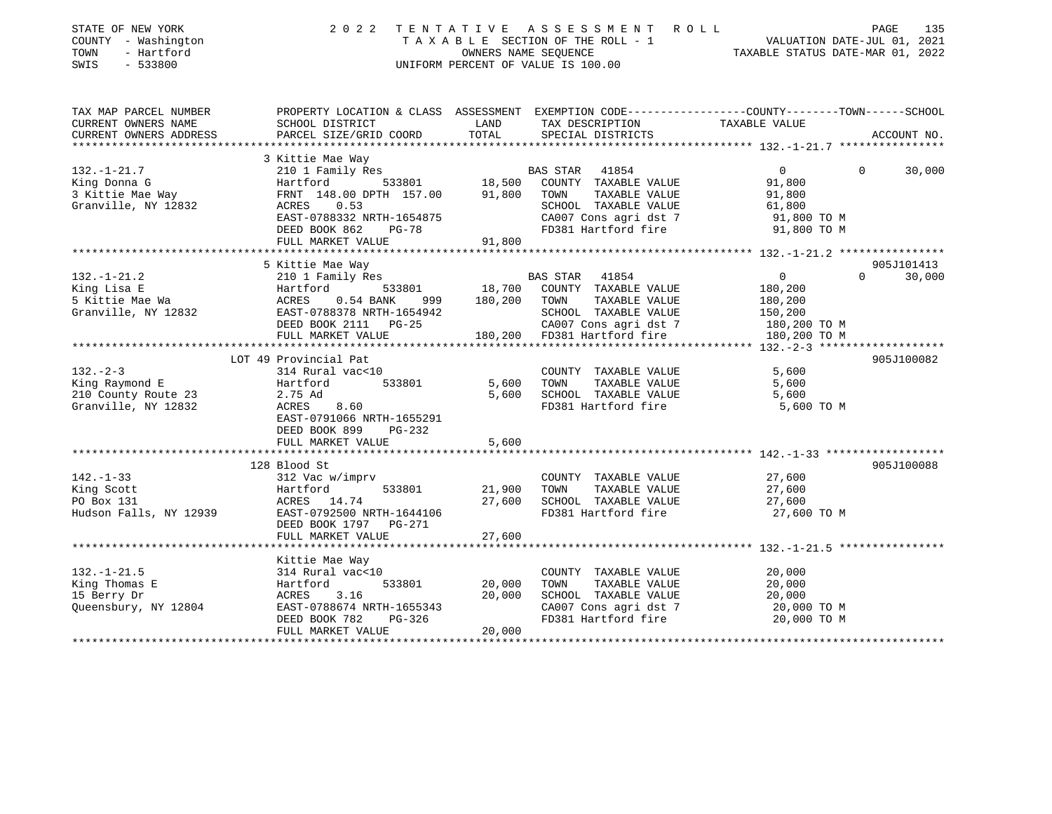| STATE OF NEW YORK<br>COUNTY - Washington<br>- Hartford<br>TOWN<br>SWIS<br>$-533800$ | 2 0 2 2                                                | TENTATIVE<br>OWNERS NAME SEQUENCE | A S S E S S M E N T<br>ROLL<br>T A X A B L E SECTION OF THE ROLL - 1<br>UNIFORM PERCENT OF VALUE IS 100.00 | PAGE<br>135<br>VALUATION DATE-JUL 01, 2021<br>TAXABLE STATUS DATE-MAR 01, 2022                                  |
|-------------------------------------------------------------------------------------|--------------------------------------------------------|-----------------------------------|------------------------------------------------------------------------------------------------------------|-----------------------------------------------------------------------------------------------------------------|
| TAX MAP PARCEL NUMBER<br>CURRENT OWNERS NAME                                        | SCHOOL DISTRICT                                        | LAND                              | TAX DESCRIPTION                                                                                            | PROPERTY LOCATION & CLASS ASSESSMENT EXEMPTION CODE---------------COUNTY-------TOWN-----SCHOOL<br>TAXABLE VALUE |
| CURRENT OWNERS ADDRESS<br>***********************                                   | PARCEL SIZE/GRID COORD<br>**************************** | TOTAL                             | SPECIAL DISTRICTS                                                                                          | ACCOUNT NO.                                                                                                     |
|                                                                                     | 3 Kittie Mae Way                                       |                                   |                                                                                                            |                                                                                                                 |
| $132. - 1 - 21.7$                                                                   | 210 1 Family Res                                       |                                   | BAS STAR<br>41854                                                                                          | $\mathbf{0}$<br>$\Omega$<br>30,000                                                                              |
| King Donna G                                                                        | Hartford<br>533801                                     | 18,500                            | COUNTY TAXABLE VALUE                                                                                       | 91,800                                                                                                          |
| 3 Kittie Mae Way                                                                    | FRNT 148.00 DPTH 157.00                                | 91,800                            | TOWN<br>TAXABLE VALUE                                                                                      | 91,800                                                                                                          |
| Granville, NY 12832                                                                 | 0.53<br>ACRES                                          |                                   | SCHOOL TAXABLE VALUE                                                                                       | 61,800                                                                                                          |
|                                                                                     | EAST-0788332 NRTH-1654875                              |                                   | CA007 Cons agri dst 7                                                                                      | 91,800 TO M                                                                                                     |
|                                                                                     | DEED BOOK 862<br><b>PG-78</b>                          |                                   | FD381 Hartford fire                                                                                        | 91,800 TO M                                                                                                     |
|                                                                                     | FULL MARKET VALUE                                      | 91,800                            |                                                                                                            |                                                                                                                 |
|                                                                                     |                                                        |                                   |                                                                                                            |                                                                                                                 |
| $132. - 1 - 21.2$                                                                   | 5 Kittie Mae Way<br>210 1 Family Res                   |                                   | BAS STAR 41854                                                                                             | 905J101413<br>30,000<br>$\overline{0}$<br>$\Omega$                                                              |
| King Lisa E                                                                         | 533801<br>Hartford                                     | 18,700                            | COUNTY TAXABLE VALUE                                                                                       | 180,200                                                                                                         |
| 5 Kittie Mae Wa                                                                     | ACRES<br>$0.54$ BANK<br>999                            | 180,200                           | TOWN<br>TAXABLE VALUE                                                                                      | 180,200                                                                                                         |
| Granville, NY 12832                                                                 | EAST-0788378 NRTH-1654942                              |                                   | SCHOOL TAXABLE VALUE                                                                                       | 150,200                                                                                                         |
|                                                                                     | DEED BOOK 2111 PG-25                                   |                                   | CA007 Cons agri dst 7                                                                                      | 180,200 TO M                                                                                                    |
|                                                                                     | FULL MARKET VALUE                                      | 180,200                           | FD381 Hartford fire                                                                                        | 180,200 TO M                                                                                                    |
|                                                                                     |                                                        |                                   |                                                                                                            | **** 132.-2-3 *******<br>***********                                                                            |
|                                                                                     | LOT 49 Provincial Pat                                  |                                   |                                                                                                            | 905J100082                                                                                                      |
| $132 - 2 - 3$                                                                       | 314 Rural vac<10                                       |                                   | COUNTY TAXABLE VALUE                                                                                       | 5,600                                                                                                           |
| King Raymond E                                                                      | Hartford<br>533801                                     | 5,600                             | TAXABLE VALUE<br>TOWN                                                                                      | 5,600                                                                                                           |
| 210 County Route 23                                                                 | 2.75 Ad                                                | 5,600                             | SCHOOL TAXABLE VALUE                                                                                       | 5,600                                                                                                           |
| Granville, NY 12832                                                                 | ACRES<br>8.60                                          |                                   | FD381 Hartford fire                                                                                        | 5,600 TO M                                                                                                      |
|                                                                                     | EAST-0791066 NRTH-1655291                              |                                   |                                                                                                            |                                                                                                                 |
|                                                                                     | DEED BOOK 899<br><b>PG-232</b>                         |                                   |                                                                                                            |                                                                                                                 |
|                                                                                     | FULL MARKET VALUE                                      | 5,600                             |                                                                                                            |                                                                                                                 |
|                                                                                     | ************************                               |                                   |                                                                                                            |                                                                                                                 |
|                                                                                     | 128 Blood St                                           |                                   |                                                                                                            | 905J100088                                                                                                      |
| $142. - 1 - 33$                                                                     | 312 Vac w/imprv                                        |                                   | COUNTY TAXABLE VALUE                                                                                       | 27,600                                                                                                          |
| King Scott                                                                          | Hartford<br>533801                                     | 21,900                            | TAXABLE VALUE<br>TOWN                                                                                      | 27,600                                                                                                          |
| PO Box 131                                                                          | ACRES 14.74                                            | 27,600                            | SCHOOL TAXABLE VALUE                                                                                       | 27,600                                                                                                          |
| Hudson Falls, NY 12939                                                              | EAST-0792500 NRTH-1644106                              |                                   | FD381 Hartford fire                                                                                        | 27,600 TO M                                                                                                     |
|                                                                                     | DEED BOOK 1797<br><b>PG-271</b>                        |                                   |                                                                                                            |                                                                                                                 |
|                                                                                     | FULL MARKET VALUE<br>**********************            | 27,600<br>************            |                                                                                                            |                                                                                                                 |
|                                                                                     |                                                        |                                   |                                                                                                            | ******************** 132.-1-21.5 *****************                                                              |
| $132. - 1 - 21.5$                                                                   | Kittie Mae Way<br>314 Rural vac<10                     |                                   | COUNTY TAXABLE VALUE                                                                                       | 20,000                                                                                                          |
| King Thomas E                                                                       | Hartford<br>533801                                     | 20,000                            | TOWN<br>TAXABLE VALUE                                                                                      | 20,000                                                                                                          |
| 15 Berry Dr                                                                         | ACRES<br>3.16                                          | 20,000                            | SCHOOL TAXABLE VALUE                                                                                       | 20,000                                                                                                          |
| Queensbury, NY 12804                                                                | EAST-0788674 NRTH-1655343                              |                                   | CA007 Cons agri dst 7                                                                                      | 20,000 TO M                                                                                                     |
|                                                                                     | DEED BOOK 782<br>PG-326                                |                                   | FD381 Hartford fire                                                                                        | 20,000 TO M                                                                                                     |
|                                                                                     | FULL MARKET VALUE                                      | 20,000                            |                                                                                                            |                                                                                                                 |
| *******************                                                                 |                                                        | ***************                   |                                                                                                            |                                                                                                                 |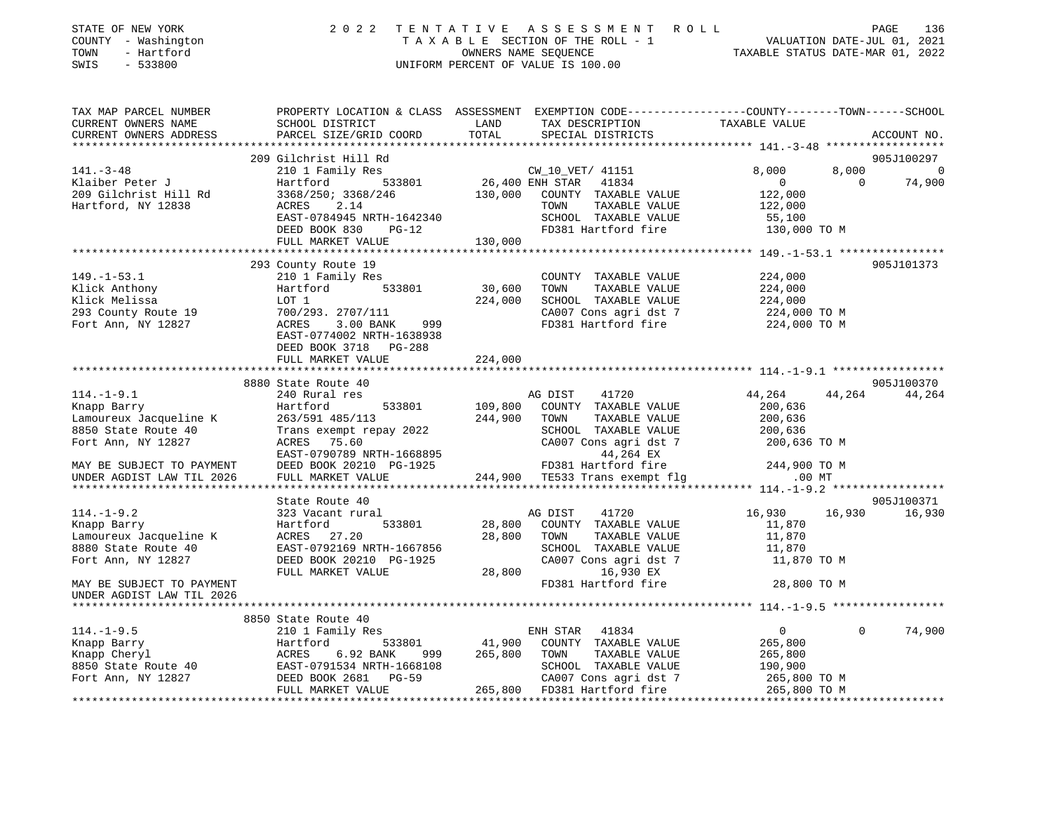| STATE OF NEW YORK<br>COUNTY - Washington<br>TOWN<br>- Hartford<br>SWIS<br>$-533800$                                                                                                                                                                            |                                                                                                                                                    |               | 2022 TENTATIVE ASSESSMENT ROLL PAGE 136<br>TAXABLE SECTION OF THE ROLL - 1 VALUATION DATE-JUL 01, 2021<br>OWNERS NAME SEQUENCE TAXABLE STATUS DATE-MAR 01, 2022<br>UNIFORM PERCENT OF VALUE IS 100.00 |                                                                        |                       |
|----------------------------------------------------------------------------------------------------------------------------------------------------------------------------------------------------------------------------------------------------------------|----------------------------------------------------------------------------------------------------------------------------------------------------|---------------|-------------------------------------------------------------------------------------------------------------------------------------------------------------------------------------------------------|------------------------------------------------------------------------|-----------------------|
| TAX MAP PARCEL NUMBER<br>CURRENT OWNERS NAME<br>CURRENT OWNERS ADDRESS                                                                                                                                                                                         | PROPERTY LOCATION & CLASS ASSESSMENT EXEMPTION CODE----------------COUNTY-------TOWN-----SCHOOL<br>SCHOOL DISTRICT<br>PARCEL SIZE/GRID COORD       | LAND<br>TOTAL | TAX DESCRIPTION<br>SPECILL PISTRICTS<br>SPECIAL DISTRICTS                                                                                                                                             | TAXABLE VALUE                                                          | ACCOUNT NO.           |
|                                                                                                                                                                                                                                                                | 209 Gilchrist Hill Rd                                                                                                                              |               |                                                                                                                                                                                                       |                                                                        | 905J100297            |
| $141. - 3 - 48$                                                                                                                                                                                                                                                |                                                                                                                                                    |               | CW_10_VET/ 41151                                                                                                                                                                                      | 8,000                                                                  |                       |
| Klaiber Peter J                                                                                                                                                                                                                                                | 210 1 Family Res<br>Hartford 533801 26,400 ENH STAR 41834                                                                                          |               |                                                                                                                                                                                                       | $\overline{0}$                                                         | $8,000$ 0<br>0 74,900 |
| 209 Gilchrist Hill Rd                                                                                                                                                                                                                                          | $3368/250$ ; $3368/246$<br>$130,000$ COUNTY TAXABLE VALUE                                                                                          |               |                                                                                                                                                                                                       | 122,000                                                                |                       |
| Hartford, NY 12838                                                                                                                                                                                                                                             | ACRES<br>2.14                                                                                                                                      |               | TAXABLE VALUE<br>TOWN                                                                                                                                                                                 | 122,000                                                                |                       |
|                                                                                                                                                                                                                                                                | ACRES 2.14<br>EAST-0784945 NRTH-1642340<br>DEED BOOK 830 PG-12                                                                                     |               | SCHOOL TAXABLE VALUE                                                                                                                                                                                  | 55,100                                                                 |                       |
|                                                                                                                                                                                                                                                                | DEED BOOK 830 PG-12                                                                                                                                |               | FD381 Hartford fire                                                                                                                                                                                   | 130,000 TO M                                                           |                       |
|                                                                                                                                                                                                                                                                | FULL MARKET VALUE                                                                                                                                  | 130,000       |                                                                                                                                                                                                       |                                                                        |                       |
|                                                                                                                                                                                                                                                                |                                                                                                                                                    |               |                                                                                                                                                                                                       |                                                                        |                       |
|                                                                                                                                                                                                                                                                | 293 County Route 19                                                                                                                                |               |                                                                                                                                                                                                       |                                                                        | 905J101373            |
| $149. - 1 - 53.1$                                                                                                                                                                                                                                              | 210 1 Family Res                                                                                                                                   |               | COUNTY TAXABLE VALUE                                                                                                                                                                                  |                                                                        |                       |
| Klick Anthony                                                                                                                                                                                                                                                  | Hartford 533801                                                                                                                                    | 30,600        | TOWN<br>TAXABLE VALUE                                                                                                                                                                                 | 224,000<br>224,000                                                     |                       |
| Klick Melissa                                                                                                                                                                                                                                                  |                                                                                                                                                    | 224,000       | SCHOOL TAXABLE VALUE                                                                                                                                                                                  | 224,000                                                                |                       |
| 293 County Route 19                                                                                                                                                                                                                                            | 700/293. 2707/111                                                                                                                                  |               |                                                                                                                                                                                                       |                                                                        |                       |
| Hartfc<br>LOT 1<br>700/29<br>ACRES<br>Fort Ann, NY 12827                                                                                                                                                                                                       | 224,00<br>3.00 BANK 999                                                                                                                            |               |                                                                                                                                                                                                       | CA007 Cons agri dst 7 224,000 TO M<br>FD381 Hartford fire 224,000 TO M |                       |
|                                                                                                                                                                                                                                                                | EAST-0774002 NRTH-1638938                                                                                                                          |               |                                                                                                                                                                                                       |                                                                        |                       |
|                                                                                                                                                                                                                                                                | DEED BOOK 3718 PG-288                                                                                                                              |               |                                                                                                                                                                                                       |                                                                        |                       |
|                                                                                                                                                                                                                                                                | FULL MARKET VALUE                                                                                                                                  | 224,000       |                                                                                                                                                                                                       |                                                                        |                       |
|                                                                                                                                                                                                                                                                |                                                                                                                                                    |               |                                                                                                                                                                                                       |                                                                        |                       |
|                                                                                                                                                                                                                                                                | 8880 State Route 40                                                                                                                                |               |                                                                                                                                                                                                       |                                                                        | 905J100370            |
| $114.-1-9.1$                                                                                                                                                                                                                                                   | 240 Rural res                                                                                                                                      |               | 41720<br>AG DIST                                                                                                                                                                                      | 44,264                                                                 | 44,264 44,264         |
| Knapp Barry                                                                                                                                                                                                                                                    | Hartford<br>533801                                                                                                                                 | 109,800       | COUNTY TAXABLE VALUE                                                                                                                                                                                  | 200,636                                                                |                       |
| Lamoureux Jacqueline K                                                                                                                                                                                                                                         | 263/591 485/113                                                                                                                                    | 244,900       | TOWN<br>TAXABLE VALUE                                                                                                                                                                                 | 200,636                                                                |                       |
| 8850 State Route 40                                                                                                                                                                                                                                            | Trans exempt repay 2022<br>ACRES 75.60 CA007 Cons agri dst 7<br>EAST-0790789 NRTH-1668895 44,264 EX<br>DEED BOOK 20210 PG-1925 FD381 Hartford fire |               |                                                                                                                                                                                                       | 200,636                                                                |                       |
| Fort Ann, NY 12827                                                                                                                                                                                                                                             |                                                                                                                                                    |               |                                                                                                                                                                                                       | CA007 Cons agri dst 7 200,636 TO M                                     |                       |
|                                                                                                                                                                                                                                                                |                                                                                                                                                    |               |                                                                                                                                                                                                       |                                                                        |                       |
| MAY BE SUBJECT TO PAYMENT                                                                                                                                                                                                                                      |                                                                                                                                                    |               |                                                                                                                                                                                                       | 244,900 TO M                                                           |                       |
| UNDER AGDIST LAW TIL 2026                                                                                                                                                                                                                                      | FULL MARKET VALUE                                                                                                                                  |               | FD381 Hartford fire 244,900 TO<br>244,900 TE533 Trans exempt flg .00 MT                                                                                                                               |                                                                        |                       |
|                                                                                                                                                                                                                                                                |                                                                                                                                                    |               |                                                                                                                                                                                                       |                                                                        |                       |
|                                                                                                                                                                                                                                                                | State Route 40                                                                                                                                     |               |                                                                                                                                                                                                       |                                                                        | 905J100371            |
| $114. - 1 - 9.2$                                                                                                                                                                                                                                               | 323 Vacant rural                                                                                                                                   |               | AG DIST<br>41720                                                                                                                                                                                      | 16,930<br>16,930                                                       | 16,930                |
| Knapp Barry                                                                                                                                                                                                                                                    | 533801<br>Hartford                                                                                                                                 |               | 28,800 COUNTY TAXABLE VALUE                                                                                                                                                                           | 11,870                                                                 |                       |
| Lamoureux Jacqueline K                                                                                                                                                                                                                                         | ACRES 27.20                                                                                                                                        | 28,800        | TOWN<br>TAXABLE VALUE                                                                                                                                                                                 | 11,870                                                                 |                       |
| 8880 State Route 40                                                                                                                                                                                                                                            | EAST-0792169 NRTH-1667856                                                                                                                          |               | SCHOOL TAXABLE VALUE                                                                                                                                                                                  | 11,870                                                                 |                       |
| Fort Ann, NY 12827                                                                                                                                                                                                                                             | DEED BOOK 20210 PG-1925                                                                                                                            |               | CA007 Cons agri dst 7                                                                                                                                                                                 | 11,870 TO M                                                            |                       |
|                                                                                                                                                                                                                                                                | FULL MARKET VALUE                                                                                                                                  | 28,800        | 16,930 EX                                                                                                                                                                                             |                                                                        |                       |
| MAY BE SUBJECT TO PAYMENT                                                                                                                                                                                                                                      |                                                                                                                                                    |               | FD381 Hartford fire                                                                                                                                                                                   | 28,800 TO M                                                            |                       |
| UNDER AGDIST LAW TIL 2026                                                                                                                                                                                                                                      |                                                                                                                                                    |               |                                                                                                                                                                                                       |                                                                        |                       |
|                                                                                                                                                                                                                                                                |                                                                                                                                                    |               |                                                                                                                                                                                                       |                                                                        |                       |
|                                                                                                                                                                                                                                                                | 8850 State Route 40                                                                                                                                |               |                                                                                                                                                                                                       |                                                                        |                       |
| $114. - 1 - 9.5$                                                                                                                                                                                                                                               | 210 1 Family Res                                                                                                                                   |               | ENH STAR 41834                                                                                                                                                                                        | $\overline{0}$                                                         | $\Omega$<br>74,900    |
|                                                                                                                                                                                                                                                                | Hartford 533801 41,900                                                                                                                             |               | COUNTY TAXABLE VALUE                                                                                                                                                                                  | 265,800                                                                |                       |
|                                                                                                                                                                                                                                                                |                                                                                                                                                    | 265,800       | TAXABLE VALUE<br>TOWN                                                                                                                                                                                 | 265,800                                                                |                       |
|                                                                                                                                                                                                                                                                |                                                                                                                                                    |               | SCHOOL TAXABLE VALUE                                                                                                                                                                                  | 190,900                                                                |                       |
|                                                                                                                                                                                                                                                                |                                                                                                                                                    |               |                                                                                                                                                                                                       |                                                                        |                       |
| 114.-1-9.5<br>Xnapp Barry<br>Xnapp Cheryl<br>Xnapp Cheryl<br>Xnapp Cheryl<br>Xnapp Cheryl<br>Xnapp Cheryl<br>Xnapp Cheryl<br>Xnapp Cheryl<br>Xnapp Cheryl<br>Xnapp Cheryl<br>Xnapp Cheryl<br>Xnapp Cheryl<br>Xnapp Cheryl<br>Xnapp Cheryl<br>Xnapp Cheryl<br>X |                                                                                                                                                    |               | CA007 Cons agri dst 7 265,800 TO M<br>265,800 FD381 Hartford fire 265,800 TO M                                                                                                                        |                                                                        |                       |
|                                                                                                                                                                                                                                                                |                                                                                                                                                    |               |                                                                                                                                                                                                       |                                                                        |                       |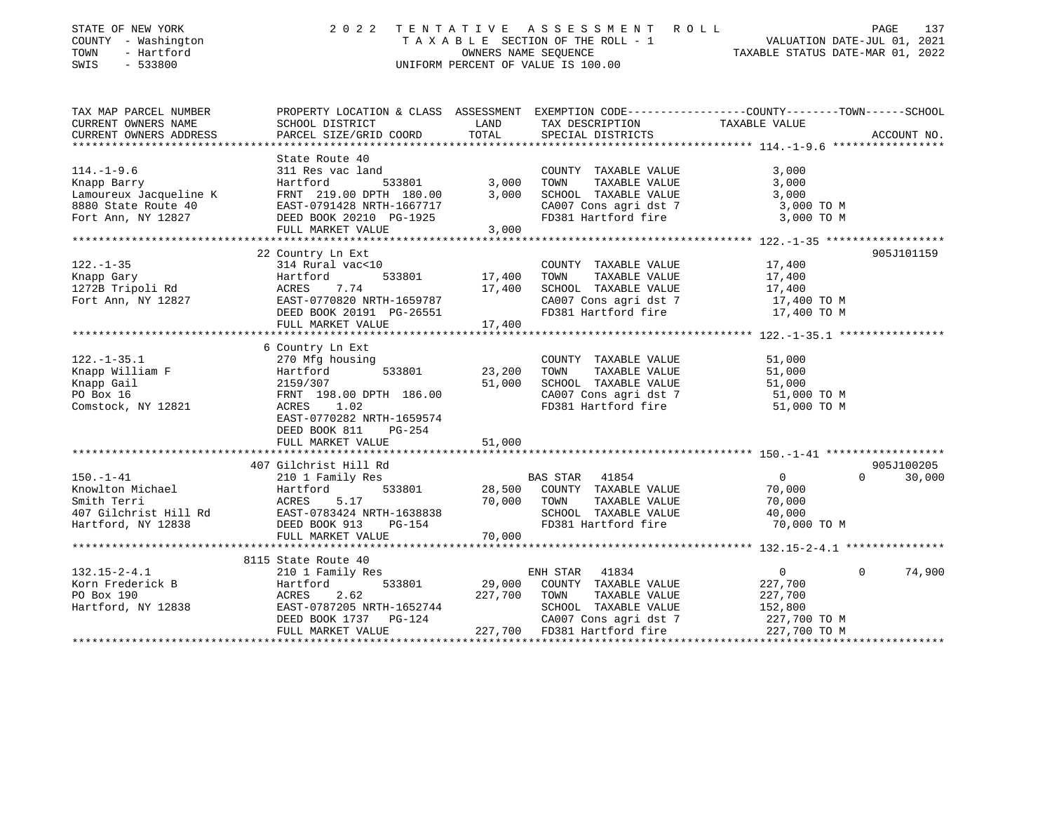| PROPERTY LOCATION & CLASS ASSESSMENT EXEMPTION CODE---------------COUNTY-------TOWN------SCHOOL<br>CURRENT OWNERS NAME<br>SCHOOL DISTRICT<br>LAND<br>TAXABLE VALUE<br>TAX DESCRIPTION<br>TOTAL<br>PARCEL SIZE/GRID COORD<br>SPECIAL DISTRICTS<br>ACCOUNT NO.<br>*******************<br>State Route 40<br>$114. - 1 - 9.6$<br>3,000<br>311 Res vac land<br>COUNTY TAXABLE VALUE<br>533801<br>3,000<br>TOWN<br>TAXABLE VALUE<br>3,000<br>Knapp Barry<br>Hartford<br>SCHOOL TAXABLE VALUE<br>Lamoureux Jacqueline K<br>FRNT 219.00 DPTH 180.00<br>3,000<br>3,000<br>CA007 Cons agri dst 7<br>8880 State Route 40<br>EAST-0791428 NRTH-1667717<br>3,000 TO M<br>FD381 Hartford fire<br>Fort Ann, NY 12827<br>DEED BOOK 20210 PG-1925<br>3,000 TO M<br>FULL MARKET VALUE<br>3,000<br>22 Country Ln Ext<br>905J101159<br>314 Rural vac<10<br>17,400<br>COUNTY TAXABLE VALUE<br>533801<br>TOWN<br>TAXABLE VALUE<br>17,400<br>Hartford<br>17,400<br>17,400<br>SCHOOL TAXABLE VALUE<br>ACRES<br>7.74<br>17,400<br>EAST-0770820 NRTH-1659787<br>CA007 Cons agri dst 7<br>17,400 TO M<br>FD381 Hartford fire<br>DEED BOOK 20191 PG-26551<br>17,400 TO M<br>17,400<br>FULL MARKET VALUE<br>6 Country Ln Ext<br>$122. - 1 - 35.1$<br>270 Mfg housing<br>COUNTY TAXABLE VALUE<br>51,000<br>Knapp William F<br>533801<br>23,200<br>TOWN<br>TAXABLE VALUE<br>51,000<br>Hartford<br>Knapp Gail<br>51,000<br>SCHOOL TAXABLE VALUE<br>51,000<br>2159/307<br>PO Box 16<br>FRNT 198.00 DPTH 186.00<br>CA007 Cons agri dst 7<br>51,000 TO M<br>FD381 Hartford fire<br>Comstock, NY 12821<br>1.02<br>51,000 TO M<br>ACRES<br>EAST-0770282 NRTH-1659574<br>DEED BOOK 811<br>PG-254<br>51,000<br>FULL MARKET VALUE<br>407 Gilchrist Hill Rd<br>905J100205<br>$\overline{0}$<br>210 1 Family Res<br>BAS STAR<br>41854<br>$\Omega$<br>30,000<br>Knowlton Michael<br>Hartford<br>533801<br>28,500<br>COUNTY TAXABLE VALUE<br>70,000<br>70,000<br>Smith Terri<br>ACRES<br>5.17<br>TOWN<br>TAXABLE VALUE<br>70,000<br>407 Gilchrist Hill Rd<br>SCHOOL TAXABLE VALUE<br>EAST-0783424 NRTH-1638838<br>40,000<br>Hartford, NY 12838<br>DEED BOOK 913<br>FD381 Hartford fire<br>70,000 TO M<br>PG-154<br>70,000<br>FULL MARKET VALUE<br>8115 State Route 40<br>$132.15 - 2 - 4.1$<br>ENH STAR<br>41834<br>$\mathbf 0$<br>74,900<br>210 1 Family Res<br>$\Omega$<br>Korn Frederick B<br>Hartford<br>533801<br>29,000<br>COUNTY TAXABLE VALUE<br>227,700<br>PO Box 190<br>227,700<br>ACRES<br>2.62<br>TOWN<br>TAXABLE VALUE<br>227,700<br>EAST-0787205 NRTH-1652744<br>Hartford, NY 12838<br>SCHOOL TAXABLE VALUE<br>152,800<br>DEED BOOK 1737<br><b>PG-124</b><br>CA007 Cons agri dst 7<br>227,700 TO M<br>227,700<br>FULL MARKET VALUE<br>FD381 Hartford fire<br>227,700 TO M | STATE OF NEW YORK<br>COUNTY - Washington<br>TOWN<br>- Hartford<br>SWIS<br>$-533800$ | 2 0 2 2 | OWNERS NAME SEQUENCE | TENTATIVE ASSESSMENT<br>R O L L<br>TAXABLE SECTION OF THE ROLL - 1<br>UNIFORM PERCENT OF VALUE IS 100.00 | VALUATION DATE-JUL 01, 2021<br>TAXABLE STATUS DATE-MAR 01, 2022 | PAGE | 137 |
|---------------------------------------------------------------------------------------------------------------------------------------------------------------------------------------------------------------------------------------------------------------------------------------------------------------------------------------------------------------------------------------------------------------------------------------------------------------------------------------------------------------------------------------------------------------------------------------------------------------------------------------------------------------------------------------------------------------------------------------------------------------------------------------------------------------------------------------------------------------------------------------------------------------------------------------------------------------------------------------------------------------------------------------------------------------------------------------------------------------------------------------------------------------------------------------------------------------------------------------------------------------------------------------------------------------------------------------------------------------------------------------------------------------------------------------------------------------------------------------------------------------------------------------------------------------------------------------------------------------------------------------------------------------------------------------------------------------------------------------------------------------------------------------------------------------------------------------------------------------------------------------------------------------------------------------------------------------------------------------------------------------------------------------------------------------------------------------------------------------------------------------------------------------------------------------------------------------------------------------------------------------------------------------------------------------------------------------------------------------------------------------------------------------------------------------------------------------------------------------------------------------------------------------------------------------------------------------------------------------------------------------------------------------------------------------------------------------------------------------------|-------------------------------------------------------------------------------------|---------|----------------------|----------------------------------------------------------------------------------------------------------|-----------------------------------------------------------------|------|-----|
|                                                                                                                                                                                                                                                                                                                                                                                                                                                                                                                                                                                                                                                                                                                                                                                                                                                                                                                                                                                                                                                                                                                                                                                                                                                                                                                                                                                                                                                                                                                                                                                                                                                                                                                                                                                                                                                                                                                                                                                                                                                                                                                                                                                                                                                                                                                                                                                                                                                                                                                                                                                                                                                                                                                                             | TAX MAP PARCEL NUMBER                                                               |         |                      |                                                                                                          |                                                                 |      |     |
|                                                                                                                                                                                                                                                                                                                                                                                                                                                                                                                                                                                                                                                                                                                                                                                                                                                                                                                                                                                                                                                                                                                                                                                                                                                                                                                                                                                                                                                                                                                                                                                                                                                                                                                                                                                                                                                                                                                                                                                                                                                                                                                                                                                                                                                                                                                                                                                                                                                                                                                                                                                                                                                                                                                                             | CURRENT OWNERS ADDRESS                                                              |         |                      |                                                                                                          |                                                                 |      |     |
|                                                                                                                                                                                                                                                                                                                                                                                                                                                                                                                                                                                                                                                                                                                                                                                                                                                                                                                                                                                                                                                                                                                                                                                                                                                                                                                                                                                                                                                                                                                                                                                                                                                                                                                                                                                                                                                                                                                                                                                                                                                                                                                                                                                                                                                                                                                                                                                                                                                                                                                                                                                                                                                                                                                                             |                                                                                     |         |                      |                                                                                                          |                                                                 |      |     |
|                                                                                                                                                                                                                                                                                                                                                                                                                                                                                                                                                                                                                                                                                                                                                                                                                                                                                                                                                                                                                                                                                                                                                                                                                                                                                                                                                                                                                                                                                                                                                                                                                                                                                                                                                                                                                                                                                                                                                                                                                                                                                                                                                                                                                                                                                                                                                                                                                                                                                                                                                                                                                                                                                                                                             |                                                                                     |         |                      |                                                                                                          |                                                                 |      |     |
|                                                                                                                                                                                                                                                                                                                                                                                                                                                                                                                                                                                                                                                                                                                                                                                                                                                                                                                                                                                                                                                                                                                                                                                                                                                                                                                                                                                                                                                                                                                                                                                                                                                                                                                                                                                                                                                                                                                                                                                                                                                                                                                                                                                                                                                                                                                                                                                                                                                                                                                                                                                                                                                                                                                                             |                                                                                     |         |                      |                                                                                                          |                                                                 |      |     |
|                                                                                                                                                                                                                                                                                                                                                                                                                                                                                                                                                                                                                                                                                                                                                                                                                                                                                                                                                                                                                                                                                                                                                                                                                                                                                                                                                                                                                                                                                                                                                                                                                                                                                                                                                                                                                                                                                                                                                                                                                                                                                                                                                                                                                                                                                                                                                                                                                                                                                                                                                                                                                                                                                                                                             |                                                                                     |         |                      |                                                                                                          |                                                                 |      |     |
|                                                                                                                                                                                                                                                                                                                                                                                                                                                                                                                                                                                                                                                                                                                                                                                                                                                                                                                                                                                                                                                                                                                                                                                                                                                                                                                                                                                                                                                                                                                                                                                                                                                                                                                                                                                                                                                                                                                                                                                                                                                                                                                                                                                                                                                                                                                                                                                                                                                                                                                                                                                                                                                                                                                                             |                                                                                     |         |                      |                                                                                                          |                                                                 |      |     |
|                                                                                                                                                                                                                                                                                                                                                                                                                                                                                                                                                                                                                                                                                                                                                                                                                                                                                                                                                                                                                                                                                                                                                                                                                                                                                                                                                                                                                                                                                                                                                                                                                                                                                                                                                                                                                                                                                                                                                                                                                                                                                                                                                                                                                                                                                                                                                                                                                                                                                                                                                                                                                                                                                                                                             |                                                                                     |         |                      |                                                                                                          |                                                                 |      |     |
|                                                                                                                                                                                                                                                                                                                                                                                                                                                                                                                                                                                                                                                                                                                                                                                                                                                                                                                                                                                                                                                                                                                                                                                                                                                                                                                                                                                                                                                                                                                                                                                                                                                                                                                                                                                                                                                                                                                                                                                                                                                                                                                                                                                                                                                                                                                                                                                                                                                                                                                                                                                                                                                                                                                                             |                                                                                     |         |                      |                                                                                                          |                                                                 |      |     |
|                                                                                                                                                                                                                                                                                                                                                                                                                                                                                                                                                                                                                                                                                                                                                                                                                                                                                                                                                                                                                                                                                                                                                                                                                                                                                                                                                                                                                                                                                                                                                                                                                                                                                                                                                                                                                                                                                                                                                                                                                                                                                                                                                                                                                                                                                                                                                                                                                                                                                                                                                                                                                                                                                                                                             |                                                                                     |         |                      |                                                                                                          |                                                                 |      |     |
|                                                                                                                                                                                                                                                                                                                                                                                                                                                                                                                                                                                                                                                                                                                                                                                                                                                                                                                                                                                                                                                                                                                                                                                                                                                                                                                                                                                                                                                                                                                                                                                                                                                                                                                                                                                                                                                                                                                                                                                                                                                                                                                                                                                                                                                                                                                                                                                                                                                                                                                                                                                                                                                                                                                                             |                                                                                     |         |                      |                                                                                                          |                                                                 |      |     |
|                                                                                                                                                                                                                                                                                                                                                                                                                                                                                                                                                                                                                                                                                                                                                                                                                                                                                                                                                                                                                                                                                                                                                                                                                                                                                                                                                                                                                                                                                                                                                                                                                                                                                                                                                                                                                                                                                                                                                                                                                                                                                                                                                                                                                                                                                                                                                                                                                                                                                                                                                                                                                                                                                                                                             | $122. - 1 - 35$                                                                     |         |                      |                                                                                                          |                                                                 |      |     |
|                                                                                                                                                                                                                                                                                                                                                                                                                                                                                                                                                                                                                                                                                                                                                                                                                                                                                                                                                                                                                                                                                                                                                                                                                                                                                                                                                                                                                                                                                                                                                                                                                                                                                                                                                                                                                                                                                                                                                                                                                                                                                                                                                                                                                                                                                                                                                                                                                                                                                                                                                                                                                                                                                                                                             | Knapp Gary                                                                          |         |                      |                                                                                                          |                                                                 |      |     |
|                                                                                                                                                                                                                                                                                                                                                                                                                                                                                                                                                                                                                                                                                                                                                                                                                                                                                                                                                                                                                                                                                                                                                                                                                                                                                                                                                                                                                                                                                                                                                                                                                                                                                                                                                                                                                                                                                                                                                                                                                                                                                                                                                                                                                                                                                                                                                                                                                                                                                                                                                                                                                                                                                                                                             | 1272B Tripoli Rd                                                                    |         |                      |                                                                                                          |                                                                 |      |     |
|                                                                                                                                                                                                                                                                                                                                                                                                                                                                                                                                                                                                                                                                                                                                                                                                                                                                                                                                                                                                                                                                                                                                                                                                                                                                                                                                                                                                                                                                                                                                                                                                                                                                                                                                                                                                                                                                                                                                                                                                                                                                                                                                                                                                                                                                                                                                                                                                                                                                                                                                                                                                                                                                                                                                             | Fort Ann, NY 12827                                                                  |         |                      |                                                                                                          |                                                                 |      |     |
|                                                                                                                                                                                                                                                                                                                                                                                                                                                                                                                                                                                                                                                                                                                                                                                                                                                                                                                                                                                                                                                                                                                                                                                                                                                                                                                                                                                                                                                                                                                                                                                                                                                                                                                                                                                                                                                                                                                                                                                                                                                                                                                                                                                                                                                                                                                                                                                                                                                                                                                                                                                                                                                                                                                                             |                                                                                     |         |                      |                                                                                                          |                                                                 |      |     |
|                                                                                                                                                                                                                                                                                                                                                                                                                                                                                                                                                                                                                                                                                                                                                                                                                                                                                                                                                                                                                                                                                                                                                                                                                                                                                                                                                                                                                                                                                                                                                                                                                                                                                                                                                                                                                                                                                                                                                                                                                                                                                                                                                                                                                                                                                                                                                                                                                                                                                                                                                                                                                                                                                                                                             |                                                                                     |         |                      |                                                                                                          |                                                                 |      |     |
|                                                                                                                                                                                                                                                                                                                                                                                                                                                                                                                                                                                                                                                                                                                                                                                                                                                                                                                                                                                                                                                                                                                                                                                                                                                                                                                                                                                                                                                                                                                                                                                                                                                                                                                                                                                                                                                                                                                                                                                                                                                                                                                                                                                                                                                                                                                                                                                                                                                                                                                                                                                                                                                                                                                                             |                                                                                     |         |                      |                                                                                                          |                                                                 |      |     |
|                                                                                                                                                                                                                                                                                                                                                                                                                                                                                                                                                                                                                                                                                                                                                                                                                                                                                                                                                                                                                                                                                                                                                                                                                                                                                                                                                                                                                                                                                                                                                                                                                                                                                                                                                                                                                                                                                                                                                                                                                                                                                                                                                                                                                                                                                                                                                                                                                                                                                                                                                                                                                                                                                                                                             |                                                                                     |         |                      |                                                                                                          |                                                                 |      |     |
|                                                                                                                                                                                                                                                                                                                                                                                                                                                                                                                                                                                                                                                                                                                                                                                                                                                                                                                                                                                                                                                                                                                                                                                                                                                                                                                                                                                                                                                                                                                                                                                                                                                                                                                                                                                                                                                                                                                                                                                                                                                                                                                                                                                                                                                                                                                                                                                                                                                                                                                                                                                                                                                                                                                                             |                                                                                     |         |                      |                                                                                                          |                                                                 |      |     |
|                                                                                                                                                                                                                                                                                                                                                                                                                                                                                                                                                                                                                                                                                                                                                                                                                                                                                                                                                                                                                                                                                                                                                                                                                                                                                                                                                                                                                                                                                                                                                                                                                                                                                                                                                                                                                                                                                                                                                                                                                                                                                                                                                                                                                                                                                                                                                                                                                                                                                                                                                                                                                                                                                                                                             |                                                                                     |         |                      |                                                                                                          |                                                                 |      |     |
|                                                                                                                                                                                                                                                                                                                                                                                                                                                                                                                                                                                                                                                                                                                                                                                                                                                                                                                                                                                                                                                                                                                                                                                                                                                                                                                                                                                                                                                                                                                                                                                                                                                                                                                                                                                                                                                                                                                                                                                                                                                                                                                                                                                                                                                                                                                                                                                                                                                                                                                                                                                                                                                                                                                                             |                                                                                     |         |                      |                                                                                                          |                                                                 |      |     |
|                                                                                                                                                                                                                                                                                                                                                                                                                                                                                                                                                                                                                                                                                                                                                                                                                                                                                                                                                                                                                                                                                                                                                                                                                                                                                                                                                                                                                                                                                                                                                                                                                                                                                                                                                                                                                                                                                                                                                                                                                                                                                                                                                                                                                                                                                                                                                                                                                                                                                                                                                                                                                                                                                                                                             |                                                                                     |         |                      |                                                                                                          |                                                                 |      |     |
|                                                                                                                                                                                                                                                                                                                                                                                                                                                                                                                                                                                                                                                                                                                                                                                                                                                                                                                                                                                                                                                                                                                                                                                                                                                                                                                                                                                                                                                                                                                                                                                                                                                                                                                                                                                                                                                                                                                                                                                                                                                                                                                                                                                                                                                                                                                                                                                                                                                                                                                                                                                                                                                                                                                                             |                                                                                     |         |                      |                                                                                                          |                                                                 |      |     |
|                                                                                                                                                                                                                                                                                                                                                                                                                                                                                                                                                                                                                                                                                                                                                                                                                                                                                                                                                                                                                                                                                                                                                                                                                                                                                                                                                                                                                                                                                                                                                                                                                                                                                                                                                                                                                                                                                                                                                                                                                                                                                                                                                                                                                                                                                                                                                                                                                                                                                                                                                                                                                                                                                                                                             |                                                                                     |         |                      |                                                                                                          |                                                                 |      |     |
|                                                                                                                                                                                                                                                                                                                                                                                                                                                                                                                                                                                                                                                                                                                                                                                                                                                                                                                                                                                                                                                                                                                                                                                                                                                                                                                                                                                                                                                                                                                                                                                                                                                                                                                                                                                                                                                                                                                                                                                                                                                                                                                                                                                                                                                                                                                                                                                                                                                                                                                                                                                                                                                                                                                                             |                                                                                     |         |                      |                                                                                                          |                                                                 |      |     |
|                                                                                                                                                                                                                                                                                                                                                                                                                                                                                                                                                                                                                                                                                                                                                                                                                                                                                                                                                                                                                                                                                                                                                                                                                                                                                                                                                                                                                                                                                                                                                                                                                                                                                                                                                                                                                                                                                                                                                                                                                                                                                                                                                                                                                                                                                                                                                                                                                                                                                                                                                                                                                                                                                                                                             |                                                                                     |         |                      |                                                                                                          |                                                                 |      |     |
|                                                                                                                                                                                                                                                                                                                                                                                                                                                                                                                                                                                                                                                                                                                                                                                                                                                                                                                                                                                                                                                                                                                                                                                                                                                                                                                                                                                                                                                                                                                                                                                                                                                                                                                                                                                                                                                                                                                                                                                                                                                                                                                                                                                                                                                                                                                                                                                                                                                                                                                                                                                                                                                                                                                                             |                                                                                     |         |                      |                                                                                                          |                                                                 |      |     |
|                                                                                                                                                                                                                                                                                                                                                                                                                                                                                                                                                                                                                                                                                                                                                                                                                                                                                                                                                                                                                                                                                                                                                                                                                                                                                                                                                                                                                                                                                                                                                                                                                                                                                                                                                                                                                                                                                                                                                                                                                                                                                                                                                                                                                                                                                                                                                                                                                                                                                                                                                                                                                                                                                                                                             | $150. - 1 - 41$                                                                     |         |                      |                                                                                                          |                                                                 |      |     |
|                                                                                                                                                                                                                                                                                                                                                                                                                                                                                                                                                                                                                                                                                                                                                                                                                                                                                                                                                                                                                                                                                                                                                                                                                                                                                                                                                                                                                                                                                                                                                                                                                                                                                                                                                                                                                                                                                                                                                                                                                                                                                                                                                                                                                                                                                                                                                                                                                                                                                                                                                                                                                                                                                                                                             |                                                                                     |         |                      |                                                                                                          |                                                                 |      |     |
|                                                                                                                                                                                                                                                                                                                                                                                                                                                                                                                                                                                                                                                                                                                                                                                                                                                                                                                                                                                                                                                                                                                                                                                                                                                                                                                                                                                                                                                                                                                                                                                                                                                                                                                                                                                                                                                                                                                                                                                                                                                                                                                                                                                                                                                                                                                                                                                                                                                                                                                                                                                                                                                                                                                                             |                                                                                     |         |                      |                                                                                                          |                                                                 |      |     |
|                                                                                                                                                                                                                                                                                                                                                                                                                                                                                                                                                                                                                                                                                                                                                                                                                                                                                                                                                                                                                                                                                                                                                                                                                                                                                                                                                                                                                                                                                                                                                                                                                                                                                                                                                                                                                                                                                                                                                                                                                                                                                                                                                                                                                                                                                                                                                                                                                                                                                                                                                                                                                                                                                                                                             |                                                                                     |         |                      |                                                                                                          |                                                                 |      |     |
|                                                                                                                                                                                                                                                                                                                                                                                                                                                                                                                                                                                                                                                                                                                                                                                                                                                                                                                                                                                                                                                                                                                                                                                                                                                                                                                                                                                                                                                                                                                                                                                                                                                                                                                                                                                                                                                                                                                                                                                                                                                                                                                                                                                                                                                                                                                                                                                                                                                                                                                                                                                                                                                                                                                                             |                                                                                     |         |                      |                                                                                                          |                                                                 |      |     |
|                                                                                                                                                                                                                                                                                                                                                                                                                                                                                                                                                                                                                                                                                                                                                                                                                                                                                                                                                                                                                                                                                                                                                                                                                                                                                                                                                                                                                                                                                                                                                                                                                                                                                                                                                                                                                                                                                                                                                                                                                                                                                                                                                                                                                                                                                                                                                                                                                                                                                                                                                                                                                                                                                                                                             |                                                                                     |         |                      |                                                                                                          |                                                                 |      |     |
|                                                                                                                                                                                                                                                                                                                                                                                                                                                                                                                                                                                                                                                                                                                                                                                                                                                                                                                                                                                                                                                                                                                                                                                                                                                                                                                                                                                                                                                                                                                                                                                                                                                                                                                                                                                                                                                                                                                                                                                                                                                                                                                                                                                                                                                                                                                                                                                                                                                                                                                                                                                                                                                                                                                                             |                                                                                     |         |                      |                                                                                                          |                                                                 |      |     |
|                                                                                                                                                                                                                                                                                                                                                                                                                                                                                                                                                                                                                                                                                                                                                                                                                                                                                                                                                                                                                                                                                                                                                                                                                                                                                                                                                                                                                                                                                                                                                                                                                                                                                                                                                                                                                                                                                                                                                                                                                                                                                                                                                                                                                                                                                                                                                                                                                                                                                                                                                                                                                                                                                                                                             |                                                                                     |         |                      |                                                                                                          |                                                                 |      |     |
|                                                                                                                                                                                                                                                                                                                                                                                                                                                                                                                                                                                                                                                                                                                                                                                                                                                                                                                                                                                                                                                                                                                                                                                                                                                                                                                                                                                                                                                                                                                                                                                                                                                                                                                                                                                                                                                                                                                                                                                                                                                                                                                                                                                                                                                                                                                                                                                                                                                                                                                                                                                                                                                                                                                                             |                                                                                     |         |                      |                                                                                                          |                                                                 |      |     |
|                                                                                                                                                                                                                                                                                                                                                                                                                                                                                                                                                                                                                                                                                                                                                                                                                                                                                                                                                                                                                                                                                                                                                                                                                                                                                                                                                                                                                                                                                                                                                                                                                                                                                                                                                                                                                                                                                                                                                                                                                                                                                                                                                                                                                                                                                                                                                                                                                                                                                                                                                                                                                                                                                                                                             |                                                                                     |         |                      |                                                                                                          |                                                                 |      |     |
|                                                                                                                                                                                                                                                                                                                                                                                                                                                                                                                                                                                                                                                                                                                                                                                                                                                                                                                                                                                                                                                                                                                                                                                                                                                                                                                                                                                                                                                                                                                                                                                                                                                                                                                                                                                                                                                                                                                                                                                                                                                                                                                                                                                                                                                                                                                                                                                                                                                                                                                                                                                                                                                                                                                                             |                                                                                     |         |                      |                                                                                                          |                                                                 |      |     |
|                                                                                                                                                                                                                                                                                                                                                                                                                                                                                                                                                                                                                                                                                                                                                                                                                                                                                                                                                                                                                                                                                                                                                                                                                                                                                                                                                                                                                                                                                                                                                                                                                                                                                                                                                                                                                                                                                                                                                                                                                                                                                                                                                                                                                                                                                                                                                                                                                                                                                                                                                                                                                                                                                                                                             |                                                                                     |         |                      |                                                                                                          |                                                                 |      |     |
|                                                                                                                                                                                                                                                                                                                                                                                                                                                                                                                                                                                                                                                                                                                                                                                                                                                                                                                                                                                                                                                                                                                                                                                                                                                                                                                                                                                                                                                                                                                                                                                                                                                                                                                                                                                                                                                                                                                                                                                                                                                                                                                                                                                                                                                                                                                                                                                                                                                                                                                                                                                                                                                                                                                                             |                                                                                     |         |                      |                                                                                                          |                                                                 |      |     |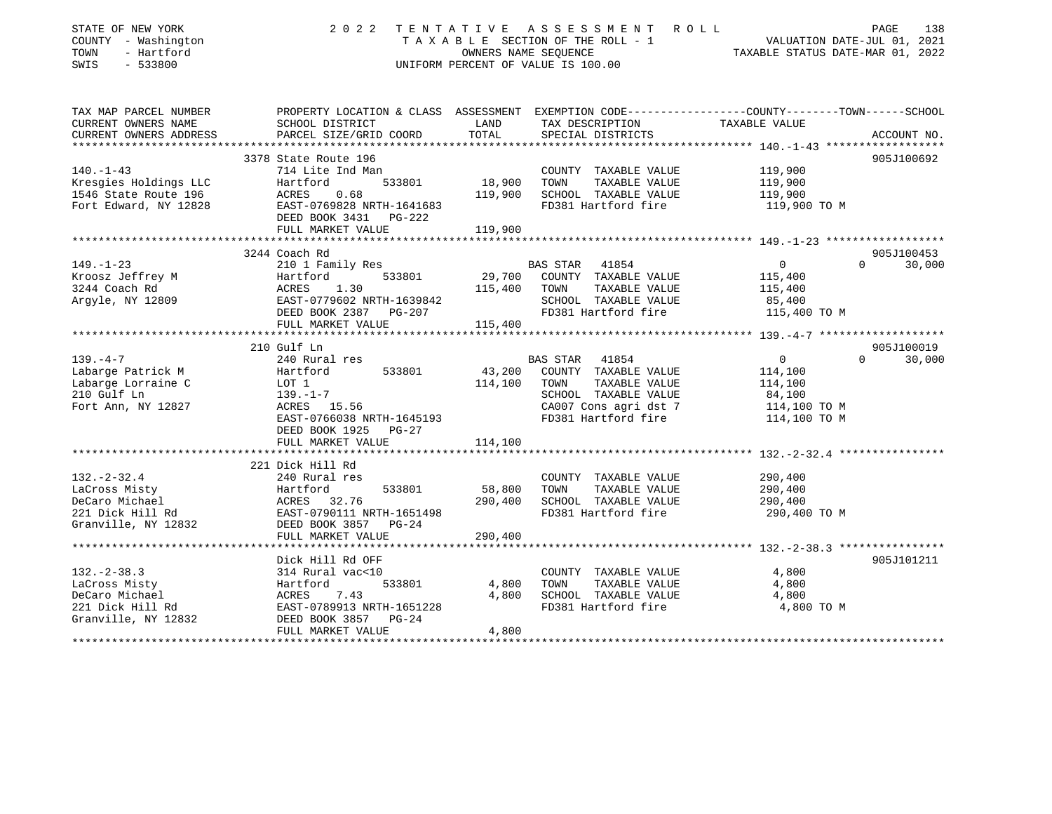| STATE OF NEW YORK<br>COUNTY - Washington<br>TOWN<br>- Hartford<br>SWIS<br>$-533800$ | 2 0 2 2                                                                                           |               | TENTATIVE ASSESSMENT ROLL<br>T A X A B L E SECTION OF THE ROLL - 1<br>OWNERS NAME SEQUENCE<br>OWNERS NAME SEQUENCE<br>TAXABLE STATUS DATE-MAR 01, 2022<br>UNIFORM PERCENT OF VALUE IS 100.00 |                | PAGE<br>138        |
|-------------------------------------------------------------------------------------|---------------------------------------------------------------------------------------------------|---------------|----------------------------------------------------------------------------------------------------------------------------------------------------------------------------------------------|----------------|--------------------|
| TAX MAP PARCEL NUMBER                                                               | PROPERTY LOCATION & CLASS ASSESSMENT EXEMPTION CODE-----------------COUNTY-------TOWN------SCHOOL |               |                                                                                                                                                                                              |                |                    |
| CURRENT OWNERS NAME<br>CURRENT OWNERS ADDRESS                                       | SCHOOL DISTRICT<br>PARCEL SIZE/GRID COORD                                                         | LAND<br>TOTAL | TAX DESCRIPTION<br>SPECIAL DISTRICTS                                                                                                                                                         | TAXABLE VALUE  | ACCOUNT NO.        |
|                                                                                     | 3378 State Route 196                                                                              |               |                                                                                                                                                                                              |                | 905J100692         |
| $140. - 1 - 43$                                                                     | 714 Lite Ind Man                                                                                  |               | COUNTY TAXABLE VALUE                                                                                                                                                                         | 119,900        |                    |
| Kresgies Holdings LLC                                                               | 533801<br>Hartford                                                                                | 18,900        | TAXABLE VALUE<br>TOWN                                                                                                                                                                        | 119,900        |                    |
| 1546 State Route 196                                                                | ACRES 0.68                                                                                        | 119,900       | SCHOOL TAXABLE VALUE                                                                                                                                                                         | 119,900        |                    |
| Fort Edward, NY 12828                                                               | EAST-0769828 NRTH-1641683                                                                         |               | FD381 Hartford fire                                                                                                                                                                          | 119,900 TO M   |                    |
|                                                                                     | DEED BOOK 3431 PG-222                                                                             |               |                                                                                                                                                                                              |                |                    |
|                                                                                     | FULL MARKET VALUE                                                                                 | 119,900       |                                                                                                                                                                                              |                |                    |
|                                                                                     |                                                                                                   |               |                                                                                                                                                                                              |                |                    |
|                                                                                     | 3244 Coach Rd                                                                                     |               |                                                                                                                                                                                              |                | 905J100453         |
| $149. - 1 - 23$                                                                     | 210 1 Family Res                                                                                  |               | BAS STAR 41854                                                                                                                                                                               | $\overline{0}$ | $0 \t 30,000$      |
| Kroosz Jeffrey M                                                                    |                                                                                                   | 29,700        | COUNTY TAXABLE VALUE                                                                                                                                                                         | 115,400        |                    |
| 3244 Coach Rd                                                                       |                                                                                                   | 115,400       | TOWN<br>TAXABLE VALUE                                                                                                                                                                        | 115,400        |                    |
| Argyle, NY 12809                                                                    | Hartford 533801<br>ACRES 1.30<br>EAST-0779602 NRTH-1639842                                        |               | SCHOOL TAXABLE VALUE                                                                                                                                                                         | 85,400         |                    |
|                                                                                     | DEED BOOK 2387 PG-207                                                                             |               | FD381 Hartford fire                                                                                                                                                                          | 115,400 TO M   |                    |
|                                                                                     | FULL MARKET VALUE                                                                                 | 115,400       |                                                                                                                                                                                              |                |                    |
|                                                                                     |                                                                                                   |               |                                                                                                                                                                                              |                |                    |
|                                                                                     | 210 Gulf Ln                                                                                       |               |                                                                                                                                                                                              |                | 905J100019         |
| $139. -4 -7$                                                                        | 240 Rural res                                                                                     |               | BAS STAR 41854                                                                                                                                                                               | $\overline{0}$ | $\Omega$<br>30,000 |
| Labarge Patrick M                                                                   | 533801<br>Hartford<br>Hartro<br>LOT 1                                                             |               | 43,200 COUNTY TAXABLE VALUE                                                                                                                                                                  | 114,100        |                    |
| Labarge Lorraine C                                                                  |                                                                                                   | 114,100 TOWN  | TAXABLE VALUE                                                                                                                                                                                | 114,100        |                    |
| 210 Gulf Ln                                                                         | 139.–1–7<br>ACRES 15.56                                                                           |               | SCHOOL TAXABLE VALUE                                                                                                                                                                         | 84,100         |                    |
| Fort Ann, NY 12827                                                                  |                                                                                                   |               | CA007 Cons agri dst 7                                                                                                                                                                        | 114,100 TO M   |                    |
|                                                                                     | EAST-0766038 NRTH-1645193                                                                         |               | FD381 Hartford fire                                                                                                                                                                          | 114,100 TO M   |                    |
|                                                                                     | DEED BOOK 1925 PG-27<br>FULL MARKET VALUE                                                         | 114,100       |                                                                                                                                                                                              |                |                    |
|                                                                                     |                                                                                                   |               |                                                                                                                                                                                              |                |                    |
|                                                                                     | 221 Dick Hill Rd                                                                                  |               |                                                                                                                                                                                              |                |                    |
| $132. - 2 - 32.4$                                                                   | 240 Rural res                                                                                     |               | COUNTY TAXABLE VALUE                                                                                                                                                                         | 290,400        |                    |
| LaCross Misty                                                                       | 533801                                                                                            | 58,800        | TOWN<br>TAXABLE VALUE                                                                                                                                                                        | 290,400        |                    |
| DeCaro Michael                                                                      | Hartford<br>ACRES 32.76                                                                           | 290,400       | SCHOOL TAXABLE VALUE                                                                                                                                                                         | 290,400        |                    |
|                                                                                     | EAST-0790111 NRTH-1651498                                                                         |               | FD381 Hartford fire                                                                                                                                                                          | 290,400 TO M   |                    |
| 221 Dick Hill Rd<br>Granville, NY 12832                                             | DEED BOOK 3857 PG-24                                                                              |               |                                                                                                                                                                                              |                |                    |
|                                                                                     | FULL MARKET VALUE                                                                                 | 290,400       |                                                                                                                                                                                              |                |                    |
|                                                                                     |                                                                                                   |               |                                                                                                                                                                                              |                |                    |
|                                                                                     | Dick Hill Rd OFF                                                                                  |               |                                                                                                                                                                                              |                | 905J101211         |
| $132. - 2 - 38.3$                                                                   | 314 Rural vac<10                                                                                  |               | COUNTY TAXABLE VALUE                                                                                                                                                                         | 4,800          |                    |
| LaCross Misty                                                                       | 533801<br>Hartford<br>Across                                                                      | 4,800         | TOWN<br>TAXABLE VALUE                                                                                                                                                                        | 4,800          |                    |
| DeCaro Michael                                                                      | ACRES<br>7.43                                                                                     | 4,800         | SCHOOL TAXABLE VALUE                                                                                                                                                                         | 4,800          |                    |
| 221 Dick Hill Rd                                                                    | EAST-0789913 NRTH-1651228                                                                         |               | FD381 Hartford fire                                                                                                                                                                          | 4,800 TO M     |                    |
| Granville, NY 12832                                                                 | DEED BOOK 3857 PG-24                                                                              |               |                                                                                                                                                                                              |                |                    |
|                                                                                     | FULL MARKET VALUE                                                                                 | 4,800         |                                                                                                                                                                                              |                |                    |
|                                                                                     |                                                                                                   |               |                                                                                                                                                                                              |                |                    |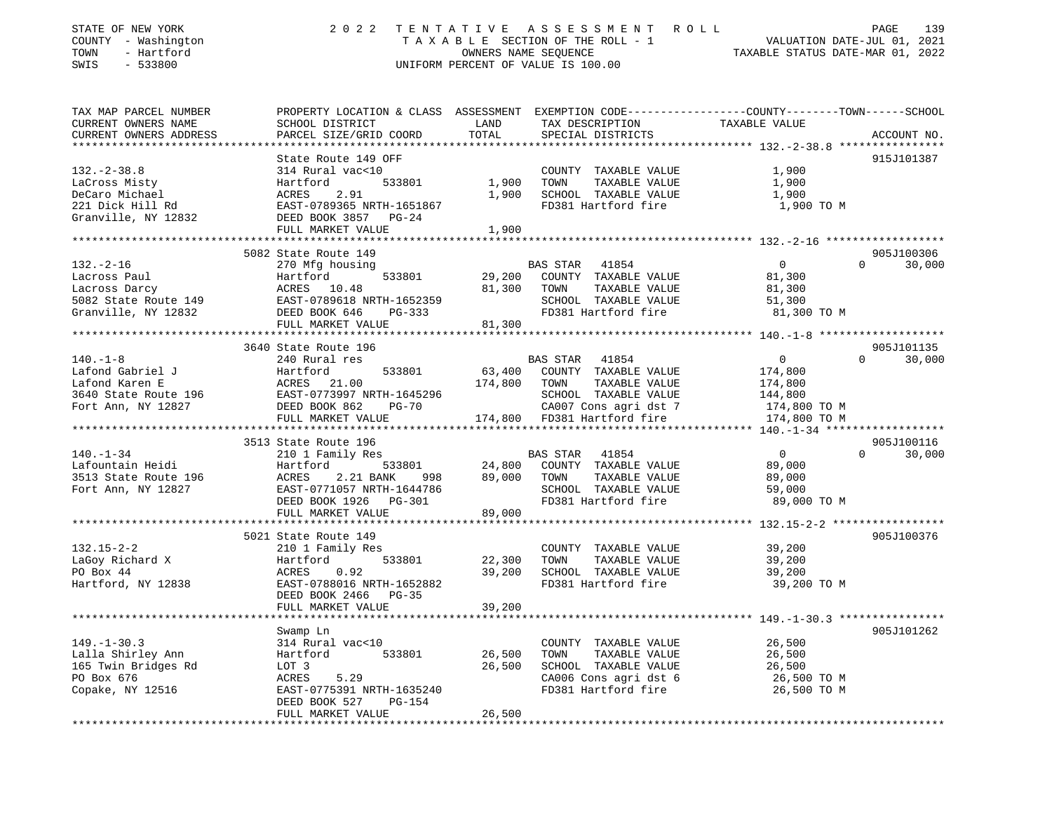| STATE OF NEW YORK<br>COUNTY - Washington<br>- Hartford<br>TOWN<br>SWIS<br>$-533800$ | 2 0 2 2                                         | TENTATIVE                         | ASSESSMENT<br>R O L L<br>TAXABLE SECTION OF THE ROLL - 1<br>OWNERS NAME SEQUENCE<br>UNIFORM PERCENT OF VALUE IS 100.00 | PAGE<br>139<br>VALUATION DATE-JUL 01, 2021<br>TAXABLE STATUS DATE-MAR 01, 2022                  |
|-------------------------------------------------------------------------------------|-------------------------------------------------|-----------------------------------|------------------------------------------------------------------------------------------------------------------------|-------------------------------------------------------------------------------------------------|
| TAX MAP PARCEL NUMBER                                                               |                                                 |                                   |                                                                                                                        | PROPERTY LOCATION & CLASS ASSESSMENT EXEMPTION CODE---------------COUNTY-------TOWN------SCHOOL |
| CURRENT OWNERS NAME                                                                 | SCHOOL DISTRICT                                 | LAND                              | TAX DESCRIPTION                                                                                                        | TAXABLE VALUE                                                                                   |
| CURRENT OWNERS ADDRESS                                                              | PARCEL SIZE/GRID COORD                          | TOTAL                             | SPECIAL DISTRICTS                                                                                                      | ACCOUNT NO.                                                                                     |
|                                                                                     |                                                 |                                   |                                                                                                                        |                                                                                                 |
|                                                                                     | State Route 149 OFF                             |                                   |                                                                                                                        | 915J101387                                                                                      |
| $132. - 2 - 38.8$                                                                   | 314 Rural vac<10                                |                                   | COUNTY TAXABLE VALUE                                                                                                   | 1,900                                                                                           |
| LaCross Misty<br>DeCaro Michael                                                     | Hartford<br>533801<br>ACRES<br>2.91             | 1,900<br>1,900                    | TOWN<br>TAXABLE VALUE<br>SCHOOL TAXABLE VALUE                                                                          | 1,900                                                                                           |
| 221 Dick Hill Rd                                                                    | EAST-0789365 NRTH-1651867                       |                                   | FD381 Hartford fire                                                                                                    | 1,900<br>1,900 TO M                                                                             |
| Granville, NY 12832                                                                 | DEED BOOK 3857<br>PG-24<br>FULL MARKET VALUE    | 1,900                             |                                                                                                                        |                                                                                                 |
|                                                                                     | *********************************               |                                   |                                                                                                                        |                                                                                                 |
|                                                                                     | 5082 State Route 149                            |                                   |                                                                                                                        | 905J100306                                                                                      |
| $132. - 2 - 16$                                                                     | 270 Mfg housing                                 |                                   | BAS STAR<br>41854                                                                                                      | $\overline{0}$<br>$\Omega$<br>30,000                                                            |
| Lacross Paul                                                                        | Hartford<br>533801                              | 29,200                            | COUNTY TAXABLE VALUE                                                                                                   | 81,300                                                                                          |
| Lacross Darcy                                                                       | ACRES 10.48                                     | 81,300                            | TAXABLE VALUE<br>TOWN                                                                                                  | 81,300                                                                                          |
| 5082 State Route 149                                                                | EAST-0789618 NRTH-1652359                       |                                   | SCHOOL TAXABLE VALUE                                                                                                   | 51,300                                                                                          |
| Granville, NY 12832                                                                 | DEED BOOK 646<br>PG-333                         |                                   | FD381 Hartford fire                                                                                                    | 81,300 TO M                                                                                     |
|                                                                                     | FULL MARKET VALUE<br>*************************  | 81,300<br>* * * * * * * * * * * * |                                                                                                                        | ****************** 140.-1-8 *******************                                                 |
|                                                                                     | 3640 State Route 196                            |                                   |                                                                                                                        | 905J101135                                                                                      |
| $140. - 1 - 8$                                                                      | 240 Rural res                                   |                                   | BAS STAR<br>41854                                                                                                      | $\circ$<br>30,000<br>$\Omega$                                                                   |
| Lafond Gabriel J                                                                    | Hartford<br>533801                              | 63,400                            | COUNTY TAXABLE VALUE                                                                                                   | 174,800                                                                                         |
| Lafond Karen E                                                                      | ACRES 21.00                                     | 174,800                           | TOWN<br>TAXABLE VALUE                                                                                                  | 174,800                                                                                         |
| 3640 State Route 196                                                                | EAST-0773997 NRTH-1645296                       |                                   | SCHOOL TAXABLE VALUE                                                                                                   | 144,800                                                                                         |
| Fort Ann, NY 12827                                                                  | DEED BOOK 862<br>PG-70                          |                                   | CA007 Cons agri dst 7                                                                                                  | 174,800 TO M                                                                                    |
|                                                                                     | FULL MARKET VALUE                               |                                   | 174,800 FD381 Hartford fire                                                                                            | 174,800 TO M                                                                                    |
|                                                                                     |                                                 |                                   |                                                                                                                        |                                                                                                 |
|                                                                                     | 3513 State Route 196                            |                                   |                                                                                                                        | 905J100116                                                                                      |
| $140. - 1 - 34$                                                                     | 210 1 Family Res                                |                                   | BAS STAR<br>41854                                                                                                      | $\overline{0}$<br>30,000<br>$\Omega$                                                            |
| Lafountain Heidi<br>3513 State Route 196                                            | Hartford<br>533801<br>ACRES<br>2.21 BANK<br>998 | 24,800<br>89,000                  | COUNTY TAXABLE VALUE<br>TAXABLE VALUE<br>TOWN                                                                          | 89,000<br>89,000                                                                                |
| Fort Ann, NY 12827                                                                  | EAST-0771057 NRTH-1644786                       |                                   | SCHOOL TAXABLE VALUE                                                                                                   | 59,000                                                                                          |
|                                                                                     | DEED BOOK 1926<br>PG-301                        |                                   | FD381 Hartford fire                                                                                                    | 89,000 TO M                                                                                     |
|                                                                                     | FULL MARKET VALUE                               | 89,000                            |                                                                                                                        |                                                                                                 |
|                                                                                     |                                                 |                                   |                                                                                                                        |                                                                                                 |
|                                                                                     | 5021 State Route 149                            |                                   |                                                                                                                        | 905J100376                                                                                      |
| $132.15 - 2 - 2$                                                                    | 210 1 Family Res                                |                                   | COUNTY TAXABLE VALUE                                                                                                   | 39,200                                                                                          |
| LaGoy Richard X                                                                     | 533801<br>Hartford                              | 22,300                            | TOWN<br>TAXABLE VALUE                                                                                                  | 39,200                                                                                          |
| PO Box 44                                                                           | 0.92<br>ACRES                                   | 39,200                            | SCHOOL TAXABLE VALUE                                                                                                   | 39,200                                                                                          |
| Hartford, NY 12838                                                                  | EAST-0788016 NRTH-1652882                       |                                   | FD381 Hartford fire                                                                                                    | 39,200 TO M                                                                                     |
|                                                                                     | DEED BOOK 2466<br>$PG-35$                       |                                   |                                                                                                                        |                                                                                                 |
|                                                                                     | FULL MARKET VALUE                               | 39,200                            |                                                                                                                        |                                                                                                 |
|                                                                                     | Swamp Ln                                        |                                   |                                                                                                                        | 905J101262                                                                                      |
| $149. - 1 - 30.3$                                                                   | 314 Rural vac<10                                |                                   | COUNTY TAXABLE VALUE                                                                                                   | 26,500                                                                                          |
| Lalla Shirley Ann                                                                   | Hartford<br>533801                              | 26,500                            | TOWN<br>TAXABLE VALUE                                                                                                  | 26,500                                                                                          |
| 165 Twin Bridges Rd                                                                 | LOT 3                                           | 26,500                            | SCHOOL TAXABLE VALUE                                                                                                   | 26,500                                                                                          |
| PO Box 676                                                                          | ACRES<br>5.29                                   |                                   | CA006 Cons agri dst 6                                                                                                  | 26,500 TO M                                                                                     |
| Copake, NY 12516                                                                    | EAST-0775391 NRTH-1635240                       |                                   | FD381 Hartford fire                                                                                                    | 26,500 TO M                                                                                     |
|                                                                                     | DEED BOOK 527<br><b>PG-154</b>                  |                                   |                                                                                                                        |                                                                                                 |
|                                                                                     | FULL MARKET VALUE                               | 26,500                            |                                                                                                                        |                                                                                                 |
|                                                                                     |                                                 |                                   |                                                                                                                        |                                                                                                 |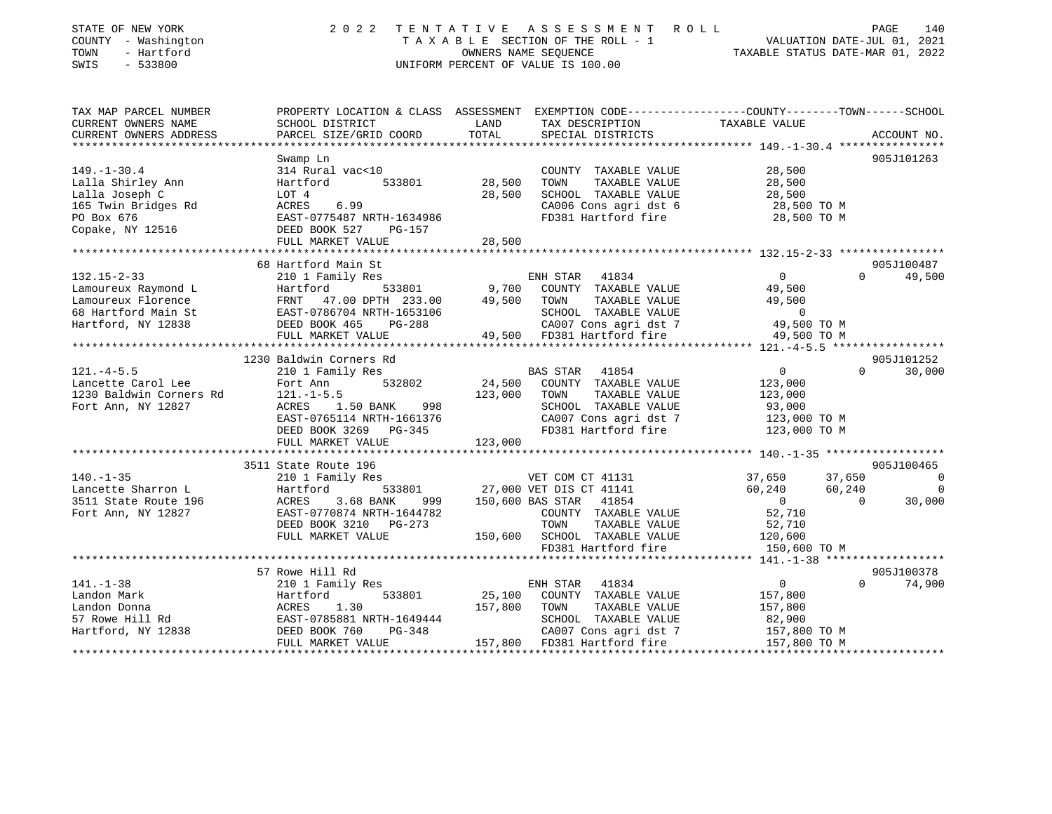| STATE OF NEW YORK<br>COUNTY - Washington<br>TOWN<br>- Hartford<br>SWIS<br>$-533800$                               | 2 0 2 2<br>TENTATIVE                                                                                                                                            | A S S E S S M E N T<br>R O L L<br>TAXABLE SECTION OF THE ROLL - 1<br>OWNERS NAME SEQUENCE<br>UNIFORM PERCENT OF VALUE IS 100.00                                                                            | 140<br>PAGE<br>VALUATION DATE-JUL 01, 2021<br>TAXABLE STATUS DATE-MAR 01, 2022                                                                                  |
|-------------------------------------------------------------------------------------------------------------------|-----------------------------------------------------------------------------------------------------------------------------------------------------------------|------------------------------------------------------------------------------------------------------------------------------------------------------------------------------------------------------------|-----------------------------------------------------------------------------------------------------------------------------------------------------------------|
| TAX MAP PARCEL NUMBER                                                                                             |                                                                                                                                                                 |                                                                                                                                                                                                            | PROPERTY LOCATION & CLASS ASSESSMENT EXEMPTION CODE---------------COUNTY-------TOWN------SCHOOL                                                                 |
| CURRENT OWNERS NAME                                                                                               | SCHOOL DISTRICT                                                                                                                                                 | LAND<br>TAX DESCRIPTION                                                                                                                                                                                    | TAXABLE VALUE                                                                                                                                                   |
| CURRENT OWNERS ADDRESS<br>***********************                                                                 | PARCEL SIZE/GRID COORD                                                                                                                                          | TOTAL<br>SPECIAL DISTRICTS                                                                                                                                                                                 | ACCOUNT NO.                                                                                                                                                     |
|                                                                                                                   |                                                                                                                                                                 |                                                                                                                                                                                                            |                                                                                                                                                                 |
| $149. - 1 - 30.4$<br>Lalla Shirley Ann<br>Lalla Joseph C<br>165 Twin Bridges Rd<br>PO Box 676<br>Copake, NY 12516 | Swamp Ln<br>314 Rural vac<10<br>Hartford<br>533801<br>LOT 4<br>ACRES<br>6.99<br>EAST-0775487 NRTH-1634986<br>DEED BOOK 527<br>PG-157<br>FULL MARKET VALUE       | COUNTY TAXABLE VALUE<br>28,500<br>TOWN<br>TAXABLE VALUE<br>SCHOOL TAXABLE VALUE<br>28,500<br>SCHOOL TAXABLE VALUE 28,500<br>CA006 Cons agri dst 6 28,500 TO M<br>FD381 Hartford fire 28,500 TO M<br>28,500 | 905J101263<br>28,500<br>28,500<br>28,500                                                                                                                        |
|                                                                                                                   |                                                                                                                                                                 |                                                                                                                                                                                                            |                                                                                                                                                                 |
|                                                                                                                   | 68 Hartford Main St                                                                                                                                             |                                                                                                                                                                                                            | 905J100487                                                                                                                                                      |
| $132.15 - 2 - 33$<br>Lamoureux Raymond L<br>Lamoureux Florence<br>68 Hartford Main St<br>Hartford, NY 12838       | 210 1 Family Res<br>Hartford<br>FRNT 47.00 DPTH 233.00<br>EAST-0786704 NRTH-1653106<br>DEED BOOK 465<br><b>PG-288</b><br>FULL MARKET VALUE                      | ENH STAR<br>41834<br>533801 9,700<br>COUNTY TAXABLE VALUE<br>49,500<br>TOWN<br>TAXABLE VALUE<br>SCHOOL TAXABLE VALUE<br>CA007 Cons agri dst 7 49,500 TO M<br>49,500 FD381 Hartford fire                    | 49,500<br>$\cap$<br>$\Omega$<br>49,500<br>49,500<br>$\overline{0}$<br>49,500 TO M                                                                               |
|                                                                                                                   | 1230 Baldwin Corners Rd                                                                                                                                         |                                                                                                                                                                                                            | 905J101252                                                                                                                                                      |
| $121. -4 - 5.5$<br>Lancette Carol Lee<br>1230 Baldwin Corners Rd<br>Fort Ann, NY 12827                            | 210 1 Family Res<br>Fort Ann<br>532802<br>$121. - 1 - 5.5$<br>ACRES 1.50 BANK<br>998<br>EAST-0765114 NRTH-1661376<br>DEED BOOK 3269 PG-345<br>FULL MARKET VALUE | BAS STAR 41854<br>24,500 COUNTY TAXABLE VALUE<br>123,000 TOWN<br>TAXABLE VALUE<br>SCHOOL TAXABLE VALUE 93,000<br>CA007 Cons agri dst 7 123,000 TO M<br>FD381 Hartford fire<br>123,000                      | $\overline{0}$<br>30,000<br>$\Omega$<br>123,000<br>123,000<br>123,000 TO M                                                                                      |
|                                                                                                                   | 3511 State Route 196                                                                                                                                            |                                                                                                                                                                                                            | 905J100465                                                                                                                                                      |
| $140. - 1 - 35$<br>Lancette Sharron L<br>3511 State Route 196<br>Fort Ann, NY 12827                               | 210 1 Family Res<br>Hartford<br>ACRES<br>3.68 BANK<br>999<br>EAST-0770874 NRTH-1644782<br>DEED BOOK 3210 PG-273<br>FULL MARKET VALUE                            | VET COM CT 41131<br>533801 27,000 VET DIS CT 41141<br>150,600 BAS STAR<br>41854<br>COUNTY TAXABLE VALUE<br>TOWN<br>TAXABLE VALUE<br>150,600 SCHOOL TAXABLE VALUE<br>FD381 Hartford fire                    | 37,650<br>37,650<br>$\overline{0}$<br>$\overline{0}$<br>60,240<br>60,240<br>$\overline{0}$<br>$\Omega$<br>30,000<br>52,710<br>52,710<br>120,600<br>150,600 TO M |

\*\*\*\*\*\*\*\*\*\*\*\*\*\*\*\*\*\*\*\*\*\*\*\*\*\*\*\*\*\*\*\*\*\*\*\*\*\*\*\*\*\*\*\*\*\*\*\*\*\*\*\*\*\*\*\*\*\*\*\*\*\*\*\*\*\*\*\*\*\*\*\*\*\*\*\*\*\*\*\*\*\*\*\*\*\*\*\*\*\*\*\*\*\*\*\*\*\*\*\*\*\*\* 141.-1-38 \*\*\*\*\*\*\*\*\*\*\*\*\*\*\*\*\*\* 57 Rowe Hill Rd 905J100378 $0 \t 74,900$ 141.-1-38 210 1 Family Res ENH STAR 41834 0 0 74,900 Landon Mark Hartford 533801 25,100 COUNTY TAXABLE VALUE 157,800 Landon Donna ACRES 1.30 157,800 TOWN TAXABLE VALUE 157,800 57 Rowe Hill Rd EAST-0785881 NRTH-1649444 SCHOOL TAXABLE VALUE 82,900 Hartford, NY 12838 DEED BOOK 760 PG-348 CA007 Cons agri dst 7 157,800 TO M FULL MARKET VALUE 157,800 FD381 Hartford fire 157,800 TO M \*\*\*\*\*\*\*\*\*\*\*\*\*\*\*\*\*\*\*\*\*\*\*\*\*\*\*\*\*\*\*\*\*\*\*\*\*\*\*\*\*\*\*\*\*\*\*\*\*\*\*\*\*\*\*\*\*\*\*\*\*\*\*\*\*\*\*\*\*\*\*\*\*\*\*\*\*\*\*\*\*\*\*\*\*\*\*\*\*\*\*\*\*\*\*\*\*\*\*\*\*\*\*\*\*\*\*\*\*\*\*\*\*\*\*\*\*\*\*\*\*\*\*\*\*\*\*\*\*\*\*\*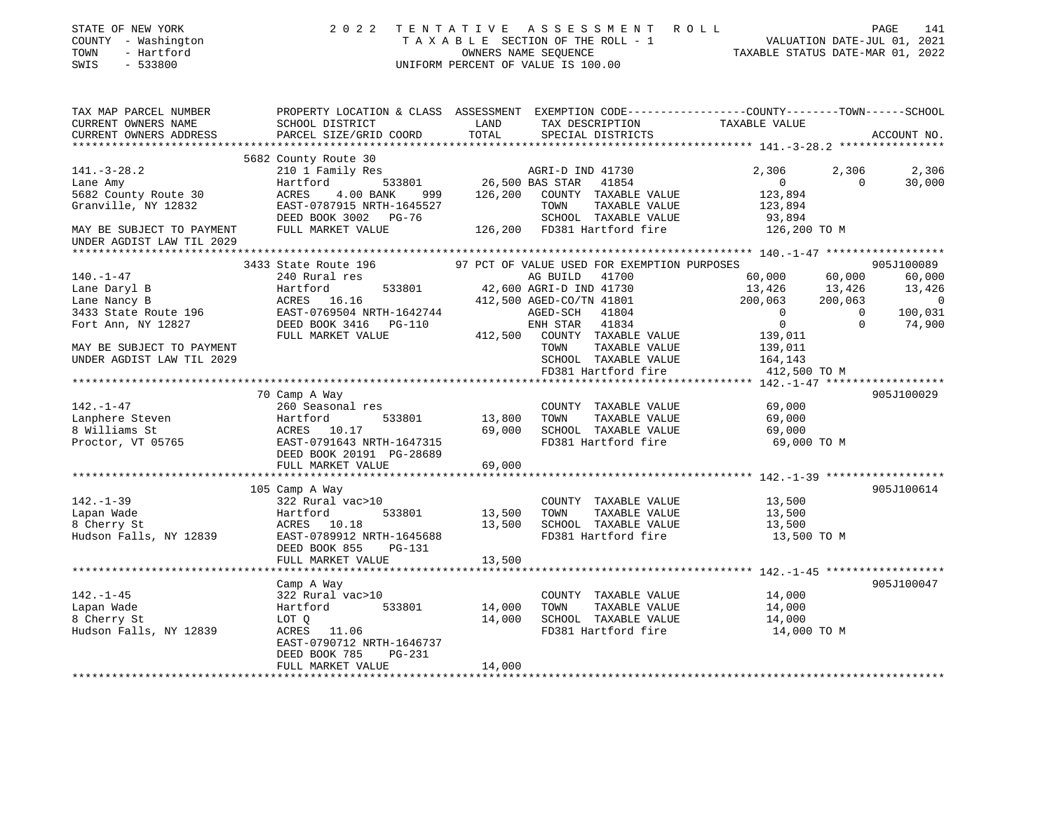| STATE OF NEW YORK<br>COUNTY - Washington<br>- Hartford<br>TOWN<br>$-533800$<br>SWIS | 2022 TENTATIVE ASSESSMENT ROLL                                                                                                              | OWNERS NAME SEOUENCE | TAXABLE SECTION OF THE ROLL - 1<br>UNIFORM PERCENT OF VALUE IS 100.00 |                                             | VALUATION DATE-JUL 01, 2021 VALUATION DATE-MAR 01, 2022 |          | 141<br>PAGE              |
|-------------------------------------------------------------------------------------|---------------------------------------------------------------------------------------------------------------------------------------------|----------------------|-----------------------------------------------------------------------|---------------------------------------------|---------------------------------------------------------|----------|--------------------------|
| TAX MAP PARCEL NUMBER<br>CURRENT OWNERS NAME<br>CURRENT OWNERS ADDRESS              | PROPERTY LOCATION & CLASS ASSESSMENT EXEMPTION CODE---------------COUNTY-------TOWN-----SCHOOL<br>SCHOOL DISTRICT<br>PARCEL SIZE/GRID COORD | LAND<br>TOTAL        | SPECIAL DISTRICTS                                                     | TAX DESCRIPTION                             | TAXABLE VALUE                                           |          | ACCOUNT NO.              |
|                                                                                     |                                                                                                                                             |                      |                                                                       |                                             |                                                         |          |                          |
|                                                                                     | 5682 County Route 30                                                                                                                        |                      |                                                                       |                                             |                                                         |          |                          |
| $141. - 3 - 28.2$                                                                   | 210 1 Family Res                                                                                                                            |                      | 3<br>533801 1954 1854 1854<br>533801 26,500 BAS STAR 41854            |                                             | 2,306                                                   | 2,306    | 2,306                    |
| Lane Amy                                                                            | Hartford                                                                                                                                    |                      |                                                                       |                                             | $\overline{0}$                                          | $\cap$   | 30,000                   |
| 5682 County Route 30                                                                | 999<br>ACRES<br>4.00 BANK                                                                                                                   |                      | 126,200 COUNTY TAXABLE VALUE                                          |                                             | 123,894                                                 |          |                          |
| Granville, NY 12832                                                                 | ACRES 7.00 2000.<br>EAST-0787915 NRTH-1645527<br>---- -00% 2002 DG-76                                                                       |                      | TOWN                                                                  | TAXABLE VALUE                               | 123,894                                                 |          |                          |
|                                                                                     |                                                                                                                                             |                      | SCHOOL TAXABLE VALUE                                                  |                                             | 93,894                                                  |          |                          |
| MAY BE SUBJECT TO PAYMENT FULL MARKET VALUE<br>UNDER AGDIST LAW TIL 2029            |                                                                                                                                             |                      | 126,200 FD381 Hartford fire                                           |                                             | 126,200 TO M                                            |          |                          |
|                                                                                     |                                                                                                                                             |                      |                                                                       |                                             |                                                         |          |                          |
|                                                                                     | 3433 State Route 196                                                                                                                        |                      |                                                                       | 97 PCT OF VALUE USED FOR EXEMPTION PURPOSES |                                                         |          | 905J100089               |
| $140. - 1 - 47$                                                                     | 240 Rural res                                                                                                                               |                      | AG BUILD                                                              | 41700                                       | 60,000                                                  | 60,000   | 60,000                   |
| Lane Daryl B                                                                        | 533801<br>Hartford                                                                                                                          |                      | 42,600 AGRI-D IND 41730                                               |                                             | 13,426                                                  | 13,426   | 13,426                   |
| Lane Nancy B                                                                        |                                                                                                                                             |                      | 412,500 AGED-CO/TN 41801                                              |                                             | 200,063                                                 | 200,063  | $\sim$ 0                 |
| 3433 State Route 196                                                                |                                                                                                                                             |                      | AGED-SCH                                                              | 41804                                       | $\sim$ 0<br>$\overline{0}$                              | $\Omega$ | $0 \t 100,031$<br>74,900 |
| Fort Ann, NY 12827                                                                  | DEED BOOK 3416 PG-110<br>FULL MARKET VALUE                                                                                                  |                      | ENH STAR                                                              | 41834<br>412,500 COUNTY TAXABLE VALUE       | 139,011                                                 |          |                          |
| MAY BE SUBJECT TO PAYMENT                                                           |                                                                                                                                             |                      | TOWN                                                                  | TAXABLE VALUE                               | 139,011                                                 |          |                          |
| UNDER AGDIST LAW TIL 2029                                                           |                                                                                                                                             |                      | SCHOOL TAXABLE VALUE                                                  |                                             | 164,143                                                 |          |                          |
|                                                                                     |                                                                                                                                             |                      | FD381 Hartford fire                                                   |                                             | 412,500 TO M                                            |          |                          |
|                                                                                     |                                                                                                                                             |                      |                                                                       |                                             |                                                         |          |                          |
|                                                                                     | 70 Camp A Way                                                                                                                               |                      |                                                                       |                                             |                                                         |          | 905J100029               |
| $142. - 1 - 47$                                                                     | 260 Seasonal res                                                                                                                            |                      | COUNTY TAXABLE VALUE                                                  |                                             | 69,000                                                  |          |                          |
| Lanphere Steven                                                                     | 533801<br>Hartford                                                                                                                          | 13,800               | TOWN                                                                  | TAXABLE VALUE                               | 69,000                                                  |          |                          |
| 8 Williams St                                                                       | ACRES 10.17<br>EAST-0791643 NRTH-1647315                                                                                                    | 69,000               | SCHOOL TAXABLE VALUE                                                  |                                             | 69,000                                                  |          |                          |
| Proctor, VT 05765                                                                   | DEED BOOK 20191 PG-28689                                                                                                                    |                      | FD381 Hartford fire                                                   |                                             | 69,000 TO M                                             |          |                          |
|                                                                                     | FULL MARKET VALUE                                                                                                                           | 69,000               |                                                                       |                                             |                                                         |          |                          |
|                                                                                     |                                                                                                                                             |                      |                                                                       |                                             |                                                         |          |                          |
|                                                                                     | 105 Camp A Way                                                                                                                              |                      |                                                                       |                                             |                                                         |          | 905J100614               |
| $142. - 1 - 39$                                                                     | 322 Rural vac>10                                                                                                                            | 13,500               |                                                                       | COUNTY TAXABLE VALUE                        | 13,500                                                  |          |                          |
| Lapan Wade<br>8 Cherry St                                                           | Hartford<br>ACRES 10.18<br>533801                                                                                                           | 13,500               | TOWN<br>SCHOOL TAXABLE VALUE                                          | TAXABLE VALUE                               | 13,500<br>13,500                                        |          |                          |
| Hudson Falls, NY 12839                                                              | EAST-0789912 NRTH-1645688                                                                                                                   |                      | FD381 Hartford fire                                                   |                                             | 13,500 TO M                                             |          |                          |
|                                                                                     | DEED BOOK 855<br>PG-131                                                                                                                     |                      |                                                                       |                                             |                                                         |          |                          |
|                                                                                     | FULL MARKET VALUE                                                                                                                           | 13,500               |                                                                       |                                             |                                                         |          |                          |
|                                                                                     |                                                                                                                                             |                      |                                                                       |                                             |                                                         |          |                          |
|                                                                                     | Camp A Way                                                                                                                                  |                      |                                                                       |                                             |                                                         |          | 905J100047               |
| $142. - 1 - 45$                                                                     | 322 Rural vac>10                                                                                                                            |                      | COUNTY TAXABLE VALUE                                                  |                                             | 14,000                                                  |          |                          |
| Lapan Wade                                                                          | 533801<br>Hartford                                                                                                                          | 14,000               | TOWN                                                                  | TAXABLE VALUE                               | 14,000                                                  |          |                          |
| 8 Cherry St                                                                         | LOT Q                                                                                                                                       | 14,000               | SCHOOL TAXABLE VALUE                                                  |                                             | 14,000                                                  |          |                          |
| Hudson Falls, NY 12839                                                              | ACRES 11.06                                                                                                                                 |                      |                                                                       | FD381 Hartford fire                         | 14,000 TO M                                             |          |                          |
|                                                                                     | EAST-0790712 NRTH-1646737                                                                                                                   |                      |                                                                       |                                             |                                                         |          |                          |
|                                                                                     | DEED BOOK 785<br>PG-231                                                                                                                     |                      |                                                                       |                                             |                                                         |          |                          |
|                                                                                     | FULL MARKET VALUE                                                                                                                           | 14,000               |                                                                       |                                             |                                                         |          |                          |
|                                                                                     |                                                                                                                                             |                      |                                                                       |                                             |                                                         |          |                          |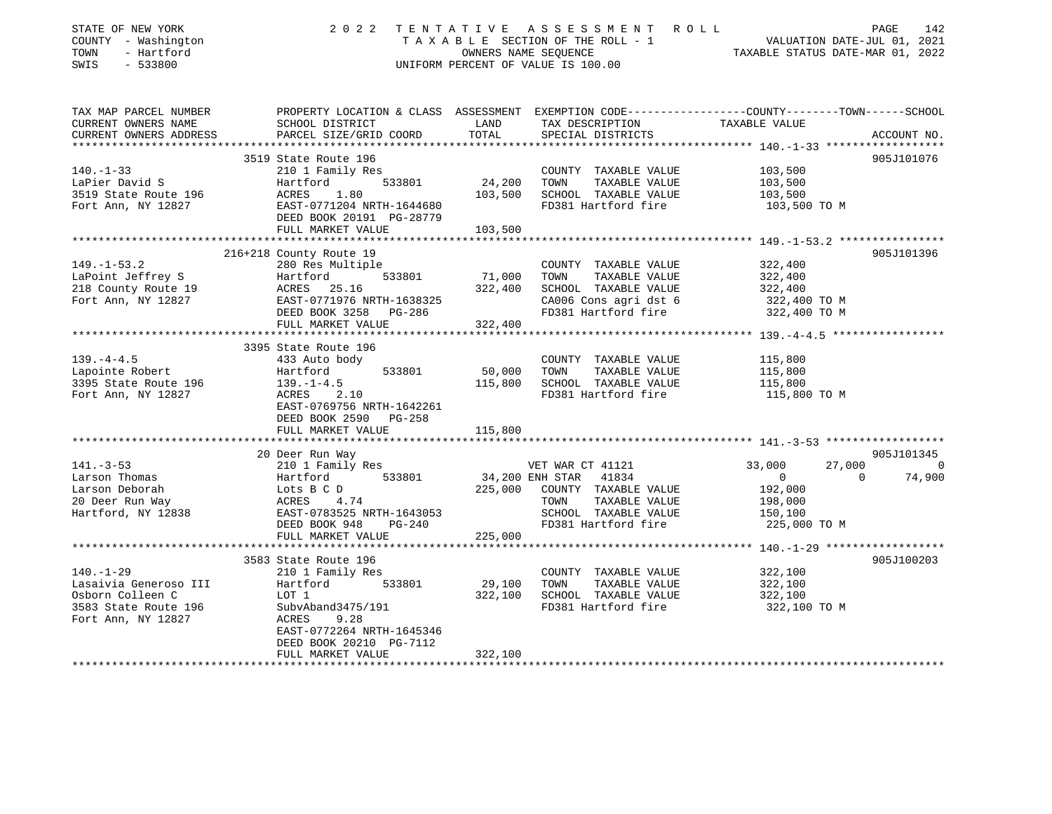| STATE OF NEW YORK<br>COUNTY - Washington<br>TOWN<br>- Hartford<br>SWIS<br>$-533800$ | 2 0 2 2                                                                                         | TENTATIVE | A S S E S S M E N T A O L L<br>TAXABLE SECTION OF THE ROLL - 1<br>OWNERS NAME SEOUENCE<br>UNIFORM PERCENT OF VALUE IS 100.00 | VALUATION DATE-JUL 01, 2021<br>TAXABLE STATUS DATE-MAR 01, 2022 | PAGE<br>142    |
|-------------------------------------------------------------------------------------|-------------------------------------------------------------------------------------------------|-----------|------------------------------------------------------------------------------------------------------------------------------|-----------------------------------------------------------------|----------------|
|                                                                                     |                                                                                                 |           |                                                                                                                              |                                                                 |                |
| TAX MAP PARCEL NUMBER                                                               | PROPERTY LOCATION & CLASS ASSESSMENT EXEMPTION CODE---------------COUNTY-------TOWN------SCHOOL |           |                                                                                                                              |                                                                 |                |
| CURRENT OWNERS NAME                                                                 | SCHOOL DISTRICT                                                                                 | LAND      | TAX DESCRIPTION                                                                                                              | TAXABLE VALUE                                                   |                |
| CURRENT OWNERS ADDRESS                                                              | PARCEL SIZE/GRID COORD                                                                          | TOTAL     | SPECIAL DISTRICTS                                                                                                            |                                                                 | ACCOUNT NO.    |
| **********************                                                              |                                                                                                 |           |                                                                                                                              |                                                                 |                |
|                                                                                     | 3519 State Route 196                                                                            |           |                                                                                                                              |                                                                 | 905J101076     |
| $140. - 1 - 33$                                                                     | 210 1 Family Res                                                                                |           | COUNTY TAXABLE VALUE                                                                                                         | 103,500                                                         |                |
| LaPier David S                                                                      | 533801<br>Hartford                                                                              | 24,200    | TOWN<br>TAXABLE VALUE                                                                                                        | 103,500                                                         |                |
| 3519 State Route 196                                                                | ACRES<br>1.80                                                                                   | 103,500   | SCHOOL TAXABLE VALUE                                                                                                         | 103,500                                                         |                |
| Fort Ann, NY 12827                                                                  | EAST-0771204 NRTH-1644680                                                                       |           | FD381 Hartford fire                                                                                                          | 103,500 TO M                                                    |                |
|                                                                                     | DEED BOOK 20191 PG-28779                                                                        |           |                                                                                                                              |                                                                 |                |
|                                                                                     | FULL MARKET VALUE                                                                               | 103,500   |                                                                                                                              |                                                                 |                |
|                                                                                     |                                                                                                 |           |                                                                                                                              |                                                                 |                |
|                                                                                     | 216+218 County Route 19                                                                         |           |                                                                                                                              |                                                                 | 905J101396     |
| $149. - 1 - 53.2$                                                                   | 280 Res Multiple                                                                                |           | COUNTY TAXABLE VALUE                                                                                                         | 322,400                                                         |                |
| LaPoint Jeffrey S                                                                   | 533801<br>Hartford                                                                              | 71,000    | TOWN<br>TAXABLE VALUE                                                                                                        | 322,400                                                         |                |
| 218 County Route 19                                                                 | ACRES 25.16                                                                                     | 322,400   | SCHOOL TAXABLE VALUE                                                                                                         | 322,400                                                         |                |
| Fort Ann, NY 12827                                                                  | EAST-0771976 NRTH-1638325                                                                       |           | CA006 Cons agri dst 6                                                                                                        | 322,400 TO M                                                    |                |
|                                                                                     | DEED BOOK 3258 PG-286                                                                           |           | FD381 Hartford fire                                                                                                          | 322,400 TO M                                                    |                |
|                                                                                     | FULL MARKET VALUE                                                                               | 322,400   |                                                                                                                              |                                                                 |                |
|                                                                                     | ***************************                                                                     |           |                                                                                                                              |                                                                 |                |
|                                                                                     | 3395 State Route 196                                                                            |           |                                                                                                                              |                                                                 |                |
| $139. -4 - 4.5$                                                                     | 433 Auto body                                                                                   |           | COUNTY TAXABLE VALUE                                                                                                         | 115,800                                                         |                |
| Lapointe Robert                                                                     | 533801<br>Hartford                                                                              | 50,000    | TAXABLE VALUE<br>TOWN                                                                                                        | 115,800                                                         |                |
| 3395 State Route 196                                                                | $139. - 1 - 4.5$                                                                                | 115,800   | SCHOOL TAXABLE VALUE                                                                                                         | 115,800                                                         |                |
| Fort Ann, NY 12827                                                                  | ACRES<br>2.10                                                                                   |           | FD381 Hartford fire                                                                                                          | 115,800 TO M                                                    |                |
|                                                                                     | EAST-0769756 NRTH-1642261                                                                       |           |                                                                                                                              |                                                                 |                |
|                                                                                     | DEED BOOK 2590 PG-258                                                                           |           |                                                                                                                              |                                                                 |                |
|                                                                                     | FULL MARKET VALUE                                                                               | 115,800   |                                                                                                                              |                                                                 |                |
|                                                                                     |                                                                                                 |           |                                                                                                                              |                                                                 |                |
|                                                                                     | 20 Deer Run Way                                                                                 |           |                                                                                                                              |                                                                 | 905J101345     |
| $141. - 3 - 53$                                                                     | 210 1 Family Res                                                                                |           | VET WAR CT 41121                                                                                                             | 27,000<br>33,000                                                | $\overline{0}$ |
| Larson Thomas                                                                       | 533801<br>Hartford                                                                              |           | 34,200 ENH STAR 41834                                                                                                        | $\overline{0}$<br>$\Omega$                                      | 74,900         |
| Larson Deborah                                                                      | Lots B C D                                                                                      | 225,000   | COUNTY TAXABLE VALUE                                                                                                         | 192,000                                                         |                |
| 20 Deer Run Way                                                                     | ACRES 4.74                                                                                      |           | TAXABLE VALUE<br>TOWN                                                                                                        | 198,000                                                         |                |
| Hartford, NY 12838                                                                  | EAST-0783525 NRTH-1643053                                                                       |           | SCHOOL TAXABLE VALUE                                                                                                         | 150,100                                                         |                |
|                                                                                     | DEED BOOK 948<br>PG-240                                                                         |           | FD381 Hartford fire                                                                                                          | 225,000 TO M                                                    |                |
|                                                                                     | FULL MARKET VALUE                                                                               | 225,000   |                                                                                                                              |                                                                 |                |
|                                                                                     |                                                                                                 |           |                                                                                                                              |                                                                 |                |
|                                                                                     | 3583 State Route 196                                                                            |           |                                                                                                                              |                                                                 | 905J100203     |
| $140. - 1 - 29$                                                                     | 210 1 Family Res                                                                                |           | COUNTY TAXABLE VALUE                                                                                                         | 322,100                                                         |                |
| Lasaivia Generoso III                                                               | Hartford<br>533801                                                                              | 29,100    | TOWN<br>TAXABLE VALUE                                                                                                        | 322,100                                                         |                |
| Osborn Colleen C                                                                    | LOT 1                                                                                           | 322,100   | SCHOOL TAXABLE VALUE                                                                                                         | 322,100                                                         |                |
| 3583 State Route 196                                                                | SubvAband3475/191                                                                               |           | FD381 Hartford fire                                                                                                          | 322,100 TO M                                                    |                |
| Fort Ann, NY 12827                                                                  | ACRES<br>9.28                                                                                   |           |                                                                                                                              |                                                                 |                |
|                                                                                     | EAST-0772264 NRTH-1645346                                                                       |           |                                                                                                                              |                                                                 |                |
|                                                                                     | DEED BOOK 20210 PG-7112                                                                         |           |                                                                                                                              |                                                                 |                |
|                                                                                     | FULL MARKET VALUE                                                                               | 322,100   |                                                                                                                              |                                                                 |                |
|                                                                                     |                                                                                                 |           |                                                                                                                              |                                                                 |                |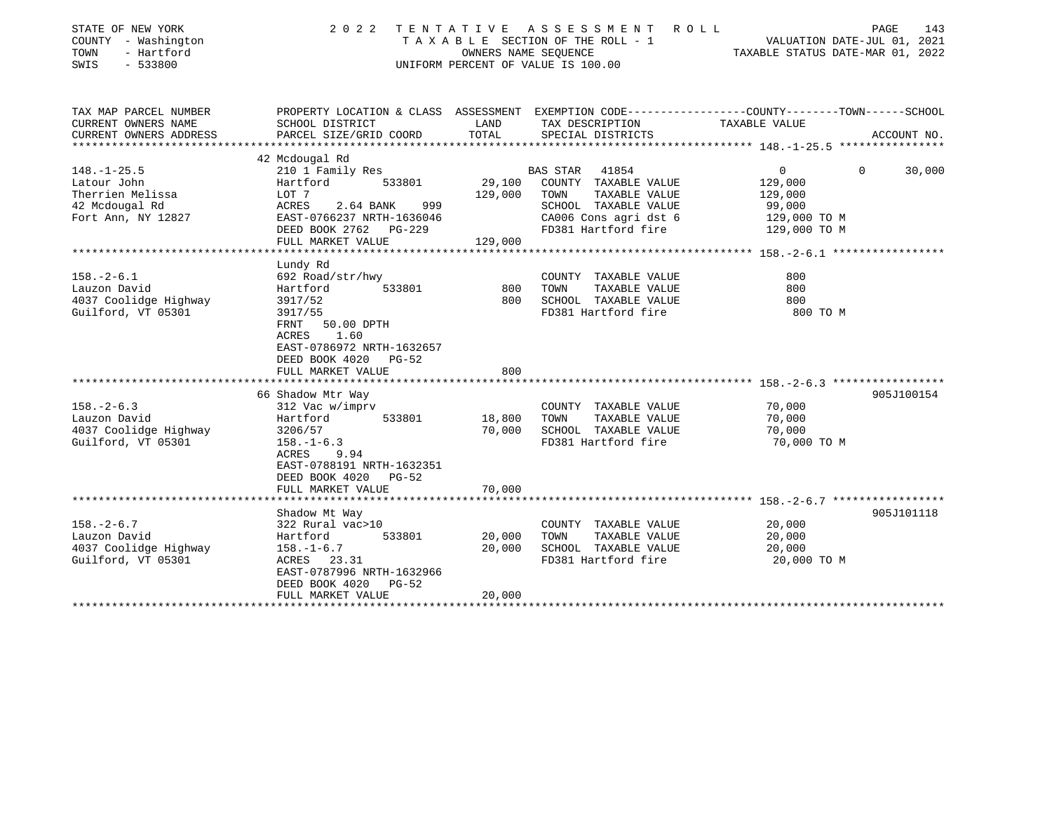| STATE OF NEW YORK<br>COUNTY - Washington<br>- Hartford<br>TOWN<br>$-533800$<br>SWIS | 2 0 2 2                                                                                                                                                            | OWNERS NAME SEQUENCE<br>UNIFORM PERCENT OF VALUE IS 100.00 | TENTATIVE ASSESSMENT ROLL<br>T A X A B L E SECTION OF THE ROLL - 1                           |                                                                                                 | 143<br>PAGE<br>VALUATION DATE-JUL 01, 2021<br>TAXABLE STATUS DATE-MAR 01, 2022 |
|-------------------------------------------------------------------------------------|--------------------------------------------------------------------------------------------------------------------------------------------------------------------|------------------------------------------------------------|----------------------------------------------------------------------------------------------|-------------------------------------------------------------------------------------------------|--------------------------------------------------------------------------------|
| TAX MAP PARCEL NUMBER                                                               |                                                                                                                                                                    |                                                            |                                                                                              | PROPERTY LOCATION & CLASS ASSESSMENT EXEMPTION CODE---------------COUNTY-------TOWN------SCHOOL |                                                                                |
| CURRENT OWNERS NAME<br>CURRENT OWNERS ADDRESS<br>***********************            | SCHOOL DISTRICT<br>PARCEL SIZE/GRID COORD                                                                                                                          | LAND<br>TOTAL                                              | TAX DESCRIPTION<br>SPECIAL DISTRICTS                                                         | TAXABLE VALUE                                                                                   | ACCOUNT NO.                                                                    |
|                                                                                     | 42 Mcdougal Rd                                                                                                                                                     |                                                            |                                                                                              |                                                                                                 |                                                                                |
| $148. - 1 - 25.5$<br>Latour John                                                    | 210 1 Family Res<br>Hartford<br>533801                                                                                                                             | 29,100                                                     | <b>BAS STAR</b><br>41854<br>COUNTY TAXABLE VALUE                                             | $\overline{0}$<br>129,000                                                                       | 30,000<br>$\Omega$                                                             |
| Therrien Melissa<br>42 Mcdougal Rd                                                  | LOT 7<br>ACRES<br>2.64 BANK                                                                                                                                        | 129,000<br>999                                             | TAXABLE VALUE<br>TOWN<br>SCHOOL TAXABLE VALUE                                                | 129,000<br>99,000                                                                               |                                                                                |
| Fort Ann, NY 12827                                                                  | EAST-0766237 NRTH-1636046<br>DEED BOOK 2762 PG-229                                                                                                                 |                                                            | CA006 Cons agri dst 6<br>FD381 Hartford fire                                                 | 129,000 TO M<br>129,000 TO M                                                                    |                                                                                |
|                                                                                     | FULL MARKET VALUE<br>*************************                                                                                                                     | 129,000                                                    |                                                                                              |                                                                                                 |                                                                                |
| $158. - 2 - 6.1$                                                                    | Lundy Rd<br>692 Road/str/hwy                                                                                                                                       |                                                            | COUNTY TAXABLE VALUE                                                                         | 800                                                                                             |                                                                                |
| Lauzon David<br>4037 Coolidge Highway                                               | Hartford<br>533801<br>3917/52                                                                                                                                      | 800<br>800                                                 | TAXABLE VALUE<br>TOWN<br>SCHOOL TAXABLE VALUE                                                | 800<br>800                                                                                      |                                                                                |
| Guilford, VT 05301                                                                  | 3917/55<br>FRNT<br>50.00 DPTH<br>ACRES<br>1.60<br>EAST-0786972 NRTH-1632657<br>DEED BOOK 4020<br><b>PG-52</b><br>FULL MARKET VALUE                                 | 800                                                        | FD381 Hartford fire                                                                          | 800 TO M                                                                                        |                                                                                |
|                                                                                     |                                                                                                                                                                    |                                                            |                                                                                              |                                                                                                 |                                                                                |
| $158. - 2 - 6.3$<br>Lauzon David<br>4037 Coolidge Highway<br>Guilford, VT 05301     | 66 Shadow Mtr Way<br>312 Vac w/imprv<br>533801<br>Hartford<br>3206/57<br>$158. - 1 - 6.3$<br>ACRES<br>9.94<br>EAST-0788191 NRTH-1632351<br>DEED BOOK 4020<br>PG-52 | 18,800<br>70,000                                           | COUNTY TAXABLE VALUE<br>TOWN<br>TAXABLE VALUE<br>SCHOOL TAXABLE VALUE<br>FD381 Hartford fire | 70,000<br>70,000<br>70,000<br>70,000 TO M                                                       | 905J100154                                                                     |
|                                                                                     | FULL MARKET VALUE                                                                                                                                                  | 70,000                                                     |                                                                                              |                                                                                                 |                                                                                |
|                                                                                     |                                                                                                                                                                    |                                                            |                                                                                              |                                                                                                 |                                                                                |
| $158. - 2 - 6.7$<br>Lauzon David<br>4037 Coolidge Highway<br>Guilford, VT 05301     | Shadow Mt Way<br>322 Rural vac>10<br>533801<br>Hartford<br>$158. - 1 - 6.7$<br>ACRES 23.31<br>EAST-0787996 NRTH-1632966<br>DEED BOOK 4020<br>$PG-52$               | 20,000<br>20,000                                           | COUNTY TAXABLE VALUE<br>TOWN<br>TAXABLE VALUE<br>SCHOOL TAXABLE VALUE<br>FD381 Hartford fire | 20,000<br>20,000<br>20,000<br>20,000 TO M                                                       | 905J101118                                                                     |
|                                                                                     | FULL MARKET VALUE                                                                                                                                                  | 20,000                                                     |                                                                                              |                                                                                                 |                                                                                |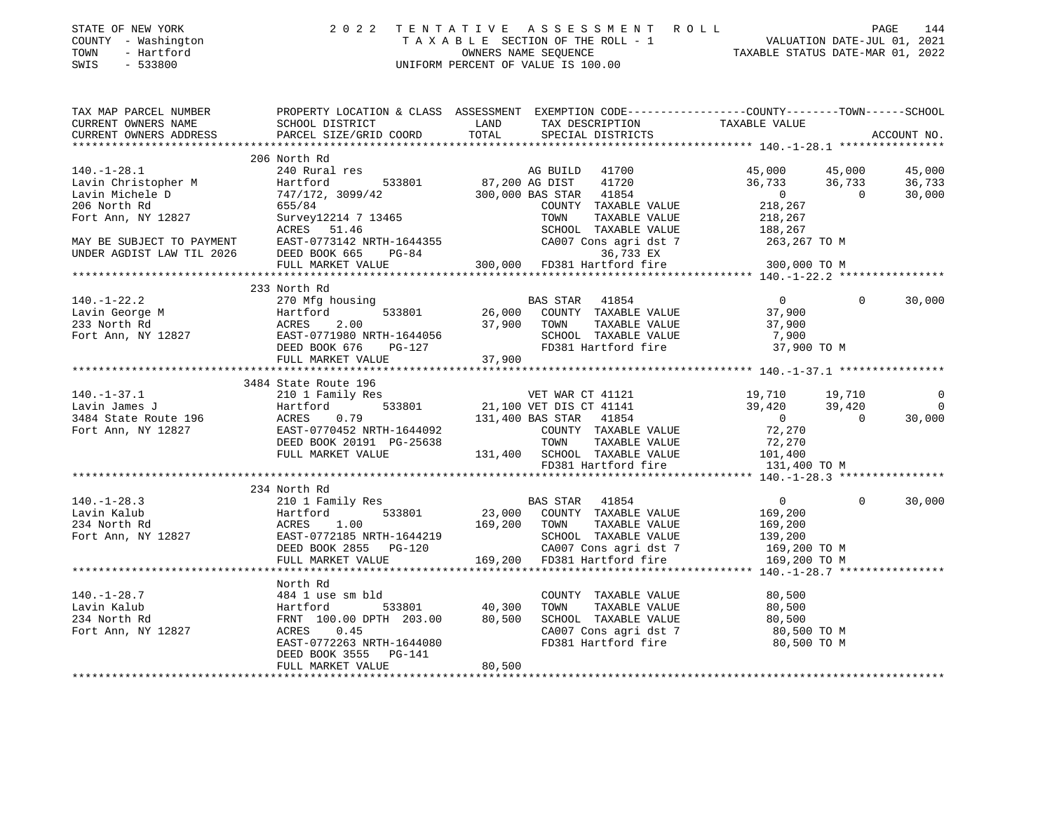| STATE OF NEW YORK |                |            |
|-------------------|----------------|------------|
| COUNTY            | $\sim$ 10 $\,$ | Washington |
| TOWN              |                | - Hartford |

## STATE OF NEW YORK 2 0 2 2 T E N T A T I V E A S S E S S M E N T R O L L PAGE 144 COUNTY - Washington T A X A B L E SECTION OF THE ROLL - 1 VALUATION DATE-JUL 01, 2021 TOWN - Hartford OWNERS NAME SEQUENCE TAXABLE STATUS DATE-MAR 01, 2022 SWIS - 533800 UNIFORM PERCENT OF VALUE IS 100.00

| TAX MAP PARCEL NUMBER<br>CURRENT OWNERS NAME<br>CURRENT OWNERS ADDRESS                                                                                                                                                                                                                                                                                                                        | PROPERTY LOCATION & CLASS ASSESSMENT EXEMPTION CODE----------------COUNTY-------TOWN------SCHOOL |                                                                                                                                                                           |          | ACCOUNT NO.    |
|-----------------------------------------------------------------------------------------------------------------------------------------------------------------------------------------------------------------------------------------------------------------------------------------------------------------------------------------------------------------------------------------------|--------------------------------------------------------------------------------------------------|---------------------------------------------------------------------------------------------------------------------------------------------------------------------------|----------|----------------|
|                                                                                                                                                                                                                                                                                                                                                                                               | 206 North Rd                                                                                     |                                                                                                                                                                           |          |                |
|                                                                                                                                                                                                                                                                                                                                                                                               |                                                                                                  |                                                                                                                                                                           |          |                |
|                                                                                                                                                                                                                                                                                                                                                                                               |                                                                                                  |                                                                                                                                                                           |          |                |
|                                                                                                                                                                                                                                                                                                                                                                                               |                                                                                                  |                                                                                                                                                                           |          |                |
|                                                                                                                                                                                                                                                                                                                                                                                               |                                                                                                  |                                                                                                                                                                           |          |                |
|                                                                                                                                                                                                                                                                                                                                                                                               |                                                                                                  |                                                                                                                                                                           |          |                |
|                                                                                                                                                                                                                                                                                                                                                                                               |                                                                                                  |                                                                                                                                                                           |          |                |
|                                                                                                                                                                                                                                                                                                                                                                                               |                                                                                                  |                                                                                                                                                                           |          |                |
|                                                                                                                                                                                                                                                                                                                                                                                               |                                                                                                  |                                                                                                                                                                           |          |                |
|                                                                                                                                                                                                                                                                                                                                                                                               |                                                                                                  |                                                                                                                                                                           |          |                |
|                                                                                                                                                                                                                                                                                                                                                                                               | 233 North Rd                                                                                     |                                                                                                                                                                           |          |                |
| $\begin{array}{cccccccc} 140.-1-22.2 & 233&\text{NOT} & \text{RA} & \text{BAS STAR} & 41854 & 0 & 0 & 30,000\\ \text{Lavin George M} & 270&\text{Mg housing} & 533801 & 26,000&\text{COUNTY} & \text{TAXABLE VALUE} & 37,900\\ 233&\text{North Rd} & \text{ACRES} & 2.00 & 30.000& \text{TCUNITY} & \text{TAXABLE VALUE} & 37,900\\ \text{Fort Ann, NY 12827} & \text{EAST-0771980 NRTH-1644$ |                                                                                                  |                                                                                                                                                                           |          |                |
|                                                                                                                                                                                                                                                                                                                                                                                               |                                                                                                  |                                                                                                                                                                           |          |                |
|                                                                                                                                                                                                                                                                                                                                                                                               |                                                                                                  |                                                                                                                                                                           |          |                |
|                                                                                                                                                                                                                                                                                                                                                                                               |                                                                                                  |                                                                                                                                                                           |          |                |
|                                                                                                                                                                                                                                                                                                                                                                                               |                                                                                                  |                                                                                                                                                                           |          |                |
|                                                                                                                                                                                                                                                                                                                                                                                               |                                                                                                  |                                                                                                                                                                           |          |                |
|                                                                                                                                                                                                                                                                                                                                                                                               |                                                                                                  |                                                                                                                                                                           |          |                |
|                                                                                                                                                                                                                                                                                                                                                                                               | 3484 State Route 196                                                                             |                                                                                                                                                                           |          |                |
|                                                                                                                                                                                                                                                                                                                                                                                               |                                                                                                  |                                                                                                                                                                           |          | $\circ$        |
|                                                                                                                                                                                                                                                                                                                                                                                               |                                                                                                  |                                                                                                                                                                           |          | $\overline{0}$ |
|                                                                                                                                                                                                                                                                                                                                                                                               |                                                                                                  |                                                                                                                                                                           |          | 30,000         |
|                                                                                                                                                                                                                                                                                                                                                                                               |                                                                                                  |                                                                                                                                                                           |          |                |
|                                                                                                                                                                                                                                                                                                                                                                                               |                                                                                                  |                                                                                                                                                                           |          |                |
|                                                                                                                                                                                                                                                                                                                                                                                               |                                                                                                  |                                                                                                                                                                           |          |                |
| 3484 State Route 196<br>Lavin James J<br>21 1 Family Res<br>21,100 VET DIS CT 41121<br>39,420<br>39,420<br>39,420<br>39,420<br>72,270<br>FOTt Ann, NY 12827<br>EAST-0770452 NRTH-1644092<br>EAST-0770452 NRTH-1644092<br>DEED BOOK 20191 PG-25638<br>FO                                                                                                                                       |                                                                                                  |                                                                                                                                                                           |          |                |
|                                                                                                                                                                                                                                                                                                                                                                                               |                                                                                                  |                                                                                                                                                                           |          |                |
|                                                                                                                                                                                                                                                                                                                                                                                               | 234 North Rd                                                                                     |                                                                                                                                                                           |          |                |
|                                                                                                                                                                                                                                                                                                                                                                                               |                                                                                                  |                                                                                                                                                                           | $\Omega$ | 30,000         |
|                                                                                                                                                                                                                                                                                                                                                                                               |                                                                                                  |                                                                                                                                                                           |          |                |
|                                                                                                                                                                                                                                                                                                                                                                                               |                                                                                                  |                                                                                                                                                                           |          |                |
|                                                                                                                                                                                                                                                                                                                                                                                               |                                                                                                  |                                                                                                                                                                           |          |                |
|                                                                                                                                                                                                                                                                                                                                                                                               |                                                                                                  |                                                                                                                                                                           |          |                |
| 140.-1-28.3<br>Lavin Kalub 210 169,200 Hartford 533801 23,000 COUNTY TAXABLE VALUE 169,200<br>234 North Rd ACRES 1.00 169,200 TOWN TAXABLE VALUE 169,200<br>Fort Ann, NY 12827 EAST-0772185 NRTH-1644219 28,000 COUNTY TAXABLE VALU                                                                                                                                                           |                                                                                                  |                                                                                                                                                                           |          |                |
|                                                                                                                                                                                                                                                                                                                                                                                               |                                                                                                  |                                                                                                                                                                           |          |                |
|                                                                                                                                                                                                                                                                                                                                                                                               | North Rd                                                                                         |                                                                                                                                                                           |          |                |
|                                                                                                                                                                                                                                                                                                                                                                                               |                                                                                                  |                                                                                                                                                                           |          |                |
|                                                                                                                                                                                                                                                                                                                                                                                               |                                                                                                  |                                                                                                                                                                           |          |                |
|                                                                                                                                                                                                                                                                                                                                                                                               |                                                                                                  |                                                                                                                                                                           |          |                |
|                                                                                                                                                                                                                                                                                                                                                                                               |                                                                                                  |                                                                                                                                                                           |          |                |
|                                                                                                                                                                                                                                                                                                                                                                                               |                                                                                                  | COUNTY TAXABLE VALUE $80,500$<br>TOWN TAXABLE VALUE $80,500$<br>SCHOOL TAXABLE VALUE $80,500$<br>CA007 Cons agri dst 7 $80,500$ TO M<br>FD381 Hartford fire $80,500$ TO M |          |                |
|                                                                                                                                                                                                                                                                                                                                                                                               |                                                                                                  |                                                                                                                                                                           |          |                |
|                                                                                                                                                                                                                                                                                                                                                                                               |                                                                                                  |                                                                                                                                                                           |          |                |
|                                                                                                                                                                                                                                                                                                                                                                                               |                                                                                                  |                                                                                                                                                                           |          |                |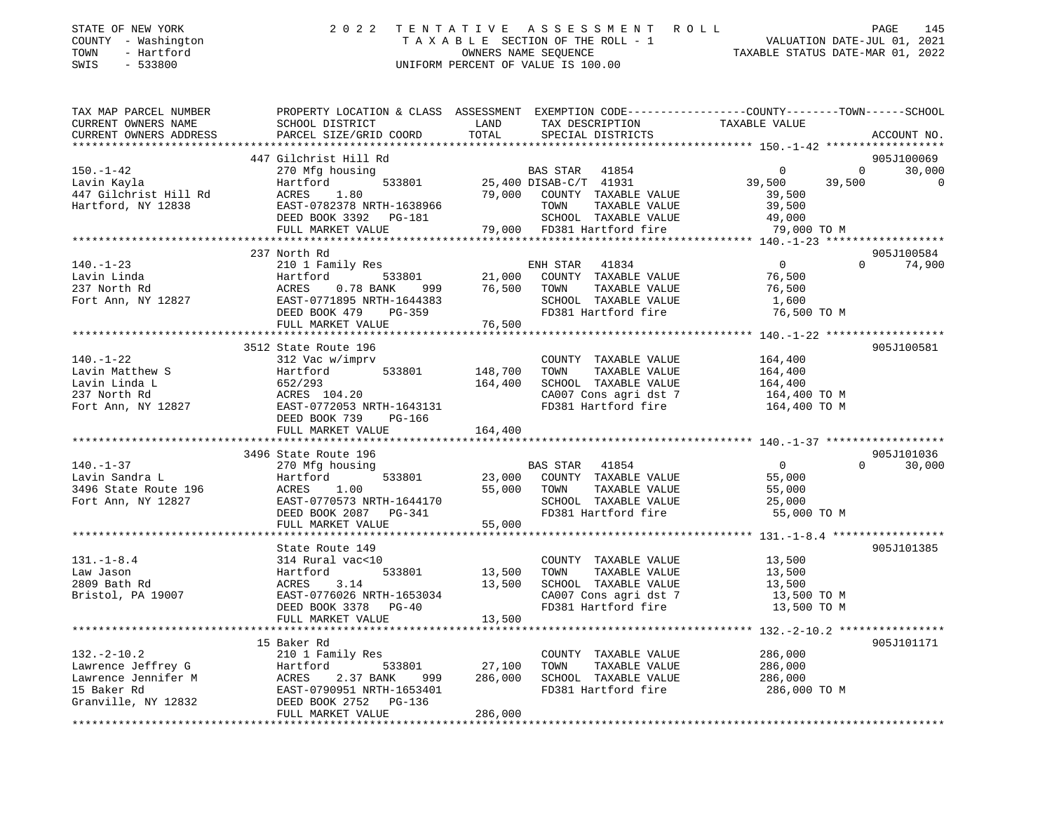| STATE OF NEW YORK<br>COUNTY - Washington<br>- Hartford<br>TOWN<br>SWIS<br>$-533800$ | 2 0 2 2                                   | TENTATIVE        | ASSESSMENT<br>TAXABLE SECTION OF THE ROLL - 1<br>OWNERS NAME SEQUENCE<br>UNIFORM PERCENT OF VALUE IS 100.00 | R O L L<br>VALUATION DATE-JUL 01, 2021<br>TAXABLE STATUS DATE-MAR 01, 2022                                       | PAGE<br>145    |
|-------------------------------------------------------------------------------------|-------------------------------------------|------------------|-------------------------------------------------------------------------------------------------------------|------------------------------------------------------------------------------------------------------------------|----------------|
| TAX MAP PARCEL NUMBER<br>CURRENT OWNERS NAME<br>CURRENT OWNERS ADDRESS              | SCHOOL DISTRICT<br>PARCEL SIZE/GRID COORD | LAND<br>TOTAL    | TAX DESCRIPTION<br>SPECIAL DISTRICTS                                                                        | PROPERTY LOCATION & CLASS ASSESSMENT EXEMPTION CODE---------------COUNTY-------TOWN------SCHOOL<br>TAXABLE VALUE | ACCOUNT NO.    |
|                                                                                     |                                           |                  |                                                                                                             |                                                                                                                  |                |
|                                                                                     | 447 Gilchrist Hill Rd                     |                  |                                                                                                             |                                                                                                                  | 905J100069     |
| $150. - 1 - 42$                                                                     | 270 Mfg housing                           |                  | BAS STAR<br>41854                                                                                           | 0<br>$\mathbf{0}$                                                                                                | 30,000         |
| Lavin Kayla                                                                         | Hartford<br>533801                        |                  | 25,400 DISAB-C/T 41931                                                                                      | 39,500<br>39,500                                                                                                 | $\overline{0}$ |
| 447 Gilchrist Hill Rd                                                               | 1.80<br>ACRES                             | 79,000           | COUNTY TAXABLE VALUE                                                                                        | 39,500                                                                                                           |                |
| Hartford, NY 12838                                                                  | EAST-0782378 NRTH-1638966                 |                  | TAXABLE VALUE<br>TOWN                                                                                       | 39,500                                                                                                           |                |
|                                                                                     | DEED BOOK 3392 PG-181                     |                  | SCHOOL TAXABLE VALUE                                                                                        | 49,000                                                                                                           |                |
|                                                                                     | FULL MARKET VALUE                         | 79,000           | FD381 Hartford fire                                                                                         | 79,000 TO M                                                                                                      |                |
|                                                                                     | 237 North Rd                              |                  |                                                                                                             |                                                                                                                  | 905J100584     |
| $140. - 1 - 23$                                                                     | 210 1 Family Res                          |                  | ENH STAR<br>41834                                                                                           | $\overline{0}$<br>$\Omega$                                                                                       | 74,900         |
| Lavin Linda                                                                         | Hartford<br>533801                        | 21,000           | COUNTY TAXABLE VALUE                                                                                        | 76,500                                                                                                           |                |
| 237 North Rd                                                                        | 0.78 BANK<br>ACRES<br>999                 | 76,500           | TAXABLE VALUE<br>TOWN                                                                                       | 76,500                                                                                                           |                |
| Fort Ann, NY 12827                                                                  | EAST-0771895 NRTH-1644383                 |                  | SCHOOL TAXABLE VALUE                                                                                        | 1,600                                                                                                            |                |
|                                                                                     | DEED BOOK 479<br>PG-359                   |                  | FD381 Hartford fire                                                                                         | 76,500 TO M                                                                                                      |                |
|                                                                                     | FULL MARKET VALUE                         | 76,500           |                                                                                                             |                                                                                                                  |                |
|                                                                                     | ***********************                   | **********       |                                                                                                             | ************ 140.-1-22 *******************                                                                       |                |
|                                                                                     | 3512 State Route 196                      |                  |                                                                                                             |                                                                                                                  | 905J100581     |
| $140. - 1 - 22$                                                                     | 312 Vac w/imprv                           |                  | COUNTY TAXABLE VALUE                                                                                        | 164,400                                                                                                          |                |
| Lavin Matthew S                                                                     | Hartford<br>533801                        | 148,700          | TOWN<br>TAXABLE VALUE                                                                                       | 164,400                                                                                                          |                |
| Lavin Linda L                                                                       | 652/293                                   | 164,400          | SCHOOL TAXABLE VALUE                                                                                        | 164,400                                                                                                          |                |
| 237 North Rd                                                                        | ACRES 104.20                              |                  | CA007 Cons agri dst 7                                                                                       | 164,400 TO M                                                                                                     |                |
| Fort Ann, NY 12827                                                                  | EAST-0772053 NRTH-1643131                 |                  | FD381 Hartford fire                                                                                         | 164,400 TO M                                                                                                     |                |
|                                                                                     | PG-166<br>DEED BOOK 739                   |                  |                                                                                                             |                                                                                                                  |                |
|                                                                                     | FULL MARKET VALUE                         | 164,400          |                                                                                                             |                                                                                                                  |                |
|                                                                                     |                                           |                  |                                                                                                             |                                                                                                                  |                |
|                                                                                     | 3496 State Route 196                      |                  |                                                                                                             |                                                                                                                  | 905J101036     |
| $140. - 1 - 37$                                                                     | 270 Mfg housing                           |                  | 41854<br>BAS STAR                                                                                           | $\overline{0}$<br>$\Omega$                                                                                       | 30,000         |
| Lavin Sandra L                                                                      | 533801<br>Hartford<br>1.00                | 23,000<br>55,000 | COUNTY TAXABLE VALUE<br>TAXABLE VALUE                                                                       | 55,000                                                                                                           |                |
| 3496 State Route 196                                                                | ACRES<br>EAST-0770573 NRTH-1644170        |                  | TOWN<br>SCHOOL TAXABLE VALUE                                                                                | 55,000                                                                                                           |                |
| Fort Ann, NY 12827                                                                  | DEED BOOK 2087 PG-341                     |                  | FD381 Hartford fire                                                                                         | 25,000<br>55,000 TO M                                                                                            |                |
|                                                                                     | FULL MARKET VALUE                         | 55,000           |                                                                                                             |                                                                                                                  |                |
|                                                                                     |                                           |                  |                                                                                                             |                                                                                                                  |                |
|                                                                                     | State Route 149                           |                  |                                                                                                             |                                                                                                                  | 905J101385     |
| $131. - 1 - 8.4$                                                                    | 314 Rural vac<10                          |                  | COUNTY TAXABLE VALUE                                                                                        | 13,500                                                                                                           |                |
| Law Jason                                                                           | Hartford<br>533801                        | 13,500           | TAXABLE VALUE<br>TOWN                                                                                       | 13,500                                                                                                           |                |
| 2809 Bath Rd                                                                        | ACRES<br>3.14                             | 13,500           | SCHOOL TAXABLE VALUE                                                                                        | 13,500                                                                                                           |                |
| Bristol, PA 19007                                                                   | EAST-0776026 NRTH-1653034                 |                  | CA007 Cons agri dst 7                                                                                       | 13,500 TO M                                                                                                      |                |
|                                                                                     | DEED BOOK 3378 PG-40                      |                  | FD381 Hartford fire                                                                                         | 13,500 TO M                                                                                                      |                |
|                                                                                     | FULL MARKET VALUE                         | 13,500           |                                                                                                             |                                                                                                                  |                |
| *********************************                                                   |                                           |                  |                                                                                                             |                                                                                                                  |                |
|                                                                                     | 15 Baker Rd                               |                  |                                                                                                             |                                                                                                                  | 905J101171     |
| $132 - 2 - 10.2$                                                                    | 210 1 Family Res                          |                  | COUNTY TAXABLE VALUE                                                                                        | 286,000                                                                                                          |                |
| Lawrence Jeffrey G                                                                  | Hartford<br>533801                        | 27,100           | TOWN<br>TAXABLE VALUE                                                                                       | 286,000                                                                                                          |                |
| Lawrence Jennifer M                                                                 | ACRES<br>2.37 BANK<br>999                 | 286,000          | SCHOOL TAXABLE VALUE                                                                                        | 286,000                                                                                                          |                |
| 15 Baker Rd                                                                         | EAST-0790951 NRTH-1653401                 |                  | FD381 Hartford fire                                                                                         | 286,000 TO M                                                                                                     |                |
| Granville, NY 12832                                                                 | DEED BOOK 2752 PG-136                     |                  |                                                                                                             |                                                                                                                  |                |
|                                                                                     | FULL MARKET VALUE                         | 286,000          |                                                                                                             |                                                                                                                  |                |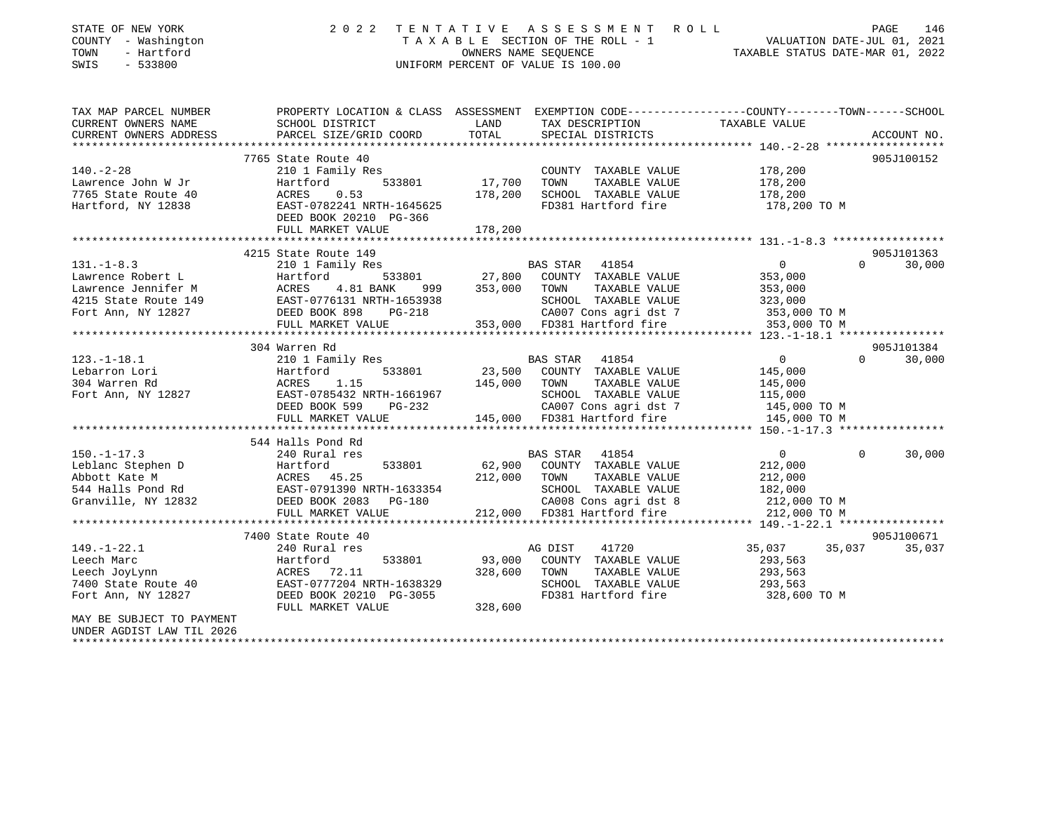| STATE OF NEW YORK<br>COUNTY - Washington<br>TOWN<br>- Hartford<br>SWIS<br>$-533800$ | 2 0 2 2                                                                                                           | TENTATIVE         | A S S E S S M E N T R O L L<br>T A X A B L E SECTION OF THE ROLL - 1<br>OWNERS NAME SEQUENCE TAXABLE STATUS DATE-MAR 01, 2022<br>UNIFORM PERCENT OF VALUE IS 100.00 |                         | PAGE<br>146                 |
|-------------------------------------------------------------------------------------|-------------------------------------------------------------------------------------------------------------------|-------------------|---------------------------------------------------------------------------------------------------------------------------------------------------------------------|-------------------------|-----------------------------|
| TAX MAP PARCEL NUMBER<br>CURRENT OWNERS NAME                                        | PROPERTY LOCATION & CLASS ASSESSMENT EXEMPTION CODE---------------COUNTY-------TOWN-----SCHOOL<br>SCHOOL DISTRICT | LAND              | TAX DESCRIPTION                                                                                                                                                     | TAXABLE VALUE           |                             |
| CURRENT OWNERS ADDRESS                                                              | PARCEL SIZE/GRID COORD                                                                                            | TOTAL             | SPECIAL DISTRICTS                                                                                                                                                   |                         | ACCOUNT NO.                 |
|                                                                                     |                                                                                                                   |                   |                                                                                                                                                                     |                         |                             |
|                                                                                     | 7765 State Route 40                                                                                               |                   |                                                                                                                                                                     |                         | 905J100152                  |
| $140. - 2 - 28$                                                                     | 210 1 Family Res                                                                                                  |                   | COUNTY TAXABLE VALUE                                                                                                                                                | 178,200                 |                             |
| Lawrence John W Jr<br>7765 State Route 40                                           | Hartford<br>533801<br>ACRES<br>0.53                                                                               | 17,700<br>178,200 | TOWN<br>TAXABLE VALUE<br>SCHOOL TAXABLE VALUE                                                                                                                       | 178,200<br>178,200      |                             |
| Hartford, NY 12838                                                                  | EAST-0782241 NRTH-1645625                                                                                         |                   | FD381 Hartford fire                                                                                                                                                 | 178,200 TO M            |                             |
|                                                                                     | DEED BOOK 20210 PG-366                                                                                            |                   |                                                                                                                                                                     |                         |                             |
|                                                                                     | FULL MARKET VALUE                                                                                                 | 178,200           |                                                                                                                                                                     |                         |                             |
|                                                                                     |                                                                                                                   |                   |                                                                                                                                                                     |                         |                             |
|                                                                                     | 4215 State Route 149                                                                                              |                   |                                                                                                                                                                     |                         | 905J101363                  |
| $131. - 1 - 8.3$                                                                    | 210 1 Family Res                                                                                                  |                   | BAS STAR 41854                                                                                                                                                      | $\overline{0}$          | $\Omega$<br>30,000          |
| Lawrence Robert L                                                                   |                                                                                                                   | 27,800            | COUNTY TAXABLE VALUE                                                                                                                                                | 353,000                 |                             |
| Lawrence Jennifer M                                                                 | 999                                                                                                               | 353,000           | TOWN<br>TAXABLE VALUE                                                                                                                                               | 353,000                 |                             |
| 4215 State Route 149<br>Fort Ann, NY 12827                                          |                                                                                                                   |                   | SCHOOL TAXABLE VALUE<br>CA007 Cons agri dst 7                                                                                                                       | 323,000<br>353,000 TO M |                             |
|                                                                                     |                                                                                                                   |                   | 353,000 FD381 Hartford fire                                                                                                                                         | 353,000 TO M            |                             |
|                                                                                     | Hartion.<br>ACRES 4.81 BANK<br>EAST-0776131 NRTH-1653938<br>DEED BOOK 898 PG-218<br>TILE MARKET VALUE             |                   |                                                                                                                                                                     |                         |                             |
|                                                                                     | 304 Warren Rd                                                                                                     |                   |                                                                                                                                                                     |                         | 905J101384                  |
| $123. - 1 - 18.1$                                                                   | 210 1 Family Res                                                                                                  |                   | BAS STAR 41854                                                                                                                                                      | $\overline{0}$          | $0 \qquad \qquad$<br>30,000 |
| Lebarron Lori                                                                       | 533801<br>Hartford                                                                                                | 23,500            | COUNTY TAXABLE VALUE                                                                                                                                                | 145,000                 |                             |
| 304 Warren Rd                                                                       | ACRES<br>1.15                                                                                                     | 145,000           | TAXABLE VALUE<br>TOWN                                                                                                                                               | 145,000                 |                             |
| Fort Ann, NY 12827                                                                  | -------<br>EAST-0785432 NRTH-1661967<br>DEED BOOK 599 PG-232                                                      |                   | SCHOOL TAXABLE VALUE                                                                                                                                                | 115,000                 |                             |
|                                                                                     |                                                                                                                   |                   | CA007 Cons agri dst 7                                                                                                                                               | 145,000 TO M            |                             |
|                                                                                     | FULL MARKET VALUE                                                                                                 |                   | 145,000 FD381 Hartford fire                                                                                                                                         | 145,000 TO M            |                             |
|                                                                                     |                                                                                                                   |                   |                                                                                                                                                                     |                         |                             |
|                                                                                     | 544 Halls Pond Rd                                                                                                 |                   |                                                                                                                                                                     |                         | $\Omega$                    |
| $150. - 1 - 17.3$                                                                   | 240 Rural res<br>533801                                                                                           | 62,900            | BAS STAR 41854<br>COUNTY TAXABLE VALUE                                                                                                                              | $\overline{0}$          | 30,000                      |
| Leblanc Stephen D<br>Abbott Kate M                                                  | Hartford<br>ACRES 45.25                                                                                           | 212,000           | TOWN<br>TAXABLE VALUE                                                                                                                                               | 212,000<br>212,000      |                             |
|                                                                                     | 544 Halls Pond Rd EAST-0791390 NRTH-1633354                                                                       |                   | SCHOOL TAXABLE VALUE                                                                                                                                                | 182,000                 |                             |
| Granville, NY 12832                                                                 | DEED BOOK 2083 PG-180                                                                                             |                   | CA008 Cons agri dst 8                                                                                                                                               | 212,000 TO M            |                             |
|                                                                                     | FULL MARKET VALUE                                                                                                 |                   | 212,000 FD381 Hartford fire                                                                                                                                         | 212,000 TO M            |                             |
|                                                                                     |                                                                                                                   |                   |                                                                                                                                                                     |                         |                             |
|                                                                                     | 7400 State Route 40                                                                                               |                   |                                                                                                                                                                     |                         | 905J100671                  |
| $149. - 1 - 22.1$                                                                   | 240 Rural res                                                                                                     |                   | 41720<br>AG DIST                                                                                                                                                    | 35,037                  | 35,037<br>35,037            |
| Leech Marc                                                                          | 533801<br>Hartford                                                                                                | 93,000            | COUNTY TAXABLE VALUE                                                                                                                                                | 293,563                 |                             |
| Leech JoyLynn                                                                       | ACRES 72.11                                                                                                       | 328,600           | TOWN<br>TAXABLE VALUE                                                                                                                                               | 293,563                 |                             |
| 7400 State Route 40                                                                 | EAST-0777204 NRTH-1638329                                                                                         |                   | SCHOOL TAXABLE VALUE                                                                                                                                                | 293,563                 |                             |
| Fort Ann, NY 12827                                                                  | DEED BOOK 20210 PG-3055<br>FULL MARKET VALUE                                                                      | 328,600           | FD381 Hartford fire                                                                                                                                                 | 328,600 TO M            |                             |
| MAY BE SUBJECT TO PAYMENT                                                           |                                                                                                                   |                   |                                                                                                                                                                     |                         |                             |
| 2006 זדים שוגז הסדרת/ג ססתותו                                                       |                                                                                                                   |                   |                                                                                                                                                                     |                         |                             |

UNDER AGDIST LAW TIL 2026 \*\*\*\*\*\*\*\*\*\*\*\*\*\*\*\*\*\*\*\*\*\*\*\*\*\*\*\*\*\*\*\*\*\*\*\*\*\*\*\*\*\*\*\*\*\*\*\*\*\*\*\*\*\*\*\*\*\*\*\*\*\*\*\*\*\*\*\*\*\*\*\*\*\*\*\*\*\*\*\*\*\*\*\*\*\*\*\*\*\*\*\*\*\*\*\*\*\*\*\*\*\*\*\*\*\*\*\*\*\*\*\*\*\*\*\*\*\*\*\*\*\*\*\*\*\*\*\*\*\*\*\*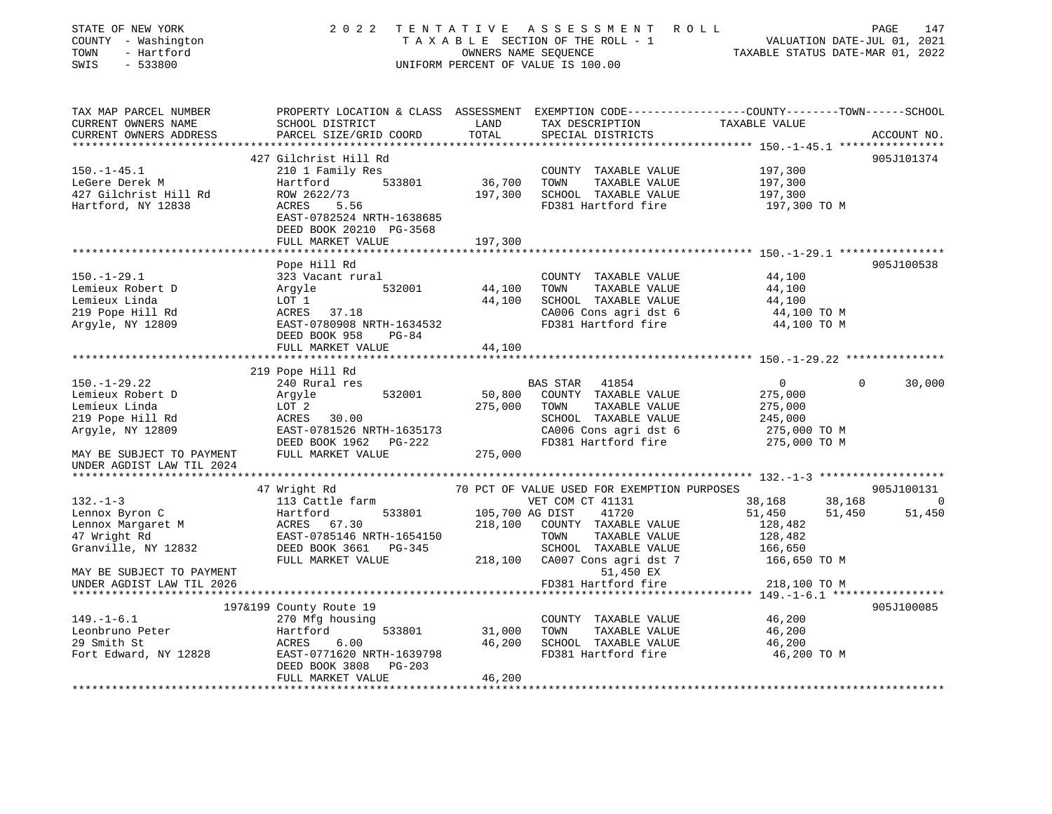| STATE OF NEW YORK<br>COUNTY - Washington<br>- Hartford<br>TOWN<br>SWIS<br>$-533800$ | 2 0 2 2                                                                    | TENTATIVE    | A S S E S S M E N T<br>TAXABLE SECTION OF THE ROLL - 1<br>OWNERS NAME SEQUENCE<br>UNIFORM PERCENT OF VALUE IS 100.00 | ROLL<br>VALUATION DATE-JUL 01, 2021<br>TAXABLE STATUS DATE-MAR 01, 2022                                         | PAGE<br>147    |
|-------------------------------------------------------------------------------------|----------------------------------------------------------------------------|--------------|----------------------------------------------------------------------------------------------------------------------|-----------------------------------------------------------------------------------------------------------------|----------------|
| TAX MAP PARCEL NUMBER<br>CURRENT OWNERS NAME                                        | SCHOOL DISTRICT                                                            | LAND         | TAX DESCRIPTION                                                                                                      | PROPERTY LOCATION & CLASS ASSESSMENT EXEMPTION CODE---------------COUNTY-------TOWN-----SCHOOL<br>TAXABLE VALUE |                |
| CURRENT OWNERS ADDRESS                                                              | PARCEL SIZE/GRID COORD                                                     | TOTAL        | SPECIAL DISTRICTS                                                                                                    |                                                                                                                 | ACCOUNT NO.    |
|                                                                                     | 427 Gilchrist Hill Rd                                                      |              |                                                                                                                      |                                                                                                                 | 905J101374     |
| $150. - 1 - 45.1$                                                                   | 210 1 Family Res                                                           |              | COUNTY TAXABLE VALUE                                                                                                 | 197,300                                                                                                         |                |
| LeGere Derek M                                                                      | 533801<br>Hartford                                                         | 36,700       | TOWN<br>TAXABLE VALUE                                                                                                | 197,300                                                                                                         |                |
| 427 Gilchrist Hill Rd                                                               | ROW 2622/73                                                                | 197,300      | SCHOOL TAXABLE VALUE                                                                                                 | 197,300                                                                                                         |                |
| Hartford, NY 12838                                                                  | ACRES 5.56<br>EAST-0782524 NRTH-1638685<br>DEED BOOK 20210 PG-3568         |              | FD381 Hartford fire                                                                                                  | 197,300 TO M                                                                                                    |                |
|                                                                                     | FULL MARKET VALUE                                                          | 197,300      |                                                                                                                      |                                                                                                                 |                |
|                                                                                     |                                                                            |              |                                                                                                                      |                                                                                                                 |                |
| $150. - 1 - 29.1$                                                                   | Pope Hill Rd<br>323 Vacant rural                                           |              | COUNTY TAXABLE VALUE                                                                                                 | 44,100                                                                                                          | 905J100538     |
| Lemieux Robert D                                                                    | Argyle<br>532001                                                           | 44,100       | TOWN<br>TAXABLE VALUE                                                                                                | 44,100                                                                                                          |                |
| Lemieux Linda                                                                       | LOT 1                                                                      | 44,100       | SCHOOL TAXABLE VALUE                                                                                                 | 44,100                                                                                                          |                |
| 219 Pope Hill Rd                                                                    | ACRES 37.18                                                                |              | CA006 Cons agri dst 6                                                                                                | 44,100 TO M                                                                                                     |                |
| Argyle, NY 12809                                                                    | EAST-0780908 NRTH-1634532                                                  |              | FD381 Hartford fire                                                                                                  | 44,100 TO M                                                                                                     |                |
|                                                                                     | DEED BOOK 958<br>PG-84                                                     |              |                                                                                                                      |                                                                                                                 |                |
|                                                                                     | FULL MARKET VALUE                                                          | 44,100       |                                                                                                                      |                                                                                                                 |                |
|                                                                                     | 219 Pope Hill Rd                                                           |              |                                                                                                                      |                                                                                                                 |                |
| $150. - 1 - 29.22$                                                                  | 240 Rural res                                                              |              | BAS STAR<br>41854                                                                                                    | $\Omega$<br>$\overline{0}$                                                                                      | 30,000         |
| Lemieux Robert D                                                                    | 532001<br>Argyle                                                           | 50,800       | COUNTY TAXABLE VALUE                                                                                                 | 275,000                                                                                                         |                |
| Lemieux Linda                                                                       | LOT 2                                                                      | 275,000      | TAXABLE VALUE<br>TOWN                                                                                                | 275,000                                                                                                         |                |
| 219 Pope Hill Rd                                                                    | ACRES<br>30.00                                                             |              | SCHOOL TAXABLE VALUE                                                                                                 | 245,000                                                                                                         |                |
| Argyle, NY 12809                                                                    | EAST-0781526 NRTH-1635173                                                  |              | CA006 Cons agri dst 6                                                                                                | 275,000 TO M                                                                                                    |                |
|                                                                                     | DEED BOOK 1962 PG-222                                                      |              | FD381 Hartford fire                                                                                                  | 275,000 TO M                                                                                                    |                |
| MAY BE SUBJECT TO PAYMENT<br>UNDER AGDIST LAW TIL 2024                              | FULL MARKET VALUE                                                          | 275,000      |                                                                                                                      |                                                                                                                 |                |
|                                                                                     |                                                                            |              |                                                                                                                      |                                                                                                                 |                |
|                                                                                     | 47 Wright Rd                                                               |              | 70 PCT OF VALUE USED FOR EXEMPTION PURPOSES                                                                          |                                                                                                                 | 905J100131     |
| $132. - 1 - 3$                                                                      | 113 Cattle farm                                                            |              | VET COM CT 41131                                                                                                     | 38,168<br>38,168                                                                                                | $\overline{0}$ |
| Lennox Byron C                                                                      | 533801<br>Hartford                                                         |              | 105,700 AG DIST<br>41720                                                                                             | 51,450<br>51,450                                                                                                | 51,450         |
| Lennox Margaret M                                                                   | ACRES 67.30                                                                | 218,100      | COUNTY TAXABLE VALUE                                                                                                 | 128,482                                                                                                         |                |
| 47 Wright Rd                                                                        | EAST-0785146 NRTH-1654150                                                  |              | TOWN<br>TAXABLE VALUE                                                                                                | 128,482                                                                                                         |                |
| Granville, NY 12832                                                                 | DEED BOOK 3661 PG-345<br>FULL MARKET VALUE                                 |              | SCHOOL TAXABLE VALUE<br>CA007 Cons agri dst 7                                                                        | 166,650                                                                                                         |                |
| MAY BE SUBJECT TO PAYMENT                                                           |                                                                            | 218,100      | 51,450 EX                                                                                                            | 166,650 TO M                                                                                                    |                |
| UNDER AGDIST LAW TIL 2026                                                           |                                                                            |              | FD381 Hartford fire                                                                                                  | 218,100 TO M                                                                                                    |                |
|                                                                                     |                                                                            |              |                                                                                                                      | ********* 149.-1-6.1 *****                                                                                      |                |
|                                                                                     | 197&199 County Route 19                                                    |              |                                                                                                                      |                                                                                                                 | 905J100085     |
| $149. - 1 - 6.1$                                                                    | 270 Mfg housing                                                            |              | COUNTY TAXABLE VALUE                                                                                                 | 46,200                                                                                                          |                |
| Leonbruno Peter                                                                     | Hartford<br>533801                                                         | 31,000       | TOWN<br>TAXABLE VALUE                                                                                                | 46,200                                                                                                          |                |
| 29 Smith St                                                                         | 6.00<br>ACRES                                                              | 46,200       | SCHOOL TAXABLE VALUE                                                                                                 | 46,200                                                                                                          |                |
| Fort Edward, NY 12828                                                               | EAST-0771620 NRTH-1639798<br>DEED BOOK 3808<br>PG-203<br>FULL MARKET VALUE | 46,200       | FD381 Hartford fire                                                                                                  | 46,200 TO M                                                                                                     |                |
| ****************************                                                        |                                                                            | ************ |                                                                                                                      |                                                                                                                 |                |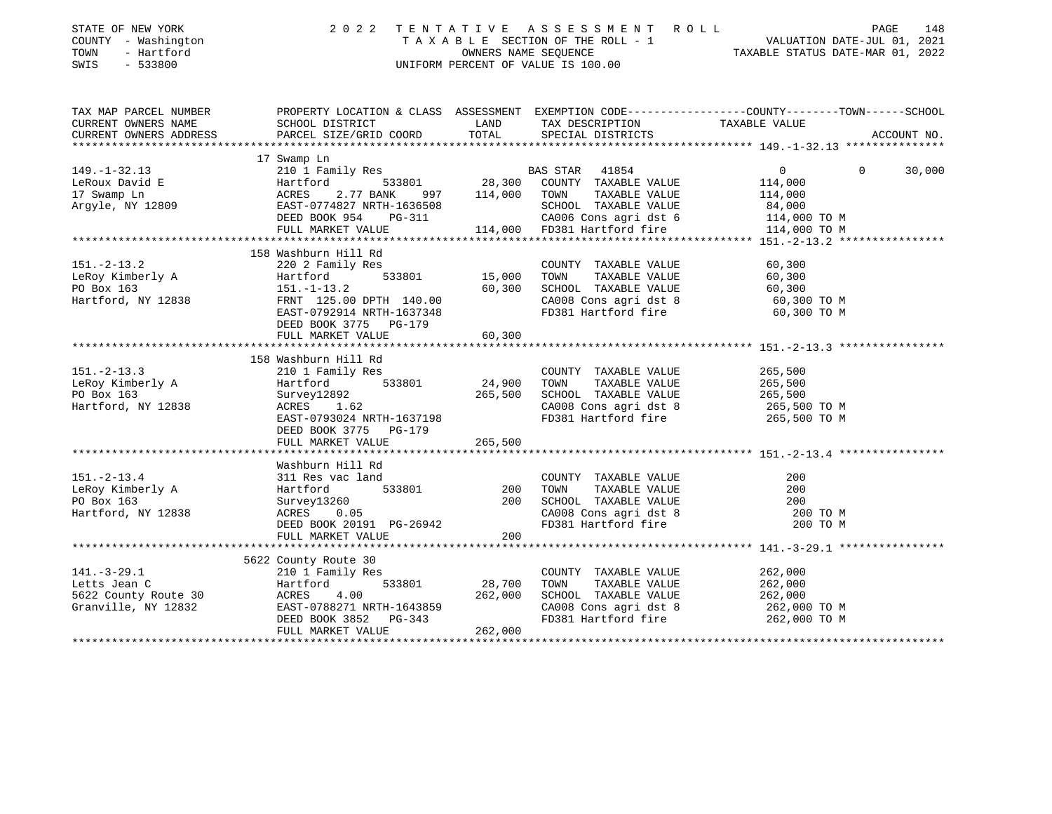| STATE OF NEW YORK<br>COUNTY - Washington<br>TOWN<br>- Hartford<br>SWIS<br>$-533800$ | 2 0 2 2                                                                 |               | TENTATIVE ASSESSMENT ROLL<br>UNIFORM PERCENT OF VALUE IS 100.00 | 148<br>PAGE<br>T A X A B L E SECTION OF THE ROLL - 1 VALUATION DATE-JUL 01, 2021<br>OWNERS NAME SEQUENCE TAXABLE STATUS DATE-MAR 01. 2022 |
|-------------------------------------------------------------------------------------|-------------------------------------------------------------------------|---------------|-----------------------------------------------------------------|-------------------------------------------------------------------------------------------------------------------------------------------|
| TAX MAP PARCEL NUMBER<br>CURRENT OWNERS NAME<br>CURRENT OWNERS ADDRESS              | SCHOOL DISTRICT<br>PARCEL SIZE/GRID COORD                               | LAND<br>TOTAL | TAX DESCRIPTION<br>SPECIAL DISTRICTS                            | PROPERTY LOCATION & CLASS ASSESSMENT EXEMPTION CODE----------------COUNTY-------TOWN------SCHOOL<br>TAXABLE VALUE<br>ACCOUNT NO.          |
|                                                                                     |                                                                         |               |                                                                 |                                                                                                                                           |
|                                                                                     | 17 Swamp Ln                                                             |               |                                                                 |                                                                                                                                           |
| $149. - 1 - 32.13$                                                                  | 210 1 Family Res                                                        |               | BAS STAR 41854                                                  | $\mathbf{0}$<br>$\Omega$<br>30,000                                                                                                        |
| LeRoux David E                                                                      | Hartford<br>533801                                                      |               | 28,300 COUNTY TAXABLE VALUE                                     | 114,000                                                                                                                                   |
| 17 Swamp Ln                                                                         | ACRES<br>2.77 BANK<br>997                                               | 114,000       | TAXABLE VALUE<br>TOWN                                           | 114,000                                                                                                                                   |
| Argyle, NY 12809                                                                    | EAST-0774827 NRTH-1636508<br>DEED BOOK 954<br>PG-311                    |               | SCHOOL TAXABLE VALUE<br>CA006 Cons agri dst 6                   | 84,000<br>114,000 TO M                                                                                                                    |
|                                                                                     | FULL MARKET VALUE                                                       |               | 114,000 FD381 Hartford fire                                     | 114,000 TO M                                                                                                                              |
|                                                                                     |                                                                         |               |                                                                 |                                                                                                                                           |
|                                                                                     | 158 Washburn Hill Rd                                                    |               |                                                                 |                                                                                                                                           |
| $151. - 2 - 13.2$                                                                   | 220 2 Family Res                                                        |               | COUNTY TAXABLE VALUE                                            | 60,300                                                                                                                                    |
| LeRoy Kimberly A                                                                    | 533801<br>Hartford                                                      | 15,000        | TOWN<br>TAXABLE VALUE                                           | 60,300                                                                                                                                    |
| PO Box 163                                                                          | $151. - 1 - 13.2$                                                       | 60,300        | SCHOOL TAXABLE VALUE                                            | 60,300                                                                                                                                    |
| Hartford, NY 12838                                                                  | FRNT 125.00 DPTH 140.00                                                 |               | CA008 Cons agri dst 8                                           | 60,300 TO M                                                                                                                               |
|                                                                                     | EAST-0792914 NRTH-1637348<br>DEED BOOK 3775 PG-179<br>FULL MARKET VALUE | 60,300        | FD381 Hartford fire                                             | 60,300 TO M                                                                                                                               |
|                                                                                     |                                                                         |               |                                                                 |                                                                                                                                           |
|                                                                                     | 158 Washburn Hill Rd                                                    |               |                                                                 |                                                                                                                                           |
| $151. - 2 - 13.3$                                                                   | 210 1 Family Res                                                        |               | COUNTY TAXABLE VALUE                                            | 265,500                                                                                                                                   |
| LeRoy Kimberly A                                                                    | 533801<br>Hartford                                                      | 24,900        | TOWN<br>TAXABLE VALUE                                           | 265,500                                                                                                                                   |
| PO Box 163                                                                          | Survey12892                                                             | 265,500       | SCHOOL TAXABLE VALUE                                            | 265,500                                                                                                                                   |
| Hartford, NY 12838                                                                  | ACRES 1.62                                                              |               | CA008 Cons agri dst 8                                           | 265,500 TO M                                                                                                                              |
|                                                                                     | EAST-0793024 NRTH-1637198                                               |               | FD381 Hartford fire                                             | 265,500 TO M                                                                                                                              |
|                                                                                     | DEED BOOK 3775 PG-179                                                   |               |                                                                 |                                                                                                                                           |
|                                                                                     | FULL MARKET VALUE                                                       | 265,500       |                                                                 |                                                                                                                                           |
|                                                                                     | Washburn Hill Rd                                                        |               |                                                                 |                                                                                                                                           |
| $151. - 2 - 13.4$                                                                   | 311 Res vac land                                                        |               | COUNTY TAXABLE VALUE                                            | 200                                                                                                                                       |
| LeRoy Kimberly A                                                                    | 533801<br>Hartford                                                      | 200           | TAXABLE VALUE<br>TOWN                                           | 200                                                                                                                                       |
| PO Box 163                                                                          | Survey13260                                                             | 200           | SCHOOL TAXABLE VALUE                                            | 200                                                                                                                                       |
| Hartford, NY 12838                                                                  | ACRES<br>0.05                                                           |               | CA008 Cons agri dst 8                                           | 200 TO M                                                                                                                                  |
|                                                                                     | DEED BOOK 20191 PG-26942                                                |               | FD381 Hartford fire                                             | 200 TO M                                                                                                                                  |
|                                                                                     | FULL MARKET VALUE                                                       | 200           |                                                                 |                                                                                                                                           |
|                                                                                     |                                                                         |               |                                                                 |                                                                                                                                           |
|                                                                                     | 5622 County Route 30                                                    |               |                                                                 |                                                                                                                                           |
| $141. - 3 - 29.1$                                                                   | 210 1 Family Res                                                        |               | COUNTY TAXABLE VALUE                                            | 262,000                                                                                                                                   |
| Letts Jean C                                                                        | Hartford<br>533801                                                      | 28,700        | TOWN<br>TAXABLE VALUE                                           | 262,000                                                                                                                                   |
| 5622 County Route 30                                                                | 4.00<br>ACRES                                                           | 262,000       | SCHOOL TAXABLE VALUE                                            | 262,000                                                                                                                                   |
| Granville, NY 12832                                                                 | EAST-0788271 NRTH-1643859                                               |               | CA008 Cons agri dst 8                                           | 262,000 TO M                                                                                                                              |
|                                                                                     | DEED BOOK 3852<br>PG-343                                                |               | FD381 Hartford fire                                             | 262,000 TO M                                                                                                                              |
|                                                                                     | FULL MARKET VALUE                                                       | 262,000       |                                                                 | * * * * * * * * * * * * * * * * * *                                                                                                       |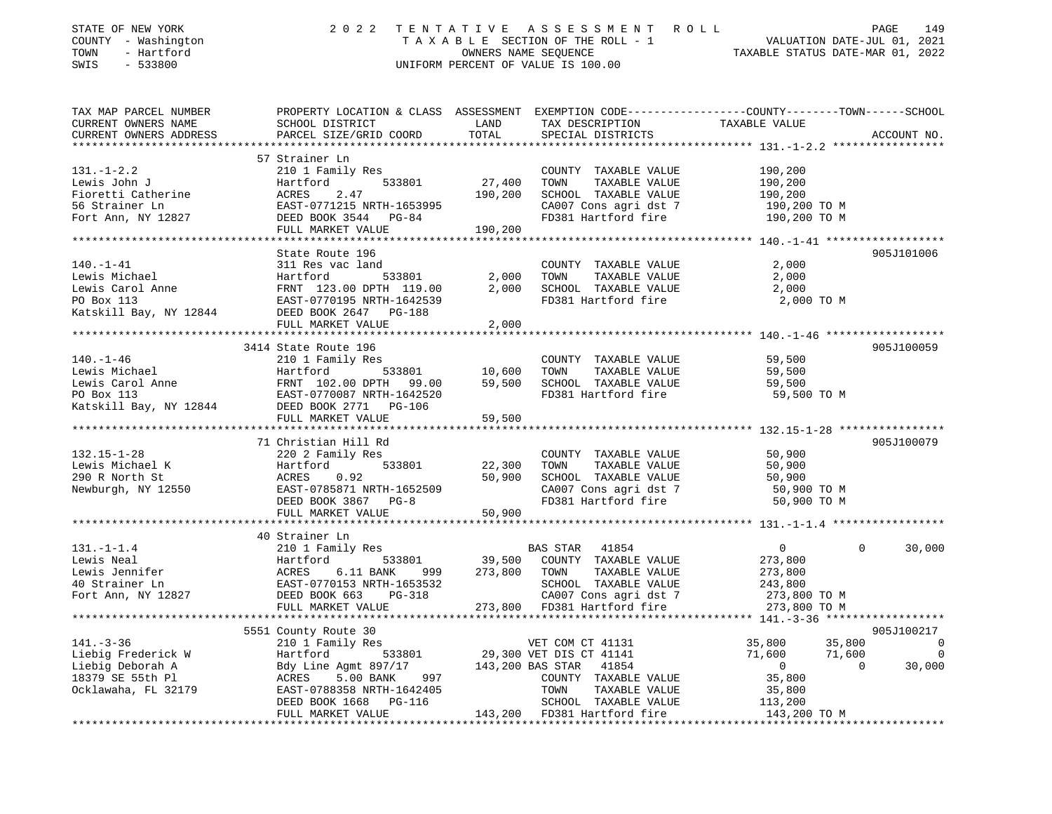| STATE OF NEW YORK<br>COUNTY - Washington<br>TOWN<br>- Hartford<br>SWIS<br>$-533800$ | 2 0 2 2                                                                                          | TENTATIVE             | A S S E S S M E N T<br>ROLL<br>TAXABLE SECTION OF THE ROLL - 1<br>OWNERS NAME SEQUENCE<br>UNIFORM PERCENT OF VALUE IS 100.00 | PAGE 149<br>VALUATION DATE-JUL 01, 2021<br>TAXABLE STATIIS DATE WALL 201 |             |
|-------------------------------------------------------------------------------------|--------------------------------------------------------------------------------------------------|-----------------------|------------------------------------------------------------------------------------------------------------------------------|--------------------------------------------------------------------------|-------------|
| TAX MAP PARCEL NUMBER                                                               | PROPERTY LOCATION & CLASS ASSESSMENT EXEMPTION CODE----------------COUNTY-------TOWN------SCHOOL |                       |                                                                                                                              |                                                                          |             |
| CURRENT OWNERS NAME                                                                 | SCHOOL DISTRICT                                                                                  | LAND                  | TAX DESCRIPTION                                                                                                              | TAXABLE VALUE                                                            |             |
| CURRENT OWNERS ADDRESS                                                              | PARCEL SIZE/GRID COORD                                                                           | TOTAL                 | SPECIAL DISTRICTS                                                                                                            |                                                                          | ACCOUNT NO. |
|                                                                                     |                                                                                                  |                       |                                                                                                                              |                                                                          |             |
| $131. - 1 - 2.2$                                                                    | 57 Strainer Ln                                                                                   |                       | COUNTY TAXABLE VALUE                                                                                                         |                                                                          |             |
| Lewis John J                                                                        | 210 1 Family Res<br>Hartford<br>533801                                                           | 27,400                | TAXABLE VALUE<br>TOWN                                                                                                        | 190,200<br>190,200                                                       |             |
| Fioretti Catherine                                                                  | 2.47<br>ACRES                                                                                    | 190,200               | SCHOOL TAXABLE VALUE                                                                                                         | 190,200                                                                  |             |
| 56 Strainer Ln                                                                      | EAST-0771215 NRTH-1653995                                                                        |                       | CA007 Cons agri dst 7                                                                                                        | 190,200 TO M                                                             |             |
| Fort Ann, NY 12827                                                                  | DEED BOOK 3544 PG-84                                                                             |                       | FD381 Hartford fire                                                                                                          | 190,200 TO M                                                             |             |
|                                                                                     | FULL MARKET VALUE                                                                                | 190,200               |                                                                                                                              |                                                                          |             |
|                                                                                     |                                                                                                  |                       |                                                                                                                              |                                                                          |             |
|                                                                                     | State Route 196                                                                                  |                       |                                                                                                                              |                                                                          | 905J101006  |
| $140. - 1 - 41$                                                                     | 311 Res vac land                                                                                 |                       | COUNTY TAXABLE VALUE                                                                                                         | 2,000                                                                    |             |
| Lewis Michael                                                                       | Hartford<br>533801                                                                               | 2,000                 | TOWN<br>TAXABLE VALUE                                                                                                        | 2,000                                                                    |             |
| Lewis Carol Anne                                                                    | FRNT 123.00 DPTH 119.00                                                                          | 2,000                 | SCHOOL TAXABLE VALUE                                                                                                         | 2,000                                                                    |             |
| PO Box 113<br>Katskill Bay, NY 12844                                                | EAST-0770195 NRTH-1642539<br>DEED BOOK 2647 PG-188                                               |                       | FD381 Hartford fire                                                                                                          | 2,000 TO M                                                               |             |
|                                                                                     | FULL MARKET VALUE                                                                                | 2,000                 |                                                                                                                              |                                                                          |             |
|                                                                                     | *****************************                                                                    | * * * * * * * * * * * |                                                                                                                              |                                                                          |             |
|                                                                                     | 3414 State Route 196                                                                             |                       |                                                                                                                              |                                                                          | 905J100059  |
| $140. - 1 - 46$                                                                     | 210 1 Family Res                                                                                 |                       | COUNTY TAXABLE VALUE                                                                                                         | 59,500                                                                   |             |
| Lewis Michael                                                                       | Hartford<br>533801                                                                               | 10,600                | TOWN<br>TAXABLE VALUE                                                                                                        | 59,500                                                                   |             |
| Lewis Carol Anne                                                                    | FRNT 102.00 DPTH 99.00                                                                           | 59,500                | SCHOOL TAXABLE VALUE                                                                                                         | 59,500                                                                   |             |
| PO Box 113                                                                          | EAST-0770087 NRTH-1642520                                                                        |                       | FD381 Hartford fire                                                                                                          | 59,500 TO M                                                              |             |
| Katskill Bay, NY 12844                                                              | DEED BOOK 2771 PG-106                                                                            |                       |                                                                                                                              |                                                                          |             |
|                                                                                     | FULL MARKET VALUE                                                                                | 59,500                |                                                                                                                              |                                                                          |             |
|                                                                                     | 71 Christian Hill Rd                                                                             |                       |                                                                                                                              |                                                                          | 905J100079  |
| $132.15 - 1 - 28$                                                                   | 220 2 Family Res                                                                                 |                       | COUNTY TAXABLE VALUE                                                                                                         | 50,900                                                                   |             |
| Lewis Michael K                                                                     | 533801<br>Hartford                                                                               | 22,300                | TAXABLE VALUE<br>TOWN                                                                                                        | 50,900                                                                   |             |
| 290 R North St                                                                      | ACRES<br>0.92                                                                                    | 50,900                | SCHOOL TAXABLE VALUE                                                                                                         | 50,900                                                                   |             |
| Newburgh, NY 12550                                                                  | EAST-0785871 NRTH-1652509                                                                        |                       | CA007 Cons agri dst 7                                                                                                        | 50,900 TO M                                                              |             |
|                                                                                     | DEED BOOK 3867 PG-8                                                                              |                       | FD381 Hartford fire                                                                                                          | 50,900 TO M                                                              |             |
|                                                                                     | FULL MARKET VALUE                                                                                | 50,900                |                                                                                                                              |                                                                          |             |
|                                                                                     |                                                                                                  |                       |                                                                                                                              |                                                                          |             |
|                                                                                     | 40 Strainer Ln                                                                                   |                       |                                                                                                                              |                                                                          |             |
| $131. - 1 - 1.4$<br>Lewis Neal                                                      | 210 1 Family Res<br>Hartford<br>533801                                                           | 39,500                | BAS STAR<br>41854<br>COUNTY TAXABLE VALUE                                                                                    | $\Omega$<br>$\overline{0}$<br>273,800                                    | 30,000      |
| Lewis Jennifer                                                                      | 6.11 BANK<br>ACRES<br>999                                                                        | 273,800               | TAXABLE VALUE<br>TOWN                                                                                                        | 273,800                                                                  |             |
| 40 Strainer Ln                                                                      | EAST-0770153 NRTH-1653532                                                                        |                       | SCHOOL TAXABLE VALUE                                                                                                         | 243,800                                                                  |             |
| Fort Ann, NY 12827                                                                  | DEED BOOK 663<br>PG-318                                                                          |                       | CA007 Cons agri dst 7                                                                                                        | 273,800 TO M                                                             |             |
|                                                                                     | FULL MARKET VALUE                                                                                | 273,800               | FD381 Hartford fire                                                                                                          | 273,800 TO M                                                             |             |
|                                                                                     |                                                                                                  |                       |                                                                                                                              |                                                                          |             |
|                                                                                     | 5551 County Route 30                                                                             |                       |                                                                                                                              |                                                                          | 905J100217  |
| $141. - 3 - 36$                                                                     | 210 1 Family Res                                                                                 |                       | VET COM CT 41131                                                                                                             | 35,800<br>35,800                                                         | 0           |
| Liebig Frederick W                                                                  | Hartford<br>533801                                                                               |                       | 29,300 VET DIS CT 41141                                                                                                      | 71,600<br>71,600                                                         | 0           |
| Liebig Deborah A                                                                    | Bdy Line Agmt 897/17                                                                             |                       | 143,200 BAS STAR<br>41854                                                                                                    | 0<br>$\mathbf{0}$                                                        | 30,000      |
| 18379 SE 55th Pl                                                                    | 5.00 BANK<br>ACRES<br>997                                                                        |                       | COUNTY<br>TAXABLE VALUE                                                                                                      | 35,800                                                                   |             |
| Ocklawaha, FL 32179                                                                 | EAST-0788358 NRTH-1642405<br><b>PG-116</b>                                                       |                       | TOWN<br>TAXABLE VALUE                                                                                                        | 35,800                                                                   |             |
|                                                                                     | DEED BOOK 1668<br>FULL MARKET VALUE                                                              | 143,200               | SCHOOL TAXABLE VALUE<br>FD381 Hartford fire                                                                                  | 113,200<br>143,200 TO M                                                  |             |
|                                                                                     |                                                                                                  |                       |                                                                                                                              |                                                                          |             |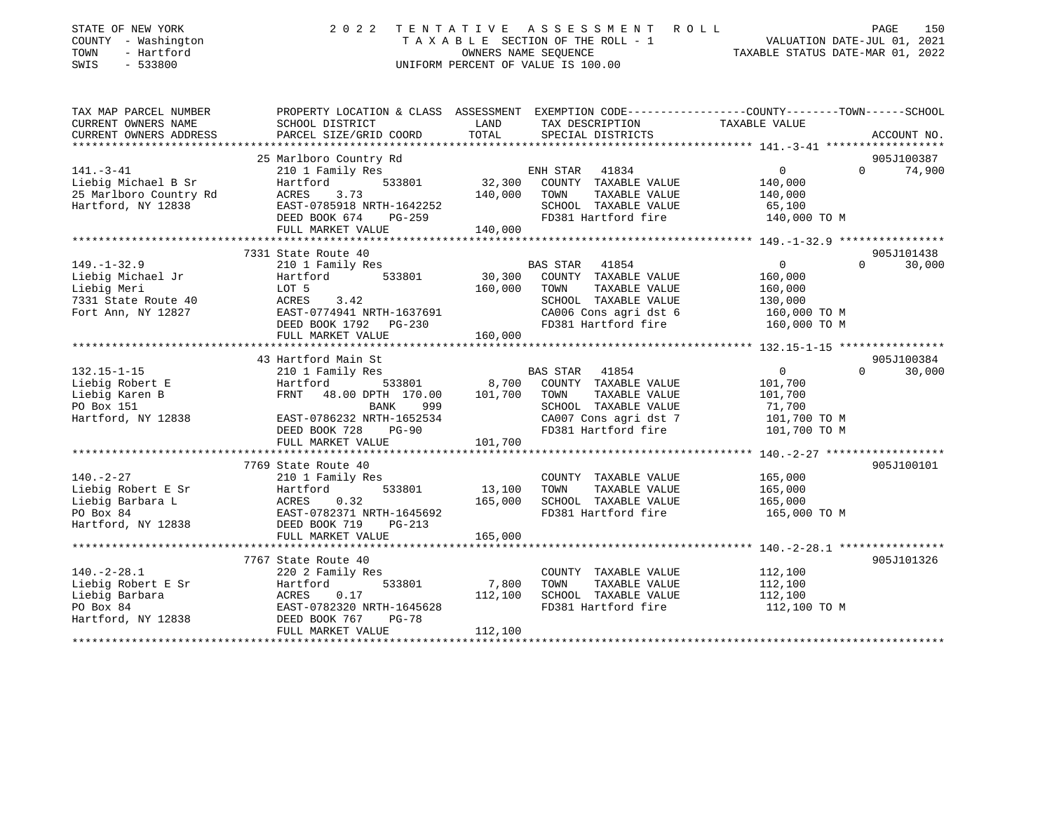| 2 0 2 2                                       |                                                                                                                                                                                                                                                                                                                                                                                                                                                                                                                                                                                                                                                                                                                                 | ASSESSMENT ROLL                                                                              | TAXABLE STATUS DATE-MAR 01, 2022                                                                                                                                                                                            | PAGE<br>150                                                                                                                                                                    |
|-----------------------------------------------|---------------------------------------------------------------------------------------------------------------------------------------------------------------------------------------------------------------------------------------------------------------------------------------------------------------------------------------------------------------------------------------------------------------------------------------------------------------------------------------------------------------------------------------------------------------------------------------------------------------------------------------------------------------------------------------------------------------------------------|----------------------------------------------------------------------------------------------|-----------------------------------------------------------------------------------------------------------------------------------------------------------------------------------------------------------------------------|--------------------------------------------------------------------------------------------------------------------------------------------------------------------------------|
|                                               | LAND<br>TOTAL                                                                                                                                                                                                                                                                                                                                                                                                                                                                                                                                                                                                                                                                                                                   | TAX DESCRIPTION<br>SPECIAL DISTRICTS                                                         |                                                                                                                                                                                                                             | ACCOUNT NO.                                                                                                                                                                    |
|                                               |                                                                                                                                                                                                                                                                                                                                                                                                                                                                                                                                                                                                                                                                                                                                 |                                                                                              |                                                                                                                                                                                                                             |                                                                                                                                                                                |
|                                               |                                                                                                                                                                                                                                                                                                                                                                                                                                                                                                                                                                                                                                                                                                                                 |                                                                                              |                                                                                                                                                                                                                             | 905J100387<br>$\Omega$                                                                                                                                                         |
| 533801<br>3.73<br>PG-259                      | 32,300<br>140,000                                                                                                                                                                                                                                                                                                                                                                                                                                                                                                                                                                                                                                                                                                               | TOWN<br>TAXABLE VALUE<br>SCHOOL TAXABLE VALUE<br>FD381 Hartford fire                         | 140,000<br>140,000<br>65,100<br>140,000 TO M                                                                                                                                                                                | 74,900                                                                                                                                                                         |
|                                               |                                                                                                                                                                                                                                                                                                                                                                                                                                                                                                                                                                                                                                                                                                                                 |                                                                                              |                                                                                                                                                                                                                             |                                                                                                                                                                                |
|                                               |                                                                                                                                                                                                                                                                                                                                                                                                                                                                                                                                                                                                                                                                                                                                 |                                                                                              |                                                                                                                                                                                                                             |                                                                                                                                                                                |
| 533801                                        |                                                                                                                                                                                                                                                                                                                                                                                                                                                                                                                                                                                                                                                                                                                                 | COUNTY TAXABLE VALUE                                                                         | $\Omega$<br>160,000                                                                                                                                                                                                         | 905J101438<br>$\Omega$<br>30,000                                                                                                                                               |
| 3.42                                          |                                                                                                                                                                                                                                                                                                                                                                                                                                                                                                                                                                                                                                                                                                                                 | SCHOOL TAXABLE VALUE<br>CA006 Cons agri dst 6                                                | 130,000<br>160,000 TO M                                                                                                                                                                                                     |                                                                                                                                                                                |
|                                               |                                                                                                                                                                                                                                                                                                                                                                                                                                                                                                                                                                                                                                                                                                                                 |                                                                                              |                                                                                                                                                                                                                             |                                                                                                                                                                                |
| 533801<br>999<br>BANK                         | 8,700<br>101,700                                                                                                                                                                                                                                                                                                                                                                                                                                                                                                                                                                                                                                                                                                                | COUNTY TAXABLE VALUE<br>TAXABLE VALUE<br>TOWN<br>SCHOOL TAXABLE VALUE                        | $\overline{0}$<br>101,700<br>101,700<br>71,700                                                                                                                                                                              | 905J100384<br>$\Omega$<br>30,000                                                                                                                                               |
| $PG-90$                                       |                                                                                                                                                                                                                                                                                                                                                                                                                                                                                                                                                                                                                                                                                                                                 | FD381 Hartford fire                                                                          | 101,700 TO M                                                                                                                                                                                                                |                                                                                                                                                                                |
| FULL MARKET VALUE                             | 101,700                                                                                                                                                                                                                                                                                                                                                                                                                                                                                                                                                                                                                                                                                                                         |                                                                                              |                                                                                                                                                                                                                             |                                                                                                                                                                                |
|                                               |                                                                                                                                                                                                                                                                                                                                                                                                                                                                                                                                                                                                                                                                                                                                 |                                                                                              |                                                                                                                                                                                                                             |                                                                                                                                                                                |
| 533801<br>0.32<br>$PG-213$                    | 13,100<br>165,000                                                                                                                                                                                                                                                                                                                                                                                                                                                                                                                                                                                                                                                                                                               | COUNTY TAXABLE VALUE<br>TAXABLE VALUE<br>TOWN<br>SCHOOL TAXABLE VALUE<br>FD381 Hartford fire | 165,000<br>165,000<br>165,000<br>165,000 TO M                                                                                                                                                                               | 905J100101                                                                                                                                                                     |
|                                               |                                                                                                                                                                                                                                                                                                                                                                                                                                                                                                                                                                                                                                                                                                                                 |                                                                                              |                                                                                                                                                                                                                             |                                                                                                                                                                                |
|                                               |                                                                                                                                                                                                                                                                                                                                                                                                                                                                                                                                                                                                                                                                                                                                 |                                                                                              |                                                                                                                                                                                                                             |                                                                                                                                                                                |
| 220 2 Family Res<br>533801<br>0.17<br>$PG-78$ | 7,800<br>112,100<br>112,100                                                                                                                                                                                                                                                                                                                                                                                                                                                                                                                                                                                                                                                                                                     | COUNTY TAXABLE VALUE<br>TOWN<br>TAXABLE VALUE<br>SCHOOL TAXABLE VALUE<br>FD381 Hartford fire | 112,100<br>112,100<br>112,100<br>112,100 TO M                                                                                                                                                                               | 905J101326                                                                                                                                                                     |
|                                               | SCHOOL DISTRICT<br>PARCEL SIZE/GRID COORD<br>25 Marlboro Country Rd<br>210 1 Family Res<br>Hartford<br>ACRES<br>DEED BOOK 674<br>FULL MARKET VALUE<br>7331 State Route 40<br>210 1 Family Res<br>Hartford<br>LOT 5<br><b>ACRES</b><br>EAST-0774941 NRTH-1637691<br>DEED BOOK 1792    PG-230<br>FULL MARKET VALUE<br>**************************<br>43 Hartford Main St<br>210 1 Family Res<br>Hartford<br>FRNT 48.00 DPTH 170.00<br>EAST-0786232 NRTH-1652534<br>DEED BOOK 728<br>7769 State Route 40<br>210 1 Family Res<br>Hartford<br>ACRES<br>EAST-0782371 NRTH-1645692<br>DEED BOOK 719<br>FULL MARKET VALUE<br>7767 State Route 40<br>Hartford<br>ACRES<br>EAST-0782320 NRTH-1645628<br>DEED BOOK 767<br>FULL MARKET VALUE | TENTATIVE<br>EAST-0785918 NRTH-1642252<br>140,000<br>160,000<br>160,000<br>165,000           | OWNERS NAME SEQUENCE<br>UNIFORM PERCENT OF VALUE IS 100.00<br>ENH STAR 41834<br>COUNTY TAXABLE VALUE<br>BAS STAR 41854<br>30,300<br>TOWN<br>TAXABLE VALUE<br>FD381 Hartford fire<br>BAS STAR 41854<br>CA007 Cons agri dst 7 | PROPERTY LOCATION & CLASS ASSESSMENT EXEMPTION CODE----------------COUNTY-------TOWN------SCHOOL<br>TAXABLE VALUE<br>$\overline{0}$<br>160,000<br>160,000 TO M<br>101,700 TO M |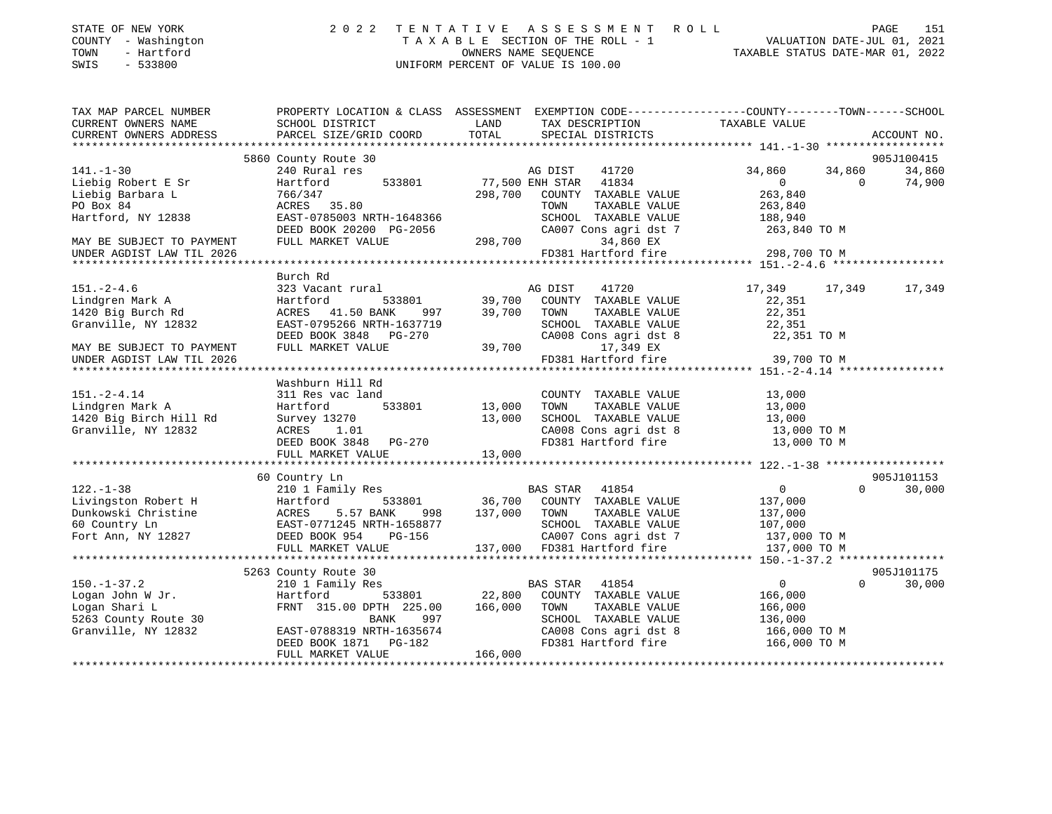| STATE OF NEW YORK |              |
|-------------------|--------------|
| COUNTY            | - Washington |
| TOWN              | - Hartford   |

## STATE OF NEW YORK 2 0 2 2 T E N T A T I V E A S S E S S M E N T R O L L PAGE 151 COUNTY - Washington T A X A B L E SECTION OF THE ROLL - 1 VALUATION DATE-JUL 01, 2021 TOWN - Hartford OWNERS NAME SEQUENCE TAXABLE STATUS DATE-MAR 01, 2022 SWIS - 533800 UNIFORM PERCENT OF VALUE IS 100.00

| TAX MAP PARCEL NUMBER<br>CURRENT OWNERS NAME | SCHOOL DISTRICT           | TAX DESCRIPTION TAXABLE VALUE<br>LAND                                                                            | PROPERTY LOCATION & CLASS ASSESSMENT EXEMPTION CODE---------------COUNTY-------TOWN-----SCHOOL |
|----------------------------------------------|---------------------------|------------------------------------------------------------------------------------------------------------------|------------------------------------------------------------------------------------------------|
| CURRENT OWNERS ADDRESS                       | PARCEL SIZE/GRID COORD    | TOTAL<br>SPECIAL DISTRICTS                                                                                       | ACCOUNT NO.                                                                                    |
|                                              |                           |                                                                                                                  |                                                                                                |
|                                              | 5860 County Route 30      |                                                                                                                  | 905J100415                                                                                     |
| $141. - 1 - 30$                              | 240 Rural res             |                                                                                                                  | 34,860<br>34,860<br>34,860                                                                     |
| Liebig Robert E Sr                           | 533801<br>Hartford        |                                                                                                                  | 74,900<br>$\overline{0}$<br>$\overline{0}$                                                     |
| Liebig Barbara L                             | 766/347                   | 298,700 COUNTY TAXABLE VALUE                                                                                     | 263,840                                                                                        |
| PO Box 84                                    | ACRES 35.80               | TOWN<br>TAXABLE VALUE                                                                                            | 263,840                                                                                        |
| Hartford, NY 12838                           | EAST-0785003 NRTH-1648366 | SCHOOL TAXABLE VALUE                                                                                             | 188,940                                                                                        |
|                                              | DEED BOOK 20200 PG-2056   | CA007 Cons agri dst 7                                                                                            | 263,840 TO M                                                                                   |
| MAY BE SUBJECT TO PAYMENT                    | FULL MARKET VALUE         | 298,700<br>34,860 EX                                                                                             |                                                                                                |
| UNDER AGDIST LAW TIL 2026                    |                           | FD381 Hartford fire                                                                                              | 298,700 TO M                                                                                   |
|                                              |                           |                                                                                                                  |                                                                                                |
|                                              | Burch Rd                  |                                                                                                                  |                                                                                                |
| $151. - 2 - 4.6$                             | 323 Vacant rural          | 1<br>F33801 39,700 COUNTY TAXABLE VALUE<br>NNK 997 39,700 TOWN TAXABLE VALUE<br>THE 1637719 COUOOI TAXABLE VALUE | 17,349 17,349<br>17,349                                                                        |
| Lindgren Mark A                              | Hartford                  |                                                                                                                  | 22,351                                                                                         |
| 1420 Big Burch Rd                            | ACRES 41.50 BANK          | TAXABLE VALUE                                                                                                    | 22,351                                                                                         |
| Granville, NY 12832                          | EAST-0795266 NRTH-1637719 | SCHOOL TAXABLE VALUE                                                                                             | 22,351                                                                                         |
|                                              | DEED BOOK 3848 PG-270     |                                                                                                                  | 22,351 TO M                                                                                    |
|                                              | FULL MARKET VALUE         | SCHOOL<br>CA008 C<br>39,700<br>CA008 Cons agri dst 8<br>17,349 EX                                                |                                                                                                |
| MAY BE SUBJECT TO PAYMENT                    |                           |                                                                                                                  |                                                                                                |
| UNDER AGDIST LAW TIL 2026                    |                           | FD381 Hartford fire                                                                                              | 39,700 TO M                                                                                    |
|                                              |                           |                                                                                                                  |                                                                                                |
|                                              | Washburn Hill Rd          |                                                                                                                  |                                                                                                |
| $151. - 2 - 4.14$                            | 311 Res vac land          | COUNTY TAXABLE VALUE                                                                                             | 13,000                                                                                         |
| Lindgren Mark A                              | 533801 13,000<br>Hartford | TOWN<br>TAXABLE VALUE                                                                                            | 13,000                                                                                         |
| 1420 Big Birch Hill Rd                       | Survey 13270              | 13,000                                                                                                           |                                                                                                |
| Granville, NY 12832                          | ACRES 1.01                | SCHOOL TAXABLE VALUE $13,000$<br>CA008 Cons agri dst 8 $13,000$ TO M<br>FD381 Hartford fire $13,000$ TO M        |                                                                                                |
|                                              | DEED BOOK 3848 PG-270     |                                                                                                                  |                                                                                                |
|                                              | FULL MARKET VALUE         | 13,000                                                                                                           |                                                                                                |
|                                              |                           |                                                                                                                  |                                                                                                |
|                                              | 60 Country Ln             |                                                                                                                  | 905J101153                                                                                     |
| $122. - 1 - 38$                              | 210 1 Family Res          |                                                                                                                  | $\overline{0}$<br>$\Omega$<br>30,000                                                           |
|                                              |                           |                                                                                                                  | 137,000                                                                                        |
|                                              |                           | 137,000 TOWN<br>TAXABLE VALUE                                                                                    | 137,000                                                                                        |
|                                              |                           |                                                                                                                  |                                                                                                |
|                                              |                           | SCHOOL TAXABLE VALUE 107,000<br>CA007 Cons agri dst 7 137,000 TO M                                               |                                                                                                |
|                                              |                           |                                                                                                                  |                                                                                                |
|                                              |                           |                                                                                                                  |                                                                                                |
|                                              | 5263 County Route 30      |                                                                                                                  | 905J101175                                                                                     |
|                                              |                           |                                                                                                                  | $\Omega$                                                                                       |
| $150. - 1 - 37.2$                            | 210 1 Family Res          | BAS STAR<br>41854<br>533801 22,800                                                                               | $\overline{0}$<br>30,000                                                                       |
| Logan John W Jr.                             | Hartford                  | COUNTY TAXABLE VALUE                                                                                             | 166,000                                                                                        |
| Logan Shari L                                | FRNT 315.00 DPTH 225.00   | 166,000<br>TOWN<br>TAXABLE VALUE                                                                                 | 166,000                                                                                        |
| 5263 County Route 30                         | <b>BANK</b><br>997        | SCHOOL TAXABLE VALUE                                                                                             | 136,000                                                                                        |
| Granville, NY 12832                          | EAST-0788319 NRTH-1635674 | CA008 Cons agri dst 8                                                                                            | $166,000$ TO M                                                                                 |
|                                              | DEED BOOK 1871 PG-182     | FD381 Hartford fire                                                                                              | 166,000 TO M                                                                                   |
|                                              | FULL MARKET VALUE         | 166,000                                                                                                          |                                                                                                |
|                                              |                           |                                                                                                                  |                                                                                                |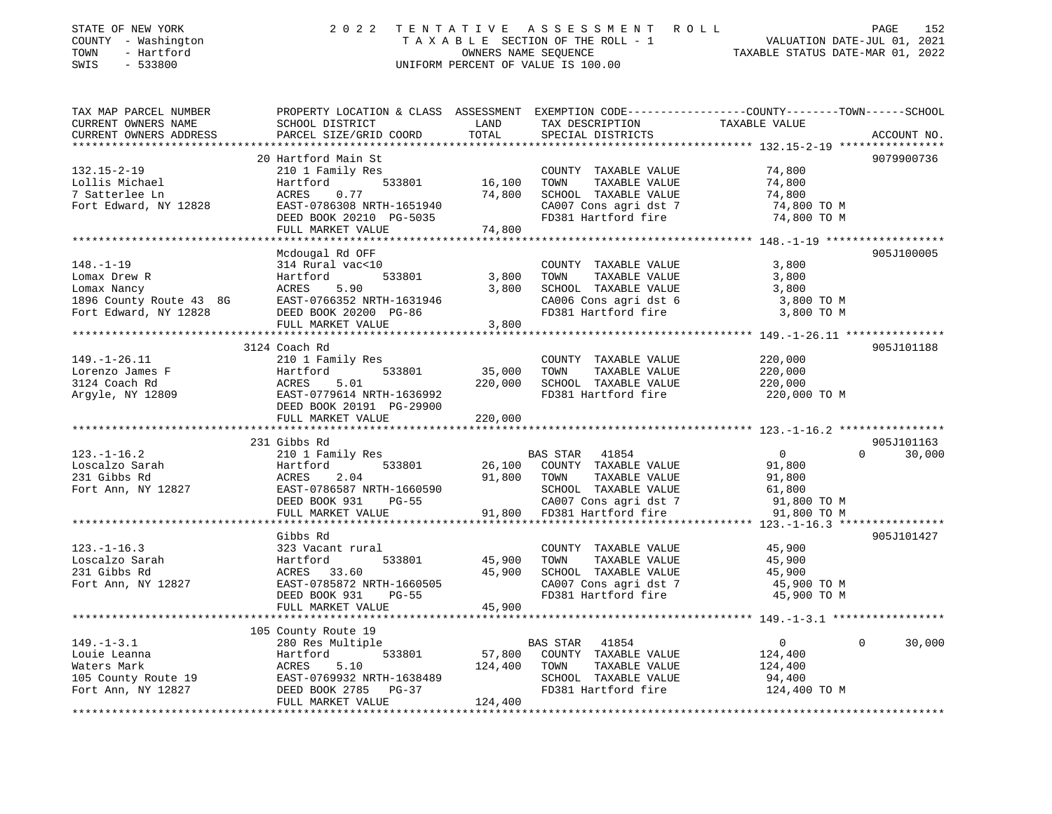| STATE OF NEW YORK<br>COUNTY - Washington<br>TOWN<br>- Hartford<br>SWIS<br>$-533800$ | 2 0 2 2                                                                |                                          | TENTATIVE ASSESSMENT ROLL<br>TAXABLE SECTION OF THE ROLL - 1<br>OWNERS NAME SEQUENCE<br>UNIFORM PERCENT OF VALUE IS 100.00 | PAGE<br>152<br>VALUATION DATE-JUL 01, 2021<br>TAXABLE STATUS DATE-MAR 01, 2022                                                                                                                          |
|-------------------------------------------------------------------------------------|------------------------------------------------------------------------|------------------------------------------|----------------------------------------------------------------------------------------------------------------------------|---------------------------------------------------------------------------------------------------------------------------------------------------------------------------------------------------------|
| TAX MAP PARCEL NUMBER<br>CURRENT OWNERS NAME<br>CURRENT OWNERS ADDRESS              | SCHOOL DISTRICT<br>PARCEL SIZE/GRID COORD                              | LAND<br>TOTAL<br>* * * * * * * * * * * * | TAX DESCRIPTION<br>SPECIAL DISTRICTS                                                                                       | PROPERTY LOCATION & CLASS ASSESSMENT EXEMPTION CODE---------------COUNTY-------TOWN------SCHOOL<br>TAXABLE VALUE<br>ACCOUNT NO.<br>************************************** 132.15-2-19 ***************** |
|                                                                                     | 20 Hartford Main St                                                    |                                          |                                                                                                                            | 9079900736                                                                                                                                                                                              |
| $132.15 - 2 - 19$<br>Lollis Michael                                                 | 210 1 Family Res<br>533801<br>Hartford                                 | 16,100                                   | COUNTY TAXABLE VALUE<br>TOWN<br>TAXABLE VALUE                                                                              | 74,800<br>74,800                                                                                                                                                                                        |
| 7 Satterlee Ln<br>Fort Edward, NY 12828                                             | 0.77<br>ACRES<br>EAST-0786308 NRTH-1651940<br>DEED BOOK 20210 PG-5035  | 74,800                                   | SCHOOL TAXABLE VALUE<br>CA007 Cons agri dst 7<br>FD381 Hartford fire                                                       | 74,800<br>74,800 TO M<br>74,800 TO M                                                                                                                                                                    |
|                                                                                     | FULL MARKET VALUE<br>****************                                  | 74,800                                   |                                                                                                                            |                                                                                                                                                                                                         |
|                                                                                     | Mcdougal Rd OFF                                                        |                                          |                                                                                                                            | 905J100005                                                                                                                                                                                              |
| $148. - 1 - 19$<br>Lomax Drew R                                                     | 314 Rural vac<10<br>533801<br>Hartford                                 | 3,800                                    | COUNTY TAXABLE VALUE<br>TOWN<br>TAXABLE VALUE                                                                              | 3,800<br>3,800                                                                                                                                                                                          |
| Lomax Nancy                                                                         | ACRES<br>5.90                                                          | 3,800                                    | SCHOOL TAXABLE VALUE                                                                                                       | 3,800                                                                                                                                                                                                   |
| 1896 County Route 43 8G                                                             | EAST-0766352 NRTH-1631946                                              |                                          | CA006 Cons agri dst 6                                                                                                      | 3,800 TO M                                                                                                                                                                                              |
| Fort Edward, NY 12828                                                               | DEED BOOK 20200 PG-86<br>FULL MARKET VALUE                             | 3,800                                    | FD381 Hartford fire                                                                                                        | 3,800 TO M                                                                                                                                                                                              |
|                                                                                     |                                                                        |                                          |                                                                                                                            |                                                                                                                                                                                                         |
|                                                                                     | 3124 Coach Rd                                                          |                                          |                                                                                                                            | 905J101188                                                                                                                                                                                              |
| $149. - 1 - 26.11$                                                                  | 210 1 Family Res                                                       |                                          | COUNTY TAXABLE VALUE                                                                                                       | 220,000                                                                                                                                                                                                 |
| Lorenzo James F                                                                     | 533801<br>Hartford                                                     | 35,000                                   | TOWN<br>TAXABLE VALUE                                                                                                      | 220,000                                                                                                                                                                                                 |
| 3124 Coach Rd<br>Argyle, NY 12809                                                   | ACRES<br>5.01<br>EAST-0779614 NRTH-1636992<br>DEED BOOK 20191 PG-29900 | 220,000                                  | SCHOOL TAXABLE VALUE<br>FD381 Hartford fire                                                                                | 220,000<br>220,000 TO M                                                                                                                                                                                 |
|                                                                                     | FULL MARKET VALUE<br>*************************                         | 220,000                                  |                                                                                                                            |                                                                                                                                                                                                         |
|                                                                                     |                                                                        |                                          |                                                                                                                            | 905J101163                                                                                                                                                                                              |
| $123. - 1 - 16.2$                                                                   | 231 Gibbs Rd<br>210 1 Family Res                                       |                                          | BAS STAR 41854                                                                                                             | $\overline{0}$<br>$\Omega$<br>30,000                                                                                                                                                                    |
| Loscalzo Sarah<br>231 Gibbs Rd                                                      | 533801<br>Hartford<br>ACRES<br>2.04                                    | 26,100<br>91,800                         | COUNTY TAXABLE VALUE<br>TAXABLE VALUE<br>TOWN                                                                              | 91,800<br>91,800                                                                                                                                                                                        |
| Fort Ann, NY 12827                                                                  | EAST-0786587 NRTH-1660590                                              |                                          | SCHOOL TAXABLE VALUE                                                                                                       | 61,800                                                                                                                                                                                                  |
|                                                                                     | DEED BOOK 931<br>PG-55                                                 |                                          | CA007 Cons agri dst 7                                                                                                      | 91,800 TO M                                                                                                                                                                                             |
|                                                                                     | FULL MARKET VALUE                                                      | 91,800                                   | FD381 Hartford fire                                                                                                        | 91,800 TO M                                                                                                                                                                                             |
|                                                                                     | **********************<br>Gibbs Rd                                     |                                          |                                                                                                                            | **************************** 123.-1-16.3 ****************<br>905J101427                                                                                                                                 |
| $123. - 1 - 16.3$                                                                   | 323 Vacant rural                                                       |                                          | COUNTY TAXABLE VALUE                                                                                                       | 45,900                                                                                                                                                                                                  |
| Loscalzo Sarah                                                                      | Hartford<br>533801                                                     | 45,900                                   | TOWN<br>TAXABLE VALUE                                                                                                      | 45,900                                                                                                                                                                                                  |
| 231 Gibbs Rd                                                                        | ACRES<br>33.60                                                         | 45,900                                   | SCHOOL TAXABLE VALUE                                                                                                       | 45,900                                                                                                                                                                                                  |
| Fort Ann, NY 12827                                                                  | EAST-0785872 NRTH-1660505<br>DEED BOOK 931<br>$PG-55$                  |                                          | CA007 Cons agri dst 7<br>FD381 Hartford fire                                                                               | 45,900 TO M<br>45,900 TO M                                                                                                                                                                              |
|                                                                                     | FULL MARKET VALUE                                                      | 45,900                                   |                                                                                                                            |                                                                                                                                                                                                         |
|                                                                                     |                                                                        |                                          |                                                                                                                            |                                                                                                                                                                                                         |
| $149. - 1 - 3.1$                                                                    | 105 County Route 19<br>280 Res Multiple                                |                                          | BAS STAR<br>41854                                                                                                          | $\mathbf 0$<br>$\Omega$<br>30,000                                                                                                                                                                       |
| Louie Leanna                                                                        | Hartford<br>533801                                                     | 57,800                                   | COUNTY TAXABLE VALUE                                                                                                       | 124,400                                                                                                                                                                                                 |
| Waters Mark                                                                         | ACRES<br>5.10                                                          | 124,400                                  | TOWN<br>TAXABLE VALUE                                                                                                      | 124,400                                                                                                                                                                                                 |
| 105 County Route 19                                                                 | EAST-0769932 NRTH-1638489                                              |                                          | SCHOOL TAXABLE VALUE                                                                                                       | 94,400                                                                                                                                                                                                  |
| Fort Ann, NY 12827                                                                  | DEED BOOK 2785 PG-37<br>FULL MARKET VALUE                              | 124,400                                  | FD381 Hartford fire                                                                                                        | 124,400 TO M                                                                                                                                                                                            |
|                                                                                     |                                                                        |                                          |                                                                                                                            |                                                                                                                                                                                                         |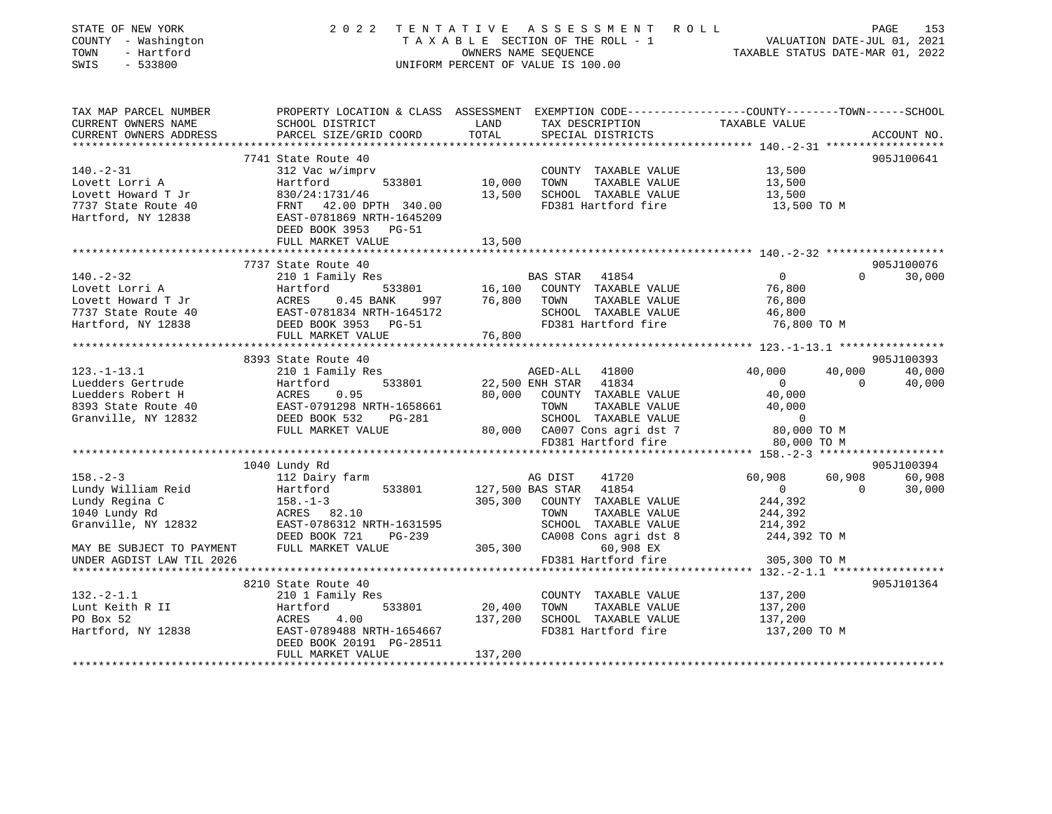| STATE OF NEW YORK<br>COUNTY - Washington<br>- Hartford<br>TOWN<br>SWIS<br>$-533800$ | 2 0 2 2                                                                                                            | TENTATIVE        | A S S E S S M E N T R O L L<br>TAXABLE SECTION OF THE ROLL - 1<br>OWNERS NAME SEOUENCE<br>UNIFORM PERCENT OF VALUE IS 100.00 | TAXABLE STATUS DATE-MAR 01, 2022             |                | PAGE<br>153<br>VALUATION DATE-JUL 01, 2021 |
|-------------------------------------------------------------------------------------|--------------------------------------------------------------------------------------------------------------------|------------------|------------------------------------------------------------------------------------------------------------------------------|----------------------------------------------|----------------|--------------------------------------------|
| TAX MAP PARCEL NUMBER<br>CURRENT OWNERS NAME                                        | PROPERTY LOCATION & CLASS ASSESSMENT EXEMPTION CODE---------------COUNTY-------TOWN------SCHOOL<br>SCHOOL DISTRICT | LAND             | TAX DESCRIPTION                                                                                                              | TAXABLE VALUE                                |                |                                            |
| CURRENT OWNERS ADDRESS                                                              | PARCEL SIZE/GRID COORD                                                                                             | TOTAL            | SPECIAL DISTRICTS                                                                                                            |                                              |                | ACCOUNT NO.                                |
|                                                                                     | 7741 State Route 40                                                                                                |                  |                                                                                                                              |                                              |                |                                            |
| $140. - 2 - 31$                                                                     | 312 Vac w/imprv                                                                                                    |                  | COUNTY TAXABLE VALUE                                                                                                         | 13,500                                       |                | 905J100641                                 |
| Lovett Lorri A                                                                      | 533801<br>Hartford                                                                                                 | 10,000           | TOWN<br>TAXABLE VALUE                                                                                                        | 13,500                                       |                |                                            |
| Lovett Howard T Jr                                                                  | 830/24:1731/46                                                                                                     | 13,500           | SCHOOL TAXABLE VALUE                                                                                                         | 13,500                                       |                |                                            |
| 7737 State Route 40                                                                 | FRNT 42.00 DPTH 340.00                                                                                             |                  | FD381 Hartford fire                                                                                                          | 13,500 TO M                                  |                |                                            |
| Hartford, NY 12838                                                                  | EAST-0781869 NRTH-1645209<br>DEED BOOK 3953<br>PG-51                                                               |                  |                                                                                                                              |                                              |                |                                            |
|                                                                                     | FULL MARKET VALUE                                                                                                  | 13,500           |                                                                                                                              |                                              |                |                                            |
|                                                                                     |                                                                                                                    |                  |                                                                                                                              |                                              |                |                                            |
|                                                                                     | 7737 State Route 40                                                                                                |                  |                                                                                                                              |                                              |                | 905J100076                                 |
| $140. - 2 - 32$                                                                     | 210 1 Family Res                                                                                                   |                  | <b>BAS STAR</b><br>41854                                                                                                     | $\overline{0}$                               | $\Omega$       | 30,000                                     |
| Lovett Lorri A                                                                      | 533801<br>Hartford                                                                                                 | 16,100           | COUNTY TAXABLE VALUE                                                                                                         | 76,800                                       |                |                                            |
| Lovett Howard T Jr                                                                  | ACRES<br>$0.45$ BANK<br>997                                                                                        | 76,800           | TOWN<br>TAXABLE VALUE                                                                                                        | 76,800                                       |                |                                            |
| 7737 State Route 40                                                                 | EAST-0781834 NRTH-1645172<br>DEED BOOK 3953<br>$PG-51$                                                             |                  | SCHOOL TAXABLE VALUE<br>FD381 Hartford fire                                                                                  | 46,800<br>76,800 TO M                        |                |                                            |
| Hartford, NY 12838                                                                  | FULL MARKET VALUE                                                                                                  | 76,800           |                                                                                                                              |                                              |                |                                            |
|                                                                                     | ********************                                                                                               |                  |                                                                                                                              |                                              |                |                                            |
|                                                                                     | 8393 State Route 40                                                                                                |                  |                                                                                                                              |                                              |                | 905J100393                                 |
| $123. - 1 - 13.1$                                                                   | 210 1 Family Res                                                                                                   |                  | 41800<br>AGED-ALL                                                                                                            | 40,000                                       | 40,000         | 40,000                                     |
| Luedders Gertrude                                                                   | 533801<br>Hartford                                                                                                 |                  | 41834<br>22,500 ENH STAR                                                                                                     | $\mathbf{0}$                                 | $\Omega$       | 40,000                                     |
| Luedders Robert H                                                                   | ACRES<br>0.95                                                                                                      | 80,000           | COUNTY TAXABLE VALUE                                                                                                         | 40,000                                       |                |                                            |
| 8393 State Route 40                                                                 | EAST-0791298 NRTH-1658661                                                                                          |                  | TOWN<br>TAXABLE VALUE                                                                                                        | 40,000                                       |                |                                            |
| Granville, NY 12832                                                                 | DEED BOOK 532<br>PG-281                                                                                            |                  | SCHOOL TAXABLE VALUE                                                                                                         | 0                                            |                |                                            |
|                                                                                     | FULL MARKET VALUE                                                                                                  |                  | 80,000 CA007 Cons agri dst 7                                                                                                 | 80,000 TO M                                  |                |                                            |
|                                                                                     |                                                                                                                    |                  | FD381 Hartford fire                                                                                                          | 80,000 TO M                                  |                |                                            |
|                                                                                     |                                                                                                                    |                  | **********************************                                                                                           | ********** 158. - 2 - 3 ******************** |                |                                            |
|                                                                                     | 1040 Lundy Rd                                                                                                      |                  |                                                                                                                              |                                              |                | 905J100394                                 |
| $158. - 2 - 3$                                                                      | 112 Dairy farm                                                                                                     |                  | 41720<br>AG DIST                                                                                                             | 60,908                                       | 60,908         | 60,908                                     |
| Lundy William Reid                                                                  | 533801<br>Hartford                                                                                                 | 127,500 BAS STAR | 41854                                                                                                                        | $\overline{0}$                               | $\overline{0}$ | 30,000                                     |
| Lundy Regina C                                                                      | $158. - 1 - 3$                                                                                                     | 305,300          | COUNTY TAXABLE VALUE                                                                                                         | 244,392                                      |                |                                            |
| 1040 Lundy Rd                                                                       | ACRES 82.10                                                                                                        |                  | TAXABLE VALUE<br>TOWN                                                                                                        | 244,392                                      |                |                                            |
| Granville, NY 12832                                                                 | EAST-0786312 NRTH-1631595<br>DEED BOOK 721<br>PG-239                                                               |                  | SCHOOL TAXABLE VALUE<br>CA008 Cons agri dst 8                                                                                | 214,392<br>244,392 TO M                      |                |                                            |
| MAY BE SUBJECT TO PAYMENT                                                           | FULL MARKET VALUE                                                                                                  | 305,300          | 60,908 EX                                                                                                                    |                                              |                |                                            |
| UNDER AGDIST LAW TIL 2026                                                           |                                                                                                                    |                  | FD381 Hartford fire                                                                                                          | 305,300 TO M                                 |                |                                            |
|                                                                                     |                                                                                                                    |                  |                                                                                                                              |                                              |                |                                            |
|                                                                                     | 8210 State Route 40                                                                                                |                  |                                                                                                                              |                                              |                | 905J101364                                 |
| $132 - 2 - 1.1$                                                                     | 210 1 Family Res                                                                                                   |                  | COUNTY TAXABLE VALUE                                                                                                         | 137,200                                      |                |                                            |
| Lunt Keith R II                                                                     | Hartford<br>533801                                                                                                 | 20,400           | TOWN<br>TAXABLE VALUE                                                                                                        | 137,200                                      |                |                                            |
| PO Box 52                                                                           | 4.00<br>ACRES                                                                                                      | 137,200          | SCHOOL TAXABLE VALUE                                                                                                         | 137,200                                      |                |                                            |
| Hartford, NY 12838                                                                  | EAST-0789488 NRTH-1654667                                                                                          |                  | FD381 Hartford fire                                                                                                          | 137,200 TO M                                 |                |                                            |
|                                                                                     | DEED BOOK 20191 PG-28511                                                                                           |                  |                                                                                                                              |                                              |                |                                            |
|                                                                                     | FULL MARKET VALUE                                                                                                  | 137,200          |                                                                                                                              |                                              |                |                                            |
|                                                                                     |                                                                                                                    |                  |                                                                                                                              |                                              |                |                                            |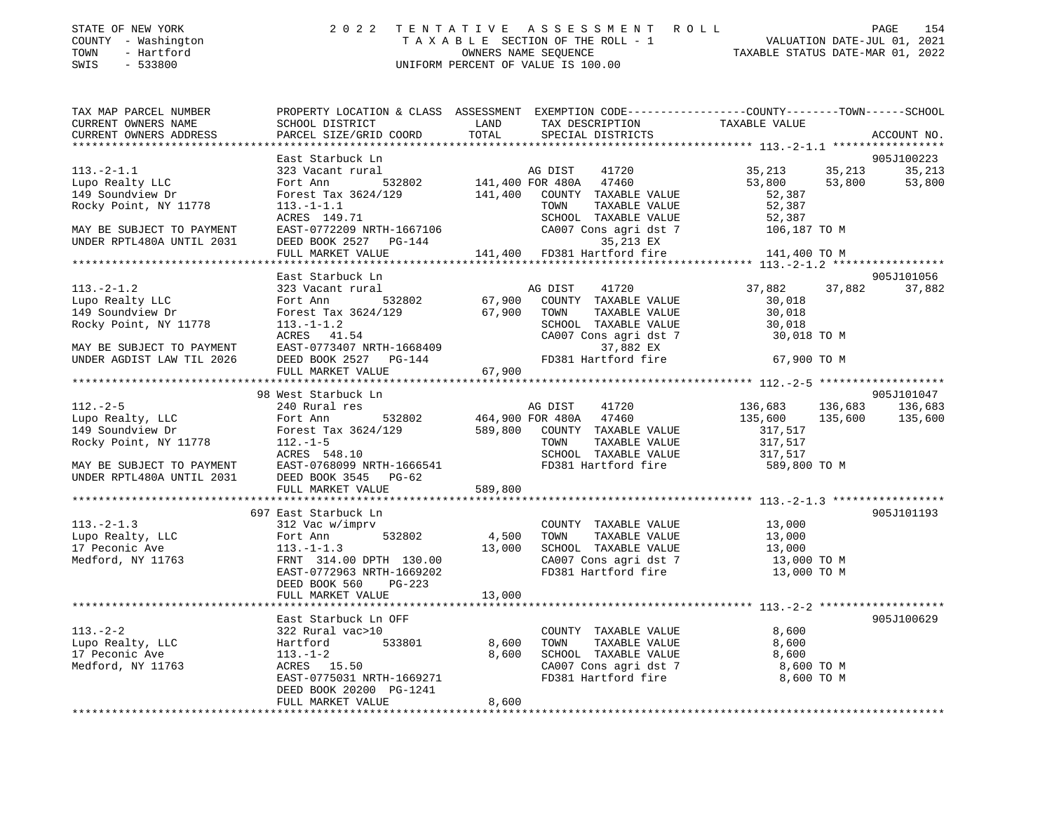## STATE OF NEW YORK 2 0 2 2 T E N T A T I V E A S S E S S M E N T R O L L PAGE 154 COUNTY - Washington T A X A B L E SECTION OF THE ROLL - 1 VALUATION DATE-JUL 01, 2021 TOWN - Hartford CONSULTER THE CONSULTER OWNERS NAME SEQUENCE TAXABLE STATUS DATE-MAR 01, 2022<br>
TOWN - Hartford CONSULTER ON TAXABLE STATUS DATE-MAR 01, 2022 SWIS - 533800 UNIFORM PERCENT OF VALUE IS 100.00

| SCHOOL DISTRICT                                                                                                                                           | LAND                                                                                                                                                                    | TAX DESCRIPTION                                                                                                                                                                                                                       | PROPERTY LOCATION & CLASS ASSESSMENT EXEMPTION CODE---------------COUNTY-------TOWN------SCHOOL<br>TAXABLE VALUE                                                                                                                                                                                                                                                                                                 | ACCOUNT NO.                                                                                                                                                                                                                                                                                                                                                                                                                                                                                                                                                                                                                                                                                                                                                    |
|-----------------------------------------------------------------------------------------------------------------------------------------------------------|-------------------------------------------------------------------------------------------------------------------------------------------------------------------------|---------------------------------------------------------------------------------------------------------------------------------------------------------------------------------------------------------------------------------------|------------------------------------------------------------------------------------------------------------------------------------------------------------------------------------------------------------------------------------------------------------------------------------------------------------------------------------------------------------------------------------------------------------------|----------------------------------------------------------------------------------------------------------------------------------------------------------------------------------------------------------------------------------------------------------------------------------------------------------------------------------------------------------------------------------------------------------------------------------------------------------------------------------------------------------------------------------------------------------------------------------------------------------------------------------------------------------------------------------------------------------------------------------------------------------------|
|                                                                                                                                                           |                                                                                                                                                                         |                                                                                                                                                                                                                                       |                                                                                                                                                                                                                                                                                                                                                                                                                  |                                                                                                                                                                                                                                                                                                                                                                                                                                                                                                                                                                                                                                                                                                                                                                |
| East Starbuck Ln                                                                                                                                          |                                                                                                                                                                         |                                                                                                                                                                                                                                       | 53,800<br>52,387                                                                                                                                                                                                                                                                                                                                                                                                 | 905J100223<br>35,213<br>53,800                                                                                                                                                                                                                                                                                                                                                                                                                                                                                                                                                                                                                                                                                                                                 |
| ACRES 149.71<br>DEED BOOK 2527 PG-144                                                                                                                     |                                                                                                                                                                         | 35,213 EX                                                                                                                                                                                                                             |                                                                                                                                                                                                                                                                                                                                                                                                                  |                                                                                                                                                                                                                                                                                                                                                                                                                                                                                                                                                                                                                                                                                                                                                                |
|                                                                                                                                                           |                                                                                                                                                                         |                                                                                                                                                                                                                                       |                                                                                                                                                                                                                                                                                                                                                                                                                  |                                                                                                                                                                                                                                                                                                                                                                                                                                                                                                                                                                                                                                                                                                                                                                |
|                                                                                                                                                           |                                                                                                                                                                         |                                                                                                                                                                                                                                       |                                                                                                                                                                                                                                                                                                                                                                                                                  | 905J101056                                                                                                                                                                                                                                                                                                                                                                                                                                                                                                                                                                                                                                                                                                                                                     |
|                                                                                                                                                           |                                                                                                                                                                         |                                                                                                                                                                                                                                       | 30,018<br>30,018                                                                                                                                                                                                                                                                                                                                                                                                 | 37,882                                                                                                                                                                                                                                                                                                                                                                                                                                                                                                                                                                                                                                                                                                                                                         |
|                                                                                                                                                           |                                                                                                                                                                         | 37,882 EX                                                                                                                                                                                                                             |                                                                                                                                                                                                                                                                                                                                                                                                                  |                                                                                                                                                                                                                                                                                                                                                                                                                                                                                                                                                                                                                                                                                                                                                                |
|                                                                                                                                                           |                                                                                                                                                                         |                                                                                                                                                                                                                                       |                                                                                                                                                                                                                                                                                                                                                                                                                  |                                                                                                                                                                                                                                                                                                                                                                                                                                                                                                                                                                                                                                                                                                                                                                |
|                                                                                                                                                           |                                                                                                                                                                         |                                                                                                                                                                                                                                       |                                                                                                                                                                                                                                                                                                                                                                                                                  | 905J101047<br>136,683                                                                                                                                                                                                                                                                                                                                                                                                                                                                                                                                                                                                                                                                                                                                          |
| Forest Tax 3624/129<br>Rocky Point, NY 11778 112.-1-5<br>ACRES 548.10                                                                                     |                                                                                                                                                                         | TOWN                                                                                                                                                                                                                                  | 135,600<br>317,517<br>317,517<br>317,517                                                                                                                                                                                                                                                                                                                                                                         | 135,600 135,600                                                                                                                                                                                                                                                                                                                                                                                                                                                                                                                                                                                                                                                                                                                                                |
|                                                                                                                                                           |                                                                                                                                                                         |                                                                                                                                                                                                                                       |                                                                                                                                                                                                                                                                                                                                                                                                                  |                                                                                                                                                                                                                                                                                                                                                                                                                                                                                                                                                                                                                                                                                                                                                                |
|                                                                                                                                                           |                                                                                                                                                                         |                                                                                                                                                                                                                                       |                                                                                                                                                                                                                                                                                                                                                                                                                  |                                                                                                                                                                                                                                                                                                                                                                                                                                                                                                                                                                                                                                                                                                                                                                |
| 697 East Starbuck Ln<br>312 Vac w/imprv<br>Fort Ann 532802<br>$113.-1-1.3$<br>EAST-0772963 NRTH-1669202<br>DEED BOOK 560<br>$PG-223$<br>FULL MARKET VALUE | 13,000                                                                                                                                                                  | COUNTY TAXABLE VALUE<br>TOWN                                                                                                                                                                                                          | 13,000                                                                                                                                                                                                                                                                                                                                                                                                           | 905J101193                                                                                                                                                                                                                                                                                                                                                                                                                                                                                                                                                                                                                                                                                                                                                     |
|                                                                                                                                                           |                                                                                                                                                                         |                                                                                                                                                                                                                                       |                                                                                                                                                                                                                                                                                                                                                                                                                  |                                                                                                                                                                                                                                                                                                                                                                                                                                                                                                                                                                                                                                                                                                                                                                |
| 322 Rural vac>10<br>Hartford<br>$113. - 1 - 2$<br>ACRES 15.50<br>DEED BOOK 20200 PG-1241<br>FULL MARKET VALUE                                             | 8,600                                                                                                                                                                   | TOWN                                                                                                                                                                                                                                  | 8,600<br>8,600<br>8,600 TO M                                                                                                                                                                                                                                                                                                                                                                                     | 905J100629                                                                                                                                                                                                                                                                                                                                                                                                                                                                                                                                                                                                                                                                                                                                                     |
|                                                                                                                                                           | PARCEL SIZE/GRID COORD<br>$113. -1 - 1.1$<br>FULL MARKET VALUE<br>East Starbuck Ln<br>98 West Starbuck Ln<br>240 Rural res<br>FULL MARKET VALUE<br>East Starbuck Ln OFF | TOTAL<br>MAY BE SUBJECT TO PAYMENT EAST-0768099 NRTH-1666541<br>UNDER RPTL480A UNTIL 2031 DEED BOOK 3545 PG-62<br>589,800<br>FRNT 314.00 DPTH 130.00<br>1 OFF<br>0<br>533801                       8,600<br>EAST-0775031 NRTH-1669271 | SPECIAL DISTRICTS<br>323 Vacant rural and AG DIST 41720<br>Fort Ann 532802 141,400 FOR 480A 47460<br>Forest Tax 3624/129 141,400 COUNTY TAXABLE VALUE<br>TOWN<br>EAST-0772209 NRTH-1667106<br>DEED BOOK 2527 DC 144<br>Forest iax 302.<br>113.-1-1.2<br>ACRES 41.54<br>EAST-0773407 NRTH-1668409<br>DEED BOOK 2527 PG-144<br>------ MADKET VALUE 67,900<br>AG DIST<br>41720<br>4,500<br>13,000<br>8,600<br>8,600 | 35, 213 35, 213<br>53,800<br>52,387<br>TAXABLE VALUE<br>SCHOOL TAXABLE VALUE 52,387<br>CA007 Cons agri dst 7 106,187 TO M<br>141,400 FD381 Hartford fire<br>141,400 TO M<br>37,882 37,882<br>SCHOOL TAXABLE VALUE 30,018<br>CA007 Cons agri dst 7 30,018 TO M<br>FD381 Hartford fire 67,900 TO M<br>136,683<br>135,600<br>136,683<br>Fort Ann 532802 464,900 FOR 480A 47460<br>589,800 COUNTY TAXABLE VALUE<br>TAXABLE VALUE<br>SCHOOL TAXABLE VALUE<br>FD381 Hartford fire 589,800 TO M<br>13,000<br>TAXABLE VALUE<br>SCHOOL TAXABLE VALUE 13,000<br>CA007 Cons agri dst 7 13,000 TO M<br>FD381 Hartford fire 13,000 TO M<br>COUNTY TAXABLE VALUE<br>TAXABLE VALUE<br>SCHOOL TAXABLE VALUE $8,600$<br>CA007 Cons agri dst 7 8,600 TO M<br>FD381 Hartford fire |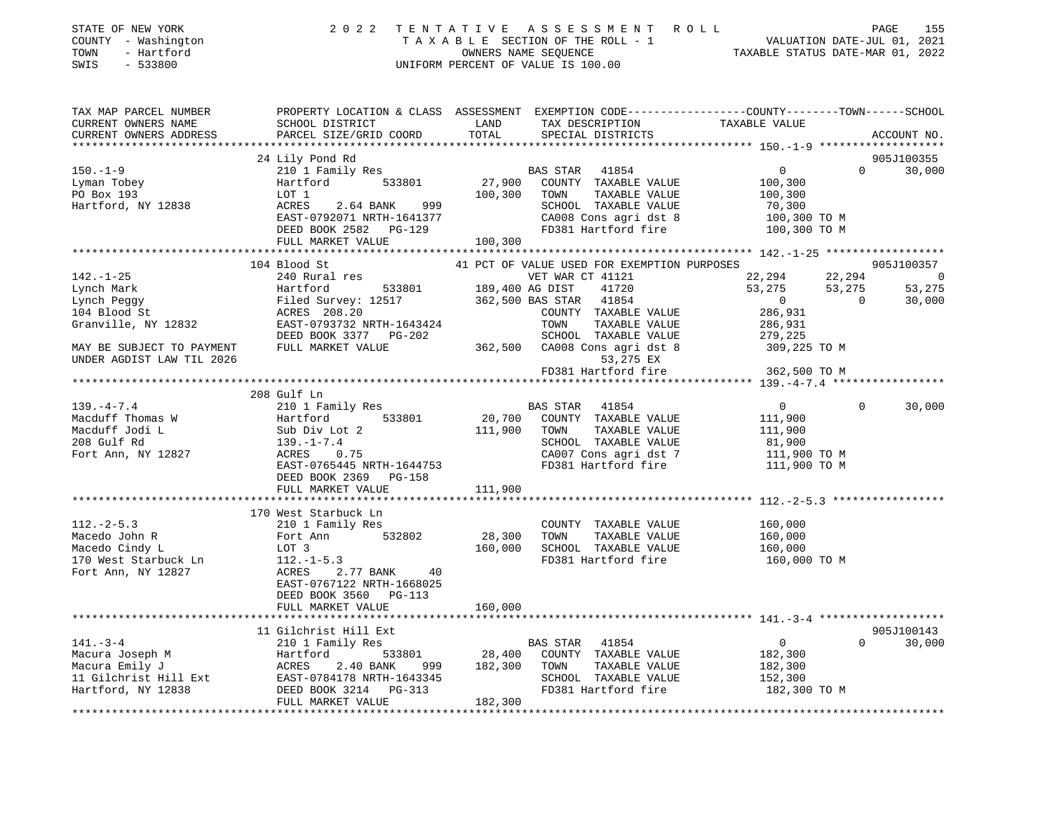| STATE OF NEW YORK<br>COUNTY - Washington<br>TOWN<br>- Hartford<br>SWIS<br>$-533800$   |                                            |                                                                                                                                                                                                                                                          |                                                                                                                                                                                                                                                                          |
|---------------------------------------------------------------------------------------|--------------------------------------------|----------------------------------------------------------------------------------------------------------------------------------------------------------------------------------------------------------------------------------------------------------|--------------------------------------------------------------------------------------------------------------------------------------------------------------------------------------------------------------------------------------------------------------------------|
| TAX MAP PARCEL NUMBER                                                                 |                                            | CURRENT OWNERS NAME SCHOOL DISTRICT LAND TAX DESCRIPTION TAXABLE VALUE<br>CURRENT OWNERS NAME SCHOOL DISTRICT LAND TAX DESCRIPTION TAXABLE VALUE<br>CURRENT OWNERS ADDRESS PARCEL SIZE/GRID COORD TOTAL SPECIAL DISTRICTS                                | PROPERTY LOCATION & CLASS ASSESSMENT EXEMPTION CODE---------------COUNTY-------TOWN-----SCHOOL<br>ACCOUNT NO.                                                                                                                                                            |
|                                                                                       |                                            |                                                                                                                                                                                                                                                          |                                                                                                                                                                                                                                                                          |
|                                                                                       | 24 Lily Pond Rd                            | % CONTY TAXABLE VALUE 100,300 TOM DEED BOOK 2582 PG-129<br>TAXABLE VALUE 100,300 TOM TAXABLE VALUE 100,300 TOM TAXABLE VALUE 100,300 TOM TAXABLE VALUE 100,300 TOM ACRES<br>EAST-0792071 NRTH-1641377 CA008 Cons agri dst 8 100,3                        | 905J100355                                                                                                                                                                                                                                                               |
| $150. - 1 - 9$                                                                        |                                            |                                                                                                                                                                                                                                                          | $0 \t 30,000$                                                                                                                                                                                                                                                            |
|                                                                                       |                                            |                                                                                                                                                                                                                                                          |                                                                                                                                                                                                                                                                          |
| Lyman Tobey<br>Martford<br>PO Box 193<br>Hartford, NY 12838<br>ACRES<br>ACRES<br>PORT |                                            |                                                                                                                                                                                                                                                          |                                                                                                                                                                                                                                                                          |
|                                                                                       |                                            |                                                                                                                                                                                                                                                          |                                                                                                                                                                                                                                                                          |
|                                                                                       |                                            |                                                                                                                                                                                                                                                          |                                                                                                                                                                                                                                                                          |
|                                                                                       |                                            |                                                                                                                                                                                                                                                          |                                                                                                                                                                                                                                                                          |
|                                                                                       |                                            |                                                                                                                                                                                                                                                          |                                                                                                                                                                                                                                                                          |
|                                                                                       |                                            |                                                                                                                                                                                                                                                          |                                                                                                                                                                                                                                                                          |
|                                                                                       |                                            |                                                                                                                                                                                                                                                          |                                                                                                                                                                                                                                                                          |
|                                                                                       |                                            |                                                                                                                                                                                                                                                          |                                                                                                                                                                                                                                                                          |
|                                                                                       |                                            |                                                                                                                                                                                                                                                          |                                                                                                                                                                                                                                                                          |
|                                                                                       |                                            |                                                                                                                                                                                                                                                          |                                                                                                                                                                                                                                                                          |
|                                                                                       |                                            |                                                                                                                                                                                                                                                          |                                                                                                                                                                                                                                                                          |
|                                                                                       |                                            |                                                                                                                                                                                                                                                          | $[142.-1-25$ 104 Blood St<br>240 Rural res<br>Lynch Mark<br>240 Rural res<br>Lynch Mark<br>240 Rural res<br>22,294<br>22,294<br>22,294<br>22,294<br>22,294<br>22,294<br>22,294<br>22,294<br>22,294<br>22,294<br>22,294<br>22,294<br>22,294<br>22,294<br>22,294<br>22,294 |
| UNDER AGDIST LAW TIL 2026                                                             |                                            | 53,275 EX<br>FD381 Hartford fire 362,500 TO M                                                                                                                                                                                                            |                                                                                                                                                                                                                                                                          |
|                                                                                       |                                            |                                                                                                                                                                                                                                                          |                                                                                                                                                                                                                                                                          |
|                                                                                       | 208 Gulf Ln                                |                                                                                                                                                                                                                                                          |                                                                                                                                                                                                                                                                          |
|                                                                                       |                                            |                                                                                                                                                                                                                                                          | $0 \t 30,000$                                                                                                                                                                                                                                                            |
|                                                                                       |                                            |                                                                                                                                                                                                                                                          |                                                                                                                                                                                                                                                                          |
|                                                                                       |                                            |                                                                                                                                                                                                                                                          |                                                                                                                                                                                                                                                                          |
|                                                                                       |                                            |                                                                                                                                                                                                                                                          |                                                                                                                                                                                                                                                                          |
|                                                                                       |                                            |                                                                                                                                                                                                                                                          |                                                                                                                                                                                                                                                                          |
|                                                                                       |                                            |                                                                                                                                                                                                                                                          |                                                                                                                                                                                                                                                                          |
|                                                                                       | DEED BOOK 2369 PG-158                      |                                                                                                                                                                                                                                                          |                                                                                                                                                                                                                                                                          |
|                                                                                       | FULL MARKET VALUE                          | 111,900                                                                                                                                                                                                                                                  |                                                                                                                                                                                                                                                                          |
|                                                                                       |                                            | 112.-2-5.3<br>Macedo John R<br>Macedo Cindy L<br>Macedo Cindy L<br>Macedo Cindy L<br>Macedo Cindy L<br>Macedo Cindy L<br>Macedo Cindy L<br>LOT 3<br>170 West Starbuck Ln<br>Fort Ann, NY 12827<br>EAST-0767122 NETTICOLOL<br>EAST-0767122 NETTICOLOL<br> |                                                                                                                                                                                                                                                                          |
|                                                                                       |                                            |                                                                                                                                                                                                                                                          |                                                                                                                                                                                                                                                                          |
|                                                                                       |                                            |                                                                                                                                                                                                                                                          |                                                                                                                                                                                                                                                                          |
|                                                                                       |                                            |                                                                                                                                                                                                                                                          | TAXABLE VALUE $160,000$<br>TAXABLE VALUE $160,000$<br>TAXABLE VALUE $160,000$<br>artford fire $160,000$ TO M                                                                                                                                                             |
|                                                                                       |                                            | FD381 Hartford fire                                                                                                                                                                                                                                      |                                                                                                                                                                                                                                                                          |
|                                                                                       |                                            |                                                                                                                                                                                                                                                          |                                                                                                                                                                                                                                                                          |
|                                                                                       |                                            |                                                                                                                                                                                                                                                          |                                                                                                                                                                                                                                                                          |
|                                                                                       | DEED BOOK 3560 PG-113<br>FULL MARKET VALUE | 160,000                                                                                                                                                                                                                                                  |                                                                                                                                                                                                                                                                          |
|                                                                                       |                                            |                                                                                                                                                                                                                                                          |                                                                                                                                                                                                                                                                          |
|                                                                                       |                                            |                                                                                                                                                                                                                                                          | 141.-3-4<br>Macura Joseph M<br>Macura Emily J<br>Macura Emily J<br>Macura Emily J<br>Macura Emily J<br>Macura Emily J<br>Macura Emily J<br>Macura Emily J<br>Macura Emily J<br>Macura Emily J<br>Macura Emily J<br>Macura Emily J<br>Macura Emily J<br>Mac               |
|                                                                                       |                                            |                                                                                                                                                                                                                                                          |                                                                                                                                                                                                                                                                          |
|                                                                                       |                                            |                                                                                                                                                                                                                                                          |                                                                                                                                                                                                                                                                          |
|                                                                                       |                                            |                                                                                                                                                                                                                                                          |                                                                                                                                                                                                                                                                          |
|                                                                                       |                                            |                                                                                                                                                                                                                                                          |                                                                                                                                                                                                                                                                          |
|                                                                                       |                                            |                                                                                                                                                                                                                                                          |                                                                                                                                                                                                                                                                          |

\*\*\*\*\*\*\*\*\*\*\*\*\*\*\*\*\*\*\*\*\*\*\*\*\*\*\*\*\*\*\*\*\*\*\*\*\*\*\*\*\*\*\*\*\*\*\*\*\*\*\*\*\*\*\*\*\*\*\*\*\*\*\*\*\*\*\*\*\*\*\*\*\*\*\*\*\*\*\*\*\*\*\*\*\*\*\*\*\*\*\*\*\*\*\*\*\*\*\*\*\*\*\*\*\*\*\*\*\*\*\*\*\*\*\*\*\*\*\*\*\*\*\*\*\*\*\*\*\*\*\*\*

FULL MARKET VALUE 182,300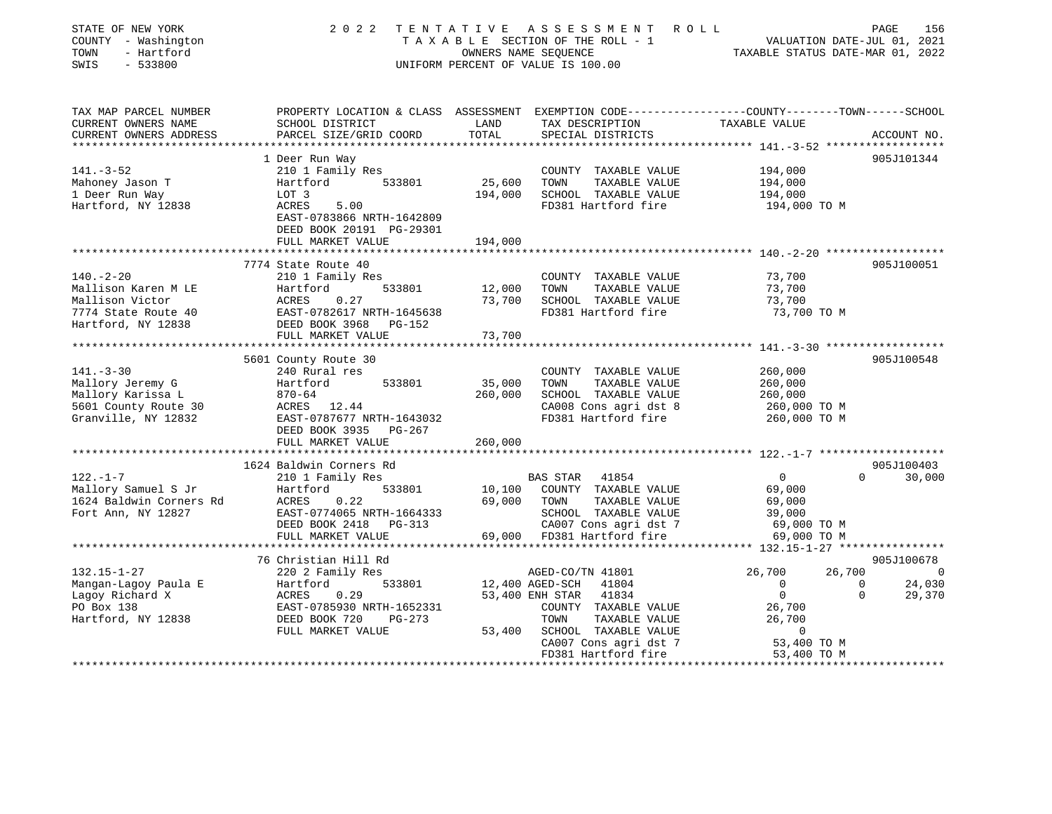| STATE OF NEW YORK<br>COUNTY - Washington<br>TOWN<br>- Hartford<br>SWIS<br>$-533800$ | 2 0 2 2                                                                                          | TENTATIVE     | ASSESSMENT ROLL<br>TAXABLE SECTION OF THE ROLL - 1<br>OWNERS NAME SEQUENCE<br>UNIFORM PERCENT OF VALUE IS 100.00 | TAXABLE STATUS DATE-MAR 01, 2022 | PAGE<br>156<br>VALUATION DATE-JUL 01, 2021 |
|-------------------------------------------------------------------------------------|--------------------------------------------------------------------------------------------------|---------------|------------------------------------------------------------------------------------------------------------------|----------------------------------|--------------------------------------------|
| TAX MAP PARCEL NUMBER                                                               | PROPERTY LOCATION & CLASS ASSESSMENT EXEMPTION CODE----------------COUNTY-------TOWN------SCHOOL |               |                                                                                                                  |                                  |                                            |
| CURRENT OWNERS NAME<br>CURRENT OWNERS ADDRESS                                       | SCHOOL DISTRICT<br>PARCEL SIZE/GRID COORD                                                        | LAND<br>TOTAL | TAX DESCRIPTION<br>SPECIAL DISTRICTS                                                                             | TAXABLE VALUE                    | ACCOUNT NO.                                |
|                                                                                     |                                                                                                  |               |                                                                                                                  |                                  |                                            |
|                                                                                     | 1 Deer Run Way                                                                                   |               |                                                                                                                  |                                  | 905J101344                                 |
| $141. - 3 - 52$                                                                     | 210 1 Family Res<br>533801                                                                       |               | COUNTY TAXABLE VALUE<br>TAXABLE VALUE                                                                            | 194,000                          |                                            |
| Mahoney Jason T                                                                     | Hartford                                                                                         | 25,600        | TOWN                                                                                                             | 194,000                          |                                            |
| 1 Deer Run Way<br>Hartford, NY 12838                                                | LOT 3<br>ACRES<br>5.00                                                                           | 194,000       | SCHOOL TAXABLE VALUE<br>FD381 Hartford fire                                                                      | 194,000<br>194,000 TO M          |                                            |
|                                                                                     | EAST-0783866 NRTH-1642809<br>DEED BOOK 20191 PG-29301                                            |               |                                                                                                                  |                                  |                                            |
|                                                                                     | FULL MARKET VALUE                                                                                | 194,000       |                                                                                                                  |                                  |                                            |
|                                                                                     | ************************                                                                         |               |                                                                                                                  |                                  |                                            |
|                                                                                     | 7774 State Route 40                                                                              |               |                                                                                                                  |                                  | 905J100051                                 |
| $140. - 2 - 20$                                                                     | 210 1 Family Res                                                                                 |               | COUNTY TAXABLE VALUE                                                                                             | 73,700                           |                                            |
| Mallison Karen M LE                                                                 | 533801<br>Hartford                                                                               | 12,000        | TOWN<br>TAXABLE VALUE                                                                                            | 73,700                           |                                            |
| Mallison Victor<br>7774 State Route 40                                              | ACRES<br>0.27                                                                                    | 73,700        | SCHOOL TAXABLE VALUE<br>FD381 Hartford fire                                                                      | 73,700<br>73,700 TO M            |                                            |
| Hartford, NY 12838                                                                  | EAST-0782617 NRTH-1645638<br>DEED BOOK 3968<br>PG-152                                            |               |                                                                                                                  |                                  |                                            |
|                                                                                     | FULL MARKET VALUE                                                                                | 73,700        |                                                                                                                  |                                  |                                            |
|                                                                                     | **************************                                                                       | ************* |                                                                                                                  |                                  |                                            |
|                                                                                     | 5601 County Route 30                                                                             |               |                                                                                                                  |                                  | 905J100548                                 |
| $141. - 3 - 30$                                                                     | 240 Rural res                                                                                    |               | COUNTY TAXABLE VALUE                                                                                             | 260,000                          |                                            |
| Mallory Jeremy G                                                                    | Hartford<br>533801                                                                               | 35,000        | TOWN<br>TAXABLE VALUE                                                                                            | 260,000                          |                                            |
| Mallory Karissa L                                                                   | $870 - 64$                                                                                       | 260,000       | SCHOOL TAXABLE VALUE                                                                                             | 260,000                          |                                            |
| 5601 County Route 30                                                                | ACRES 12.44                                                                                      |               | CA008 Cons agri dst 8                                                                                            | 260,000 TO M                     |                                            |
| Granville, NY 12832                                                                 | EAST-0787677 NRTH-1643032                                                                        |               | FD381 Hartford fire                                                                                              | 260,000 TO M                     |                                            |
|                                                                                     | DEED BOOK 3935 PG-267                                                                            |               |                                                                                                                  |                                  |                                            |
|                                                                                     | FULL MARKET VALUE                                                                                | 260,000       |                                                                                                                  |                                  |                                            |
|                                                                                     |                                                                                                  |               |                                                                                                                  |                                  |                                            |
|                                                                                     | 1624 Baldwin Corners Rd                                                                          |               |                                                                                                                  |                                  | 905J100403                                 |
| $122. - 1 - 7$                                                                      | 210 1 Family Res                                                                                 |               | BAS STAR 41854                                                                                                   | $\overline{0}$                   | $\Omega$<br>30,000                         |
| Mallory Samuel S Jr                                                                 | 533801<br>Hartford                                                                               | 10,100        | COUNTY TAXABLE VALUE                                                                                             | 69,000                           |                                            |
| 1624 Baldwin Corners Rd                                                             | 0.22<br>ACRES                                                                                    | 69,000        | TOWN<br>TAXABLE VALUE                                                                                            | 69,000                           |                                            |
| Fort Ann, NY 12827                                                                  | EAST-0774065 NRTH-1664333                                                                        |               | SCHOOL TAXABLE VALUE                                                                                             | 39,000                           |                                            |
|                                                                                     | DEED BOOK 2418 PG-313                                                                            |               | CA007 Cons agri dst 7                                                                                            | 69,000 TO M                      |                                            |
|                                                                                     | FULL MARKET VALUE                                                                                |               | 69,000 FD381 Hartford fire                                                                                       | 69,000 TO M                      |                                            |
|                                                                                     |                                                                                                  |               |                                                                                                                  |                                  |                                            |
|                                                                                     | 76 Christian Hill Rd                                                                             |               |                                                                                                                  |                                  | 905J100678                                 |
| $132.15 - 1 - 27$                                                                   | 220 2 Family Res                                                                                 |               | AGED-CO/TN 41801                                                                                                 | 26,700<br>26,700                 | $\overline{\phantom{0}}$                   |
| Mangan-Lagoy Paula E                                                                | Hartford<br>533801                                                                               |               | 12,400 AGED-SCH<br>41804                                                                                         | $\overline{0}$<br>$\overline{0}$ | 24,030<br>$\overline{0}$<br>$\Omega$       |
| Lagoy Richard X<br>PO Box 138                                                       | 0.29<br>ACRES<br>EAST-0785930 NRTH-1652331                                                       |               | 53,400 ENH STAR<br>41834<br>COUNTY TAXABLE VALUE                                                                 |                                  | 29,370                                     |
|                                                                                     |                                                                                                  |               | TOWN<br>TAXABLE VALUE                                                                                            | 26,700<br>26,700                 |                                            |
| Hartford, NY 12838                                                                  | DEED BOOK 720<br>$PG-273$                                                                        | 53,400        | SCHOOL TAXABLE VALUE                                                                                             | $\mathbf{0}$                     |                                            |
|                                                                                     | FULL MARKET VALUE                                                                                |               | CA007 Cons agri dst 7                                                                                            | 53,400 TO M                      |                                            |
|                                                                                     |                                                                                                  |               | FD381 Hartford fire                                                                                              | 53,400 TO M                      |                                            |
|                                                                                     |                                                                                                  |               |                                                                                                                  |                                  |                                            |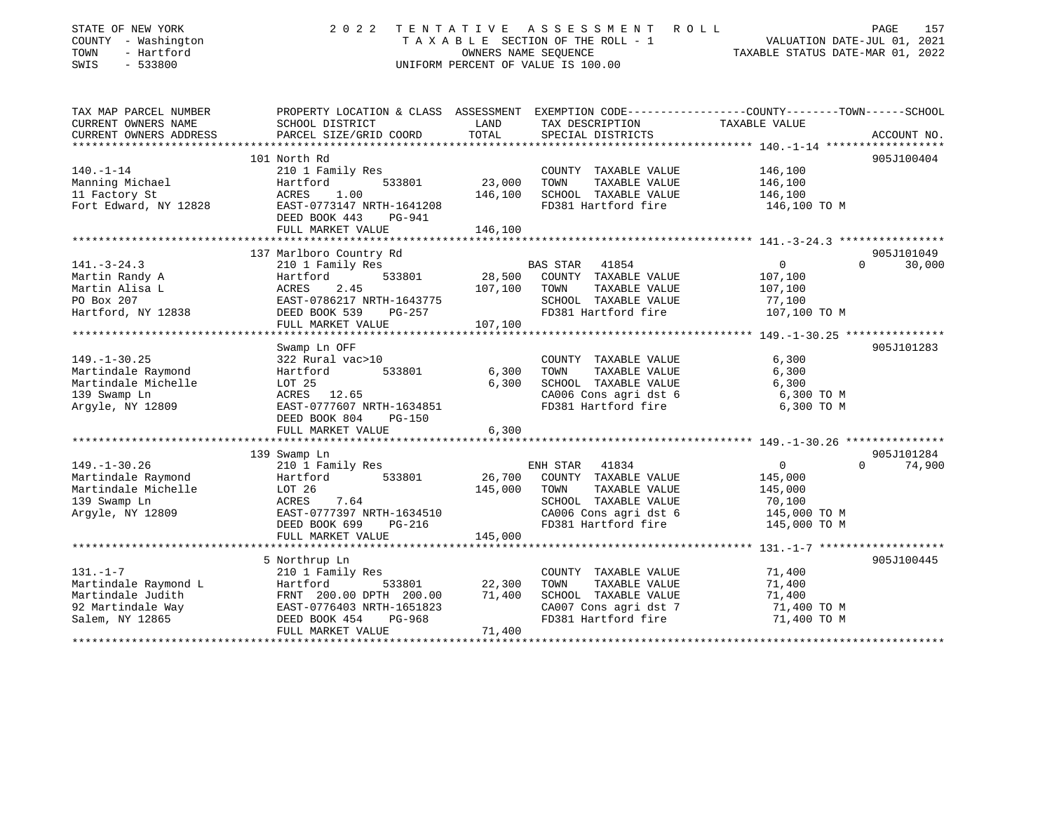| STATE OF NEW YORK<br>COUNTY - Washington<br>- Hartford<br>TOWN<br>SWIS<br>$-533800$ | 2 0 2 2                                              | TENTATIVE<br>OWNERS NAME SEQUENCE | A S S E S S M E N T<br>R O L L<br>TAXABLE SECTION OF THE ROLL - 1<br>UNIFORM PERCENT OF VALUE IS 100.00 | PAGE<br>157<br>VALUATION DATE-JUL 01, 2021<br>TAXABLE STATUS DATE-MAR 01, 2022                                  |
|-------------------------------------------------------------------------------------|------------------------------------------------------|-----------------------------------|---------------------------------------------------------------------------------------------------------|-----------------------------------------------------------------------------------------------------------------|
| TAX MAP PARCEL NUMBER<br>CURRENT OWNERS NAME                                        | SCHOOL DISTRICT                                      | LAND                              | TAX DESCRIPTION                                                                                         | PROPERTY LOCATION & CLASS ASSESSMENT EXEMPTION CODE---------------COUNTY-------TOWN-----SCHOOL<br>TAXABLE VALUE |
| CURRENT OWNERS ADDRESS                                                              | PARCEL SIZE/GRID COORD                               | TOTAL                             | SPECIAL DISTRICTS                                                                                       | ACCOUNT NO.                                                                                                     |
|                                                                                     |                                                      |                                   |                                                                                                         |                                                                                                                 |
|                                                                                     | 101 North Rd                                         |                                   |                                                                                                         | 905J100404                                                                                                      |
| $140. - 1 - 14$                                                                     | 210 1 Family Res                                     |                                   | COUNTY TAXABLE VALUE                                                                                    | 146,100                                                                                                         |
| Manning Michael                                                                     | Hartford<br>533801                                   | 23,000                            | TAXABLE VALUE<br>TOWN                                                                                   | 146,100                                                                                                         |
| 11 Factory St                                                                       | ACRES<br>1.00                                        | 146,100                           | SCHOOL TAXABLE VALUE                                                                                    | 146,100                                                                                                         |
| Fort Edward, NY 12828                                                               | EAST-0773147 NRTH-1641208<br>DEED BOOK 443<br>PG-941 |                                   | FD381 Hartford fire                                                                                     | 146,100 TO M                                                                                                    |
|                                                                                     | FULL MARKET VALUE                                    | 146,100                           |                                                                                                         |                                                                                                                 |
|                                                                                     |                                                      |                                   |                                                                                                         |                                                                                                                 |
|                                                                                     | 137 Marlboro Country Rd                              |                                   |                                                                                                         | 905J101049                                                                                                      |
| $141. - 3 - 24.3$                                                                   | 210 1 Family Res                                     |                                   | <b>BAS STAR</b><br>41854                                                                                | $\circ$<br>30,000<br>$\Omega$                                                                                   |
| Martin Randy A                                                                      | Hartford<br>533801                                   | 28,500                            | COUNTY TAXABLE VALUE                                                                                    | 107,100                                                                                                         |
| Martin Alisa L                                                                      | 2.45<br>ACRES                                        | 107,100                           | TOWN<br>TAXABLE VALUE                                                                                   | 107,100                                                                                                         |
| PO Box 207                                                                          | EAST-0786217 NRTH-1643775                            |                                   | SCHOOL TAXABLE VALUE                                                                                    | 77,100                                                                                                          |
| Hartford, NY 12838                                                                  | DEED BOOK 539<br>$PG-257$<br>FULL MARKET VALUE       | 107,100                           | FD381 Hartford fire                                                                                     | 107,100 TO M                                                                                                    |
|                                                                                     | *********************                                |                                   |                                                                                                         |                                                                                                                 |
|                                                                                     | Swamp Ln OFF                                         |                                   |                                                                                                         | 905J101283                                                                                                      |
| $149. - 1 - 30.25$                                                                  | 322 Rural vac>10                                     |                                   | COUNTY TAXABLE VALUE                                                                                    | 6,300                                                                                                           |
| Martindale Raymond                                                                  | 533801<br>Hartford                                   | 6,300                             | TOWN<br>TAXABLE VALUE                                                                                   | 6,300                                                                                                           |
| Martindale Michelle                                                                 | LOT 25                                               | 6,300                             | SCHOOL TAXABLE VALUE                                                                                    | 6,300                                                                                                           |
| 139 Swamp Ln                                                                        | ACRES<br>12.65                                       |                                   | CA006 Cons agri dst 6                                                                                   | 6,300 TO M                                                                                                      |
| Argyle, NY 12809                                                                    | EAST-0777607 NRTH-1634851                            |                                   | FD381 Hartford fire                                                                                     | 6,300 TO M                                                                                                      |
|                                                                                     | DEED BOOK 804<br><b>PG-150</b>                       |                                   |                                                                                                         |                                                                                                                 |
|                                                                                     | FULL MARKET VALUE                                    | 6,300                             |                                                                                                         |                                                                                                                 |
|                                                                                     | 139 Swamp Ln                                         |                                   |                                                                                                         | 905J101284                                                                                                      |
| $149. - 1 - 30.26$                                                                  | 210 1 Family Res                                     |                                   | 41834<br>ENH STAR                                                                                       | 74,900<br>$\mathbf 0$<br>$\Omega$                                                                               |
| Martindale Raymond                                                                  | 533801<br>Hartford                                   | 26,700                            | COUNTY TAXABLE VALUE                                                                                    | 145,000                                                                                                         |
| Martindale Michelle                                                                 | LOT 26                                               | 145,000                           | TOWN<br>TAXABLE VALUE                                                                                   | 145,000                                                                                                         |
| 139 Swamp Ln                                                                        | ACRES<br>7.64                                        |                                   | SCHOOL TAXABLE VALUE                                                                                    | 70,100                                                                                                          |
| Argyle, NY 12809                                                                    | EAST-0777397 NRTH-1634510                            |                                   | CA006 Cons agri dst 6                                                                                   | 145,000 TO M                                                                                                    |
|                                                                                     | DEED BOOK 699<br>$PG-216$                            |                                   | FD381 Hartford fire                                                                                     | 145,000 TO M                                                                                                    |
|                                                                                     | FULL MARKET VALUE<br>*********************           | 145,000                           |                                                                                                         |                                                                                                                 |
|                                                                                     | 5 Northrup Ln                                        |                                   |                                                                                                         | 905J100445                                                                                                      |
| $131. - 1 - 7$                                                                      | 210 1 Family Res                                     |                                   | COUNTY TAXABLE VALUE                                                                                    | 71,400                                                                                                          |
| Martindale Raymond L                                                                | Hartford<br>533801                                   | 22,300                            | TOWN<br>TAXABLE VALUE                                                                                   | 71,400                                                                                                          |
| Martindale Judith                                                                   | FRNT 200.00 DPTH 200.00                              | 71,400                            | SCHOOL TAXABLE VALUE                                                                                    | 71,400                                                                                                          |
| 92 Martindale Way                                                                   | EAST-0776403 NRTH-1651823                            |                                   | CA007 Cons agri dst 7                                                                                   | 71,400 TO M                                                                                                     |
| Salem, NY 12865                                                                     | DEED BOOK 454<br>PG-968                              |                                   | FD381 Hartford fire                                                                                     | 71,400 TO M                                                                                                     |
|                                                                                     | FULL MARKET VALUE                                    | 71,400                            |                                                                                                         |                                                                                                                 |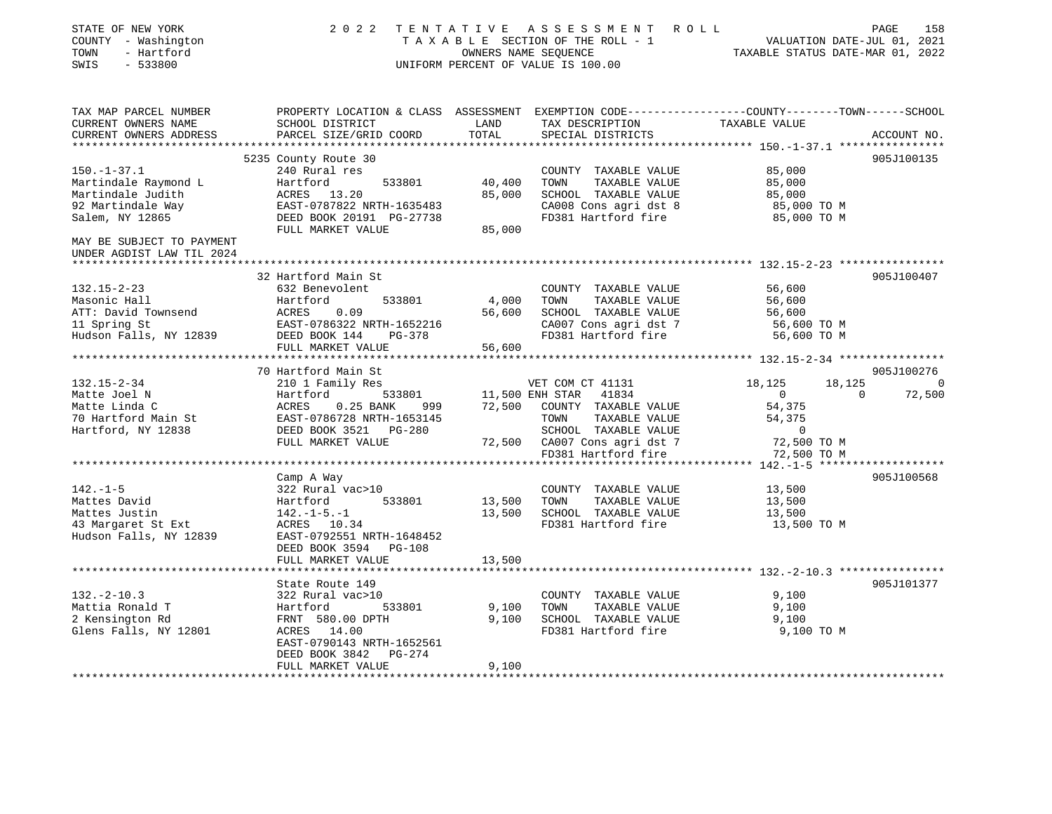| STATE OF NEW YORK<br>COUNTY - Washington<br>- Hartford<br>TOWN<br>SWIS<br>$-533800$ | 2 0 2 2                                                                                        | OWNERS NAME SEOUENCE | TENTATIVE ASSESSMENT ROLL<br>TAXABLE SECTION OF THE ROLL - 1<br>UNIFORM PERCENT OF VALUE IS 100.00 | TAXABLE STATUS DATE-MAR 01, 2022 | PAGE<br>158<br>VALUATION DATE-JUL 01, 2021 |
|-------------------------------------------------------------------------------------|------------------------------------------------------------------------------------------------|----------------------|----------------------------------------------------------------------------------------------------|----------------------------------|--------------------------------------------|
| TAX MAP PARCEL NUMBER                                                               | PROPERTY LOCATION & CLASS ASSESSMENT EXEMPTION CODE---------------COUNTY-------TOWN-----SCHOOL |                      |                                                                                                    |                                  |                                            |
| CURRENT OWNERS NAME<br>CURRENT OWNERS ADDRESS                                       | SCHOOL DISTRICT<br>PARCEL SIZE/GRID COORD                                                      | LAND<br>TOTAL        | TAX DESCRIPTION<br>SPECIAL DISTRICTS                                                               | TAXABLE VALUE                    | ACCOUNT NO.                                |
|                                                                                     |                                                                                                |                      |                                                                                                    |                                  | 905J100135                                 |
| $150. - 1 - 37.1$                                                                   | 5235 County Route 30                                                                           |                      |                                                                                                    | 85,000                           |                                            |
| Martindale Raymond L                                                                | 240 Rural res<br>Hartford<br>533801                                                            | 40,400               | COUNTY TAXABLE VALUE<br>TOWN<br>TAXABLE VALUE                                                      | 85,000                           |                                            |
| Martindale Judith                                                                   | ACRES 13.20                                                                                    | 85,000               | SCHOOL TAXABLE VALUE                                                                               | 85,000                           |                                            |
| 92 Martindale Way                                                                   | EAST-0787822 NRTH-1635483                                                                      |                      | CA008 Cons agri dst 8                                                                              | 85,000 TO M                      |                                            |
| Salem, NY 12865                                                                     | DEED BOOK 20191 PG-27738                                                                       |                      | FD381 Hartford fire                                                                                | 85,000 TO M                      |                                            |
|                                                                                     | FULL MARKET VALUE                                                                              | 85,000               |                                                                                                    |                                  |                                            |
| MAY BE SUBJECT TO PAYMENT<br>UNDER AGDIST LAW TIL 2024                              |                                                                                                |                      |                                                                                                    |                                  |                                            |
|                                                                                     |                                                                                                |                      |                                                                                                    |                                  |                                            |
|                                                                                     | 32 Hartford Main St                                                                            |                      |                                                                                                    |                                  | 905J100407                                 |
| $132.15 - 2 - 23$                                                                   | 632 Benevolent                                                                                 |                      | COUNTY TAXABLE VALUE                                                                               | 56,600                           |                                            |
| Masonic Hall                                                                        | Hartford<br>533801                                                                             | 4,000                | TOWN<br>TAXABLE VALUE                                                                              | 56,600                           |                                            |
| ATT: David Townsend                                                                 | ACRES 0.09<br>EAST-0786322 NRTH-1652216                                                        | 56,600               | SCHOOL TAXABLE VALUE                                                                               | 56,600                           |                                            |
| 11 Spring St<br>Hudson Falls, NY 12839                                              | DEED BOOK 144 PG-378                                                                           |                      | CA007 Cons agri dst 7<br>FD381 Hartford fire                                                       | 56,600 TO M<br>56,600 TO M       |                                            |
|                                                                                     | FULL MARKET VALUE                                                                              | 56,600               |                                                                                                    |                                  |                                            |
|                                                                                     |                                                                                                |                      |                                                                                                    |                                  |                                            |
|                                                                                     | 70 Hartford Main St                                                                            |                      |                                                                                                    |                                  | 905J100276                                 |
| $132.15 - 2 - 34$                                                                   | 210 1 Family Res                                                                               |                      | VET COM CT 41131                                                                                   | 18,125<br>18,125                 | $\sim$ 0                                   |
| Matte Joel N                                                                        | 533801<br>Hartford                                                                             |                      | 11,500 ENH STAR 41834                                                                              | $\overline{0}$                   | $\Omega$<br>72,500                         |
| Matte Linda C                                                                       | ACRES 0.25 BANK<br>999                                                                         |                      | 72,500 COUNTY TAXABLE VALUE                                                                        | 54,375                           |                                            |
| 70 Hartford Main St                                                                 | EAST-0786728 NRTH-1653145<br>DEED BOOK 3521 PG-280                                             |                      | TOWN<br>TAXABLE VALUE                                                                              | 54,375                           |                                            |
| Hartford, NY 12838                                                                  |                                                                                                |                      | SCHOOL TAXABLE VALUE                                                                               | $\overline{0}$                   |                                            |
|                                                                                     | FULL MARKET VALUE                                                                              |                      | 72,500 CA007 Cons agri dst 7                                                                       | 72,500 TO M                      |                                            |
|                                                                                     |                                                                                                |                      | FD381 Hartford fire                                                                                | 72,500 TO M                      |                                            |
|                                                                                     |                                                                                                |                      |                                                                                                    |                                  |                                            |
|                                                                                     | Camp A Way<br>322 Rural vac>10                                                                 |                      |                                                                                                    |                                  | 905J100568                                 |
| $142. - 1 - 5$<br>Mattes David                                                      | 533801<br>Hartford                                                                             | 13,500               | COUNTY TAXABLE VALUE<br>TOWN<br>TAXABLE VALUE                                                      | 13,500<br>13,500                 |                                            |
| Mattes Justin                                                                       | $142. - 1 - 5. - 1$                                                                            | 13,500               | SCHOOL TAXABLE VALUE                                                                               | 13,500                           |                                            |
| 43 Margaret St Ext                                                                  | ACRES 10.34                                                                                    |                      | FD381 Hartford fire                                                                                | 13,500 TO M                      |                                            |
| Hudson Falls, NY 12839                                                              | EAST-0792551 NRTH-1648452                                                                      |                      |                                                                                                    |                                  |                                            |
|                                                                                     | DEED BOOK 3594 PG-108                                                                          |                      |                                                                                                    |                                  |                                            |
|                                                                                     | FULL MARKET VALUE                                                                              | 13,500               |                                                                                                    |                                  |                                            |
|                                                                                     |                                                                                                |                      |                                                                                                    |                                  |                                            |
|                                                                                     | State Route 149                                                                                |                      |                                                                                                    |                                  | 905J101377                                 |
| $132. - 2 - 10.3$                                                                   | 322 Rural vac>10                                                                               |                      | COUNTY TAXABLE VALUE                                                                               | 9,100                            |                                            |
| Mattia Ronald T                                                                     | Hartford<br>533801                                                                             | 9,100                | TOWN<br>TAXABLE VALUE                                                                              | 9,100                            |                                            |
| 2 Kensington Rd                                                                     | FRNT 580.00 DPTH                                                                               | 9,100                | SCHOOL TAXABLE VALUE                                                                               | 9,100                            |                                            |
| Glens Falls, NY 12801                                                               | ACRES 14.00                                                                                    |                      | FD381 Hartford fire                                                                                | 9,100 TO M                       |                                            |
|                                                                                     | EAST-0790143 NRTH-1652561                                                                      |                      |                                                                                                    |                                  |                                            |
|                                                                                     | PG-274<br>DEED BOOK 3842<br>FULL MARKET VALUE                                                  | 9,100                |                                                                                                    |                                  |                                            |
|                                                                                     |                                                                                                |                      |                                                                                                    |                                  |                                            |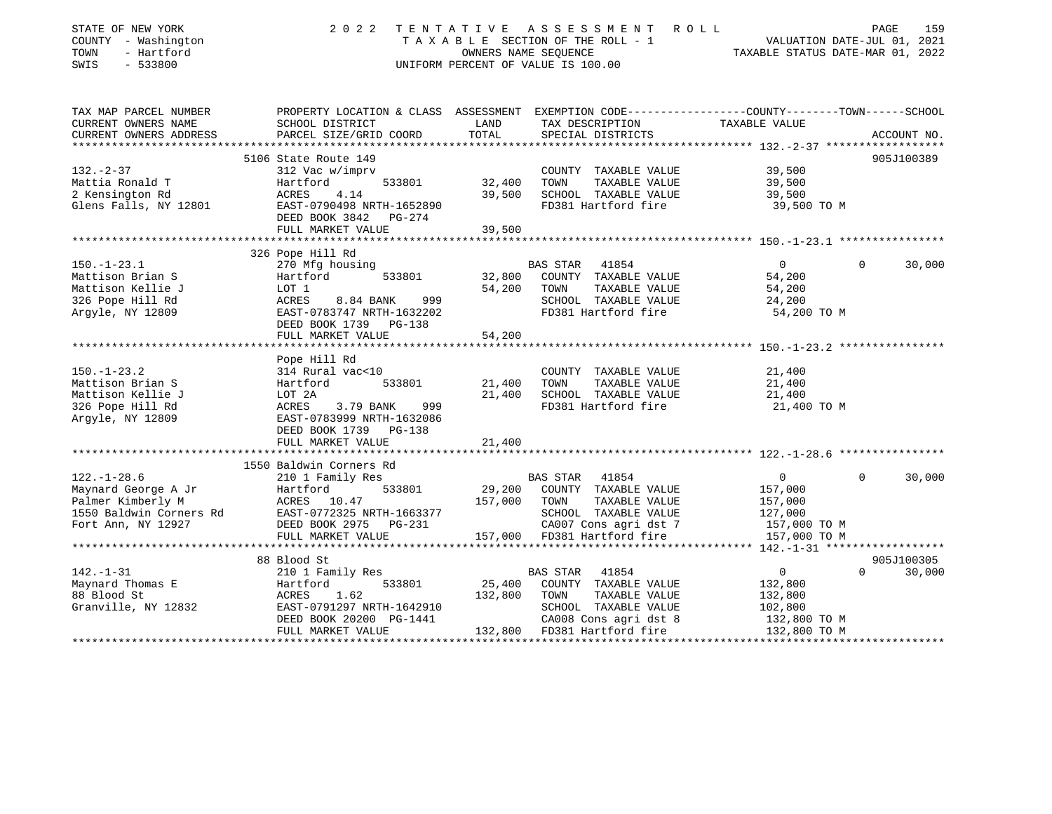| STATE OF NEW YORK<br>COUNTY - Washington<br>- Hartford<br>TOWN | 2 0 2 2<br>TENTATIVE                                                                            |         | A S S E S S M E N T<br>R O L L<br>TAXABLE SECTION OF THE ROLL - 1<br>OWNERS NAME SEQUENCE | VALUATION DATE-JUL 01, 2021<br>TAXABLE STATUS DATE-MAR 01, 2022 |          | PAGE<br>159 |
|----------------------------------------------------------------|-------------------------------------------------------------------------------------------------|---------|-------------------------------------------------------------------------------------------|-----------------------------------------------------------------|----------|-------------|
| $-533800$<br>SWIS                                              |                                                                                                 |         | UNIFORM PERCENT OF VALUE IS 100.00                                                        |                                                                 |          |             |
| TAX MAP PARCEL NUMBER                                          | PROPERTY LOCATION & CLASS ASSESSMENT EXEMPTION CODE---------------COUNTY-------TOWN------SCHOOL |         |                                                                                           |                                                                 |          |             |
| CURRENT OWNERS NAME                                            | SCHOOL DISTRICT                                                                                 | LAND    | TAX DESCRIPTION                                                                           | TAXABLE VALUE                                                   |          |             |
| CURRENT OWNERS ADDRESS                                         | PARCEL SIZE/GRID COORD                                                                          | TOTAL   | SPECIAL DISTRICTS                                                                         |                                                                 |          | ACCOUNT NO. |
|                                                                | 5106 State Route 149                                                                            |         |                                                                                           |                                                                 |          | 905J100389  |
| $132 - 2 - 37$                                                 | 312 Vac w/imprv                                                                                 |         | COUNTY TAXABLE VALUE                                                                      | 39,500                                                          |          |             |
| Mattia Ronald T                                                | Hartford<br>533801                                                                              | 32,400  | TOWN<br>TAXABLE VALUE                                                                     | 39,500                                                          |          |             |
| 2 Kensington Rd                                                | 4.14<br>ACRES                                                                                   | 39,500  | SCHOOL TAXABLE VALUE                                                                      | 39,500                                                          |          |             |
| Glens Falls, NY 12801                                          | EAST-0790498 NRTH-1652890                                                                       |         | FD381 Hartford fire                                                                       | 39,500 TO M                                                     |          |             |
|                                                                | DEED BOOK 3842<br>PG-274                                                                        |         |                                                                                           |                                                                 |          |             |
|                                                                | FULL MARKET VALUE                                                                               | 39,500  |                                                                                           |                                                                 |          |             |
|                                                                | 326 Pope Hill Rd                                                                                |         |                                                                                           |                                                                 |          |             |
| $150. - 1 - 23.1$                                              | 270 Mfg housing                                                                                 |         | BAS STAR<br>41854                                                                         | $\overline{0}$                                                  | $\Omega$ | 30,000      |
| Mattison Brian S                                               | Hartford<br>533801                                                                              | 32,800  | COUNTY TAXABLE VALUE                                                                      | 54,200                                                          |          |             |
| Mattison Kellie J                                              | LOT 1                                                                                           | 54,200  | TAXABLE VALUE<br>TOWN                                                                     | 54,200                                                          |          |             |
| 326 Pope Hill Rd                                               | ACRES<br>8.84 BANK<br>999                                                                       |         | SCHOOL TAXABLE VALUE                                                                      | 24,200                                                          |          |             |
| Argyle, NY 12809                                               | EAST-0783747 NRTH-1632202                                                                       |         | FD381 Hartford fire                                                                       | 54,200 TO M                                                     |          |             |
|                                                                | DEED BOOK 1739<br>PG-138                                                                        |         |                                                                                           |                                                                 |          |             |
|                                                                | FULL MARKET VALUE                                                                               | 54,200  |                                                                                           |                                                                 |          |             |
|                                                                |                                                                                                 |         |                                                                                           |                                                                 |          |             |
|                                                                | Pope Hill Rd                                                                                    |         |                                                                                           |                                                                 |          |             |
| $150. - 1 - 23.2$                                              | 314 Rural vac<10                                                                                |         | COUNTY TAXABLE VALUE                                                                      | 21,400                                                          |          |             |
| Mattison Brian S                                               | Hartford<br>533801                                                                              | 21,400  | TAXABLE VALUE<br>TOWN                                                                     | 21,400                                                          |          |             |
| Mattison Kellie J                                              | LOT 2A                                                                                          | 21,400  | SCHOOL TAXABLE VALUE                                                                      | 21,400                                                          |          |             |
| 326 Pope Hill Rd                                               | 3.79 BANK<br>999<br>ACRES<br>EAST-0783999 NRTH-1632086                                          |         | FD381 Hartford fire                                                                       | 21,400 TO M                                                     |          |             |
| Argyle, NY 12809                                               | DEED BOOK 1739<br><b>PG-138</b>                                                                 |         |                                                                                           |                                                                 |          |             |
|                                                                | FULL MARKET VALUE                                                                               | 21,400  |                                                                                           |                                                                 |          |             |
|                                                                |                                                                                                 |         |                                                                                           |                                                                 |          |             |
|                                                                | 1550 Baldwin Corners Rd                                                                         |         |                                                                                           |                                                                 |          |             |
| $122. - 1 - 28.6$                                              | 210 1 Family Res                                                                                |         | 41854<br>BAS STAR                                                                         | $\overline{0}$                                                  | $\Omega$ | 30,000      |
| Maynard George A Jr                                            | 533801<br>Hartford                                                                              | 29,200  | COUNTY TAXABLE VALUE                                                                      | 157,000                                                         |          |             |
| Palmer Kimberly M                                              | ACRES 10.47                                                                                     | 157,000 | TOWN<br>TAXABLE VALUE                                                                     | 157,000                                                         |          |             |
| 1550 Baldwin Corners Rd                                        | EAST-0772325 NRTH-1663377                                                                       |         | SCHOOL TAXABLE VALUE                                                                      | 127,000                                                         |          |             |
| Fort Ann, NY 12927                                             | DEED BOOK 2975<br>PG-231                                                                        |         | CA007 Cons agri dst 7                                                                     | 157,000 TO M                                                    |          |             |
|                                                                | FULL MARKET VALUE<br>*********************                                                      | 157,000 | FD381 Hartford fire                                                                       | 157,000 TO M                                                    |          |             |
|                                                                | 88 Blood St                                                                                     |         |                                                                                           | ********* 142.-1-31 *******************                         |          | 905J100305  |
| $142. - 1 - 31$                                                | 210 1 Family Res                                                                                |         | 41854<br>BAS STAR                                                                         | $\overline{0}$                                                  | $\Omega$ | 30,000      |
| Maynard Thomas E                                               | 533801<br>Hartford                                                                              | 25,400  | COUNTY TAXABLE VALUE                                                                      | 132,800                                                         |          |             |
| 88 Blood St                                                    | 1.62<br>ACRES                                                                                   | 132,800 | TOWN<br>TAXABLE VALUE                                                                     | 132,800                                                         |          |             |
| Granville, NY 12832                                            | EAST-0791297 NRTH-1642910                                                                       |         | SCHOOL TAXABLE VALUE                                                                      | 102,800                                                         |          |             |
|                                                                | DEED BOOK 20200 PG-1441                                                                         |         | CA008 Cons agri dst 8                                                                     | 132,800 TO M                                                    |          |             |
|                                                                | FULL MARKET VALUE                                                                               |         | 132,800 FD381 Hartford fire                                                               | 132,800 TO M                                                    |          |             |
|                                                                |                                                                                                 |         |                                                                                           |                                                                 |          |             |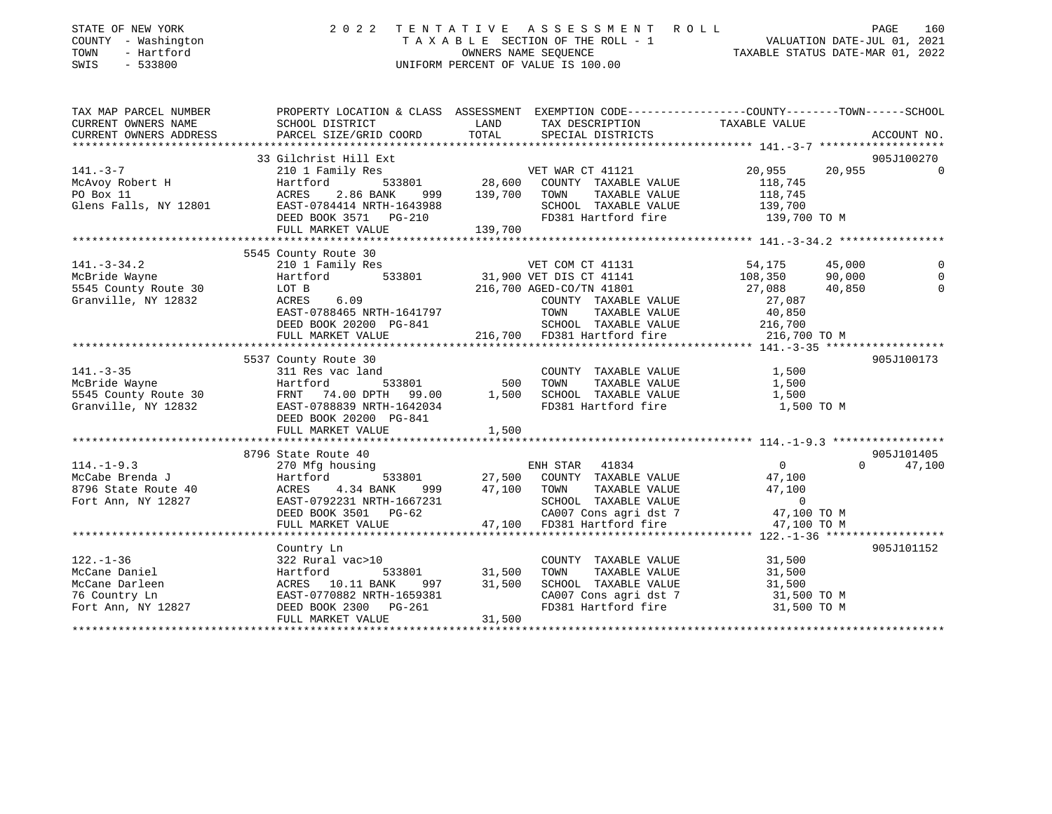| STATE OF NEW YORK<br>COUNTY - Washington<br>- Hartford<br>TOWN<br>SWIS<br>$-533800$ | 2 0 2 2                                                                                                                                                                                                                                                              |                        | TENTATIVE ASSESSMENT ROLL<br>T A X A B L E SECTION OF THE ROLL - 1 VALUATION DATE-JUL 01, 2021<br>OWNERS NAME SEQUENCE TAXABLE STATUS DATE-MAR 01, 2022<br>UNIFORM PERCENT OF VALUE IS 100.00 |                          | PAGE<br>160        |
|-------------------------------------------------------------------------------------|----------------------------------------------------------------------------------------------------------------------------------------------------------------------------------------------------------------------------------------------------------------------|------------------------|-----------------------------------------------------------------------------------------------------------------------------------------------------------------------------------------------|--------------------------|--------------------|
| TAX MAP PARCEL NUMBER                                                               | PROPERTY LOCATION & CLASS ASSESSMENT EXEMPTION CODE---------------COUNTY-------TOWN------SCHOOL                                                                                                                                                                      |                        |                                                                                                                                                                                               |                          |                    |
| CURRENT OWNERS NAME                                                                 | SCHOOL DISTRICT                                                                                                                                                                                                                                                      | LAND                   | TAX DESCRIPTION                                                                                                                                                                               | TAXABLE VALUE            |                    |
| CURRENT OWNERS ADDRESS<br>***********************                                   | PARCEL SIZE/GRID COORD                                                                                                                                                                                                                                               | TOTAL                  | SPECIAL DISTRICTS                                                                                                                                                                             |                          | ACCOUNT NO.        |
|                                                                                     | 33 Gilchrist Hill Ext                                                                                                                                                                                                                                                |                        |                                                                                                                                                                                               |                          | 905J100270         |
| $141. -3 - 7$                                                                       |                                                                                                                                                                                                                                                                      |                        | VET WAR CT 41121                                                                                                                                                                              | 20,955                   | 20,955<br>0        |
| McAvoy Robert H<br>PO Box 11                                                        |                                                                                                                                                                                                                                                                      |                        | COUNTY TAXABLE VALUE                                                                                                                                                                          | 118,745                  |                    |
|                                                                                     |                                                                                                                                                                                                                                                                      |                        | TOWN<br>TAXABLE VALUE                                                                                                                                                                         |                          |                    |
| Glens Falls, NY 12801                                                               |                                                                                                                                                                                                                                                                      |                        | SCHOOL TAXABLE VALUE                                                                                                                                                                          | 118,745<br>139,700       |                    |
|                                                                                     |                                                                                                                                                                                                                                                                      |                        | FD381 Hartford fire                                                                                                                                                                           | 139,700 TO M             |                    |
|                                                                                     | FULL MARKET VALUE                                                                                                                                                                                                                                                    | 139,700                |                                                                                                                                                                                               |                          |                    |
|                                                                                     |                                                                                                                                                                                                                                                                      |                        |                                                                                                                                                                                               |                          |                    |
|                                                                                     | 210 1 Family Res<br>Hartford 533801 31,900 VET DIS CT 41141<br>LOT B 216,700 AGED-CO/TN 41801<br>ACRES 6.09 COLLECT CONTRIBUTE                                                                                                                                       |                        |                                                                                                                                                                                               |                          |                    |
| $141. - 3 - 34.2$                                                                   |                                                                                                                                                                                                                                                                      |                        |                                                                                                                                                                                               | 54,175                   | 45,000<br>0        |
| McBride Wayne                                                                       |                                                                                                                                                                                                                                                                      |                        |                                                                                                                                                                                               | 108,350<br>27,088        | 90,000<br>$\Omega$ |
| 5545 County Route 30                                                                |                                                                                                                                                                                                                                                                      |                        |                                                                                                                                                                                               |                          | 40,850<br>$\Omega$ |
| Granville, NY 12832                                                                 |                                                                                                                                                                                                                                                                      | COUNT<br>TOWN<br>SCHOC | COUNTY TAXABLE VALUE                                                                                                                                                                          | 27,087                   |                    |
|                                                                                     | EAST-0788465 NRTH-1641797<br>DEED BOOK 20200 PG-841                                                                                                                                                                                                                  |                        | TAXABLE VALUE<br>SCHOOL TAXABLE VALUE                                                                                                                                                         | 40,850<br>216,700        |                    |
|                                                                                     | FULL MARKET VALUE                                                                                                                                                                                                                                                    |                        | 216,700 FD381 Hartford fire 216,700 TO M                                                                                                                                                      |                          |                    |
|                                                                                     |                                                                                                                                                                                                                                                                      |                        |                                                                                                                                                                                               |                          |                    |
|                                                                                     | 5537 County Route 30                                                                                                                                                                                                                                                 |                        |                                                                                                                                                                                               |                          | 905J100173         |
|                                                                                     |                                                                                                                                                                                                                                                                      |                        | COUNTY TAXABLE VALUE 1,500                                                                                                                                                                    |                          |                    |
|                                                                                     |                                                                                                                                                                                                                                                                      |                        |                                                                                                                                                                                               | 1,500                    |                    |
|                                                                                     |                                                                                                                                                                                                                                                                      |                        |                                                                                                                                                                                               | 1,500                    |                    |
|                                                                                     |                                                                                                                                                                                                                                                                      |                        | FD381 Hartford fire                                                                                                                                                                           | 1,500 TO M               |                    |
|                                                                                     |                                                                                                                                                                                                                                                                      |                        |                                                                                                                                                                                               |                          |                    |
|                                                                                     | 141.-3-35<br>McBride Wayne<br>5545 County Route 30<br>Granville, NY 12832<br>ERST-078839 NRTH-1642034<br>ERST-078839 NRTH-1642034<br>ERST-078839 NRTH-1642034<br>ERST-078839 NRTH-1642034<br>DEED BOOK 20200 PG-841<br>1,500<br>1,500<br>1,500<br>1,50               |                        |                                                                                                                                                                                               |                          |                    |
|                                                                                     |                                                                                                                                                                                                                                                                      |                        |                                                                                                                                                                                               |                          |                    |
|                                                                                     | 8796 State Route 40<br>114.-1-9.3<br>McCabe Brenda J<br>McCabe Exercic 270 Mfg housing<br>McCabe Exercic 270 Mfg housing<br>McCabe Exercic 270 Mfg housing<br>McCabe Exercic 270 Mfg housing<br>McCabe Exercic 27,100 COUNTY TAXABLE VALUE<br>Fort Ann, NY 12827<br> |                        |                                                                                                                                                                                               |                          | 905J101405         |
|                                                                                     |                                                                                                                                                                                                                                                                      |                        |                                                                                                                                                                                               | $\overline{0}$           | $\Omega$<br>47,100 |
|                                                                                     |                                                                                                                                                                                                                                                                      |                        |                                                                                                                                                                                               | 47,100                   |                    |
|                                                                                     |                                                                                                                                                                                                                                                                      |                        |                                                                                                                                                                                               | 47,100<br>$\overline{0}$ |                    |
|                                                                                     |                                                                                                                                                                                                                                                                      |                        |                                                                                                                                                                                               | 47,100 TO M              |                    |
|                                                                                     |                                                                                                                                                                                                                                                                      |                        |                                                                                                                                                                                               | 47,100 TO M              |                    |
|                                                                                     |                                                                                                                                                                                                                                                                      |                        |                                                                                                                                                                                               |                          |                    |
|                                                                                     | Country Ln                                                                                                                                                                                                                                                           |                        |                                                                                                                                                                                               |                          | 905J101152         |
| $122. - 1 - 36$                                                                     | 322 Rural vac>10                                                                                                                                                                                                                                                     |                        | COUNTY TAXABLE VALUE 31,500                                                                                                                                                                   |                          |                    |
| McCane Daniel                                                                       | 533801                                                                                                                                                                                                                                                               | 31,500                 | TAXABLE VALUE<br>TOWN                                                                                                                                                                         | 31,500                   |                    |
| McCane Darleen                                                                      | 997                                                                                                                                                                                                                                                                  | 31,500                 | SCHOOL TAXABLE VALUE                                                                                                                                                                          | 31,500                   |                    |
| 76 Country Ln                                                                       |                                                                                                                                                                                                                                                                      |                        |                                                                                                                                                                                               |                          |                    |
|                                                                                     | 322 Rurai vac.<br>Hartford 533801<br>ACRES 10.11 BANK 997<br>EAST-0770882 NRTH-1659381<br>Fort Ann, NY 12827 DEED BOOK 2300 PG-261                                                                                                                                   |                        | CA007 Cons agri dst 7 31,500 TO M<br>FD381 Hartford fire 31,500 TO M                                                                                                                          |                          |                    |
|                                                                                     | FULL MARKET VALUE                                                                                                                                                                                                                                                    | 31,500                 |                                                                                                                                                                                               |                          |                    |
|                                                                                     |                                                                                                                                                                                                                                                                      |                        |                                                                                                                                                                                               |                          |                    |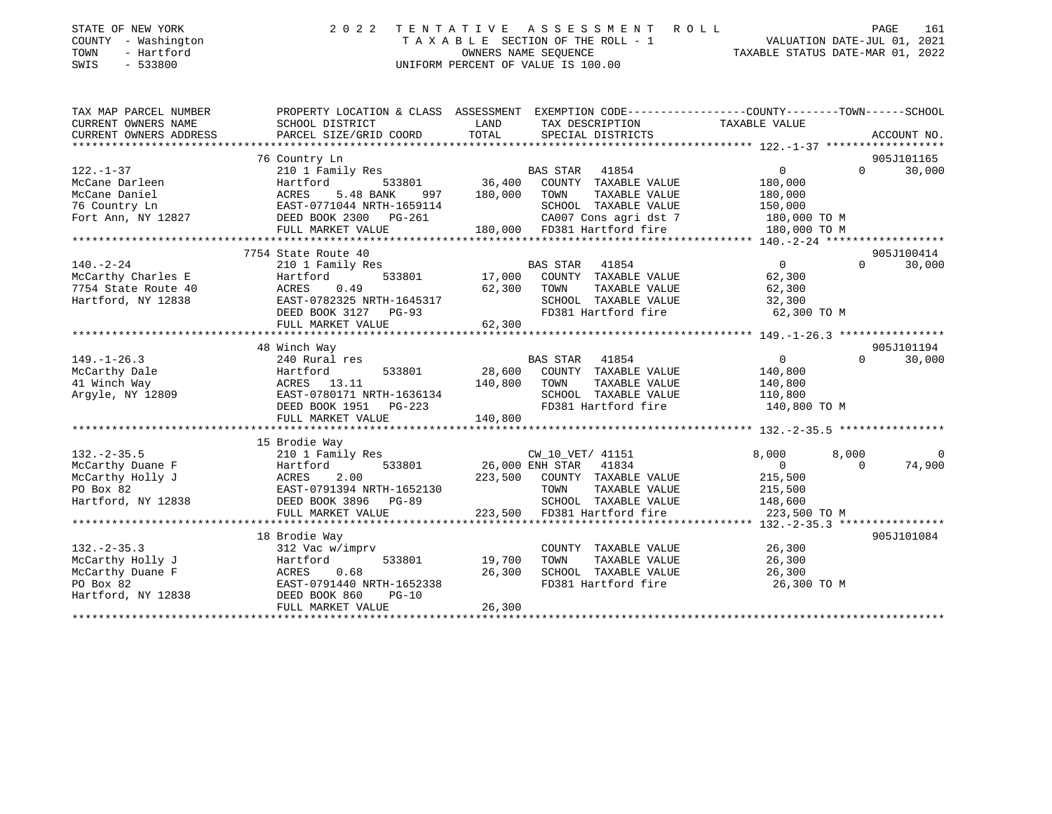| STATE OF NEW YORK<br>COUNTY - Washington<br>- Hartford<br>TOWN<br>SWIS<br>- 533800 |  | 2022 TENTATIVE ASSESSMENT ROLL<br>TAXABLE SECTION OF THE ROLL - 1<br>OWNERS NAME SEOUENCE<br>UNIFORM PERCENT OF VALUE IS 100.00 | 161<br>PAGE<br>VALUATION DATE-JUL 01, 2021<br>TAXABLE STATUS DATE-MAR 01, 2022                 |
|------------------------------------------------------------------------------------|--|---------------------------------------------------------------------------------------------------------------------------------|------------------------------------------------------------------------------------------------|
| TAX MAP PARCEL NUMBER                                                              |  |                                                                                                                                 | PROPERTY LOCATION & CLASS ASSESSMENT EXEMPTION CODE---------------COUNTY-------TOWN-----SCHOOL |

| CURRENT OWNERS NAME<br>CURRENT OWNERS ADDRESS                                                | SCHOOL DISTRICT<br>PARCEL SIZE/GRID COORD                                                                                                                       | LAND<br>TOTAL                                                                                                                                                                                                                                                     | TAX DESCRIPTION<br>SPECIAL DISTRICTS                                                                                                                   | TAXABLE VALUE                                                                           | ACCOUNT NO.          |
|----------------------------------------------------------------------------------------------|-----------------------------------------------------------------------------------------------------------------------------------------------------------------|-------------------------------------------------------------------------------------------------------------------------------------------------------------------------------------------------------------------------------------------------------------------|--------------------------------------------------------------------------------------------------------------------------------------------------------|-----------------------------------------------------------------------------------------|----------------------|
|                                                                                              |                                                                                                                                                                 |                                                                                                                                                                                                                                                                   |                                                                                                                                                        |                                                                                         |                      |
| $122. - 1 - 37$<br>McCane Darleen<br>McCane Daniel<br>76 Country Ln<br>Fort Ann, NY 12827    | 76 Country Ln<br>210 1 Family Res<br>533801<br>Hartford<br>5.48 BANK<br>997<br>ACRES<br>EAST-0771044 NRTH-1659114<br>DEED BOOK 2300 PG-261<br>FULL MARKET VALUE | 180,000                                                                                                                                                                                                                                                           | BAS STAR 41854<br>36,400 COUNTY TAXABLE VALUE<br>TAXABLE VALUE<br>TOWN<br>SCHOOL TAXABLE VALUE<br>CA007 Cons agri dst 7<br>180,000 FD381 Hartford fire | $\Omega$<br>$\Omega$<br>180,000<br>180,000<br>150,000<br>180,000 TO M<br>180,000 TO M   | 905J101165<br>30,000 |
|                                                                                              |                                                                                                                                                                 |                                                                                                                                                                                                                                                                   |                                                                                                                                                        |                                                                                         |                      |
| $140. - 2 - 24$<br>McCarthy Charles E<br>7754 State Route 40<br>Hartford, NY 12838           | 7754 State Route 40<br>210 1 Family Res<br>Hartford<br>533801<br><b>ACRES</b><br>0.49<br>EAST-0782325 NRTH-1645317<br>DEED BOOK 3127 PG-93<br>FULL MARKET VALUE | 62,300<br>62,300                                                                                                                                                                                                                                                  | <b>BAS STAR</b><br>41854<br>17,000 COUNTY TAXABLE VALUE<br>TAXABLE VALUE<br>TOWN<br>SCHOOL TAXABLE VALUE<br>FD381 Hartford fire                        | 0<br>$\Omega$<br>62,300<br>62,300<br>32,300<br>62,300 TO M                              | 905J100414<br>30,000 |
|                                                                                              | 48 Winch Way                                                                                                                                                    |                                                                                                                                                                                                                                                                   |                                                                                                                                                        |                                                                                         | 905J101194           |
| $149. - 1 - 26.3$<br>McCarthy Dale<br>41 Winch Way<br>Argyle, NY 12809                       | 240 Rural res<br>533801<br>Hartford<br>ACRES 13.11<br>EAST-0780171 NRTH-1636134<br>DEED BOOK 1951<br>PG-223<br>FULL MARKET VALUE                                | 28,600<br>140,800<br>ing and the second state of the second state of the second state of the second state of the second state of the<br>The second state of the second state of the second state of the second state of the second state of the second<br>140,800 | <b>BAS STAR</b><br>41854<br>COUNTY TAXABLE VALUE<br>TOWN<br>TAXABLE VALUE<br>SCHOOL TAXABLE VALUE<br>FD381 Hartford fire                               | $\Omega$<br>$\Omega$<br>140,800<br>140,800<br>110,800<br>140,800 TO M                   | 30,000               |
|                                                                                              | 15 Brodie Way                                                                                                                                                   |                                                                                                                                                                                                                                                                   |                                                                                                                                                        |                                                                                         |                      |
| $132. - 2 - 35.5$<br>McCarthy Duane F<br>McCarthy Holly J<br>PO Box 82<br>Hartford, NY 12838 | 210 1 Family Res<br>533801<br>Hartford<br>ACRES<br>2.00<br>EAST-0791394 NRTH-1652130<br>DEED BOOK 3896 PG-89<br>FULL MARKET VALUE                               | 26,000 ENH STAR<br>223,500<br>223,500                                                                                                                                                                                                                             | CW_10_VET/ 41151<br>41834<br>COUNTY TAXABLE VALUE<br>TOWN<br>TAXABLE VALUE<br>SCHOOL TAXABLE VALUE<br>FD381 Hartford fire                              | 8,000<br>8,000<br>$\Omega$<br>$\Omega$<br>215,500<br>215,500<br>148,600<br>223,500 TO M | $\Omega$<br>74,900   |
|                                                                                              | **********************                                                                                                                                          |                                                                                                                                                                                                                                                                   | ***********************************                                                                                                                    | ****** $132. -2 -35.3$ ****************                                                 |                      |
| $132. - 2 - 35.3$<br>McCarthy Holly J<br>McCarthy Duane F<br>PO Box 82<br>Hartford, NY 12838 | 18 Brodie Way<br>312 Vac w/imprv<br>Hartford<br>533801<br>ACRES<br>0.68<br>EAST-0791440 NRTH-1652338<br>DEED BOOK 860<br>$PG-10$                                | 19,700<br>26,300                                                                                                                                                                                                                                                  | COUNTY TAXABLE VALUE<br>TOWN<br>TAXABLE VALUE<br>SCHOOL TAXABLE VALUE<br>FD381 Hartford fire                                                           | 26,300<br>26,300<br>26,300<br>26,300 TO M                                               | 905J101084           |
|                                                                                              | FULL MARKET VALUE                                                                                                                                               | 26,300                                                                                                                                                                                                                                                            |                                                                                                                                                        |                                                                                         |                      |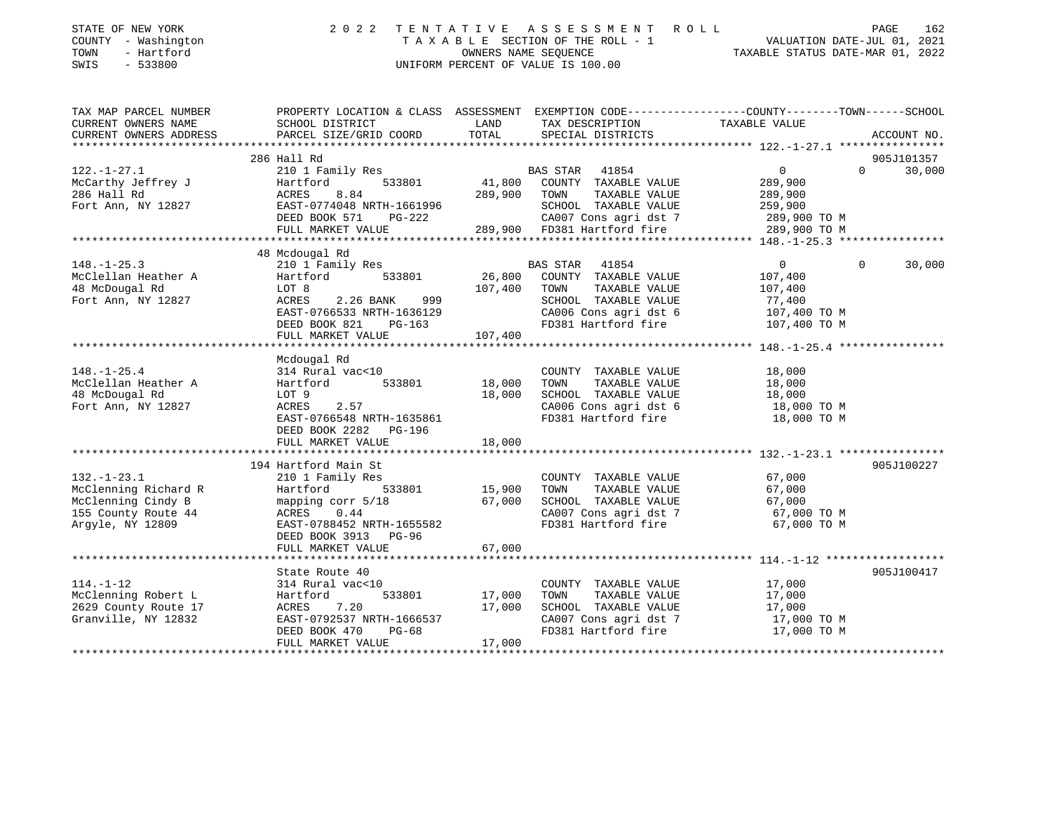| COUNTY - Washington<br>TOWN<br>- Hartford<br>SWIS<br>$-533800$         | TAXABLE SECTION OF THE ROLL - 1<br>OWNERS NAME SEQUENCE<br>UNIFORM PERCENT OF VALUE IS 100.00                                                |               | VALUATION DATE-JUL 01, 2021<br>TAXABLE STATUS DATE-MAR 01, 2022 |                            |                    |
|------------------------------------------------------------------------|----------------------------------------------------------------------------------------------------------------------------------------------|---------------|-----------------------------------------------------------------|----------------------------|--------------------|
| TAX MAP PARCEL NUMBER<br>CURRENT OWNERS NAME<br>CURRENT OWNERS ADDRESS | PROPERTY LOCATION & CLASS ASSESSMENT EXEMPTION CODE---------------COUNTY-------TOWN------SCHOOL<br>SCHOOL DISTRICT<br>PARCEL SIZE/GRID COORD | LAND<br>TOTAL | TAX DESCRIPTION<br>SPECIAL DISTRICTS                            | TAXABLE VALUE              | ACCOUNT NO.        |
|                                                                        | 286 Hall Rd                                                                                                                                  |               |                                                                 |                            | 905J101357         |
| $122. - 1 - 27.1$                                                      | 210 1 Family Res                                                                                                                             |               | 41854<br>BAS STAR                                               | $\overline{0}$             | $\Omega$<br>30,000 |
| McCarthy Jeffrey J                                                     | 533801<br>Hartford                                                                                                                           |               | 41,800 COUNTY TAXABLE VALUE                                     | 289,900                    |                    |
| 286 Hall Rd                                                            | ACRES<br>8.84                                                                                                                                | 289,900       | TOWN<br>TAXABLE VALUE                                           | 289,900                    |                    |
| Fort Ann, NY 12827                                                     | EAST-0774048 NRTH-1661996                                                                                                                    |               | SCHOOL TAXABLE VALUE                                            | 259,900                    |                    |
|                                                                        | DEED BOOK 571<br>PG-222                                                                                                                      |               | CA007 Cons agri dst 7                                           | 289,900 TO M               |                    |
|                                                                        | FULL MARKET VALUE<br>***********************                                                                                                 |               | 289,900 FD381 Hartford fire                                     | 289,900 TO M               |                    |
|                                                                        | 48 Mcdougal Rd                                                                                                                               |               |                                                                 |                            |                    |
| $148. - 1 - 25.3$                                                      | 210 1 Family Res                                                                                                                             |               | BAS STAR<br>41854                                               | $\Omega$                   | $\Omega$<br>30,000 |
| McClellan Heather A                                                    | 533801<br>Hartford                                                                                                                           | 26,800        | COUNTY TAXABLE VALUE                                            | 107,400                    |                    |
| 48 McDougal Rd                                                         | LOT 8                                                                                                                                        | 107,400       | TAXABLE VALUE<br>TOWN                                           | 107,400                    |                    |
| Fort Ann, NY 12827                                                     | 2.26 BANK<br>999<br>ACRES                                                                                                                    |               | SCHOOL TAXABLE VALUE                                            | 77,400                     |                    |
|                                                                        | EAST-0766533 NRTH-1636129                                                                                                                    |               | CA006 Cons agri dst 6                                           | 107,400 TO M               |                    |
|                                                                        | DEED BOOK 821<br>PG-163                                                                                                                      |               | FD381 Hartford fire                                             | 107,400 TO M               |                    |
|                                                                        | FULL MARKET VALUE                                                                                                                            | 107,400       |                                                                 |                            |                    |
|                                                                        | Mcdougal Rd                                                                                                                                  |               |                                                                 |                            |                    |
| $148. - 1 - 25.4$                                                      | 314 Rural vac<10                                                                                                                             |               | COUNTY TAXABLE VALUE                                            | 18,000                     |                    |
| McClellan Heather A                                                    | 533801<br>Hartford                                                                                                                           | 18,000        | TAXABLE VALUE<br>TOWN                                           | 18,000                     |                    |
| 48 McDougal Rd                                                         | LOT 9                                                                                                                                        | 18,000        | SCHOOL TAXABLE VALUE                                            | 18,000                     |                    |
| Fort Ann, NY 12827                                                     | 2.57<br>ACRES                                                                                                                                |               | CA006 Cons agri dst 6                                           | 18,000 TO M                |                    |
|                                                                        | EAST-0766548 NRTH-1635861                                                                                                                    |               | FD381 Hartford fire                                             | 18,000 TO M                |                    |
|                                                                        | DEED BOOK 2282 PG-196                                                                                                                        |               |                                                                 |                            |                    |
|                                                                        | FULL MARKET VALUE                                                                                                                            | 18,000        |                                                                 |                            |                    |
|                                                                        |                                                                                                                                              |               |                                                                 |                            |                    |
|                                                                        | 194 Hartford Main St                                                                                                                         |               |                                                                 |                            | 905J100227         |
| $132. - 1 - 23.1$                                                      | 210 1 Family Res<br>Hartford<br>533801                                                                                                       | 15,900        | COUNTY TAXABLE VALUE<br>TAXABLE VALUE<br>TOWN                   | 67,000                     |                    |
| McClenning Richard R<br>McClenning Cindy B                             | mapping corr 5/18                                                                                                                            | 67,000        | SCHOOL TAXABLE VALUE                                            | 67,000<br>67,000           |                    |
| 155 County Route 44                                                    | ACRES<br>0.44                                                                                                                                |               | CA007 Cons agri dst 7                                           | 67,000 TO M                |                    |
| Argyle, NY 12809                                                       | EAST-0788452 NRTH-1655582                                                                                                                    |               | FD381 Hartford fire                                             | 67,000 TO M                |                    |
|                                                                        | DEED BOOK 3913 PG-96                                                                                                                         |               |                                                                 |                            |                    |
|                                                                        | FULL MARKET VALUE                                                                                                                            | 67,000        |                                                                 |                            |                    |
|                                                                        |                                                                                                                                              |               |                                                                 |                            |                    |
|                                                                        | State Route 40                                                                                                                               |               |                                                                 |                            | 905J100417         |
| $114. - 1 - 12$                                                        | 314 Rural vac<10                                                                                                                             |               | COUNTY TAXABLE VALUE                                            | 17,000                     |                    |
| McClenning Robert L                                                    | 533801<br>Hartford                                                                                                                           | 17,000        | TOWN<br>TAXABLE VALUE                                           | 17,000                     |                    |
| 2629 County Route 17                                                   | 7.20<br>ACRES                                                                                                                                | 17,000        | SCHOOL TAXABLE VALUE                                            | 17,000                     |                    |
| Granville, NY 12832                                                    | EAST-0792537 NRTH-1666537<br>DEED BOOK 470<br>$PG-68$                                                                                        |               | CA007 Cons agri dst 7<br>FD381 Hartford fire                    | 17,000 TO M<br>17,000 TO M |                    |
|                                                                        | FULL MARKET VALUE                                                                                                                            | 17,000        |                                                                 |                            |                    |

\*\*\*\*\*\*\*\*\*\*\*\*\*\*\*\*\*\*\*\*\*\*\*\*\*\*\*\*\*\*\*\*\*\*\*\*\*\*\*\*\*\*\*\*\*\*\*\*\*\*\*\*\*\*\*\*\*\*\*\*\*\*\*\*\*\*\*\*\*\*\*\*\*\*\*\*\*\*\*\*\*\*\*\*\*\*\*\*\*\*\*\*\*\*\*\*\*\*\*\*\*\*\*\*\*\*\*\*\*\*\*\*\*\*\*\*\*\*\*\*\*\*\*\*\*\*\*\*\*\*\*\*

STATE OF NEW YORK 2022 TENTATIVE ASSESSMENT ROLL

PAGE 162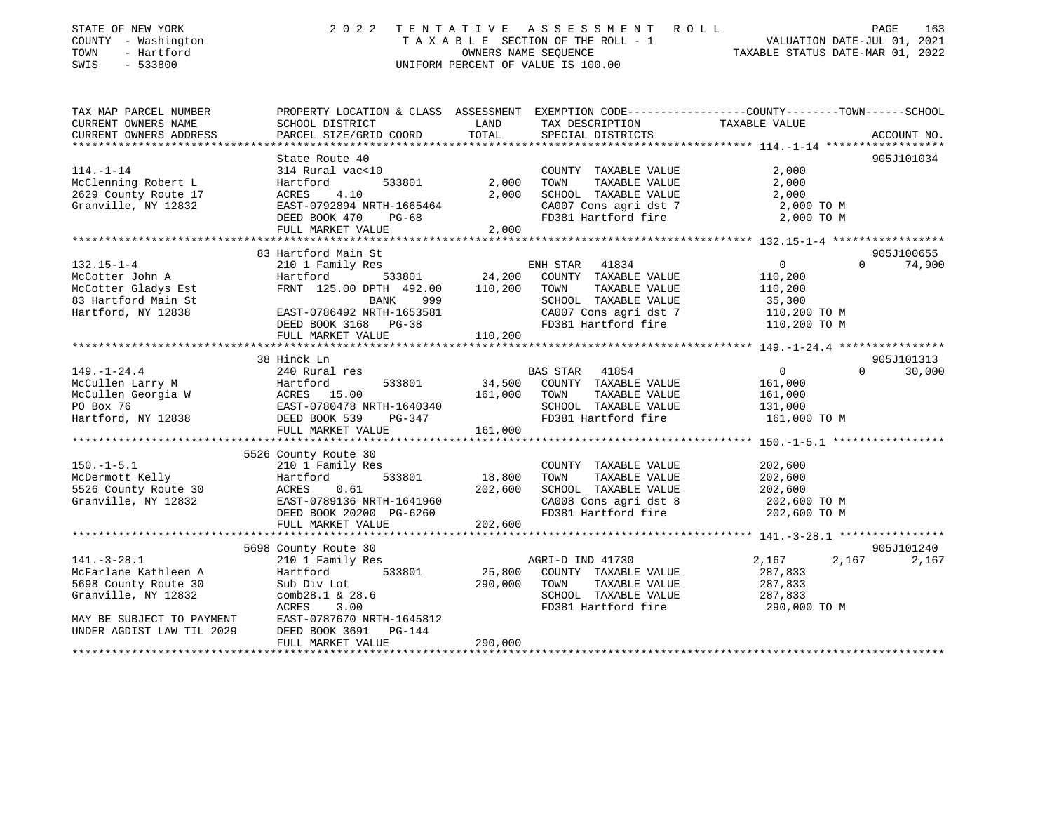| STATE OF NEW YORK<br>COUNTY - Washington<br>TOWN<br>- Hartford<br>SWIS<br>$-533800$ | 2022                                                                                            | TENTATIVE         | ASSESSMENT<br>R O L L<br>T A X A B L E SECTION OF THE ROLL - 1<br>OWNERS NAME SEQUENCE<br>UNIFORM PERCENT OF VALUE IS 100.00 | VALUATION DATE-JUL 01, 2021<br>TAXABLE STATUS DATE-MAR 01, 2022 |          | PAGE<br>163 |
|-------------------------------------------------------------------------------------|-------------------------------------------------------------------------------------------------|-------------------|------------------------------------------------------------------------------------------------------------------------------|-----------------------------------------------------------------|----------|-------------|
| TAX MAP PARCEL NUMBER                                                               | PROPERTY LOCATION & CLASS ASSESSMENT EXEMPTION CODE----------------COUNTY-------TOWN-----SCHOOL |                   |                                                                                                                              |                                                                 |          |             |
| CURRENT OWNERS NAME                                                                 | SCHOOL DISTRICT                                                                                 | LAND              | TAX DESCRIPTION                                                                                                              | TAXABLE VALUE                                                   |          |             |
| CURRENT OWNERS ADDRESS                                                              | PARCEL SIZE/GRID COORD                                                                          | TOTAL             | SPECIAL DISTRICTS                                                                                                            |                                                                 |          | ACCOUNT NO. |
|                                                                                     | State Route 40                                                                                  |                   |                                                                                                                              |                                                                 |          | 905J101034  |
| $114. - 1 - 14$                                                                     | 314 Rural vac<10                                                                                |                   | COUNTY TAXABLE VALUE                                                                                                         | 2,000                                                           |          |             |
| McClenning Robert L                                                                 | Hartford<br>533801                                                                              | 2,000             | TOWN<br>TAXABLE VALUE                                                                                                        | 2,000                                                           |          |             |
| 2629 County Route 17                                                                | 4.10<br>ACRES                                                                                   | 2,000             | SCHOOL TAXABLE VALUE                                                                                                         | 2,000                                                           |          |             |
| Granville, NY 12832                                                                 | EAST-0792894 NRTH-1665464                                                                       |                   | CA007 Cons agri dst 7                                                                                                        | 2,000 TO M                                                      |          |             |
|                                                                                     | DEED BOOK 470<br>$PG-68$                                                                        | 2,000             | FD381 Hartford fire                                                                                                          | 2,000 TO M                                                      |          |             |
|                                                                                     | FULL MARKET VALUE<br>*******************************                                            |                   |                                                                                                                              |                                                                 |          |             |
|                                                                                     | 83 Hartford Main St                                                                             |                   |                                                                                                                              |                                                                 |          | 905J100655  |
| $132.15 - 1 - 4$                                                                    | 210 1 Family Res                                                                                |                   | 41834<br>ENH STAR                                                                                                            | $\overline{0}$                                                  | $\Omega$ | 74,900      |
| McCotter John A                                                                     | Hartford<br>533801                                                                              | 24,200            | COUNTY TAXABLE VALUE                                                                                                         | 110,200                                                         |          |             |
| McCotter Gladys Est                                                                 | FRNT 125.00 DPTH 492.00                                                                         | 110,200           | TAXABLE VALUE<br>TOWN                                                                                                        | 110,200                                                         |          |             |
| 83 Hartford Main St                                                                 | BANK<br>999                                                                                     |                   | SCHOOL TAXABLE VALUE                                                                                                         | 35,300                                                          |          |             |
| Hartford, NY 12838                                                                  | EAST-0786492 NRTH-1653581<br>DEED BOOK 3168 PG-38                                               |                   | CA007 Cons agri dst 7<br>FD381 Hartford fire                                                                                 | 110,200 TO M<br>110,200 TO M                                    |          |             |
|                                                                                     | FULL MARKET VALUE                                                                               | 110,200           |                                                                                                                              |                                                                 |          |             |
|                                                                                     | **************************                                                                      |                   |                                                                                                                              |                                                                 |          |             |
|                                                                                     | 38 Hinck Ln                                                                                     |                   |                                                                                                                              |                                                                 |          | 905J101313  |
| $149. - 1 - 24.4$                                                                   | 240 Rural res                                                                                   |                   | BAS STAR 41854                                                                                                               | $\overline{0}$                                                  | $\Omega$ | 30,000      |
| McCullen Larry M<br>McCullen Georgia W                                              | 533801<br>Hartford                                                                              | 34,500<br>161,000 | COUNTY TAXABLE VALUE                                                                                                         | 161,000                                                         |          |             |
| PO Box 76                                                                           |                                                                                                 |                   | TOWN<br>TAXABLE VALUE<br>SCHOOL TAXABLE VALUE                                                                                | 161,000<br>131,000                                              |          |             |
| Hartford, NY 12838                                                                  | ACRES 15.00<br>EAST-0780478 NRTH-1640340<br>FL 539 DG-347<br>DEED BOOK 539<br>PG-347            |                   | FD381 Hartford fire                                                                                                          | 161,000 TO M                                                    |          |             |
|                                                                                     | FULL MARKET VALUE                                                                               | 161,000           |                                                                                                                              |                                                                 |          |             |
|                                                                                     |                                                                                                 |                   |                                                                                                                              |                                                                 |          |             |
|                                                                                     | 5526 County Route 30                                                                            |                   |                                                                                                                              |                                                                 |          |             |
| $150.-1-5.1$                                                                        | 210 1 Family Res                                                                                |                   | COUNTY TAXABLE VALUE                                                                                                         | 202,600                                                         |          |             |
| McDermott Kelly<br>5526 County Route 30                                             | 533801<br>Hartford<br>ACRES<br>0.61                                                             | 18,800<br>202,600 | TOWN<br>TAXABLE VALUE<br>SCHOOL TAXABLE VALUE                                                                                | 202,600<br>202,600                                              |          |             |
| Granville, NY 12832                                                                 | EAST-0789136 NRTH-1641960                                                                       |                   | CA008 Cons agri dst 8                                                                                                        | 202,600 TO M                                                    |          |             |
|                                                                                     | DEED BOOK 20200 PG-6260                                                                         |                   | FD381 Hartford fire                                                                                                          | 202,600 TO M                                                    |          |             |
|                                                                                     | FULL MARKET VALUE                                                                               | 202,600           |                                                                                                                              |                                                                 |          |             |
|                                                                                     |                                                                                                 |                   |                                                                                                                              |                                                                 |          |             |
| $141. - 3 - 28.1$                                                                   | 5698 County Route 30                                                                            |                   |                                                                                                                              |                                                                 |          | 905J101240  |
| McFarlane Kathleen A                                                                | 210 1 Family Res<br>533801<br>Hartford                                                          | 25,800            | AGRI-D IND 41730<br>COUNTY TAXABLE VALUE                                                                                     | 2,167<br>287,833                                                | 2,167    | 2,167       |
| 5698 County Route 30                                                                | Sub Div Lot                                                                                     | 290,000           | TOWN<br>TAXABLE VALUE                                                                                                        | 287,833                                                         |          |             |
| Granville, NY 12832                                                                 | comb28.1 & 28.6                                                                                 |                   | SCHOOL TAXABLE VALUE                                                                                                         | 287,833                                                         |          |             |
|                                                                                     | ACRES<br>3.00                                                                                   |                   | FD381 Hartford fire                                                                                                          | 290,000 TO M                                                    |          |             |
| MAY BE SUBJECT TO PAYMENT                                                           | EAST-0787670 NRTH-1645812                                                                       |                   |                                                                                                                              |                                                                 |          |             |
| UNDER AGDIST LAW TIL 2029                                                           | DEED BOOK 3691 PG-144                                                                           |                   |                                                                                                                              |                                                                 |          |             |
|                                                                                     | FULL MARKET VALUE                                                                               | 290,000           |                                                                                                                              |                                                                 |          |             |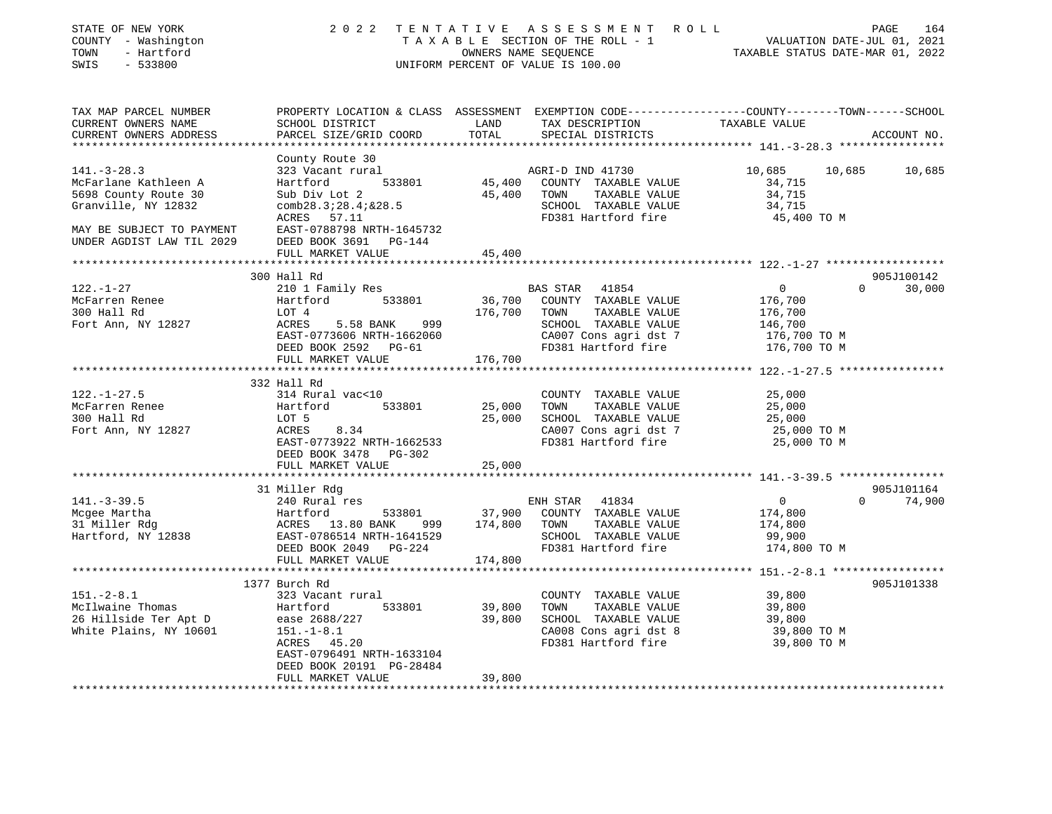| STATE OF NEW YORK<br>COUNTY - Washington<br>TOWN<br>- Hartford<br>SWIS<br>$-533800$ | 2 0 2 2                                                                                                                                      |               | TENTATIVE ASSESSMENT ROLL<br>T A X A B L E SECTION OF THE ROLL - 1 VALUATION DATE-JUL 01, 2021<br>OWNERS NAME SEQUENCE TAXABLE STATUS DATE-MAR 01, 2022<br>UNIFORM PERCENT OF VALUE IS 100.00 |                                                    |          | PAGE<br>164 |
|-------------------------------------------------------------------------------------|----------------------------------------------------------------------------------------------------------------------------------------------|---------------|-----------------------------------------------------------------------------------------------------------------------------------------------------------------------------------------------|----------------------------------------------------|----------|-------------|
| TAX MAP PARCEL NUMBER<br>CURRENT OWNERS NAME<br>CURRENT OWNERS ADDRESS              | PROPERTY LOCATION & CLASS ASSESSMENT EXEMPTION CODE---------------COUNTY-------TOWN------SCHOOL<br>SCHOOL DISTRICT<br>PARCEL SIZE/GRID COORD | LAND<br>TOTAL | TAX DESCRIPTION<br>SPECIAL DISTRICTS                                                                                                                                                          | TAXABLE VALUE                                      |          | ACCOUNT NO. |
|                                                                                     |                                                                                                                                              |               |                                                                                                                                                                                               |                                                    |          |             |
| $141. - 3 - 28.3$                                                                   | County Route 30<br>323 Vacant rural                                                                                                          |               | AGRI-D IND 41730                                                                                                                                                                              | 10,685                                             | 10,685   | 10,685      |
| McFarlane Kathleen A                                                                | 533801<br>Hartford                                                                                                                           |               | 45,400 COUNTY TAXABLE VALUE                                                                                                                                                                   | 34,715                                             |          |             |
| 5698 County Route 30                                                                | Sub Div Lot 2                                                                                                                                | 45,400 TOWN   | TAXABLE VALUE                                                                                                                                                                                 | 34,715                                             |          |             |
| Granville, NY 12832                                                                 | comb28.3728.47&28.5<br>ACRES 57.11                                                                                                           |               | SCHOOL TAXABLE VALUE<br>FD381 Hartford fire                                                                                                                                                   | 34,715<br>45,400 TO M                              |          |             |
| MAY BE SUBJECT TO PAYMENT                                                           | EAST-0788798 NRTH-1645732                                                                                                                    |               |                                                                                                                                                                                               |                                                    |          |             |
| UNDER AGDIST LAW TIL 2029                                                           | DEED BOOK 3691 PG-144                                                                                                                        |               |                                                                                                                                                                                               |                                                    |          |             |
|                                                                                     | FULL MARKET VALUE                                                                                                                            | 45,400        |                                                                                                                                                                                               |                                                    |          |             |
|                                                                                     |                                                                                                                                              |               |                                                                                                                                                                                               | ********************* 122.-1-27 ****************** |          |             |
|                                                                                     | 300 Hall Rd                                                                                                                                  |               |                                                                                                                                                                                               |                                                    |          | 905J100142  |
| $122. - 1 - 27$<br>McFarren Renee                                                   | 210 1 Family Res<br>Hartford 533801                                                                                                          | 36,700        | BAS STAR 41854<br>COUNTY TAXABLE VALUE                                                                                                                                                        | $\overline{0}$<br>176,700                          | $\Omega$ | 30,000      |
| 300 Hall Rd                                                                         | LOT 4                                                                                                                                        | 176,700       | TOWN<br>TAXABLE VALUE                                                                                                                                                                         | 176,700                                            |          |             |
| Fort Ann, NY 12827                                                                  | ACRES<br>5.58 BANK<br>999                                                                                                                    |               | SCHOOL TAXABLE VALUE                                                                                                                                                                          | 146,700                                            |          |             |
|                                                                                     | EAST-0773606 NRTH-1662060                                                                                                                    |               | CA007 Cons agri dst 7                                                                                                                                                                         | 176,700 TO M                                       |          |             |
|                                                                                     | DEED BOOK 2592 PG-61                                                                                                                         |               | FD381 Hartford fire                                                                                                                                                                           | 176,700 TO M                                       |          |             |
|                                                                                     | FULL MARKET VALUE                                                                                                                            | 176,700       |                                                                                                                                                                                               |                                                    |          |             |
|                                                                                     |                                                                                                                                              |               |                                                                                                                                                                                               |                                                    |          |             |
|                                                                                     | 332 Hall Rd                                                                                                                                  |               |                                                                                                                                                                                               |                                                    |          |             |
| $122. - 1 - 27.5$<br>McFarren Renee                                                 | 314 Rural vac<10<br>533801<br>Hartford                                                                                                       | 25,000        | COUNTY TAXABLE VALUE<br>TOWN<br>TAXABLE VALUE                                                                                                                                                 | 25,000<br>25,000                                   |          |             |
| 300 Hall Rd                                                                         | LOT 5                                                                                                                                        | 25,000        | SCHOOL TAXABLE VALUE                                                                                                                                                                          | 25,000                                             |          |             |
| Fort Ann, NY 12827                                                                  | ACRES<br>8.34                                                                                                                                |               | CA007 Cons agri dst 7                                                                                                                                                                         | 25,000 TO M                                        |          |             |
|                                                                                     | EAST-0773922 NRTH-1662533                                                                                                                    |               | FD381 Hartford fire                                                                                                                                                                           | 25,000 TO M                                        |          |             |
|                                                                                     | DEED BOOK 3478 PG-302                                                                                                                        |               |                                                                                                                                                                                               |                                                    |          |             |
|                                                                                     | FULL MARKET VALUE                                                                                                                            | 25,000        |                                                                                                                                                                                               |                                                    |          |             |
|                                                                                     | 31 Miller Rdg                                                                                                                                |               |                                                                                                                                                                                               |                                                    |          | 905J101164  |
| $141. - 3 - 39.5$                                                                   | 240 Rural res                                                                                                                                |               | ENH STAR<br>41834                                                                                                                                                                             | $\overline{0}$                                     | $\Omega$ | 74,900      |
| Mcgee Martha                                                                        | 533801<br>Hartford                                                                                                                           |               | 37,900 COUNTY TAXABLE VALUE                                                                                                                                                                   | 174,800                                            |          |             |
| 31 Miller Rdg                                                                       | ACRES 13.80 BANK 999<br>EAST-0786514 NRTH-1641529                                                                                            | 174,800       | TOWN<br>TAXABLE VALUE                                                                                                                                                                         | 174,800                                            |          |             |
| Hartford, NY 12838                                                                  |                                                                                                                                              |               | SCHOOL TAXABLE VALUE                                                                                                                                                                          | 99,900                                             |          |             |
|                                                                                     | DEED BOOK 2049 PG-224                                                                                                                        |               | FD381 Hartford fire                                                                                                                                                                           | 174,800 TO M                                       |          |             |
|                                                                                     | FULL MARKET VALUE                                                                                                                            | 174,800       |                                                                                                                                                                                               |                                                    |          |             |
|                                                                                     | 1377 Burch Rd                                                                                                                                |               |                                                                                                                                                                                               |                                                    |          | 905J101338  |
| $151 - 2 - 8.1$                                                                     | 323 Vacant rural                                                                                                                             |               | COUNTY TAXABLE VALUE                                                                                                                                                                          | 39,800                                             |          |             |
| McIlwaine Thomas                                                                    | 533801<br>Hartford                                                                                                                           | 39,800        | TOWN<br>TAXABLE VALUE                                                                                                                                                                         | 39,800                                             |          |             |
| 26 Hillside Ter Apt D                                                               | ease 2688/227                                                                                                                                | 39,800        | SCHOOL TAXABLE VALUE                                                                                                                                                                          | 39,800                                             |          |             |
| White Plains, NY 10601                                                              | $151.-1-8.1$                                                                                                                                 |               | CA008 Cons agri dst 8                                                                                                                                                                         | 39,800 TO M                                        |          |             |
|                                                                                     | ACRES 45.20                                                                                                                                  |               | FD381 Hartford fire                                                                                                                                                                           | 39,800 TO M                                        |          |             |
|                                                                                     | EAST-0796491 NRTH-1633104                                                                                                                    |               |                                                                                                                                                                                               |                                                    |          |             |
|                                                                                     | DEED BOOK 20191 PG-28484                                                                                                                     |               |                                                                                                                                                                                               |                                                    |          |             |
|                                                                                     | FULL MARKET VALUE                                                                                                                            | 39,800<br>.   |                                                                                                                                                                                               |                                                    |          |             |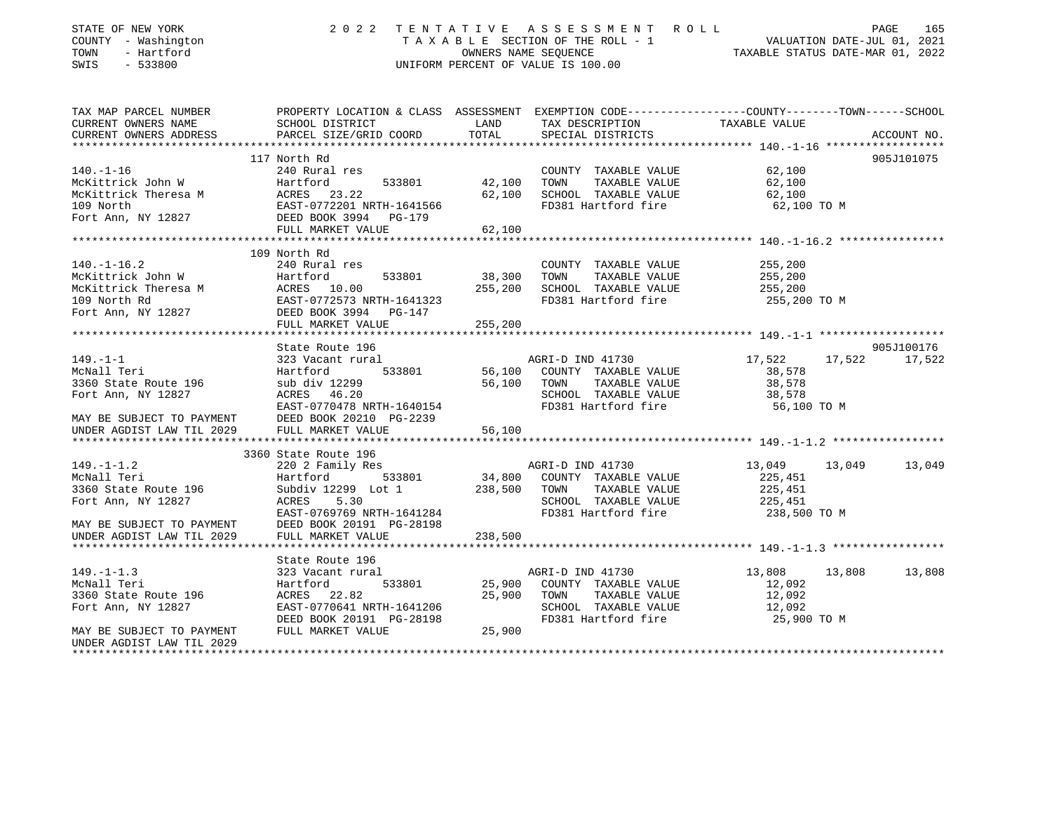| STATE OF NEW YORK                           | 2022                                                                                                                                                        |             | TENTATIVE ASSESSMENT ROLL                                                                                                                                                                                                                                                                                                                                                      |                      | PAGE<br>165   |
|---------------------------------------------|-------------------------------------------------------------------------------------------------------------------------------------------------------------|-------------|--------------------------------------------------------------------------------------------------------------------------------------------------------------------------------------------------------------------------------------------------------------------------------------------------------------------------------------------------------------------------------|----------------------|---------------|
| COUNTY - Washington                         |                                                                                                                                                             |             |                                                                                                                                                                                                                                                                                                                                                                                |                      |               |
| TOWN<br>- Hartford                          |                                                                                                                                                             |             |                                                                                                                                                                                                                                                                                                                                                                                |                      |               |
| SWIS<br>$-533800$                           |                                                                                                                                                             |             |                                                                                                                                                                                                                                                                                                                                                                                |                      |               |
| TAX MAP PARCEL NUMBER                       |                                                                                                                                                             |             |                                                                                                                                                                                                                                                                                                                                                                                |                      |               |
| CURRENT OWNERS NAME                         |                                                                                                                                                             |             | TAX DESCRIPTION TAXABLE VALUE                                                                                                                                                                                                                                                                                                                                                  |                      |               |
| CURRENT OWNERS ADDRESS                      | PARCEL SIZE/GRID COORD                                                                                                                                      | TOTAL       | SPECIAL DISTRICTS                                                                                                                                                                                                                                                                                                                                                              |                      | ACCOUNT NO.   |
| ***********************                     |                                                                                                                                                             |             |                                                                                                                                                                                                                                                                                                                                                                                |                      |               |
|                                             | 117 North Rd                                                                                                                                                |             |                                                                                                                                                                                                                                                                                                                                                                                |                      | 905J101075    |
| $140. - 1 - 16$                             | 240 Rural res                                                                                                                                               |             | $\begin{array}{llll}\n\text{COUNTY} & \text{TAXABLE VALUE} & \text{0.100}\\ \n\text{1.10} & \text{1.11} & \text{1.12} & \text{1.13} \\ \n\text{1.11} & \text{1.13} & \text{1.14} & \text{1.15} \\ \n\text{1.12} & \text{1.15} & \text{1.16} & \text{1.17} \\ \n\text{1.13} & \text{1.17} & \text{1.18} & \text{1.17} \\ \n\text{1.14} & \text{1.18} & \text{1.19} & \text{1.1$ |                      |               |
|                                             | 533801                                                                                                                                                      | 42,100 TOWN |                                                                                                                                                                                                                                                                                                                                                                                |                      |               |
|                                             |                                                                                                                                                             |             | 62,100 SCHOOL TAXABLE VALUE                                                                                                                                                                                                                                                                                                                                                    | 62,100               |               |
|                                             |                                                                                                                                                             |             | FD381 Hartford fire                                                                                                                                                                                                                                                                                                                                                            | 62,100 TO M          |               |
|                                             |                                                                                                                                                             |             |                                                                                                                                                                                                                                                                                                                                                                                |                      |               |
|                                             | FULL MARKET VALUE                                                                                                                                           | 62,100      |                                                                                                                                                                                                                                                                                                                                                                                |                      |               |
|                                             |                                                                                                                                                             |             |                                                                                                                                                                                                                                                                                                                                                                                |                      |               |
|                                             | 109 North Rd                                                                                                                                                |             |                                                                                                                                                                                                                                                                                                                                                                                |                      |               |
| $140.-1-16.2$                               | 240 Rural res                                                                                                                                               |             | COUNTY TAXABLE VALUE 255,200                                                                                                                                                                                                                                                                                                                                                   |                      |               |
|                                             |                                                                                                                                                             | 38,300 TOWN | TAXABLE VALUE                                                                                                                                                                                                                                                                                                                                                                  | 255,200              |               |
|                                             |                                                                                                                                                             |             | 255,200 SCHOOL TAXABLE VALUE                                                                                                                                                                                                                                                                                                                                                   | 255,200              |               |
|                                             | McKittrick John W Hartford 533801<br>McKittrick Theresa M ACRES 10.00<br>109 North Rd EAST-0772573 NRTH-1641323<br>Fort Ann, NY 12827 DEED BOOK 3994 PG-147 |             | FD381 Hartford fire                                                                                                                                                                                                                                                                                                                                                            | 255,200 TO M         |               |
|                                             |                                                                                                                                                             |             |                                                                                                                                                                                                                                                                                                                                                                                |                      |               |
|                                             | FULL MARKET VALUE                                                                                                                                           | 255,200     |                                                                                                                                                                                                                                                                                                                                                                                |                      |               |
|                                             |                                                                                                                                                             |             |                                                                                                                                                                                                                                                                                                                                                                                |                      |               |
|                                             | State Route 196                                                                                                                                             |             |                                                                                                                                                                                                                                                                                                                                                                                |                      | 905J100176    |
| $149. - 1 - 1$                              | 323 Vacant rural                                                                                                                                            |             | AGRI-D IND 41730                                                                                                                                                                                                                                                                                                                                                               | 17,522               | 17,522 17,522 |
| McNall Teri                                 | 533801<br>Hartford                                                                                                                                          |             | 56,100 COUNTY TAXABLE VALUE                                                                                                                                                                                                                                                                                                                                                    | 38,578               |               |
|                                             |                                                                                                                                                             |             | 56,100 TOWN<br>TAXABLE VALUE                                                                                                                                                                                                                                                                                                                                                   | 38,578               |               |
|                                             |                                                                                                                                                             |             | SCHOOL TAXABLE VALUE                                                                                                                                                                                                                                                                                                                                                           | 38,578               |               |
|                                             | EAST-0770478 NRTH-1640154                                                                                                                                   |             | FD381 Hartford fire                                                                                                                                                                                                                                                                                                                                                            | 56,100 TO M          |               |
|                                             | MAY BE SUBJECT TO PAYMENT DEED BOOK 20210 PG-2239                                                                                                           |             |                                                                                                                                                                                                                                                                                                                                                                                |                      |               |
| UNDER AGDIST LAW TIL 2029                   | FULL MARKET VALUE                                                                                                                                           | 56,100      |                                                                                                                                                                                                                                                                                                                                                                                |                      |               |
|                                             |                                                                                                                                                             |             |                                                                                                                                                                                                                                                                                                                                                                                |                      |               |
|                                             | 3360 State Route 196                                                                                                                                        |             |                                                                                                                                                                                                                                                                                                                                                                                |                      |               |
| $149. - 1 - 1.2$                            |                                                                                                                                                             |             | AGRI-D IND 41730                                                                                                                                                                                                                                                                                                                                                               | 13,049 13,049 13,049 |               |
| McNall Teri                                 |                                                                                                                                                             |             |                                                                                                                                                                                                                                                                                                                                                                                | 225,451              |               |
| 3360 State Route 196<br>Fort Ann, NY 12827  |                                                                                                                                                             |             | TAXABLE VALUE                                                                                                                                                                                                                                                                                                                                                                  | 225,451<br>225,451   |               |
|                                             | ACRES<br>5.30                                                                                                                                               |             | SCHOOL TAXABLE VALUE<br>FD381 Hartford fire                                                                                                                                                                                                                                                                                                                                    |                      |               |
|                                             | EAST-0769769 NRTH-1641284                                                                                                                                   |             |                                                                                                                                                                                                                                                                                                                                                                                | 238,500 TO M         |               |
| UNDER AGDIST LAW TIL 2029                   | MAY BE SUBJECT TO PAYMENT DEED BOOK 20191 PG-28198<br>DEED BOOK 20191 PG-28198<br>FULL MARKET VALUE 238,500                                                 |             |                                                                                                                                                                                                                                                                                                                                                                                |                      |               |
|                                             |                                                                                                                                                             |             |                                                                                                                                                                                                                                                                                                                                                                                |                      |               |
|                                             | State Route 196                                                                                                                                             |             |                                                                                                                                                                                                                                                                                                                                                                                |                      |               |
| $149. - 1 - 1.3$                            | 323 Vacant rural                                                                                                                                            |             | AGRI-D IND 41730                                                                                                                                                                                                                                                                                                                                                               | 13,808               | 13,808 13,808 |
| McNall Teri                                 |                                                                                                                                                             |             | 533801 25,900 COUNTY TAXABLE VALUE                                                                                                                                                                                                                                                                                                                                             | 12,092               |               |
|                                             |                                                                                                                                                             |             | 25,900 TOWN<br>TAXABLE VALUE                                                                                                                                                                                                                                                                                                                                                   | 12,092               |               |
|                                             |                                                                                                                                                             |             | SCHOOL TAXABLE VALUE                                                                                                                                                                                                                                                                                                                                                           | 12,092               |               |
|                                             |                                                                                                                                                             |             | FD381 Hartford fire                                                                                                                                                                                                                                                                                                                                                            | 25,900 TO M          |               |
| MAY BE SUBJECT TO PAYMENT FULL MARKET VALUE | McNail Ierr<br>3360 State Route 196 (ACRES 22.82)<br>Fort Ann, NY 12827 (BAST-0770641 NRTH-1641206<br>DEED BOOK 20191 PG-28198                              | 25,900      |                                                                                                                                                                                                                                                                                                                                                                                |                      |               |
| UNDER AGDIST LAW TIL 2029                   |                                                                                                                                                             |             |                                                                                                                                                                                                                                                                                                                                                                                |                      |               |
|                                             |                                                                                                                                                             |             |                                                                                                                                                                                                                                                                                                                                                                                |                      |               |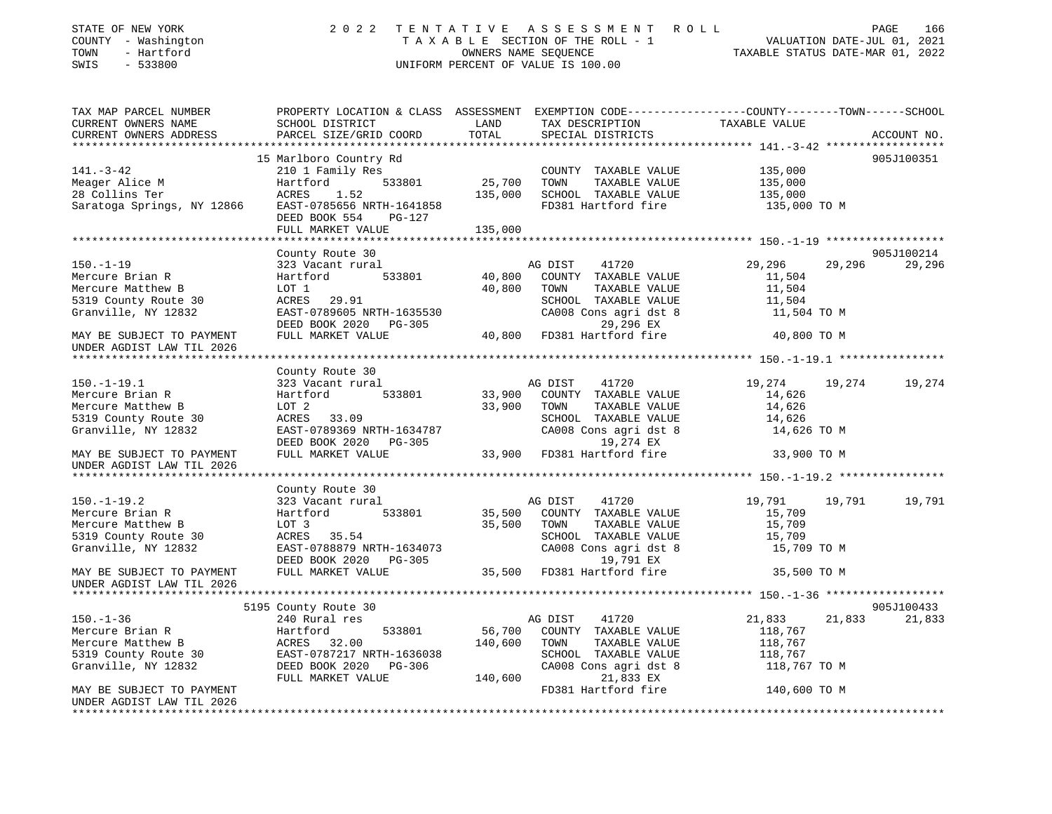| STATE OF NEW YORK<br>COUNTY - Washington<br>- Hartford<br>TOWN<br>$-533800$<br>SWIS | 2 0 2 2                                                                                                                                     |               | TENTATIVE ASSESSMENT ROLL<br>TAXABLE SECTION OF THE ROLL - 1<br>OWNERS NAME SEQUENCE<br>UNIFORM PERCENT OF VALUE IS 100.00 | VALUATION DATE-JUL 01, 2021<br>TAXABLE STATUS DATE-MAR 01, 2022 | PAGE<br>166 |
|-------------------------------------------------------------------------------------|---------------------------------------------------------------------------------------------------------------------------------------------|---------------|----------------------------------------------------------------------------------------------------------------------------|-----------------------------------------------------------------|-------------|
| TAX MAP PARCEL NUMBER<br>CURRENT OWNERS NAME<br>CURRENT OWNERS ADDRESS              | PROPERTY LOCATION & CLASS ASSESSMENT EXEMPTION CODE---------------COUNTY-------TOWN-----SCHOOL<br>SCHOOL DISTRICT<br>PARCEL SIZE/GRID COORD | LAND<br>TOTAL | TAX DESCRIPTION<br>SPECIAL DISTRICTS                                                                                       | TAXABLE VALUE                                                   | ACCOUNT NO. |
|                                                                                     | 15 Marlboro Country Rd                                                                                                                      |               |                                                                                                                            |                                                                 | 905J100351  |
| $141. - 3 - 42$                                                                     | 210 1 Family Res                                                                                                                            |               | COUNTY TAXABLE VALUE                                                                                                       | 135,000                                                         |             |
| Meager Alice M                                                                      | 533801<br>Hartford                                                                                                                          | 25,700        | TOWN<br>TAXABLE VALUE                                                                                                      | 135,000                                                         |             |
| 28 Collins Ter                                                                      | 1.52<br>ACRES                                                                                                                               | 135,000       | SCHOOL TAXABLE VALUE                                                                                                       | 135,000                                                         |             |
| Saratoga Springs, NY 12866                                                          | EAST-0785656 NRTH-1641858<br>DEED BOOK 554<br>PG-127                                                                                        |               | FD381 Hartford fire                                                                                                        | 135,000 TO M                                                    |             |
|                                                                                     | FULL MARKET VALUE                                                                                                                           | 135,000       |                                                                                                                            |                                                                 |             |
|                                                                                     |                                                                                                                                             |               |                                                                                                                            |                                                                 |             |
|                                                                                     | County Route 30                                                                                                                             |               |                                                                                                                            |                                                                 | 905J100214  |
| $150. - 1 - 19$<br>Mercure Brian R                                                  | 323 Vacant rural<br>Hartford<br>533801                                                                                                      | 40,800        | AG DIST<br>41720<br>COUNTY TAXABLE VALUE                                                                                   | 29,296<br>29,296<br>11,504                                      | 29,296      |
| Mercure Matthew B                                                                   | LOT 1                                                                                                                                       | 40,800        | TAXABLE VALUE<br>TOWN                                                                                                      | 11,504                                                          |             |
| 5319 County Route 30                                                                | ACRES<br>29.91                                                                                                                              |               | SCHOOL TAXABLE VALUE                                                                                                       | 11,504                                                          |             |
| Granville, NY 12832                                                                 | EAST-0789605 NRTH-1635530                                                                                                                   |               | CA008 Cons agri dst 8                                                                                                      | 11,504 TO M                                                     |             |
|                                                                                     | DEED BOOK 2020 PG-305                                                                                                                       |               | 29,296 EX                                                                                                                  |                                                                 |             |
| MAY BE SUBJECT TO PAYMENT                                                           | FULL MARKET VALUE                                                                                                                           |               | 40,800 FD381 Hartford fire                                                                                                 | 40,800 TO M                                                     |             |
| UNDER AGDIST LAW TIL 2026                                                           |                                                                                                                                             |               |                                                                                                                            |                                                                 |             |
|                                                                                     |                                                                                                                                             |               |                                                                                                                            |                                                                 |             |
| $150. - 1 - 19.1$                                                                   | County Route 30                                                                                                                             |               |                                                                                                                            |                                                                 |             |
| Mercure Brian R                                                                     | 323 Vacant rural<br>Hartford<br>533801                                                                                                      | 33,900        | AG DIST<br>41720<br>COUNTY TAXABLE VALUE                                                                                   | 19,274<br>19,274<br>14,626                                      | 19,274      |
| Mercure Matthew B                                                                   | LOT 2                                                                                                                                       | 33,900        | TOWN<br>TAXABLE VALUE                                                                                                      | 14,626                                                          |             |
| 5319 County Route 30                                                                | ACRES 33.09                                                                                                                                 |               | SCHOOL TAXABLE VALUE                                                                                                       | 14,626                                                          |             |
| Granville, NY 12832                                                                 | EAST-0789369 NRTH-1634787                                                                                                                   |               | CA008 Cons agri dst 8                                                                                                      | 14,626 TO M                                                     |             |
|                                                                                     | DEED BOOK 2020 PG-305                                                                                                                       |               | 19,274 EX                                                                                                                  |                                                                 |             |
| MAY BE SUBJECT TO PAYMENT                                                           | FULL MARKET VALUE                                                                                                                           |               | 33,900 FD381 Hartford fire                                                                                                 | 33,900 TO M                                                     |             |
| UNDER AGDIST LAW TIL 2026                                                           |                                                                                                                                             |               |                                                                                                                            |                                                                 |             |
|                                                                                     |                                                                                                                                             |               |                                                                                                                            |                                                                 |             |
|                                                                                     | County Route 30                                                                                                                             |               |                                                                                                                            |                                                                 |             |
| $150. - 1 - 19.2$                                                                   | 323 Vacant rural                                                                                                                            |               | 41720<br>AG DIST                                                                                                           | 19,791<br>19,791                                                | 19,791      |
| Mercure Brian R                                                                     | Hartford<br>533801                                                                                                                          | 35,500        | COUNTY TAXABLE VALUE                                                                                                       | 15,709                                                          |             |
| Mercure Matthew B                                                                   | LOT 3                                                                                                                                       | 35,500        | TAXABLE VALUE<br>TOWN                                                                                                      | 15,709                                                          |             |
| 5319 County Route 30                                                                | 35.54<br>ACRES                                                                                                                              |               | SCHOOL TAXABLE VALUE                                                                                                       | 15,709                                                          |             |
| Granville, NY 12832                                                                 | EAST-0788879 NRTH-1634073<br>DEED BOOK 2020<br>PG-305                                                                                       |               | CA008 Cons agri dst 8<br>19,791 EX                                                                                         | 15,709 TO M                                                     |             |
| MAY BE SUBJECT TO PAYMENT                                                           | FULL MARKET VALUE                                                                                                                           |               | 35,500 FD381 Hartford fire                                                                                                 | 35,500 TO M                                                     |             |
| UNDER AGDIST LAW TIL 2026                                                           |                                                                                                                                             |               |                                                                                                                            |                                                                 |             |
|                                                                                     |                                                                                                                                             |               |                                                                                                                            |                                                                 |             |
|                                                                                     | 5195 County Route 30                                                                                                                        |               |                                                                                                                            |                                                                 | 905J100433  |
| $150. - 1 - 36$                                                                     | 240 Rural res                                                                                                                               |               | 41720<br>AG DIST                                                                                                           | 21,833<br>21,833                                                | 21,833      |
| Mercure Brian R                                                                     | Hartford<br>533801                                                                                                                          | 56,700        | COUNTY TAXABLE VALUE                                                                                                       | 118,767                                                         |             |
| Mercure Matthew B                                                                   | ACRES 32.00                                                                                                                                 | 140,600       | TOWN<br>TAXABLE VALUE                                                                                                      | 118,767                                                         |             |
| 5319 County Route 30                                                                | EAST-0787217 NRTH-1636038                                                                                                                   |               | SCHOOL TAXABLE VALUE                                                                                                       | 118,767                                                         |             |
| Granville, NY 12832                                                                 | DEED BOOK 2020<br>PG-306                                                                                                                    |               | CA008 Cons agri dst 8                                                                                                      | 118,767 TO M                                                    |             |
|                                                                                     | FULL MARKET VALUE                                                                                                                           | 140,600       | 21,833 EX                                                                                                                  |                                                                 |             |
| MAY BE SUBJECT TO PAYMENT                                                           |                                                                                                                                             |               | FD381 Hartford fire                                                                                                        | 140,600 TO M                                                    |             |
| UNDER AGDIST LAW TIL 2026                                                           |                                                                                                                                             |               |                                                                                                                            |                                                                 |             |
|                                                                                     |                                                                                                                                             |               |                                                                                                                            |                                                                 |             |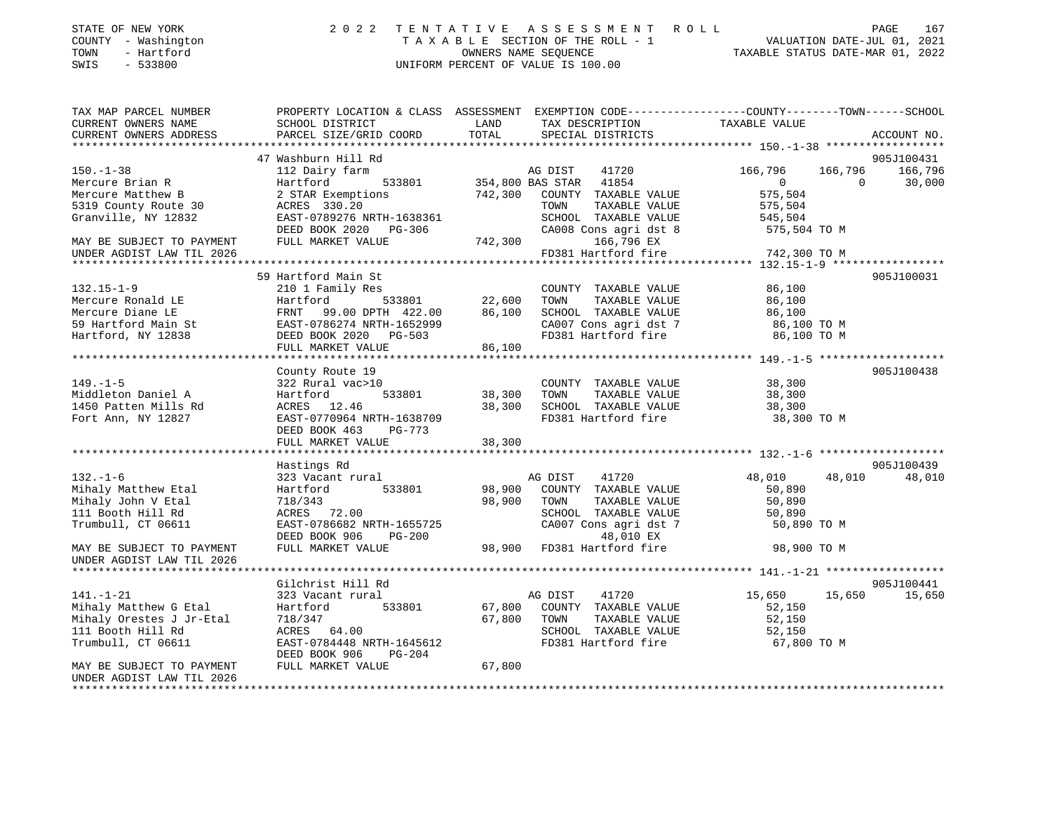| STATE OF NEW YORK   | 2022 TENTATIVE ASSESSMENT ROLL     |                                  | PAGE                        | 167 |
|---------------------|------------------------------------|----------------------------------|-----------------------------|-----|
| COUNTY - Washington | TAXABLE SECTION OF THE ROLL - 1    |                                  | VALUATION DATE-JUL 01, 2021 |     |
| TOWN<br>- Hartford  | OWNERS NAME SEOUENCE               | TAXABLE STATUS DATE-MAR 01, 2022 |                             |     |
| SWIS<br>- 533800    | UNIFORM PERCENT OF VALUE IS 100.00 |                                  |                             |     |

| TAX MAP PARCEL NUMBER                                         | PROPERTY LOCATION & CLASS ASSESSMENT EXEMPTION CODE---------------COUNTY-------TOWN-----SCHOOL |             |                                                                        |                       |                          |
|---------------------------------------------------------------|------------------------------------------------------------------------------------------------|-------------|------------------------------------------------------------------------|-----------------------|--------------------------|
| CURRENT OWNERS NAME                                           | SCHOOL DISTRICT                                                                                | LAND        | TAX DESCRIPTION                                                        | TAXABLE VALUE         |                          |
| CURRENT OWNERS ADDRESS                                        | PARCEL SIZE/GRID COORD                                                                         | TOTAL       | SPECIAL DISTRICTS                                                      |                       | ACCOUNT NO.              |
|                                                               |                                                                                                |             |                                                                        |                       |                          |
|                                                               | 47 Washburn Hill Rd                                                                            |             |                                                                        |                       | 905J100431               |
| $150. - 1 - 38$                                               | 112 Dairy farm                                                                                 |             | arm   AG DIST   41720<br>533801   354,800 BAS STAR   41854             | 166,796               | 166,796 166,796          |
| Mercure Brian R                                               | Hartford                                                                                       |             |                                                                        | $\overline{0}$        | 30,000<br>$\overline{0}$ |
| Mercure Matthew B                                             | 2 STAR Exemptions                                                                              |             | 742,300 COUNTY TAXABLE VALUE                                           | 575,504               |                          |
| 5319 County Route 30                                          | ACRES 330.20                                                                                   |             | TOWN<br>TAXABLE VALUE                                                  | 575,504               |                          |
| Granville, NY 12832                                           | EAST-0789276 NRTH-1638361                                                                      |             | SCHOOL TAXABLE VALUE                                                   | 545,504               |                          |
|                                                               | DEED BOOK 2020 PG-306                                                                          |             | CA008 Cons agri dst 8                                                  | 575,504 TO M          |                          |
| MAY BE SUBJECT TO PAYMENT                                     | FULL MARKET VALUE                                                                              | 742,300     | 166,796 EX                                                             |                       |                          |
| UNDER AGDIST LAW TIL 2026                                     |                                                                                                |             | FD381 Hartford fire                                                    | 742,300 TO M          |                          |
|                                                               |                                                                                                |             |                                                                        |                       |                          |
|                                                               | 59 Hartford Main St                                                                            |             |                                                                        |                       | 905J100031               |
| $132.15 - 1 - 9$                                              | 210 1 Family Res                                                                               |             | COUNTY TAXABLE VALUE                                                   | 86,100                |                          |
| Mercure Ronald LE                                             | 210 1 Family Res<br>Hartford 533801 22,600 TOWN<br>FRNT 99.00 DPTH 422.00 86,100 SCHOO         |             | TAXABLE VALUE                                                          | 86,100                |                          |
| Mercure Diane LE<br>59 Hartford Main St<br>Hartford, NY 12838 |                                                                                                |             | SCHOOL TAXABLE VALUE                                                   | 86,100                |                          |
|                                                               | EAST-0786274 NRTH-1652999<br>DEED BOOK 2020 PG-503                                             |             | CA007 Cons agri dst 7 (86,100 TO M<br>FD381 Hartford fire (86,100 TO M |                       |                          |
|                                                               |                                                                                                |             |                                                                        |                       |                          |
|                                                               | FULL MARKET VALUE                                                                              | 86,100      |                                                                        |                       |                          |
|                                                               |                                                                                                |             |                                                                        |                       |                          |
|                                                               | County Route 19                                                                                |             |                                                                        |                       | 905J100438               |
| $149. - 1 - 5$                                                | 322 Rural vac>10                                                                               |             | COUNTY TAXABLE VALUE                                                   | 38,300                |                          |
| Middleton Daniel A                                            | 533801<br>Hartford                                                                             | 38,300      | TAXABLE VALUE<br>TOWN                                                  | 38,300                |                          |
| 1450 Patten Mills Rd                                          | ACRES 12.46                                                                                    | 38,300      | SCHOOL TAXABLE VALUE                                                   | 38,300                |                          |
| Fort Ann, NY 12827                                            | EAST-0770964 NRTH-1638709                                                                      |             | FD381 Hartford fire                                                    | 38,300 TO M           |                          |
|                                                               | DEED BOOK 463<br>PG-773                                                                        |             |                                                                        |                       |                          |
|                                                               |                                                                                                |             |                                                                        |                       |                          |
|                                                               |                                                                                                |             |                                                                        |                       |                          |
|                                                               | Hastings Rd                                                                                    |             |                                                                        |                       | 905J100439               |
| $132. - 1 - 6$                                                | 323 Vacant rural                                                                               |             | AG DIST<br>41720                                                       | 48,010                | 48,010<br>48,010         |
| Mihaly Matthew Etal                                           | 533801<br>Hartford                                                                             |             | 98,900 COUNTY TAXABLE VALUE                                            | 50,890                |                          |
| Mihaly John V Etal                                            | 718/343                                                                                        | 98,900 TOWN | TAXABLE VALUE                                                          | 50,890                |                          |
| 111 Booth Hill Rd                                             | ACRES 72.00                                                                                    |             |                                                                        | 50,890                |                          |
| Trumbull, CT 06611                                            | EAST-0786682 NRTH-1655725                                                                      |             | SCHOOL TAXABLE VALUE<br>CA007 Cons agri dst 7                          | 50,890 TO M           |                          |
|                                                               | DEED BOOK 906<br><b>PG-200</b>                                                                 |             | 48,010 EX<br>48,010 EX 48,010<br>98,900 FD381 Hartford fire            |                       |                          |
| MAY BE SUBJECT TO PAYMENT                                     | FULL MARKET VALUE                                                                              |             |                                                                        | 98,900 TO M           |                          |
| UNDER AGDIST LAW TIL 2026                                     |                                                                                                |             |                                                                        |                       |                          |
|                                                               |                                                                                                |             |                                                                        |                       |                          |
|                                                               | Gilchrist Hill Rd                                                                              |             |                                                                        |                       | 905J100441               |
| $141. - 1 - 21$                                               | 323 Vacant rural                                                                               |             | AG DIST<br>41720                                                       | 15,650 15,650         | 15,650                   |
| Mihaly Matthew G Etal                                         | Hartford 533801                                                                                |             | 67,800 COUNTY TAXABLE VALUE                                            | 52,150                |                          |
| Mihaly Orestes J Jr-Etal                                      | 718/347                                                                                        | 67,800 TOWN | TAXABLE VALUE                                                          | 52,150                |                          |
| 111 Booth Hill Rd                                             | ACRES 64.00                                                                                    |             | SCHOOL TAXABLE VALUE<br>FD381 Hartford fire                            | 52,150<br>67,800 TO M |                          |
| Trumbull, CT 06611                                            | EAST-0784448 NRTH-1645612                                                                      |             |                                                                        |                       |                          |
|                                                               | DEED BOOK 906<br>$PG-204$                                                                      |             |                                                                        |                       |                          |
| MAY BE SUBJECT TO PAYMENT                                     | FULL MARKET VALUE                                                                              | 67,800      |                                                                        |                       |                          |
| UNDER AGDIST LAW TIL 2026                                     |                                                                                                |             |                                                                        |                       |                          |
| *****************************                                 |                                                                                                |             |                                                                        |                       |                          |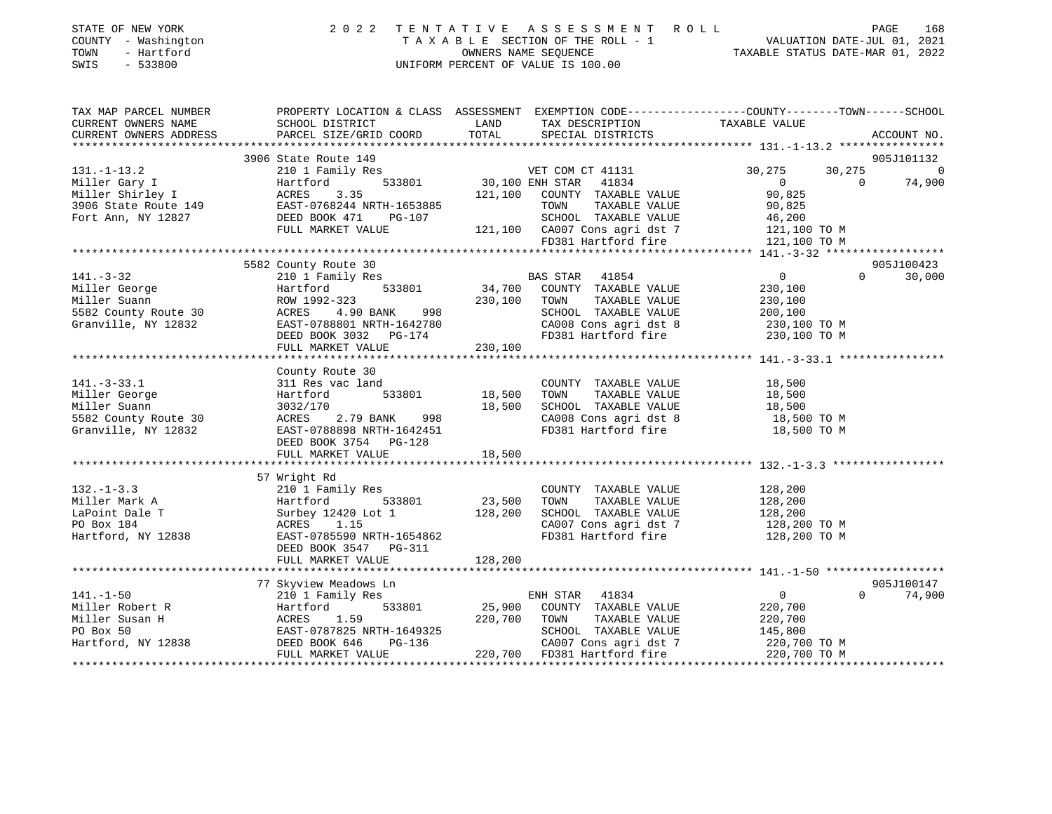| STATE OF NEW YORK<br>COUNTY - Washington<br>TOWN<br>- Hartford<br>SWIS - 533800 | 2022 TENTATIVE ASSESSMENT ROLL<br>TAXABLE SECTION OF THE ROLL - 1<br>OWNERS NAME SEOUENCE<br>UNIFORM PERCENT OF VALUE IS 100.00 | PAGE<br>VALUATION DATE-JUL 01, 2021<br>TAXABLE STATUS DATE-MAR 01, 2022 | 168 |
|---------------------------------------------------------------------------------|---------------------------------------------------------------------------------------------------------------------------------|-------------------------------------------------------------------------|-----|
|                                                                                 |                                                                                                                                 |                                                                         |     |

| TAX MAP PARCEL NUMBER                                                                                                    |                                                                        |                                                                                                                                                                                                                        | PROPERTY LOCATION & CLASS ASSESSMENT EXEMPTION CODE---------------COUNTY-------TOWN------SCHOOL |
|--------------------------------------------------------------------------------------------------------------------------|------------------------------------------------------------------------|------------------------------------------------------------------------------------------------------------------------------------------------------------------------------------------------------------------------|-------------------------------------------------------------------------------------------------|
|                                                                                                                          |                                                                        |                                                                                                                                                                                                                        |                                                                                                 |
|                                                                                                                          |                                                                        |                                                                                                                                                                                                                        |                                                                                                 |
|                                                                                                                          |                                                                        |                                                                                                                                                                                                                        |                                                                                                 |
|                                                                                                                          | 3906 State Route 149                                                   |                                                                                                                                                                                                                        | 905J101132                                                                                      |
| $131. - 1 - 13.2$                                                                                                        | 210 1 Family Res                                                       | 3<br>533801 30,100 ENH STAR 41834                                                                                                                                                                                      | 30, 275<br>30,275 0                                                                             |
|                                                                                                                          |                                                                        |                                                                                                                                                                                                                        | 74,900<br>$\Omega$<br>$\overline{0}$                                                            |
|                                                                                                                          |                                                                        | 121,100 COUNTY TAXABLE VALUE                                                                                                                                                                                           | 90,825                                                                                          |
|                                                                                                                          |                                                                        | TOWN<br>TAXABLE VALUE                                                                                                                                                                                                  | 90,825                                                                                          |
|                                                                                                                          |                                                                        | SCHOOL TAXABLE VALUE                                                                                                                                                                                                   | 46,200                                                                                          |
|                                                                                                                          | FULL MARKET VALUE                                                      |                                                                                                                                                                                                                        |                                                                                                 |
|                                                                                                                          |                                                                        | $-107$ $-107$ $-121,100$ $-10007$ $-121,100$ $-10007$ $-121,100$ $-10007$ $-121,100$ $-10007$ $-121,100$ $-10007$ $-121,100$ $-10007$ $-121,1000$ $-10007$ $-100007$ $-100007$ $-100007$ $-100007$ $-100007$ $-100007$ |                                                                                                 |
|                                                                                                                          |                                                                        |                                                                                                                                                                                                                        |                                                                                                 |
|                                                                                                                          | 5582 County Route 30                                                   |                                                                                                                                                                                                                        | 905J100423                                                                                      |
| $141. - 3 - 32$                                                                                                          | 210 1 Family Res                                                       | EXECUTE SAN STAR 41854<br>533801 34,700 COUNTY TAXABLE VALUE                                                                                                                                                           | $\overline{0}$<br>$\Omega$<br>30,000                                                            |
| Miller George                                                                                                            | Hartford                                                               | $230,100$ TOWN<br>998<br>230,100 TOWN                                                                                                                                                                                  | 230,100                                                                                         |
| Miller Suann                                                                                                             | ROW 1992-323                                                           | TAXABLE VALUE                                                                                                                                                                                                          | 230,100                                                                                         |
| 5582 County Route 30                                                                                                     | 4.90 BANK<br>ACRES                                                     | SCHOOL TAXABLE VALUE 200,100                                                                                                                                                                                           |                                                                                                 |
| Granville, NY 12832                                                                                                      | EAST-0788801 NRTH-1642780                                              | CA008 Cons agri dst 8 230,100 TO M<br>FD381 Hartford fire 230,100 TO M                                                                                                                                                 |                                                                                                 |
|                                                                                                                          | DEED BOOK 3032 PG-174                                                  |                                                                                                                                                                                                                        |                                                                                                 |
|                                                                                                                          | FULL MARKET VALUE                                                      | 230,100                                                                                                                                                                                                                |                                                                                                 |
|                                                                                                                          |                                                                        |                                                                                                                                                                                                                        |                                                                                                 |
|                                                                                                                          | County Route 30                                                        |                                                                                                                                                                                                                        |                                                                                                 |
| $141. - 3 - 33.1$                                                                                                        | 311 Res vac land                                                       | COUNTY TAXABLE VALUE 18,500                                                                                                                                                                                            |                                                                                                 |
| Miller George                                                                                                            | Hartford                                                               | 533801 18,500<br>TOWN TAXABLE VALUE 18,500<br>SCHOOL TAXABLE VALUE 18,500<br>CA008 Cons agri dst 8 18,500 TO M                                                                                                         |                                                                                                 |
| Miller Suann                                                                                                             | 3032/170                                                               |                                                                                                                                                                                                                        |                                                                                                 |
| miiler suann<br>5582 County Route 30                                                                                     | ACRES 2.79 BANK                                                        | $18,500$<br>998                                                                                                                                                                                                        |                                                                                                 |
| Granville, NY 12832                                                                                                      | EAST-0788898 NRTH-1642451                                              | FD381 Hartford fire 18,500 TO M                                                                                                                                                                                        |                                                                                                 |
|                                                                                                                          | DEED BOOK 3754 PG-128                                                  |                                                                                                                                                                                                                        |                                                                                                 |
|                                                                                                                          |                                                                        |                                                                                                                                                                                                                        |                                                                                                 |
|                                                                                                                          |                                                                        |                                                                                                                                                                                                                        |                                                                                                 |
|                                                                                                                          | 57 Wright Rd                                                           |                                                                                                                                                                                                                        |                                                                                                 |
| $132. - 1 - 3.3$                                                                                                         | 210 1 Family Res                                                       | COUNTY TAXABLE VALUE                                                                                                                                                                                                   |                                                                                                 |
| Miller Mark A                                                                                                            | $533801$ 23,500<br>Hartford                                            | TAXABLE VALUE<br>TOWN                                                                                                                                                                                                  | 128,200<br>128,200                                                                              |
| LaPoint Dale T                                                                                                           |                                                                        | SCHOOL TAXABLE VALUE 128,200                                                                                                                                                                                           |                                                                                                 |
| PO Box 184                                                                                                               |                                                                        |                                                                                                                                                                                                                        |                                                                                                 |
| Hartford, NY 12838                                                                                                       | Surbey 12420 Lot 1 128, 200<br>ACRES 1.15<br>EAST-0785590 NRTH-1654862 | CA007 Cons agri dst 7 128,200 TO M<br>FD381 Hartford fire 128,200 TO M                                                                                                                                                 |                                                                                                 |
|                                                                                                                          | DEED BOOK 3547 PG-311                                                  |                                                                                                                                                                                                                        |                                                                                                 |
|                                                                                                                          | FULL MARKET VALUE                                                      | 128,200                                                                                                                                                                                                                |                                                                                                 |
|                                                                                                                          |                                                                        |                                                                                                                                                                                                                        |                                                                                                 |
|                                                                                                                          | 77 Skyview Meadows Ln                                                  |                                                                                                                                                                                                                        | 905J100147                                                                                      |
| $141. - 1 - 50$                                                                                                          | 210 1 Family Res                                                       | ENH STAR 41834                                                                                                                                                                                                         | $\overline{0}$<br>$\Omega$<br>74,900                                                            |
| 141.-1-50<br>Miller Robert R<br>Miller Susan H<br>PO Box 50<br>Hartford, NY 12838<br>Hartford, NY 12838<br>DEED BOOK 646 |                                                                        | 533801 25,900 COUNTY TAXABLE VALUE                                                                                                                                                                                     | 220,700                                                                                         |
|                                                                                                                          |                                                                        | 220,700 TOWN<br>TAXABLE VALUE                                                                                                                                                                                          | 220,700                                                                                         |
|                                                                                                                          | EAST-0787825 NRTH-1649325                                              |                                                                                                                                                                                                                        |                                                                                                 |
|                                                                                                                          | $PG-136$<br>$PG-136$                                                   | SCHOOL TAXABLE VALUE 145,800<br>CA007 Cons agri dst 7 1220,700 TO M                                                                                                                                                    |                                                                                                 |
|                                                                                                                          | FULL MARKET VALUE                                                      | 220,700 FD381 Hartford fire 220,700 TO M                                                                                                                                                                               |                                                                                                 |
|                                                                                                                          |                                                                        |                                                                                                                                                                                                                        |                                                                                                 |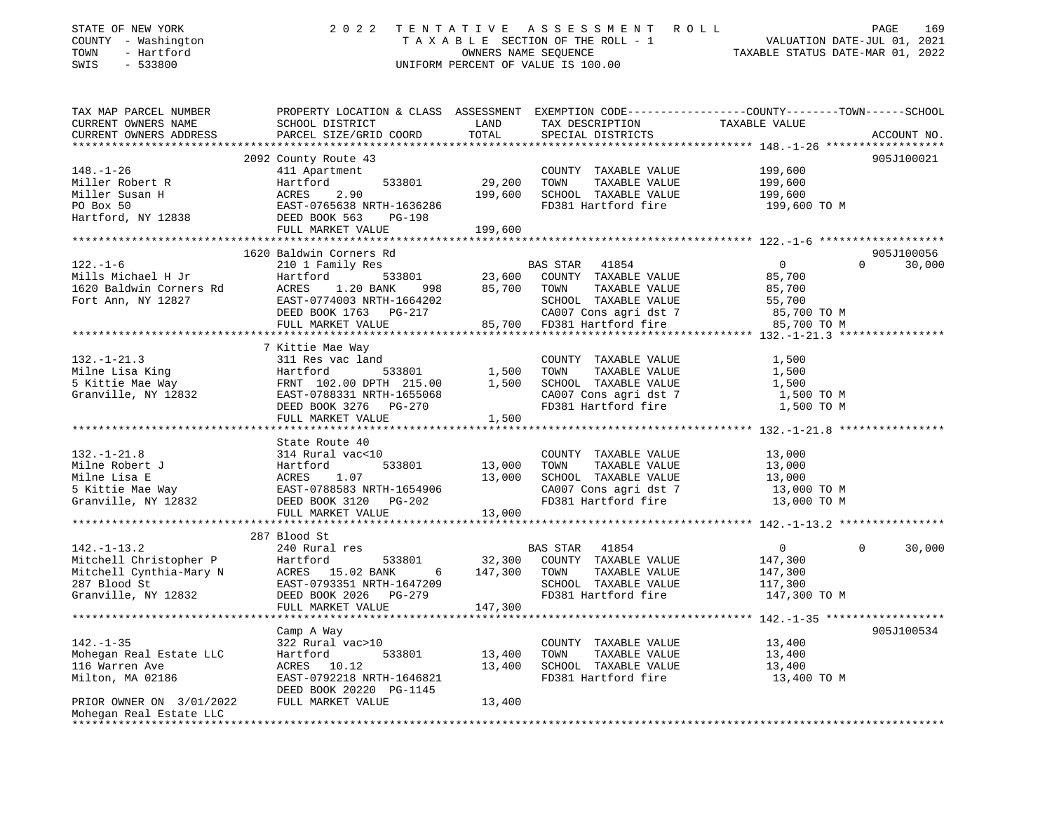| STATE OF NEW YORK<br>COUNTY - Washington<br>- Hartford<br>TOWN<br>SWIS<br>$-533800$ | 2 0 2 2                                                                          | TENTATIVE<br>OWNERS NAME SEQUENCE | A S S E S S M E N T<br>TAXABLE SECTION OF THE ROLL - 1<br>UNIFORM PERCENT OF VALUE IS 100.00 | PAGE 169<br>VALUATION DATE-JUL 01, 2021<br>TAXABLE STATIIS DATE 115 115 11                        |
|-------------------------------------------------------------------------------------|----------------------------------------------------------------------------------|-----------------------------------|----------------------------------------------------------------------------------------------|---------------------------------------------------------------------------------------------------|
| TAX MAP PARCEL NUMBER                                                               |                                                                                  |                                   |                                                                                              | PROPERTY LOCATION & CLASS ASSESSMENT EXEMPTION CODE----------------COUNTY--------TOWN------SCHOOL |
| CURRENT OWNERS NAME                                                                 | SCHOOL DISTRICT                                                                  | LAND                              | TAX DESCRIPTION                                                                              | TAXABLE VALUE                                                                                     |
| CURRENT OWNERS ADDRESS                                                              | PARCEL SIZE/GRID COORD                                                           | TOTAL                             | SPECIAL DISTRICTS                                                                            | ACCOUNT NO.                                                                                       |
|                                                                                     |                                                                                  |                                   |                                                                                              |                                                                                                   |
|                                                                                     | 2092 County Route 43                                                             |                                   |                                                                                              | 905J100021                                                                                        |
| $148. - 1 - 26$                                                                     | 411 Apartment                                                                    |                                   | COUNTY TAXABLE VALUE                                                                         | 199,600                                                                                           |
| Miller Robert R                                                                     | Hartford<br>533801                                                               | 29,200                            | TOWN<br>TAXABLE VALUE                                                                        | 199,600                                                                                           |
| Miller Susan H                                                                      | 2.90<br>ACRES                                                                    | 199,600                           | SCHOOL TAXABLE VALUE                                                                         | 199,600                                                                                           |
| PO Box 50<br>Hartford, NY 12838                                                     | EAST-0765638 NRTH-1636286<br>DEED BOOK 563<br><b>PG-198</b><br>FULL MARKET VALUE | 199,600                           | FD381 Hartford fire                                                                          | 199,600 TO M                                                                                      |
|                                                                                     |                                                                                  |                                   |                                                                                              |                                                                                                   |
|                                                                                     | 1620 Baldwin Corners Rd                                                          |                                   |                                                                                              | 905J100056                                                                                        |
| $122. - 1 - 6$                                                                      | 210 1 Family Res                                                                 |                                   | BAS STAR<br>41854                                                                            | 0<br>$\Omega$<br>30,000                                                                           |
| Mills Michael H Jr                                                                  | Hartford<br>533801                                                               | 23,600                            | COUNTY TAXABLE VALUE                                                                         | 85,700                                                                                            |
| 1620 Baldwin Corners Rd                                                             | 1.20 BANK<br>ACRES<br>998                                                        | 85,700                            | TAXABLE VALUE<br>TOWN                                                                        | 85,700                                                                                            |
| Fort Ann, NY 12827                                                                  | EAST-0774003 NRTH-1664202                                                        |                                   | SCHOOL TAXABLE VALUE                                                                         | 55,700                                                                                            |
|                                                                                     | DEED BOOK 1763 PG-217                                                            |                                   | CA007 Cons agri dst 7                                                                        | 85,700 TO M                                                                                       |
|                                                                                     | FULL MARKET VALUE                                                                |                                   | 85,700 FD381 Hartford fire                                                                   | 85,700 TO M                                                                                       |
|                                                                                     |                                                                                  |                                   |                                                                                              |                                                                                                   |
|                                                                                     | 7 Kittie Mae Way                                                                 |                                   |                                                                                              |                                                                                                   |
| $132. - 1 - 21.3$                                                                   | 311 Res vac land                                                                 |                                   | COUNTY TAXABLE VALUE                                                                         | 1,500                                                                                             |
| Milne Lisa King                                                                     | 533801<br>Hartford                                                               | 1,500                             | TOWN<br>TAXABLE VALUE                                                                        | 1,500                                                                                             |
| 5 Kittie Mae Way                                                                    | FRNT 102.00 DPTH 215.00                                                          | 1,500                             | SCHOOL TAXABLE VALUE                                                                         | 1,500<br>1,500 TO M                                                                               |
| Granville, NY 12832                                                                 | EAST-0788331 NRTH-1655068<br>DEED BOOK 3276 PG-270                               |                                   | CA007 Cons agri dst 7<br>FD381 Hartford fire                                                 | 1,500 TO M                                                                                        |
|                                                                                     | FULL MARKET VALUE                                                                | 1,500                             |                                                                                              |                                                                                                   |
|                                                                                     |                                                                                  |                                   |                                                                                              |                                                                                                   |
|                                                                                     | State Route 40                                                                   |                                   |                                                                                              |                                                                                                   |
| $132. - 1 - 21.8$                                                                   | 314 Rural vac<10                                                                 |                                   | COUNTY TAXABLE VALUE                                                                         | 13,000                                                                                            |
| Milne Robert J                                                                      | Hartford<br>533801                                                               | 13,000                            | TOWN<br>TAXABLE VALUE                                                                        | 13,000                                                                                            |
| Milne Lisa E                                                                        | 1.07<br>ACRES                                                                    | 13,000                            | SCHOOL TAXABLE VALUE                                                                         | 13,000                                                                                            |
| 5 Kittie Mae Way                                                                    | EAST-0788583 NRTH-1654906                                                        |                                   | CA007 Cons agri dst 7                                                                        | 13,000 TO M                                                                                       |
| Granville, NY 12832                                                                 | DEED BOOK 3120 PG-202                                                            |                                   | FD381 Hartford fire                                                                          | 13,000 TO M                                                                                       |
|                                                                                     | FULL MARKET VALUE                                                                | 13,000                            |                                                                                              |                                                                                                   |
|                                                                                     |                                                                                  |                                   |                                                                                              |                                                                                                   |
|                                                                                     | 287 Blood St                                                                     |                                   |                                                                                              | $\overline{0}$<br>$\Omega$                                                                        |
| $142. - 1 - 13.2$<br>Mitchell Christopher P                                         | 240 Rural res<br>Hartford<br>533801                                              | 32,300                            | BAS STAR<br>41854<br>COUNTY TAXABLE VALUE                                                    | 30,000<br>147,300                                                                                 |
| Mitchell Cynthia-Mary N                                                             | ACRES 15.02 BANK<br>6                                                            | 147,300                           | TAXABLE VALUE<br>TOWN                                                                        | 147,300                                                                                           |
| 287 Blood St                                                                        | EAST-0793351 NRTH-1647209                                                        |                                   | SCHOOL TAXABLE VALUE                                                                         | 117,300                                                                                           |
| Granville, NY 12832                                                                 | DEED BOOK 2026<br>PG-279                                                         |                                   | FD381 Hartford fire                                                                          | 147,300 TO M                                                                                      |
|                                                                                     | FULL MARKET VALUE                                                                | 147,300                           |                                                                                              |                                                                                                   |
|                                                                                     |                                                                                  |                                   |                                                                                              |                                                                                                   |
|                                                                                     | Camp A Way                                                                       |                                   |                                                                                              | 905J100534                                                                                        |
| $142. - 1 - 35$                                                                     | 322 Rural vac>10                                                                 |                                   | COUNTY TAXABLE VALUE                                                                         | 13,400                                                                                            |
| Mohegan Real Estate LLC                                                             | Hartford<br>533801                                                               | 13,400                            | TOWN<br>TAXABLE VALUE                                                                        | 13,400                                                                                            |
| 116 Warren Ave                                                                      | ACRES<br>10.12                                                                   | 13,400                            | SCHOOL TAXABLE VALUE                                                                         | 13,400                                                                                            |
| Milton, MA 02186                                                                    | EAST-0792218 NRTH-1646821                                                        |                                   | FD381 Hartford fire                                                                          | 13,400 TO M                                                                                       |
|                                                                                     | DEED BOOK 20220 PG-1145                                                          |                                   |                                                                                              |                                                                                                   |
| PRIOR OWNER ON 3/01/2022                                                            | FULL MARKET VALUE                                                                | 13,400                            |                                                                                              |                                                                                                   |
| Mohegan Real Estate LLC                                                             |                                                                                  |                                   |                                                                                              |                                                                                                   |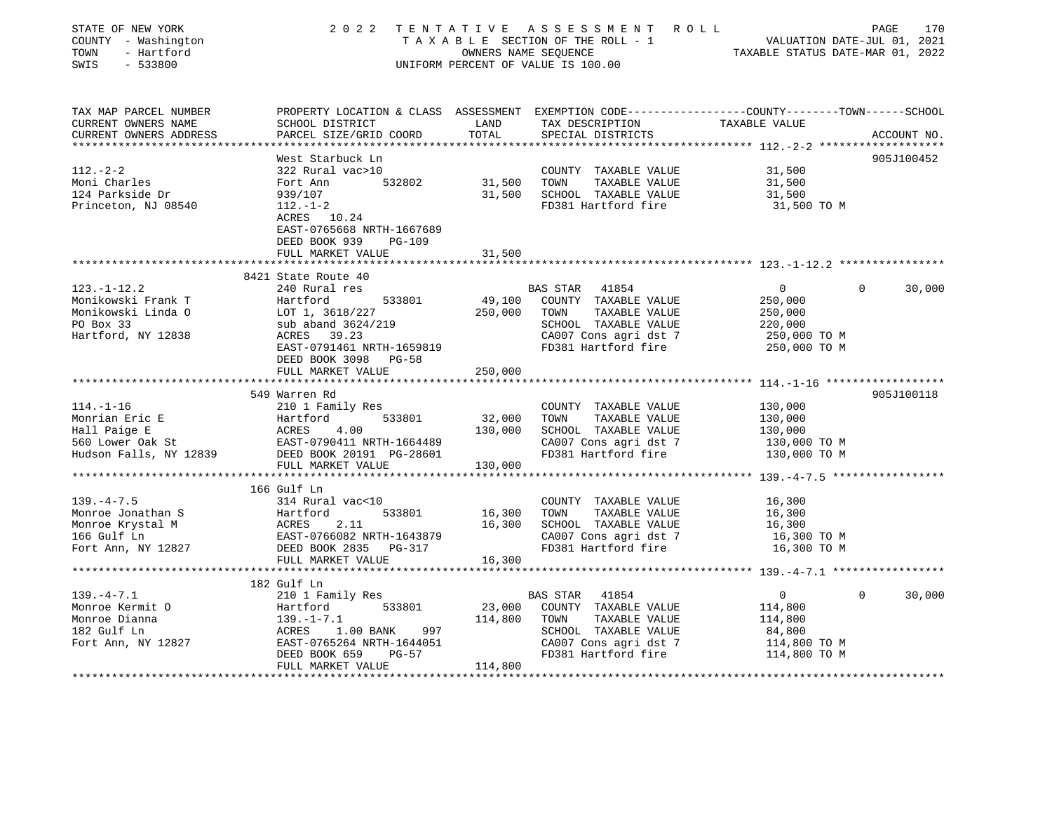| STATE OF NEW YORK<br>COUNTY - Washington<br>- Hartford<br>TOWN<br>SWIS<br>$-533800$              |                                                                                                                                                                             |                              | 2022 TENTATIVE ASSESSMENT ROLL<br>TAXABLE SECTION OF THE ROLL - 1<br>TAXABLE SECTION OF THE ROLL - 1<br>OWNERS NAME SEQUENCE TAXABLE STATUS DATE-MAR 01, 2022<br>UNIFORM PERCENT OF VALUE IS 100.00 |                                                                                 | PAGE<br>170           |
|--------------------------------------------------------------------------------------------------|-----------------------------------------------------------------------------------------------------------------------------------------------------------------------------|------------------------------|-----------------------------------------------------------------------------------------------------------------------------------------------------------------------------------------------------|---------------------------------------------------------------------------------|-----------------------|
| TAX MAP PARCEL NUMBER<br>CURRENT OWNERS NAME<br>CURRENT OWNERS ADDRESS                           | PROPERTY LOCATION & CLASS ASSESSMENT EXEMPTION CODE---------------COUNTY-------TOWN------SCHOOL<br>SCHOOL DISTRICT<br>PARCEL SIZE/GRID COORD                                | LAND<br>TOTAL                | TAX DESCRIPTION<br>SPECIAL DISTRICTS                                                                                                                                                                | TAXABLE VALUE                                                                   | ACCOUNT NO.           |
|                                                                                                  |                                                                                                                                                                             |                              |                                                                                                                                                                                                     |                                                                                 |                       |
| $112. - 2 - 2$<br>Moni Charles<br>124 Parkside Dr<br>Princeton, NJ 08540                         | West Starbuck Ln<br>322 Rural vac>10<br>532802<br>Fort Ann<br>939/107<br>$112. - 1 - 2$<br>ACRES 10.24<br>EAST-0765668 NRTH-1667689<br>DEED BOOK 939<br><b>PG-109</b>       | 31,500<br>31,500             | COUNTY TAXABLE VALUE<br>TOWN<br>TAXABLE VALUE<br>SCHOOL TAXABLE VALUE<br>FD381 Hartford fire                                                                                                        | 31,500<br>31,500<br>31,500<br>31,500 TO M                                       | 905J100452            |
|                                                                                                  | FULL MARKET VALUE                                                                                                                                                           | 31,500                       |                                                                                                                                                                                                     |                                                                                 |                       |
|                                                                                                  |                                                                                                                                                                             |                              |                                                                                                                                                                                                     |                                                                                 |                       |
| $123. - 1 - 12.2$<br>Monikowski Frank T<br>Monikowski Linda O<br>PO Box 33<br>Hartford, NY 12838 | 8421 State Route 40<br>240 Rural res<br>Hartford<br>533801<br>LOT 1, 3618/227<br>sub aband 3624/219<br>ACRES    39.23<br>EAST-0791461 NRTH-1659819<br>DEED BOOK 3098 PG-58  | 250,000 TOWN                 | BAS STAR 41854<br>49,100 COUNTY TAXABLE VALUE<br>TAXABLE VALUE<br>SCHOOL TAXABLE VALUE<br>CA007 Cons agri dst 7<br>FD381 Hartford fire                                                              | $\overline{0}$<br>250,000<br>250,000<br>220,000<br>250,000 TO M<br>250,000 TO M | $\mathbf 0$<br>30,000 |
|                                                                                                  | FULL MARKET VALUE                                                                                                                                                           | 250,000                      |                                                                                                                                                                                                     |                                                                                 |                       |
| $114. - 1 - 16$<br>Monrian Eric E<br>Hall Paige E<br>560 Lower Oak St<br>Hudson Falls, NY 12839  | 549 Warren Rd<br>210 1 Family Res<br>Hartford 533801<br>ACRES 4.00<br>EAST-0790411 NRTH-1664489<br>DEED BOOK 20191 PG-28601<br>FULL MARKET VALUE                            | 32,000<br>130,000<br>130,000 | COUNTY TAXABLE VALUE<br>TAXABLE VALUE<br>TOWN<br>SCHOOL TAXABLE VALUE<br>CA007 Cons agri dst 7<br>FD381 Hartford fire                                                                               | 130,000<br>130,000<br>130,000<br>130,000 ТО М<br>130,000 TO M                   | 905J100118            |
| $139. -4 - 7.5$<br>Monroe Jonathan S<br>Monroe Krystal M<br>166 Gulf Ln<br>Fort Ann, NY 12827    | 166 Gulf Ln<br>314 Rural vac<10<br>Hartford<br>533801<br><b>ACRES</b><br>2.11<br>EAST-0766082 NRTH-1643879<br>DEED BOOK 2835 PG-317<br>FULL MARKET VALUE                    | 16,300<br>16,300<br>16,300   | COUNTY TAXABLE VALUE<br>TOWN<br>TAXABLE VALUE<br>SCHOOL TAXABLE VALUE<br>CA007 Cons agri dst 7<br>FD381 Hartford fire                                                                               | 16,300<br>16,300<br>16,300<br>16,300 TO M<br>16,300 TO M                        |                       |
|                                                                                                  |                                                                                                                                                                             |                              |                                                                                                                                                                                                     |                                                                                 |                       |
| $139. -4 - 7.1$<br>Monroe Kermit O<br>Monroe Dianna<br>182 Gulf Ln<br>Fort Ann, NY 12827         | 182 Gulf Ln<br>210 1 Family Res<br>533801<br>Hartford<br>$139. -1 - 7.1$<br>ACRES 1.00 BANK 997<br>EAST-0765264 NRTH-1644051<br>DEED BOOK 659<br>PG-57<br>FULL MARKET VALUE | 23,000<br>114,800<br>114,800 | BAS STAR 41854<br>COUNTY TAXABLE VALUE<br>TOWN<br>TAXABLE VALUE<br>SCHOOL TAXABLE VALUE<br>CA007 Cons agri dst 7<br>FD381 Hartford fire                                                             | 0<br>114,800<br>114,800<br>84,800<br>114,800 TO M<br>114,800 TO M               | $\Omega$<br>30,000    |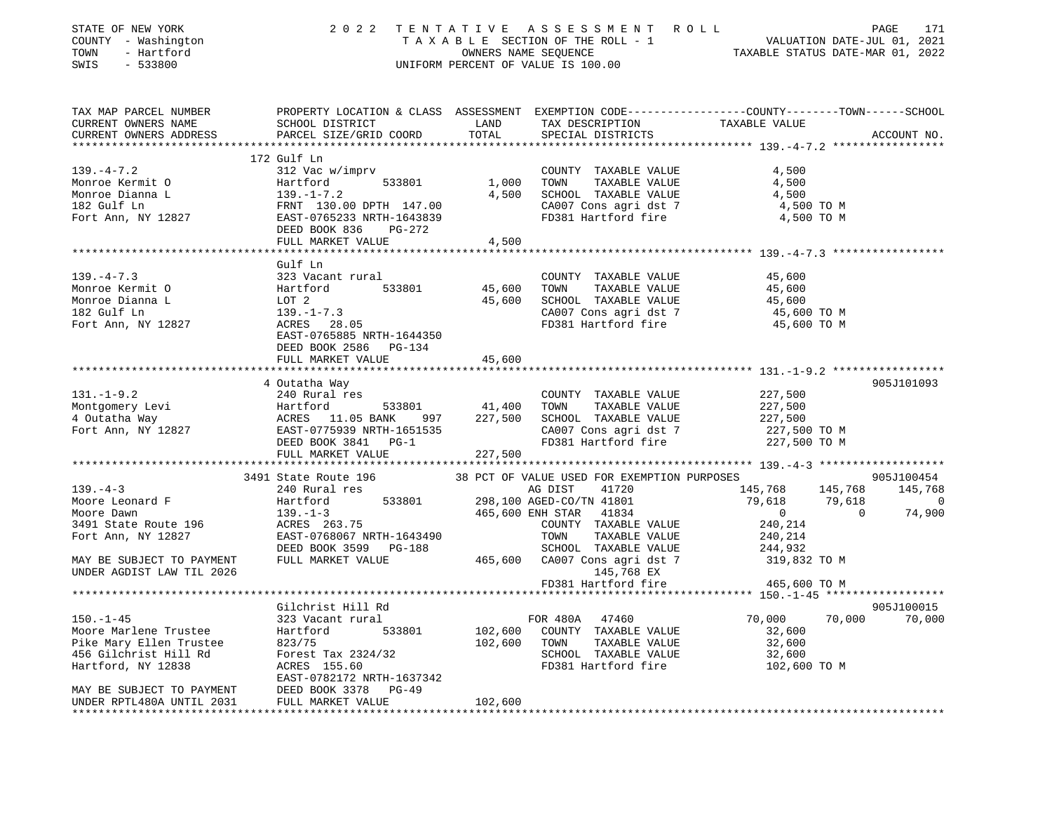| STATE OF NEW YORK         | 2 0 2 2                               | TENTATIVE | A S S E S S M E N T A O L L                 |                                                                                                 | PAGE<br>171              |
|---------------------------|---------------------------------------|-----------|---------------------------------------------|-------------------------------------------------------------------------------------------------|--------------------------|
| COUNTY - Washington       |                                       |           | TAXABLE SECTION OF THE ROLL - 1             | VALUATION DATE-JUL 01, 2021                                                                     |                          |
| TOWN<br>- Hartford        |                                       |           | OWNERS NAME SEQUENCE                        | TAXABLE STATUS DATE-MAR 01, 2022                                                                |                          |
| SWIS<br>$-533800$         |                                       |           | UNIFORM PERCENT OF VALUE IS 100.00          |                                                                                                 |                          |
|                           |                                       |           |                                             |                                                                                                 |                          |
| TAX MAP PARCEL NUMBER     |                                       |           |                                             | PROPERTY LOCATION & CLASS ASSESSMENT EXEMPTION CODE---------------COUNTY-------TOWN------SCHOOL |                          |
| CURRENT OWNERS NAME       | SCHOOL DISTRICT                       | LAND      | TAX DESCRIPTION                             | TAXABLE VALUE                                                                                   |                          |
| CURRENT OWNERS ADDRESS    | PARCEL SIZE/GRID COORD                | TOTAL     | SPECIAL DISTRICTS                           |                                                                                                 | ACCOUNT NO.              |
|                           |                                       |           |                                             |                                                                                                 |                          |
|                           | 172 Gulf Ln                           |           |                                             |                                                                                                 |                          |
| $139. -4 - 7.2$           | 312 Vac w/imprv                       |           | COUNTY TAXABLE VALUE                        | 4,500                                                                                           |                          |
| Monroe Kermit O           | Hartford<br>533801                    | 1,000     | TOWN<br>TAXABLE VALUE                       | 4,500                                                                                           |                          |
| Monroe Dianna L           | $139. - 1 - 7.2$                      | 4,500     | SCHOOL TAXABLE VALUE                        | 4,500                                                                                           |                          |
| 182 Gulf Ln               | FRNT 130.00 DPTH 147.00               |           | CA007 Cons agri dst 7                       | 4,500 TO M                                                                                      |                          |
| Fort Ann, NY 12827        | EAST-0765233 NRTH-1643839             |           | FD381 Hartford fire                         | 4,500 TO M                                                                                      |                          |
|                           | DEED BOOK 836<br>PG-272               |           |                                             |                                                                                                 |                          |
|                           | FULL MARKET VALUE                     | 4,500     |                                             |                                                                                                 |                          |
|                           |                                       |           |                                             |                                                                                                 |                          |
|                           | Gulf Ln                               |           |                                             |                                                                                                 |                          |
| $139. -4 - 7.3$           | 323 Vacant rural                      |           | COUNTY TAXABLE VALUE                        | 45,600                                                                                          |                          |
| Monroe Kermit O           | Hartford<br>533801                    | 45,600    | TAXABLE VALUE<br>TOWN                       | 45,600                                                                                          |                          |
| Monroe Dianna L           | LOT 2                                 | 45,600    | SCHOOL TAXABLE VALUE                        | 45,600                                                                                          |                          |
| 182 Gulf Ln               | $139. - 1 - 7.3$                      |           | CA007 Cons agri dst 7                       | 45,600 TO M                                                                                     |                          |
| Fort Ann, NY 12827        | ACRES<br>28.05                        |           | FD381 Hartford fire                         | 45,600 TO M                                                                                     |                          |
|                           | EAST-0765885 NRTH-1644350             |           |                                             |                                                                                                 |                          |
|                           | DEED BOOK 2586 PG-134                 |           |                                             |                                                                                                 |                          |
|                           | FULL MARKET VALUE                     | 45,600    |                                             |                                                                                                 |                          |
|                           |                                       |           |                                             |                                                                                                 |                          |
|                           | 4 Outatha Way                         |           |                                             |                                                                                                 | 905J101093               |
| $131. - 1 - 9.2$          | 240 Rural res                         |           | COUNTY TAXABLE VALUE                        | 227,500                                                                                         |                          |
| Montgomery Levi           | Hartford<br>533801                    | 41,400    | TOWN<br>TAXABLE VALUE                       | 227,500                                                                                         |                          |
| 4 Outatha Way             | ACRES 11.05 BANK<br>997               | 227,500   | SCHOOL TAXABLE VALUE                        | 227,500                                                                                         |                          |
| Fort Ann, NY 12827        | EAST-0775939 NRTH-1651535             |           | CA007 Cons agri dst 7                       | 227,500 TO M                                                                                    |                          |
|                           | DEED BOOK 3841<br>$PG-1$              |           | FD381 Hartford fire                         | 227,500 TO M                                                                                    |                          |
|                           | FULL MARKET VALUE                     | 227,500   |                                             |                                                                                                 |                          |
|                           |                                       |           |                                             |                                                                                                 |                          |
|                           | 3491 State Route 196                  |           | 38 PCT OF VALUE USED FOR EXEMPTION PURPOSES |                                                                                                 | 905J100454               |
| $139. - 4 - 3$            | 240 Rural res                         |           | AG DIST<br>41720                            | 145,768<br>145,768                                                                              | 145,768                  |
| Moore Leonard F           | 533801<br>Hartford                    |           | 298,100 AGED-CO/TN 41801                    | 79,618<br>79,618                                                                                | $\overline{\phantom{0}}$ |
| Moore Dawn                | $139. - 1 - 3$                        |           | 465,600 ENH STAR<br>41834                   | $\overline{0}$<br>$\Omega$                                                                      | 74,900                   |
| 3491 State Route 196      | ACRES 263.75                          |           | COUNTY TAXABLE VALUE                        | 240,214                                                                                         |                          |
| Fort Ann, NY 12827        | EAST-0768067 NRTH-1643490             |           | TOWN<br>TAXABLE VALUE                       | 240,214                                                                                         |                          |
|                           | DEED BOOK 3599 PG-188                 |           | SCHOOL TAXABLE VALUE                        | 244,932                                                                                         |                          |
| MAY BE SUBJECT TO PAYMENT | FULL MARKET VALUE                     | 465,600   | CA007 Cons agri dst 7                       | 319,832 TO M                                                                                    |                          |
| UNDER AGDIST LAW TIL 2026 |                                       |           | 145,768 EX                                  |                                                                                                 |                          |
|                           |                                       |           | FD381 Hartford fire                         | 465,600 TO M                                                                                    |                          |
|                           | ************************************* |           |                                             | ********* 150.-1-45 ******************                                                          |                          |
|                           | Gilchrist Hill Rd                     |           |                                             |                                                                                                 | 905J100015               |
| $150. - 1 - 45$           | 323 Vacant rural                      |           | FOR 480A<br>47460                           | 70,000<br>70,000                                                                                | 70,000                   |
| Moore Marlene Trustee     | 533801<br>Hartford                    | 102,600   | COUNTY TAXABLE VALUE                        | 32,600                                                                                          |                          |
| Pike Mary Ellen Trustee   | 823/75                                | 102,600   | TOWN<br>TAXABLE VALUE                       | 32,600                                                                                          |                          |
| 456 Gilchrist Hill Rd     | Forest Tax 2324/32                    |           | SCHOOL TAXABLE VALUE                        | 32,600                                                                                          |                          |
| Hartford, NY 12838        | ACRES 155.60                          |           | FD381 Hartford fire                         | 102,600 TO M                                                                                    |                          |
|                           | EAST-0782172 NRTH-1637342             |           |                                             |                                                                                                 |                          |
| MAY BE SUBJECT TO PAYMENT | DEED BOOK 3378<br>$PG-49$             |           |                                             |                                                                                                 |                          |
| UNDER RPTL480A UNTIL 2031 | FULL MARKET VALUE                     | 102,600   |                                             |                                                                                                 |                          |
|                           |                                       |           |                                             |                                                                                                 |                          |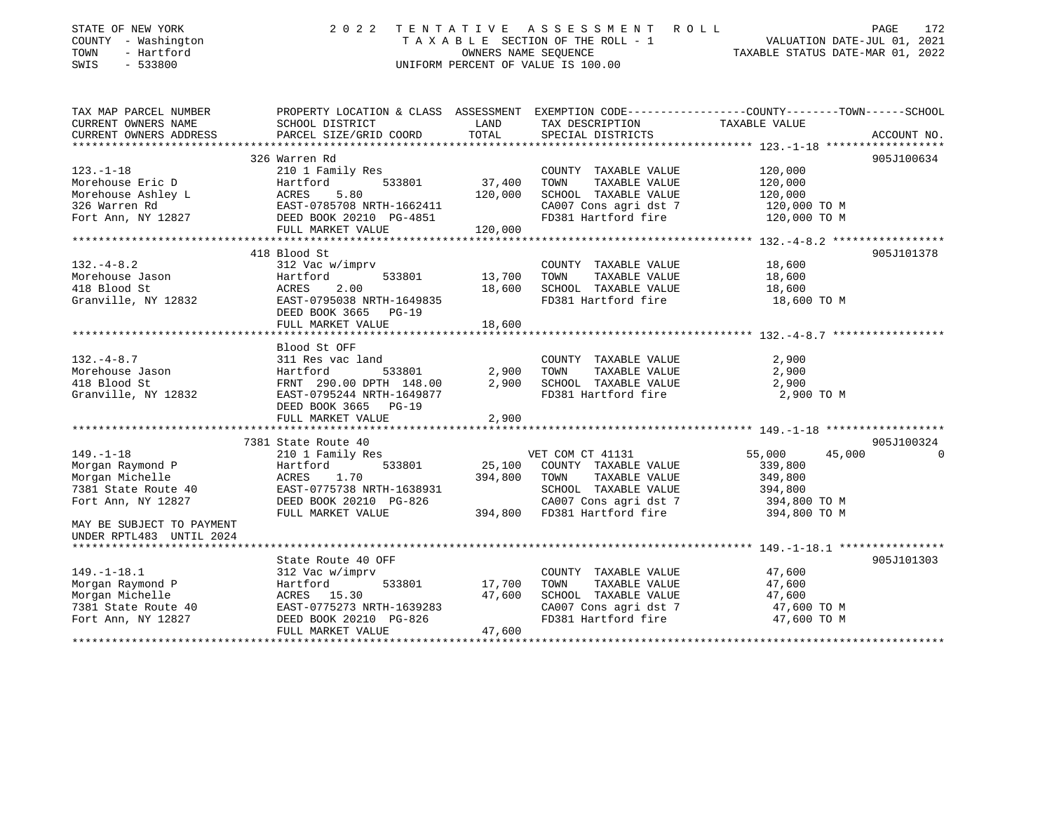| STATE OF NEW YORK<br>COUNTY - Washington<br>TOWN<br>- Hartford<br>SWIS<br>$-533800$ | 2 0 2 2<br>TENTATIVE                                                                                                | OWNERS NAME SEQUENCE | A S S E S S M E N T<br>R O L L<br>TAXABLE SECTION OF THE ROLL - 1<br>UNIFORM PERCENT OF VALUE IS 100.00 | VALUATION DATE-JUL 01, 2021<br>TAXABLE STATUS DATE-MAR 01, 2022 | PAGE<br>172 |
|-------------------------------------------------------------------------------------|---------------------------------------------------------------------------------------------------------------------|----------------------|---------------------------------------------------------------------------------------------------------|-----------------------------------------------------------------|-------------|
| TAX MAP PARCEL NUMBER<br>CURRENT OWNERS NAME                                        | PROPERTY LOCATION & CLASS ASSESSMENT EXEMPTION CODE----------------COUNTY-------TOWN------SCHOOL<br>SCHOOL DISTRICT | LAND                 | TAX DESCRIPTION                                                                                         | TAXABLE VALUE                                                   |             |
| CURRENT OWNERS ADDRESS                                                              | PARCEL SIZE/GRID COORD                                                                                              | TOTAL                | SPECIAL DISTRICTS                                                                                       |                                                                 | ACCOUNT NO. |
|                                                                                     |                                                                                                                     |                      |                                                                                                         |                                                                 |             |
|                                                                                     | 326 Warren Rd                                                                                                       |                      |                                                                                                         |                                                                 | 905J100634  |
| $123. - 1 - 18$                                                                     | 210 1 Family Res                                                                                                    |                      | COUNTY TAXABLE VALUE                                                                                    | 120,000                                                         |             |
| Morehouse Eric D                                                                    | 533801<br>Hartford                                                                                                  | 37,400               | TOWN<br>TAXABLE VALUE                                                                                   | 120,000                                                         |             |
| Morehouse Ashley L                                                                  | 5.80                                                                                                                | 120,000              | SCHOOL TAXABLE VALUE                                                                                    | 120,000                                                         |             |
| 326 Warren Rd<br>Fort Ann, NY 12827                                                 | EAST-0785708 NRTH-1662411<br>DEED BOOK 20210 PG-4851                                                                |                      | CA007 Cons agri dst 7<br>FD381 Hartford fire                                                            | 120,000 TO M<br>120,000 TO M                                    |             |
|                                                                                     | FULL MARKET VALUE                                                                                                   | 120,000              |                                                                                                         |                                                                 |             |
|                                                                                     |                                                                                                                     |                      |                                                                                                         |                                                                 |             |
|                                                                                     | 418 Blood St                                                                                                        |                      |                                                                                                         |                                                                 | 905J101378  |
| $132. -4 - 8.2$                                                                     | 312 Vac w/imprv                                                                                                     |                      | COUNTY TAXABLE VALUE                                                                                    | 18,600                                                          |             |
| Morehouse Jason                                                                     | Hartford<br>533801                                                                                                  | 13,700               | TAXABLE VALUE<br>TOWN                                                                                   | 18,600                                                          |             |
| 418 Blood St                                                                        | 2.00<br>ACRES                                                                                                       | 18,600               | SCHOOL TAXABLE VALUE                                                                                    | 18,600                                                          |             |
| Granville, NY 12832                                                                 | EAST-0795038 NRTH-1649835                                                                                           |                      | FD381 Hartford fire                                                                                     | 18,600 TO M                                                     |             |
|                                                                                     | DEED BOOK 3665 PG-19                                                                                                |                      |                                                                                                         |                                                                 |             |
|                                                                                     | FULL MARKET VALUE                                                                                                   | 18,600               |                                                                                                         |                                                                 |             |
|                                                                                     |                                                                                                                     |                      |                                                                                                         |                                                                 |             |
| $132. -4 - 8.7$                                                                     | Blood St OFF<br>311 Res vac land                                                                                    |                      | COUNTY TAXABLE VALUE                                                                                    | 2,900                                                           |             |
| Morehouse Jason                                                                     | Hartford<br>533801                                                                                                  | 2,900                | TAXABLE VALUE<br>TOWN                                                                                   | 2,900                                                           |             |
| 418 Blood St                                                                        |                                                                                                                     | 2,900                | SCHOOL TAXABLE VALUE                                                                                    | 2,900                                                           |             |
| Granville, NY 12832                                                                 | EAST-0795244 NRTH-1649877                                                                                           |                      | FD381 Hartford fire                                                                                     | 2,900 TO M                                                      |             |
|                                                                                     | DEED BOOK 3665 PG-19                                                                                                |                      |                                                                                                         |                                                                 |             |
|                                                                                     | FULL MARKET VALUE                                                                                                   | 2,900                |                                                                                                         |                                                                 |             |
|                                                                                     |                                                                                                                     |                      |                                                                                                         |                                                                 |             |
|                                                                                     | 7381 State Route 40                                                                                                 |                      |                                                                                                         |                                                                 | 905J100324  |
| $149. - 1 - 18$                                                                     | 210 1 Family Res                                                                                                    |                      | VET COM CT 41131                                                                                        | 45,000<br>55,000                                                | $\Omega$    |
| Morgan Raymond P                                                                    | 533801<br>Hartford                                                                                                  | 25,100               | COUNTY TAXABLE VALUE                                                                                    | 339,800                                                         |             |
| Morgan Michelle                                                                     | 1.70<br>ACRES                                                                                                       | 394,800              | TOWN<br>TAXABLE VALUE                                                                                   | 349,800                                                         |             |
| 7381 State Route 40                                                                 | EAST-0775738 NRTH-1638931                                                                                           |                      | SCHOOL TAXABLE VALUE                                                                                    | 394,800                                                         |             |
| Fort Ann, NY 12827                                                                  | DEED BOOK 20210 PG-826                                                                                              |                      | CA007 Cons agri dst 7                                                                                   | 394,800 TO M                                                    |             |
|                                                                                     | FULL MARKET VALUE                                                                                                   | 394,800              | FD381 Hartford fire                                                                                     | 394,800 TO M                                                    |             |
| MAY BE SUBJECT TO PAYMENT<br>UNDER RPTL483 UNTIL 2024                               |                                                                                                                     |                      |                                                                                                         |                                                                 |             |
|                                                                                     |                                                                                                                     |                      |                                                                                                         |                                                                 |             |
|                                                                                     | State Route 40 OFF                                                                                                  |                      |                                                                                                         |                                                                 | 905J101303  |
| $149. - 1 - 18.1$                                                                   | 312 Vac w/imprv                                                                                                     |                      | COUNTY TAXABLE VALUE                                                                                    | 47,600                                                          |             |
| Morgan Raymond P                                                                    | 533801<br>Hartford                                                                                                  | 17,700               | TOWN<br>TAXABLE VALUE                                                                                   | 47,600                                                          |             |
| Morgan Michelle                                                                     | ACRES 15.30                                                                                                         | 47,600               | SCHOOL TAXABLE VALUE                                                                                    | 47,600                                                          |             |
| 7381 State Route 40                                                                 | EAST-0775273 NRTH-1639283                                                                                           |                      | CA007 Cons agri dst 7                                                                                   | 47,600 TO M                                                     |             |
| Fort Ann, NY 12827                                                                  | DEED BOOK 20210 PG-826                                                                                              |                      | FD381 Hartford fire                                                                                     | 47,600 TO M                                                     |             |
|                                                                                     | FULL MARKET VALUE                                                                                                   | 47,600               |                                                                                                         |                                                                 |             |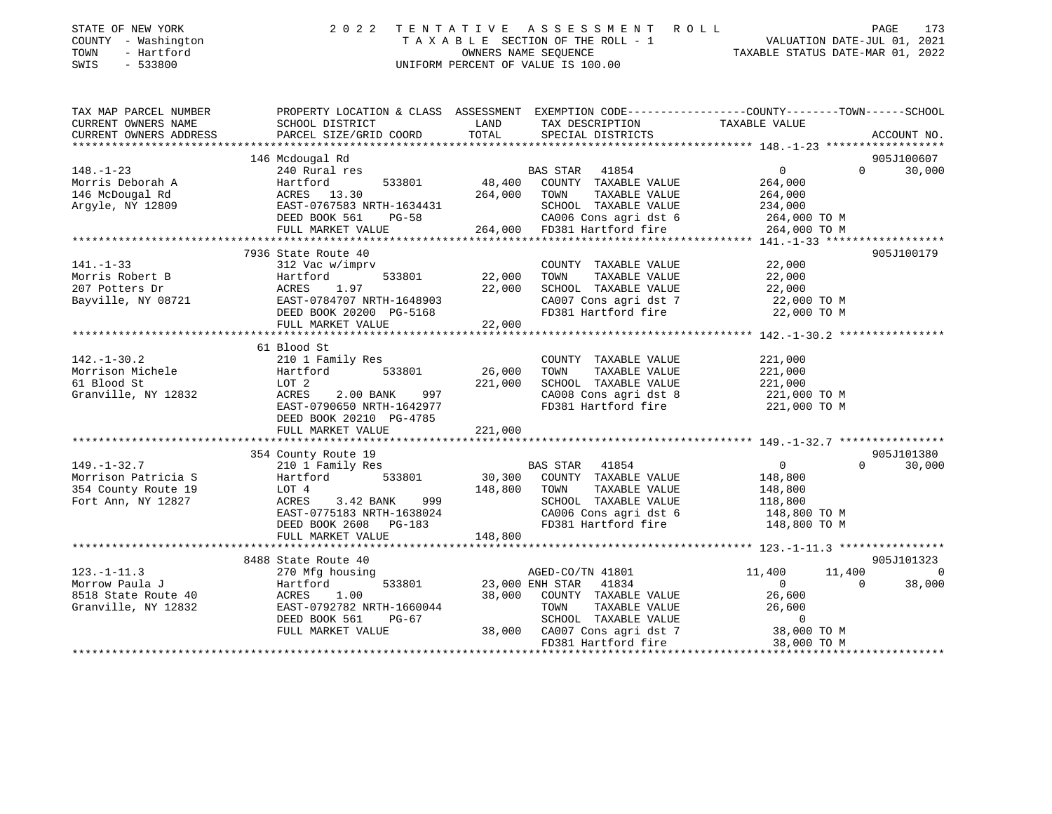| STATE OF NEW YORK<br>COUNTY - Washington<br>- Hartford<br>TOWN<br>SWIS<br>$-533800$ | 2 0 2 2                                              | ASSESSMENT ROLL<br>TENTATIVE<br>TAXABLE SECTION OF THE ROLL - 1<br>OWNERS NAME SEOUENCE<br>UNIFORM PERCENT OF VALUE IS 100.00 | PAGE 173<br>VALUATION DATE-JUL 01, 2021<br>TAXABLE STATIIS DATE 115 115 116                                      |
|-------------------------------------------------------------------------------------|------------------------------------------------------|-------------------------------------------------------------------------------------------------------------------------------|------------------------------------------------------------------------------------------------------------------|
| TAX MAP PARCEL NUMBER<br>CURRENT OWNERS NAME                                        | SCHOOL DISTRICT                                      | LAND<br>TAX DESCRIPTION                                                                                                       | PROPERTY LOCATION & CLASS ASSESSMENT EXEMPTION CODE---------------COUNTY-------TOWN------SCHOOL<br>TAXABLE VALUE |
| CURRENT OWNERS ADDRESS                                                              | PARCEL SIZE/GRID COORD                               | TOTAL<br>SPECIAL DISTRICTS                                                                                                    | ACCOUNT NO.                                                                                                      |
|                                                                                     |                                                      |                                                                                                                               |                                                                                                                  |
|                                                                                     | 146 Mcdougal Rd                                      |                                                                                                                               | 905J100607                                                                                                       |
| $148. - 1 - 23$                                                                     | 240 Rural res                                        | BAS STAR 41854                                                                                                                | $\overline{0}$<br>$\Omega$<br>30,000                                                                             |
| Morris Deborah A<br>146 McDougal Rd                                                 | Hartford<br>533801<br>ACRES 13.30                    | 48,400<br>COUNTY TAXABLE VALUE<br>264,000<br>TAXABLE VALUE<br>TOWN                                                            | 264,000<br>264,000                                                                                               |
| Argyle, NY 12809                                                                    | EAST-0767583 NRTH-1634431                            | SCHOOL TAXABLE VALUE                                                                                                          | 234,000                                                                                                          |
|                                                                                     | DEED BOOK 561<br>$PG-58$                             | CA006 Cons agri dst 6                                                                                                         | 264,000 TO M                                                                                                     |
|                                                                                     | FULL MARKET VALUE                                    | 264,000<br>FD381 Hartford fire                                                                                                | 264,000 TO M                                                                                                     |
|                                                                                     |                                                      |                                                                                                                               |                                                                                                                  |
|                                                                                     | 7936 State Route 40                                  |                                                                                                                               | 905J100179                                                                                                       |
| $141. - 1 - 33$                                                                     | 312 Vac w/imprv                                      | COUNTY TAXABLE VALUE                                                                                                          | 22,000                                                                                                           |
| Morris Robert B                                                                     | 533801<br>Hartford                                   | 22,000<br>TOWN<br>TAXABLE VALUE                                                                                               | 22,000                                                                                                           |
| 207 Potters Dr                                                                      | ACRES<br>1.97                                        | 22,000<br>SCHOOL TAXABLE VALUE                                                                                                | 22,000                                                                                                           |
| Bayville, NY 08721                                                                  | EAST-0784707 NRTH-1648903<br>DEED BOOK 20200 PG-5168 | CA007 Cons agri dst 7<br>FD381 Hartford fire                                                                                  | 22,000 TO M<br>22,000 TO M                                                                                       |
|                                                                                     | FULL MARKET VALUE                                    | 22,000                                                                                                                        |                                                                                                                  |
|                                                                                     |                                                      |                                                                                                                               |                                                                                                                  |
|                                                                                     | 61 Blood St                                          |                                                                                                                               |                                                                                                                  |
| $142. - 1 - 30.2$                                                                   | 210 1 Family Res                                     | COUNTY TAXABLE VALUE                                                                                                          | 221,000                                                                                                          |
| Morrison Michele                                                                    | Hartford<br>533801                                   | 26,000<br>TAXABLE VALUE<br>TOWN                                                                                               | 221,000                                                                                                          |
| 61 Blood St                                                                         | LOT 2                                                | 221,000<br>SCHOOL TAXABLE VALUE                                                                                               | 221,000                                                                                                          |
| Granville, NY 12832                                                                 | ACRES<br>$2.00$ BANK<br>997                          | CA008 Cons agri dst 8                                                                                                         | 221,000 TO M                                                                                                     |
|                                                                                     | EAST-0790650 NRTH-1642977                            | FD381 Hartford fire                                                                                                           | 221,000 TO M                                                                                                     |
|                                                                                     | DEED BOOK 20210 PG-4785<br>FULL MARKET VALUE         | 221,000                                                                                                                       |                                                                                                                  |
|                                                                                     |                                                      |                                                                                                                               |                                                                                                                  |
|                                                                                     | 354 County Route 19                                  |                                                                                                                               | 905J101380                                                                                                       |
| $149. - 1 - 32.7$                                                                   | 210 1 Family Res                                     | BAS STAR 41854                                                                                                                | $\Omega$<br>30,000<br>$\overline{0}$                                                                             |
| Morrison Patricia S                                                                 | 533801<br>Hartford                                   | 30,300<br>COUNTY TAXABLE VALUE                                                                                                | 148,800                                                                                                          |
| 354 County Route 19                                                                 | LOT 4                                                | 148,800<br>TAXABLE VALUE<br>TOWN                                                                                              | 148,800                                                                                                          |
| Fort Ann, NY 12827                                                                  | 3.42 BANK<br>ACRES<br>999                            | SCHOOL TAXABLE VALUE                                                                                                          | 118,800                                                                                                          |
|                                                                                     | EAST-0775183 NRTH-1638024                            | CA006 Cons agri dst 6                                                                                                         | 148,800 TO M                                                                                                     |
|                                                                                     | DEED BOOK 2608 PG-183                                | FD381 Hartford fire                                                                                                           | 148,800 TO M                                                                                                     |
|                                                                                     | FULL MARKET VALUE<br>***********************         | 148,800                                                                                                                       |                                                                                                                  |
|                                                                                     | 8488 State Route 40                                  |                                                                                                                               | 905J101323                                                                                                       |
| $123. - 1 - 11.3$                                                                   | 270 Mfg housing                                      | AGED-CO/TN 41801                                                                                                              | 11,400<br>11,400<br>$\overline{0}$                                                                               |
| Morrow Paula J                                                                      | Hartford<br>533801                                   | 23,000 ENH STAR<br>41834                                                                                                      | $\overline{0}$<br>$\Omega$<br>38,000                                                                             |
| 8518 State Route 40                                                                 | ACRES<br>1.00                                        | 38,000<br>COUNTY TAXABLE VALUE                                                                                                | 26,600                                                                                                           |
| Granville, NY 12832                                                                 | EAST-0792782 NRTH-1660044                            | TAXABLE VALUE<br>TOWN                                                                                                         | 26,600                                                                                                           |
|                                                                                     | DEED BOOK 561<br>$PG-67$                             | SCHOOL TAXABLE VALUE                                                                                                          | $\mathbf 0$                                                                                                      |
|                                                                                     | FULL MARKET VALUE                                    | 38,000 CA007 Cons agri dst 7                                                                                                  | 38,000 TO M                                                                                                      |
|                                                                                     |                                                      | FD381 Hartford fire                                                                                                           | 38,000 TO M                                                                                                      |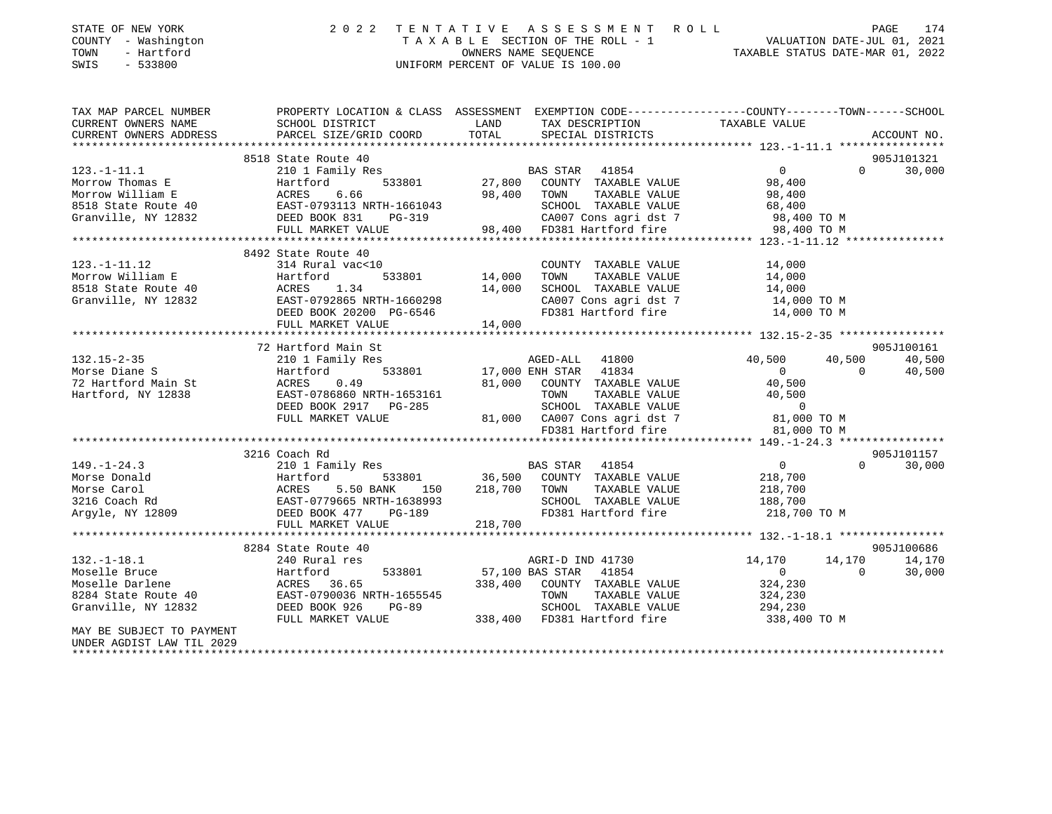| STATE OF NEW YORK<br>COUNTY - Washington<br>- Hartford<br>TOWN<br>SWIS<br>$-533800$                                                                                                                                                                      | 2 0 2 2                                                                       |         | TENTATIVE ASSESSMENT ROLL<br>TAXABLE SECTION OF THE ROLL - 1 VALUATION DATE-JUL 01, 2021<br>ONNERS NAME SEQUENCE  TAXABLE STATUS DATE-MAR 01, 2022<br>UNIFORM PERCENT OF VALUE IS 100.00 |                   |                |                      |
|----------------------------------------------------------------------------------------------------------------------------------------------------------------------------------------------------------------------------------------------------------|-------------------------------------------------------------------------------|---------|------------------------------------------------------------------------------------------------------------------------------------------------------------------------------------------|-------------------|----------------|----------------------|
| TAX MAP PARCEL NUMBER THE PROPERTY LOCATION & CLASS ASSESSMENT EXEMPTION CODE--------------COUNTY-------TOWN-----SCHOOL<br>CURRENT OWNERS NAME                                                                                                           | SCHOOL DISTRICT                                                               | LAND    | TAX DESCRIPTION                                                                                                                                                                          | TAXABLE VALUE     |                |                      |
| CURRENT OWNERS ADDRESS                                                                                                                                                                                                                                   | PARCEL SIZE/GRID COORD                                                        | TOTAL   | SPECIAL DISTRICTS                                                                                                                                                                        |                   |                | ACCOUNT NO.          |
|                                                                                                                                                                                                                                                          | 8518 State Route 40                                                           |         |                                                                                                                                                                                          |                   |                | 905J101321           |
| $123.-1-11.1$                                                                                                                                                                                                                                            | 210 1 Family Res                                                              |         | BAS STAR 41854                                                                                                                                                                           | $0 \qquad \qquad$ | $\Omega$       | 30,000               |
|                                                                                                                                                                                                                                                          |                                                                               |         | 533801 27,800 COUNTY TAXABLE VALUE                                                                                                                                                       | 98,400            |                |                      |
| Morrow Thomas E<br>Morrow William E<br>8518 State Route 40<br>Granville, NY 12832<br>DEED BOOK 831                                                                                                                                                       |                                                                               |         | 98,400 TOWN<br>TAXABLE VALUE                                                                                                                                                             | 98,400            |                |                      |
|                                                                                                                                                                                                                                                          | EAST-0793113 NRTH-1661043                                                     |         | SCHOOL TAXABLE VALUE                                                                                                                                                                     | 68,400            |                |                      |
|                                                                                                                                                                                                                                                          | PG-319                                                                        |         | CA007 Cons agri dst 7                                                                                                                                                                    | 98,400 TO M       |                |                      |
|                                                                                                                                                                                                                                                          | FULL MARKET VALUE                                                             |         | 98,400 FD381 Hartford fire                                                                                                                                                               | 98,400 TO M       |                |                      |
|                                                                                                                                                                                                                                                          |                                                                               |         |                                                                                                                                                                                          |                   |                |                      |
|                                                                                                                                                                                                                                                          | 8492 State Route 40                                                           |         |                                                                                                                                                                                          |                   |                |                      |
| $123. - 1 - 11.12$                                                                                                                                                                                                                                       | 314 Rural vac<10                                                              |         | COUNTY TAXABLE VALUE                                                                                                                                                                     | 14,000            |                |                      |
| Morrow William E                                                                                                                                                                                                                                         | Hartford<br>533801                                                            | 14,000  | TAXABLE VALUE<br>TOWN                                                                                                                                                                    | 14,000            |                |                      |
| 8518 State Route 40                                                                                                                                                                                                                                      | ACRES 1.34                                                                    | 14,000  | SCHOOL TAXABLE VALUE                                                                                                                                                                     | 14,000            |                |                      |
| Granville, NY 12832                                                                                                                                                                                                                                      | EAST-0792865 NRTH-1660298                                                     |         | CA007 Cons agri dst 7                                                                                                                                                                    | 14,000 TO M       |                |                      |
|                                                                                                                                                                                                                                                          | DEED BOOK 20200 PG-6546                                                       |         | FD381 Hartford fire                                                                                                                                                                      | 14,000 TO M       |                |                      |
|                                                                                                                                                                                                                                                          | FULL MARKET VALUE                                                             | 14,000  |                                                                                                                                                                                          |                   |                |                      |
|                                                                                                                                                                                                                                                          | 72 Hartford Main St                                                           |         |                                                                                                                                                                                          |                   |                | 905J100161           |
| $132.15 - 2 - 35$                                                                                                                                                                                                                                        | 210 1 Family Res                                                              |         | AGED-ALL 41800                                                                                                                                                                           | 40,500            | 40,500         | 40,500               |
|                                                                                                                                                                                                                                                          | 533801<br>Hartford                                                            |         | 17,000 ENH STAR 41834                                                                                                                                                                    | $\overline{0}$    | $\overline{0}$ | 40,500               |
|                                                                                                                                                                                                                                                          | ACRES<br>0.49                                                                 |         | 81,000 COUNTY TAXABLE VALUE                                                                                                                                                              | 40,500            |                |                      |
| 72 Hartford Main St<br>Hartford, NY 12838                                                                                                                                                                                                                | EAST-0786860 NRTH-1653161                                                     |         | TAXABLE VALUE<br>TOWN                                                                                                                                                                    | 40,500            |                |                      |
|                                                                                                                                                                                                                                                          | DEED BOOK 2917 PG-285                                                         |         | SCHOOL TAXABLE VALUE                                                                                                                                                                     | $\overline{0}$    |                |                      |
|                                                                                                                                                                                                                                                          | FULL MARKET VALUE                                                             |         | 81,000 CA007 Cons agri dst 7                                                                                                                                                             | 81,000 TO M       |                |                      |
|                                                                                                                                                                                                                                                          |                                                                               |         | FD381 Hartford fire                                                                                                                                                                      | 81,000 TO M       |                |                      |
|                                                                                                                                                                                                                                                          |                                                                               |         |                                                                                                                                                                                          |                   |                |                      |
|                                                                                                                                                                                                                                                          | 3216 Coach Rd                                                                 |         |                                                                                                                                                                                          |                   |                | 905J101157           |
|                                                                                                                                                                                                                                                          |                                                                               |         | BAS STAR 41854                                                                                                                                                                           | $\overline{0}$    | $\Omega$       | 30,000               |
|                                                                                                                                                                                                                                                          |                                                                               |         | 36,500 COUNTY TAXABLE VALUE                                                                                                                                                              | 218,700           |                |                      |
|                                                                                                                                                                                                                                                          | 150                                                                           |         | 218,700 TOWN<br>TAXABLE VALUE                                                                                                                                                            | 218,700           |                |                      |
|                                                                                                                                                                                                                                                          |                                                                               |         | SCHOOL TAXABLE VALUE                                                                                                                                                                     | 188,700           |                |                      |
|                                                                                                                                                                                                                                                          |                                                                               |         | FD381 Hartford fire                                                                                                                                                                      | 218,700 TO M      |                |                      |
| Morse Donald<br>Morse Carol (1990)<br>Morse Carol (1990)<br>210 1 Family Res<br>150 Hartford (193801)<br>2216 Coach Rd<br>2216 Coach Rd<br>2216 Coach Rd<br>2216 Coach Rd<br>2216 Coach Rd<br>2216 Coach Rd<br>2216 Coach Rd<br>2216 Coach Rd<br>2216 Co |                                                                               | 218,700 |                                                                                                                                                                                          |                   |                |                      |
|                                                                                                                                                                                                                                                          |                                                                               |         |                                                                                                                                                                                          |                   |                |                      |
| $132.-1-18.1$                                                                                                                                                                                                                                            | 8284 State Route 40<br>240 Rural res                                          |         | AGRI-D IND 41730                                                                                                                                                                         | 14,170            | 14,170         | 905J100686<br>14,170 |
| Moselle Bruce                                                                                                                                                                                                                                            | 533801                                                                        |         |                                                                                                                                                                                          | $\overline{0}$    | $\overline{0}$ | 30,000               |
| Moselle Darlene                                                                                                                                                                                                                                          | Hartford<br>ACRES 36.65<br>EAST-0790036 N<br>DEED BOOK 926<br>----- MADKET VI |         | 57,100 BAS STAR 41854<br>338,400 COUNTY TAXABLE VALUE                                                                                                                                    | 324,230           |                |                      |
| 8284 State Route 40                                                                                                                                                                                                                                      | EAST-0790036 NRTH-1655545                                                     |         | TAXABLE VALUE<br>TOWN                                                                                                                                                                    | 324,230           |                |                      |
| Granville, NY 12832                                                                                                                                                                                                                                      | PG-89                                                                         |         | SCHOOL TAXABLE VALUE                                                                                                                                                                     | 294,230           |                |                      |
|                                                                                                                                                                                                                                                          | FULL MARKET VALUE                                                             |         | 338,400 FD381 Hartford fire                                                                                                                                                              | 338,400 TO M      |                |                      |
| MAY BE SUBJECT TO PAYMENT<br>2020 . דדיד שגי דיפדרומית פתחותו                                                                                                                                                                                            |                                                                               |         |                                                                                                                                                                                          |                   |                |                      |

UNDER AGDIST LAW TIL 2029 \*\*\*\*\*\*\*\*\*\*\*\*\*\*\*\*\*\*\*\*\*\*\*\*\*\*\*\*\*\*\*\*\*\*\*\*\*\*\*\*\*\*\*\*\*\*\*\*\*\*\*\*\*\*\*\*\*\*\*\*\*\*\*\*\*\*\*\*\*\*\*\*\*\*\*\*\*\*\*\*\*\*\*\*\*\*\*\*\*\*\*\*\*\*\*\*\*\*\*\*\*\*\*\*\*\*\*\*\*\*\*\*\*\*\*\*\*\*\*\*\*\*\*\*\*\*\*\*\*\*\*\*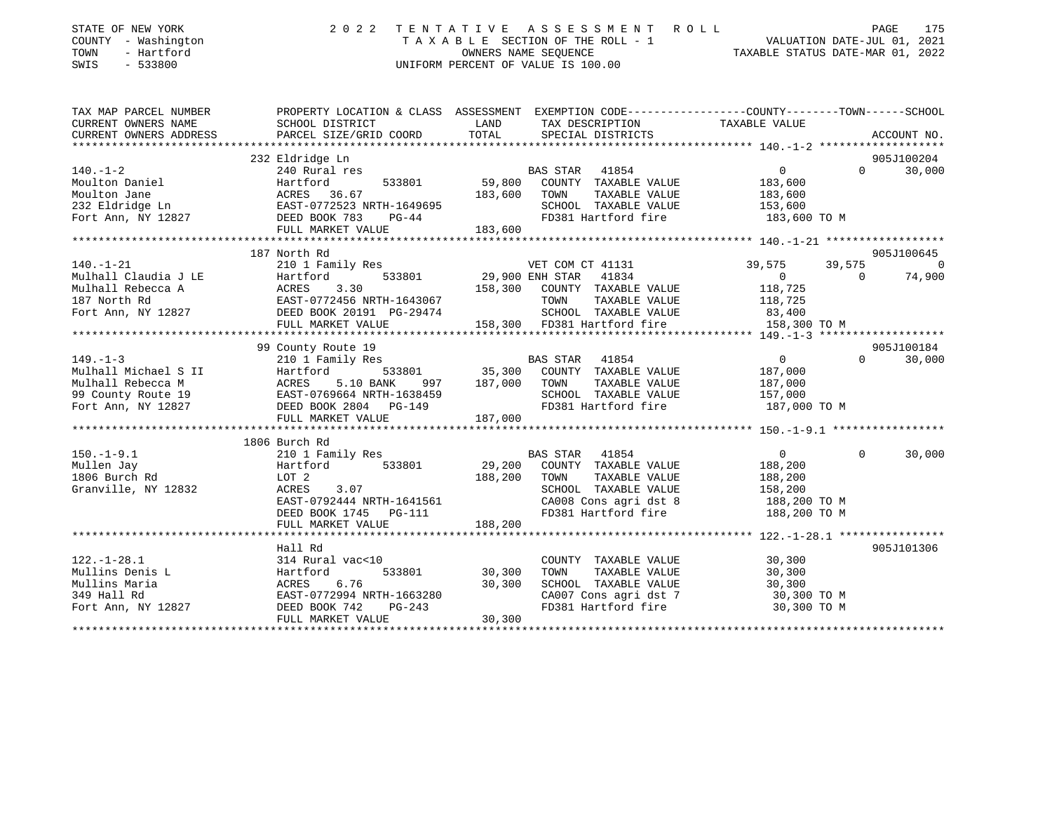| STATE OF NEW YORK<br>COUNTY - Washington<br>TOWN<br>- Hartford<br>SWIS<br>$-533800$                                                                                                                                                                             | 2022 TENTATIVE            |                  | TENTATIVE ASSESSMENT ROLL PAGE 175<br>TAXABLE SECTION OF THE ROLL - 1 VALUATION DATE-JUL 01, 2021<br>OWNERS NAME SECURICE TRAXABLE STATUS DATE-MAR 01, 2022<br>UNIFORM PERCENT OF VALUE IS 100.00 |                         |                                                                                                                                                                                                                                                                                                                                              |
|-----------------------------------------------------------------------------------------------------------------------------------------------------------------------------------------------------------------------------------------------------------------|---------------------------|------------------|---------------------------------------------------------------------------------------------------------------------------------------------------------------------------------------------------|-------------------------|----------------------------------------------------------------------------------------------------------------------------------------------------------------------------------------------------------------------------------------------------------------------------------------------------------------------------------------------|
| TAX MAP PARCEL NUMBER<br>CURRENT OWNERS NAME                                                                                                                                                                                                                    | SCHOOL DISTRICT           | LAND             | PROPERTY LOCATION & CLASS ASSESSMENT EXEMPTION CODE---------------COUNTY-------TOWN-----SCHOOL<br>TAX DESCRIPTION                                                                                 | TAXABLE VALUE           |                                                                                                                                                                                                                                                                                                                                              |
| CURRENT OWNERS ADDRESS                                                                                                                                                                                                                                          | PARCEL SIZE/GRID COORD    | TOTAL            | SPECIAL DISTRICTS                                                                                                                                                                                 |                         | ACCOUNT NO.                                                                                                                                                                                                                                                                                                                                  |
|                                                                                                                                                                                                                                                                 |                           |                  |                                                                                                                                                                                                   |                         |                                                                                                                                                                                                                                                                                                                                              |
| 240 Rural res<br>240 Rural res<br>232 Eldridge Ln<br>232 Eldridge Ln<br>Fort Ann, NY 12827<br>232 External Ress<br>232 Eldridge Ln<br>232 Eldridge Ln<br>232 Eldridge Ln<br>232 DEED BOOK 783<br>232 PC-44<br>2020 DEED BOOK 783<br>20214                       | 232 Eldridge Ln           |                  |                                                                                                                                                                                                   | $\overline{0}$          | 905J100204<br>30,000<br>$\mathbf 0$                                                                                                                                                                                                                                                                                                          |
|                                                                                                                                                                                                                                                                 |                           |                  | BAS STAR 41854<br>59,800 COUNTY TAXABLE VALUE                                                                                                                                                     | 183,600                 |                                                                                                                                                                                                                                                                                                                                              |
|                                                                                                                                                                                                                                                                 |                           |                  | 183,600 TOWN<br>TAXABLE VALUE                                                                                                                                                                     |                         |                                                                                                                                                                                                                                                                                                                                              |
|                                                                                                                                                                                                                                                                 |                           |                  | SCHOOL TAXABLE VALUE                                                                                                                                                                              | 183,600<br>153,600      |                                                                                                                                                                                                                                                                                                                                              |
|                                                                                                                                                                                                                                                                 |                           |                  | FD381 Hartford fire                                                                                                                                                                               | 183,600 TO M            |                                                                                                                                                                                                                                                                                                                                              |
|                                                                                                                                                                                                                                                                 |                           | 183,600          |                                                                                                                                                                                                   |                         |                                                                                                                                                                                                                                                                                                                                              |
|                                                                                                                                                                                                                                                                 |                           |                  |                                                                                                                                                                                                   |                         |                                                                                                                                                                                                                                                                                                                                              |
|                                                                                                                                                                                                                                                                 | 187 North Rd              |                  |                                                                                                                                                                                                   |                         | 905J100645                                                                                                                                                                                                                                                                                                                                   |
| $140. - 1 - 21$<br>140.-1-21<br>140.-1-21<br>Mulhall Claudia J LE Hartford 533801<br>158,300<br>158,300<br>167 North Rd EAST-0772456 NRTH-1643067<br>158,300<br>158,300<br>158,300<br>158,300<br>158,300<br>158,300<br>158,300<br>158,300<br>158,300<br>158,300 |                           |                  | VET COM CT 41131                                                                                                                                                                                  | 39,575                  | 39,575<br>$\overline{a}$ and $\overline{a}$ and $\overline{a}$ and $\overline{a}$ and $\overline{a}$ and $\overline{a}$ and $\overline{a}$ and $\overline{a}$ and $\overline{a}$ and $\overline{a}$ and $\overline{a}$ and $\overline{a}$ and $\overline{a}$ and $\overline{a}$ and $\overline{a}$ and $\overline{a}$ and $\overline{a}$ and |
|                                                                                                                                                                                                                                                                 |                           |                  | 533801 29,900 ENH STAR 41834                                                                                                                                                                      | $\overline{0}$          | $\overline{0}$<br>74,900                                                                                                                                                                                                                                                                                                                     |
|                                                                                                                                                                                                                                                                 |                           |                  | 158,300 COUNTY TAXABLE VALUE                                                                                                                                                                      | 118,725                 |                                                                                                                                                                                                                                                                                                                                              |
|                                                                                                                                                                                                                                                                 |                           |                  | TOWN<br>TAXABLE VALUE                                                                                                                                                                             | 118,725<br>83,400       |                                                                                                                                                                                                                                                                                                                                              |
|                                                                                                                                                                                                                                                                 |                           |                  | SCHOOL TAXABLE VALUE                                                                                                                                                                              |                         |                                                                                                                                                                                                                                                                                                                                              |
|                                                                                                                                                                                                                                                                 |                           |                  | 158,300 FD381 Hartford fire                                                                                                                                                                       | 158,300 TO M            |                                                                                                                                                                                                                                                                                                                                              |
|                                                                                                                                                                                                                                                                 | 99 County Route 19        |                  |                                                                                                                                                                                                   |                         | 905J100184                                                                                                                                                                                                                                                                                                                                   |
| $149. - 1 - 3$                                                                                                                                                                                                                                                  | 210 1 Family Res          |                  |                                                                                                                                                                                                   | $\overline{0}$          | $\Omega$<br>30,000                                                                                                                                                                                                                                                                                                                           |
|                                                                                                                                                                                                                                                                 |                           |                  |                                                                                                                                                                                                   | 187,000                 |                                                                                                                                                                                                                                                                                                                                              |
|                                                                                                                                                                                                                                                                 |                           | 997 187,000 TOWN | TAXABLE VALUE                                                                                                                                                                                     |                         |                                                                                                                                                                                                                                                                                                                                              |
|                                                                                                                                                                                                                                                                 |                           |                  | SCHOOL TAXABLE VALUE                                                                                                                                                                              | 187,000<br>157,000      |                                                                                                                                                                                                                                                                                                                                              |
|                                                                                                                                                                                                                                                                 |                           |                  | FD381 Hartford fire 187,000 TO M                                                                                                                                                                  |                         |                                                                                                                                                                                                                                                                                                                                              |
|                                                                                                                                                                                                                                                                 | FULL MARKET VALUE         | 187,000          |                                                                                                                                                                                                   |                         |                                                                                                                                                                                                                                                                                                                                              |
|                                                                                                                                                                                                                                                                 |                           |                  |                                                                                                                                                                                                   |                         |                                                                                                                                                                                                                                                                                                                                              |
|                                                                                                                                                                                                                                                                 | 1806 Burch Rd             |                  |                                                                                                                                                                                                   |                         |                                                                                                                                                                                                                                                                                                                                              |
| $150.-1-9.1$                                                                                                                                                                                                                                                    | 210 1 Family Res          |                  | BAS STAR 41854                                                                                                                                                                                    | $0 \qquad \qquad$       | $\Omega$<br>30,000                                                                                                                                                                                                                                                                                                                           |
| Mullen Jay                                                                                                                                                                                                                                                      | Hartford<br>533801        |                  | 29,200 COUNTY TAXABLE VALUE                                                                                                                                                                       | 188,200                 |                                                                                                                                                                                                                                                                                                                                              |
| 1806 Burch Rd                                                                                                                                                                                                                                                   | LOT 2                     |                  | 188,200 TOWN<br>TAXABLE VALUE                                                                                                                                                                     | 188,200                 |                                                                                                                                                                                                                                                                                                                                              |
| Granville, NY 12832                                                                                                                                                                                                                                             | ACRES<br>3.07             |                  | SCHOOL TAXABLE VALUE                                                                                                                                                                              | $\frac{158}{188}$ , 200 |                                                                                                                                                                                                                                                                                                                                              |
|                                                                                                                                                                                                                                                                 | EAST-0792444 NRTH-1641561 |                  | CA008 Cons agri dst 8                                                                                                                                                                             | 188,200 TO M            |                                                                                                                                                                                                                                                                                                                                              |
|                                                                                                                                                                                                                                                                 | DEED BOOK 1745    PG-111  |                  | FD381 Hartford fire 188,200 TO M                                                                                                                                                                  |                         |                                                                                                                                                                                                                                                                                                                                              |
|                                                                                                                                                                                                                                                                 | FULL MARKET VALUE         | 188,200          |                                                                                                                                                                                                   |                         |                                                                                                                                                                                                                                                                                                                                              |
|                                                                                                                                                                                                                                                                 | Hall Rd                   |                  |                                                                                                                                                                                                   |                         | 905J101306                                                                                                                                                                                                                                                                                                                                   |
| $122. - 1 - 28.1$                                                                                                                                                                                                                                               | 314 Rural vac<10          |                  | COUNTY TAXABLE VALUE                                                                                                                                                                              | 30,300                  |                                                                                                                                                                                                                                                                                                                                              |
| Mullins Denis L                                                                                                                                                                                                                                                 | Hartford                  | 533801 30,300    | TAXABLE VALUE<br>TOWN                                                                                                                                                                             | 30,300                  |                                                                                                                                                                                                                                                                                                                                              |
| Mullins Maria                                                                                                                                                                                                                                                   | ACRES<br>6.76             | 30,300           | SCHOOL TAXABLE VALUE                                                                                                                                                                              | 30,300                  |                                                                                                                                                                                                                                                                                                                                              |
| 349 Hall Rd                                                                                                                                                                                                                                                     | EAST-0772994 NRTH-1663280 |                  | SCHOOL TAXABLE VALUE<br>CA007 Cons agri dst 7                                                                                                                                                     | 30,300 TO M             |                                                                                                                                                                                                                                                                                                                                              |
| Fort Ann, NY 12827                                                                                                                                                                                                                                              | DEED BOOK 742<br>PG-243   |                  | FD381 Hartford fire                                                                                                                                                                               | 30,300 TO M             |                                                                                                                                                                                                                                                                                                                                              |
|                                                                                                                                                                                                                                                                 | FULL MARKET VALUE         | 30,300           |                                                                                                                                                                                                   |                         |                                                                                                                                                                                                                                                                                                                                              |
|                                                                                                                                                                                                                                                                 |                           |                  |                                                                                                                                                                                                   |                         |                                                                                                                                                                                                                                                                                                                                              |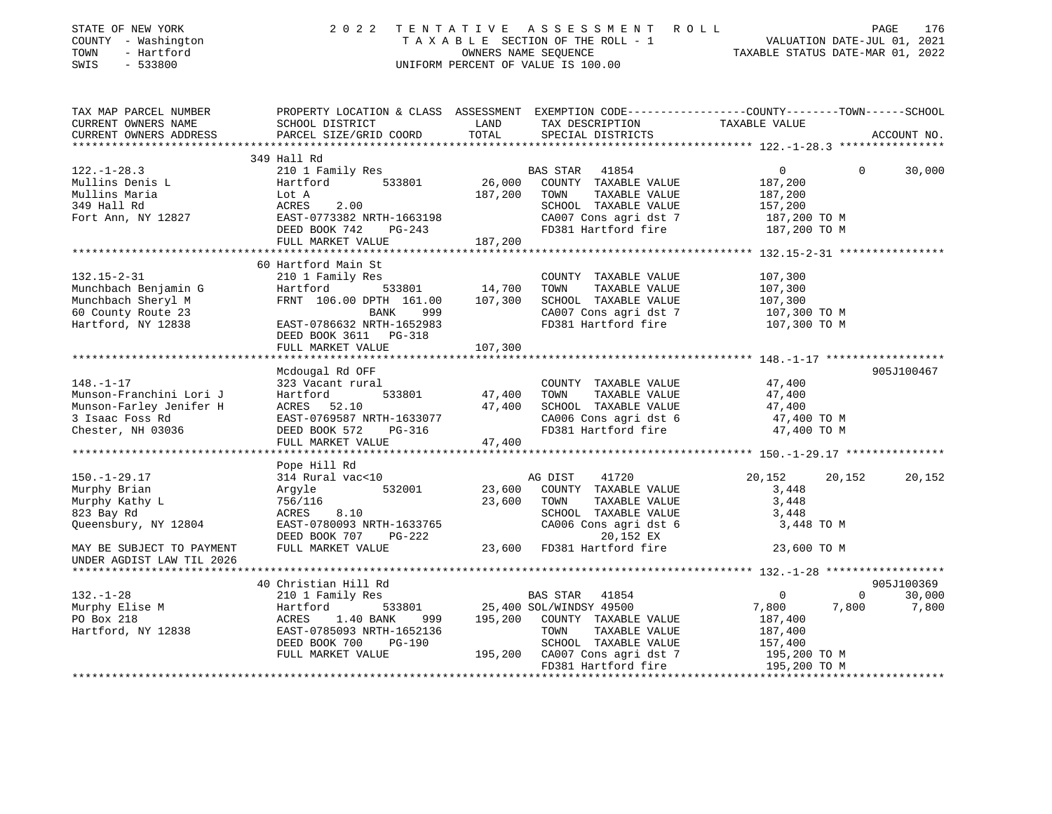| STATE OF NEW YORK<br>COUNTY - Washington<br>TOWN<br>- Hartford<br>SWIS<br>$-533800$                                                                                                             |                                                                     |               | 2022 TENTATIVE ASSESSMENT ROLL<br>UNIFORM PERCENT OF VALUE IS 100.00 | FENTATIVE ASSESSMENT ROLL PAGE 176<br>TAXABLE SECTION OF THE ROLL - 1 VALUATION DATE-JUL 01, 2021<br>OWNERS NAME SEQUENCE TAXABLE STATUS DATE-MAR 01, 2022 |                             |
|-------------------------------------------------------------------------------------------------------------------------------------------------------------------------------------------------|---------------------------------------------------------------------|---------------|----------------------------------------------------------------------|------------------------------------------------------------------------------------------------------------------------------------------------------------|-----------------------------|
| TAX MAP PARCEL NUMBER<br>CURRENT OWNERS NAME                                                                                                                                                    | SCHOOL DISTRICT                                                     | LAND          | TAX DESCRIPTION TAXABLE VALUE                                        | PROPERTY LOCATION & CLASS ASSESSMENT EXEMPTION CODE---------------COUNTY-------TOWN-----SCHOOL                                                             |                             |
| CURRENT OWNERS ADDRESS                                                                                                                                                                          | PARCEL SIZE/GRID COORD                                              | TOTAL         | SPECIAL DISTRICTS                                                    |                                                                                                                                                            | ACCOUNT NO.                 |
| *********************                                                                                                                                                                           | 349 Hall Rd                                                         |               |                                                                      |                                                                                                                                                            |                             |
| $122. - 1 - 28.3$                                                                                                                                                                               | 210 1 Family Res                                                    |               | BAS STAR 41854                                                       | $0 \qquad \qquad$<br>$\Omega$                                                                                                                              | 30,000                      |
| Mullins Denis L                                                                                                                                                                                 | 533801<br>Hartford                                                  |               | 26,000 COUNTY TAXABLE VALUE                                          | 187,200                                                                                                                                                    |                             |
|                                                                                                                                                                                                 |                                                                     | 187,200       | TOWN<br>TAXABLE VALUE                                                | 187,200                                                                                                                                                    |                             |
|                                                                                                                                                                                                 |                                                                     |               | SCHOOL TAXABLE VALUE                                                 | 157,200                                                                                                                                                    |                             |
| Mullins Maria<br>349 Hall Rd<br>Fort Ann, NY 12827<br>Fort Ann, NY 12827<br>$\begin{array}{r} \text{EAST}-0773382 \text{ NRTH}-1663198 \\ \text{EAST}-0773382 \text{ NRTH}-1663198 \end{array}$ |                                                                     |               | CA007 Cons agri dst 7                                                | 187,200 TO M                                                                                                                                               |                             |
|                                                                                                                                                                                                 | DEED BOOK 742 PG-243                                                |               | FD381 Hartford fire                                                  | 187,200 TO M                                                                                                                                               |                             |
|                                                                                                                                                                                                 | FULL MARKET VALUE                                                   | 187,200       |                                                                      |                                                                                                                                                            |                             |
|                                                                                                                                                                                                 | 60 Hartford Main St                                                 |               |                                                                      |                                                                                                                                                            |                             |
| $132.15 - 2 - 31$                                                                                                                                                                               | 210 1 Family Res                                                    |               | COUNTY TAXABLE VALUE                                                 | 107,300                                                                                                                                                    |                             |
| Munchbach Benjamin G                                                                                                                                                                            | Hartford                                                            | 533801 14,700 | TOWN<br>TAXABLE VALUE                                                | 107,300                                                                                                                                                    |                             |
| Munchbach Sheryl M                                                                                                                                                                              | FRNT 106.00 DPTH 161.00 107,300                                     |               | SCHOOL TAXABLE VALUE                                                 | 107,300                                                                                                                                                    |                             |
| 60 County Route 23                                                                                                                                                                              | BANK<br>999                                                         |               | CA007 Cons agri dst 7                                                | 107,300 TO M<br>107,300 TO M                                                                                                                               |                             |
| Hartford, NY 12838                                                                                                                                                                              | EAST-0786632 NRTH-1652983                                           |               | FD381 Hartford fire                                                  |                                                                                                                                                            |                             |
|                                                                                                                                                                                                 | DEED BOOK 3611 PG-318<br>FULL MARKET VALUE                          | 107,300       |                                                                      |                                                                                                                                                            |                             |
|                                                                                                                                                                                                 |                                                                     |               |                                                                      |                                                                                                                                                            |                             |
|                                                                                                                                                                                                 | Mcdougal Rd OFF                                                     |               |                                                                      |                                                                                                                                                            | 905J100467                  |
| $148. - 1 - 17$                                                                                                                                                                                 | 323 Vacant rural                                                    |               | COUNTY TAXABLE VALUE                                                 | 47,400<br>47,400                                                                                                                                           |                             |
| Munson-Franchini Lori J                                                                                                                                                                         | 533801<br>Hartford                                                  | 47,400        | TAXABLE VALUE<br>TOWN                                                |                                                                                                                                                            |                             |
| Munson-Farley Jenifer H                                                                                                                                                                         | ACRES 52.10                                                         | 47,400        | SCHOOL TAXABLE VALUE                                                 | 47,400                                                                                                                                                     |                             |
| 3 Isaac Foss Rd                                                                                                                                                                                 | EAST-0769587 NRTH-1633077                                           |               | CA006 Cons agri dst 6<br>FD381 Hartford fire                         | 47,400 TO M                                                                                                                                                |                             |
| Chester, NH 03036                                                                                                                                                                               | DEED BOOK 572<br>PG-316<br>FULL MARKET VALUE                        | 47,400        |                                                                      | 47,400 TO M                                                                                                                                                |                             |
|                                                                                                                                                                                                 |                                                                     |               |                                                                      |                                                                                                                                                            |                             |
|                                                                                                                                                                                                 | Pope Hill Rd                                                        |               |                                                                      |                                                                                                                                                            |                             |
| $150. - 1 - 29.17$                                                                                                                                                                              | 314 Rural vac<10                                                    |               | AG DIST<br>41720                                                     | 20,152<br>20,152                                                                                                                                           | 20,152                      |
| Murphy Brian                                                                                                                                                                                    | 532001<br>Argyle                                                    | 23,600        | COUNTY TAXABLE VALUE                                                 | 3,448                                                                                                                                                      |                             |
| Murphy Kathy L                                                                                                                                                                                  | 756/116                                                             | 23,600        | TOWN<br>TAXABLE VALUE                                                | 3,448                                                                                                                                                      |                             |
| 823 Bay Rd                                                                                                                                                                                      | ACRES<br>8.10                                                       |               | SCHOOL TAXABLE VALUE                                                 | 3,448                                                                                                                                                      |                             |
| Queensbury, NY 12804                                                                                                                                                                            | EAST-0780093 NRTH-1633765<br>DEED BOOK 707 PG-222                   |               | CA006 Cons agri dst 6<br>20,152 EX                                   | 3,448 TO M                                                                                                                                                 |                             |
| MAY BE SUBJECT TO PAYMENT<br>UNDER AGDIST LAW TIL 2026                                                                                                                                          | FULL MARKET VALUE                                                   |               | 23,600 FD381 Hartford fire                                           | 23,600 TO M                                                                                                                                                |                             |
| **********************                                                                                                                                                                          |                                                                     |               |                                                                      |                                                                                                                                                            |                             |
|                                                                                                                                                                                                 | 40 Christian Hill Rd                                                |               |                                                                      |                                                                                                                                                            | 905J100369                  |
| $132. - 1 - 28$                                                                                                                                                                                 | 210 1 Family Res                                                    |               | BAS STAR 41854                                                       | $\overline{0}$                                                                                                                                             | $0 \qquad \qquad$<br>30,000 |
| Murphy Elise M<br>PO Box 218<br>Hartford, NY 12838                                                                                                                                              | Hartford 533801<br>ACRES 1.40 BANK 999<br>EAST-0785093 NRTH-1652136 |               | 533801 25,400 SOL/WINDSY 49500                                       | 7,800<br>7,800                                                                                                                                             | 7,800                       |
|                                                                                                                                                                                                 |                                                                     |               | 999 195,200 COUNTY TAXABLE VALUE                                     | 187,400                                                                                                                                                    |                             |
|                                                                                                                                                                                                 | DEED BOOK 700<br>PG-190                                             |               | TOWN<br>TAXABLE VALUE<br>SCHOOL TAXABLE VALUE                        | 187,400<br>157,400                                                                                                                                         |                             |
|                                                                                                                                                                                                 | FULL MARKET VALUE                                                   |               | 195,200 CA007 Cons agri dst 7                                        |                                                                                                                                                            |                             |
|                                                                                                                                                                                                 |                                                                     |               |                                                                      | CA007 Cons agri dst 7 195,200 TO M<br>FD381 Hartford fire 195,200 TO M                                                                                     |                             |
|                                                                                                                                                                                                 |                                                                     |               |                                                                      |                                                                                                                                                            |                             |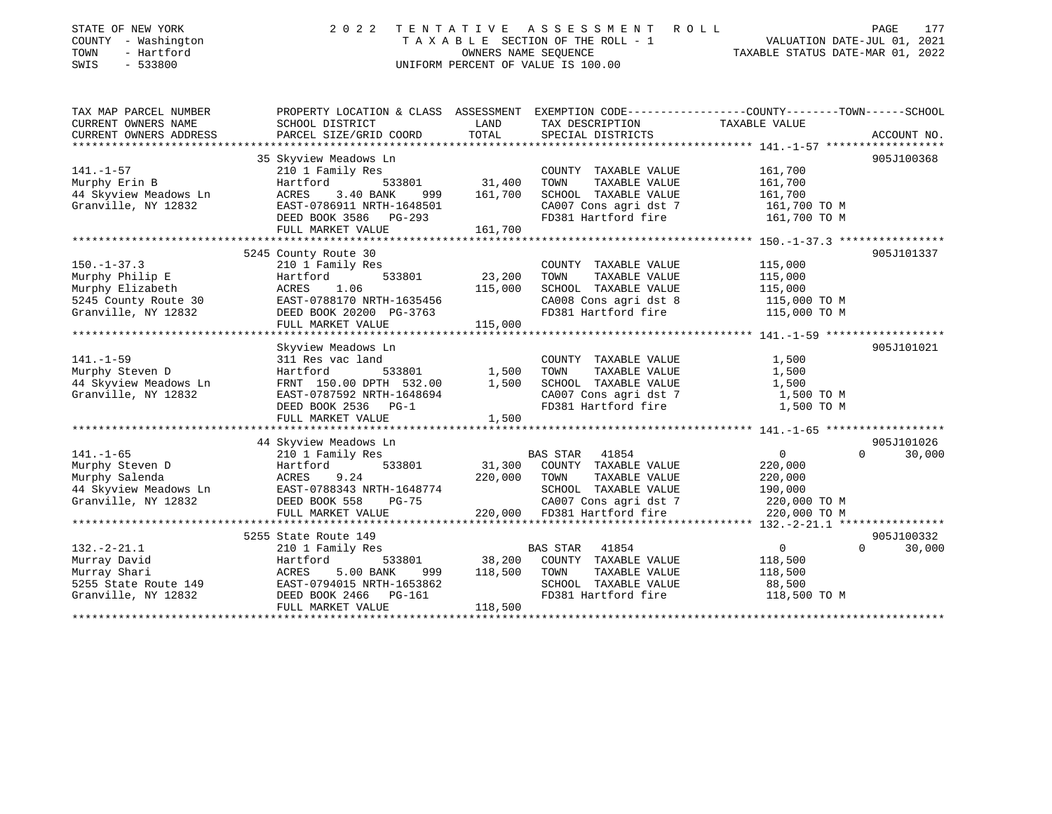| STATE OF NEW YORK               | 2 0 2 2<br>TENTATIVE                                                                                            |         | A S S E S S M E N T A O L L        |                                  | PAGE<br>177        |
|---------------------------------|-----------------------------------------------------------------------------------------------------------------|---------|------------------------------------|----------------------------------|--------------------|
| COUNTY - Washington<br>TOWN     | TAXABLE SECTION OF THE ROLL - 1<br>VALUATION DATE-JUL 01, 2021<br>OWNERS NAME SEOUENCE                          |         |                                    |                                  |                    |
| - Hartford<br>SWIS<br>$-533800$ |                                                                                                                 |         | UNIFORM PERCENT OF VALUE IS 100.00 | TAXABLE STATUS DATE-MAR 01, 2022 |                    |
|                                 |                                                                                                                 |         |                                    |                                  |                    |
| TAX MAP PARCEL NUMBER           | PROPERTY LOCATION & CLASS ASSESSMENT EXEMPTION CODE----------------COUNTY--------TOWN------SCHOOL               |         |                                    |                                  |                    |
| CURRENT OWNERS NAME             | SCHOOL DISTRICT                                                                                                 | LAND    | TAX DESCRIPTION                    | TAXABLE VALUE                    |                    |
| CURRENT OWNERS ADDRESS          | PARCEL SIZE/GRID COORD                                                                                          | TOTAL   | SPECIAL DISTRICTS                  |                                  | ACCOUNT NO.        |
|                                 |                                                                                                                 |         |                                    |                                  |                    |
|                                 | 35 Skyview Meadows Ln                                                                                           |         |                                    |                                  | 905J100368         |
| $141. - 1 - 57$                 | 210 1 Family Res                                                                                                |         | COUNTY TAXABLE VALUE               | 161,700                          |                    |
| Murphy Erin B                   | 533801<br>Hartford                                                                                              | 31,400  | TOWN<br>TAXABLE VALUE              | 161,700                          |                    |
| 44 Skyview Meadows Ln           | ACRES 3.40 BANK 999<br>EAST-0786911 NRTH-1648501<br>999                                                         | 161,700 | SCHOOL TAXABLE VALUE               | 161,700                          |                    |
| Granville, NY 12832             |                                                                                                                 |         | CA007 Cons agri dst 7              | 161,700 TO M                     |                    |
|                                 | DEED BOOK 3586 PG-293                                                                                           |         | FD381 Hartford fire                | 161,700 TO M                     |                    |
|                                 | FULL MARKET VALUE                                                                                               | 161,700 |                                    |                                  |                    |
|                                 |                                                                                                                 |         |                                    |                                  |                    |
|                                 | 5245 County Route 30                                                                                            |         |                                    |                                  | 905J101337         |
| $150. - 1 - 37.3$               | 210 1 Family Res                                                                                                |         | COUNTY TAXABLE VALUE               | 115,000                          |                    |
| Murphy Philip E                 | 533801<br>Hartford                                                                                              | 23,200  | TOWN<br>TAXABLE VALUE              | 115,000                          |                    |
|                                 | Murphy Elizabeth                   ACRES     1.06<br>5245 County Route 30             EAST-0788170 NRTH-1635456 | 115,000 | SCHOOL TAXABLE VALUE               | 115,000                          |                    |
|                                 |                                                                                                                 |         | CA008 Cons agri dst 8              | 115,000 TO M                     |                    |
| Granville, NY 12832             | DEED BOOK 20200 PG-3763                                                                                         |         | FD381 Hartford fire                | 115,000 TO M                     |                    |
|                                 | FULL MARKET VALUE                                                                                               | 115,000 |                                    |                                  |                    |
|                                 | Skyview Meadows Ln                                                                                              |         |                                    |                                  | 905J101021         |
| $141. - 1 - 59$                 | 311 Res vac land                                                                                                |         | COUNTY TAXABLE VALUE               | 1,500                            |                    |
| Murphy Steven D                 | Hartford<br>533801                                                                                              | 1,500   | TAXABLE VALUE<br>TOWN              | 1,500                            |                    |
| 44 Skyview Meadows Ln           |                                                                                                                 | 1,500   | SCHOOL TAXABLE VALUE               | 1,500                            |                    |
| Granville, NY 12832             | FRNT 150.00 DPTH 532.00<br>EAST-0787592 NRTH-1648694                                                            |         | CA007 Cons agri dst 7              | 1,500 TO M                       |                    |
|                                 | DEED BOOK 2536 PG-1                                                                                             |         | FD381 Hartford fire                | 1,500 TO M                       |                    |
|                                 | FULL MARKET VALUE                                                                                               | 1,500   |                                    |                                  |                    |
|                                 |                                                                                                                 |         |                                    |                                  |                    |
|                                 | 44 Skyview Meadows Ln                                                                                           |         |                                    |                                  | 905J101026         |
| $141. - 1 - 65$                 | 210 1 Family Res                                                                                                |         | BAS STAR 41854                     | $\overline{0}$<br>$\Omega$       | 30,000             |
| Murphy Steven D                 | Hartford<br>ACRES<br>533801                                                                                     | 31,300  | COUNTY TAXABLE VALUE               | 220,000                          |                    |
| Murphy Salenda                  | 9.24                                                                                                            | 220,000 | TOWN<br>TAXABLE VALUE              | 220,000                          |                    |
|                                 | 44 Skyview Meadows Ln EAST-0788343 NRTH-1648774                                                                 |         | SCHOOL TAXABLE VALUE               | 190,000                          |                    |
| Granville, NY 12832             | DEED BOOK 558<br>$PG-75$                                                                                        |         | CA007 Cons agri dst 7              | 220,000 TO M                     |                    |
|                                 | FULL MARKET VALUE                                                                                               |         | 220,000 FD381 Hartford fire        | 220,000 TO M                     |                    |
|                                 |                                                                                                                 |         |                                    |                                  |                    |
|                                 | 5255 State Route 149                                                                                            |         |                                    |                                  | 905J100332         |
| $132. -2 - 21.1$                | 210 1 Family Res                                                                                                |         | 41854<br><b>BAS STAR</b>           | $\overline{0}$                   | $\Omega$<br>30,000 |
| Murray David                    | 533801<br>Hartford                                                                                              | 38,200  | COUNTY TAXABLE VALUE               | 118,500                          |                    |
| Murray Shari                    | ACRES<br>5.00 BANK<br>999                                                                                       | 118,500 | TOWN<br>TAXABLE VALUE              | 118,500                          |                    |
| 5255 State Route 149            | EAST-0794015 NRTH-1653862                                                                                       |         | SCHOOL TAXABLE VALUE               | 88,500                           |                    |
| Granville, NY 12832             | DEED BOOK 2466 PG-161                                                                                           |         | FD381 Hartford fire                | 118,500 TO M                     |                    |
|                                 | FULL MARKET VALUE                                                                                               | 118,500 |                                    |                                  |                    |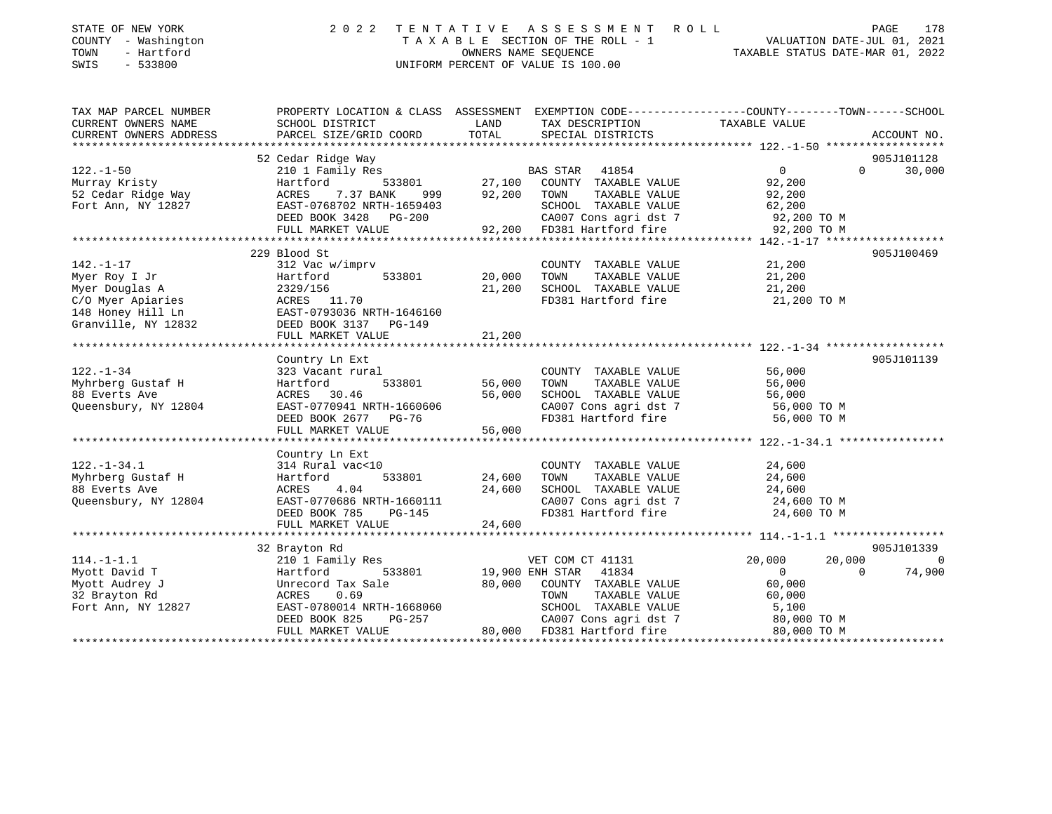| STATE OF NEW YORK<br>COUNTY - Washington<br>- Hartford<br>TOWN<br>SWIS<br>$-533800$                                 | 2 0 2 2<br>TENTATIVE<br>TAXABLE SECTION OF THE ROLL - 1<br>UNIFORM PERCENT OF VALUE IS 100.00                                                                  | R O L L<br>VALUATION DATE-JUL 01, 2021<br>TAXABLE STATUS DATE-MAR 01, 2022 | PAGE<br>178                                                                                                                                |                                                                                        |                                  |
|---------------------------------------------------------------------------------------------------------------------|----------------------------------------------------------------------------------------------------------------------------------------------------------------|----------------------------------------------------------------------------|--------------------------------------------------------------------------------------------------------------------------------------------|----------------------------------------------------------------------------------------|----------------------------------|
| TAX MAP PARCEL NUMBER<br>CURRENT OWNERS NAME<br>CURRENT OWNERS ADDRESS                                              | PROPERTY LOCATION & CLASS ASSESSMENT EXEMPTION CODE---------------COUNTY-------TOWN-----SCHOOL<br>SCHOOL DISTRICT<br>PARCEL SIZE/GRID COORD                    | LAND<br>TOTAL                                                              | TAX DESCRIPTION<br>SPECIAL DISTRICTS                                                                                                       | TAXABLE VALUE                                                                          | ACCOUNT NO.                      |
|                                                                                                                     |                                                                                                                                                                |                                                                            |                                                                                                                                            |                                                                                        |                                  |
|                                                                                                                     | 52 Cedar Ridge Way                                                                                                                                             |                                                                            |                                                                                                                                            |                                                                                        | 905J101128                       |
| $122. - 1 - 50$<br>Murray Kristy<br>52 Cedar Ridge Way<br>Fort Ann, NY 12827                                        | 210 1 Family Res<br>533801<br>Hartford<br>ACRES<br>7.37 BANK<br>999<br>EAST-0768702 NRTH-1659403<br>DEED BOOK 3428 PG-200<br>FULL MARKET VALUE                 | 27,100<br>92,200<br>92,200                                                 | BAS STAR<br>41854<br>COUNTY TAXABLE VALUE<br>TOWN<br>TAXABLE VALUE<br>SCHOOL TAXABLE VALUE<br>CA007 Cons agri dst 7<br>FD381 Hartford fire | $\overline{0}$<br>$\Omega$<br>92,200<br>92,200<br>62,200<br>92,200 TO M<br>92,200 TO M | 30,000                           |
|                                                                                                                     |                                                                                                                                                                |                                                                            |                                                                                                                                            |                                                                                        |                                  |
| $142. - 1 - 17$<br>Myer Roy I Jr<br>Myer Douglas A<br>C/O Myer Apiaries<br>148 Honey Hill Ln<br>Granville, NY 12832 | 229 Blood St<br>312 Vac w/imprv<br>Hartford<br>533801<br>2329/156<br>ACRES 11.70<br>EAST-0793036 NRTH-1646160<br>DEED BOOK 3137<br>PG-149<br>FULL MARKET VALUE | 20,000<br>21,200<br>21,200                                                 | COUNTY TAXABLE VALUE<br>TAXABLE VALUE<br>TOWN<br>SCHOOL TAXABLE VALUE<br>FD381 Hartford fire                                               | 21,200<br>21,200<br>21,200<br>21,200 TO M                                              | 905J100469                       |
|                                                                                                                     | ************************                                                                                                                                       | *************                                                              |                                                                                                                                            |                                                                                        |                                  |
| $122. - 1 - 34$<br>Myhrberg Gustaf H<br>88 Everts Ave<br>Queensbury, NY 12804                                       | Country Ln Ext<br>323 Vacant rural<br>Hartford<br>533801<br>ACRES<br>30.46<br>EAST-0770941 NRTH-1660606<br>DEED BOOK 2677 PG-76                                | 56,000<br>56,000                                                           | COUNTY TAXABLE VALUE<br>TAXABLE VALUE<br>TOWN<br>SCHOOL TAXABLE VALUE<br>CA007 Cons agri dst 7<br>FD381 Hartford fire                      | 56,000<br>56,000<br>56,000<br>56,000 TO M<br>56,000 TO M                               | 905J101139                       |
|                                                                                                                     | FULL MARKET VALUE                                                                                                                                              | 56,000                                                                     |                                                                                                                                            |                                                                                        |                                  |
| $122. - 1 - 34.1$<br>Myhrberg Gustaf H<br>88 Everts Ave<br>Queensbury, NY 12804                                     | Country Ln Ext<br>314 Rural vac<10<br>533801<br>Hartford<br>ACRES<br>4.04<br>EAST-0770686 NRTH-1660111<br>DEED BOOK 785<br><b>PG-145</b><br>FULL MARKET VALUE  | 24,600<br>24,600<br>24,600                                                 | COUNTY TAXABLE VALUE<br>TAXABLE VALUE<br>TOWN<br>SCHOOL TAXABLE VALUE<br>CA007 Cons agri dst 7<br>FD381 Hartford fire                      | 24,600<br>24,600<br>24,600<br>24,600 TO M<br>24,600 TO M                               |                                  |
|                                                                                                                     |                                                                                                                                                                |                                                                            |                                                                                                                                            |                                                                                        |                                  |
| $114. - 1 - 1.1$<br>Myott David T<br>Myott Audrey J<br>32 Brayton Rd<br>Fort Ann, NY 12827                          | 32 Brayton Rd<br>210 1 Family Res<br>Hartford<br>533801<br>Unrecord Tax Sale<br>ACRES<br>0.69<br>EAST-0780014 NRTH-1668060                                     | 80,000                                                                     | VET COM CT 41131<br>19,900 ENH STAR<br>41834<br>COUNTY TAXABLE VALUE<br>TOWN<br>TAXABLE VALUE<br>SCHOOL TAXABLE VALUE                      | 20,000<br>20,000<br>$\circ$<br>$\Omega$<br>60,000<br>60,000<br>5,100                   | 905J101339<br>$\Omega$<br>74,900 |
|                                                                                                                     | DEED BOOK 825<br>PG-257<br>FULL MARKET VALUE                                                                                                                   |                                                                            | CA007 Cons agri dst 7<br>80,000 FD381 Hartford fire                                                                                        | 80,000 TO M<br>80,000 TO M                                                             |                                  |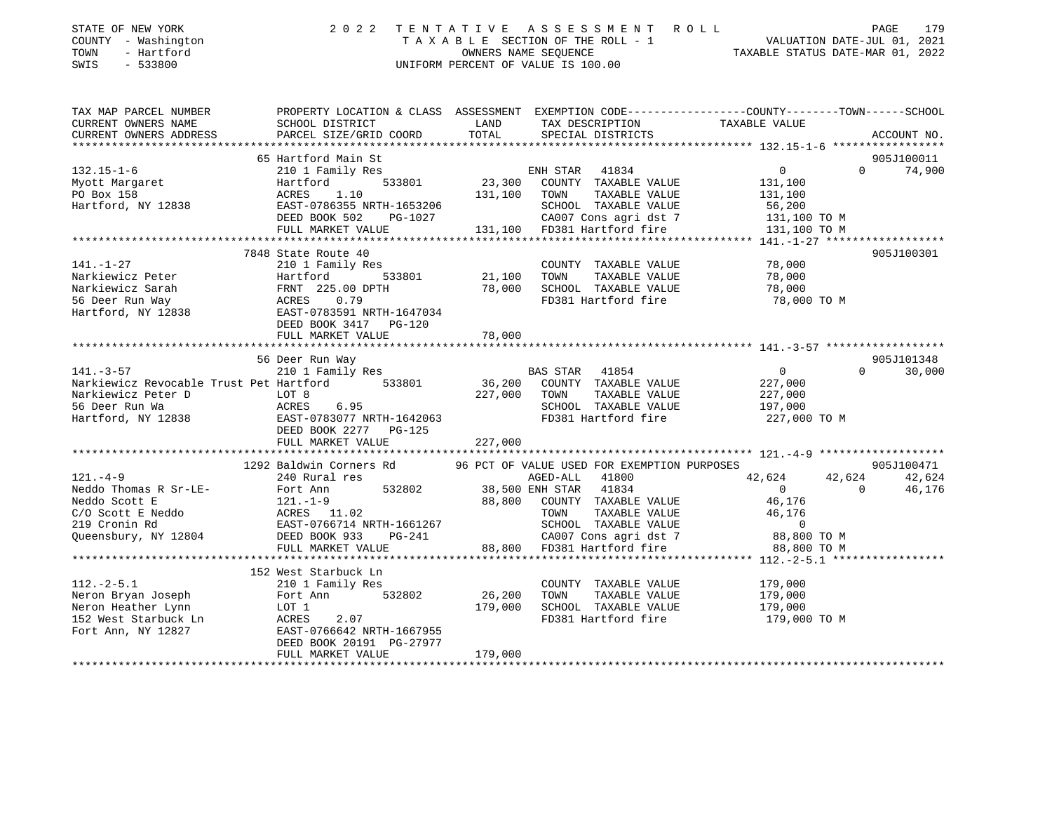| COUNTY - Washington<br>- Hartford<br>TOWN<br>SWIS<br>$-533800$                                                                                                                                                                                                                                                                                                                                                                                                                                 | TAXABLE SECTION OF THE ROLL - 1<br>OWNERS NAME SEQUENCE<br>UNIFORM PERCENT OF VALUE IS 100.00<br>TAXABLE STATUS DATE-MAR 01, 2022 |         |                                  |  |               |  |
|------------------------------------------------------------------------------------------------------------------------------------------------------------------------------------------------------------------------------------------------------------------------------------------------------------------------------------------------------------------------------------------------------------------------------------------------------------------------------------------------|-----------------------------------------------------------------------------------------------------------------------------------|---------|----------------------------------|--|---------------|--|
| TAX MAP PARCEL NUMBER PROPERTY LOCATION & CLASS ASSESSMENT EXEMPTION CODE---------------COUNTY-------TOWN-----SCHOOL                                                                                                                                                                                                                                                                                                                                                                           |                                                                                                                                   |         |                                  |  | ACCOUNT NO.   |  |
|                                                                                                                                                                                                                                                                                                                                                                                                                                                                                                |                                                                                                                                   |         |                                  |  |               |  |
| $\begin{tabular}{lllllllllllllllllll} \end{tabular} \begin{tabular}{lllllllllll} \multicolumn{3}{c}{{\small 132.15-1-6}} & \multicolumn{3}{c}{{\small 65\text{ Hartford Main St}} } \\ \multicolumn{3}{c}{{\small 65\text{ Hartford Main St}} } \\ \multicolumn{3}{c}{{\small 65\text{ Hartford Nain N}} } \\ \multicolumn{3}{c}{{\small 65\text{ Hartford Nain N}} } \\ \multicolumn{3}{c}{{\small 65\text{ Hartford Nain N}} } \\ \multicolumn{3}{c}{{\small 66\text{ Nort Many Rearet Nait$ |                                                                                                                                   |         |                                  |  | 905J100011    |  |
|                                                                                                                                                                                                                                                                                                                                                                                                                                                                                                |                                                                                                                                   |         |                                  |  | $0 \t 74,900$ |  |
|                                                                                                                                                                                                                                                                                                                                                                                                                                                                                                |                                                                                                                                   |         |                                  |  |               |  |
|                                                                                                                                                                                                                                                                                                                                                                                                                                                                                                |                                                                                                                                   |         |                                  |  |               |  |
|                                                                                                                                                                                                                                                                                                                                                                                                                                                                                                |                                                                                                                                   |         |                                  |  |               |  |
|                                                                                                                                                                                                                                                                                                                                                                                                                                                                                                |                                                                                                                                   |         |                                  |  |               |  |
|                                                                                                                                                                                                                                                                                                                                                                                                                                                                                                |                                                                                                                                   |         |                                  |  |               |  |
|                                                                                                                                                                                                                                                                                                                                                                                                                                                                                                | 7848 State Route 40                                                                                                               |         |                                  |  | 905J100301    |  |
|                                                                                                                                                                                                                                                                                                                                                                                                                                                                                                |                                                                                                                                   |         |                                  |  |               |  |
|                                                                                                                                                                                                                                                                                                                                                                                                                                                                                                |                                                                                                                                   |         |                                  |  |               |  |
|                                                                                                                                                                                                                                                                                                                                                                                                                                                                                                |                                                                                                                                   |         |                                  |  |               |  |
|                                                                                                                                                                                                                                                                                                                                                                                                                                                                                                |                                                                                                                                   |         |                                  |  |               |  |
|                                                                                                                                                                                                                                                                                                                                                                                                                                                                                                |                                                                                                                                   |         |                                  |  |               |  |
|                                                                                                                                                                                                                                                                                                                                                                                                                                                                                                |                                                                                                                                   |         |                                  |  |               |  |
| $[141. -1-27$ 141.-1-27<br>Narkiewicz Peter – 210 1 Family Res<br>Narkiewicz Sarah – FRNT 225.00 DPTH 78,000 SCHOOL TAXABLE VALUE<br>56 Deer Run Way – ACRES 0.79<br>Hartford, NY 12838 – EAST-0783591 NRTH-1647034<br>FULL MARKET VALUE                                                                                                                                                                                                                                                       |                                                                                                                                   |         |                                  |  |               |  |
|                                                                                                                                                                                                                                                                                                                                                                                                                                                                                                |                                                                                                                                   |         |                                  |  | 905J101348    |  |
|                                                                                                                                                                                                                                                                                                                                                                                                                                                                                                |                                                                                                                                   |         |                                  |  | $0 \t 30,000$ |  |
|                                                                                                                                                                                                                                                                                                                                                                                                                                                                                                |                                                                                                                                   |         |                                  |  |               |  |
|                                                                                                                                                                                                                                                                                                                                                                                                                                                                                                |                                                                                                                                   |         |                                  |  |               |  |
|                                                                                                                                                                                                                                                                                                                                                                                                                                                                                                |                                                                                                                                   |         |                                  |  |               |  |
|                                                                                                                                                                                                                                                                                                                                                                                                                                                                                                |                                                                                                                                   |         |                                  |  |               |  |
|                                                                                                                                                                                                                                                                                                                                                                                                                                                                                                |                                                                                                                                   |         |                                  |  |               |  |
|                                                                                                                                                                                                                                                                                                                                                                                                                                                                                                |                                                                                                                                   | 227,000 |                                  |  |               |  |
|                                                                                                                                                                                                                                                                                                                                                                                                                                                                                                |                                                                                                                                   |         |                                  |  |               |  |
|                                                                                                                                                                                                                                                                                                                                                                                                                                                                                                |                                                                                                                                   |         |                                  |  |               |  |
|                                                                                                                                                                                                                                                                                                                                                                                                                                                                                                |                                                                                                                                   |         |                                  |  |               |  |
|                                                                                                                                                                                                                                                                                                                                                                                                                                                                                                |                                                                                                                                   |         |                                  |  |               |  |
|                                                                                                                                                                                                                                                                                                                                                                                                                                                                                                |                                                                                                                                   |         |                                  |  |               |  |
|                                                                                                                                                                                                                                                                                                                                                                                                                                                                                                |                                                                                                                                   |         |                                  |  |               |  |
| $121. -4-9$ 1292 Baldwin Corners Rd<br>1292 Baldwin Corners Rd<br>240 Rural res<br>Nedo Soft E Fort Ann<br>240 Rural res<br>Nedo Soft E Fort Ann<br>211.-1-9<br>Nedo Soft E Reddo<br>211.-1-9<br>240 Rural res<br>240 Rural res<br>240 Rural res<br>24                                                                                                                                                                                                                                         |                                                                                                                                   |         |                                  |  |               |  |
|                                                                                                                                                                                                                                                                                                                                                                                                                                                                                                |                                                                                                                                   |         |                                  |  |               |  |
|                                                                                                                                                                                                                                                                                                                                                                                                                                                                                                |                                                                                                                                   |         |                                  |  |               |  |
|                                                                                                                                                                                                                                                                                                                                                                                                                                                                                                | 152 West Starbuck Ln<br>2 West Starbuck Ln<br>210 1 Family Res                                                                    |         |                                  |  |               |  |
|                                                                                                                                                                                                                                                                                                                                                                                                                                                                                                |                                                                                                                                   |         |                                  |  |               |  |
|                                                                                                                                                                                                                                                                                                                                                                                                                                                                                                |                                                                                                                                   |         |                                  |  |               |  |
|                                                                                                                                                                                                                                                                                                                                                                                                                                                                                                |                                                                                                                                   |         |                                  |  |               |  |
| 210 1 Family Res<br>Neron Bryan Joseph<br>Neron Heather Lynn LOT 1<br>179,000<br>179,000<br>179,000<br>179,000<br>179,000<br>179,000<br>179,000<br>179,000<br>179,000<br>179,000<br>179,000<br>179,000<br>179,000<br>179,000<br>179,000<br>179,000<br>179,000<br>179,0                                                                                                                                                                                                                         | DEED BOOK 20191 PG-27977                                                                                                          |         | FD381 Hartford fire 179,000 TO M |  |               |  |

179,000 FULL MARKET VALUE \*\*\*\*\*\*\*\*\*\*\*\*\*\*\*\*\*\*\*\*\*\*\*\*\*\*\*\*\*\*\*\*\*\*\*\*\*\*\*\*\*\*\*\*\*\*\*\*\*\*\*\*\*\*\*\*\*\*\*\*\*\*\*\*\*\*\*\*\*\*\*\*\*\*\*\*\*\*\*\*\*\*\*\*\*\*\*\*\*\*\*\*\*\*\*\*\*\*\*\*\*\*\*\*\*\*\*\*\*\*\*\*\*\*\*\*\*\*\*\*\*\*\*\*\*\*\*\*\*\*\*\*

179

STATE OF NEW YORK 2022 TENTATIVE ASSESSMENT ROLL.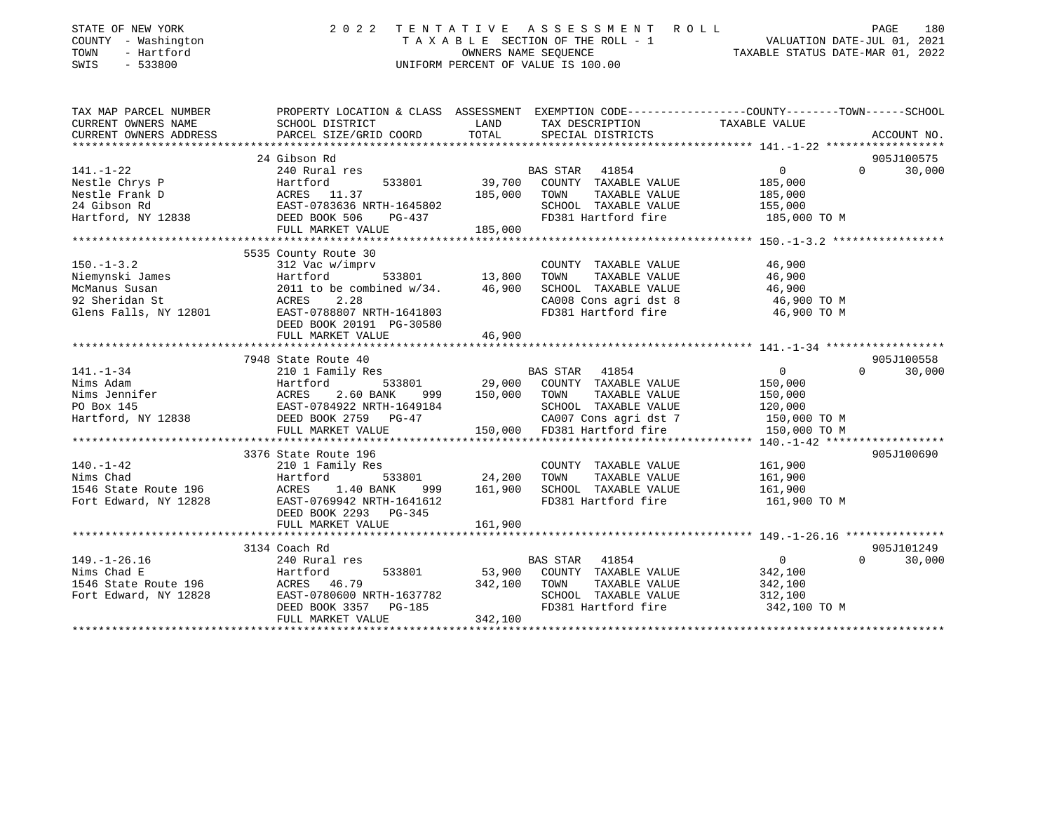| STATE OF NEW YORK<br>COUNTY - Washington<br>TOWN<br>- Hartford<br>SWIS<br>$-533800$                                                                 | 2 0 2 2                                                                                                                                       |               | TENTATIVE ASSESSMENT ROLL<br>UNIFORM PERCENT OF VALUE IS 100.00 | T A X A B L E SECTION OF THE ROLL - 1<br>OWNERS NAME SEQUENCE THE ROLL - 1<br>OWNERS NAME SEQUENCE TAXABLE STATUS DATE-MAR 01, 2022 | 180<br>PAGE |
|-----------------------------------------------------------------------------------------------------------------------------------------------------|-----------------------------------------------------------------------------------------------------------------------------------------------|---------------|-----------------------------------------------------------------|-------------------------------------------------------------------------------------------------------------------------------------|-------------|
| TAX MAP PARCEL NUMBER<br>CURRENT OWNERS NAME<br>CURRENT OWNERS ADDRESS                                                                              | PROPERTY LOCATION & CLASS ASSESSMENT EXEMPTION CODE----------------COUNTY-------TOWN------SCHOOL<br>SCHOOL DISTRICT<br>PARCEL SIZE/GRID COORD | LAND<br>TOTAL | TAX DESCRIPTION<br>SPECIAL DISTRICTS                            | TAXABLE VALUE                                                                                                                       | ACCOUNT NO. |
|                                                                                                                                                     |                                                                                                                                               |               |                                                                 |                                                                                                                                     |             |
|                                                                                                                                                     | 24 Gibson Rd                                                                                                                                  |               |                                                                 |                                                                                                                                     | 905J100575  |
| $141. - 1 - 22$                                                                                                                                     | 240 Rural res                                                                                                                                 |               | BAS STAR 41854                                                  | $\Omega$<br>$\overline{0}$                                                                                                          | 30,000      |
| Nestle Chrys P                                                                                                                                      | Hartford<br>533801                                                                                                                            |               | 39,700 COUNTY TAXABLE VALUE                                     | 185,000                                                                                                                             |             |
|                                                                                                                                                     |                                                                                                                                               | 185,000       | TAXABLE VALUE<br>TOWN                                           | 185,000                                                                                                                             |             |
|                                                                                                                                                     |                                                                                                                                               |               | SCHOOL TAXABLE VALUE                                            | 155,000                                                                                                                             |             |
| Nestle Chrys P<br>Nestle Frank D<br>24 Gibson Rd<br>Hartford, NY 12838<br>Hartford, NY 12838<br>Nest DEED BOOK 506 PG-437<br>THE MONTH MATHEM CHAIR |                                                                                                                                               |               | FD381 Hartford fire                                             | 185,000 TO M                                                                                                                        |             |
|                                                                                                                                                     | FULL MARKET VALUE                                                                                                                             | 185,000       |                                                                 |                                                                                                                                     |             |
|                                                                                                                                                     |                                                                                                                                               |               |                                                                 |                                                                                                                                     |             |
|                                                                                                                                                     | 5535 County Route 30                                                                                                                          |               |                                                                 |                                                                                                                                     |             |
| $150. - 1 - 3.2$                                                                                                                                    | 312 Vac w/imprv                                                                                                                               | 533801 13,800 | COUNTY TAXABLE VALUE                                            | 46,900                                                                                                                              |             |
| Niemynski James                                                                                                                                     | Hartford                                                                                                                                      | 46,900        | TAXABLE VALUE<br>TOWN<br>SCHOOL TAXABLE VALUE                   | 46,900                                                                                                                              |             |
| McManus Susan<br>92 Sheridan St                                                                                                                     | 2011 to be combined $w/34$ .<br>ACRES<br>2.28                                                                                                 |               | CA008 Cons agri dst 8                                           | 46,900<br>46,900 TO M                                                                                                               |             |
| Glens Falls, NY 12801                                                                                                                               | EAST-0788807 NRTH-1641803                                                                                                                     |               | FD381 Hartford fire                                             | 46,900 TO M                                                                                                                         |             |
|                                                                                                                                                     | DEED BOOK 20191 PG-30580                                                                                                                      |               |                                                                 |                                                                                                                                     |             |
|                                                                                                                                                     | FULL MARKET VALUE                                                                                                                             | 46,900        |                                                                 |                                                                                                                                     |             |
|                                                                                                                                                     |                                                                                                                                               |               |                                                                 |                                                                                                                                     |             |
|                                                                                                                                                     | 7948 State Route 40                                                                                                                           |               |                                                                 |                                                                                                                                     | 905J100558  |
| $141. - 1 - 34$                                                                                                                                     | 210 1 Family Res                                                                                                                              |               | BAS STAR 41854                                                  | $\overline{0}$<br>$\Omega$                                                                                                          | 30,000      |
| Nims Adam                                                                                                                                           |                                                                                                                                               | 29,000        | COUNTY TAXABLE VALUE                                            | 150,000                                                                                                                             |             |
| Nims Jennifer<br>PO Box 145<br>Hartford, NY 12838                                                                                                   |                                                                                                                                               | 999 150,000   | TOWN<br>TAXABLE VALUE                                           | 150,000                                                                                                                             |             |
|                                                                                                                                                     |                                                                                                                                               |               | SCHOOL TAXABLE VALUE                                            | 120,000<br>150,000 TO M                                                                                                             |             |
|                                                                                                                                                     |                                                                                                                                               |               | CA007 Cons agri dst 7                                           |                                                                                                                                     |             |
|                                                                                                                                                     |                                                                                                                                               |               | 150,000 FD381 Hartford fire                                     | 150,000 TO M                                                                                                                        |             |
|                                                                                                                                                     |                                                                                                                                               |               |                                                                 |                                                                                                                                     |             |
|                                                                                                                                                     | 3376 State Route 196                                                                                                                          |               |                                                                 |                                                                                                                                     | 905J100690  |
| $140. - 1 - 42$                                                                                                                                     | 210 1 Family Res                                                                                                                              |               | COUNTY TAXABLE VALUE                                            | 161,900                                                                                                                             |             |
| Nims Chad                                                                                                                                           | Hartford<br>533801                                                                                                                            | 24,200        | TOWN<br>TAXABLE VALUE                                           | 161,900                                                                                                                             |             |
| 1546 State Route 196                                                                                                                                | ACRES<br>1.40 BANK<br>999                                                                                                                     | 161,900       | SCHOOL TAXABLE VALUE                                            | 161,900                                                                                                                             |             |
| Fort Edward, NY 12828                                                                                                                               | EAST-0769942 NRTH-1641612<br>DEED BOOK 2293 PG-345                                                                                            |               | FD381 Hartford fire                                             | 161,900 TO M                                                                                                                        |             |
|                                                                                                                                                     | FULL MARKET VALUE                                                                                                                             | 161,900       |                                                                 |                                                                                                                                     |             |
|                                                                                                                                                     |                                                                                                                                               |               |                                                                 |                                                                                                                                     |             |
|                                                                                                                                                     | 3134 Coach Rd                                                                                                                                 |               |                                                                 |                                                                                                                                     | 905J101249  |
| $149. - 1 - 26.16$                                                                                                                                  | 240 Rural res                                                                                                                                 |               | <b>BAS STAR</b><br>41854                                        | $\overline{0}$<br>$\Omega$                                                                                                          | 30,000      |
| Nims Chad E                                                                                                                                         | 533801<br>Hartford                                                                                                                            | 53,900        | COUNTY TAXABLE VALUE                                            | 342,100                                                                                                                             |             |
| 1546 State Route 196                                                                                                                                | ACRES 46.79                                                                                                                                   | 342,100       | TAXABLE VALUE<br>TOWN                                           | 342,100                                                                                                                             |             |
| Fort Edward, NY 12828                                                                                                                               | EAST-0780600 NRTH-1637782                                                                                                                     |               | SCHOOL TAXABLE VALUE                                            | 312,100                                                                                                                             |             |
|                                                                                                                                                     | DEED BOOK 3357<br>PG-185                                                                                                                      |               | FD381 Hartford fire                                             | 342,100 TO M                                                                                                                        |             |
|                                                                                                                                                     | FULL MARKET VALUE                                                                                                                             | 342,100       |                                                                 |                                                                                                                                     |             |
|                                                                                                                                                     |                                                                                                                                               |               |                                                                 |                                                                                                                                     |             |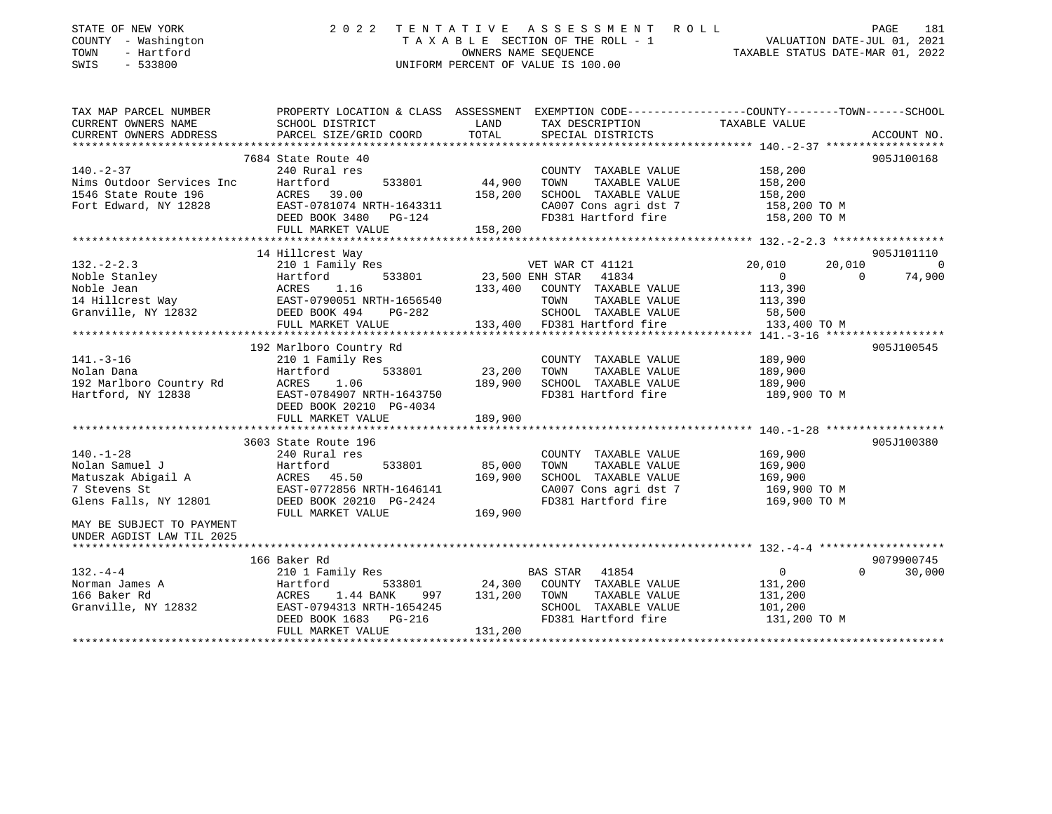| STATE OF NEW YORK<br>COUNTY - Washington<br>TOWN<br>- Hartford<br>SWIS<br>$-533800$ | 2 0 2 2                                                                                                                                                    | TENTATIVE         | ASSESSMENT ROLL<br>UNIFORM PERCENT OF VALUE IS 100.00 | T A X A B L E SECTION OF THE ROLL - 1<br>OWNERS NAME SEQUENCE<br>OWNERS NAME SEQUENCE<br>TAXABLE STATUS DATE-MAR 01, 2022 | PAGE<br>181 |
|-------------------------------------------------------------------------------------|------------------------------------------------------------------------------------------------------------------------------------------------------------|-------------------|-------------------------------------------------------|---------------------------------------------------------------------------------------------------------------------------|-------------|
| TAX MAP PARCEL NUMBER<br>CURRENT OWNERS NAME                                        | PROPERTY LOCATION & CLASS ASSESSMENT EXEMPTION CODE-----------------COUNTY-------TOWN------SCHOOL<br>SCHOOL DISTRICT                                       | LAND              | TAX DESCRIPTION                                       | TAXABLE VALUE                                                                                                             |             |
| CURRENT OWNERS ADDRESS                                                              | PARCEL SIZE/GRID COORD                                                                                                                                     | TOTAL             | SPECIAL DISTRICTS                                     |                                                                                                                           | ACCOUNT NO. |
|                                                                                     | 7684 State Route 40                                                                                                                                        |                   |                                                       |                                                                                                                           | 905J100168  |
| $140. - 2 - 37$                                                                     | 240 Rural res                                                                                                                                              |                   | COUNTY TAXABLE VALUE                                  | 158,200                                                                                                                   |             |
| Nims Outdoor Services Inc                                                           | Hartford<br>533801                                                                                                                                         | 44,900            | TAXABLE VALUE<br>TOWN                                 | 158,200                                                                                                                   |             |
| 1546 State Route 196                                                                | ACRES 39.00                                                                                                                                                | 158,200           | SCHOOL TAXABLE VALUE                                  | 158,200                                                                                                                   |             |
| Fort Edward, NY 12828                                                               | EAST-0781074 NRTH-1643311                                                                                                                                  |                   | CA007 Cons agri dst 7                                 | 158,200 TO M<br>158,200 TO M                                                                                              |             |
|                                                                                     | DEED BOOK 3480 PG-124                                                                                                                                      |                   | FD381 Hartford fire                                   |                                                                                                                           |             |
|                                                                                     | FULL MARKET VALUE                                                                                                                                          | 158,200           |                                                       |                                                                                                                           |             |
|                                                                                     | 14 Hillcrest Way                                                                                                                                           |                   |                                                       |                                                                                                                           | 905J101110  |
|                                                                                     | Example of the Moble Jean<br>Noble Jean<br>14 Hillcrest Way<br>Granville, NY 12832<br>1.0<br>14 Hillcrest Way<br>Granville, NY 12832<br>2008 DEED BOOK 494 |                   | VET WAR CT 41121                                      | 20,010<br>20,010                                                                                                          | $\bigcirc$  |
|                                                                                     |                                                                                                                                                            |                   | 23,500 ENH STAR 41834                                 | $\overline{0}$<br>$\Omega$                                                                                                | 74,900      |
|                                                                                     |                                                                                                                                                            |                   | 133,400 COUNTY TAXABLE VALUE                          | 113,390                                                                                                                   |             |
|                                                                                     |                                                                                                                                                            |                   | TOWN<br>TAXABLE VALUE                                 | 113,390                                                                                                                   |             |
|                                                                                     |                                                                                                                                                            |                   | SCHOOL TAXABLE VALUE                                  | 58,500                                                                                                                    |             |
|                                                                                     |                                                                                                                                                            | 133,400           | FD381 Hartford fire                                   | 133,400 TO M                                                                                                              |             |
|                                                                                     | 192 Marlboro Country Rd                                                                                                                                    |                   |                                                       |                                                                                                                           | 905J100545  |
| $141. - 3 - 16$                                                                     | 210 1 Family Res                                                                                                                                           |                   | COUNTY TAXABLE VALUE                                  | 189,900                                                                                                                   |             |
| Nolan Dana                                                                          | 533801<br>Hartford                                                                                                                                         | 23,200            | TAXABLE VALUE<br>TOWN                                 | 189,900                                                                                                                   |             |
| 192 Marlboro Country Rd                                                             | 1.06<br>ACRES                                                                                                                                              | 189,900           | SCHOOL TAXABLE VALUE                                  | 189,900                                                                                                                   |             |
| Hartford, NY 12838                                                                  | EAST-0784907 NRTH-1643750<br>DEED BOOK 20210 PG-4034                                                                                                       |                   | FD381 Hartford fire                                   | 189,900 TO M                                                                                                              |             |
|                                                                                     | FULL MARKET VALUE                                                                                                                                          | 189,900           |                                                       |                                                                                                                           |             |
|                                                                                     |                                                                                                                                                            |                   |                                                       |                                                                                                                           | 905J100380  |
| $140. - 1 - 28$                                                                     | 3603 State Route 196<br>240 Rural res                                                                                                                      |                   | COUNTY TAXABLE VALUE                                  | 169,900                                                                                                                   |             |
| Nolan Samuel J                                                                      | Hartford<br>533801                                                                                                                                         | 85,000            | TOWN<br>TAXABLE VALUE                                 | 169,900                                                                                                                   |             |
| Matuszak Abigail A                                                                  | ACRES 45.50                                                                                                                                                | 169,900           | SCHOOL TAXABLE VALUE                                  | 169,900                                                                                                                   |             |
| 7 Stevens St                                                                        | EAST-0772856 NRTH-1646141                                                                                                                                  |                   | CA007 Cons agri dst 7                                 | 169,900 TO M                                                                                                              |             |
| Glens Falls, NY 12801                                                               | DEED BOOK 20210 PG-2424<br>FULL MARKET VALUE                                                                                                               | 169,900           | FD381 Hartford fire                                   | 169,900 TO M                                                                                                              |             |
| MAY BE SUBJECT TO PAYMENT<br>UNDER AGDIST LAW TIL 2025                              |                                                                                                                                                            |                   |                                                       |                                                                                                                           |             |
|                                                                                     |                                                                                                                                                            |                   |                                                       |                                                                                                                           |             |
|                                                                                     | 166 Baker Rd                                                                                                                                               |                   |                                                       |                                                                                                                           | 9079900745  |
| $132 - 4 - 4$                                                                       | 210 1 Family Res                                                                                                                                           |                   | BAS STAR<br>41854                                     | $0 \qquad \qquad$<br>$\Omega$                                                                                             | 30,000      |
| Norman James A<br>166 Baker Rd                                                      | Hartford<br>533801<br>ACRES<br>1.44 BANK<br>997                                                                                                            | 24,300<br>131,200 | COUNTY TAXABLE VALUE<br>TOWN<br>TAXABLE VALUE         | 131,200<br>131,200                                                                                                        |             |
| Granville, NY 12832                                                                 | EAST-0794313 NRTH-1654245                                                                                                                                  |                   | SCHOOL TAXABLE VALUE                                  | 101,200                                                                                                                   |             |
|                                                                                     | DEED BOOK 1683<br>PG-216                                                                                                                                   |                   | FD381 Hartford fire                                   | 131,200 TO M                                                                                                              |             |
|                                                                                     | FULL MARKET VALUE                                                                                                                                          | 131,200           |                                                       |                                                                                                                           |             |
|                                                                                     |                                                                                                                                                            |                   |                                                       |                                                                                                                           |             |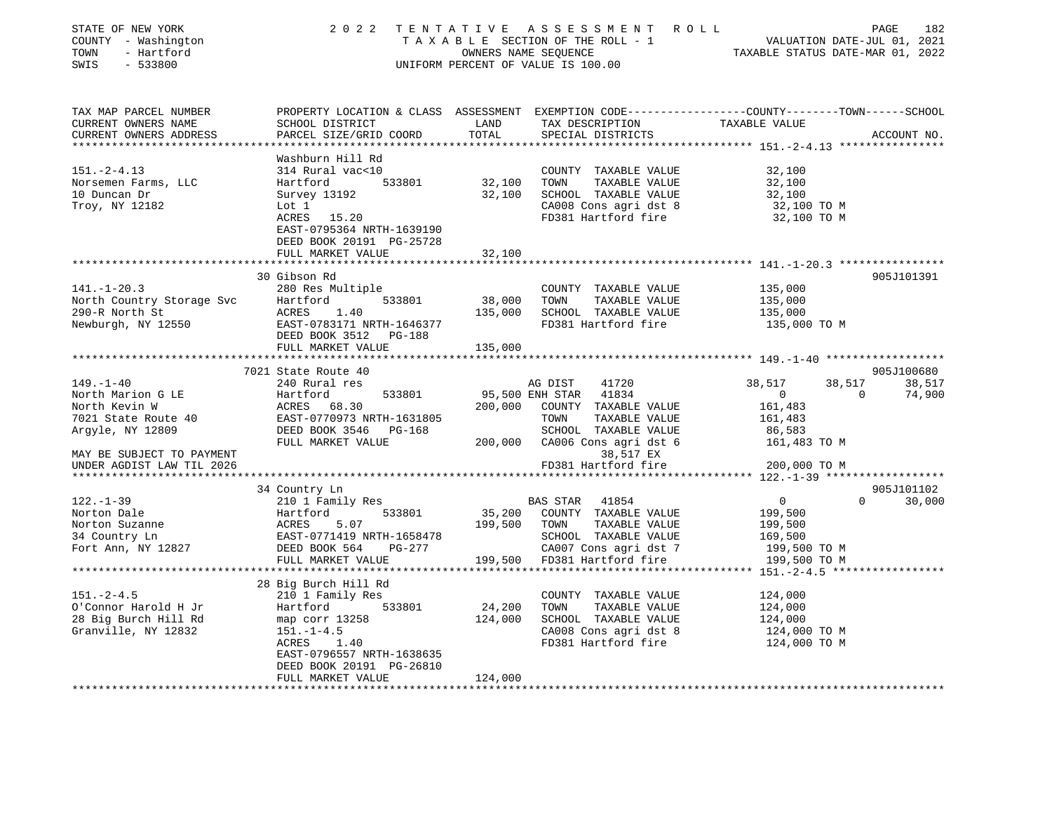| STATE OF NEW YORK<br>COUNTY - Washington<br>TOWN<br>- Hartford<br>$-533800$<br>SWIS    |                                                                                                                                                             | OWNERS NAME SEQUENCE               | 2022 TENTATIVE ASSESSMENT ROLL<br>TAXABLE SECTION OF THE ROLL - 1<br>UNIFORM PERCENT OF VALUE IS 100.00               | VALUATION DATE-JUL 01, 2021<br>TAXABLE STATUS DATE-MAR 01, 2022 |          | 182<br>PAGE |
|----------------------------------------------------------------------------------------|-------------------------------------------------------------------------------------------------------------------------------------------------------------|------------------------------------|-----------------------------------------------------------------------------------------------------------------------|-----------------------------------------------------------------|----------|-------------|
| TAX MAP PARCEL NUMBER<br>CURRENT OWNERS NAME<br>CURRENT OWNERS ADDRESS                 | PROPERTY LOCATION & CLASS ASSESSMENT EXEMPTION CODE---------------COUNTY-------TOWN------SCHOOL<br>SCHOOL DISTRICT<br>PARCEL SIZE/GRID COORD                | LAND<br>TOTAL                      | TAX DESCRIPTION<br>SPECIAL DISTRICTS                                                                                  | TAXABLE VALUE                                                   |          | ACCOUNT NO. |
|                                                                                        |                                                                                                                                                             |                                    |                                                                                                                       |                                                                 |          |             |
| $151. - 2 - 4.13$<br>Norsemen Farms, LLC<br>10 Duncan Dr<br>Troy, NY 12182             | Washburn Hill Rd<br>314 Rural vac<10<br>533801<br>Hartford<br>Survey 13192<br>Lot 1<br>ACRES 15.20<br>EAST-0795364 NRTH-1639190<br>DEED BOOK 20191 PG-25728 | 32,100<br>32,100                   | COUNTY TAXABLE VALUE<br>TOWN<br>TAXABLE VALUE<br>SCHOOL TAXABLE VALUE<br>CA008 Cons agri dst 8<br>FD381 Hartford fire | 32,100<br>32,100<br>32,100<br>32,100 TO M<br>32,100 TO M        |          |             |
|                                                                                        | FULL MARKET VALUE                                                                                                                                           | 32,100                             |                                                                                                                       |                                                                 |          |             |
| $141. - 1 - 20.3$<br>North Country Storage Svc<br>290-R North St<br>Newburgh, NY 12550 | 30 Gibson Rd<br>280 Res Multiple<br>533801<br>Hartford<br>ACRES<br>1.40<br>EAST-0783171 NRTH-1646377                                                        | *************<br>38,000<br>135,000 | COUNTY TAXABLE VALUE<br>TOWN<br>TAXABLE VALUE<br>SCHOOL TAXABLE VALUE<br>FD381 Hartford fire                          | 135,000<br>135,000<br>135,000<br>135,000 TO M                   |          | 905J101391  |
|                                                                                        | DEED BOOK 3512 PG-188                                                                                                                                       |                                    |                                                                                                                       |                                                                 |          |             |
|                                                                                        | FULL MARKET VALUE                                                                                                                                           | 135,000                            |                                                                                                                       |                                                                 |          |             |
|                                                                                        | 7021 State Route 40                                                                                                                                         |                                    |                                                                                                                       |                                                                 |          | 905J100680  |
| $149. - 1 - 40$                                                                        | 240 Rural res                                                                                                                                               |                                    | AG DIST<br>41720                                                                                                      | 38,517                                                          | 38,517   | 38,517      |
| North Marion G LE                                                                      | Hartford<br>533801                                                                                                                                          |                                    | 41834<br>95,500 ENH STAR                                                                                              | $\overline{0}$                                                  | $\Omega$ | 74,900      |
| North Kevin W                                                                          | ACRES 68.30                                                                                                                                                 |                                    | 200,000 COUNTY TAXABLE VALUE                                                                                          | 161,483                                                         |          |             |
| 7021 State Route 40                                                                    | EAST-0770973 NRTH-1631805                                                                                                                                   |                                    | TOWN<br>TAXABLE VALUE                                                                                                 | 161,483                                                         |          |             |
| Argyle, NY 12809                                                                       | DEED BOOK 3546 PG-168                                                                                                                                       |                                    | SCHOOL TAXABLE VALUE                                                                                                  | 86,583                                                          |          |             |
| MAY BE SUBJECT TO PAYMENT                                                              | FULL MARKET VALUE                                                                                                                                           |                                    | 200,000 CA006 Cons agri dst 6<br>38,517 EX                                                                            | 161,483 TO M                                                    |          |             |
| UNDER AGDIST LAW TIL 2026                                                              |                                                                                                                                                             |                                    | FD381 Hartford fire                                                                                                   | 200,000 TO M                                                    |          |             |
|                                                                                        |                                                                                                                                                             |                                    |                                                                                                                       | ******* 122.-1-39 ******************                            |          |             |
|                                                                                        | 34 Country Ln                                                                                                                                               |                                    |                                                                                                                       |                                                                 |          | 905J101102  |
| $122. - 1 - 39$                                                                        | 210 1 Family Res                                                                                                                                            |                                    | <b>BAS STAR</b><br>41854                                                                                              | $\overline{0}$                                                  | $\Omega$ | 30,000      |
| Norton Dale                                                                            | Hartford<br>533801                                                                                                                                          |                                    | 35,200 COUNTY TAXABLE VALUE                                                                                           | 199,500                                                         |          |             |
| Norton Suzanne                                                                         | 5.07<br>ACRES                                                                                                                                               | 199,500 TOWN                       | TAXABLE VALUE                                                                                                         | 199,500                                                         |          |             |
| 34 Country Ln                                                                          | EAST-0771419 NRTH-1658478                                                                                                                                   |                                    | SCHOOL TAXABLE VALUE                                                                                                  | 169,500                                                         |          |             |
| Fort Ann, NY 12827                                                                     | DEED BOOK 564<br>$PG-277$                                                                                                                                   |                                    | CA007 Cons agri dst 7                                                                                                 | 199,500 TO M                                                    |          |             |
|                                                                                        | FULL MARKET VALUE                                                                                                                                           | 199,500                            | FD381 Hartford fire                                                                                                   | 199,500 TO M                                                    |          |             |
|                                                                                        | *******************                                                                                                                                         |                                    |                                                                                                                       | **** $151 - 2 - 4.5$ *****************                          |          |             |
|                                                                                        | 28 Big Burch Hill Rd                                                                                                                                        |                                    |                                                                                                                       |                                                                 |          |             |
| $151 - 2 - 4.5$                                                                        | 210 1 Family Res                                                                                                                                            |                                    | COUNTY TAXABLE VALUE                                                                                                  | 124,000                                                         |          |             |
| O'Connor Harold H Jr                                                                   | 533801<br>Hartford                                                                                                                                          | 24,200                             | TOWN<br>TAXABLE VALUE                                                                                                 | 124,000                                                         |          |             |
| 28 Big Burch Hill Rd                                                                   | map corr 13258                                                                                                                                              | 124,000                            | SCHOOL TAXABLE VALUE                                                                                                  | 124,000                                                         |          |             |
| Granville, NY 12832                                                                    | $151. - 1 - 4.5$                                                                                                                                            |                                    | CA008 Cons agri dst 8                                                                                                 | 124,000 TO M                                                    |          |             |
|                                                                                        | 1.40<br>ACRES                                                                                                                                               |                                    | FD381 Hartford fire                                                                                                   | 124,000 TO M                                                    |          |             |
|                                                                                        | EAST-0796557 NRTH-1638635<br>DEED BOOK 20191 PG-26810                                                                                                       |                                    |                                                                                                                       |                                                                 |          |             |
|                                                                                        | FULL MARKET VALUE                                                                                                                                           | 124,000                            |                                                                                                                       |                                                                 |          |             |
|                                                                                        |                                                                                                                                                             |                                    |                                                                                                                       |                                                                 |          |             |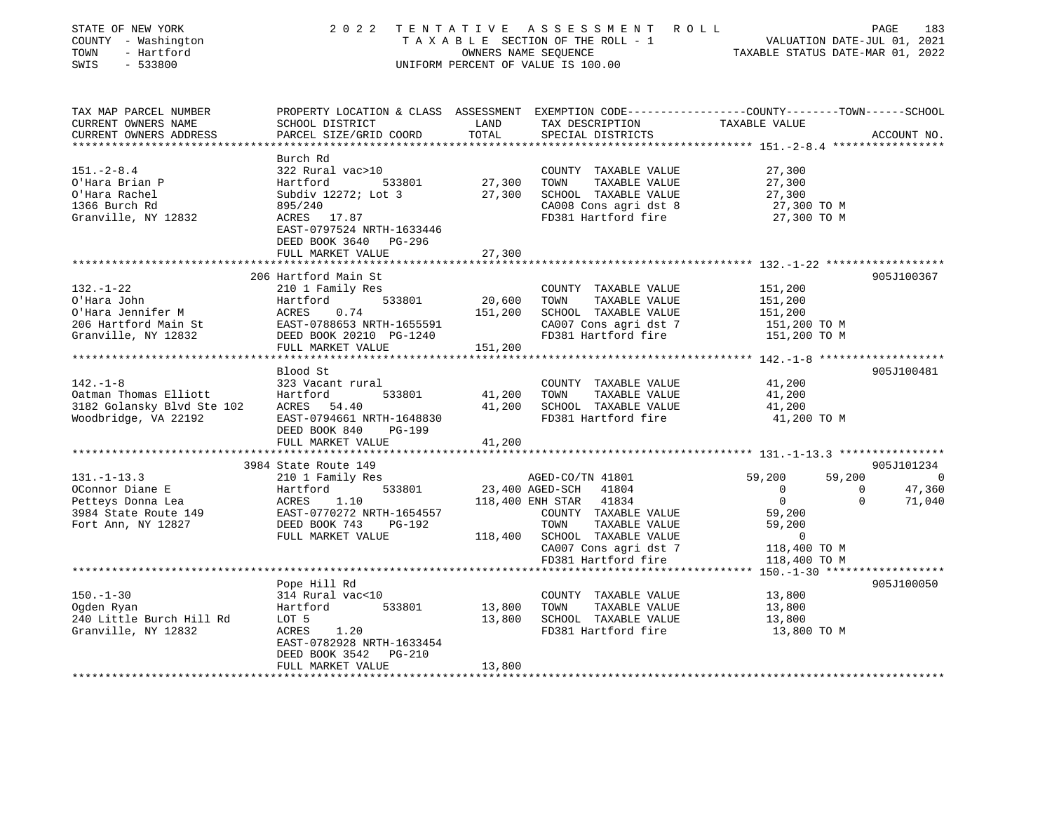| STATE OF NEW YORK<br>COUNTY - Washington<br>- Hartford<br>TOWN<br>SWIS<br>$-533800$ |                                          |                 | 2022 TENTATIVE ASSESSMENT ROLL<br>TAXABLE SECTION OF THE ROLL - 1<br>OWNERS NAME SEQUENCE<br>UNIFORM PERCENT OF VALUE IS 100.00 | VALUATION DATE-JUL 01, 2021<br>TAXABLE STATUS DATE-MAR 01, 2022                                                  | PAGE<br>183            |
|-------------------------------------------------------------------------------------|------------------------------------------|-----------------|---------------------------------------------------------------------------------------------------------------------------------|------------------------------------------------------------------------------------------------------------------|------------------------|
| TAX MAP PARCEL NUMBER<br>CURRENT OWNERS NAME                                        | SCHOOL DISTRICT                          | LAND            | TAX DESCRIPTION                                                                                                                 | PROPERTY LOCATION & CLASS ASSESSMENT EXEMPTION CODE----------------COUNTY-------TOWN-----SCHOOL<br>TAXABLE VALUE |                        |
| CURRENT OWNERS ADDRESS                                                              | PARCEL SIZE/GRID COORD                   | TOTAL           | SPECIAL DISTRICTS                                                                                                               |                                                                                                                  | ACCOUNT NO.            |
|                                                                                     |                                          |                 |                                                                                                                                 | ***************** 151.-2-8.4 *******                                                                             |                        |
| $151 - 2 - 8.4$                                                                     | Burch Rd<br>322 Rural vac>10             |                 | COUNTY TAXABLE VALUE                                                                                                            | 27,300                                                                                                           |                        |
| O'Hara Brian P                                                                      | 533801<br>Hartford                       | 27,300          | TOWN<br>TAXABLE VALUE                                                                                                           | 27,300                                                                                                           |                        |
| O'Hara Rachel                                                                       | Subdiv 12272; Lot 3                      | 27,300          | SCHOOL TAXABLE VALUE                                                                                                            | 27,300                                                                                                           |                        |
| 1366 Burch Rd                                                                       | 895/240                                  |                 | CA008 Cons agri dst 8                                                                                                           | 27,300 TO M                                                                                                      |                        |
| Granville, NY 12832                                                                 | ACRES 17.87                              |                 | FD381 Hartford fire                                                                                                             | 27,300 TO M                                                                                                      |                        |
|                                                                                     | EAST-0797524 NRTH-1633446                |                 |                                                                                                                                 |                                                                                                                  |                        |
|                                                                                     | DEED BOOK 3640 PG-296                    |                 |                                                                                                                                 |                                                                                                                  |                        |
|                                                                                     | FULL MARKET VALUE                        | 27,300          |                                                                                                                                 |                                                                                                                  |                        |
|                                                                                     | 206 Hartford Main St                     |                 |                                                                                                                                 |                                                                                                                  | 905J100367             |
| $132. - 1 - 22$                                                                     | 210 1 Family Res                         |                 | COUNTY TAXABLE VALUE                                                                                                            | 151,200                                                                                                          |                        |
| O'Hara John                                                                         | 533801<br>Hartford                       | 20,600          | TOWN<br>TAXABLE VALUE                                                                                                           | 151,200                                                                                                          |                        |
| O'Hara Jennifer M                                                                   | ACRES<br>0.74                            | 151,200         | SCHOOL TAXABLE VALUE                                                                                                            | 151,200                                                                                                          |                        |
| 206 Hartford Main St                                                                | EAST-0788653 NRTH-1655591                |                 | CA007 Cons agri dst 7                                                                                                           | 151,200 TO M                                                                                                     |                        |
| Granville, NY 12832                                                                 | DEED BOOK 20210 PG-1240                  |                 | FD381 Hartford fire                                                                                                             | 151,200 TO M                                                                                                     |                        |
|                                                                                     | FULL MARKET VALUE                        | 151,200         |                                                                                                                                 |                                                                                                                  |                        |
|                                                                                     | Blood St                                 |                 |                                                                                                                                 |                                                                                                                  | 905J100481             |
| $142. - 1 - 8$                                                                      | 323 Vacant rural                         |                 | COUNTY TAXABLE VALUE                                                                                                            | 41,200                                                                                                           |                        |
| Oatman Thomas Elliott                                                               | Hartford<br>533801                       | 41,200          | TOWN<br>TAXABLE VALUE                                                                                                           | 41,200                                                                                                           |                        |
| 3182 Golansky Blvd Ste 102                                                          | ACRES 54.40                              | 41,200          | SCHOOL TAXABLE VALUE                                                                                                            | 41,200                                                                                                           |                        |
| Woodbridge, VA 22192                                                                | EAST-0794661 NRTH-1648830                |                 | FD381 Hartford fire                                                                                                             | 41,200 TO M                                                                                                      |                        |
|                                                                                     | DEED BOOK 840<br>PG-199                  |                 |                                                                                                                                 |                                                                                                                  |                        |
|                                                                                     | FULL MARKET VALUE                        | 41,200          |                                                                                                                                 |                                                                                                                  |                        |
|                                                                                     |                                          |                 |                                                                                                                                 |                                                                                                                  |                        |
| $131. - 1 - 13.3$                                                                   | 3984 State Route 149<br>210 1 Family Res |                 | AGED-CO/TN 41801                                                                                                                | 59,200<br>59,200                                                                                                 | 905J101234<br>$\sim$ 0 |
| OConnor Diane E                                                                     | 533801<br>Hartford                       | 23,400 AGED-SCH | 41804                                                                                                                           | $\overline{0}$<br>$\overline{0}$                                                                                 | 47,360                 |
| Petteys Donna Lea                                                                   | ACRES<br>1.10                            |                 | 118,400 ENH STAR<br>41834                                                                                                       | $\overline{0}$<br>$\overline{0}$                                                                                 | 71,040                 |
| 3984 State Route 149                                                                | EAST-0770272 NRTH-1654557                |                 | COUNTY TAXABLE VALUE                                                                                                            | 59,200                                                                                                           |                        |
| Fort Ann, NY 12827                                                                  | DEED BOOK 743<br>PG-192                  |                 | TAXABLE VALUE<br>TOWN                                                                                                           | 59,200                                                                                                           |                        |
|                                                                                     | FULL MARKET VALUE                        | 118,400         | SCHOOL TAXABLE VALUE                                                                                                            | $\overline{0}$                                                                                                   |                        |
|                                                                                     |                                          |                 | CA007 Cons agri dst 7                                                                                                           | 118,400 TO M                                                                                                     |                        |
|                                                                                     | ******************************           |                 | FD381 Hartford fire                                                                                                             | 118,400 TO M                                                                                                     |                        |
|                                                                                     | Pope Hill Rd                             |                 |                                                                                                                                 | ******* 150.-1-30 *******************                                                                            |                        |
| $150. - 1 - 30$                                                                     | 314 Rural vac<10                         |                 | COUNTY TAXABLE VALUE                                                                                                            | 13,800                                                                                                           | 905J100050             |
| Ogden Ryan                                                                          | 533801<br>Hartford                       | 13,800          | TAXABLE VALUE<br>TOWN                                                                                                           | 13,800                                                                                                           |                        |
| 240 Little Burch Hill Rd                                                            | LOT 5                                    | 13,800          | SCHOOL TAXABLE VALUE                                                                                                            | 13,800                                                                                                           |                        |
| Granville, NY 12832                                                                 | ACRES<br>1.20                            |                 | FD381 Hartford fire                                                                                                             | 13,800 TO M                                                                                                      |                        |
|                                                                                     | EAST-0782928 NRTH-1633454                |                 |                                                                                                                                 |                                                                                                                  |                        |
|                                                                                     | DEED BOOK 3542<br><b>PG-210</b>          |                 |                                                                                                                                 |                                                                                                                  |                        |
|                                                                                     | FULL MARKET VALUE                        | 13,800          |                                                                                                                                 |                                                                                                                  |                        |
|                                                                                     |                                          |                 |                                                                                                                                 |                                                                                                                  |                        |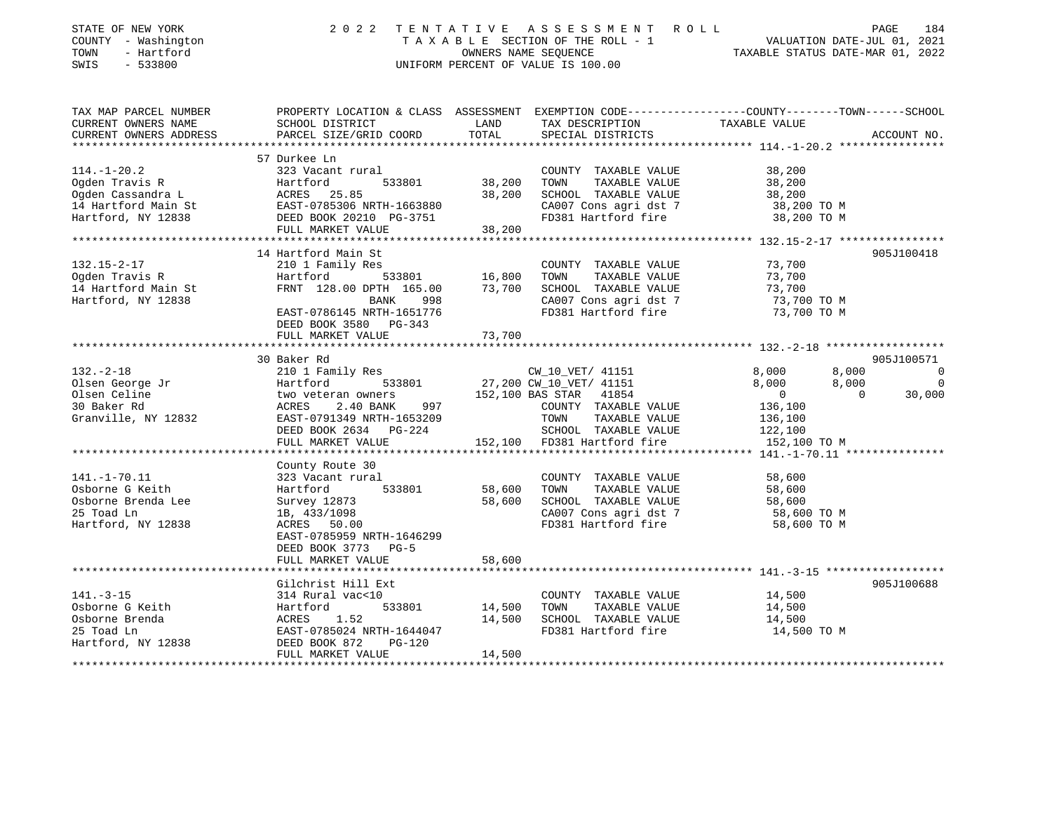| STATE OF NEW YORK<br>COUNTY - Washington<br>TOWN<br>- Hartford<br>SWIS<br>$-533800$                   | 2 0 2 2                                                                                                                                                       | TENTATIVE<br>OWNERS NAME SEQUENCE | ASSESSMENT ROLL<br>TAXABLE SECTION OF THE ROLL - 1<br>UNIFORM PERCENT OF VALUE IS 100.00                              | VALUATION DATE-JUL 01, 2021<br>TAXABLE STATUS DATE-MAR 01, 2022                                                   | PAGE<br>184              |
|-------------------------------------------------------------------------------------------------------|---------------------------------------------------------------------------------------------------------------------------------------------------------------|-----------------------------------|-----------------------------------------------------------------------------------------------------------------------|-------------------------------------------------------------------------------------------------------------------|--------------------------|
| TAX MAP PARCEL NUMBER<br>CURRENT OWNERS NAME<br>CURRENT OWNERS ADDRESS                                | SCHOOL DISTRICT<br>PARCEL SIZE/GRID COORD                                                                                                                     | LAND<br>TOTAL                     | TAX DESCRIPTION<br>SPECIAL DISTRICTS                                                                                  | PROPERTY LOCATION & CLASS ASSESSMENT EXEMPTION CODE----------------COUNTY-------TOWN------SCHOOL<br>TAXABLE VALUE | ACCOUNT NO.              |
| *********************                                                                                 |                                                                                                                                                               |                                   |                                                                                                                       |                                                                                                                   |                          |
| $114. - 1 - 20.2$<br>Ogden Travis R<br>Ogden Cassandra L<br>14 Hartford Main St<br>Hartford, NY 12838 | 57 Durkee Ln<br>323 Vacant rural<br>Hartford<br>533801<br>ACRES 25.85<br>EAST-0785306 NRTH-1663880<br>DEED BOOK 20210 PG-3751<br>FULL MARKET VALUE            | 38,200<br>38,200<br>38,200        | COUNTY TAXABLE VALUE<br>TOWN<br>TAXABLE VALUE<br>SCHOOL TAXABLE VALUE<br>CA007 Cons agri dst 7<br>FD381 Hartford fire | 38,200<br>38,200<br>38,200<br>38,200 TO M<br>38,200 TO M                                                          |                          |
| *******************                                                                                   | *************************                                                                                                                                     |                                   |                                                                                                                       | ************************************** 132.15-2-17 *****************                                              |                          |
| $132.15 - 2 - 17$<br>Ogden Travis R<br>14 Hartford Main St<br>Hartford, NY 12838                      | 14 Hartford Main St<br>210 1 Family Res<br>Hartford<br>533801<br>FRNT 128.00 DPTH 165.00<br>BANK<br>998<br>EAST-0786145 NRTH-1651776<br>DEED BOOK 3580 PG-343 | 16,800<br>73,700                  | COUNTY TAXABLE VALUE<br>TOWN<br>TAXABLE VALUE<br>SCHOOL TAXABLE VALUE<br>CA007 Cons agri dst 7<br>FD381 Hartford fire | 73,700<br>73,700<br>73,700<br>73,700 TO M<br>73,700 TO M                                                          | 905J100418               |
|                                                                                                       | FULL MARKET VALUE                                                                                                                                             | 73,700                            |                                                                                                                       |                                                                                                                   |                          |
|                                                                                                       | 30 Baker Rd                                                                                                                                                   |                                   |                                                                                                                       |                                                                                                                   | 905J100571               |
| $132 - 2 - 18$                                                                                        | 210 1 Family Res                                                                                                                                              |                                   | CW_10_VET/ 41151                                                                                                      | 8,000<br>8,000                                                                                                    | $\overline{0}$           |
| Olsen George Jr<br>Olsen Celine                                                                       | Hartford<br>533801<br>two veteran owners                                                                                                                      |                                   | 27,200 CW_10_VET/ 41151<br>152,100 BAS STAR<br>41854                                                                  | 8,000<br>8,000<br>$\overline{0}$<br>$\Omega$                                                                      | $\overline{0}$<br>30,000 |
| 30 Baker Rd                                                                                           | 2.40 BANK<br>997<br>ACRES                                                                                                                                     |                                   | COUNTY TAXABLE VALUE                                                                                                  | 136,100                                                                                                           |                          |
| Granville, NY 12832                                                                                   | EAST-0791349 NRTH-1653209                                                                                                                                     |                                   | TOWN<br>TAXABLE VALUE                                                                                                 | 136,100                                                                                                           |                          |
|                                                                                                       | DEED BOOK 2634 PG-224                                                                                                                                         |                                   | SCHOOL TAXABLE VALUE                                                                                                  | 122,100                                                                                                           |                          |
|                                                                                                       | FULL MARKET VALUE                                                                                                                                             | 152,100                           | FD381 Hartford fire                                                                                                   | 152,100 TO M                                                                                                      |                          |
|                                                                                                       | ***********************                                                                                                                                       |                                   |                                                                                                                       | **** 141.-1-70.11 ****************                                                                                |                          |
| $141. - 1 - 70.11$                                                                                    | County Route 30<br>323 Vacant rural                                                                                                                           |                                   | COUNTY TAXABLE VALUE                                                                                                  | 58,600                                                                                                            |                          |
| Osborne G Keith                                                                                       | 533801<br>Hartford                                                                                                                                            | 58,600                            | TOWN<br>TAXABLE VALUE                                                                                                 | 58,600                                                                                                            |                          |
| Osborne Brenda Lee                                                                                    | Survey 12873                                                                                                                                                  | 58,600                            | SCHOOL TAXABLE VALUE                                                                                                  | 58,600                                                                                                            |                          |
| 25 Toad Ln                                                                                            | 1B, 433/1098                                                                                                                                                  |                                   | CA007 Cons agri dst 7                                                                                                 | 58,600 TO M                                                                                                       |                          |
| Hartford, NY 12838                                                                                    | ACRES 50.00<br>EAST-0785959 NRTH-1646299<br>DEED BOOK 3773<br>$PG-5$<br>FULL MARKET VALUE                                                                     | 58,600                            | FD381 Hartford fire                                                                                                   | 58,600 TO M                                                                                                       |                          |
|                                                                                                       |                                                                                                                                                               |                                   |                                                                                                                       |                                                                                                                   |                          |
|                                                                                                       | Gilchrist Hill Ext                                                                                                                                            |                                   |                                                                                                                       |                                                                                                                   | 905J100688               |
| $141. - 3 - 15$                                                                                       | 314 Rural vac<10                                                                                                                                              |                                   | COUNTY TAXABLE VALUE                                                                                                  | 14,500                                                                                                            |                          |
| Osborne G Keith                                                                                       | Hartford<br>533801                                                                                                                                            | 14,500                            | TOWN<br>TAXABLE VALUE                                                                                                 | 14,500                                                                                                            |                          |
| Osborne Brenda                                                                                        | 1.52<br>ACRES                                                                                                                                                 | 14,500                            | SCHOOL TAXABLE VALUE                                                                                                  | 14,500                                                                                                            |                          |
| 25 Toad Ln<br>Hartford, NY 12838                                                                      | EAST-0785024 NRTH-1644047<br>DEED BOOK 872<br>PG-120<br>FULL MARKET VALUE                                                                                     | 14,500                            | FD381 Hartford fire                                                                                                   | 14,500 TO M                                                                                                       |                          |
|                                                                                                       |                                                                                                                                                               |                                   |                                                                                                                       |                                                                                                                   |                          |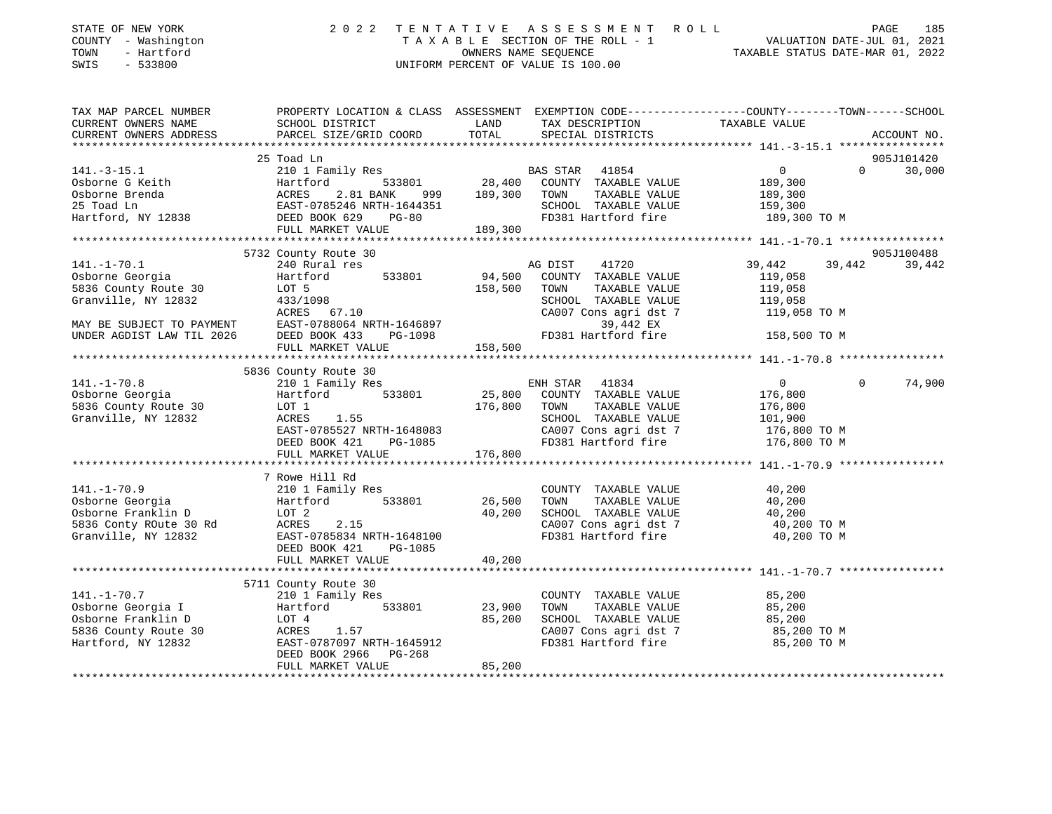| DIAIE OF NEW IONN<br>COUNTY - Washington<br>TOWN<br>- Hartford<br>$-533800$<br>SWIS              |                                                                                                                                                                                                                                      |        |                                                                                                                                          | TAXABLE SECTION OF THE ROLL - 1<br>OWNERS NAME SEQUENCE<br>OWNERS NAME SEQUENCE<br>TAXABLE STATUS DATE-MAR 01, 2022<br>UNIFORM PERCENT OF VALUE IS 100.00                                                                                                                                                                                                                                                                 |               |
|--------------------------------------------------------------------------------------------------|--------------------------------------------------------------------------------------------------------------------------------------------------------------------------------------------------------------------------------------|--------|------------------------------------------------------------------------------------------------------------------------------------------|---------------------------------------------------------------------------------------------------------------------------------------------------------------------------------------------------------------------------------------------------------------------------------------------------------------------------------------------------------------------------------------------------------------------------|---------------|
| TAX MAP PARCEL NUMBER<br>CURRENT OWNERS NAME<br>CURRENT OWNERS ADDRESS                           | SCHOOL DISTRICT LAND<br>PARCEL SIZE/GRID COORD                                                                                                                                                                                       | TOTAL  | TAX DESCRIPTION TAXABLE VALUE SPECIAL DISTRICTS                                                                                          | PROPERTY LOCATION & CLASS ASSESSMENT EXEMPTION CODE----------------COUNTY-------TOWN-----SCHOOL                                                                                                                                                                                                                                                                                                                           | ACCOUNT NO.   |
|                                                                                                  | 25 Toad Ln                                                                                                                                                                                                                           |        |                                                                                                                                          |                                                                                                                                                                                                                                                                                                                                                                                                                           | 905J101420    |
|                                                                                                  | 141.-3-15.1 23100 Hamily Res<br>08borne G Keith Hartford 533801 28,400 COUNTY TAXABLE VALUE 189,300<br>25 Toad Ln EAST-0785246 NRTH-1644351 28,400 COUNTY TAXABLE VALUE 189,300<br>25 Toad Ln EAST-0785246 NRTH-1644351 28,400 SCHOO |        |                                                                                                                                          | $0 \qquad \qquad$                                                                                                                                                                                                                                                                                                                                                                                                         | 30,000        |
|                                                                                                  |                                                                                                                                                                                                                                      |        |                                                                                                                                          |                                                                                                                                                                                                                                                                                                                                                                                                                           |               |
|                                                                                                  |                                                                                                                                                                                                                                      |        |                                                                                                                                          |                                                                                                                                                                                                                                                                                                                                                                                                                           |               |
|                                                                                                  |                                                                                                                                                                                                                                      |        |                                                                                                                                          |                                                                                                                                                                                                                                                                                                                                                                                                                           |               |
|                                                                                                  |                                                                                                                                                                                                                                      |        |                                                                                                                                          |                                                                                                                                                                                                                                                                                                                                                                                                                           |               |
|                                                                                                  |                                                                                                                                                                                                                                      |        |                                                                                                                                          |                                                                                                                                                                                                                                                                                                                                                                                                                           |               |
|                                                                                                  |                                                                                                                                                                                                                                      |        |                                                                                                                                          |                                                                                                                                                                                                                                                                                                                                                                                                                           |               |
| $141. - 1 - 70.1$                                                                                | 5732 County Route 30                                                                                                                                                                                                                 |        | 41720                                                                                                                                    | 39,442                                                                                                                                                                                                                                                                                                                                                                                                                    | 905J100488    |
|                                                                                                  | 240 Rural res                                                                                                                                                                                                                        |        | AG DIST<br>COUNTY TAXABLE VALUE                                                                                                          | 39,442 39,442<br>119,058                                                                                                                                                                                                                                                                                                                                                                                                  |               |
|                                                                                                  |                                                                                                                                                                                                                                      |        | TAXABLE VALUE                                                                                                                            | 119,058                                                                                                                                                                                                                                                                                                                                                                                                                   |               |
|                                                                                                  |                                                                                                                                                                                                                                      |        | SCHOOL TAXABLE VALUE                                                                                                                     |                                                                                                                                                                                                                                                                                                                                                                                                                           |               |
|                                                                                                  |                                                                                                                                                                                                                                      |        | CA007 Cons agri dst 7                                                                                                                    | 119,058<br>119,058 TO M                                                                                                                                                                                                                                                                                                                                                                                                   |               |
|                                                                                                  |                                                                                                                                                                                                                                      |        | 39,442 EX                                                                                                                                |                                                                                                                                                                                                                                                                                                                                                                                                                           |               |
|                                                                                                  |                                                                                                                                                                                                                                      |        | FD381 Hartford fire 158,500 TO M                                                                                                         |                                                                                                                                                                                                                                                                                                                                                                                                                           |               |
|                                                                                                  |                                                                                                                                                                                                                                      |        |                                                                                                                                          |                                                                                                                                                                                                                                                                                                                                                                                                                           |               |
|                                                                                                  |                                                                                                                                                                                                                                      |        |                                                                                                                                          |                                                                                                                                                                                                                                                                                                                                                                                                                           |               |
|                                                                                                  | 5836 County Route 30                                                                                                                                                                                                                 |        |                                                                                                                                          |                                                                                                                                                                                                                                                                                                                                                                                                                           |               |
| 141.-1-70.8 210 1<br>Osborne Georgia Hartfo:<br>5836 County Route 30 LOT 1<br>Granville NV 12922 | 210 1 Family Res                                                                                                                                                                                                                     |        | ENH STAR 41834                                                                                                                           | $\overline{0}$                                                                                                                                                                                                                                                                                                                                                                                                            | $0 \t 74,900$ |
|                                                                                                  |                                                                                                                                                                                                                                      |        |                                                                                                                                          |                                                                                                                                                                                                                                                                                                                                                                                                                           |               |
|                                                                                                  |                                                                                                                                                                                                                                      |        |                                                                                                                                          |                                                                                                                                                                                                                                                                                                                                                                                                                           |               |
|                                                                                                  |                                                                                                                                                                                                                                      |        |                                                                                                                                          |                                                                                                                                                                                                                                                                                                                                                                                                                           |               |
|                                                                                                  |                                                                                                                                                                                                                                      |        |                                                                                                                                          |                                                                                                                                                                                                                                                                                                                                                                                                                           |               |
|                                                                                                  |                                                                                                                                                                                                                                      |        |                                                                                                                                          |                                                                                                                                                                                                                                                                                                                                                                                                                           |               |
|                                                                                                  |                                                                                                                                                                                                                                      |        |                                                                                                                                          |                                                                                                                                                                                                                                                                                                                                                                                                                           |               |
|                                                                                                  |                                                                                                                                                                                                                                      |        |                                                                                                                                          | $\begin{tabular}{lllllllllllllllllllllll} \textbf{141.}-1--70.8 & \textbf{210 I family } \textbf{168.} & \textbf{210 I family } \textbf{176.} & \textbf{210 I family } \textbf{18.} & \textbf{210 I } & \textbf{210 I } & \textbf{210 I } & \textbf{210 I } & \textbf{210 I } & \textbf{210 I } & \textbf{210 I } & \textbf{210 I } & \textbf{210 I } & \textbf{210 I } & \textbf{210 I } & \textbf{210 I } & \textbf{21$ |               |
|                                                                                                  | 11.-1-70.9<br>Osborne Georgia<br>Osborne Franklin D<br>DuoT 2<br>533801 26,500<br>5336 Conty ROute 30 Rd<br>Granville, NY 12832<br>FAST-0785834 NRTH-1648100                                                                         |        |                                                                                                                                          |                                                                                                                                                                                                                                                                                                                                                                                                                           |               |
|                                                                                                  |                                                                                                                                                                                                                                      |        | COUNTY TAXABLE VALUE                                                                                                                     | 40,200                                                                                                                                                                                                                                                                                                                                                                                                                    |               |
|                                                                                                  |                                                                                                                                                                                                                                      |        | CONT TAXABLE VALUE<br>TOWN TAXABLE VALUE<br>SCHOOL TAXABLE VALUE<br>CA007 Cons agri dst 7 40,200 TO M<br>FD381 Hartford fire 40,200 TO M |                                                                                                                                                                                                                                                                                                                                                                                                                           |               |
|                                                                                                  |                                                                                                                                                                                                                                      |        |                                                                                                                                          |                                                                                                                                                                                                                                                                                                                                                                                                                           |               |
|                                                                                                  |                                                                                                                                                                                                                                      |        |                                                                                                                                          |                                                                                                                                                                                                                                                                                                                                                                                                                           |               |
|                                                                                                  |                                                                                                                                                                                                                                      |        |                                                                                                                                          |                                                                                                                                                                                                                                                                                                                                                                                                                           |               |
|                                                                                                  | FULL MARKET VALUE                                                                                                                                                                                                                    | 40,200 |                                                                                                                                          |                                                                                                                                                                                                                                                                                                                                                                                                                           |               |
|                                                                                                  |                                                                                                                                                                                                                                      |        |                                                                                                                                          |                                                                                                                                                                                                                                                                                                                                                                                                                           |               |
|                                                                                                  |                                                                                                                                                                                                                                      |        |                                                                                                                                          |                                                                                                                                                                                                                                                                                                                                                                                                                           |               |
|                                                                                                  | 5711 County Route 30                                                                                                                                                                                                                 |        |                                                                                                                                          |                                                                                                                                                                                                                                                                                                                                                                                                                           |               |
|                                                                                                  |                                                                                                                                                                                                                                      |        |                                                                                                                                          |                                                                                                                                                                                                                                                                                                                                                                                                                           |               |
|                                                                                                  |                                                                                                                                                                                                                                      |        |                                                                                                                                          |                                                                                                                                                                                                                                                                                                                                                                                                                           |               |
|                                                                                                  |                                                                                                                                                                                                                                      |        |                                                                                                                                          |                                                                                                                                                                                                                                                                                                                                                                                                                           |               |
|                                                                                                  |                                                                                                                                                                                                                                      |        | FD381 Hartford fire                                                                                                                      | 85,200 TO M                                                                                                                                                                                                                                                                                                                                                                                                               |               |
|                                                                                                  | 141.-1-70.7<br>0sborne Georgia I artiford 533801 23,900<br>0sborne Franklin D LOT 4 85,200<br>5836 County Route 30 ACRES 1.57<br>Hartford, NY 12832 EAST-0787097 NRTH-1645912<br>DEED BOOK 2966 PG-268                               |        |                                                                                                                                          |                                                                                                                                                                                                                                                                                                                                                                                                                           |               |
|                                                                                                  | FULL MARKET VALUE                                                                                                                                                                                                                    | 85,200 |                                                                                                                                          |                                                                                                                                                                                                                                                                                                                                                                                                                           |               |
|                                                                                                  |                                                                                                                                                                                                                                      |        |                                                                                                                                          |                                                                                                                                                                                                                                                                                                                                                                                                                           |               |

STATE OF NEW YORK 2 0 2 2 2 2 2 2 T E N T A T I V E A S S S S S S AF N T R O L L PAGE 1990 DACE

185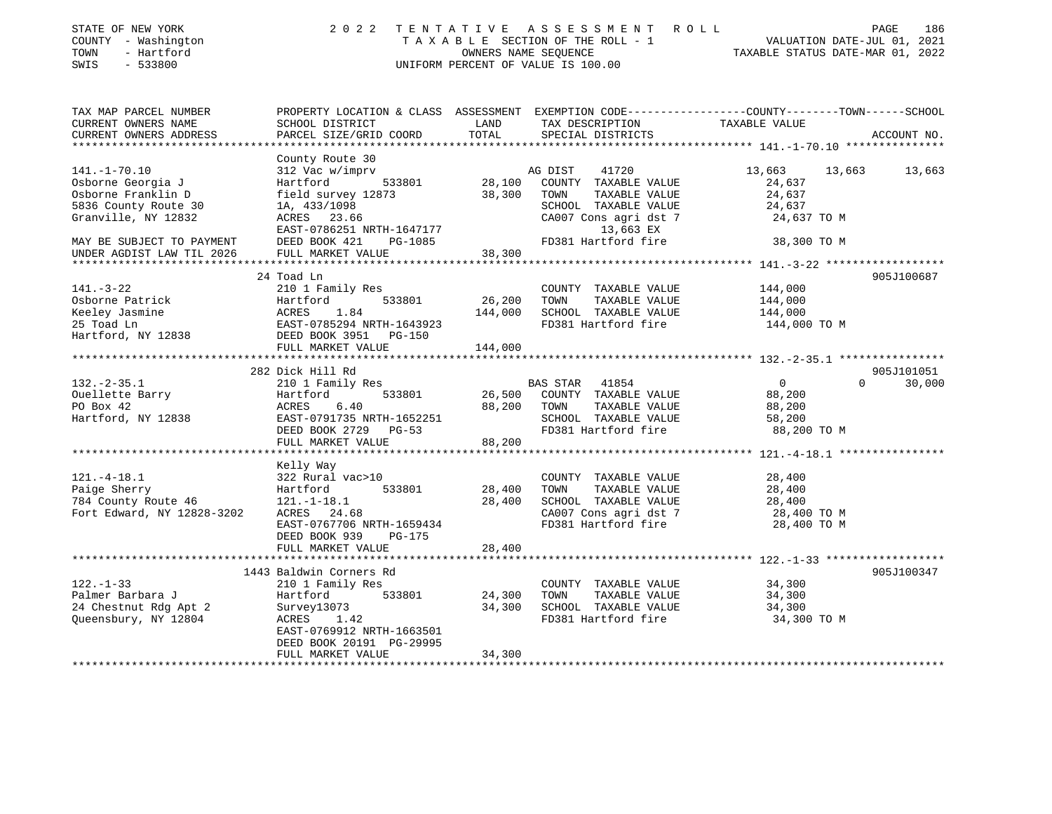| STATE OF NEW YORK<br>COUNTY - Washington<br>- Hartford<br>TOWN<br>SWIS<br>$-533800$ | 2 0 2 2                                        |                                | TENTATIVE ASSESSMENT ROLL<br>OWNERS NAME SEQUENCE<br>UNIFORM PERCENT OF VALUE IS 100.00 | PAGE<br>T A X A B L E SECTION OF THE ROLL - 1 VALUATION DATE-JUL 01, 2021<br>TAXABLE STATUS DATE-MAR 01, 2022     | 186         |
|-------------------------------------------------------------------------------------|------------------------------------------------|--------------------------------|-----------------------------------------------------------------------------------------|-------------------------------------------------------------------------------------------------------------------|-------------|
| TAX MAP PARCEL NUMBER<br>CURRENT OWNERS NAME                                        | SCHOOL DISTRICT                                | LAND                           | TAX DESCRIPTION                                                                         | PROPERTY LOCATION & CLASS ASSESSMENT EXEMPTION CODE----------------COUNTY-------TOWN------SCHOOL<br>TAXABLE VALUE |             |
| CURRENT OWNERS ADDRESS                                                              | PARCEL SIZE/GRID COORD                         | TOTAL                          | SPECIAL DISTRICTS                                                                       |                                                                                                                   | ACCOUNT NO. |
|                                                                                     |                                                |                                |                                                                                         |                                                                                                                   |             |
|                                                                                     | County Route 30                                |                                |                                                                                         |                                                                                                                   |             |
| $141. - 1 - 70.10$                                                                  | 312 Vac w/imprv                                |                                | 41720<br>AG DIST                                                                        | 13,663<br>13,663                                                                                                  | 13,663      |
| Osborne Georgia J                                                                   | Hartford<br>533801                             | 28,100                         | COUNTY TAXABLE VALUE                                                                    | 24,637                                                                                                            |             |
| Osborne Franklin D                                                                  | field survey 12873                             | 38,300                         | TOWN<br>TAXABLE VALUE                                                                   | 24,637                                                                                                            |             |
| 5836 County Route 30                                                                | 1A, 433/1098                                   |                                | SCHOOL TAXABLE VALUE                                                                    | 24,637                                                                                                            |             |
| Granville, NY 12832                                                                 | ACRES 23.66                                    |                                | CA007 Cons agri dst 7                                                                   | 24,637 TO M                                                                                                       |             |
|                                                                                     | EAST-0786251 NRTH-1647177                      |                                | 13,663 EX                                                                               |                                                                                                                   |             |
| MAY BE SUBJECT TO PAYMENT                                                           | DEED BOOK 421<br>PG-1085                       |                                | FD381 Hartford fire                                                                     | 38,300 TO M                                                                                                       |             |
| UNDER AGDIST LAW TIL 2026                                                           | FULL MARKET VALUE                              | 38,300                         |                                                                                         |                                                                                                                   |             |
|                                                                                     |                                                | **********                     |                                                                                         |                                                                                                                   |             |
|                                                                                     | 24 Toad Ln                                     |                                |                                                                                         |                                                                                                                   | 905J100687  |
| $141. - 3 - 22$                                                                     | 210 1 Family Res                               |                                | COUNTY TAXABLE VALUE                                                                    | 144,000                                                                                                           |             |
| Osborne Patrick                                                                     | 533801<br>Hartford                             | 26,200                         | TAXABLE VALUE<br>TOWN                                                                   | 144,000                                                                                                           |             |
| Keeley Jasmine                                                                      | ACRES<br>1.84                                  | 144,000                        | SCHOOL TAXABLE VALUE                                                                    | 144,000                                                                                                           |             |
| 25 Toad Ln                                                                          | EAST-0785294 NRTH-1643923                      |                                | FD381 Hartford fire                                                                     | 144,000 TO M                                                                                                      |             |
| Hartford, NY 12838                                                                  | DEED BOOK 3951 PG-150                          |                                |                                                                                         |                                                                                                                   |             |
|                                                                                     | FULL MARKET VALUE<br>************************* | 144,000<br>* * * * * * * * * * |                                                                                         | ***************** 132.-2-35.1 *****************                                                                   |             |
|                                                                                     | 282 Dick Hill Rd                               |                                |                                                                                         |                                                                                                                   | 905J101051  |
|                                                                                     |                                                |                                |                                                                                         | $\Omega$<br>$\overline{0}$                                                                                        |             |
| $132 - 2 - 35.1$<br>Ouellette Barry                                                 | 210 1 Family Res<br>533801                     | 26,500                         | BAS STAR 41854<br>COUNTY TAXABLE VALUE                                                  | 88,200                                                                                                            | 30,000      |
| PO Box 42                                                                           | Hartford<br>6.40<br>ACRES                      | 88,200                         | TOWN<br>TAXABLE VALUE                                                                   |                                                                                                                   |             |
|                                                                                     | EAST-0791735 NRTH-1652251                      |                                | SCHOOL TAXABLE VALUE                                                                    | 88,200<br>58,200                                                                                                  |             |
| Hartford, NY 12838                                                                  |                                                |                                | FD381 Hartford fire                                                                     |                                                                                                                   |             |
|                                                                                     | DEED BOOK 2729 PG-53<br>FULL MARKET VALUE      | 88,200                         |                                                                                         | 88,200 TO M                                                                                                       |             |
|                                                                                     |                                                |                                |                                                                                         |                                                                                                                   |             |
|                                                                                     | Kelly Way                                      |                                |                                                                                         |                                                                                                                   |             |
| $121. - 4 - 18.1$                                                                   | 322 Rural vac>10                               |                                | COUNTY TAXABLE VALUE                                                                    | 28,400                                                                                                            |             |
| Paige Sherry                                                                        | 533801<br>Hartford                             | 28,400                         | TOWN<br>TAXABLE VALUE                                                                   | 28,400                                                                                                            |             |
| 784 County Route 46                                                                 | $121.-1-18.1$                                  | 28,400                         | SCHOOL TAXABLE VALUE                                                                    | 28,400                                                                                                            |             |
| Fort Edward, NY 12828-3202                                                          | ACRES 24.68                                    |                                | CA007 Cons agri dst 7                                                                   | 28,400 TO M                                                                                                       |             |
|                                                                                     | EAST-0767706 NRTH-1659434                      |                                | FD381 Hartford fire                                                                     | 28,400 TO M                                                                                                       |             |
|                                                                                     | DEED BOOK 939<br>PG-175                        |                                |                                                                                         |                                                                                                                   |             |
|                                                                                     | FULL MARKET VALUE                              | 28,400                         |                                                                                         |                                                                                                                   |             |
|                                                                                     |                                                |                                |                                                                                         |                                                                                                                   |             |
|                                                                                     | 1443 Baldwin Corners Rd                        |                                |                                                                                         |                                                                                                                   | 905J100347  |
| $122. - 1 - 33$                                                                     | 210 1 Family Res                               |                                | COUNTY TAXABLE VALUE                                                                    | 34,300                                                                                                            |             |
| Palmer Barbara J                                                                    | 533801<br>Hartford                             | 24,300                         | TOWN<br>TAXABLE VALUE                                                                   | 34,300                                                                                                            |             |
| 24 Chestnut Rdg Apt 2                                                               | Survey13073                                    | 34,300                         | SCHOOL TAXABLE VALUE                                                                    | 34,300                                                                                                            |             |
| Queensbury, NY 12804                                                                | ACRES 1.42                                     |                                | FD381 Hartford fire                                                                     | 34,300 TO M                                                                                                       |             |
|                                                                                     | EAST-0769912 NRTH-1663501                      |                                |                                                                                         |                                                                                                                   |             |
|                                                                                     | DEED BOOK 20191 PG-29995                       |                                |                                                                                         |                                                                                                                   |             |
|                                                                                     | FULL MARKET VALUE                              | 34,300                         |                                                                                         |                                                                                                                   |             |
|                                                                                     |                                                |                                |                                                                                         |                                                                                                                   |             |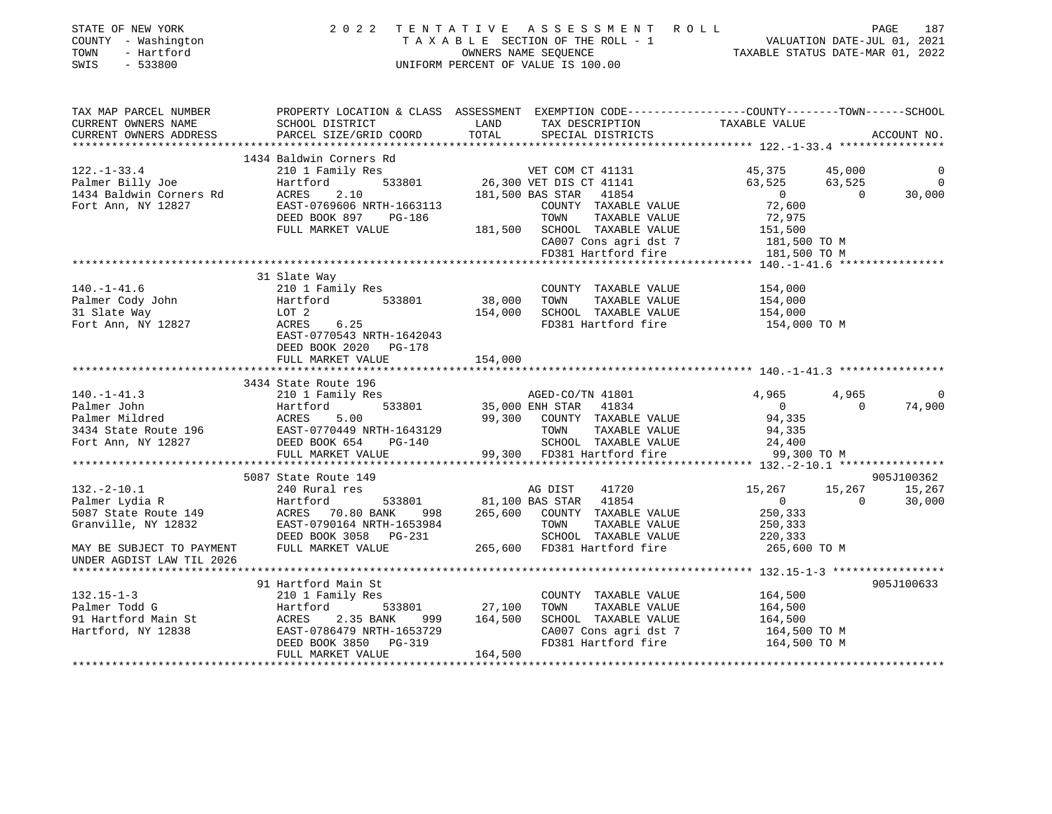| STATE OF NEW YORK<br>COUNTY - Washington<br>TOWN<br>- Hartford<br>SWIS<br>- 533800                                                              |                                                    |                 | 2022 TENTATIVE ASSESSMENT ROLL<br>TAXABLE SECTION OF THE ROLL - 1<br>OWNERS NAME SEQUENCE TAXABLE STATUS DATE-JUL 01, 2021<br>UNIFORM PERCENT OF VALUE IS 100.00 |                         |                | 187<br>PAGE |
|-------------------------------------------------------------------------------------------------------------------------------------------------|----------------------------------------------------|-----------------|------------------------------------------------------------------------------------------------------------------------------------------------------------------|-------------------------|----------------|-------------|
| TAX MAP PARCEL NUMBER THE PROPERTY LOCATION & CLASS ASSESSMENT EXEMPTION CODE--------------COUNTY-------TOWN------SCHOOL<br>CURRENT OWNERS NAME | SCHOOL DISTRICT                                    | LAND            | TAX DESCRIPTION                                                                                                                                                  | TAXABLE VALUE           |                |             |
| CURRENT OWNERS ADDRESS                                                                                                                          | PARCEL SIZE/GRID COORD                             | TOTAL           | SPECIAL DISTRICTS                                                                                                                                                |                         |                | ACCOUNT NO. |
|                                                                                                                                                 |                                                    |                 |                                                                                                                                                                  |                         |                |             |
|                                                                                                                                                 | 1434 Baldwin Corners Rd                            |                 |                                                                                                                                                                  |                         |                |             |
| $122. - 1 - 33.4$                                                                                                                               | 210 1 Family Res                                   |                 | VET COM CT 41131                                                                                                                                                 | 45,375                  | 45,000         | 0           |
| Palmer Billy Joe                                                                                                                                | Hartford                                           |                 | $533801$ $26,300$ VET DIS CT 41141<br>2.10 $181,500$ BAS STAR 41854                                                                                              | 63,525                  | 63,525         | 0           |
| 1434 Baldwin Corners Rd                                                                                                                         | ACRES                                              |                 | 41854                                                                                                                                                            | 25 <i>د , د</i> ه<br>0  | $\overline{0}$ | 30,000      |
| Fort Ann, NY 12827                                                                                                                              | EAST-0769606 NRTH-1663113                          |                 | COUNTY TAXABLE VALUE                                                                                                                                             | 72,600                  |                |             |
|                                                                                                                                                 | DEED BOOK 897 PG-186                               |                 | TOWN<br>TAXABLE VALUE                                                                                                                                            | 72,975                  |                |             |
|                                                                                                                                                 | FULL MARKET VALUE                                  | 181,500         | SCHOOL TAXABLE VALUE                                                                                                                                             | 151,500<br>181,500 TO M |                |             |
|                                                                                                                                                 |                                                    |                 | CA007 Cons agri dst 7                                                                                                                                            |                         |                |             |
|                                                                                                                                                 |                                                    |                 | FD381 Hartford fire                                                                                                                                              | 181,500 TO M            |                |             |
|                                                                                                                                                 | 31 Slate Way                                       |                 |                                                                                                                                                                  |                         |                |             |
| $140. - 1 - 41.6$                                                                                                                               | 210 1 Family Res                                   |                 | COUNTY TAXABLE VALUE                                                                                                                                             | 154,000                 |                |             |
| Palmer Cody John                                                                                                                                | Hartford                                           | 533801 38,000   | TOWN<br>TAXABLE VALUE                                                                                                                                            | 154,000                 |                |             |
| 31 Slate Way                                                                                                                                    | LOT 2                                              | 154,000         | SCHOOL TAXABLE VALUE                                                                                                                                             | 154,000                 |                |             |
| Fort Ann, NY 12827                                                                                                                              | 6.25<br><b>ACRES</b>                               |                 | FD381 Hartford fire                                                                                                                                              | 154,000 TO M            |                |             |
|                                                                                                                                                 | EAST-0770543 NRTH-1642043<br>DEED BOOK 2020 PG-178 |                 |                                                                                                                                                                  |                         |                |             |
|                                                                                                                                                 | FULL MARKET VALUE                                  | 154,000         |                                                                                                                                                                  |                         |                |             |
|                                                                                                                                                 |                                                    |                 |                                                                                                                                                                  |                         |                |             |
|                                                                                                                                                 | 3434 State Route 196                               |                 |                                                                                                                                                                  |                         |                |             |
| $140. - 1 - 41.3$                                                                                                                               | 210 1 Family Res                                   |                 | AGED-CO/TN 41801<br>ENH STAR 41834                                                                                                                               | 4,965                   | 4,965          | $\Omega$    |
| Palmer John                                                                                                                                     | 533801<br>Hartford<br>ACRES                        | 35,000 ENH STAR |                                                                                                                                                                  | $\overline{0}$          | $\Omega$       | 74,900      |
| Palmer Mildred                                                                                                                                  | 5.00                                               |                 | 99,300 COUNTY TAXABLE VALUE                                                                                                                                      | 94,335                  |                |             |
|                                                                                                                                                 | PG-140                                             |                 | TOWN<br>TAXABLE VALUE<br>SCHOOL TAXABLE VALUE                                                                                                                    | 94,335<br>24,400        |                |             |
|                                                                                                                                                 | FULL MARKET VALUE                                  |                 | 99,300 FD381 Hartford fire                                                                                                                                       | 99,300 TO M             |                |             |
|                                                                                                                                                 |                                                    |                 |                                                                                                                                                                  |                         |                |             |
|                                                                                                                                                 | 5087 State Route 149                               |                 |                                                                                                                                                                  |                         |                | 905J100362  |
| $132. - 2 - 10.1$                                                                                                                               | 240 Rural res                                      |                 | AG DIST<br>41720                                                                                                                                                 | 15,267                  | 15,267         | 15,267      |
| Palmer Lydia R                                                                                                                                  | Hartford                                           |                 | 533801 81,100 BAS STAR 41854                                                                                                                                     | $\overline{0}$          | $\bigcap$      | 30,000      |
| 5087 State Route 149                                                                                                                            | ACRES 70.80 BANK 998                               |                 | 265,600 COUNTY TAXABLE VALUE                                                                                                                                     | 250,333                 |                |             |
| Granville, NY 12832                                                                                                                             | EAST-0790164 NRTH-1653984                          |                 | TOWN<br>TAXABLE VALUE                                                                                                                                            | 250,333                 |                |             |
|                                                                                                                                                 | DEED BOOK 3058 PG-231                              |                 | SCHOOL TAXABLE VALUE                                                                                                                                             | 220,333                 |                |             |
| MAY BE SUBJECT TO PAYMENT<br>UNDER AGDIST LAW TIL 2026                                                                                          | FULL MARKET VALUE                                  |                 | 265,600 FD381 Hartford fire                                                                                                                                      | 265,600 TO M            |                |             |
|                                                                                                                                                 |                                                    |                 |                                                                                                                                                                  |                         |                |             |
|                                                                                                                                                 | 91 Hartford Main St                                |                 |                                                                                                                                                                  |                         |                | 905J100633  |
| $132.15 - 1 - 3$                                                                                                                                | 210 1 Family Res                                   |                 | COUNTY TAXABLE VALUE                                                                                                                                             | 164,500                 |                |             |
| Palmer Todd G                                                                                                                                   | Hartford                                           | 533801 27,100   | TOWN<br>TAXABLE VALUE                                                                                                                                            | 164,500                 |                |             |
| 91 Hartford Main St<br>Hartford, NY 12838                                                                                                       | ACRES 2.35 BANK                                    | 999 164,500     | SCHOOL TAXABLE VALUE                                                                                                                                             | 164,500                 |                |             |
|                                                                                                                                                 | EAST-0786479 NRTH-1653729                          |                 | CA007 Cons agri dst 7                                                                                                                                            | 164,500 TO M            |                |             |
|                                                                                                                                                 | DEED BOOK 3850<br>PG-319                           |                 | FD381 Hartford fire                                                                                                                                              | 164,500 TO M            |                |             |
|                                                                                                                                                 | FULL MARKET VALUE                                  | 164,500         |                                                                                                                                                                  |                         |                |             |
|                                                                                                                                                 |                                                    |                 |                                                                                                                                                                  |                         |                |             |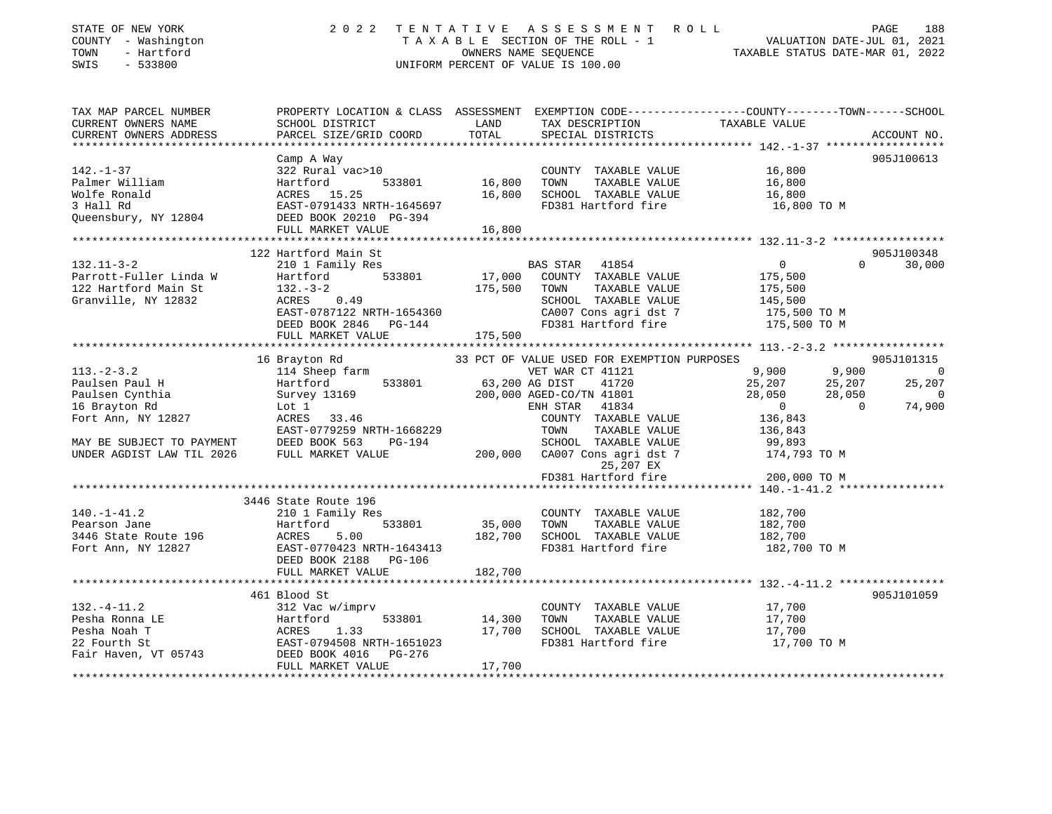| STATE OF NEW YORK<br>COUNTY - Washington<br>TOWN - Hartford<br>SWIS - 533800 |                                                                                                                                                                                                                                                        |         | UNIFORM PERCENT OF VALUE IS 100.00 | 2022 TENTATIVE ASSESSMENT ROLL PAGE 188<br>TAXABLE SECTION OF THE ROLL - 1 VALUATION DATE-JUL 01, 2021<br>OWNERS NAME SEQUENCE TAXABLE STATUS DATE-MAR 01, 2022                                                                               |
|------------------------------------------------------------------------------|--------------------------------------------------------------------------------------------------------------------------------------------------------------------------------------------------------------------------------------------------------|---------|------------------------------------|-----------------------------------------------------------------------------------------------------------------------------------------------------------------------------------------------------------------------------------------------|
| TAX MAP PARCEL NUMBER<br>CURRENT OWNERS NAME                                 | SCHOOL DISTRICT LAND TAX DESCRIPTION TAXABLE VALUE                                                                                                                                                                                                     |         |                                    | PROPERTY LOCATION & CLASS ASSESSMENT EXEMPTION CODE---------------COUNTY-------TOWN-----SCHOOL                                                                                                                                                |
| CURRENT OWNERS ADDRESS                                                       | PARCEL SIZE/GRID COORD                                                                                                                                                                                                                                 | TOTAL   | SPECIAL DISTRICTS                  | ACCOUNT NO.                                                                                                                                                                                                                                   |
|                                                                              |                                                                                                                                                                                                                                                        |         |                                    |                                                                                                                                                                                                                                               |
|                                                                              | 142.-1-37<br>Palmer William (16,800 Hartford 533801 16,800 TOWNTY TAXABLE VALUE 16,800<br>Wolfe Ronald ACRES 15.25<br>3 Hall Rd EAST-0791433 NRTH-1645697 16,800 SCHOOL TAXABLE VALUE 16,800<br>Queensbury, NY 12804 DEED BOOK 20210 P                 |         |                                    | 905J100613                                                                                                                                                                                                                                    |
|                                                                              |                                                                                                                                                                                                                                                        |         |                                    |                                                                                                                                                                                                                                               |
|                                                                              |                                                                                                                                                                                                                                                        |         |                                    |                                                                                                                                                                                                                                               |
|                                                                              |                                                                                                                                                                                                                                                        |         |                                    |                                                                                                                                                                                                                                               |
|                                                                              |                                                                                                                                                                                                                                                        |         |                                    |                                                                                                                                                                                                                                               |
|                                                                              | FULL MARKET VALUE                                                                                                                                                                                                                                      | 16,800  |                                    |                                                                                                                                                                                                                                               |
|                                                                              |                                                                                                                                                                                                                                                        |         |                                    |                                                                                                                                                                                                                                               |
|                                                                              | 122 Hartford Main St                                                                                                                                                                                                                                   |         |                                    | 905J100348                                                                                                                                                                                                                                    |
| $132.11 - 3 - 2$                                                             |                                                                                                                                                                                                                                                        |         | BAS STAR 41854                     | $\begin{array}{c} 0 \\ 175,500 \\ 175,500 \\ 145,500 \end{array}$<br>$0 \t 30,000$                                                                                                                                                            |
| Parrott-Fuller Linda W                                                       |                                                                                                                                                                                                                                                        |         |                                    |                                                                                                                                                                                                                                               |
| 122 Hartford Main St                                                         |                                                                                                                                                                                                                                                        |         |                                    |                                                                                                                                                                                                                                               |
| Granville, NY 12832                                                          |                                                                                                                                                                                                                                                        |         |                                    |                                                                                                                                                                                                                                               |
|                                                                              |                                                                                                                                                                                                                                                        |         |                                    |                                                                                                                                                                                                                                               |
|                                                                              |                                                                                                                                                                                                                                                        |         |                                    |                                                                                                                                                                                                                                               |
|                                                                              | 210 1 Family Res<br>210 1 Family Res<br>333801 17,000 COUNTY TAXABLE VALUE<br>32.-3-2 175,500 TOWN TAXABLE VALUE<br>2175,500 SCHOOL TAXABLE VALUE<br>2175,500 SCHOOL TAXABLE VALUE<br>2175,500 SCHOOL TAXABLE VALUE<br>2175,500 CA007 Cons a           |         |                                    |                                                                                                                                                                                                                                               |
|                                                                              |                                                                                                                                                                                                                                                        |         |                                    | $[13. -2-3. 2$ 16 Brayton Rd<br>113.-2-3.2 16 Brayton Rd<br>114 Sheep farm<br>200.000 G3,200 AGBD-CO/TN 41801<br>Paulsen Paul H<br>Paulsen Cynthia Survey 13169<br>200,000 AGBD-CO/TN 41801<br>200,000 AGBD-CO/TN 41801<br>200,000 AGBD-CO/TN |
|                                                                              |                                                                                                                                                                                                                                                        |         |                                    |                                                                                                                                                                                                                                               |
|                                                                              |                                                                                                                                                                                                                                                        |         |                                    |                                                                                                                                                                                                                                               |
| 113.-2-3.∠<br>Paulsen Paul H<br>Paulsen Cynthia<br>I Trevton Rd              |                                                                                                                                                                                                                                                        |         |                                    |                                                                                                                                                                                                                                               |
|                                                                              |                                                                                                                                                                                                                                                        |         |                                    |                                                                                                                                                                                                                                               |
|                                                                              |                                                                                                                                                                                                                                                        |         |                                    |                                                                                                                                                                                                                                               |
|                                                                              |                                                                                                                                                                                                                                                        |         |                                    |                                                                                                                                                                                                                                               |
|                                                                              |                                                                                                                                                                                                                                                        |         |                                    |                                                                                                                                                                                                                                               |
|                                                                              |                                                                                                                                                                                                                                                        |         | 25,207 EX                          |                                                                                                                                                                                                                                               |
|                                                                              |                                                                                                                                                                                                                                                        |         | FD381 Hartford fire                | 200,000 TO M                                                                                                                                                                                                                                  |
|                                                                              |                                                                                                                                                                                                                                                        |         |                                    |                                                                                                                                                                                                                                               |
|                                                                              | 3446 State Route 196                                                                                                                                                                                                                                   |         |                                    |                                                                                                                                                                                                                                               |
|                                                                              |                                                                                                                                                                                                                                                        |         |                                    |                                                                                                                                                                                                                                               |
|                                                                              |                                                                                                                                                                                                                                                        |         |                                    |                                                                                                                                                                                                                                               |
|                                                                              |                                                                                                                                                                                                                                                        |         |                                    |                                                                                                                                                                                                                                               |
|                                                                              | 140.-1-41.2<br>Pearson Jane 182,700<br>210 1 Family Res<br>Hartford 533801 35,000 TOWN TAXABLE VALUE 182,700<br>3446 State Route 196 ACRES 5.00 182,700 SCHOOL TAXABLE VALUE 182,700<br>Fort Ann, NY 12827 EAST-0770423 NRTH-1643413<br>DE             |         |                                    | 182,700 TO M                                                                                                                                                                                                                                  |
|                                                                              |                                                                                                                                                                                                                                                        |         |                                    |                                                                                                                                                                                                                                               |
|                                                                              | FULL MARKET VALUE                                                                                                                                                                                                                                      | 182,700 |                                    |                                                                                                                                                                                                                                               |
|                                                                              | 461 Blood St                                                                                                                                                                                                                                           |         |                                    | 905J101059                                                                                                                                                                                                                                    |
| $132. -4 - 11.2$                                                             | 312 Vac w/imprv                                                                                                                                                                                                                                        |         | COUNTY TAXABLE VALUE 17,700        |                                                                                                                                                                                                                                               |
|                                                                              |                                                                                                                                                                                                                                                        |         |                                    |                                                                                                                                                                                                                                               |
|                                                                              |                                                                                                                                                                                                                                                        |         |                                    |                                                                                                                                                                                                                                               |
|                                                                              |                                                                                                                                                                                                                                                        |         |                                    |                                                                                                                                                                                                                                               |
|                                                                              | Pesha Ronna LE<br>Pesha Ronna LE<br>Pesha Noah T<br>Pesha Noah T<br>22 Fourth St<br>22 Fourth St<br>EAST-0794508 NRTH-1651023<br>Fair Haven, VT 05743<br>DEED SOK 4016<br>DEED SCHOOL TAXABLE VALUE<br>FD381 Hartford fire<br>FD381 Hartford fire<br>T |         |                                    |                                                                                                                                                                                                                                               |
|                                                                              | FULL MARKET VALUE                                                                                                                                                                                                                                      | 17,700  |                                    |                                                                                                                                                                                                                                               |
|                                                                              |                                                                                                                                                                                                                                                        |         |                                    |                                                                                                                                                                                                                                               |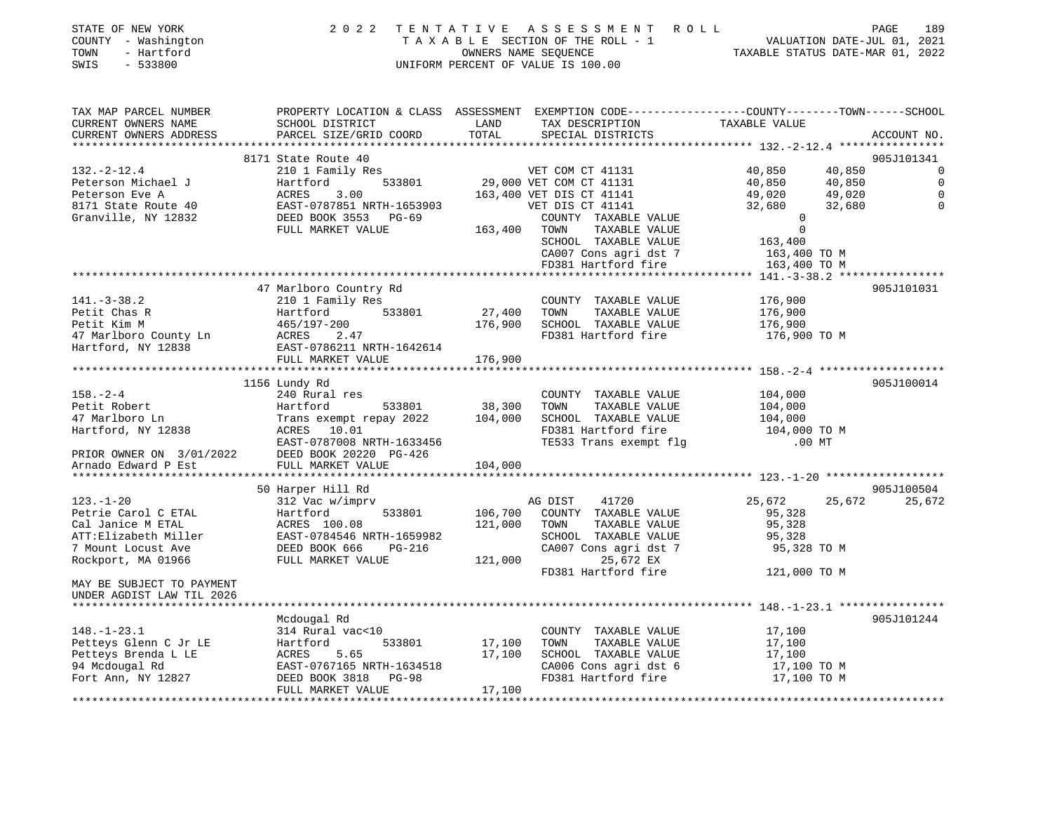| STATE OF NEW YORK   | 2022 TENTATIVE ASSESSMENT ROLL     | 189<br>PAGE                      |
|---------------------|------------------------------------|----------------------------------|
| COUNTY - Washington | TAXABLE SECTION OF THE ROLL - 1    | VALUATION DATE-JUL 01, 2021      |
| TOWN<br>- Hartford  | OWNERS NAME SEOUENCE               | TAXABLE STATUS DATE-MAR 01, 2022 |
| - 533800<br>SWIS    | UNIFORM PERCENT OF VALUE IS 100.00 |                                  |

| TAX MAP PARCEL NUMBER<br>CURRENT OWNERS NAME | PROPERTY LOCATION & CLASS ASSESSMENT EXEMPTION CODE---------------COUNTY-------TOWN------SCHOOL<br>SCHOOL DISTRICT | LAND                      |                                               | TAXABLE VALUE    |             |
|----------------------------------------------|--------------------------------------------------------------------------------------------------------------------|---------------------------|-----------------------------------------------|------------------|-------------|
| CURRENT OWNERS ADDRESS                       | PARCEL SIZE/GRID COORD                                                                                             | TOTAL                     | TAX DESCRIPTION<br>SPECIAL DISTRICTS          |                  | ACCOUNT NO. |
| ***********************                      | *****************************                                                                                      |                           |                                               |                  |             |
|                                              | 8171 State Route 40                                                                                                |                           |                                               |                  | 905J101341  |
| $132. - 2 - 12.4$                            | 210 1 Family Res                                                                                                   |                           |                                               | 40,850<br>40,850 | 0           |
| Peterson Michael J                           | ;<br>533801<br>Hartford                                                                                            |                           | VET COM CT 41131<br>29,000 VET COM CT 41131   | 40,850<br>40,850 | $\mathbf 0$ |
| Peterson Eve A                               | ACRES<br>3.00                                                                                                      |                           | 163,400 VET DIS CT 41141                      | 49,020<br>49,020 |             |
| 8171 State Route 40                          | EAST-0787851 NRTH-1653903                                                                                          |                           | VET DIS CT 41141                              | 32,680<br>32,680 | $\Omega$    |
| Granville, NY 12832                          | DEED BOOK 3553 PG-69                                                                                               |                           | COUNTY TAXABLE VALUE                          | $\Omega$         |             |
|                                              | FULL MARKET VALUE                                                                                                  | 163,400 TOWN              | TAXABLE VALUE                                 | $\mathbf 0$      |             |
|                                              |                                                                                                                    |                           | SCHOOL TAXABLE VALUE                          | 163,400          |             |
|                                              |                                                                                                                    |                           | CA007 Cons agri dst 7                         | 163,400 TO M     |             |
|                                              |                                                                                                                    |                           | FD381 Hartford fire                           | 163,400 TO M     |             |
|                                              |                                                                                                                    |                           |                                               |                  |             |
|                                              | 47 Marlboro Country Rd                                                                                             |                           |                                               |                  | 905J101031  |
| $141. - 3 - 38.2$                            | 210 1 Family Res                                                                                                   |                           | COUNTY TAXABLE VALUE                          | 176,900          |             |
| Petit Chas R                                 | 533801<br>Hartford                                                                                                 | 27,400 TOWN               | TAXABLE VALUE                                 | 176,900          |             |
| Petit Kim M                                  | 465/197-200                                                                                                        | 176,900                   | SCHOOL TAXABLE VALUE                          | 176,900          |             |
|                                              | Petit Kim M<br>465/197-200<br>47 Marlboro County Ln<br>Hartford, NY 12838<br>EAST-0786211 NRTH-1642614             |                           | FD381 Hartford fire                           | 176,900 TO M     |             |
|                                              |                                                                                                                    |                           |                                               |                  |             |
|                                              | FULL MARKET VALUE                                                                                                  | 176,900                   |                                               |                  |             |
|                                              |                                                                                                                    | * * * * * * * * * * * * * |                                               |                  |             |
|                                              | 1156 Lundy Rd                                                                                                      |                           |                                               |                  | 905J100014  |
| $158. - 2 - 4$                               | 240 Rural res                                                                                                      |                           | COUNTY TAXABLE VALUE                          | 104,000          |             |
| Petit Robert                                 | Hartford<br>533801                                                                                                 | 38,300                    | TAXABLE VALUE<br>TOWN                         | 104,000          |             |
| 47 Marlboro Ln                               | Trans exempt repay 2022                                                                                            | 104,000                   | SCHOOL TAXABLE VALUE                          | 104,000          |             |
| Hartford, NY 12838                           | ACRES 10.01                                                                                                        |                           | FD381 Hartford fire                           | 104,000 TO M     |             |
|                                              | EAST-0787008 NRTH-1633456                                                                                          |                           | TE533 Trans exempt flg                        | $.00$ MT         |             |
|                                              | PRIOR OWNER ON 3/01/2022 DEED BOOK 20220 PG-426<br>Arnado Edward P Est FULL MARKET VALUE                           |                           |                                               |                  |             |
|                                              | FULL MARKET VALUE                                                                                                  | 104,000                   |                                               |                  |             |
|                                              |                                                                                                                    |                           |                                               |                  |             |
|                                              | 50 Harper Hill Rd                                                                                                  |                           |                                               |                  | 905J100504  |
| $123. - 1 - 20$                              | 312 Vac w/imprv                                                                                                    |                           | 41720<br>AG DIST                              | 25,672<br>25,672 | 25,672      |
| Petrie Carol C ETAL                          | Hartford<br>533801                                                                                                 | 106,700                   | COUNTY TAXABLE VALUE                          | 95,328           |             |
| Cal Janice M ETAL                            | ACRES 100.08                                                                                                       | 121,000                   | TOWN<br>TAXABLE VALUE                         | 95,328           |             |
| ATT:Elizabeth Miller                         | EAST-0784546 NRTH-1659982                                                                                          |                           | SCHOOL TAXABLE VALUE                          | 95,328           |             |
| 7 Mount Locust Ave                           | DEED BOOK 666<br>PG-216                                                                                            |                           | CA007 Cons agri dst 7                         | 95,328 TO M      |             |
| Rockport, MA 01966                           | FULL MARKET VALUE                                                                                                  | 121,000                   | 25,672 EX                                     |                  |             |
|                                              |                                                                                                                    |                           | FD381 Hartford fire                           | 121,000 TO M     |             |
| MAY BE SUBJECT TO PAYMENT                    |                                                                                                                    |                           |                                               |                  |             |
| UNDER AGDIST LAW TIL 2026                    |                                                                                                                    |                           |                                               |                  |             |
|                                              |                                                                                                                    |                           |                                               |                  |             |
|                                              | Mcdougal Rd                                                                                                        |                           |                                               |                  | 905J101244  |
| $148. - 1 - 23.1$                            | 314 Rural vac<10                                                                                                   |                           | COUNTY TAXABLE VALUE                          | 17,100           |             |
| Petteys Glenn C Jr LE<br>Petteys Brenda L LE | 533801<br>Hartford<br>5.65                                                                                         | 17,100<br>17,100          | TAXABLE VALUE<br>TOWN<br>SCHOOL TAXABLE VALUE | 17,100<br>17,100 |             |
| 94 Mcdougal Rd                               | ACRES<br>EAST-0767165 NRTH-1634518                                                                                 |                           | CA006 Cons agri dst 6                         | 17,100 TO M      |             |
| Fort Ann, NY 12827                           | DEED BOOK 3818 PG-98                                                                                               |                           | FD381 Hartford fire                           | 17,100 TO M      |             |
|                                              | FULL MARKET VALUE                                                                                                  | 17,100                    |                                               |                  |             |
|                                              |                                                                                                                    |                           |                                               |                  |             |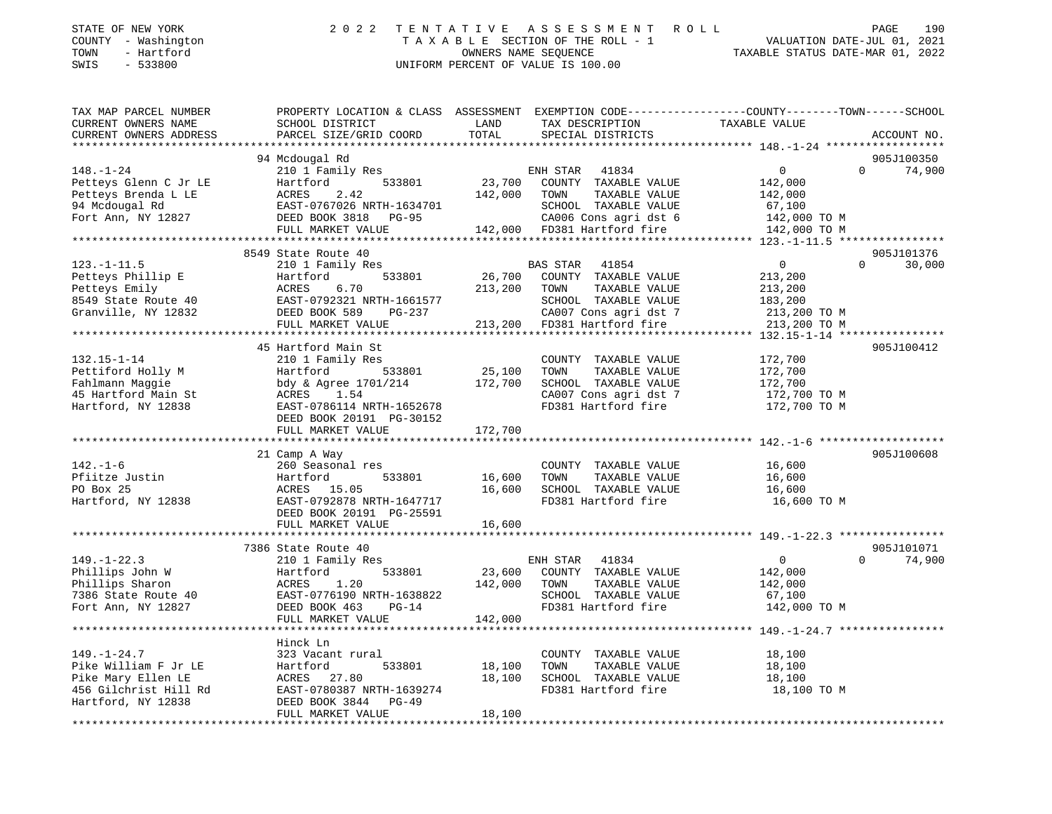| STATE OF NEW YORK<br>- Washington<br>COUNTY<br>- Hartford<br>TOWN<br>$-533800$<br>SWIS | 2 0 2 2<br>TAXABLE        | TENTATIVE  | ASSESSMENT ROLL<br>SECTION OF THE ROLL - 1<br>OWNERS NAME SEOUENCE<br>UNIFORM PERCENT OF VALUE IS 100.00 | VALUATION DATE-JUL 01,<br>TAXABLE STATUS DATE-MAR 01, 2022   | 190<br>PAGE<br>2021 |
|----------------------------------------------------------------------------------------|---------------------------|------------|----------------------------------------------------------------------------------------------------------|--------------------------------------------------------------|---------------------|
| TAX MAP PARCEL NUMBER                                                                  | PROPERTY LOCATION & CLASS | ASSESSMENT |                                                                                                          | EXEMPTION CODE-----------------COUNTY-------TOWN------SCHOOL |                     |
| CURRENT OWNERS NAME                                                                    | SCHOOL DISTRICT           | LAND       | TAX DESCRIPTION                                                                                          | TAXABLE VALUE                                                |                     |
| CURRENT OWNERS ADDRESS                                                                 | PARCEL SIZE/GRID COORD    | TOTAL      | SPECIAL DISTRICTS                                                                                        |                                                              | ACCOUNT NO.         |
|                                                                                        |                           |            |                                                                                                          |                                                              |                     |
|                                                                                        | 94 Mcdougal Rd            |            |                                                                                                          |                                                              | 905J100350          |
| 148.-1-24                                                                              | 210 1 Family Res          |            | 41834<br>ENH STAR                                                                                        | $\overline{0}$<br>$\Omega$                                   | 74,900              |
| Petteys Glenn C Jr LE                                                                  | Hartford<br>533801        | 23,700     | COUNTY<br>TAXABLE VALUE                                                                                  | 142,000                                                      |                     |
| ACRES<br>Petteys Brenda L LE                                                           | 2.42                      | 142,000    | TOWN<br>TAXABLE VALUE                                                                                    | 142,000                                                      |                     |
| 94 Mcdougal Rd                                                                         | EAST-0767026 NRTH-1634701 |            | SCHOOL<br>TAXABLE VALUE                                                                                  | 67,100                                                       |                     |
| Fort Ann, NY 12827                                                                     | DEED BOOK 3818<br>PG-95   |            | CA006 Cons agri dst 6 142,000 TO M                                                                       |                                                              |                     |
|                                                                                        | FULL MARKET VALUE         | 142,000    | FD381 Hartford fire                                                                                      | 142,000 TO M                                                 |                     |
|                                                                                        |                           |            |                                                                                                          |                                                              |                     |

|                      |                                                 | $C_{11000}$ comp $C_{111}$ and $C_{120}$                                                                                                                                                                                       |                                         |
|----------------------|-------------------------------------------------|--------------------------------------------------------------------------------------------------------------------------------------------------------------------------------------------------------------------------------|-----------------------------------------|
|                      |                                                 |                                                                                                                                                                                                                                |                                         |
|                      |                                                 |                                                                                                                                                                                                                                | 905J101376                              |
|                      | 8549 State Route 40                             |                                                                                                                                                                                                                                |                                         |
| $123. - 1 - 11.5$    | 210 1 Family Res                                | BAS STAR 41854                                                                                                                                                                                                                 | 30,000<br>$\overline{0}$<br>$\Omega$    |
| Petteys Phillip E    | Hartford                                        | 533801 26,700 COUNTY TAXABLE VALUE                                                                                                                                                                                             | 213,200                                 |
|                      |                                                 | 213,200 TOWN<br>TAXABLE VALUE                                                                                                                                                                                                  | 213,200                                 |
|                      |                                                 | SCHOOL TAXABLE VALUE                                                                                                                                                                                                           | 183,200                                 |
|                      |                                                 | CA007 Cons agri dst 7 213,200 TO M                                                                                                                                                                                             |                                         |
|                      |                                                 | 013,200 FD381 Hartford fire 213,200 TO M 213,200 FD381 Hartford fire 213,200 TO M 213,200 TO M 213,200 TO M 213,200 TO M 213,200 TO M 213,200 TO M 213,200 TO M 213,200 TO M 213,200 TO M 213,200 TO M 215-1-14 ************** |                                         |
|                      |                                                 |                                                                                                                                                                                                                                |                                         |
|                      | 45 Hartford Main St                             |                                                                                                                                                                                                                                | 905J100412                              |
| $132.15 - 1 - 14$    | 210 1 Family Res                                | COUNTY TAXABLE VALUE                                                                                                                                                                                                           | 172,700                                 |
| Pettiford Holly M    | 533801<br>Hartford                              | 25,100<br>TOWN<br>TAXABLE VALUE                                                                                                                                                                                                | 172,700                                 |
|                      |                                                 | 172,700                                                                                                                                                                                                                        |                                         |
|                      |                                                 | SCHOOL TAXABLE VALUE<br>CA007 Cons agri dst 7                                                                                                                                                                                  | 172,700<br>172,700 TO M                 |
| Hartford, NY 12838   | EAST-0786114 NRTH-1652678                       | FD381 Hartford fire 172,700 TO M                                                                                                                                                                                               |                                         |
|                      | DEED BOOK 20191 PG-30152                        |                                                                                                                                                                                                                                |                                         |
|                      |                                                 |                                                                                                                                                                                                                                |                                         |
|                      |                                                 |                                                                                                                                                                                                                                |                                         |
|                      |                                                 |                                                                                                                                                                                                                                |                                         |
|                      | 21 Camp A Way                                   |                                                                                                                                                                                                                                | 905J100608                              |
| $142. - 1 - 6$       | 260 Seasonal res                                | COUNTY TAXABLE VALUE                                                                                                                                                                                                           | 16,600                                  |
| Pfiitze Justin       | Hartford<br>533801                              | 16,600<br>TOWN<br>TAXABLE VALUE                                                                                                                                                                                                | 16,600                                  |
| PO Box 25            | ACRES 15.05                                     | SCHOOL TAXABLE VALUE 16,600<br>16,600                                                                                                                                                                                          |                                         |
| Hartford, NY 12838   | EAST-0792878 NRTH-1647717                       | FD381 Hartford fire                                                                                                                                                                                                            | 16,600 TO M                             |
|                      | DEED BOOK 20191 PG-25591                        |                                                                                                                                                                                                                                |                                         |
|                      |                                                 |                                                                                                                                                                                                                                |                                         |
|                      |                                                 |                                                                                                                                                                                                                                |                                         |
|                      | 7386 State Route 40                             |                                                                                                                                                                                                                                | 905J101071                              |
| $149. - 1 - 22.3$    | 210 1 Family Res                                | ENH STAR 41834                                                                                                                                                                                                                 | $0 \qquad \qquad$<br>$\Omega$<br>74,900 |
| Phillips John W      | 533801<br>Hartford                              | 23,600 COUNTY TAXABLE VALUE                                                                                                                                                                                                    | 142,000                                 |
| Phillips Sharon      | 1.20<br>ACRES                                   | 142,000<br>TOWN<br>TAXABLE VALUE                                                                                                                                                                                               | 142,000                                 |
|                      | 7386 State Route 40 EAST-0776190 NRTH-1638822   | SCHOOL TAXABLE VALUE                                                                                                                                                                                                           | 67,100                                  |
| Fort Ann, NY 12827   | $PG-14$                                         | FD381 Hartford fire                                                                                                                                                                                                            | 142,000 TO M                            |
|                      | DEED BOOK 463<br>FULL MARKET VALUE              | 142,000                                                                                                                                                                                                                        |                                         |
|                      |                                                 |                                                                                                                                                                                                                                |                                         |
|                      |                                                 |                                                                                                                                                                                                                                |                                         |
|                      | Hinck Ln                                        |                                                                                                                                                                                                                                |                                         |
| $149. - 1 - 24.7$    | 323 Vacant rural                                | COUNTY TAXABLE VALUE                                                                                                                                                                                                           | 18,100                                  |
| Pike William F Jr LE | 533801<br>Hartford                              | 18,100<br>TOWN<br>TAXABLE VALUE                                                                                                                                                                                                | 18,100                                  |
| Pike Mary Ellen LE   | ACRES 27.80                                     | 18,100<br>SCHOOL TAXABLE VALUE                                                                                                                                                                                                 | 18,100                                  |
|                      | 456 Gilchrist Hill Rd EAST-0780387 NRTH-1639274 | FD381 Hartford fire                                                                                                                                                                                                            | 18,100 TO M                             |
| Hartford, NY 12838   | DEED BOOK 3844 PG-49                            |                                                                                                                                                                                                                                |                                         |
|                      | FULL MARKET VALUE                               | 18,100                                                                                                                                                                                                                         |                                         |
|                      |                                                 |                                                                                                                                                                                                                                |                                         |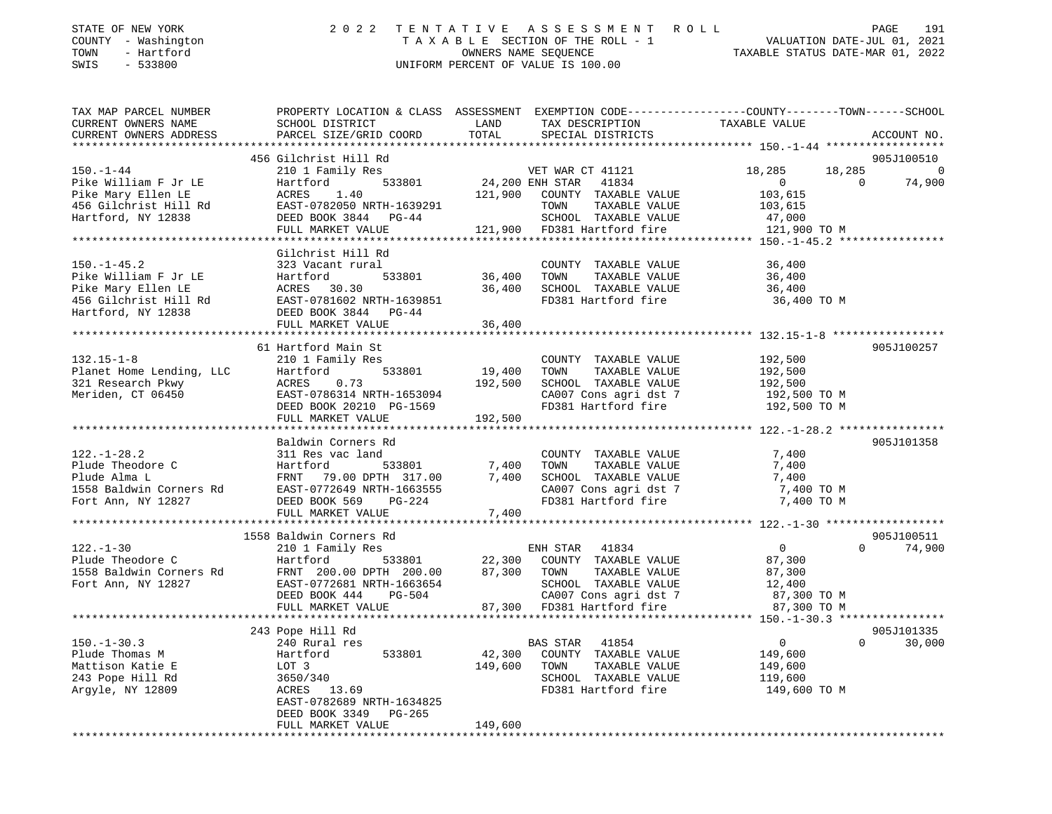| TOWN<br>SWIS | STATE OF NEW YORK<br>COUNTY - Washington<br>- Hartford<br>$-533800$ |                                              |                    | 2022 TENTATIVE ASSESSMENT ROLL<br>TAXABLE SECTION OF THE ROLL - 1<br>OWNERS NAME SEOUENCE<br>UNIFORM PERCENT OF VALUE IS 100.00 | VALUATION DATE-JUL 01, 2021<br>TAXABLE STATUS DATE-MAR 01, 2022 | PAGE | 191 |
|--------------|---------------------------------------------------------------------|----------------------------------------------|--------------------|---------------------------------------------------------------------------------------------------------------------------------|-----------------------------------------------------------------|------|-----|
|              | TAX MAP PARCEL NUMBER<br>CURRENT OWNERS NAME                        | PROPERTY LOCATION & CLASS<br>SCHOOL DISTRICT | ASSESSMENT<br>LAND | EXEMPTION CODE-----------------COUNTY-------TOWN------SCHOOL<br>TAX DESCRIPTION                                                 | TAXABLE VALUE                                                   |      |     |

| CURRENT OWNERS ADDRESS                                                                                       | PARCEL SIZE/GRID COORD                                                                                                                                                                                                                                                                                                                  | TOTAL<br>SPECIAL DISTRICTS                                                                                                                                                                                                  | ACCOUNT NO.                                                                                                         |
|--------------------------------------------------------------------------------------------------------------|-----------------------------------------------------------------------------------------------------------------------------------------------------------------------------------------------------------------------------------------------------------------------------------------------------------------------------------------|-----------------------------------------------------------------------------------------------------------------------------------------------------------------------------------------------------------------------------|---------------------------------------------------------------------------------------------------------------------|
|                                                                                                              | 456 Gilchrist Hill Rd                                                                                                                                                                                                                                                                                                                   |                                                                                                                                                                                                                             | 905J100510                                                                                                          |
| $150. - 1 - 44$<br>Pike William F Jr LE<br>Pike Mary Ellen LE<br>456 Gilchrist Hill Rd<br>Hartford, NY 12838 | 210 1 Family Res<br>Hartford<br>ACRES 1.40<br>EAST-0782050 NRTH-1639291<br>DEED BOOK 3844 PG-44<br>FULL MARKET VALUE                                                                                                                                                                                                                    | VET WAR CT 41121<br>533801 24,200 ENH STAR 41834<br>121,900 COUNTY TAXABLE VALUE<br>TOWN<br>TAXABLE VALUE<br>SCHOOL TAXABLE VALUE<br>121,900 FD381 Hartford fire                                                            | 18,285<br>18,285<br>0<br>$\overline{0}$<br>74,900<br>$\overline{0}$<br>103,615<br>103,615<br>47,000<br>121,900 TO M |
|                                                                                                              | Gilchrist Hill Rd                                                                                                                                                                                                                                                                                                                       |                                                                                                                                                                                                                             |                                                                                                                     |
| $150. - 1 - 45.2$<br>Hartford, NY 12838                                                                      | 323 Vacant rural<br>533801 36,400<br>Pike William F Jr LE<br>Pike Mary Ellen LE<br>456 Gilchrist Hill Rd<br>456 Gilchrist Hill Rd<br>476 EAST-0781602 NRTH-1639851<br>476 Hartford. NY 12838<br>5880 DEED BOOK 3844<br>DEED BOOK 3844 PG-44<br>FULL MARKET VALUE                                                                        | COUNTY TAXABLE VALUE<br>TOWN<br>TAXABLE VALUE<br>36,400 SCHOOL TAXABLE VALUE<br>FD381 Hartford fire 36,400 TO M<br>36,400                                                                                                   | 36,400<br>36,400<br>36,400                                                                                          |
|                                                                                                              |                                                                                                                                                                                                                                                                                                                                         |                                                                                                                                                                                                                             |                                                                                                                     |
| $132.15 - 1 - 8$<br>Meriden, CT 06450                                                                        | 61 Hartford Main St<br>210 1 Family Res<br>Planet Home Lending, LLC<br>321 Research Pkwy<br>Meriden, CT 06450<br>Meriden, CT 06450<br>EAST-0786314 NRTH-1653094<br>DEED BOOK 20210 PG-1569<br>FULL MARKET VALUE                                                                                                                         | COUNTY TAXABLE VALUE<br>$19,400$ TOWN<br>TAXABLE VALUE<br>192,500 SCHOOL TAXABLE VALUE<br>CA007 Cons agri dst 7<br>FD381 Hartford fire 192,500 TO M<br>192,500                                                              | 905J100257<br>192,500<br>192,500<br>192,500<br>192,500 TO M                                                         |
|                                                                                                              |                                                                                                                                                                                                                                                                                                                                         |                                                                                                                                                                                                                             |                                                                                                                     |
| $122. - 1 - 28.2$<br>Fort Ann, NY 12827                                                                      | Baldwin Corners Rd<br>311 Res vac land<br>122.-1-28.2<br>Plude Theodore C<br>Plude Alma L<br>FRNT 79.00 DPTH 317.00 7,400<br>1558 Baldwin Corners Rd<br>EAST-0772649 NRTH-1663555<br>REAST-0772649 NRTH-1663555<br>PRNT 79.00 DPTH 317.00 7,400<br>1558 Baldwin Corners Rd<br>REAST-077264<br>DEED BOOK 569 PG-224<br>FULL MARKET VALUE | COUNTY TAXABLE VALUE<br>7,400<br>TAXABLE VALUE<br>TOWN<br>7,400<br>SCHOOL TAXABLE VALUE<br>CA007 Cons agri dst 7 7,400 TO M<br>FD381 Hartford fire<br>7,400                                                                 | 905J101358<br>7,400<br>7,400<br>7,400<br>7,400 TO M                                                                 |
|                                                                                                              | 1558 Baldwin Corners Rd                                                                                                                                                                                                                                                                                                                 |                                                                                                                                                                                                                             | 905J100511                                                                                                          |
| $122. - 1 - 30$<br>Plude Theodore C<br>1558 Baldwin Corners Rd<br>Fort Ann, NY 12827                         | 210 1 Family Res<br>Hartford<br>533801<br>FRNT 200.00 DPTH 200.00<br>EAST-0772681 NRTH-1663654<br>DEED BOOK 444 PG-504<br>FULL MARKET VALUE                                                                                                                                                                                             | ENH STAR 41834<br>22,300 COUNTY TAXABLE VALUE<br>87,300 TOWN<br>TAXABLE VALUE<br>SCHOOL TAXABLE VALUE<br>SCHOOL TAXABLE VALUE 12,400<br>CA007 Cons agri dst 7                     87,300 TO M<br>87,300 FD381 Hartford fire | $\overline{0}$<br>$\Omega$<br>74,900<br>87,300<br>87,300<br>12,400<br>87,300 TO M                                   |
|                                                                                                              |                                                                                                                                                                                                                                                                                                                                         |                                                                                                                                                                                                                             |                                                                                                                     |
| $150. - 1 - 30.3$<br>Plude Thomas M<br>Mattison Katie E<br>243 Pope Hill Rd<br>Argyle, NY 12809              | 243 Pope Hill Rd<br>240 Rural res<br>533801<br>Hartford<br>LOT 3<br>3650/340<br>ACRES 13.69<br>EAST-0782689 NRTH-1634825<br>DEED BOOK 3349 PG-265                                                                                                                                                                                       | BAS STAR 41854<br>42,300 COUNTY TAXABLE VALUE<br>149,600 TOWN TAXABLE VALUE<br>SCHOOL TAXABLE VALUE<br>FD381 Hartford fire                                                                                                  | 905J101335<br>$\overline{0}$<br>$\Omega$<br>30,000<br>149,600<br>149,600<br>$\frac{1}{119}$ , 600<br>149,600 TO M   |
|                                                                                                              | FULL MARKET VALUE                                                                                                                                                                                                                                                                                                                       | 149,600                                                                                                                                                                                                                     |                                                                                                                     |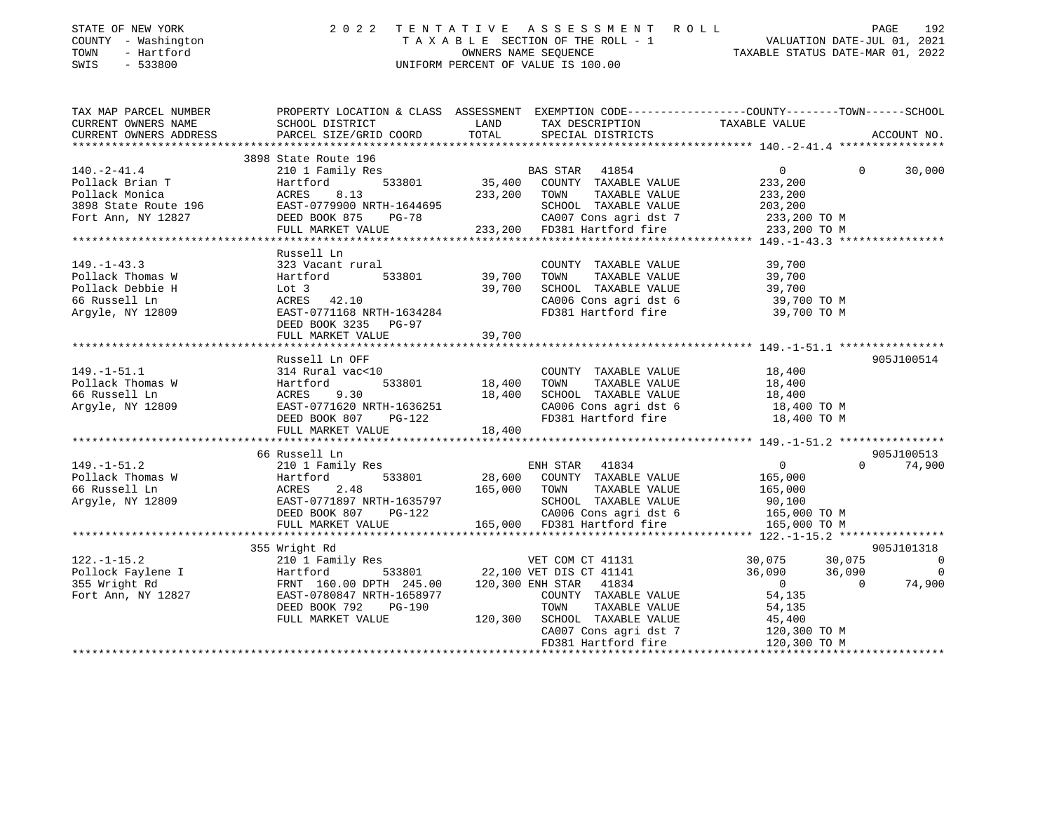| DIAID OF NOW FORK<br>COUNTY - Washington<br>TOWN<br>- Hartford<br>$-533800$<br>SWIS |                                                                                                                                                                                                                                             |        | TAXABLE SECTION OF THE ROLL - 1<br>OWNERS NAME SEQUENCE<br>UNIFORM PERCENT OF VALUE IS 100.00<br>TAXABLE STATUS DATE-MAR 01, 2022                                                                                                     |
|-------------------------------------------------------------------------------------|---------------------------------------------------------------------------------------------------------------------------------------------------------------------------------------------------------------------------------------------|--------|---------------------------------------------------------------------------------------------------------------------------------------------------------------------------------------------------------------------------------------|
|                                                                                     |                                                                                                                                                                                                                                             |        | TAX MAP PARCEL NUMBER THE PROPERTY LOCATION & CLASS ASSESSMENT EXEMPTION CODE--------------COUNTY-------TOWN------SCHOOL                                                                                                              |
|                                                                                     |                                                                                                                                                                                                                                             |        | ACCOUNT NO.                                                                                                                                                                                                                           |
|                                                                                     |                                                                                                                                                                                                                                             |        |                                                                                                                                                                                                                                       |
|                                                                                     | 3898 State Route 196                                                                                                                                                                                                                        |        |                                                                                                                                                                                                                                       |
|                                                                                     | 3898 State Route 196 Sopo State Route 196 State Route 196 State Route 196 Bas STAR 41854 O<br>2011 Family Res BAS STAR 41854 O<br>2011 Family Res 8.13 33801 35,400 COUNTY TAXABLE VALUE 233,200<br>3898 State Route 196 EAST-077990        |        | $\overline{0}$<br>30,000<br>$\overline{0}$                                                                                                                                                                                            |
|                                                                                     |                                                                                                                                                                                                                                             |        |                                                                                                                                                                                                                                       |
|                                                                                     |                                                                                                                                                                                                                                             |        |                                                                                                                                                                                                                                       |
|                                                                                     |                                                                                                                                                                                                                                             |        |                                                                                                                                                                                                                                       |
|                                                                                     |                                                                                                                                                                                                                                             |        |                                                                                                                                                                                                                                       |
|                                                                                     |                                                                                                                                                                                                                                             |        |                                                                                                                                                                                                                                       |
|                                                                                     | Russell Ln                                                                                                                                                                                                                                  |        |                                                                                                                                                                                                                                       |
|                                                                                     |                                                                                                                                                                                                                                             |        |                                                                                                                                                                                                                                       |
|                                                                                     |                                                                                                                                                                                                                                             |        |                                                                                                                                                                                                                                       |
|                                                                                     |                                                                                                                                                                                                                                             |        |                                                                                                                                                                                                                                       |
|                                                                                     |                                                                                                                                                                                                                                             |        |                                                                                                                                                                                                                                       |
|                                                                                     |                                                                                                                                                                                                                                             |        |                                                                                                                                                                                                                                       |
|                                                                                     |                                                                                                                                                                                                                                             |        |                                                                                                                                                                                                                                       |
|                                                                                     | FULL MARKET VALUE                                                                                                                                                                                                                           | 39,700 |                                                                                                                                                                                                                                       |
|                                                                                     | 149.-1-51.1<br>149.-1-51.1<br>2149.-1-51.1<br>2149.-1-51.1<br>2148.400 Follack Thomas W<br>2148.400 FaxaBLE VALUE 18,400<br>2166 Russell Ln<br>216,400 SCHOOL TAXABLE VALUE 18,400<br>218,400 SCHOOL TAXABLE VALUE 18,400<br>218,400 SCHOOL |        |                                                                                                                                                                                                                                       |
|                                                                                     |                                                                                                                                                                                                                                             |        | 905J100514                                                                                                                                                                                                                            |
|                                                                                     |                                                                                                                                                                                                                                             |        |                                                                                                                                                                                                                                       |
|                                                                                     |                                                                                                                                                                                                                                             |        |                                                                                                                                                                                                                                       |
|                                                                                     |                                                                                                                                                                                                                                             |        |                                                                                                                                                                                                                                       |
|                                                                                     |                                                                                                                                                                                                                                             |        |                                                                                                                                                                                                                                       |
|                                                                                     |                                                                                                                                                                                                                                             |        |                                                                                                                                                                                                                                       |
|                                                                                     |                                                                                                                                                                                                                                             |        |                                                                                                                                                                                                                                       |
|                                                                                     | 66 Russell Ln                                                                                                                                                                                                                               |        | 905J100513                                                                                                                                                                                                                            |
|                                                                                     |                                                                                                                                                                                                                                             |        | $0 \t 74,900$                                                                                                                                                                                                                         |
|                                                                                     |                                                                                                                                                                                                                                             |        |                                                                                                                                                                                                                                       |
|                                                                                     |                                                                                                                                                                                                                                             |        |                                                                                                                                                                                                                                       |
|                                                                                     |                                                                                                                                                                                                                                             |        |                                                                                                                                                                                                                                       |
|                                                                                     |                                                                                                                                                                                                                                             |        |                                                                                                                                                                                                                                       |
|                                                                                     | 149.-1-51.2 $\text{101}$ oo Russell Lii<br>210 149.-1-51.2 2 20 200 ROMPH STAR 41834 0<br>28,600 COUNTY TAXABLE VALUE 165,000<br>66 Russell Ln ACRES 2.48 165,000 TOWN TAXABLE VALUE 165,000<br>Argyle, NY 12809 EAST-0771897 NRTH-16357    |        |                                                                                                                                                                                                                                       |
|                                                                                     | 355 Wright Rd                                                                                                                                                                                                                               |        | 905J101318                                                                                                                                                                                                                            |
|                                                                                     |                                                                                                                                                                                                                                             |        |                                                                                                                                                                                                                                       |
|                                                                                     |                                                                                                                                                                                                                                             |        | 122.-1-15.2<br>Pollock Faylene I artford Barright Rd FRNT 160.00 DPTH 245.00 120,300 ENH STAR 41834<br>Fort Ann, NY 12827 EAST PO2064 22,100 VET DIS CT 41141 36,090 36,090 0<br>Fort Ann, NY 12827 EAST PO2064700 PTH 1658977<br>PER |
|                                                                                     |                                                                                                                                                                                                                                             |        |                                                                                                                                                                                                                                       |
|                                                                                     | EAST-0780847 NRTH-1658977 COUNTY TAXABLE VALUE 54,135<br>DEED BOOK 792 PG-190 TOWN TAXABLE VALUE 54,135<br>FULL MARKET VALUE 120,300 SCHOOL TAXABLE VALUE 45,400<br>CA007 Cons agri dst 7 120,300                                           |        |                                                                                                                                                                                                                                       |
|                                                                                     |                                                                                                                                                                                                                                             |        |                                                                                                                                                                                                                                       |
|                                                                                     |                                                                                                                                                                                                                                             |        |                                                                                                                                                                                                                                       |
|                                                                                     |                                                                                                                                                                                                                                             |        | 120,300 TO M                                                                                                                                                                                                                          |

\*\*\*\*\*\*\*\*\*\*\*\*\*\*\*\*\*\*\*\*\*\*\*\*\*\*\*\*\*\*\*\*\*\*\*\*\*\*\*\*\*\*\*\*\*\*\*\*\*\*\*\*\*\*\*\*\*\*\*\*\*\*\*\*\*\*\*\*\*\*\*\*\*\*\*\*\*\*\*\*\*\*\*\*\*\*\*\*\*\*\*\*\*\*\*\*\*\*\*\*\*\*\*\*\*\*\*\*\*\*\*\*\*\*\*\*\*\*\*\*\*\*\*\*\*\*\*\*\*\*\*\*

FD381 Hartford fire 120,300 TO M

STATE OF NEW YORK 2022 TENTATIVE ASSESSMENT ROLL PAGE

192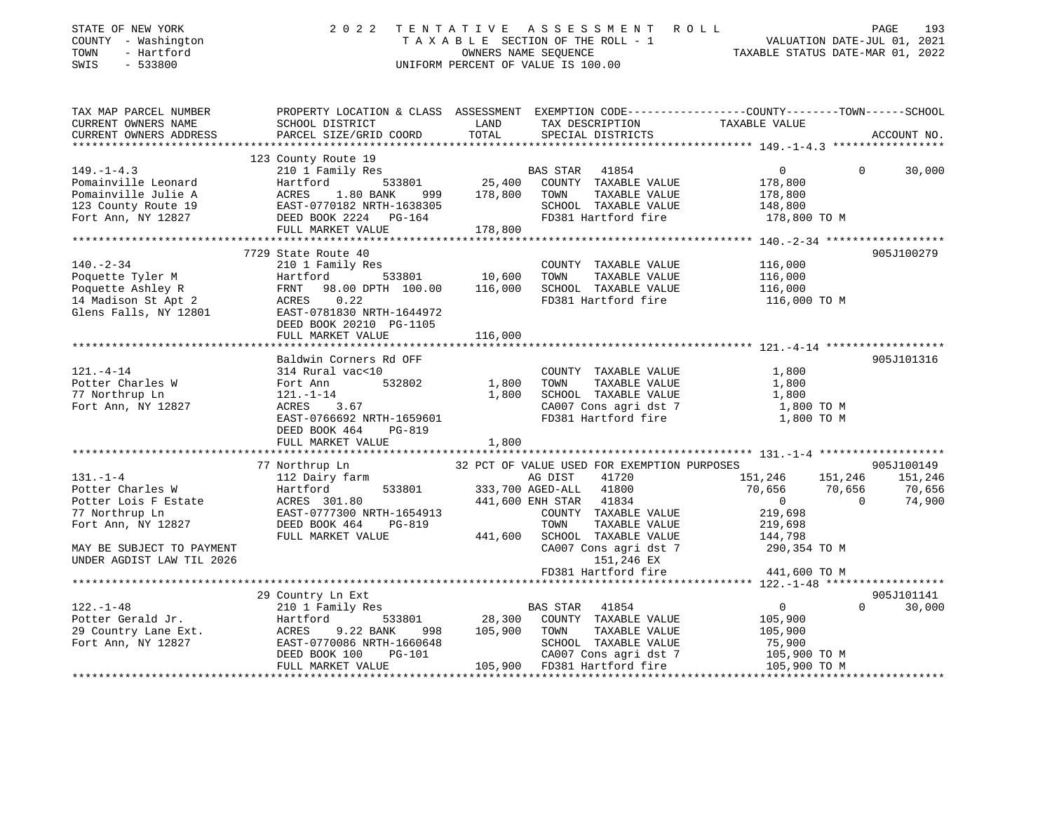| STATE OF NEW YORK<br>COUNTY - Washington<br>TIM - Hartford                                                                                                                                                                                         |                                                                                                                                                                                                                                      |         | 2022 TENTATIVE ASSESSMENT ROLL<br>TAXABLE SECTION OF THE ROLL - 1<br>TAXABLE SECTION OF THE ROLL - 1<br>OWNERS NAME SEQUENCE<br>TAXABLE STATUS DATE-MAR 01, 2022<br>UNIFORM PERCENT OF VALUE IS 100.00 |                                                                | PAGE     | 193         |
|----------------------------------------------------------------------------------------------------------------------------------------------------------------------------------------------------------------------------------------------------|--------------------------------------------------------------------------------------------------------------------------------------------------------------------------------------------------------------------------------------|---------|--------------------------------------------------------------------------------------------------------------------------------------------------------------------------------------------------------|----------------------------------------------------------------|----------|-------------|
| TAX MAP PARCEL NUMBER<br>CURRENT OWNERS NAME                                                                                                                                                                                                       | PROPERTY LOCATION & CLASS ASSESSMENT EXEMPTION CODE----------------COUNTY-------TOWN------SCHOOL<br>SCHOOL DISTRICT                                                                                                                  | LAND    | TAX DESCRIPTION<br>TAXABLE VALUE<br>CRECIAI DISTUTS                                                                                                                                                    |                                                                |          |             |
| CURRENT OWNERS ADDRESS<br>******************                                                                                                                                                                                                       | PARCEL SIZE/GRID COORD                                                                                                                                                                                                               | TOTAL   | SPECIAL DISTRICTS                                                                                                                                                                                      |                                                                |          | ACCOUNT NO. |
|                                                                                                                                                                                                                                                    | 123 County Route 19                                                                                                                                                                                                                  |         |                                                                                                                                                                                                        |                                                                |          |             |
| $149. - 1 - 4.3$                                                                                                                                                                                                                                   | 210 1 Family Res                                                                                                                                                                                                                     |         | <b>BAS STAR 41854</b>                                                                                                                                                                                  | $\overline{0}$                                                 | $\Omega$ | 30,000      |
| Pomainville Leonard                                                                                                                                                                                                                                |                                                                                                                                                                                                                                      |         |                                                                                                                                                                                                        |                                                                |          |             |
| Pomainville Julie A                                                                                                                                                                                                                                |                                                                                                                                                                                                                                      |         |                                                                                                                                                                                                        |                                                                |          |             |
| 123 County Route 19                                                                                                                                                                                                                                |                                                                                                                                                                                                                                      |         |                                                                                                                                                                                                        |                                                                |          |             |
| Fort Ann, NY 12827                                                                                                                                                                                                                                 | 210 1 Family Res 533801 25,400 COUNTY TAXABLE VALUE 178,800<br>ACRES 1.80 BANK 999 178,800 TOWN TAXABLE VALUE 178,800<br>EAST-0770182 NRTH-1638305 SCHOOL TAXABLE VALUE 148,800<br>DEED BOOK 2224 PG-164 FD381 Hartford fire 178,800 |         |                                                                                                                                                                                                        |                                                                |          |             |
|                                                                                                                                                                                                                                                    | FULL MARKET VALUE                                                                                                                                                                                                                    | 178,800 |                                                                                                                                                                                                        |                                                                |          |             |
|                                                                                                                                                                                                                                                    |                                                                                                                                                                                                                                      |         |                                                                                                                                                                                                        |                                                                |          |             |
|                                                                                                                                                                                                                                                    | 7729 State Route 40                                                                                                                                                                                                                  |         |                                                                                                                                                                                                        |                                                                |          | 905J100279  |
| $140. - 2 - 34$                                                                                                                                                                                                                                    | 210 1 Family Res                                                                                                                                                                                                                     |         | COUNTY TAXABLE VALUE                                                                                                                                                                                   | 116,000                                                        |          |             |
|                                                                                                                                                                                                                                                    |                                                                                                                                                                                                                                      |         |                                                                                                                                                                                                        | 116,000                                                        |          |             |
|                                                                                                                                                                                                                                                    |                                                                                                                                                                                                                                      |         |                                                                                                                                                                                                        | 116,000<br>116,000 TO M                                        |          |             |
| Poquette Tyler M<br>Poquette Ashley R<br>Hartford Book 2021 00.00 116,000 TOWN TAXABLE VALUE<br>Poquette Ashley R<br>TAXABLE VALUE<br>TAXABLE VALUE<br>TELE MARIS WALLER<br>TELE TAXABLE VALUE<br>TELE TAXABLE VALUE<br>TELE TAXABLE VALUE<br>TELE | DEED BOOK 20210 PG-1105                                                                                                                                                                                                              |         |                                                                                                                                                                                                        |                                                                |          |             |
|                                                                                                                                                                                                                                                    | FULL MARKET VALUE                                                                                                                                                                                                                    | 116,000 |                                                                                                                                                                                                        |                                                                |          |             |
|                                                                                                                                                                                                                                                    |                                                                                                                                                                                                                                      |         |                                                                                                                                                                                                        |                                                                |          |             |
|                                                                                                                                                                                                                                                    | Baldwin Corners Rd OFF                                                                                                                                                                                                               |         |                                                                                                                                                                                                        |                                                                |          | 905J101316  |
| $121. -4 - 14$                                                                                                                                                                                                                                     | 314 Rural vac<10                                                                                                                                                                                                                     |         | COUNTY TAXABLE VALUE                                                                                                                                                                                   | 1,800                                                          |          |             |
| Potter Charles W                                                                                                                                                                                                                                   |                                                                                                                                                                                                                                      |         | TAXABLE VALUE<br>1,800 TOWN                                                                                                                                                                            | 1,800                                                          |          |             |
| 77 Northrup Ln                                                                                                                                                                                                                                     | Fort Ann 532802<br>121.-1-14<br>ACRES 3.67                                                                                                                                                                                           |         | 1,800 SCHOOL TAXABLE VALUE                                                                                                                                                                             | 1,800                                                          |          |             |
| Fort Ann, NY 12827                                                                                                                                                                                                                                 | EAST-0766692 NRTH-1659601                                                                                                                                                                                                            |         | CA007 Cons agri dst 7<br>FD381 Hartford fire                                                                                                                                                           | 1,800 TO M<br>1,800 TO M                                       |          |             |
|                                                                                                                                                                                                                                                    | DEED BOOK 464 PG-819                                                                                                                                                                                                                 |         |                                                                                                                                                                                                        |                                                                |          |             |
|                                                                                                                                                                                                                                                    | FULL MARKET VALUE                                                                                                                                                                                                                    | 1,800   |                                                                                                                                                                                                        |                                                                |          |             |
|                                                                                                                                                                                                                                                    |                                                                                                                                                                                                                                      |         |                                                                                                                                                                                                        |                                                                |          |             |
|                                                                                                                                                                                                                                                    | 77 Northrup Ln                                                                                                                                                                                                                       |         | 32 PCT OF VALUE USED FOR EXEMPTION PURPOSES                                                                                                                                                            |                                                                |          | 905J100149  |
| $131. - 1 - 4$                                                                                                                                                                                                                                     | 112 Dairy farm                                                                                                                                                                                                                       |         | AG DIST 41720 151,246 151,246 151,246                                                                                                                                                                  |                                                                |          |             |
|                                                                                                                                                                                                                                                    |                                                                                                                                                                                                                                      |         |                                                                                                                                                                                                        | 70,656 70,656                                                  |          | 70,656      |
|                                                                                                                                                                                                                                                    |                                                                                                                                                                                                                                      |         |                                                                                                                                                                                                        | $0 \qquad \qquad 0 \qquad \qquad 0 \qquad \qquad 0$<br>219,698 |          | 74,900      |
| 77 Northrup Ln                                                                                                                                                                                                                                     |                                                                                                                                                                                                                                      |         |                                                                                                                                                                                                        |                                                                |          |             |
| Fort Ann, NY 12827                                                                                                                                                                                                                                 | DEED BOOK 464 PG-819                                                                                                                                                                                                                 |         | TOWN<br>TAXABLE VALUE                                                                                                                                                                                  | 219,698                                                        |          |             |
|                                                                                                                                                                                                                                                    | FULL MARKET VALUE                                                                                                                                                                                                                    |         | 441,600 SCHOOL TAXABLE VALUE 144,798                                                                                                                                                                   |                                                                |          |             |
| MAY BE SUBJECT TO PAYMENT<br>UNDER AGDIST LAW TIL 2026                                                                                                                                                                                             |                                                                                                                                                                                                                                      |         | CA007 Cons agri dst 7<br>151,246 EX                                                                                                                                                                    | 290,354 TO M                                                   |          |             |
|                                                                                                                                                                                                                                                    |                                                                                                                                                                                                                                      |         | FD381 Hartford fire 441,600 TO M                                                                                                                                                                       |                                                                |          |             |
|                                                                                                                                                                                                                                                    |                                                                                                                                                                                                                                      |         |                                                                                                                                                                                                        |                                                                |          |             |
|                                                                                                                                                                                                                                                    | 29 Country Ln Ext                                                                                                                                                                                                                    |         |                                                                                                                                                                                                        |                                                                |          | 905J101141  |
|                                                                                                                                                                                                                                                    |                                                                                                                                                                                                                                      |         |                                                                                                                                                                                                        | $\begin{array}{c} 0 \\ 105,900 \end{array}$<br>$\overline{0}$  | $\Omega$ | 30,000      |
|                                                                                                                                                                                                                                                    |                                                                                                                                                                                                                                      |         |                                                                                                                                                                                                        |                                                                |          |             |
|                                                                                                                                                                                                                                                    |                                                                                                                                                                                                                                      |         |                                                                                                                                                                                                        | 105,900                                                        |          |             |
| 23.1-48<br>210 1 Family Res<br>29 Country Lane Ext.<br>29 Country Lane Ext.<br>29 Country Lane Ext.<br>29 Country Lane Ext.<br>29 Country Lane Ext.<br>29 Country Lane Ext.<br>29 Country Lane Ext.<br>29 Country Lane Ext.<br>29 Country Lane Ext |                                                                                                                                                                                                                                      |         | SCHOOL TAXABLE VALUE<br>CA007 Cons agri dst 7                                                                                                                                                          | 75,900                                                         |          |             |
|                                                                                                                                                                                                                                                    | DEED BOOK 100<br>PG-101                                                                                                                                                                                                              |         |                                                                                                                                                                                                        | טטפ, 15,900<br>105,900 TO M<br>105,900 TO M                    |          |             |
|                                                                                                                                                                                                                                                    | FULL MARKET VALUE                                                                                                                                                                                                                    |         | 105,900 FD381 Hartford fire                                                                                                                                                                            |                                                                |          |             |
|                                                                                                                                                                                                                                                    |                                                                                                                                                                                                                                      |         |                                                                                                                                                                                                        |                                                                |          |             |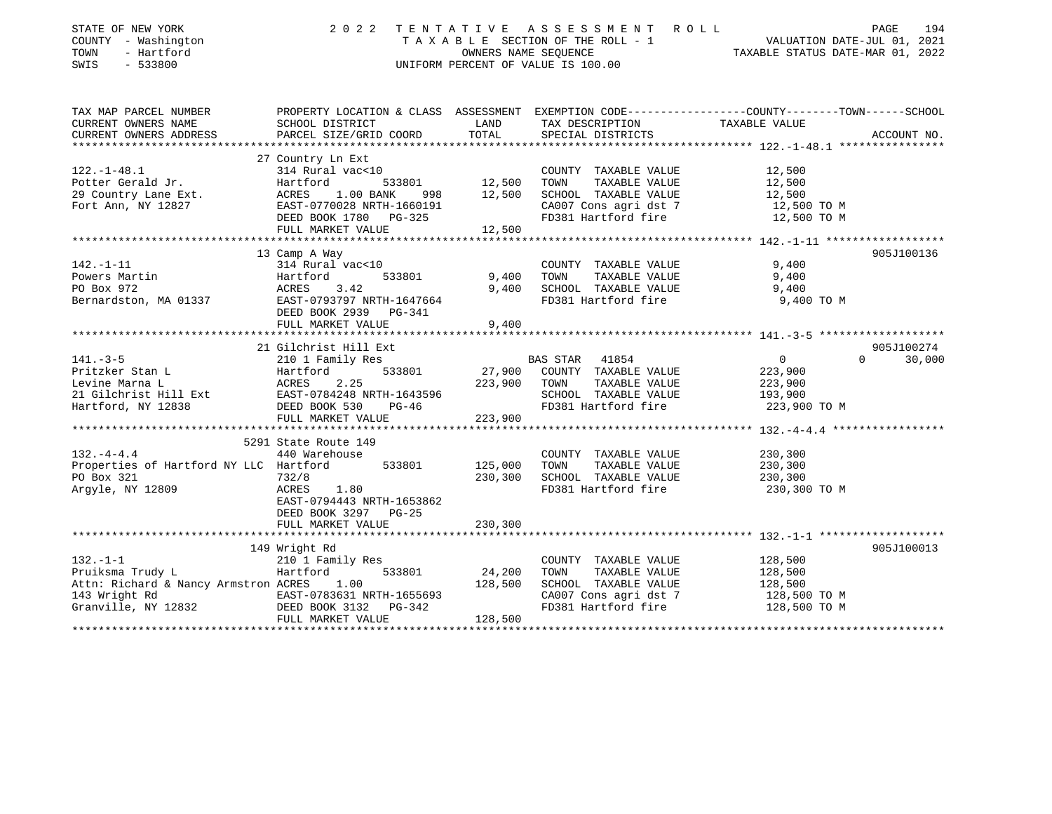|                           |                                                                                                                                                                                                                                                                                                                                                                                                                                                                                                                                                                                                                                                                                                                 | T A X A B L E SECTION OF THE ROLL - 1                                         | TAXABLE STATUS DATE-MAR 01, 2022                                                                                                                                                                                                                                                                                                                                                                                                                                                                                                                     | VALUATION DATE-JUL 01, 2021                                                                                                                                                                                                                                                                                                       |
|---------------------------|-----------------------------------------------------------------------------------------------------------------------------------------------------------------------------------------------------------------------------------------------------------------------------------------------------------------------------------------------------------------------------------------------------------------------------------------------------------------------------------------------------------------------------------------------------------------------------------------------------------------------------------------------------------------------------------------------------------------|-------------------------------------------------------------------------------|------------------------------------------------------------------------------------------------------------------------------------------------------------------------------------------------------------------------------------------------------------------------------------------------------------------------------------------------------------------------------------------------------------------------------------------------------------------------------------------------------------------------------------------------------|-----------------------------------------------------------------------------------------------------------------------------------------------------------------------------------------------------------------------------------------------------------------------------------------------------------------------------------|
|                           |                                                                                                                                                                                                                                                                                                                                                                                                                                                                                                                                                                                                                                                                                                                 |                                                                               |                                                                                                                                                                                                                                                                                                                                                                                                                                                                                                                                                      |                                                                                                                                                                                                                                                                                                                                   |
| SCHOOL DISTRICT           | LAND                                                                                                                                                                                                                                                                                                                                                                                                                                                                                                                                                                                                                                                                                                            | TAX DESCRIPTION                                                               | TAXABLE VALUE                                                                                                                                                                                                                                                                                                                                                                                                                                                                                                                                        |                                                                                                                                                                                                                                                                                                                                   |
| PARCEL SIZE/GRID COORD    | TOTAL                                                                                                                                                                                                                                                                                                                                                                                                                                                                                                                                                                                                                                                                                                           | SPECIAL DISTRICTS                                                             |                                                                                                                                                                                                                                                                                                                                                                                                                                                                                                                                                      | ACCOUNT NO.                                                                                                                                                                                                                                                                                                                       |
|                           |                                                                                                                                                                                                                                                                                                                                                                                                                                                                                                                                                                                                                                                                                                                 |                                                                               |                                                                                                                                                                                                                                                                                                                                                                                                                                                                                                                                                      |                                                                                                                                                                                                                                                                                                                                   |
|                           |                                                                                                                                                                                                                                                                                                                                                                                                                                                                                                                                                                                                                                                                                                                 |                                                                               |                                                                                                                                                                                                                                                                                                                                                                                                                                                                                                                                                      |                                                                                                                                                                                                                                                                                                                                   |
|                           |                                                                                                                                                                                                                                                                                                                                                                                                                                                                                                                                                                                                                                                                                                                 |                                                                               |                                                                                                                                                                                                                                                                                                                                                                                                                                                                                                                                                      |                                                                                                                                                                                                                                                                                                                                   |
|                           |                                                                                                                                                                                                                                                                                                                                                                                                                                                                                                                                                                                                                                                                                                                 |                                                                               |                                                                                                                                                                                                                                                                                                                                                                                                                                                                                                                                                      |                                                                                                                                                                                                                                                                                                                                   |
|                           |                                                                                                                                                                                                                                                                                                                                                                                                                                                                                                                                                                                                                                                                                                                 |                                                                               |                                                                                                                                                                                                                                                                                                                                                                                                                                                                                                                                                      |                                                                                                                                                                                                                                                                                                                                   |
| DEED BOOK 1780 PG-325     |                                                                                                                                                                                                                                                                                                                                                                                                                                                                                                                                                                                                                                                                                                                 | FD381 Hartford fire                                                           | 12,500 TO M                                                                                                                                                                                                                                                                                                                                                                                                                                                                                                                                          |                                                                                                                                                                                                                                                                                                                                   |
| FULL MARKET VALUE         | 12,500                                                                                                                                                                                                                                                                                                                                                                                                                                                                                                                                                                                                                                                                                                          |                                                                               |                                                                                                                                                                                                                                                                                                                                                                                                                                                                                                                                                      |                                                                                                                                                                                                                                                                                                                                   |
|                           |                                                                                                                                                                                                                                                                                                                                                                                                                                                                                                                                                                                                                                                                                                                 |                                                                               |                                                                                                                                                                                                                                                                                                                                                                                                                                                                                                                                                      |                                                                                                                                                                                                                                                                                                                                   |
|                           |                                                                                                                                                                                                                                                                                                                                                                                                                                                                                                                                                                                                                                                                                                                 |                                                                               |                                                                                                                                                                                                                                                                                                                                                                                                                                                                                                                                                      | 905J100136                                                                                                                                                                                                                                                                                                                        |
|                           |                                                                                                                                                                                                                                                                                                                                                                                                                                                                                                                                                                                                                                                                                                                 |                                                                               |                                                                                                                                                                                                                                                                                                                                                                                                                                                                                                                                                      |                                                                                                                                                                                                                                                                                                                                   |
|                           |                                                                                                                                                                                                                                                                                                                                                                                                                                                                                                                                                                                                                                                                                                                 |                                                                               |                                                                                                                                                                                                                                                                                                                                                                                                                                                                                                                                                      |                                                                                                                                                                                                                                                                                                                                   |
|                           |                                                                                                                                                                                                                                                                                                                                                                                                                                                                                                                                                                                                                                                                                                                 |                                                                               |                                                                                                                                                                                                                                                                                                                                                                                                                                                                                                                                                      |                                                                                                                                                                                                                                                                                                                                   |
|                           |                                                                                                                                                                                                                                                                                                                                                                                                                                                                                                                                                                                                                                                                                                                 |                                                                               |                                                                                                                                                                                                                                                                                                                                                                                                                                                                                                                                                      |                                                                                                                                                                                                                                                                                                                                   |
|                           |                                                                                                                                                                                                                                                                                                                                                                                                                                                                                                                                                                                                                                                                                                                 |                                                                               |                                                                                                                                                                                                                                                                                                                                                                                                                                                                                                                                                      |                                                                                                                                                                                                                                                                                                                                   |
|                           |                                                                                                                                                                                                                                                                                                                                                                                                                                                                                                                                                                                                                                                                                                                 |                                                                               |                                                                                                                                                                                                                                                                                                                                                                                                                                                                                                                                                      |                                                                                                                                                                                                                                                                                                                                   |
|                           |                                                                                                                                                                                                                                                                                                                                                                                                                                                                                                                                                                                                                                                                                                                 |                                                                               |                                                                                                                                                                                                                                                                                                                                                                                                                                                                                                                                                      | 905J100274                                                                                                                                                                                                                                                                                                                        |
| 210 1 Family Res          |                                                                                                                                                                                                                                                                                                                                                                                                                                                                                                                                                                                                                                                                                                                 | 41854                                                                         | $\overline{0}$<br>$\Omega$                                                                                                                                                                                                                                                                                                                                                                                                                                                                                                                           | 30,000                                                                                                                                                                                                                                                                                                                            |
| Hartford<br>533801        | 27,900                                                                                                                                                                                                                                                                                                                                                                                                                                                                                                                                                                                                                                                                                                          | COUNTY TAXABLE VALUE                                                          | 223,900                                                                                                                                                                                                                                                                                                                                                                                                                                                                                                                                              |                                                                                                                                                                                                                                                                                                                                   |
| ACRES<br>2.25             | 223,900                                                                                                                                                                                                                                                                                                                                                                                                                                                                                                                                                                                                                                                                                                         | TOWN<br>TAXABLE VALUE                                                         | 223,900                                                                                                                                                                                                                                                                                                                                                                                                                                                                                                                                              |                                                                                                                                                                                                                                                                                                                                   |
|                           |                                                                                                                                                                                                                                                                                                                                                                                                                                                                                                                                                                                                                                                                                                                 |                                                                               |                                                                                                                                                                                                                                                                                                                                                                                                                                                                                                                                                      |                                                                                                                                                                                                                                                                                                                                   |
|                           |                                                                                                                                                                                                                                                                                                                                                                                                                                                                                                                                                                                                                                                                                                                 |                                                                               |                                                                                                                                                                                                                                                                                                                                                                                                                                                                                                                                                      |                                                                                                                                                                                                                                                                                                                                   |
|                           |                                                                                                                                                                                                                                                                                                                                                                                                                                                                                                                                                                                                                                                                                                                 |                                                                               |                                                                                                                                                                                                                                                                                                                                                                                                                                                                                                                                                      |                                                                                                                                                                                                                                                                                                                                   |
|                           |                                                                                                                                                                                                                                                                                                                                                                                                                                                                                                                                                                                                                                                                                                                 |                                                                               |                                                                                                                                                                                                                                                                                                                                                                                                                                                                                                                                                      |                                                                                                                                                                                                                                                                                                                                   |
|                           |                                                                                                                                                                                                                                                                                                                                                                                                                                                                                                                                                                                                                                                                                                                 |                                                                               |                                                                                                                                                                                                                                                                                                                                                                                                                                                                                                                                                      |                                                                                                                                                                                                                                                                                                                                   |
|                           |                                                                                                                                                                                                                                                                                                                                                                                                                                                                                                                                                                                                                                                                                                                 |                                                                               |                                                                                                                                                                                                                                                                                                                                                                                                                                                                                                                                                      |                                                                                                                                                                                                                                                                                                                                   |
| 732/8                     |                                                                                                                                                                                                                                                                                                                                                                                                                                                                                                                                                                                                                                                                                                                 |                                                                               |                                                                                                                                                                                                                                                                                                                                                                                                                                                                                                                                                      |                                                                                                                                                                                                                                                                                                                                   |
| ACRES<br>1.80             |                                                                                                                                                                                                                                                                                                                                                                                                                                                                                                                                                                                                                                                                                                                 | FD381 Hartford fire                                                           |                                                                                                                                                                                                                                                                                                                                                                                                                                                                                                                                                      |                                                                                                                                                                                                                                                                                                                                   |
| EAST-0794443 NRTH-1653862 |                                                                                                                                                                                                                                                                                                                                                                                                                                                                                                                                                                                                                                                                                                                 |                                                                               |                                                                                                                                                                                                                                                                                                                                                                                                                                                                                                                                                      |                                                                                                                                                                                                                                                                                                                                   |
| DEED BOOK 3297<br>$PG-25$ |                                                                                                                                                                                                                                                                                                                                                                                                                                                                                                                                                                                                                                                                                                                 |                                                                               |                                                                                                                                                                                                                                                                                                                                                                                                                                                                                                                                                      |                                                                                                                                                                                                                                                                                                                                   |
| FULL MARKET VALUE         | 230,300                                                                                                                                                                                                                                                                                                                                                                                                                                                                                                                                                                                                                                                                                                         |                                                                               |                                                                                                                                                                                                                                                                                                                                                                                                                                                                                                                                                      |                                                                                                                                                                                                                                                                                                                                   |
|                           |                                                                                                                                                                                                                                                                                                                                                                                                                                                                                                                                                                                                                                                                                                                 |                                                                               |                                                                                                                                                                                                                                                                                                                                                                                                                                                                                                                                                      |                                                                                                                                                                                                                                                                                                                                   |
|                           |                                                                                                                                                                                                                                                                                                                                                                                                                                                                                                                                                                                                                                                                                                                 |                                                                               |                                                                                                                                                                                                                                                                                                                                                                                                                                                                                                                                                      | 905J100013                                                                                                                                                                                                                                                                                                                        |
|                           |                                                                                                                                                                                                                                                                                                                                                                                                                                                                                                                                                                                                                                                                                                                 |                                                                               |                                                                                                                                                                                                                                                                                                                                                                                                                                                                                                                                                      |                                                                                                                                                                                                                                                                                                                                   |
|                           |                                                                                                                                                                                                                                                                                                                                                                                                                                                                                                                                                                                                                                                                                                                 |                                                                               |                                                                                                                                                                                                                                                                                                                                                                                                                                                                                                                                                      |                                                                                                                                                                                                                                                                                                                                   |
|                           |                                                                                                                                                                                                                                                                                                                                                                                                                                                                                                                                                                                                                                                                                                                 |                                                                               |                                                                                                                                                                                                                                                                                                                                                                                                                                                                                                                                                      |                                                                                                                                                                                                                                                                                                                                   |
|                           |                                                                                                                                                                                                                                                                                                                                                                                                                                                                                                                                                                                                                                                                                                                 |                                                                               |                                                                                                                                                                                                                                                                                                                                                                                                                                                                                                                                                      |                                                                                                                                                                                                                                                                                                                                   |
|                           |                                                                                                                                                                                                                                                                                                                                                                                                                                                                                                                                                                                                                                                                                                                 |                                                                               |                                                                                                                                                                                                                                                                                                                                                                                                                                                                                                                                                      |                                                                                                                                                                                                                                                                                                                                   |
|                           | 27 Country Ln Ext<br>314 Rural vac<10<br>Hartford<br>533801<br>1.00 BANK<br>ACRES<br>998<br>EAST-0770028 NRTH-1660191<br>***********************<br>13 Camp A Way<br>314 Rural vac<10<br>Hartford<br>533801<br>ACRES<br>3.42<br>EAST-0793797 NRTH-1647664<br>DEED BOOK 2939<br>PG-341<br>FULL MARKET VALUE<br>21 Gilchrist Hill Ext<br>EAST-0784248 NRTH-1643596<br>DEED BOOK 530<br>PG-46<br>FULL MARKET VALUE<br>***************************<br>5291 State Route 149<br>440 Warehouse<br>Properties of Hartford NY LLC Hartford<br>533801<br>149 Wright Rd<br>210 1 Family Res<br>533801<br>Hartford<br>Attn: Richard & Nancy Armstron ACRES<br>1.00<br>EAST-0783631 NRTH-1655693<br>DEED BOOK 3132<br>PG-342 | 12,500<br>12,500<br>9,400<br>9,400<br>223,900<br>230,300<br>24,200<br>128,500 | OWNERS NAME SEQUENCE<br>UNIFORM PERCENT OF VALUE IS 100.00<br>COUNTY TAXABLE VALUE<br>TOWN<br>TAXABLE VALUE<br>SCHOOL TAXABLE VALUE<br>CA007 Cons agri dst 7<br>COUNTY TAXABLE VALUE<br>TAXABLE VALUE<br>TOWN<br>SCHOOL TAXABLE VALUE<br>9,400<br>FD381 Hartford fire<br><b>BAS STAR</b><br>SCHOOL TAXABLE VALUE<br>FD381 Hartford fire<br>COUNTY TAXABLE VALUE<br>125,000<br>TOWN<br>TAXABLE VALUE<br>SCHOOL TAXABLE VALUE<br>COUNTY TAXABLE VALUE<br>TOWN<br>TAXABLE VALUE<br>SCHOOL TAXABLE VALUE<br>CA007 Cons agri dst 7<br>FD381 Hartford fire | PROPERTY LOCATION & CLASS ASSESSMENT EXEMPTION CODE---------------COUNTY-------TOWN-----SCHOOL<br>12,500<br>12,500<br>12,500<br>12,500 TO M<br>9,400<br>9,400<br>9,400<br>9,400 TO M<br>193,900<br>223,900 TO M<br>230,300<br>230,300<br>230,300<br>230,300 TO M<br>128,500<br>128,500<br>128,500<br>128,500 TO M<br>128,500 TO M |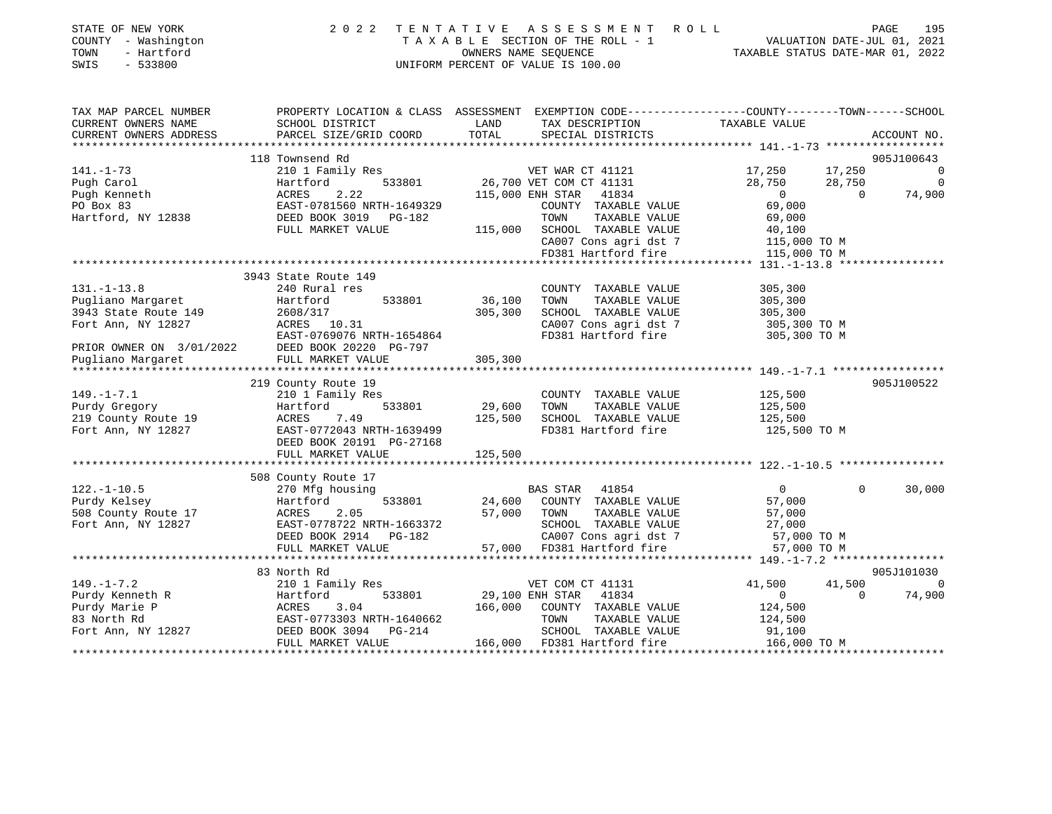| STATE OF NEW YORK<br>COUNTY - Washington<br>- Hartford<br>TOWN<br>SWIS<br>$-533800$ | 2022 TENTATIVE ASSESSMENT<br>TAXABLE SECTION OF THE ROLL - 1<br>UNIFORM PERCENT OF VALUE IS 100.00                | R O L L<br>VALUATION DATE-JUL 01, 2021<br>TAXABLE STATUS DATE-MAR 01, 2022 |                                               | 195<br>PAGE      |           |                |
|-------------------------------------------------------------------------------------|-------------------------------------------------------------------------------------------------------------------|----------------------------------------------------------------------------|-----------------------------------------------|------------------|-----------|----------------|
| TAX MAP PARCEL NUMBER<br>CURRENT OWNERS NAME                                        | PROPERTY LOCATION & CLASS ASSESSMENT EXEMPTION CODE---------------COUNTY-------TOWN-----SCHOOL<br>SCHOOL DISTRICT | LAND                                                                       | TAX DESCRIPTION TAXABLE VALUE                 |                  |           |                |
| CURRENT OWNERS ADDRESS                                                              | PARCEL SIZE/GRID COORD                                                                                            |                                                                            | TOTAL SPECIAL DISTRICTS                       |                  |           | ACCOUNT NO.    |
|                                                                                     |                                                                                                                   |                                                                            |                                               |                  |           |                |
|                                                                                     | 118 Townsend Rd                                                                                                   |                                                                            |                                               |                  |           | 905J100643     |
| $141. - 1 - 73$                                                                     | 210 1 Family Res                                                                                                  |                                                                            | VET WAR CT 41121                              | 17,250 17,250    |           | $\overline{0}$ |
| Pugh Carol                                                                          | 533801<br>Hartford                                                                                                |                                                                            | 26,700 VET COM CT 41131                       | 28,750           | 28,750    | $\overline{0}$ |
| Pugh Kenneth                                                                        | 2.22<br>ACRES                                                                                                     |                                                                            | 115,000 ENH STAR 41834                        | $\overline{0}$   | $\bigcap$ | 74,900         |
| PO Box 83                                                                           | EAST-0781560 NRTH-1649329                                                                                         |                                                                            | COUNTY TAXABLE VALUE<br>TOWN                  | 69,000           |           |                |
| Hartford, NY 12838                                                                  | DEED BOOK 3019 PG-182<br>FULL MARKET VALUE                                                                        |                                                                            | TAXABLE VALUE<br>115,000 SCHOOL TAXABLE VALUE | 69,000<br>40,100 |           |                |
|                                                                                     |                                                                                                                   |                                                                            | CA007 Cons agri dst 7                         | 115,000 TO M     |           |                |
|                                                                                     |                                                                                                                   |                                                                            | FD381 Hartford fire                           | 115,000 TO M     |           |                |
|                                                                                     |                                                                                                                   |                                                                            |                                               |                  |           |                |
|                                                                                     | 3943 State Route 149                                                                                              |                                                                            |                                               |                  |           |                |
| $131. - 1 - 13.8$                                                                   | 240 Rural res                                                                                                     |                                                                            | COUNTY TAXABLE VALUE                          | 305,300          |           |                |
| Pugliano Margaret                                                                   | 533801<br>Hartford                                                                                                | 36,100                                                                     | TOWN<br>TAXABLE VALUE                         | 305,300          |           |                |
| 3943 State Route 149                                                                | 2608/317                                                                                                          | 305,300                                                                    | SCHOOL TAXABLE VALUE                          | 305,300          |           |                |
| Fort Ann, NY 12827                                                                  | ACRES 10.31                                                                                                       |                                                                            | CA007 Cons agri dst 7                         | 305,300 TO M     |           |                |
|                                                                                     | EAST-0769076 NRTH-1654864                                                                                         |                                                                            | FD381 Hartford fire                           | 305,300 TO M     |           |                |
| PRIOR OWNER ON 3/01/2022                                                            | DEED BOOK 20220 PG-797                                                                                            |                                                                            |                                               |                  |           |                |
| Pugliano Margaret                                                                   | FULL MARKET VALUE                                                                                                 | 305,300                                                                    |                                               |                  |           |                |
|                                                                                     |                                                                                                                   |                                                                            |                                               |                  |           |                |
|                                                                                     | 219 County Route 19                                                                                               |                                                                            |                                               |                  |           | 905J100522     |
| $149. - 1 - 7.1$                                                                    | 210 1 Family Res                                                                                                  |                                                                            | COUNTY TAXABLE VALUE                          | 125,500          |           |                |
| Purdy Gregory                                                                       | Hartford                                                                                                          | 533801 29,600                                                              | TOWN<br>TAXABLE VALUE                         | 125,500          |           |                |
| 219 County Route 19                                                                 | 7.49<br>ACRES                                                                                                     | 125,500                                                                    | SCHOOL TAXABLE VALUE                          | 125,500          |           |                |
| Fort Ann, NY 12827                                                                  | EAST-0772043 NRTH-1639499                                                                                         |                                                                            | FD381 Hartford fire                           | 125,500 TO M     |           |                |
|                                                                                     | DEED BOOK 20191 PG-27168                                                                                          |                                                                            |                                               |                  |           |                |
|                                                                                     | FULL MARKET VALUE                                                                                                 | 125,500                                                                    |                                               |                  |           |                |
|                                                                                     |                                                                                                                   |                                                                            |                                               |                  |           |                |
| $122 - 1 - 10$                                                                      | 508 County Route 17<br>$270$ Mfa houging                                                                          |                                                                            | 11951 CTND 11954                              |                  |           |                |
|                                                                                     |                                                                                                                   |                                                                            |                                               |                  |           |                |

| $122. - 1 - 10.5$   | 270 Mfg housing           | 41854<br><b>BAS STAR</b>           | 30,000                         |
|---------------------|---------------------------|------------------------------------|--------------------------------|
| Purdy Kelsey        | Hartford<br>533801        | 24,600<br>COUNTY<br>TAXABLE VALUE  | 57,000                         |
| 508 County Route 17 | 2.05<br>ACRES             | 57,000<br>TAXABLE VALUE<br>TOWN    | 57,000                         |
| Fort Ann, NY 12827  | EAST-0778722 NRTH-1663372 | SCHOOL<br>TAXABLE VALUE            | 27,000                         |
|                     | DEED BOOK 2914 PG-182     | CA007 Cons agri dst 7              | 57,000 TO M                    |
|                     | FULL MARKET VALUE         | 57,000<br>FD381 Hartford fire      | 57,000 TO M                    |
|                     |                           |                                    |                                |
|                     | 83 North Rd               |                                    | 905J101030                     |
| $149. - 1 - 7.2$    | 210 1 Family Res          | VET COM CT 41131                   | 41,500<br>41,500<br>$\bigcirc$ |
| Purdy Kenneth R     | 533801<br>Hartford        | 29,100 ENH STAR 41834              | 74,900                         |
| Purdy Marie P       | 3.04<br>ACRES             | 166,000<br>COUNTY<br>TAXABLE VALUE | 124,500                        |
| 83 North Rd         | EAST-0773303 NRTH-1640662 | TOWN<br>TAXABLE VALUE              | 124,500                        |
| Fort Ann, NY 12827  | DEED BOOK 3094<br>PG-214  | SCHOOL<br>TAXABLE VALUE            | 91,100                         |
|                     | FULL MARKET VALUE         | 166,000<br>FD381 Hartford fire     | 166,000 TO M                   |
|                     |                           |                                    |                                |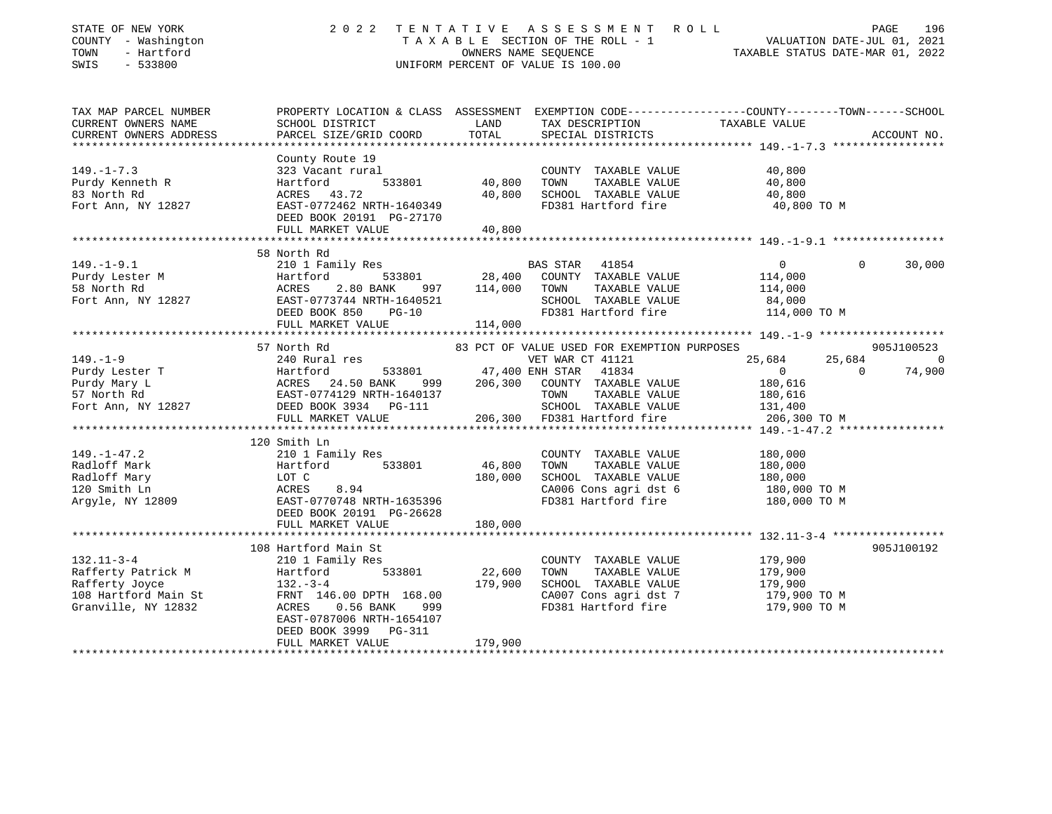| STATE OF NEW YORK<br>COUNTY - Washington<br>TOWN<br>- Hartford<br>$-533800$<br>SWIS                                                                                                                        | 2022                                                                                                                                                             | OWNERS NAME SEQUENCE                | TENTATIVE ASSESSMENT ROLL<br>T A X A B L E SECTION OF THE ROLL - 1 VALUATION DATE-JUL 01, 2021<br>OWNERS NAME SEQUENCE TAXABLE STATUS DATE-MAR 01, 2022<br>UNIFORM PERCENT OF VALUE IS 100.00 | TAXABLE STATUS DATE-MAR 01, 2022                                          | PAGE                     | 196                                    |
|------------------------------------------------------------------------------------------------------------------------------------------------------------------------------------------------------------|------------------------------------------------------------------------------------------------------------------------------------------------------------------|-------------------------------------|-----------------------------------------------------------------------------------------------------------------------------------------------------------------------------------------------|---------------------------------------------------------------------------|--------------------------|----------------------------------------|
| TAX MAP PARCEL NUMBER<br>CURRENT OWNERS NAME<br>CURRENT OWNERS ADDRESS<br>********************                                                                                                             | PROPERTY LOCATION & CLASS ASSESSMENT EXEMPTION CODE---------------COUNTY-------TOWN------SCHOOL<br>SCHOOL DISTRICT<br>PARCEL SIZE/GRID COORD                     | LAND<br>TOTAL                       | TAX DESCRIPTION<br>SPECIAL DISTRICTS                                                                                                                                                          | TAXABLE VALUE                                                             |                          | ACCOUNT NO.                            |
| $149. - 1 - 7.3$<br>Purdy Kenneth R<br>83 North Rd<br>Fort Ann, NY 12827                                                                                                                                   | County Route 19<br>323 Vacant rural<br>533801<br>Hartford<br>ACRES 43.72<br>EAST-0772462 NRTH-1640349<br>DEED BOOK 20191 PG-27170<br>FULL MARKET VALUE           | 40,800<br>40,800<br>40,800          | COUNTY TAXABLE VALUE<br>TOWN<br>TAXABLE VALUE<br>SCHOOL TAXABLE VALUE<br>FD381 Hartford fire                                                                                                  | 40,800<br>40,800<br>40,800<br>40,800 TO M                                 |                          |                                        |
|                                                                                                                                                                                                            |                                                                                                                                                                  |                                     |                                                                                                                                                                                               |                                                                           |                          |                                        |
| $149. - 1 - 9.1$<br>Purdy Lester M<br>Purdy Lester M<br>Fort Ann, NY 12827                                                                                                                                 | 58 North Rd<br>210 1 Family Res<br>Hartford<br>ACRES<br>2.80 BANK<br>EAST-0773744 NRTH-1640521<br>DEED BOOK 850<br>$PG-10$<br>FULL MARKET VALUE                  | 28,400<br>114,000<br>114,000        | BAS STAR 41854<br>COUNTY TAXABLE VALUE<br>TOWN<br>TAXABLE VALUE<br>SCHOOL TAXABLE VALUE<br>FD381 Hartford fire                                                                                | $\overline{0}$<br>114,000<br>114,000<br>84,000<br>114,000 TO M            | $\mathbf{0}$             | 30,000                                 |
|                                                                                                                                                                                                            |                                                                                                                                                                  |                                     |                                                                                                                                                                                               |                                                                           |                          |                                        |
| $149. - 1 - 9$<br>Purdy Lester T<br>Purdy Mary L<br>Burdy Mary L<br>S7 North Rd<br>Fort Ann, NY 12827<br>Purdy Mary L<br>EAST-0774129 NRTH-1640137<br>DEED BOOK 3934<br>PG-111<br>PURD BOOK 3934<br>PG-111 | 57 North Rd<br>240 Rural res<br>533801<br>999<br>FULL MARKET VALUE                                                                                               | 47,400 ENH STAR<br>206,300          | 83 PCT OF VALUE USED FOR EXEMPTION PURPOSES<br>VET WAR CT 41121<br>41834<br>COUNTY TAXABLE VALUE<br>TOWN<br>TAXABLE VALUE<br>SCHOOL TAXABLE VALUE<br>206,300 FD381 Hartford fire              | 25,684<br>$\overline{0}$<br>180,616<br>180,616<br>131,400<br>206,300 TO M | 25,684<br>$\overline{0}$ | 905J100523<br>$\overline{0}$<br>74,900 |
|                                                                                                                                                                                                            |                                                                                                                                                                  |                                     |                                                                                                                                                                                               |                                                                           |                          |                                        |
| $149. - 1 - 47.2$<br>Radloff Mark<br>Radloff Mary<br>120 Smith Ln<br>Argyle, NY 12809                                                                                                                      | 120 Smith Ln<br>210 1 Family Res<br>533801<br>Hartford<br>LOT C<br>ACRES<br>8.94<br>EAST-0770748 NRTH-1635396<br>DEED BOOK 20191 PG-26628                        | 46,800<br>180,000                   | COUNTY TAXABLE VALUE<br>TOWN<br>TAXABLE VALUE<br>SCHOOL TAXABLE VALUE<br>CA006 Cons agri dst 6<br>FD381 Hartford fire                                                                         | 180,000<br>180,000<br>180,000<br>180,000 TO M<br>180,000 TO M             |                          |                                        |
|                                                                                                                                                                                                            | FULL MARKET VALUE                                                                                                                                                | 180,000                             |                                                                                                                                                                                               |                                                                           |                          |                                        |
| $132.11 - 3 - 4$<br>Rafferty Patrick M<br>Rafferty Joyce<br>108 Hartford Main St<br>Granville, NY 12832                                                                                                    | *********************<br>108 Hartford Main St<br>210 1 Family Res<br>533801<br>Hartford<br>$132 - 3 - 4$<br>FRNT 146.00 DPTH 168.00<br>ACRES<br>0.56 BANK<br>999 | **************<br>22,600<br>179,900 | COUNTY TAXABLE VALUE<br>TOWN<br>TAXABLE VALUE<br>SCHOOL TAXABLE VALUE<br>CA007 Cons agri dst 7<br>FD381 Hartford fire                                                                         | 179,900<br>179,900<br>179,900<br>179,900 TO M<br>179,900 TO M             |                          | 905J100192                             |
|                                                                                                                                                                                                            | EAST-0787006 NRTH-1654107<br>DEED BOOK 3999 PG-311<br>FULL MARKET VALUE                                                                                          | 179,900                             |                                                                                                                                                                                               |                                                                           |                          |                                        |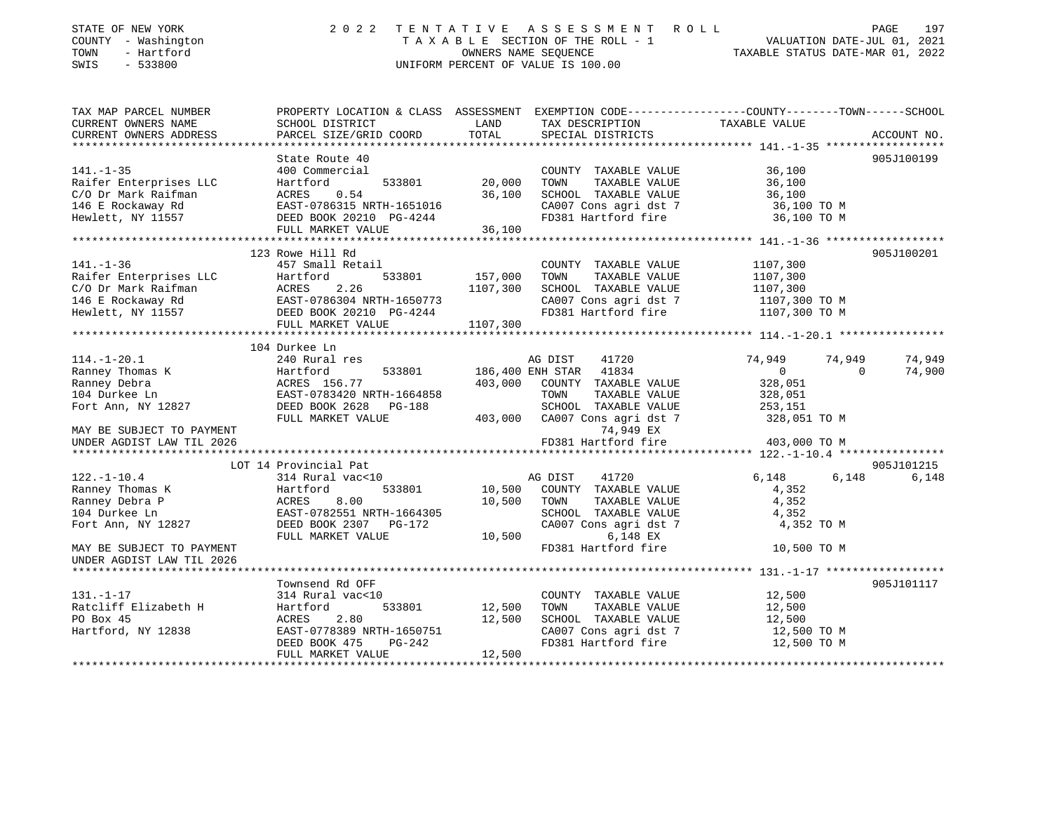| STATE OF NEW YORK<br>COUNTY - Washington<br>- Hartford<br>TOWN<br>SWIS<br>$-533800$ | 2 0 2 2                                                                                          | TENTATIVE     | ASSESSMENT ROLL<br>T A X A B L E SECTION OF THE ROLL - 1<br>OWNERS NAME SEOUENCE<br>UNIFORM PERCENT OF VALUE IS 100.00 |                    | PAGE<br>197<br>VALUATION DATE-JUL 01, 2021<br>TAXABLE STATUS DATE-MAR 01, 2022 |
|-------------------------------------------------------------------------------------|--------------------------------------------------------------------------------------------------|---------------|------------------------------------------------------------------------------------------------------------------------|--------------------|--------------------------------------------------------------------------------|
| TAX MAP PARCEL NUMBER                                                               | PROPERTY LOCATION & CLASS ASSESSMENT EXEMPTION CODE----------------COUNTY-------TOWN------SCHOOL |               |                                                                                                                        |                    |                                                                                |
| CURRENT OWNERS NAME                                                                 | SCHOOL DISTRICT                                                                                  | LAND<br>TOTAL | TAX DESCRIPTION                                                                                                        | TAXABLE VALUE      |                                                                                |
| CURRENT OWNERS ADDRESS                                                              | PARCEL SIZE/GRID COORD                                                                           |               | SPECIAL DISTRICTS                                                                                                      |                    | ACCOUNT NO.                                                                    |
|                                                                                     | State Route 40                                                                                   |               |                                                                                                                        |                    | 905J100199                                                                     |
| $141. - 1 - 35$                                                                     | 400 Commercial                                                                                   |               | COUNTY TAXABLE VALUE                                                                                                   | 36,100             |                                                                                |
| Raifer Enterprises LLC                                                              | 533801<br>Hartford                                                                               | 20,000        | TAXABLE VALUE<br>TOWN                                                                                                  | 36,100             |                                                                                |
| C/O Dr Mark Raifman                                                                 | 0.54<br>ACRES                                                                                    | 36,100        | SCHOOL TAXABLE VALUE                                                                                                   | 36,100             |                                                                                |
| 146 E Rockaway Rd                                                                   | EAST-0786315 NRTH-1651016                                                                        |               | CA007 Cons agri dst 7                                                                                                  | 36,100 TO M        |                                                                                |
| Hewlett, NY 11557                                                                   | DEED BOOK 20210 PG-4244                                                                          |               | FD381 Hartford fire                                                                                                    | 36,100 TO M        |                                                                                |
|                                                                                     | FULL MARKET VALUE                                                                                | 36,100        |                                                                                                                        |                    |                                                                                |
|                                                                                     | 123 Rowe Hill Rd                                                                                 |               |                                                                                                                        |                    | 905J100201                                                                     |
| $141. - 1 - 36$                                                                     | 457 Small Retail                                                                                 |               | COUNTY TAXABLE VALUE                                                                                                   | 1107,300           |                                                                                |
| Raifer Enterprises LLC                                                              | Hartford<br>533801                                                                               | 157,000       | TAXABLE VALUE<br>TOWN                                                                                                  | 1107,300           |                                                                                |
| C/O Dr Mark Raifman                                                                 | ACRES<br>2.26                                                                                    | 1107,300      | SCHOOL TAXABLE VALUE                                                                                                   | 1107,300           |                                                                                |
| 146 E Rockaway Rd                                                                   |                                                                                                  |               | CA007 Cons agri dst 7                                                                                                  | 1107,300 TO M      |                                                                                |
| Hewlett, NY 11557                                                                   | EAST-0786304 NRTH-1650773<br>DEED BOOK 20210 PG-4244                                             |               | FD381 Hartford fire                                                                                                    | 1107,300 TO M      |                                                                                |
|                                                                                     | FULL MARKET VALUE                                                                                | 1107,300      |                                                                                                                        |                    |                                                                                |
|                                                                                     |                                                                                                  |               |                                                                                                                        |                    |                                                                                |
|                                                                                     | 104 Durkee Ln                                                                                    |               |                                                                                                                        |                    |                                                                                |
| $114. - 1 - 20.1$                                                                   | 240 Rural res                                                                                    |               | 41720<br>AG DIST                                                                                                       | 74,949             | 74,949<br>74,949                                                               |
| Ranney Thomas K                                                                     | Hartford<br>533801                                                                               |               | 186,400 ENH STAR 41834                                                                                                 | $\circ$            | 74,900<br>$\Omega$                                                             |
| Ranney Debra                                                                        | ACRES 156.77                                                                                     | 403,000       | COUNTY TAXABLE VALUE                                                                                                   | 328,051            |                                                                                |
| 104 Durkee Ln                                                                       | EAST-0783420 NRTH-1664858<br>DEED BOOK 2628 PG-188                                               |               | TOWN<br>TAXABLE VALUE                                                                                                  | 328,051<br>253,151 |                                                                                |
| Fort Ann, NY 12827                                                                  | FULL MARKET VALUE                                                                                | 403,000       | SCHOOL TAXABLE VALUE<br>CA007 Cons agri dst 7                                                                          | 328,051 TO M       |                                                                                |
| MAY BE SUBJECT TO PAYMENT                                                           |                                                                                                  |               | 74,949 EX                                                                                                              |                    |                                                                                |
| UNDER AGDIST LAW TIL 2026                                                           |                                                                                                  |               | FD381 Hartford fire                                                                                                    | 403,000 TO M       |                                                                                |
|                                                                                     |                                                                                                  |               |                                                                                                                        |                    |                                                                                |
|                                                                                     | LOT 14 Provincial Pat                                                                            |               |                                                                                                                        |                    | 905J101215                                                                     |
| $122. - 1 - 10.4$                                                                   | 314 Rural vac<10                                                                                 |               | AG DIST<br>41720                                                                                                       | 6,148              | 6,148<br>6,148                                                                 |
| Ranney Thomas K                                                                     | Hartford<br>533801                                                                               | 10,500        | COUNTY TAXABLE VALUE                                                                                                   | 4,352              |                                                                                |
| Ranney Debra P                                                                      | ACRES<br>8.00                                                                                    | 10,500        | TOWN<br>TAXABLE VALUE                                                                                                  | 4,352              |                                                                                |
| 104 Durkee Ln                                                                       | EAST-0782551 NRTH-1664305                                                                        |               | SCHOOL TAXABLE VALUE                                                                                                   | 4,352              |                                                                                |
| Fort Ann, NY 12827                                                                  | DEED BOOK 2307 PG-172                                                                            |               | CA007 Cons agri dst 7                                                                                                  | 4,352 TO M         |                                                                                |
|                                                                                     | FULL MARKET VALUE                                                                                | 10,500        | 6,148 EX                                                                                                               |                    |                                                                                |
| MAY BE SUBJECT TO PAYMENT<br>UNDER AGDIST LAW TIL 2026                              |                                                                                                  |               | FD381 Hartford fire                                                                                                    | 10,500 TO M        |                                                                                |
|                                                                                     |                                                                                                  |               |                                                                                                                        |                    |                                                                                |
|                                                                                     | Townsend Rd OFF                                                                                  |               |                                                                                                                        |                    | 905J101117                                                                     |
| $131. - 1 - 17$                                                                     | 314 Rural vac<10                                                                                 |               | COUNTY TAXABLE VALUE                                                                                                   | 12,500             |                                                                                |
| Ratcliff Elizabeth H                                                                | Hartford<br>533801                                                                               | 12,500        | TOWN<br>TAXABLE VALUE                                                                                                  | 12,500             |                                                                                |
| PO Box 45                                                                           | ACRES<br>2.80                                                                                    | 12,500        | SCHOOL TAXABLE VALUE                                                                                                   | 12,500             |                                                                                |
| Hartford, NY 12838                                                                  | EAST-0778389 NRTH-1650751                                                                        |               | CA007 Cons agri dst 7                                                                                                  | 12,500 TO M        |                                                                                |
|                                                                                     | DEED BOOK 475<br>PG-242                                                                          |               | FD381 Hartford fire                                                                                                    | 12,500 TO M        |                                                                                |
|                                                                                     | FULL MARKET VALUE                                                                                | 12,500        |                                                                                                                        |                    |                                                                                |
|                                                                                     |                                                                                                  |               |                                                                                                                        |                    |                                                                                |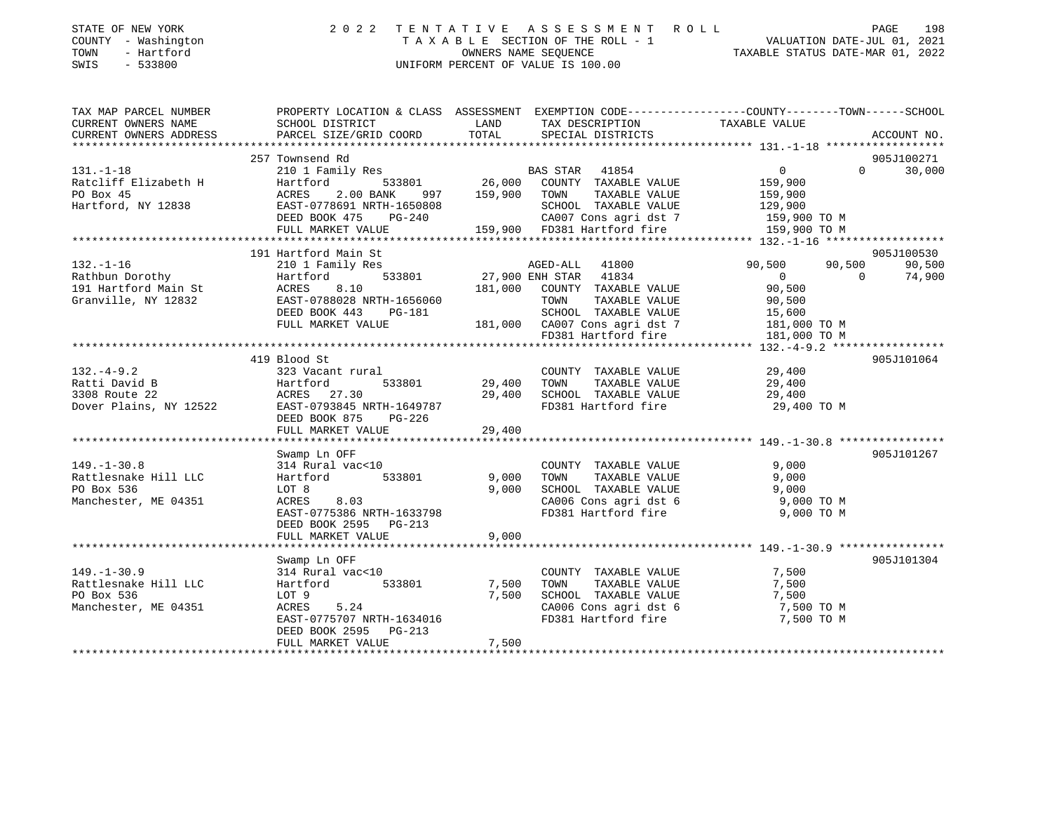| STATE OF NEW YORK<br>COUNTY - Washington<br>TOWN<br>- Hartford<br>$-533800$<br>SWIS | 2 U 2 2                                                                                                            |                  | TENTATIVE ASSESSMENT ROLL                            | PAGE 198<br>VALUATION DATE-JUL 01, 2021 |                    |
|-------------------------------------------------------------------------------------|--------------------------------------------------------------------------------------------------------------------|------------------|------------------------------------------------------|-----------------------------------------|--------------------|
| TAX MAP PARCEL NUMBER<br>CURRENT OWNERS NAME                                        | PROPERTY LOCATION & CLASS ASSESSMENT EXEMPTION CODE---------------COUNTY-------TOWN------SCHOOL<br>SCHOOL DISTRICT | LAND             | TAX DESCRIPTION                                      | TAXABLE VALUE                           |                    |
| CURRENT OWNERS ADDRESS                                                              | PARCEL SIZE/GRID COORD                                                                                             | TOTAL            | SPECIAL DISTRICTS                                    |                                         | ACCOUNT NO.        |
|                                                                                     | 257 Townsend Rd                                                                                                    |                  |                                                      |                                         | 905J100271         |
| $131. - 1 - 18$                                                                     | 210 1 Family Res                                                                                                   |                  | BAS STAR 41854                                       | $\overline{0}$                          | $\Omega$<br>30,000 |
| Ratcliff Elizabeth H                                                                | 533801<br>Hartford                                                                                                 |                  | $26,000$ COUNTY TAXABLE VALUE                        | 159,900                                 |                    |
| PO Box 45                                                                           | ACRES<br>2.00 BANK                                                                                                 | 997 159,900 TOWN | TAXABLE VALUE                                        |                                         |                    |
| Hartford, NY 12838                                                                  | EAST-0778691 NRTH-1650808                                                                                          |                  | SCHOOL TAXABLE VALUE                                 | 159,900<br>129,900                      |                    |
|                                                                                     | DEED BOOK 475 PG-240                                                                                               |                  | CA007 Cons agri dst 7 159,900 TO M                   |                                         |                    |
|                                                                                     | FULL MARKET VALUE                                                                                                  |                  | 159,900 FD381 Hartford fire                          | 159,900 TO M                            |                    |
|                                                                                     | *****************************                                                                                      |                  |                                                      |                                         |                    |
|                                                                                     | 191 Hartford Main St                                                                                               |                  |                                                      |                                         | 905J100530         |
| $132. - 1 - 16$                                                                     | 210 1 Family Res                                                                                                   |                  | AGED-ALL<br>41800                                    | 90,500<br>90,500                        | 90,500             |
| Rathbun Dorothy                                                                     | Hartford<br>533801                                                                                                 |                  | 27,900 ENH STAR 41834                                | $\overline{0}$                          | 74,900<br>$\Omega$ |
| 191 Hartford Main St                                                                | ACRES<br>8.10                                                                                                      |                  | 181,000 COUNTY TAXABLE VALUE                         | 90,500                                  |                    |
| Granville, NY 12832                                                                 | EAST-0788028 NRTH-1656060                                                                                          |                  | TAXABLE VALUE<br>TOWN                                | 90,500                                  |                    |
|                                                                                     | DEED BOOK 443 PG-181                                                                                               |                  | SCHOOL TAXABLE VALUE                                 | 15,600                                  |                    |
|                                                                                     | FULL MARKET VALUE                                                                                                  |                  | 181,000 CA007 Cons agri dst 7<br>FD381 Hartford fire | 181,000 TO M                            |                    |
|                                                                                     |                                                                                                                    |                  |                                                      | 181,000 TO M                            |                    |
|                                                                                     |                                                                                                                    |                  |                                                      |                                         |                    |
|                                                                                     | 419 Blood St                                                                                                       |                  |                                                      |                                         | 905J101064         |
| $132. -4 - 9.2$                                                                     | 323 Vacant rural<br>533801                                                                                         |                  | COUNTY TAXABLE VALUE                                 | 29,400                                  |                    |
| Ratti David B<br>3308 Route 22                                                      | Hartford                                                                                                           | 29,400           | TOWN<br>TAXABLE VALUE                                | 29,400                                  |                    |
| Dover Plains, NY 12522                                                              | ACRES 27.30<br>EAST-0793845 NRTH-1649787                                                                           | 29,400           | SCHOOL TAXABLE VALUE<br>FD381 Hartford fire          | 29,400<br>29,400 TO M                   |                    |
|                                                                                     | DEED BOOK 875<br>PG-226                                                                                            |                  |                                                      |                                         |                    |
|                                                                                     | FULL MARKET VALUE                                                                                                  | 29,400           |                                                      |                                         |                    |
|                                                                                     |                                                                                                                    |                  |                                                      |                                         |                    |
|                                                                                     | Swamp Ln OFF                                                                                                       |                  |                                                      |                                         | 905J101267         |
| $149. - 1 - 30.8$                                                                   | 314 Rural vac<10                                                                                                   |                  | COUNTY TAXABLE VALUE                                 | 9.000                                   |                    |
| Rattlesnake Hill LLC                                                                | Hartford<br>533801                                                                                                 | 9,000            | TAXABLE VALUE<br>TOWN                                | 9,000                                   |                    |
| PO Box 536                                                                          | LOT 8                                                                                                              | 9.000            | SCHOOL TAXABLE VALUE                                 | 9,000                                   |                    |
| Manchester, ME 04351                                                                | <b>ACRES</b><br>8.03                                                                                               |                  | CA006 Cons agri dst 6                                | 9,000 TO M                              |                    |
|                                                                                     | EAST-0775386 NRTH-1633798                                                                                          |                  | FD381 Hartford fire                                  | 9,000 TO M                              |                    |
|                                                                                     | DEED BOOK 2595 PG-213                                                                                              |                  |                                                      |                                         |                    |
|                                                                                     | FULL MARKET VALUE                                                                                                  | 9,000            |                                                      |                                         |                    |
|                                                                                     |                                                                                                                    |                  |                                                      |                                         |                    |
|                                                                                     | Swamp Ln OFF                                                                                                       |                  |                                                      |                                         | 905J101304         |
| $149. - 1 - 30.9$                                                                   | 314 Rural vac<10                                                                                                   |                  | COUNTY TAXABLE VALUE                                 | 7,500                                   |                    |
| Rattlesnake Hill LLC                                                                | Hartford<br>533801                                                                                                 | 7,500            | TOWN<br>TAXABLE VALUE                                | 7,500                                   |                    |
| PO Box 536                                                                          | LOT 9                                                                                                              | 7,500            | SCHOOL TAXABLE VALUE                                 | 7,500                                   |                    |
| Manchester, ME 04351                                                                | ACRES<br>5.24                                                                                                      |                  | CA006 Cons agri dst 6                                | 7,500 TO M                              |                    |

EAST-0775707 NRTH-1634016 FD381 Hartford fire 7,500 TO M

\*\*\*\*\*\*\*\*\*\*\*\*\*\*\*\*\*\*\*\*\*\*\*\*\*\*\*\*\*\*\*\*\*\*\*\*\*\*\*\*\*\*\*\*\*\*\*\*\*\*\*\*\*\*\*\*\*\*\*\*\*\*\*\*\*\*\*\*\*\*\*\*\*\*\*\*\*\*\*\*\*\*\*\*\*\*\*\*\*\*\*\*\*\*\*\*\*\*\*\*\*\*\*\*\*\*\*\*\*\*\*\*\*\*\*\*\*\*\*\*\*\*\*\*\*\*\*\*\*\*\*\*

 $7,500$ 

DEED BOOK 2595 PG-213

FULL MARKET VALUE

STATE OF NEW YORK 2 0 2 2 T E N T A T I V E A S S E S S M E N T R O L L PAGE 198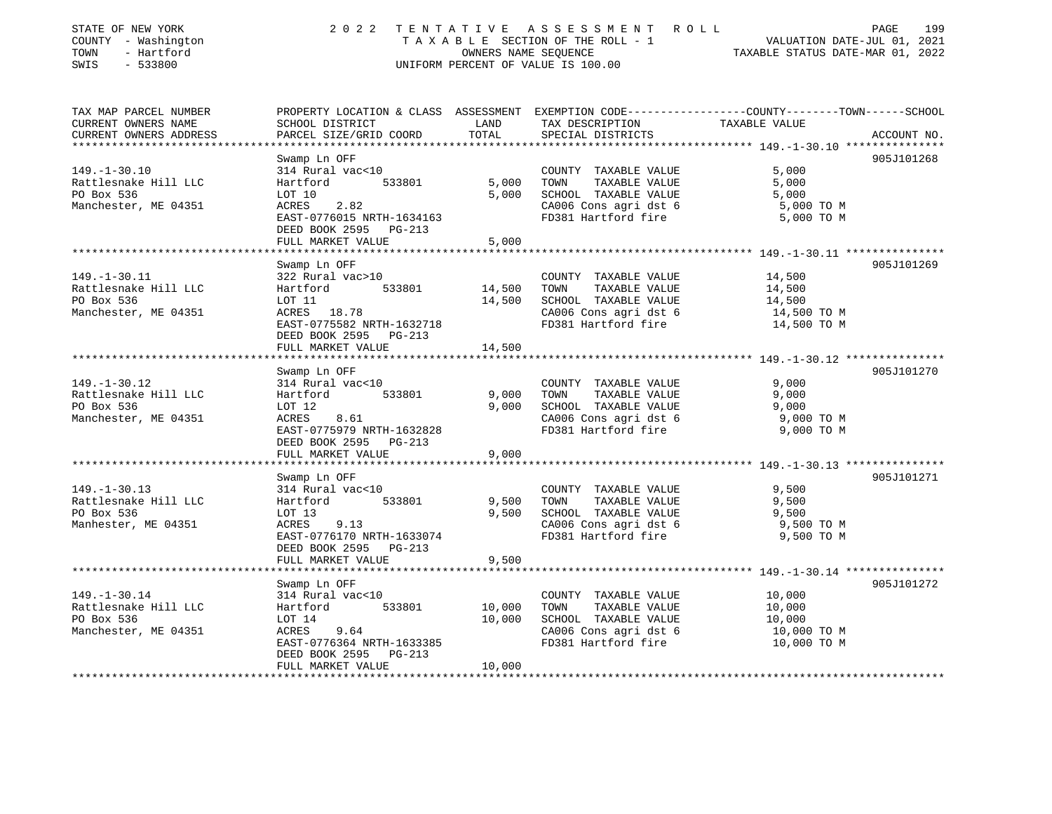| STATE OF NEW YORK<br>COUNTY - Washington<br>- Hartford<br>TOWN<br>$-533800$<br>SWIS | 2 0 2 2                                                                                                                                                      | OWNERS NAME SEQUENCE    | TENTATIVE ASSESSMENT ROLL<br>TAXABLE SECTION OF THE ROLL - 1<br>UNIFORM PERCENT OF VALUE IS 100.00                    | PAGE<br>199<br>VALUATION DATE-JUL 01, 2021<br>TAXABLE STATUS DATE-MAR 01, 2022                                                 |
|-------------------------------------------------------------------------------------|--------------------------------------------------------------------------------------------------------------------------------------------------------------|-------------------------|-----------------------------------------------------------------------------------------------------------------------|--------------------------------------------------------------------------------------------------------------------------------|
| TAX MAP PARCEL NUMBER<br>CURRENT OWNERS NAME<br>CURRENT OWNERS ADDRESS              | SCHOOL DISTRICT<br>PARCEL SIZE/GRID COORD                                                                                                                    | LAND<br>TOTAL           | TAX DESCRIPTION<br>SPECIAL DISTRICTS                                                                                  | PROPERTY LOCATION & CLASS ASSESSMENT EXEMPTION CODE---------------COUNTY-------TOWN-----SCHOOL<br>TAXABLE VALUE<br>ACCOUNT NO. |
| $149. - 1 - 30.10$<br>Rattlesnake Hill LLC<br>PO Box 536<br>Manchester, ME 04351    | Swamp Ln OFF<br>314 Rural vac<10<br>533801<br>Hartford<br>LOT 10<br>2.82<br>ACRES<br>EAST-0776015 NRTH-1634163<br>DEED BOOK 2595 PG-213<br>FULL MARKET VALUE | 5,000<br>5,000<br>5,000 | COUNTY TAXABLE VALUE<br>TOWN<br>TAXABLE VALUE<br>SCHOOL TAXABLE VALUE<br>CA006 Cons agri dst 6<br>FD381 Hartford fire | 905J101268<br>5,000<br>5,000<br>5,000<br>5,000 TO M<br>5,000 TO M                                                              |
|                                                                                     | *********************                                                                                                                                        |                         |                                                                                                                       |                                                                                                                                |
| $149. - 1 - 30.11$<br>Rattlesnake Hill LLC<br>PO Box 536<br>Manchester, ME 04351    | Swamp Ln OFF<br>322 Rural vac>10<br>533801<br>Hartford<br>LOT 11<br>ACRES 18.78<br>EAST-0775582 NRTH-1632718<br>DEED BOOK 2595 PG-213                        | 14,500<br>14,500        | COUNTY TAXABLE VALUE<br>TAXABLE VALUE<br>TOWN<br>SCHOOL TAXABLE VALUE<br>CA006 Cons agri dst 6<br>FD381 Hartford fire | 905J101269<br>14,500<br>14,500<br>14,500<br>14,500 TO M<br>14,500 TO M                                                         |
|                                                                                     | FULL MARKET VALUE                                                                                                                                            | 14,500                  |                                                                                                                       |                                                                                                                                |
|                                                                                     | *******************                                                                                                                                          |                         |                                                                                                                       |                                                                                                                                |
|                                                                                     | Swamp Ln OFF                                                                                                                                                 |                         |                                                                                                                       | 905J101270                                                                                                                     |
| $149. - 1 - 30.12$<br>Rattlesnake Hill LLC<br>PO Box 536<br>Manchester, ME 04351    | 314 Rural vac<10<br>Hartford<br>533801<br>LOT 12<br>ACRES<br>8.61<br>EAST-0775979 NRTH-1632828<br>DEED BOOK 2595 PG-213                                      | 9,000<br>9,000          | COUNTY TAXABLE VALUE<br>TOWN<br>TAXABLE VALUE<br>SCHOOL TAXABLE VALUE<br>CA006 Cons agri dst 6<br>FD381 Hartford fire | 9,000<br>9,000<br>9,000<br>9,000 TO M<br>9,000 TO M                                                                            |
|                                                                                     | FULL MARKET VALUE                                                                                                                                            | 9,000                   |                                                                                                                       |                                                                                                                                |
|                                                                                     | Swamp Ln OFF                                                                                                                                                 |                         |                                                                                                                       | 905J101271                                                                                                                     |
| $149. - 1 - 30.13$<br>Rattlesnake Hill LLC<br>PO Box 536<br>Manhester, ME 04351     | 314 Rural vac<10<br>533801<br>Hartford<br>LOT 13<br>9.13<br>ACRES<br>EAST-0776170 NRTH-1633074<br>DEED BOOK 2595 PG-213                                      | 9,500<br>9,500          | COUNTY TAXABLE VALUE<br>TAXABLE VALUE<br>TOWN<br>SCHOOL TAXABLE VALUE<br>CA006 Cons agri dst 6<br>FD381 Hartford fire | 9,500<br>9,500<br>9,500<br>9,500 TO M<br>9,500 TO M                                                                            |
|                                                                                     | FULL MARKET VALUE                                                                                                                                            | 9,500                   |                                                                                                                       |                                                                                                                                |
|                                                                                     |                                                                                                                                                              |                         |                                                                                                                       |                                                                                                                                |
|                                                                                     | Swamp Ln OFF                                                                                                                                                 |                         |                                                                                                                       | 905J101272                                                                                                                     |
| $149. - 1 - 30.14$<br>Rattlesnake Hill LLC                                          | 314 Rural vac<10<br>533801<br>Hartford                                                                                                                       | 10,000                  | COUNTY TAXABLE VALUE<br>TAXABLE VALUE<br>TOWN                                                                         | 10,000<br>10,000                                                                                                               |
| PO Box 536                                                                          | LOT 14                                                                                                                                                       | 10,000                  | SCHOOL TAXABLE VALUE                                                                                                  | 10,000                                                                                                                         |
| Manchester, ME 04351                                                                | ACRES<br>9.64<br>EAST-0776364 NRTH-1633385<br>DEED BOOK 2595<br>PG-213                                                                                       |                         | CA006 Cons agri dst 6<br>FD381 Hartford fire                                                                          | 10,000 TO M<br>10,000 TO M                                                                                                     |
|                                                                                     | FULL MARKET VALUE                                                                                                                                            | 10,000                  |                                                                                                                       |                                                                                                                                |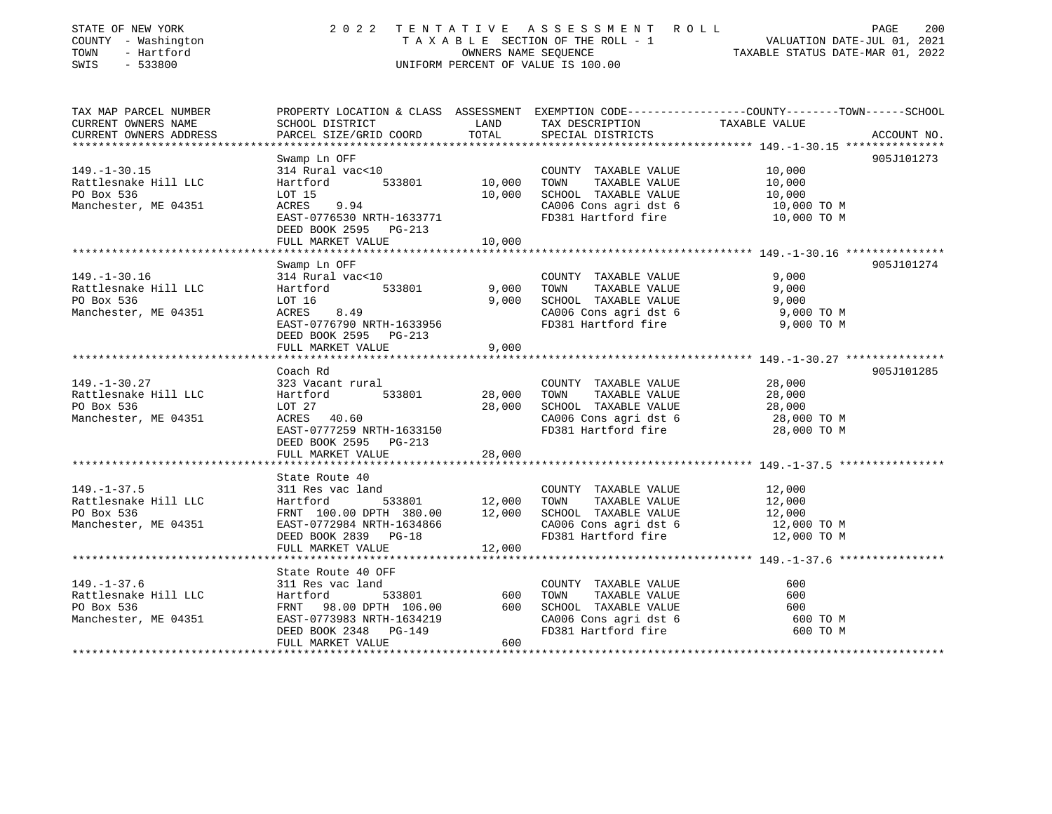| STATE OF NEW YORK<br>COUNTY - Washington<br>TOWN<br>- Hartford<br>$-533800$ | 2022<br>TENTATIVE ASSESSMENT ROLL<br>T A X A B L E SECTION OF THE ROLL - 1<br>VALUATION DATE-JUL 01, 2021<br>OWNERS NAME SEOUENCE<br>TAXABLE STATUS DATE-MAR 01, 2022<br>UNIFORM PERCENT OF VALUE IS 100.00 |        |                                               |                                                                                                 |  |
|-----------------------------------------------------------------------------|-------------------------------------------------------------------------------------------------------------------------------------------------------------------------------------------------------------|--------|-----------------------------------------------|-------------------------------------------------------------------------------------------------|--|
| SWIS                                                                        |                                                                                                                                                                                                             |        |                                               |                                                                                                 |  |
| TAX MAP PARCEL NUMBER                                                       |                                                                                                                                                                                                             |        |                                               | PROPERTY LOCATION & CLASS ASSESSMENT EXEMPTION CODE----------------COUNTY-------TOWN-----SCHOOL |  |
| CURRENT OWNERS NAME                                                         | SCHOOL DISTRICT                                                                                                                                                                                             | LAND   | TAX DESCRIPTION                               | TAXABLE VALUE                                                                                   |  |
| CURRENT OWNERS ADDRESS<br>****************                                  | PARCEL SIZE/GRID COORD                                                                                                                                                                                      | TOTAL  | SPECIAL DISTRICTS                             | ACCOUNT NO.                                                                                     |  |
|                                                                             | Swamp Ln OFF                                                                                                                                                                                                |        |                                               | 905J101273                                                                                      |  |
| $149. - 1 - 30.15$                                                          | 314 Rural vac<10                                                                                                                                                                                            |        | COUNTY TAXABLE VALUE                          | 10,000                                                                                          |  |
| Rattlesnake Hill LLC                                                        | Hartford<br>533801                                                                                                                                                                                          | 10,000 | TOWN<br>TAXABLE VALUE                         | 10,000                                                                                          |  |
| PO Box 536                                                                  | LOT 15                                                                                                                                                                                                      | 10,000 | SCHOOL TAXABLE VALUE                          | 10,000                                                                                          |  |
| Manchester, ME 04351                                                        | ACRES<br>9.94                                                                                                                                                                                               |        | CA006 Cons agri dst 6                         | 10,000 TO M                                                                                     |  |
|                                                                             | EAST-0776530 NRTH-1633771                                                                                                                                                                                   |        | FD381 Hartford fire                           | 10,000 TO M                                                                                     |  |
|                                                                             | DEED BOOK 2595 PG-213                                                                                                                                                                                       |        |                                               |                                                                                                 |  |
|                                                                             | FULL MARKET VALUE                                                                                                                                                                                           | 10,000 |                                               |                                                                                                 |  |
|                                                                             | Swamp Ln OFF                                                                                                                                                                                                |        |                                               | 905J101274                                                                                      |  |
| $149. - 1 - 30.16$                                                          | 314 Rural vac<10                                                                                                                                                                                            |        | COUNTY TAXABLE VALUE                          | 9,000                                                                                           |  |
| Rattlesnake Hill LLC                                                        | 533801<br>Hartford                                                                                                                                                                                          | 9,000  | TAXABLE VALUE<br>TOWN                         | 9,000                                                                                           |  |
| PO Box 536                                                                  | LOT 16                                                                                                                                                                                                      | 9,000  | SCHOOL TAXABLE VALUE                          | 9,000                                                                                           |  |
| Manchester, ME 04351                                                        | 8.49<br>ACRES                                                                                                                                                                                               |        | CA006 Cons agri dst 6                         | 9,000 TO M                                                                                      |  |
|                                                                             | EAST-0776790 NRTH-1633956                                                                                                                                                                                   |        | FD381 Hartford fire                           | 9,000 TO M                                                                                      |  |
|                                                                             | DEED BOOK 2595 PG-213                                                                                                                                                                                       |        |                                               |                                                                                                 |  |
|                                                                             | FULL MARKET VALUE                                                                                                                                                                                           | 9,000  |                                               |                                                                                                 |  |
|                                                                             | ****************************                                                                                                                                                                                |        |                                               |                                                                                                 |  |
|                                                                             | Coach Rd                                                                                                                                                                                                    |        |                                               | 905J101285                                                                                      |  |
| $149. - 1 - 30.27$<br>Rattlesnake Hill LLC                                  | 323 Vacant rural<br>533801<br>Hartford                                                                                                                                                                      | 28,000 | COUNTY TAXABLE VALUE<br>TAXABLE VALUE<br>TOWN | 28,000<br>28,000                                                                                |  |
| PO Box 536                                                                  | LOT 27                                                                                                                                                                                                      | 28,000 | SCHOOL TAXABLE VALUE                          | 28,000                                                                                          |  |
| Manchester, ME 04351                                                        | ACRES 40.60                                                                                                                                                                                                 |        | CA006 Cons agri dst 6                         | 28,000 TO M                                                                                     |  |
|                                                                             | EAST-0777259 NRTH-1633150                                                                                                                                                                                   |        | FD381 Hartford fire                           | 28,000 TO M                                                                                     |  |
|                                                                             | DEED BOOK 2595 PG-213                                                                                                                                                                                       |        |                                               |                                                                                                 |  |
|                                                                             | FULL MARKET VALUE                                                                                                                                                                                           | 28,000 |                                               |                                                                                                 |  |
|                                                                             | *******************                                                                                                                                                                                         |        |                                               | ********************************* 149.-1-37.5 *********                                         |  |
|                                                                             | State Route 40                                                                                                                                                                                              |        |                                               |                                                                                                 |  |
| $149. - 1 - 37.5$                                                           | 311 Res vac land                                                                                                                                                                                            |        | COUNTY TAXABLE VALUE                          | 12,000                                                                                          |  |
| Rattlesnake Hill LLC                                                        | Hartford<br>533801                                                                                                                                                                                          | 12,000 | TOWN<br>TAXABLE VALUE                         | 12,000                                                                                          |  |
| PO Box 536                                                                  | FRNT 100.00 DPTH 380.00                                                                                                                                                                                     | 12,000 | SCHOOL TAXABLE VALUE                          | 12,000                                                                                          |  |
| Manchester, ME 04351                                                        | EAST-0772984 NRTH-1634866                                                                                                                                                                                   |        | CA006 Cons agri dst 6<br>FD381 Hartford fire  | 12,000 TO M<br>12,000 TO M                                                                      |  |
|                                                                             | DEED BOOK 2839 PG-18<br>FULL MARKET VALUE                                                                                                                                                                   | 12,000 |                                               |                                                                                                 |  |
|                                                                             |                                                                                                                                                                                                             |        |                                               |                                                                                                 |  |
|                                                                             | State Route 40 OFF                                                                                                                                                                                          |        |                                               |                                                                                                 |  |
| $149. - 1 - 37.6$                                                           | 311 Res vac land                                                                                                                                                                                            |        | COUNTY TAXABLE VALUE                          | 600                                                                                             |  |
| Rattlesnake Hill LLC                                                        | 533801<br>Hartford                                                                                                                                                                                          | 600    | TOWN<br>TAXABLE VALUE                         | 600                                                                                             |  |
| PO Box 536                                                                  | FRNT 98.00 DPTH 106.00                                                                                                                                                                                      | 600    | SCHOOL TAXABLE VALUE                          | 600                                                                                             |  |
| Manchester, ME 04351                                                        | EAST-0773983 NRTH-1634219                                                                                                                                                                                   |        | CA006 Cons agri dst 6                         | 600 TO M                                                                                        |  |
|                                                                             | DEED BOOK 2348 PG-149                                                                                                                                                                                       |        | FD381 Hartford fire                           | 600 TO M                                                                                        |  |
|                                                                             | FULL MARKET VALUE                                                                                                                                                                                           | 600    |                                               |                                                                                                 |  |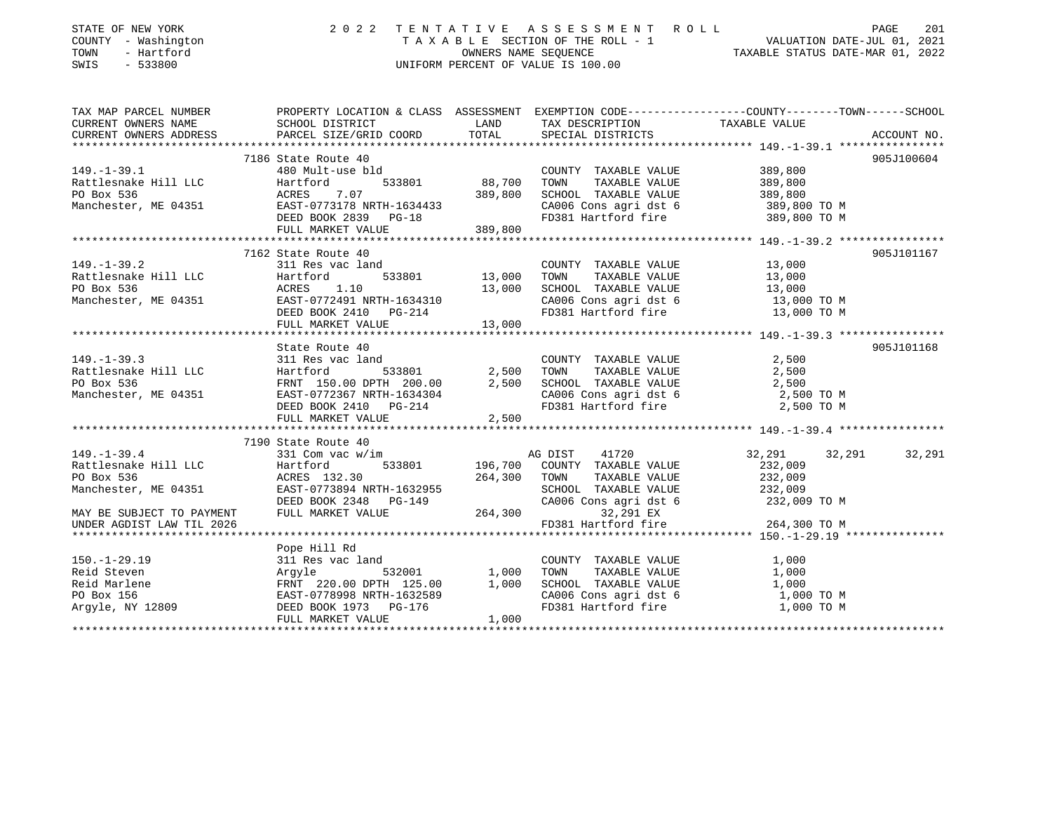| STATE OF NEW YORK<br>COUNTY - Washington<br>TOWN<br>- Hartford<br>SWIS<br>$-533800$                                                                                                                                                               |                                                              |       | 2022 TENTATIVE ASSESSMENT ROLL<br>TAXABLE SECTION OF THE ROLL - 1 VALUATION DATE-JUL 01, 2021<br>OWNERS NAME SEQUENCE TAXABLE STATUS DATE-MAR 01, 2022<br>UNIFORM PERCENT OF VALUE IS 100.00 |              | PAGE<br>201   |
|---------------------------------------------------------------------------------------------------------------------------------------------------------------------------------------------------------------------------------------------------|--------------------------------------------------------------|-------|----------------------------------------------------------------------------------------------------------------------------------------------------------------------------------------------|--------------|---------------|
| TAX MAP PARCEL NUMBER PROPERTY LOCATION & CLASS ASSESSMENT EXEMPTION CODE--------------COUNTY-------TOWN-----SCHOOL                                                                                                                               |                                                              |       |                                                                                                                                                                                              |              |               |
| CURRENT OWNERS NAME<br>CURRENT OWNERS ADDRESS<br>PARCEL SIZE/GRID COORD                                                                                                                                                                           |                                                              |       | LAND TAX DESCRIPTION TAXABLE VALUE                                                                                                                                                           |              |               |
|                                                                                                                                                                                                                                                   |                                                              |       |                                                                                                                                                                                              |              |               |
|                                                                                                                                                                                                                                                   | 7186 State Route 40                                          |       |                                                                                                                                                                                              |              | 905J100604    |
| 149.-1-39.1<br>Rattlesnake Hill LLC<br>PO Box 536<br>Manchester, ME 04351<br>Manchester, ME 04351<br>Manchester (ME 04351<br>Manchester (ME 04351<br>DEED BOOK 2839<br>PG-18<br>PO BOX 2839<br>PG-18<br>PG-18<br>PG-18<br>PG-18<br>PG-18<br>PG-18 |                                                              |       |                                                                                                                                                                                              |              |               |
|                                                                                                                                                                                                                                                   |                                                              |       |                                                                                                                                                                                              |              |               |
|                                                                                                                                                                                                                                                   |                                                              |       | COUNTY TAXABLE VALUE 389,800<br>88,700 TOWN TAXABLE VALUE 389,800<br>389,800 SCHOOL TAXABLE VALUE 389,800<br>CA006 Cons agri dst 6 389,800 TO M<br>FR0381 Unit is 389,800 TO M               |              |               |
|                                                                                                                                                                                                                                                   |                                                              |       |                                                                                                                                                                                              |              |               |
|                                                                                                                                                                                                                                                   |                                                              |       | FD381 Hartford fire                                                                                                                                                                          | 389,800 TO M |               |
|                                                                                                                                                                                                                                                   | FULL MARKET VALUE 389,800                                    |       |                                                                                                                                                                                              |              |               |
|                                                                                                                                                                                                                                                   |                                                              |       |                                                                                                                                                                                              |              |               |
|                                                                                                                                                                                                                                                   | 7162 State Route 40                                          |       |                                                                                                                                                                                              |              | 905J101167    |
|                                                                                                                                                                                                                                                   |                                                              |       |                                                                                                                                                                                              |              |               |
|                                                                                                                                                                                                                                                   |                                                              |       |                                                                                                                                                                                              |              |               |
|                                                                                                                                                                                                                                                   |                                                              |       |                                                                                                                                                                                              |              |               |
|                                                                                                                                                                                                                                                   |                                                              |       |                                                                                                                                                                                              |              |               |
|                                                                                                                                                                                                                                                   |                                                              |       |                                                                                                                                                                                              |              |               |
| 149.-1-39.2<br>Rattlesnake Hill LLC Hartford 533801 13,000 1000 1000 1000 1200 13,000 1200 13,000 13,000 1200 13,000 13,000 13,000 13,000 13,000 13,000 13,000 13,000 13,000 13,000 13,000 13,000 13,000 13,000 13,000 13,000                     |                                                              |       |                                                                                                                                                                                              |              |               |
|                                                                                                                                                                                                                                                   | State Route 40                                               |       |                                                                                                                                                                                              |              | 905J101168    |
|                                                                                                                                                                                                                                                   |                                                              |       |                                                                                                                                                                                              |              |               |
|                                                                                                                                                                                                                                                   |                                                              |       |                                                                                                                                                                                              |              |               |
|                                                                                                                                                                                                                                                   |                                                              |       |                                                                                                                                                                                              |              |               |
|                                                                                                                                                                                                                                                   |                                                              |       |                                                                                                                                                                                              |              |               |
|                                                                                                                                                                                                                                                   |                                                              |       |                                                                                                                                                                                              |              |               |
| 149.-1-39.3<br>Rattlesnake Hill LLC 311 Res vac land<br>PO Box 536<br>Manchester, ME 04351<br>Manchester, ME 04351<br>PO Box 536<br>Manchester, ME 04351<br>PULL MARKET VALUE 2,500<br>PULL MARKET VALUE 2,500<br>PULL MARKET VALUE 2,500<br>PULL |                                                              |       |                                                                                                                                                                                              |              |               |
|                                                                                                                                                                                                                                                   |                                                              |       |                                                                                                                                                                                              |              |               |
|                                                                                                                                                                                                                                                   | 7190 State Route 40<br>90 State Route 40<br>331 Com vac w/im |       |                                                                                                                                                                                              |              |               |
| $149. - 1 - 39.4$                                                                                                                                                                                                                                 |                                                              |       | AG DIST<br>41720                                                                                                                                                                             | 32,291       | 32,291 32,291 |
| Rattlesnake Hill LLC Hartford                                                                                                                                                                                                                     |                                                              |       |                                                                                                                                                                                              |              |               |
| EXECUTION ACTES 132.30<br>RATLE VALUE RATLE VALUE 232,009<br>Manchester, ME 04351 EAST-0773894 NRTH-1632955 SCHOOL TAXABLE VALUE 232,009<br>DEED BOOK 2348 PG-149 CA006 Cons agri dst 6 232,009 TO M<br>THILL MARKET VALUE 264,300 PG-            |                                                              |       |                                                                                                                                                                                              |              |               |
|                                                                                                                                                                                                                                                   |                                                              |       |                                                                                                                                                                                              |              |               |
|                                                                                                                                                                                                                                                   |                                                              |       |                                                                                                                                                                                              |              |               |
|                                                                                                                                                                                                                                                   |                                                              |       |                                                                                                                                                                                              |              |               |
|                                                                                                                                                                                                                                                   |                                                              |       |                                                                                                                                                                                              |              |               |
|                                                                                                                                                                                                                                                   | Pope Hill Rd                                                 |       |                                                                                                                                                                                              |              |               |
|                                                                                                                                                                                                                                                   |                                                              |       |                                                                                                                                                                                              |              |               |
|                                                                                                                                                                                                                                                   |                                                              |       |                                                                                                                                                                                              |              |               |
|                                                                                                                                                                                                                                                   |                                                              |       |                                                                                                                                                                                              |              |               |
|                                                                                                                                                                                                                                                   |                                                              |       |                                                                                                                                                                                              |              |               |
|                                                                                                                                                                                                                                                   |                                                              |       |                                                                                                                                                                                              |              |               |
|                                                                                                                                                                                                                                                   | FULL MARKET VALUE                                            | 1,000 |                                                                                                                                                                                              |              |               |
|                                                                                                                                                                                                                                                   |                                                              |       |                                                                                                                                                                                              |              |               |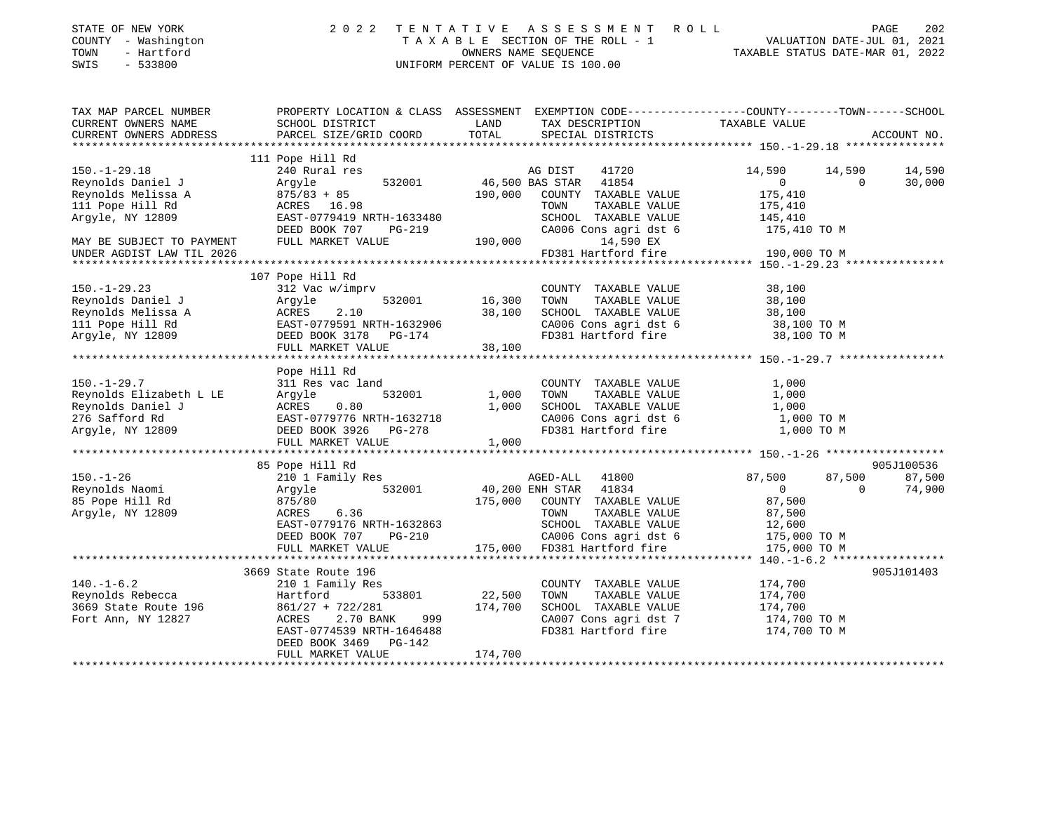| STATE OF NEW YORK   | 2022 TENTATIVE ASSESSMENT ROLL     | 202<br>PAGE                      |
|---------------------|------------------------------------|----------------------------------|
| COUNTY - Washington | TAXABLE SECTION OF THE ROLL - 1    | VALUATION DATE-JUL 01, 2021      |
| TOWN<br>- Hartford  | OWNERS NAME SEOUENCE               | TAXABLE STATUS DATE-MAR 01, 2022 |
| - 533800<br>SWIS    | UNIFORM PERCENT OF VALUE IS 100.00 |                                  |
|                     |                                    |                                  |

| TAX MAP PARCEL NUMBER<br>CURRENT OWNERS NAME                                                                              | SCHOOL DISTRICT                                                                                                                                                                          | LAND<br>TAX DESCRIPTION                                                                                                                                                                        | PROPERTY LOCATION & CLASS ASSESSMENT EXEMPTION CODE----------------COUNTY-------TOWN------SCHOOL<br>TAXABLE VALUE                                                                                                                                                                                                                            |
|---------------------------------------------------------------------------------------------------------------------------|------------------------------------------------------------------------------------------------------------------------------------------------------------------------------------------|------------------------------------------------------------------------------------------------------------------------------------------------------------------------------------------------|----------------------------------------------------------------------------------------------------------------------------------------------------------------------------------------------------------------------------------------------------------------------------------------------------------------------------------------------|
| CURRENT OWNERS ADDRESS                                                                                                    | PARCEL SIZE/GRID COORD                                                                                                                                                                   | SPECIAL DISTRICTS<br>TOTAL                                                                                                                                                                     | ACCOUNT NO.                                                                                                                                                                                                                                                                                                                                  |
| $150. - 1 - 29.18$                                                                                                        | 111 Pope Hill Rd                                                                                                                                                                         |                                                                                                                                                                                                | 14,590 14,590<br>14,590                                                                                                                                                                                                                                                                                                                      |
| Reynolds Daniel J<br>Reynolds Melissa A<br>111 Pope Hill Rd<br>Argyle, NY 12809                                           | $\frac{0.75763 + 85}{20000000}$<br>EAST-0779419 NRTH-1633480<br>DEED BOOK 707 PG-219                                                                                                     | 190,000 COUNTY TAXABLE VALUE<br>TOWN<br>TAXABLE VALUE<br>SCHOOL TAXABLE VALUE 145,410<br>CA006 Cons agri dst 6 175,410 TO M                                                                    | $\overline{0}$<br>$\Omega$<br>30,000<br>175,410<br>175,410                                                                                                                                                                                                                                                                                   |
| MAY BE SUBJECT TO PAYMENT<br>UNDER AGDIST LAW TIL 2026                                                                    | FULL MARKET VALUE                                                                                                                                                                        | 190,000<br>14,590 EX<br>FD381 Hartford fire                                                                                                                                                    | 190,000 TO M                                                                                                                                                                                                                                                                                                                                 |
|                                                                                                                           | 107 Pope Hill Rd                                                                                                                                                                         |                                                                                                                                                                                                |                                                                                                                                                                                                                                                                                                                                              |
| $150. - 1 - 29.23$<br>Reynolds Daniel J<br>Reynolds Melissa A<br>111 Pope Hill Rd<br>Argyle, NY 12809                     | 312 Vac w/imprv<br>Argyle<br><b>ACRES</b><br>2.10<br>EAST-0779591 NRTH-1632906<br>DEED BOOK 3178 PG-174<br>FULL MARKET VALUE                                                             | COUNTY TAXABLE VALUE 38,100<br>532001 16,300 TOWN TAXABLE VALUE 38,100<br>38,100 SCHOOL TAXABLE VALUE 38,100<br>CA006 Cons agri dst 6 38,100 TO M<br>FD381 Hartford fire 38,100 TO M<br>38,100 |                                                                                                                                                                                                                                                                                                                                              |
| $150. - 1 - 29.7$<br>Reynolds Elizabeth L LE<br>Reynolds Daniel J<br>276 Safford Rd<br>276 Safford Rd<br>Argyle, NY 12809 | Pope Hill Rd<br>311 Res vac land<br>311 Kes v. 532001<br>ACRES 0.80 1,000 -<br>EAST-0779776 NRTH-1632718 7<br>THE ROOK 3926 PG-278 1,000 J                                               | COUNTY TAXABLE VALUE<br>TAXABLE VALUE<br>TOWN<br>SCHOOL TAXABLE VALUE 1,000<br>CA006 Cons agri dst 6 1,000 TO M<br>FD381 Hartford fire 1,000 TO M                                              | 1,000<br>1,000                                                                                                                                                                                                                                                                                                                               |
|                                                                                                                           | 85 Pope Hill Rd                                                                                                                                                                          |                                                                                                                                                                                                | 905J100536                                                                                                                                                                                                                                                                                                                                   |
| $150. - 1 - 26$<br>Reynolds Naomi<br>85 Pope Hill Rd<br>Argyle, NY 12809                                                  | 210 1 Family Res<br>875/80                                                                                                                                                               | AGED-ALL 41800<br>41800 RNH STAR 41834<br>175.000 RNH STAR 41834<br>175,000 COUNTY TAXABLE VALUE                                                                                               | 87,500<br>87,500<br>87,500<br>$\begin{array}{c} 0 \\ 87,500 \end{array}$<br>$\overline{0}$<br>74,900<br>Argyle, NY 12809<br>EAST-0779176 NRTH-1632863<br>DEED BOOK 707 PG-210 175,000 FD381 Hartford fire 175,000 TO M<br>FULL MARKET VALUE 175,000 FD381 Hartford fire 175,000 TO M<br>FULL MARKET VALUE 175,000 FD381 Hartford fire 175,00 |
|                                                                                                                           | 3669 State Route 196                                                                                                                                                                     |                                                                                                                                                                                                | 905J101403                                                                                                                                                                                                                                                                                                                                   |
| $140. - 1 - 6.2$<br>Reynolds Rebecca<br>3669 State Route 196<br>Fort Ann, NY 12827                                        | 210 1 Family Res<br>Hartford<br>533801<br>861/27 + 722/281<br>$2.70$ BANK 999<br>$2.70$ NDTH-1646488<br>ACRES<br>EAST-0774539 NRTH-1646488<br>DEED BOOK 3469 PG-142<br>FULL MARKET VALUE | COUNTY TAXABLE VALUE<br>22,500<br>174,700<br>TAXABLE VALUE<br>TOWN TAXABLE VALUE<br>SCHOOL TAXABLE VALUE<br>CA007 Cons agri dst 7 174,700 TO M<br>FD381 Hartford fire 174,700 TO M<br>174,700  | 174,700<br>174,700<br>174,700                                                                                                                                                                                                                                                                                                                |
|                                                                                                                           |                                                                                                                                                                                          |                                                                                                                                                                                                |                                                                                                                                                                                                                                                                                                                                              |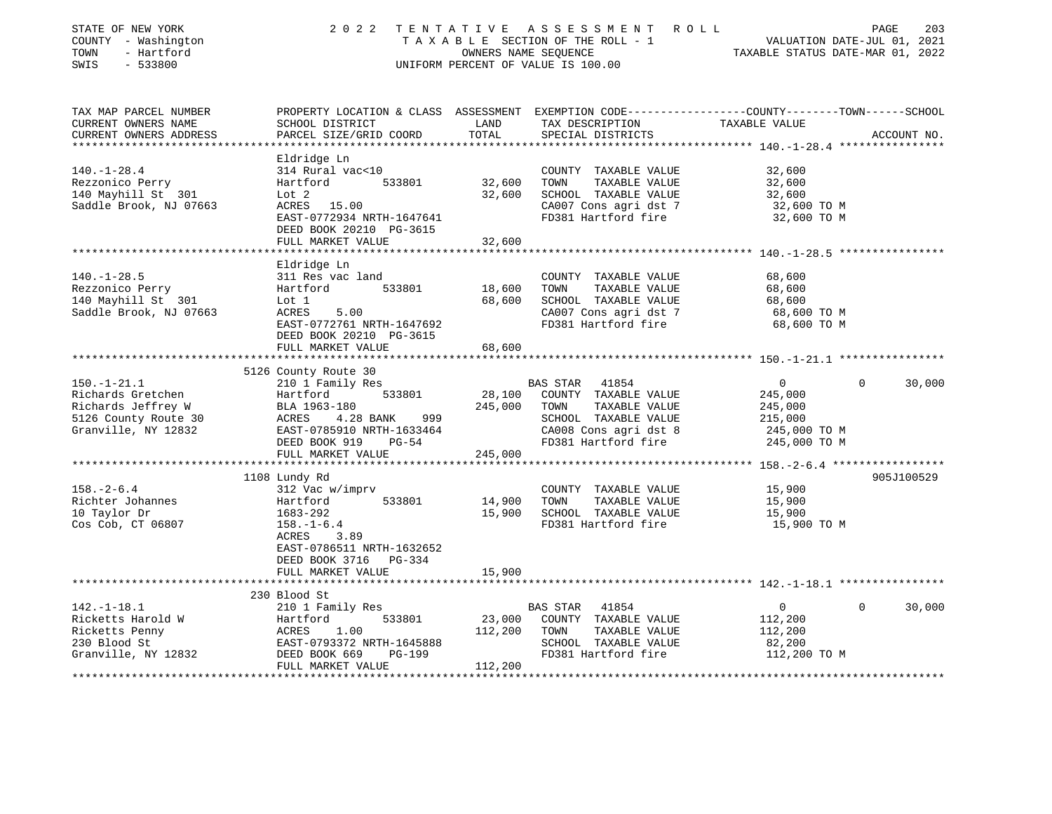| STATE OF NEW YORK<br>COUNTY - Washington<br>- Hartford<br>TOWN<br>SWIS<br>$-533800$                                                                                                                                                                                         |                                                                                                                                                                                        |                                   | 2022 TENTATIVE ASSESSMENT ROLL<br>TAXABLE SECTION OF THE ROLL - 1<br>OWNERS NAME SEQUENCE<br>TAXABLE STATUS DATE-JUL 01, 2022<br>UNIFORM PERCENT OF VALUE IS 100.00 |                                                                                 | PAGE<br>203              |
|-----------------------------------------------------------------------------------------------------------------------------------------------------------------------------------------------------------------------------------------------------------------------------|----------------------------------------------------------------------------------------------------------------------------------------------------------------------------------------|-----------------------------------|---------------------------------------------------------------------------------------------------------------------------------------------------------------------|---------------------------------------------------------------------------------|--------------------------|
| TAX MAP PARCEL NUMBER<br>CURRENT OWNERS NAME<br>CURRENT OWNERS ADDRESS                                                                                                                                                                                                      | SCHOOL DISTRICT<br>PARCEL SIZE/GRID COORD                                                                                                                                              | LAND<br>TOTAL                     | PROPERTY LOCATION & CLASS ASSESSMENT EXEMPTION CODE----------------COUNTY-------TOWN-----SCHOOL<br>TAX DESCRIPTION TAXABLE VALUE<br>SPECIAL DISTRICTS               |                                                                                 | ACCOUNT NO.              |
|                                                                                                                                                                                                                                                                             |                                                                                                                                                                                        |                                   |                                                                                                                                                                     | ****************** 140.-1-28.4 *****************                                |                          |
| $140. - 1 - 28.4$<br>Rezzonico Perry<br>140 Mayhill St 301<br>Saddle Brook, NJ 07663                                                                                                                                                                                        | Eldridge Ln<br>314 Rural vac<10<br>Hartford<br>Lot 2<br>Lot 2<br>ACRES 15.00<br>EAST-0772934 NRTH-1647641<br>DEED BOOK 20210 PG-3615<br>FULL MARKET VALUE                              | 533801 32,600<br>32,600<br>32,600 | COUNTY TAXABLE VALUE<br>TOWN<br>TAXABLE VALUE<br>SCHOOL TAXABLE VALUE<br>CA007 Cons agri dst 7<br>FD381 Hartford fire                                               | 32,600<br>32,600<br>32,600<br>32,600 TO M<br>32,600 TO M                        |                          |
|                                                                                                                                                                                                                                                                             | ******************                                                                                                                                                                     |                                   |                                                                                                                                                                     |                                                                                 |                          |
| $140. - 1 - 28.5$<br>Rezzonico Perry<br>140 Mayhill St 301<br>Saddle Brook, NJ 07663                                                                                                                                                                                        | Eldridge Ln<br>311 Res vac land<br>Hartford 533801 18,600<br>Lot 1 68,600<br>ACRES 5.00 68,600<br>EAST-0772761 NRTH-1647692<br>DEED BOOK 20210 PG-3615                                 |                                   | COUNTY TAXABLE VALUE<br>TOWN<br>TAXABLE VALUE<br>SCHOOL TAXABLE VALUE<br>CA007 Cons agri dst 7<br>FD381 Hartford fire                                               | 68,600<br>68,600<br>68,600<br>68,600 TO M<br>68,600 TO M                        |                          |
|                                                                                                                                                                                                                                                                             | FULL MARKET VALUE                                                                                                                                                                      | 68,600                            |                                                                                                                                                                     |                                                                                 |                          |
|                                                                                                                                                                                                                                                                             |                                                                                                                                                                                        | * * * * * * * * * * * * * * *     |                                                                                                                                                                     |                                                                                 |                          |
| $150.-1-21.1$<br>Example 128.100<br>Richards Gretchen<br>Richards Jeffrey W<br>BLA 1963-180<br>S126 County Route 30<br>Granville, NY 12832<br>CACRES 4.28 BANK 999<br>EAST-0785910 NRTH-1633464<br>DEED BOOK 919<br>PG-54<br>245,000<br>245,000<br>245,000<br>245,000<br>24 | 5126 County Route 30<br>210 1 Family Res<br>FULL MARKET VALUE                                                                                                                          | 533801 28,100<br>245,000          | BAS STAR 41854<br>COUNTY TAXABLE VALUE<br>245,000 TOWN TAXABLE VALUE<br>SCHOOL TAXABLE VALUE<br>CA008 Cons agri dst 8<br>FD381 Hartford fire                        | $\overline{0}$<br>245,000<br>245,000<br>215,000<br>245,000 TO M<br>245,000 TO M | $\Omega$<br>30,000       |
|                                                                                                                                                                                                                                                                             |                                                                                                                                                                                        |                                   |                                                                                                                                                                     |                                                                                 |                          |
| $158. - 2 - 6.4$<br>Richter Johannes<br>10 Taylor Dr<br>Cos Cob, CT 06807                                                                                                                                                                                                   | 1108 Lundy Rd<br>312 Vac w/imprv<br>Hartford<br>1683-292<br>$158. - 1 - 6.4$<br>3.89<br>ACRES<br>EAST-0786511 NRTH-1632652<br>DEED BOOK 3716 PG-334                                    |                                   | COUNTY TAXABLE VALUE<br>533801 14,900 TOWN TAXABLE VALUE<br>15,900 SCHOOL TAXABLE VALUE<br>FD381 Hartford fire<br>TAXABLE VALUE<br>FD381 Hartford fire              | 15,900<br>15,900<br>15,900<br>15,900 TO M                                       | 905J100529               |
|                                                                                                                                                                                                                                                                             | FULL MARKET VALUE                                                                                                                                                                      | 15,900                            |                                                                                                                                                                     |                                                                                 |                          |
| $142. - 1 - 18.1$<br>Ricketts Harold W<br>Ricketts Penny<br>230 Blood St<br>Granville, NY 12832                                                                                                                                                                             | 230 Blood St<br>210 1 Family Res<br>210 1 Family ACC<br>Hartford 533801<br>ACRES 1.00<br>EAST-0793372 NRTH-1645888<br>DEED BOOK 669 PG-199<br>THE MOOK 669 PG-199<br>FULL MARKET VALUE | 112,200<br>112,200                | BAS STAR 41854<br>23,000 COUNTY TAXABLE VALUE<br>TOWN<br>TAXABLE VALUE<br>SCHOOL TAXABLE VALUE<br>FD381 Hartford fire                                               | $\overline{0}$<br>112,200<br>112,200<br>82,200<br>112,200 TO M                  | $\overline{0}$<br>30,000 |
|                                                                                                                                                                                                                                                                             |                                                                                                                                                                                        |                                   |                                                                                                                                                                     |                                                                                 |                          |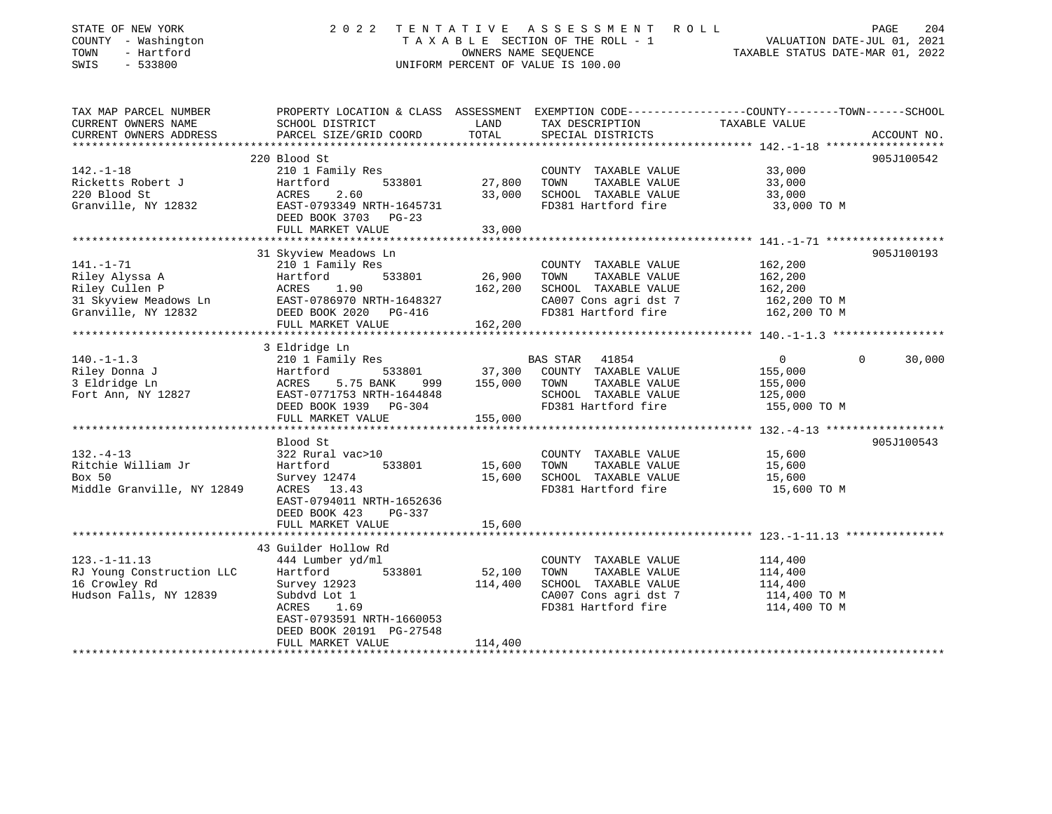| COUNTY - Washington<br>TOWN<br>- Hartford<br>SWIS<br>$-533800$                                      | TAXABLE SECTION OF THE ROLL - 1<br>OWNERS NAME SEOUENCE<br>UNIFORM PERCENT OF VALUE IS 100.00                                                                         |                              |                                                                                                                       | VALUATION DATE-JUL 01, 2021<br>TAXABLE STATUS DATE-MAR 01, 2022                                                                  |        |
|-----------------------------------------------------------------------------------------------------|-----------------------------------------------------------------------------------------------------------------------------------------------------------------------|------------------------------|-----------------------------------------------------------------------------------------------------------------------|----------------------------------------------------------------------------------------------------------------------------------|--------|
| TAX MAP PARCEL NUMBER<br>CURRENT OWNERS NAME<br>CURRENT OWNERS ADDRESS                              | SCHOOL DISTRICT<br>PARCEL SIZE/GRID COORD                                                                                                                             | LAND<br>TOTAL                | TAX DESCRIPTION<br>SPECIAL DISTRICTS                                                                                  | PROPERTY LOCATION & CLASS ASSESSMENT EXEMPTION CODE----------------COUNTY-------TOWN------SCHOOL<br>TAXABLE VALUE<br>ACCOUNT NO. |        |
| $142. - 1 - 18$<br>Ricketts Robert J<br>220 Blood St<br>Granville, NY 12832                         | 220 Blood St<br>210 1 Family Res<br>Hartford<br>533801<br>ACRES<br>2.60<br>EAST-0793349 NRTH-1645731<br>DEED BOOK 3703 PG-23<br>FULL MARKET VALUE                     | 27,800<br>33,000<br>33,000   | COUNTY TAXABLE VALUE<br>TOWN<br>TAXABLE VALUE<br>SCHOOL TAXABLE VALUE<br>FD381 Hartford fire                          | 905J100542<br>33,000<br>33,000<br>33,000<br>33,000 TO M                                                                          |        |
|                                                                                                     |                                                                                                                                                                       |                              |                                                                                                                       |                                                                                                                                  |        |
| $141. - 1 - 71$<br>Riley Alyssa A<br>Riley Cullen P<br>31 Skyview Meadows Ln<br>Granville, NY 12832 | 31 Skyview Meadows Ln<br>210 1 Family Res<br>533801<br>Hartford<br>ACRES<br>1.90<br>EAST-0786970 NRTH-1648327<br>DEED BOOK 2020 PG-416<br>FULL MARKET VALUE           | 26,900<br>162,200<br>162,200 | COUNTY TAXABLE VALUE<br>TAXABLE VALUE<br>TOWN<br>SCHOOL TAXABLE VALUE<br>CA007 Cons agri dst 7<br>FD381 Hartford fire | 905J100193<br>162,200<br>162,200<br>162,200<br>162,200 TO M<br>162,200 TO M                                                      |        |
|                                                                                                     |                                                                                                                                                                       |                              |                                                                                                                       |                                                                                                                                  |        |
| $140. - 1 - 1.3$<br>Riley Donna J<br>3 Eldridge Ln<br>Fort Ann, NY 12827                            | 210 1 Family Res<br>Hartford<br>533801<br>ACRES<br>5.75 BANK<br>999<br>EAST-0771753 NRTH-1644848<br>DEED BOOK 1939 PG-304                                             | 37,300<br>155,000            | BAS STAR 41854<br>COUNTY TAXABLE VALUE<br>TOWN<br>TAXABLE VALUE<br>SCHOOL TAXABLE VALUE<br>FD381 Hartford fire        | $\Omega$<br>$\Omega$<br>155,000<br>155,000<br>125,000<br>155,000 TO M                                                            | 30,000 |
|                                                                                                     |                                                                                                                                                                       |                              |                                                                                                                       |                                                                                                                                  |        |
| $132. - 4 - 13$<br>Ritchie William Jr<br>Box 50<br>Middle Granville, NY 12849                       | Blood St<br>322 Rural vac>10<br>Hartford<br>533801<br>Survey 12474<br>ACRES 13.43<br>EAST-0794011 NRTH-1652636<br>DEED BOOK 423<br>PG-337<br>FULL MARKET VALUE        | 15,600<br>15,600<br>15,600   | COUNTY TAXABLE VALUE<br>TOWN<br>TAXABLE VALUE<br>SCHOOL TAXABLE VALUE<br>FD381 Hartford fire                          | 905J100543<br>15,600<br>15,600<br>15,600<br>15,600 TO M                                                                          |        |
|                                                                                                     |                                                                                                                                                                       |                              |                                                                                                                       |                                                                                                                                  |        |
| $123. - 1 - 11.13$<br>RJ Young Construction LLC<br>16 Crowley Rd<br>Hudson Falls, NY 12839          | 444 Lumber yd/ml<br>Hartford<br>533801<br>Survey 12923<br>Subdyd Lot 1<br>1.69<br>ACRES<br>EAST-0793591 NRTH-1660053<br>DEED BOOK 20191 PG-27548<br>FULL MARKET VALUE | 52,100<br>114,400<br>114,400 | COUNTY TAXABLE VALUE<br>TOWN<br>TAXABLE VALUE<br>SCHOOL TAXABLE VALUE<br>CA007 Cons agri dst 7<br>FD381 Hartford fire | 114,400<br>114,400<br>114,400<br>114,400 TO M<br>114,400 TO M                                                                    |        |
|                                                                                                     | 3 Eldridge Ln<br>FULL MARKET VALUE<br>43 Guilder Hollow Rd                                                                                                            | 155,000                      |                                                                                                                       |                                                                                                                                  |        |

STATE OF NEW YORK 2022 TENTATIVE ASSESSMENT ROLL PAGE

204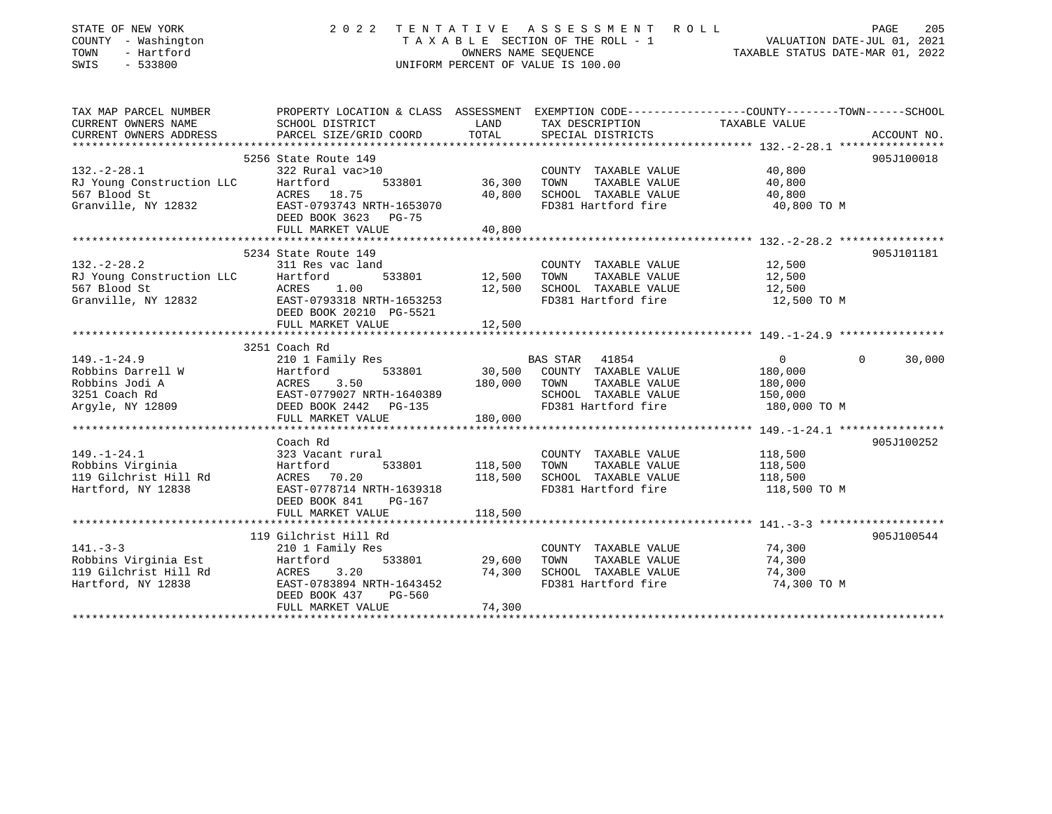| STATE OF NEW YORK<br>COUNTY - Washington<br>- Hartford<br>TOWN<br>SWIS<br>$-533800$                                                                                                     | 2022                                      |               | TENTATIVE ASSESSMENT ROLL<br>TAXABLE SECTION OF THE ROLL - 1<br>OWNERS NAME SEQUENCE<br>UNIFORM PERCENT OF VALUE IS 100.00 | VALUATION DATE-JUL 01, 2021<br>TAXABLE STATUS DATE-MAR 01, 2022                                                          | PAGE<br>205 |
|-----------------------------------------------------------------------------------------------------------------------------------------------------------------------------------------|-------------------------------------------|---------------|----------------------------------------------------------------------------------------------------------------------------|--------------------------------------------------------------------------------------------------------------------------|-------------|
| CURRENT OWNERS NAME                                                                                                                                                                     |                                           |               |                                                                                                                            | TAX MAP PARCEL NUMBER THE PROPERTY LOCATION & CLASS ASSESSMENT EXEMPTION CODE--------------COUNTY-------TOWN------SCHOOL |             |
| CURRENT OWNERS ADDRESS                                                                                                                                                                  | SCHOOL DISTRICT<br>PARCEL SIZE/GRID COORD | LAND<br>TOTAL | TAX DESCRIPTION<br>SPECIAL DISTRICTS                                                                                       | TAXABLE VALUE                                                                                                            | ACCOUNT NO. |
|                                                                                                                                                                                         |                                           |               |                                                                                                                            |                                                                                                                          |             |
|                                                                                                                                                                                         | 5256 State Route 149                      |               |                                                                                                                            |                                                                                                                          | 905J100018  |
| $132. - 2 - 28.1$                                                                                                                                                                       | 322 Rural vac>10                          |               | COUNTY TAXABLE VALUE 40,800                                                                                                |                                                                                                                          |             |
|                                                                                                                                                                                         |                                           | 36,300 TOWN   | TAXABLE VALUE                                                                                                              | 40,800                                                                                                                   |             |
|                                                                                                                                                                                         |                                           |               | 40,800 SCHOOL TAXABLE VALUE 40,800                                                                                         |                                                                                                                          |             |
| RJ Young Construction LLC<br>For Blood St<br>Granville, NY 12832<br>The Construction CLC RACRES<br>BACRES 18.75<br>EAST-0793743 NRTH-1653070<br>The Case of Tensor 2013743 NRTH-1653070 | DEED BOOK 3623 PG-75                      |               | FD381 Hartford fire                                                                                                        | 40,800 TO M                                                                                                              |             |
|                                                                                                                                                                                         | FULL MARKET VALUE                         | 40,800        |                                                                                                                            |                                                                                                                          |             |
|                                                                                                                                                                                         |                                           |               |                                                                                                                            |                                                                                                                          |             |
|                                                                                                                                                                                         | 5234 State Route 149                      |               |                                                                                                                            |                                                                                                                          | 905J101181  |
| $132 - 2 - 28.2$                                                                                                                                                                        | 311 Res vac land                          |               | COUNTY TAXABLE VALUE                                                                                                       | 12,500                                                                                                                   |             |
|                                                                                                                                                                                         |                                           | 12,500 TOWN   | TAXABLE VALUE<br>12,500 SCHOOL TAXABLE VALUE                                                                               | 12,500                                                                                                                   |             |
|                                                                                                                                                                                         |                                           |               | FD381 Hartford fire                                                                                                        | 12,500<br>12,500 TO M                                                                                                    |             |
|                                                                                                                                                                                         |                                           |               |                                                                                                                            |                                                                                                                          |             |
| RJ Young Construction LLC<br>RJ Young Construction LLC<br>57 Blood St<br>Granville, NY 12832<br>EAST-0793318 NRTH-1653253<br>DEED BOOK 20210 PG-5521<br>PEED BOOK 20210 PG-5521         | FULL MARKET VALUE                         | 12,500        |                                                                                                                            |                                                                                                                          |             |
|                                                                                                                                                                                         |                                           |               |                                                                                                                            |                                                                                                                          |             |
|                                                                                                                                                                                         | 3251 Coach Rd                             |               |                                                                                                                            |                                                                                                                          |             |
| $149. - 1 - 24.9$                                                                                                                                                                       | 210 1 Family Res                          |               | BAS STAR 41854                                                                                                             | $\overline{0}$<br>$\Omega$                                                                                               | 30,000      |
|                                                                                                                                                                                         |                                           |               | $533801$ 30,500 COUNTY TAXABLE VALUE 180,000                                                                               |                                                                                                                          |             |
|                                                                                                                                                                                         |                                           |               | TAXABLE VALUE                                                                                                              | 180,000                                                                                                                  |             |
|                                                                                                                                                                                         |                                           |               |                                                                                                                            | 150,000                                                                                                                  |             |
|                                                                                                                                                                                         |                                           |               |                                                                                                                            | 180,000 TO M                                                                                                             |             |
|                                                                                                                                                                                         | FULL MARKET VALUE                         | 180,000       |                                                                                                                            |                                                                                                                          |             |
|                                                                                                                                                                                         | Coach Rd                                  |               |                                                                                                                            |                                                                                                                          | 905J100252  |
| $149. - 1 - 24.1$                                                                                                                                                                       | 323 Vacant rural                          |               | COUNTY TAXABLE VALUE 118,500                                                                                               |                                                                                                                          |             |
| Robbins Virginia                                                                                                                                                                        | 533801                                    | 118,500 TOWN  | TAXABLE VALUE                                                                                                              | 118,500                                                                                                                  |             |
| 119 Gilchrist Hill Rd                                                                                                                                                                   |                                           |               | 118,500 SCHOOL TAXABLE VALUE                                                                                               | $\frac{1}{118},\frac{500}{500}$                                                                                          |             |
| Hartford, NY 12838                                                                                                                                                                      | EAST-0778714 NRTH-1639318                 |               | FD381 Hartford fire                                                                                                        | 118,500 TO M                                                                                                             |             |
|                                                                                                                                                                                         | DEED BOOK 841<br>PG-167                   |               |                                                                                                                            |                                                                                                                          |             |
|                                                                                                                                                                                         |                                           |               |                                                                                                                            |                                                                                                                          |             |
|                                                                                                                                                                                         |                                           |               |                                                                                                                            |                                                                                                                          |             |
|                                                                                                                                                                                         | 119 Gilchrist Hill Rd                     |               |                                                                                                                            |                                                                                                                          | 905J100544  |
| $141. - 3 - 3$                                                                                                                                                                          |                                           |               | COUNTY TAXABLE VALUE 74,300                                                                                                |                                                                                                                          |             |
|                                                                                                                                                                                         |                                           | 29,600 TOWN   | TAXABLE VALUE                                                                                                              | 74,300                                                                                                                   |             |
|                                                                                                                                                                                         |                                           |               | 74,300 SCHOOL TAXABLE VALUE                                                                                                | 74,300                                                                                                                   |             |
|                                                                                                                                                                                         | DEED BOOK 437<br>PG-560                   |               | FD381 Hartford fire                                                                                                        | 74,300 TO M                                                                                                              |             |
|                                                                                                                                                                                         | FULL MARKET VALUE                         | 74,300        |                                                                                                                            |                                                                                                                          |             |
|                                                                                                                                                                                         |                                           |               |                                                                                                                            |                                                                                                                          |             |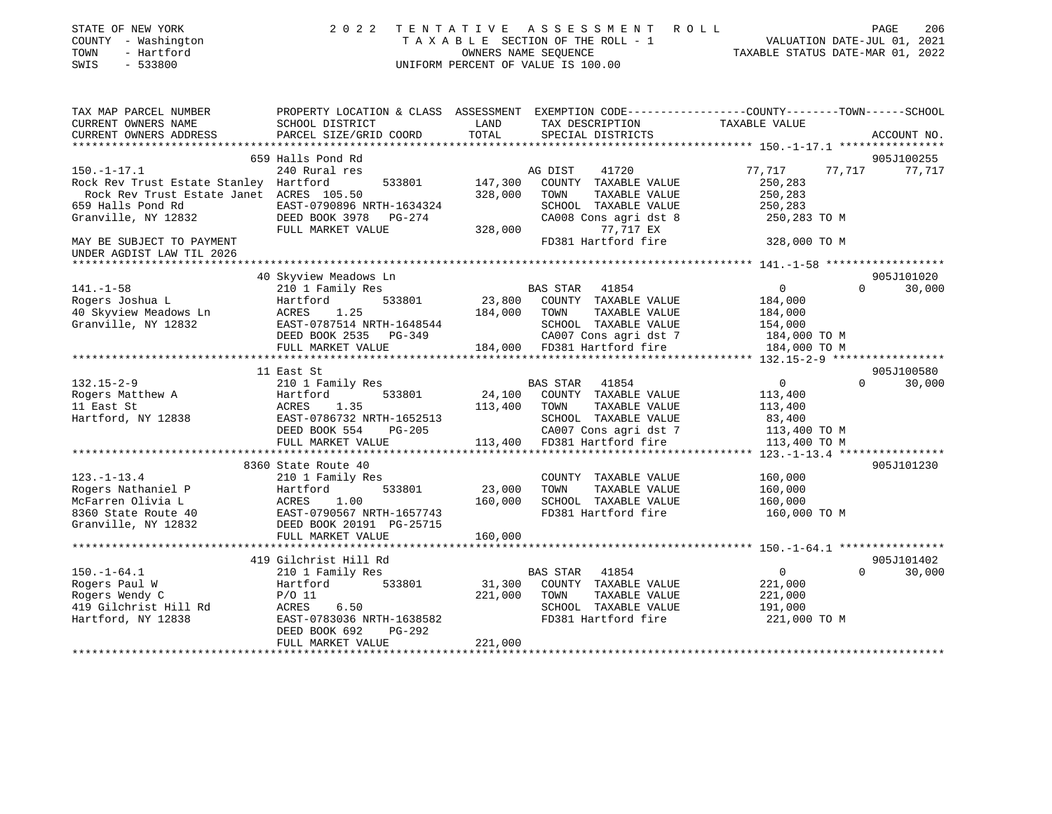| STATE OF NEW YORK<br>COUNTY - Washington<br>TOWN<br>- Hartford<br>$-533800$<br>SWIS | 2 0 2 2                                                                                         | OWNERS NAME SEQUENCE      | TENTATIVE ASSESSMENT ROLL<br>TAXABLE SECTION OF THE ROLL - 1<br>UNIFORM PERCENT OF VALUE IS 100.00 | VALUATION DATE-JUL 01, 2021<br>TAXABLE STATUS DATE-MAR 01, 2022 | PAGE     | 206         |
|-------------------------------------------------------------------------------------|-------------------------------------------------------------------------------------------------|---------------------------|----------------------------------------------------------------------------------------------------|-----------------------------------------------------------------|----------|-------------|
| TAX MAP PARCEL NUMBER                                                               | PROPERTY LOCATION & CLASS ASSESSMENT EXEMPTION CODE---------------COUNTY-------TOWN------SCHOOL |                           |                                                                                                    |                                                                 |          |             |
| CURRENT OWNERS NAME                                                                 | SCHOOL DISTRICT                                                                                 | LAND<br>TOTAL             | TAX DESCRIPTION                                                                                    | TAXABLE VALUE                                                   |          |             |
| CURRENT OWNERS ADDRESS                                                              | PARCEL SIZE/GRID COORD                                                                          |                           | SPECIAL DISTRICTS                                                                                  | ************* 150.-1-17.1 *****************                     |          | ACCOUNT NO. |
|                                                                                     | 659 Halls Pond Rd                                                                               |                           |                                                                                                    |                                                                 |          | 905J100255  |
| $150. - 1 - 17.1$                                                                   | 240 Rural res                                                                                   |                           | AG DIST<br>41720                                                                                   | 77,717                                                          | 77,717   | 77,717      |
| Rock Rev Trust Estate Stanley Hartford                                              | 533801                                                                                          | 147,300                   | COUNTY TAXABLE VALUE                                                                               | 250,283                                                         |          |             |
| Rock Rev Trust Estate Janet ACRES 105.50                                            |                                                                                                 | 328,000                   | TOWN<br>TAXABLE VALUE                                                                              | 250,283                                                         |          |             |
| 659 Halls Pond Rd                                                                   | EAST-0790896 NRTH-1634324                                                                       |                           | SCHOOL TAXABLE VALUE                                                                               | 250,283                                                         |          |             |
| Granville, NY 12832                                                                 | DEED BOOK 3978 PG-274                                                                           |                           | CA008 Cons agri dst 8                                                                              | 250,283 TO M                                                    |          |             |
|                                                                                     | FULL MARKET VALUE                                                                               | 328,000                   | 77,717 EX                                                                                          |                                                                 |          |             |
| MAY BE SUBJECT TO PAYMENT<br>UNDER AGDIST LAW TIL 2026                              |                                                                                                 |                           | FD381 Hartford fire                                                                                | 328,000 TO M                                                    |          |             |
|                                                                                     |                                                                                                 |                           |                                                                                                    |                                                                 |          |             |
| $141. - 1 - 58$                                                                     | 40 Skyview Meadows Ln                                                                           |                           |                                                                                                    | $\overline{0}$                                                  | $\Omega$ | 905J101020  |
| Rogers Joshua L                                                                     | 210 1 Family Res<br>Hartford<br>533801                                                          | 23,800                    | BAS STAR<br>41854<br>COUNTY TAXABLE VALUE                                                          | 184,000                                                         |          | 30,000      |
| 40 Skyview Meadows Ln                                                               | ACRES<br>1.25                                                                                   | 184,000                   | TAXABLE VALUE<br>TOWN                                                                              | 184,000                                                         |          |             |
| Granville, NY 12832                                                                 | EAST-0787514 NRTH-1648544                                                                       |                           | SCHOOL TAXABLE VALUE                                                                               | 154,000                                                         |          |             |
|                                                                                     | DEED BOOK 2535 PG-349                                                                           |                           | CA007 Cons agri dst 7                                                                              | 184,000 TO M                                                    |          |             |
|                                                                                     | FULL MARKET VALUE                                                                               |                           | 184,000 FD381 Hartford fire                                                                        | 184,000 TO M                                                    |          |             |
|                                                                                     |                                                                                                 |                           |                                                                                                    |                                                                 |          |             |
|                                                                                     | 11 East St                                                                                      |                           |                                                                                                    |                                                                 |          | 905J100580  |
| $132.15 - 2 - 9$                                                                    | 210 1 Family Res                                                                                |                           | BAS STAR<br>41854                                                                                  | $\overline{0}$                                                  | $\Omega$ | 30,000      |
| Rogers Matthew A                                                                    | Hartford<br>533801                                                                              | 24,100                    | COUNTY TAXABLE VALUE                                                                               | 113,400                                                         |          |             |
| 11 East St                                                                          | ACRES<br>1.35                                                                                   | 113,400                   | TAXABLE VALUE<br>TOWN                                                                              | 113,400                                                         |          |             |
| Hartford, NY 12838                                                                  | EAST-0786732 NRTH-1652513<br>DEED BOOK 554<br>$PG-205$                                          |                           | SCHOOL TAXABLE VALUE<br>CA007 Cons agri dst 7                                                      | 83,400<br>113,400 TO M                                          |          |             |
|                                                                                     | FULL MARKET VALUE                                                                               | 113,400                   | FD381 Hartford fire                                                                                | 113,400 TO M                                                    |          |             |
|                                                                                     | *********************                                                                           | * * * * * * * * * * * * * |                                                                                                    | **** $123, -1-13, 4$ ****************                           |          |             |
|                                                                                     | 8360 State Route 40                                                                             |                           |                                                                                                    |                                                                 |          | 905J101230  |
| $123. - 1 - 13.4$                                                                   | 210 1 Family Res                                                                                |                           | COUNTY TAXABLE VALUE                                                                               | 160,000                                                         |          |             |
| Rogers Nathaniel P                                                                  | Hartford<br>533801                                                                              | 23,000                    | TAXABLE VALUE<br>TOWN                                                                              | 160,000                                                         |          |             |
| McFarren Olivia L                                                                   | ACRES<br>1.00                                                                                   | 160,000                   | SCHOOL TAXABLE VALUE                                                                               | 160,000                                                         |          |             |
| 8360 State Route 40                                                                 | EAST-0790567 NRTH-1657743                                                                       |                           | FD381 Hartford fire                                                                                | 160,000 TO M                                                    |          |             |
| Granville, NY 12832                                                                 | DEED BOOK 20191 PG-25715                                                                        |                           |                                                                                                    |                                                                 |          |             |
|                                                                                     | FULL MARKET VALUE<br>******************                                                         | 160,000                   |                                                                                                    |                                                                 |          |             |
|                                                                                     | 419 Gilchrist Hill Rd                                                                           |                           |                                                                                                    | ********* 150.-1-64.1 *****************                         |          | 905J101402  |
| $150. - 1 - 64.1$                                                                   | 210 1 Family Res                                                                                |                           | BAS STAR<br>41854                                                                                  | $\mathbf{0}$                                                    | $\Omega$ | 30,000      |
| Rogers Paul W                                                                       | Hartford<br>533801                                                                              | 31,300                    | COUNTY TAXABLE VALUE                                                                               | 221,000                                                         |          |             |
| Rogers Wendy C                                                                      | $P/O$ 11                                                                                        | 221,000                   | TOWN<br>TAXABLE VALUE                                                                              | 221,000                                                         |          |             |
| 419 Gilchrist Hill Rd                                                               | ACRES<br>6.50                                                                                   |                           | SCHOOL TAXABLE VALUE                                                                               | 191,000                                                         |          |             |
| Hartford, NY 12838                                                                  | EAST-0783036 NRTH-1638582                                                                       |                           | FD381 Hartford fire                                                                                | 221,000 TO M                                                    |          |             |
|                                                                                     | DEED BOOK 692<br>$PG-292$                                                                       |                           |                                                                                                    |                                                                 |          |             |
|                                                                                     | FULL MARKET VALUE                                                                               | 221,000                   |                                                                                                    |                                                                 |          |             |
|                                                                                     |                                                                                                 |                           |                                                                                                    |                                                                 |          |             |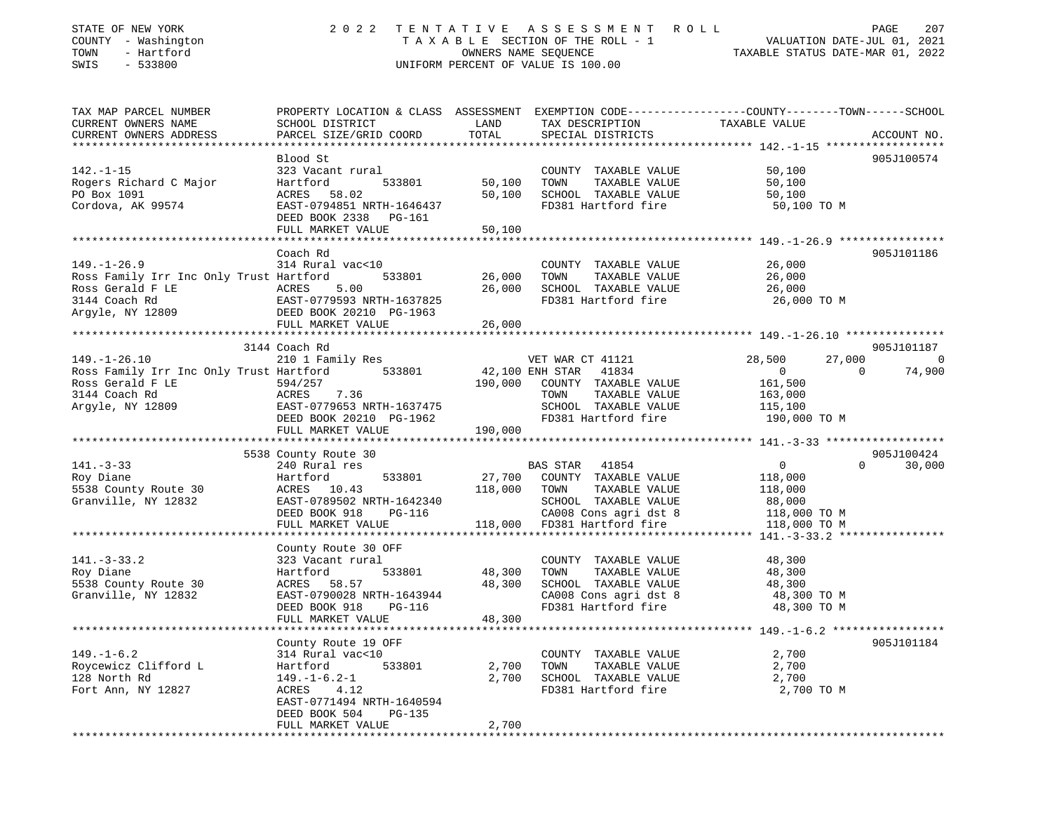| STATE OF NEW YORK<br>COUNTY - Washington<br>- Hartford<br>TOWN<br>SWIS<br>$-533800$ | 2 0 2 2                                                                 | TENTATIVE             | ASSESSMENT<br>TAXABLE SECTION OF THE ROLL - 1<br>OWNERS NAME SEQUENCE<br>UNIFORM PERCENT OF VALUE IS 100.00 | ROLL<br>VALUATION DATE-JUL 01, 2021<br>TAXABLE STATUS DATE-MAR 01, 2022                                          | PAGE<br>207     |
|-------------------------------------------------------------------------------------|-------------------------------------------------------------------------|-----------------------|-------------------------------------------------------------------------------------------------------------|------------------------------------------------------------------------------------------------------------------|-----------------|
| TAX MAP PARCEL NUMBER<br>CURRENT OWNERS NAME<br>CURRENT OWNERS ADDRESS              | SCHOOL DISTRICT<br>PARCEL SIZE/GRID COORD                               | LAND<br>TOTAL         | TAX DESCRIPTION<br>SPECIAL DISTRICTS                                                                        | PROPERTY LOCATION & CLASS ASSESSMENT EXEMPTION CODE---------------COUNTY-------TOWN------SCHOOL<br>TAXABLE VALUE | ACCOUNT NO.     |
|                                                                                     |                                                                         |                       |                                                                                                             |                                                                                                                  |                 |
| $142. - 1 - 15$                                                                     | Blood St                                                                |                       | COUNTY TAXABLE VALUE                                                                                        |                                                                                                                  | 905J100574      |
| Rogers Richard C Major                                                              | 323 Vacant rural<br>Hartford<br>533801                                  | 50,100                | TOWN<br>TAXABLE VALUE                                                                                       | 50,100<br>50,100                                                                                                 |                 |
| PO Box 1091                                                                         | ACRES<br>58.02                                                          | 50,100                | SCHOOL TAXABLE VALUE                                                                                        | 50,100                                                                                                           |                 |
| Cordova, AK 99574                                                                   | EAST-0794851 NRTH-1646437<br>DEED BOOK 2338 PG-161<br>FULL MARKET VALUE | 50,100                | FD381 Hartford fire                                                                                         | 50,100 TO M                                                                                                      |                 |
|                                                                                     |                                                                         |                       |                                                                                                             |                                                                                                                  |                 |
|                                                                                     | Coach Rd                                                                |                       |                                                                                                             |                                                                                                                  | 905J101186      |
| $149. - 1 - 26.9$                                                                   | 314 Rural vac<10                                                        |                       | COUNTY TAXABLE VALUE                                                                                        | 26,000                                                                                                           |                 |
| Ross Family Irr Inc Only Trust Hartford                                             | 533801                                                                  | 26,000                | TOWN<br>TAXABLE VALUE                                                                                       | 26,000                                                                                                           |                 |
| Ross Gerald F LE                                                                    | ACRES<br>5.00                                                           | 26,000                | SCHOOL TAXABLE VALUE                                                                                        | 26,000                                                                                                           |                 |
| 3144 Coach Rd                                                                       | EAST-0779593 NRTH-1637825                                               |                       | FD381 Hartford fire                                                                                         | 26,000 TO M                                                                                                      |                 |
| Argyle, NY 12809                                                                    | DEED BOOK 20210 PG-1963                                                 |                       |                                                                                                             |                                                                                                                  |                 |
|                                                                                     | FULL MARKET VALUE<br>*******************************                    | 26,000                |                                                                                                             |                                                                                                                  |                 |
|                                                                                     |                                                                         | * * * * * * * * * * * |                                                                                                             |                                                                                                                  |                 |
| $149. - 1 - 26.10$                                                                  | 3144 Coach Rd                                                           |                       | VET WAR CT 41121                                                                                            | 28,500<br>27,000                                                                                                 | 905J101187<br>0 |
| Ross Family Irr Inc Only Trust Hartford                                             | 210 1 Family Res<br>533801                                              |                       | 42,100 ENH STAR 41834                                                                                       | $\overline{0}$<br>$\Omega$                                                                                       | 74,900          |
| Ross Gerald F LE                                                                    | 594/257                                                                 | 190,000               | COUNTY TAXABLE VALUE                                                                                        | 161,500                                                                                                          |                 |
| 3144 Coach Rd                                                                       | 7.36<br>ACRES                                                           |                       | TAXABLE VALUE<br>TOWN                                                                                       | 163,000                                                                                                          |                 |
| Argyle, NY 12809                                                                    | EAST-0779653 NRTH-1637475                                               |                       | SCHOOL TAXABLE VALUE                                                                                        | 115,100                                                                                                          |                 |
|                                                                                     | DEED BOOK 20210 PG-1962<br>FULL MARKET VALUE                            | 190,000               | FD381 Hartford fire                                                                                         | 190,000 TO M                                                                                                     |                 |
|                                                                                     |                                                                         |                       |                                                                                                             |                                                                                                                  |                 |
|                                                                                     | 5538 County Route 30                                                    |                       |                                                                                                             |                                                                                                                  | 905J100424      |
| $141. - 3 - 33$                                                                     | 240 Rural res                                                           |                       | BAS STAR 41854                                                                                              | $\overline{0}$<br>$\Omega$                                                                                       | 30,000          |
| Roy Diane                                                                           | Hartford<br>533801                                                      | 27,700                | COUNTY TAXABLE VALUE                                                                                        | 118,000                                                                                                          |                 |
| 5538 County Route 30                                                                | ACRES 10.43                                                             | 118,000               | TAXABLE VALUE<br>TOWN                                                                                       | 118,000                                                                                                          |                 |
| Granville, NY 12832                                                                 | EAST-0789502 NRTH-1642340                                               |                       | SCHOOL TAXABLE VALUE                                                                                        | 88,000                                                                                                           |                 |
|                                                                                     | DEED BOOK 918<br><b>PG-116</b>                                          |                       | CA008 Cons agri dst 8                                                                                       | 118,000 TO M                                                                                                     |                 |
|                                                                                     | FULL MARKET VALUE                                                       | 118,000               | FD381 Hartford fire                                                                                         | 118,000 TO M                                                                                                     |                 |
|                                                                                     | County Route 30 OFF                                                     |                       |                                                                                                             |                                                                                                                  |                 |
| $141. - 3 - 33.2$                                                                   | 323 Vacant rural                                                        |                       | COUNTY TAXABLE VALUE                                                                                        | 48,300                                                                                                           |                 |
| Roy Diane                                                                           | 533801<br>Hartford                                                      | 48,300                | TAXABLE VALUE<br>TOWN                                                                                       | 48,300                                                                                                           |                 |
| 5538 County Route 30                                                                | 58.57<br>ACRES                                                          | 48,300                | SCHOOL TAXABLE VALUE                                                                                        | 48,300                                                                                                           |                 |
| Granville, NY 12832                                                                 | EAST-0790028 NRTH-1643944                                               |                       | CA008 Cons agri dst 8                                                                                       | 48,300 TO M                                                                                                      |                 |
|                                                                                     | DEED BOOK 918<br><b>PG-116</b>                                          |                       | FD381 Hartford fire                                                                                         | 48,300 TO M                                                                                                      |                 |
|                                                                                     | FULL MARKET VALUE                                                       | 48,300                |                                                                                                             |                                                                                                                  |                 |
|                                                                                     |                                                                         |                       |                                                                                                             |                                                                                                                  |                 |
|                                                                                     | County Route 19 OFF                                                     |                       |                                                                                                             |                                                                                                                  | 905J101184      |
| $149. - 1 - 6.2$<br>Roycewicz Clifford L                                            | 314 Rural vac<10<br>Hartford<br>533801                                  |                       | COUNTY TAXABLE VALUE<br>TOWN                                                                                | 2,700                                                                                                            |                 |
| 128 North Rd                                                                        | $149. - 1 - 6.2 - 1$                                                    | 2,700<br>2,700        | TAXABLE VALUE<br>SCHOOL TAXABLE VALUE                                                                       | 2,700<br>2,700                                                                                                   |                 |
| Fort Ann, NY 12827                                                                  | ACRES<br>4.12                                                           |                       | FD381 Hartford fire                                                                                         | 2,700 TO M                                                                                                       |                 |
|                                                                                     | EAST-0771494 NRTH-1640594                                               |                       |                                                                                                             |                                                                                                                  |                 |
|                                                                                     | DEED BOOK 504<br>PG-135                                                 |                       |                                                                                                             |                                                                                                                  |                 |
|                                                                                     | FULL MARKET VALUE                                                       | 2,700                 |                                                                                                             |                                                                                                                  |                 |
|                                                                                     |                                                                         |                       |                                                                                                             |                                                                                                                  |                 |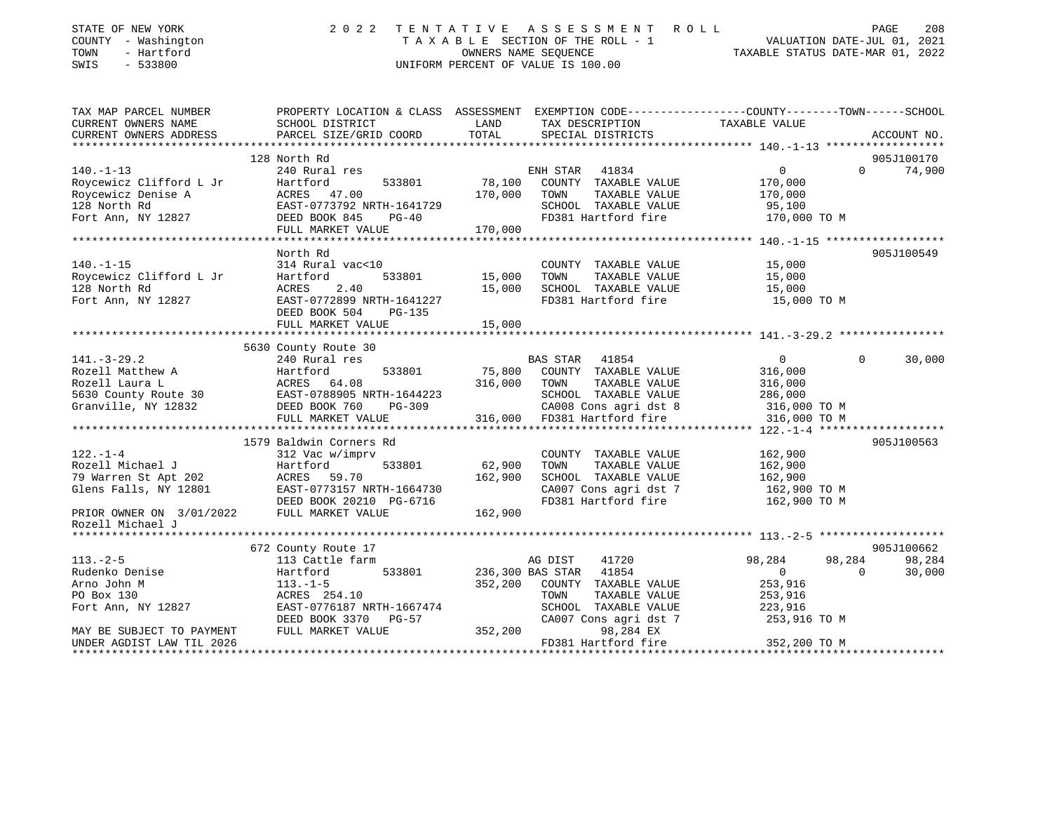| STATE OF NEW YORK<br>COUNTY - Washington<br>- Hartford<br>TOWN<br>SWIS<br>$-533800$ | 2 0 2 2                                                                                                                                     |               | TENTATIVE ASSESSMENT ROLL<br>$T A X A B L E$ SECTION OF THE ROLL - 1<br>OWNERS NAME SEQUENCE<br>UNIFORM PERCENT OF VALUE IS 100.00 |                | PAGE<br>208<br>VALUATION DATE-JUL 01, 2021<br>TAXABLE STATUS DATE-MAR 01, 2022 |
|-------------------------------------------------------------------------------------|---------------------------------------------------------------------------------------------------------------------------------------------|---------------|------------------------------------------------------------------------------------------------------------------------------------|----------------|--------------------------------------------------------------------------------|
| TAX MAP PARCEL NUMBER<br>CURRENT OWNERS NAME<br>CURRENT OWNERS ADDRESS              | PROPERTY LOCATION & CLASS ASSESSMENT EXEMPTION CODE---------------COUNTY-------TOWN-----SCHOOL<br>SCHOOL DISTRICT<br>PARCEL SIZE/GRID COORD | LAND<br>TOTAL | TAX DESCRIPTION<br>SPECIAL DISTRICTS                                                                                               | TAXABLE VALUE  | ACCOUNT NO.                                                                    |
| *************************                                                           |                                                                                                                                             |               |                                                                                                                                    |                |                                                                                |
|                                                                                     | 128 North Rd                                                                                                                                |               |                                                                                                                                    |                | 905J100170                                                                     |
| $140. - 1 - 13$                                                                     | 240 Rural res                                                                                                                               |               | 41834<br>ENH STAR                                                                                                                  | $\overline{0}$ | $\mathbf 0$<br>74,900                                                          |
| Roycewicz Clifford L Jr                                                             | Hartford 533801<br>ACRES 47.00<br>EAST-0773792 NRTH-1641729<br>DEED BOOK 845 PG-40                                                          | 78,100        | COUNTY TAXABLE VALUE                                                                                                               | 170,000        |                                                                                |
| Roycewicz Denise A                                                                  |                                                                                                                                             | 170,000       | TAXABLE VALUE<br>TOWN                                                                                                              | 170,000        |                                                                                |
| 128 North Rd                                                                        |                                                                                                                                             |               | SCHOOL TAXABLE VALUE                                                                                                               | 95,100         |                                                                                |
| Fort Ann, NY 12827                                                                  | DEED BOOK 845<br>$PG-40$                                                                                                                    |               | FD381 Hartford fire                                                                                                                | 170,000 TO M   |                                                                                |
|                                                                                     | FULL MARKET VALUE                                                                                                                           | 170,000       |                                                                                                                                    |                |                                                                                |
|                                                                                     |                                                                                                                                             |               |                                                                                                                                    |                |                                                                                |
|                                                                                     | North Rd                                                                                                                                    |               |                                                                                                                                    |                | 905J100549                                                                     |
| $140. - 1 - 15$                                                                     | 314 Rural vac<10                                                                                                                            |               | COUNTY TAXABLE VALUE                                                                                                               | 15,000         |                                                                                |
| Roycewicz Clifford L Jr                                                             | 533801<br>Hartford                                                                                                                          | 15,000        | TAXABLE VALUE<br>TOWN                                                                                                              | 15,000         |                                                                                |
| 128 North Rd                                                                        | <b>ACRES</b><br>2.40                                                                                                                        | 15,000        | SCHOOL TAXABLE VALUE                                                                                                               | 15,000         |                                                                                |
| Fort Ann, NY 12827                                                                  | EAST-0772899 NRTH-1641227                                                                                                                   |               | FD381 Hartford fire                                                                                                                | 15,000 TO M    |                                                                                |
|                                                                                     | DEED BOOK 504<br>PG-135                                                                                                                     |               |                                                                                                                                    |                |                                                                                |
|                                                                                     | FULL MARKET VALUE                                                                                                                           | 15,000        |                                                                                                                                    |                |                                                                                |
|                                                                                     | 5630 County Route 30                                                                                                                        |               |                                                                                                                                    |                |                                                                                |
| $141. - 3 - 29.2$                                                                   | 240 Rural res                                                                                                                               |               | BAS STAR 41854                                                                                                                     | $\overline{0}$ | $\Omega$<br>30,000                                                             |
| Rozell Matthew A                                                                    | Hartford<br>533801                                                                                                                          | 75,800        | COUNTY TAXABLE VALUE                                                                                                               | 316,000        |                                                                                |
| Rozell Laura L                                                                      | ACRES 64.08                                                                                                                                 | 316,000       | TOWN<br>TAXABLE VALUE                                                                                                              | 316,000        |                                                                                |
|                                                                                     |                                                                                                                                             |               | SCHOOL TAXABLE VALUE                                                                                                               | 286,000        |                                                                                |
| Granville, NY 12832                                                                 | DEED BOOK 760<br>PG-309                                                                                                                     |               | CA008 Cons agri dst 8                                                                                                              | 316,000 TO M   |                                                                                |
|                                                                                     | FULL MARKET VALUE                                                                                                                           | 316,000       | FD381 Hartford fire                                                                                                                | 316,000 TO M   |                                                                                |
|                                                                                     |                                                                                                                                             |               |                                                                                                                                    |                |                                                                                |
|                                                                                     | 1579 Baldwin Corners Rd                                                                                                                     |               |                                                                                                                                    |                | 905J100563                                                                     |
| $122. - 1 - 4$                                                                      | 312 Vac w/imprv                                                                                                                             |               | COUNTY TAXABLE VALUE                                                                                                               | 162,900        |                                                                                |
| Rozell Michael J                                                                    | 533801<br>Hartford                                                                                                                          | 62,900        | TAXABLE VALUE<br>TOWN                                                                                                              | 162,900        |                                                                                |
| 79 Warren St Apt 202                                                                | ACRES<br>59.70                                                                                                                              | 162,900       | SCHOOL TAXABLE VALUE                                                                                                               | 162,900        |                                                                                |
| Glens Falls, NY 12801                                                               | EAST-0773157 NRTH-1664730                                                                                                                   |               | CA007 Cons agri dst 7                                                                                                              | 162,900 TO M   |                                                                                |
|                                                                                     | DEED BOOK 20210 PG-6716                                                                                                                     |               | FD381 Hartford fire                                                                                                                | 162,900 TO M   |                                                                                |
| PRIOR OWNER ON 3/01/2022<br>Rozell Michael J                                        | FULL MARKET VALUE                                                                                                                           | 162,900       |                                                                                                                                    |                |                                                                                |
|                                                                                     |                                                                                                                                             |               |                                                                                                                                    |                |                                                                                |
|                                                                                     | 672 County Route 17                                                                                                                         |               |                                                                                                                                    |                | 905J100662                                                                     |
| $113. - 2 - 5$                                                                      | 113 Cattle farm                                                                                                                             |               | AG DIST<br>41720                                                                                                                   | 98,284         | 98,284<br>98,284                                                               |
| Rudenko Denise                                                                      | 533801<br>Hartford                                                                                                                          |               | 41854<br>236,300 BAS STAR                                                                                                          | $\overline{0}$ | $\Omega$<br>30,000                                                             |
| Arno John M                                                                         | $113. - 1 - 5$                                                                                                                              | 352,200       | COUNTY TAXABLE VALUE                                                                                                               | 253,916        |                                                                                |
| PO Box 130                                                                          | ACRES 254.10                                                                                                                                |               | TOWN<br>TAXABLE VALUE                                                                                                              | 253,916        |                                                                                |
| Fort Ann, NY 12827                                                                  | EAST-0776187 NRTH-1667474                                                                                                                   |               | SCHOOL<br>TAXABLE VALUE                                                                                                            | 223,916        |                                                                                |
|                                                                                     | DEED BOOK 3370 PG-57                                                                                                                        |               | CA007 Cons agri dst 7                                                                                                              | 253,916 TO M   |                                                                                |
| MAY BE SUBJECT TO PAYMENT                                                           | FULL MARKET VALUE                                                                                                                           | 352,200       | 98,284 EX                                                                                                                          |                |                                                                                |

UNDER AGDIST LAW TIL 2026 **FD381** Hartford fire 352,200 TO M

\*\*\*\*\*\*\*\*\*\*\*\*\*\*\*\*\*\*\*\*\*\*\*\*\*\*\*\*\*\*\*\*\*\*\*\*\*\*\*\*\*\*\*\*\*\*\*\*\*\*\*\*\*\*\*\*\*\*\*\*\*\*\*\*\*\*\*\*\*\*\*\*\*\*\*\*\*\*\*\*\*\*\*\*\*\*\*\*\*\*\*\*\*\*\*\*\*\*\*\*\*\*\*\*\*\*\*\*\*\*\*\*\*\*\*\*\*\*\*\*\*\*\*\*\*\*\*\*\*\*\*\*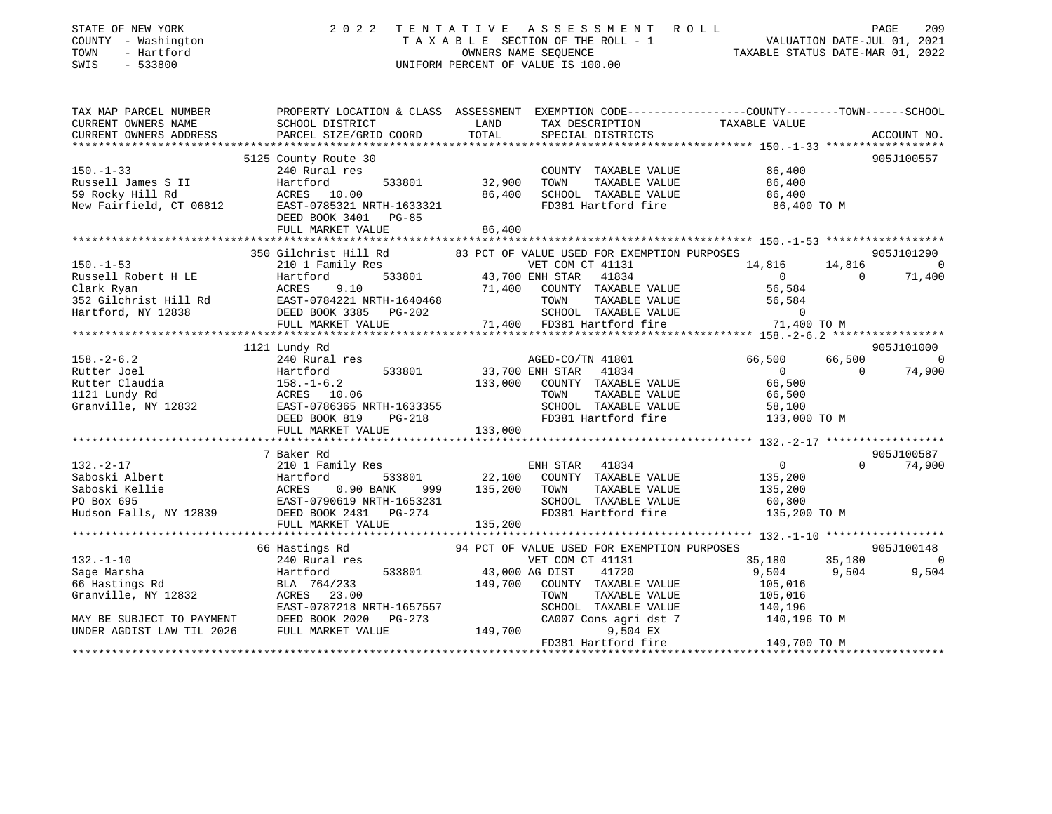| STATE OF NEW YORK<br>COUNTY - Washington<br>- Hartford<br>TOWN<br>$-533800$<br>SWIS | 2 0 2 2                                          | ASSESSMENT ROLL<br>TENTATIVE<br>UNIFORM PERCENT OF VALUE IS 100.00 | PAGE<br>209<br>T A X A B L E SECTION OF THE ROLL - 1 VALUATION DATE-JUL 01, 2021<br>OWNERS NAME SEQUENCE TAXABLE STATUS DATE-MAR 01, 2022 |
|-------------------------------------------------------------------------------------|--------------------------------------------------|--------------------------------------------------------------------|-------------------------------------------------------------------------------------------------------------------------------------------|
| TAX MAP PARCEL NUMBER<br>CURRENT OWNERS NAME                                        | SCHOOL DISTRICT                                  | LAND<br>TAX DESCRIPTION                                            | PROPERTY LOCATION & CLASS ASSESSMENT EXEMPTION CODE---------------COUNTY-------TOWN------SCHOOL<br>TAXABLE VALUE                          |
| CURRENT OWNERS ADDRESS                                                              | PARCEL SIZE/GRID COORD                           | TOTAL<br>SPECIAL DISTRICTS                                         | ACCOUNT NO.                                                                                                                               |
|                                                                                     |                                                  |                                                                    |                                                                                                                                           |
|                                                                                     | 5125 County Route 30                             |                                                                    | 905J100557                                                                                                                                |
| $150. - 1 - 33$<br>Russell James S II                                               | 240 Rural res<br>Hartford<br>533801              | COUNTY TAXABLE VALUE<br>32,900<br>TOWN<br>TAXABLE VALUE            | 86,400<br>86,400                                                                                                                          |
| 59 Rocky Hill Rd                                                                    | ACRES 10.00                                      | 86,400<br>SCHOOL TAXABLE VALUE                                     | 86,400                                                                                                                                    |
| New Fairfield, CT 06812                                                             | EAST-0785321 NRTH-1633321                        | FD381 Hartford fire                                                | 86,400 TO M                                                                                                                               |
|                                                                                     | DEED BOOK 3401<br>PG-85                          |                                                                    |                                                                                                                                           |
|                                                                                     | FULL MARKET VALUE                                | 86,400                                                             |                                                                                                                                           |
|                                                                                     |                                                  |                                                                    |                                                                                                                                           |
|                                                                                     | 350 Gilchrist Hill Rd                            | 83 PCT OF VALUE USED FOR EXEMPTION PURPOSES                        | 905J101290                                                                                                                                |
| $150. - 1 - 53$                                                                     | 210 1 Family Res                                 | VET COM CT 41131                                                   | 14,816<br>14,816<br>$\overline{0}$<br>$\Omega$                                                                                            |
| Russell Robert H LE                                                                 | 533801<br>Hartford<br>ACRES<br>9.10              | 43,700 ENH STAR<br>41834<br>71,400<br>COUNTY TAXABLE VALUE         | $\overline{0}$<br>71,400<br>56,584                                                                                                        |
| Clark Ryan<br>352 Gilchrist Hill Rd                                                 | EAST-0784221 NRTH-1640468                        | TOWN<br>TAXABLE VALUE                                              | 56,584                                                                                                                                    |
| Hartford, NY 12838                                                                  | DEED BOOK 3385 PG-202                            | SCHOOL TAXABLE VALUE                                               | 0                                                                                                                                         |
|                                                                                     | FULL MARKET VALUE                                | 71,400 FD381 Hartford fire                                         | 71,400 TO M                                                                                                                               |
|                                                                                     |                                                  |                                                                    |                                                                                                                                           |
|                                                                                     | 1121 Lundy Rd                                    |                                                                    | 905J101000                                                                                                                                |
| $158. - 2 - 6.2$                                                                    | 240 Rural res                                    | AGED-CO/TN 41801                                                   | 66,500<br>66,500<br>$\sim$ 0                                                                                                              |
| Rutter Joel                                                                         | Hartford<br>533801                               | 33,700 ENH STAR<br>41834                                           | 74,900<br>$\overline{0}$<br>$\Omega$                                                                                                      |
| Rutter Claudia                                                                      | $158. - 1 - 6.2$<br>ACRES 10.06                  | 133,000<br>COUNTY TAXABLE VALUE<br>TOWN<br>TAXABLE VALUE           | 66,500                                                                                                                                    |
| 1121 Lundy Rd<br>Granville, NY 12832                                                | EAST-0786365 NRTH-1633355                        | SCHOOL TAXABLE VALUE                                               | 66,500<br>58,100                                                                                                                          |
|                                                                                     | DEED BOOK 819<br>$PG-218$                        | FD381 Hartford fire                                                | 133,000 TO M                                                                                                                              |
|                                                                                     | FULL MARKET VALUE                                | 133,000                                                            |                                                                                                                                           |
|                                                                                     |                                                  |                                                                    |                                                                                                                                           |
|                                                                                     | 7 Baker Rd                                       |                                                                    | 905J100587                                                                                                                                |
| $132. - 2 - 17$                                                                     | 210 1 Family Res                                 | ENH STAR<br>41834                                                  | 0<br>$\Omega$<br>74,900                                                                                                                   |
| Saboski Albert                                                                      | Hartford<br>533801                               | 22,100<br>COUNTY TAXABLE VALUE                                     | 135,200                                                                                                                                   |
| Saboski Kellie<br>PO Box 695                                                        | ACRES 0.90 BANK 999<br>EAST-0790619 NRTH-1653231 | 135,200<br>TOWN<br>TAXABLE VALUE<br>SCHOOL TAXABLE VALUE           | 135,200                                                                                                                                   |
| Hudson Falls, NY 12839                                                              | DEED BOOK 2431<br>$PG-274$                       | FD381 Hartford fire                                                | 60,300<br>135,200 TO M                                                                                                                    |
|                                                                                     | FULL MARKET VALUE                                | 135,200                                                            |                                                                                                                                           |
|                                                                                     |                                                  |                                                                    |                                                                                                                                           |
|                                                                                     | 66 Hastings Rd                                   | 94 PCT OF VALUE USED FOR EXEMPTION PURPOSES                        | 905J100148                                                                                                                                |
| $132. - 1 - 10$                                                                     | 240 Rural res                                    | VET COM CT 41131                                                   | 35,180<br>35,180<br>$\overline{0}$                                                                                                        |
| Sage Marsha                                                                         | 533801<br>Hartford                               | 43,000 AG DIST<br>41720                                            | 9,504<br>9,504<br>9,504                                                                                                                   |
| 66 Hastings Rd                                                                      | BLA 764/233                                      | 149,700<br>COUNTY TAXABLE VALUE                                    | 105,016                                                                                                                                   |
| Granville, NY 12832                                                                 | ACRES 23.00<br>EAST-0787218 NRTH-1657557         | TOWN<br>TAXABLE VALUE<br>SCHOOL TAXABLE VALUE                      | 105,016                                                                                                                                   |
| MAY BE SUBJECT TO PAYMENT                                                           | DEED BOOK 2020<br>$PG-273$                       | CA007 Cons agri dst 7                                              | 140,196<br>140,196 TO M                                                                                                                   |
| UNDER AGDIST LAW TIL 2026                                                           | FULL MARKET VALUE                                | 149,700<br>9,504 EX                                                |                                                                                                                                           |
|                                                                                     |                                                  | FD381 Hartford fire                                                | 149,700 TO M                                                                                                                              |
|                                                                                     |                                                  |                                                                    |                                                                                                                                           |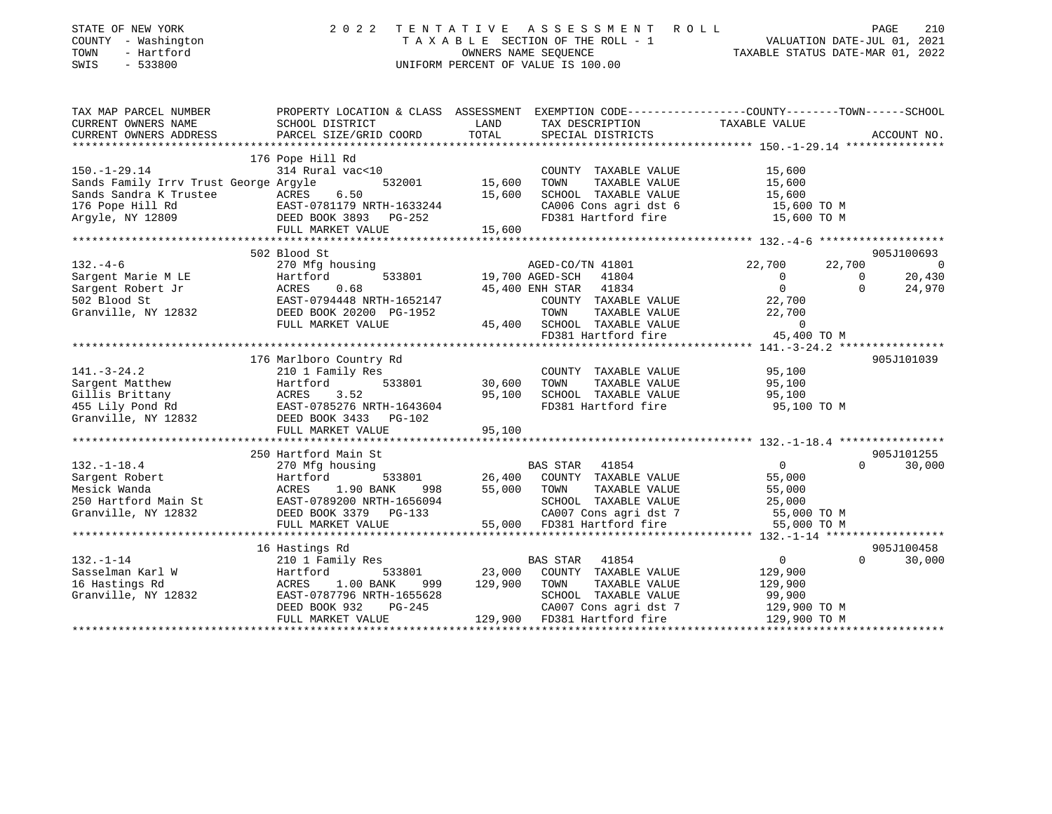| STATE OF NEW YORK<br>COUNTY - Washington<br>- Hartford<br>TOWN<br>SWIS<br>$-533800$ | 2 0 2 2                                                                               | TENTATIVE ASSESSMENT<br>TAXABLE SECTION OF THE ROLL - 1<br>OWNERS NAME SEOUENCE<br>UNIFORM PERCENT OF VALUE IS 100.00 | PAGE 210<br>VALUATION DATE-JUL 01, 2021<br>TAXABLE STATUS DATE MARIC 201 |
|-------------------------------------------------------------------------------------|---------------------------------------------------------------------------------------|-----------------------------------------------------------------------------------------------------------------------|--------------------------------------------------------------------------|
| TAX MAP PARCEL NUMBER                                                               |                                                                                       | PROPERTY LOCATION & CLASS ASSESSMENT EXEMPTION CODE----------------COUNTY--------TOWN------SCHOOL                     |                                                                          |
| CURRENT OWNERS NAME                                                                 | SCHOOL DISTRICT                                                                       | LAND<br>TAX DESCRIPTION                                                                                               | TAXABLE VALUE                                                            |
| CURRENT OWNERS ADDRESS                                                              | PARCEL SIZE/GRID COORD                                                                | TOTAL<br>SPECIAL DISTRICTS                                                                                            | ACCOUNT NO.                                                              |
|                                                                                     |                                                                                       |                                                                                                                       |                                                                          |
|                                                                                     | 176 Pope Hill Rd                                                                      |                                                                                                                       |                                                                          |
| $150. - 1 - 29.14$                                                                  | 314 Rural vac<10                                                                      | COUNTY TAXABLE VALUE                                                                                                  | 15,600                                                                   |
| Sands Family Irrv Trust George Argyle                                               | 532001                                                                                | 15,600<br>TOWN<br>TAXABLE VALUE                                                                                       | 15,600                                                                   |
| Sands Sandra K Trustee                                                              | EAST-0781179 NRTH-1633244                                                             | 15,600<br>SCHOOL TAXABLE VALUE                                                                                        | 15,600<br>$15,600$ TO M<br>$15,600$ TO M                                 |
| 176 Pope Hill Rd<br>Argyle, NY 12809                                                |                                                                                       | CA006 Cons agri dst 6<br>FD381 Hartford fire                                                                          | 15,600 TO M                                                              |
|                                                                                     | ACRES 6.50<br>EAST-0781179 NRTH-1633244<br>DEED BOOK 3893 PG-252<br>FULL MARKET VALUE | 15,600                                                                                                                |                                                                          |
|                                                                                     |                                                                                       |                                                                                                                       |                                                                          |
|                                                                                     | 502 Blood St                                                                          |                                                                                                                       | 905J100693                                                               |
| $132. -4-6$                                                                         | 270 Mfg housing                                                                       | AGED-CO/TN 41801                                                                                                      | 22,700<br>22,700<br>$\overline{0}$                                       |
| Sargent Marie M LE                                                                  | 533801                                                                                | 19,700 AGED-SCH<br>41804                                                                                              | $\Omega$<br>20,430<br>$\Omega$                                           |
| Sargent Robert Jr                                                                   |                                                                                       | 45,400 ENH STAR<br>41834                                                                                              | $\overline{0}$<br>$\Omega$<br>24,970                                     |
| 502 Blood St                                                                        |                                                                                       | COUNTY TAXABLE VALUE                                                                                                  | 22,700                                                                   |
| Granville, NY 12832                                                                 | Hartford 533801<br>ACRES 0.68<br>EAST-0794448 NRTH-1652147<br>DEED BOOK 20200 PG-1952 | TOWN<br>TAXABLE VALUE                                                                                                 | 22,700                                                                   |
|                                                                                     | FULL MARKET VALUE                                                                     | 45,400<br>SCHOOL TAXABLE VALUE                                                                                        | $\mathbf 0$                                                              |
|                                                                                     |                                                                                       | FD381 Hartford fire                                                                                                   | 45,400 TO M                                                              |
|                                                                                     |                                                                                       |                                                                                                                       |                                                                          |
|                                                                                     | 176 Marlboro Country Rd                                                               |                                                                                                                       | 905J101039                                                               |
| $141. - 3 - 24.2$                                                                   | 210 1 Family Res                                                                      | COUNTY TAXABLE VALUE                                                                                                  | 95,100                                                                   |
| Sargent Matthew                                                                     | 533801<br>Hartford                                                                    | 30,600<br>TOWN<br>TAXABLE VALUE                                                                                       | 95,100                                                                   |
|                                                                                     |                                                                                       | 95,100<br>SCHOOL TAXABLE VALUE                                                                                        | 95,100                                                                   |
|                                                                                     |                                                                                       | FD381 Hartford fire                                                                                                   | 95,100 TO M                                                              |
|                                                                                     |                                                                                       |                                                                                                                       |                                                                          |
|                                                                                     | FULL MARKET VALUE                                                                     | 95,100                                                                                                                |                                                                          |
|                                                                                     |                                                                                       |                                                                                                                       | 905J101255                                                               |
|                                                                                     | 250 Hartford Main St                                                                  | 41854                                                                                                                 | $\overline{0}$<br>30,000<br>$\Omega$                                     |
| $132. - 1 - 18.4$<br>Sargent Robert                                                 | 270 Mfg housing<br>533801<br>Hartford                                                 | <b>BAS STAR</b><br>26,400 COUNTY TAXABLE VALUE                                                                        | 55,000                                                                   |
| Mesick Wanda                                                                        | ACRES<br>1.90 BANK<br>998                                                             | 55,000<br>TOWN<br>TAXABLE VALUE                                                                                       | 55,000                                                                   |
| 250 Hartford Main St                                                                | EAST-0789200 NRTH-1656094                                                             | SCHOOL TAXABLE VALUE                                                                                                  | 25,000                                                                   |
| Granville, NY 12832                                                                 | DEED BOOK 3379 PG-133                                                                 | CA007 Cons agri dst 7                                                                                                 | 55,000 TO M                                                              |
|                                                                                     | FULL MARKET VALUE                                                                     | 55,000 FD381 Hartford fire                                                                                            | 55,000 TO M                                                              |
|                                                                                     |                                                                                       |                                                                                                                       |                                                                          |
|                                                                                     | 16 Hastings Rd                                                                        |                                                                                                                       | 905J100458                                                               |
| $132. - 1 - 14$                                                                     | 210 1 Family Res                                                                      | <b>BAS STAR</b><br>41854                                                                                              | $\mathbf{0}$<br>$\Omega$<br>30,000                                       |
| Sasselman Karl W                                                                    | Hartford<br>533801                                                                    | COUNTY TAXABLE VALUE<br>23,000                                                                                        | 129,900                                                                  |
| 16 Hastings Rd                                                                      | ACRES<br>$1.00$ BANK<br>999                                                           | 129,900<br>TOWN<br>TAXABLE VALUE                                                                                      | 129,900                                                                  |
|                                                                                     | Granville, NY 12832 EAST-0787796 NRTH-1655628                                         | SCHOOL TAXABLE VALUE                                                                                                  | 99,900                                                                   |
|                                                                                     | DEED BOOK 932<br>PG-245                                                               | CA007 Cons agri dst 7                                                                                                 | 129,900 TO M                                                             |
|                                                                                     | FULL MARKET VALUE                                                                     | 129,900 FD381 Hartford fire                                                                                           | 129,900 TO M                                                             |
|                                                                                     |                                                                                       |                                                                                                                       |                                                                          |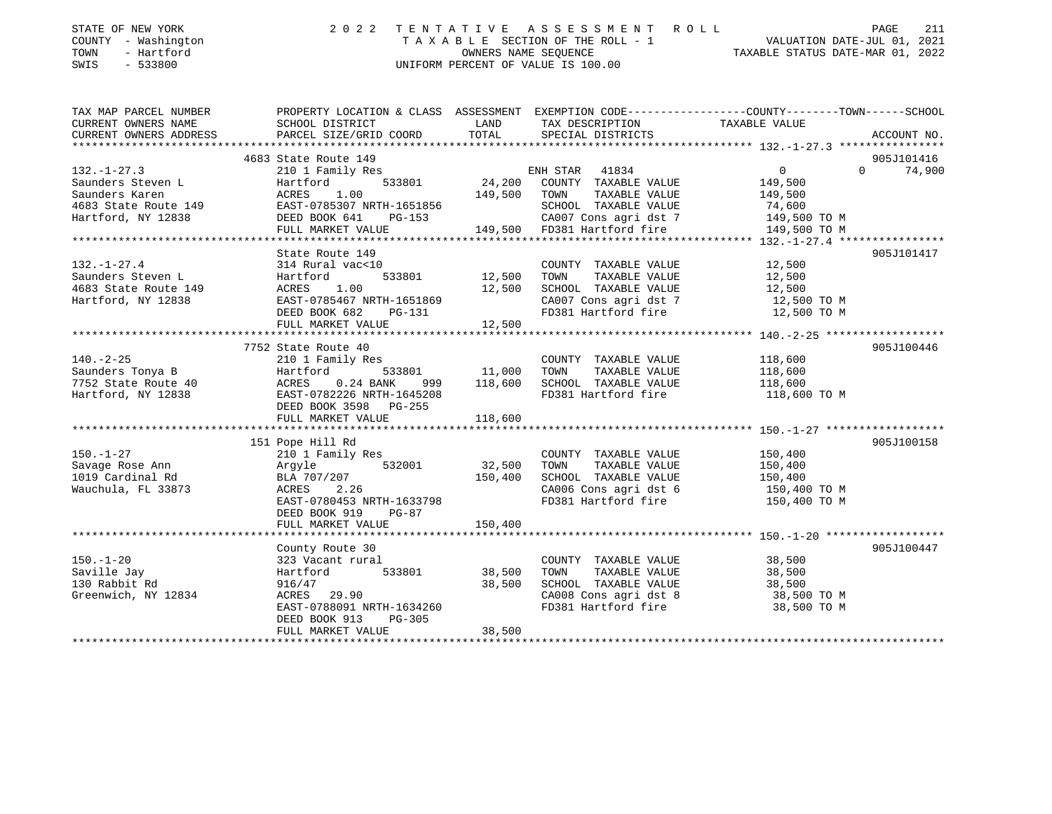| STATE OF NEW YORK<br>COUNTY - Washington<br>- Hartford<br>TOWN<br>$-533800$<br>SWIS                                 |                                                                                                                                                                                                                                                                                                                                                                                                                                                                                                                                                                                    |                                                                                         | 2022 TENTATIVE ASSESSMENT ROLL<br>UNIFORM PERCENT OF VALUE IS 100.00                                                                                                         | PAGE<br>211                                                                                                             |
|---------------------------------------------------------------------------------------------------------------------|------------------------------------------------------------------------------------------------------------------------------------------------------------------------------------------------------------------------------------------------------------------------------------------------------------------------------------------------------------------------------------------------------------------------------------------------------------------------------------------------------------------------------------------------------------------------------------|-----------------------------------------------------------------------------------------|------------------------------------------------------------------------------------------------------------------------------------------------------------------------------|-------------------------------------------------------------------------------------------------------------------------|
| CURRENT OWNERS NAME                                                                                                 | SCHOOL DISTRICT                                                                                                                                                                                                                                                                                                                                                                                                                                                                                                                                                                    | <b>EXAMPLE THE STATE OF STATE OF STATE OF STATE OF STATE OF STATE OF STATE OF STATE</b> | TAX DESCRIPTION TAXABLE VALUE                                                                                                                                                | TAX MAP PARCEL NUMBER THE PROPERTY LOCATION & CLASS ASSESSMENT EXEMPTION CODE--------------COUNTY-------TOWN-----SCHOOL |
|                                                                                                                     |                                                                                                                                                                                                                                                                                                                                                                                                                                                                                                                                                                                    |                                                                                         |                                                                                                                                                                              |                                                                                                                         |
| $132. -1 - 27.3$<br>$132. - 1 - 27.4$<br>Saunders Steven L<br>4683 State Route 149 ACRES 1.00<br>Hartford, NY 12838 | 4683 State Route 149<br>210 1 Family Res<br>Saunders Steven L 6. 149,500 ED 6.13801 6. 24,200 COUNTY TAXABLE VALUE 6.149,500<br>Saunders Karen 1.00 199,500<br>ACRES 1.00 149,500 TOWN TAXABLE VALUE 149,500<br>4683 State Route 149 EAST-0785307 NRTH-1651856 SCHOOL TAXABLE VALUE 74.600<br>Hartford, NY 12838 500 DEED BOOK 641 PG-153 500 CA007 Cons agri dst 7 149,500 TO M<br>FULL MARKET VALUE 149,500 FD381 Hartford fire 149,500 TO M<br>State Route 149<br>314 Rural vac<10<br>Hartford<br>ACRES 1.00 12,500<br>EAST-0785467 NRTH-1651869 12,500<br>DEED BOOK 682 PG-131 | 533801 12,500 TOWN                                                                      | ENH STAR 41834<br>COUNTY TAXABLE VALUE 12,500<br>TAXABLE VALUE 12,500<br>SCHOOL TAXABLE VALUE 12,500<br>CA007 Cons agri dst 7 12,500 TO M<br>FD381 Hartford fire 12,500 TO M | 905J101416<br>$\overline{0}$<br>$0 \t 74,900$<br>905J101417                                                             |
|                                                                                                                     |                                                                                                                                                                                                                                                                                                                                                                                                                                                                                                                                                                                    |                                                                                         |                                                                                                                                                                              |                                                                                                                         |
| $140. - 2 - 25$<br>Saunders Tonya B<br>7752 State Route 40 ACRES<br>Hartford, NY 12838                              | 7752 State Route 40<br>210 1 Family Res<br>Hartford<br>$0.24$ BANK<br>999<br>EAST-0782226 NRTH-1645208<br>DEED BOOK 3598 PG-255                                                                                                                                                                                                                                                                                                                                                                                                                                                    | 533801 11,000<br>118,600                                                                | COUNTY TAXABLE VALUE<br>TOWN<br>TAXABLE VALUE<br>SCHOOL TAXABLE VALUE<br>FD381 Hartford fire 118,600 TO M                                                                    | 905J100446<br>118,600<br>118,600<br>118,600                                                                             |

|                     | FULL MARKET VALUE         | 118,600 |                         |              |            |
|---------------------|---------------------------|---------|-------------------------|--------------|------------|
|                     |                           |         |                         |              |            |
|                     | 151 Pope Hill Rd          |         |                         |              | 905J100158 |
| 150.-1-27           | 210 1 Family Res          |         | COUNTY<br>TAXABLE VALUE | 150,400      |            |
| Savage Rose Ann     | Argyle<br>532001          | 32,500  | TAXABLE VALUE<br>TOWN   | 150,400      |            |
| 1019 Cardinal Rd    | BLA 707/207               | 150,400 | SCHOOL TAXABLE VALUE    | 150,400      |            |
| Wauchula, FL 33873  | ACRES 2.26                |         | CA006 Cons agri dst 6   | 150,400 TO M |            |
|                     | EAST-0780453 NRTH-1633798 |         | FD381 Hartford fire     | 150,400 TO M |            |
|                     | DEED BOOK 919<br>PG-87    |         |                         |              |            |
|                     | FULL MARKET VALUE         | 150,400 |                         |              |            |
|                     |                           |         |                         |              |            |
|                     | County Route 30           |         |                         |              | 905J100447 |
| $150. - 1 - 20$     | 323 Vacant rural          |         | COUNTY<br>TAXABLE VALUE | 38,500       |            |
| Saville Jay         | 533801<br>Hartford        | 38,500  | TOWN<br>TAXABLE VALUE   | 38,500       |            |
| 130 Rabbit Rd       | 916/47                    | 38,500  | SCHOOL TAXABLE VALUE    | 38,500       |            |
| Greenwich, NY 12834 | ACRES 29.90               |         | CA008 Cons agri dst 8   | 38,500 TO M  |            |
|                     | EAST-0788091 NRTH-1634260 |         | FD381 Hartford fire     | 38,500 TO M  |            |
|                     | DEED BOOK 913<br>PG-305   |         |                         |              |            |
|                     | FULL MARKET VALUE         | 38,500  |                         |              |            |
|                     |                           |         |                         |              |            |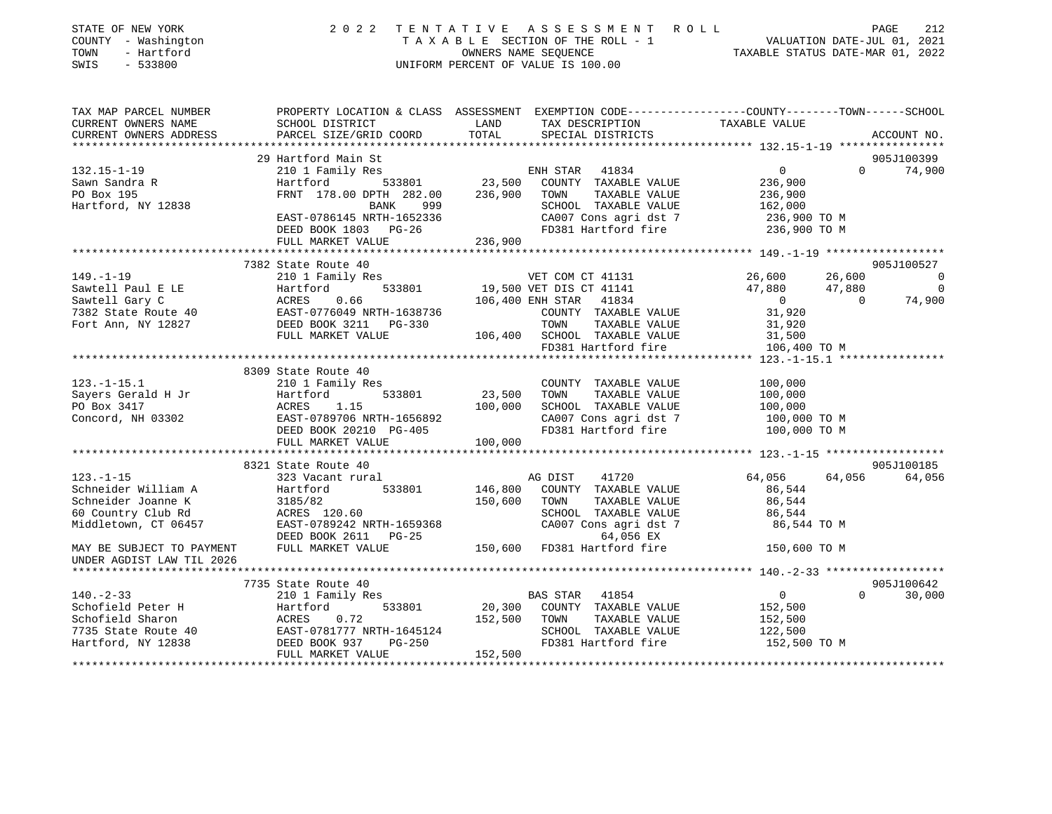| STATE OF NEW YORK<br>COUNTY - Washington<br>- Hartford<br>TOWN<br>SWIS<br>$-533800$ | 2 0 2 2<br>TENTATIVE                               | ASSESSMENT ROLL<br>UNIFORM PERCENT OF VALUE IS 100.00 | TAXABLE SECTION OF THE ROLL - 1<br>OWNERS NAME SEQUENCE<br>TAXABLE STATUS DATE-JUL 01, 2021<br>TAXABLE STATUS DATE-MAR 01, 2022<br>TAXABLE STATUS DATE-MAR 01, 2022 | PAGE<br>212                          |
|-------------------------------------------------------------------------------------|----------------------------------------------------|-------------------------------------------------------|---------------------------------------------------------------------------------------------------------------------------------------------------------------------|--------------------------------------|
| TAX MAP PARCEL NUMBER<br>CURRENT OWNERS NAME                                        | SCHOOL DISTRICT                                    | LAND<br>TAX DESCRIPTION                               | PROPERTY LOCATION & CLASS ASSESSMENT EXEMPTION CODE---------------COUNTY-------TOWN-----SCHOOL<br>TAXABLE VALUE                                                     |                                      |
| CURRENT OWNERS ADDRESS                                                              | PARCEL SIZE/GRID COORD                             | TOTAL<br>SPECIAL DISTRICTS                            |                                                                                                                                                                     | ACCOUNT NO.                          |
|                                                                                     |                                                    |                                                       |                                                                                                                                                                     |                                      |
|                                                                                     | 29 Hartford Main St                                |                                                       |                                                                                                                                                                     | 905J100399                           |
| $132.15 - 1 - 19$                                                                   | 210 1 Family Res                                   | ENH STAR 41834                                        | $\overline{0}$                                                                                                                                                      | $\Omega$<br>74,900                   |
| Sawn Sandra R                                                                       | 533801<br>Hartford                                 | 23,500<br>COUNTY TAXABLE VALUE                        | 236,900                                                                                                                                                             |                                      |
| PO Box 195                                                                          | FRNT 178.00 DPTH 282.00                            | 236,900<br>TOWN<br>TAXABLE VALUE                      | 236,900                                                                                                                                                             |                                      |
| Hartford, NY 12838                                                                  | 999<br>BANK                                        | SCHOOL TAXABLE VALUE                                  | 162,000                                                                                                                                                             |                                      |
|                                                                                     | EAST-0786145 NRTH-1652336                          | CA007 Cons agri dst 7                                 | 236,900 ТО М                                                                                                                                                        |                                      |
|                                                                                     | DEED BOOK 1803 PG-26                               | FD381 Hartford fire                                   | 236,900 TO M                                                                                                                                                        |                                      |
|                                                                                     | FULL MARKET VALUE                                  | 236,900                                               |                                                                                                                                                                     |                                      |
|                                                                                     |                                                    |                                                       |                                                                                                                                                                     |                                      |
|                                                                                     | 7382 State Route 40                                |                                                       |                                                                                                                                                                     | 905J100527                           |
| $149. - 1 - 19$                                                                     | 210 1 Family Res                                   | VET COM CT 41131                                      | 26,600                                                                                                                                                              | 26,600<br>$\overline{0}$             |
| Sawtell Paul E LE                                                                   | 533801<br>Hartford                                 | 19,500 VET DIS CT 41141                               | 47,880<br>$\overline{0}$                                                                                                                                            | 47,880<br>$\overline{0}$<br>$\Omega$ |
| Sawtell Gary C                                                                      | ACRES<br>0.66                                      | 106,400 ENH STAR 41834                                | 31,920                                                                                                                                                              | 74,900                               |
| 7382 State Route 40                                                                 | EAST-0776049 NRTH-1638736<br>DEED BOOK 3211 PG-330 | COUNTY TAXABLE VALUE<br>TOWN<br>TAXABLE VALUE         |                                                                                                                                                                     |                                      |
| Fort Ann, NY 12827                                                                  | FULL MARKET VALUE                                  | 106,400 SCHOOL TAXABLE VALUE                          | 31,920<br>31,500                                                                                                                                                    |                                      |
|                                                                                     |                                                    | FD381 Hartford fire                                   | 106,400 TO M                                                                                                                                                        |                                      |
|                                                                                     |                                                    |                                                       |                                                                                                                                                                     |                                      |
|                                                                                     | 8309 State Route 40                                |                                                       |                                                                                                                                                                     |                                      |
| $123. - 1 - 15.1$                                                                   | 210 1 Family Res                                   | COUNTY TAXABLE VALUE                                  | 100,000                                                                                                                                                             |                                      |
| Sayers Gerald H Jr                                                                  | Hartford<br>533801                                 | 23,500<br>TOWN<br>TAXABLE VALUE                       | 100,000                                                                                                                                                             |                                      |
| PO Box 3417                                                                         | 1.15<br>ACRES                                      | 100,000<br>SCHOOL TAXABLE VALUE                       | 100,000                                                                                                                                                             |                                      |
| Concord, NH 03302                                                                   | EAST-0789706 NRTH-1656892                          | CA007 Cons agri dst 7                                 | 100,000 TO M                                                                                                                                                        |                                      |
|                                                                                     | DEED BOOK 20210 PG-405                             | FD381 Hartford fire                                   | 100,000 TO M                                                                                                                                                        |                                      |
|                                                                                     | FULL MARKET VALUE                                  | 100,000                                               |                                                                                                                                                                     |                                      |
|                                                                                     |                                                    |                                                       |                                                                                                                                                                     |                                      |
|                                                                                     | 8321 State Route 40                                |                                                       |                                                                                                                                                                     | 905J100185                           |
| $123. - 1 - 15$                                                                     | 323 Vacant rural                                   | 41720<br>AG DIST                                      | 64,056                                                                                                                                                              | 64,056<br>64,056                     |
| Schneider William A                                                                 | 533801<br>Hartford                                 | 146,800<br>COUNTY TAXABLE VALUE                       | 86,544                                                                                                                                                              |                                      |
| Schneider Joanne K                                                                  | 3185/82                                            | TAXABLE VALUE<br>150,600<br>TOWN                      | 86,544                                                                                                                                                              |                                      |
| 60 Country Club Rd                                                                  | ACRES 120.60                                       | SCHOOL TAXABLE VALUE                                  | 86,544                                                                                                                                                              |                                      |
| Middletown, CT 06457                                                                | EAST-0789242 NRTH-1659368                          | CA007 Cons agri dst 7                                 | 86,544 TO M                                                                                                                                                         |                                      |
|                                                                                     | DEED BOOK 2611 PG-25                               | 64,056 EX                                             |                                                                                                                                                                     |                                      |
| MAY BE SUBJECT TO PAYMENT<br>UNDER AGDIST LAW TIL 2026                              | FULL MARKET VALUE                                  | 150,600 FD381 Hartford fire                           | 150,600 TO M                                                                                                                                                        |                                      |
|                                                                                     |                                                    |                                                       |                                                                                                                                                                     |                                      |
|                                                                                     | 7735 State Route 40                                |                                                       |                                                                                                                                                                     | 905J100642                           |
| $140. - 2 - 33$                                                                     | 210 1 Family Res                                   | BAS STAR 41854                                        | $\overline{0}$                                                                                                                                                      | $\Omega$<br>30,000                   |
| Schofield Peter H                                                                   | 533801<br>Hartford                                 | 20,300<br>COUNTY TAXABLE VALUE                        | 152,500                                                                                                                                                             |                                      |
| Schofield Sharon                                                                    | 0.72<br>ACRES                                      | 152,500<br>TOWN<br>TAXABLE VALUE                      | 152,500                                                                                                                                                             |                                      |
| 7735 State Route 40<br>Hartford, NY 12838                                           | EAST-0781777 NRTH-1645124<br>DEED BOOK 937 PG-250  | SCHOOL TAXABLE VALUE<br>FD381 Hartford fire           | 122,500<br>152.500 TO M                                                                                                                                             |                                      |
|                                                                                     |                                                    |                                                       |                                                                                                                                                                     |                                      |

\*\*\*\*\*\*\*\*\*\*\*\*\*\*\*\*\*\*\*\*\*\*\*\*\*\*\*\*\*\*\*\*\*\*\*\*\*\*\*\*\*\*\*\*\*\*\*\*\*\*\*\*\*\*\*\*\*\*\*\*\*\*\*\*\*\*\*\*\*\*\*\*\*\*\*\*\*\*\*\*\*\*\*\*\*\*\*\*\*\*\*\*\*\*\*\*\*\*\*\*\*\*\*\*\*\*\*\*\*\*\*\*\*\*\*\*\*\*\*\*\*\*\*\*\*\*\*\*\*\*\*\*

FULL MARKET VALUE 152,500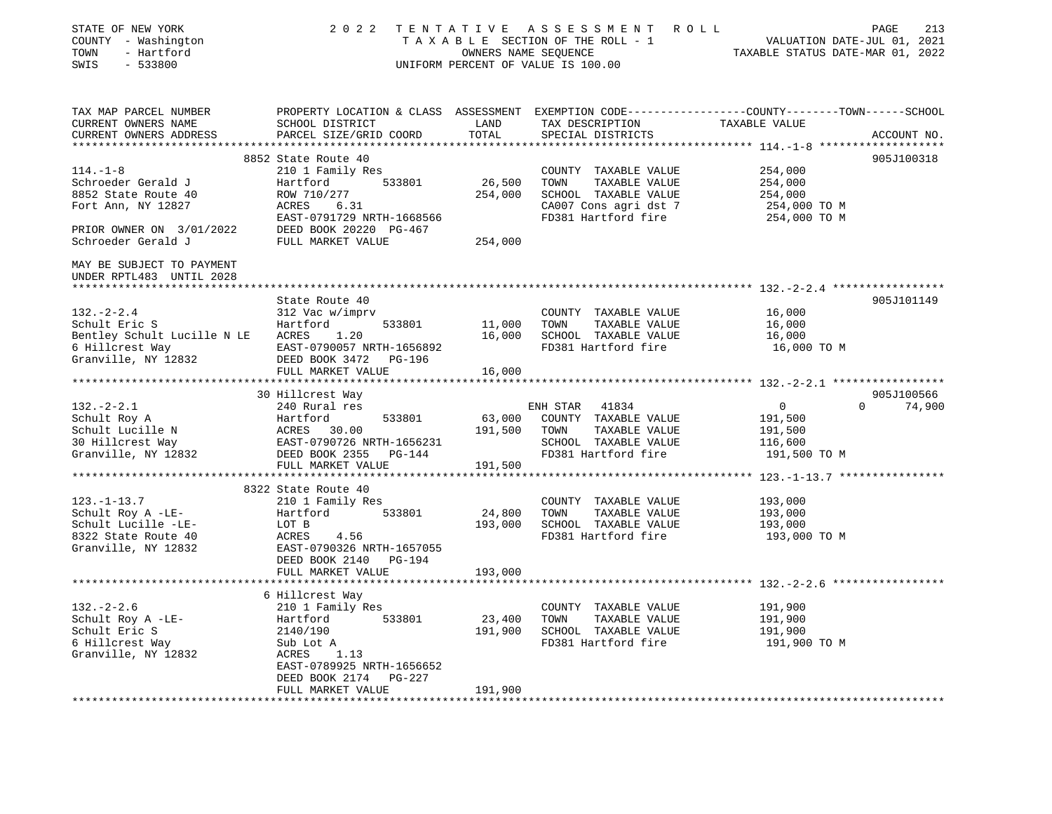| STATE OF NEW YORK<br>COUNTY - Washington<br>TOWN<br>- Hartford<br>SWIS<br>$-533800$                                                                                                                                                                            |                                                                                                                                               |                                 | 2022 TENTATIVE ASSESSMENT ROLL<br>UNIFORM PERCENT OF VALUE IS 100.00                                          | TENTATIVE ASSESSMENT ROLL<br>TAXABLE SECTION OF THE ROLL - 1 VALUATION DATE-JUL 01, 2021<br>CONNERS NAME SEQUENCE TAXABLE STATUS DATE-MAR 01, 2022 |             |
|----------------------------------------------------------------------------------------------------------------------------------------------------------------------------------------------------------------------------------------------------------------|-----------------------------------------------------------------------------------------------------------------------------------------------|---------------------------------|---------------------------------------------------------------------------------------------------------------|----------------------------------------------------------------------------------------------------------------------------------------------------|-------------|
| TAX MAP PARCEL NUMBER<br>CURRENT OWNERS NAME<br>CURRENT OWNERS ADDRESS                                                                                                                                                                                         | PROPERTY LOCATION & CLASS ASSESSMENT EXEMPTION CODE----------------COUNTY-------TOWN------SCHOOL<br>SCHOOL DISTRICT<br>PARCEL SIZE/GRID COORD | LAND<br>TOTAL                   | TAX DESCRIPTION<br>SPECIAL DISTRICTS                                                                          | TAXABLE VALUE                                                                                                                                      | ACCOUNT NO. |
|                                                                                                                                                                                                                                                                | 8852 State Route 40                                                                                                                           |                                 |                                                                                                               |                                                                                                                                                    | 905J100318  |
| $114. - 1 - 8$<br>Schroeder Gerald J<br>8852 State Route 40<br>Fort Ann, NY 12827<br>PRIOR OWNER ON 3/01/2022                                                                                                                                                  | 210 1 Family Res<br>Hartford<br>533801<br>ROW 710/277<br>ACRES<br>6.31<br>EAST-0791729 NRTH-1668566<br>DEED BOOK 20220 PG-467                 | 26,500 TOWN<br>254,000          | COUNTY TAXABLE VALUE<br>TAXABLE VALUE<br>SCHOOL TAXABLE VALUE<br>CA007 Cons agri dst 7<br>FD381 Hartford fire | 254,000<br>254,000<br>254,000<br>254,000 TO M<br>254,000 TO M                                                                                      |             |
| Schroeder Gerald J                                                                                                                                                                                                                                             | FULL MARKET VALUE                                                                                                                             | 254,000                         |                                                                                                               |                                                                                                                                                    |             |
| MAY BE SUBJECT TO PAYMENT<br>UNDER RPTL483 UNTIL 2028<br>*************************                                                                                                                                                                             |                                                                                                                                               |                                 |                                                                                                               |                                                                                                                                                    |             |
|                                                                                                                                                                                                                                                                | State Route 40                                                                                                                                |                                 |                                                                                                               |                                                                                                                                                    | 905J101149  |
| $132 - 2 - 2.4$                                                                                                                                                                                                                                                | 312 Vac w/imprv                                                                                                                               |                                 | COUNTY TAXABLE VALUE                                                                                          | 16,000                                                                                                                                             |             |
| Schult Eric S                                                                                                                                                                                                                                                  | Hartford<br>533801                                                                                                                            | $11,000$ TOWN                   | TAXABLE VALUE                                                                                                 | 16,000                                                                                                                                             |             |
| Bentley Schult Lucille N LE ACRES                                                                                                                                                                                                                              | 1.20                                                                                                                                          |                                 | 16,000 SCHOOL TAXABLE VALUE                                                                                   | 16,000                                                                                                                                             |             |
| 6 Hillcrest Way<br>Granville, NY 12832                                                                                                                                                                                                                         | EAST-0790057 NRTH-1656892<br>DEED BOOK 3472 PG-196                                                                                            |                                 | FD381 Hartford fire                                                                                           | 16,000 TO M                                                                                                                                        |             |
|                                                                                                                                                                                                                                                                | FULL MARKET VALUE                                                                                                                             | 16,000                          |                                                                                                               |                                                                                                                                                    |             |
|                                                                                                                                                                                                                                                                |                                                                                                                                               |                                 |                                                                                                               |                                                                                                                                                    |             |
|                                                                                                                                                                                                                                                                | 30 Hillcrest Way                                                                                                                              |                                 |                                                                                                               |                                                                                                                                                    | 905J100566  |
| $132. - 2 - 2.1$                                                                                                                                                                                                                                               | 240 Rural res                                                                                                                                 |                                 | ENH STAR<br>41834                                                                                             | $\Omega$<br>$\overline{0}$                                                                                                                         | 74,900      |
|                                                                                                                                                                                                                                                                |                                                                                                                                               | $533801$ 63,000<br>191,500 TOWN | COUNTY TAXABLE VALUE<br>TAXABLE VALUE                                                                         | 191,500<br>191,500                                                                                                                                 |             |
|                                                                                                                                                                                                                                                                |                                                                                                                                               |                                 | SCHOOL TAXABLE VALUE                                                                                          | 116,600                                                                                                                                            |             |
| Schult Roy A<br>Schult Lucille N<br>30 Hillcrest Way<br>Granville, NY 12832<br>Schult Power & Martford<br>533801<br>533801<br>26 Hartford<br>26 Hartford<br>26 Hartford<br>2533801<br>26 Hartford<br>2533801<br>26 Hartford<br>26 Hartford<br>26 Hartford<br>2 | EAST-0790726 NRTH-1656231<br>DEED BOOK 2355 PG-144                                                                                            |                                 | FD381 Hartford fire 191,500 TO M                                                                              |                                                                                                                                                    |             |
|                                                                                                                                                                                                                                                                | FULL MARKET VALUE                                                                                                                             | 191,500                         |                                                                                                               |                                                                                                                                                    |             |
|                                                                                                                                                                                                                                                                |                                                                                                                                               |                                 |                                                                                                               |                                                                                                                                                    |             |
|                                                                                                                                                                                                                                                                | 8322 State Route 40                                                                                                                           |                                 |                                                                                                               |                                                                                                                                                    |             |
| $123. - 1 - 13.7$<br>Schult Roy A -LE-                                                                                                                                                                                                                         | 210 1 Family Res<br>Hartford 533801                                                                                                           | 24,800 TOWN                     | COUNTY TAXABLE VALUE<br>TAXABLE VALUE                                                                         | 193,000<br>193,000                                                                                                                                 |             |
| Schult Lucille -LE-                                                                                                                                                                                                                                            | LOT B                                                                                                                                         |                                 | 193,000 SCHOOL TAXABLE VALUE                                                                                  | 193,000                                                                                                                                            |             |
| 8322 State Route 40<br>Granville, NY 12832                                                                                                                                                                                                                     | ACRES<br>4.56<br>EAST-0790326 NRTH-1657055<br>DEED BOOK 2140 PG-194                                                                           |                                 | FD381 Hartford fire                                                                                           | 193,000 TO M                                                                                                                                       |             |
|                                                                                                                                                                                                                                                                | FULL MARKET VALUE                                                                                                                             | 193,000                         |                                                                                                               |                                                                                                                                                    |             |
|                                                                                                                                                                                                                                                                | 6 Hillcrest Way                                                                                                                               |                                 |                                                                                                               |                                                                                                                                                    |             |
| $132 - 2 - 2.6$                                                                                                                                                                                                                                                | 210 1 Family Res                                                                                                                              |                                 | COUNTY TAXABLE VALUE                                                                                          | 191,900                                                                                                                                            |             |
| Schult Roy A -LE-                                                                                                                                                                                                                                              | Hartford<br>533801                                                                                                                            | 23,400                          | TOWN<br>TAXABLE VALUE                                                                                         | 191,900                                                                                                                                            |             |
| Schult Eric S                                                                                                                                                                                                                                                  | 2140/190                                                                                                                                      |                                 | 191,900 SCHOOL TAXABLE VALUE                                                                                  | 191,900                                                                                                                                            |             |
| 6 Hillcrest Way<br>Granville, NY 12832                                                                                                                                                                                                                         | Sub Lot A<br>ACRES<br>1.13<br>EAST-0789925 NRTH-1656652<br>DEED BOOK 2174 PG-227                                                              |                                 | FD381 Hartford fire                                                                                           | 191,900 TO M                                                                                                                                       |             |
|                                                                                                                                                                                                                                                                | FULL MARKET VALUE                                                                                                                             | 191,900                         |                                                                                                               |                                                                                                                                                    |             |
|                                                                                                                                                                                                                                                                |                                                                                                                                               |                                 |                                                                                                               |                                                                                                                                                    |             |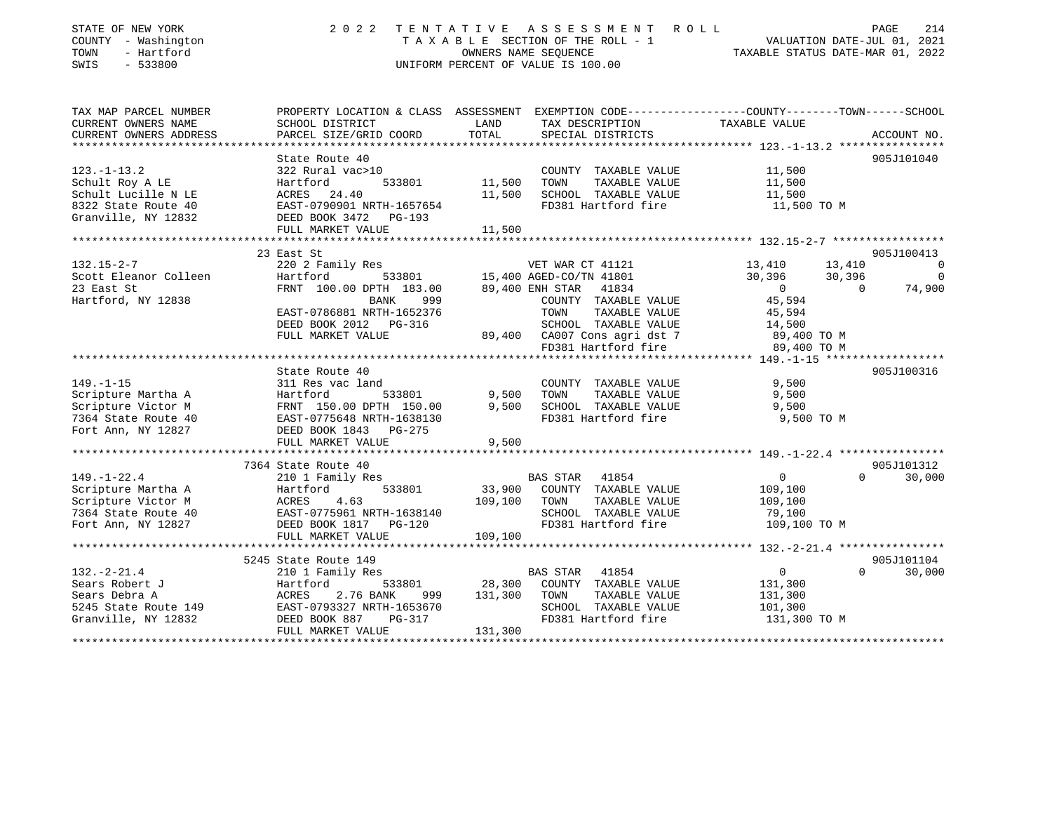| STATE OF NEW YORK<br>COUNTY - Washington<br>TOWN<br>- Hartford<br>$-533800$<br>SWIS | 2 0 2 2<br>TENTATIVE ASSESSMENT<br>R O L L<br>TAXABLE SECTION OF THE ROLL - 1<br>OWNERS NAME SEQUENCE<br>UNIFORM PERCENT OF VALUE IS 100.00 |         |                                                              | PAGE<br>214<br>VALUATION DATE-JUL 01, 2021<br>TAXABLE STATUS DATE-MAR 01, 2022 |                                    |             |
|-------------------------------------------------------------------------------------|---------------------------------------------------------------------------------------------------------------------------------------------|---------|--------------------------------------------------------------|--------------------------------------------------------------------------------|------------------------------------|-------------|
| TAX MAP PARCEL NUMBER                                                               | PROPERTY LOCATION & CLASS ASSESSMENT EXEMPTION CODE----------------COUNTY-------TOWN------SCHOOL                                            |         |                                                              |                                                                                |                                    |             |
| CURRENT OWNERS NAME                                                                 | SCHOOL DISTRICT                                                                                                                             | LAND    | TAX DESCRIPTION                                              | TAXABLE VALUE                                                                  |                                    |             |
| CURRENT OWNERS ADDRESS                                                              | PARCEL SIZE/GRID COORD                                                                                                                      | TOTAL   | SPECIAL DISTRICTS                                            |                                                                                |                                    | ACCOUNT NO. |
|                                                                                     |                                                                                                                                             |         |                                                              |                                                                                |                                    |             |
|                                                                                     | State Route 40                                                                                                                              |         |                                                              |                                                                                |                                    | 905J101040  |
| $123. - 1 - 13.2$                                                                   | 322 Rural vac>10<br>Hartford<br>533801                                                                                                      | 11,500  | COUNTY TAXABLE VALUE<br>TOWN<br>TAXABLE VALUE                | 11,500<br>11,500                                                               |                                    |             |
| Schult Roy A LE<br>Schult Lucille N LE                                              | ACRES<br>24.40                                                                                                                              | 11,500  | SCHOOL TAXABLE VALUE                                         | 11,500                                                                         |                                    |             |
| 8322 State Route 40                                                                 | EAST-0790901 NRTH-1657654                                                                                                                   |         | FD381 Hartford fire                                          | 11,500 TO M                                                                    |                                    |             |
| Granville, NY 12832                                                                 | DEED BOOK 3472<br>PG-193                                                                                                                    |         |                                                              |                                                                                |                                    |             |
|                                                                                     | FULL MARKET VALUE                                                                                                                           | 11,500  |                                                              |                                                                                |                                    |             |
|                                                                                     |                                                                                                                                             |         | ******************************* 132.15-2-7 ***************** |                                                                                |                                    |             |
|                                                                                     | 23 East St                                                                                                                                  |         |                                                              |                                                                                |                                    | 905J100413  |
| $132.15 - 2 - 7$<br>Scott Eleanor Colleen                                           | 220 2 Family Res<br>Hartford<br>533801                                                                                                      |         | VET WAR CT 41121                                             | 13,410<br>30,396                                                               | 13,410                             | 0<br>0      |
| 23 East St                                                                          | FRNT 100.00 DPTH 183.00                                                                                                                     |         | 15,400 AGED-CO/TN 41801<br>89,400 ENH STAR<br>41834          | $\Omega$                                                                       | 30,396<br>$\Omega$                 | 74,900      |
| Hartford, NY 12838                                                                  | <b>BANK</b><br>999                                                                                                                          |         | COUNTY TAXABLE VALUE                                         | 45,594                                                                         |                                    |             |
|                                                                                     | EAST-0786881 NRTH-1652376                                                                                                                   |         | TAXABLE VALUE<br>TOWN                                        | 45,594                                                                         |                                    |             |
|                                                                                     | DEED BOOK 2012<br>PG-316                                                                                                                    |         | SCHOOL TAXABLE VALUE                                         | 14,500                                                                         |                                    |             |
|                                                                                     | FULL MARKET VALUE                                                                                                                           | 89,400  | CA007 Cons agri dst 7                                        | 89,400 TO M                                                                    |                                    |             |
|                                                                                     |                                                                                                                                             |         | FD381 Hartford fire                                          | 89,400 TO M                                                                    |                                    |             |
|                                                                                     |                                                                                                                                             |         |                                                              |                                                                                |                                    |             |
|                                                                                     | State Route 40                                                                                                                              |         |                                                              |                                                                                |                                    | 905J100316  |
| $149. - 1 - 15$                                                                     | 311 Res vac land                                                                                                                            |         | COUNTY TAXABLE VALUE                                         | 9,500                                                                          |                                    |             |
| Scripture Martha A                                                                  | Hartford<br>533801                                                                                                                          | 9,500   | TAXABLE VALUE<br>TOWN                                        | 9,500                                                                          |                                    |             |
| Scripture Victor M                                                                  | FRNT 150.00 DPTH 150.00                                                                                                                     | 9.500   | SCHOOL TAXABLE VALUE                                         | 9,500                                                                          |                                    |             |
| 7364 State Route 40                                                                 | EAST-0775648 NRTH-1638130                                                                                                                   |         | FD381 Hartford fire                                          | 9,500 TO M                                                                     |                                    |             |
| Fort Ann, NY 12827                                                                  | DEED BOOK 1843<br>$PG-275$                                                                                                                  |         |                                                              |                                                                                |                                    |             |
|                                                                                     | FULL MARKET VALUE                                                                                                                           | 9,500   |                                                              |                                                                                |                                    |             |
|                                                                                     |                                                                                                                                             |         |                                                              |                                                                                |                                    |             |
|                                                                                     | 7364 State Route 40                                                                                                                         |         |                                                              |                                                                                |                                    | 905J101312  |
| $149. - 1 - 22.4$                                                                   | 210 1 Family Res                                                                                                                            |         | 41854<br>BAS STAR                                            | $\mathbf{0}$                                                                   | $\Omega$                           | 30,000      |
| Scripture Martha A                                                                  | 533801<br>Hartford                                                                                                                          | 33,900  | COUNTY TAXABLE VALUE                                         | 109,100                                                                        |                                    |             |
| Scripture Victor M                                                                  | <b>ACRES</b><br>4.63                                                                                                                        | 109,100 | TOWN<br>TAXABLE VALUE                                        | 109,100                                                                        |                                    |             |
| 7364 State Route 40                                                                 | EAST-0775961 NRTH-1638140                                                                                                                   |         | SCHOOL TAXABLE VALUE                                         | 79,100                                                                         |                                    |             |
| Fort Ann, NY 12827                                                                  | DEED BOOK 1817<br><b>PG-120</b><br>FULL MARKET VALUE                                                                                        | 109,100 | FD381 Hartford fire                                          | 109,100 TO M                                                                   |                                    |             |
|                                                                                     | * * * * * * * * * * * * * * * * * * * *                                                                                                     |         |                                                              |                                                                                | $132. -2 - 21.4$ ***************** |             |
|                                                                                     | 5245 State Route 149                                                                                                                        |         |                                                              |                                                                                |                                    | 905J101104  |
| $132. - 2 - 21.4$                                                                   | 210 1 Family Res                                                                                                                            |         | 41854<br><b>BAS STAR</b>                                     | $\mathbf{0}$                                                                   | $\Omega$                           | 30,000      |
| Sears Robert J                                                                      | Hartford<br>533801                                                                                                                          | 28,300  | COUNTY TAXABLE VALUE                                         | 131,300                                                                        |                                    |             |
| Sears Debra A                                                                       | ACRES<br>2.76 BANK<br>999                                                                                                                   | 131,300 | TAXABLE VALUE<br>TOWN                                        | 131,300                                                                        |                                    |             |
| 5245 State Route 149                                                                | EAST-0793327 NRTH-1653670                                                                                                                   |         | SCHOOL TAXABLE VALUE                                         | 101,300                                                                        |                                    |             |
| Granville, NY 12832                                                                 | DEED BOOK 887<br>$PG-317$                                                                                                                   |         | FD381 Hartford fire                                          | 131,300 TO M                                                                   |                                    |             |
|                                                                                     | FULL MARKET VALUE                                                                                                                           | 131,300 |                                                              |                                                                                |                                    |             |
|                                                                                     |                                                                                                                                             |         |                                                              |                                                                                |                                    |             |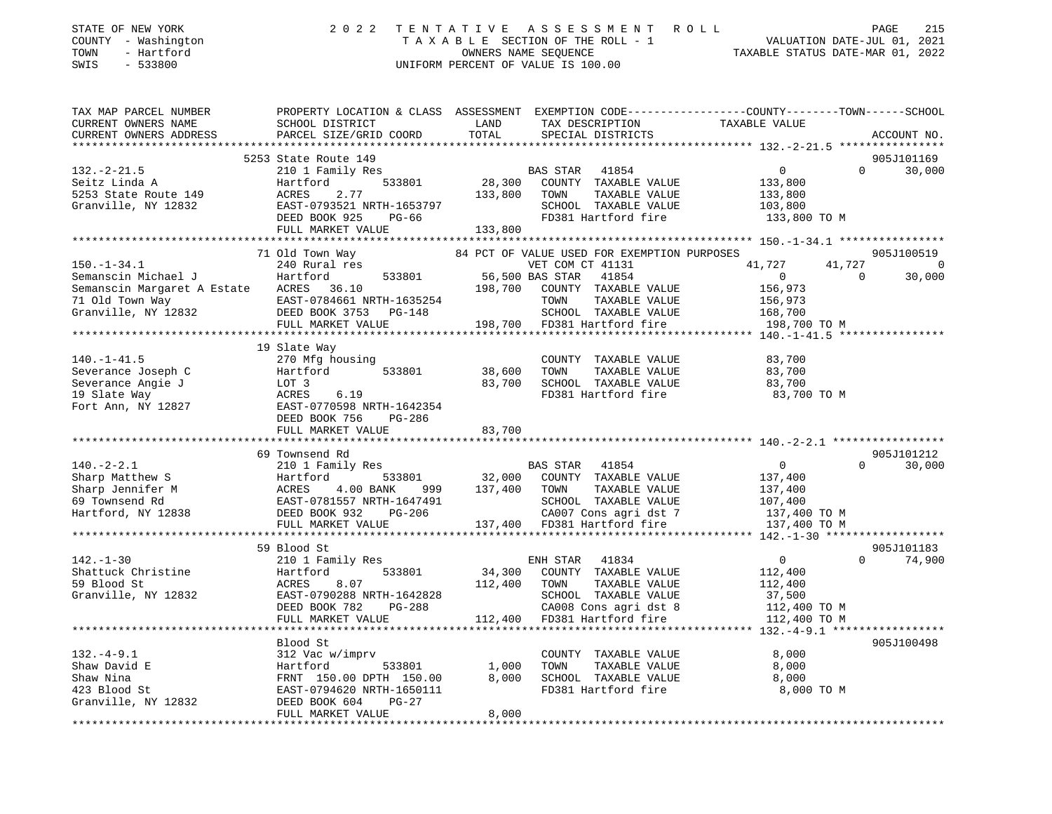| STATE OF NEW YORK<br>COUNTY - Washington<br>- Hartford<br>TOWN<br>SWIS<br>$-533800$ | 2 0 2 2                                                                                                             | TENTATIVE | ASSESSMENT<br>TAXABLE SECTION OF THE ROLL - 1<br>OWNERS NAME SEQUENCE<br>UNIFORM PERCENT OF VALUE IS 100.00 | ROLL<br>TAXABLE STATUS DATE-MAR 01, 2022 | PAGE<br>215<br>VALUATION DATE-JUL 01, 2021 |
|-------------------------------------------------------------------------------------|---------------------------------------------------------------------------------------------------------------------|-----------|-------------------------------------------------------------------------------------------------------------|------------------------------------------|--------------------------------------------|
| TAX MAP PARCEL NUMBER<br>CURRENT OWNERS NAME                                        | PROPERTY LOCATION & CLASS ASSESSMENT EXEMPTION CODE----------------COUNTY-------TOWN------SCHOOL<br>SCHOOL DISTRICT | LAND      | TAX DESCRIPTION                                                                                             | TAXABLE VALUE                            |                                            |
| CURRENT OWNERS ADDRESS                                                              | PARCEL SIZE/GRID COORD                                                                                              | TOTAL     | SPECIAL DISTRICTS                                                                                           |                                          | ACCOUNT NO.                                |
|                                                                                     | 5253 State Route 149                                                                                                |           |                                                                                                             |                                          | 905J101169                                 |
| $132. - 2 - 21.5$                                                                   | 210 1 Family Res                                                                                                    |           | 41854<br>BAS STAR                                                                                           | $\overline{0}$                           | $\Omega$<br>30,000                         |
| Seitz Linda A                                                                       | Hartford<br>533801                                                                                                  | 28,300    | COUNTY TAXABLE VALUE                                                                                        | 133,800                                  |                                            |
| 5253 State Route 149                                                                | ACRES<br>2.77                                                                                                       | 133,800   | TAXABLE VALUE<br>TOWN                                                                                       | 133,800                                  |                                            |
| Granville, NY 12832                                                                 | EAST-0793521 NRTH-1653797                                                                                           |           | SCHOOL TAXABLE VALUE                                                                                        | 103,800                                  |                                            |
|                                                                                     | DEED BOOK 925<br>PG-66                                                                                              |           | FD381 Hartford fire                                                                                         | 133,800 TO M                             |                                            |
|                                                                                     | FULL MARKET VALUE                                                                                                   | 133,800   |                                                                                                             |                                          |                                            |
|                                                                                     |                                                                                                                     |           |                                                                                                             |                                          |                                            |
|                                                                                     | 71 Old Town Way                                                                                                     |           | 84 PCT OF VALUE USED FOR EXEMPTION PURPOSES                                                                 |                                          | 905J100519                                 |
| $150. - 1 - 34.1$                                                                   | 240 Rural res                                                                                                       |           | VET COM CT 41131                                                                                            | 41,727                                   | 41,727<br>$\Omega$                         |
| Semanscin Michael J                                                                 | 533801<br>Hartford                                                                                                  |           | 56,500 BAS STAR 41854                                                                                       | $\mathbf{0}$                             | $\Omega$<br>30,000                         |
| Semanscin Margaret A Estate<br>71 Old Town Way                                      | ACRES 36.10<br>EAST-0784661 NRTH-1635254                                                                            | 198,700   | COUNTY TAXABLE VALUE<br>TOWN                                                                                | 156,973                                  |                                            |
| Granville, NY 12832                                                                 | DEED BOOK 3753<br>$PG-148$                                                                                          |           | TAXABLE VALUE<br>SCHOOL TAXABLE VALUE                                                                       | 156,973<br>168,700                       |                                            |
|                                                                                     | FULL MARKET VALUE                                                                                                   |           | 198,700 FD381 Hartford fire                                                                                 | 198,700 TO M                             |                                            |
|                                                                                     | *****************************                                                                                       |           |                                                                                                             | ********* 140.-1-41.5 *****************  |                                            |
|                                                                                     | 19 Slate Way                                                                                                        |           |                                                                                                             |                                          |                                            |
| $140. - 1 - 41.5$                                                                   | 270 Mfg housing                                                                                                     |           | COUNTY TAXABLE VALUE                                                                                        | 83,700                                   |                                            |
| Severance Joseph C                                                                  | Hartford<br>533801                                                                                                  | 38,600    | TOWN<br>TAXABLE VALUE                                                                                       | 83,700                                   |                                            |
| Severance Angie J                                                                   | LOT 3                                                                                                               | 83,700    | SCHOOL TAXABLE VALUE                                                                                        | 83,700                                   |                                            |
| 19 Slate Way                                                                        | 6.19<br>ACRES                                                                                                       |           | FD381 Hartford fire                                                                                         | 83,700 TO M                              |                                            |
| Fort Ann, NY 12827                                                                  | EAST-0770598 NRTH-1642354                                                                                           |           |                                                                                                             |                                          |                                            |
|                                                                                     | DEED BOOK 756<br>PG-286                                                                                             |           |                                                                                                             |                                          |                                            |
|                                                                                     | FULL MARKET VALUE                                                                                                   | 83,700    |                                                                                                             |                                          |                                            |
|                                                                                     | 69 Townsend Rd                                                                                                      |           |                                                                                                             |                                          | 905J101212                                 |
| $140. -2 - 2.1$                                                                     | 210 1 Family Res                                                                                                    |           | BAS STAR<br>41854                                                                                           | $\circ$                                  | 30,000<br>$\Omega$                         |
| Sharp Matthew S                                                                     | Hartford<br>533801                                                                                                  | 32,000    | COUNTY TAXABLE VALUE                                                                                        | 137,400                                  |                                            |
| Sharp Jennifer M                                                                    | ACRES<br>4.00 BANK<br>999                                                                                           | 137,400   | TAXABLE VALUE<br>TOWN                                                                                       | 137,400                                  |                                            |
| 69 Townsend Rd                                                                      | EAST-0781557 NRTH-1647491                                                                                           |           | SCHOOL TAXABLE VALUE                                                                                        | 107,400                                  |                                            |
| Hartford, NY 12838                                                                  | DEED BOOK 932<br>$PG-206$                                                                                           |           | CA007 Cons agri dst 7                                                                                       | 137,400 TO M                             |                                            |
|                                                                                     | FULL MARKET VALUE                                                                                                   |           | 137,400 FD381 Hartford fire                                                                                 | 137,400 TO M                             |                                            |
|                                                                                     |                                                                                                                     |           |                                                                                                             |                                          |                                            |
|                                                                                     | 59 Blood St                                                                                                         |           |                                                                                                             |                                          | 905J101183                                 |
| $142. - 1 - 30$                                                                     | 210 1 Family Res                                                                                                    |           | ENH STAR<br>41834                                                                                           | $\overline{0}$                           | $\Omega$<br>74,900                         |
| Shattuck Christine                                                                  | 533801<br>Hartford                                                                                                  | 34,300    | COUNTY TAXABLE VALUE                                                                                        | 112,400                                  |                                            |
| 59 Blood St<br>Granville, NY 12832                                                  | 8.07<br>ACRES<br>EAST-0790288 NRTH-1642828                                                                          | 112,400   | TOWN<br>TAXABLE VALUE<br>SCHOOL TAXABLE VALUE                                                               | 112,400<br>37,500                        |                                            |
|                                                                                     | DEED BOOK 782<br>$PG-288$                                                                                           |           | CA008 Cons agri dst 8                                                                                       | 112,400 TO M                             |                                            |
|                                                                                     | FULL MARKET VALUE                                                                                                   |           | 112,400 FD381 Hartford fire                                                                                 | 112,400 TO M                             |                                            |
|                                                                                     |                                                                                                                     |           |                                                                                                             |                                          |                                            |
|                                                                                     | Blood St                                                                                                            |           |                                                                                                             |                                          | 905J100498                                 |
| $132. - 4 - 9.1$                                                                    | 312 Vac w/imprv                                                                                                     |           | COUNTY TAXABLE VALUE                                                                                        | 8,000                                    |                                            |
| Shaw David E                                                                        | Hartford<br>533801                                                                                                  | 1,000     | TOWN<br>TAXABLE VALUE                                                                                       | 8,000                                    |                                            |
| Shaw Nina                                                                           | FRNT 150.00 DPTH 150.00                                                                                             | 8,000     | SCHOOL TAXABLE VALUE                                                                                        | 8,000                                    |                                            |
| 423 Blood St                                                                        | EAST-0794620 NRTH-1650111                                                                                           |           | FD381 Hartford fire                                                                                         | 8,000 TO M                               |                                            |
| Granville, NY 12832                                                                 | DEED BOOK 604<br>$PG-27$                                                                                            |           |                                                                                                             |                                          |                                            |
|                                                                                     | FULL MARKET VALUE                                                                                                   | 8,000     |                                                                                                             |                                          |                                            |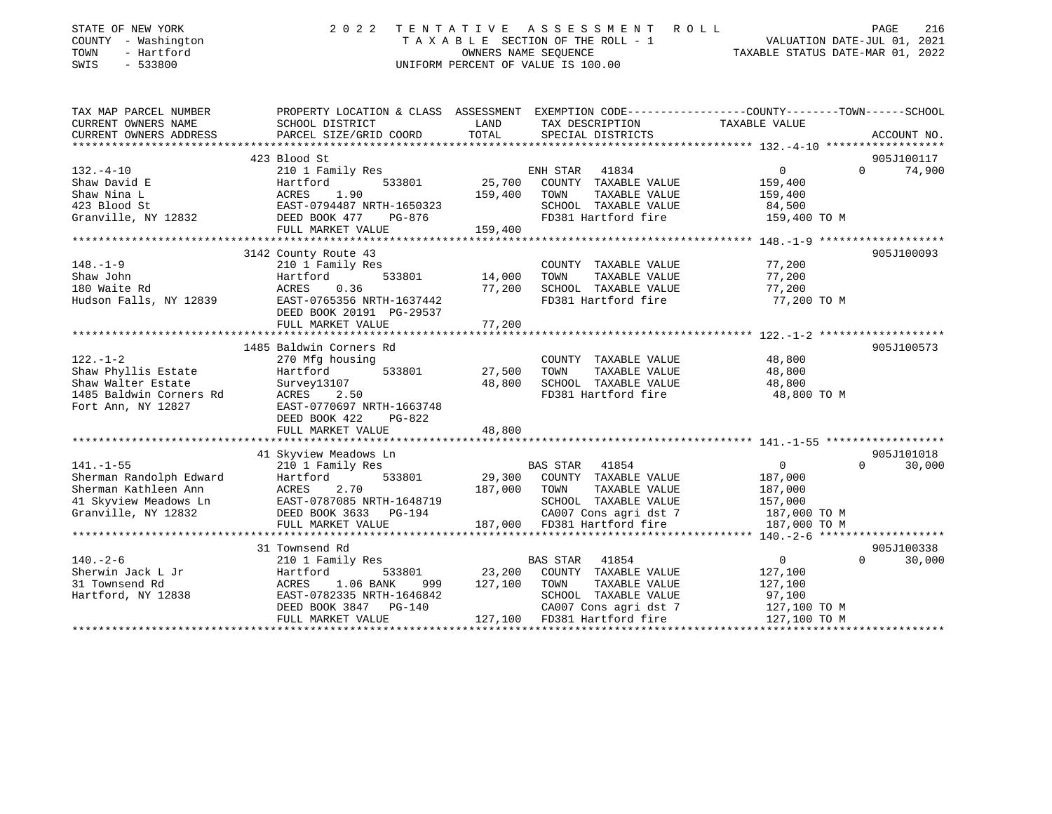| STATE OF NEW YORK<br>COUNTY - Washington<br>TOWN<br>- Hartford<br>SWIS<br>$-533800$ | 2 0 2 2                                    |         | TENTATIVE ASSESSMENT ROLL<br>UNIFORM PERCENT OF VALUE IS 100.00 | PAGE<br>216<br>T A X A B L E SECTION OF THE ROLL - 1<br>OWNERS NAME SEQUENCE TAXABLE STATUS DATE-MAR 01, 2022<br>TAXABLE STATUS DATE-MAR 01, 2022 |
|-------------------------------------------------------------------------------------|--------------------------------------------|---------|-----------------------------------------------------------------|---------------------------------------------------------------------------------------------------------------------------------------------------|
| TAX MAP PARCEL NUMBER<br>CURRENT OWNERS NAME                                        | SCHOOL DISTRICT                            | LAND    | TAX DESCRIPTION                                                 | PROPERTY LOCATION & CLASS ASSESSMENT EXEMPTION CODE----------------COUNTY-------TOWN------SCHOOL<br>TAXABLE VALUE                                 |
| CURRENT OWNERS ADDRESS                                                              | PARCEL SIZE/GRID COORD                     | TOTAL   | SPECIAL DISTRICTS                                               | ACCOUNT NO.                                                                                                                                       |
|                                                                                     |                                            |         |                                                                 |                                                                                                                                                   |
|                                                                                     | 423 Blood St                               |         |                                                                 | 905J100117<br>$\overline{0}$<br>$\Omega$                                                                                                          |
| $132. - 4 - 10$<br>Shaw David E                                                     | 210 1 Family Res<br>Hartford<br>533801     | 25,700  | ENH STAR 41834<br>COUNTY TAXABLE VALUE                          | 74,900<br>159,400                                                                                                                                 |
| Shaw Nina L                                                                         |                                            | 159,400 | TOWN<br>TAXABLE VALUE                                           | 159,400                                                                                                                                           |
| 423 Blood St                                                                        | ACRES 1.90<br>EAST-0794487 NRTH-1650323    |         | SCHOOL TAXABLE VALUE                                            | 84,500                                                                                                                                            |
| Granville, NY 12832                                                                 | PG-876<br>DEED BOOK 477                    |         | FD381 Hartford fire                                             | 159,400 TO M                                                                                                                                      |
|                                                                                     | FULL MARKET VALUE                          | 159,400 |                                                                 |                                                                                                                                                   |
|                                                                                     |                                            |         |                                                                 |                                                                                                                                                   |
|                                                                                     | 3142 County Route 43                       |         |                                                                 | 905J100093                                                                                                                                        |
| $148. - 1 - 9$                                                                      | 210 1 Family Res                           |         | COUNTY TAXABLE VALUE                                            | 77,200                                                                                                                                            |
| Shaw John                                                                           | 533801<br>Hartford                         | 14,000  | TAXABLE VALUE<br>TOWN                                           | 77,200                                                                                                                                            |
| 180 Waite Rd                                                                        | ACRES<br>0.36                              | 77,200  | SCHOOL TAXABLE VALUE                                            | 77,200                                                                                                                                            |
| Hudson Falls, NY 12839                                                              | EAST-0765356 NRTH-1637442                  |         | FD381 Hartford fire                                             | 77,200 TO M                                                                                                                                       |
|                                                                                     | DEED BOOK 20191 PG-29537                   |         |                                                                 |                                                                                                                                                   |
|                                                                                     | FULL MARKET VALUE                          | 77,200  |                                                                 |                                                                                                                                                   |
|                                                                                     |                                            |         |                                                                 |                                                                                                                                                   |
|                                                                                     | 1485 Baldwin Corners Rd                    |         |                                                                 | 905J100573                                                                                                                                        |
| $122. - 1 - 2$                                                                      | 270 Mfg housing                            |         | COUNTY TAXABLE VALUE                                            | 48,800                                                                                                                                            |
| Shaw Phyllis Estate                                                                 | 533801<br>Hartford                         | 27,500  | TAXABLE VALUE<br>TOWN                                           | 48,800                                                                                                                                            |
| Shaw Walter Estate                                                                  | Survey13107                                | 48,800  | SCHOOL TAXABLE VALUE                                            | 48,800                                                                                                                                            |
| 1485 Baldwin Corners Rd                                                             | ACRES<br>2.50                              |         | FD381 Hartford fire                                             | 48,800 TO M                                                                                                                                       |
| Fort Ann, NY 12827                                                                  | EAST-0770697 NRTH-1663748<br>DEED BOOK 422 |         |                                                                 |                                                                                                                                                   |
|                                                                                     | PG-822<br>FULL MARKET VALUE                | 48,800  |                                                                 |                                                                                                                                                   |
|                                                                                     |                                            |         |                                                                 |                                                                                                                                                   |
|                                                                                     | 41 Skyview Meadows Ln                      |         |                                                                 | 905J101018                                                                                                                                        |
| $141. - 1 - 55$                                                                     | 210 1 Family Res                           |         | BAS STAR 41854                                                  | 30,000<br>$\overline{0}$<br>$\Omega$                                                                                                              |
| Sherman Randolph Edward                                                             | 533801<br>Hartford                         |         | 29,300 COUNTY TAXABLE VALUE                                     | 187,000                                                                                                                                           |
| Sherman Kathleen Ann                                                                | ACRES<br>2.70                              | 187,000 | TAXABLE VALUE<br>TOWN                                           | 187,000                                                                                                                                           |
| 41 Skyview Meadows Ln                                                               | EAST-0787085 NRTH-1648719                  |         | SCHOOL TAXABLE VALUE                                            | 157,000                                                                                                                                           |
| Granville, NY 12832                                                                 | DEED BOOK 3633 PG-194                      |         | CA007 Cons agri dst 7                                           | 187,000 TO M                                                                                                                                      |
|                                                                                     | FULL MARKET VALUE                          |         | 187,000 FD381 Hartford fire                                     | 187,000 TO M                                                                                                                                      |
|                                                                                     |                                            |         |                                                                 |                                                                                                                                                   |
|                                                                                     | 31 Townsend Rd                             |         |                                                                 | 905J100338                                                                                                                                        |
| $140. - 2 - 6$                                                                      | 210 1 Family Res                           |         | BAS STAR<br>41854                                               | $\overline{0}$<br>$\Omega$<br>30,000                                                                                                              |
| Sherwin Jack L Jr                                                                   | Hartford<br>533801                         | 23,200  | COUNTY TAXABLE VALUE                                            | 127,100                                                                                                                                           |
| 31 Townsend Rd                                                                      | 1.06 BANK<br>ACRES<br>999                  | 127,100 | TAXABLE VALUE<br>TOWN                                           | 127,100                                                                                                                                           |
| Hartford, NY 12838                                                                  | EAST-0782335 NRTH-1646842                  |         | SCHOOL TAXABLE VALUE                                            | 97,100                                                                                                                                            |
|                                                                                     | DEED BOOK 3847 PG-140                      |         | CA007 Cons agri dst 7                                           | 127,100 TO M                                                                                                                                      |
|                                                                                     | FULL MARKET VALUE                          |         | 127,100 FD381 Hartford fire                                     | 127,100 TO M                                                                                                                                      |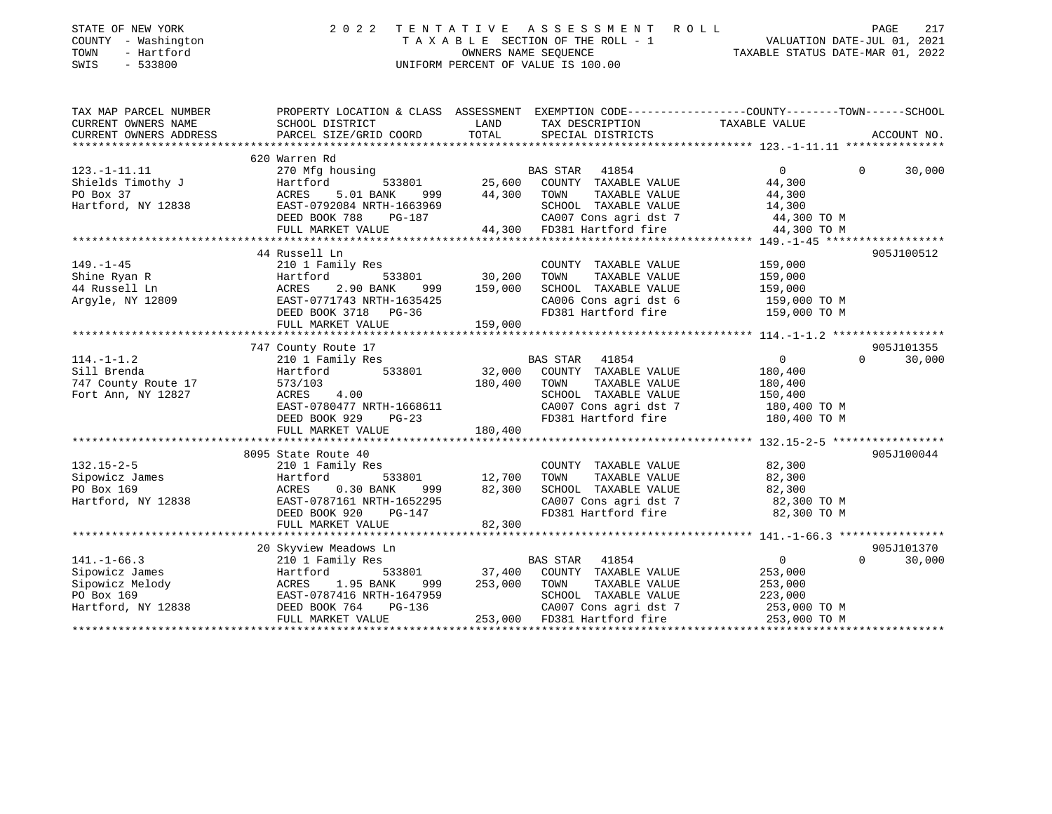| STATE OF NEW YORK<br>COUNTY - Washington<br>- Hartford<br>TOWN<br>SWIS<br>$-533800$ | 2 0 2 2                                                                                                   | TENTATIVE | ASSESSMENT ROLL<br>UNIFORM PERCENT OF VALUE IS 100.00 | PAGE<br>TAXABLE SECTION OF THE ROLL - 1<br>TAXABLE SECTION OF THE ROLL - 1<br>OWNERS NAME SEQUENCE<br>TAXABLE STATUS DATE-MAR 01, 2022 | 217         |
|-------------------------------------------------------------------------------------|-----------------------------------------------------------------------------------------------------------|-----------|-------------------------------------------------------|----------------------------------------------------------------------------------------------------------------------------------------|-------------|
| TAX MAP PARCEL NUMBER                                                               |                                                                                                           |           |                                                       | PROPERTY LOCATION & CLASS ASSESSMENT EXEMPTION CODE-----------------COUNTY--------TOWN------SCHOOL                                     |             |
| CURRENT OWNERS NAME                                                                 | SCHOOL DISTRICT                                                                                           | LAND      | TAX DESCRIPTION                                       | TAXABLE VALUE                                                                                                                          |             |
| CURRENT OWNERS ADDRESS                                                              | PARCEL SIZE/GRID COORD                                                                                    | TOTAL     | SPECIAL DISTRICTS                                     |                                                                                                                                        | ACCOUNT NO. |
|                                                                                     | 620 Warren Rd                                                                                             |           |                                                       |                                                                                                                                        |             |
| $123. -1 - 11.11$                                                                   | 270 Mfg housing                                                                                           |           | BAS STAR 41854                                        | $\overline{0}$<br>$\Omega$                                                                                                             | 30,000      |
| Shields Timothy J                                                                   | 533801<br>Hartford                                                                                        | 25,600    | COUNTY TAXABLE VALUE                                  | 44,300                                                                                                                                 |             |
| PO Box 37                                                                           | ACRES<br>5.01 BANK 999 44,300                                                                             |           | TAXABLE VALUE<br>TOWN                                 | 44,300                                                                                                                                 |             |
| Hartford, NY 12838 EAST-0792084 NRTH-1663969                                        |                                                                                                           |           | SCHOOL TAXABLE VALUE                                  | 14,300                                                                                                                                 |             |
|                                                                                     | DEED BOOK 788<br>PG-187                                                                                   |           | CA007 Cons agri dst 7                                 | 44,300 TO M                                                                                                                            |             |
|                                                                                     | FULL MARKET VALUE                                                                                         |           | 44,300 FD381 Hartford fire 44,300 TO M                |                                                                                                                                        |             |
|                                                                                     |                                                                                                           |           |                                                       |                                                                                                                                        |             |
|                                                                                     | 44 Russell Ln                                                                                             |           |                                                       |                                                                                                                                        | 905J100512  |
| $149. - 1 - 45$                                                                     | 210 1 Family Res                                                                                          |           | COUNTY TAXABLE VALUE                                  | 159,000                                                                                                                                |             |
|                                                                                     |                                                                                                           | 30,200    | TAXABLE VALUE<br>TOWN                                 | 159,000                                                                                                                                |             |
| Shine Ryan R<br>44 Russell Ln<br>Argyle, NY 12809                                   | 999 — 1                                                                                                   | 159,000   | SCHOOL TAXABLE VALUE                                  | 159,000                                                                                                                                |             |
|                                                                                     |                                                                                                           |           | CA006 Cons agri dst 6                                 | 159,000 TO M                                                                                                                           |             |
|                                                                                     | Hartford 533801<br>ACRES 2.90 BANK 999<br>EAST-0771743 NRTH-1635425<br>DEED BOOK 3718 PG-36               |           | FD381 Hartford fire                                   | 159,000 TO M                                                                                                                           |             |
|                                                                                     | FULL MARKET VALUE                                                                                         | 159,000   |                                                       |                                                                                                                                        |             |
|                                                                                     |                                                                                                           |           |                                                       |                                                                                                                                        | 905J101355  |
| $114. - 1 - 1.2$                                                                    | 747 County Route 17<br>210 1 Family Res                                                                   |           | BAS STAR 41854                                        | 0<br>$\Omega$                                                                                                                          | 30,000      |
| Sill Brenda                                                                         | 533801<br>Hartford                                                                                        | 32,000    | COUNTY TAXABLE VALUE                                  | 180,400                                                                                                                                |             |
| 747 County Route 17                                                                 | 573/103                                                                                                   | 180,400   | TOWN<br>TAXABLE VALUE                                 | 180,400                                                                                                                                |             |
| Fort Ann, NY 12827                                                                  | ACRES<br>4.00                                                                                             |           | SCHOOL TAXABLE VALUE                                  | 150,400                                                                                                                                |             |
|                                                                                     | EAST-0780477 NRTH-1668611                                                                                 |           | CA007 Cons agri dst 7                                 | 180,400 TO M                                                                                                                           |             |
|                                                                                     | DEED BOOK 929<br>$PG-23$                                                                                  |           | FD381 Hartford fire                                   | 180,400 TO M                                                                                                                           |             |
|                                                                                     | FULL MARKET VALUE                                                                                         | 180,400   |                                                       |                                                                                                                                        |             |
|                                                                                     |                                                                                                           |           |                                                       |                                                                                                                                        |             |
|                                                                                     | 8095 State Route 40                                                                                       |           |                                                       |                                                                                                                                        | 905J100044  |
| $132.15 - 2 - 5$                                                                    | 210 1 Family Res                                                                                          |           | COUNTY TAXABLE VALUE                                  | 82,300                                                                                                                                 |             |
| Sipowicz James                                                                      | Hartford<br>ACRES<br>533801                                                                               | 12,700    | TOWN<br>TAXABLE VALUE                                 | 82,300                                                                                                                                 |             |
| PO Box 169                                                                          | $0.30$ BANK<br>999                                                                                        | 82,300    | SCHOOL TAXABLE VALUE                                  | 82,300                                                                                                                                 |             |
| Hartford, NY 12838                                                                  | EAST-0787161 NRTH-1652295                                                                                 |           | CA007 Cons agri dst 7                                 | 82,300 TO M                                                                                                                            |             |
|                                                                                     | DEED BOOK 920<br>PG-147                                                                                   |           | FD381 Hartford fire                                   | 82,300 TO M                                                                                                                            |             |
|                                                                                     | FULL MARKET VALUE                                                                                         | 82,300    |                                                       |                                                                                                                                        |             |
|                                                                                     |                                                                                                           |           |                                                       |                                                                                                                                        |             |
|                                                                                     | 20 Skyview Meadows Ln                                                                                     |           |                                                       |                                                                                                                                        | 905J101370  |
| $141. - 1 - 66.3$                                                                   | 210 1 Family Res                                                                                          |           | BAS STAR 41854                                        | $\overline{0}$<br>$\Omega$                                                                                                             | 30,000      |
| Sipowicz James                                                                      |                                                                                                           | 37,400    | COUNTY TAXABLE VALUE                                  | 253,000                                                                                                                                |             |
| Sipowicz Melody<br>PO Box 169                                                       |                                                                                                           | 253,000   | TOWN<br>TAXABLE VALUE<br>SCHOOL TAXABLE VALUE         | 253,000                                                                                                                                |             |
| Hartford, NY 12838                                                                  |                                                                                                           |           | CA007 Cons agri dst 7                                 | 223,000<br>253,000 TO M                                                                                                                |             |
|                                                                                     | Hartford<br>ACRES 1.95 BANK 555<br>EAST-0787416 NRTH-1647959<br>DEED BOOK 764 PG-136<br>FILL MARKET VALUE |           | 253,000 FD381 Hartford fire                           | 253,000 TO M                                                                                                                           |             |
|                                                                                     |                                                                                                           |           |                                                       | **************************************<br>******************                                                                           |             |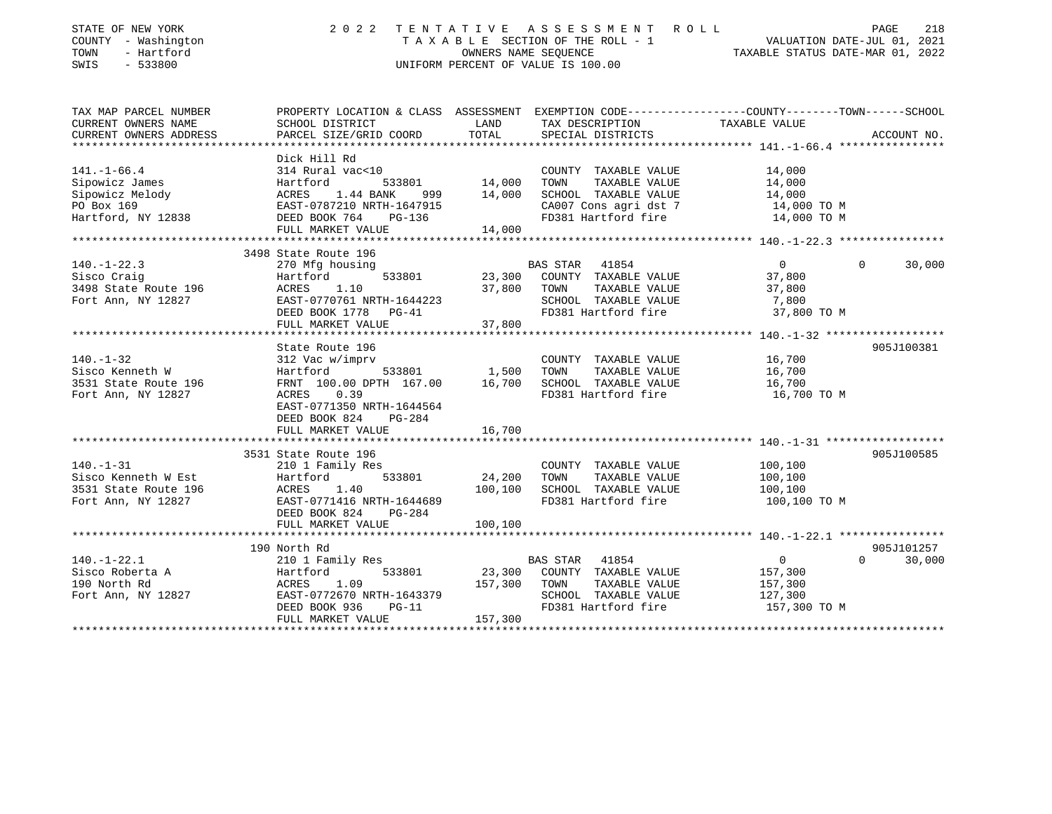| STATE OF NEW YORK<br>COUNTY - Washington<br>TOWN<br>- Hartford<br>SWIS<br>$-533800$              |                                                                                                                                                                                        |                                      | 2022 TENTATIVE ASSESSMENT ROLL<br>T A X A B L E SECTION OF THE ROLL - 1 WALUATION DATE-JUL 01, 2021<br>OWNERS NAME SECUENCE<br>OWNERS NAME SEQUENCE<br>UNIFORM PERCENT OF VALUE IS 100.00 | TAXABLE STATUS DATE-MAR 01, 2022                                | PAGE<br>218                 |
|--------------------------------------------------------------------------------------------------|----------------------------------------------------------------------------------------------------------------------------------------------------------------------------------------|--------------------------------------|-------------------------------------------------------------------------------------------------------------------------------------------------------------------------------------------|-----------------------------------------------------------------|-----------------------------|
| TAX MAP PARCEL NUMBER<br>CURRENT OWNERS NAME<br>CURRENT OWNERS ADDRESS<br>********************** | SCHOOL DISTRICT<br>PARCEL SIZE/GRID COORD                                                                                                                                              | LAND<br>TOTAL                        | PROPERTY LOCATION & CLASS ASSESSMENT EXEMPTION CODE---------------COUNTY-------TOWN-----SCHOOL<br>TAX DESCRIPTION<br>SPECIAL DISTRICTS                                                    | TAXABLE VALUE                                                   | ACCOUNT NO.                 |
| $141. - 1 - 66.4$<br>Sipowicz James<br>Sipowicz Melody<br>PO Box 169<br>Hartford, NY 12838       | Dick Hill Rd<br>314 Rural vac<10<br>533801<br>Hartford<br>ACRES 1.44 BANK 999 14,000 SCHOOL TAXABLE VALUE<br>EAST-0787210 NRTH-1647915<br>DEED BOOK 764<br>PG-136<br>FULL MARKET VALUE | COUNTY<br>14,000      TOWN<br>14,000 | COUNTY TAXABLE VALUE<br>TAXABLE VALUE<br>CA007 Cons agri dst 7<br>FD381 Hartford fire                                                                                                     | 14,000<br>14,000<br>14,000<br>14,000 TO M<br>14,000 TO M        |                             |
|                                                                                                  |                                                                                                                                                                                        |                                      |                                                                                                                                                                                           |                                                                 |                             |
| $140. - 1 - 22.3$<br>Sisco Craig<br>3498 State Route 196<br>Fort Ann, NY 12827                   | 3498 State Route 196<br>270 Mfg housing<br>533801<br>Hartford<br>Hartfo<br>ACRES<br>1.10<br>EAST-0770761 NRTH-1644223<br>DEED BOOK 1778 PG-41<br>FULL MARKET VALUE                     | 37,800<br>37,800                     | BAS STAR 41854<br>23,300 COUNTY TAXABLE VALUE<br>TAXABLE VALUE<br>TOWN<br>SCHOOL TAXABLE VALUE<br>FD381 Hartford fire                                                                     | $\overline{0}$<br>37,800<br>37,800<br>7,800<br>37,800 TO M      | 30,000<br>$\Omega$          |
|                                                                                                  |                                                                                                                                                                                        |                                      |                                                                                                                                                                                           | *********************** 140.-1-32 *******************           |                             |
| $140. - 1 - 32$<br>Sisco Kenneth W<br>3531 State Route 196<br>Fort Ann, NY 12827                 | State Route 196<br>312 Vac w/imprv<br>Hartford<br>533801<br>FRNT 100.00 DPTH 167.00 16,700 SCHOOL TAXABLE VALUE<br>0.39<br>ACRES<br>EAST-0771350 NRTH-1644564                          | 1,500                                | COUNTY TAXABLE VALUE<br>TAXABLE VALUE<br>TOWN<br>FD381 Hartford fire                                                                                                                      | 16,700<br>16,700<br>16,700<br>16,700 TO M                       | 905J100381                  |
|                                                                                                  | DEED BOOK 824<br>$PG-284$                                                                                                                                                              |                                      |                                                                                                                                                                                           |                                                                 |                             |
|                                                                                                  | FULL MARKET VALUE                                                                                                                                                                      | 16,700                               |                                                                                                                                                                                           |                                                                 |                             |
| $140. - 1 - 31$<br>Sisco Kenneth W Est<br>3531 State Route 196<br>Fort Ann, NY 12827             | 3531 State Route 196<br>210 1 Family Res<br>533801<br>Hartford<br>ACRES 1.40<br>EAST-0771416 NRTH-1644689<br>DEED BOOK 824<br>PG-284<br>FULL MARKET VALUE                              | 24,200<br>100,100<br>100,100         | COUNTY TAXABLE VALUE<br>TOWN<br>TAXABLE VALUE<br>SCHOOL TAXABLE VALUE<br>FD381 Hartford fire                                                                                              | 100,100<br>100,100<br>100,100<br>100,100 TO M                   | 905J100585                  |
|                                                                                                  | ************************                                                                                                                                                               |                                      |                                                                                                                                                                                           |                                                                 |                             |
| $140. - 1 - 22.1$<br>Sisco Roberta A<br>190 North Rd<br>Fort Ann, NY 12827                       | 190 North Rd<br>210 1 Family Res<br>Hartford<br>533801<br>1.09<br>ACRES<br>EAST-0772670 NRTH-1643379<br>DEED BOOK 936<br>$PG-11$<br>FULL MARKET VALUE                                  | 157,300<br>157,300                   | BAS STAR 41854<br>23,300 COUNTY TAXABLE VALUE<br>TOWN<br>TAXABLE VALUE<br>SCHOOL TAXABLE VALUE<br>FD381 Hartford fire                                                                     | $\overline{0}$<br>157,300<br>157,300<br>127,300<br>157,300 TO M | 905J101257<br>$0 \t 30,000$ |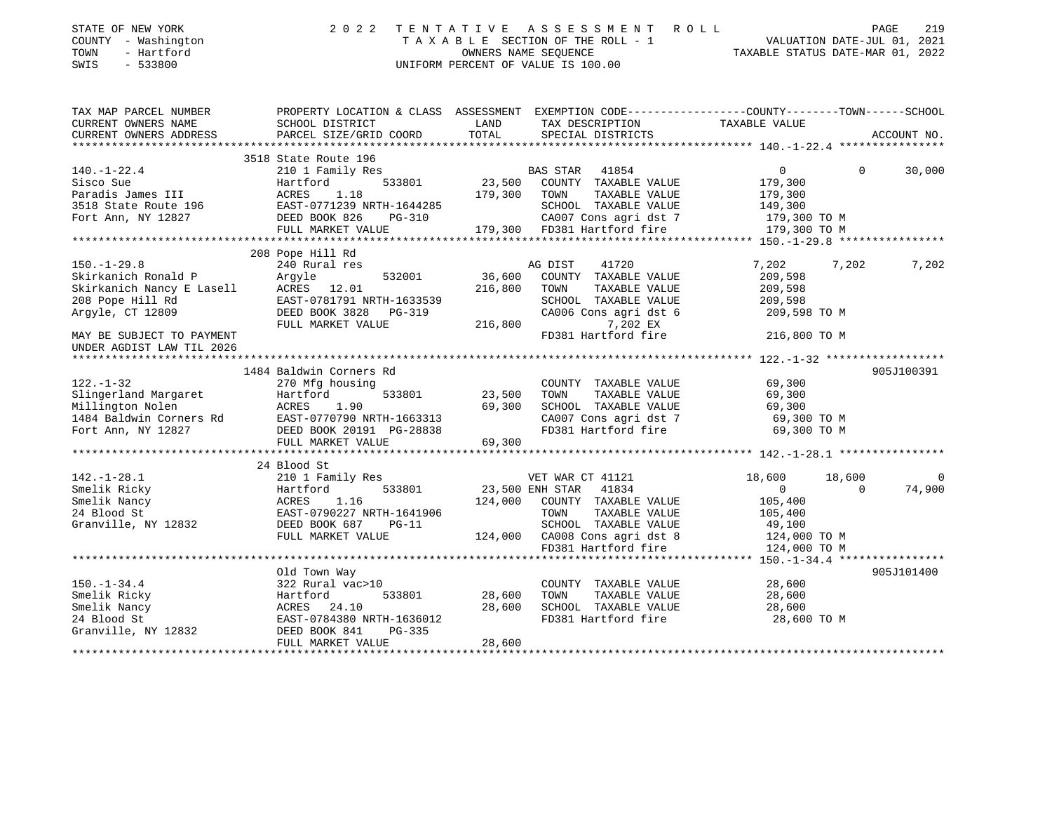| STATE OF NEW YORK<br>COUNTY - Washington<br>- Hartford<br>TOWN<br>SWIS<br>$-533800$ | 2 0 2 2                                                                                                            | TENTATIVE | A S S E S S M E N T<br>R O L L<br>TAXABLE SECTION OF THE ROLL - 1<br>OWNERS NAME SEOUENCE<br>UNIFORM PERCENT OF VALUE IS 100.00 | TAXABLE STATUS DATE-MAR 01, 2022 | VALUATION DATE-JUL 01, 2021 | PAGE<br>219    |
|-------------------------------------------------------------------------------------|--------------------------------------------------------------------------------------------------------------------|-----------|---------------------------------------------------------------------------------------------------------------------------------|----------------------------------|-----------------------------|----------------|
| TAX MAP PARCEL NUMBER<br>CURRENT OWNERS NAME                                        | PROPERTY LOCATION & CLASS ASSESSMENT EXEMPTION CODE---------------COUNTY-------TOWN------SCHOOL<br>SCHOOL DISTRICT | LAND      | TAX DESCRIPTION                                                                                                                 | TAXABLE VALUE                    |                             |                |
| CURRENT OWNERS ADDRESS                                                              | PARCEL SIZE/GRID COORD                                                                                             | TOTAL     | SPECIAL DISTRICTS                                                                                                               |                                  |                             | ACCOUNT NO.    |
|                                                                                     |                                                                                                                    |           |                                                                                                                                 |                                  |                             |                |
|                                                                                     | 3518 State Route 196                                                                                               |           |                                                                                                                                 |                                  |                             |                |
| $140. - 1 - 22.4$                                                                   | 210 1 Family Res                                                                                                   |           | BAS STAR 41854                                                                                                                  | $\overline{0}$                   | $\Omega$                    | 30,000         |
| Sisco Sue                                                                           | 533801<br>Hartford                                                                                                 | 23,500    | COUNTY TAXABLE VALUE                                                                                                            | 179,300                          |                             |                |
| Paradis James III                                                                   | ACRES<br>1.18                                                                                                      | 179,300   | TAXABLE VALUE<br>TOWN                                                                                                           | 179,300                          |                             |                |
| 3518 State Route 196                                                                | EAST-0771239 NRTH-1644285                                                                                          |           | SCHOOL TAXABLE VALUE                                                                                                            | 149,300                          |                             |                |
| Fort Ann, NY 12827                                                                  | DEED BOOK 826<br>PG-310                                                                                            |           | CA007 Cons agri dst 7                                                                                                           | 179,300 TO M                     |                             |                |
|                                                                                     | FULL MARKET VALUE                                                                                                  |           | 179,300 FD381 Hartford fire                                                                                                     | 179,300 TO M                     |                             |                |
|                                                                                     | 208 Pope Hill Rd                                                                                                   |           |                                                                                                                                 |                                  |                             |                |
| $150. - 1 - 29.8$                                                                   | 240 Rural res                                                                                                      |           | AG DIST<br>41720                                                                                                                | 7,202                            | 7,202                       | 7,202          |
| Skirkanich Ronald P                                                                 | Argyle<br>532001                                                                                                   | 36,600    | COUNTY TAXABLE VALUE                                                                                                            | 209,598                          |                             |                |
| Skirkanich Ronald P<br>Skirkanich Nancy E Lasell<br>208 Pope Hill Rd                | ACRES 12.01                                                                                                        | 216,800   | TOWN<br>TAXABLE VALUE                                                                                                           | 209,598                          |                             |                |
| 208 Pope Hill Rd                                                                    | EAST-0781791 NRTH-1633539                                                                                          |           | SCHOOL TAXABLE VALUE                                                                                                            | 209,598                          |                             |                |
| Argyle, CT 12809                                                                    | DEED BOOK 3828 PG-319                                                                                              |           | CA006 Cons agri dst 6                                                                                                           | 209,598 TO M                     |                             |                |
|                                                                                     | FULL MARKET VALUE                                                                                                  | 216,800   | 7,202 EX                                                                                                                        |                                  |                             |                |
| MAY BE SUBJECT TO PAYMENT                                                           |                                                                                                                    |           | FD381 Hartford fire                                                                                                             | 216,800 TO M                     |                             |                |
| UNDER AGDIST LAW TIL 2026                                                           |                                                                                                                    |           |                                                                                                                                 |                                  |                             |                |
|                                                                                     |                                                                                                                    |           |                                                                                                                                 |                                  |                             |                |
|                                                                                     | 1484 Baldwin Corners Rd                                                                                            |           |                                                                                                                                 |                                  |                             | 905J100391     |
| $122. - 1 - 32$                                                                     | 270 Mfg housing                                                                                                    |           | COUNTY TAXABLE VALUE                                                                                                            | 69,300                           |                             |                |
| Slingerland Margaret                                                                | 533801<br>Hartford                                                                                                 | 23,500    | TOWN<br>TAXABLE VALUE                                                                                                           | 69,300                           |                             |                |
| Millington Nolen                                                                    | ACRES<br>1.90                                                                                                      | 69,300    | SCHOOL TAXABLE VALUE                                                                                                            | 69,300                           |                             |                |
| 1484 Baldwin Corners Rd                                                             | EAST-0770790 NRTH-1663313                                                                                          |           | CA007 Cons agri dst 7<br>FD381 Hartford fire                                                                                    | 69,300 TO M<br>69,300 TO M       |                             |                |
| Fort Ann, NY 12827                                                                  | DEED BOOK 20191 PG-28838<br>FULL MARKET VALUE                                                                      | 69,300    |                                                                                                                                 |                                  |                             |                |
|                                                                                     |                                                                                                                    |           |                                                                                                                                 |                                  |                             |                |
|                                                                                     | 24 Blood St                                                                                                        |           |                                                                                                                                 |                                  |                             |                |
| $142. - 1 - 28.1$                                                                   | 210 1 Family Res                                                                                                   |           | VET WAR CT 41121                                                                                                                | 18,600                           | 18,600                      | $\overline{0}$ |
| Smelik Ricky                                                                        | 533801<br>Hartford                                                                                                 |           | 23,500 ENH STAR 41834                                                                                                           | $\mathbf{0}$                     | $\Omega$                    | 74,900         |
| Smelik Nancy                                                                        | 1.16<br>ACRES                                                                                                      | 124,000   | COUNTY TAXABLE VALUE                                                                                                            | 105,400                          |                             |                |
| 24 Blood St                                                                         | EAST-0790227 NRTH-1641906                                                                                          |           | TOWN<br>TAXABLE VALUE                                                                                                           | 105,400                          |                             |                |
| Granville, NY 12832                                                                 | DEED BOOK 687<br>$PG-11$                                                                                           |           | SCHOOL TAXABLE VALUE                                                                                                            | 49,100                           |                             |                |
|                                                                                     | FULL MARKET VALUE                                                                                                  |           | 124,000 CA008 Cons agri dst 8                                                                                                   | 124,000 TO M                     |                             |                |
|                                                                                     |                                                                                                                    |           | FD381 Hartford fire                                                                                                             | 124,000 TO M                     |                             |                |
|                                                                                     |                                                                                                                    |           |                                                                                                                                 |                                  |                             |                |
|                                                                                     | Old Town Way                                                                                                       |           |                                                                                                                                 |                                  |                             | 905J101400     |
| $150. - 1 - 34.4$                                                                   | 322 Rural vac>10                                                                                                   |           | COUNTY TAXABLE VALUE                                                                                                            | 28,600                           |                             |                |
| Smelik Ricky                                                                        | Hartford<br>533801                                                                                                 | 28,600    | TOWN<br>TAXABLE VALUE                                                                                                           | 28,600                           |                             |                |
| Smelik Nancy                                                                        | ACRES<br>24.10                                                                                                     | 28,600    | SCHOOL TAXABLE VALUE                                                                                                            | 28,600                           |                             |                |
| 24 Blood St                                                                         | EAST-0784380 NRTH-1636012                                                                                          |           | FD381 Hartford fire                                                                                                             | 28,600 TO M                      |                             |                |
| Granville, NY 12832                                                                 | DEED BOOK 841<br>PG-335                                                                                            |           |                                                                                                                                 |                                  |                             |                |
|                                                                                     | FULL MARKET VALUE                                                                                                  | 28,600    |                                                                                                                                 |                                  |                             |                |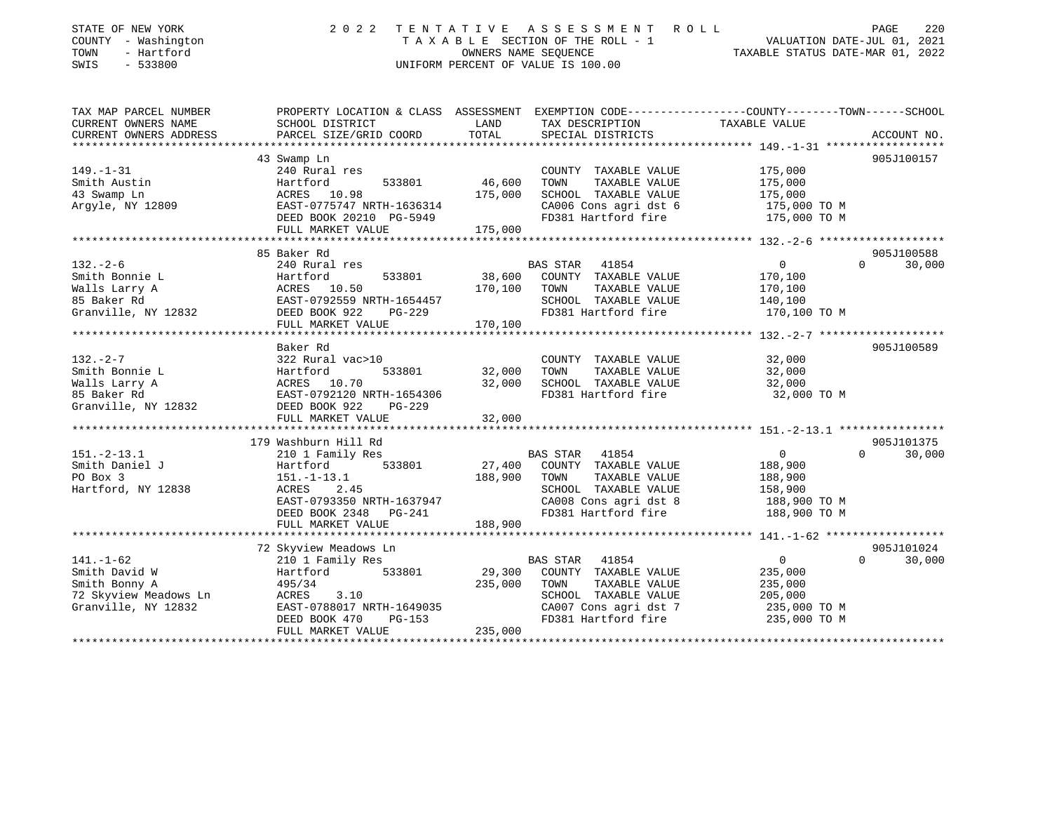| STATE OF NEW YORK<br>COUNTY - Washington<br>- Hartford<br>TOWN<br>SWIS<br>$-533800$ | 2 0 2 2                                                                                                                                     | TENTATIVE<br>OWNERS NAME SEQUENCE | A S S E S S M E N T<br>ROLL<br>TAXABLE SECTION OF THE ROLL - 1<br>UNIFORM PERCENT OF VALUE IS 100.00 | TAXABLE STATUS DATE-MAR 01, 2022 | PAGE<br>220<br>VALUATION DATE-JUL 01, 2021 |
|-------------------------------------------------------------------------------------|---------------------------------------------------------------------------------------------------------------------------------------------|-----------------------------------|------------------------------------------------------------------------------------------------------|----------------------------------|--------------------------------------------|
| TAX MAP PARCEL NUMBER<br>CURRENT OWNERS NAME<br>CURRENT OWNERS ADDRESS              | PROPERTY LOCATION & CLASS ASSESSMENT EXEMPTION CODE---------------COUNTY-------TOWN-----SCHOOL<br>SCHOOL DISTRICT<br>PARCEL SIZE/GRID COORD | LAND<br>TOTAL                     | TAX DESCRIPTION<br>SPECIAL DISTRICTS                                                                 | TAXABLE VALUE                    | ACCOUNT NO.                                |
|                                                                                     |                                                                                                                                             |                                   |                                                                                                      |                                  |                                            |
|                                                                                     | 43 Swamp Ln                                                                                                                                 |                                   |                                                                                                      |                                  | 905J100157                                 |
| $149. - 1 - 31$                                                                     | 240 Rural res                                                                                                                               |                                   | COUNTY TAXABLE VALUE                                                                                 | 175,000                          |                                            |
| Smith Austin                                                                        | Hartford<br>533801                                                                                                                          | 46,600                            | TOWN<br>TAXABLE VALUE                                                                                | 175,000                          |                                            |
| 43 Swamp Ln                                                                         | ACRES 10.98                                                                                                                                 | 175,000                           | SCHOOL TAXABLE VALUE                                                                                 | 175,000                          |                                            |
| Argyle, NY 12809                                                                    | EAST-0775747 NRTH-1636314<br>DEED BOOK 20210 PG-5949                                                                                        |                                   | CA006 Cons agri dst 6<br>FD381 Hartford fire                                                         | 175,000 TO M<br>175,000 TO M     |                                            |
|                                                                                     | FULL MARKET VALUE                                                                                                                           | 175,000                           |                                                                                                      |                                  |                                            |
|                                                                                     |                                                                                                                                             |                                   |                                                                                                      |                                  |                                            |
|                                                                                     | 85 Baker Rd                                                                                                                                 |                                   |                                                                                                      |                                  | 905J100588                                 |
| $132 - 2 - 6$                                                                       | 240 Rural res                                                                                                                               |                                   | <b>BAS STAR</b><br>41854                                                                             | $\overline{0}$                   | $\Omega$<br>30,000                         |
| Smith Bonnie L                                                                      | Hartford<br>533801                                                                                                                          | 38,600                            | COUNTY TAXABLE VALUE                                                                                 | 170,100                          |                                            |
| Walls Larry A                                                                       | ACRES 10.50                                                                                                                                 | 170,100                           | TOWN<br>TAXABLE VALUE                                                                                | 170,100                          |                                            |
| 85 Baker Rd                                                                         | EAST-0792559 NRTH-1654457                                                                                                                   |                                   | SCHOOL TAXABLE VALUE                                                                                 | 140,100                          |                                            |
| Granville, NY 12832                                                                 | DEED BOOK 922<br>PG-229                                                                                                                     |                                   | FD381 Hartford fire                                                                                  | 170,100 TO M                     |                                            |
|                                                                                     | FULL MARKET VALUE                                                                                                                           | 170,100                           |                                                                                                      |                                  |                                            |
|                                                                                     | ******************************                                                                                                              |                                   |                                                                                                      |                                  |                                            |
|                                                                                     | Baker Rd                                                                                                                                    |                                   |                                                                                                      |                                  | 905J100589                                 |
| $132 - 2 - 7$                                                                       | 322 Rural vac>10                                                                                                                            |                                   | COUNTY TAXABLE VALUE                                                                                 | 32,000                           |                                            |
| Smith Bonnie L                                                                      | Hartford<br>533801                                                                                                                          | 32,000                            | TAXABLE VALUE<br>TOWN                                                                                | 32,000                           |                                            |
| Walls Larry A                                                                       | ACRES 10.70                                                                                                                                 | 32,000                            | SCHOOL TAXABLE VALUE                                                                                 | 32,000                           |                                            |
| 85 Baker Rd                                                                         | EAST-0792120 NRTH-1654306<br>DEED BOOK 922                                                                                                  |                                   | FD381 Hartford fire                                                                                  | 32,000 TO M                      |                                            |
| Granville, NY 12832                                                                 | PG-229<br>FULL MARKET VALUE                                                                                                                 | 32,000                            |                                                                                                      |                                  |                                            |
|                                                                                     |                                                                                                                                             |                                   |                                                                                                      |                                  |                                            |
|                                                                                     | 179 Washburn Hill Rd                                                                                                                        |                                   |                                                                                                      |                                  | 905J101375                                 |
| $151. - 2 - 13.1$                                                                   | 210 1 Family Res                                                                                                                            |                                   | <b>BAS STAR</b><br>41854                                                                             | $\overline{0}$                   | $\Omega$<br>30,000                         |
| Smith Daniel J                                                                      | 533801<br>Hartford                                                                                                                          | 27,400                            | COUNTY TAXABLE VALUE                                                                                 | 188,900                          |                                            |
| PO Box 3                                                                            | $151. - 1 - 13.1$                                                                                                                           | 188,900                           | TOWN<br>TAXABLE VALUE                                                                                | 188,900                          |                                            |
| Hartford, NY 12838                                                                  | ACRES<br>2.45                                                                                                                               |                                   | SCHOOL TAXABLE VALUE                                                                                 | 158,900                          |                                            |
|                                                                                     | EAST-0793350 NRTH-1637947                                                                                                                   |                                   | CA008 Cons agri dst 8                                                                                | 188,900 TO M                     |                                            |
|                                                                                     | DEED BOOK 2348<br>$PG-241$                                                                                                                  |                                   | FD381 Hartford fire                                                                                  | 188,900 TO M                     |                                            |
|                                                                                     | FULL MARKET VALUE                                                                                                                           | 188,900                           |                                                                                                      |                                  |                                            |
|                                                                                     |                                                                                                                                             |                                   |                                                                                                      |                                  |                                            |
|                                                                                     | 72 Skyview Meadows Ln                                                                                                                       |                                   |                                                                                                      |                                  | 905J101024                                 |
| $141. - 1 - 62$                                                                     | 210 1 Family Res                                                                                                                            |                                   | BAS STAR 41854                                                                                       | $\overline{0}$                   | $\Omega$<br>30,000                         |
| Smith David W                                                                       | Hartford<br>533801                                                                                                                          | 29,300                            | COUNTY TAXABLE VALUE                                                                                 | 235,000                          |                                            |
| Smith Bonny A                                                                       | 495/34                                                                                                                                      | 235,000                           | TOWN<br>TAXABLE VALUE                                                                                | 235,000                          |                                            |
| 72 Skyview Meadows Ln                                                               | ACRES<br>3.10                                                                                                                               |                                   | SCHOOL TAXABLE VALUE                                                                                 | 205,000                          |                                            |
| Granville, NY 12832                                                                 | EAST-0788017 NRTH-1649035                                                                                                                   |                                   | CA007 Cons agri dst 7                                                                                | 235,000 TO M                     |                                            |
|                                                                                     | DEED BOOK 470<br>PG-153                                                                                                                     |                                   | FD381 Hartford fire                                                                                  | 235,000 TO M                     |                                            |
|                                                                                     | FULL MARKET VALUE                                                                                                                           | 235,000                           |                                                                                                      |                                  |                                            |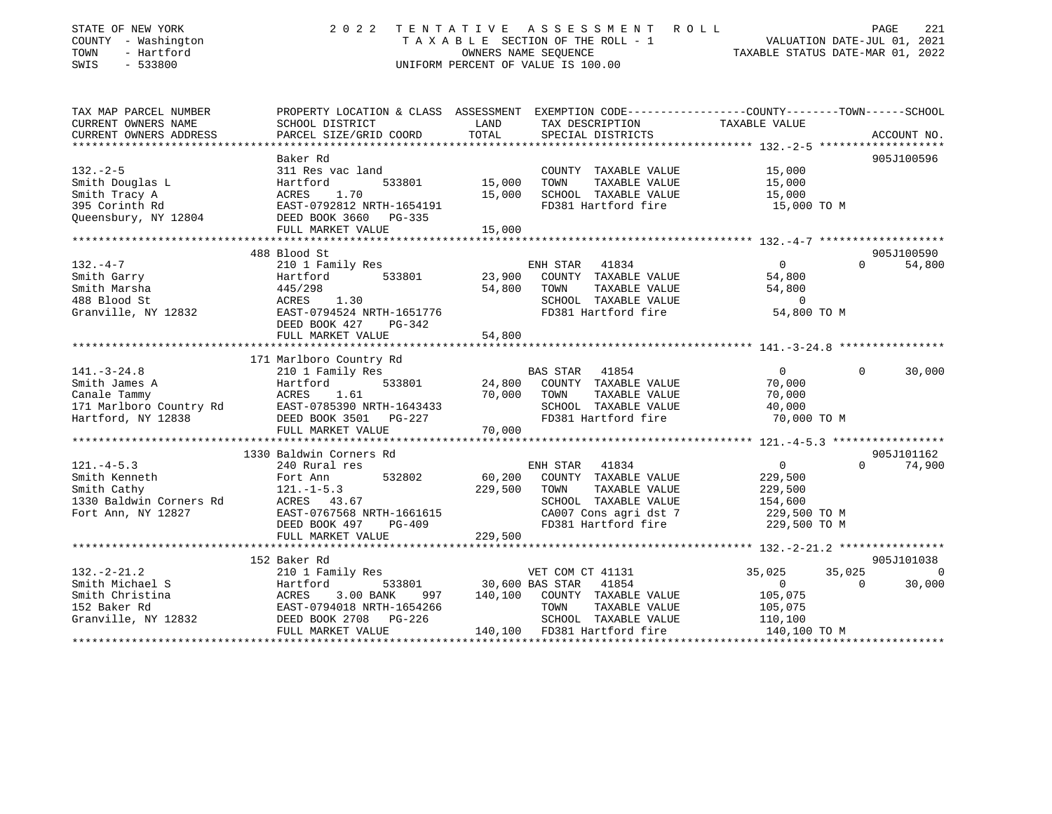| STATE OF NEW YORK<br>COUNTY - Washington<br>- Hartford<br>TOWN<br>SWIS<br>$-533800$               |                                                                                                                                               |                  | 2022 TENTATIVE ASSESSMENT ROLL<br>TAXABLE SECTION OF THE ROLL - 1<br>TAXABLE SECTION OF THE ROLL - 1<br>OWNERS NAME SEQUENCE TAXABLE STATUS DATE-MAR 01, 2022<br>UNIFORM PERCENT OF VALUE IS 100.00 |                                                                                   | 221<br>PAGE        |
|---------------------------------------------------------------------------------------------------|-----------------------------------------------------------------------------------------------------------------------------------------------|------------------|-----------------------------------------------------------------------------------------------------------------------------------------------------------------------------------------------------|-----------------------------------------------------------------------------------|--------------------|
| TAX MAP PARCEL NUMBER<br>CURRENT OWNERS NAME<br>CURRENT OWNERS ADDRESS<br>*********************** | PROPERTY LOCATION & CLASS ASSESSMENT EXEMPTION CODE----------------COUNTY-------TOWN------SCHOOL<br>SCHOOL DISTRICT<br>PARCEL SIZE/GRID COORD | LAND<br>TOTAL    | TAX DESCRIPTION<br>SPECIAL DISTRICTS                                                                                                                                                                | TAXABLE VALUE                                                                     | ACCOUNT NO.        |
| $132 - 2 - 5$<br>Smith Douglas L<br>Smith Tracy A<br>395 Corinth Rd<br>Queensbury, NY 12804       | Baker Rd<br>311 Res vac land<br>533801<br>Hartford<br>ACRES 1.70<br>EAST-0792812 NRTH-1654191<br>DEED BOOK 3660 PG-335                        | 15,000<br>15,000 | COUNTY TAXABLE VALUE<br>TOWN<br>TAXABLE VALUE<br>SCHOOL TAXABLE VALUE<br>FD381 Hartford fire                                                                                                        | 15,000<br>15,000<br>15,000<br>15,000 TO M                                         | 905J100596         |
|                                                                                                   | FULL MARKET VALUE                                                                                                                             | 15,000           |                                                                                                                                                                                                     |                                                                                   |                    |
|                                                                                                   | 488 Blood St                                                                                                                                  |                  |                                                                                                                                                                                                     |                                                                                   | 905J100590         |
| $132. -4 -7$<br>Smith Garry<br>Smith Marsha<br>488 Blood St<br>Granville, NY 12832                | 210 1 Family Res<br>533801<br>Hartford<br>Hartford<br>445/298<br>ACRES 1.30<br>EAST-0794524 NRTH-1651776                                      | 23,900<br>54,800 | ENH STAR 41834<br>COUNTY TAXABLE VALUE<br>TOWN<br>TAXABLE VALUE<br>SCHOOL TAXABLE VALUE<br>FD381 Hartford fire                                                                                      | $\overline{0}$<br>54,800<br>54,800<br>$\sim$ 0<br>54,800 TO M                     | 54,800<br>$\Omega$ |
|                                                                                                   | DEED BOOK 427 PG-342<br>FULL MARKET VALUE                                                                                                     | 54,800           |                                                                                                                                                                                                     |                                                                                   |                    |
|                                                                                                   |                                                                                                                                               |                  |                                                                                                                                                                                                     |                                                                                   |                    |
|                                                                                                   | 171 Marlboro Country Rd                                                                                                                       |                  |                                                                                                                                                                                                     |                                                                                   |                    |
| $141. - 3 - 24.8$                                                                                 | 210 1 Family Res                                                                                                                              |                  | BAS STAR 41854                                                                                                                                                                                      | $\overline{0}$                                                                    | $\Omega$<br>30,000 |
| Smith James A<br>Canale Tammy<br>171 Marlboro Country Rd<br>Hartford, NY 12838                    | 533801<br>Hartford                                                                                                                            |                  | $24,800$ COUNTY TAXABLE VALUE                                                                                                                                                                       |                                                                                   |                    |
|                                                                                                   | ACRES<br>1.61                                                                                                                                 | 70,000 TOWN      | TAXABLE VALUE                                                                                                                                                                                       | 70,000<br>70.000<br>70,000                                                        |                    |
|                                                                                                   | EAST-0785390 NRTH-1643433                                                                                                                     |                  | SCHOOL TAXABLE VALUE                                                                                                                                                                                | 40,000                                                                            |                    |
|                                                                                                   | DEED BOOK 3501 PG-227                                                                                                                         |                  | FD381 Hartford fire                                                                                                                                                                                 | 70,000 TO M                                                                       |                    |
|                                                                                                   | FULL MARKET VALUE                                                                                                                             | 70,000           |                                                                                                                                                                                                     |                                                                                   |                    |
| **********************                                                                            | ********************************                                                                                                              |                  |                                                                                                                                                                                                     |                                                                                   |                    |
|                                                                                                   |                                                                                                                                               |                  |                                                                                                                                                                                                     |                                                                                   |                    |
|                                                                                                   | 1330 Baldwin Corners Rd                                                                                                                       |                  |                                                                                                                                                                                                     |                                                                                   | 905J101162         |
| $121. -4 - 5.3$                                                                                   | 240 Rural res                                                                                                                                 |                  | ENH STAR<br>41834                                                                                                                                                                                   | $\overline{0}$                                                                    | 74,900<br>$\Omega$ |
| Smith Kenneth                                                                                     | 532802<br>Fort Ann                                                                                                                            | 60,200           | COUNTY TAXABLE VALUE                                                                                                                                                                                | 229,500                                                                           |                    |
| Smith Cathy                                                                                       | $121. - 1 - 5.3$                                                                                                                              | 229,500          | TAXABLE VALUE<br>TOWN                                                                                                                                                                               | 229,500<br>154,600                                                                |                    |
| 1330 Baldwin Corners Rd                                                                           | ACRES 43.67<br>ACRES 43.67<br>EAST-0767568 NRTH-1661615                                                                                       |                  | SCHOOL TAXABLE VALUE                                                                                                                                                                                |                                                                                   |                    |
| Fort Ann, NY 12827                                                                                |                                                                                                                                               |                  |                                                                                                                                                                                                     | CA007 Cons agri dst 7 <a><br/>FD381 Hartford fire <a><a></a> 229,500 TO M</a></a> |                    |
|                                                                                                   | DEED BOOK 497 PG-409                                                                                                                          |                  |                                                                                                                                                                                                     |                                                                                   |                    |
|                                                                                                   | FULL MARKET VALUE                                                                                                                             | 229,500          |                                                                                                                                                                                                     |                                                                                   |                    |
|                                                                                                   |                                                                                                                                               |                  |                                                                                                                                                                                                     |                                                                                   |                    |
|                                                                                                   | 152 Baker Rd                                                                                                                                  |                  |                                                                                                                                                                                                     |                                                                                   | 905J101038         |
| $132. - 2 - 21.2$                                                                                 | 210 1 Family Res                                                                                                                              |                  | VET COM CT 41131                                                                                                                                                                                    | 35,025<br>35,025                                                                  | $\overline{0}$     |
| Smith Michael S                                                                                   | Hartford                                                                                                                                      |                  | 533801 30,600 BAS STAR 41854                                                                                                                                                                        | $\overline{0}$                                                                    | $\Omega$<br>30,000 |
| Smith Christina                                                                                   | ACRES<br>3.00 BANK                                                                                                                            |                  | 997 140,100 COUNTY TAXABLE VALUE                                                                                                                                                                    | 105,075                                                                           |                    |
| 152 Baker Rd                                                                                      | EAST-0794018 NRTH-1654266                                                                                                                     |                  | TOWN<br>TAXABLE VALUE                                                                                                                                                                               | 105,075                                                                           |                    |
| Granville, NY 12832                                                                               | DEED BOOK 2708 PG-226                                                                                                                         |                  | SCHOOL TAXABLE VALUE                                                                                                                                                                                | 110,100                                                                           |                    |
|                                                                                                   | FULL MARKET VALUE                                                                                                                             |                  | 140,100 FD381 Hartford fire                                                                                                                                                                         | 140,100 TO M                                                                      |                    |

\*\*\*\*\*\*\*\*\*\*\*\*\*\*\*\*\*\*\*\*\*\*\*\*\*\*\*\*\*\*\*\*\*\*\*\*\*\*\*\*\*\*\*\*\*\*\*\*\*\*\*\*\*\*\*\*\*\*\*\*\*\*\*\*\*\*\*\*\*\*\*\*\*\*\*\*\*\*\*\*\*\*\*\*\*\*\*\*\*\*\*\*\*\*\*\*\*\*\*\*\*\*\*\*\*\*\*\*\*\*\*\*\*\*\*\*\*\*\*\*\*\*\*\*\*\*\*\*\*\*\*\*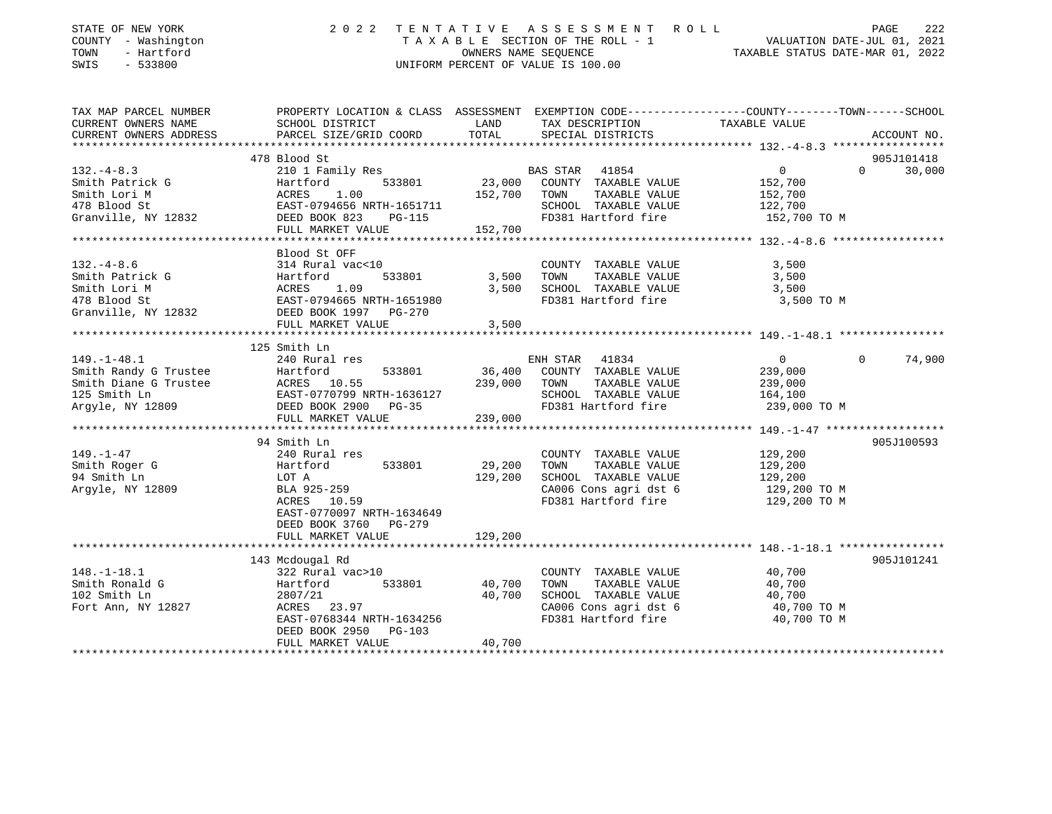| COUNTY - Washington<br>TOWN<br>- Hartford<br>SWIS<br>$-533800$                                          | T A X A B L E SECTION OF THE ROLL - 1<br>OWNERS NAME SEQUENCE<br>UNIFORM PERCENT OF VALUE IS 100.00                                                                              |                              |                                                                                                                          | VALUATION DATE-JUL 01, 2021<br>TAXABLE STATUS DATE-MAR 01, 2022                                                                |
|---------------------------------------------------------------------------------------------------------|----------------------------------------------------------------------------------------------------------------------------------------------------------------------------------|------------------------------|--------------------------------------------------------------------------------------------------------------------------|--------------------------------------------------------------------------------------------------------------------------------|
| TAX MAP PARCEL NUMBER<br>CURRENT OWNERS NAME<br>CURRENT OWNERS ADDRESS                                  | SCHOOL DISTRICT<br>PARCEL SIZE/GRID COORD                                                                                                                                        | LAND<br>TOTAL                | TAX DESCRIPTION<br>SPECIAL DISTRICTS                                                                                     | PROPERTY LOCATION & CLASS ASSESSMENT EXEMPTION CODE---------------COUNTY-------TOWN-----SCHOOL<br>TAXABLE VALUE<br>ACCOUNT NO. |
| $132 - 4 - 8.3$<br>Smith Patrick G<br>Smith Lori M<br>478 Blood St<br>Granville, NY 12832               | 478 Blood St<br>210 1 Family Res<br>Hartford<br>533801<br>1.00<br>ACRES<br>EAST-0794656 NRTH-1651711<br>DEED BOOK 823<br>PG-115<br>FULL MARKET VALUE                             | 152,700<br>152,700           | BAS STAR<br>41854<br>23,000 COUNTY TAXABLE VALUE<br>TOWN<br>TAXABLE VALUE<br>SCHOOL TAXABLE VALUE<br>FD381 Hartford fire | 905J101418<br>$\overline{0}$<br>$\Omega$<br>30,000<br>152,700<br>152,700<br>122,700<br>152,700 TO M                            |
|                                                                                                         |                                                                                                                                                                                  |                              |                                                                                                                          |                                                                                                                                |
| $132. -4 - 8.6$<br>Smith Patrick G<br>Smith Lori M<br>478 Blood St<br>Granville, NY 12832               | Blood St OFF<br>314 Rural vac<10<br>Hartford<br>533801<br>1.09<br>ACRES<br>EAST-0794665 NRTH-1651980<br>DEED BOOK 1997 PG-270<br>FULL MARKET VALUE<br>************************** | 3,500<br>3,500<br>3,500      | COUNTY TAXABLE VALUE<br>TAXABLE VALUE<br>TOWN<br>SCHOOL TAXABLE VALUE<br>FD381 Hartford fire                             | 3,500<br>3,500<br>3,500<br>3,500 TO M                                                                                          |
| $149. - 1 - 48.1$<br>Smith Randy G Trustee<br>Smith Diane G Trustee<br>125 Smith Ln<br>Argyle, NY 12809 | 125 Smith Ln<br>240 Rural res<br>Hartford<br>533801<br>ACRES 10.55<br>EAST-0770799 NRTH-1636127<br>DEED BOOK 2900 PG-35<br>FULL MARKET VALUE                                     | 36,400<br>239,000<br>239,000 | ENH STAR 41834<br>COUNTY TAXABLE VALUE<br>TOWN<br>TAXABLE VALUE<br>SCHOOL TAXABLE VALUE<br>FD381 Hartford fire           | $\Omega$<br>$\Omega$<br>74,900<br>239,000<br>239,000<br>164,100<br>239,000 TO M                                                |
|                                                                                                         |                                                                                                                                                                                  |                              |                                                                                                                          |                                                                                                                                |
| $149. - 1 - 47$<br>Smith Roger G<br>94 Smith Ln<br>Argyle, NY 12809                                     | 94 Smith Ln<br>240 Rural res<br>Hartford<br>533801<br>LOT A<br>BLA 925-259<br>ACRES 10.59<br>EAST-0770097 NRTH-1634649<br>DEED BOOK 3760 PG-279<br>FULL MARKET VALUE             | 29,200<br>129,200<br>129,200 | COUNTY TAXABLE VALUE<br>TAXABLE VALUE<br>TOWN<br>SCHOOL TAXABLE VALUE<br>CA006 Cons agri dst 6<br>FD381 Hartford fire    | 905J100593<br>129,200<br>129,200<br>129,200<br>129,200 TO M<br>129,200 TO M                                                    |
|                                                                                                         |                                                                                                                                                                                  |                              |                                                                                                                          |                                                                                                                                |
| $148. - 1 - 18.1$<br>Smith Ronald G<br>102 Smith Ln<br>Fort Ann, NY 12827                               | 143 Mcdougal Rd<br>322 Rural vac>10<br>533801<br>Hartford<br>2807/21<br>ACRES 23.97<br>EAST-0768344 NRTH-1634256<br>DEED BOOK 2950 PG-103<br>FULL MARKET VALUE                   | 40,700<br>40,700<br>40,700   | COUNTY TAXABLE VALUE<br>TOWN<br>TAXABLE VALUE<br>SCHOOL TAXABLE VALUE<br>CA006 Cons agri dst 6<br>FD381 Hartford fire    | 905J101241<br>40,700<br>40,700<br>40,700<br>40,700 TO M<br>40,700 TO M                                                         |
|                                                                                                         |                                                                                                                                                                                  |                              |                                                                                                                          |                                                                                                                                |

STATE OF NEW YORK 2022 TENTATIVE ASSESSMENT ROLL PAGE

222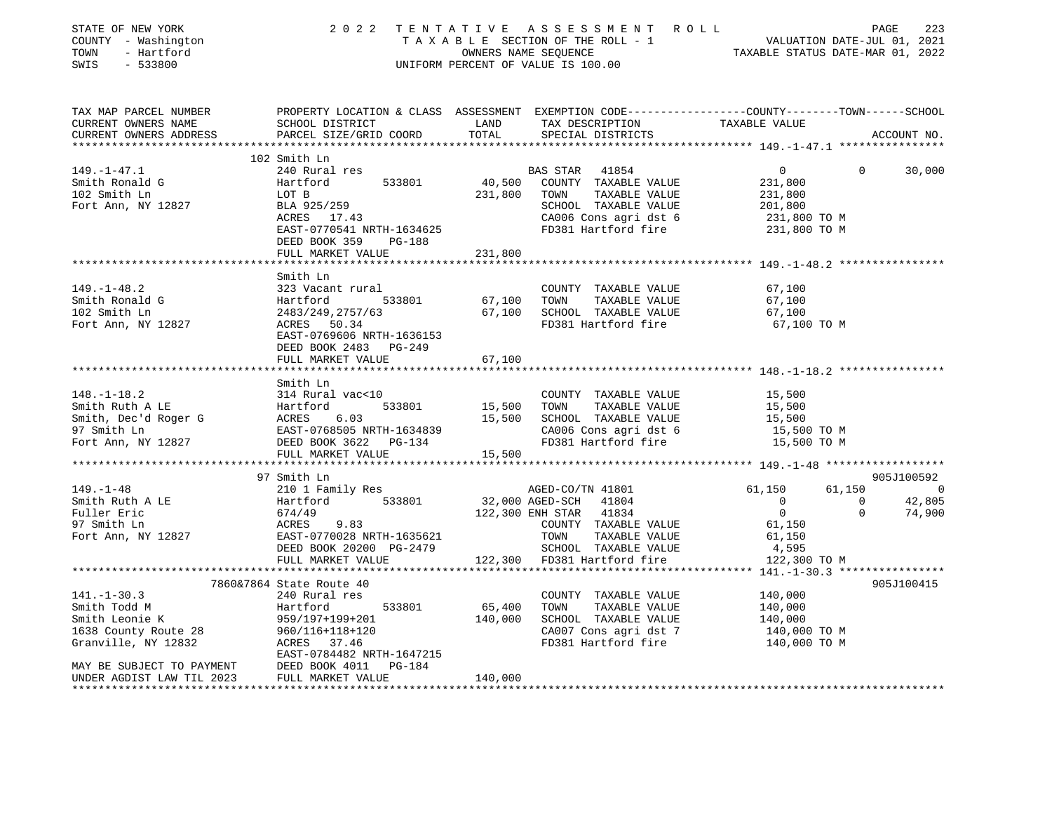| STATE OF NEW YORK<br>COUNTY - Washington<br>TOWN<br>- Hartford<br>SWIS<br>$-533800$ | 2 0 2 2                                                                                                                                      | TENTATIVE     | ASSESSMENT ROLL<br>UNIFORM PERCENT OF VALUE IS 100.00 |                                        |                | PAGE<br>223 |
|-------------------------------------------------------------------------------------|----------------------------------------------------------------------------------------------------------------------------------------------|---------------|-------------------------------------------------------|----------------------------------------|----------------|-------------|
| TAX MAP PARCEL NUMBER<br>CURRENT OWNERS NAME<br>CURRENT OWNERS ADDRESS              | PROPERTY LOCATION & CLASS ASSESSMENT EXEMPTION CODE---------------COUNTY-------TOWN------SCHOOL<br>SCHOOL DISTRICT<br>PARCEL SIZE/GRID COORD | LAND<br>TOTAL | TAX DESCRIPTION<br>SPECIAL DISTRICTS                  | TAXABLE VALUE                          |                | ACCOUNT NO. |
| ************************                                                            | 102 Smith Ln                                                                                                                                 |               |                                                       |                                        |                |             |
| $149. - 1 - 47.1$                                                                   | 240 Rural res                                                                                                                                |               | BAS STAR 41854                                        | $\overline{0}$                         | $\overline{0}$ | 30,000      |
| Smith Ronald G                                                                      | Hartford<br>533801                                                                                                                           | 40,500        | COUNTY TAXABLE VALUE                                  | 231,800                                |                |             |
| 102 Smith Ln                                                                        | LOT B                                                                                                                                        | 231,800       | TAXABLE VALUE<br>TOWN                                 | 231,800                                |                |             |
| Fort Ann, NY 12827                                                                  | BLA 925/259                                                                                                                                  |               | SCHOOL TAXABLE VALUE                                  | 201,800                                |                |             |
|                                                                                     | ACRES 17.43                                                                                                                                  |               | CA006 Cons agri dst 6                                 | 231,800 TO M                           |                |             |
|                                                                                     | EAST-0770541 NRTH-1634625                                                                                                                    |               | FD381 Hartford fire                                   | 231,800 TO M                           |                |             |
|                                                                                     | DEED BOOK 359<br>PG-188                                                                                                                      |               |                                                       |                                        |                |             |
|                                                                                     | FULL MARKET VALUE                                                                                                                            | 231,800       |                                                       | *********** 149.-1-48.2 ************** |                |             |
|                                                                                     | Smith Ln                                                                                                                                     |               |                                                       |                                        |                |             |
| $149. - 1 - 48.2$                                                                   | 323 Vacant rural                                                                                                                             |               | COUNTY TAXABLE VALUE                                  | 67,100                                 |                |             |
| Smith Ronald G                                                                      | Hartford<br>533801                                                                                                                           | 67,100        | TAXABLE VALUE<br>TOWN                                 | 67,100                                 |                |             |
| 102 Smith Ln                                                                        | 2483/249, 2757/63                                                                                                                            | 67,100        | SCHOOL TAXABLE VALUE                                  | 67,100                                 |                |             |
| Fort Ann, NY 12827                                                                  | ACRES 50.34                                                                                                                                  |               | FD381 Hartford fire                                   | 67,100 TO M                            |                |             |
|                                                                                     | EAST-0769606 NRTH-1636153                                                                                                                    |               |                                                       |                                        |                |             |
|                                                                                     | DEED BOOK 2483 PG-249<br>FULL MARKET VALUE                                                                                                   | 67,100        |                                                       |                                        |                |             |
|                                                                                     |                                                                                                                                              |               |                                                       |                                        |                |             |
|                                                                                     | Smith Ln                                                                                                                                     |               |                                                       |                                        |                |             |
| $148. - 1 - 18.2$                                                                   | 314 Rural vac<10                                                                                                                             |               | COUNTY TAXABLE VALUE                                  | 15,500                                 |                |             |
| Smith Ruth A LE                                                                     | 533801<br>Hartford                                                                                                                           | 15,500        | TOWN<br>TAXABLE VALUE                                 | 15,500                                 |                |             |
| Smith, Dec'd Roger G                                                                | ACRES<br>6.03                                                                                                                                | 15,500        | SCHOOL TAXABLE VALUE                                  | 15,500                                 |                |             |
| 97 Smith Ln                                                                         | EAST-0768505 NRTH-1634839                                                                                                                    |               | CA006 Cons agri dst 6                                 | 15,500 TO M                            |                |             |
| Fort Ann, NY 12827                                                                  | DEED BOOK 3622 PG-134                                                                                                                        |               | FD381 Hartford fire                                   | 15,500 TO M                            |                |             |
|                                                                                     | FULL MARKET VALUE<br>**********************                                                                                                  | 15,500        |                                                       |                                        |                |             |
|                                                                                     | 97 Smith Ln                                                                                                                                  |               |                                                       |                                        |                | 905J100592  |
| $149. - 1 - 48$                                                                     | 210 1 Family Res                                                                                                                             |               | AGED-CO/TN 41801                                      | 61,150                                 | 61,150         | $\sim$ 0    |
| Smith Ruth A LE                                                                     | 533801<br>Hartford                                                                                                                           |               | 32,000 AGED-SCH 41804                                 | $\overline{0}$                         | 0              | 42,805      |
| Fuller Eric                                                                         | 674/49                                                                                                                                       |               | 122,300 ENH STAR<br>41834                             | $\overline{0}$                         | $\Omega$       | 74,900      |
| 97 Smith Ln                                                                         | ACRES<br>9.83                                                                                                                                |               | COUNTY TAXABLE VALUE                                  | 61,150                                 |                |             |
| Fort Ann, NY 12827                                                                  | EAST-0770028 NRTH-1635621                                                                                                                    |               | TOWN<br>TAXABLE VALUE                                 | 61,150                                 |                |             |
|                                                                                     | DEED BOOK 20200 PG-2479                                                                                                                      | 122,300       | SCHOOL TAXABLE VALUE<br>FD381 Hartford fire           | 4,595                                  |                |             |
|                                                                                     | FULL MARKET VALUE                                                                                                                            |               |                                                       | 122,300 TO M                           |                |             |
|                                                                                     | 7860&7864 State Route 40                                                                                                                     |               |                                                       |                                        |                | 905J100415  |
| $141. - 1 - 30.3$                                                                   | 240 Rural res                                                                                                                                |               | COUNTY TAXABLE VALUE                                  | 140,000                                |                |             |
| Smith Todd M                                                                        | Hartford<br>533801                                                                                                                           | 65,400        | TAXABLE VALUE<br>TOWN                                 | 140,000                                |                |             |
| Smith Leonie K                                                                      | 959/197+199+201                                                                                                                              | 140,000       | SCHOOL TAXABLE VALUE                                  | 140,000                                |                |             |
| 1638 County Route 28                                                                | 960/116+118+120                                                                                                                              |               | CA007 Cons agri dst 7                                 | 140,000 TO M                           |                |             |
| Granville, NY 12832                                                                 | ACRES 37.46                                                                                                                                  |               | FD381 Hartford fire                                   | 140,000 TO M                           |                |             |
|                                                                                     | EAST-0784482 NRTH-1647215                                                                                                                    |               |                                                       |                                        |                |             |
| MAY BE SUBJECT TO PAYMENT<br>UNDER AGDIST LAW TIL 2023                              | DEED BOOK 4011<br>PG-184<br>FULL MARKET VALUE                                                                                                | 140,000       |                                                       |                                        |                |             |
| *************************                                                           | ********************                                                                                                                         | ***********   |                                                       |                                        |                |             |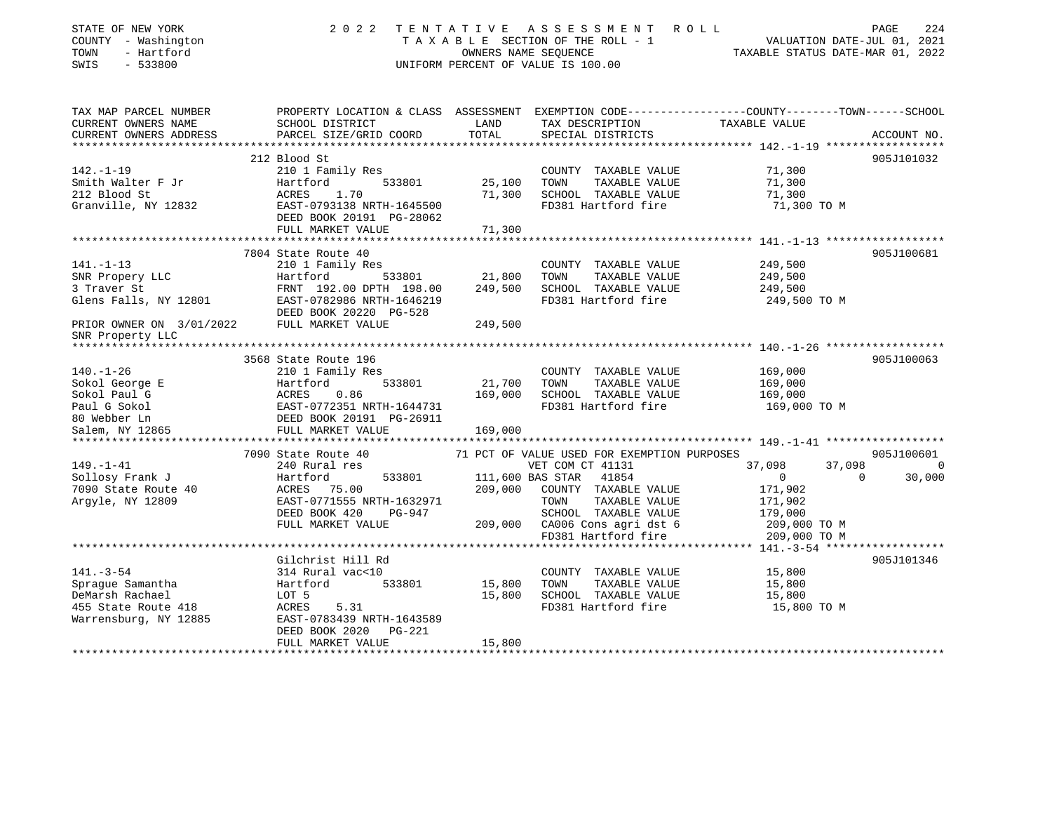| STATE OF NEW YORK<br>COUNTY - Washington<br>- Hartford<br>TOWN<br>SWIS<br>$-533800$                                                           | 2 0 2 2                                                                                          |                  | TENTATIVE ASSESSMENT ROLL<br>TAXABLE SECTION OF THE ROLL - 1<br>OWNERS NAME SEQUENCE<br>OWNERS NAME SEQUENCE<br>TAXABLE STATUS DATE-MAR 01, 2022<br>UNIFORM PERCENT OF VALUE IS 100.00 |                  | PAGE<br>224            |
|-----------------------------------------------------------------------------------------------------------------------------------------------|--------------------------------------------------------------------------------------------------|------------------|----------------------------------------------------------------------------------------------------------------------------------------------------------------------------------------|------------------|------------------------|
| TAX MAP PARCEL NUMBER                                                                                                                         | PROPERTY LOCATION & CLASS ASSESSMENT EXEMPTION CODE----------------COUNTY-------TOWN------SCHOOL |                  |                                                                                                                                                                                        |                  |                        |
| CURRENT OWNERS NAME<br>CURRENT OWNERS ADDRESS                                                                                                 | SCHOOL DISTRICT<br>PARCEL SIZE/GRID COORD                                                        | LAND<br>TOTAL    | TAX DESCRIPTION<br>SPECIAL DISTRICTS                                                                                                                                                   | TAXABLE VALUE    | ACCOUNT NO.            |
|                                                                                                                                               |                                                                                                  |                  |                                                                                                                                                                                        |                  |                        |
|                                                                                                                                               | 212 Blood St                                                                                     |                  |                                                                                                                                                                                        |                  | 905J101032             |
| $142. - 1 - 19$                                                                                                                               | 210 1 Family Res                                                                                 |                  | COUNTY TAXABLE VALUE                                                                                                                                                                   | 71,300           |                        |
| Smith Walter F Jr                                                                                                                             | Hartford<br>533801                                                                               | 25,100 TOWN      | TAXABLE VALUE                                                                                                                                                                          | 71,300           |                        |
| 212 Blood St                                                                                                                                  | ACRES 1.70<br>EAST-0793138 NRTH-1645500                                                          |                  | 71,300 SCHOOL TAXABLE VALUE                                                                                                                                                            | 71,300           |                        |
| Granville, NY 12832                                                                                                                           |                                                                                                  |                  | FD381 Hartford fire                                                                                                                                                                    | 71,300 TO M      |                        |
|                                                                                                                                               | DEED BOOK 20191 PG-28062                                                                         |                  |                                                                                                                                                                                        |                  |                        |
|                                                                                                                                               | FULL MARKET VALUE                                                                                | 71,300           |                                                                                                                                                                                        |                  |                        |
|                                                                                                                                               | 7804 State Route 40                                                                              |                  |                                                                                                                                                                                        |                  | 905J100681             |
| $141. - 1 - 13$                                                                                                                               | 210 1 Family Res                                                                                 |                  | COUNTY TAXABLE VALUE                                                                                                                                                                   | 249,500          |                        |
|                                                                                                                                               | Hartford                                                                                         | 533801 21,800    | TOWN TAXABLE VALUE                                                                                                                                                                     | 249,500          |                        |
| SNR Propery LLC<br>3 Traver St<br>3 Traver St                                                                                                 | FRNT 192.00 DPTH 198.00                                                                          | 249,500          | SCHOOL TAXABLE VALUE                                                                                                                                                                   | 249,500          |                        |
|                                                                                                                                               |                                                                                                  |                  | FD381 Hartford fire                                                                                                                                                                    | 249,500 TO M     |                        |
|                                                                                                                                               |                                                                                                  |                  |                                                                                                                                                                                        |                  |                        |
| Glens Falls, NY 12801 EAST-0782986 NRTH-1646219<br>DEED BOOK 20220 PG-528<br>PRIOR OWNER ON $3/01/2022$ FULL MARKET VALUE<br>SNR Property LLC |                                                                                                  | 249,500          |                                                                                                                                                                                        |                  |                        |
|                                                                                                                                               |                                                                                                  |                  |                                                                                                                                                                                        |                  |                        |
|                                                                                                                                               | 3568 State Route 196                                                                             |                  |                                                                                                                                                                                        |                  | 905J100063             |
| $140. - 1 - 26$                                                                                                                               | 210 1 Family Res                                                                                 |                  | COUNTY TAXABLE VALUE                                                                                                                                                                   | 169,000          |                        |
| Sokol George E                                                                                                                                |                                                                                                  | 21,700 TOWN      | TAXABLE VALUE                                                                                                                                                                          | 169,000          |                        |
| Sokol Paul G                                                                                                                                  | Hartford 533801<br>ACRES 0.86<br>EAST-0772351 NRTH-1644731<br>0.86                               | 169,000          | SCHOOL TAXABLE VALUE                                                                                                                                                                   | 169,000          |                        |
| Paul G Sokol                                                                                                                                  |                                                                                                  |                  | FD381 Hartford fire                                                                                                                                                                    | 169,000 TO M     |                        |
| 80 Webber Ln<br>Salem, NY 12865                                                                                                               | DEED BOOK 20191 PG-26911<br>FULL MARKET VALUE                                                    | 169,000          |                                                                                                                                                                                        |                  |                        |
|                                                                                                                                               |                                                                                                  |                  |                                                                                                                                                                                        |                  |                        |
|                                                                                                                                               | 7090 State Route 40                                                                              |                  | 71 PCT OF VALUE USED FOR EXEMPTION PURPOSES                                                                                                                                            |                  | 905J100601             |
| 149.–1–41                                                                                                                                     | 240 Rural res                                                                                    |                  | VET COM CT 41131                                                                                                                                                                       | 37,098           | 37,098<br>$\Omega$     |
| Sollosy Frank J                                                                                                                               | Hartford<br>533801                                                                               |                  | 111,600 BAS STAR 41854                                                                                                                                                                 | $\overline{0}$   | $\mathbf{0}$<br>30,000 |
| 7090 State Route 40                                                                                                                           | ACRES 75.00                                                                                      |                  | 209,000 COUNTY TAXABLE VALUE                                                                                                                                                           | 171,902          |                        |
| Argyle, NY 12809                                                                                                                              | EAST-0771555 NRTH-1632971                                                                        |                  | TAXABLE VALUE<br>TOWN                                                                                                                                                                  | 171,902          |                        |
|                                                                                                                                               | DEED BOOK 420<br>PG-947                                                                          |                  | SCHOOL TAXABLE VALUE                                                                                                                                                                   | 179,000          |                        |
|                                                                                                                                               | FULL MARKET VALUE                                                                                |                  | 209,000 CA006 Cons agri dst 6                                                                                                                                                          | 209,000 TO M     |                        |
|                                                                                                                                               |                                                                                                  |                  | FD381 Hartford fire                                                                                                                                                                    | 209,000 TO M     |                        |
|                                                                                                                                               |                                                                                                  |                  |                                                                                                                                                                                        |                  |                        |
|                                                                                                                                               | Gilchrist Hill Rd                                                                                |                  |                                                                                                                                                                                        |                  | 905J101346             |
| $141. - 3 - 54$                                                                                                                               | 314 Rural vac<10                                                                                 |                  | COUNTY TAXABLE VALUE                                                                                                                                                                   | 15,800           |                        |
| Spraque Samantha<br>DeMarsh Rachael                                                                                                           | Hartford<br>533801<br>LOT 5                                                                      | 15,800<br>15,800 | TAXABLE VALUE<br>TOWN<br>SCHOOL TAXABLE VALUE                                                                                                                                          | 15,800<br>15,800 |                        |
|                                                                                                                                               | ACRES 5.31                                                                                       |                  | FD381 Hartford fire                                                                                                                                                                    | 15,800 TO M      |                        |
| 455 State Route 418<br>Warrensburg, NY 12885<br>Warrensburg, NY 12885                                                                         | EAST-0783439 NRTH-1643589                                                                        |                  |                                                                                                                                                                                        |                  |                        |
|                                                                                                                                               | DEED BOOK 2020<br>PG-221                                                                         |                  |                                                                                                                                                                                        |                  |                        |
|                                                                                                                                               | FULL MARKET VALUE                                                                                | 15,800           |                                                                                                                                                                                        |                  |                        |
|                                                                                                                                               |                                                                                                  |                  |                                                                                                                                                                                        |                  |                        |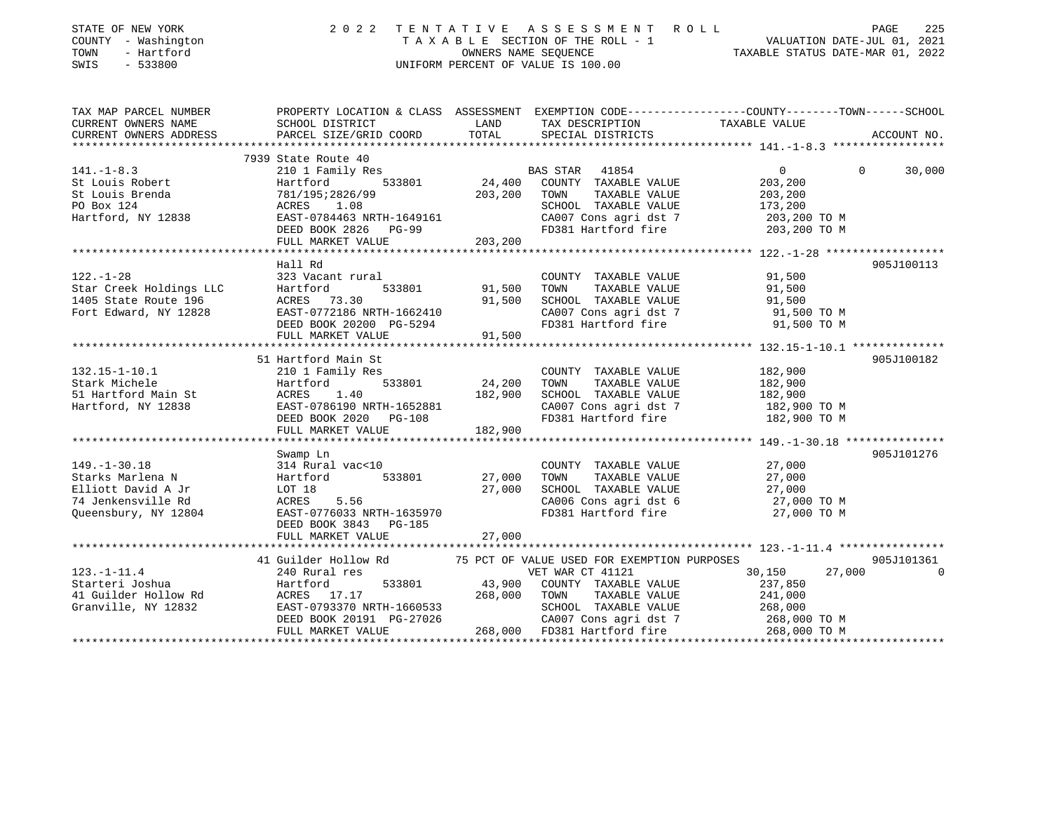| STATE OF NEW YORK<br>COUNTY - Washington<br>- Hartford<br>TOWN<br>SWIS<br>$-533800$ | 2 0 2 2                                           | TENTATIVE<br>OWNERS NAME SEQUENCE | ASSESSMENT<br>R O L L<br>TAXABLE SECTION OF THE ROLL - 1<br>UNIFORM PERCENT OF VALUE IS 100.00                     | VALUATION DATE-JUL 01, 2021<br>TAXABLE STATUS DATE-MAR 01, 2022 | PAGE<br>225 |
|-------------------------------------------------------------------------------------|---------------------------------------------------|-----------------------------------|--------------------------------------------------------------------------------------------------------------------|-----------------------------------------------------------------|-------------|
| TAX MAP PARCEL NUMBER<br>CURRENT OWNERS NAME                                        | SCHOOL DISTRICT                                   | LAND                              | PROPERTY LOCATION & CLASS ASSESSMENT EXEMPTION CODE---------------COUNTY-------TOWN------SCHOOL<br>TAX DESCRIPTION | TAXABLE VALUE                                                   |             |
| CURRENT OWNERS ADDRESS                                                              | PARCEL SIZE/GRID COORD                            | TOTAL                             | SPECIAL DISTRICTS                                                                                                  |                                                                 | ACCOUNT NO. |
|                                                                                     | 7939 State Route 40                               |                                   |                                                                                                                    |                                                                 |             |
| $141. - 1 - 8.3$                                                                    | 210 1 Family Res                                  |                                   | BAS STAR<br>41854                                                                                                  | $\mathbf{0}$<br>$\Omega$                                        | 30,000      |
| St Louis Robert                                                                     | Hartford<br>533801                                | 24,400                            | COUNTY TAXABLE VALUE                                                                                               | 203,200                                                         |             |
| St Louis Brenda                                                                     | 781/195;2826/99                                   | 203,200                           | TOWN<br>TAXABLE VALUE                                                                                              | 203,200                                                         |             |
| PO Box 124                                                                          | 1.08<br>ACRES                                     |                                   | SCHOOL TAXABLE VALUE                                                                                               | 173,200                                                         |             |
| Hartford, NY 12838                                                                  | EAST-0784463 NRTH-1649161<br>DEED BOOK 2826 PG-99 |                                   | CA007 Cons agri dst 7<br>FD381 Hartford fire                                                                       | 203,200 TO M<br>203,200 TO M                                    |             |
|                                                                                     | FULL MARKET VALUE                                 | 203,200                           |                                                                                                                    |                                                                 |             |
|                                                                                     |                                                   |                                   |                                                                                                                    |                                                                 |             |
|                                                                                     | Hall Rd                                           |                                   |                                                                                                                    |                                                                 | 905J100113  |
| $122. - 1 - 28$                                                                     | 323 Vacant rural                                  |                                   | COUNTY TAXABLE VALUE                                                                                               | 91,500                                                          |             |
| Star Creek Holdings LLC                                                             | Hartford<br>533801                                | 91,500                            | TOWN<br>TAXABLE VALUE                                                                                              | 91,500                                                          |             |
| 1405 State Route 196                                                                | ACRES 73.30                                       | 91,500                            | SCHOOL TAXABLE VALUE                                                                                               | 91,500                                                          |             |
| Fort Edward, NY 12828                                                               | EAST-0772186 NRTH-1662410                         |                                   | CA007 Cons agri dst 7                                                                                              | 91,500 TO M                                                     |             |
|                                                                                     | DEED BOOK 20200 PG-5294                           |                                   | FD381 Hartford fire                                                                                                | 91,500 TO M                                                     |             |
|                                                                                     | FULL MARKET VALUE<br>*********************        | 91,500                            |                                                                                                                    |                                                                 |             |
|                                                                                     | 51 Hartford Main St                               |                                   |                                                                                                                    |                                                                 | 905J100182  |
| $132.15 - 1 - 10.1$                                                                 | 210 1 Family Res                                  |                                   | COUNTY TAXABLE VALUE                                                                                               | 182,900                                                         |             |
| Stark Michele                                                                       | Hartford<br>533801                                | 24,200                            | TAXABLE VALUE<br>TOWN                                                                                              | 182,900                                                         |             |
| 51 Hartford Main St                                                                 | 1.40<br>ACRES                                     | 182,900                           | SCHOOL TAXABLE VALUE                                                                                               | 182,900                                                         |             |
| Hartford, NY 12838                                                                  | EAST-0786190 NRTH-1652881                         |                                   | CA007 Cons agri dst 7                                                                                              | 182,900 TO M                                                    |             |
|                                                                                     | DEED BOOK 2020 PG-108                             |                                   | FD381 Hartford fire                                                                                                | 182,900 TO M                                                    |             |
|                                                                                     | FULL MARKET VALUE                                 | 182,900                           |                                                                                                                    |                                                                 |             |
|                                                                                     |                                                   |                                   |                                                                                                                    |                                                                 |             |
|                                                                                     | Swamp Ln                                          |                                   |                                                                                                                    |                                                                 | 905J101276  |
| $149. - 1 - 30.18$                                                                  | 314 Rural vac<10                                  |                                   | COUNTY TAXABLE VALUE                                                                                               | 27,000                                                          |             |
| Starks Marlena N                                                                    | 533801<br>Hartford                                | 27,000                            | TOWN<br>TAXABLE VALUE                                                                                              | 27,000                                                          |             |
| Elliott David A Jr<br>74 Jenkensville Rd                                            | LOT 18<br>ACRES<br>5.56                           | 27,000                            | SCHOOL TAXABLE VALUE<br>CA006 Cons agri dst 6                                                                      | 27,000<br>27,000 TO M                                           |             |
| Queensbury, NY 12804                                                                | EAST-0776033 NRTH-1635970                         |                                   | FD381 Hartford fire                                                                                                | 27,000 TO M                                                     |             |
|                                                                                     | DEED BOOK 3843<br><b>PG-185</b>                   |                                   |                                                                                                                    |                                                                 |             |
|                                                                                     | FULL MARKET VALUE                                 | 27,000                            |                                                                                                                    |                                                                 |             |
|                                                                                     |                                                   |                                   |                                                                                                                    |                                                                 |             |
|                                                                                     | 41 Guilder Hollow Rd                              |                                   | 75 PCT OF VALUE USED FOR EXEMPTION PURPOSES                                                                        |                                                                 | 905J101361  |
| $123. - 1 - 11.4$                                                                   | 240 Rural res                                     |                                   | VET WAR CT 41121                                                                                                   | 30,150<br>27,000                                                | $\Omega$    |
| Starteri Joshua                                                                     | Hartford<br>533801                                | 43,900                            | COUNTY TAXABLE VALUE                                                                                               | 237,850                                                         |             |
| 41 Guilder Hollow Rd                                                                | ACRES 17.17                                       | 268,000                           | TOWN<br>TAXABLE VALUE                                                                                              | 241,000                                                         |             |
| Granville, NY 12832                                                                 | EAST-0793370 NRTH-1660533                         |                                   | SCHOOL TAXABLE VALUE                                                                                               | 268,000                                                         |             |
|                                                                                     | DEED BOOK 20191 PG-27026                          |                                   | CA007 Cons agri dst 7                                                                                              | 268,000 TO M                                                    |             |
|                                                                                     | FULL MARKET VALUE                                 | 268,000                           | FD381 Hartford fire                                                                                                | 268,000 TO M                                                    |             |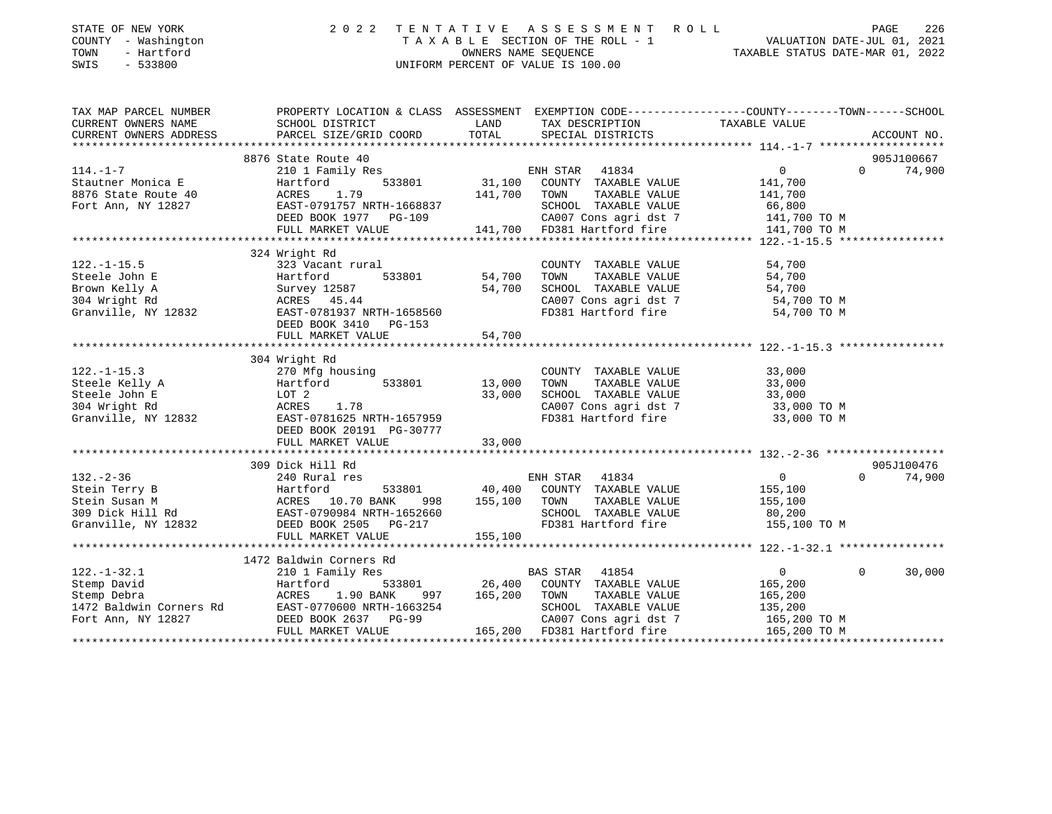| STATE OF NEW YORK<br>COUNTY - Washington<br>TOWN<br>- Hartford<br>SWIS<br>$-533800$ | 2 0 2 2                                                                                                              | TENTATIVE | ASSESSMENT ROLL<br>UNIFORM PERCENT OF VALUE IS 100.00 | TAXABLE SECTION OF THE ROLL - 1<br>OWNERS NAME SEQUENCE<br>OWNERS NAME SEQUENCE<br>TAXABLE STATUS DATE-MAR 01, 2022 | PAGE<br>226          |
|-------------------------------------------------------------------------------------|----------------------------------------------------------------------------------------------------------------------|-----------|-------------------------------------------------------|---------------------------------------------------------------------------------------------------------------------|----------------------|
| TAX MAP PARCEL NUMBER<br>CURRENT OWNERS NAME                                        | PROPERTY LOCATION & CLASS ASSESSMENT EXEMPTION CODE-----------------COUNTY-------TOWN------SCHOOL<br>SCHOOL DISTRICT | LAND      | TAX DESCRIPTION                                       | TAXABLE VALUE                                                                                                       |                      |
| CURRENT OWNERS ADDRESS                                                              | PARCEL SIZE/GRID COORD                                                                                               | TOTAL     | SPECIAL DISTRICTS                                     |                                                                                                                     | ACCOUNT NO.          |
|                                                                                     | 8876 State Route 40                                                                                                  |           |                                                       |                                                                                                                     | 905J100667           |
| $114. - 1 - 7$                                                                      | 210 1 Family Res                                                                                                     |           | ENH STAR 41834                                        | 0                                                                                                                   | $\Omega$<br>74,900   |
| Stautner Monica E                                                                   | 533801<br>Hartford                                                                                                   | 31,100    | COUNTY TAXABLE VALUE                                  | 141,700                                                                                                             |                      |
| 8876 State Route 40                                                                 | 1.79<br>ACRES                                                                                                        | 141,700   | TOWN<br>TAXABLE VALUE                                 | 141,700                                                                                                             |                      |
| Fort Ann, NY 12827                                                                  | EAST-0791757 NRTH-1668837                                                                                            |           | SCHOOL TAXABLE VALUE                                  | 66,800                                                                                                              |                      |
|                                                                                     | DEED BOOK 1977 PG-109                                                                                                |           | CA007 Cons agri dst 7                                 | 141,700 TO M                                                                                                        |                      |
|                                                                                     | FULL MARKET VALUE                                                                                                    |           | 141,700 FD381 Hartford fire                           | 141,700 TO M                                                                                                        |                      |
|                                                                                     | 324 Wright Rd                                                                                                        |           |                                                       |                                                                                                                     |                      |
| $122. - 1 - 15.5$                                                                   | 323 Vacant rural                                                                                                     |           | COUNTY TAXABLE VALUE                                  | 54,700                                                                                                              |                      |
| Steele John E                                                                       | Hartford<br>533801                                                                                                   | 54,700    | TOWN<br>TAXABLE VALUE                                 | 54,700                                                                                                              |                      |
| Brown Kelly A                                                                       | Survey 12587                                                                                                         | 54,700    | SCHOOL TAXABLE VALUE                                  | 54,700                                                                                                              |                      |
| 304 Wright Rd                                                                       | ACRES 45.44                                                                                                          |           | CA007 Cons agri dst 7                                 | 54,700 TO M                                                                                                         |                      |
| Granville, NY 12832                                                                 | EAST-0781937 NRTH-1658560<br>DEED BOOK 3410 PG-153                                                                   |           | FD381 Hartford fire                                   | 54,700 TO M                                                                                                         |                      |
|                                                                                     | FULL MARKET VALUE                                                                                                    | 54,700    |                                                       |                                                                                                                     |                      |
|                                                                                     | 304 Wright Rd                                                                                                        |           |                                                       |                                                                                                                     |                      |
| $122. - 1 - 15.3$                                                                   | 270 Mfg housing                                                                                                      |           | COUNTY TAXABLE VALUE                                  | 33,000                                                                                                              |                      |
| Steele Kelly A                                                                      | 533801<br>Hartford                                                                                                   | 13,000    | TAXABLE VALUE<br>TOWN                                 | 33,000                                                                                                              |                      |
| Steele John E                                                                       | LOT 2                                                                                                                | 33,000    | SCHOOL TAXABLE VALUE                                  | 33,000                                                                                                              |                      |
| 304 Wright Rd                                                                       | ACRES<br>1.78                                                                                                        |           | CA007 Cons agri dst 7                                 | 33,000 TO M                                                                                                         |                      |
| Granville, NY 12832                                                                 | EAST-0781625 NRTH-1657959<br>DEED BOOK 20191 PG-30777                                                                |           | FD381 Hartford fire                                   | 33,000 TO M                                                                                                         |                      |
|                                                                                     | FULL MARKET VALUE                                                                                                    | 33,000    |                                                       |                                                                                                                     |                      |
|                                                                                     |                                                                                                                      |           |                                                       |                                                                                                                     |                      |
| $132 - 2 - 36$                                                                      | 309 Dick Hill Rd<br>240 Rural res                                                                                    |           | ENH STAR 41834                                        | $\overline{0}$<br>$\Omega$                                                                                          | 905J100476<br>74,900 |
|                                                                                     |                                                                                                                      | 40,400    | COUNTY TAXABLE VALUE                                  | 155,100                                                                                                             |                      |
|                                                                                     | 998                                                                                                                  | 155,100   | TOWN<br>TAXABLE VALUE                                 | 155,100                                                                                                             |                      |
|                                                                                     |                                                                                                                      |           | SCHOOL TAXABLE VALUE                                  | 80,200                                                                                                              |                      |
|                                                                                     |                                                                                                                      |           | FD381 Hartford fire                                   | 155,100 TO M                                                                                                        |                      |
|                                                                                     | FULL MARKET VALUE                                                                                                    | 155,100   |                                                       |                                                                                                                     |                      |
|                                                                                     |                                                                                                                      |           |                                                       |                                                                                                                     |                      |
|                                                                                     | 1472 Baldwin Corners Rd                                                                                              |           |                                                       |                                                                                                                     |                      |
| $122. - 1 - 32.1$                                                                   | 210 1 Family Res                                                                                                     |           | BAS STAR<br>41854                                     | $\overline{0}$<br>$\Omega$                                                                                          | 30,000               |
| Stemp David                                                                         | Hartford<br>533801                                                                                                   | 26,400    | COUNTY TAXABLE VALUE                                  | 165,200                                                                                                             |                      |
| Stemp Debra                                                                         | 1.90 BANK<br>ACRES<br>997 — 19                                                                                       | 165,200   | TAXABLE VALUE<br>TOWN                                 | 165,200                                                                                                             |                      |
| 1472 Baldwin Corners Rd                                                             | EAST-0770600 NRTH-1663254                                                                                            |           | SCHOOL TAXABLE VALUE                                  | 135,200                                                                                                             |                      |
| Fort Ann, NY 12827                                                                  | DEED BOOK 2637 PG-99                                                                                                 |           | CA007 Cons agri dst 7                                 | 165,200 TO M                                                                                                        |                      |
|                                                                                     | FULL MARKET VALUE                                                                                                    |           | 165,200 FD381 Hartford fire                           | 165,200 TO M                                                                                                        |                      |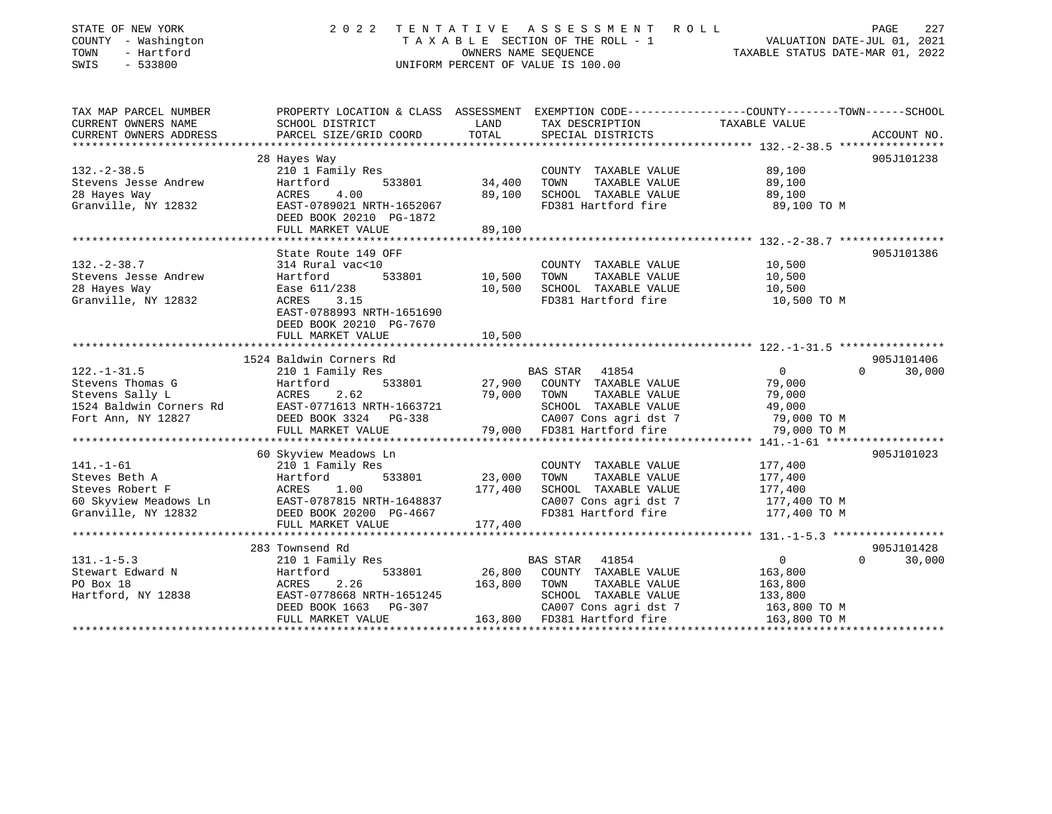| STATE OF NEW YORK<br>COUNTY - Washington<br>TOWN<br>- Hartford<br>SWIS<br>$-533800$ | 2 0 2 2                                                                                                            | OWNERS NAME SEQUENCE | TENTATIVE ASSESSMENT<br>ROLL<br>TAXABLE SECTION OF THE ROLL - 1<br>UNIFORM PERCENT OF VALUE IS 100.00 | VALUATION DATE-JUL 01, 2021<br>TAXABLE STATUS DATE-MAR 01, 2022 | 227<br>PAGE            |
|-------------------------------------------------------------------------------------|--------------------------------------------------------------------------------------------------------------------|----------------------|-------------------------------------------------------------------------------------------------------|-----------------------------------------------------------------|------------------------|
| TAX MAP PARCEL NUMBER<br>CURRENT OWNERS NAME                                        | PROPERTY LOCATION & CLASS ASSESSMENT EXEMPTION CODE----------------COUNTY-------TOWN-----SCHOOL<br>SCHOOL DISTRICT | LAND                 | TAX DESCRIPTION                                                                                       | TAXABLE VALUE                                                   |                        |
| CURRENT OWNERS ADDRESS                                                              | PARCEL SIZE/GRID COORD                                                                                             | TOTAL                | SPECIAL DISTRICTS                                                                                     |                                                                 | ACCOUNT NO.            |
|                                                                                     |                                                                                                                    |                      |                                                                                                       |                                                                 | 905J101238             |
| $132. - 2 - 38.5$                                                                   | 28 Hayes Way<br>210 1 Family Res                                                                                   |                      | COUNTY TAXABLE VALUE                                                                                  | 89,100                                                          |                        |
| Stevens Jesse Andrew                                                                | 533801<br>Hartford                                                                                                 | 34,400               | TOWN<br>TAXABLE VALUE                                                                                 | 89,100                                                          |                        |
| 28 Hayes Way                                                                        | 4.00<br>ACRES                                                                                                      | 89,100               | SCHOOL TAXABLE VALUE                                                                                  | 89,100                                                          |                        |
| Granville, NY 12832                                                                 | EAST-0789021 NRTH-1652067                                                                                          |                      | FD381 Hartford fire                                                                                   | 89,100 TO M                                                     |                        |
|                                                                                     | DEED BOOK 20210 PG-1872                                                                                            |                      |                                                                                                       |                                                                 |                        |
|                                                                                     | FULL MARKET VALUE                                                                                                  | 89,100               |                                                                                                       |                                                                 |                        |
|                                                                                     |                                                                                                                    |                      |                                                                                                       |                                                                 |                        |
|                                                                                     | State Route 149 OFF                                                                                                |                      |                                                                                                       |                                                                 | 905J101386             |
| $132 - 2 - 38.7$                                                                    | 314 Rural vac<10                                                                                                   |                      | COUNTY TAXABLE VALUE                                                                                  | 10,500                                                          |                        |
| Stevens Jesse Andrew                                                                | 533801<br>Hartford                                                                                                 | 10,500               | TOWN<br>TAXABLE VALUE                                                                                 | 10,500                                                          |                        |
| 28 Hayes Way                                                                        | Ease 611/238                                                                                                       | 10,500               | SCHOOL TAXABLE VALUE                                                                                  | 10,500                                                          |                        |
| Granville, NY 12832                                                                 | ACRES<br>3.15                                                                                                      |                      | FD381 Hartford fire                                                                                   | 10,500 TO M                                                     |                        |
|                                                                                     | EAST-0788993 NRTH-1651690                                                                                          |                      |                                                                                                       |                                                                 |                        |
|                                                                                     | DEED BOOK 20210 PG-7670                                                                                            |                      |                                                                                                       |                                                                 |                        |
|                                                                                     | FULL MARKET VALUE                                                                                                  | 10,500               |                                                                                                       |                                                                 |                        |
|                                                                                     |                                                                                                                    |                      |                                                                                                       |                                                                 |                        |
|                                                                                     | 1524 Baldwin Corners Rd                                                                                            |                      |                                                                                                       |                                                                 | 905J101406             |
| $122. - 1 - 31.5$                                                                   | 210 1 Family Res                                                                                                   |                      | <b>BAS STAR</b><br>41854                                                                              | $\overline{0}$                                                  | $\Omega$<br>30,000     |
| Stevens Thomas G                                                                    | Hartford<br>533801                                                                                                 | 27,900               | COUNTY TAXABLE VALUE                                                                                  | 79,000                                                          |                        |
| Stevens Sally L                                                                     | <b>ACRES</b><br>2.62                                                                                               | 79,000               | TAXABLE VALUE<br>TOWN                                                                                 | 79,000                                                          |                        |
| 1524 Baldwin Corners Rd                                                             | EAST-0771613 NRTH-1663721                                                                                          |                      | SCHOOL TAXABLE VALUE                                                                                  | 49,000                                                          |                        |
| Fort Ann, NY 12827                                                                  | DEED BOOK 3324 PG-338                                                                                              |                      | CA007 Cons agri dst 7                                                                                 | 79,000 TO M                                                     |                        |
|                                                                                     | FULL MARKET VALUE                                                                                                  | 79,000               | FD381 Hartford fire                                                                                   | 79,000 TO M                                                     |                        |
|                                                                                     | ********************                                                                                               |                      |                                                                                                       | **** $141. - 1 - 61$ ******                                     |                        |
|                                                                                     | 60 Skyview Meadows Ln                                                                                              |                      |                                                                                                       |                                                                 | 905J101023             |
| $141. - 1 - 61$                                                                     | 210 1 Family Res                                                                                                   |                      | COUNTY TAXABLE VALUE                                                                                  | 177,400                                                         |                        |
| Steves Beth A                                                                       | Hartford<br>533801                                                                                                 | 23,000               | TAXABLE VALUE<br>TOWN                                                                                 | 177,400                                                         |                        |
| Steves Robert F                                                                     | <b>ACRES</b><br>1.00                                                                                               | 177,400              | SCHOOL TAXABLE VALUE                                                                                  | 177,400                                                         |                        |
| 60 Skyview Meadows Ln                                                               | EAST-0787815 NRTH-1648837                                                                                          |                      | CA007 Cons agri dst 7                                                                                 | 177,400 TO M                                                    |                        |
| Granville, NY 12832                                                                 | DEED BOOK 20200 PG-4667                                                                                            |                      | FD381 Hartford fire                                                                                   | 177,400 TO M                                                    |                        |
|                                                                                     | FULL MARKET VALUE<br>***********************                                                                       | 177,400              |                                                                                                       |                                                                 |                        |
|                                                                                     |                                                                                                                    |                      |                                                                                                       | **************** 131.-1-5.3 ******************                  |                        |
|                                                                                     | 283 Townsend Rd                                                                                                    |                      |                                                                                                       |                                                                 | 905J101428<br>$\Omega$ |
| $131. -1 - 5.3$<br>Stewart Edward N                                                 | 210 1 Family Res<br>Hartford<br>533801                                                                             | 26,800               | BAS STAR<br>41854<br>COUNTY TAXABLE VALUE                                                             | $\overline{0}$                                                  | 30,000                 |
| PO Box 18                                                                           | <b>ACRES</b><br>2.26                                                                                               | 163,800              | TOWN                                                                                                  | 163,800                                                         |                        |
|                                                                                     | EAST-0778668 NRTH-1651245                                                                                          |                      | TAXABLE VALUE<br>SCHOOL TAXABLE VALUE                                                                 | 163,800<br>133,800                                              |                        |
| Hartford, NY 12838                                                                  | DEED BOOK 1663<br>PG-307                                                                                           |                      | CA007 Cons agri dst 7                                                                                 | 163,800 TO M                                                    |                        |
|                                                                                     |                                                                                                                    |                      |                                                                                                       |                                                                 |                        |

FULL MARKET VALUE 163,800 FD381 Hartford fire 163,800 TO M

\*\*\*\*\*\*\*\*\*\*\*\*\*\*\*\*\*\*\*\*\*\*\*\*\*\*\*\*\*\*\*\*\*\*\*\*\*\*\*\*\*\*\*\*\*\*\*\*\*\*\*\*\*\*\*\*\*\*\*\*\*\*\*\*\*\*\*\*\*\*\*\*\*\*\*\*\*\*\*\*\*\*\*\*\*\*\*\*\*\*\*\*\*\*\*\*\*\*\*\*\*\*\*\*\*\*\*\*\*\*\*\*\*\*\*\*\*\*\*\*\*\*\*\*\*\*\*\*\*\*\*\*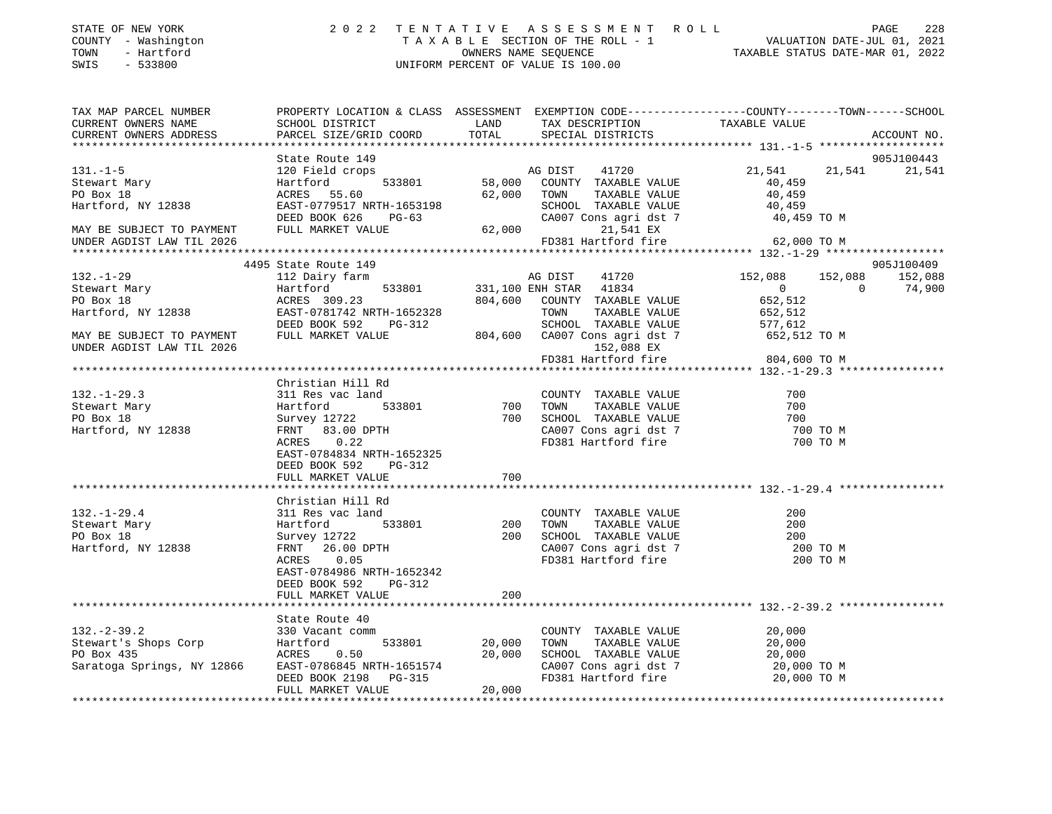| COUNTY - Washington<br>TOWN<br>- Hartford<br>SWIS<br>$-533800$                                                                                                                                                                       | UNIFORM PERCENT OF VALUE IS 100.00                                                                                                                                                                    |            |                                                      |                         |               |
|--------------------------------------------------------------------------------------------------------------------------------------------------------------------------------------------------------------------------------------|-------------------------------------------------------------------------------------------------------------------------------------------------------------------------------------------------------|------------|------------------------------------------------------|-------------------------|---------------|
| TAX MAP PARCEL NUMBER THE PROPERTY LOCATION & CLASS ASSESSMENT EXEMPTION CODE--------------COUNTY-------TOWN------SCHOOL                                                                                                             |                                                                                                                                                                                                       |            |                                                      |                         |               |
| CURRENT OWNERS NAME                                                                                                                                                                                                                  | SCHOOL DISTRICT<br><b>Example 12</b>                                                                                                                                                                  |            | TAX DESCRIPTION TAXABLE VALUE                        |                         |               |
| CURRENT OWNERS ADDRESS                                                                                                                                                                                                               | PARCEL SIZE/GRID COORD                                                                                                                                                                                | TOTAL      | SPECIAL DISTRICTS                                    |                         | ACCOUNT NO.   |
|                                                                                                                                                                                                                                      |                                                                                                                                                                                                       |            |                                                      |                         |               |
| $131. - 1 - 5$                                                                                                                                                                                                                       | State Route 149                                                                                                                                                                                       |            |                                                      |                         | 905J100443    |
|                                                                                                                                                                                                                                      | 120 Field crops<br>533801                                                                                                                                                                             |            | AG DIST 41720<br>58,000 COUNTY TAXABLE VALUE         | 21,541<br>40,459        | 21,541 21,541 |
|                                                                                                                                                                                                                                      | ACRES 55.60                                                                                                                                                                                           |            | 62,000 TOWN TAXABLE VALUE                            | 40,459                  |               |
|                                                                                                                                                                                                                                      |                                                                                                                                                                                                       |            |                                                      | 40,459                  |               |
|                                                                                                                                                                                                                                      | ACRES 55.60<br>EAST-0779517 NRTH-1653198 SCHOOL TAXABLE VALUE<br>DEED BOOK 626 PG-63 CA007 Cons agri dst 7<br>FIILL MARKET VALUE 62,000 21,541 EX                                                     |            |                                                      | 40,459 TO M             |               |
| MAY BE SUBJECT TO PAYMENT                                                                                                                                                                                                            |                                                                                                                                                                                                       |            |                                                      |                         |               |
| UNDER AGDIST LAW TIL 2026                                                                                                                                                                                                            |                                                                                                                                                                                                       | an Salaman | FD381 Hartford fire 62,000 TO M                      |                         |               |
|                                                                                                                                                                                                                                      |                                                                                                                                                                                                       |            |                                                      |                         |               |
|                                                                                                                                                                                                                                      | 4495 State Route 149                                                                                                                                                                                  |            |                                                      |                         | 905J100409    |
| $132. - 1 - 29$                                                                                                                                                                                                                      | 112 Dairy farm                                                                                                                                                                                        |            | AG DIST 41720                                        | 152,088 152,088 152,088 |               |
|                                                                                                                                                                                                                                      |                                                                                                                                                                                                       |            |                                                      | $\overline{0}$          | 74,900        |
|                                                                                                                                                                                                                                      |                                                                                                                                                                                                       |            |                                                      |                         |               |
|                                                                                                                                                                                                                                      |                                                                                                                                                                                                       |            |                                                      |                         |               |
| Stewart Mary Hartford, Hartford, MY 12838 ACRES 309.23 801 331,100 ENH STAR 41834 0<br>PO Box 18 ACRES 309.23 804,600 COUNTY TAXABLE VALUE 652,512<br>Hartford, NY 12838 EAST-0781742 NRTH-1652328 TOWN TAXABLE VALUE 652,512<br>MAY |                                                                                                                                                                                                       |            |                                                      |                         |               |
| UNDER AGDIST LAW TIL 2026                                                                                                                                                                                                            |                                                                                                                                                                                                       |            | 152,088 EX                                           |                         |               |
|                                                                                                                                                                                                                                      |                                                                                                                                                                                                       |            | FD381 Hartford fire 804,600 TO M                     |                         |               |
|                                                                                                                                                                                                                                      |                                                                                                                                                                                                       |            |                                                      |                         |               |
|                                                                                                                                                                                                                                      |                                                                                                                                                                                                       |            |                                                      |                         |               |
| $132. - 1 - 29.3$                                                                                                                                                                                                                    |                                                                                                                                                                                                       |            |                                                      | 700                     |               |
| Stewart Mary                                                                                                                                                                                                                         |                                                                                                                                                                                                       |            |                                                      | 700                     |               |
| PO Box 18                                                                                                                                                                                                                            |                                                                                                                                                                                                       |            |                                                      | 700<br>700 TO M         |               |
| Hartford, NY 12838                                                                                                                                                                                                                   |                                                                                                                                                                                                       |            | CA007 Cons agri dst 7<br>FD381 Hartford fire         | 700 TO M                |               |
|                                                                                                                                                                                                                                      |                                                                                                                                                                                                       |            |                                                      |                         |               |
|                                                                                                                                                                                                                                      | DEED BOOK 592 PG-312                                                                                                                                                                                  |            |                                                      |                         |               |
|                                                                                                                                                                                                                                      | FULL MARKET VALUE                                                                                                                                                                                     | 700        |                                                      |                         |               |
|                                                                                                                                                                                                                                      |                                                                                                                                                                                                       |            |                                                      |                         |               |
|                                                                                                                                                                                                                                      | Christian Hill Rd<br>311 Res vac land<br>Hartford 533801 200 TOWN TAXABLE VALUE<br>Survey 12722 200 SCHOOL TAXABLE VALUE<br>FRNT 26.00 DPTH CA007 Cons agri dst 7<br>TOPE 0 05<br>FD381 Hartford fire |            |                                                      |                         |               |
| $132. - 1 - 29.4$                                                                                                                                                                                                                    |                                                                                                                                                                                                       |            |                                                      | 200                     |               |
| Stewart Mary                                                                                                                                                                                                                         | 311 Res va<br>Hartford<br>Survey 127                                                                                                                                                                  |            |                                                      | 200                     |               |
| PO Box 18<br>Hartford, NY 12838                                                                                                                                                                                                      |                                                                                                                                                                                                       |            |                                                      | 200<br>200 TO M         |               |
|                                                                                                                                                                                                                                      |                                                                                                                                                                                                       |            |                                                      | 200 TO M                |               |
|                                                                                                                                                                                                                                      | EAST-0784986 NRTH-1652342                                                                                                                                                                             |            |                                                      |                         |               |
|                                                                                                                                                                                                                                      | DEED BOOK 592 PG-312                                                                                                                                                                                  |            |                                                      |                         |               |
|                                                                                                                                                                                                                                      | FULL MARKET VALUE                                                                                                                                                                                     | 200        |                                                      |                         |               |
|                                                                                                                                                                                                                                      |                                                                                                                                                                                                       |            |                                                      |                         |               |
|                                                                                                                                                                                                                                      | State Route 40                                                                                                                                                                                        |            |                                                      |                         |               |
| 132.-2-39.2<br>Stewart's Shops Corp                                                                                                                                                                                                  | 330 Vacant comm                                                                                                                                                                                       |            | COUNTY TAXABLE VALUE 20,000                          |                         |               |
|                                                                                                                                                                                                                                      | Hartford 533801                                                                                                                                                                                       | 20,000     | TAXABLE VALUE<br>TOWN                                | 20,000                  |               |
|                                                                                                                                                                                                                                      | ACRES 0.50                                                                                                                                                                                            |            | 20,000 SCHOOL TAXABLE VALUE<br>CA007 Cons agri dst 7 | 20,000<br>20,000 TO M   |               |
| Saratoga Springs, NY 12866                                                                                                                                                                                                           | EAST-0786845 NRTH-1651574<br>DEED BOOK 2198 PG-315                                                                                                                                                    |            | FD381 Hartford fire                                  | 20,000 TO M             |               |
|                                                                                                                                                                                                                                      | FULL MARKET VALUE                                                                                                                                                                                     | 20,000     |                                                      |                         |               |

\*\*\*\*\*\*\*\*\*\*\*\*\*\*\*\*\*\*\*\*\*\*\*\*\*\*\*\*\*\*\*\*\*\*\*\*\*\*\*\*\*\*\*\*\*\*\*\*\*\*\*\*\*\*\*\*\*\*\*\*\*\*\*\*\*\*\*\*\*\*\*\*\*\*\*\*\*\*\*\*\*\*\*\*\*\*\*\*\*\*\*\*\*\*\*\*\*\*\*\*\*\*\*\*\*\*\*\*\*\*\*\*\*\*\*\*\*\*\*\*\*\*\*\*\*\*\*\*\*\*\*\*

228

STATE OF NEW YORK 2022 TENTATIVE ASSESSMENT ROLL PAGE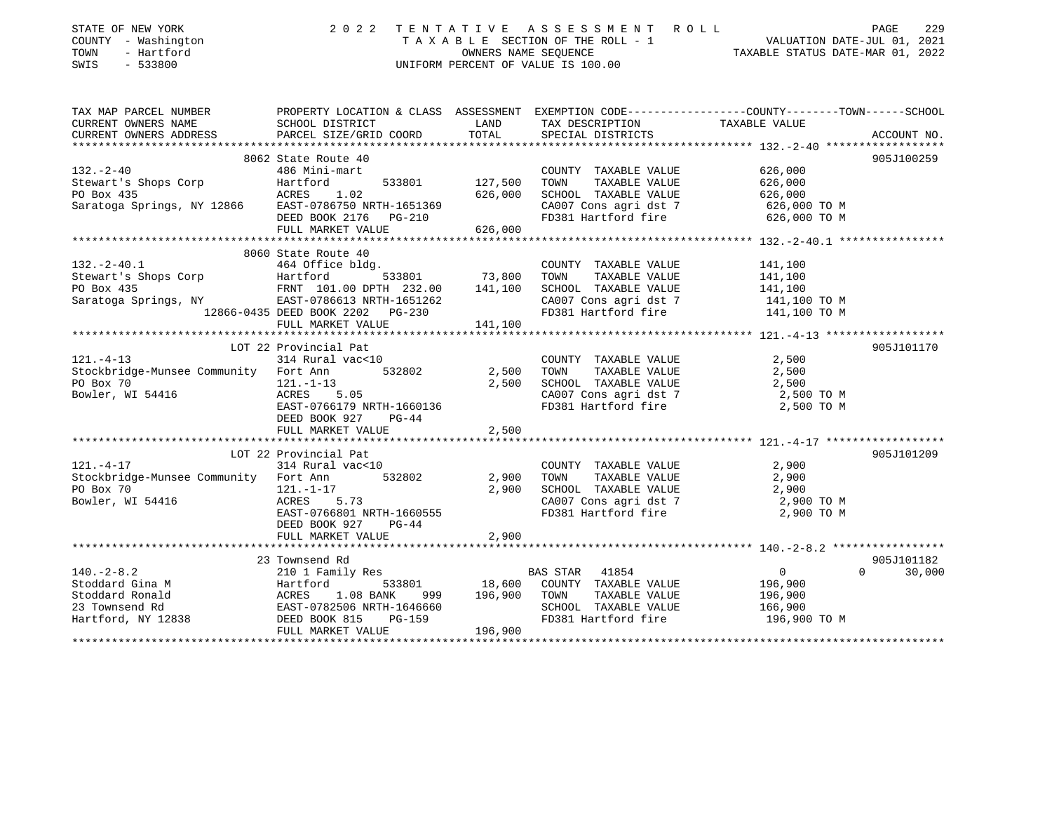| 229<br>PAGE                                                                                                                |
|----------------------------------------------------------------------------------------------------------------------------|
| T A X A B L E SECTION OF THE ROLL - 1 VALUATION DATE-JUL 01, 2021 OWNERS NAME SEQUENCE TAXABLE STATUS DATE-MAR 01, 2022    |
|                                                                                                                            |
|                                                                                                                            |
|                                                                                                                            |
| TAX MAP PARCEL NUMBER THE PROPERTY LOCATION & CLASS ASSESSMENT EXEMPTION CODE---------------COUNTY--------TOWN------SCHOOL |
|                                                                                                                            |
| ACCOUNT NO.                                                                                                                |
| 905J100259                                                                                                                 |
|                                                                                                                            |
|                                                                                                                            |
|                                                                                                                            |
|                                                                                                                            |
|                                                                                                                            |
|                                                                                                                            |
|                                                                                                                            |
|                                                                                                                            |
|                                                                                                                            |
|                                                                                                                            |
|                                                                                                                            |
|                                                                                                                            |
|                                                                                                                            |
|                                                                                                                            |
| 905J101170                                                                                                                 |
|                                                                                                                            |
|                                                                                                                            |
|                                                                                                                            |
|                                                                                                                            |
|                                                                                                                            |
|                                                                                                                            |
|                                                                                                                            |
|                                                                                                                            |
| 905J101209                                                                                                                 |
|                                                                                                                            |
|                                                                                                                            |
|                                                                                                                            |
|                                                                                                                            |
|                                                                                                                            |
|                                                                                                                            |
|                                                                                                                            |
| 905J101182                                                                                                                 |
| 30,000                                                                                                                     |
|                                                                                                                            |
|                                                                                                                            |
|                                                                                                                            |
|                                                                                                                            |
|                                                                                                                            |
|                                                                                                                            |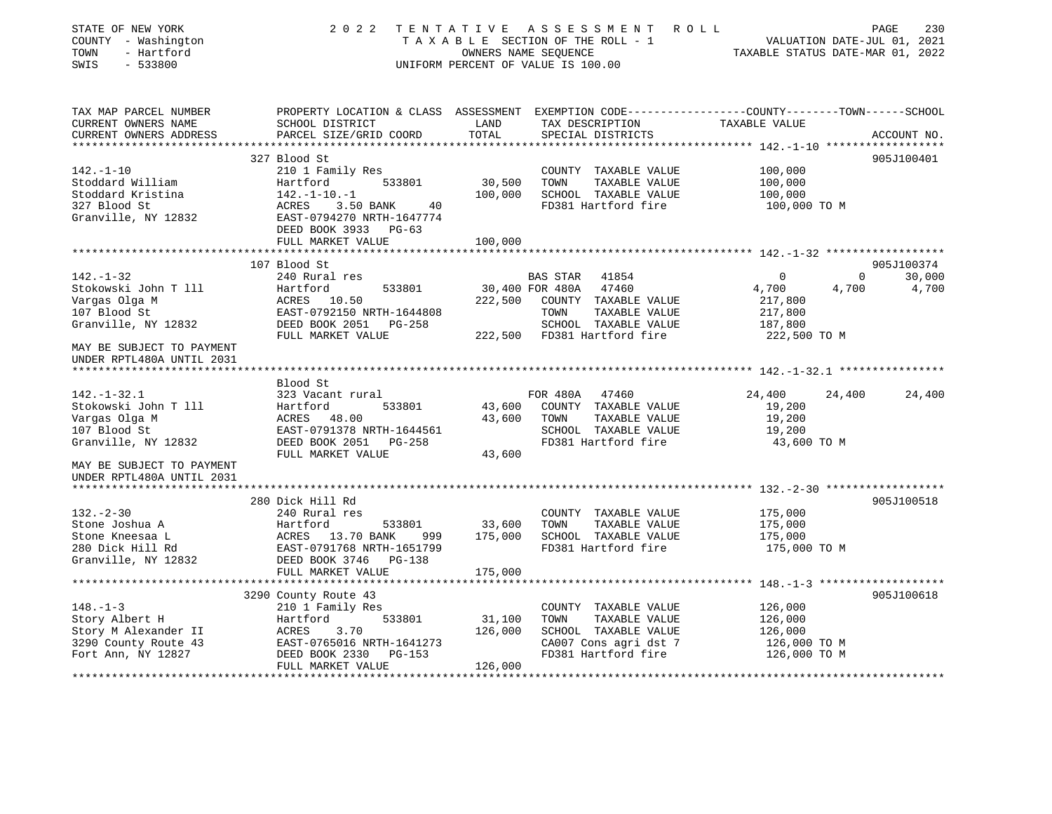| STATE OF NEW YORK<br>COUNTY - Washington<br>TOWN<br>- Hartford<br>SWIS<br>$-533800$                    | 2022                                                                                                                                            | OWNERS NAME SEQUENCE         | TENTATIVE ASSESSMENT ROLL<br>TAXABLE SECTION OF THE ROLL - 1<br>UNIFORM PERCENT OF VALUE IS 100.00                       | VALUATION DATE-JUL 01, 2021<br>TAXABLE STATUS DATE-MAR 01, 2022 | PAGE<br>230                      |
|--------------------------------------------------------------------------------------------------------|-------------------------------------------------------------------------------------------------------------------------------------------------|------------------------------|--------------------------------------------------------------------------------------------------------------------------|-----------------------------------------------------------------|----------------------------------|
| TAX MAP PARCEL NUMBER<br>CURRENT OWNERS NAME<br>CURRENT OWNERS ADDRESS                                 | PROPERTY LOCATION & CLASS ASSESSMENT EXEMPTION CODE---------------COUNTY-------TOWN-----SCHOOL<br>SCHOOL DISTRICT<br>PARCEL SIZE/GRID COORD     | LAND<br>TOTAL                | TAX DESCRIPTION<br>SPECIAL DISTRICTS                                                                                     | TAXABLE VALUE                                                   | ACCOUNT NO.                      |
|                                                                                                        | 327 Blood St                                                                                                                                    |                              |                                                                                                                          |                                                                 | 905J100401                       |
| $142. - 1 - 10$<br>Stoddard William<br>Stoddard Kristina<br>327 Blood St<br>Granville, NY 12832        | 210 1 Family Res<br>533801<br>Hartford<br>$142. - 1 - 10. - 1$<br>ACRES<br>3.50 BANK<br>40<br>EAST-0794270 NRTH-1647774<br>DEED BOOK 3933 PG-63 | 30,500<br>100,000            | COUNTY TAXABLE VALUE<br>TOWN<br>TAXABLE VALUE<br>SCHOOL TAXABLE VALUE<br>FD381 Hartford fire                             | 100,000<br>100,000<br>100,000<br>100,000 TO M                   |                                  |
|                                                                                                        | FULL MARKET VALUE                                                                                                                               | 100,000                      |                                                                                                                          |                                                                 |                                  |
| $142. - 1 - 32$                                                                                        | 107 Blood St<br>240 Rural res                                                                                                                   |                              | BAS STAR 41854                                                                                                           | $\overline{0}$                                                  | 905J100374<br>30,000<br>$\Omega$ |
| Stokowski John T 111<br>Vargas Olga M<br>107 Blood St<br>Granville, NY 12832                           | Hartford<br>533801<br>ACRES 10.50<br>EAST-0792150 NRTH-1644808<br>DEED BOOK 2051 PG-258                                                         | 30,400 FOR 480A<br>222,500   | 47460<br>COUNTY TAXABLE VALUE<br>TOWN<br>TAXABLE VALUE<br>SCHOOL TAXABLE VALUE                                           | 4,700<br>4,700<br>217,800<br>217,800<br>187,800                 | 4,700                            |
| MAY BE SUBJECT TO PAYMENT<br>UNDER RPTL480A UNTIL 2031                                                 | FULL MARKET VALUE                                                                                                                               |                              | 222,500 FD381 Hartford fire                                                                                              | 222,500 TO M                                                    |                                  |
| $142. - 1 - 32.1$<br>Stokowski John T 111<br>Vargas Olga M<br>107 Blood St<br>Granville, NY 12832      | Blood St<br>323 Vacant rural<br>Hartford<br>533801<br>ACRES 48.00<br>EAST-0791378 NRTH-1644561<br>DEED BOOK 2051 PG-258<br>FULL MARKET VALUE    | 43,600<br>43,600             | FOR 480A<br>47460<br>43,600 COUNTY TAXABLE VALUE<br>TOWN<br>TAXABLE VALUE<br>SCHOOL TAXABLE VALUE<br>FD381 Hartford fire | 24,400<br>24,400<br>19,200<br>19,200<br>19,200<br>43,600 TO M   | 24,400                           |
| MAY BE SUBJECT TO PAYMENT<br>UNDER RPTL480A UNTIL 2031                                                 |                                                                                                                                                 |                              |                                                                                                                          |                                                                 |                                  |
|                                                                                                        | 280 Dick Hill Rd                                                                                                                                |                              |                                                                                                                          |                                                                 | 905J100518                       |
| $132 - 2 - 30$<br>Stone Joshua A<br>Stone Kneesaa L<br>280 Dick Hill Rd                                | 240 Rural res<br>Hartford<br>533801<br>ACRES 13.70 BANK<br>999<br>EAST-0791768 NRTH-1651799                                                     | 33,600<br>175,000            | COUNTY TAXABLE VALUE<br>TOWN<br>TAXABLE VALUE<br>SCHOOL TAXABLE VALUE<br>FD381 Hartford fire                             | 175,000<br>175,000<br>175,000<br>175,000 TO M                   |                                  |
| Granville, NY 12832                                                                                    | DEED BOOK 3746 PG-138                                                                                                                           |                              |                                                                                                                          |                                                                 |                                  |
|                                                                                                        | FULL MARKET VALUE<br>3290 County Route 43                                                                                                       | 175,000                      |                                                                                                                          |                                                                 | 905J100618                       |
| $148. - 1 - 3$<br>Story Albert H<br>Story M Alexander II<br>3290 County Route 43<br>Fort Ann, NY 12827 | 210 1 Family Res<br>533801<br>Hartford<br>3.70<br>ACRES<br>EAST-0765016 NRTH-1641273<br>DEED BOOK 2330 PG-153<br>FULL MARKET VALUE              | 31,100<br>126,000<br>126,000 | COUNTY TAXABLE VALUE<br>TAXABLE VALUE<br>TOWN<br>SCHOOL TAXABLE VALUE<br>CA007 Cons agri dst 7<br>FD381 Hartford fire    | 126,000<br>126,000<br>126,000<br>126,000 TO M<br>126,000 TO M   |                                  |
| *************************                                                                              |                                                                                                                                                 |                              |                                                                                                                          |                                                                 |                                  |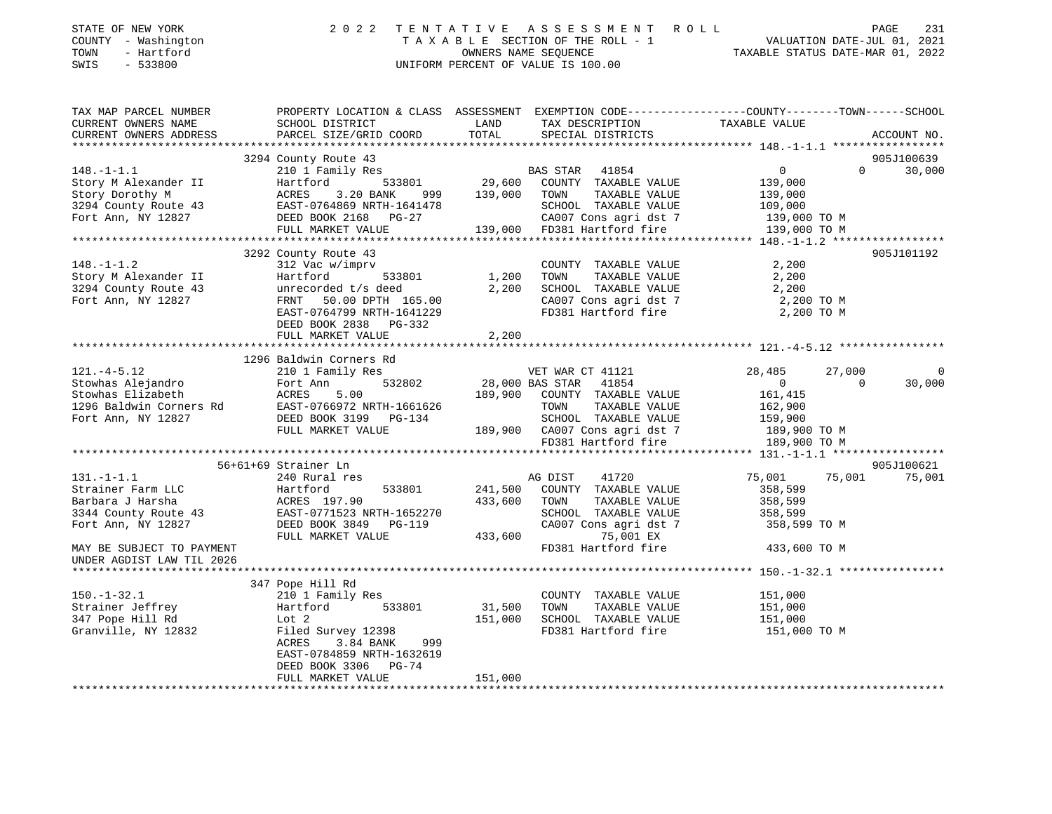| STATE OF NEW YORK<br>COUNTY - Washington<br>TOWN<br>- Hartford<br>SWIS<br>$-533800$                                                                                                                                                                             | 2 0 2 2                     |                   | TENTATIVE ASSESSMENT ROLL<br>UNIFORM PERCENT OF VALUE IS 100.00                                        | T E N T A T I V E A S S E S S M E N T R O L L<br>T A X A B L E SECTION OF THE ROLL - 1 VALUATION DATE-JUL 01, 2021<br>OWNERS NAME SEQUENCE<br>INIFORM PEPCENT OF VALUE TO 100 00 |               |
|-----------------------------------------------------------------------------------------------------------------------------------------------------------------------------------------------------------------------------------------------------------------|-----------------------------|-------------------|--------------------------------------------------------------------------------------------------------|----------------------------------------------------------------------------------------------------------------------------------------------------------------------------------|---------------|
| TAX MAP PARCEL NUMBER<br>CURRENT OWNERS NAME<br>CURRENT OWNERS ADDRESS                                                                                                                                                                                          |                             |                   |                                                                                                        | PROPERTY LOCATION & CLASS ASSESSMENT EXEMPTION CODE---------------COUNTY-------TOWN------SCHOOL                                                                                  | ACCOUNT NO.   |
|                                                                                                                                                                                                                                                                 | 3294 County Route 43        |                   |                                                                                                        |                                                                                                                                                                                  | 905J100639    |
| $148. - 1 - 1.1$                                                                                                                                                                                                                                                |                             |                   |                                                                                                        | $\overline{0}$<br>$\Omega$                                                                                                                                                       | 30,000        |
|                                                                                                                                                                                                                                                                 |                             |                   |                                                                                                        | 139,000                                                                                                                                                                          |               |
| Example 29 Alexander II Fractional Hartford 533801 29,600 COUNTY TAXABLE VALUE<br>Story Morothy M ACRES 3.20 BANK 999 139,000 TOWN TAXABLE VALUE<br>3294 County Route 43 EAST-0764869 NRTH-1641478 SCHOOL TAXABLE VALUE<br>Fort Ann,                            |                             |                   |                                                                                                        |                                                                                                                                                                                  |               |
|                                                                                                                                                                                                                                                                 |                             |                   |                                                                                                        | 139,000<br>109,000<br>139,000                                                                                                                                                    |               |
|                                                                                                                                                                                                                                                                 |                             |                   | CA007 Cons agri dst 7                                                                                  | 139,000 ТО М                                                                                                                                                                     |               |
|                                                                                                                                                                                                                                                                 | FULL MARKET VALUE           |                   | $139,000$ FD381 Hartford fire                                                                          | 139,000 TO M                                                                                                                                                                     |               |
|                                                                                                                                                                                                                                                                 |                             |                   |                                                                                                        |                                                                                                                                                                                  |               |
|                                                                                                                                                                                                                                                                 | 3292 County Route 43        |                   |                                                                                                        |                                                                                                                                                                                  | 905J101192    |
| 148.-1-1.2<br>Story M Alexander II Hartford 533801 1,200<br>3294 County Route 43 unrecorded t/s deed 2,200<br>Fort Ann, NY 12827 FRNT 50.00 DPTH 165.00<br>EAST-0764799 NRTH-1641229<br>FRNT 50.00 DPTH 165.00                                                  |                             |                   | COUNTY TAXABLE VALUE                                                                                   | 2,200<br>2,200                                                                                                                                                                   |               |
|                                                                                                                                                                                                                                                                 |                             | 1,200             | TAXABLE VALUE<br>TOWN                                                                                  |                                                                                                                                                                                  |               |
|                                                                                                                                                                                                                                                                 |                             |                   | 2,200 SCHOOL TAXABLE VALUE 2,200<br>CA007 Cons agri dst 7 2,200 TO M<br>FD381 Hartford fire 2,200 TO M |                                                                                                                                                                                  |               |
|                                                                                                                                                                                                                                                                 |                             |                   |                                                                                                        |                                                                                                                                                                                  |               |
|                                                                                                                                                                                                                                                                 |                             |                   |                                                                                                        |                                                                                                                                                                                  |               |
|                                                                                                                                                                                                                                                                 | FULL MARKET VALUE           | 2, 200            |                                                                                                        |                                                                                                                                                                                  |               |
|                                                                                                                                                                                                                                                                 |                             |                   |                                                                                                        |                                                                                                                                                                                  |               |
|                                                                                                                                                                                                                                                                 | 1296 Baldwin Corners Rd     |                   |                                                                                                        |                                                                                                                                                                                  |               |
| $121. -4 - 5.12$                                                                                                                                                                                                                                                | 210 1 Family Res            |                   | VET WAR CT 41121                                                                                       | 28,485<br>27,000                                                                                                                                                                 | $\Omega$      |
|                                                                                                                                                                                                                                                                 |                             |                   |                                                                                                        | $\Omega$                                                                                                                                                                         | 30,000        |
|                                                                                                                                                                                                                                                                 |                             |                   |                                                                                                        |                                                                                                                                                                                  |               |
|                                                                                                                                                                                                                                                                 |                             |                   |                                                                                                        |                                                                                                                                                                                  |               |
|                                                                                                                                                                                                                                                                 |                             |                   |                                                                                                        |                                                                                                                                                                                  |               |
|                                                                                                                                                                                                                                                                 |                             |                   |                                                                                                        |                                                                                                                                                                                  |               |
|                                                                                                                                                                                                                                                                 |                             |                   |                                                                                                        |                                                                                                                                                                                  |               |
|                                                                                                                                                                                                                                                                 | 56+61+69 Strainer Ln        |                   |                                                                                                        |                                                                                                                                                                                  | 905J100621    |
|                                                                                                                                                                                                                                                                 |                             |                   | 41720                                                                                                  | 75,001                                                                                                                                                                           | 75,001 75,001 |
|                                                                                                                                                                                                                                                                 |                             |                   | 533801 241,500 COUNTY TAXABLE VALUE                                                                    | 358,599                                                                                                                                                                          |               |
|                                                                                                                                                                                                                                                                 |                             |                   | TAXABLE VALUE                                                                                          | 358,599                                                                                                                                                                          |               |
|                                                                                                                                                                                                                                                                 |                             |                   | SCHOOL TAXABLE VALUE                                                                                   | 358,599                                                                                                                                                                          |               |
| 131.-1-1.1<br>Strainer Farm LLC<br>Barbara J Harsha<br>3344 County Route 43<br>Fort Ann, NY 12827<br>2011 12827<br>241, 300<br>241, 300<br>241, 300<br>241, 300<br>241, 300<br>241, 300<br>241, 300<br>241, 300<br>241, 300<br>241, 300<br>241, 300<br>241, 300 |                             |                   | CA007 Cons agri dst 7 358,599 TO M                                                                     |                                                                                                                                                                                  |               |
|                                                                                                                                                                                                                                                                 |                             |                   | 75,001 EX                                                                                              |                                                                                                                                                                                  |               |
| MAY BE SUBJECT TO PAYMENT                                                                                                                                                                                                                                       |                             |                   | FD381 Hartford fire                                                                                    | 433,600 TO M                                                                                                                                                                     |               |
| UNDER AGDIST LAW TIL 2026                                                                                                                                                                                                                                       |                             |                   |                                                                                                        |                                                                                                                                                                                  |               |
|                                                                                                                                                                                                                                                                 |                             |                   |                                                                                                        |                                                                                                                                                                                  |               |
|                                                                                                                                                                                                                                                                 | 347 Pope Hill Rd            |                   |                                                                                                        |                                                                                                                                                                                  |               |
| $150.-1-32.1$                                                                                                                                                                                                                                                   | 210 1 Family Res            |                   | COUNTY TAXABLE VALUE                                                                                   | 151,000<br>151,000                                                                                                                                                               |               |
| Strainer Jeffrey                                                                                                                                                                                                                                                | Hartford 533801             | 31,500<br>151,000 | TOWN<br>TAXABLE VALUE                                                                                  |                                                                                                                                                                                  |               |
| 347 Pope Hill Rd<br>Granville, NY 12832                                                                                                                                                                                                                         | Lot 2<br>Filed Survey 12398 |                   | SCHOOL TAXABLE VALUE<br>FD381 Hartford fire 151,000 TO M                                               | 151,000                                                                                                                                                                          |               |
|                                                                                                                                                                                                                                                                 | ACRES<br>3.84 BANK<br>999   |                   |                                                                                                        |                                                                                                                                                                                  |               |
|                                                                                                                                                                                                                                                                 | EAST-0784859 NRTH-1632619   |                   |                                                                                                        |                                                                                                                                                                                  |               |
|                                                                                                                                                                                                                                                                 | DEED BOOK 3306 PG-74        |                   |                                                                                                        |                                                                                                                                                                                  |               |
|                                                                                                                                                                                                                                                                 | FULL MARKET VALUE           | 151,000           |                                                                                                        |                                                                                                                                                                                  |               |
|                                                                                                                                                                                                                                                                 |                             |                   |                                                                                                        |                                                                                                                                                                                  |               |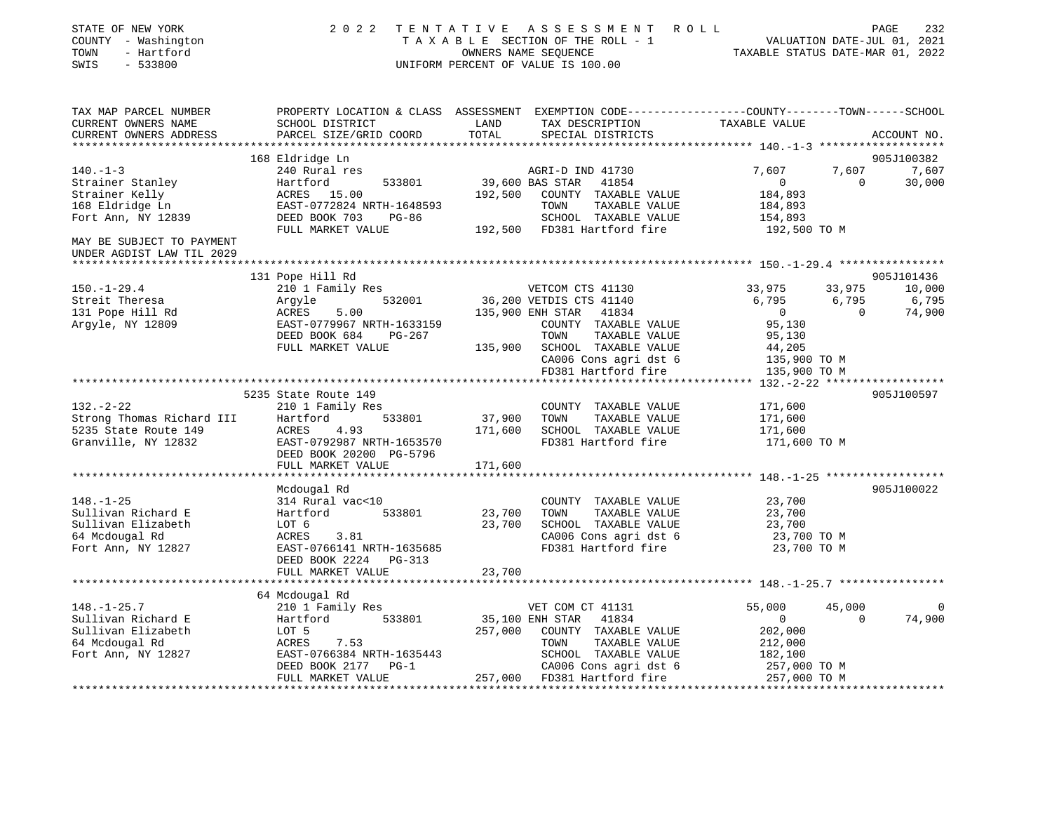| PROPERTY LOCATION & CLASS ASSESSMENT EXEMPTION CODE---------------COUNTY-------TOWN-----SCHOOL<br>TAX MAP PARCEL NUMBER<br>TAX DESCRIPTION TAXABLE VALUE<br>CURRENT OWNERS NAME<br>SCHOOL DISTRICT<br>LAND<br>TOTAL<br>PARCEL SIZE/GRID COORD<br>SPECIAL DISTRICTS<br>CURRENT OWNERS ADDRESS<br>ACCOUNT NO.<br>168 Eldridge Ln<br>905J100382<br>7,607 7,607<br>$140. - 1 - 3$<br>240 Rural res<br>AGRI-D IND 41730<br>39,600 BAS STAR 41854<br>7,607<br>$\overline{0}$<br>30,000<br>$\overline{0}$<br>Strainer Stanley Martford 533801<br>Strainer Kelly (ACRES 15.00<br>168 Eldridge Ln (EAST-0772824 NRTH-1648593<br>Fort Ann, NY 12839 (DEED BOOK 703 PG-86<br>192,500 COUNTY TAXABLE VALUE<br>184,893<br>TAXABLE VALUE<br>TOWN<br>184,893<br>SCHOOL TAXABLE VALUE<br>154,893<br>FULL MARKET VALUE<br>MAY BE SUBJECT TO PAYMENT<br>UNDER AGDIST LAW TIL 2029<br>905J101436<br>131 Pope Hill Rd<br>33,975<br>33,975<br>10,000<br>$150.-1-29.4$<br>210 1 Family Res<br>VETCOM CTS 41130<br>532001 36,200 VETDIS CTS 41140<br>6,795<br>6,795<br>6,795<br>Argyle 532001<br>ACRES 5.00<br>EAST-0779967 NRTH-1633159<br>PEED 2007 634<br>135,900 ENH STAR 41834<br>74,900<br>$\overline{0}$<br>$\Omega$<br>131 Pope Hill Rd<br>Argyle, NY 12809<br>95,130<br>COUNTY TAXABLE VALUE<br>DEED BOOK 684<br>TOWN<br>TAXABLE VALUE<br>95,130<br>PG-267<br>135,900 SCHOOL TAXABLE VALUE<br>44,205<br>FULL MARKET VALUE<br>CA006 Cons agri dst 6<br>CA006 Cons agri dst 6<br>135,900 TO M<br>FD381 Hartford fire<br>135,900 TO M<br>905J100597<br>171,600<br>COUNTY TAXABLE VALUE<br>132.-2-22<br>Strong Thomas Richard III Hartford<br>5235 State Route 149 ACRES 4.93<br>Tenwille, NY 12832 EAST-0792987 NRTH-1653570<br>DEED BOOK 20200 PG-5796<br>THI, MARKET VALUE<br>37,900<br>533801<br>TOWN<br>171,600<br>TAXABLE VALUE<br>171,600<br>SCHOOL TAXABLE VALUE<br>171,600<br>FD381 Hartford fire<br>EAST-0792987 NRTH-1653570<br>171,600 TO M<br>171,600<br>905J100022<br>Mcdougal Rd<br>23,700<br>$148. - 1 - 25$<br>314 Rural vac<10<br>COUNTY TAXABLE VALUE<br>Sullivan Richard E<br>533801<br>23,700<br>TOWN<br>TAXABLE VALUE<br>23,700<br>Hartford<br>Sullivan Elizabeth<br>LOT 6<br>23,700<br>SCHOOL TAXABLE VALUE<br>23,700<br>64 Mcdougal Rd<br>CA006 Cons agri dst 6<br>23,700 TO M<br>ACRES<br>3.81<br>Fort Ann, NY 12827<br>FD381 Hartford fire<br>23,700 TO M<br>EAST-0766141 NRTH-1635685<br>DEED BOOK 2224 PG-313<br>FULL MARKET VALUE<br>23,700<br>64 Mcdougal Rd<br>55,000<br>45,000<br>210 1 Family Res<br>VET COM CT 41131<br>$\Omega$<br>Hartford 533801<br>35,100 ENH STAR 41834<br>74,900<br>$\overline{0}$<br>$\overline{0}$<br>257,000 COUNTY TAXABLE VALUE<br>202,000<br>LOT 5<br>212,000<br>ACRES<br>7.53<br>TOWN<br>TAXABLE VALUE<br>EAST-0766384 NRTH-1635443<br>SCHOOL TAXABLE VALUE<br>182,100<br>DEED BOOK 2177 PG-1<br>CA006 Cons agri dst 6<br>257,000 TO M<br>257,000 FD381 Hartford fire 257,000 TO M<br>FULL MARKET VALUE | STATE OF NEW YORK<br>COUNTY - Washington<br>TOWN<br>- Hartford<br>SWIS<br>$-533800$ | 2022 TENTATIVE ASSESSMENT ROLL<br>T A X A B L E SECTION OF THE ROLL - 1 VALUATION DATE-JUL 01, 2021 OWNERS NAME SEQUENCE<br>UNIFORM PERCENT OF VALUE IS 100.00 | PAGE<br>232 |
|------------------------------------------------------------------------------------------------------------------------------------------------------------------------------------------------------------------------------------------------------------------------------------------------------------------------------------------------------------------------------------------------------------------------------------------------------------------------------------------------------------------------------------------------------------------------------------------------------------------------------------------------------------------------------------------------------------------------------------------------------------------------------------------------------------------------------------------------------------------------------------------------------------------------------------------------------------------------------------------------------------------------------------------------------------------------------------------------------------------------------------------------------------------------------------------------------------------------------------------------------------------------------------------------------------------------------------------------------------------------------------------------------------------------------------------------------------------------------------------------------------------------------------------------------------------------------------------------------------------------------------------------------------------------------------------------------------------------------------------------------------------------------------------------------------------------------------------------------------------------------------------------------------------------------------------------------------------------------------------------------------------------------------------------------------------------------------------------------------------------------------------------------------------------------------------------------------------------------------------------------------------------------------------------------------------------------------------------------------------------------------------------------------------------------------------------------------------------------------------------------------------------------------------------------------------------------------------------------------------------------------------------------------------------------------------------------------------------------------------------------------------------------------------------------------------------------------------------------------------------------------------------------------------------------------------------------|-------------------------------------------------------------------------------------|----------------------------------------------------------------------------------------------------------------------------------------------------------------|-------------|
|                                                                                                                                                                                                                                                                                                                                                                                                                                                                                                                                                                                                                                                                                                                                                                                                                                                                                                                                                                                                                                                                                                                                                                                                                                                                                                                                                                                                                                                                                                                                                                                                                                                                                                                                                                                                                                                                                                                                                                                                                                                                                                                                                                                                                                                                                                                                                                                                                                                                                                                                                                                                                                                                                                                                                                                                                                                                                                                                                      |                                                                                     |                                                                                                                                                                |             |
|                                                                                                                                                                                                                                                                                                                                                                                                                                                                                                                                                                                                                                                                                                                                                                                                                                                                                                                                                                                                                                                                                                                                                                                                                                                                                                                                                                                                                                                                                                                                                                                                                                                                                                                                                                                                                                                                                                                                                                                                                                                                                                                                                                                                                                                                                                                                                                                                                                                                                                                                                                                                                                                                                                                                                                                                                                                                                                                                                      |                                                                                     |                                                                                                                                                                |             |
|                                                                                                                                                                                                                                                                                                                                                                                                                                                                                                                                                                                                                                                                                                                                                                                                                                                                                                                                                                                                                                                                                                                                                                                                                                                                                                                                                                                                                                                                                                                                                                                                                                                                                                                                                                                                                                                                                                                                                                                                                                                                                                                                                                                                                                                                                                                                                                                                                                                                                                                                                                                                                                                                                                                                                                                                                                                                                                                                                      |                                                                                     |                                                                                                                                                                |             |
|                                                                                                                                                                                                                                                                                                                                                                                                                                                                                                                                                                                                                                                                                                                                                                                                                                                                                                                                                                                                                                                                                                                                                                                                                                                                                                                                                                                                                                                                                                                                                                                                                                                                                                                                                                                                                                                                                                                                                                                                                                                                                                                                                                                                                                                                                                                                                                                                                                                                                                                                                                                                                                                                                                                                                                                                                                                                                                                                                      |                                                                                     |                                                                                                                                                                |             |
|                                                                                                                                                                                                                                                                                                                                                                                                                                                                                                                                                                                                                                                                                                                                                                                                                                                                                                                                                                                                                                                                                                                                                                                                                                                                                                                                                                                                                                                                                                                                                                                                                                                                                                                                                                                                                                                                                                                                                                                                                                                                                                                                                                                                                                                                                                                                                                                                                                                                                                                                                                                                                                                                                                                                                                                                                                                                                                                                                      |                                                                                     |                                                                                                                                                                |             |
|                                                                                                                                                                                                                                                                                                                                                                                                                                                                                                                                                                                                                                                                                                                                                                                                                                                                                                                                                                                                                                                                                                                                                                                                                                                                                                                                                                                                                                                                                                                                                                                                                                                                                                                                                                                                                                                                                                                                                                                                                                                                                                                                                                                                                                                                                                                                                                                                                                                                                                                                                                                                                                                                                                                                                                                                                                                                                                                                                      |                                                                                     |                                                                                                                                                                |             |
|                                                                                                                                                                                                                                                                                                                                                                                                                                                                                                                                                                                                                                                                                                                                                                                                                                                                                                                                                                                                                                                                                                                                                                                                                                                                                                                                                                                                                                                                                                                                                                                                                                                                                                                                                                                                                                                                                                                                                                                                                                                                                                                                                                                                                                                                                                                                                                                                                                                                                                                                                                                                                                                                                                                                                                                                                                                                                                                                                      |                                                                                     |                                                                                                                                                                |             |
|                                                                                                                                                                                                                                                                                                                                                                                                                                                                                                                                                                                                                                                                                                                                                                                                                                                                                                                                                                                                                                                                                                                                                                                                                                                                                                                                                                                                                                                                                                                                                                                                                                                                                                                                                                                                                                                                                                                                                                                                                                                                                                                                                                                                                                                                                                                                                                                                                                                                                                                                                                                                                                                                                                                                                                                                                                                                                                                                                      |                                                                                     |                                                                                                                                                                |             |
|                                                                                                                                                                                                                                                                                                                                                                                                                                                                                                                                                                                                                                                                                                                                                                                                                                                                                                                                                                                                                                                                                                                                                                                                                                                                                                                                                                                                                                                                                                                                                                                                                                                                                                                                                                                                                                                                                                                                                                                                                                                                                                                                                                                                                                                                                                                                                                                                                                                                                                                                                                                                                                                                                                                                                                                                                                                                                                                                                      |                                                                                     |                                                                                                                                                                |             |
|                                                                                                                                                                                                                                                                                                                                                                                                                                                                                                                                                                                                                                                                                                                                                                                                                                                                                                                                                                                                                                                                                                                                                                                                                                                                                                                                                                                                                                                                                                                                                                                                                                                                                                                                                                                                                                                                                                                                                                                                                                                                                                                                                                                                                                                                                                                                                                                                                                                                                                                                                                                                                                                                                                                                                                                                                                                                                                                                                      |                                                                                     |                                                                                                                                                                |             |
|                                                                                                                                                                                                                                                                                                                                                                                                                                                                                                                                                                                                                                                                                                                                                                                                                                                                                                                                                                                                                                                                                                                                                                                                                                                                                                                                                                                                                                                                                                                                                                                                                                                                                                                                                                                                                                                                                                                                                                                                                                                                                                                                                                                                                                                                                                                                                                                                                                                                                                                                                                                                                                                                                                                                                                                                                                                                                                                                                      |                                                                                     |                                                                                                                                                                |             |
|                                                                                                                                                                                                                                                                                                                                                                                                                                                                                                                                                                                                                                                                                                                                                                                                                                                                                                                                                                                                                                                                                                                                                                                                                                                                                                                                                                                                                                                                                                                                                                                                                                                                                                                                                                                                                                                                                                                                                                                                                                                                                                                                                                                                                                                                                                                                                                                                                                                                                                                                                                                                                                                                                                                                                                                                                                                                                                                                                      |                                                                                     |                                                                                                                                                                |             |
|                                                                                                                                                                                                                                                                                                                                                                                                                                                                                                                                                                                                                                                                                                                                                                                                                                                                                                                                                                                                                                                                                                                                                                                                                                                                                                                                                                                                                                                                                                                                                                                                                                                                                                                                                                                                                                                                                                                                                                                                                                                                                                                                                                                                                                                                                                                                                                                                                                                                                                                                                                                                                                                                                                                                                                                                                                                                                                                                                      | Streit Theresa                                                                      |                                                                                                                                                                |             |
|                                                                                                                                                                                                                                                                                                                                                                                                                                                                                                                                                                                                                                                                                                                                                                                                                                                                                                                                                                                                                                                                                                                                                                                                                                                                                                                                                                                                                                                                                                                                                                                                                                                                                                                                                                                                                                                                                                                                                                                                                                                                                                                                                                                                                                                                                                                                                                                                                                                                                                                                                                                                                                                                                                                                                                                                                                                                                                                                                      |                                                                                     |                                                                                                                                                                |             |
|                                                                                                                                                                                                                                                                                                                                                                                                                                                                                                                                                                                                                                                                                                                                                                                                                                                                                                                                                                                                                                                                                                                                                                                                                                                                                                                                                                                                                                                                                                                                                                                                                                                                                                                                                                                                                                                                                                                                                                                                                                                                                                                                                                                                                                                                                                                                                                                                                                                                                                                                                                                                                                                                                                                                                                                                                                                                                                                                                      |                                                                                     |                                                                                                                                                                |             |
|                                                                                                                                                                                                                                                                                                                                                                                                                                                                                                                                                                                                                                                                                                                                                                                                                                                                                                                                                                                                                                                                                                                                                                                                                                                                                                                                                                                                                                                                                                                                                                                                                                                                                                                                                                                                                                                                                                                                                                                                                                                                                                                                                                                                                                                                                                                                                                                                                                                                                                                                                                                                                                                                                                                                                                                                                                                                                                                                                      |                                                                                     |                                                                                                                                                                |             |
|                                                                                                                                                                                                                                                                                                                                                                                                                                                                                                                                                                                                                                                                                                                                                                                                                                                                                                                                                                                                                                                                                                                                                                                                                                                                                                                                                                                                                                                                                                                                                                                                                                                                                                                                                                                                                                                                                                                                                                                                                                                                                                                                                                                                                                                                                                                                                                                                                                                                                                                                                                                                                                                                                                                                                                                                                                                                                                                                                      |                                                                                     |                                                                                                                                                                |             |
|                                                                                                                                                                                                                                                                                                                                                                                                                                                                                                                                                                                                                                                                                                                                                                                                                                                                                                                                                                                                                                                                                                                                                                                                                                                                                                                                                                                                                                                                                                                                                                                                                                                                                                                                                                                                                                                                                                                                                                                                                                                                                                                                                                                                                                                                                                                                                                                                                                                                                                                                                                                                                                                                                                                                                                                                                                                                                                                                                      |                                                                                     |                                                                                                                                                                |             |
|                                                                                                                                                                                                                                                                                                                                                                                                                                                                                                                                                                                                                                                                                                                                                                                                                                                                                                                                                                                                                                                                                                                                                                                                                                                                                                                                                                                                                                                                                                                                                                                                                                                                                                                                                                                                                                                                                                                                                                                                                                                                                                                                                                                                                                                                                                                                                                                                                                                                                                                                                                                                                                                                                                                                                                                                                                                                                                                                                      |                                                                                     |                                                                                                                                                                |             |
|                                                                                                                                                                                                                                                                                                                                                                                                                                                                                                                                                                                                                                                                                                                                                                                                                                                                                                                                                                                                                                                                                                                                                                                                                                                                                                                                                                                                                                                                                                                                                                                                                                                                                                                                                                                                                                                                                                                                                                                                                                                                                                                                                                                                                                                                                                                                                                                                                                                                                                                                                                                                                                                                                                                                                                                                                                                                                                                                                      |                                                                                     |                                                                                                                                                                |             |
|                                                                                                                                                                                                                                                                                                                                                                                                                                                                                                                                                                                                                                                                                                                                                                                                                                                                                                                                                                                                                                                                                                                                                                                                                                                                                                                                                                                                                                                                                                                                                                                                                                                                                                                                                                                                                                                                                                                                                                                                                                                                                                                                                                                                                                                                                                                                                                                                                                                                                                                                                                                                                                                                                                                                                                                                                                                                                                                                                      |                                                                                     |                                                                                                                                                                |             |
|                                                                                                                                                                                                                                                                                                                                                                                                                                                                                                                                                                                                                                                                                                                                                                                                                                                                                                                                                                                                                                                                                                                                                                                                                                                                                                                                                                                                                                                                                                                                                                                                                                                                                                                                                                                                                                                                                                                                                                                                                                                                                                                                                                                                                                                                                                                                                                                                                                                                                                                                                                                                                                                                                                                                                                                                                                                                                                                                                      |                                                                                     |                                                                                                                                                                |             |
|                                                                                                                                                                                                                                                                                                                                                                                                                                                                                                                                                                                                                                                                                                                                                                                                                                                                                                                                                                                                                                                                                                                                                                                                                                                                                                                                                                                                                                                                                                                                                                                                                                                                                                                                                                                                                                                                                                                                                                                                                                                                                                                                                                                                                                                                                                                                                                                                                                                                                                                                                                                                                                                                                                                                                                                                                                                                                                                                                      |                                                                                     |                                                                                                                                                                |             |
|                                                                                                                                                                                                                                                                                                                                                                                                                                                                                                                                                                                                                                                                                                                                                                                                                                                                                                                                                                                                                                                                                                                                                                                                                                                                                                                                                                                                                                                                                                                                                                                                                                                                                                                                                                                                                                                                                                                                                                                                                                                                                                                                                                                                                                                                                                                                                                                                                                                                                                                                                                                                                                                                                                                                                                                                                                                                                                                                                      |                                                                                     |                                                                                                                                                                |             |
|                                                                                                                                                                                                                                                                                                                                                                                                                                                                                                                                                                                                                                                                                                                                                                                                                                                                                                                                                                                                                                                                                                                                                                                                                                                                                                                                                                                                                                                                                                                                                                                                                                                                                                                                                                                                                                                                                                                                                                                                                                                                                                                                                                                                                                                                                                                                                                                                                                                                                                                                                                                                                                                                                                                                                                                                                                                                                                                                                      |                                                                                     |                                                                                                                                                                |             |
|                                                                                                                                                                                                                                                                                                                                                                                                                                                                                                                                                                                                                                                                                                                                                                                                                                                                                                                                                                                                                                                                                                                                                                                                                                                                                                                                                                                                                                                                                                                                                                                                                                                                                                                                                                                                                                                                                                                                                                                                                                                                                                                                                                                                                                                                                                                                                                                                                                                                                                                                                                                                                                                                                                                                                                                                                                                                                                                                                      |                                                                                     |                                                                                                                                                                |             |
|                                                                                                                                                                                                                                                                                                                                                                                                                                                                                                                                                                                                                                                                                                                                                                                                                                                                                                                                                                                                                                                                                                                                                                                                                                                                                                                                                                                                                                                                                                                                                                                                                                                                                                                                                                                                                                                                                                                                                                                                                                                                                                                                                                                                                                                                                                                                                                                                                                                                                                                                                                                                                                                                                                                                                                                                                                                                                                                                                      |                                                                                     |                                                                                                                                                                |             |
|                                                                                                                                                                                                                                                                                                                                                                                                                                                                                                                                                                                                                                                                                                                                                                                                                                                                                                                                                                                                                                                                                                                                                                                                                                                                                                                                                                                                                                                                                                                                                                                                                                                                                                                                                                                                                                                                                                                                                                                                                                                                                                                                                                                                                                                                                                                                                                                                                                                                                                                                                                                                                                                                                                                                                                                                                                                                                                                                                      |                                                                                     |                                                                                                                                                                |             |
|                                                                                                                                                                                                                                                                                                                                                                                                                                                                                                                                                                                                                                                                                                                                                                                                                                                                                                                                                                                                                                                                                                                                                                                                                                                                                                                                                                                                                                                                                                                                                                                                                                                                                                                                                                                                                                                                                                                                                                                                                                                                                                                                                                                                                                                                                                                                                                                                                                                                                                                                                                                                                                                                                                                                                                                                                                                                                                                                                      |                                                                                     |                                                                                                                                                                |             |
|                                                                                                                                                                                                                                                                                                                                                                                                                                                                                                                                                                                                                                                                                                                                                                                                                                                                                                                                                                                                                                                                                                                                                                                                                                                                                                                                                                                                                                                                                                                                                                                                                                                                                                                                                                                                                                                                                                                                                                                                                                                                                                                                                                                                                                                                                                                                                                                                                                                                                                                                                                                                                                                                                                                                                                                                                                                                                                                                                      |                                                                                     |                                                                                                                                                                |             |
|                                                                                                                                                                                                                                                                                                                                                                                                                                                                                                                                                                                                                                                                                                                                                                                                                                                                                                                                                                                                                                                                                                                                                                                                                                                                                                                                                                                                                                                                                                                                                                                                                                                                                                                                                                                                                                                                                                                                                                                                                                                                                                                                                                                                                                                                                                                                                                                                                                                                                                                                                                                                                                                                                                                                                                                                                                                                                                                                                      |                                                                                     |                                                                                                                                                                |             |
|                                                                                                                                                                                                                                                                                                                                                                                                                                                                                                                                                                                                                                                                                                                                                                                                                                                                                                                                                                                                                                                                                                                                                                                                                                                                                                                                                                                                                                                                                                                                                                                                                                                                                                                                                                                                                                                                                                                                                                                                                                                                                                                                                                                                                                                                                                                                                                                                                                                                                                                                                                                                                                                                                                                                                                                                                                                                                                                                                      |                                                                                     |                                                                                                                                                                |             |
|                                                                                                                                                                                                                                                                                                                                                                                                                                                                                                                                                                                                                                                                                                                                                                                                                                                                                                                                                                                                                                                                                                                                                                                                                                                                                                                                                                                                                                                                                                                                                                                                                                                                                                                                                                                                                                                                                                                                                                                                                                                                                                                                                                                                                                                                                                                                                                                                                                                                                                                                                                                                                                                                                                                                                                                                                                                                                                                                                      |                                                                                     |                                                                                                                                                                |             |
|                                                                                                                                                                                                                                                                                                                                                                                                                                                                                                                                                                                                                                                                                                                                                                                                                                                                                                                                                                                                                                                                                                                                                                                                                                                                                                                                                                                                                                                                                                                                                                                                                                                                                                                                                                                                                                                                                                                                                                                                                                                                                                                                                                                                                                                                                                                                                                                                                                                                                                                                                                                                                                                                                                                                                                                                                                                                                                                                                      |                                                                                     |                                                                                                                                                                |             |
|                                                                                                                                                                                                                                                                                                                                                                                                                                                                                                                                                                                                                                                                                                                                                                                                                                                                                                                                                                                                                                                                                                                                                                                                                                                                                                                                                                                                                                                                                                                                                                                                                                                                                                                                                                                                                                                                                                                                                                                                                                                                                                                                                                                                                                                                                                                                                                                                                                                                                                                                                                                                                                                                                                                                                                                                                                                                                                                                                      |                                                                                     |                                                                                                                                                                |             |
|                                                                                                                                                                                                                                                                                                                                                                                                                                                                                                                                                                                                                                                                                                                                                                                                                                                                                                                                                                                                                                                                                                                                                                                                                                                                                                                                                                                                                                                                                                                                                                                                                                                                                                                                                                                                                                                                                                                                                                                                                                                                                                                                                                                                                                                                                                                                                                                                                                                                                                                                                                                                                                                                                                                                                                                                                                                                                                                                                      |                                                                                     |                                                                                                                                                                |             |
|                                                                                                                                                                                                                                                                                                                                                                                                                                                                                                                                                                                                                                                                                                                                                                                                                                                                                                                                                                                                                                                                                                                                                                                                                                                                                                                                                                                                                                                                                                                                                                                                                                                                                                                                                                                                                                                                                                                                                                                                                                                                                                                                                                                                                                                                                                                                                                                                                                                                                                                                                                                                                                                                                                                                                                                                                                                                                                                                                      |                                                                                     |                                                                                                                                                                |             |
|                                                                                                                                                                                                                                                                                                                                                                                                                                                                                                                                                                                                                                                                                                                                                                                                                                                                                                                                                                                                                                                                                                                                                                                                                                                                                                                                                                                                                                                                                                                                                                                                                                                                                                                                                                                                                                                                                                                                                                                                                                                                                                                                                                                                                                                                                                                                                                                                                                                                                                                                                                                                                                                                                                                                                                                                                                                                                                                                                      | $148. - 1 - 25.7$                                                                   |                                                                                                                                                                |             |
|                                                                                                                                                                                                                                                                                                                                                                                                                                                                                                                                                                                                                                                                                                                                                                                                                                                                                                                                                                                                                                                                                                                                                                                                                                                                                                                                                                                                                                                                                                                                                                                                                                                                                                                                                                                                                                                                                                                                                                                                                                                                                                                                                                                                                                                                                                                                                                                                                                                                                                                                                                                                                                                                                                                                                                                                                                                                                                                                                      | Sullivan Richard E                                                                  |                                                                                                                                                                |             |
|                                                                                                                                                                                                                                                                                                                                                                                                                                                                                                                                                                                                                                                                                                                                                                                                                                                                                                                                                                                                                                                                                                                                                                                                                                                                                                                                                                                                                                                                                                                                                                                                                                                                                                                                                                                                                                                                                                                                                                                                                                                                                                                                                                                                                                                                                                                                                                                                                                                                                                                                                                                                                                                                                                                                                                                                                                                                                                                                                      | Sullivan Elizabeth                                                                  |                                                                                                                                                                |             |
|                                                                                                                                                                                                                                                                                                                                                                                                                                                                                                                                                                                                                                                                                                                                                                                                                                                                                                                                                                                                                                                                                                                                                                                                                                                                                                                                                                                                                                                                                                                                                                                                                                                                                                                                                                                                                                                                                                                                                                                                                                                                                                                                                                                                                                                                                                                                                                                                                                                                                                                                                                                                                                                                                                                                                                                                                                                                                                                                                      | 64 Mcdougal Rd                                                                      |                                                                                                                                                                |             |
|                                                                                                                                                                                                                                                                                                                                                                                                                                                                                                                                                                                                                                                                                                                                                                                                                                                                                                                                                                                                                                                                                                                                                                                                                                                                                                                                                                                                                                                                                                                                                                                                                                                                                                                                                                                                                                                                                                                                                                                                                                                                                                                                                                                                                                                                                                                                                                                                                                                                                                                                                                                                                                                                                                                                                                                                                                                                                                                                                      | Fort Ann, NY 12827                                                                  |                                                                                                                                                                |             |
|                                                                                                                                                                                                                                                                                                                                                                                                                                                                                                                                                                                                                                                                                                                                                                                                                                                                                                                                                                                                                                                                                                                                                                                                                                                                                                                                                                                                                                                                                                                                                                                                                                                                                                                                                                                                                                                                                                                                                                                                                                                                                                                                                                                                                                                                                                                                                                                                                                                                                                                                                                                                                                                                                                                                                                                                                                                                                                                                                      |                                                                                     |                                                                                                                                                                |             |
|                                                                                                                                                                                                                                                                                                                                                                                                                                                                                                                                                                                                                                                                                                                                                                                                                                                                                                                                                                                                                                                                                                                                                                                                                                                                                                                                                                                                                                                                                                                                                                                                                                                                                                                                                                                                                                                                                                                                                                                                                                                                                                                                                                                                                                                                                                                                                                                                                                                                                                                                                                                                                                                                                                                                                                                                                                                                                                                                                      |                                                                                     |                                                                                                                                                                |             |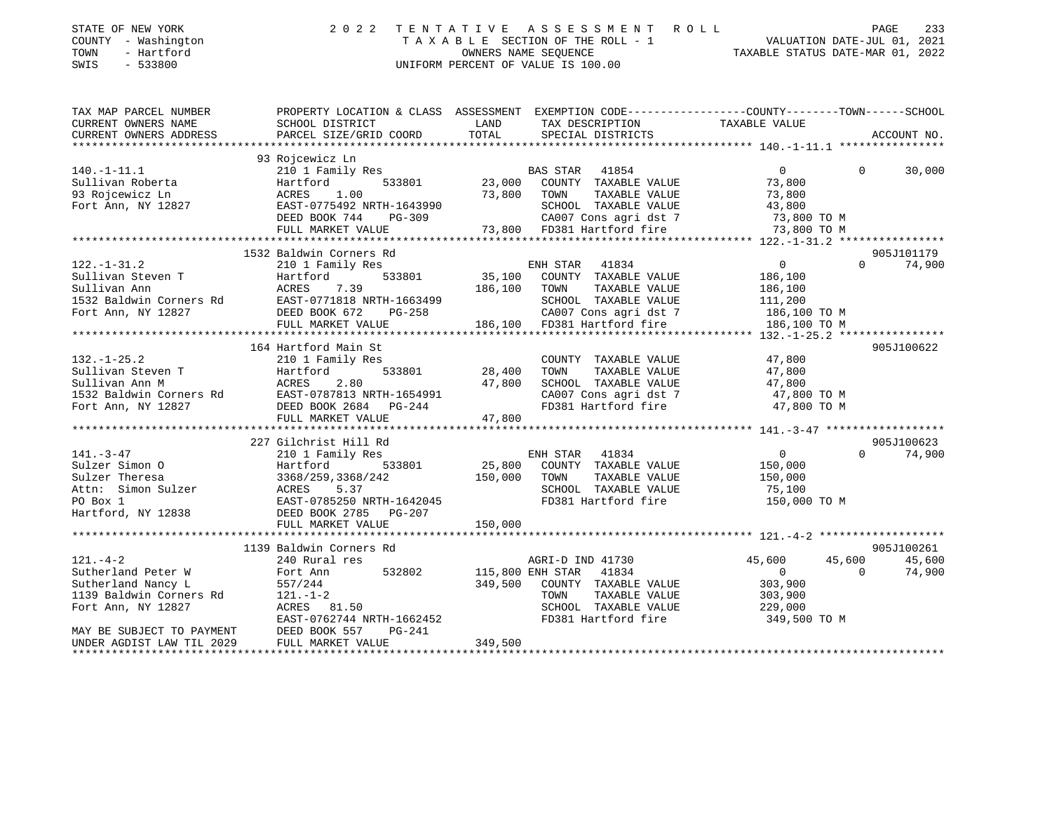| STATE OF NEW YORK<br>COUNTY - Washington<br>TOWN<br>- Hartford<br>SWIS<br>$-533800$ | 2 0 2 2                                                                                         | TENTATIVE<br>OWNERS NAME SEOUENCE | A S S E S S M E N T<br>R O L L<br>TAXABLE SECTION OF THE ROLL - 1<br>UNIFORM PERCENT OF VALUE IS 100.00 | VALUATION DATE-JUL 01, 2021<br>TAXABLE STATUS DATE-MAR 01, 2022 |                   | PAGE<br>233   |
|-------------------------------------------------------------------------------------|-------------------------------------------------------------------------------------------------|-----------------------------------|---------------------------------------------------------------------------------------------------------|-----------------------------------------------------------------|-------------------|---------------|
| TAX MAP PARCEL NUMBER                                                               | PROPERTY LOCATION & CLASS ASSESSMENT EXEMPTION CODE---------------COUNTY-------TOWN------SCHOOL |                                   |                                                                                                         |                                                                 |                   |               |
| CURRENT OWNERS NAME<br>CURRENT OWNERS ADDRESS                                       | SCHOOL DISTRICT<br>PARCEL SIZE/GRID COORD                                                       | LAND<br>TOTAL                     | TAX DESCRIPTION<br>SPECIAL DISTRICTS                                                                    | TAXABLE VALUE                                                   |                   | ACCOUNT NO.   |
|                                                                                     | 93 Rojcewicz Ln                                                                                 |                                   |                                                                                                         |                                                                 |                   |               |
| $140. - 1 - 11.1$                                                                   | 210 1 Family Res                                                                                |                                   | BAS STAR 41854                                                                                          | $\overline{0}$                                                  | $\Omega$          | 30,000        |
| Sullivan Roberta                                                                    | Hartford                                                                                        | 533801 23,000                     | COUNTY TAXABLE VALUE                                                                                    | 73,800                                                          |                   |               |
| 93 Rojcewicz Ln                                                                     | ACRES 1.00                                                                                      | 73,800 TOWN                       | TAXABLE VALUE                                                                                           | 73,800                                                          |                   |               |
| Fort Ann, NY 12827                                                                  | EAST-0775492 NRTH-1643990                                                                       |                                   | SCHOOL TAXABLE VALUE                                                                                    | 43,800                                                          |                   |               |
|                                                                                     | DEED BOOK 744<br>PG-309                                                                         |                                   | CA007 Cons agri dst 7 $\qquad$ 73,800 TO M                                                              |                                                                 |                   |               |
|                                                                                     | FULL MARKET VALUE                                                                               |                                   | 73,800 FD381 Hartford fire                                                                              | 73,800 TO M                                                     |                   |               |
|                                                                                     |                                                                                                 |                                   |                                                                                                         |                                                                 |                   |               |
|                                                                                     | 1532 Baldwin Corners Rd                                                                         |                                   |                                                                                                         |                                                                 |                   | 905J101179    |
| $122. - 1 - 31.2$                                                                   | 210 1 Family Res                                                                                |                                   | ENH STAR 41834                                                                                          | $\overline{0}$                                                  |                   | $0 \t 74,900$ |
| Sullivan Steven T                                                                   | 533801<br>Hartford                                                                              |                                   | 35,100 COUNTY TAXABLE VALUE                                                                             | 186,100                                                         |                   |               |
| Sullivan Ann                                                                        | ACRES<br>7.39                                                                                   | 186,100 TOWN                      | TAXABLE VALUE                                                                                           | 186,100                                                         |                   |               |
| 1532 Baldwin Corners Rd                                                             | EAST-0771818 NRTH-1663499                                                                       |                                   | SCHOOL TAXABLE VALUE                                                                                    | 111,200                                                         |                   |               |
| Fort Ann, NY 12827                                                                  | DEED BOOK 672<br>PG-258                                                                         |                                   | CA007 Cons agri dst 7<br>186,100 FD381 Hartford fire                                                    | 186,100 TO M<br>186,100 TO M                                    |                   |               |
|                                                                                     | FULL MARKET VALUE                                                                               |                                   |                                                                                                         |                                                                 |                   |               |
|                                                                                     |                                                                                                 |                                   |                                                                                                         |                                                                 |                   |               |
|                                                                                     | 164 Hartford Main St                                                                            |                                   |                                                                                                         |                                                                 |                   | 905J100622    |
| $132. - 1 - 25.2$                                                                   | 210 1 Family Res                                                                                |                                   | COUNTY TAXABLE VALUE                                                                                    | 47,800                                                          |                   |               |
| Sullivan Steven T<br>Sullivan Ann M                                                 | 533801<br>Hartford                                                                              | 28,400                            | TAXABLE VALUE<br>TOWN                                                                                   | 47,800                                                          |                   |               |
|                                                                                     | ACRES<br>2.80                                                                                   | 47,800                            | SCHOOL TAXABLE VALUE                                                                                    | 47,800                                                          |                   |               |
| 1532 Baldwin Corners Rd                                                             | EAST-0787813 NRTH-1654991<br>DEED BOOK 2684 PG-244                                              |                                   | CA007 Cons agri dst 7                                                                                   | 47,800 TO M                                                     |                   |               |
| Fort Ann, NY 12827                                                                  |                                                                                                 |                                   | FD381 Hartford fire                                                                                     | 47,800 TO M                                                     |                   |               |
|                                                                                     | FULL MARKET VALUE                                                                               | 47,800                            |                                                                                                         |                                                                 |                   |               |
|                                                                                     | 227 Gilchrist Hill Rd                                                                           |                                   |                                                                                                         |                                                                 |                   | 905J100623    |
| $141. - 3 - 47$                                                                     | 210 1 Family Res                                                                                |                                   | ENH STAR<br>41834                                                                                       | $0 \qquad \qquad$                                               | $\Omega$          | 74,900        |
| Sulzer Simon 0                                                                      | Hartford<br>533801                                                                              | 25,800                            | COUNTY TAXABLE VALUE                                                                                    | 150,000                                                         |                   |               |
| Sulzer Theresa                                                                      | 3368/259,3368/242                                                                               | 150,000                           | TOWN<br>TAXABLE VALUE                                                                                   | 150,000                                                         |                   |               |
| Attn: Simon Sulzer                                                                  | ACRES<br>5.37                                                                                   |                                   | SCHOOL TAXABLE VALUE                                                                                    | 75,100                                                          |                   |               |
| PO Box 1                                                                            | EAST-0785250 NRTH-1642045                                                                       |                                   | FD381 Hartford fire                                                                                     | 150,000 TO M                                                    |                   |               |
| Hartford, NY 12838                                                                  | DEED BOOK 2785<br>PG-207                                                                        |                                   |                                                                                                         |                                                                 |                   |               |
|                                                                                     | FULL MARKET VALUE                                                                               | 150,000                           |                                                                                                         |                                                                 |                   |               |
|                                                                                     |                                                                                                 |                                   |                                                                                                         |                                                                 |                   |               |
|                                                                                     | 1139 Baldwin Corners Rd                                                                         |                                   |                                                                                                         |                                                                 |                   | 905J100261    |
| $121. - 4 - 2$                                                                      | 240 Rural res                                                                                   |                                   | AGRI-D IND 41730                                                                                        | 45,600                                                          | 45,600            | 45,600        |
| Sutherland Peter W                                                                  | 532802<br>Fort Ann                                                                              |                                   | 115,800 ENH STAR 41834                                                                                  | $\Omega$                                                        | $0 \qquad \qquad$ | 74,900        |

EAST-0762744 NRTH-1662452 FD381 Hartford fire 349,500 TO M

\*\*\*\*\*\*\*\*\*\*\*\*\*\*\*\*\*\*\*\*\*\*\*\*\*\*\*\*\*\*\*\*\*\*\*\*\*\*\*\*\*\*\*\*\*\*\*\*\*\*\*\*\*\*\*\*\*\*\*\*\*\*\*\*\*\*\*\*\*\*\*\*\*\*\*\*\*\*\*\*\*\*\*\*\*\*\*\*\*\*\*\*\*\*\*\*\*\*\*\*\*\*\*\*\*\*\*\*\*\*\*\*\*\*\*\*\*\*\*\*\*\*\*\*\*\*\*\*\*\*\*\*

Sutherland Nancy L 557/244 349,500 COUNTY TAXABLE VALUE 303,900 1139 Baldwin Corners Rd 121.-1-2 TOWN TAXABLE VALUE 303,900 Fort Ann, NY 12827 ACRES 81.50 SCHOOL TAXABLE VALUE 229,000

MAY BE SUBJECT TO PAYMENT DEED BOOK 557 PG-241 UNDER AGDIST LAW TIL 2029 FULL MARKET VALUE 349,500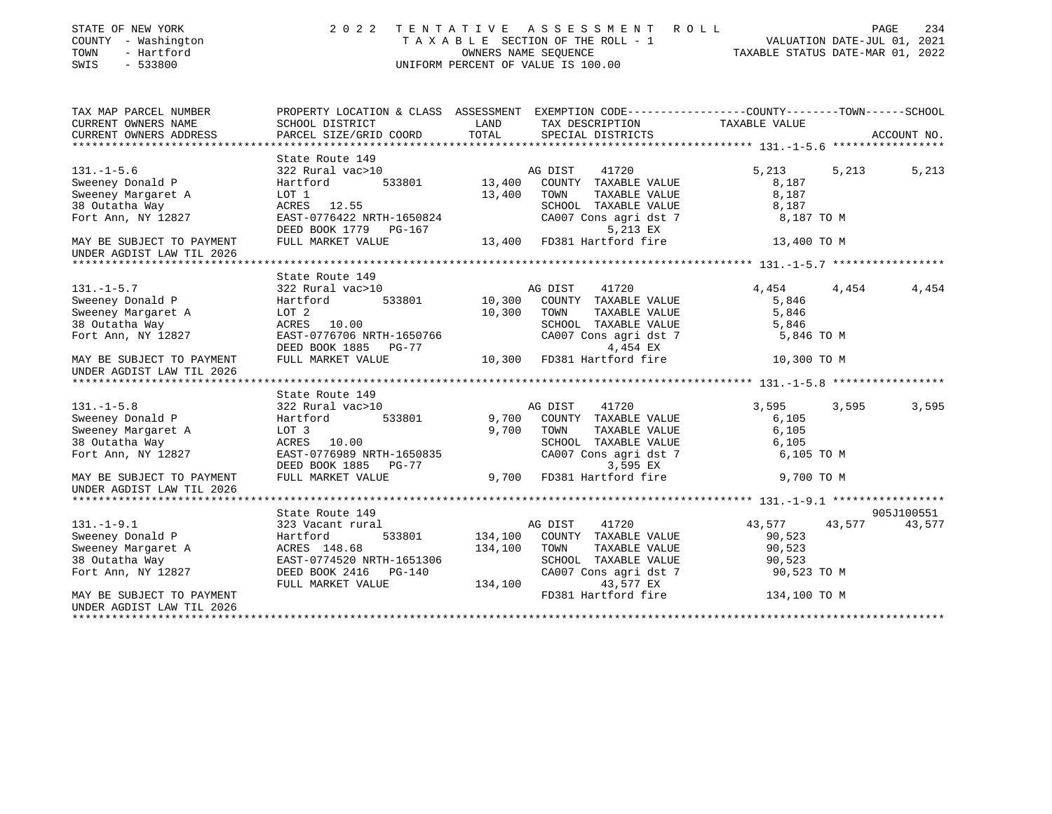| STATE OF NEW YORK<br>COUNTY - Washington<br>TOWN<br>- Hartford<br>$-533800$<br>SWIS | 2022                                                                                            |                  | TENTATIVE ASSESSMENT ROLL<br>TAXABLE SECTION OF THE ROLL - 1<br>OWNERS NAME SEQUENCE<br>OWNERS NAME SEQUENCE<br>TAXABLE STATUS DATE-MAR 01, 2022<br>UNIFORM PERCENT OF VALUE IS 100.00 |                     | PAGE<br>234      |
|-------------------------------------------------------------------------------------|-------------------------------------------------------------------------------------------------|------------------|----------------------------------------------------------------------------------------------------------------------------------------------------------------------------------------|---------------------|------------------|
| TAX MAP PARCEL NUMBER                                                               | PROPERTY LOCATION & CLASS ASSESSMENT EXEMPTION CODE---------------COUNTY-------TOWN------SCHOOL | LAND             |                                                                                                                                                                                        |                     |                  |
| CURRENT OWNERS NAME<br>CURRENT OWNERS ADDRESS                                       | SCHOOL DISTRICT<br>PARCEL SIZE/GRID COORD                                                       | TOTAL            | TAX DESCRIPTION<br>SPECIAL DISTRICTS                                                                                                                                                   | TAXABLE VALUE       | ACCOUNT NO.      |
|                                                                                     |                                                                                                 |                  |                                                                                                                                                                                        |                     |                  |
|                                                                                     | State Route 149                                                                                 |                  |                                                                                                                                                                                        |                     |                  |
| $131. - 1 - 5.6$                                                                    | 322 Rural vac>10                                                                                |                  | AG DIST<br>41720                                                                                                                                                                       | 5,213               | 5,213<br>5,213   |
| Sweeney Donald P                                                                    | 533801<br>Hartford                                                                              | 13,400           | COUNTY TAXABLE VALUE                                                                                                                                                                   | 8,187               |                  |
| Sweeney Margaret A                                                                  | LOT 1                                                                                           | 13,400           | TAXABLE VALUE<br>TOWN                                                                                                                                                                  | 8,187               |                  |
| 38 Outatha Way                                                                      | ACRES 12.55                                                                                     |                  | SCHOOL TAXABLE VALUE                                                                                                                                                                   | 8,187               |                  |
| Fort Ann, NY 12827                                                                  | EAST-0776422 NRTH-1650824                                                                       |                  | CA007 Cons agri dst 7                                                                                                                                                                  | 8,187 TO M          |                  |
|                                                                                     | DEED BOOK 1779 PG-167                                                                           |                  | 5,213 EX                                                                                                                                                                               |                     |                  |
| MAY BE SUBJECT TO PAYMENT                                                           | FULL MARKET VALUE                                                                               | 13,400           | FD381 Hartford fire                                                                                                                                                                    | 13,400 TO M         |                  |
| UNDER AGDIST LAW TIL 2026                                                           |                                                                                                 |                  |                                                                                                                                                                                        |                     |                  |
|                                                                                     |                                                                                                 |                  |                                                                                                                                                                                        |                     |                  |
|                                                                                     | State Route 149                                                                                 |                  |                                                                                                                                                                                        |                     |                  |
| $131. - 1 - 5.7$                                                                    | 322 Rural vac>10<br>533801                                                                      |                  | AG DIST<br>41720<br>COUNTY TAXABLE VALUE                                                                                                                                               | 4,454               | 4,454<br>4,454   |
| Sweeney Donald P                                                                    | Hartford<br>LOT <sub>2</sub>                                                                    | 10,300<br>10,300 | TOWN                                                                                                                                                                                   | 5,846<br>5,846      |                  |
| Sweeney Margaret A                                                                  |                                                                                                 |                  | TAXABLE VALUE<br>SCHOOL TAXABLE VALUE                                                                                                                                                  |                     |                  |
| 38 Outatha Way<br>Fort Ann, NY 12827                                                | ACRES 10.00<br>EAST-0776706 NRTH-1650766                                                        |                  | CA007 Cons agri dst 7                                                                                                                                                                  | 5,846<br>5,846 TO M |                  |
|                                                                                     | DEED BOOK 1885 PG-77                                                                            |                  | 4,454 EX                                                                                                                                                                               |                     |                  |
| MAY BE SUBJECT TO PAYMENT                                                           | FULL MARKET VALUE                                                                               | 10,300           | FD381 Hartford fire                                                                                                                                                                    | 10,300 TO M         |                  |
| UNDER AGDIST LAW TIL 2026                                                           |                                                                                                 |                  |                                                                                                                                                                                        |                     |                  |
|                                                                                     |                                                                                                 |                  |                                                                                                                                                                                        |                     |                  |
|                                                                                     | State Route 149                                                                                 |                  |                                                                                                                                                                                        |                     |                  |
| $131. -1 - 5.8$                                                                     | 322 Rural vac>10                                                                                |                  | AG DIST<br>41720                                                                                                                                                                       | 3,595               | 3,595<br>3,595   |
| Sweeney Donald P                                                                    | Hartford<br>533801                                                                              | 9,700            | COUNTY TAXABLE VALUE                                                                                                                                                                   | 6,105               |                  |
| Sweeney Margaret A                                                                  | LOT 3                                                                                           | 9,700            | TOWN<br>TAXABLE VALUE                                                                                                                                                                  | 6,105               |                  |
| 38 Outatha Way                                                                      | ACRES 10.00                                                                                     |                  | SCHOOL TAXABLE VALUE                                                                                                                                                                   | 6,105               |                  |
| Fort Ann, NY 12827                                                                  | EAST-0776989 NRTH-1650835                                                                       |                  | CA007 Cons agri dst 7                                                                                                                                                                  | 6,105 TO M          |                  |
|                                                                                     | DEED BOOK 1885 PG-77                                                                            |                  | 3,595 EX                                                                                                                                                                               |                     |                  |
| MAY BE SUBJECT TO PAYMENT<br>UNDER AGDIST LAW TIL 2026                              | FULL MARKET VALUE                                                                               |                  | 9,700 FD381 Hartford fire                                                                                                                                                              | 9,700 TO M          |                  |
|                                                                                     |                                                                                                 |                  |                                                                                                                                                                                        |                     |                  |
|                                                                                     | State Route 149                                                                                 |                  |                                                                                                                                                                                        |                     | 905J100551       |
| $131. - 1 - 9.1$                                                                    | 323 Vacant rural                                                                                |                  | 41720<br>AG DIST                                                                                                                                                                       | 43,577              | 43,577<br>43,577 |
| Sweeney Donald P                                                                    | 533801<br>Hartford                                                                              | 134,100          | COUNTY TAXABLE VALUE                                                                                                                                                                   | 90,523              |                  |
| Sweeney Margaret A                                                                  | ACRES 148.68                                                                                    | 134,100          | TOWN<br>TAXABLE VALUE                                                                                                                                                                  | 90,523              |                  |
| 38 Outatha Way                                                                      | EAST-0774520 NRTH-1651306                                                                       |                  | SCHOOL TAXABLE VALUE                                                                                                                                                                   | 90,523              |                  |
| Fort Ann, NY 12827                                                                  | DEED BOOK 2416 PG-140                                                                           |                  | CA007 Cons agri dst 7                                                                                                                                                                  | 90,523 TO M         |                  |
|                                                                                     | FULL MARKET VALUE                                                                               | 134,100          | 43,577 EX                                                                                                                                                                              |                     |                  |
| MAY BE SUBJECT TO PAYMENT                                                           |                                                                                                 |                  | FD381 Hartford fire                                                                                                                                                                    | 134,100 TO M        |                  |
| UNDER AGDIST LAW TIL 2026                                                           |                                                                                                 |                  |                                                                                                                                                                                        |                     |                  |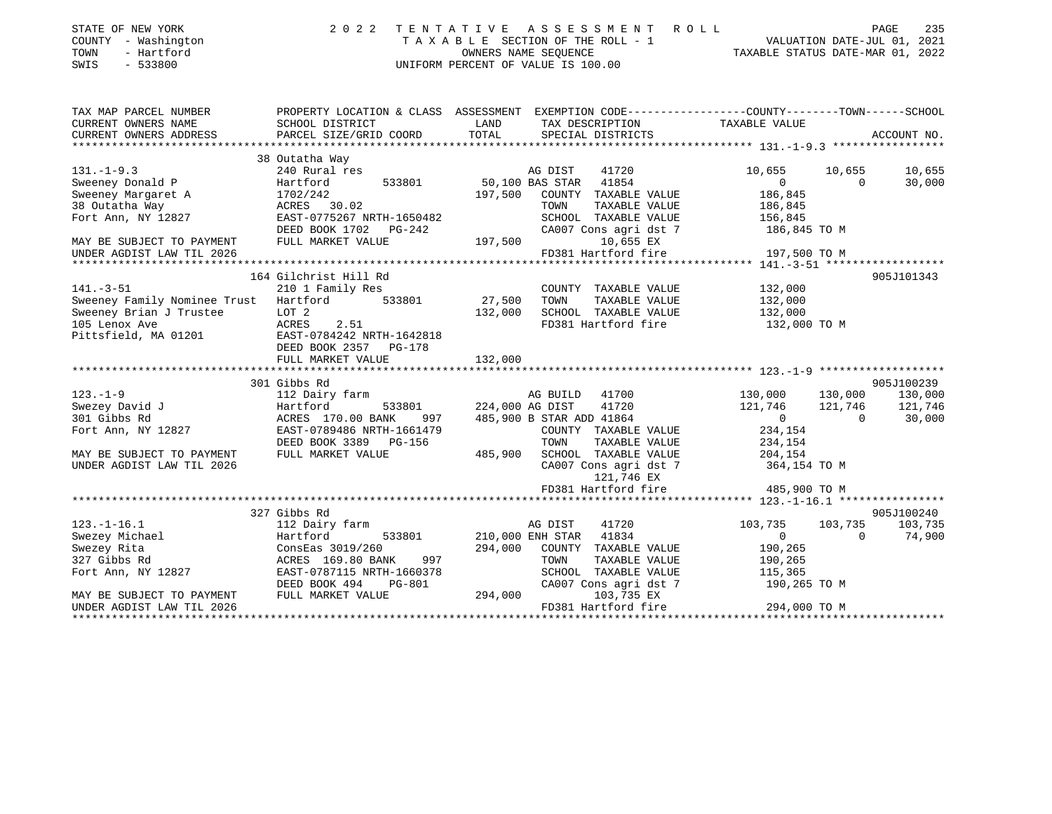|              |  | TATE OF NEW YORK |  |
|--------------|--|------------------|--|
| OUNTY        |  | - Washington     |  |
| <b>-----</b> |  | .                |  |

## STATE OF NEW YORK 2 0 2 2 T E N T A T I V E A S S E S S M E N T R O L L PAGE 235 COUNTY - Washington T A X A B L E SECTION OF THE ROLL - 1 VALUATION DATE-JUL 01, 2021 TOWN - Hartford OWNERS NAME SEQUENCE TAXABLE STATUS DATE-MAR 01, 2022 SWIS - 533800 UNIFORM PERCENT OF VALUE IS 100.00

| TAX MAP PARCEL NUMBER<br>CURRENT OWNERS NAME<br>CURRENT OWNERS ADDRESS                                                                             | PROPERTY LOCATION & CLASS ASSESSMENT EXEMPTION CODE---------------COUNTY-------TOWN-----SCHOOL<br>SCHOOL DISTRICT<br>PARCEL SIZE/GRID COORD                                                        | LAND<br>TOTAL                | TAX DESCRIPTION TAXABLE VALUE<br>SPECIAL DISTRICTS                                                                                                                                         |                                                                                                               |                     | ACCOUNT NO.                                |
|----------------------------------------------------------------------------------------------------------------------------------------------------|----------------------------------------------------------------------------------------------------------------------------------------------------------------------------------------------------|------------------------------|--------------------------------------------------------------------------------------------------------------------------------------------------------------------------------------------|---------------------------------------------------------------------------------------------------------------|---------------------|--------------------------------------------|
| $131. - 1 - 9.3$<br>Sweeney Donald P<br>Sweeney Margaret A<br>38 Outatha Way<br>Fort Ann, NY 12827                                                 | 38 Outatha Way<br>240 Rural res<br>533801<br>Hartford<br>1702/242<br>ACRES 30.02<br>EAST-0775267 NRTH-1650482<br>DEED BOOK 1702 PG-242                                                             | 197,500                      | AG DIST<br>41720<br>50,100 BAS STAR 41854<br>COUNTY TAXABLE VALUE<br>TAXABLE VALUE<br>TOWN<br>SCHOOL TAXABLE VALUE<br>CA007 Cons agri dst 7                                                | 10,655<br>$\Omega$<br>186,845<br>186,845<br>156,845<br>186,845 TO M                                           | 10,655<br>$\Omega$  | 10,655<br>30,000                           |
| MAY BE SUBJECT TO PAYMENT<br>UNDER AGDIST LAW TIL 2026                                                                                             | FULL MARKET VALUE                                                                                                                                                                                  | 197,500                      | 10,655 EX<br>FD381 Hartford fire                                                                                                                                                           | 197,500 TO M                                                                                                  |                     |                                            |
| $141. - 3 - 51$<br>Sweeney Family Nominee Trust Hartford<br>Sweeney Brian J Trustee<br>105 Lenox Ave<br>Pittsfield, MA 01201                       | 164 Gilchrist Hill Rd<br>210 1 Family Res<br>533801<br>LOT 2<br>ACRES<br>2.51<br>EAST-0784242 NRTH-1642818<br>DEED BOOK 2357 PG-178<br>FULL MARKET VALUE                                           | 27,500<br>132,000<br>132,000 | COUNTY TAXABLE VALUE<br>TOWN<br>TAXABLE VALUE<br>SCHOOL TAXABLE VALUE<br>FD381 Hartford fire                                                                                               | 132,000<br>132,000<br>132,000<br>132,000 TO M                                                                 |                     | 905J101343                                 |
| $123. - 1 - 9$<br>Swezey David J<br>301 Gibbs Rd<br>Fort Ann, NY 12827<br>MAY BE SUBJECT TO PAYMENT<br>UNDER AGDIST LAW TIL 2026                   | 301 Gibbs Rd<br>112 Dairy farm<br>533801 224,000 AG DIST<br>Hartford<br>ACRES 170.00 BANK<br>997<br>EAST-0789486 NRTH-1661479<br>DEED BOOK 3389 PG-156<br>FULL MARKET VALUE                        | 485,900                      | AG BUILD 41700<br>41720<br>485,900 B STAR ADD 41864<br>COUNTY TAXABLE VALUE<br>TAXABLE VALUE<br>TOWN<br>SCHOOL TAXABLE VALUE<br>CA007 Cons agri dst 7<br>121,746 EX<br>FD381 Hartford fire | 130,000<br>121,746 121,746<br>$\overline{0}$<br>234,154<br>234,154<br>204,154<br>364,154 TO M<br>485,900 TO M | 130,000<br>$\Omega$ | 905J100239<br>130,000<br>121,746<br>30,000 |
| $123. - 1 - 16.1$<br>Swezey Michael<br>Swezey Rita<br>327 Gibbs Rd<br>Fort Ann, NY 12827<br>MAY BE SUBJECT TO PAYMENT<br>UNDER AGDIST LAW TIL 2026 | 327 Gibbs Rd<br>112 Dairy farm<br>Hartford<br>533801 210,000 ENH STAR<br>ConsEas 3019/260<br>997<br>ACRES 169.80 BANK<br>EAST-0787115 NRTH-1660378<br>DEED BOOK 494<br>PG-801<br>FULL MARKET VALUE | 294,000                      | AG DIST<br>41720<br>41834<br>294,000 COUNTY TAXABLE VALUE<br>TOWN<br>TAXABLE VALUE<br>SCHOOL TAXABLE VALUE<br>CA007 Cons agri dst 7<br>103,735 EX<br>FD381 Hartford fire                   | 103,735<br>$\overline{0}$<br>190,265<br>190,265<br>115,365<br>190,265 TO M<br>294,000 TO M                    | 103,735<br>$\Omega$ | 905J100240<br>103,735<br>74,900            |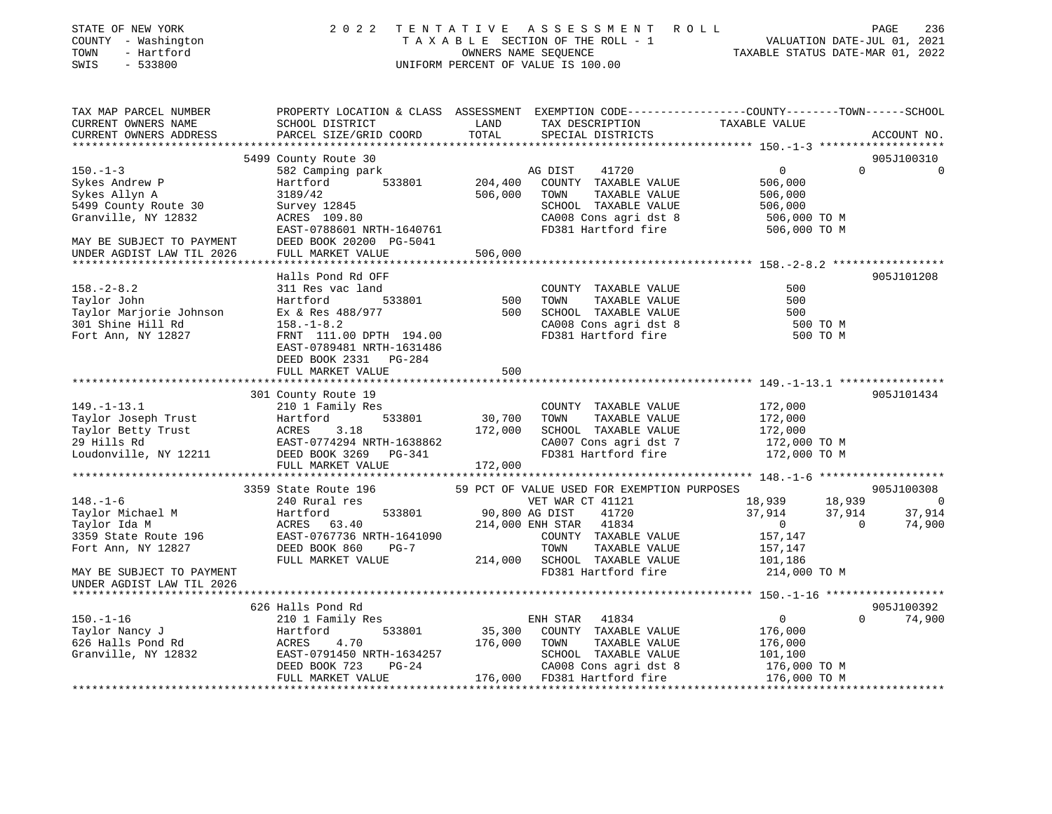| STATE OF NEW YORK<br>COUNTY - Washington<br>TOWN<br>- Hartford<br>SWIS<br>$-533800$                                                                                                                                                                             | 2 0 2 2                                                                                                                                     |                     | TENTATIVE ASSESSMENT ROLL<br>T A X A B L E SECTION OF THE ROLL - 1 VALUATION DATE-JUL 01, 2021<br>OWNERS NAME SEQUENCE TAXABLE STATUS DATE-MAR 01, 2022<br>UNIFORM PERCENT OF VALUE IS 100.00 |                                                     | PAGE<br>236                              |
|-----------------------------------------------------------------------------------------------------------------------------------------------------------------------------------------------------------------------------------------------------------------|---------------------------------------------------------------------------------------------------------------------------------------------|---------------------|-----------------------------------------------------------------------------------------------------------------------------------------------------------------------------------------------|-----------------------------------------------------|------------------------------------------|
| TAX MAP PARCEL NUMBER<br>CURRENT OWNERS NAME<br>CURRENT OWNERS ADDRESS                                                                                                                                                                                          | PROPERTY LOCATION & CLASS ASSESSMENT EXEMPTION CODE---------------COUNTY-------TOWN-----SCHOOL<br>SCHOOL DISTRICT<br>PARCEL SIZE/GRID COORD | LAND<br>TOTAL       | TAX DESCRIPTION TAXABLE VALUE<br>SPECIAL DISTRICTS                                                                                                                                            |                                                     | ACCOUNT NO.                              |
|                                                                                                                                                                                                                                                                 |                                                                                                                                             |                     |                                                                                                                                                                                               |                                                     |                                          |
|                                                                                                                                                                                                                                                                 | 5499 County Route 30                                                                                                                        |                     |                                                                                                                                                                                               |                                                     | 905J100310<br>$\Omega$<br>$\overline{0}$ |
| $150. - 1 - 3$<br>Sykes Andrew P                                                                                                                                                                                                                                | 582 Camping park<br>533801<br>Hartford                                                                                                      | 204,400             | 41720<br>AG DIST<br>COUNTY TAXABLE VALUE                                                                                                                                                      | $\overline{0}$<br>506,000                           |                                          |
| Sykes Allyn A                                                                                                                                                                                                                                                   | 3189/42                                                                                                                                     | 506,000             | TOWN<br>TAXABLE VALUE                                                                                                                                                                         | 506,000                                             |                                          |
| 5499 County Route 30                                                                                                                                                                                                                                            | Survey 12845                                                                                                                                |                     | SCHOOL TAXABLE VALUE                                                                                                                                                                          | 506,000                                             |                                          |
| Granville, NY 12832                                                                                                                                                                                                                                             | ACRES 109.80                                                                                                                                |                     |                                                                                                                                                                                               | 506,000 TO M                                        |                                          |
|                                                                                                                                                                                                                                                                 | EAST-0788601 NRTH-1640761                                                                                                                   |                     | CA008 Cons agri dst 8<br>FD381 Hartford fire                                                                                                                                                  | 506,000 TO M                                        |                                          |
| MAY BE SUBJECT TO PAYMENT                                                                                                                                                                                                                                       | DEED BOOK 20200 PG-5041                                                                                                                     |                     |                                                                                                                                                                                               |                                                     |                                          |
| UNDER AGDIST LAW TIL 2026                                                                                                                                                                                                                                       | FULL MARKET VALUE                                                                                                                           | 506,000             |                                                                                                                                                                                               |                                                     |                                          |
|                                                                                                                                                                                                                                                                 |                                                                                                                                             | * * * * * * * * * * |                                                                                                                                                                                               | ********************* 158. -2-8.2 ***************** |                                          |
|                                                                                                                                                                                                                                                                 | Halls Pond Rd OFF                                                                                                                           |                     |                                                                                                                                                                                               |                                                     | 905J101208                               |
| $158. - 2 - 8.2$                                                                                                                                                                                                                                                | 311 Res vac land                                                                                                                            |                     | COUNTY TAXABLE VALUE                                                                                                                                                                          | 500                                                 |                                          |
| Taylor John                                                                                                                                                                                                                                                     | 533801<br>Hartford                                                                                                                          | 500                 | TAXABLE VALUE<br>TOWN                                                                                                                                                                         | 500                                                 |                                          |
| Taylor Marjorie Johnson                                                                                                                                                                                                                                         | Ex & Res 488/977<br>158 -1-8 2                                                                                                              | 500                 | SCHOOL TAXABLE VALUE                                                                                                                                                                          | 500                                                 |                                          |
| 301 Shine Hill Rd                                                                                                                                                                                                                                               | $158. - 1 - 8.2$                                                                                                                            |                     | CA008 Cons agri dst 8<br>FD381 Hartford fire                                                                                                                                                  | 500 TO M                                            |                                          |
| Fort Ann, NY 12827                                                                                                                                                                                                                                              | FRNT 111.00 DPTH 194.00<br>EAST-0789481 NRTH-1631486<br>DEED BOOK 2331 PG-284                                                               |                     |                                                                                                                                                                                               | 500 TO M                                            |                                          |
|                                                                                                                                                                                                                                                                 | FULL MARKET VALUE                                                                                                                           | 500                 |                                                                                                                                                                                               |                                                     |                                          |
|                                                                                                                                                                                                                                                                 |                                                                                                                                             |                     |                                                                                                                                                                                               |                                                     | 905J101434                               |
| $149. - 1 - 13.1$                                                                                                                                                                                                                                               | 301 County Route 19<br>210 1 Family Res                                                                                                     |                     | COUNTY TAXABLE VALUE                                                                                                                                                                          | 172,000                                             |                                          |
|                                                                                                                                                                                                                                                                 |                                                                                                                                             | 30,700              | TOWN<br>TAXABLE VALUE                                                                                                                                                                         | 172,000                                             |                                          |
| Taylor Joseph Trust<br>Taylor Betty Trust<br>29 Hills Rd<br>29 Hills Rd<br>29 Hills Rd<br>29 Hills Rd<br>29 Hills Rd<br>29 Hills Rd<br>29 Hills Rd<br>29 Hills Rd<br>29 Hills Rd<br>29 Hills Rd<br>29 Hills Rd<br>29 Hills Rd<br>29 Hills Rd<br>29 Hills Rd<br> |                                                                                                                                             | 172,000             | SCHOOL TAXABLE VALUE                                                                                                                                                                          | 172,000                                             |                                          |
|                                                                                                                                                                                                                                                                 |                                                                                                                                             |                     | CA007 Cons agri dst 7                                                                                                                                                                         |                                                     |                                          |
|                                                                                                                                                                                                                                                                 |                                                                                                                                             |                     | FD381 Hartford fire                                                                                                                                                                           | 172,000 TO M<br>172,000 TO M                        |                                          |
|                                                                                                                                                                                                                                                                 | FULL MARKET VALUE                                                                                                                           | 172,000             |                                                                                                                                                                                               |                                                     |                                          |
|                                                                                                                                                                                                                                                                 |                                                                                                                                             |                     |                                                                                                                                                                                               |                                                     |                                          |
|                                                                                                                                                                                                                                                                 | 3359 State Route 196                                                                                                                        |                     | 59 PCT OF VALUE USED FOR EXEMPTION PURPOSES                                                                                                                                                   |                                                     | 905J100308                               |
| $148. - 1 - 6$                                                                                                                                                                                                                                                  | 240 Rural res                                                                                                                               |                     | VET WAR CT 41121                                                                                                                                                                              | 18,939                                              | 18,939<br>$\overline{0}$                 |
| Taylor Michael M                                                                                                                                                                                                                                                | 533801<br>Hartford                                                                                                                          |                     | 90,800 AG DIST<br>41720                                                                                                                                                                       | 37,914                                              | 37,914<br>37,914                         |
| Taylor Ida M                                                                                                                                                                                                                                                    | ACRES 63.40                                                                                                                                 |                     | 214,000 ENH STAR 41834                                                                                                                                                                        | $\overline{0}$                                      | 74,900<br>$\overline{0}$                 |
| 3359 State Route 196                                                                                                                                                                                                                                            | EAST-0767736 NRTH-1641090                                                                                                                   |                     | COUNTY TAXABLE VALUE                                                                                                                                                                          | 157,147                                             |                                          |
| Fort Ann, NY 12827                                                                                                                                                                                                                                              | DEED BOOK 860<br>$PG-7$                                                                                                                     |                     | TOWN<br>TAXABLE VALUE                                                                                                                                                                         | 157,147                                             |                                          |
|                                                                                                                                                                                                                                                                 | FULL MARKET VALUE                                                                                                                           |                     | 214,000 SCHOOL TAXABLE VALUE                                                                                                                                                                  | 101,186                                             |                                          |
| MAY BE SUBJECT TO PAYMENT<br>UNDER AGDIST LAW TIL 2026                                                                                                                                                                                                          |                                                                                                                                             |                     | FD381 Hartford fire                                                                                                                                                                           | 214,000 TO M                                        |                                          |
| ********************                                                                                                                                                                                                                                            |                                                                                                                                             |                     |                                                                                                                                                                                               |                                                     |                                          |
|                                                                                                                                                                                                                                                                 | 626 Halls Pond Rd                                                                                                                           |                     |                                                                                                                                                                                               |                                                     | 905J100392                               |
| $150. - 1 - 16$                                                                                                                                                                                                                                                 | 210 1 Family Res                                                                                                                            |                     | ENH STAR 41834                                                                                                                                                                                | $\overline{0}$                                      | 74,900<br>$\Omega$                       |
| Taylor Nancy J<br>626 Halls Pond Rd                                                                                                                                                                                                                             | 533801<br>Hartford                                                                                                                          | 35,300              | COUNTY TAXABLE VALUE                                                                                                                                                                          | 176,000                                             |                                          |
|                                                                                                                                                                                                                                                                 | 4.70<br>ACRES                                                                                                                               | 176,000             | TOWN<br>TAXABLE VALUE                                                                                                                                                                         | 176,000                                             |                                          |
| Granville, NY 12832                                                                                                                                                                                                                                             | EAST-0791450 NRTH-1634257<br>DEED BOOK 723<br>$PG-24$                                                                                       |                     | SCHOOL TAXABLE VALUE                                                                                                                                                                          | 101,100                                             |                                          |
|                                                                                                                                                                                                                                                                 | FULL MARKET VALUE                                                                                                                           |                     | CA008 Cons agri dst 8 176,000 TO M<br>176,000 FD381 Hartford fire 176,000 TO M                                                                                                                |                                                     |                                          |
|                                                                                                                                                                                                                                                                 |                                                                                                                                             |                     |                                                                                                                                                                                               |                                                     |                                          |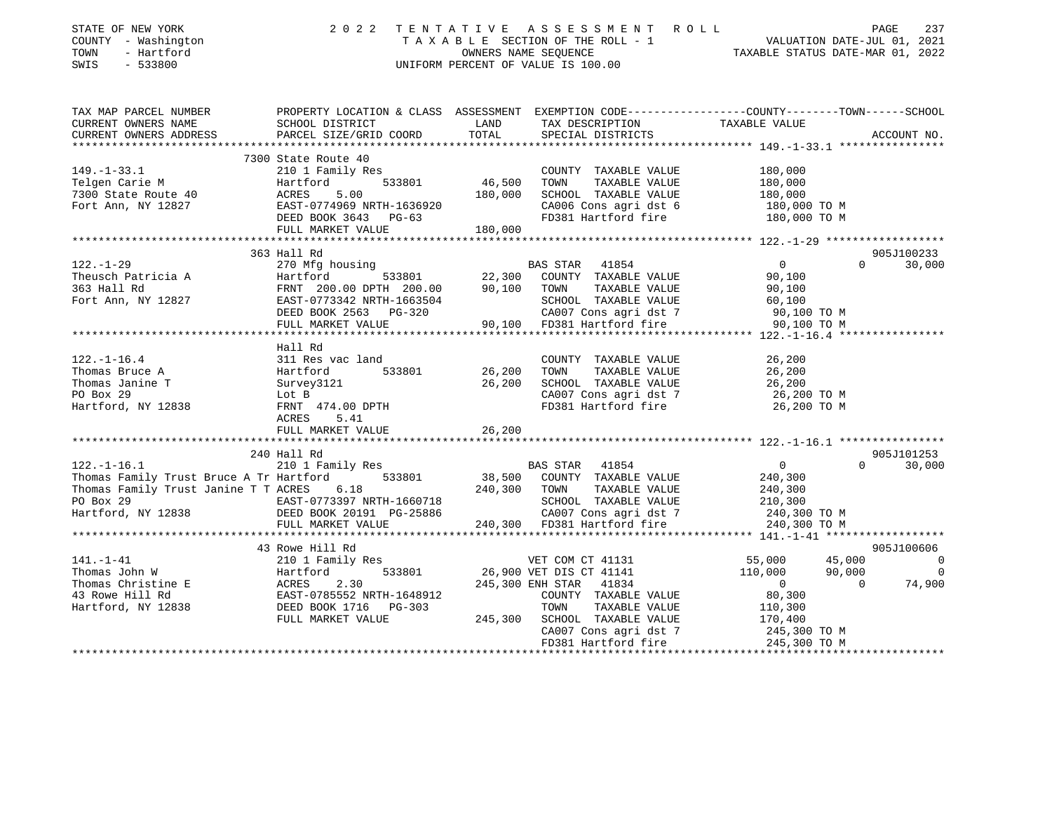| STATE OF NEW YORK<br>COUNTY - Washington<br>TOWN<br>- Hartford<br>SWIS<br>$-533800$ | 2 0 2 2                                       |                  | TENTATIVE ASSESSMENT ROLL<br>UNIFORM PERCENT OF VALUE IS 100.00 | PAGE 237<br>TAXABLE SECTION OF THE ROLL - 1 VALUATION DATE-JUL 01, 2021<br>OWNERS NAME SEQUENCE TAXABLE STATUS DATE-MAR 01 2022<br>TAXABLE STATUS DATE-MAR 01, 2022 |          | PAGE<br>237 |
|-------------------------------------------------------------------------------------|-----------------------------------------------|------------------|-----------------------------------------------------------------|---------------------------------------------------------------------------------------------------------------------------------------------------------------------|----------|-------------|
| TAX MAP PARCEL NUMBER<br>CURRENT OWNERS NAME                                        | SCHOOL DISTRICT                               | LAND             | TAX DESCRIPTION                                                 | PROPERTY LOCATION & CLASS ASSESSMENT EXEMPTION CODE----------------COUNTY-------TOWN------SCHOOL<br>TAXABLE VALUE                                                   |          |             |
| CURRENT OWNERS ADDRESS                                                              | PARCEL SIZE/GRID COORD                        | TOTAL            | SPECIAL DISTRICTS                                               |                                                                                                                                                                     |          | ACCOUNT NO. |
|                                                                                     |                                               |                  |                                                                 |                                                                                                                                                                     |          |             |
|                                                                                     | 7300 State Route 40                           |                  |                                                                 |                                                                                                                                                                     |          |             |
| $149. - 1 - 33.1$                                                                   | 210 1 Family Res                              |                  | COUNTY TAXABLE VALUE                                            | 180,000                                                                                                                                                             |          |             |
| Telgen Carie M                                                                      | 533801<br>Hartford                            | 46,500           | TOWN<br>TAXABLE VALUE                                           | 180,000                                                                                                                                                             |          |             |
| ACRES<br>7300 State Route 40                                                        | 5.00                                          | 180,000          | SCHOOL TAXABLE VALUE                                            | 180,000                                                                                                                                                             |          |             |
| Fort Ann, NY 12827                                                                  | EAST-0774969 NRTH-1636920                     |                  | CA006 Cons agri dst 6                                           | 180,000 TO M                                                                                                                                                        |          |             |
|                                                                                     | DEED BOOK 3643 PG-63<br>FULL MARKET VALUE     | 180,000          | FD381 Hartford fire                                             | 180,000 TO M                                                                                                                                                        |          |             |
|                                                                                     |                                               |                  |                                                                 |                                                                                                                                                                     |          |             |
| 363 Hall Rd                                                                         |                                               |                  |                                                                 |                                                                                                                                                                     |          | 905J100233  |
| $122. - 1 - 29$                                                                     | 270 Mfg housing                               |                  | BAS STAR 41854                                                  | $\overline{0}$                                                                                                                                                      | $\Omega$ | 30,000      |
| Theusch Patricia A                                                                  | Hartford<br>533801                            | 22,300           | COUNTY TAXABLE VALUE                                            | 90,100                                                                                                                                                              |          |             |
| 363 Hall Rd                                                                         | FRNT 200.00 DPTH 200.00                       | 90,100 TOWN      | TAXABLE VALUE                                                   | 90,100                                                                                                                                                              |          |             |
| Fort Ann, NY 12827                                                                  | EAST-0773342 NRTH-1663504                     |                  | SCHOOL TAXABLE VALUE                                            | 60,100                                                                                                                                                              |          |             |
|                                                                                     | DEED BOOK 2563 PG-320                         |                  | CA007 Cons agri dst 7                                           | 90,100 TO M                                                                                                                                                         |          |             |
|                                                                                     | FULL MARKET VALUE                             |                  | 90,100 FD381 Hartford fire                                      | 90,100 TO M                                                                                                                                                         |          |             |
|                                                                                     |                                               |                  |                                                                 |                                                                                                                                                                     |          |             |
|                                                                                     | Hall Rd                                       |                  |                                                                 |                                                                                                                                                                     |          |             |
| $122. - 1 - 16.4$<br>Thomas Bruce A                                                 | 311 Res vac land<br>533801<br>Hartford        | 26,200           | COUNTY TAXABLE VALUE<br>TOWN<br>TAXABLE VALUE                   | 26,200<br>26,200                                                                                                                                                    |          |             |
| Thomas Janine T                                                                     | Survey3121                                    | 26,200           | SCHOOL TAXABLE VALUE                                            | 26,200                                                                                                                                                              |          |             |
| PO Box 29<br>Lot B                                                                  |                                               |                  | CA007 Cons agri dst 7                                           | 26,200 TO M                                                                                                                                                         |          |             |
| Hartford, NY 12838                                                                  | FRNT 474.00 DPTH                              |                  | FD381 Hartford fire                                             | 26,200 TO M                                                                                                                                                         |          |             |
| ACRES                                                                               | 5.41                                          |                  |                                                                 |                                                                                                                                                                     |          |             |
|                                                                                     | FULL MARKET VALUE                             | 26,200           |                                                                 |                                                                                                                                                                     |          |             |
|                                                                                     |                                               |                  |                                                                 |                                                                                                                                                                     |          |             |
| 240 Hall Rd                                                                         |                                               |                  |                                                                 |                                                                                                                                                                     |          | 905J101253  |
| $122. - 1 - 16.1$                                                                   | 210 1 Family Res                              |                  | <b>BAS STAR</b><br>41854                                        | $\overline{0}$                                                                                                                                                      | $\Omega$ | 30,000      |
| Thomas Family Trust Bruce A Tr Hartford                                             | 533801                                        | 38,500           | COUNTY TAXABLE VALUE                                            | 240,300                                                                                                                                                             |          |             |
| Thomas Family Trust Janine T T ACRES 6.18                                           |                                               | 240,300          | TOWN<br>TAXABLE VALUE                                           | 240,300                                                                                                                                                             |          |             |
| PO Box 29                                                                           | EAST-0773397 NRTH-1660718                     |                  | SCHOOL TAXABLE VALUE                                            | 210,300                                                                                                                                                             |          |             |
| Hartford, NY 12838                                                                  | DEED BOOK 20191 PG-25886<br>FULL MARKET VALUE |                  | CA007 Cons agri dst 7<br>240,300 FD381 Hartford fire            | 240,300 TO M<br>240,300 TO M                                                                                                                                        |          |             |
|                                                                                     | **************************                    |                  |                                                                 |                                                                                                                                                                     |          |             |
|                                                                                     | 43 Rowe Hill Rd                               |                  |                                                                 |                                                                                                                                                                     |          | 905J100606  |
| $141. - 1 - 41$                                                                     | 210 1 Family Res                              |                  | VET COM CT 41131                                                | 55,000                                                                                                                                                              | 45,000   | $\Omega$    |
| Thomas John W                                                                       | 533801<br>Hartford                            |                  | 26,900 VET DIS CT 41141                                         | 110,000                                                                                                                                                             | 90,000   | 0           |
| <b>ACRES</b><br>Thomas Christine E                                                  | 2.30                                          | 245,300 ENH STAR | 41834                                                           | $\overline{0}$                                                                                                                                                      | $\Omega$ | 74,900      |
| 43 Rowe Hill Rd                                                                     | EAST-0785552 NRTH-1648912                     |                  | COUNTY TAXABLE VALUE                                            | 80,300                                                                                                                                                              |          |             |
| Hartford, NY 12838                                                                  | DEED BOOK 1716 PG-303                         |                  | TOWN<br>TAXABLE VALUE                                           | 110,300                                                                                                                                                             |          |             |
|                                                                                     | FULL MARKET VALUE                             | 245,300          | SCHOOL TAXABLE VALUE                                            | 170,400                                                                                                                                                             |          |             |
|                                                                                     |                                               |                  | CA007 Cons agri dst 7                                           | 245,300 TO M                                                                                                                                                        |          |             |
|                                                                                     |                                               |                  | FD381 Hartford fire                                             | 245,300 TO M                                                                                                                                                        |          |             |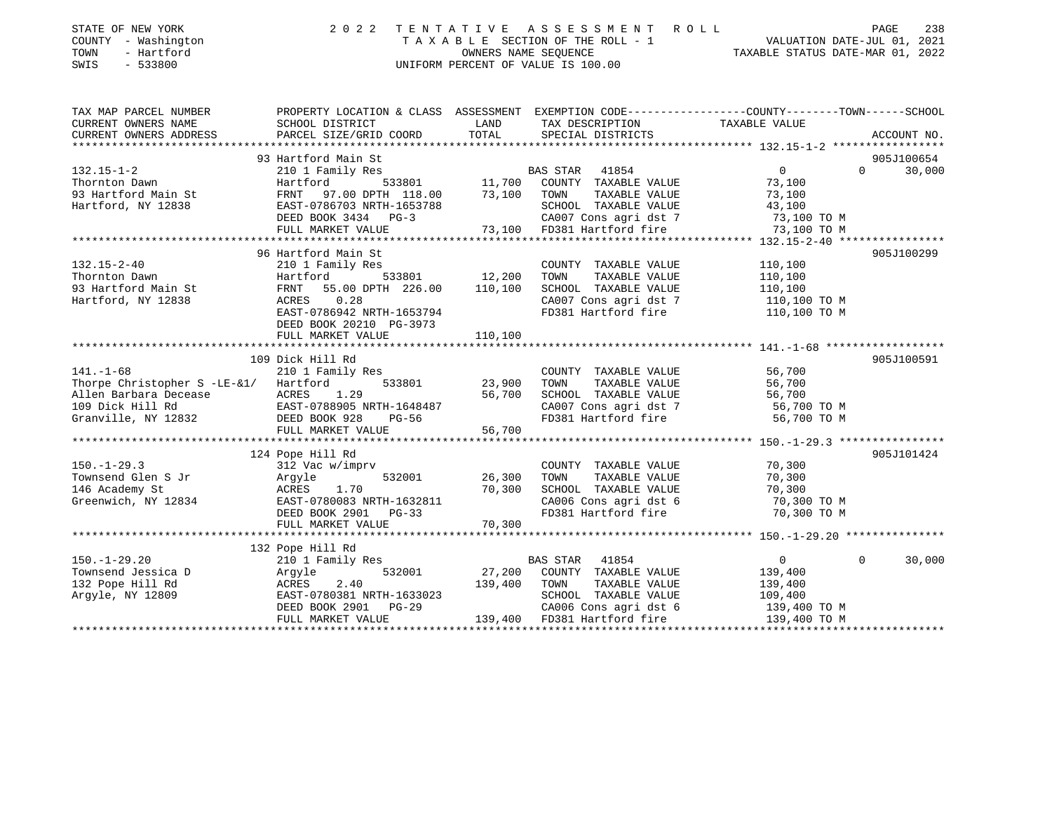| STATE OF NEW YORK<br>COUNTY - Washington<br>TOWN<br>- Hartford<br>SWIS<br>$-533800$ | 2 0 2 2                                                                                                                                      | TENTATIVE     | A S S E S S M E N T<br>R O L L<br>TAXABLE SECTION OF THE ROLL - 1<br>OWNERS NAME SEOUENCE<br>UNIFORM PERCENT OF VALUE IS 100.00 | VALUATION DATE-JUL 01, 2021<br>TAXABLE STATUS DATE-MAR 01, 2022 | PAGE<br>238        |
|-------------------------------------------------------------------------------------|----------------------------------------------------------------------------------------------------------------------------------------------|---------------|---------------------------------------------------------------------------------------------------------------------------------|-----------------------------------------------------------------|--------------------|
| TAX MAP PARCEL NUMBER<br>CURRENT OWNERS NAME<br>CURRENT OWNERS ADDRESS              | PROPERTY LOCATION & CLASS ASSESSMENT EXEMPTION CODE---------------COUNTY-------TOWN------SCHOOL<br>SCHOOL DISTRICT<br>PARCEL SIZE/GRID COORD | LAND<br>TOTAL | TAX DESCRIPTION<br>SPECIAL DISTRICTS                                                                                            | TAXABLE VALUE                                                   | ACCOUNT NO.        |
|                                                                                     |                                                                                                                                              |               |                                                                                                                                 |                                                                 |                    |
|                                                                                     | 93 Hartford Main St                                                                                                                          |               |                                                                                                                                 |                                                                 | 905J100654         |
| $132.15 - 1 - 2$                                                                    | 210 1 Family Res                                                                                                                             |               | BAS STAR<br>41854                                                                                                               | $\overline{0}$                                                  | $\Omega$<br>30,000 |
| Thornton Dawn                                                                       | 533801<br>Hartford                                                                                                                           |               | 11,700 COUNTY TAXABLE VALUE                                                                                                     | 73,100                                                          |                    |
| 93 Hartford Main St                                                                 | FRNT<br>97.00 DPTH 118.00                                                                                                                    | 73,100        | TAXABLE VALUE<br>TOWN                                                                                                           | 73,100                                                          |                    |
| Hartford, NY 12838                                                                  | EAST-0786703 NRTH-1653788                                                                                                                    |               | SCHOOL TAXABLE VALUE                                                                                                            | 43,100                                                          |                    |
|                                                                                     | DEED BOOK 3434 PG-3                                                                                                                          |               | CA007 Cons agri dst 7                                                                                                           | 73,100 TO M                                                     |                    |
|                                                                                     | FULL MARKET VALUE                                                                                                                            | 73,100        | FD381 Hartford fire                                                                                                             | 73,100 TO M                                                     |                    |
|                                                                                     |                                                                                                                                              |               |                                                                                                                                 |                                                                 |                    |
|                                                                                     | 96 Hartford Main St                                                                                                                          |               |                                                                                                                                 |                                                                 | 905J100299         |
| $132.15 - 2 - 40$                                                                   | 210 1 Family Res                                                                                                                             |               | COUNTY TAXABLE VALUE                                                                                                            | 110,100                                                         |                    |
| Thornton Dawn                                                                       | 533801<br>Hartford                                                                                                                           | 12,200        | TAXABLE VALUE<br>TOWN                                                                                                           | 110,100                                                         |                    |
| 93 Hartford Main St                                                                 | 55.00 DPTH 226.00<br>FRNT<br>ACRES<br>0.28                                                                                                   | 110,100       | SCHOOL TAXABLE VALUE<br>CA007 Cons agri dst 7                                                                                   | 110,100                                                         |                    |
| Hartford, NY 12838                                                                  | EAST-0786942 NRTH-1653794                                                                                                                    |               | FD381 Hartford fire                                                                                                             | 110,100 TO M<br>110,100 TO M                                    |                    |
|                                                                                     | DEED BOOK 20210 PG-3973                                                                                                                      |               |                                                                                                                                 |                                                                 |                    |
|                                                                                     | FULL MARKET VALUE                                                                                                                            | 110,100       |                                                                                                                                 |                                                                 |                    |
|                                                                                     |                                                                                                                                              |               |                                                                                                                                 |                                                                 |                    |
|                                                                                     | 109 Dick Hill Rd                                                                                                                             |               |                                                                                                                                 |                                                                 | 905J100591         |
| $141. - 1 - 68$                                                                     | 210 1 Family Res                                                                                                                             |               | COUNTY TAXABLE VALUE                                                                                                            | 56,700                                                          |                    |
| Thorpe Christopher S -LE-&1/                                                        | 533801<br>Hartford                                                                                                                           | 23,900        | TAXABLE VALUE<br>TOWN                                                                                                           | 56,700                                                          |                    |
| Allen Barbara Decease                                                               | ACRES<br>1.29                                                                                                                                | 56,700        | SCHOOL TAXABLE VALUE                                                                                                            | 56,700                                                          |                    |
| 109 Dick Hill Rd                                                                    | EAST-0788905 NRTH-1648487                                                                                                                    |               | CA007 Cons agri dst 7                                                                                                           | 56,700 TO M                                                     |                    |
| Granville, NY 12832                                                                 | DEED BOOK 928<br>PG-56                                                                                                                       |               | FD381 Hartford fire                                                                                                             | 56,700 TO M                                                     |                    |
|                                                                                     | FULL MARKET VALUE                                                                                                                            | 56,700        |                                                                                                                                 |                                                                 |                    |
|                                                                                     |                                                                                                                                              |               |                                                                                                                                 |                                                                 |                    |
|                                                                                     | 124 Pope Hill Rd                                                                                                                             |               |                                                                                                                                 |                                                                 | 905J101424         |
| $150. - 1 - 29.3$                                                                   | 312 Vac w/imprv                                                                                                                              |               | COUNTY TAXABLE VALUE                                                                                                            | 70,300                                                          |                    |
| Townsend Glen S Jr                                                                  | 532001<br>Argyle                                                                                                                             | 26,300        | TOWN<br>TAXABLE VALUE                                                                                                           | 70,300                                                          |                    |
| 146 Academy St                                                                      | ACRES<br>1.70                                                                                                                                | 70,300        | SCHOOL TAXABLE VALUE                                                                                                            | 70,300                                                          |                    |
| Greenwich, NY 12834                                                                 | EAST-0780083 NRTH-1632811                                                                                                                    |               | CA006 Cons agri dst 6                                                                                                           | 70,300 TO M                                                     |                    |
|                                                                                     | DEED BOOK 2901 PG-33                                                                                                                         |               | FD381 Hartford fire                                                                                                             | 70,300 TO M                                                     |                    |
|                                                                                     | FULL MARKET VALUE                                                                                                                            | 70,300        |                                                                                                                                 |                                                                 |                    |
|                                                                                     |                                                                                                                                              |               |                                                                                                                                 |                                                                 |                    |
| $150. - 1 - 29.20$                                                                  | 132 Pope Hill Rd                                                                                                                             |               | BAS STAR 41854                                                                                                                  | $\overline{0}$                                                  | $\Omega$<br>30,000 |
| Townsend Jessica D                                                                  | 210 1 Family Res<br>532001                                                                                                                   | 27,200        | COUNTY TAXABLE VALUE                                                                                                            | 139,400                                                         |                    |
| 132 Pope Hill Rd                                                                    | Argyle<br>ACRES<br>2.40                                                                                                                      | 139,400       | TOWN<br>TAXABLE VALUE                                                                                                           | 139,400                                                         |                    |
| Argyle, NY 12809                                                                    | EAST-0780381 NRTH-1633023                                                                                                                    |               | SCHOOL TAXABLE VALUE                                                                                                            | 109,400                                                         |                    |
|                                                                                     | DEED BOOK 2901 PG-29                                                                                                                         |               | CA006 Cons agri dst 6                                                                                                           | 139,400 TO M                                                    |                    |
|                                                                                     | FULL MARKET VALUE                                                                                                                            | 139,400       | FD381 Hartford fire                                                                                                             | 139,400 TO M                                                    |                    |

\*\*\*\*\*\*\*\*\*\*\*\*\*\*\*\*\*\*\*\*\*\*\*\*\*\*\*\*\*\*\*\*\*\*\*\*\*\*\*\*\*\*\*\*\*\*\*\*\*\*\*\*\*\*\*\*\*\*\*\*\*\*\*\*\*\*\*\*\*\*\*\*\*\*\*\*\*\*\*\*\*\*\*\*\*\*\*\*\*\*\*\*\*\*\*\*\*\*\*\*\*\*\*\*\*\*\*\*\*\*\*\*\*\*\*\*\*\*\*\*\*\*\*\*\*\*\*\*\*\*\*\*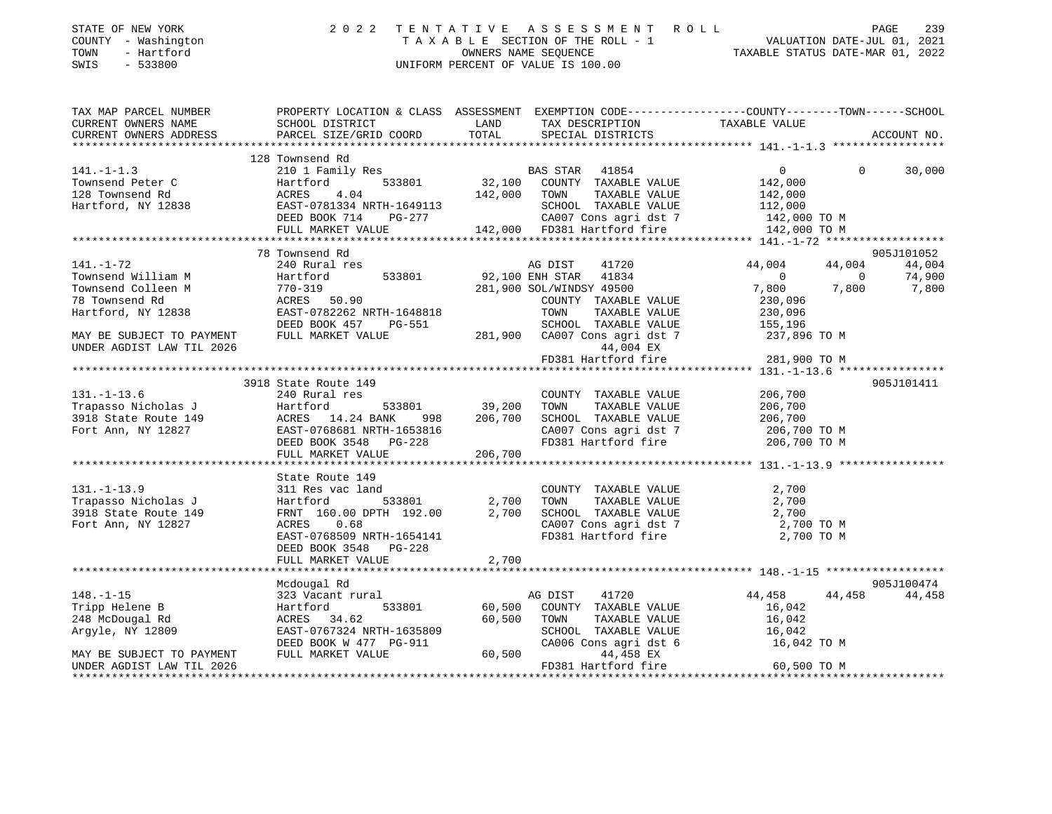| STATE OF NEW YORK<br>COUNTY - Washington<br>- Hartford<br>TOWN<br>SWIS<br>$-533800$                                                                                                                                                                                                                                                                                                                                   |                                                                                                                                                                                                                                           |               | 2022 TENTATIVE ASSESSMENT ROLL PAGE 239<br>TAXABLE SECTION OF THE ROLL - 1 VALUATION DATE-JUL 01, 2021<br>OWNERS NAME SEQUENCE TAXABLE STATUS DATE-MAR 01, 2022<br>UNIFORM PERCENT OF VALUE IS 100.00 |                                                     |                                                      |
|-----------------------------------------------------------------------------------------------------------------------------------------------------------------------------------------------------------------------------------------------------------------------------------------------------------------------------------------------------------------------------------------------------------------------|-------------------------------------------------------------------------------------------------------------------------------------------------------------------------------------------------------------------------------------------|---------------|-------------------------------------------------------------------------------------------------------------------------------------------------------------------------------------------------------|-----------------------------------------------------|------------------------------------------------------|
| TAX MAP PARCEL NUMBER<br>CURRENT OWNERS NAME<br>CURRENT OWNERS ADDRESS                                                                                                                                                                                                                                                                                                                                                | PROPERTY LOCATION & CLASS ASSESSMENT EXEMPTION CODE---------------COUNTY-------TOWN------SCHOOL<br>SCHOOL DISTRICT<br>PARCEL SIZE/GRID COORD                                                                                              | LAND<br>TOTAL | TAX DESCRIPTION                        TAXABLE VALUE<br>SPECIAL DISTRICTS<br>SPECIAL DISTRICTS                                                                                                        |                                                     | ACCOUNT NO.                                          |
|                                                                                                                                                                                                                                                                                                                                                                                                                       | 128 Townsend Rd                                                                                                                                                                                                                           |               |                                                                                                                                                                                                       |                                                     |                                                      |
| $[141. -1-1.3$ Townsend Peter C ( $\begin{array}{l} 210 \text{ I} \text{ S33801} \\ 128 \text{ Townsend Red} \\ 128 \text{ Townsend Red} \\ 129 \text{ Tour send Red} \\ 129 \text{ Tour send Red} \\ 12000 \text{ Tour send} \\ 12000 \text{ Tour send} \\ 12000 \text{ Tour send} \\ 12000 \text{ Tour send} \\ 12000 \text{ Tour send} \\ 12000 \text{ Tour send} \\ 12000 \text{ Tour send} \\ 12000 \text{ Tour$ |                                                                                                                                                                                                                                           |               |                                                                                                                                                                                                       |                                                     | $\Omega$<br>30,000                                   |
|                                                                                                                                                                                                                                                                                                                                                                                                                       |                                                                                                                                                                                                                                           |               |                                                                                                                                                                                                       |                                                     |                                                      |
|                                                                                                                                                                                                                                                                                                                                                                                                                       |                                                                                                                                                                                                                                           |               |                                                                                                                                                                                                       |                                                     |                                                      |
| $141. - 1 - 72$                                                                                                                                                                                                                                                                                                                                                                                                       | 78 Townsend Rd<br>240 Rural res                                                                                                                                                                                                           |               | AG DIST<br>41720<br>92,100 ENH STAR 41834<br>281,900 SOL/WINDSY 49500                                                                                                                                 | 44,004<br>$\overline{0}$                            | 905J101052<br>44,004<br>44,004<br>$\sim$ 0<br>74,900 |
| Townsend William M<br>Townsend Colleen M<br>78 Townsend Rd<br>78 Townsend Rd<br>Hartford, NY 12838<br>Hartford, NY 12838<br>FAST-0782262 NRTH-1648818<br>FAST-0782262 NRTH-1648818<br>FAST-0782262 NRTH-1648818                                                                                                                                                                                                       |                                                                                                                                                                                                                                           |               | COUNTY TAXABLE VALUE<br>FG-551 TOWN TAXABLE VALUE<br>FG-551 281,900 CA007 Cons agri dst 7<br>44.004 EX                                                                                                | 7,800<br>230,096<br>230,096                         | $7,800$ $7,800$                                      |
| MAY BE SUBJECT TO PAYMENT FULL MARKET VALUE<br>UNDER AGDIST LAW TIL 2026                                                                                                                                                                                                                                                                                                                                              |                                                                                                                                                                                                                                           |               | 44,004 EX<br>FD381 Hartford fire                                                                                                                                                                      | 155,196<br>155,196<br>237,896 TO M<br>281,900 TO M  |                                                      |
|                                                                                                                                                                                                                                                                                                                                                                                                                       |                                                                                                                                                                                                                                           |               |                                                                                                                                                                                                       |                                                     |                                                      |
|                                                                                                                                                                                                                                                                                                                                                                                                                       | 3918 State Route 149                                                                                                                                                                                                                      |               |                                                                                                                                                                                                       |                                                     | 905J101411                                           |
| $131. -1 - 13.6$<br>Trapasso Nicholas J<br>Trapasso Nicholas J<br>39,200 TOWN TAXABLE VALUE 206,700<br>3918 State Route 149 ACRES 14.24 BANK 998 206,700 SCHOOL TAXABLE VALUE 206,700<br>Fort Ann, NY 12827 EAST-0768681 NRTH-1653816 CA007 Cons agri dst                                                                                                                                                             | 240 Rural res                                                                                                                                                                                                                             |               | $\begin{array}{cccc}\texttt{COUNTY} & \texttt{TAXABLE} & \texttt{VALUE}\\ \texttt{533801} & 39,200 & \texttt{TOWN} & \texttt{TAXABLE} & \texttt{VALUE} \end{array}$<br>COUNTY TAXABLE VALUE 206,700   |                                                     |                                                      |
|                                                                                                                                                                                                                                                                                                                                                                                                                       | FULL MARKET VALUE                                                                                                                                                                                                                         | 206,700       |                                                                                                                                                                                                       |                                                     |                                                      |
|                                                                                                                                                                                                                                                                                                                                                                                                                       |                                                                                                                                                                                                                                           |               |                                                                                                                                                                                                       |                                                     |                                                      |
| $131. - 1 - 13.9$<br>Trapasso Nicholas J<br>3918 State Route 149<br>Fort Ann, NY 12827                                                                                                                                                                                                                                                                                                                                | State Route 149<br>311 Res vac land<br>$311$ Kes vac $1$ and<br>$4$ Hartford 533801 2,700 TOWN TAXABLE VALUE<br>FRNT 160.00 DPTH 192.00 2,700 SCHOOL TAXABLE VALUE<br>ACRES<br>0.68<br>EAST-0768509 NRTH-1654141<br>DEED BOOK 3548 PG-228 |               | COUNTY TAXABLE VALUE<br>CA007 Cons agri dst 7<br>FD381 Hartford fire                                                                                                                                  | 2,700<br>2,700<br>2,700<br>2,700 TO M<br>2,700 TO M |                                                      |
|                                                                                                                                                                                                                                                                                                                                                                                                                       | FULL MARKET VALUE                                                                                                                                                                                                                         | 2,700         |                                                                                                                                                                                                       |                                                     |                                                      |
|                                                                                                                                                                                                                                                                                                                                                                                                                       |                                                                                                                                                                                                                                           |               |                                                                                                                                                                                                       |                                                     |                                                      |
|                                                                                                                                                                                                                                                                                                                                                                                                                       | Mcdougal Rd                                                                                                                                                                                                                               |               |                                                                                                                                                                                                       |                                                     | 905J100474                                           |
| $148. - 1 - 15$                                                                                                                                                                                                                                                                                                                                                                                                       | 323 Vacant rural                                                                                                                                                                                                                          |               | AG DIST<br>41720                                                                                                                                                                                      | 44,458                                              | 44,458<br>44,458                                     |
| Tripp Helene B                                                                                                                                                                                                                                                                                                                                                                                                        | Hartford 533801                                                                                                                                                                                                                           |               | 60,500 COUNTY TAXABLE VALUE                                                                                                                                                                           | 16,042                                              |                                                      |
| 248 McDougal Rd<br>Argyle, NY 12809                                                                                                                                                                                                                                                                                                                                                                                   | ACRES 34.62<br>EAST-0767324 NRTH-1635809<br>DEED BOOK W 477 PG-911                                                                                                                                                                        |               | 60,500 TOWN<br>TAXABLE VALUE<br>SCHOOL TAXABLE VALUE<br>CA006 Cons agri dst 6                                                                                                                         | 16,042<br>$16,042$<br>$16,042$<br>16,042 TO M       |                                                      |
| MAY BE SUBJECT TO PAYMENT<br>UNDER AGDIST LAW TIL 2026                                                                                                                                                                                                                                                                                                                                                                | FULL MARKET VALUE                                                                                                                                                                                                                         |               | 60,500<br>44,458 EX<br>FD381 Hartford fire                                                                                                                                                            | 60,500 TO M                                         |                                                      |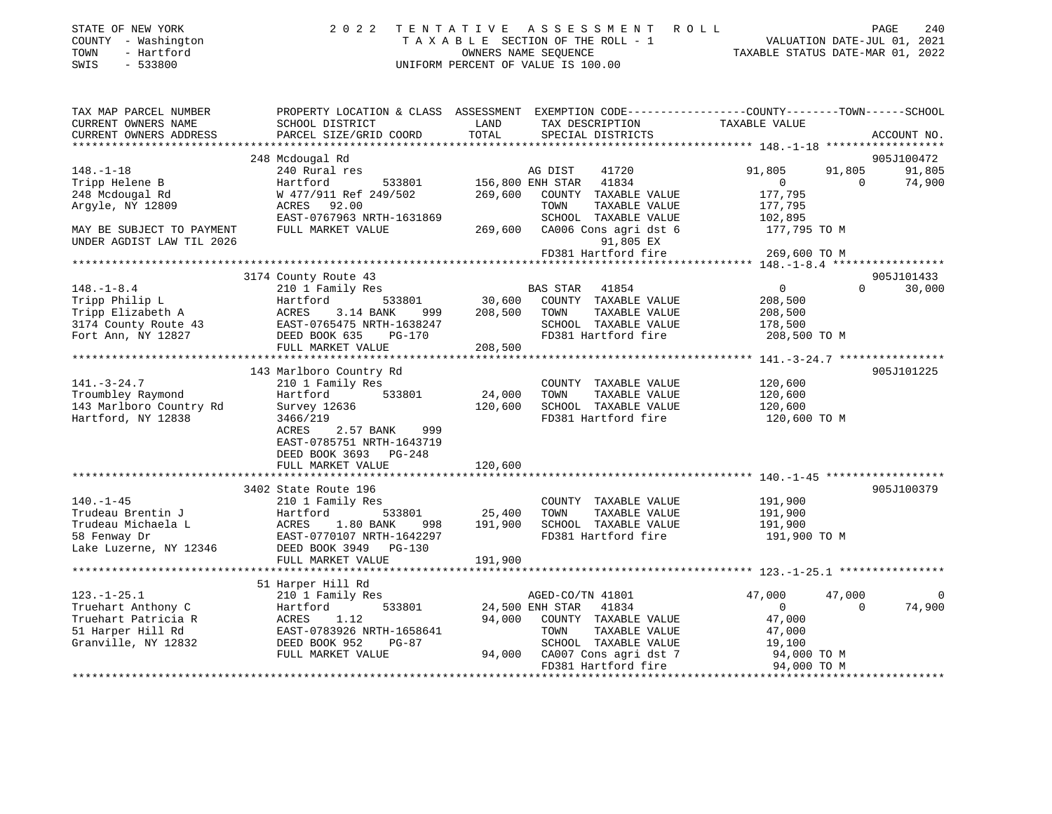| COUNTY - Washington<br>TOWN<br>- Hartford<br>SWIS<br>$-533800$ |                                                                                                                     |         | TAXABLE SECTION OF THE ROLL - 1<br>OWNERS NAME SEQUENCE<br>UNIFORM PERCENT OF VALUE IS 100.00 | VALUATION DATE-JUL 01, 2021<br>TAXABLE STATUS DATE-MAR 01, 2022 |                    |
|----------------------------------------------------------------|---------------------------------------------------------------------------------------------------------------------|---------|-----------------------------------------------------------------------------------------------|-----------------------------------------------------------------|--------------------|
| TAX MAP PARCEL NUMBER<br>CURRENT OWNERS NAME                   | PROPERTY LOCATION & CLASS ASSESSMENT EXEMPTION CODE----------------COUNTY-------TOWN------SCHOOL<br>SCHOOL DISTRICT | LAND    | TAX DESCRIPTION                                                                               | TAXABLE VALUE                                                   |                    |
| CURRENT OWNERS ADDRESS                                         | PARCEL SIZE/GRID COORD                                                                                              | TOTAL   | SPECIAL DISTRICTS                                                                             |                                                                 | ACCOUNT NO.        |
|                                                                |                                                                                                                     |         |                                                                                               |                                                                 |                    |
|                                                                | 248 Mcdougal Rd                                                                                                     |         |                                                                                               |                                                                 | 905J100472         |
| $148. - 1 - 18$                                                | 240 Rural res                                                                                                       |         | AG DIST<br>41720                                                                              | 91,805<br>91,805                                                | 91,805             |
| Tripp Helene B                                                 | 533801<br>Hartford                                                                                                  |         | 156,800 ENH STAR 41834                                                                        | $\overline{0}$<br>$\overline{0}$                                | 74,900             |
| 248 Mcdougal Rd                                                | W 477/911 Ref 249/502                                                                                               | 269,600 | COUNTY TAXABLE VALUE                                                                          | 177,795                                                         |                    |
| Argyle, NY 12809                                               | ACRES 92.00<br>EAST-0767963 NRTH-1631869                                                                            |         | TOWN<br>TAXABLE VALUE<br>SCHOOL TAXABLE VALUE                                                 | 177,795<br>102,895                                              |                    |
| MAY BE SUBJECT TO PAYMENT<br>UNDER AGDIST LAW TIL 2026         | FULL MARKET VALUE                                                                                                   |         | 269,600 CA006 Cons agri dst 6<br>91,805 EX                                                    | 177,795 TO M                                                    |                    |
|                                                                |                                                                                                                     |         | FD381 Hartford fire                                                                           | 269,600 TO M                                                    |                    |
|                                                                |                                                                                                                     |         |                                                                                               |                                                                 |                    |
|                                                                | 3174 County Route 43                                                                                                |         |                                                                                               |                                                                 | 905J101433         |
| $148. - 1 - 8.4$                                               | 210 1 Family Res                                                                                                    |         | BAS STAR 41854                                                                                | $\overline{0}$                                                  | 30,000<br>$\Omega$ |
| Tripp Philip L                                                 | 533801<br>Hartford                                                                                                  | 30,600  | COUNTY TAXABLE VALUE                                                                          | 208,500                                                         |                    |
| Tripp Elizabeth A                                              | ACRES<br>3.14 BANK<br>999                                                                                           | 208,500 | TOWN<br>TAXABLE VALUE                                                                         | 208,500                                                         |                    |
| 3174 County Route 43<br>Fort Ann. NY 12827                     | EAST-0765475 NRTH-1638247                                                                                           |         | SCHOOL TAXABLE VALUE                                                                          | 178,500                                                         |                    |
|                                                                | DEED BOOK 635<br>PG-170<br>FULL MARKET VALUE                                                                        | 208,500 | FD381 Hartford fire                                                                           | 208,500 TO M                                                    |                    |
|                                                                |                                                                                                                     |         |                                                                                               |                                                                 |                    |
|                                                                | 143 Marlboro Country Rd                                                                                             |         |                                                                                               |                                                                 | 905J101225         |
| $141. - 3 - 24.7$                                              | 210 1 Family Res                                                                                                    |         | COUNTY TAXABLE VALUE                                                                          | 120,600                                                         |                    |
| Troumbley Raymond                                              | 533801<br>Hartford                                                                                                  | 24,000  | TOWN<br>TAXABLE VALUE                                                                         | 120,600                                                         |                    |
| 143 Marlboro Country Rd                                        | Survey 12636                                                                                                        | 120,600 | SCHOOL TAXABLE VALUE                                                                          | 120,600                                                         |                    |
| Hartford, NY 12838                                             | 3466/219                                                                                                            |         | FD381 Hartford fire                                                                           | 120,600 TO M                                                    |                    |
|                                                                | 2.57 BANK<br>ACRES<br>999                                                                                           |         |                                                                                               |                                                                 |                    |
|                                                                | EAST-0785751 NRTH-1643719<br>DEED BOOK 3693 PG-248                                                                  |         |                                                                                               |                                                                 |                    |
|                                                                | FULL MARKET VALUE                                                                                                   | 120,600 |                                                                                               |                                                                 |                    |
|                                                                |                                                                                                                     |         |                                                                                               |                                                                 |                    |
|                                                                | 3402 State Route 196                                                                                                |         |                                                                                               |                                                                 | 905J100379         |
| $140. - 1 - 45$                                                | 210 1 Family Res                                                                                                    |         | COUNTY TAXABLE VALUE                                                                          | 191,900                                                         |                    |
| Trudeau Brentin J                                              | Hartford<br>533801                                                                                                  | 25,400  | TOWN<br>TAXABLE VALUE                                                                         | 191,900                                                         |                    |
| Trudeau Michaela L                                             | ACRES<br>1.80 BANK<br>998                                                                                           | 191,900 | SCHOOL TAXABLE VALUE                                                                          | 191,900                                                         |                    |
| 58 Fenway Dr                                                   | EAST-0770107 NRTH-1642297                                                                                           |         | FD381 Hartford fire                                                                           | 191,900 TO M                                                    |                    |
| Lake Luzerne, NY 12346                                         | DEED BOOK 3949 PG-130                                                                                               |         |                                                                                               |                                                                 |                    |
|                                                                | FULL MARKET VALUE                                                                                                   | 191,900 |                                                                                               |                                                                 |                    |
|                                                                | 51 Harper Hill Rd                                                                                                   |         |                                                                                               |                                                                 |                    |
| $123. - 1 - 25.1$                                              | 210 1 Family Res                                                                                                    |         | AGED-CO/TN 41801                                                                              | 47,000<br>47,000                                                | $\overline{0}$     |
| Truehart Anthony C                                             | Hartford<br>533801                                                                                                  |         | 24,500 ENH STAR 41834                                                                         | $\Omega$<br>$\Omega$                                            | 74,900             |
| Truehart Patricia R                                            | ACRES<br>1.12                                                                                                       | 94,000  | COUNTY TAXABLE VALUE                                                                          | 47,000                                                          |                    |
| 51 Harper Hill Rd                                              | EAST-0783926 NRTH-1658641                                                                                           |         | TOWN<br>TAXABLE VALUE                                                                         | 47,000                                                          |                    |
| Granville, NY 12832                                            | DEED BOOK 952<br>PG-87                                                                                              |         | SCHOOL TAXABLE VALUE                                                                          | 19,100                                                          |                    |
|                                                                | FULL MARKET VALUE                                                                                                   |         | 94,000 CA007 Cons agri dst 7                                                                  | 94,000 TO M                                                     |                    |
|                                                                |                                                                                                                     |         | FD381 Hartford fire                                                                           | 94,000 TO M                                                     |                    |

STATE OF NEW YORK 2022 TENTATIVE ASSESSMENT ROLL PAGE

240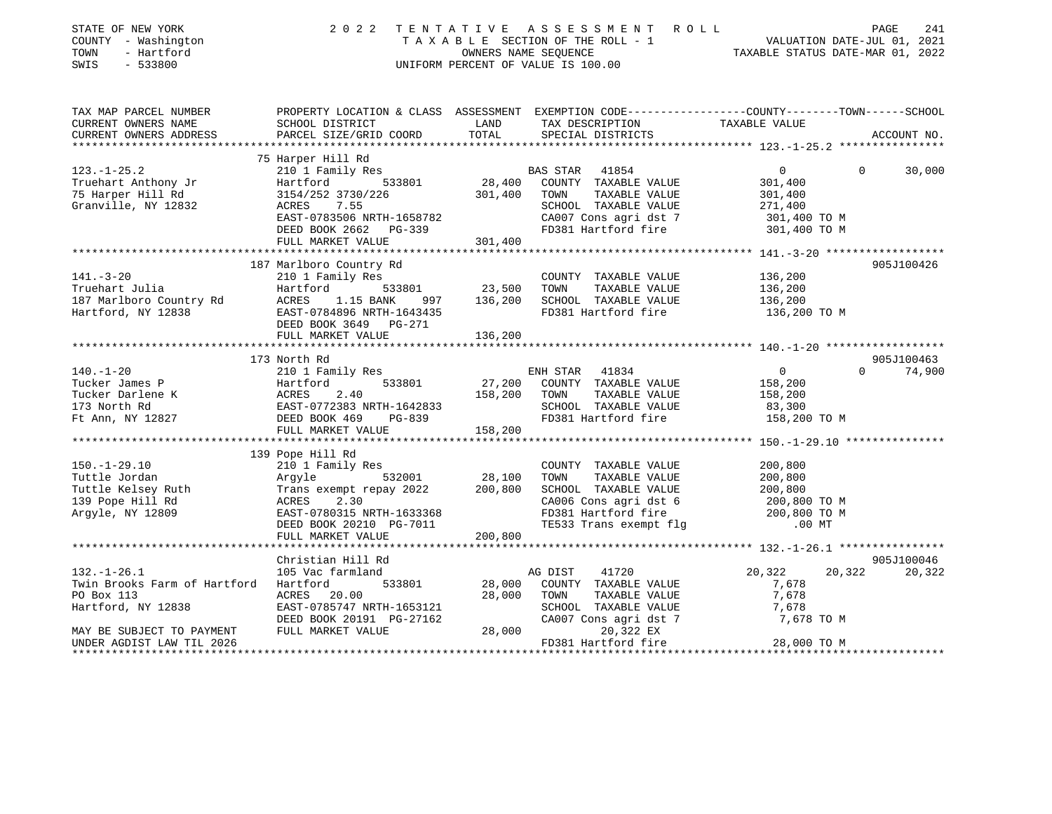| TAX MAP PARCEL NUMBER THE PROPERTY LOCATION & CLASS ASSESSMENT EXEMPTION CODE--------------COUNTY-------TOWN------SCHOOL<br>TAXABLE VALUE<br>CURRENT OWNERS NAME<br>SCHOOL DISTRICT<br>LAND TAX DESCRIPTION<br>PARCEL SIZE/GRID COORD<br>TOTAL<br>CURRENT OWNERS ADDRESS<br>SPECIAL DISTRICTS<br>75 Harper Hill Rd<br>$123. - 1 - 25.2$<br>210 1 Family Res<br>BAS STAR 41854<br>$\overline{0}$<br>$\Omega$<br>301,400<br>TAXABLE VALUE 301,400<br>TAXABLE VALUE 301,400<br>271,400<br>FULL MARKET VALUE<br>301,400<br>187 Marlboro Country Rd<br>905J100426<br>141.-3-20<br>Truehart Julia Hartford 210 1 Family Res<br>187 Marlboro Country Rd<br>187 Marlboro Country Rd<br>187 Marlboro Country Rd<br>187 Marlboro Country Rd<br>187 Marlboro Country Rd<br>187 Marlboro Country Rd<br>187 Marlboro Countr<br>$\begin{tabular}{lllllllllll} \multicolumn{2}{c}{\textbf{COUNTY}} & \textbf{TAXABLE VALUE} & & & 136,200 \\ \multicolumn{2}{c}{\textbf{TOWN}} & \textbf{TAXABLE VALUE} & & 136,200 \\ \multicolumn{2}{c}{\textbf{SCHOOD}} & \textbf{TAXABLE VALUE} & & 136,200 \\ \multicolumn{2}{c}{\textbf{SCHOOL}} & \textbf{TAXABLE VALUE} & & 136,200 \\ \end{tabular}$<br>FD381 Hartford fire 136,200 TO M | ACCOUNT NO.<br>30,000 |
|--------------------------------------------------------------------------------------------------------------------------------------------------------------------------------------------------------------------------------------------------------------------------------------------------------------------------------------------------------------------------------------------------------------------------------------------------------------------------------------------------------------------------------------------------------------------------------------------------------------------------------------------------------------------------------------------------------------------------------------------------------------------------------------------------------------------------------------------------------------------------------------------------------------------------------------------------------------------------------------------------------------------------------------------------------------------------------------------------------------------------------------------------------------------------------------------------------------------|-----------------------|
|                                                                                                                                                                                                                                                                                                                                                                                                                                                                                                                                                                                                                                                                                                                                                                                                                                                                                                                                                                                                                                                                                                                                                                                                                    |                       |
|                                                                                                                                                                                                                                                                                                                                                                                                                                                                                                                                                                                                                                                                                                                                                                                                                                                                                                                                                                                                                                                                                                                                                                                                                    |                       |
|                                                                                                                                                                                                                                                                                                                                                                                                                                                                                                                                                                                                                                                                                                                                                                                                                                                                                                                                                                                                                                                                                                                                                                                                                    |                       |
|                                                                                                                                                                                                                                                                                                                                                                                                                                                                                                                                                                                                                                                                                                                                                                                                                                                                                                                                                                                                                                                                                                                                                                                                                    |                       |
|                                                                                                                                                                                                                                                                                                                                                                                                                                                                                                                                                                                                                                                                                                                                                                                                                                                                                                                                                                                                                                                                                                                                                                                                                    |                       |
|                                                                                                                                                                                                                                                                                                                                                                                                                                                                                                                                                                                                                                                                                                                                                                                                                                                                                                                                                                                                                                                                                                                                                                                                                    |                       |
|                                                                                                                                                                                                                                                                                                                                                                                                                                                                                                                                                                                                                                                                                                                                                                                                                                                                                                                                                                                                                                                                                                                                                                                                                    |                       |
|                                                                                                                                                                                                                                                                                                                                                                                                                                                                                                                                                                                                                                                                                                                                                                                                                                                                                                                                                                                                                                                                                                                                                                                                                    |                       |
|                                                                                                                                                                                                                                                                                                                                                                                                                                                                                                                                                                                                                                                                                                                                                                                                                                                                                                                                                                                                                                                                                                                                                                                                                    |                       |
|                                                                                                                                                                                                                                                                                                                                                                                                                                                                                                                                                                                                                                                                                                                                                                                                                                                                                                                                                                                                                                                                                                                                                                                                                    |                       |
|                                                                                                                                                                                                                                                                                                                                                                                                                                                                                                                                                                                                                                                                                                                                                                                                                                                                                                                                                                                                                                                                                                                                                                                                                    |                       |
|                                                                                                                                                                                                                                                                                                                                                                                                                                                                                                                                                                                                                                                                                                                                                                                                                                                                                                                                                                                                                                                                                                                                                                                                                    |                       |
|                                                                                                                                                                                                                                                                                                                                                                                                                                                                                                                                                                                                                                                                                                                                                                                                                                                                                                                                                                                                                                                                                                                                                                                                                    |                       |
|                                                                                                                                                                                                                                                                                                                                                                                                                                                                                                                                                                                                                                                                                                                                                                                                                                                                                                                                                                                                                                                                                                                                                                                                                    |                       |
|                                                                                                                                                                                                                                                                                                                                                                                                                                                                                                                                                                                                                                                                                                                                                                                                                                                                                                                                                                                                                                                                                                                                                                                                                    |                       |
|                                                                                                                                                                                                                                                                                                                                                                                                                                                                                                                                                                                                                                                                                                                                                                                                                                                                                                                                                                                                                                                                                                                                                                                                                    |                       |
|                                                                                                                                                                                                                                                                                                                                                                                                                                                                                                                                                                                                                                                                                                                                                                                                                                                                                                                                                                                                                                                                                                                                                                                                                    |                       |
|                                                                                                                                                                                                                                                                                                                                                                                                                                                                                                                                                                                                                                                                                                                                                                                                                                                                                                                                                                                                                                                                                                                                                                                                                    |                       |
| FULL MARKET VALUE 136,200                                                                                                                                                                                                                                                                                                                                                                                                                                                                                                                                                                                                                                                                                                                                                                                                                                                                                                                                                                                                                                                                                                                                                                                          |                       |
|                                                                                                                                                                                                                                                                                                                                                                                                                                                                                                                                                                                                                                                                                                                                                                                                                                                                                                                                                                                                                                                                                                                                                                                                                    |                       |
| 173 North Rd                                                                                                                                                                                                                                                                                                                                                                                                                                                                                                                                                                                                                                                                                                                                                                                                                                                                                                                                                                                                                                                                                                                                                                                                       | 905J100463            |
| $\begin{array}{c} 0 \\ 158,200 \end{array}$<br>$0 \t 74,900$                                                                                                                                                                                                                                                                                                                                                                                                                                                                                                                                                                                                                                                                                                                                                                                                                                                                                                                                                                                                                                                                                                                                                       |                       |
|                                                                                                                                                                                                                                                                                                                                                                                                                                                                                                                                                                                                                                                                                                                                                                                                                                                                                                                                                                                                                                                                                                                                                                                                                    |                       |
| 158,200<br>83,300                                                                                                                                                                                                                                                                                                                                                                                                                                                                                                                                                                                                                                                                                                                                                                                                                                                                                                                                                                                                                                                                                                                                                                                                  |                       |
|                                                                                                                                                                                                                                                                                                                                                                                                                                                                                                                                                                                                                                                                                                                                                                                                                                                                                                                                                                                                                                                                                                                                                                                                                    |                       |
| 140.-1-20<br>Tucker James P<br>Tucker Darlene K<br>Tucker Darlene K<br>173 North Rd<br>27,200 COUNTY TAXABLE VALUE<br>Tucker Darlene K<br>27,200 COUNTY TAXABLE VALUE<br>158,200 TOWN TAXABLE VALUE<br>27,200 COUNTY TAXABLE VALUE<br>158,200 TOW<br>158,200 TO M                                                                                                                                                                                                                                                                                                                                                                                                                                                                                                                                                                                                                                                                                                                                                                                                                                                                                                                                                  |                       |
| FULL MARKET VALUE<br>158,200                                                                                                                                                                                                                                                                                                                                                                                                                                                                                                                                                                                                                                                                                                                                                                                                                                                                                                                                                                                                                                                                                                                                                                                       |                       |
|                                                                                                                                                                                                                                                                                                                                                                                                                                                                                                                                                                                                                                                                                                                                                                                                                                                                                                                                                                                                                                                                                                                                                                                                                    |                       |
| 139 Pope Hill Rd                                                                                                                                                                                                                                                                                                                                                                                                                                                                                                                                                                                                                                                                                                                                                                                                                                                                                                                                                                                                                                                                                                                                                                                                   |                       |
|                                                                                                                                                                                                                                                                                                                                                                                                                                                                                                                                                                                                                                                                                                                                                                                                                                                                                                                                                                                                                                                                                                                                                                                                                    |                       |
|                                                                                                                                                                                                                                                                                                                                                                                                                                                                                                                                                                                                                                                                                                                                                                                                                                                                                                                                                                                                                                                                                                                                                                                                                    |                       |
|                                                                                                                                                                                                                                                                                                                                                                                                                                                                                                                                                                                                                                                                                                                                                                                                                                                                                                                                                                                                                                                                                                                                                                                                                    |                       |
|                                                                                                                                                                                                                                                                                                                                                                                                                                                                                                                                                                                                                                                                                                                                                                                                                                                                                                                                                                                                                                                                                                                                                                                                                    |                       |
|                                                                                                                                                                                                                                                                                                                                                                                                                                                                                                                                                                                                                                                                                                                                                                                                                                                                                                                                                                                                                                                                                                                                                                                                                    |                       |
| 130.-1-29.10<br>Tuttle Jordan 200 200 201 Fmily Res<br>Tuttle Gordan Argyle Frans exempt repay 2022<br>Tuttle Kelsey Ruth Trans exempt repay 2022<br>200,800 SCHOOL TAXABLE VALUE 200,800<br>139 Pope Hill Rd RCRES 2.30<br>Argyle, NY 12                                                                                                                                                                                                                                                                                                                                                                                                                                                                                                                                                                                                                                                                                                                                                                                                                                                                                                                                                                          |                       |
|                                                                                                                                                                                                                                                                                                                                                                                                                                                                                                                                                                                                                                                                                                                                                                                                                                                                                                                                                                                                                                                                                                                                                                                                                    |                       |
| Christian Hill Rd                                                                                                                                                                                                                                                                                                                                                                                                                                                                                                                                                                                                                                                                                                                                                                                                                                                                                                                                                                                                                                                                                                                                                                                                  | 905J100046            |
| $132. - 1 - 26.1$<br>20,322<br>20,322 20,322<br>105 Vac farmland<br>AG DIST<br>41720                                                                                                                                                                                                                                                                                                                                                                                                                                                                                                                                                                                                                                                                                                                                                                                                                                                                                                                                                                                                                                                                                                                               |                       |
| 533801<br>Twin Brooks Farm of Hartford Hartford<br>28,000 COUNTY TAXABLE VALUE<br>7,678                                                                                                                                                                                                                                                                                                                                                                                                                                                                                                                                                                                                                                                                                                                                                                                                                                                                                                                                                                                                                                                                                                                            |                       |
| 28,000 TOWN<br>PO Box 113<br>ACRES 20.00<br>TAXABLE VALUE<br>7,678                                                                                                                                                                                                                                                                                                                                                                                                                                                                                                                                                                                                                                                                                                                                                                                                                                                                                                                                                                                                                                                                                                                                                 |                       |
| EAST-0785747 NRTH-1653121<br>Hartford, NY 12838                                                                                                                                                                                                                                                                                                                                                                                                                                                                                                                                                                                                                                                                                                                                                                                                                                                                                                                                                                                                                                                                                                                                                                    |                       |
| SCHOOL TAXABLE VALUE 7,678<br>CA007 Cons agri dst 7 7,677<br>DEED BOOK 20191 PG-27162<br>7,678 TO M                                                                                                                                                                                                                                                                                                                                                                                                                                                                                                                                                                                                                                                                                                                                                                                                                                                                                                                                                                                                                                                                                                                |                       |
| 28,000<br>FULL MARKET VALUE<br>20,322 EX<br>MAY BE SUBJECT TO PAYMENT                                                                                                                                                                                                                                                                                                                                                                                                                                                                                                                                                                                                                                                                                                                                                                                                                                                                                                                                                                                                                                                                                                                                              |                       |
| FD381 Hartford fire<br>28,000 TO M<br>UNDER AGDIST LAW TIL 2026                                                                                                                                                                                                                                                                                                                                                                                                                                                                                                                                                                                                                                                                                                                                                                                                                                                                                                                                                                                                                                                                                                                                                    |                       |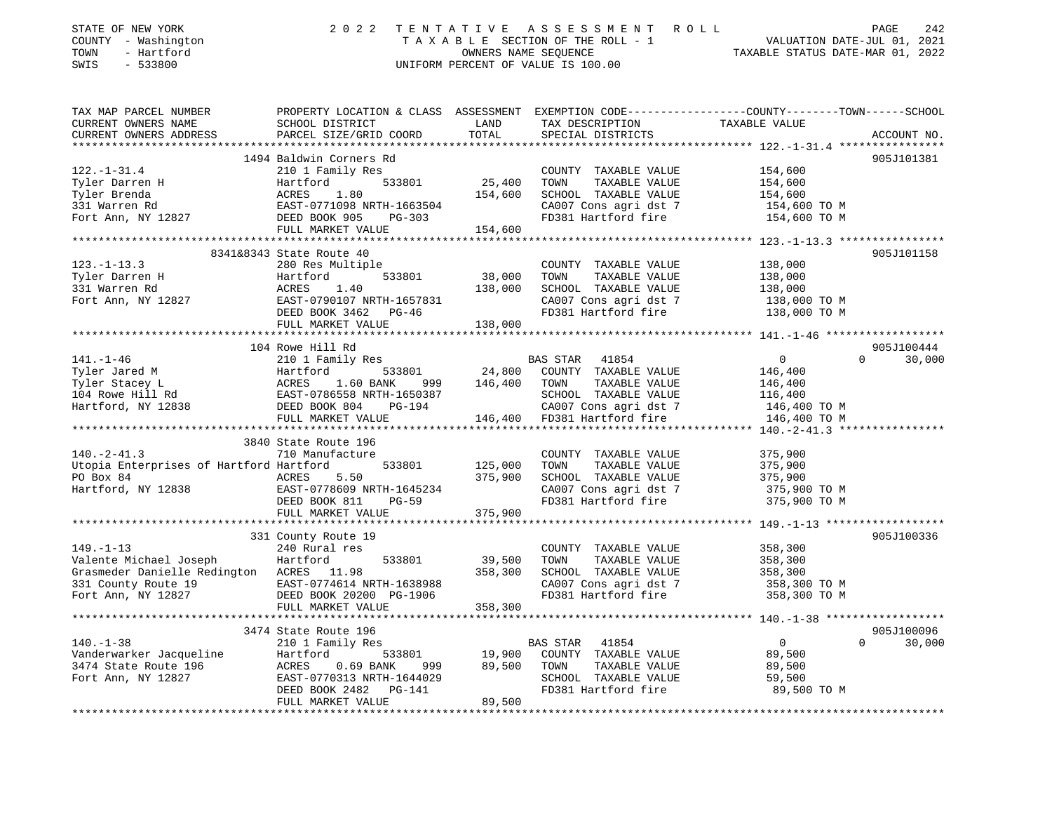| STATE OF NEW YORK<br>COUNTY - Washington<br>TOWN<br>- Hartford<br>SWIS<br>$-533800$                                                                                                                                                                                    | 2 0 2 2                                                                                                      |                                      | TENTATIVE ASSESSMENT ROLL<br>TAXABLE SECTION OF THE ROLL - 1<br>OWNERS NAME SEQUENCE TO A CONNERT CONNERT OF THE ROLL - 1<br>TAXABLE STATUS DATE-MAR 01, 2022<br>UNIFORM PERCENT OF VALUE IS 100.00 |                                                                        | PAGE<br>242                      |
|------------------------------------------------------------------------------------------------------------------------------------------------------------------------------------------------------------------------------------------------------------------------|--------------------------------------------------------------------------------------------------------------|--------------------------------------|-----------------------------------------------------------------------------------------------------------------------------------------------------------------------------------------------------|------------------------------------------------------------------------|----------------------------------|
| TAX MAP PARCEL NUMBER                                                                                                                                                                                                                                                  | PROPERTY LOCATION & CLASS ASSESSMENT EXEMPTION CODE----------------COUNTY-------TOWN-----SCHOOL              |                                      |                                                                                                                                                                                                     |                                                                        |                                  |
| CURRENT OWNERS NAME<br>CURRENT OWNERS ADDRESS                                                                                                                                                                                                                          | SCHOOL DISTRICT<br>PARCEL SIZE/GRID COORD                                                                    | LAND<br>TOTAL                        | TAX DESCRIPTION TAXABLE VALUE<br>SPECIAL DISTRICTS<br>SPECIAL DISTRICTS                                                                                                                             |                                                                        | ACCOUNT NO.                      |
|                                                                                                                                                                                                                                                                        | 1494 Baldwin Corners Rd                                                                                      |                                      |                                                                                                                                                                                                     |                                                                        | 905J101381                       |
| $122. - 1 - 31.4$                                                                                                                                                                                                                                                      | 210 1 Family Res                                                                                             |                                      | COUNTY TAXABLE VALUE                                                                                                                                                                                | 154,600                                                                |                                  |
|                                                                                                                                                                                                                                                                        |                                                                                                              | 25,400                               | TOWN<br>TAXABLE VALUE                                                                                                                                                                               | 154,600                                                                |                                  |
|                                                                                                                                                                                                                                                                        |                                                                                                              | 154,600                              | SCHOOL TAXABLE VALUE                                                                                                                                                                                | 154,600                                                                |                                  |
|                                                                                                                                                                                                                                                                        |                                                                                                              |                                      |                                                                                                                                                                                                     | 154,600 TO M                                                           |                                  |
|                                                                                                                                                                                                                                                                        |                                                                                                              |                                      | CA007 Cons agri dst 7<br>FD381 Hartford fire                                                                                                                                                        | 154,600 TO M                                                           |                                  |
|                                                                                                                                                                                                                                                                        | FULL MARKET VALUE                                                                                            | 154,600                              |                                                                                                                                                                                                     |                                                                        |                                  |
|                                                                                                                                                                                                                                                                        |                                                                                                              |                                      |                                                                                                                                                                                                     |                                                                        |                                  |
|                                                                                                                                                                                                                                                                        | 8341&8343 State Route 40                                                                                     |                                      |                                                                                                                                                                                                     |                                                                        | 905J101158                       |
| $123. - 1 - 13.3$                                                                                                                                                                                                                                                      | 280 Res Multiple                                                                                             |                                      | COUNTY TAXABLE VALUE                                                                                                                                                                                | 138,000                                                                |                                  |
| Tyler Darren H                                                                                                                                                                                                                                                         | Accord 533801 38,000<br>ACRES 1.40 138,000<br>EAST-0790107 NRTH-1657831 138,000                              | 533801 38,000                        | TOWN<br>TAXABLE VALUE                                                                                                                                                                               | 138,000                                                                |                                  |
| 331 Warren Rd                                                                                                                                                                                                                                                          |                                                                                                              | 138,000                              | SCHOOL TAXABLE VALUE                                                                                                                                                                                | 138,000                                                                |                                  |
| Fort Ann, NY 12827                                                                                                                                                                                                                                                     |                                                                                                              |                                      | CA007 Cons agri dst 7                                                                                                                                                                               | CA007 Cons agri dst 7 138,000 TO M<br>FD381 Hartford fire 138,000 TO M |                                  |
|                                                                                                                                                                                                                                                                        |                                                                                                              |                                      |                                                                                                                                                                                                     |                                                                        |                                  |
|                                                                                                                                                                                                                                                                        | FULL MARKET VALUE                                                                                            | 138,000                              |                                                                                                                                                                                                     |                                                                        |                                  |
|                                                                                                                                                                                                                                                                        |                                                                                                              |                                      |                                                                                                                                                                                                     |                                                                        |                                  |
|                                                                                                                                                                                                                                                                        | 104 Rowe Hill Rd                                                                                             |                                      |                                                                                                                                                                                                     |                                                                        | 905J100444                       |
| $141. - 1 - 46$                                                                                                                                                                                                                                                        | 210 1 Family Res                                                                                             |                                      | BAS STAR 41854<br>$24,800$ COUNTY TAXABLE VALUE                                                                                                                                                     | $\overline{0}$<br>146,400                                              | $\Omega$<br>30,000               |
|                                                                                                                                                                                                                                                                        | 1.60 BANK 999 146,400 TOWN                                                                                   |                                      | TAXABLE VALUE                                                                                                                                                                                       | 146,400                                                                |                                  |
| Tyler Jared M<br>Tyler Stacey L<br>104 Rowe Hill Rd<br>Hartford, NY 12838<br>24,800<br>24,800<br>24,800<br>24,800<br>24,800<br>24,800<br>24,800<br>24,800<br>24,800<br>24,800<br>24,800<br>24,800<br>24,800<br>24,400<br>24,400<br>25D BGBD BGBD BGBD BGBD PG-194<br>P |                                                                                                              |                                      | SCHOOL TAXABLE VALUE                                                                                                                                                                                |                                                                        |                                  |
|                                                                                                                                                                                                                                                                        |                                                                                                              |                                      | CA007 Cons agri dst 7                                                                                                                                                                               | 116,400<br>146,400 TO M                                                |                                  |
|                                                                                                                                                                                                                                                                        | FULL MARKET VALUE                                                                                            |                                      | 146,400 FD381 Hartford fire                                                                                                                                                                         | 146,400 TO M                                                           |                                  |
|                                                                                                                                                                                                                                                                        |                                                                                                              |                                      |                                                                                                                                                                                                     |                                                                        |                                  |
|                                                                                                                                                                                                                                                                        | 3840 State Route 196                                                                                         |                                      |                                                                                                                                                                                                     |                                                                        |                                  |
| $140. -2 - 41.3$                                                                                                                                                                                                                                                       | 710 Manufacture                                                                                              |                                      | COUNTY TAXABLE VALUE                                                                                                                                                                                | 375,900                                                                |                                  |
| Utopia Enterprises of Hartford Hartford                                                                                                                                                                                                                                |                                                                                                              |                                      | TOWN<br>TAXABLE VALUE                                                                                                                                                                               | 375,900                                                                |                                  |
| PO Box 84                                                                                                                                                                                                                                                              | ACRES<br>5.50                                                                                                | 533801 125,000<br>375,900<br>375,900 | SCHOOL TAXABLE VALUE                                                                                                                                                                                | 375,900                                                                |                                  |
| FO BOA 0.<br>Hartford, NY 12838 EAST-0778609 NRTH-1645234                                                                                                                                                                                                              |                                                                                                              |                                      | CA007 Cons agri dst 7                                                                                                                                                                               | 375,900 TO M                                                           |                                  |
|                                                                                                                                                                                                                                                                        | DEED BOOK 811<br><b>PG-59</b>                                                                                |                                      | FD381 Hartford fire                                                                                                                                                                                 | 375,900 TO M                                                           |                                  |
|                                                                                                                                                                                                                                                                        | FULL MARKET VALUE                                                                                            | 375,900                              |                                                                                                                                                                                                     |                                                                        |                                  |
|                                                                                                                                                                                                                                                                        |                                                                                                              |                                      |                                                                                                                                                                                                     |                                                                        |                                  |
|                                                                                                                                                                                                                                                                        | 331 County Route 19                                                                                          |                                      |                                                                                                                                                                                                     |                                                                        | 905J100336                       |
| $149. - 1 - 13$                                                                                                                                                                                                                                                        | 240 Rural res                                                                                                |                                      | COUNTY TAXABLE VALUE                                                                                                                                                                                | 358,300                                                                |                                  |
| Valente Michael Joseph                                                                                                                                                                                                                                                 | 533801<br>Hartford                                                                                           | 39,500                               | TOWN<br>TAXABLE VALUE                                                                                                                                                                               | 358,300                                                                |                                  |
| Grasmeder Danielle Redington ACRES 11.98                                                                                                                                                                                                                               |                                                                                                              | 358,300                              | SCHOOL TAXABLE VALUE                                                                                                                                                                                | 358,300                                                                |                                  |
| 331 County Route 19                                                                                                                                                                                                                                                    | EAST-0774614 NRTH-1638980<br>DEED BOOK 20200 PG-1906<br>EAST-0774614 NRTH-1638988<br>DEED BOOK 20200 PG-1906 |                                      | CA007 Cons agri dst 7                                                                                                                                                                               | 358,300 TO M                                                           |                                  |
| Fort Ann, NY 12827                                                                                                                                                                                                                                                     |                                                                                                              |                                      | FD381 Hartford fire                                                                                                                                                                                 | 358,300 TO M                                                           |                                  |
|                                                                                                                                                                                                                                                                        | FULL MARKET VALUE                                                                                            | 358,300                              |                                                                                                                                                                                                     |                                                                        |                                  |
|                                                                                                                                                                                                                                                                        |                                                                                                              |                                      |                                                                                                                                                                                                     |                                                                        |                                  |
| $140. - 1 - 38$                                                                                                                                                                                                                                                        | 3474 State Route 196<br>210 1 Family Res                                                                     |                                      |                                                                                                                                                                                                     | $\overline{0}$                                                         | 905J100096<br>$\Omega$<br>30,000 |
|                                                                                                                                                                                                                                                                        | Hartford                                                                                                     |                                      | BAS STAR 41854<br>COUNTY TAXABLE VALUE                                                                                                                                                              |                                                                        |                                  |
| Vanderwarker Jacqueline<br>3474 State Route 196                                                                                                                                                                                                                        | ACRES<br>0.69 BANK                                                                                           |                                      | TOWN<br>TAXABLE VALUE                                                                                                                                                                               | 89,500<br>89,500                                                       |                                  |
| Fort Ann, NY 12827                                                                                                                                                                                                                                                     | EAST-0770313 NRTH-1644029                                                                                    |                                      | SCHOOL TAXABLE VALUE                                                                                                                                                                                | 59,500                                                                 |                                  |
|                                                                                                                                                                                                                                                                        | DEED BOOK 2482<br>PG-141                                                                                     |                                      | FD381 Hartford fire                                                                                                                                                                                 | 89,500 TO M                                                            |                                  |
|                                                                                                                                                                                                                                                                        | FULL MARKET VALUE                                                                                            | 89,500                               |                                                                                                                                                                                                     |                                                                        |                                  |
|                                                                                                                                                                                                                                                                        |                                                                                                              |                                      |                                                                                                                                                                                                     |                                                                        |                                  |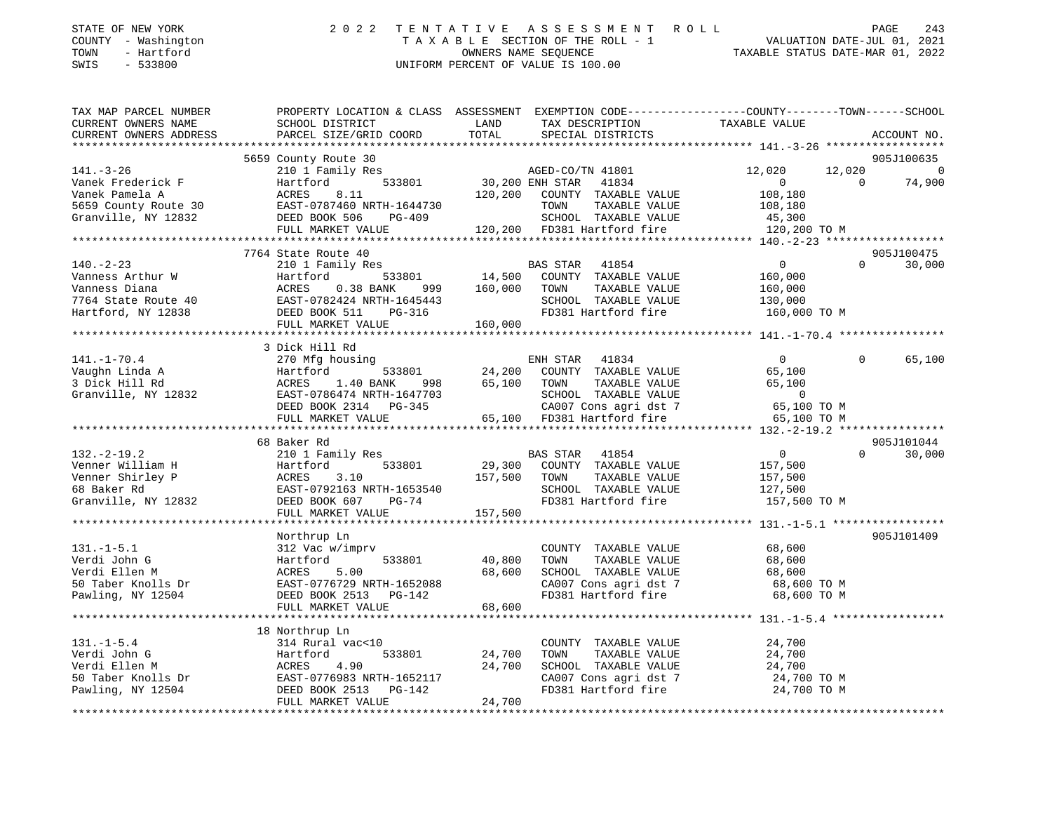| STATE OF NEW YORK   | 2022 TENTATIVE ASSESSMENT ROLL     | 243<br>PAGE                      |
|---------------------|------------------------------------|----------------------------------|
| COUNTY - Washington | TAXABLE SECTION OF THE ROLL - 1    | VALUATION DATE-JUL 01, 2021      |
| TOWN<br>- Hartford  | OWNERS NAME SEOUENCE               | TAXABLE STATUS DATE-MAR 01, 2022 |
| $-533800$<br>SWIS   | UNIFORM PERCENT OF VALUE IS 100.00 |                                  |

| TAX MAP PARCEL NUMBER<br>CURRENT OWNERS NAME                                                                                                                                                                                           | PROPERTY LOCATION & CLASS ASSESSMENT EXEMPTION CODE---------------COUNTY-------TOWN-----SCHOOL<br>SCHOOL DISTRICT                                                                                                                        | LAND         | TAX DESCRIPTION                                                                                                              | TAXABLE VALUE               |                          |
|----------------------------------------------------------------------------------------------------------------------------------------------------------------------------------------------------------------------------------------|------------------------------------------------------------------------------------------------------------------------------------------------------------------------------------------------------------------------------------------|--------------|------------------------------------------------------------------------------------------------------------------------------|-----------------------------|--------------------------|
| CURRENT OWNERS ADDRESS                                                                                                                                                                                                                 | PARCEL SIZE/GRID COORD                                                                                                                                                                                                                   | TOTAL        | SPECIAL DISTRICTS                                                                                                            |                             | ACCOUNT NO.              |
|                                                                                                                                                                                                                                        |                                                                                                                                                                                                                                          |              |                                                                                                                              |                             |                          |
|                                                                                                                                                                                                                                        | 5659 County Route 30                                                                                                                                                                                                                     |              |                                                                                                                              |                             | 905J100635               |
| $141. - 3 - 26$                                                                                                                                                                                                                        |                                                                                                                                                                                                                                          |              |                                                                                                                              | 12,020<br>12,020            | $\overline{0}$           |
| Vanek Frederick F                                                                                                                                                                                                                      | $\begin{tabular}{lllllllll} \bf 210 & I\ \bf Family\ Res & \tt AGED-CO/TN & 41801 \\ \tt Hartford & \tt 533801 & \tt 30,200 \ ENH \ STAR & \tt 41834 \\ \end{tabular}$                                                                   |              |                                                                                                                              | $\overline{0}$<br>$\bigcap$ | 74,900                   |
| Vanek Pamela A                                                                                                                                                                                                                         | 8.11<br>ACRES                                                                                                                                                                                                                            |              | 120,200 COUNTY TAXABLE VALUE                                                                                                 | 108,180                     |                          |
|                                                                                                                                                                                                                                        |                                                                                                                                                                                                                                          |              | TOWN<br>TAXABLE VALUE                                                                                                        | 108,180                     |                          |
|                                                                                                                                                                                                                                        |                                                                                                                                                                                                                                          |              |                                                                                                                              |                             |                          |
|                                                                                                                                                                                                                                        | FULL MARKET VALUE                                                                                                                                                                                                                        |              | 3-409 SCHOOL TAXABLE VALUE 45,300<br>120,200 FD381 Hartford fire 120,200 TO M                                                |                             |                          |
|                                                                                                                                                                                                                                        |                                                                                                                                                                                                                                          |              |                                                                                                                              |                             |                          |
|                                                                                                                                                                                                                                        | 7764 State Route 40                                                                                                                                                                                                                      |              |                                                                                                                              |                             | 905J100475               |
| $140. - 2 - 23$                                                                                                                                                                                                                        | 210 1 Family Res                                                                                                                                                                                                                         |              | BAS STAR 41854                                                                                                               | $\overline{0}$              | $\Omega$<br>30,000       |
|                                                                                                                                                                                                                                        |                                                                                                                                                                                                                                          |              | -<br>533801               14,500    COUNTY    TAXABLE VALUE<br>NNK         999         160,000      TOWN       TAXABLE VALUE | 160,000                     |                          |
|                                                                                                                                                                                                                                        |                                                                                                                                                                                                                                          |              |                                                                                                                              | 160,000                     |                          |
|                                                                                                                                                                                                                                        |                                                                                                                                                                                                                                          |              |                                                                                                                              |                             |                          |
|                                                                                                                                                                                                                                        |                                                                                                                                                                                                                                          |              |                                                                                                                              |                             |                          |
| Vanness Arthur W (140.-2-2.)<br>Vanness Arthur W (14,500)<br>Vanness Diana (160.000)<br>7764 State Route 40 (169.511 1645443)<br>Hartford, NY 12838 (160.000 FULL MARKET VALUE (160.000 160.000 160.000 160.000 160.000 160.000 160.00 |                                                                                                                                                                                                                                          |              |                                                                                                                              |                             |                          |
|                                                                                                                                                                                                                                        |                                                                                                                                                                                                                                          |              |                                                                                                                              |                             |                          |
|                                                                                                                                                                                                                                        | 3 Dick Hill Rd                                                                                                                                                                                                                           |              |                                                                                                                              |                             |                          |
| $141. - 1 - 70.4$                                                                                                                                                                                                                      |                                                                                                                                                                                                                                          |              |                                                                                                                              | $\overline{0}$              | 65,100<br>$\overline{0}$ |
|                                                                                                                                                                                                                                        |                                                                                                                                                                                                                                          |              |                                                                                                                              | 65,100                      |                          |
|                                                                                                                                                                                                                                        |                                                                                                                                                                                                                                          |              |                                                                                                                              | 65,100                      |                          |
| 141.-1-70.4<br>Vaughn Linda A<br>3 Dick Hill Rd<br>Granville, NY 12832                                                                                                                                                                 |                                                                                                                                                                                                                                          |              |                                                                                                                              | $\overline{0}$              |                          |
|                                                                                                                                                                                                                                        |                                                                                                                                                                                                                                          |              |                                                                                                                              | 65,100 TO M                 |                          |
|                                                                                                                                                                                                                                        | 270 Mfg housing<br>Hartford 533801 24,200 COUNTY TAXABLE VALUE<br>ACRES 1.40 BANK 998 65,100 TOWN TAXABLE VALUE<br>EAST-0786474 NRTH-1647703 SCHOOL TAXABLE VALUE<br>DEED BOOK 2314 PG-345 65,100 FD381 Hartford fire<br>FULL MARKET VAL |              |                                                                                                                              | 65,100 TO M                 |                          |
|                                                                                                                                                                                                                                        |                                                                                                                                                                                                                                          |              |                                                                                                                              |                             |                          |
|                                                                                                                                                                                                                                        | 68 Baker Rd                                                                                                                                                                                                                              |              |                                                                                                                              |                             | 905J101044               |
| $132. -2 - 19.2$                                                                                                                                                                                                                       | 210 1 Family Res                                                                                                                                                                                                                         |              | BAS STAR 41854                                                                                                               | $\overline{0}$              | $\Omega$<br>30,000       |
|                                                                                                                                                                                                                                        |                                                                                                                                                                                                                                          |              | 533801 29,300 COUNTY TAXABLE VALUE                                                                                           | 157,500                     |                          |
|                                                                                                                                                                                                                                        |                                                                                                                                                                                                                                          | 157,500 TOWN | TAXABLE VALUE                                                                                                                | 157,500                     |                          |
|                                                                                                                                                                                                                                        |                                                                                                                                                                                                                                          |              |                                                                                                                              |                             |                          |
| Venner William H<br>Venner Shirley P<br>68 Baker Rd<br>Granville, NY 12832<br>CEED BOOK 607 PG-74                                                                                                                                      |                                                                                                                                                                                                                                          |              | SCHOOL TAXABLE VALUE 127,500<br>FD381 Hartford fire 157,500 TO M                                                             |                             |                          |
|                                                                                                                                                                                                                                        | FULL MARKET VALUE                                                                                                                                                                                                                        | 157,500      |                                                                                                                              |                             |                          |
|                                                                                                                                                                                                                                        |                                                                                                                                                                                                                                          |              |                                                                                                                              |                             |                          |
|                                                                                                                                                                                                                                        | Northrup Ln                                                                                                                                                                                                                              |              |                                                                                                                              |                             | 905J101409               |
| $131. - 1 - 5.1$                                                                                                                                                                                                                       | 312 Vac w/imprv                                                                                                                                                                                                                          |              | COUNTY TAXABLE VALUE 68,600                                                                                                  |                             |                          |
| Verdi John G                                                                                                                                                                                                                           | 533801<br>Hartford                                                                                                                                                                                                                       | 40,800       | TOWN<br>TAXABLE VALUE                                                                                                        | 68,600                      |                          |
| Verdi Ellen M                                                                                                                                                                                                                          | 5.00<br>ACRES                                                                                                                                                                                                                            | 68,600       | SCHOOL TAXABLE VALUE 68,600                                                                                                  |                             |                          |
| 50 Taber Knolls Dr                                                                                                                                                                                                                     | EAST-0776729 NRTH-1652088                                                                                                                                                                                                                |              | CA007 Cons agri dst 7<br>FD381 Hartford fire                                                                                 | 68,600 TO M                 |                          |
| Pawling, NY 12504                                                                                                                                                                                                                      | DEED BOOK 2513 PG-142                                                                                                                                                                                                                    |              |                                                                                                                              | 68,600 TO M                 |                          |
|                                                                                                                                                                                                                                        | FULL MARKET VALUE                                                                                                                                                                                                                        | 68,600       |                                                                                                                              |                             |                          |
|                                                                                                                                                                                                                                        |                                                                                                                                                                                                                                          |              |                                                                                                                              |                             |                          |
|                                                                                                                                                                                                                                        | 18 Northrup Ln                                                                                                                                                                                                                           |              |                                                                                                                              |                             |                          |
| $131. - 1 - 5.4$                                                                                                                                                                                                                       | 314 Rural vac<10                                                                                                                                                                                                                         |              | COUNTY TAXABLE VALUE                                                                                                         | 24,700                      |                          |
| Verdi John G<br>Verdi Ellen M<br>Son Taber Knolls Dr<br>Son Taber Knolls Dr<br>EAST-0776983 NRTH-1652117                                                                                                                               |                                                                                                                                                                                                                                          | 24,700       | TAXABLE VALUE<br>TOWN                                                                                                        | 24,700                      |                          |
|                                                                                                                                                                                                                                        |                                                                                                                                                                                                                                          | 24,700       | SCHOOL TAXABLE VALUE $24,700$<br>CA007 Cons agri dst 7 24,700 TO M                                                           |                             |                          |
|                                                                                                                                                                                                                                        |                                                                                                                                                                                                                                          |              |                                                                                                                              |                             |                          |
| Pawling, NY 12504                                                                                                                                                                                                                      | DEED BOOK 2513 PG-142                                                                                                                                                                                                                    |              | FD381 Hartford fire                                                                                                          | 24,700 TO M                 |                          |
|                                                                                                                                                                                                                                        | FULL MARKET VALUE                                                                                                                                                                                                                        | 24,700       |                                                                                                                              |                             |                          |
|                                                                                                                                                                                                                                        |                                                                                                                                                                                                                                          |              |                                                                                                                              |                             |                          |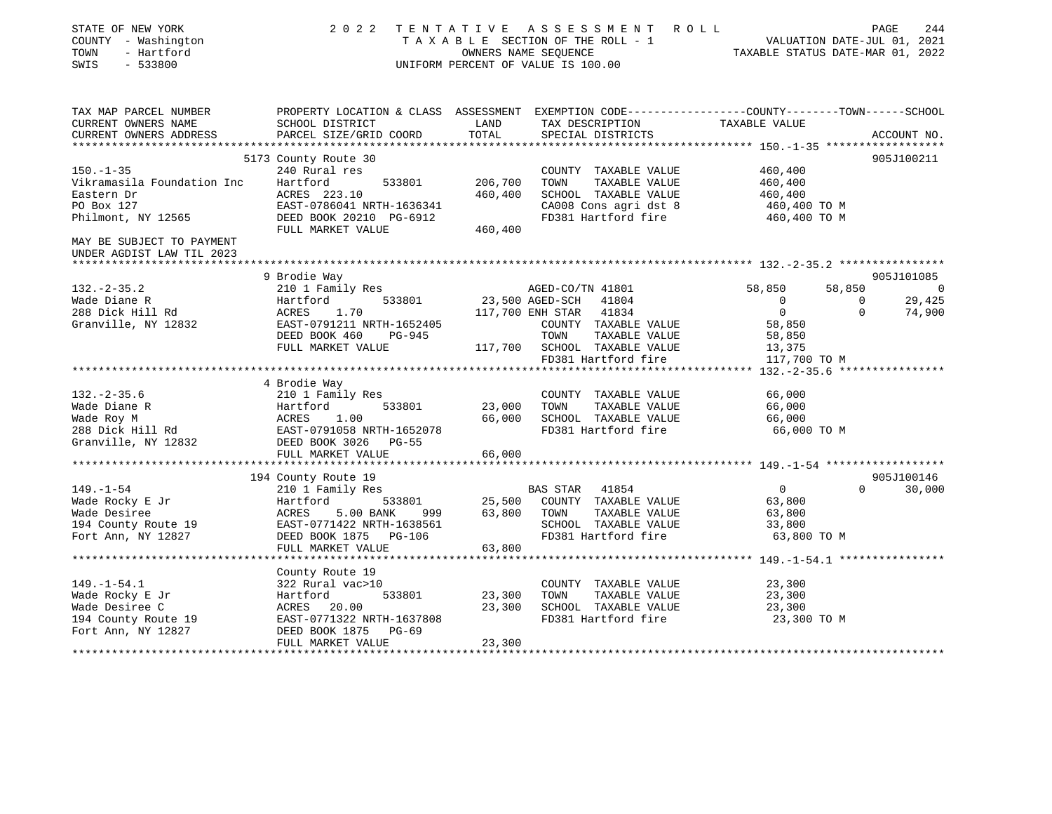| STATE OF NEW YORK<br>COUNTY - Washington<br>- Hartford<br>TOWN<br>SWIS<br>$-533800$ |                                                                                                                    |                  | 2022 TENTATIVE ASSESSMENT ROLL<br>TAXABLE SECTION OF THE ROLL - 1<br>OWNERS NAME SEOUENCE<br>UNIFORM PERCENT OF VALUE IS 100.00 | VALUATION DATE-JUL 01, 2021<br>TAXABLE STATUS DATE-MAR 01, 2022 |             | PAGE<br>244 |
|-------------------------------------------------------------------------------------|--------------------------------------------------------------------------------------------------------------------|------------------|---------------------------------------------------------------------------------------------------------------------------------|-----------------------------------------------------------------|-------------|-------------|
| TAX MAP PARCEL NUMBER<br>CURRENT OWNERS NAME                                        | PROPERTY LOCATION & CLASS ASSESSMENT EXEMPTION CODE---------------COUNTY-------TOWN------SCHOOL<br>SCHOOL DISTRICT | LAND             | TAX DESCRIPTION                                                                                                                 | TAXABLE VALUE                                                   |             |             |
| CURRENT OWNERS ADDRESS                                                              | PARCEL SIZE/GRID COORD                                                                                             | TOTAL            | SPECIAL DISTRICTS                                                                                                               |                                                                 |             | ACCOUNT NO. |
|                                                                                     |                                                                                                                    |                  |                                                                                                                                 |                                                                 |             |             |
| $150. - 1 - 35$                                                                     | 5173 County Route 30<br>240 Rural res                                                                              |                  | COUNTY TAXABLE VALUE                                                                                                            | 460,400                                                         |             | 905J100211  |
| Vikramasila Foundation Inc                                                          | Hartford<br>533801                                                                                                 | 206,700          | TAXABLE VALUE<br>TOWN                                                                                                           | 460,400                                                         |             |             |
| Eastern Dr                                                                          | ACRES 223.10                                                                                                       | 460,400          | SCHOOL TAXABLE VALUE                                                                                                            | 460,400                                                         |             |             |
| PO Box 127                                                                          | EAST-0786041 NRTH-1636341                                                                                          |                  | CA008 Cons agri dst 8                                                                                                           | 460,400 TO M                                                    |             |             |
| Philmont, NY 12565                                                                  | DEED BOOK 20210 PG-6912                                                                                            |                  | FD381 Hartford fire                                                                                                             | 460,400 TO M                                                    |             |             |
|                                                                                     | FULL MARKET VALUE                                                                                                  | 460,400          |                                                                                                                                 |                                                                 |             |             |
| MAY BE SUBJECT TO PAYMENT<br>UNDER AGDIST LAW TIL 2023                              |                                                                                                                    |                  |                                                                                                                                 |                                                                 |             |             |
|                                                                                     | 9 Brodie Way                                                                                                       |                  |                                                                                                                                 |                                                                 |             | 905J101085  |
| $132. - 2 - 35.2$                                                                   | 210 1 Family Res                                                                                                   |                  | AGED-CO/TN 41801                                                                                                                | 58,850                                                          | 58,850      | 0           |
| Wade Diane R                                                                        | 533801<br>Hartford                                                                                                 |                  | 23,500 AGED-SCH<br>41804                                                                                                        | $\overline{0}$                                                  | $\mathbf 0$ | 29,425      |
| 288 Dick Hill Rd                                                                    | ACRES<br>1.70                                                                                                      |                  | 117,700 ENH STAR 41834                                                                                                          | $\overline{0}$                                                  | $\Omega$    | 74,900      |
| Granville, NY 12832                                                                 | EAST-0791211 NRTH-1652405                                                                                          |                  | COUNTY TAXABLE VALUE                                                                                                            | 58,850                                                          |             |             |
|                                                                                     | DEED BOOK 460<br>PG-945                                                                                            |                  | TOWN<br>TAXABLE VALUE                                                                                                           | 58,850                                                          |             |             |
|                                                                                     | FULL MARKET VALUE                                                                                                  |                  | 117,700 SCHOOL TAXABLE VALUE                                                                                                    | 13,375                                                          |             |             |
|                                                                                     |                                                                                                                    |                  | FD381 Hartford fire                                                                                                             | 117,700 TO M                                                    |             |             |
|                                                                                     |                                                                                                                    |                  |                                                                                                                                 | ****** 132.-2-35.6 *****************                            |             |             |
|                                                                                     | 4 Brodie Way                                                                                                       |                  |                                                                                                                                 |                                                                 |             |             |
| $132 - 2 - 35.6$                                                                    | 210 1 Family Res                                                                                                   |                  | COUNTY TAXABLE VALUE                                                                                                            | 66,000                                                          |             |             |
| Wade Diane R<br>Wade Roy M                                                          | Hartford<br>533801<br>1.00<br>ACRES                                                                                | 23,000<br>66,000 | TAXABLE VALUE<br>TOWN<br>SCHOOL TAXABLE VALUE                                                                                   | 66,000<br>66,000                                                |             |             |
| 288 Dick Hill Rd                                                                    | EAST-0791058 NRTH-1652078                                                                                          |                  | FD381 Hartford fire                                                                                                             | 66,000 TO M                                                     |             |             |
| Granville, NY 12832                                                                 | DEED BOOK 3026 PG-55                                                                                               |                  |                                                                                                                                 |                                                                 |             |             |
|                                                                                     | FULL MARKET VALUE                                                                                                  | 66,000           |                                                                                                                                 |                                                                 |             |             |
|                                                                                     |                                                                                                                    |                  |                                                                                                                                 |                                                                 |             |             |
|                                                                                     | 194 County Route 19                                                                                                |                  |                                                                                                                                 |                                                                 |             | 905J100146  |
| $149. - 1 - 54$                                                                     | 210 1 Family Res                                                                                                   |                  | BAS STAR 41854                                                                                                                  | $\overline{0}$                                                  | $\Omega$    | 30,000      |
| Wade Rocky E Jr                                                                     | 533801<br>Hartford                                                                                                 |                  | 25,500 COUNTY TAXABLE VALUE                                                                                                     | 63,800                                                          |             |             |
| Wade Desiree                                                                        | 5.00 BANK<br>ACRES<br>999                                                                                          | 63,800           | TOWN<br>TAXABLE VALUE                                                                                                           | 63,800                                                          |             |             |
| 194 County Route 19                                                                 | EAST-0771422 NRTH-1638561                                                                                          |                  | SCHOOL TAXABLE VALUE                                                                                                            | 33,800                                                          |             |             |
| Fort Ann, NY 12827                                                                  | DEED BOOK 1875 PG-106                                                                                              |                  | FD381 Hartford fire                                                                                                             | 63,800 TO M                                                     |             |             |
|                                                                                     | FULL MARKET VALUE                                                                                                  | 63,800           |                                                                                                                                 |                                                                 |             |             |
|                                                                                     | County Route 19                                                                                                    |                  |                                                                                                                                 |                                                                 |             |             |
| $149. - 1 - 54.1$                                                                   | 322 Rural vac>10                                                                                                   |                  | COUNTY TAXABLE VALUE                                                                                                            | 23,300                                                          |             |             |
| Wade Rocky E Jr                                                                     | 533801<br>Hartford                                                                                                 | 23,300           | TAXABLE VALUE<br>TOWN                                                                                                           | 23,300                                                          |             |             |
| Wade Desiree C                                                                      | ACRES 20.00                                                                                                        | 23,300           | SCHOOL TAXABLE VALUE                                                                                                            | 23,300                                                          |             |             |
| 194 County Route 19                                                                 | EAST-0771322 NRTH-1637808                                                                                          |                  | FD381 Hartford fire                                                                                                             | 23,300 TO M                                                     |             |             |
| Fort Ann, NY 12827                                                                  | DEED BOOK 1875<br>$PG-69$                                                                                          |                  |                                                                                                                                 |                                                                 |             |             |
|                                                                                     | FULL MARKET VALUE                                                                                                  | 23,300           |                                                                                                                                 |                                                                 |             |             |
| ******************                                                                  |                                                                                                                    |                  |                                                                                                                                 |                                                                 |             |             |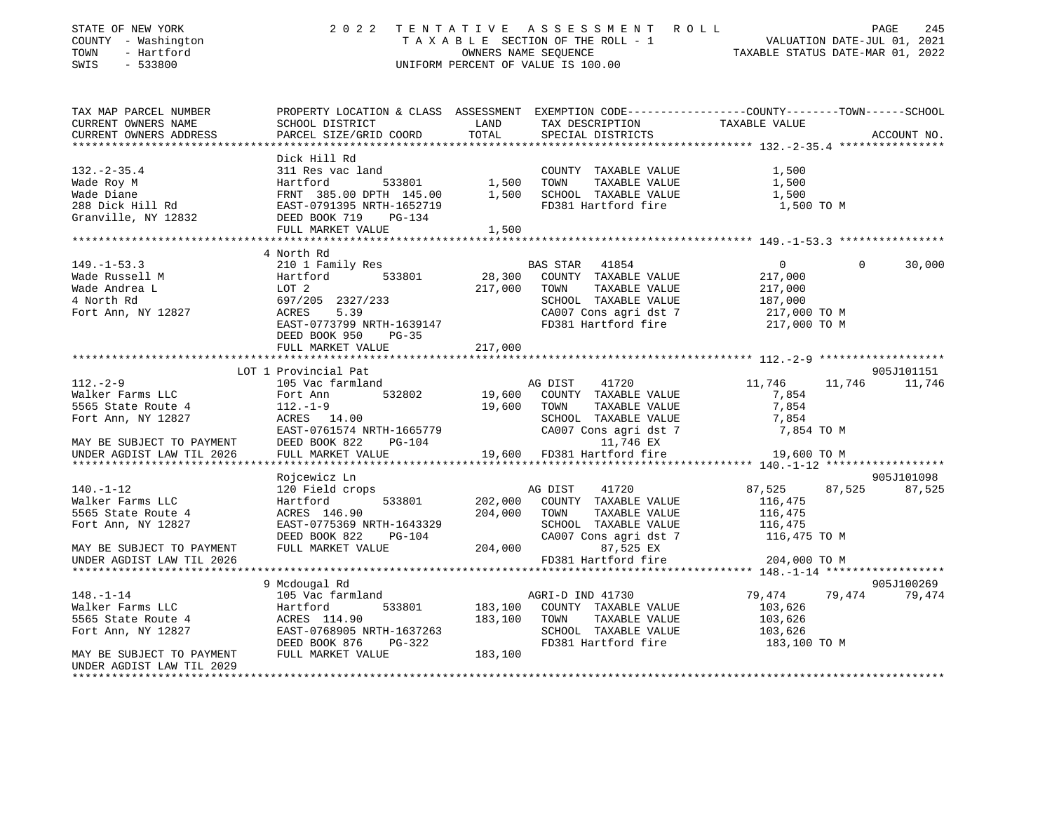| STATE OF NEW YORK<br>COUNTY - Washington<br>TOWN<br>- Hartford<br>SWIS<br>$-533800$ | 2 0 2 2                                                                                                                                                                                                |         | TENTATIVE ASSESSMENT ROLL<br>T A X A B L E SECTION OF THE ROLL - 1 VALUATION DATE-JUL 01, 2021<br>OWNERS NAME SEQUENCE TAXABLE STATUS DATE-MAR 01. 2022<br>UNIFORM PERCENT OF VALUE IS 100.00 |                    |          | PAGE<br>245   |
|-------------------------------------------------------------------------------------|--------------------------------------------------------------------------------------------------------------------------------------------------------------------------------------------------------|---------|-----------------------------------------------------------------------------------------------------------------------------------------------------------------------------------------------|--------------------|----------|---------------|
| TAX MAP PARCEL NUMBER                                                               | PROPERTY LOCATION & CLASS ASSESSMENT EXEMPTION CODE---------------COUNTY-------TOWN-----SCHOOL                                                                                                         |         |                                                                                                                                                                                               |                    |          |               |
| CURRENT OWNERS NAME                                                                 | SCHOOL DISTRICT                                                                                                                                                                                        | LAND    | TAX DESCRIPTION                                                                                                                                                                               | TAXABLE VALUE      |          |               |
| CURRENT OWNERS ADDRESS                                                              | PARCEL SIZE/GRID COORD                                                                                                                                                                                 | TOTAL   | SPECIAL DISTRICTS                                                                                                                                                                             |                    |          | ACCOUNT NO.   |
|                                                                                     | Dick Hill Rd                                                                                                                                                                                           |         |                                                                                                                                                                                               |                    |          |               |
|                                                                                     |                                                                                                                                                                                                        |         |                                                                                                                                                                                               | 1,500              |          |               |
|                                                                                     |                                                                                                                                                                                                        |         |                                                                                                                                                                                               | 1,500              |          |               |
|                                                                                     |                                                                                                                                                                                                        |         |                                                                                                                                                                                               | 1,500              |          |               |
|                                                                                     |                                                                                                                                                                                                        |         | FD381 Hartford fire                                                                                                                                                                           | 1,500 TO M         |          |               |
|                                                                                     | Wade Roy M (Martford Martford 1,500 TOWN'T TAXABLE VALUE Wade Diane FRNT 385.00 DPTH 145.00 1,500 TOWN TAXABLE VALUE 288 Dick Hill Rd EAST-0791395 NRTH-1652719 FD381 Hartford fire Canville, NY 12832 |         |                                                                                                                                                                                               |                    |          |               |
|                                                                                     | FULL MARKET VALUE                                                                                                                                                                                      | 1,500   |                                                                                                                                                                                               |                    |          |               |
|                                                                                     |                                                                                                                                                                                                        |         |                                                                                                                                                                                               |                    |          |               |
| $149. - 1 - 53.3$                                                                   | 4 North Rd<br>210 1 Family Res                                                                                                                                                                         |         | BAS STAR 41854                                                                                                                                                                                | $\overline{0}$     | $\Omega$ | 30,000        |
| Wade Russell M                                                                      | Hartford 533801                                                                                                                                                                                        | 28,300  | COUNTY TAXABLE VALUE                                                                                                                                                                          | 217,000            |          |               |
| Wade Andrea L                                                                       |                                                                                                                                                                                                        | 217,000 | TOWN<br>TAXABLE VALUE                                                                                                                                                                         | 217,000            |          |               |
| 4 North Rd                                                                          | LOT 2<br>697/20<br>697/205 2327/233                                                                                                                                                                    |         | SCHOOL TAXABLE VALUE                                                                                                                                                                          | 187,000            |          |               |
| Fort Ann, NY 12827                                                                  | <b>ACRES</b><br>5.39                                                                                                                                                                                   |         | CA007 Cons agri dst 7                                                                                                                                                                         | 217,000 TO M       |          |               |
|                                                                                     | EAST-0773799 NRTH-1639147                                                                                                                                                                              |         | FD381 Hartford fire                                                                                                                                                                           | 217,000 TO M       |          |               |
|                                                                                     | DEED BOOK 950<br>PG-35                                                                                                                                                                                 |         |                                                                                                                                                                                               |                    |          |               |
|                                                                                     | FULL MARKET VALUE                                                                                                                                                                                      | 217,000 |                                                                                                                                                                                               |                    |          |               |
|                                                                                     | LOT 1 Provincial Pat                                                                                                                                                                                   |         |                                                                                                                                                                                               |                    |          | 905J101151    |
| $112. - 2 - 9$                                                                      | 105 Vac farmland                                                                                                                                                                                       |         | AG DIST<br>41720                                                                                                                                                                              | 11,746             |          | 11,746 11,746 |
| Walker Farms LLC                                                                    | 532802<br>Fort Ann                                                                                                                                                                                     | 19,600  | COUNTY TAXABLE VALUE                                                                                                                                                                          | 7,854              |          |               |
| 5565 State Route 4                                                                  | $112.-1-9$                                                                                                                                                                                             |         | 19,600 TOWN<br>TAXABLE VALUE                                                                                                                                                                  | 7,854              |          |               |
| Fort Ann, NY 12827                                                                  | ACRES 14.00                                                                                                                                                                                            |         | SCHOOL TAXABLE VALUE                                                                                                                                                                          | 7,854              |          |               |
|                                                                                     | EAST-0761574 NRTH-1665779                                                                                                                                                                              |         | CA007 Cons agri dst 7                                                                                                                                                                         | 7,854 TO M         |          |               |
| MAY BE SUBJECT TO PAYMENT                                                           | DEED BOOK 822 PG-104                                                                                                                                                                                   |         | 11,746 EX                                                                                                                                                                                     |                    |          |               |
| UNDER AGDIST LAW TIL 2026                                                           | FULL MARKET VALUE                                                                                                                                                                                      |         | 19,600 FD381 Hartford fire                                                                                                                                                                    | 19,600 TO M        |          |               |
|                                                                                     |                                                                                                                                                                                                        |         |                                                                                                                                                                                               |                    |          |               |
|                                                                                     | Rojcewicz Ln                                                                                                                                                                                           |         |                                                                                                                                                                                               |                    |          | 905J101098    |
| $140. - 1 - 12$<br>Walker Farms LLC                                                 | 120 Field crops<br>Hartford<br>533801                                                                                                                                                                  | 202,000 | AG DIST<br>41720<br>COUNTY TAXABLE VALUE                                                                                                                                                      | 87,525<br>116,475  |          | 87,525 87,525 |
| 5565 State Route 4                                                                  | ACRES 146.90                                                                                                                                                                                           | 204,000 | TOWN<br>TAXABLE VALUE                                                                                                                                                                         | 116,475            |          |               |
| Fort Ann, NY 12827                                                                  | EAST-0775369 NRTH-1643329                                                                                                                                                                              |         | SCHOOL TAXABLE VALUE                                                                                                                                                                          | 116,475            |          |               |
|                                                                                     | DEED BOOK 822 PG-104                                                                                                                                                                                   |         | CA007 Cons agri dst 7                                                                                                                                                                         | 116,475 TO M       |          |               |
| MAY BE SUBJECT TO PAYMENT                                                           | FULL MARKET VALUE                                                                                                                                                                                      |         | 204,000<br>87,525 EX                                                                                                                                                                          |                    |          |               |
| UNDER AGDIST LAW TIL 2026                                                           |                                                                                                                                                                                                        |         | FD381 Hartford fire                                                                                                                                                                           | 204,000 TO M       |          |               |
|                                                                                     | *********************************                                                                                                                                                                      |         |                                                                                                                                                                                               |                    |          |               |
|                                                                                     | 9 Mcdougal Rd                                                                                                                                                                                          |         |                                                                                                                                                                                               |                    |          | 905J100269    |
| $148. - 1 - 14$                                                                     | 105 Vac farmland                                                                                                                                                                                       |         | AGRI-D IND 41730                                                                                                                                                                              | 79,474             |          | 79,474 79,474 |
| Walker Farms LLC<br>5555 C<br>Walker Farms<br>5565 State Route 4<br>NY 12827        | Hartford<br>533801                                                                                                                                                                                     |         | 183,100 COUNTY TAXABLE VALUE                                                                                                                                                                  | 103,626            |          |               |
|                                                                                     |                                                                                                                                                                                                        | 183,100 | TOWN<br>TAXABLE VALUE<br>SCHOOL TAXABLE VALUE                                                                                                                                                 | 103,626<br>103,626 |          |               |
|                                                                                     | ACRES 114.90<br>EAST-0768905 NRTH-1637263<br>DEED BOOK 876 PG-322                                                                                                                                      |         | FD381 Hartford fire                                                                                                                                                                           | 183,100 TO M       |          |               |
| MAY BE SUBJECT TO PAYMENT                                                           | FULL MARKET VALUE                                                                                                                                                                                      | 183,100 |                                                                                                                                                                                               |                    |          |               |
| UNDER AGDIST LAW TIL 2029                                                           |                                                                                                                                                                                                        |         |                                                                                                                                                                                               |                    |          |               |
|                                                                                     |                                                                                                                                                                                                        |         |                                                                                                                                                                                               |                    |          |               |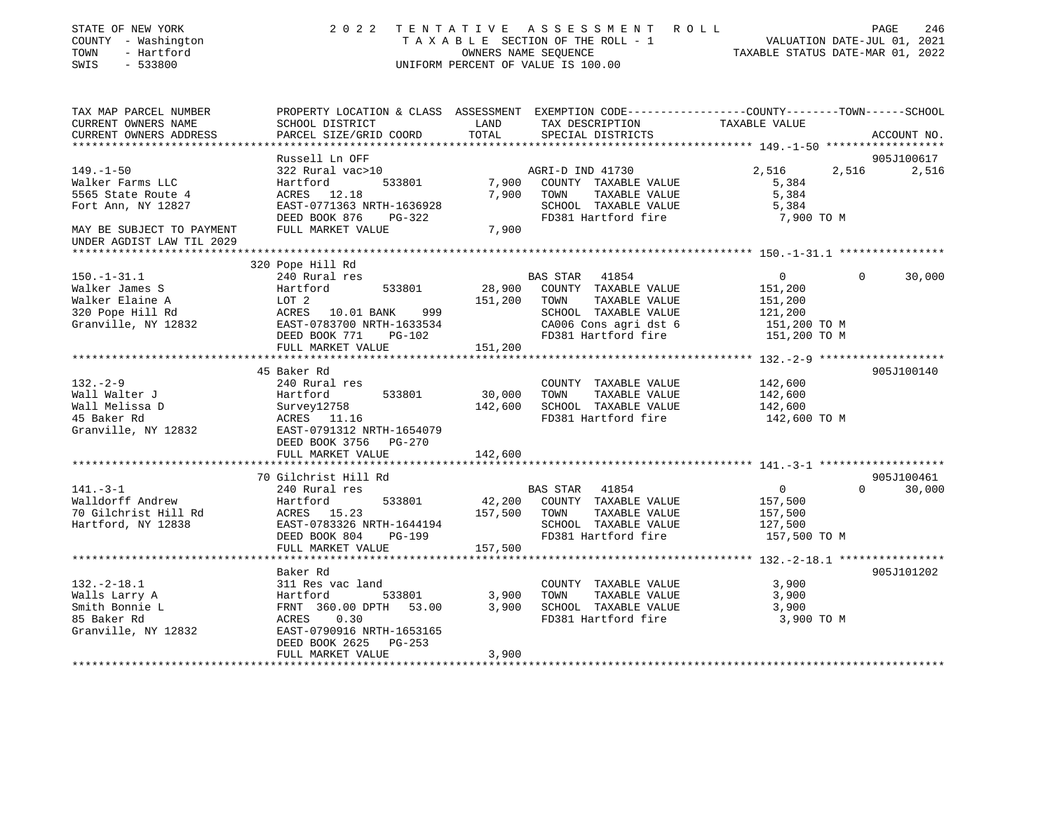| STATE OF NEW YORK<br>COUNTY - Washington<br>TOWN<br>- Hartford<br>SWIS<br>$-533800$                                                       |                                                                                                                                                     |                    | 2022 TENTATIVE ASSESSMENT ROLL<br>UNIFORM PERCENT OF VALUE IS 100.00                                                                                   | T A X A B L E SECTION OF THE ROLL - 1 VALUATION DATE-JUL 01, 2021<br>OWNERS NAME SEQUENCE TAXABLE STATUS DATE-MAR 01, 2022<br>TAXABLE STATUS DATE-MAR 01, 2022 | PAGE<br>246                  |
|-------------------------------------------------------------------------------------------------------------------------------------------|-----------------------------------------------------------------------------------------------------------------------------------------------------|--------------------|--------------------------------------------------------------------------------------------------------------------------------------------------------|----------------------------------------------------------------------------------------------------------------------------------------------------------------|------------------------------|
| TAX MAP PARCEL NUMBER<br>CURRENT OWNERS NAME<br>CURRENT OWNERS ADDRESS                                                                    | PROPERTY LOCATION & CLASS ASSESSMENT EXEMPTION CODE---------------COUNTY-------TOWN------SCHOOL<br>SCHOOL DISTRICT<br>PARCEL SIZE/GRID COORD        | LAND<br>TOTAL      | TAX DESCRIPTION<br>SPECIAL DISTRICTS                                                                                                                   | TAXABLE VALUE                                                                                                                                                  | ACCOUNT NO.                  |
|                                                                                                                                           |                                                                                                                                                     |                    |                                                                                                                                                        | ********************** 149.-1-50 *******************                                                                                                           |                              |
| $149. - 1 - 50$<br>Walker Farms LLC<br>5565 State Route 4<br>Fort Ann, NY 12827<br>MAY BE SUBJECT TO PAYMENT<br>UNDER AGDIST LAW TIL 2029 | Russell Ln OFF<br>322 Rural vac>10<br>533801<br>Hartford<br>ACRES 12.18<br>EAST-0771363 NRTH-1636928<br>DEED BOOK 876 PG-322<br>FULL MARKET VALUE   | 7,900              | AGRI-D IND 41730<br>7,900 COUNTY TAXABLE VALUE<br>7,900 TOWN<br>TAXABLE VALUE<br>SCHOOL TAXABLE VALUE<br>FD381 Hartford fire                           | 2,516<br>5,384<br>5,384<br>5,384<br>7,900 TO M                                                                                                                 | 905J100617<br>2,516<br>2,516 |
|                                                                                                                                           |                                                                                                                                                     |                    |                                                                                                                                                        |                                                                                                                                                                |                              |
| $150. - 1 - 31.1$<br>Walker James S<br>Walker Elaine A<br>320 Pope Hill Rd<br>Granville, NY 12832                                         | 320 Pope Hill Rd<br>240 Rural res<br>Hartford<br>533801<br>LOT 2<br>ACRES 10.01 BANK<br>999<br>EAST-0783700 NRTH-1633534<br>DEED BOOK 771<br>PG-102 |                    | BAS STAR 41854<br>28,900 COUNTY TAXABLE VALUE<br>151,200 TOWN<br>TAXABLE VALUE<br>SCHOOL TAXABLE VALUE<br>CA006 Cons agri dst 6<br>FD381 Hartford fire | $\mathbf 0$<br>151,200<br>151,200<br>121,200<br>151,200 TO M<br>151,200 TO M                                                                                   | 30,000<br>$\Omega$           |
|                                                                                                                                           | FULL MARKET VALUE                                                                                                                                   | 151,200            |                                                                                                                                                        |                                                                                                                                                                |                              |
|                                                                                                                                           | 45 Baker Rd                                                                                                                                         |                    |                                                                                                                                                        |                                                                                                                                                                | 905J100140                   |
| $132 - 2 - 9$<br>Wall Walter J<br>Wall Melissa D<br>45 Baker Rd<br>Granville, NY 12832                                                    | 240 Rural res<br>Hartford<br>533801<br>Survey12758<br>ACRES 11.16<br>EAST-0791312 NRTH-1654079<br>DEED BOOK 3756 PG-270                             | 30,000<br>142,600  | COUNTY TAXABLE VALUE<br>TOWN<br>TAXABLE VALUE<br>SCHOOL TAXABLE VALUE<br>FD381 Hartford fire                                                           | 142,600<br>142,600<br>142,600<br>142,600 TO M                                                                                                                  |                              |
|                                                                                                                                           | FULL MARKET VALUE                                                                                                                                   | 142,600            |                                                                                                                                                        |                                                                                                                                                                |                              |
|                                                                                                                                           | 70 Gilchrist Hill Rd                                                                                                                                |                    |                                                                                                                                                        |                                                                                                                                                                | 905J100461                   |
| $141. - 3 - 1$<br>Walldorff Andrew<br>70 Gilchrist Hill Rd<br>Hartford, NY 12838                                                          | 240 Rural res<br>Hartford<br>533801<br>ACRES 15.23<br>EAST-0783326 NRTH-1644194<br>DEED BOOK 804 PG-199<br>FULL MARKET VALUE                        | 157,500<br>157,500 | BAS STAR<br>41854<br>42,200 COUNTY TAXABLE VALUE<br>TAXABLE VALUE<br>TOWN<br>SCHOOL TAXABLE VALUE<br>FD381 Hartford fire                               | $\overline{0}$<br>157,500<br>157,500<br>127,500<br>157,500 TO M                                                                                                | $\Omega$<br>30,000           |
|                                                                                                                                           |                                                                                                                                                     |                    |                                                                                                                                                        |                                                                                                                                                                |                              |
| $132. - 2 - 18.1$<br>Walls Larry A<br>Smith Bonnie L<br>85 Baker Rd<br>Granville, NY 12832                                                | Baker Rd<br>311 Res vac land<br>Hartford<br>533801<br>FRNT 360.00 DPTH 53.00<br>ACRES<br>0.30<br>EAST-0790916 NRTH-1653165<br>DEED BOOK 2625 PG-253 | 3,900              | COUNTY TAXABLE VALUE<br>TAXABLE VALUE<br>TOWN<br>3,900 SCHOOL TAXABLE VALUE<br>FD381 Hartford fire                                                     | 3,900<br>3,900<br>3,900<br>3,900 TO M                                                                                                                          | 905J101202                   |
|                                                                                                                                           | FULL MARKET VALUE                                                                                                                                   | 3,900              |                                                                                                                                                        |                                                                                                                                                                |                              |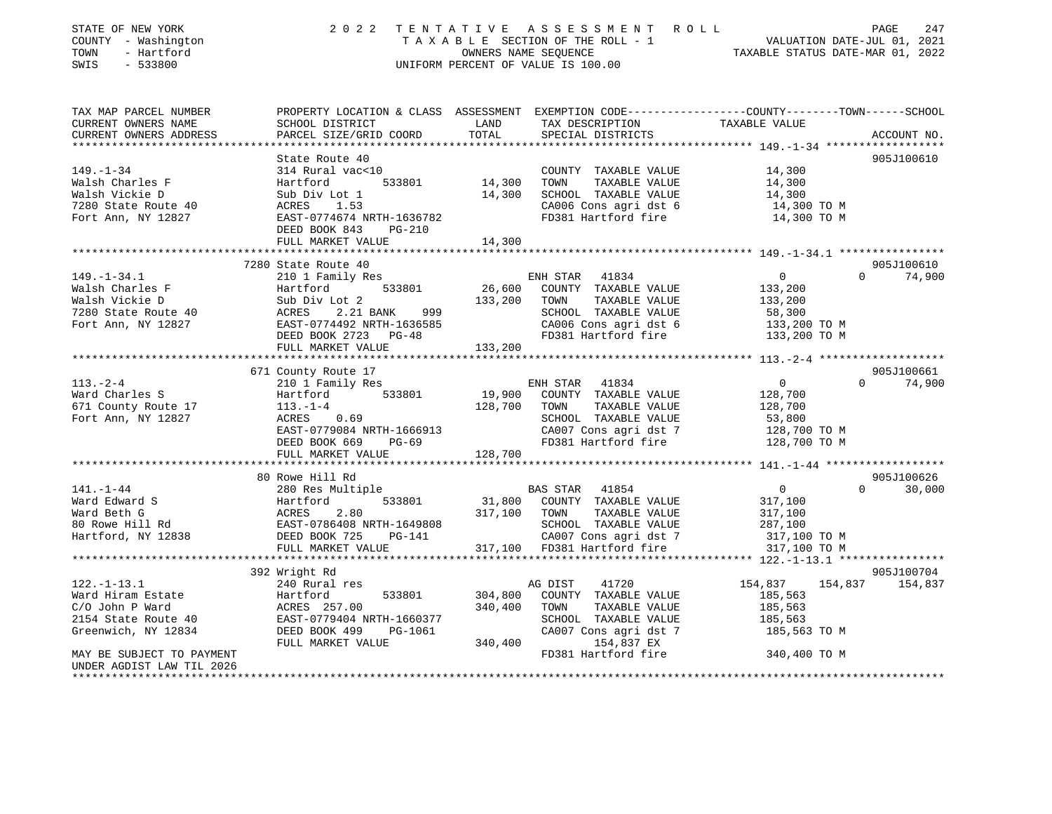| STATE OF NEW YORK                                                  | 2 0 2 2                                                                                                                                                                                                                                             |                               |                                                                                                 |                                                                                                                                                                                                                      |
|--------------------------------------------------------------------|-----------------------------------------------------------------------------------------------------------------------------------------------------------------------------------------------------------------------------------------------------|-------------------------------|-------------------------------------------------------------------------------------------------|----------------------------------------------------------------------------------------------------------------------------------------------------------------------------------------------------------------------|
| COUNTY - Washington                                                |                                                                                                                                                                                                                                                     |                               |                                                                                                 |                                                                                                                                                                                                                      |
| TOWN<br>- Hartford                                                 |                                                                                                                                                                                                                                                     |                               |                                                                                                 |                                                                                                                                                                                                                      |
| SWIS<br>$-533800$                                                  |                                                                                                                                                                                                                                                     |                               |                                                                                                 | TENTATIVE ASSESSMENT ROLL<br>TAXABLE SECTION OF THE ROLL - 1 VALUATION DATE-JUL 01, 2021<br>OWNERS NAME SEQUENCE TAXABLE STATUS DATE-MAR 01, 2022<br>UNIFORM PERCENT OF VALUE IS 100.00                              |
|                                                                    |                                                                                                                                                                                                                                                     |                               |                                                                                                 |                                                                                                                                                                                                                      |
| TAX MAP PARCEL NUMBER                                              |                                                                                                                                                                                                                                                     |                               |                                                                                                 | PROPERTY LOCATION & CLASS ASSESSMENT EXEMPTION CODE----------------COUNTY-------TOWN------SCHOOL<br>SCHOOL DISTRICT LAND TAX DESCRIPTION TAXABLE VALUE<br>PARCEL SIZE/GRID COORD TOTAL SPECIAL DISTRICTS ACCOUNT NO. |
| CURRENT OWNERS NAME                                                |                                                                                                                                                                                                                                                     |                               |                                                                                                 |                                                                                                                                                                                                                      |
| CURRENT OWNERS ADDRESS                                             | PARCEL SIZE/GRID COORD                                                                                                                                                                                                                              |                               |                                                                                                 |                                                                                                                                                                                                                      |
|                                                                    |                                                                                                                                                                                                                                                     |                               |                                                                                                 |                                                                                                                                                                                                                      |
|                                                                    | State Route 40                                                                                                                                                                                                                                      |                               |                                                                                                 | 905J100610                                                                                                                                                                                                           |
| $149. - 1 - 34$                                                    | 314 Rural vac<10                                                                                                                                                                                                                                    |                               | COUNTY TAXABLE VALUE 14,300                                                                     |                                                                                                                                                                                                                      |
|                                                                    |                                                                                                                                                                                                                                                     |                               | TOWN TAXABLE VALUE                                                                              | 14,300                                                                                                                                                                                                               |
|                                                                    |                                                                                                                                                                                                                                                     |                               | SCHOOL TAXABLE VALUE 14,300<br>CA006 Cons agri dst 6 14,300 TO M                                |                                                                                                                                                                                                                      |
|                                                                    | Walsh Charles F<br>Walsh Vickie D<br>7280 State Route 40<br>Fort Ann, NY 12827<br>The Charles P<br>Fort Ann, NY 12827<br>The Charles Past-0774674 NRTH-1636782<br>DEED BOOK 843<br>The CHARTH-1636782<br>The CHARTH-1636782<br>DEED BOOK 843<br>The |                               | CA006 Cons agri dst 6<br>FD381 Hartford fire                                                    |                                                                                                                                                                                                                      |
|                                                                    |                                                                                                                                                                                                                                                     |                               |                                                                                                 | 14,300 TO M                                                                                                                                                                                                          |
|                                                                    |                                                                                                                                                                                                                                                     |                               |                                                                                                 |                                                                                                                                                                                                                      |
|                                                                    | FULL MARKET VALUE                                                                                                                                                                                                                                   | 14,300                        |                                                                                                 |                                                                                                                                                                                                                      |
|                                                                    |                                                                                                                                                                                                                                                     |                               |                                                                                                 |                                                                                                                                                                                                                      |
|                                                                    | 7280 State Route 40                                                                                                                                                                                                                                 |                               |                                                                                                 | 905J100610                                                                                                                                                                                                           |
| $149. - 1 - 34.1$                                                  | State Route 40<br>210 1 Family Res                                                                                                                                                                                                                  |                               | ENH STAR 41834                                                                                  | $0 \t 74,900$<br>$\overline{0}$                                                                                                                                                                                      |
|                                                                    |                                                                                                                                                                                                                                                     |                               | COUNTY TAXABLE VALUE                                                                            | 133,200<br>133,200                                                                                                                                                                                                   |
|                                                                    |                                                                                                                                                                                                                                                     |                               | TOWN<br>TAXABLE VALUE                                                                           |                                                                                                                                                                                                                      |
|                                                                    |                                                                                                                                                                                                                                                     |                               | SCHOOL TAXABLE VALUE                                                                            | 58,300                                                                                                                                                                                                               |
|                                                                    |                                                                                                                                                                                                                                                     |                               | CA006 Cons agri dst 6 133,200 TO M<br>FD381 Hartford fire 133,200 TO M                          |                                                                                                                                                                                                                      |
|                                                                    |                                                                                                                                                                                                                                                     |                               |                                                                                                 |                                                                                                                                                                                                                      |
|                                                                    | 149.1-19.1.1<br>Walsh Charles F (1991) 2007 1280<br>Malsh Vickie D (1998) 2008<br>The Martford S33801 26,600<br>T280 State Route 40 (1998) 22.21 BANK 999<br>Fort Ann, NY 12827 EAST-0774492 NRTH-1636585<br>DEED BOOK 2723 PG-48<br>FILL MA        |                               |                                                                                                 |                                                                                                                                                                                                                      |
|                                                                    |                                                                                                                                                                                                                                                     |                               |                                                                                                 |                                                                                                                                                                                                                      |
|                                                                    | 671 County Route 17                                                                                                                                                                                                                                 |                               |                                                                                                 | 905J100661                                                                                                                                                                                                           |
|                                                                    | 210 1 Family Res                                                                                                                                                                                                                                    |                               | ENH STAR 41834                                                                                  | $\overline{0}$<br>$0 \t 74,900$                                                                                                                                                                                      |
|                                                                    |                                                                                                                                                                                                                                                     | 19,900                        | COUNTY TAXABLE VALUE                                                                            | 128,700                                                                                                                                                                                                              |
| 113.-2-4<br>Ward Charles S<br>671 County Route 17<br>Arms NY 12827 | Hartford 533801<br>113.-1-4<br>ACRES 0.69                                                                                                                                                                                                           | 128,700                       | TOWN TAXABLE VALUE                                                                              | 128,700                                                                                                                                                                                                              |
|                                                                    |                                                                                                                                                                                                                                                     |                               | CHOOL TAXABLE VALUE<br>CA007 Cons agri dst 7 128,700 TO M<br>----- "-----ford fire 128,700 TO M |                                                                                                                                                                                                                      |
|                                                                    |                                                                                                                                                                                                                                                     |                               |                                                                                                 |                                                                                                                                                                                                                      |
|                                                                    |                                                                                                                                                                                                                                                     |                               |                                                                                                 |                                                                                                                                                                                                                      |
|                                                                    |                                                                                                                                                                                                                                                     |                               |                                                                                                 |                                                                                                                                                                                                                      |
|                                                                    |                                                                                                                                                                                                                                                     |                               |                                                                                                 |                                                                                                                                                                                                                      |
|                                                                    | 80 Rowe Hill Rd                                                                                                                                                                                                                                     |                               |                                                                                                 | 905J100626                                                                                                                                                                                                           |
|                                                                    |                                                                                                                                                                                                                                                     |                               | BAS STAR 41854                                                                                  | $\Omega$<br>30,000<br>$\overline{0}$                                                                                                                                                                                 |
|                                                                    |                                                                                                                                                                                                                                                     |                               | 31,800 COUNTY TAXABLE VALUE                                                                     | 317,100                                                                                                                                                                                                              |
|                                                                    |                                                                                                                                                                                                                                                     | 317,100 TOWN                  | TAXABLE VALUE                                                                                   | 317,100                                                                                                                                                                                                              |
|                                                                    | 141.-1-44 280 Res Multiple Ward Edward S<br>Ward Beth G (ACRES 2.80 317,100 ACRES 2.80 317,100 EAST-0786408 NRTH-1649808 Hartford, NY 12838 DEED BOOK 725 PG-141 FULL MARKET VALUE 317,100 2011                                                     |                               | SCHOOL TAXABLE VALUE                                                                            | 287,100<br>317,100 TO M                                                                                                                                                                                              |
|                                                                    |                                                                                                                                                                                                                                                     |                               | CA007 Cons agri dst 7                                                                           |                                                                                                                                                                                                                      |
|                                                                    |                                                                                                                                                                                                                                                     |                               | 317,100 FD381 Hartford fire                                                                     | 317,100 TO M                                                                                                                                                                                                         |
|                                                                    |                                                                                                                                                                                                                                                     |                               |                                                                                                 | ********* 122.-1-13.1 *****************                                                                                                                                                                              |
|                                                                    | 392 Wright Rd                                                                                                                                                                                                                                       |                               |                                                                                                 | 905J100704                                                                                                                                                                                                           |
| $122. - 1 - 13.1$                                                  | 240 Rural res                                                                                                                                                                                                                                       |                               | AG DIST<br>41720                                                                                | 154,837 154,837 154,837                                                                                                                                                                                              |
|                                                                    |                                                                                                                                                                                                                                                     |                               | COUNTY TAXABLE VALUE                                                                            | 185,563                                                                                                                                                                                                              |
|                                                                    | 122.-1-13.1<br>Ward Hiram Estate Hartford 533801 304,800<br>C/O John P Ward ACRES 257.00 340,400<br>2154 State Route 40 EAST-0779404 NRTH-1660377<br>Greenwich, NY 12834 DEED BOOK 499 PG-1061<br>FULL MARKET VALUE 340,400                         |                               | TOWN<br>TAXABLE VALUE                                                                           | 185,563                                                                                                                                                                                                              |
|                                                                    |                                                                                                                                                                                                                                                     | SCHOOL<br>CA007 Co<br>340,400 | SCHOOL TAXABLE VALUE                                                                            | 185,563<br>185,563 TO M                                                                                                                                                                                              |
|                                                                    |                                                                                                                                                                                                                                                     |                               | CA007 Cons agri dst 7                                                                           |                                                                                                                                                                                                                      |
|                                                                    |                                                                                                                                                                                                                                                     |                               | 154,837 EX                                                                                      |                                                                                                                                                                                                                      |
| MAY BE SUBJECT TO PAYMENT                                          |                                                                                                                                                                                                                                                     |                               | FD381 Hartford fire                                                                             | 340,400 TO M                                                                                                                                                                                                         |
| UNDER AGDIST LAW TIL 2026<br>***************************           |                                                                                                                                                                                                                                                     |                               |                                                                                                 |                                                                                                                                                                                                                      |
|                                                                    |                                                                                                                                                                                                                                                     |                               |                                                                                                 |                                                                                                                                                                                                                      |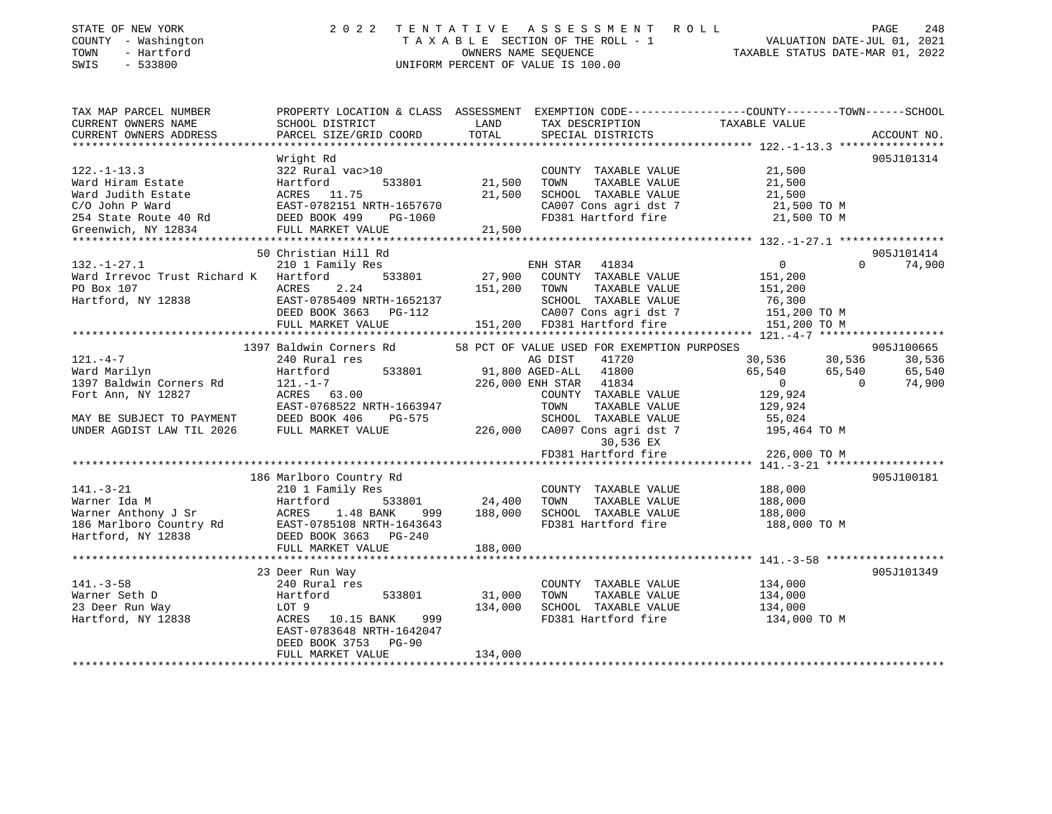| STATE OF NEW YORK<br>COUNTY - Washington<br>TOWN<br>- Hartford<br>SWIS<br>$-533800$                                                   | 2022                                                                                                               | TENTATIVE | A S S E S S M E N T A O L L<br>TAXABLE SECTION OF THE ROLL - 1<br>OWNERS NAME SEQUENCE<br>UNIFORM PERCENT OF VALUE IS 100.00 | VALUATION DATE-JUL 01, 2021<br>TAXABLE STATUS DATE-MAR 01, 2022 | PAGE<br>248              |
|---------------------------------------------------------------------------------------------------------------------------------------|--------------------------------------------------------------------------------------------------------------------|-----------|------------------------------------------------------------------------------------------------------------------------------|-----------------------------------------------------------------|--------------------------|
| TAX MAP PARCEL NUMBER<br>CURRENT OWNERS NAME                                                                                          | PROPERTY LOCATION & CLASS ASSESSMENT EXEMPTION CODE---------------COUNTY-------TOWN------SCHOOL<br>SCHOOL DISTRICT | LAND      | TAX DESCRIPTION                                                                                                              | TAXABLE VALUE                                                   |                          |
| CURRENT OWNERS ADDRESS                                                                                                                | PARCEL SIZE/GRID COORD                                                                                             | TOTAL     | SPECIAL DISTRICTS                                                                                                            |                                                                 | ACCOUNT NO.              |
|                                                                                                                                       |                                                                                                                    |           |                                                                                                                              |                                                                 |                          |
|                                                                                                                                       | Wright Rd                                                                                                          |           |                                                                                                                              |                                                                 | 905J101314               |
| $122. - 1 - 13.3$                                                                                                                     | 322 Rural vac>10                                                                                                   |           | COUNTY TAXABLE VALUE                                                                                                         | 21,500                                                          |                          |
|                                                                                                                                       | 533801                                                                                                             | 21,500    | TOWN<br>TAXABLE VALUE                                                                                                        | 21,500                                                          |                          |
|                                                                                                                                       |                                                                                                                    | 21,500    | SCHOOL TAXABLE VALUE                                                                                                         | 21,500                                                          |                          |
| Ward Hiram Estate Hartford<br>Ward Judith Estate ACRES 11.75<br>C/O John P Ward EAST-0782151 1<br>254 State Route 40 Rd DEED BOOK 499 | EAST-0782151 NRTH-1657670                                                                                          |           | CA007 Cons agri dst 7                                                                                                        | 21,500 TO M                                                     |                          |
|                                                                                                                                       | PG-1060                                                                                                            |           | FD381 Hartford fire                                                                                                          | 21,500 TO M                                                     |                          |
| Greenwich, NY 12834                                                                                                                   | FULL MARKET VALUE                                                                                                  | 21,500    |                                                                                                                              |                                                                 |                          |
|                                                                                                                                       | 50 Christian Hill Rd                                                                                               |           |                                                                                                                              |                                                                 | 905J101414               |
| $132. - 1 - 27.1$                                                                                                                     | 210 1 Family Res                                                                                                   |           | ENH STAR 41834                                                                                                               | $\overline{0}$                                                  | $\Omega$<br>74,900       |
| Ward Irrevoc Trust Richard K Hartford                                                                                                 | 533801                                                                                                             | 27,900    | COUNTY TAXABLE VALUE                                                                                                         | 151,200                                                         |                          |
| PO Box 107                                                                                                                            | 2.24<br>ACRES                                                                                                      | 151,200   | TOWN<br>TAXABLE VALUE                                                                                                        | 151,200                                                         |                          |
| Hartford, NY 12838                                                                                                                    | EAST-0785409 NRTH-1652137                                                                                          |           | SCHOOL TAXABLE VALUE                                                                                                         | 76,300                                                          |                          |
|                                                                                                                                       | DEED BOOK 3663 PG-112                                                                                              |           | CA007 Cons agri dst 7                                                                                                        | 151,200 TO M                                                    |                          |
|                                                                                                                                       | FULL MARKET VALUE                                                                                                  |           | 151,200 FD381 Hartford fire                                                                                                  | 151,200 TO M                                                    |                          |
|                                                                                                                                       |                                                                                                                    |           |                                                                                                                              |                                                                 |                          |
|                                                                                                                                       | 1397 Baldwin Corners Rd                                                                                            |           | 58 PCT OF VALUE USED FOR EXEMPTION PURPOSES                                                                                  |                                                                 | 905J100665               |
| $121. - 4 - 7$<br>Ward Marilyn                                                                                                        | 240 Rural res<br>533801<br>Hartford                                                                                |           | AG DIST<br>41720<br>91,800 AGED-ALL 41800                                                                                    | 30,536<br>30,536<br>65,540<br>65,540                            | 30,536<br>65,540         |
| 1397 Baldwin Corners Rd                                                                                                               | $121. - 1 - 7$                                                                                                     |           | 226,000 ENH STAR 41834                                                                                                       | $\overline{0}$                                                  | $\overline{0}$<br>74,900 |
| Fort Ann, NY 12827                                                                                                                    | ACRES 63.00                                                                                                        |           | COUNTY TAXABLE VALUE                                                                                                         | 129,924                                                         |                          |
|                                                                                                                                       | EAST-0768522 NRTH-1663947                                                                                          |           | TOWN<br>TAXABLE VALUE                                                                                                        | 129,924                                                         |                          |
| MAY BE SUBJECT TO PAYMENT                                                                                                             | DEED BOOK 406<br>PG-575                                                                                            |           | SCHOOL TAXABLE VALUE                                                                                                         | 55,024                                                          |                          |
| UNDER AGDIST LAW TIL 2026                                                                                                             | FULL MARKET VALUE                                                                                                  | 226,000   | CA007 Cons agri dst 7                                                                                                        | 195,464 TO M                                                    |                          |
|                                                                                                                                       |                                                                                                                    |           | 30,536 EX                                                                                                                    |                                                                 |                          |
|                                                                                                                                       |                                                                                                                    |           | FD381 Hartford fire                                                                                                          | 226,000 TO M                                                    |                          |
|                                                                                                                                       |                                                                                                                    |           |                                                                                                                              |                                                                 |                          |
| $141. - 3 - 21$                                                                                                                       | 186 Marlboro Country Rd<br>210 1 Family Res                                                                        |           | COUNTY TAXABLE VALUE                                                                                                         | 188,000                                                         | 905J100181               |
| Warner Ida M                                                                                                                          | Hartford<br>533801                                                                                                 | 24,400    | TOWN<br>TAXABLE VALUE                                                                                                        | 188,000                                                         |                          |
| Warner Anthony J Sr                                                                                                                   | ACRES<br>1.48 BANK<br>999                                                                                          | 188,000   | SCHOOL TAXABLE VALUE                                                                                                         | 188,000                                                         |                          |
| 186 Marlboro Country Rd                                                                                                               | EAST-0785108 NRTH-1643643                                                                                          |           | FD381 Hartford fire                                                                                                          | 188,000 TO M                                                    |                          |
| Hartford, NY 12838                                                                                                                    | DEED BOOK 3663 PG-240                                                                                              |           |                                                                                                                              |                                                                 |                          |
|                                                                                                                                       | FULL MARKET VALUE                                                                                                  | 188,000   |                                                                                                                              |                                                                 |                          |
|                                                                                                                                       |                                                                                                                    |           |                                                                                                                              |                                                                 |                          |
|                                                                                                                                       | 23 Deer Run Way                                                                                                    |           |                                                                                                                              |                                                                 | 905J101349               |
| $141. - 3 - 58$                                                                                                                       | 240 Rural res                                                                                                      |           | COUNTY TAXABLE VALUE                                                                                                         | 134,000                                                         |                          |
| Warner Seth D                                                                                                                         | Hartford<br>533801                                                                                                 | 31,000    | TOWN<br>TAXABLE VALUE                                                                                                        | 134,000                                                         |                          |
| 23 Deer Run Way<br>Hartford, NY 12838                                                                                                 | LOT 9<br>999                                                                                                       | 134,000   | SCHOOL TAXABLE VALUE<br>FD381 Hartford fire                                                                                  | 134,000                                                         |                          |
|                                                                                                                                       | ACRES 10.15 BANK<br>EAST-0783648 NRTH-1642047                                                                      |           |                                                                                                                              | 134,000 TO M                                                    |                          |
|                                                                                                                                       | DEED BOOK 3753<br><b>PG-90</b>                                                                                     |           |                                                                                                                              |                                                                 |                          |
|                                                                                                                                       | FULL MARKET VALUE                                                                                                  | 134,000   |                                                                                                                              |                                                                 |                          |
|                                                                                                                                       |                                                                                                                    |           |                                                                                                                              |                                                                 |                          |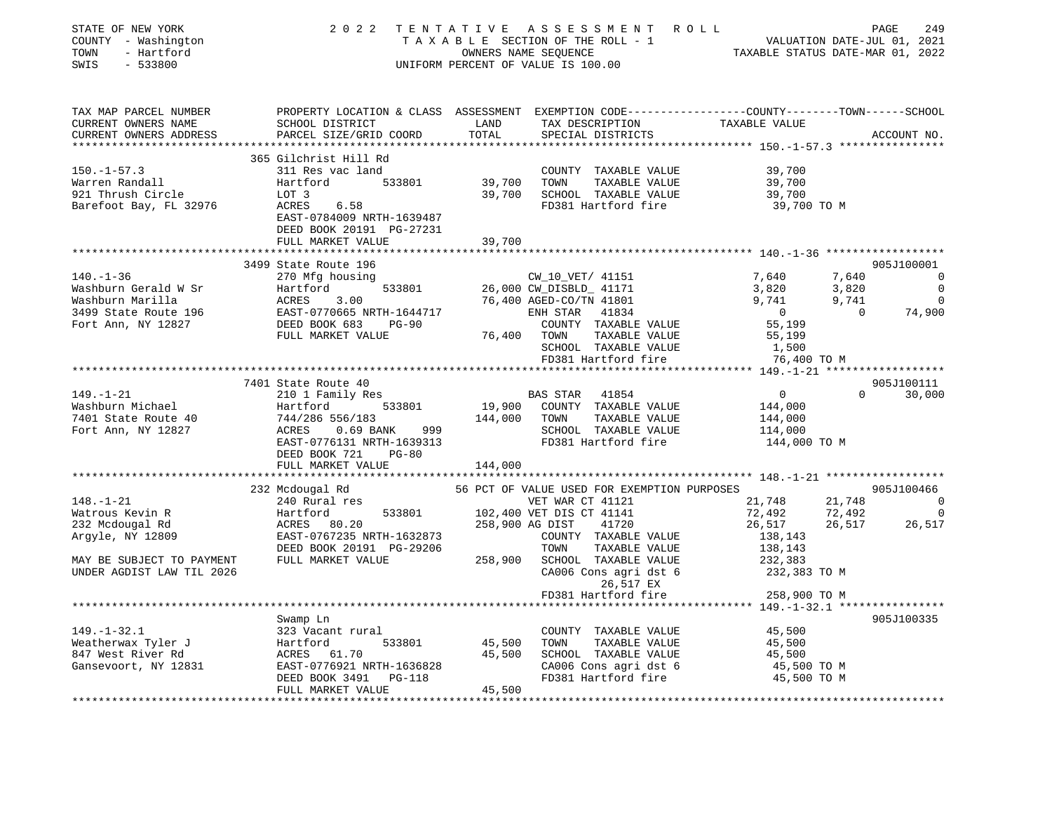| STATE OF NEW YORK<br>COUNTY - Washington<br>TOWN<br>- Hartford<br>SWIS<br>$-533800$ | 2022<br>T E N T A T I V E                                                                                                                    | OWNERS NAME SEQUENCE | A S S E S S M E N T R O L L<br>TAXABLE SECTION OF THE ROLL - 1<br>UNIFORM PERCENT OF VALUE IS 100.00 | 49<br>VALUATION DATE-JUL 01, 2021<br>TAXABLE STATUS DATE-MAR 01. 2022 | PAGE                    | 249            |
|-------------------------------------------------------------------------------------|----------------------------------------------------------------------------------------------------------------------------------------------|----------------------|------------------------------------------------------------------------------------------------------|-----------------------------------------------------------------------|-------------------------|----------------|
| TAX MAP PARCEL NUMBER<br>CURRENT OWNERS NAME<br>CURRENT OWNERS ADDRESS              | PROPERTY LOCATION & CLASS ASSESSMENT EXEMPTION CODE----------------COUNTY-------TOWN-----SCHOOL<br>SCHOOL DISTRICT<br>PARCEL SIZE/GRID COORD | LAND<br>TOTAL        | TAX DESCRIPTION<br>SPECIAL DISTRICTS                                                                 | TAXABLE VALUE                                                         |                         | ACCOUNT NO.    |
|                                                                                     |                                                                                                                                              |                      |                                                                                                      |                                                                       |                         |                |
|                                                                                     | 365 Gilchrist Hill Rd                                                                                                                        |                      |                                                                                                      |                                                                       |                         |                |
| $150.-1-57.3$                                                                       | 311 Res vac land                                                                                                                             |                      | COUNTY TAXABLE VALUE                                                                                 | 39,700                                                                |                         |                |
| Warren Randall<br>921 Thrush Circle                                                 | Hartford<br>533801<br>LOT 3                                                                                                                  | 39,700<br>39,700     | TAXABLE VALUE<br>TOWN<br>SCHOOL TAXABLE VALUE                                                        | 39,700<br>39,700                                                      |                         |                |
| Barefoot Bay, FL 32976                                                              | ACRES<br>6.58<br>EAST-0784009 NRTH-1639487<br>DEED BOOK 20191 PG-27231                                                                       |                      | FD381 Hartford fire                                                                                  | 39,700 TO M                                                           |                         |                |
|                                                                                     | FULL MARKET VALUE                                                                                                                            | 39,700               |                                                                                                      |                                                                       |                         |                |
|                                                                                     |                                                                                                                                              | ********             |                                                                                                      | ********************** 140.-1-36 ******************                   |                         |                |
|                                                                                     | 3499 State Route 196                                                                                                                         |                      |                                                                                                      |                                                                       |                         | 905J100001     |
| $140. - 1 - 36$                                                                     | 270 Mfg housing                                                                                                                              |                      | CW_10_VET/ 41151                                                                                     | 7,640                                                                 | 7,640                   | $\overline{0}$ |
| Washburn Gerald W Sr                                                                | 533801<br>Hartford                                                                                                                           |                      | 26,000 CW_DISBLD_ 41171                                                                              | 3,820                                                                 | 3,820                   | $\mathbf 0$    |
| Washburn Marilla                                                                    | ACRES<br>3.00                                                                                                                                |                      | 76,400 AGED-CO/TN 41801                                                                              | 9,741                                                                 | 9,741<br>$\overline{0}$ | $\overline{0}$ |
| 3499 State Route 196<br>Fort Ann, NY 12827                                          | EAST-0770665 NRTH-1644717<br>DEED BOOK 683<br>$PG-90$                                                                                        |                      | ENH STAR 41834<br>COUNTY TAXABLE VALUE                                                               | $\overline{0}$<br>55,199                                              |                         | 74,900         |
|                                                                                     | FULL MARKET VALUE                                                                                                                            | 76,400 TOWN          | TAXABLE VALUE                                                                                        | 55,199                                                                |                         |                |
|                                                                                     |                                                                                                                                              |                      | SCHOOL TAXABLE VALUE                                                                                 | 1,500                                                                 |                         |                |
|                                                                                     |                                                                                                                                              |                      | FD381 Hartford fire                                                                                  | 76,400 TO M                                                           |                         |                |
|                                                                                     |                                                                                                                                              |                      |                                                                                                      |                                                                       |                         |                |
|                                                                                     | 7401 State Route 40                                                                                                                          |                      |                                                                                                      |                                                                       |                         | 905J100111     |
| $149. - 1 - 21$                                                                     | 210 1 Family Res                                                                                                                             |                      | 41854<br>BAS STAR                                                                                    | $\overline{0}$                                                        | $\Omega$                | 30,000         |
| Washburn Michael                                                                    | 533801<br>Hartford                                                                                                                           | 19,900               | COUNTY TAXABLE VALUE                                                                                 | 144,000                                                               |                         |                |
| 7401 State Route 40                                                                 | 744/286 556/183                                                                                                                              | 144,000              | TOWN<br>TAXABLE VALUE                                                                                | 144,000                                                               |                         |                |
| Fort Ann, NY 12827                                                                  | ACRES<br>$0.69$ BANK<br>999<br>EAST-0776131 NRTH-1639313                                                                                     |                      | SCHOOL TAXABLE VALUE<br>FD381 Hartford fire                                                          | 114,000<br>144,000 TO M                                               |                         |                |
|                                                                                     | DEED BOOK 721<br>$PG-80$                                                                                                                     |                      |                                                                                                      |                                                                       |                         |                |
|                                                                                     | FULL MARKET VALUE                                                                                                                            | 144,000              |                                                                                                      |                                                                       |                         |                |
|                                                                                     |                                                                                                                                              |                      |                                                                                                      |                                                                       |                         |                |
|                                                                                     | 232 Mcdougal Rd                                                                                                                              |                      | 56 PCT OF VALUE USED FOR EXEMPTION PURPOSES                                                          |                                                                       |                         | 905J100466     |
| $148. - 1 - 21$                                                                     | 240 Rural res                                                                                                                                |                      | VET WAR CT 41121                                                                                     | 21,748                                                                | 21,748                  | $\overline{0}$ |
| Watrous Kevin R                                                                     | Hartford<br>533801<br>ACRES 80.20                                                                                                            | 258,900 AG DIST      | 102,400 VET DIS CT 41141<br>41720                                                                    | 72,492                                                                | 72,492<br>26,517        | $\Omega$       |
| 232 Mcdougal Rd<br>Argyle, NY 12809                                                 | EAST-0767235 NRTH-1632873                                                                                                                    |                      | COUNTY TAXABLE VALUE                                                                                 | 26,517<br>138,143                                                     |                         | 26,517         |
|                                                                                     | DEED BOOK 20191 PG-29206                                                                                                                     |                      | TOWN<br>TAXABLE VALUE                                                                                | 138,143                                                               |                         |                |
| MAY BE SUBJECT TO PAYMENT                                                           | FULL MARKET VALUE                                                                                                                            | 258,900              | SCHOOL TAXABLE VALUE                                                                                 | 232,383                                                               |                         |                |
| UNDER AGDIST LAW TIL 2026                                                           |                                                                                                                                              |                      | CA006 Cons agri dst 6                                                                                | 232,383 TO M                                                          |                         |                |
|                                                                                     |                                                                                                                                              |                      | 26,517 EX                                                                                            |                                                                       |                         |                |
|                                                                                     |                                                                                                                                              |                      | FD381 Hartford fire                                                                                  | 258,900 TO M                                                          |                         |                |
|                                                                                     |                                                                                                                                              |                      | *********************                                                                                | ******* 149.-1-32.1 *****************                                 |                         |                |
| $149. - 1 - 32.1$                                                                   | Swamp Ln<br>323 Vacant rural                                                                                                                 |                      | COUNTY TAXABLE VALUE                                                                                 | 45,500                                                                |                         | 905J100335     |
| Weatherwax Tyler J                                                                  | 533801<br>Hartford                                                                                                                           | 45,500               | TOWN<br>TAXABLE VALUE                                                                                | 45,500                                                                |                         |                |
| 847 West River Rd                                                                   | ACRES 61.70                                                                                                                                  | 45,500               | SCHOOL TAXABLE VALUE                                                                                 | 45,500                                                                |                         |                |
| Gansevoort, NY 12831                                                                | EAST-0776921 NRTH-1636828                                                                                                                    |                      | CA006 Cons agri dst 6                                                                                | 45,500 TO M                                                           |                         |                |
|                                                                                     | DEED BOOK 3491<br>PG-118                                                                                                                     |                      | FD381 Hartford fire                                                                                  | 45,500 TO M                                                           |                         |                |
|                                                                                     | FULL MARKET VALUE                                                                                                                            | 45,500               |                                                                                                      |                                                                       |                         |                |
|                                                                                     |                                                                                                                                              |                      |                                                                                                      |                                                                       |                         |                |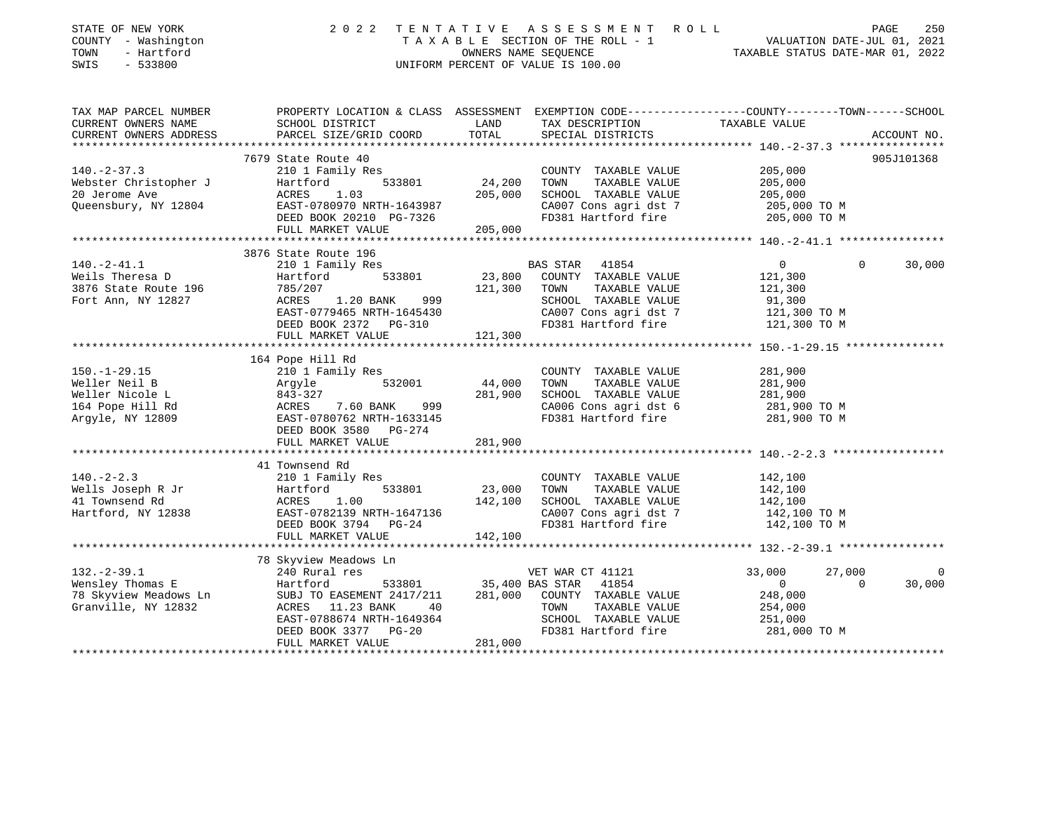| STATE OF NEW YORK<br>COUNTY - Washington<br>- Hartford<br>TOWN<br>$-533800$<br>SWIS             | 2 0 2 2                                                                                                                                                                                                    | TENTATIVE                    | A S S E S S M E N T<br>R O L L<br>TAXABLE SECTION OF THE ROLL - 1<br>OWNERS NAME SEQUENCE<br>UNIFORM PERCENT OF VALUE IS 100.00                                    | VALUATION DATE-JUL 01, 2021<br>TAXABLE STATUS DATE-MAR 01, 2022                   | PAGE               | 250         |
|-------------------------------------------------------------------------------------------------|------------------------------------------------------------------------------------------------------------------------------------------------------------------------------------------------------------|------------------------------|--------------------------------------------------------------------------------------------------------------------------------------------------------------------|-----------------------------------------------------------------------------------|--------------------|-------------|
| TAX MAP PARCEL NUMBER<br>CURRENT OWNERS NAME                                                    | PROPERTY LOCATION & CLASS ASSESSMENT EXEMPTION CODE----------------COUNTY-------TOWN-----SCHOOL<br>SCHOOL DISTRICT                                                                                         | LAND                         | TAX DESCRIPTION                                                                                                                                                    | TAXABLE VALUE                                                                     |                    |             |
| CURRENT OWNERS ADDRESS<br>**********************                                                | PARCEL SIZE/GRID COORD                                                                                                                                                                                     | TOTAL                        | SPECIAL DISTRICTS                                                                                                                                                  |                                                                                   |                    | ACCOUNT NO. |
|                                                                                                 | 7679 State Route 40                                                                                                                                                                                        |                              |                                                                                                                                                                    |                                                                                   |                    | 905J101368  |
| $140. - 2 - 37.3$<br>Webster Christopher J<br>20 Jerome Ave<br>Queensbury, NY 12804             | 210 1 Family Res<br>Hartford<br>533801<br>1.03<br>ACRES<br>EAST-0780970 NRTH-1643987<br>DEED BOOK 20210 PG-7326<br>FULL MARKET VALUE                                                                       | 24,200<br>205,000<br>205,000 | COUNTY TAXABLE VALUE<br>TOWN<br>TAXABLE VALUE<br>SCHOOL TAXABLE VALUE<br>CA007 Cons agri dst 7<br>FD381 Hartford fire                                              | 205,000<br>205,000<br>205,000<br>205,000 TO M<br>205,000 TO M                     |                    |             |
|                                                                                                 |                                                                                                                                                                                                            |                              |                                                                                                                                                                    |                                                                                   |                    |             |
| $140. -2 - 41.1$<br>Weils Theresa D<br>3876 State Route 196<br>Fort Ann, NY 12827               | 3876 State Route 196<br>210 1 Family Res<br>533801<br>Hartford<br>785/207<br>1.20 BANK<br>999<br>ACRES<br>EAST-0779465 NRTH-1645430<br>DEED BOOK 2372 PG-310<br>FULL MARKET VALUE                          | 121,300 TOWN                 | <b>BAS STAR</b><br>41854<br>23,800 COUNTY TAXABLE VALUE<br>TAXABLE VALUE<br>SCHOOL IAANSSEL<br>CAOO7 Cons agri dst 7<br>FD381 Hartford fire<br>FD381 Hartford fire | $0 \qquad \qquad$<br>121,300<br>121,300<br>91,300<br>121,300 TO M<br>121,300 TO M | $\mathbf 0$        | 30,000      |
|                                                                                                 |                                                                                                                                                                                                            |                              |                                                                                                                                                                    |                                                                                   |                    |             |
| $150. - 1 - 29.15$<br>Weller Neil B<br>Weller Nicole L<br>164 Pope Hill Rd<br>Argyle, NY 12809  | 164 Pope Hill Rd<br>210 1 Family Res<br>532001<br>Argyle<br>843-327<br>ACRES<br>ACRES 7.60 BANK 999<br>EAST-0780762 NRTH-1633145<br>7.60 BANK 999<br>DEED BOOK 3580 PG-274                                 | 44,000<br>281,900            | COUNTY TAXABLE VALUE<br>TOWN<br>TAXABLE VALUE<br>SCHOOL TAXABLE VALUE<br>CA006 Cons agri dst 6<br>FD381 Hartford fire                                              | 281,900<br>281,900<br>281,900<br>281,900 TO M<br>281,900 TO M                     |                    |             |
|                                                                                                 | FULL MARKET VALUE                                                                                                                                                                                          | 281,900                      |                                                                                                                                                                    |                                                                                   |                    |             |
| $140. - 2 - 2.3$<br>Wells Joseph R Jr<br>41 Townsend Rd<br>41 Townsend Rd<br>Hartford, NY 12838 | 41 Townsend Rd<br>210 1 Family Res<br>Hartford<br>533801<br>ACRES 1.00<br>EAST-0782139 NRTH-1647136<br>DEED BOOK 3794 PG-24<br>FULL MARKET VALUE                                                           | 23,000<br>142,100<br>142,100 | COUNTY TAXABLE VALUE<br>TAXABLE VALUE<br>TOWN<br>SCHOOL TAXABLE VALUE<br>CA007 Cons agri dst 7<br>FD381 Hartford fire                                              | 142,100<br>142,100<br>142,100<br>142,100 TO M<br>142,100 TO M                     |                    |             |
|                                                                                                 | ***********************                                                                                                                                                                                    |                              |                                                                                                                                                                    |                                                                                   |                    |             |
| $132. - 2 - 39.1$<br>Wensley Thomas E<br>78 Skyview Meadows Ln<br>Granville, NY 12832           | 78 Skyview Meadows Ln<br>240 Rural res<br>Hartford<br>533801<br>SUBJ TO EASEMENT 2417/211<br>ACRES 11.23 BANK<br>$\frac{40}{40}$<br>EAST-0788674 NRTH-1649364<br>DEED BOOK 3377 PG-20<br>FULL MARKET VALUE | 35,400 BAS STAR<br>281,000   | VET WAR CT 41121<br>41854<br>281,000 COUNTY TAXABLE VALUE<br>TOWN<br>TAXABLE VALUE<br>SCHOOL TAXABLE VALUE<br>FD381 Hartford fire                                  | 33,000<br>$\overline{0}$<br>248,000<br>254,000<br>251,000<br>281,000 TO M         | 27,000<br>$\Omega$ | 0<br>30,000 |
|                                                                                                 |                                                                                                                                                                                                            |                              |                                                                                                                                                                    |                                                                                   |                    |             |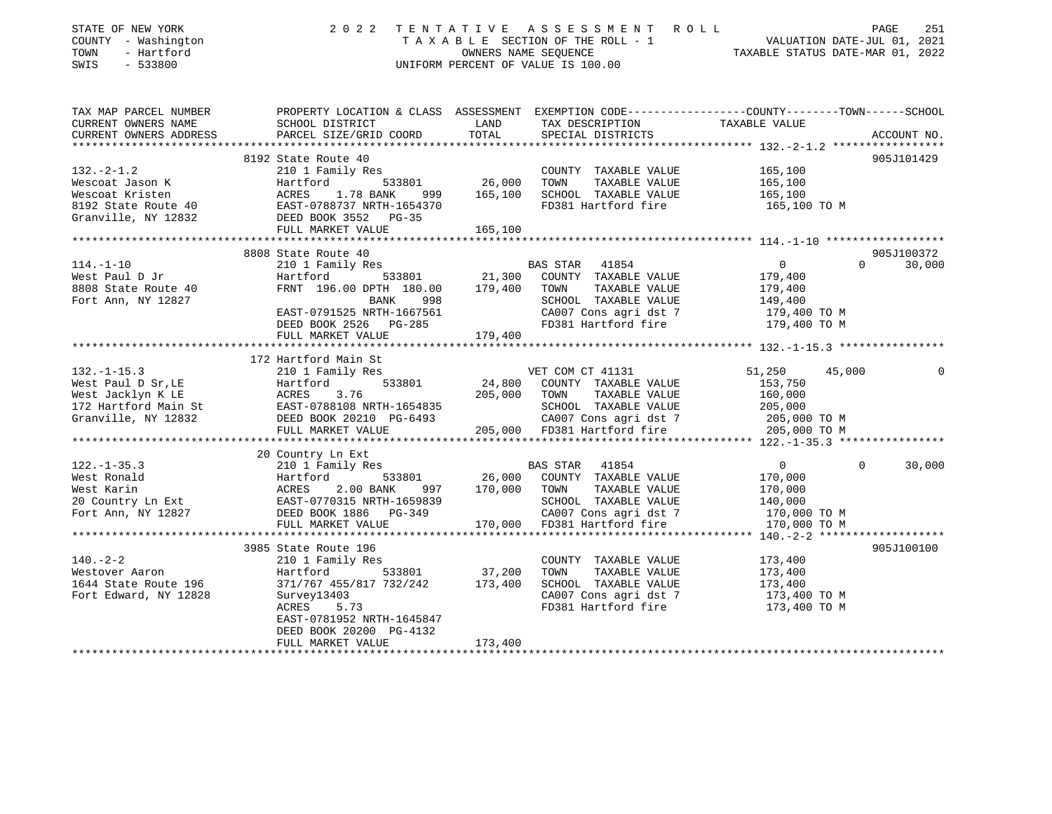| TAX MAP PARCEL NUMBER<br>PROPERTY LOCATION & CLASS ASSESSMENT EXEMPTION CODE----------------COUNTY-------TOWN------SCHOOL<br>TAXABLE VALUE<br>LAND<br>CURRENT OWNERS NAME<br>SCHOOL DISTRICT<br>TAX DESCRIPTION<br>TOTAL<br>CURRENT OWNERS ADDRESS<br>PARCEL SIZE/GRID COORD<br>SPECIAL DISTRICTS<br>ACCOUNT NO.<br>************<br>8192 State Route 40<br>905J101429<br>$132 - 2 - 1.2$<br>165,100<br>210 1 Family Res<br>COUNTY TAXABLE VALUE<br>Hartford 533801 26,000<br>Wescoat Jason K<br>TOWN<br>TAXABLE VALUE<br>165,100<br>Wescoat Kristen<br>ACRES 1.78 BANK<br>165,100<br>SCHOOL TAXABLE VALUE<br>999<br>165,100<br>8192 State Route 40<br>FD381 Hartford fire<br>EAST-0788737 NRTH-1654370<br>165,100 TO M<br>DEED BOOK 3552 PG-35<br>Granville, NY 12832<br>FULL MARKET VALUE<br>165,100<br>************************<br>8808 State Route 40<br>905J100372<br>$\overline{0}$<br>30,000<br>$114. - 1 - 10$<br>210 1 Family Res<br>BAS STAR 41854<br>$\Omega$<br>533801 21,300<br>West Paul D Jr<br>COUNTY TAXABLE VALUE<br>179,400<br>Hartford<br>FRNT 196.00 DPTH 180.00 179,400<br>8808 State Route 40<br>TOWN<br>TAXABLE VALUE<br>179,400<br>Fort Ann, NY 12827<br>BANK<br>998<br>SCHOOL TAXABLE VALUE<br>149,400<br>CA007 Cons agri dst 7<br>EAST-0791525 NRTH-1667561<br>179,400 TO M<br>FD381 Hartford fire<br>179,400 TO M<br>DEED BOOK 2526 PG-285<br>FULL MARKET VALUE<br>179,400<br>172 Hartford Main St<br>$132. - 1 - 15.3$<br>VET COM CT 41131<br>51,250<br>210 1 Family Res<br>45,000<br>$\Omega$<br>Hartford<br>West Paul D Sr, LE<br>533801<br>24,800<br>COUNTY TAXABLE VALUE<br>153,750<br>West Jacklyn K LE<br>ACRES<br>3.76<br>205,000 TOWN<br>TAXABLE VALUE<br>160,000<br>172 Hartford Main St<br>SCHOOL TAXABLE VALUE<br>205,000<br>EAST-0788108 NRTH-1654835<br>Granville, NY 12832<br>DEED BOOK 20210 PG-6493<br>CA007 Cons agri dst 7<br>205,000 TO M<br>FULL MARKET VALUE<br>205,000 FD381 Hartford fire<br>205,000 TO M<br>*** 122.-1-35.3 ****************<br>20 Country Ln Ext<br>210 1 Family Res<br>$122. - 1 - 35.3$<br>41854<br>$\overline{0}$<br>BAS STAR<br>$\Omega$<br>30,000<br>Hartford<br>Hartford 533801 26,000<br>ACRES 2.00 BANK 997 170,000<br>EAST-0770315 NRTH-1659839<br>West Ronald<br>COUNTY TAXABLE VALUE<br>170,000<br>West Karin<br>997 170,000 TOWN<br>TAXABLE VALUE<br>170,000<br>20 Country Ln Ext<br>Fort Ann, NY 12827<br>SCHOOL TAXABLE VALUE<br>140,000<br>Fort Ann, NY 12827<br>DEED BOOK 1886 PG-349<br>CA007 Cons agri dst 7<br>170,000 TO M<br>170,000<br>FD381 Hartford fire<br>170,000 TO M<br>FULL MARKET VALUE<br>***************************<br>3985 State Route 196<br>905J100100<br>$140. -2 - 2$<br>COUNTY TAXABLE VALUE<br>173,400<br>210 1 Family Res<br>37,200<br>Westover Aaron<br>Hartford<br>533801<br>TOWN<br>TAXABLE VALUE<br>173,400<br>173,400<br>371/767 455/817 732/242<br>1644 State Route 196<br>SCHOOL TAXABLE VALUE<br>173,400<br>Fort Edward, NY 12828<br>CA007 Cons agri dst 7<br>173,400 TO M<br>Survey13403<br>FD381 Hartford fire<br>ACRES<br>5.73<br>173,400 TO M<br>EAST-0781952 NRTH-1645847<br>DEED BOOK 20200 PG-4132<br>FULL MARKET VALUE<br>173,400 | STATE OF NEW YORK<br>2022 TENTATIVE ASSESSMENT ROLL<br>TAXABLE SECTION OF THE ROLL - 1<br>OWNERS NAME SEQUENCE TP<br>251<br>PAGE<br>TENIAIIVE ASSESSMENT AVOID<br>TAXABLE SECTION OF THE ROLL - 1 VALUATION DATE-JUL 01, 2021<br>OWNERS NAME SEQUENCE TAXABLE STATUS DATE-MAR 01, 2022<br>COUNTY - Washington<br>TOWN<br>- Hartford<br>SWIS<br>$-533800$<br>UNIFORM PERCENT OF VALUE IS 100.00 |  |  |  |  |  |  |  |  |  |  |
|-----------------------------------------------------------------------------------------------------------------------------------------------------------------------------------------------------------------------------------------------------------------------------------------------------------------------------------------------------------------------------------------------------------------------------------------------------------------------------------------------------------------------------------------------------------------------------------------------------------------------------------------------------------------------------------------------------------------------------------------------------------------------------------------------------------------------------------------------------------------------------------------------------------------------------------------------------------------------------------------------------------------------------------------------------------------------------------------------------------------------------------------------------------------------------------------------------------------------------------------------------------------------------------------------------------------------------------------------------------------------------------------------------------------------------------------------------------------------------------------------------------------------------------------------------------------------------------------------------------------------------------------------------------------------------------------------------------------------------------------------------------------------------------------------------------------------------------------------------------------------------------------------------------------------------------------------------------------------------------------------------------------------------------------------------------------------------------------------------------------------------------------------------------------------------------------------------------------------------------------------------------------------------------------------------------------------------------------------------------------------------------------------------------------------------------------------------------------------------------------------------------------------------------------------------------------------------------------------------------------------------------------------------------------------------------------------------------------------------------------------------------------------------------------------------------------------------------------------------------------------------------------------------------------------------------------------------------------------------------------------------------------------------------------------------------------------------------------------------------------------------------------------------------------|------------------------------------------------------------------------------------------------------------------------------------------------------------------------------------------------------------------------------------------------------------------------------------------------------------------------------------------------------------------------------------------------|--|--|--|--|--|--|--|--|--|--|
|                                                                                                                                                                                                                                                                                                                                                                                                                                                                                                                                                                                                                                                                                                                                                                                                                                                                                                                                                                                                                                                                                                                                                                                                                                                                                                                                                                                                                                                                                                                                                                                                                                                                                                                                                                                                                                                                                                                                                                                                                                                                                                                                                                                                                                                                                                                                                                                                                                                                                                                                                                                                                                                                                                                                                                                                                                                                                                                                                                                                                                                                                                                                                                 |                                                                                                                                                                                                                                                                                                                                                                                                |  |  |  |  |  |  |  |  |  |  |
|                                                                                                                                                                                                                                                                                                                                                                                                                                                                                                                                                                                                                                                                                                                                                                                                                                                                                                                                                                                                                                                                                                                                                                                                                                                                                                                                                                                                                                                                                                                                                                                                                                                                                                                                                                                                                                                                                                                                                                                                                                                                                                                                                                                                                                                                                                                                                                                                                                                                                                                                                                                                                                                                                                                                                                                                                                                                                                                                                                                                                                                                                                                                                                 |                                                                                                                                                                                                                                                                                                                                                                                                |  |  |  |  |  |  |  |  |  |  |
|                                                                                                                                                                                                                                                                                                                                                                                                                                                                                                                                                                                                                                                                                                                                                                                                                                                                                                                                                                                                                                                                                                                                                                                                                                                                                                                                                                                                                                                                                                                                                                                                                                                                                                                                                                                                                                                                                                                                                                                                                                                                                                                                                                                                                                                                                                                                                                                                                                                                                                                                                                                                                                                                                                                                                                                                                                                                                                                                                                                                                                                                                                                                                                 |                                                                                                                                                                                                                                                                                                                                                                                                |  |  |  |  |  |  |  |  |  |  |
|                                                                                                                                                                                                                                                                                                                                                                                                                                                                                                                                                                                                                                                                                                                                                                                                                                                                                                                                                                                                                                                                                                                                                                                                                                                                                                                                                                                                                                                                                                                                                                                                                                                                                                                                                                                                                                                                                                                                                                                                                                                                                                                                                                                                                                                                                                                                                                                                                                                                                                                                                                                                                                                                                                                                                                                                                                                                                                                                                                                                                                                                                                                                                                 |                                                                                                                                                                                                                                                                                                                                                                                                |  |  |  |  |  |  |  |  |  |  |
|                                                                                                                                                                                                                                                                                                                                                                                                                                                                                                                                                                                                                                                                                                                                                                                                                                                                                                                                                                                                                                                                                                                                                                                                                                                                                                                                                                                                                                                                                                                                                                                                                                                                                                                                                                                                                                                                                                                                                                                                                                                                                                                                                                                                                                                                                                                                                                                                                                                                                                                                                                                                                                                                                                                                                                                                                                                                                                                                                                                                                                                                                                                                                                 |                                                                                                                                                                                                                                                                                                                                                                                                |  |  |  |  |  |  |  |  |  |  |
|                                                                                                                                                                                                                                                                                                                                                                                                                                                                                                                                                                                                                                                                                                                                                                                                                                                                                                                                                                                                                                                                                                                                                                                                                                                                                                                                                                                                                                                                                                                                                                                                                                                                                                                                                                                                                                                                                                                                                                                                                                                                                                                                                                                                                                                                                                                                                                                                                                                                                                                                                                                                                                                                                                                                                                                                                                                                                                                                                                                                                                                                                                                                                                 |                                                                                                                                                                                                                                                                                                                                                                                                |  |  |  |  |  |  |  |  |  |  |
|                                                                                                                                                                                                                                                                                                                                                                                                                                                                                                                                                                                                                                                                                                                                                                                                                                                                                                                                                                                                                                                                                                                                                                                                                                                                                                                                                                                                                                                                                                                                                                                                                                                                                                                                                                                                                                                                                                                                                                                                                                                                                                                                                                                                                                                                                                                                                                                                                                                                                                                                                                                                                                                                                                                                                                                                                                                                                                                                                                                                                                                                                                                                                                 |                                                                                                                                                                                                                                                                                                                                                                                                |  |  |  |  |  |  |  |  |  |  |
|                                                                                                                                                                                                                                                                                                                                                                                                                                                                                                                                                                                                                                                                                                                                                                                                                                                                                                                                                                                                                                                                                                                                                                                                                                                                                                                                                                                                                                                                                                                                                                                                                                                                                                                                                                                                                                                                                                                                                                                                                                                                                                                                                                                                                                                                                                                                                                                                                                                                                                                                                                                                                                                                                                                                                                                                                                                                                                                                                                                                                                                                                                                                                                 |                                                                                                                                                                                                                                                                                                                                                                                                |  |  |  |  |  |  |  |  |  |  |
|                                                                                                                                                                                                                                                                                                                                                                                                                                                                                                                                                                                                                                                                                                                                                                                                                                                                                                                                                                                                                                                                                                                                                                                                                                                                                                                                                                                                                                                                                                                                                                                                                                                                                                                                                                                                                                                                                                                                                                                                                                                                                                                                                                                                                                                                                                                                                                                                                                                                                                                                                                                                                                                                                                                                                                                                                                                                                                                                                                                                                                                                                                                                                                 |                                                                                                                                                                                                                                                                                                                                                                                                |  |  |  |  |  |  |  |  |  |  |
|                                                                                                                                                                                                                                                                                                                                                                                                                                                                                                                                                                                                                                                                                                                                                                                                                                                                                                                                                                                                                                                                                                                                                                                                                                                                                                                                                                                                                                                                                                                                                                                                                                                                                                                                                                                                                                                                                                                                                                                                                                                                                                                                                                                                                                                                                                                                                                                                                                                                                                                                                                                                                                                                                                                                                                                                                                                                                                                                                                                                                                                                                                                                                                 |                                                                                                                                                                                                                                                                                                                                                                                                |  |  |  |  |  |  |  |  |  |  |
|                                                                                                                                                                                                                                                                                                                                                                                                                                                                                                                                                                                                                                                                                                                                                                                                                                                                                                                                                                                                                                                                                                                                                                                                                                                                                                                                                                                                                                                                                                                                                                                                                                                                                                                                                                                                                                                                                                                                                                                                                                                                                                                                                                                                                                                                                                                                                                                                                                                                                                                                                                                                                                                                                                                                                                                                                                                                                                                                                                                                                                                                                                                                                                 |                                                                                                                                                                                                                                                                                                                                                                                                |  |  |  |  |  |  |  |  |  |  |
|                                                                                                                                                                                                                                                                                                                                                                                                                                                                                                                                                                                                                                                                                                                                                                                                                                                                                                                                                                                                                                                                                                                                                                                                                                                                                                                                                                                                                                                                                                                                                                                                                                                                                                                                                                                                                                                                                                                                                                                                                                                                                                                                                                                                                                                                                                                                                                                                                                                                                                                                                                                                                                                                                                                                                                                                                                                                                                                                                                                                                                                                                                                                                                 |                                                                                                                                                                                                                                                                                                                                                                                                |  |  |  |  |  |  |  |  |  |  |
|                                                                                                                                                                                                                                                                                                                                                                                                                                                                                                                                                                                                                                                                                                                                                                                                                                                                                                                                                                                                                                                                                                                                                                                                                                                                                                                                                                                                                                                                                                                                                                                                                                                                                                                                                                                                                                                                                                                                                                                                                                                                                                                                                                                                                                                                                                                                                                                                                                                                                                                                                                                                                                                                                                                                                                                                                                                                                                                                                                                                                                                                                                                                                                 |                                                                                                                                                                                                                                                                                                                                                                                                |  |  |  |  |  |  |  |  |  |  |
|                                                                                                                                                                                                                                                                                                                                                                                                                                                                                                                                                                                                                                                                                                                                                                                                                                                                                                                                                                                                                                                                                                                                                                                                                                                                                                                                                                                                                                                                                                                                                                                                                                                                                                                                                                                                                                                                                                                                                                                                                                                                                                                                                                                                                                                                                                                                                                                                                                                                                                                                                                                                                                                                                                                                                                                                                                                                                                                                                                                                                                                                                                                                                                 |                                                                                                                                                                                                                                                                                                                                                                                                |  |  |  |  |  |  |  |  |  |  |
|                                                                                                                                                                                                                                                                                                                                                                                                                                                                                                                                                                                                                                                                                                                                                                                                                                                                                                                                                                                                                                                                                                                                                                                                                                                                                                                                                                                                                                                                                                                                                                                                                                                                                                                                                                                                                                                                                                                                                                                                                                                                                                                                                                                                                                                                                                                                                                                                                                                                                                                                                                                                                                                                                                                                                                                                                                                                                                                                                                                                                                                                                                                                                                 |                                                                                                                                                                                                                                                                                                                                                                                                |  |  |  |  |  |  |  |  |  |  |
|                                                                                                                                                                                                                                                                                                                                                                                                                                                                                                                                                                                                                                                                                                                                                                                                                                                                                                                                                                                                                                                                                                                                                                                                                                                                                                                                                                                                                                                                                                                                                                                                                                                                                                                                                                                                                                                                                                                                                                                                                                                                                                                                                                                                                                                                                                                                                                                                                                                                                                                                                                                                                                                                                                                                                                                                                                                                                                                                                                                                                                                                                                                                                                 |                                                                                                                                                                                                                                                                                                                                                                                                |  |  |  |  |  |  |  |  |  |  |
|                                                                                                                                                                                                                                                                                                                                                                                                                                                                                                                                                                                                                                                                                                                                                                                                                                                                                                                                                                                                                                                                                                                                                                                                                                                                                                                                                                                                                                                                                                                                                                                                                                                                                                                                                                                                                                                                                                                                                                                                                                                                                                                                                                                                                                                                                                                                                                                                                                                                                                                                                                                                                                                                                                                                                                                                                                                                                                                                                                                                                                                                                                                                                                 |                                                                                                                                                                                                                                                                                                                                                                                                |  |  |  |  |  |  |  |  |  |  |
|                                                                                                                                                                                                                                                                                                                                                                                                                                                                                                                                                                                                                                                                                                                                                                                                                                                                                                                                                                                                                                                                                                                                                                                                                                                                                                                                                                                                                                                                                                                                                                                                                                                                                                                                                                                                                                                                                                                                                                                                                                                                                                                                                                                                                                                                                                                                                                                                                                                                                                                                                                                                                                                                                                                                                                                                                                                                                                                                                                                                                                                                                                                                                                 |                                                                                                                                                                                                                                                                                                                                                                                                |  |  |  |  |  |  |  |  |  |  |
|                                                                                                                                                                                                                                                                                                                                                                                                                                                                                                                                                                                                                                                                                                                                                                                                                                                                                                                                                                                                                                                                                                                                                                                                                                                                                                                                                                                                                                                                                                                                                                                                                                                                                                                                                                                                                                                                                                                                                                                                                                                                                                                                                                                                                                                                                                                                                                                                                                                                                                                                                                                                                                                                                                                                                                                                                                                                                                                                                                                                                                                                                                                                                                 |                                                                                                                                                                                                                                                                                                                                                                                                |  |  |  |  |  |  |  |  |  |  |
|                                                                                                                                                                                                                                                                                                                                                                                                                                                                                                                                                                                                                                                                                                                                                                                                                                                                                                                                                                                                                                                                                                                                                                                                                                                                                                                                                                                                                                                                                                                                                                                                                                                                                                                                                                                                                                                                                                                                                                                                                                                                                                                                                                                                                                                                                                                                                                                                                                                                                                                                                                                                                                                                                                                                                                                                                                                                                                                                                                                                                                                                                                                                                                 |                                                                                                                                                                                                                                                                                                                                                                                                |  |  |  |  |  |  |  |  |  |  |
|                                                                                                                                                                                                                                                                                                                                                                                                                                                                                                                                                                                                                                                                                                                                                                                                                                                                                                                                                                                                                                                                                                                                                                                                                                                                                                                                                                                                                                                                                                                                                                                                                                                                                                                                                                                                                                                                                                                                                                                                                                                                                                                                                                                                                                                                                                                                                                                                                                                                                                                                                                                                                                                                                                                                                                                                                                                                                                                                                                                                                                                                                                                                                                 |                                                                                                                                                                                                                                                                                                                                                                                                |  |  |  |  |  |  |  |  |  |  |
|                                                                                                                                                                                                                                                                                                                                                                                                                                                                                                                                                                                                                                                                                                                                                                                                                                                                                                                                                                                                                                                                                                                                                                                                                                                                                                                                                                                                                                                                                                                                                                                                                                                                                                                                                                                                                                                                                                                                                                                                                                                                                                                                                                                                                                                                                                                                                                                                                                                                                                                                                                                                                                                                                                                                                                                                                                                                                                                                                                                                                                                                                                                                                                 |                                                                                                                                                                                                                                                                                                                                                                                                |  |  |  |  |  |  |  |  |  |  |
|                                                                                                                                                                                                                                                                                                                                                                                                                                                                                                                                                                                                                                                                                                                                                                                                                                                                                                                                                                                                                                                                                                                                                                                                                                                                                                                                                                                                                                                                                                                                                                                                                                                                                                                                                                                                                                                                                                                                                                                                                                                                                                                                                                                                                                                                                                                                                                                                                                                                                                                                                                                                                                                                                                                                                                                                                                                                                                                                                                                                                                                                                                                                                                 |                                                                                                                                                                                                                                                                                                                                                                                                |  |  |  |  |  |  |  |  |  |  |
|                                                                                                                                                                                                                                                                                                                                                                                                                                                                                                                                                                                                                                                                                                                                                                                                                                                                                                                                                                                                                                                                                                                                                                                                                                                                                                                                                                                                                                                                                                                                                                                                                                                                                                                                                                                                                                                                                                                                                                                                                                                                                                                                                                                                                                                                                                                                                                                                                                                                                                                                                                                                                                                                                                                                                                                                                                                                                                                                                                                                                                                                                                                                                                 |                                                                                                                                                                                                                                                                                                                                                                                                |  |  |  |  |  |  |  |  |  |  |
|                                                                                                                                                                                                                                                                                                                                                                                                                                                                                                                                                                                                                                                                                                                                                                                                                                                                                                                                                                                                                                                                                                                                                                                                                                                                                                                                                                                                                                                                                                                                                                                                                                                                                                                                                                                                                                                                                                                                                                                                                                                                                                                                                                                                                                                                                                                                                                                                                                                                                                                                                                                                                                                                                                                                                                                                                                                                                                                                                                                                                                                                                                                                                                 |                                                                                                                                                                                                                                                                                                                                                                                                |  |  |  |  |  |  |  |  |  |  |
|                                                                                                                                                                                                                                                                                                                                                                                                                                                                                                                                                                                                                                                                                                                                                                                                                                                                                                                                                                                                                                                                                                                                                                                                                                                                                                                                                                                                                                                                                                                                                                                                                                                                                                                                                                                                                                                                                                                                                                                                                                                                                                                                                                                                                                                                                                                                                                                                                                                                                                                                                                                                                                                                                                                                                                                                                                                                                                                                                                                                                                                                                                                                                                 |                                                                                                                                                                                                                                                                                                                                                                                                |  |  |  |  |  |  |  |  |  |  |
|                                                                                                                                                                                                                                                                                                                                                                                                                                                                                                                                                                                                                                                                                                                                                                                                                                                                                                                                                                                                                                                                                                                                                                                                                                                                                                                                                                                                                                                                                                                                                                                                                                                                                                                                                                                                                                                                                                                                                                                                                                                                                                                                                                                                                                                                                                                                                                                                                                                                                                                                                                                                                                                                                                                                                                                                                                                                                                                                                                                                                                                                                                                                                                 |                                                                                                                                                                                                                                                                                                                                                                                                |  |  |  |  |  |  |  |  |  |  |
|                                                                                                                                                                                                                                                                                                                                                                                                                                                                                                                                                                                                                                                                                                                                                                                                                                                                                                                                                                                                                                                                                                                                                                                                                                                                                                                                                                                                                                                                                                                                                                                                                                                                                                                                                                                                                                                                                                                                                                                                                                                                                                                                                                                                                                                                                                                                                                                                                                                                                                                                                                                                                                                                                                                                                                                                                                                                                                                                                                                                                                                                                                                                                                 |                                                                                                                                                                                                                                                                                                                                                                                                |  |  |  |  |  |  |  |  |  |  |
|                                                                                                                                                                                                                                                                                                                                                                                                                                                                                                                                                                                                                                                                                                                                                                                                                                                                                                                                                                                                                                                                                                                                                                                                                                                                                                                                                                                                                                                                                                                                                                                                                                                                                                                                                                                                                                                                                                                                                                                                                                                                                                                                                                                                                                                                                                                                                                                                                                                                                                                                                                                                                                                                                                                                                                                                                                                                                                                                                                                                                                                                                                                                                                 |                                                                                                                                                                                                                                                                                                                                                                                                |  |  |  |  |  |  |  |  |  |  |
|                                                                                                                                                                                                                                                                                                                                                                                                                                                                                                                                                                                                                                                                                                                                                                                                                                                                                                                                                                                                                                                                                                                                                                                                                                                                                                                                                                                                                                                                                                                                                                                                                                                                                                                                                                                                                                                                                                                                                                                                                                                                                                                                                                                                                                                                                                                                                                                                                                                                                                                                                                                                                                                                                                                                                                                                                                                                                                                                                                                                                                                                                                                                                                 |                                                                                                                                                                                                                                                                                                                                                                                                |  |  |  |  |  |  |  |  |  |  |
|                                                                                                                                                                                                                                                                                                                                                                                                                                                                                                                                                                                                                                                                                                                                                                                                                                                                                                                                                                                                                                                                                                                                                                                                                                                                                                                                                                                                                                                                                                                                                                                                                                                                                                                                                                                                                                                                                                                                                                                                                                                                                                                                                                                                                                                                                                                                                                                                                                                                                                                                                                                                                                                                                                                                                                                                                                                                                                                                                                                                                                                                                                                                                                 |                                                                                                                                                                                                                                                                                                                                                                                                |  |  |  |  |  |  |  |  |  |  |
|                                                                                                                                                                                                                                                                                                                                                                                                                                                                                                                                                                                                                                                                                                                                                                                                                                                                                                                                                                                                                                                                                                                                                                                                                                                                                                                                                                                                                                                                                                                                                                                                                                                                                                                                                                                                                                                                                                                                                                                                                                                                                                                                                                                                                                                                                                                                                                                                                                                                                                                                                                                                                                                                                                                                                                                                                                                                                                                                                                                                                                                                                                                                                                 |                                                                                                                                                                                                                                                                                                                                                                                                |  |  |  |  |  |  |  |  |  |  |
|                                                                                                                                                                                                                                                                                                                                                                                                                                                                                                                                                                                                                                                                                                                                                                                                                                                                                                                                                                                                                                                                                                                                                                                                                                                                                                                                                                                                                                                                                                                                                                                                                                                                                                                                                                                                                                                                                                                                                                                                                                                                                                                                                                                                                                                                                                                                                                                                                                                                                                                                                                                                                                                                                                                                                                                                                                                                                                                                                                                                                                                                                                                                                                 |                                                                                                                                                                                                                                                                                                                                                                                                |  |  |  |  |  |  |  |  |  |  |
|                                                                                                                                                                                                                                                                                                                                                                                                                                                                                                                                                                                                                                                                                                                                                                                                                                                                                                                                                                                                                                                                                                                                                                                                                                                                                                                                                                                                                                                                                                                                                                                                                                                                                                                                                                                                                                                                                                                                                                                                                                                                                                                                                                                                                                                                                                                                                                                                                                                                                                                                                                                                                                                                                                                                                                                                                                                                                                                                                                                                                                                                                                                                                                 |                                                                                                                                                                                                                                                                                                                                                                                                |  |  |  |  |  |  |  |  |  |  |
|                                                                                                                                                                                                                                                                                                                                                                                                                                                                                                                                                                                                                                                                                                                                                                                                                                                                                                                                                                                                                                                                                                                                                                                                                                                                                                                                                                                                                                                                                                                                                                                                                                                                                                                                                                                                                                                                                                                                                                                                                                                                                                                                                                                                                                                                                                                                                                                                                                                                                                                                                                                                                                                                                                                                                                                                                                                                                                                                                                                                                                                                                                                                                                 |                                                                                                                                                                                                                                                                                                                                                                                                |  |  |  |  |  |  |  |  |  |  |
|                                                                                                                                                                                                                                                                                                                                                                                                                                                                                                                                                                                                                                                                                                                                                                                                                                                                                                                                                                                                                                                                                                                                                                                                                                                                                                                                                                                                                                                                                                                                                                                                                                                                                                                                                                                                                                                                                                                                                                                                                                                                                                                                                                                                                                                                                                                                                                                                                                                                                                                                                                                                                                                                                                                                                                                                                                                                                                                                                                                                                                                                                                                                                                 |                                                                                                                                                                                                                                                                                                                                                                                                |  |  |  |  |  |  |  |  |  |  |
|                                                                                                                                                                                                                                                                                                                                                                                                                                                                                                                                                                                                                                                                                                                                                                                                                                                                                                                                                                                                                                                                                                                                                                                                                                                                                                                                                                                                                                                                                                                                                                                                                                                                                                                                                                                                                                                                                                                                                                                                                                                                                                                                                                                                                                                                                                                                                                                                                                                                                                                                                                                                                                                                                                                                                                                                                                                                                                                                                                                                                                                                                                                                                                 |                                                                                                                                                                                                                                                                                                                                                                                                |  |  |  |  |  |  |  |  |  |  |
|                                                                                                                                                                                                                                                                                                                                                                                                                                                                                                                                                                                                                                                                                                                                                                                                                                                                                                                                                                                                                                                                                                                                                                                                                                                                                                                                                                                                                                                                                                                                                                                                                                                                                                                                                                                                                                                                                                                                                                                                                                                                                                                                                                                                                                                                                                                                                                                                                                                                                                                                                                                                                                                                                                                                                                                                                                                                                                                                                                                                                                                                                                                                                                 |                                                                                                                                                                                                                                                                                                                                                                                                |  |  |  |  |  |  |  |  |  |  |
|                                                                                                                                                                                                                                                                                                                                                                                                                                                                                                                                                                                                                                                                                                                                                                                                                                                                                                                                                                                                                                                                                                                                                                                                                                                                                                                                                                                                                                                                                                                                                                                                                                                                                                                                                                                                                                                                                                                                                                                                                                                                                                                                                                                                                                                                                                                                                                                                                                                                                                                                                                                                                                                                                                                                                                                                                                                                                                                                                                                                                                                                                                                                                                 |                                                                                                                                                                                                                                                                                                                                                                                                |  |  |  |  |  |  |  |  |  |  |
|                                                                                                                                                                                                                                                                                                                                                                                                                                                                                                                                                                                                                                                                                                                                                                                                                                                                                                                                                                                                                                                                                                                                                                                                                                                                                                                                                                                                                                                                                                                                                                                                                                                                                                                                                                                                                                                                                                                                                                                                                                                                                                                                                                                                                                                                                                                                                                                                                                                                                                                                                                                                                                                                                                                                                                                                                                                                                                                                                                                                                                                                                                                                                                 |                                                                                                                                                                                                                                                                                                                                                                                                |  |  |  |  |  |  |  |  |  |  |
|                                                                                                                                                                                                                                                                                                                                                                                                                                                                                                                                                                                                                                                                                                                                                                                                                                                                                                                                                                                                                                                                                                                                                                                                                                                                                                                                                                                                                                                                                                                                                                                                                                                                                                                                                                                                                                                                                                                                                                                                                                                                                                                                                                                                                                                                                                                                                                                                                                                                                                                                                                                                                                                                                                                                                                                                                                                                                                                                                                                                                                                                                                                                                                 |                                                                                                                                                                                                                                                                                                                                                                                                |  |  |  |  |  |  |  |  |  |  |
|                                                                                                                                                                                                                                                                                                                                                                                                                                                                                                                                                                                                                                                                                                                                                                                                                                                                                                                                                                                                                                                                                                                                                                                                                                                                                                                                                                                                                                                                                                                                                                                                                                                                                                                                                                                                                                                                                                                                                                                                                                                                                                                                                                                                                                                                                                                                                                                                                                                                                                                                                                                                                                                                                                                                                                                                                                                                                                                                                                                                                                                                                                                                                                 |                                                                                                                                                                                                                                                                                                                                                                                                |  |  |  |  |  |  |  |  |  |  |
|                                                                                                                                                                                                                                                                                                                                                                                                                                                                                                                                                                                                                                                                                                                                                                                                                                                                                                                                                                                                                                                                                                                                                                                                                                                                                                                                                                                                                                                                                                                                                                                                                                                                                                                                                                                                                                                                                                                                                                                                                                                                                                                                                                                                                                                                                                                                                                                                                                                                                                                                                                                                                                                                                                                                                                                                                                                                                                                                                                                                                                                                                                                                                                 |                                                                                                                                                                                                                                                                                                                                                                                                |  |  |  |  |  |  |  |  |  |  |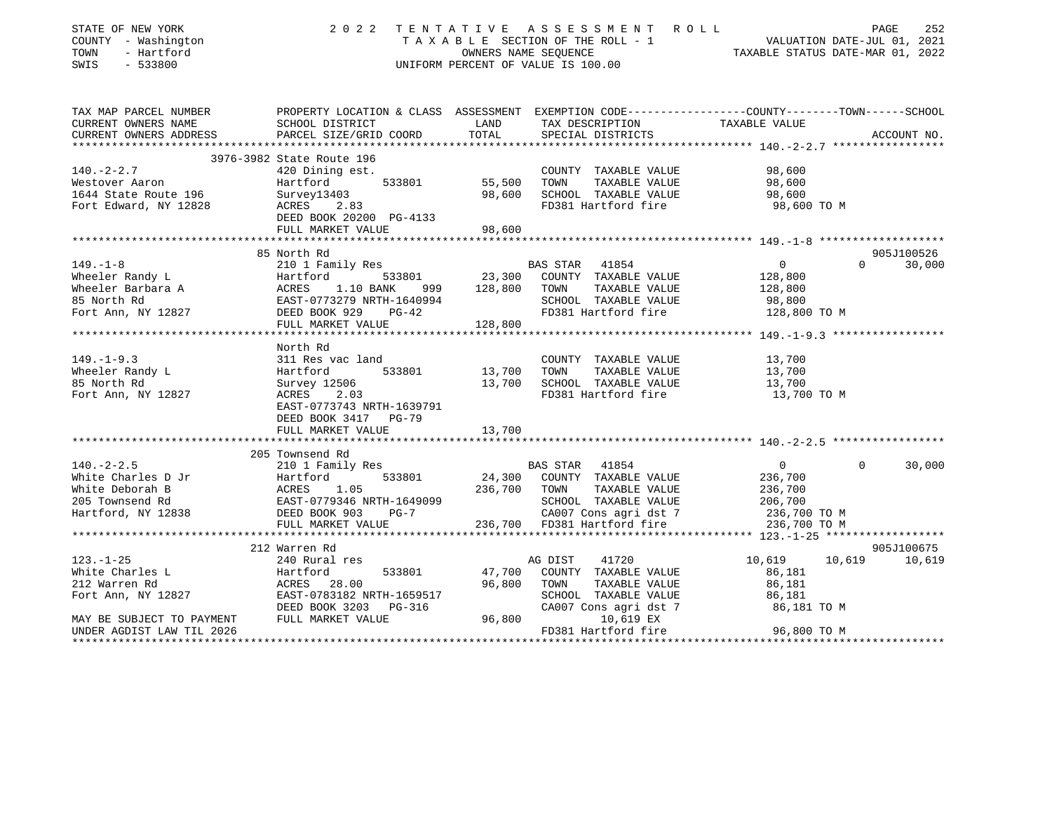| STATE OF NEW YORK<br>COUNTY - Washington<br>TOWN<br>- Hartford<br>SWIS<br>$-533800$                                                                                                                                                                                                                                                                                                                                       | 2022 TENTATIVE ASSESSMENT ROLL<br>UNIFORM PERCENT OF VALUE IS 100.00                                                                        | TENTATIVE ASSESSMENT ROLL<br>TAXABLE SECTION OF THE ROLL - 1 VALUATION DATE-JUL 01, 2021<br>OWNERS NAME SEQUENCE TAXABLE STATUS DATE-MAR 01, 2022 |                                                      |                               |             |
|---------------------------------------------------------------------------------------------------------------------------------------------------------------------------------------------------------------------------------------------------------------------------------------------------------------------------------------------------------------------------------------------------------------------------|---------------------------------------------------------------------------------------------------------------------------------------------|---------------------------------------------------------------------------------------------------------------------------------------------------|------------------------------------------------------|-------------------------------|-------------|
|                                                                                                                                                                                                                                                                                                                                                                                                                           |                                                                                                                                             |                                                                                                                                                   |                                                      |                               |             |
| CURRENT OWNERS NAME                                                                                                                                                                                                                                                                                                                                                                                                       | TAX MAP PARCEL NUMBER THE PROPERTY LOCATION & CLASS ASSESSMENT EXEMPTION CODE--------------COUNTY-------TOWN------SCHOOL<br>SCHOOL DISTRICT | LAND                                                                                                                                              | TAX DESCRIPTION                                      | TAXABLE VALUE                 |             |
| CURRENT OWNERS ADDRESS                                                                                                                                                                                                                                                                                                                                                                                                    | PARCEL SIZE/GRID COORD                                                                                                                      | TOTAL                                                                                                                                             | SPECIAL DISTRICTS                                    |                               | ACCOUNT NO. |
|                                                                                                                                                                                                                                                                                                                                                                                                                           |                                                                                                                                             |                                                                                                                                                   |                                                      |                               |             |
| $140. -2 - 2.7$                                                                                                                                                                                                                                                                                                                                                                                                           | 3976-3982 State Route 196                                                                                                                   |                                                                                                                                                   |                                                      |                               |             |
| Westover Aaron                                                                                                                                                                                                                                                                                                                                                                                                            | 420 Dining est.<br>533801<br>Hartford                                                                                                       |                                                                                                                                                   | COUNTY TAXABLE VALUE<br>TAXABLE VALUE<br>TOWN        | 98,600<br>98,600              |             |
| 1644 State Route 196                                                                                                                                                                                                                                                                                                                                                                                                      | Survey13403                                                                                                                                 | 55,500<br>98,600<br>98,600                                                                                                                        | SCHOOL TAXABLE VALUE                                 | 98,600                        |             |
| Fort Edward, NY 12828                                                                                                                                                                                                                                                                                                                                                                                                     | ACRES 2.83                                                                                                                                  |                                                                                                                                                   | FD381 Hartford fire                                  | 98,600 TO M                   |             |
|                                                                                                                                                                                                                                                                                                                                                                                                                           | DEED BOOK 20200 PG-4133                                                                                                                     |                                                                                                                                                   |                                                      |                               |             |
|                                                                                                                                                                                                                                                                                                                                                                                                                           | FULL MARKET VALUE                                                                                                                           | 98,600                                                                                                                                            |                                                      |                               |             |
|                                                                                                                                                                                                                                                                                                                                                                                                                           |                                                                                                                                             |                                                                                                                                                   |                                                      |                               |             |
|                                                                                                                                                                                                                                                                                                                                                                                                                           | 85 North Rd                                                                                                                                 |                                                                                                                                                   |                                                      | $\Omega$                      | 905J100526  |
| $149. - 1 - 8$                                                                                                                                                                                                                                                                                                                                                                                                            | 210 1 Family Res                                                                                                                            |                                                                                                                                                   | BAS STAR 41854<br>533801 23,300 COUNTY TAXABLE VALUE | $\overline{0}$<br>128,800     | 30,000      |
|                                                                                                                                                                                                                                                                                                                                                                                                                           |                                                                                                                                             |                                                                                                                                                   | TAXABLE VALUE                                        | 128,800                       |             |
|                                                                                                                                                                                                                                                                                                                                                                                                                           |                                                                                                                                             |                                                                                                                                                   | SCHOOL TAXABLE VALUE                                 |                               |             |
| Vietler Randy Land Meeter Barbara A and Hartford 533801 23,300 COUNTY<br>Wheeler Barbara A ACRES 1.10 BANK 999 128,800 TOWN<br>85 North Rd EAST-0773279 NRTH-1640994 SCHOOL<br>Fort Ann, NY 12827 DEED BOOK 929 PG-42 FD381 Hz                                                                                                                                                                                            |                                                                                                                                             |                                                                                                                                                   | FD381 Hartford fire                                  | 98,800<br>128,800 TO M        |             |
|                                                                                                                                                                                                                                                                                                                                                                                                                           | FULL MARKET VALUE                                                                                                                           | 128,800                                                                                                                                           |                                                      |                               |             |
|                                                                                                                                                                                                                                                                                                                                                                                                                           |                                                                                                                                             |                                                                                                                                                   |                                                      |                               |             |
|                                                                                                                                                                                                                                                                                                                                                                                                                           | North Rd                                                                                                                                    |                                                                                                                                                   |                                                      |                               |             |
| $149. - 1 - 9.3$                                                                                                                                                                                                                                                                                                                                                                                                          | 311 Res vac land                                                                                                                            |                                                                                                                                                   | COUNTY TAXABLE VALUE 13,700                          |                               |             |
| Wheeler Randy L                                                                                                                                                                                                                                                                                                                                                                                                           | Hartford 533801                                                                                                                             | 13,700 TOWN                                                                                                                                       | TAXABLE VALUE                                        | 13,700                        |             |
| 85 North Rd<br>Fort Ann, NY 12827                                                                                                                                                                                                                                                                                                                                                                                         | Survey 12506<br>ACRES 2.03                                                                                                                  |                                                                                                                                                   | 13,700 SCHOOL TAXABLE VALUE<br>FD381 Hartford fire   | 13,700<br>13,700 TO M         |             |
|                                                                                                                                                                                                                                                                                                                                                                                                                           | EAST-0773743 NRTH-1639791                                                                                                                   |                                                                                                                                                   |                                                      |                               |             |
|                                                                                                                                                                                                                                                                                                                                                                                                                           | DEED BOOK 3417 PG-79                                                                                                                        |                                                                                                                                                   |                                                      |                               |             |
|                                                                                                                                                                                                                                                                                                                                                                                                                           | FULL MARKET VALUE                                                                                                                           | 13,700                                                                                                                                            |                                                      |                               |             |
|                                                                                                                                                                                                                                                                                                                                                                                                                           |                                                                                                                                             |                                                                                                                                                   |                                                      |                               |             |
|                                                                                                                                                                                                                                                                                                                                                                                                                           | 205 Townsend Rd                                                                                                                             |                                                                                                                                                   |                                                      |                               |             |
|                                                                                                                                                                                                                                                                                                                                                                                                                           |                                                                                                                                             |                                                                                                                                                   |                                                      | $\overline{0}$<br>$\mathbf 0$ | 30,000      |
|                                                                                                                                                                                                                                                                                                                                                                                                                           |                                                                                                                                             |                                                                                                                                                   |                                                      | 236,700                       |             |
|                                                                                                                                                                                                                                                                                                                                                                                                                           |                                                                                                                                             |                                                                                                                                                   |                                                      | 236,700<br>206,700            |             |
|                                                                                                                                                                                                                                                                                                                                                                                                                           |                                                                                                                                             |                                                                                                                                                   |                                                      |                               |             |
| 140.-2-2.5<br>White Charles D Jr $\begin{array}{l} 210 \text{ 1} \text{ Family} \text{kes} \\ \text{White Deborah B} \\ 205 \text{ Townsend} \text{ Rd} \\ \end{array}$ $\begin{array}{l} 210 \text{ 1} \text{ Family} \text{kes} \\ \text{Hartford} \\ \text{ACRES} \\ \text{EAST}-0779346 \text{ NRTH}-1649099 \\ \text{NRTH} \\ \text{NRTH} \\ \end{array}$ $\begin{array}{l} 23801 \text{ 24,300} \text{ COUNTY} \\ $ | FULL MARKET VALUE                                                                                                                           |                                                                                                                                                   | CA007 Cons agri dst 7<br>236,700 FD381 Hartford fire | 236,700 TO M<br>236,700 TO M  |             |
|                                                                                                                                                                                                                                                                                                                                                                                                                           |                                                                                                                                             |                                                                                                                                                   |                                                      |                               |             |
|                                                                                                                                                                                                                                                                                                                                                                                                                           | 212 Warren Rd                                                                                                                               |                                                                                                                                                   |                                                      |                               | 905J100675  |
| $123. - 1 - 25$                                                                                                                                                                                                                                                                                                                                                                                                           | 240 Rural res                                                                                                                               |                                                                                                                                                   | AG DIST<br>41720                                     | 10,619 10,619                 | 10,619      |
|                                                                                                                                                                                                                                                                                                                                                                                                                           |                                                                                                                                             |                                                                                                                                                   | 47,700 COUNTY TAXABLE VALUE                          | 86,181                        |             |
| White Charles L<br>212 Warren Rd<br>212 Warren Rd<br>212 Warren Rd<br>213 Went Ann, NY 12827<br>2020 EAST-0783182 NRTH-1659517<br>2020 BOOK 3203<br>203-96-316                                                                                                                                                                                                                                                            |                                                                                                                                             | 96,800 TOWN                                                                                                                                       | TAXABLE VALUE                                        | 86,181                        |             |
|                                                                                                                                                                                                                                                                                                                                                                                                                           |                                                                                                                                             |                                                                                                                                                   | SCHOOL TAXABLE VALUE                                 | 86,181<br>86,181 TO M         |             |
|                                                                                                                                                                                                                                                                                                                                                                                                                           |                                                                                                                                             |                                                                                                                                                   | CA007 Cons agri dst 7                                |                               |             |
| MAY BE SUBJECT TO PAYMENT FULL MARKET VALUE                                                                                                                                                                                                                                                                                                                                                                               |                                                                                                                                             | 96,800                                                                                                                                            | 10,619 EX                                            | 96,800 TO M                   |             |
| UNDER AGDIST LAW TIL 2026                                                                                                                                                                                                                                                                                                                                                                                                 |                                                                                                                                             |                                                                                                                                                   | FD381 Hartford fire                                  |                               |             |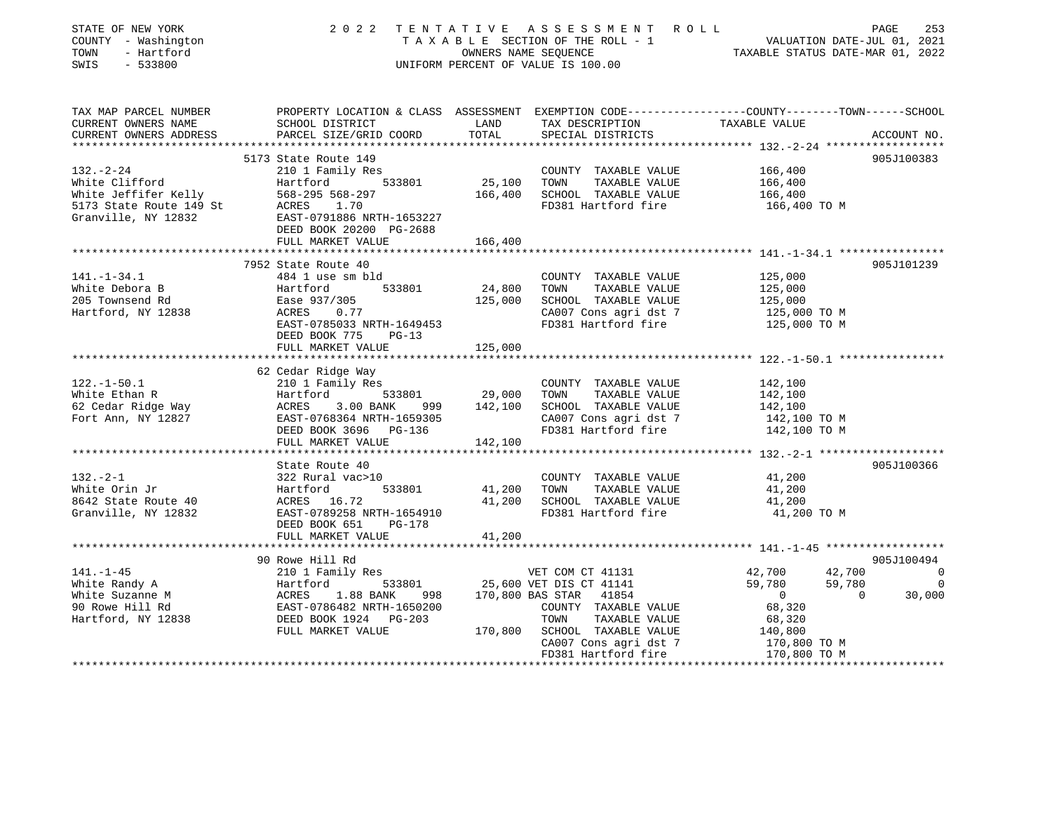| STATE OF NEW YORK<br>STATE OF NEW YORK 2022<br>COUNTY - Washington<br>TOWN - Hartford<br>SWIS - 533800 |                                                                                                                                                                                                                                                            |                         | TENTATIVE ASSESSMENT ROLL<br>TAXABLE SECTION OF THE ROLL - 1 VALUATION DATE-JUL 01, 2021<br>OWNERS NAME SEQUENCE TAXABLE STATUS DATE-MAR 01, 2022<br>2022 TENTATIVE ASSESSMENT ROLL<br>UNIFORM PERCENT OF VALUE IS 100.00 |                              |        |                |
|--------------------------------------------------------------------------------------------------------|------------------------------------------------------------------------------------------------------------------------------------------------------------------------------------------------------------------------------------------------------------|-------------------------|---------------------------------------------------------------------------------------------------------------------------------------------------------------------------------------------------------------------------|------------------------------|--------|----------------|
| CURRENT OWNERS NAME                                                                                    | TAX MAP PARCEL NUMBER PROPERTY LOCATION & CLASS ASSESSMENT EXEMPTION CODE--------------COUNTY-------TOWN------SCHOOL<br>SCHOOL DISTRICT                                                                                                                    | LAND                    | TAX DESCRIPTION                                                                                                                                                                                                           | TAXABLE VALUE                |        |                |
| CURRENT OWNERS ADDRESS                                                                                 | PARCEL SIZE/GRID COORD                                                                                                                                                                                                                                     | TOTAL                   | SPECIAL DISTRICTS                                                                                                                                                                                                         |                              |        | ACCOUNT NO.    |
|                                                                                                        |                                                                                                                                                                                                                                                            |                         |                                                                                                                                                                                                                           |                              |        |                |
|                                                                                                        | 5173 State Route 149                                                                                                                                                                                                                                       |                         |                                                                                                                                                                                                                           |                              |        | 905J100383     |
| $132 - 2 - 24$                                                                                         | 210 1 Family Res                                                                                                                                                                                                                                           |                         | COUNTY TAXABLE VALUE                                                                                                                                                                                                      | 166,400                      |        |                |
|                                                                                                        |                                                                                                                                                                                                                                                            |                         | 25,100 TOWN TAXABLE VALUE                                                                                                                                                                                                 | 166,400                      |        |                |
|                                                                                                        |                                                                                                                                                                                                                                                            |                         | 166,400 SCHOOL TAXABLE VALUE                                                                                                                                                                                              | 166,400                      |        |                |
|                                                                                                        | White Clifford<br>White Jeffifer Kelly<br>568-295 568-297<br>5173 State Route 149 St<br>67.071886 NRTH-1653227<br>67.071111112.071112832<br>67.071112.071112832<br>67.071112.07112832<br>67.07112832<br>67.07112832                                        |                         | FD381 Hartford fire                                                                                                                                                                                                       | 166,400 TO M                 |        |                |
|                                                                                                        |                                                                                                                                                                                                                                                            |                         |                                                                                                                                                                                                                           |                              |        |                |
|                                                                                                        | DEED BOOK 20200 PG-2688                                                                                                                                                                                                                                    |                         |                                                                                                                                                                                                                           |                              |        |                |
|                                                                                                        | FULL MARKET VALUE                                                                                                                                                                                                                                          | 166,400                 |                                                                                                                                                                                                                           |                              |        |                |
|                                                                                                        | 7952 State Route 40                                                                                                                                                                                                                                        |                         |                                                                                                                                                                                                                           |                              |        | 905J101239     |
| $141. - 1 - 34.1$                                                                                      | 484 1 use sm bld                                                                                                                                                                                                                                           |                         | COUNTY TAXABLE VALUE                                                                                                                                                                                                      | 125,000                      |        |                |
| White Debora B                                                                                         |                                                                                                                                                                                                                                                            | 24,800 TOWN             | TAXABLE VALUE                                                                                                                                                                                                             | 125,000                      |        |                |
| 205 Townsend Rd                                                                                        |                                                                                                                                                                                                                                                            |                         | 125,000 SCHOOL TAXABLE VALUE                                                                                                                                                                                              | 125,000                      |        |                |
| Hartford, NY 12838                                                                                     | Hartford 533801<br>Ease 937/305<br>ACRES 0.77                                                                                                                                                                                                              |                         |                                                                                                                                                                                                                           | 125,000 TO M                 |        |                |
|                                                                                                        | EAST-0785033 NRTH-1649453                                                                                                                                                                                                                                  |                         | CA007 Cons agri dst 7<br>FD381 Hartford fire                                                                                                                                                                              | 125,000 TO M                 |        |                |
|                                                                                                        | DEED BOOK 775<br>$PG-13$                                                                                                                                                                                                                                   |                         |                                                                                                                                                                                                                           |                              |        |                |
|                                                                                                        | FULL MARKET VALUE                                                                                                                                                                                                                                          | 125,000                 |                                                                                                                                                                                                                           |                              |        |                |
|                                                                                                        |                                                                                                                                                                                                                                                            | * * * * * * * * * * * * |                                                                                                                                                                                                                           |                              |        |                |
|                                                                                                        | 62 Cedar Ridge Way<br>122.-1-50.1 b2 Cedar Ridge Way<br>White Ethan R Martford 533801 29,000 TOWN TAXABLE VALUE<br>Fort Ann, NY 12827 EAST-0768364 NRTH-1659305 DEED BOOK 3696 PG-136 CHOOL TAXABLE VALUE<br>Fort Ann, NY 12827 DEED BOOK 3696 PG-136 CA00 |                         |                                                                                                                                                                                                                           |                              |        |                |
|                                                                                                        |                                                                                                                                                                                                                                                            |                         | COUNTY TAXABLE VALUE                                                                                                                                                                                                      | 142,100                      |        |                |
|                                                                                                        |                                                                                                                                                                                                                                                            |                         |                                                                                                                                                                                                                           | 142,100                      |        |                |
|                                                                                                        |                                                                                                                                                                                                                                                            |                         |                                                                                                                                                                                                                           | 142,100                      |        |                |
|                                                                                                        |                                                                                                                                                                                                                                                            |                         | CA007 Cons agri dst 7                                                                                                                                                                                                     | 142,100 TO M<br>142,100 TO M |        |                |
|                                                                                                        |                                                                                                                                                                                                                                                            |                         | FD381 Hartford fire                                                                                                                                                                                                       |                              |        |                |
|                                                                                                        | FULL MARKET VALUE                                                                                                                                                                                                                                          | 142,100                 |                                                                                                                                                                                                                           |                              |        |                |
|                                                                                                        | State Route 40                                                                                                                                                                                                                                             |                         |                                                                                                                                                                                                                           |                              |        | 905J100366     |
|                                                                                                        |                                                                                                                                                                                                                                                            |                         | COUNTY TAXABLE VALUE                                                                                                                                                                                                      | 41,200                       |        |                |
|                                                                                                        | 132.-2-1<br>White Orin Jr 322 Rural vac>10<br>8642 State Route 40<br>Granville NY 12922<br>Transformation Cranville NY 12922<br>Transformation Creation Contract State Contract State State State State State State State State State St                   |                         | 533801 41,200 TOWN TAXABLE VALUE                                                                                                                                                                                          | 41,200                       |        |                |
|                                                                                                        |                                                                                                                                                                                                                                                            |                         | 41,200 SCHOOL TAXABLE VALUE                                                                                                                                                                                               | 41,200                       |        |                |
| Granville, NY 12832                                                                                    | EAST-0789258 NRTH-1654910                                                                                                                                                                                                                                  |                         | FD381 Hartford fire                                                                                                                                                                                                       | 41,200 TO M                  |        |                |
|                                                                                                        | DEED BOOK 651 PG-178                                                                                                                                                                                                                                       |                         |                                                                                                                                                                                                                           |                              |        |                |
|                                                                                                        | FULL MARKET VALUE                                                                                                                                                                                                                                          | 41,200                  |                                                                                                                                                                                                                           |                              |        |                |
|                                                                                                        |                                                                                                                                                                                                                                                            |                         |                                                                                                                                                                                                                           |                              |        |                |
|                                                                                                        |                                                                                                                                                                                                                                                            |                         |                                                                                                                                                                                                                           |                              |        | 905J100494     |
|                                                                                                        |                                                                                                                                                                                                                                                            |                         |                                                                                                                                                                                                                           | 42,700                       | 42,700 | $\overline{0}$ |
|                                                                                                        | 30 Nowe Hill Rd<br>210 1 Family Res<br>210 1 Family Res<br>25,600 VET DIS CT 41131<br>25,600 VET DIS CT 41141<br>25,600 VET DIS CT 41141<br>25,600 VET DIS CT 41141<br>25,600 VET DIS CT 41141<br>25,600 VET DIS CT 41141<br>25,600 VET DIS CT 4           |                         |                                                                                                                                                                                                                           | 59,780<br>59,780<br>0        | 59,780 |                |
|                                                                                                        |                                                                                                                                                                                                                                                            |                         |                                                                                                                                                                                                                           |                              |        |                |
|                                                                                                        |                                                                                                                                                                                                                                                            |                         | COUNTY TAXABLE VALUE                                                                                                                                                                                                      | 68,320                       |        |                |
|                                                                                                        |                                                                                                                                                                                                                                                            |                         |                                                                                                                                                                                                                           | 68,320                       |        |                |
|                                                                                                        | FULL MARKET VALUE                                                                                                                                                                                                                                          |                         | 170,800 SCHOOL TAXABLE VALUE                                                                                                                                                                                              | 140,800                      |        |                |
|                                                                                                        |                                                                                                                                                                                                                                                            |                         |                                                                                                                                                                                                                           |                              |        |                |
|                                                                                                        |                                                                                                                                                                                                                                                            |                         | CA007 Cons agri dst 7 170,800 TO M<br>FD381 Hartford fire 170,800 TO M                                                                                                                                                    |                              |        |                |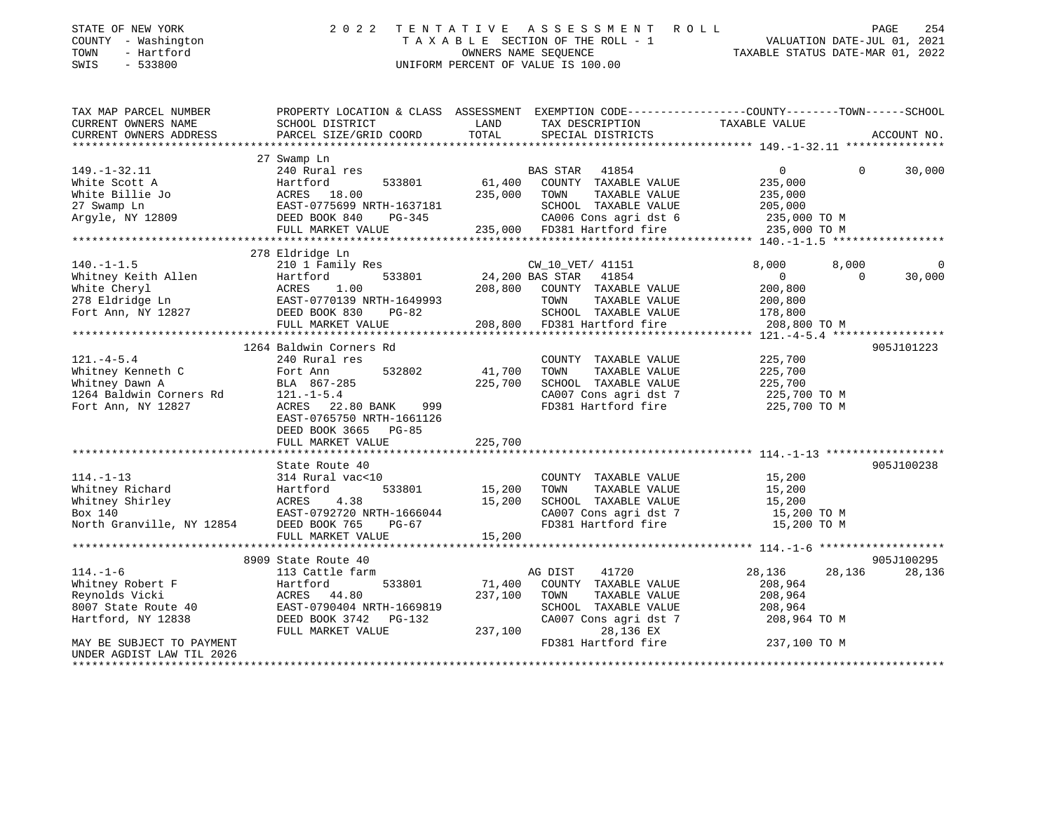| STATE OF NEW YORK<br>COUNTY - Washington<br>TOWN<br>- Hartford<br>SWIS<br>$-533800$ | 2 0 2 2                                                                                        | TENTATIVE | A S S E S S M E N T<br>R O L L<br>TAXABLE SECTION OF THE ROLL - 1<br>OWNERS NAME SEOUENCE<br>UNIFORM PERCENT OF VALUE IS 100.00 | PAGE 254<br>VALUATION DATE-JUL 01, 2021<br>TAXABLE STATIIS DATE MAR 01 010 |                   | PAGE<br>254    |
|-------------------------------------------------------------------------------------|------------------------------------------------------------------------------------------------|-----------|---------------------------------------------------------------------------------------------------------------------------------|----------------------------------------------------------------------------|-------------------|----------------|
| TAX MAP PARCEL NUMBER                                                               | PROPERTY LOCATION & CLASS ASSESSMENT EXEMPTION CODE---------------COUNTY-------TOWN-----SCHOOL |           |                                                                                                                                 |                                                                            |                   |                |
| CURRENT OWNERS NAME                                                                 | SCHOOL DISTRICT                                                                                | LAND      | TAX DESCRIPTION                                                                                                                 | TAXABLE VALUE                                                              |                   |                |
| CURRENT OWNERS ADDRESS                                                              | PARCEL SIZE/GRID COORD                                                                         | TOTAL     | SPECIAL DISTRICTS                                                                                                               |                                                                            |                   | ACCOUNT NO.    |
|                                                                                     | 27 Swamp Ln                                                                                    |           |                                                                                                                                 |                                                                            |                   |                |
| $149. - 1 - 32.11$                                                                  | 240 Rural res                                                                                  |           | BAS STAR 41854                                                                                                                  | $\overline{0}$                                                             | $\Omega$          | 30,000         |
| White Scott A                                                                       | Hartford<br>533801                                                                             | 61,400    | COUNTY TAXABLE VALUE                                                                                                            | 235,000                                                                    |                   |                |
| White Billie Jo                                                                     | ACRES 18.00                                                                                    | 235,000   | TAXABLE VALUE<br>TOWN                                                                                                           | 235,000                                                                    |                   |                |
| 27 Swamp Ln                                                                         | EAST-0775699 NRTH-1637181                                                                      |           | SCHOOL TAXABLE VALUE                                                                                                            | 205,000                                                                    |                   |                |
| Argyle, NY 12809                                                                    | DEED BOOK 840<br>PG-345                                                                        |           | CA006 Cons agri dst 6                                                                                                           | 235,000 TO M                                                               |                   |                |
|                                                                                     | FULL MARKET VALUE                                                                              |           | 235,000 FD381 Hartford fire                                                                                                     | 235,000 TO M                                                               |                   |                |
|                                                                                     |                                                                                                |           |                                                                                                                                 |                                                                            |                   |                |
|                                                                                     | 278 Eldridge Ln                                                                                |           |                                                                                                                                 |                                                                            |                   |                |
| $140. - 1 - 1.5$                                                                    | 210 1 Family Res                                                                               |           | CW_10_VET/ 41151                                                                                                                | 8,000                                                                      | 8,000<br>$\Omega$ | $\overline{0}$ |
| Whitney Keith Allen<br>White Cheryl                                                 | 533801<br>Hartford<br>ACRES<br>1.00                                                            |           | 24,200 BAS STAR 41854<br>208,800 COUNTY TAXABLE VALUE                                                                           | $\mathbf 0$<br>200,800                                                     |                   | 30,000         |
| 278 Eldridge Ln                                                                     | EAST-0770139 NRTH-1649993                                                                      |           | TOWN<br>TAXABLE VALUE                                                                                                           | 200,800                                                                    |                   |                |
| Fort Ann, NY 12827                                                                  | DEED BOOK 830<br>$PG-82$                                                                       |           | SCHOOL TAXABLE VALUE                                                                                                            | 178,800                                                                    |                   |                |
|                                                                                     | FULL MARKET VALUE                                                                              |           | 208,800 FD381 Hartford fire                                                                                                     | 208,800 TO M                                                               |                   |                |
|                                                                                     |                                                                                                |           |                                                                                                                                 |                                                                            |                   |                |
|                                                                                     | 1264 Baldwin Corners Rd                                                                        |           |                                                                                                                                 |                                                                            |                   | 905J101223     |
| $121. -4 - 5.4$                                                                     | 240 Rural res                                                                                  |           | COUNTY TAXABLE VALUE                                                                                                            | 225,700                                                                    |                   |                |
| Whitney Kenneth C                                                                   | 532802<br>Fort Ann                                                                             | 41,700    | TOWN<br>TAXABLE VALUE                                                                                                           | 225,700                                                                    |                   |                |
| Whitney Dawn A                                                                      | BLA 867-285                                                                                    | 225,700   | SCHOOL TAXABLE VALUE                                                                                                            | 225,700                                                                    |                   |                |
| 1264 Baldwin Corners Rd                                                             | $121. - 1 - 5.4$                                                                               |           | CA007 Cons agri dst 7                                                                                                           | 225,700 TO M                                                               |                   |                |
| Fort Ann, NY 12827                                                                  | ACRES 22.80 BANK<br>999                                                                        |           | FD381 Hartford fire                                                                                                             | 225,700 TO M                                                               |                   |                |
|                                                                                     | EAST-0765750 NRTH-1661126                                                                      |           |                                                                                                                                 |                                                                            |                   |                |
|                                                                                     | DEED BOOK 3665 PG-85<br>FULL MARKET VALUE                                                      | 225,700   |                                                                                                                                 |                                                                            |                   |                |
|                                                                                     |                                                                                                |           |                                                                                                                                 |                                                                            |                   |                |
|                                                                                     | State Route 40                                                                                 |           |                                                                                                                                 |                                                                            |                   | 905J100238     |
| $114. - 1 - 13$                                                                     | 314 Rural vac<10                                                                               |           | COUNTY TAXABLE VALUE                                                                                                            | 15,200                                                                     |                   |                |
| Whitney Richard                                                                     | 533801<br>Hartford                                                                             | 15,200    | TAXABLE VALUE<br>TOWN                                                                                                           | 15,200                                                                     |                   |                |
| Whitney Shirley                                                                     | ACRES<br>4.38                                                                                  | 15,200    | SCHOOL TAXABLE VALUE                                                                                                            | 15,200                                                                     |                   |                |
| Box 140                                                                             | EAST-0792720 NRTH-1666044                                                                      |           | CA007 Cons agri dst 7                                                                                                           | 15,200 TO M                                                                |                   |                |
| North Granville, NY 12854 DEED BOOK 765                                             | $PG-67$                                                                                        |           | FD381 Hartford fire                                                                                                             | 15,200 TO M                                                                |                   |                |
|                                                                                     | FULL MARKET VALUE                                                                              | 15,200    |                                                                                                                                 |                                                                            |                   |                |
|                                                                                     |                                                                                                |           |                                                                                                                                 |                                                                            |                   |                |
|                                                                                     | 8909 State Route 40                                                                            |           |                                                                                                                                 |                                                                            |                   | 905J100295     |
| $114. - 1 - 6$                                                                      | 113 Cattle farm<br>533801<br>Hartford                                                          | 71,400    | AG DIST<br>41720<br>COUNTY TAXABLE VALUE                                                                                        | 28,136<br>208,964                                                          | 28,136            | 28,136         |
| Whitney Robert F<br>Reynolds Vicki                                                  | ACRES 44.80                                                                                    | 237,100   | TOWN<br>TAXABLE VALUE                                                                                                           | 208,964                                                                    |                   |                |
| 8007 State Route 40                                                                 | EAST-0790404 NRTH-1669819                                                                      |           | SCHOOL TAXABLE VALUE                                                                                                            | 208,964                                                                    |                   |                |
| Hartford, NY 12838                                                                  | DEED BOOK 3742 PG-132                                                                          |           | CA007 Cons agri dst 7                                                                                                           | 208,964 TO M                                                               |                   |                |
|                                                                                     | FULL MARKET VALUE                                                                              | 237,100   | 28,136 EX                                                                                                                       |                                                                            |                   |                |
| MAY BE SUBJECT TO PAYMENT                                                           |                                                                                                |           | FD381 Hartford fire                                                                                                             | 237,100 TO M                                                               |                   |                |

\*\*\*\*\*\*\*\*\*\*\*\*\*\*\*\*\*\*\*\*\*\*\*\*\*\*\*\*\*\*\*\*\*\*\*\*\*\*\*\*\*\*\*\*\*\*\*\*\*\*\*\*\*\*\*\*\*\*\*\*\*\*\*\*\*\*\*\*\*\*\*\*\*\*\*\*\*\*\*\*\*\*\*\*\*\*\*\*\*\*\*\*\*\*\*\*\*\*\*\*\*\*\*\*\*\*\*\*\*\*\*\*\*\*\*\*\*\*\*\*\*\*\*\*\*\*\*\*\*\*\*\*

UNDER AGDIST LAW TIL 2026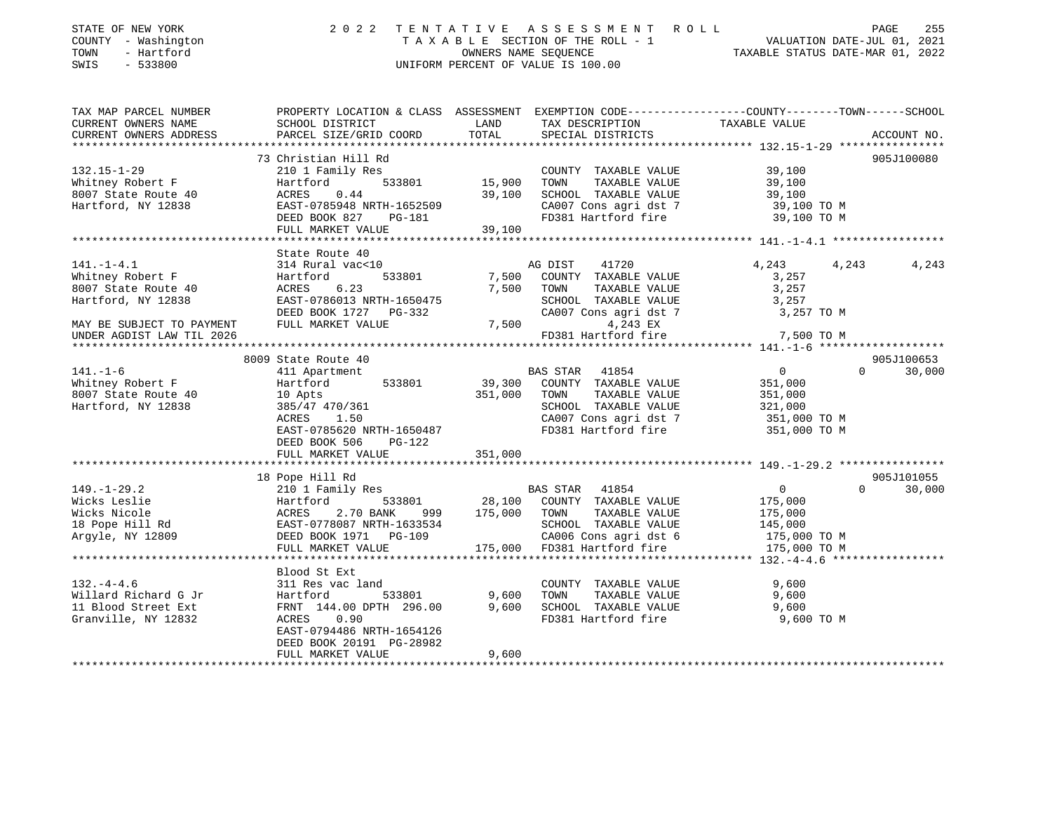| STATE OF NEW YORK<br>COUNTY - Washington<br>TOWN<br>- Hartford<br>SWIS<br>$-533800$                                                            |                                                                                                                                                                         |                                | 2022 TENTATIVE ASSESSMENT ROLL<br>T A X A B L E SECTION OF THE ROLL - 1 VALUATION DATE-JUL 01, 2021<br>OWNERS NAME SEQUENCE TAXABLE STATUS DATE-MAR 01, 2022<br>UNIFORM PERCENT OF VALUE IS 100.00 |                                                                                 | PAGE     | 255                  |
|------------------------------------------------------------------------------------------------------------------------------------------------|-------------------------------------------------------------------------------------------------------------------------------------------------------------------------|--------------------------------|----------------------------------------------------------------------------------------------------------------------------------------------------------------------------------------------------|---------------------------------------------------------------------------------|----------|----------------------|
| TAX MAP PARCEL NUMBER THE PROPERTY LOCATION & CLASS ASSESSMENT EXEMPTION CODE--------------COUNTY-------TOWN-----SCHOOL<br>CURRENT OWNERS NAME | SCHOOL DISTRICT                                                                                                                                                         | LAND                           | TAX DESCRIPTION TAXABLE VALUE                                                                                                                                                                      |                                                                                 |          |                      |
| CURRENT OWNERS ADDRESS<br>**********************                                                                                               | PARCEL SIZE/GRID COORD                                                                                                                                                  | TOTAL                          | SPECIAL DISTRICTS                                                                                                                                                                                  |                                                                                 |          | ACCOUNT NO.          |
|                                                                                                                                                | 73 Christian Hill Rd                                                                                                                                                    |                                |                                                                                                                                                                                                    |                                                                                 |          | 905J100080           |
| $132.15 - 1 - 29$<br>Whitney Robert F<br>8007 State Route 40<br>Hartford, NY 12838                                                             | 210 1 Family Res<br>Hartford<br>ACRES 0.44<br>EAST-0785948 NRTH-1652509<br>DEED BOOK 827 PG-181<br>FULL MARKET VALUE                                                    | $533801$ 15,900 TOWN<br>39,100 | COUNTY TAXABLE VALUE<br>TAXABLE VALUE<br>39,100 SCHOOL TAXABLE VALUE<br>CA007 Cons agri dst 7<br>CA007 Cons agri dst 7<br>FD381 Hartford fire                                                      | 39,100<br>39,100<br>39,100<br>39,100 TO M<br>39,100 TO M                        |          |                      |
|                                                                                                                                                | **********************                                                                                                                                                  |                                |                                                                                                                                                                                                    |                                                                                 |          |                      |
| $141. - 1 - 4.1$<br>Whitney Robert F<br>8007 State Route 40<br>Hartford, NY 12838                                                              | State Route 40<br>314 Rural vac<10<br>Hartford<br>ACRES 6.23<br>EAST-0786013 NRTH-1650475<br>DEED BOOK 1727 PG-332                                                      | 7,500 TOWN                     | AG DIST<br>41720<br>533801 7,500 COUNTY TAXABLE VALUE<br>TAXABLE VALUE<br>SCHOOL TAXABLE VALUE<br>CA007 Cons agri dst 7                                                                            | 4,243<br>3,257<br>3,257<br>3,257<br>3,257 TO M                                  | 4,243    | 4,243                |
| MAY BE SUBJECT TO PAYMENT FULL MARKET VALUE<br>UNDER AGDIST LAW TIL 2026                                                                       |                                                                                                                                                                         |                                | 7,500<br>4,243 EX<br>FD381 Hartford fire                                                                                                                                                           | 7,500 TO M                                                                      |          |                      |
|                                                                                                                                                |                                                                                                                                                                         |                                |                                                                                                                                                                                                    |                                                                                 |          |                      |
| $141. - 1 - 6$<br>Whitney Robert F<br>8007 State Route 40<br>Hartford, NY 12838                                                                | 8009 State Route 40<br>411 Apartment<br>Hartford<br>533801<br>10 Apts<br>385/47 470/361<br>ACRES 1.50<br>EAST-0785620 NRTH-1650487                                      | 351,000 TOWN                   | BAS STAR<br>41854<br>39,300 COUNTY TAXABLE VALUE<br>TAXABLE VALUE<br>SCHOOL TAXABLE VALUE<br>CA007 Cons agri dst 7 351,000 TO M<br>FD381 Hartford fire 351,000 TO M                                | $\overline{0}$<br>351,000<br>351,000<br>321,000                                 | $\Omega$ | 905J100653<br>30,000 |
|                                                                                                                                                | DEED BOOK 506<br>PG-122                                                                                                                                                 |                                |                                                                                                                                                                                                    |                                                                                 |          |                      |
|                                                                                                                                                | FULL MARKET VALUE<br>******************************                                                                                                                     | 351,000                        |                                                                                                                                                                                                    |                                                                                 |          | 905J101055           |
| $149. - 1 - 29.2$<br>Wicks Leslie<br>Wicks Nicole<br>wicks Nicole<br>18 Pope Hill Rd<br>Argyle, NY 12809<br>Argyle, NY 12809                   | 18 Pope Hill Rd<br>210 1 Family Res<br>Hartford 533801 28,100<br>ACRES 2.70 BANK 999 175,000<br>EAST-0778087 NRTH-1633534<br>DEED BOOK 1971 PG-109<br>FULL MARKET VALUE |                                | BAS STAR 41854<br>533801 28,100 COUNTY TAXABLE VALUE 2.70 BANK 999 175,000 TOWN TAXABLE VALUE<br>SCHOOL TAXABLE VALUE<br>CA006 Cons agri dst 6<br>175,000 FD381 Hartford fire                      | $\overline{0}$<br>175,000<br>175,000<br>145,000<br>175,000 TO M<br>175,000 TO M | $\Omega$ | 30,000               |
|                                                                                                                                                | Blood St Ext                                                                                                                                                            |                                |                                                                                                                                                                                                    |                                                                                 |          |                      |
| $132. - 4 - 4.6$<br>Willard Richard G Jr<br>11 Blood Street Ext<br>Granville, NY 12832                                                         | 311 Res vac land<br>Hartford<br>ACRES 0.90<br>EAST-0794486 NRTH-1654126<br>DEED BOOK 20191 PG-28982                                                                     |                                | COUNTY TAXABLE VALUE<br>FD381 Hartford fire                                                                                                                                                        | 9,600<br>9,600<br>9,600<br>9,600 TO M                                           |          |                      |
|                                                                                                                                                | FULL MARKET VALUE                                                                                                                                                       | 9,600                          |                                                                                                                                                                                                    |                                                                                 |          |                      |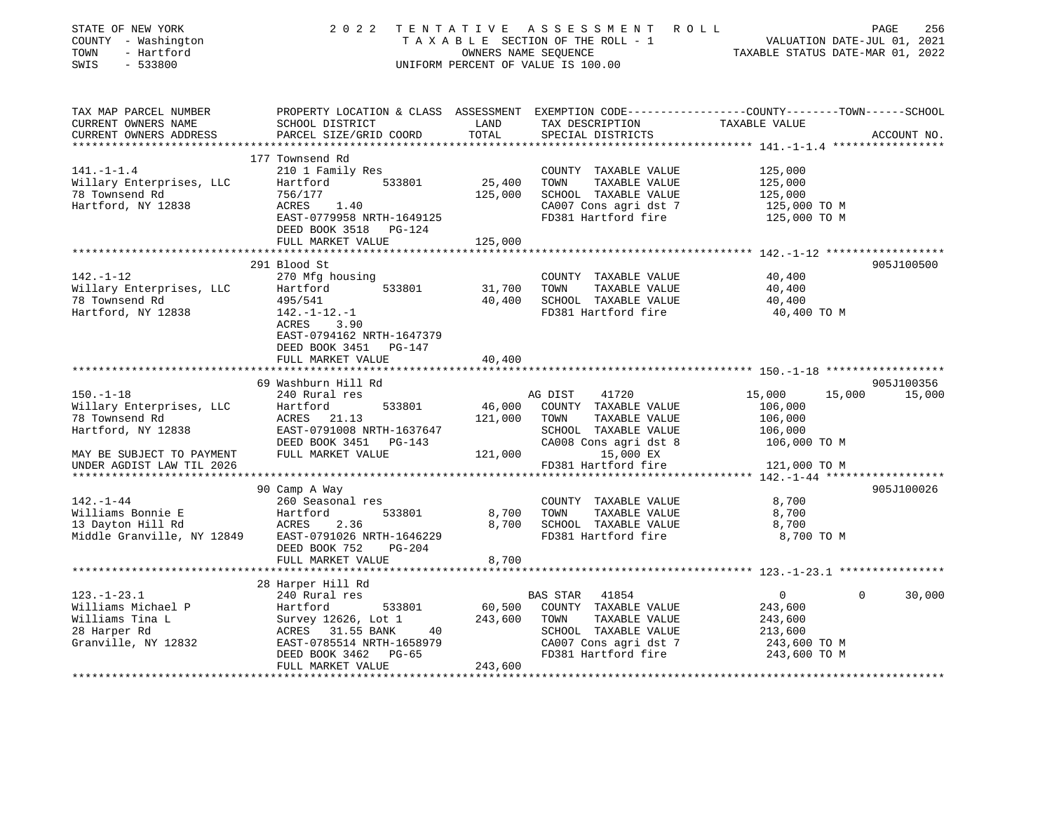| STATE OF NEW YORK<br>COUNTY - Washington<br>TOWN<br>- Hartford<br>SWIS<br>$-533800$                                                           |                                                                                                                                                                               |                                            | 2022 TENTATIVE ASSESSMENT<br>R O L L<br>UNIFORM PERCENT OF VALUE IS 100.00                                                                            | T A X A B L E SECTION OF THE ROLL - 1 VALUATION DATE-JUL 01, 2021<br>OWNERS NAME SEQUENCE TAXABLE STATUS DATE-MAR 01, 2022 | PAGE<br>256 |
|-----------------------------------------------------------------------------------------------------------------------------------------------|-------------------------------------------------------------------------------------------------------------------------------------------------------------------------------|--------------------------------------------|-------------------------------------------------------------------------------------------------------------------------------------------------------|----------------------------------------------------------------------------------------------------------------------------|-------------|
| TAX MAP PARCEL NUMBER<br>CURRENT OWNERS NAME<br>CURRENT OWNERS ADDRESS                                                                        | PROPERTY LOCATION & CLASS ASSESSMENT EXEMPTION CODE----------------COUNTY-------TOWN------SCHOOL<br>SCHOOL DISTRICT<br>PARCEL SIZE/GRID COORD                                 | LAND<br>TOTAL                              | TAX DESCRIPTION TAXABLE VALUE<br>SPECIAL DISTRICTS                                                                                                    |                                                                                                                            | ACCOUNT NO. |
|                                                                                                                                               |                                                                                                                                                                               |                                            |                                                                                                                                                       |                                                                                                                            |             |
| $141. - 1 - 1.4$<br>Willary Enterprises, LLC<br>78 Townsend Rd<br>Hartford, NY 12838                                                          | 177 Townsend Rd<br>210 1 Family Res<br>533801<br>Hartford<br>756/177<br>ACRES 1.40<br>EAST-0779958 NRTH-1649125<br>DEED BOOK 3518 PG-124                                      | 25,400<br>125,000                          | COUNTY TAXABLE VALUE<br>TOWN<br>TAXABLE VALUE<br>SCHOOL TAXABLE VALUE<br>CA007 Cons agri dst 7<br>FD381 Hartford fire                                 | 125,000<br>125,000<br>125,000<br>125,000 TO M<br>125,000 TO M                                                              |             |
|                                                                                                                                               | FULL MARKET VALUE                                                                                                                                                             | 125,000                                    |                                                                                                                                                       |                                                                                                                            |             |
| $142. - 1 - 12$<br>Willary Enterprises, LLC<br>78 Townsend Rd<br>Hartford, NY 12838                                                           | 291 Blood St<br>270 Mfg housing<br>533801<br>Hartford<br>495/541<br>142.-1-12.-1<br>ACRES<br>3.90                                                                             | 31,700                                     | COUNTY TAXABLE VALUE<br>TAXABLE VALUE<br>TOWN<br>40,400 SCHOOL TAXABLE VALUE<br>FD381 Hartford fire                                                   | 40,400<br>40,400<br>40,400<br>40,400 TO M                                                                                  | 905J100500  |
|                                                                                                                                               | EAST-0794162 NRTH-1647379<br>DEED BOOK 3451 PG-147<br>FULL MARKET VALUE<br>69 Washburn Hill Rd                                                                                | 40,400                                     |                                                                                                                                                       |                                                                                                                            | 905J100356  |
| $150. - 1 - 18$<br>Willary Enterprises, LLC<br>78 Townsend Rd<br>Hartford, NY 12838<br>MAY BE SUBJECT TO PAYMENT<br>UNDER AGDIST LAW TIL 2026 | 240 Rural res<br>533801<br>Hartford<br>ACRES 21.13<br>EAST-0791008 NRTH-1637647<br>DEED BOOK 3451 PG-143<br>FULL MARKET VALUE                                                 | 121,000 TOWN<br>SCHOOL<br>CA008<br>121,000 | 41720<br>AG DIST<br>46,000 COUNTY TAXABLE VALUE<br>TAXABLE VALUE<br>SCHOOL TAXABLE VALUE<br>CA008 Cons agri dst 8<br>15,000 EX<br>FD381 Hartford fire | 15,000<br>15,000<br>106,000<br>106,000<br>106,000<br>106,000 TO M<br>121,000 TO M                                          | 15,000      |
|                                                                                                                                               | 90 Camp A Way                                                                                                                                                                 |                                            |                                                                                                                                                       |                                                                                                                            | 905J100026  |
| $142. - 1 - 44$                                                                                                                               | 260 Seasonal res<br>DEED BOOK 752<br>PG-204                                                                                                                                   | 8,700 TOWN                                 | COUNTY TAXABLE VALUE<br>TAXABLE VALUE<br>8,700 SCHOOL TAXABLE VALUE<br>FD381 Hartford fire                                                            | 8,700<br>8,700<br>8,700<br>8,700 TO M                                                                                      |             |
|                                                                                                                                               | FULL MARKET VALUE                                                                                                                                                             | 8,700                                      |                                                                                                                                                       |                                                                                                                            |             |
|                                                                                                                                               |                                                                                                                                                                               |                                            |                                                                                                                                                       |                                                                                                                            |             |
| $123. - 1 - 23.1$<br>Williams Michael P<br>Williams Tina L<br>28 Harper Rd<br>Granville, NY 12832                                             | 28 Harper Hill Rd<br>240 Rural res<br>Hartford 533801<br>Survey 12626, Lot 1<br>ACRES 31.55 BANK 40<br>EAST-0785514 NRTH-1658979<br>DEED BOOK 3462 PG-65<br>FULL MARKET VALUE | 243,600 TOWN<br>243,600                    | <b>BAS STAR</b><br>41854<br>60,500 COUNTY TAXABLE VALUE<br>TAXABLE VALUE<br>SCHOOL TAXABLE VALUE<br>CA007 Cons agri dst 7<br>FD381 Hartford fire      | $0 \qquad \qquad$<br>$\Omega$<br>243,600<br>243,600<br>213,600<br>243,600 TO M<br>243,600 TO M                             | 30,000      |
|                                                                                                                                               |                                                                                                                                                                               |                                            |                                                                                                                                                       |                                                                                                                            |             |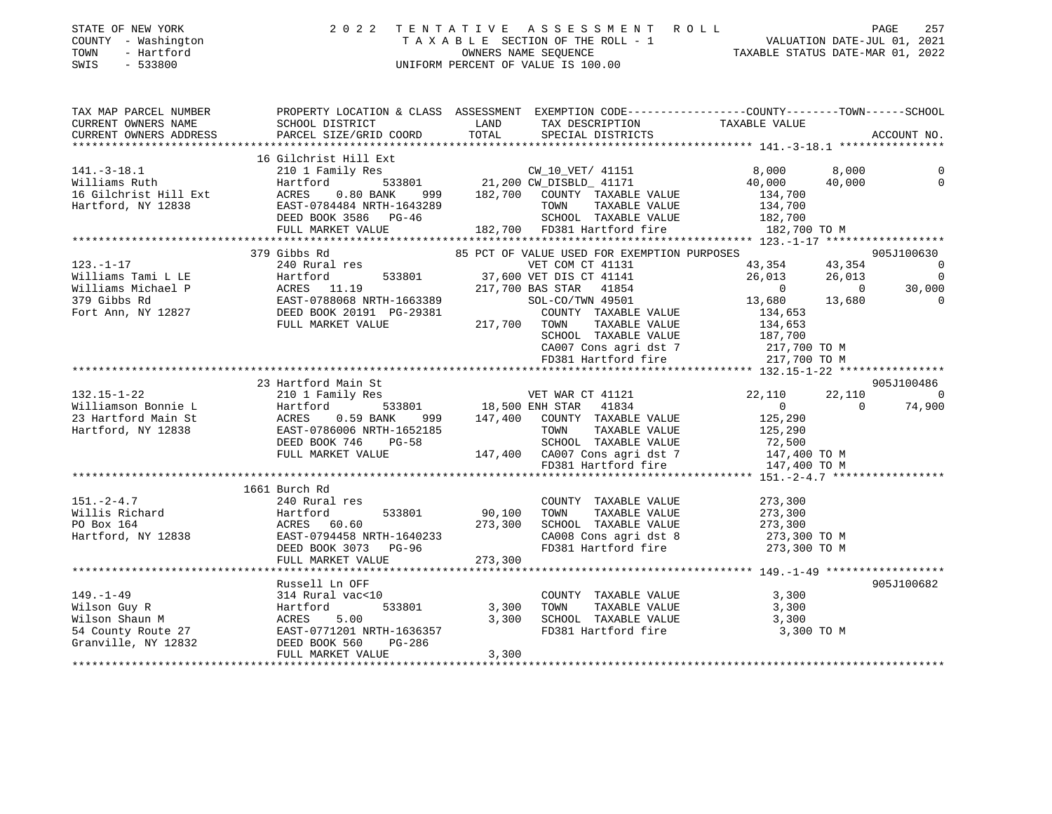| STATE OF NEW YORK<br>COUNTY - Washington<br>- Hartford<br>TOWN<br>SWIS<br>$-533800$                                                                                                                                                                                                        |                                                                                                                                                                                                                                  |                   | 2022 TENTATIVE ASSESSMENT ROLL<br>TAXABLE SECTION OF THE ROLL - 1 VALUATION DATE-JUL 01, 2021<br>CONNER SIMME SEQUENCE CARRECTED AND TRAXABLE STATUS DATE-MAR 01, 2022<br>UNIFORM PERCENT OF VALUE IS 100.00                                      |                                                                 |                 |                                          |
|--------------------------------------------------------------------------------------------------------------------------------------------------------------------------------------------------------------------------------------------------------------------------------------------|----------------------------------------------------------------------------------------------------------------------------------------------------------------------------------------------------------------------------------|-------------------|---------------------------------------------------------------------------------------------------------------------------------------------------------------------------------------------------------------------------------------------------|-----------------------------------------------------------------|-----------------|------------------------------------------|
| TAX MAP PARCEL NUMBER<br>CURRENT OWNERS NAME<br>CURRENT OWNERS ADDRESS                                                                                                                                                                                                                     | PROPERTY LOCATION & CLASS ASSESSMENT EXEMPTION CODE----------------COUNTY-------TOWN------SCHOOL<br>SCHOOL DISTRICT                        LAND         TAX DESCRIPTION                  TAXABLE VALUE<br>PARCEL SIZE/GRID COORD | TOTAL             | SPECIAL DISTRICTS                                                                                                                                                                                                                                 |                                                                 |                 | ACCOUNT NO.                              |
|                                                                                                                                                                                                                                                                                            |                                                                                                                                                                                                                                  |                   |                                                                                                                                                                                                                                                   |                                                                 |                 |                                          |
| $141. - 3 - 18.1$<br>141.-3-18.1<br>Williams Ruth<br>141.-3-18.1<br>Williams Ruth Hartford 533801 21,200 CW_DISBLD_ 411/1<br>16 Gilchrist Hill Ext ACRES 0.80 BANK 999 182,700 COUNTY TAXABLE VALUE<br>Hartford, NY 12838 EAST-0784484 NRTH-1643289 TOWN TAXABLE VALUE<br>DEED BOOK 3586 P | 16 Gilchrist Hill Ext<br>210 1 Family Res                                                                                                                                                                                        |                   | CW_10_VET/ 41151                                                                                                                                                                                                                                  | 8,000 —<br>40,000<br>134,700<br>182,700 TO M                    | 8,000<br>40,000 | 0<br>$\circ$                             |
|                                                                                                                                                                                                                                                                                            |                                                                                                                                                                                                                                  |                   |                                                                                                                                                                                                                                                   |                                                                 |                 |                                          |
| $123. - 1 - 17$<br>Williams Tami L LE                                                                                                                                                                                                                                                      | 379 Gibbs Rd<br>240 Rural res<br>Hartford 533801 37,600 VET DIS CT 41141<br>1054 1054                                                                                                                                            |                   | 85 PCT OF VALUE USED FOR EXEMPTION PURPOSES<br>VET COM CT 41131                                                                                                                                                                                   | 43,354<br>26,013 26,013                                         |                 | 905J100630<br>$\sim$ 0<br>$\overline{0}$ |
| Williams Michael P<br>379 Gibbs Rd<br>Fort Ann, NY 12827                                                                                                                                                                                                                                   | Expanding the 533801 37,600<br>ACRES 11.19 217,700<br>EAST-0788068 NRTH-1663389<br>DEED BOOK 20191 PG-29381<br>FULL MARKET VALUE<br>217,700 TOWN TAXABLE VALUE                                                                   |                   | 217,700 BAS STAR 41854<br>SOL-CO/TWN 49501<br>COUNTY TAXABLE VALUE<br>TOWN TAXABLE VALUE 134,653<br>SCHOOL TAXABLE VALUE 187,700<br>CA007 Cons agri dst 7 1217,700 TO M<br>CA007 Cons agri dst 7 217,700 TO M<br>FD381 Hartford fire 217,700 TO M | $\begin{matrix}0&&&&0\\ 13,680&&&13,680\end{matrix}$<br>134,653 |                 | 30,000<br>$\Omega$                       |
|                                                                                                                                                                                                                                                                                            |                                                                                                                                                                                                                                  |                   |                                                                                                                                                                                                                                                   |                                                                 |                 |                                          |
|                                                                                                                                                                                                                                                                                            | 23 Hartford Main St                                                                                                                                                                                                              |                   |                                                                                                                                                                                                                                                   |                                                                 |                 | 905J100486                               |
| $132.15 - 1 - 22$                                                                                                                                                                                                                                                                          | 210 1 Family Res                                                                                                                                                                                                                 |                   | VET WAR CT 41121                                                                                                                                                                                                                                  | 22,110                                                          |                 | 22,110 0                                 |
|                                                                                                                                                                                                                                                                                            |                                                                                                                                                                                                                                  |                   |                                                                                                                                                                                                                                                   | $\sim$ 0                                                        | $\sim$ 0        | 74,900                                   |
| 132.15-1-22<br>Williamson Bonnie L Hartford 533801 18,500 ENH STAR 41034<br>23 Hartford Main St ACRES 0.59 BANK 999 147,400 COUNTY TAXABLE VALUE<br>Hartford, NY 12838 EAST-0786006 NRTH-1652185 TOWN TAXABLE VALUE<br>DEED BOOK 746 P                                                     | FULL MARKET VALUE                                                                                                                                                                                                                |                   | TOWN TAXABLE VALUE<br>147,400 CA007 Cons agri dst 7 147,400 TO M<br>FD381 Hartford fire 147,400 TO M                                                                                                                                              | 125,290<br>125,290<br>72,500<br>147,400 TO M                    |                 |                                          |
|                                                                                                                                                                                                                                                                                            |                                                                                                                                                                                                                                  |                   |                                                                                                                                                                                                                                                   |                                                                 |                 |                                          |
| 151.-2-4.7<br>Willis Richard 240 Rural res<br>PO Box 164 ACRES 60.60 273,300<br>Hartford, NY 12838 EAST-0794458 NRTH-1640233<br>RERD BOOK 3073 PG-96                                                                                                                                       | 1661 Burch Rd<br>FULL MARKET VALUE                                                                                                                                                                                               | 90,100<br>273,300 | COUNTY TAXABLE VALUE<br>TOWN<br>TAXABLE VALUE<br>SCHOOL TAXABLE VALUE<br>CA008 Cons agri dst 8<br>FD381 Hartford fire                                                                                                                             | 273,300<br>273,300<br>273,300<br>273,300 TO M<br>273,300 TO M   |                 |                                          |
|                                                                                                                                                                                                                                                                                            |                                                                                                                                                                                                                                  |                   |                                                                                                                                                                                                                                                   |                                                                 |                 |                                          |
| Wilson Guy R<br>Wilson Shaun M<br>Mison Shaun M<br>533801 3,30<br>54 County Route 27<br>Granville, NY 12832<br>54 County Route 27<br>54 County Route 27<br>54 County Route 27<br>54 County Route 27<br>54 County Route 27<br>54 County Route 27<br>55                                      | Russell Ln OFF                                                                                                                                                                                                                   | 3,300             | COUNTY TAXABLE VALUE<br>TOWN TAXABLE VALUE<br>3,300 SCHOOL TAXABLE VALUE<br>FD381 Hartford fire                                                                                                                                                   | 3,300<br>3,300<br>3,300<br>3,300 TO M                           |                 | 905J100682                               |
|                                                                                                                                                                                                                                                                                            | FULL MARKET VALUE                                                                                                                                                                                                                | 3,300             |                                                                                                                                                                                                                                                   |                                                                 |                 |                                          |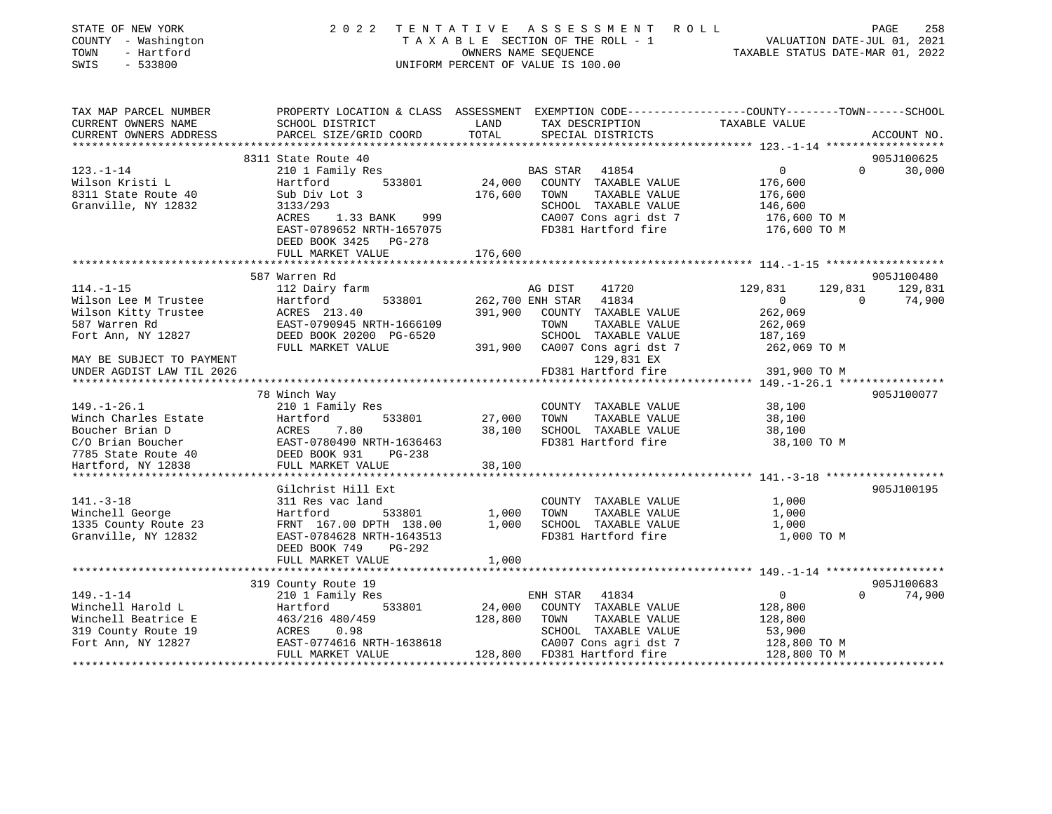| STATE OF NEW YORK                             | 2 0 2 2                                                                                         | TENTATIVE | A S S E S S M E N T<br>R O L L     |                                  | PAGE           | 258         |
|-----------------------------------------------|-------------------------------------------------------------------------------------------------|-----------|------------------------------------|----------------------------------|----------------|-------------|
| COUNTY - Washington                           |                                                                                                 |           | TAXABLE SECTION OF THE ROLL - 1    | VALUATION DATE-JUL 01, 2021      |                |             |
| - Hartford<br>TOWN                            |                                                                                                 |           | OWNERS NAME SEQUENCE               | TAXABLE STATUS DATE-MAR 01, 2022 |                |             |
| SWIS<br>$-533800$                             |                                                                                                 |           | UNIFORM PERCENT OF VALUE IS 100.00 |                                  |                |             |
| TAX MAP PARCEL NUMBER                         |                                                                                                 |           |                                    |                                  |                |             |
|                                               | PROPERTY LOCATION & CLASS ASSESSMENT EXEMPTION CODE---------------COUNTY-------TOWN------SCHOOL | LAND      |                                    | TAXABLE VALUE                    |                |             |
| CURRENT OWNERS NAME<br>CURRENT OWNERS ADDRESS | SCHOOL DISTRICT<br>PARCEL SIZE/GRID COORD                                                       | TOTAL     | TAX DESCRIPTION                    |                                  |                |             |
|                                               |                                                                                                 |           | SPECIAL DISTRICTS                  |                                  |                | ACCOUNT NO. |
|                                               | 8311 State Route 40                                                                             |           |                                    |                                  |                | 905J100625  |
| $123. - 1 - 14$                               | 210 1 Family Res                                                                                |           | BAS STAR<br>41854                  | $\mathbf 0$                      | $\Omega$       | 30,000      |
| Wilson Kristi L                               | 533801<br>Hartford                                                                              | 24,000    | COUNTY TAXABLE VALUE               | 176,600                          |                |             |
| 8311 State Route 40                           | Sub Div Lot 3                                                                                   | 176,600   | TOWN<br>TAXABLE VALUE              | 176,600                          |                |             |
| Granville, NY 12832                           | 3133/293                                                                                        |           | SCHOOL TAXABLE VALUE               | 146,600                          |                |             |
|                                               | ACRES<br>1.33 BANK<br>999                                                                       |           | CA007 Cons agri dst 7              | 176,600 ТО М                     |                |             |
|                                               | EAST-0789652 NRTH-1657075                                                                       |           | FD381 Hartford fire                | 176,600 TO M                     |                |             |
|                                               | DEED BOOK 3425 PG-278                                                                           |           |                                    |                                  |                |             |
|                                               | FULL MARKET VALUE                                                                               | 176,600   |                                    |                                  |                |             |
|                                               |                                                                                                 |           |                                    |                                  |                |             |
|                                               | 587 Warren Rd                                                                                   |           |                                    |                                  |                | 905J100480  |
| $114. - 1 - 15$                               | 112 Dairy farm                                                                                  |           | AG DIST<br>41720                   | 129,831                          | 129,831        | 129,831     |
| Wilson Lee M Trustee                          | 533801<br>Hartford                                                                              |           | 41834<br>262,700 ENH STAR          | 0                                | $\overline{0}$ | 74,900      |
| Wilson Kitty Trustee                          | ACRES 213.40                                                                                    | 391,900   | COUNTY TAXABLE VALUE               | 262,069                          |                |             |
| 587 Warren Rd                                 | EAST-0790945 NRTH-1666109                                                                       |           | TAXABLE VALUE<br>TOWN              | 262,069                          |                |             |
| Fort Ann, NY 12827                            | DEED BOOK 20200 PG-6520                                                                         |           | SCHOOL TAXABLE VALUE               | 187,169                          |                |             |
|                                               | FULL MARKET VALUE                                                                               | 391,900   | CA007 Cons agri dst 7              | 262,069 TO M                     |                |             |
| MAY BE SUBJECT TO PAYMENT                     |                                                                                                 |           | 129,831 EX                         |                                  |                |             |
| UNDER AGDIST LAW TIL 2026                     |                                                                                                 |           | FD381 Hartford fire                | 391,900 TO M                     |                |             |
|                                               |                                                                                                 |           |                                    |                                  |                |             |
|                                               | 78 Winch Way                                                                                    |           |                                    |                                  |                | 905J100077  |
| $149. - 1 - 26.1$                             | 210 1 Family Res                                                                                |           | COUNTY TAXABLE VALUE               | 38,100                           |                |             |
| Winch Charles Estate                          | 533801<br>Hartford                                                                              | 27,000    | TOWN<br>TAXABLE VALUE              | 38,100                           |                |             |
| Boucher Brian D                               | ACRES<br>7.80                                                                                   | 38,100    | SCHOOL TAXABLE VALUE               | 38,100                           |                |             |
| C/O Brian Boucher                             | EAST-0780490 NRTH-1636463                                                                       |           | FD381 Hartford fire                | 38,100 TO M                      |                |             |
| 7785 State Route 40                           | DEED BOOK 931<br>PG-238                                                                         |           |                                    |                                  |                |             |
| Hartford, NY 12838                            | FULL MARKET VALUE                                                                               | 38,100    |                                    |                                  |                |             |
|                                               |                                                                                                 |           |                                    |                                  |                |             |
|                                               | Gilchrist Hill Ext                                                                              |           |                                    |                                  |                | 905J100195  |
| $141. - 3 - 18$                               | 311 Res vac land                                                                                |           | COUNTY TAXABLE VALUE               | 1,000                            |                |             |
| Winchell George                               | Hartford<br>533801                                                                              | 1,000     | TAXABLE VALUE<br>TOWN              | 1,000                            |                |             |
| 1335 County Route 23                          | FRNT 167.00 DPTH 138.00                                                                         | 1,000     | SCHOOL TAXABLE VALUE               | 1,000                            |                |             |
| Granville, NY 12832                           | EAST-0784628 NRTH-1643513                                                                       |           | FD381 Hartford fire                | 1,000 TO M                       |                |             |
|                                               | DEED BOOK 749<br><b>PG-292</b>                                                                  |           |                                    |                                  |                |             |
|                                               | FULL MARKET VALUE                                                                               | 1,000     |                                    |                                  |                |             |
|                                               | ************************                                                                        |           |                                    |                                  |                |             |
|                                               | 319 County Route 19                                                                             |           |                                    |                                  |                | 905J100683  |
| $149. - 1 - 14$                               | 210 1 Family Res                                                                                |           | ENH STAR<br>41834                  | $\overline{0}$                   | $\Omega$       | 74,900      |
| Winchell Harold L                             | 533801<br>Hartford                                                                              | 24,000    | COUNTY TAXABLE VALUE               | 128,800                          |                |             |
| Winchell Beatrice E                           | 463/216 480/459                                                                                 | 128,800   | TOWN<br>TAXABLE VALUE              | 128,800                          |                |             |
| 319 County Route 19                           | 0.98<br>ACRES                                                                                   |           | SCHOOL TAXABLE VALUE               | 53,900                           |                |             |
| Fort Ann, NY 12827                            | EAST-0774616 NRTH-1638618                                                                       |           | CA007 Cons agri dst 7              | 128,800 TO M                     |                |             |
|                                               | FULL MARKET VALUE                                                                               |           | 128,800 FD381 Hartford fire        | 128,800 TO M                     |                |             |
|                                               |                                                                                                 |           |                                    |                                  |                |             |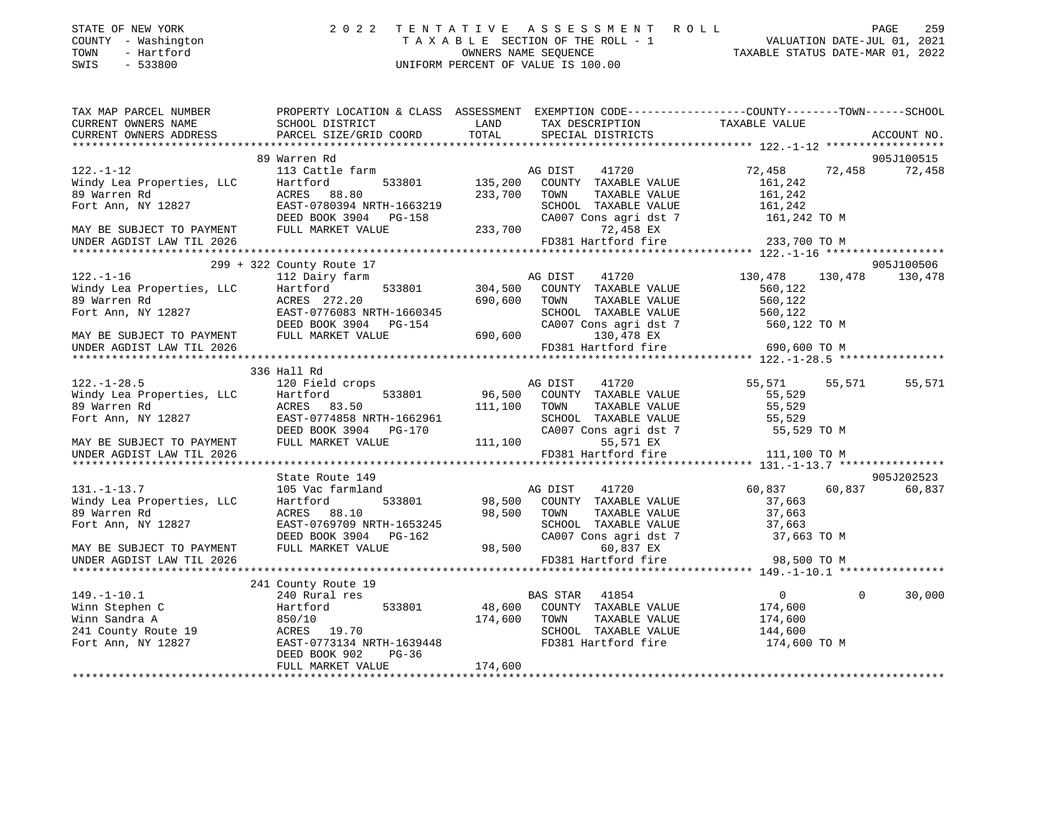| STATE OF NEW YORK<br>COUNTY - Washington<br>- Hartford<br>TOWN<br>SWIS<br>$-533800$ | 2022                                                                                                                        |                | TENTATIVE ASSESSMENT ROLL<br>UNIFORM PERCENT OF VALUE IS 100.00 |                  | PAGE                               | 259    |
|-------------------------------------------------------------------------------------|-----------------------------------------------------------------------------------------------------------------------------|----------------|-----------------------------------------------------------------|------------------|------------------------------------|--------|
| TAX MAP PARCEL NUMBER                                                               | PROPERTY LOCATION & CLASS ASSESSMENT EXEMPTION CODE-----------------COUNTY-------TOWN------SCHOOL                           |                |                                                                 |                  |                                    |        |
| CURRENT OWNERS NAME<br>CURRENT OWNERS ADDRESS                                       | SCHOOL DISTRICT<br>PARCEL SIZE/GRID COORD                                                                                   | LAND<br>TOTAL  | TAX DESCRIPTION TAXABLE VALUE<br>SPECIAL DISTRICTS              |                  | ACCOUNT NO.                        |        |
|                                                                                     |                                                                                                                             |                |                                                                 |                  |                                    |        |
|                                                                                     | 89 Warren Rd                                                                                                                |                |                                                                 |                  | 905J100515                         |        |
| $122. - 1 - 12$                                                                     | 113 Cattle farm                                                                                                             |                | 41720<br>AG DIST                                                | 72,458           | 72,458                             | 72,458 |
| Windy Lea Properties, LLC                                                           | Hartford                                                                                                                    | 533801 135,200 | COUNTY TAXABLE VALUE                                            | 161,242          |                                    |        |
| 89 Warren Rd                                                                        | ACRES 88.80                                                                                                                 | 233,700 TOWN   | TAXABLE VALUE                                                   | 161,242          |                                    |        |
| Fort Ann, NY 12827                                                                  | EAST-0780394 NRTH-1663219<br>EAST-0780394 NRTH-1663219 SCHOOL<br>DEED BOOK 3904 PG-158 CA007 C<br>FULL MARKET VALUE 233,700 |                | SCHOOL TAXABLE VALUE                                            | 161,242          |                                    |        |
|                                                                                     |                                                                                                                             |                | CA007 Cons agri dst 7 161,242 TO M<br>72,458 EX                 |                  |                                    |        |
| MAY BE SUBJECT TO PAYMENT<br>UNDER AGDIST LAW TIL 2026                              |                                                                                                                             |                | FD381 Hartford fire                                             | 233,700 TO M     |                                    |        |
|                                                                                     |                                                                                                                             |                |                                                                 |                  |                                    |        |
|                                                                                     | 299 + 322 County Route 17                                                                                                   |                |                                                                 |                  | 905J100506                         |        |
| $122. - 1 - 16$                                                                     | 112 Dairy farm                                                                                                              |                | 41720<br>AG DIST                                                | 130,478          | 130,478<br>130,478                 |        |
| Windy Lea Properties, LLC                                                           | Hartford<br>533801                                                                                                          | 304,500        | COUNTY TAXABLE VALUE                                            | 560,122          |                                    |        |
|                                                                                     | ACRES 272.20                                                                                                                |                | 690,600 TOWN<br>TAXABLE VALUE                                   | 560,122          |                                    |        |
| 89 Warren Rd<br>Fort Ann, NY 12827                                                  | EAST-0776083 NRTH-1660345                                                                                                   |                | SCHOOL TAXABLE VALUE                                            | 560,122          |                                    |        |
|                                                                                     | DEED BOOK 3904 PG-154                                                                                                       |                | CA007 Cons agri dst 7                                           | 560,122 TO M     |                                    |        |
| MAY BE SUBJECT TO PAYMENT                                                           | FULL MARKET VALUE                                                                                                           |                | 130,478 EX                                                      |                  |                                    |        |
| UNDER AGDIST LAW TIL 2026                                                           |                                                                                                                             |                | FD381 Hartford fire                                             | 690,600 TO M     |                                    |        |
|                                                                                     |                                                                                                                             |                |                                                                 |                  |                                    |        |
|                                                                                     | 336 Hall Rd                                                                                                                 |                |                                                                 |                  |                                    |        |
| $122. - 1 - 28.5$                                                                   | 120 Field crops<br>Hartford<br>533801                                                                                       | 96,500         | 41720<br>AG DIST<br>COUNTY TAXABLE VALUE                        | 55,571<br>55,529 | 55,571 55,571                      |        |
| Windy Lea Properties, LLC                                                           | ACRES 83.50                                                                                                                 |                | 111,100 TOWN<br>TAXABLE VALUE                                   | 55,529           |                                    |        |
| 89 Warren Rd<br>Fort Ann, NY 12827                                                  | EAST-0774858 NRTH-1662961                                                                                                   |                | SCHOOL TAXABLE VALUE 55,529                                     |                  |                                    |        |
|                                                                                     | DEED BOOK 3904 PG-170                                                                                                       |                | CA007 Cons agri dst 7                                           | 55,529 TO M      |                                    |        |
| MAY BE SUBJECT TO PAYMENT                                                           | FULL MARKET VALUE                                                                                                           |                | 111,100<br>55,571 EX                                            |                  |                                    |        |
| UNDER AGDIST LAW TIL 2026                                                           |                                                                                                                             |                | FD381 Hartford fire                                             | 111,100 TO M     |                                    |        |
|                                                                                     |                                                                                                                             |                |                                                                 |                  |                                    |        |
|                                                                                     | State Route 149                                                                                                             |                |                                                                 |                  | 905J202523                         |        |
| $131. - 1 - 13.7$                                                                   | 105 Vac farmland                                                                                                            |                | 41720<br>AG DIST                                                | 60,837           | 60,837 60,837                      |        |
| Windy Lea Properties, LLC                                                           | Hartford<br>533801                                                                                                          |                | 98,500 COUNTY TAXABLE VALUE                                     | 37,663           |                                    |        |
| 89 Warren Rd                                                                        | ACRES 88.10                                                                                                                 | 98,500         | TOWN<br>TAXABLE VALUE                                           | 37,663           |                                    |        |
| Fort Ann, NY 12827                                                                  | EAST-0769709 NRTH-1653245                                                                                                   |                | SCHOOL TAXABLE VALUE 37,663                                     |                  |                                    |        |
|                                                                                     | DEED BOOK 3904 PG-162                                                                                                       |                | CA007 Cons agri dst 7                                           | 37,663 TO M      |                                    |        |
| MAY BE SUBJECT TO PAYMENT                                                           | FULL MARKET VALUE                                                                                                           | 98,500         | 60,837 EX<br>FD381 Hartford fire                                | 98,500 TO M      |                                    |        |
| UNDER AGDIST LAW TIL 2026                                                           |                                                                                                                             |                |                                                                 |                  |                                    |        |
|                                                                                     | 241 County Route 19                                                                                                         |                |                                                                 |                  |                                    |        |
| $149 - 1 - 101$                                                                     | 240 Rural res                                                                                                               |                | RAS STAR 41854                                                  |                  | $\Omega$ and $\Omega$ and $\Omega$ |        |

|                     | 241 County Route 19       |                                   |              |
|---------------------|---------------------------|-----------------------------------|--------------|
| 149. - 1 - 10. 1    | 240 Rural res             | 41854<br>BAS STAR                 | 30,000       |
| Winn Stephen C      | 533801<br>Hartford        | 48,600<br>TAXABLE VALUE<br>COUNTY | 174,600      |
| Winn Sandra A       | 850/10                    | 174,600<br>TOWN<br>TAXABLE VALUE  | 174,600      |
| 241 County Route 19 | 19.70<br>ACRES            | TAXABLE VALUE<br>SCHOOL           | 144,600      |
| Fort Ann, NY 12827  | EAST-0773134 NRTH-1639448 | FD381 Hartford fire               | 174,600 TO M |
|                     | DEED BOOK 902<br>$PG-36$  |                                   |              |
|                     | FULL MARKET VALUE         | 174,600                           |              |

FULL MARKET VALUE 174,600 \*\*\*\*\*\*\*\*\*\*\*\*\*\*\*\*\*\*\*\*\*\*\*\*\*\*\*\*\*\*\*\*\*\*\*\*\*\*\*\*\*\*\*\*\*\*\*\*\*\*\*\*\*\*\*\*\*\*\*\*\*\*\*\*\*\*\*\*\*\*\*\*\*\*\*\*\*\*\*\*\*\*\*\*\*\*\*\*\*\*\*\*\*\*\*\*\*\*\*\*\*\*\*\*\*\*\*\*\*\*\*\*\*\*\*\*\*\*\*\*\*\*\*\*\*\*\*\*\*\*\*\*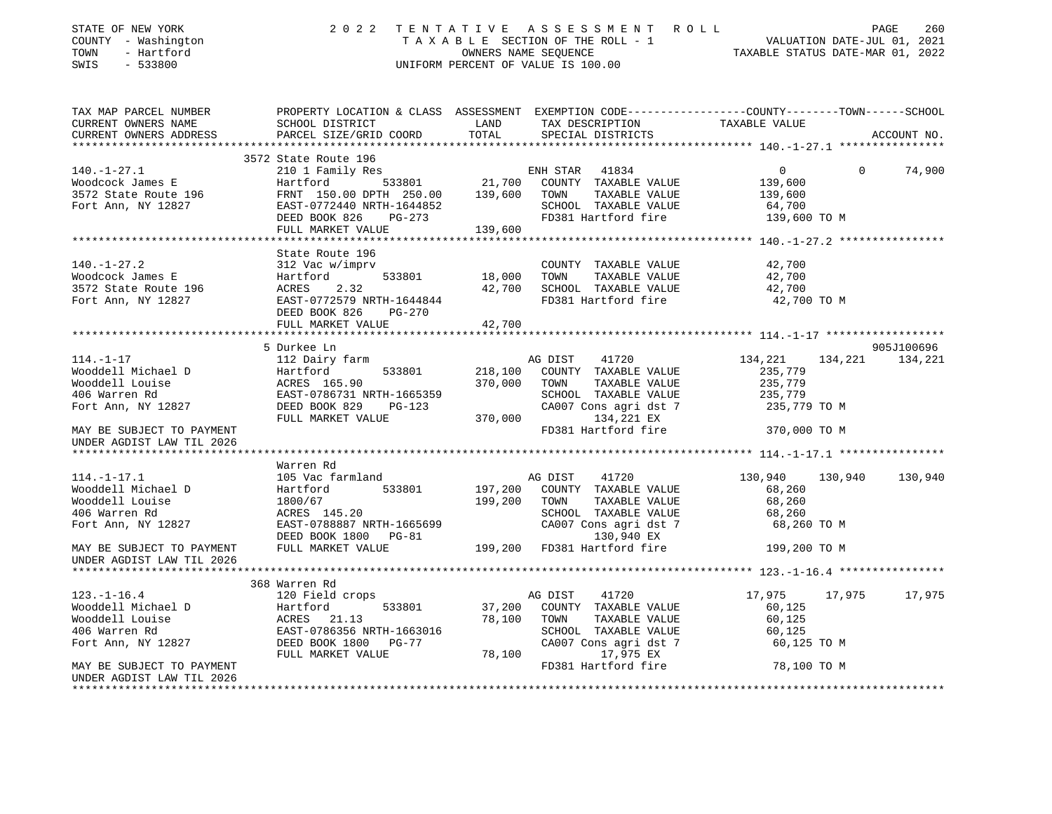| STATE OF NEW YORK<br>COUNTY - Washington<br>TOWN - Hartford<br>SWIS - 533800                                                                                |                                                                                                                                                                                                                                                                        | 2022 TENTATIVE ASSESSMENT ROLL<br>T A X A B L E SECTION OF THE ROLL - 1<br>OWNERS NAME SEQUENCE TAXABLE STATUS DATE-MAR 01, 2022<br>UNIFORM PERCENT OF VALUE IS 100.00 |                                                                                              | 260<br>PAGE                     |
|-------------------------------------------------------------------------------------------------------------------------------------------------------------|------------------------------------------------------------------------------------------------------------------------------------------------------------------------------------------------------------------------------------------------------------------------|------------------------------------------------------------------------------------------------------------------------------------------------------------------------|----------------------------------------------------------------------------------------------|---------------------------------|
| TAX MAP PARCEL NUMBER<br>CURRENT OWNERS NAME<br>CURRENT OWNERS ADDRESS                                                                                      | PROPERTY LOCATION & CLASS ASSESSMENT EXEMPTION CODE----------------COUNTY-------TOWN-----SCHOOL<br>SCHOOL DISTRICT<br>PARCEL SIZE/GRID COORD                                                                                                                           | LAND TAX DESCRIPTION TAXABLE VALUE COORD TOTAL SPECIAL DISTRICTS                                                                                                       |                                                                                              | ACCOUNT NO.                     |
|                                                                                                                                                             | 3572 State Route 196                                                                                                                                                                                                                                                   |                                                                                                                                                                        |                                                                                              |                                 |
|                                                                                                                                                             |                                                                                                                                                                                                                                                                        |                                                                                                                                                                        | $\overline{0}$<br>$\Omega$                                                                   | 74,900                          |
|                                                                                                                                                             | 140.-1-27.1<br>Woodcock James E 196 Hartford<br>3572 State Route 196 FRNT 150.00 DPTH 250.00 139,600 TOWN TAXABLE VALUE<br>Fort Ann, NY 12827 EAST-0772440 NRTH-1644852 SCHOOL TAXABLE VALUE<br>DEED BOOK 826 PG-273 FD381 Hartford fi<br>FULL MARKET VALUE 139,600    | TAXABLE VALUE                                                                                                                                                          | 139,600<br>139,600<br>64,700<br>139,600 TO M                                                 |                                 |
|                                                                                                                                                             |                                                                                                                                                                                                                                                                        |                                                                                                                                                                        |                                                                                              |                                 |
|                                                                                                                                                             | State Route 196<br>140.-1-27.2<br>Woodcock James E Hartford 533801 18,000 TOWN TAXABLE VALUE<br>3572 State Route 196 ACRES 2.32<br>Fort Ann, NY 12827 EAST-0772579 NRTH-1644844 FD381 Hartford fire<br>DEED BOOK 826 PG-270<br>THE MANUST VALUE<br>THE MANUS           | FD381 Hartford fire                                                                                                                                                    | 42,700<br>42,700<br>42,700<br>42,700 TO M                                                    |                                 |
|                                                                                                                                                             |                                                                                                                                                                                                                                                                        |                                                                                                                                                                        |                                                                                              |                                 |
| $114. -1 -17$<br>Wooddell Michael D<br>Wooddell Louise<br>406 Warren Rd<br>Fort Ann, NY 12827<br>MAY BE SUBJECT TO PAYMENT<br>UNDER AGDIST LAW TIL 2026     | 5 Durkee Ln<br>112 Dairy farm<br>Hartford 533801 218,100 COUNTY TAXABLE VALUE<br>ACRES 165.90 370,000 TOWN TAXABLE VALUE<br>EAST-0786731 NRTH-1665359 SCHOOL TAXABLE VALUE<br>DEED BOOK 829 PG-123 CA007 Cons agri dst 7<br>FULL MARKET VALUE 370,000 19991 134,221 EX | 41720<br>AG DIST<br>TAXABLE VALUE<br>SCHOOL TAXABLE VALUE<br>CA007 Cons agri dst 7<br>FD381 Hartford fire                                                              | 134,221<br>235,779<br>$235, 779$<br>$235, 779$<br>$235, 779$<br>235,779 TO M<br>370,000 TO M | 905J100696<br>134, 221 134, 221 |
|                                                                                                                                                             |                                                                                                                                                                                                                                                                        |                                                                                                                                                                        |                                                                                              |                                 |
| $114. - 1 - 17.1$<br>Wooddell Michael D<br>Wooddell Louise<br>406 Warren Rd<br>Fort Ann, NY 12827<br>MAY BE SUBJECT TO PAYMENT<br>UNDER AGDIST LAW TIL 2026 | Warren Rd<br>105 Vac farmland<br>Hartford 533801 197,200 COUNTY TAXABLE VALUE<br>1800/67 199,200 TOWN TAXABLE VALUE<br>ACRES 145.20 SCHOOL TAXABLE VALUE<br>EAST-0788887 NRTH-1665699 CA007 Cons agri dst 7<br>DEED BOOK 1800 PG-81 130,94                             | TAXABLE VALUE<br>SCHOOL TAXABLE VALUE<br>CA007 Cons agri dst 7                                                                                                         | 130,940 130,940 130,940<br>68,260<br>68,260<br>68,260<br>68,260 TO M<br>199,200 TO M         |                                 |
|                                                                                                                                                             |                                                                                                                                                                                                                                                                        |                                                                                                                                                                        |                                                                                              |                                 |
| $123. - 1 - 16.4$                                                                                                                                           | 368 Warren Rd<br>120 Field crops                                                                                                                                                                                                                                       | 41720<br>AG DIST<br>TAXABLE VALUE<br>SCHOOL TAXABLE VALUE<br>CA007 Cons agri dst 7                                                                                     | 17,975<br>60,125<br>60,125<br>60,125<br>60,125 TO M                                          | 17,975 17,975                   |
| MAY BE SUBJECT TO PAYMENT<br>UNDER AGDIST LAW TIL 2026                                                                                                      |                                                                                                                                                                                                                                                                        | FD381 Hartford fire                                                                                                                                                    | 78,100 TO M                                                                                  |                                 |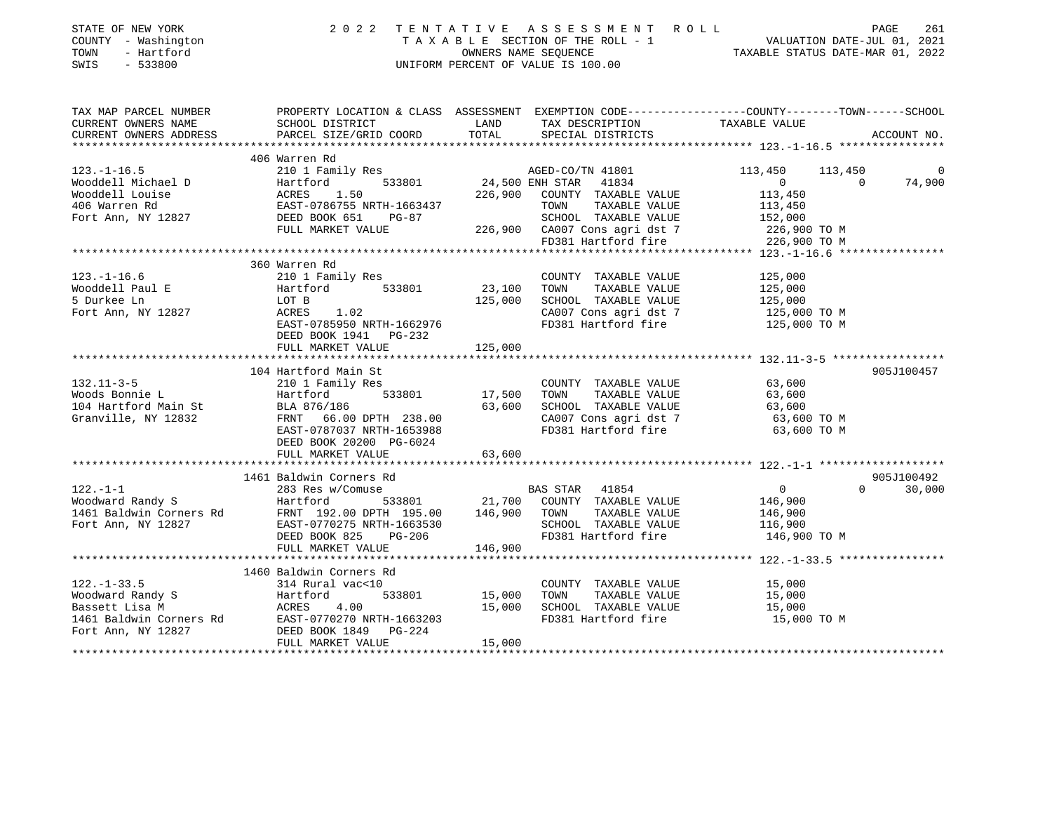| STATE OF NEW YORK<br>COUNTY - Washington<br>- Hartford<br>TOWN<br>$-533800$<br>SWIS |                                                     | OWNERS NAME SEOUENCE | 2022 TENTATIVE ASSESSMENT ROLL<br>TAXABLE SECTION OF THE ROLL - 1<br>UNIFORM PERCENT OF VALUE IS 100.00            | PAGE 261<br>VALUATION DATE-JUL 01, 2021<br>TAXABLE STATUS DATE-MAR 01 00000 | PAGE<br>261        |
|-------------------------------------------------------------------------------------|-----------------------------------------------------|----------------------|--------------------------------------------------------------------------------------------------------------------|-----------------------------------------------------------------------------|--------------------|
| TAX MAP PARCEL NUMBER<br>CURRENT OWNERS NAME                                        | SCHOOL DISTRICT                                     | LAND                 | PROPERTY LOCATION & CLASS ASSESSMENT EXEMPTION CODE----------------COUNTY-------TOWN-----SCHOOL<br>TAX DESCRIPTION | TAXABLE VALUE                                                               |                    |
| CURRENT OWNERS ADDRESS                                                              | PARCEL SIZE/GRID COORD                              | TOTAL                | SPECIAL DISTRICTS                                                                                                  |                                                                             | ACCOUNT NO.        |
|                                                                                     | 406 Warren Rd                                       |                      |                                                                                                                    |                                                                             |                    |
| $123. - 1 - 16.5$                                                                   | 210 1 Family Res                                    |                      | AGED-CO/TN 41801                                                                                                   | 113,450<br>113,450                                                          | 0                  |
| Wooddell Michael D                                                                  | 533801<br>Hartford                                  | 24,500 ENH STAR      | 41834                                                                                                              | $\overline{0}$                                                              | $\Omega$<br>74,900 |
| Wooddell Louise                                                                     | ACRES<br>1.50                                       | 226,900              | COUNTY TAXABLE VALUE                                                                                               | 113,450                                                                     |                    |
| 406 Warren Rd                                                                       | EAST-0786755 NRTH-1663437                           |                      | TAXABLE VALUE<br>TOWN                                                                                              | 113,450                                                                     |                    |
| Fort Ann, NY 12827                                                                  | DEED BOOK 651<br>PG-87                              |                      | SCHOOL TAXABLE VALUE                                                                                               | 152,000                                                                     |                    |
|                                                                                     | FULL MARKET VALUE                                   |                      | 226,900 CA007 Cons agri dst 7                                                                                      | 226,900 ТО М                                                                |                    |
|                                                                                     |                                                     |                      | FD381 Hartford fire                                                                                                | 226,900 TO M                                                                |                    |
|                                                                                     | 360 Warren Rd                                       |                      |                                                                                                                    |                                                                             |                    |
| $123. - 1 - 16.6$                                                                   | 210 1 Family Res                                    |                      | COUNTY TAXABLE VALUE                                                                                               | 125,000                                                                     |                    |
| Wooddell Paul E                                                                     | 533801<br>Hartford                                  | 23,100               | TOWN<br>TAXABLE VALUE                                                                                              | 125,000                                                                     |                    |
| 5 Durkee Ln                                                                         | LOT B                                               | 125,000              | SCHOOL TAXABLE VALUE                                                                                               | 125,000                                                                     |                    |
| Fort Ann, NY 12827                                                                  | ACRES 1.02                                          |                      | CA007 Cons agri dst 7                                                                                              | 125,000 TO M                                                                |                    |
|                                                                                     | EAST-0785950 NRTH-1662976                           |                      | FD381 Hartford fire                                                                                                | 125,000 TO M                                                                |                    |
|                                                                                     | DEED BOOK 1941 PG-232                               |                      |                                                                                                                    |                                                                             |                    |
|                                                                                     | FULL MARKET VALUE                                   | 125,000              |                                                                                                                    |                                                                             |                    |
|                                                                                     |                                                     |                      |                                                                                                                    |                                                                             |                    |
|                                                                                     | 104 Hartford Main St                                |                      |                                                                                                                    |                                                                             | 905J100457         |
| $132.11 - 3 - 5$                                                                    | 210 1 Family Res                                    |                      | COUNTY TAXABLE VALUE                                                                                               | 63,600                                                                      |                    |
| Woods Bonnie L                                                                      | 533801<br>Hartford                                  | 17,500               | TOWN<br>TAXABLE VALUE                                                                                              | 63,600                                                                      |                    |
| 104 Hartford Main St                                                                | BLA 876/186                                         | 63,600               | SCHOOL TAXABLE VALUE                                                                                               | 63,600                                                                      |                    |
| Granville, NY 12832                                                                 | FRNT 66.00 DPTH 238.00<br>EAST-0787037 NRTH-1653988 |                      | CA007 Cons agri dst 7<br>FD381 Hartford fire                                                                       | 63,600 TO M<br>63,600 TO M                                                  |                    |
|                                                                                     | DEED BOOK 20200 PG-6024                             |                      |                                                                                                                    |                                                                             |                    |
|                                                                                     | FULL MARKET VALUE                                   | 63,600               |                                                                                                                    |                                                                             |                    |
|                                                                                     |                                                     |                      |                                                                                                                    |                                                                             |                    |
|                                                                                     | 1461 Baldwin Corners Rd                             |                      |                                                                                                                    |                                                                             | 905J100492         |
| $122. - 1 - 1$                                                                      | 283 Res w/Comuse                                    |                      | BAS STAR<br>41854                                                                                                  | $\overline{0}$                                                              | 30,000<br>$\Omega$ |
| Woodward Randy S                                                                    | Hartford<br>533801                                  |                      | 21,700 COUNTY TAXABLE VALUE                                                                                        | 146,900                                                                     |                    |
| 1461 Baldwin Corners Rd                                                             | FRNT 192.00 DPTH 195.00                             | 146,900              | TOWN<br>TAXABLE VALUE                                                                                              | 146,900                                                                     |                    |
| Fort Ann, NY 12827                                                                  | EAST-0770275 NRTH-1663530                           |                      | SCHOOL TAXABLE VALUE                                                                                               | 116,900                                                                     |                    |
|                                                                                     | DEED BOOK 825 PG-206                                |                      | FD381 Hartford fire                                                                                                | 146,900 TO M                                                                |                    |
|                                                                                     | FULL MARKET VALUE                                   | 146,900              |                                                                                                                    |                                                                             |                    |
|                                                                                     |                                                     |                      |                                                                                                                    |                                                                             |                    |
|                                                                                     | 1460 Baldwin Corners Rd                             |                      |                                                                                                                    |                                                                             |                    |
| $122. - 1 - 33.5$                                                                   | 314 Rural vac<10                                    |                      | COUNTY TAXABLE VALUE                                                                                               | 15,000                                                                      |                    |
| Woodward Randy S<br>Bassett Lisa M                                                  | Hartford<br>533801<br>4.00<br>ACRES                 | 15,000<br>15,000     | TOWN<br>TAXABLE VALUE<br>SCHOOL TAXABLE VALUE                                                                      | 15,000<br>15,000                                                            |                    |
| 1461 Baldwin Corners Rd                                                             | EAST-0770270 NRTH-1663203                           |                      | FD381 Hartford fire                                                                                                | 15,000 TO M                                                                 |                    |
| Fort Ann, NY 12827                                                                  | DEED BOOK 1849 PG-224                               |                      |                                                                                                                    |                                                                             |                    |
|                                                                                     | FULL MARKET VALUE                                   | 15,000               |                                                                                                                    |                                                                             |                    |
|                                                                                     |                                                     |                      |                                                                                                                    |                                                                             |                    |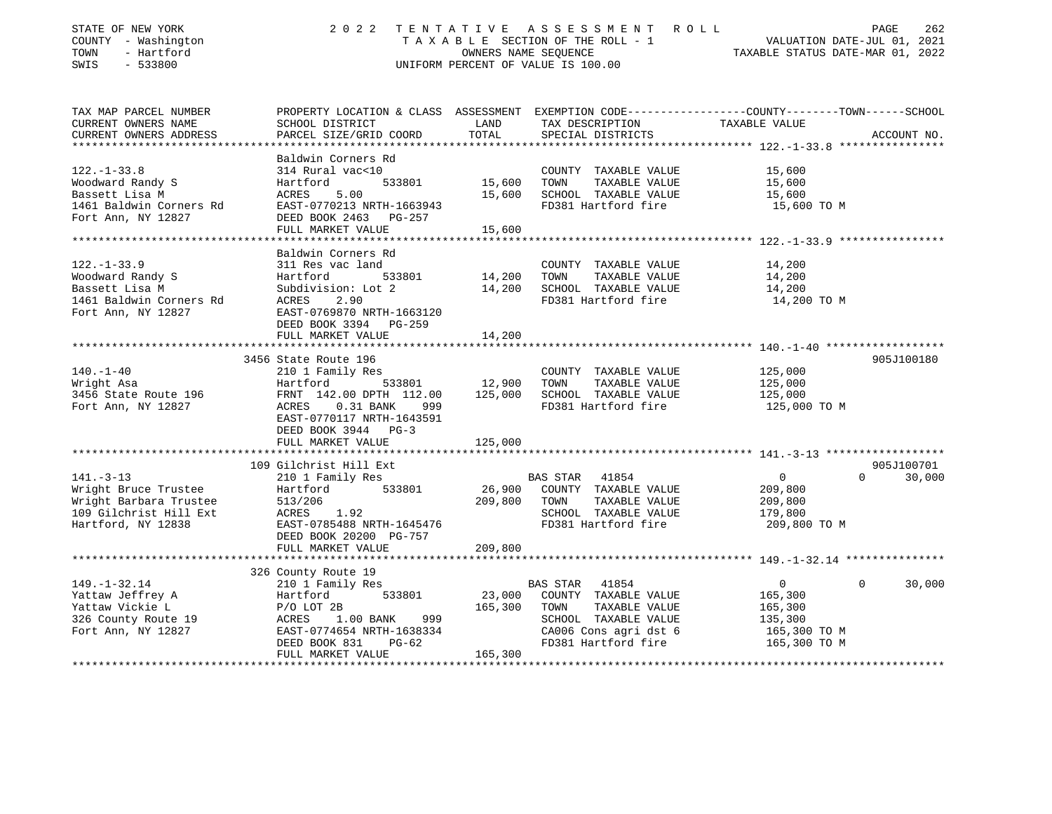| STATE OF NEW YORK<br>COUNTY - Washington<br>TOWN<br>- Hartford<br>SWIS<br>$-533800$ |                                                                                                                    | OWNERS NAME SEQUENCE | 2022 TENTATIVE ASSESSMENT ROLL<br>TAXABLE SECTION OF THE ROLL - 1<br>UNIFORM PERCENT OF VALUE IS 100.00 | VALUATION DATE-JUL 01, 2021<br>TAXABLE STATUS DATE-MAR 01, 2022 | PAGE<br>262        |
|-------------------------------------------------------------------------------------|--------------------------------------------------------------------------------------------------------------------|----------------------|---------------------------------------------------------------------------------------------------------|-----------------------------------------------------------------|--------------------|
| TAX MAP PARCEL NUMBER<br>CURRENT OWNERS NAME                                        | PROPERTY LOCATION & CLASS ASSESSMENT EXEMPTION CODE----------------COUNTY-------TOWN-----SCHOOL<br>SCHOOL DISTRICT | LAND                 | TAX DESCRIPTION                                                                                         | TAXABLE VALUE                                                   |                    |
| CURRENT OWNERS ADDRESS<br>**********************                                    | PARCEL SIZE/GRID COORD                                                                                             | TOTAL                | SPECIAL DISTRICTS                                                                                       |                                                                 | ACCOUNT NO.        |
|                                                                                     | Baldwin Corners Rd                                                                                                 |                      |                                                                                                         |                                                                 |                    |
| $122. - 1 - 33.8$                                                                   | 314 Rural vac<10                                                                                                   |                      | COUNTY TAXABLE VALUE                                                                                    | 15,600                                                          |                    |
| Woodward Randy S                                                                    | Hartford<br>533801                                                                                                 | 15,600               | TOWN<br>TAXABLE VALUE                                                                                   | 15,600                                                          |                    |
| Bassett Lisa M                                                                      | ACRES<br>5.00                                                                                                      | 15,600               | SCHOOL TAXABLE VALUE                                                                                    | 15,600                                                          |                    |
| 1461 Baldwin Corners Rd                                                             | EAST-0770213 NRTH-1663943                                                                                          |                      | FD381 Hartford fire                                                                                     | 15,600 TO M                                                     |                    |
| Fort Ann, NY 12827                                                                  | DEED BOOK 2463 PG-257                                                                                              |                      |                                                                                                         |                                                                 |                    |
| ************************                                                            | FULL MARKET VALUE                                                                                                  | 15,600               |                                                                                                         |                                                                 |                    |
|                                                                                     | Baldwin Corners Rd                                                                                                 |                      |                                                                                                         |                                                                 |                    |
| $122. - 1 - 33.9$                                                                   | 311 Res vac land                                                                                                   |                      | COUNTY TAXABLE VALUE                                                                                    | 14,200                                                          |                    |
| Woodward Randy S                                                                    | Hartford<br>533801                                                                                                 | 14,200               | TOWN<br>TAXABLE VALUE                                                                                   | 14,200                                                          |                    |
| Bassett Lisa M                                                                      | Subdivision: Lot 2                                                                                                 | 14,200               | SCHOOL TAXABLE VALUE                                                                                    | 14,200                                                          |                    |
| 1461 Baldwin Corners Rd                                                             | ACRES<br>2.90                                                                                                      |                      | FD381 Hartford fire                                                                                     | 14,200 TO M                                                     |                    |
| Fort Ann, NY 12827                                                                  | EAST-0769870 NRTH-1663120                                                                                          |                      |                                                                                                         |                                                                 |                    |
|                                                                                     | DEED BOOK 3394 PG-259                                                                                              |                      |                                                                                                         |                                                                 |                    |
|                                                                                     | FULL MARKET VALUE                                                                                                  | 14,200               |                                                                                                         |                                                                 |                    |
|                                                                                     | 3456 State Route 196                                                                                               |                      |                                                                                                         |                                                                 | 905J100180         |
| $140. - 1 - 40$                                                                     | 210 1 Family Res                                                                                                   |                      | COUNTY TAXABLE VALUE                                                                                    | 125,000                                                         |                    |
| Wright Asa                                                                          | 533801<br>Hartford                                                                                                 | 12,900               | TOWN<br>TAXABLE VALUE                                                                                   | 125,000                                                         |                    |
| 3456 State Route 196                                                                | FRNT 142.00 DPTH 112.00                                                                                            | 125,000              | SCHOOL TAXABLE VALUE                                                                                    | 125,000                                                         |                    |
| Fort Ann, NY 12827                                                                  | $0.31$ BANK<br>999<br>ACRES                                                                                        |                      | FD381 Hartford fire                                                                                     | 125,000 TO M                                                    |                    |
|                                                                                     | EAST-0770117 NRTH-1643591                                                                                          |                      |                                                                                                         |                                                                 |                    |
|                                                                                     | DEED BOOK 3944 PG-3                                                                                                |                      |                                                                                                         |                                                                 |                    |
|                                                                                     | FULL MARKET VALUE                                                                                                  | 125,000              |                                                                                                         |                                                                 |                    |
|                                                                                     | 109 Gilchrist Hill Ext                                                                                             |                      |                                                                                                         |                                                                 | 905J100701         |
| $141. - 3 - 13$                                                                     | 210 1 Family Res                                                                                                   |                      | BAS STAR 41854                                                                                          | $\overline{0}$                                                  | 30,000<br>$\Omega$ |
| Wright Bruce Trustee                                                                | Hartford 533801                                                                                                    | 26,900               | COUNTY TAXABLE VALUE                                                                                    | 209,800                                                         |                    |
| Wright Barbara Trustee                                                              | 513/206                                                                                                            | 209,800              | TAXABLE VALUE<br>TOWN                                                                                   | 209,800                                                         |                    |
| 109 Gilchrist Hill Ext                                                              | ACRES 1.92                                                                                                         |                      | SCHOOL TAXABLE VALUE                                                                                    | 179,800                                                         |                    |
| Hartford, NY 12838                                                                  | EAST-0785488 NRTH-1645476                                                                                          |                      | FD381 Hartford fire                                                                                     | 209,800 TO M                                                    |                    |
|                                                                                     | DEED BOOK 20200 PG-757                                                                                             |                      |                                                                                                         |                                                                 |                    |
|                                                                                     | FULL MARKET VALUE                                                                                                  | 209,800              |                                                                                                         |                                                                 |                    |
|                                                                                     | 326 County Route 19                                                                                                |                      |                                                                                                         |                                                                 |                    |
| $149. - 1 - 32.14$                                                                  | 210 1 Family Res                                                                                                   |                      | BAS STAR 41854                                                                                          | $\overline{0}$<br>$\Omega$                                      | 30,000             |
| Yattaw Jeffrey A                                                                    | 533801<br>Hartford                                                                                                 | 23,000               | COUNTY TAXABLE VALUE                                                                                    | 165,300                                                         |                    |
| Yattaw Vickie L                                                                     | $P/O$ LOT $2B$                                                                                                     | 165,300              | TOWN<br>TAXABLE VALUE                                                                                   | 165,300                                                         |                    |
| 326 County Route 19                                                                 | ACRES<br>$1.00$ BANK<br>999                                                                                        |                      | SCHOOL TAXABLE VALUE                                                                                    | 135,300                                                         |                    |
| Fort Ann, NY 12827                                                                  | EAST-0774654 NRTH-1638334                                                                                          |                      | CA006 Cons agri dst 6                                                                                   | 165,300 TO M                                                    |                    |
|                                                                                     | DEED BOOK 831<br>PG-62                                                                                             |                      | FD381 Hartford fire                                                                                     | 165,300 TO M                                                    |                    |
|                                                                                     | FULL MARKET VALUE                                                                                                  | 165,300              |                                                                                                         |                                                                 |                    |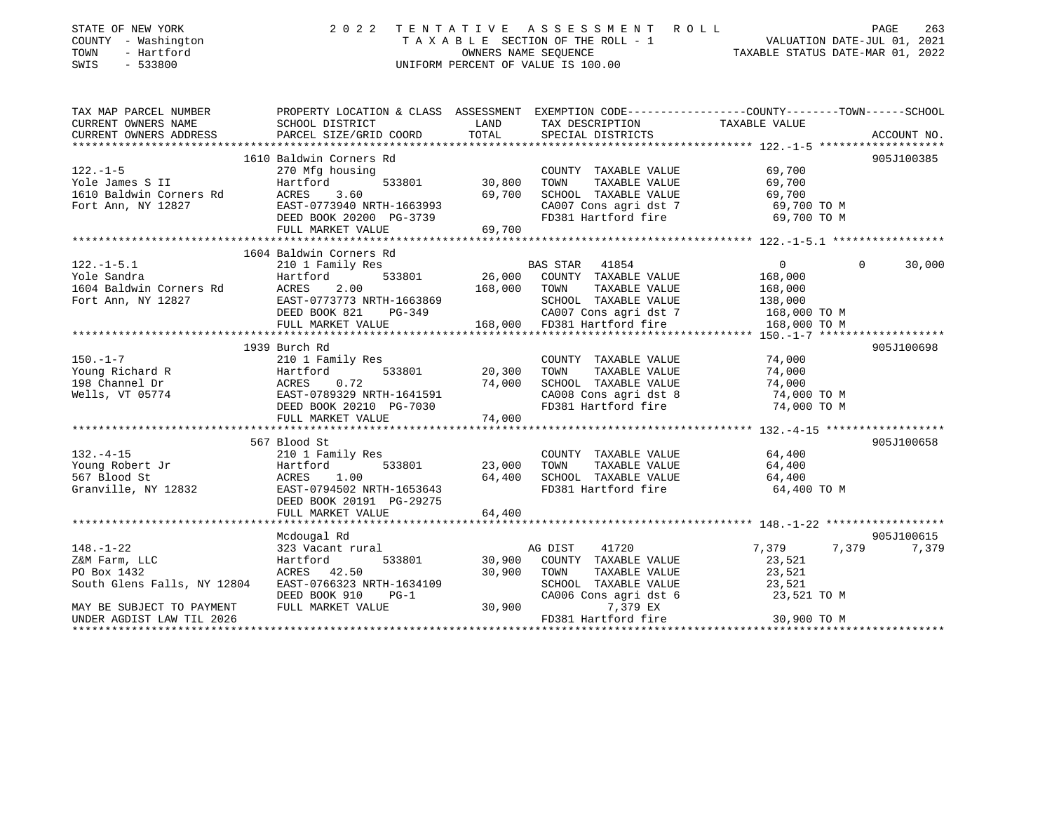| STATE OF NEW YORK<br>COUNTY - Washington<br>TOWN<br>- Hartford<br>SWIS<br>$-533800$                                                                                                                                                             | 2022 TENTATIVE                                                                                                                                                        |        | UNIFORM PERCENT OF VALUE IS 100.00                                                 | TENTATIVE ASSESSMENT ROLL<br>TAXABLE SECTION OF THE ROLL - 1 VALUATION DATE-JUL 01, 2021<br>OWNERS NAME SEQUENCE<br>TAXABLE STATUS DATE-MAR 01, 2022 |             |
|-------------------------------------------------------------------------------------------------------------------------------------------------------------------------------------------------------------------------------------------------|-----------------------------------------------------------------------------------------------------------------------------------------------------------------------|--------|------------------------------------------------------------------------------------|------------------------------------------------------------------------------------------------------------------------------------------------------|-------------|
|                                                                                                                                                                                                                                                 |                                                                                                                                                                       |        |                                                                                    |                                                                                                                                                      |             |
| CURRENT OWNERS ADDRESS PARCEL SIZE/GRID COORD                                                                                                                                                                                                   |                                                                                                                                                                       | TOTAL  | SPECIAL DISTRICTS                                                                  |                                                                                                                                                      | ACCOUNT NO. |
|                                                                                                                                                                                                                                                 |                                                                                                                                                                       |        |                                                                                    |                                                                                                                                                      |             |
|                                                                                                                                                                                                                                                 | 1610 Baldwin Corners Rd                                                                                                                                               |        |                                                                                    |                                                                                                                                                      | 905J100385  |
| $122. - 1 - 5$                                                                                                                                                                                                                                  | 270 Mfg housing                                                                                                                                                       |        | COUNTY TAXABLE VALUE                                                               | 69,700                                                                                                                                               |             |
| Yole James S II<br>1610 Pri                                                                                                                                                                                                                     | 533801<br>270 Mig 110<br>Hartford                                                                                                                                     |        | TAXABLE VALUE                                                                      | 69,700                                                                                                                                               |             |
| 1610 Baldwin Corners Rd<br>Fort Ann, NY 12827<br>Fort Ann, NY 12827<br>CA007 Cons agri dst 7<br>DEED BOOK 20200 PG-3739<br>FULL MARKET VALUE<br>FULL MARKET VALUE<br>FULL MARKET VALUE<br>FULL MARKET VALUE<br>FULL MARKET VALUE<br>FULL MARKET |                                                                                                                                                                       |        |                                                                                    |                                                                                                                                                      |             |
|                                                                                                                                                                                                                                                 |                                                                                                                                                                       |        |                                                                                    |                                                                                                                                                      |             |
|                                                                                                                                                                                                                                                 |                                                                                                                                                                       |        |                                                                                    |                                                                                                                                                      |             |
|                                                                                                                                                                                                                                                 |                                                                                                                                                                       |        |                                                                                    |                                                                                                                                                      |             |
|                                                                                                                                                                                                                                                 |                                                                                                                                                                       |        |                                                                                    |                                                                                                                                                      |             |
|                                                                                                                                                                                                                                                 | 1604 Baldwin Corners Rd                                                                                                                                               |        |                                                                                    |                                                                                                                                                      |             |
| $122. - 1 - 5.1$                                                                                                                                                                                                                                | 210 1 Family Res                                                                                                                                                      |        | BAS STAR 41854<br>533801 26,000 COUNTY TAXABLE VALUE<br>168.000 TOWN TAYARLE VILLE | $\overline{0}$<br>$\Omega$                                                                                                                           | 30,000      |
|                                                                                                                                                                                                                                                 |                                                                                                                                                                       |        |                                                                                    |                                                                                                                                                      |             |
|                                                                                                                                                                                                                                                 |                                                                                                                                                                       |        |                                                                                    |                                                                                                                                                      |             |
|                                                                                                                                                                                                                                                 |                                                                                                                                                                       |        |                                                                                    |                                                                                                                                                      |             |
| Vole Sandra (1997)<br>Total Hartford 533801 26,000 COUNTY TAXABLE VALUE 168,000<br>Fort Ann, NY 12827 EAST-077373 NRTH-1663869 5CHOOL TAXABLE VALUE 168,000 5CHO TAXABLE VALUE 168,000 FORT ANN<br>FULL MARKET VALUE 168,000 FD381 H            |                                                                                                                                                                       |        |                                                                                    |                                                                                                                                                      |             |
|                                                                                                                                                                                                                                                 |                                                                                                                                                                       |        |                                                                                    |                                                                                                                                                      |             |
|                                                                                                                                                                                                                                                 | 1939 Burch Rd<br>210 1 Family Res<br>Hartford 533801 20,300<br>ACRES 0.72 74,000<br>EAST-0789329 NRTH-1641591<br>DEED BOOK 20210 PG-7030<br>FIILL MARKET VALUE 74,000 |        |                                                                                    |                                                                                                                                                      | 905J100698  |
|                                                                                                                                                                                                                                                 |                                                                                                                                                                       |        | COUNTY TAXABLE VALUE                                                               | 74,000                                                                                                                                               |             |
|                                                                                                                                                                                                                                                 |                                                                                                                                                                       |        | TAXABLE VALUE                                                                      | 74,000                                                                                                                                               |             |
| 150.-1-7<br>Young Richard R<br>198 Channel Dr<br>Wells, VT 05774                                                                                                                                                                                |                                                                                                                                                                       |        | SCHOOL TAXABLE VALUE                                                               | 74,000                                                                                                                                               |             |
|                                                                                                                                                                                                                                                 |                                                                                                                                                                       |        | CA008 Cons agri dst 8<br>FD381 Hartford fire                                       | 74,000 TO M                                                                                                                                          |             |
|                                                                                                                                                                                                                                                 |                                                                                                                                                                       |        |                                                                                    | 74,000 TO M                                                                                                                                          |             |
|                                                                                                                                                                                                                                                 |                                                                                                                                                                       |        |                                                                                    |                                                                                                                                                      |             |
|                                                                                                                                                                                                                                                 |                                                                                                                                                                       |        |                                                                                    |                                                                                                                                                      |             |
|                                                                                                                                                                                                                                                 | 567 Blood St                                                                                                                                                          |        |                                                                                    |                                                                                                                                                      | 905J100658  |
| $132. -4 - 15$                                                                                                                                                                                                                                  | 210 1 Family Res                                                                                                                                                      |        | COUNTY TAXABLE VALUE                                                               | 64,400                                                                                                                                               |             |
|                                                                                                                                                                                                                                                 | 533801                                                                                                                                                                | 23,000 | TOWN                                                                               | TAXABLE VALUE 64,400                                                                                                                                 |             |
|                                                                                                                                                                                                                                                 |                                                                                                                                                                       |        | 64,400 SCHOOL TAXABLE VALUE                                                        | 64,400                                                                                                                                               |             |
| Granville, NY 12832 EAST-0794502 NRTH-1653643<br>DEED BOOK 20191 PG-29275                                                                                                                                                                       |                                                                                                                                                                       |        | FD381 Hartford fire 64,400 TO M                                                    |                                                                                                                                                      |             |
|                                                                                                                                                                                                                                                 | FULL MARKET VALUE                                                                                                                                                     | 64,400 |                                                                                    |                                                                                                                                                      |             |
|                                                                                                                                                                                                                                                 |                                                                                                                                                                       |        |                                                                                    |                                                                                                                                                      |             |
|                                                                                                                                                                                                                                                 | Mcdougal Rd<br>323 Vacant rural                                                                                                                                       |        |                                                                                    |                                                                                                                                                      | 905J100615  |
| $148. - 1 - 22$<br>Z&M Farm, LLC                                                                                                                                                                                                                | 533801                                                                                                                                                                | 30,900 | 41720<br>AG DIST<br>COUNTY TAXABLE VALUE                                           | 7,379<br>23,521                                                                                                                                      | 7,379 7,379 |
| 323 vacant run<br>Hartford<br>ACRES 42.50                                                                                                                                                                                                       |                                                                                                                                                                       |        | TAXABLE VALUE                                                                      |                                                                                                                                                      |             |
|                                                                                                                                                                                                                                                 |                                                                                                                                                                       |        | SCHOOL TAXABLE VALUE                                                               | 23,521<br>23,521                                                                                                                                     |             |
|                                                                                                                                                                                                                                                 |                                                                                                                                                                       |        | CA006 Cons agri dst 6 23,521 TO M                                                  |                                                                                                                                                      |             |
| PO Box 1432<br>South Glens Falls, NY 12804<br>MAY BE SUBJECT TO PAYMENT FULL MARKET VALUE 70.900<br>PEED BOOK 910 PG-1<br>MAY BE SUBJECT TO PAYMENT FULL MARKET VALUE 30,900                                                                    |                                                                                                                                                                       |        | 7,379 EX                                                                           |                                                                                                                                                      |             |
| UNDER AGDIST LAW TIL 2026                                                                                                                                                                                                                       |                                                                                                                                                                       |        | FD381 Hartford fire                                                                | 30,900 TO M                                                                                                                                          |             |
| ********************                                                                                                                                                                                                                            |                                                                                                                                                                       |        |                                                                                    |                                                                                                                                                      |             |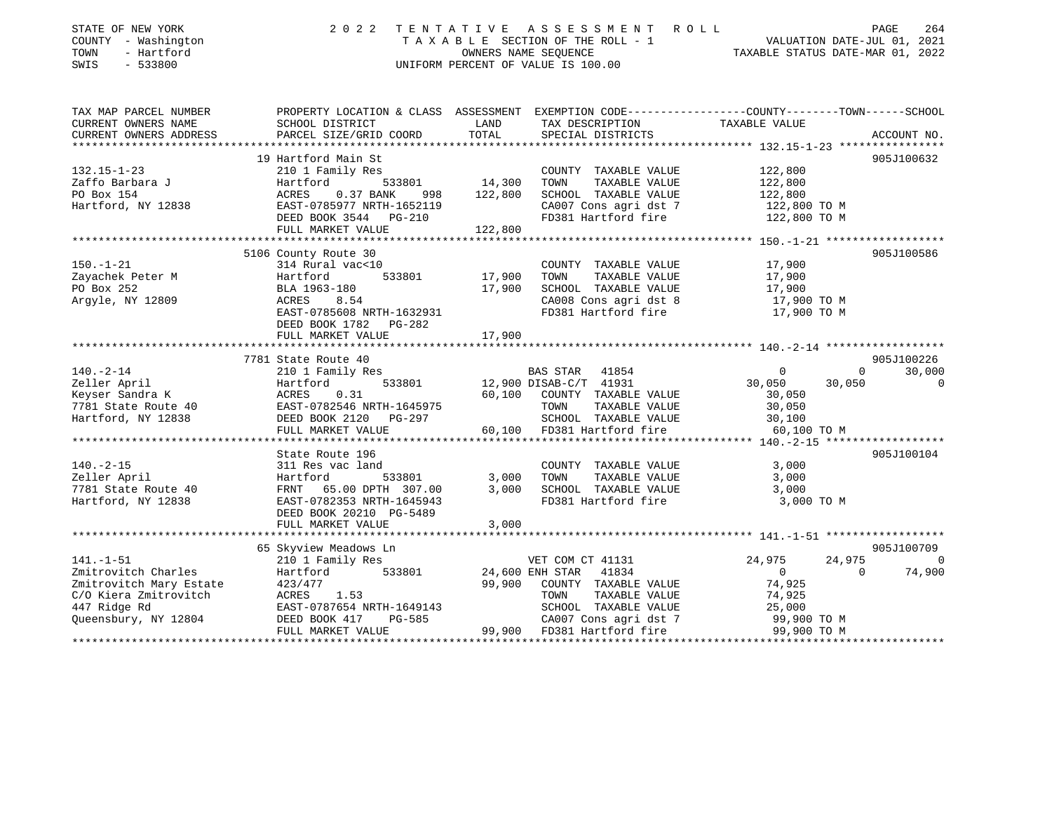| STATE OF NEW YORK<br>COUNTY - Washington<br>TOWN<br>- Hartford<br>SWIS<br>$-533800$ | 2 0 2 2                                                                                                             | TENTATIVE  | ASSESSMENT ROLL<br>TAXABLE SECTION OF THE ROLL - 1<br>OWNERS NAME SEOUENCE<br>UNIFORM PERCENT OF VALUE IS 100.00 | TAXABLE STATUS DATE-MAR 01, 2022              | PAGE<br>264<br>VALUATION DATE-JUL 01, 2021 |
|-------------------------------------------------------------------------------------|---------------------------------------------------------------------------------------------------------------------|------------|------------------------------------------------------------------------------------------------------------------|-----------------------------------------------|--------------------------------------------|
| TAX MAP PARCEL NUMBER<br>CURRENT OWNERS NAME                                        | PROPERTY LOCATION & CLASS ASSESSMENT EXEMPTION CODE----------------COUNTY-------TOWN------SCHOOL<br>SCHOOL DISTRICT | LAND       | TAX DESCRIPTION                                                                                                  | TAXABLE VALUE                                 |                                            |
| CURRENT OWNERS ADDRESS                                                              | PARCEL SIZE/GRID COORD                                                                                              | TOTAL      | SPECIAL DISTRICTS                                                                                                |                                               | ACCOUNT NO.                                |
|                                                                                     | 19 Hartford Main St                                                                                                 |            |                                                                                                                  |                                               | 905J100632                                 |
| $132.15 - 1 - 23$                                                                   | 210 1 Family Res                                                                                                    |            | COUNTY TAXABLE VALUE                                                                                             | 122,800                                       |                                            |
| Zaffo Barbara J                                                                     | 533801<br>Hartford                                                                                                  | 14,300     | TOWN<br>TAXABLE VALUE                                                                                            | 122,800                                       |                                            |
| PO Box 154                                                                          | ACRES<br>0.37 BANK<br>998                                                                                           | 122,800    | SCHOOL TAXABLE VALUE                                                                                             | 122,800                                       |                                            |
| Hartford, NY 12838                                                                  | EAST-0785977 NRTH-1652119                                                                                           |            | CA007 Cons agri dst 7                                                                                            | 122,800 TO M                                  |                                            |
|                                                                                     | DEED BOOK 3544 PG-210                                                                                               |            | FD381 Hartford fire                                                                                              | 122,800 TO M                                  |                                            |
|                                                                                     | FULL MARKET VALUE                                                                                                   | 122,800    |                                                                                                                  |                                               |                                            |
|                                                                                     |                                                                                                                     |            |                                                                                                                  |                                               |                                            |
| $150. - 1 - 21$                                                                     | 5106 County Route 30<br>314 Rural vac<10                                                                            |            | COUNTY TAXABLE VALUE                                                                                             | 17,900                                        | 905J100586                                 |
| Zayachek Peter M                                                                    | Hartford<br>533801                                                                                                  | 17,900     | TAXABLE VALUE<br>TOWN                                                                                            | 17,900                                        |                                            |
| PO Box 252                                                                          | BLA 1963-180                                                                                                        | 17,900     | SCHOOL TAXABLE VALUE                                                                                             | 17,900                                        |                                            |
| Argyle, NY 12809                                                                    | 8.54<br>ACRES                                                                                                       |            | CA008 Cons agri dst 8                                                                                            | 17,900 TO M                                   |                                            |
|                                                                                     | EAST-0785608 NRTH-1632931                                                                                           |            | FD381 Hartford fire                                                                                              | 17,900 TO M                                   |                                            |
|                                                                                     | DEED BOOK 1782<br>PG-282                                                                                            |            |                                                                                                                  |                                               |                                            |
|                                                                                     | FULL MARKET VALUE                                                                                                   | 17,900     |                                                                                                                  |                                               |                                            |
|                                                                                     | **********************                                                                                              | ********** |                                                                                                                  | *************** 140.-2-14 ******************* |                                            |
|                                                                                     | 7781 State Route 40                                                                                                 |            |                                                                                                                  |                                               | 905J100226                                 |
| $140. - 2 - 14$                                                                     | 210 1 Family Res<br>533801                                                                                          |            | BAS STAR<br>41854                                                                                                | $\Omega$                                      | $\Omega$<br>30,000<br>$\Omega$             |
| Zeller April<br>Keyser Sandra K                                                     | Hartford<br>ACRES<br>0.31                                                                                           | 60,100     | 12,900 DISAB-C/T 41931<br>COUNTY TAXABLE VALUE                                                                   | 30,050<br>30,050<br>30,050                    |                                            |
| 7781 State Route 40                                                                 | EAST-0782546 NRTH-1645975                                                                                           |            | TOWN<br>TAXABLE VALUE                                                                                            | 30,050                                        |                                            |
| Hartford, NY 12838                                                                  | DEED BOOK 2120 PG-297                                                                                               |            | SCHOOL TAXABLE VALUE                                                                                             | 30,100                                        |                                            |
|                                                                                     | FULL MARKET VALUE                                                                                                   | 60,100     | FD381 Hartford fire                                                                                              | 60,100 TO M                                   |                                            |
|                                                                                     |                                                                                                                     |            |                                                                                                                  |                                               |                                            |
|                                                                                     | State Route 196                                                                                                     |            |                                                                                                                  |                                               | 905J100104                                 |
| $140. -2 - 15$                                                                      | 311 Res vac land                                                                                                    |            | COUNTY TAXABLE VALUE                                                                                             | 3,000                                         |                                            |
| Zeller April                                                                        | 533801<br>Hartford                                                                                                  | 3,000      | TOWN<br>TAXABLE VALUE                                                                                            | 3,000                                         |                                            |
| 7781 State Route 40                                                                 | 65.00 DPTH 307.00<br>FRNT                                                                                           | 3,000      | SCHOOL TAXABLE VALUE                                                                                             | 3,000                                         |                                            |
| Hartford, NY 12838                                                                  | EAST-0782353 NRTH-1645943                                                                                           |            | FD381 Hartford fire                                                                                              | 3,000 TO M                                    |                                            |
|                                                                                     | DEED BOOK 20210 PG-5489<br>FULL MARKET VALUE                                                                        | 3,000      |                                                                                                                  |                                               |                                            |
|                                                                                     |                                                                                                                     |            |                                                                                                                  |                                               |                                            |
|                                                                                     | 65 Skyview Meadows Ln                                                                                               |            |                                                                                                                  |                                               | 905J100709                                 |
| $141. - 1 - 51$                                                                     | 210 1 Family Res                                                                                                    |            | VET COM CT 41131                                                                                                 | 24,975<br>24,975                              | $\Omega$                                   |
| Zmitrovitch Charles                                                                 | 533801<br>Hartford                                                                                                  |            | 24,600 ENH STAR<br>41834                                                                                         | $\overline{0}$                                | $\Omega$<br>74,900                         |
| Zmitrovitch Mary Estate                                                             | 423/477                                                                                                             | 99,900     | COUNTY TAXABLE VALUE                                                                                             | 74,925                                        |                                            |
| C/O Kiera Zmitrovitch                                                               | ACRES<br>1.53                                                                                                       |            | TAXABLE VALUE<br>TOWN                                                                                            | 74,925                                        |                                            |
| 447 Ridge Rd                                                                        | EAST-0787654 NRTH-1649143                                                                                           |            | SCHOOL TAXABLE VALUE                                                                                             | 25,000                                        |                                            |
| Queensbury, NY 12804                                                                | DEED BOOK 417<br>PG-585                                                                                             |            | CA007 Cons agri dst 7                                                                                            | 99,900 TO M                                   |                                            |
|                                                                                     | FULL MARKET VALUE                                                                                                   | 99,900     | FD381 Hartford fire                                                                                              | 99,900 TO M                                   |                                            |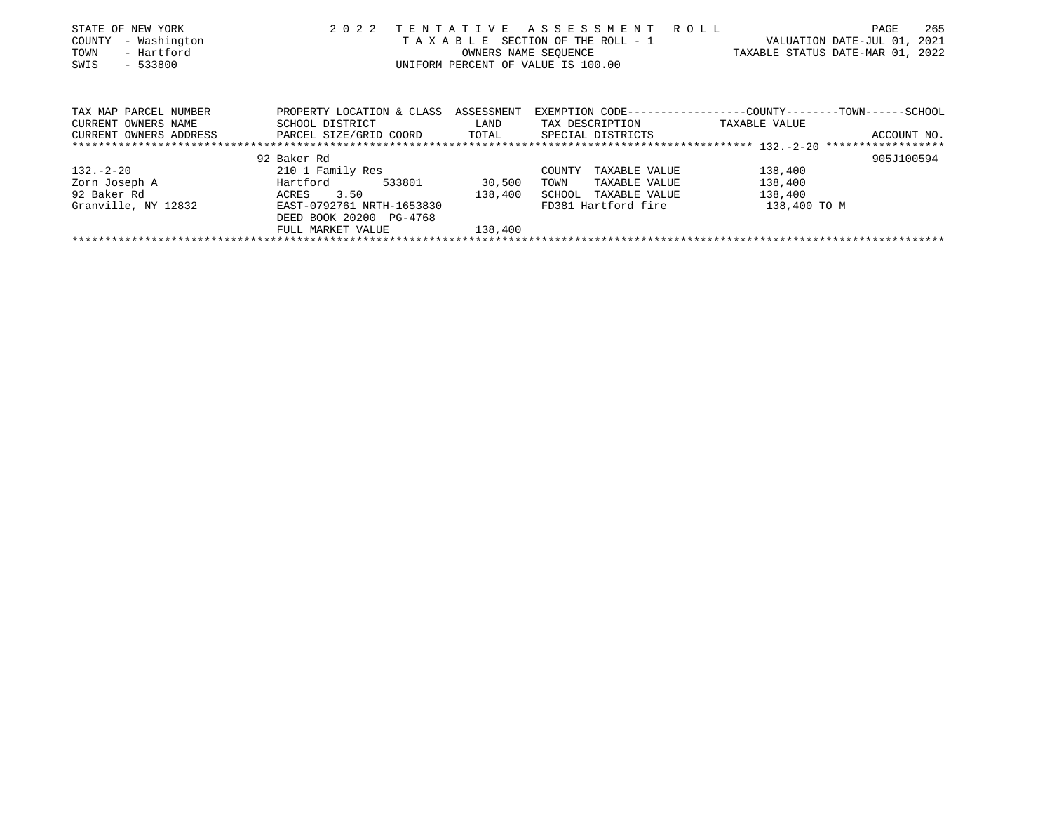| STATE OF NEW YORK      | 2 0 2 2                      |            | TENTATIVE ASSESSMENT ROLL          | 265<br>PAGE                                                  |
|------------------------|------------------------------|------------|------------------------------------|--------------------------------------------------------------|
| - Washington<br>COUNTY |                              |            | TAXABLE SECTION OF THE ROLL - 1    | VALUATION DATE-JUL 01, 2021                                  |
| - Hartford<br>TOWN     |                              |            | OWNERS NAME SEOUENCE               | TAXABLE STATUS DATE-MAR 01, 2022                             |
| $-533800$<br>SWIS      |                              |            | UNIFORM PERCENT OF VALUE IS 100.00 |                                                              |
|                        |                              |            |                                    |                                                              |
|                        |                              |            |                                    |                                                              |
| TAX MAP PARCEL NUMBER  | PROPERTY LOCATION & CLASS    | ASSESSMENT |                                    | EXEMPTION CODE-----------------COUNTY-------TOWN------SCHOOL |
| CURRENT OWNERS NAME    | SCHOOL DISTRICT              | LAND       | TAX DESCRIPTION                    | TAXABLE VALUE                                                |
| CURRENT OWNERS ADDRESS | PARCEL SIZE/GRID COORD TOTAL |            | SPECIAL DISTRICTS                  | ACCOUNT NO.                                                  |
|                        |                              |            |                                    |                                                              |
|                        | 92 Baker Rd                  |            |                                    | 905J100594                                                   |
| $132 - 2 - 20$         | 210 1 Family Res             |            | TAXABLE VALUE<br>COUNTY            | 138,400                                                      |
| Zorn Joseph A          | Hartford<br>533801           | 30,500     | TOWN<br>TAXABLE VALUE              | 138,400                                                      |
| 92 Baker Rd            | 3.50<br>ACRES                | 138,400    | SCHOOL<br>TAXABLE VALUE            | 138,400                                                      |
| Granville, NY 12832    | EAST-0792761 NRTH-1653830    |            | FD381 Hartford fire                | 138,400 TO M                                                 |
|                        | DEED BOOK 20200 PG-4768      |            |                                    |                                                              |
|                        | FULL MARKET VALUE            | 138,400    |                                    |                                                              |
|                        |                              |            |                                    |                                                              |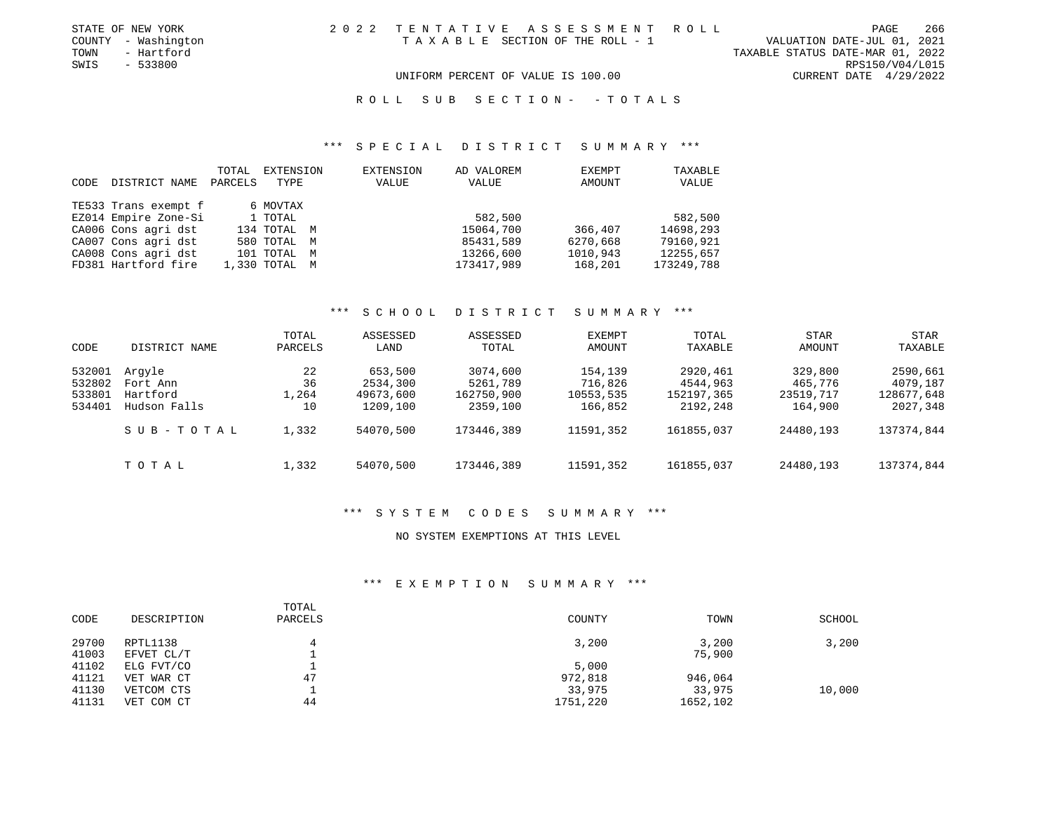| STATE OF NEW YORK   | 2022 TENTATIVE ASSESSMENT ROLL                                       | PAGE            | 266 |
|---------------------|----------------------------------------------------------------------|-----------------|-----|
| COUNTY - Washington | VALUATION DATE-JUL 01, 2021<br>T A X A B L E SECTION OF THE ROLL - 1 |                 |     |
| TOWN<br>- Hartford  | TAXABLE STATUS DATE-MAR 01, 2022                                     |                 |     |
| SWIS<br>- 533800    |                                                                      | RPS150/V04/L015 |     |
|                     | UNIFORM PERCENT OF VALUE IS 100.00<br>CURRENT DATE $4/29/2022$       |                 |     |

# \*\*\* S P E C I A L D I S T R I C T S U M M A R Y \*\*\*

| CODE | DISTRICT NAME        | TOTAL<br>PARCELS | EXTENSION<br>TYPE |   | EXTENSION<br>VALUE | AD VALOREM<br>VALUE | <b>EXEMPT</b><br>AMOUNT | TAXABLE<br>VALUE |
|------|----------------------|------------------|-------------------|---|--------------------|---------------------|-------------------------|------------------|
|      | TE533 Trans exempt f |                  | 6 MOVTAX          |   |                    |                     |                         |                  |
|      | EZ014 Empire Zone-Si |                  | 1 TOTAL           |   |                    | 582,500             |                         | 582,500          |
|      | CA006 Cons agri dst  |                  | 134 TOTAL M       |   |                    | 15064,700           | 366,407                 | 14698,293        |
|      | CA007 Cons agri dst  |                  | 580 TOTAL M       |   |                    | 85431,589           | 6270,668                | 79160,921        |
|      | CA008 Cons agri dst  |                  | 101 TOTAL         | M |                    | 13266,600           | 1010,943                | 12255,657        |
|      | FD381 Hartford fire  |                  | 1,330 TOTAL M     |   |                    | 173417,989          | 168,201                 | 173249,788       |

### \*\*\* S C H O O L D I S T R I C T S U M M A R Y \*\*\*

| CODE                                 | DISTRICT NAME                                  | TOTAL<br>PARCELS        | ASSESSED<br>LAND                             | ASSESSED<br>TOTAL                              | EXEMPT<br>AMOUNT                           | TOTAL<br>TAXABLE                               | STAR<br>AMOUNT                             | STAR<br>TAXABLE                                |
|--------------------------------------|------------------------------------------------|-------------------------|----------------------------------------------|------------------------------------------------|--------------------------------------------|------------------------------------------------|--------------------------------------------|------------------------------------------------|
| 532001<br>532802<br>533801<br>534401 | Arqyle<br>Fort Ann<br>Hartford<br>Hudson Falls | 22<br>36<br>1,264<br>10 | 653,500<br>2534,300<br>49673,600<br>1209,100 | 3074,600<br>5261,789<br>162750,900<br>2359,100 | 154,139<br>716,826<br>10553,535<br>166,852 | 2920,461<br>4544,963<br>152197,365<br>2192,248 | 329,800<br>465,776<br>23519,717<br>164,900 | 2590,661<br>4079,187<br>128677,648<br>2027,348 |
|                                      | SUB-TOTAL                                      | 1,332                   | 54070,500                                    | 173446,389                                     | 11591,352                                  | 161855,037                                     | 24480,193                                  | 137374,844                                     |
|                                      | TOTAL                                          | 1,332                   | 54070,500                                    | 173446,389                                     | 11591,352                                  | 161855,037                                     | 24480,193                                  | 137374,844                                     |

# \*\*\* S Y S T E M C O D E S S U M M A R Y \*\*\*

### NO SYSTEM EXEMPTIONS AT THIS LEVEL

# \*\*\* E X E M P T I O N S U M M A R Y \*\*\*

| CODE           | DESCRIPTION              | TOTAL<br>PARCELS | COUNTY             | TOWN               | SCHOOL |
|----------------|--------------------------|------------------|--------------------|--------------------|--------|
| 29700<br>41003 | RPTL1138<br>EFVET CL/T   |                  | 3,200              | 3,200<br>75,900    | 3,200  |
| 41102          | ELG FVT/CO               |                  | 5,000              |                    |        |
| 41121          | VET WAR CT               | 47               | 972,818            | 946,064            |        |
| 41130<br>41131 | VETCOM CTS<br>VET COM CT | 44               | 33,975<br>1751,220 | 33,975<br>1652,102 | 10,000 |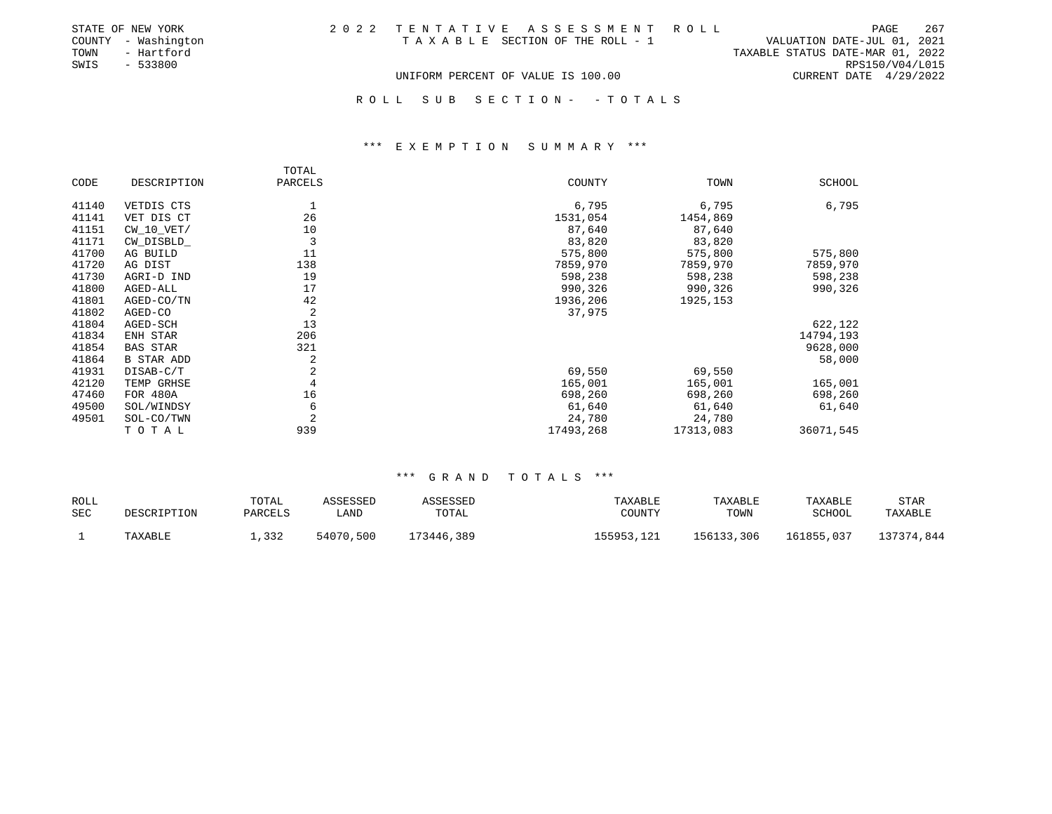| STATE OF NEW YORK   |                                    |  | 2022 TENTATIVE ASSESSMENT ROLL  |                                  | PAGE            | 267 |
|---------------------|------------------------------------|--|---------------------------------|----------------------------------|-----------------|-----|
| COUNTY - Washington |                                    |  | TAXABLE SECTION OF THE ROLL - 1 | VALUATION DATE-JUL 01, 2021      |                 |     |
| - Hartford<br>TOWN  |                                    |  |                                 | TAXABLE STATUS DATE-MAR 01, 2022 |                 |     |
| SWIS<br>- 533800    |                                    |  |                                 |                                  | RPS150/V04/L015 |     |
|                     | UNIFORM PERCENT OF VALUE IS 100.00 |  |                                 | CURRENT DATE 4/29/2022           |                 |     |
|                     |                                    |  |                                 |                                  |                 |     |
|                     |                                    |  | ROLL SUB SECTION- -TOTALS       |                                  |                 |     |

### \*\*\* E X E M P T I O N S U M M A R Y \*\*\*

|       |                   | TOTAL          |           |           |               |
|-------|-------------------|----------------|-----------|-----------|---------------|
| CODE  | DESCRIPTION       | PARCELS        | COUNTY    | TOWN      | <b>SCHOOL</b> |
| 41140 | VETDIS CTS        |                | 6,795     | 6,795     | 6,795         |
| 41141 | VET DIS CT        | 26             | 1531,054  | 1454,869  |               |
| 41151 | $CW_10_VET/$      | 10             | 87,640    | 87,640    |               |
| 41171 | CW DISBLD         | 3              | 83,820    | 83,820    |               |
| 41700 | AG BUILD          | 11             | 575,800   | 575,800   | 575,800       |
| 41720 | AG DIST           | 138            | 7859,970  | 7859,970  | 7859,970      |
| 41730 | AGRI-D IND        | 19             | 598,238   | 598,238   | 598,238       |
| 41800 | AGED-ALL          | 17             | 990,326   | 990,326   | 990,326       |
| 41801 | AGED-CO/TN        | 42             | 1936,206  | 1925, 153 |               |
| 41802 | AGED-CO           | 2              | 37,975    |           |               |
| 41804 | AGED-SCH          | 13             |           |           | 622,122       |
| 41834 | ENH STAR          | 206            |           |           | 14794,193     |
| 41854 | <b>BAS STAR</b>   | 321            |           |           | 9628,000      |
| 41864 | <b>B STAR ADD</b> | 2              |           |           | 58,000        |
| 41931 | DISAB-C/T         | $\overline{2}$ | 69,550    | 69,550    |               |
| 42120 | TEMP GRHSE        | 4              | 165,001   | 165,001   | 165,001       |
| 47460 | FOR 480A          | 16             | 698,260   | 698,260   | 698,260       |
| 49500 | SOL/WINDSY        | 6              | 61,640    | 61,640    | 61,640        |
| 49501 | SOL-CO/TWN        | 2              | 24,780    | 24,780    |               |
|       | TOTAL             | 939            | 17493,268 | 17313,083 | 36071,545     |

| ROLL | DESCRIPTION | TOTAL   | ASSESSED  | ASSESSED   | TAXABLE    | TAXABLE    | TAXABLE       | <b>STAR</b> |
|------|-------------|---------|-----------|------------|------------|------------|---------------|-------------|
| SEC  |             | PARCELS | LAND      | TOTAL      | COUNTY     | TOWN       | <b>SCHOOL</b> | TAXABLE     |
|      | TAXABLE     | , 332   | 54070,500 | 173446,389 | 155953,121 | 156133,306 | 161855,037    | 137374,844  |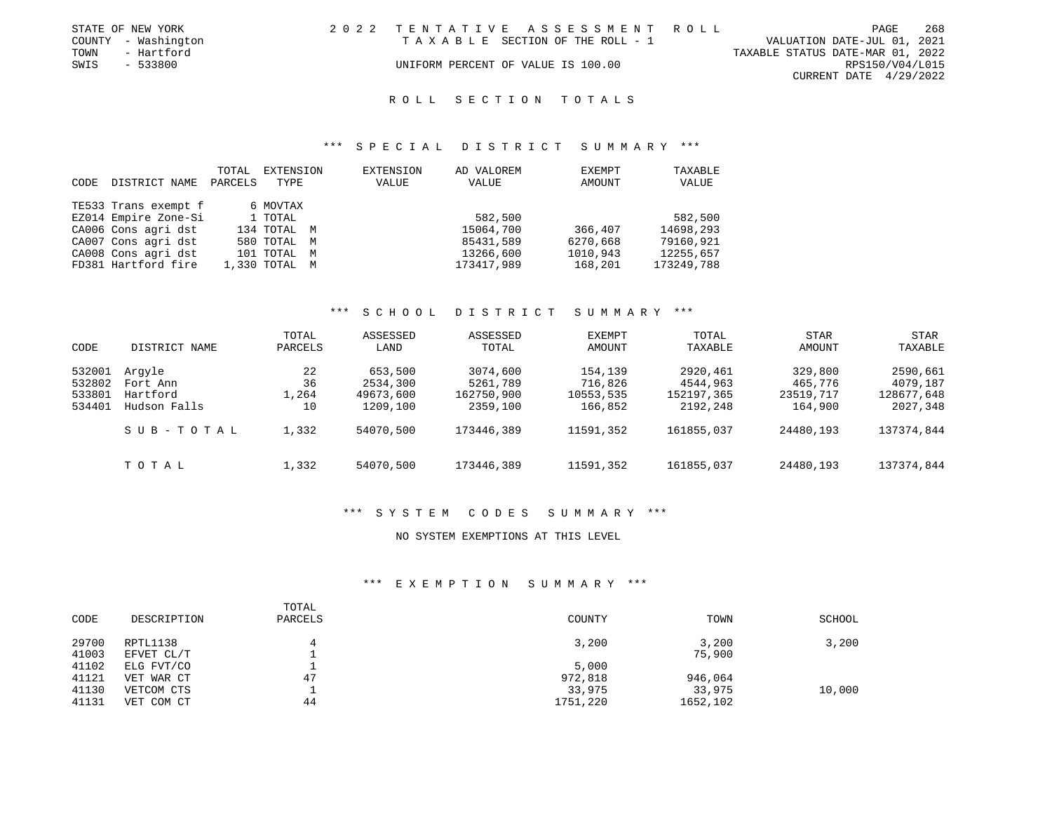|      | STATE OF NEW YORK   | 2022 TENTATIVE ASSESSMENT ROLL     |                                  | PAGE            | 268 |
|------|---------------------|------------------------------------|----------------------------------|-----------------|-----|
|      | COUNTY - Washington | TAXABLE SECTION OF THE ROLL - 1    | VALUATION DATE-JUL 01, 2021      |                 |     |
| TOWN | - Hartford          |                                    | TAXABLE STATUS DATE-MAR 01, 2022 |                 |     |
| SWIS | - 533800            | UNIFORM PERCENT OF VALUE IS 100.00 |                                  | RPS150/V04/L015 |     |
|      |                     |                                    | CURRENT DATE 4/29/2022           |                 |     |
|      |                     |                                    |                                  |                 |     |

#### \*\*\* S P E C I A L D I S T R I C T S U M M A R Y \*\*\*

|      |                      | TOTAL   | EXTENSION     |   | EXTENSION | AD VALOREM | <b>EXEMPT</b> | TAXABLE    |
|------|----------------------|---------|---------------|---|-----------|------------|---------------|------------|
| CODE | DISTRICT NAME        | PARCELS | TYPE          |   | VALUE     | VALUE      | AMOUNT        | VALUE      |
|      |                      |         |               |   |           |            |               |            |
|      | TE533 Trans exempt f |         | 6 MOVTAX      |   |           |            |               |            |
|      | EZ014 Empire Zone-Si |         | 1 TOTAL       |   |           | 582,500    |               | 582,500    |
|      | CA006 Cons agri dst  |         | 134 TOTAL M   |   |           | 15064,700  | 366,407       | 14698,293  |
|      | CA007 Cons agri dst  |         | 580 TOTAL M   |   |           | 85431,589  | 6270,668      | 79160,921  |
|      | CA008 Cons agri dst  |         | 101 TOTAL     | M |           | 13266,600  | 1010,943      | 12255,657  |
|      | FD381 Hartford fire  |         | 1,330 TOTAL M |   |           | 173417,989 | 168,201       | 173249,788 |

### \*\*\* S C H O O L D I S T R I C T S U M M A R Y \*\*\*

| CODE                                 | DISTRICT NAME                                  | TOTAL<br>PARCELS        | ASSESSED<br>LAND                             | ASSESSED<br>TOTAL                              | EXEMPT<br>AMOUNT                           | TOTAL<br>TAXABLE                               | STAR<br>AMOUNT                             | STAR<br>TAXABLE                                |
|--------------------------------------|------------------------------------------------|-------------------------|----------------------------------------------|------------------------------------------------|--------------------------------------------|------------------------------------------------|--------------------------------------------|------------------------------------------------|
| 532001<br>532802<br>533801<br>534401 | Arqyle<br>Fort Ann<br>Hartford<br>Hudson Falls | 22<br>36<br>1,264<br>10 | 653,500<br>2534,300<br>49673,600<br>1209,100 | 3074,600<br>5261,789<br>162750,900<br>2359,100 | 154,139<br>716,826<br>10553,535<br>166,852 | 2920,461<br>4544,963<br>152197,365<br>2192,248 | 329,800<br>465,776<br>23519,717<br>164,900 | 2590,661<br>4079,187<br>128677,648<br>2027,348 |
|                                      | SUB-TOTAL                                      | 1,332                   | 54070,500                                    | 173446,389                                     | 11591,352                                  | 161855,037                                     | 24480,193                                  | 137374,844                                     |
|                                      | TOTAL                                          | 1,332                   | 54070,500                                    | 173446,389                                     | 11591,352                                  | 161855,037                                     | 24480,193                                  | 137374,844                                     |

# \*\*\* S Y S T E M C O D E S S U M M A R Y \*\*\*

### NO SYSTEM EXEMPTIONS AT THIS LEVEL

# \*\*\* E X E M P T I O N S U M M A R Y \*\*\*

| CODE  | DESCRIPTION | TOTAL<br>PARCELS | COUNTY   | TOWN     | SCHOOL |
|-------|-------------|------------------|----------|----------|--------|
| 29700 | RPTL1138    |                  | 3,200    | 3,200    | 3,200  |
| 41003 | EFVET CL/T  |                  |          | 75,900   |        |
| 41102 | ELG FVT/CO  |                  | 5,000    |          |        |
| 41121 | VET WAR CT  | 47               | 972,818  | 946,064  |        |
| 41130 | VETCOM CTS  |                  | 33,975   | 33,975   | 10,000 |
| 41131 | VET COM CT  | 44               | 1751,220 | 1652,102 |        |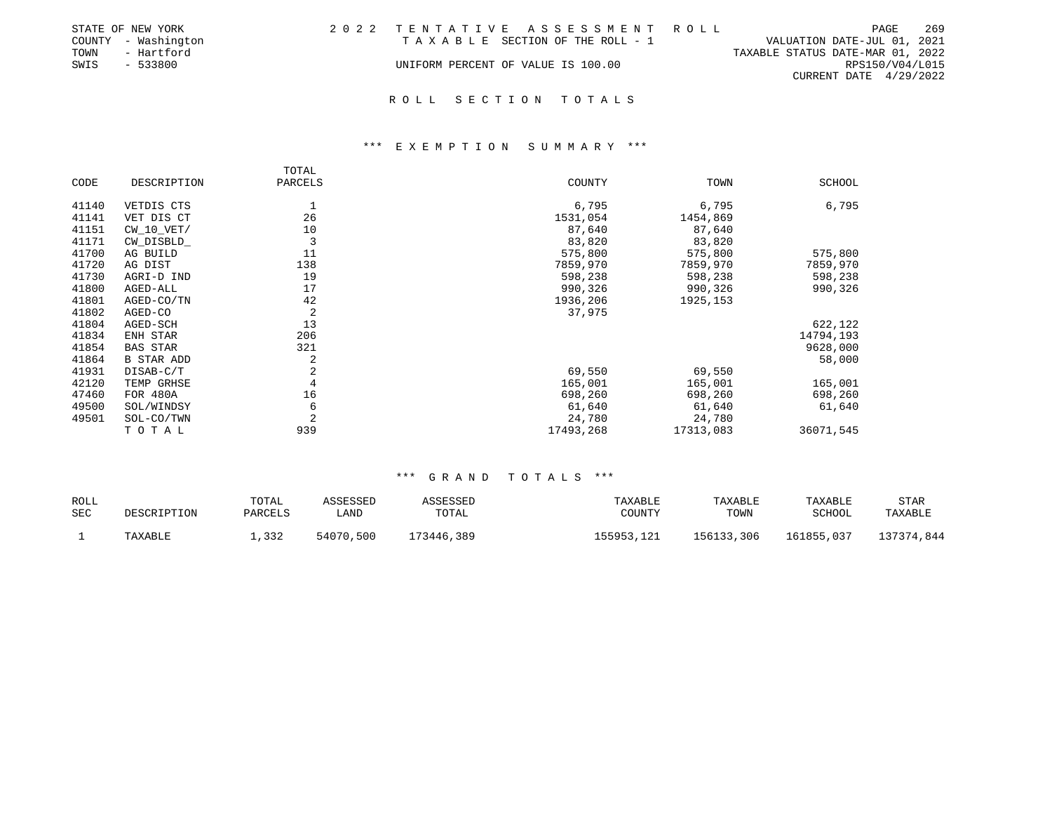|      | STATE OF NEW YORK   | 2022 TENTATIVE ASSESSMENT ROLL     |  |                                  |                          | PAGE | 269 |
|------|---------------------|------------------------------------|--|----------------------------------|--------------------------|------|-----|
|      | COUNTY - Washington | TAXABLE SECTION OF THE ROLL - 1    |  | VALUATION DATE-JUL 01, 2021      |                          |      |     |
| TOWN | - Hartford          |                                    |  | TAXABLE STATUS DATE-MAR 01, 2022 |                          |      |     |
| SWIS | - 533800            | UNIFORM PERCENT OF VALUE IS 100.00 |  |                                  | RPS150/V04/L015          |      |     |
|      |                     |                                    |  |                                  | CURRENT DATE $4/29/2022$ |      |     |
|      |                     |                                    |  |                                  |                          |      |     |

#### \*\*\* E X E M P T I O N S U M M A R Y \*\*\*

|       |                   | TOTAL          |           |           |           |
|-------|-------------------|----------------|-----------|-----------|-----------|
| CODE  | DESCRIPTION       | PARCELS        | COUNTY    | TOWN      | SCHOOL    |
| 41140 | VETDIS CTS        |                | 6,795     | 6,795     | 6,795     |
| 41141 | VET DIS CT        | 26             | 1531,054  | 1454,869  |           |
| 41151 | $CW_10_VET/$      | 10             | 87,640    | 87,640    |           |
| 41171 | CW_DISBLD_        | 3              | 83,820    | 83,820    |           |
| 41700 | AG BUILD          | 11             | 575,800   | 575,800   | 575,800   |
| 41720 | AG DIST           | 138            | 7859,970  | 7859,970  | 7859,970  |
| 41730 | AGRI-D IND        | 19             | 598,238   | 598,238   | 598,238   |
| 41800 | AGED-ALL          | 17             | 990,326   | 990,326   | 990,326   |
| 41801 | AGED-CO/TN        | 42             | 1936,206  | 1925, 153 |           |
| 41802 | AGED-CO           | 2              | 37,975    |           |           |
| 41804 | AGED-SCH          | 13             |           |           | 622,122   |
| 41834 | ENH STAR          | 206            |           |           | 14794,193 |
| 41854 | <b>BAS STAR</b>   | 321            |           |           | 9628,000  |
| 41864 | <b>B STAR ADD</b> | 2              |           |           | 58,000    |
| 41931 | DISAB-C/T         | $\overline{c}$ | 69,550    | 69,550    |           |
| 42120 | TEMP GRHSE        |                | 165,001   | 165,001   | 165,001   |
| 47460 | <b>FOR 480A</b>   | 16             | 698,260   | 698,260   | 698,260   |
| 49500 | SOL/WINDSY        | 6              | 61,640    | 61,640    | 61,640    |
| 49501 | SOL-CO/TWN        | $\overline{2}$ | 24,780    | 24,780    |           |
|       | TOTAL             | 939            | 17493,268 | 17313,083 | 36071,545 |

| ROLL | DESCRIPTION | TOTAL   | ASSESSED  | ASSESSED   | TAXABLE    | TAXABLE    | TAXABLE    | STAR       |
|------|-------------|---------|-----------|------------|------------|------------|------------|------------|
| SEC  |             | PARCELS | ∟AND      | TOTAL      | COUNTY     | TOWN       | SCHOOL     | TAXABLE    |
|      | TAXABLE     | 1,332   | 54070,500 | 173446,389 | 155953,121 | 156133,306 | 161855,037 | 137374,844 |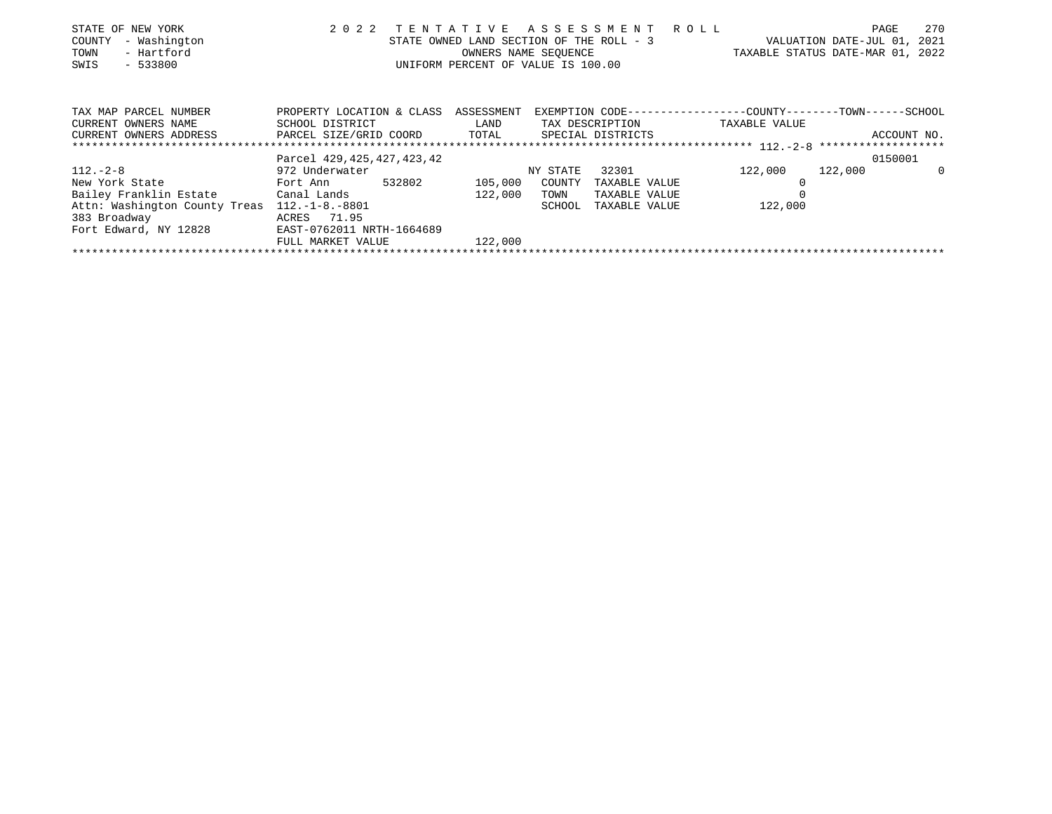| STATE OF NEW YORK<br>- Washington<br>COUNTY<br>TOWN<br>- Hartford<br>$-533800$<br>SWIS | 2 0 2 2                                      | TENTATIVE<br>STATE OWNED LAND SECTION OF THE ROLL - 3<br>OWNERS NAME SEOUENCE<br>UNIFORM PERCENT OF VALUE IS 100.00 |          | A S S E S S M E N T | R O L L | TAXABLE STATUS DATE-MAR 01, 2022                                              | PAGE<br>VALUATION DATE-JUL 01, | 270<br>2021 |
|----------------------------------------------------------------------------------------|----------------------------------------------|---------------------------------------------------------------------------------------------------------------------|----------|---------------------|---------|-------------------------------------------------------------------------------|--------------------------------|-------------|
| TAX MAP PARCEL NUMBER<br>CURRENT OWNERS NAME                                           | PROPERTY LOCATION & CLASS<br>SCHOOL DISTRICT | ASSESSMENT<br>LAND                                                                                                  |          | TAX DESCRIPTION     |         | EXEMPTION CODE-----------------COUNTY-------TOWN------SCHOOL<br>TAXABLE VALUE |                                |             |
| CURRENT OWNERS ADDRESS                                                                 | PARCEL SIZE/GRID COORD TOTAL                 |                                                                                                                     |          | SPECIAL DISTRICTS   |         |                                                                               |                                | ACCOUNT NO. |
|                                                                                        |                                              |                                                                                                                     |          |                     |         |                                                                               |                                |             |
|                                                                                        | Parcel 429, 425, 427, 423, 42                |                                                                                                                     |          |                     |         |                                                                               |                                | 0150001     |
| $112. - 2 - 8$                                                                         | 972 Underwater                               |                                                                                                                     | NY STATE | 32301               |         | 122,000                                                                       | 122,000                        | $\Omega$    |
| New York State                                                                         | 532802<br>Fort Ann                           | 105,000                                                                                                             | COUNTY   | TAXABLE VALUE       |         |                                                                               |                                |             |
| Bailey Franklin Estate Canal Lands                                                     |                                              | 122,000                                                                                                             | TOWN     | TAXABLE VALUE       |         |                                                                               |                                |             |
| Attn: Washington County Treas                                                          | $112.-1-8.-8801$                             |                                                                                                                     | SCHOOL   | TAXABLE VALUE       |         | 122,000                                                                       |                                |             |
| 383 Broadway                                                                           | ACRES 71.95                                  |                                                                                                                     |          |                     |         |                                                                               |                                |             |
| Fort Edward, NY 12828                                                                  | EAST-0762011 NRTH-1664689                    |                                                                                                                     |          |                     |         |                                                                               |                                |             |
|                                                                                        | FULL MARKET VALUE                            | 122,000                                                                                                             |          |                     |         |                                                                               |                                |             |
|                                                                                        |                                              |                                                                                                                     |          |                     |         |                                                                               |                                |             |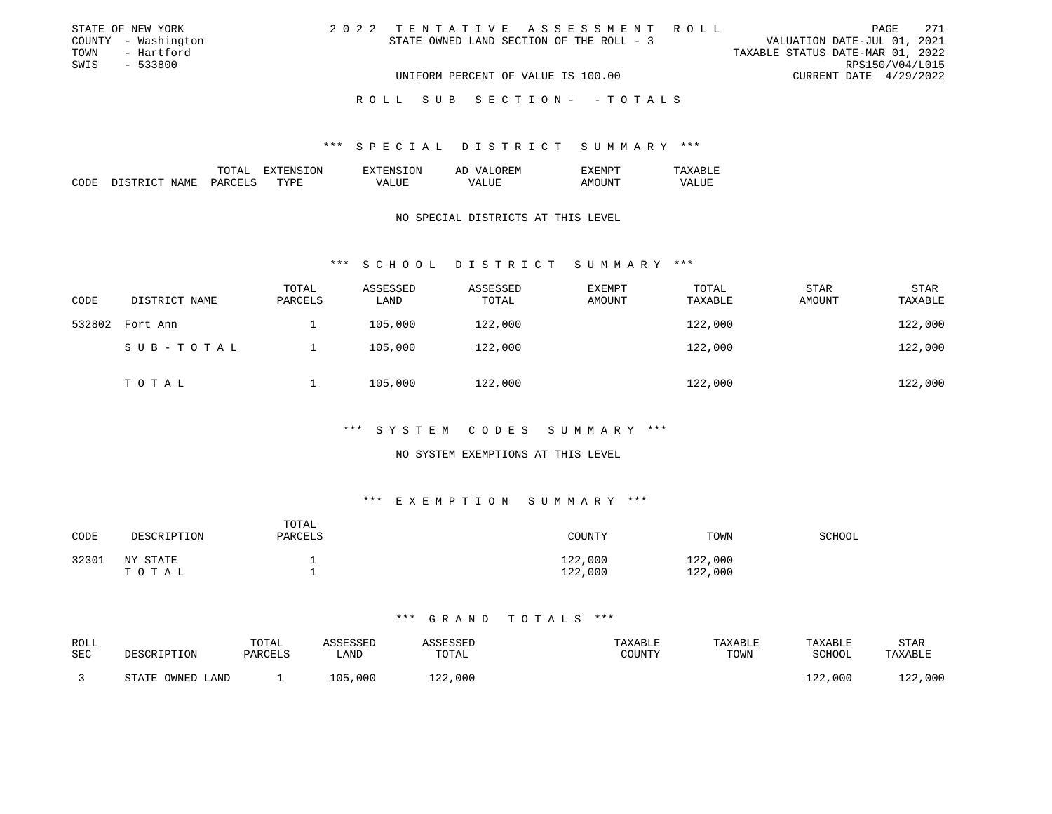| STATE OF NEW YORK   | 2022 TENTATIVE ASSESSMENT ROLL           | 271<br>PAGE                      |
|---------------------|------------------------------------------|----------------------------------|
| COUNTY - Washington | STATE OWNED LAND SECTION OF THE ROLL - 3 | VALUATION DATE-JUL 01, 2021      |
| - Hartford<br>TOWN  |                                          | TAXABLE STATUS DATE-MAR 01, 2022 |
| SWIS<br>- 533800    |                                          | RPS150/V04/L015                  |
|                     | UNIFORM PERCENT OF VALUE IS 100.00       | CURRENT DATE 4/29/2022           |
|                     |                                          |                                  |
|                     | ROLL SUB SECTION- -TOTALS                |                                  |

### \*\*\* S P E C I A L D I S T R I C T S U M M A R Y \*\*\*

|             |            | $m \wedge m \wedge r$<br>- - - - <del>- - -</del> | .ON<br>''≒u'hi | ON<br>41 N S             | Al<br>')REM                       | コマナナ<br>. FIN P | υп.                       |
|-------------|------------|---------------------------------------------------|----------------|--------------------------|-----------------------------------|-----------------|---------------------------|
| CODE<br>___ | NAME<br>J. | $\cup$ ARCET $\sim$<br>$-$                        | <b>TYPE</b>    | $- - -$<br>VД<br>_______ | - ---<br>$\prime$<br>-<br>_______ | ΔM<br>$  -$     | .<br>7Δ<br>ALUL<br>______ |

# NO SPECIAL DISTRICTS AT THIS LEVEL

#### \*\*\* S C H O O L D I S T R I C T S U M M A R Y \*\*\*

| CODE   | DISTRICT NAME | TOTAL<br>PARCELS | ASSESSED<br>LAND | ASSESSED<br>TOTAL | <b>EXEMPT</b><br>AMOUNT | TOTAL<br>TAXABLE | <b>STAR</b><br>AMOUNT | <b>STAR</b><br>TAXABLE |
|--------|---------------|------------------|------------------|-------------------|-------------------------|------------------|-----------------------|------------------------|
| 532802 | Fort Ann      |                  | 105,000          | 122,000           |                         | 122,000          |                       | 122,000                |
|        | SUB-TOTAL     |                  | 105,000          | 122,000           |                         | 122,000          |                       | 122,000                |
|        | TOTAL         |                  | 105,000          | 122,000           |                         | 122,000          |                       | 122,000                |

# \*\*\* S Y S T E M C O D E S S U M M A R Y \*\*\*

### NO SYSTEM EXEMPTIONS AT THIS LEVEL

# \*\*\* E X E M P T I O N S U M M A R Y \*\*\*

| CODE  | DESCRIPTION       | TOTAL<br>PARCELS | COUNTY             | TOWN               | SCHOOL |
|-------|-------------------|------------------|--------------------|--------------------|--------|
| 32301 | NY STATE<br>TOTAL |                  | 122,000<br>122,000 | 122,000<br>122,000 |        |

| <b>ROLL</b> |                  | TOTAL   | ASSESSED | ASSESSED | TAXABLE | TAXABLE | TAXABLE | <b>STAR</b> |
|-------------|------------------|---------|----------|----------|---------|---------|---------|-------------|
| <b>SEC</b>  | DESCRIPTION      | PARCELS | LAND     | TOTAL    | COUNTY  | TOWN    | SCHOOL  | TAXABLE     |
|             | STATE OWNED LAND |         | 105,000  | 122,000  |         |         | 122,000 | 122,000     |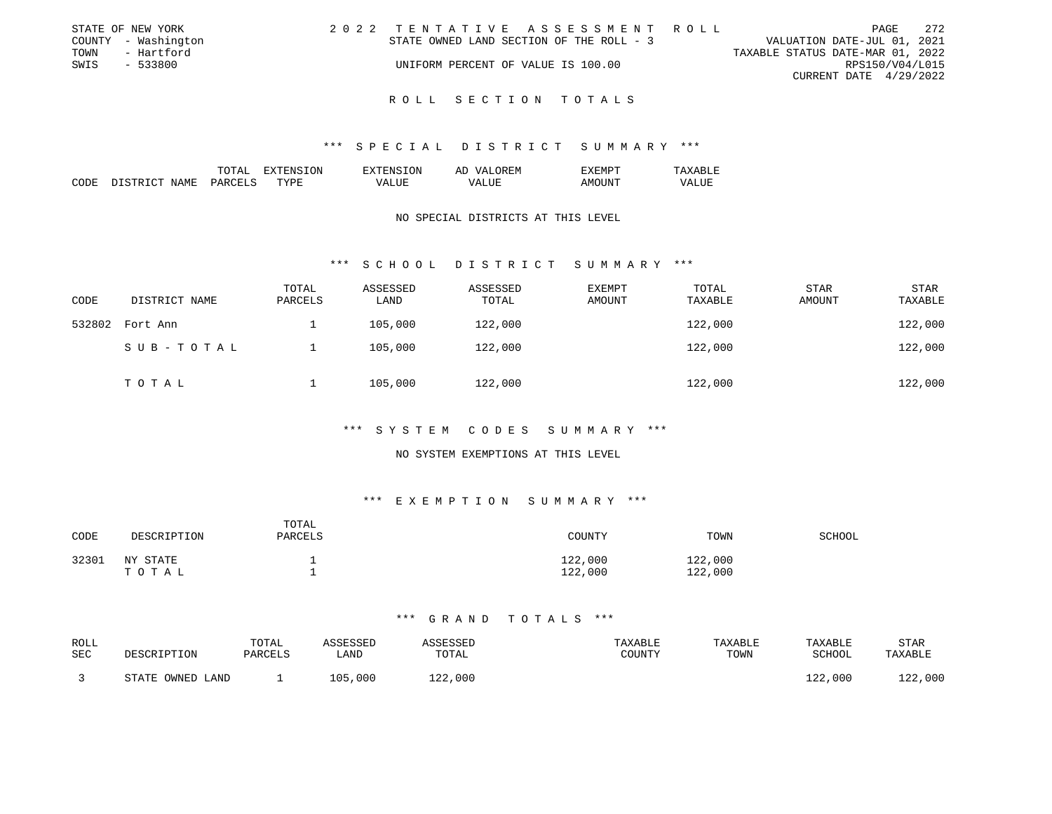|      | STATE OF NEW YORK   | 2022 TENTATIVE ASSESSMENT ROLL           |  |                                  |                        | PAGE | - 272 |
|------|---------------------|------------------------------------------|--|----------------------------------|------------------------|------|-------|
|      | COUNTY - Washington | STATE OWNED LAND SECTION OF THE ROLL - 3 |  | VALUATION DATE-JUL 01, 2021      |                        |      |       |
| TOWN | - Hartford          |                                          |  | TAXABLE STATUS DATE-MAR 01, 2022 |                        |      |       |
| SWIS | - 533800            | UNIFORM PERCENT OF VALUE IS 100.00       |  |                                  | RPS150/V04/L015        |      |       |
|      |                     |                                          |  |                                  | CURRENT DATE 4/29/2022 |      |       |
|      |                     |                                          |  |                                  |                        |      |       |

### \*\*\* S P E C I A L D I S T R I C T S U M M A R Y \*\*\*

|             |                              | $m \wedge m \wedge r$<br>$^{\prime}$<br>TATAT | <b>TON</b><br>'H'NN | LON.<br>$T^{\mathrm{v}}$ TENS | OREM<br>77 7.<br>AF.  | EXEMPT      | `RT.F.                        |
|-------------|------------------------------|-----------------------------------------------|---------------------|-------------------------------|-----------------------|-------------|-------------------------------|
| CODE<br>___ | NAME<br>- CTR 1.<br>דר<br>__ | DARCELS<br>$\sim$                             | TYPE                | $- - - -$<br>VA.<br>∸ש        | 'ALUE<br>vд<br>______ | AM<br>$  -$ | $- - - -$<br>VALUE.<br>______ |

### NO SPECIAL DISTRICTS AT THIS LEVEL

#### \*\*\* S C H O O L D I S T R I C T S U M M A R Y \*\*\*

| CODE   | DISTRICT NAME | TOTAL<br>PARCELS | ASSESSED<br>LAND | ASSESSED<br>TOTAL | <b>EXEMPT</b><br>AMOUNT | TOTAL<br>TAXABLE | <b>STAR</b><br>AMOUNT | <b>STAR</b><br>TAXABLE |
|--------|---------------|------------------|------------------|-------------------|-------------------------|------------------|-----------------------|------------------------|
| 532802 | Fort Ann      |                  | 105,000          | 122,000           |                         | 122,000          |                       | 122,000                |
|        | SUB-TOTAL     |                  | 105,000          | 122,000           |                         | 122,000          |                       | 122,000                |
|        | TOTAL         |                  | 105,000          | 122,000           |                         | 122,000          |                       | 122,000                |

# \*\*\* S Y S T E M C O D E S S U M M A R Y \*\*\*

### NO SYSTEM EXEMPTIONS AT THIS LEVEL

# \*\*\* E X E M P T I O N S U M M A R Y \*\*\*

| CODE  | DESCRIPTION       | TOTAL<br>PARCELS | COUNTY             | TOWN               | SCHOOL |
|-------|-------------------|------------------|--------------------|--------------------|--------|
| 32301 | NY STATE<br>TOTAL |                  | 122,000<br>122,000 | 122,000<br>122,000 |        |

| <b>ROLL</b> |                  | TOTAL   | ASSESSED | ASSESSED | TAXABLE | TAXABLE | TAXABLE | <b>STAR</b> |
|-------------|------------------|---------|----------|----------|---------|---------|---------|-------------|
| <b>SEC</b>  | DESCRIPTION      | PARCELS | LAND     | TOTAL    | COUNTY  | TOWN    | SCHOOL  | TAXABLE     |
|             | STATE OWNED LAND |         | 105,000  | 122,000  |         |         | 122,000 | 122,000     |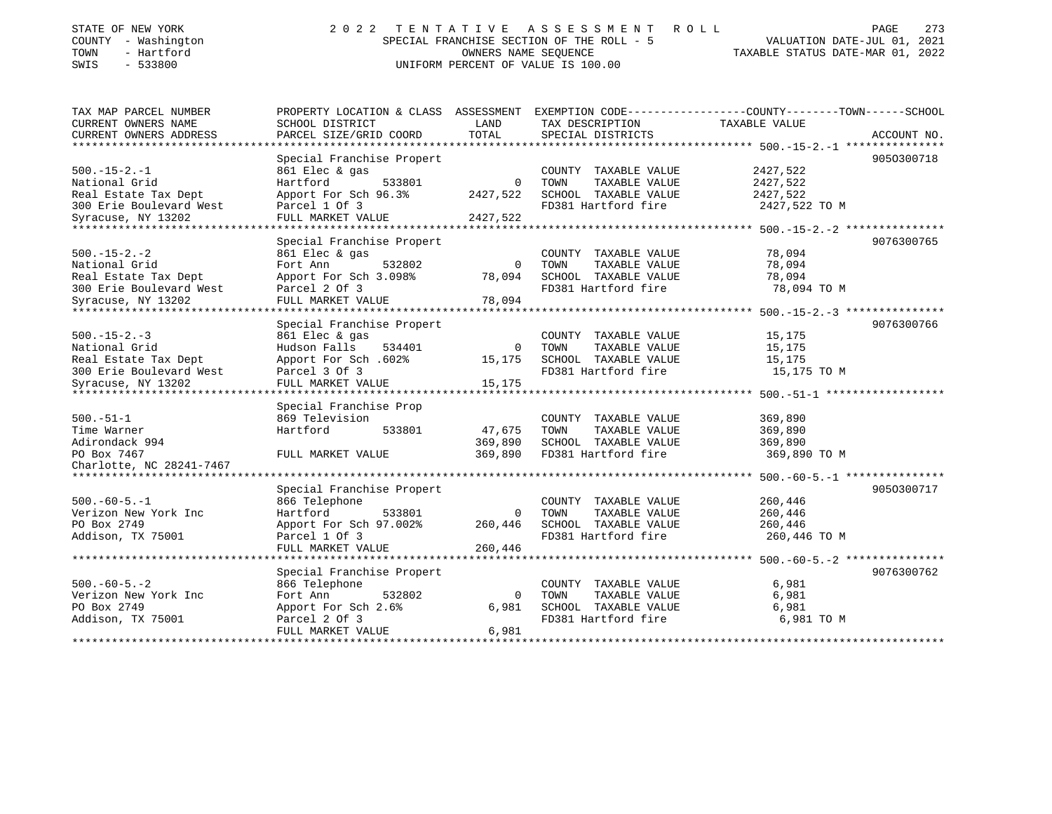| STATE OF NEW YORK<br>COUNTY - Washington | 2 0 2 2                                                                                        | OWNERS NAME SEOUENCE             | TENTATIVE ASSESSMENT<br>ROLL<br>SPECIAL FRANCHISE SECTION OF THE ROLL - 5 | VALUATION DATE-JUL 01, 2021 | 273<br>PAGE |
|------------------------------------------|------------------------------------------------------------------------------------------------|----------------------------------|---------------------------------------------------------------------------|-----------------------------|-------------|
| - Hartford<br>TOWN<br>SWIS<br>$-533800$  | UNIFORM PERCENT OF VALUE IS 100.00                                                             | TAXABLE STATUS DATE-MAR 01, 2022 |                                                                           |                             |             |
|                                          |                                                                                                |                                  |                                                                           |                             |             |
| TAX MAP PARCEL NUMBER                    | PROPERTY LOCATION & CLASS ASSESSMENT EXEMPTION CODE---------------COUNTY-------TOWN-----SCHOOL |                                  |                                                                           |                             |             |
| CURRENT OWNERS NAME                      | SCHOOL DISTRICT                                                                                | LAND                             | TAX DESCRIPTION                                                           | TAXABLE VALUE               |             |
| CURRENT OWNERS ADDRESS                   | PARCEL SIZE/GRID COORD                                                                         | TOTAL                            | SPECIAL DISTRICTS                                                         |                             | ACCOUNT NO. |
|                                          |                                                                                                |                                  |                                                                           |                             |             |
|                                          | Special Franchise Propert                                                                      |                                  |                                                                           |                             | 9050300718  |
| $500.-15-2.-1$                           | 861 Elec & gas                                                                                 |                                  | COUNTY TAXABLE VALUE                                                      | 2427,522                    |             |
| National Grid                            | Hartford<br>533801                                                                             | $\Omega$                         | TOWN<br>TAXABLE VALUE                                                     | 2427,522                    |             |
| Real Estate Tax Dept                     | Apport For Sch 96.3%                                                                           | 2427,522                         | SCHOOL TAXABLE VALUE                                                      | 2427,522                    |             |
| 300 Erie Boulevard West                  | Parcel 1 Of 3                                                                                  |                                  | FD381 Hartford fire                                                       | 2427,522 TO M               |             |
| Syracuse, NY 13202                       | FULL MARKET VALUE                                                                              | 2427,522                         |                                                                           |                             |             |
|                                          | Special Franchise Propert                                                                      |                                  |                                                                           |                             | 9076300765  |
| $500. -15 - 2. -2$                       | 861 Elec & gas                                                                                 |                                  | COUNTY TAXABLE VALUE                                                      | 78,094                      |             |
| National Grid                            | 532802<br>Fort Ann                                                                             | $\overline{0}$                   | TOWN<br>TAXABLE VALUE                                                     | 78,094                      |             |
| Real Estate Tax Dept                     | Apport For Sch 3.098%                                                                          | 78,094                           | SCHOOL TAXABLE VALUE                                                      | 78,094                      |             |
| 300 Erie Boulevard West                  | Parcel 2 Of 3                                                                                  |                                  | FD381 Hartford fire                                                       | 78,094 TO M                 |             |
| Syracuse, NY 13202                       | FULL MARKET VALUE                                                                              | 78,094                           |                                                                           |                             |             |
|                                          |                                                                                                |                                  |                                                                           |                             |             |
|                                          | Special Franchise Propert                                                                      |                                  |                                                                           |                             | 9076300766  |
| $500. -15 - 2. -3$                       | 861 Elec & gas                                                                                 |                                  | COUNTY TAXABLE VALUE                                                      | 15,175                      |             |
| National Grid                            | Hudson Falls<br>534401                                                                         | $\mathbf{0}$                     | TAXABLE VALUE<br>TOWN                                                     | 15,175                      |             |
| Real Estate Tax Dept                     | Apport For Sch .602%                                                                           |                                  | 15,175 SCHOOL TAXABLE VALUE                                               | 15,175                      |             |
| 300 Erie Boulevard West                  | Parcel 3 Of 3                                                                                  |                                  | FD381 Hartford fire                                                       | 15,175 TO M                 |             |
| Syracuse, NY 13202                       | FULL MARKET VALUE                                                                              | 15,175                           |                                                                           |                             |             |
|                                          |                                                                                                |                                  |                                                                           |                             |             |
|                                          | Special Franchise Prop                                                                         |                                  |                                                                           |                             |             |
| $500.-51-1$                              | 869 Television                                                                                 |                                  | COUNTY TAXABLE VALUE                                                      | 369,890                     |             |
| Time Warner                              | Hartford<br>533801                                                                             | 47,675                           | TOWN<br>TAXABLE VALUE                                                     | 369,890                     |             |
| Adirondack 994                           |                                                                                                | 369,890                          | SCHOOL TAXABLE VALUE                                                      | 369,890                     |             |
| PO Box 7467                              | FULL MARKET VALUE                                                                              |                                  | 369,890 FD381 Hartford fire                                               | 369,890 TO M                |             |
| Charlotte, NC 28241-7467                 |                                                                                                |                                  |                                                                           |                             |             |
|                                          |                                                                                                |                                  |                                                                           |                             |             |
|                                          | Special Franchise Propert                                                                      |                                  |                                                                           |                             | 9050300717  |
| $500. -60 - 5. -1$                       | 866 Telephone                                                                                  |                                  | COUNTY TAXABLE VALUE                                                      | 260,446                     |             |
| Verizon New York Inc                     | Hartford<br>533801                                                                             | $\Omega$                         | TOWN<br>TAXABLE VALUE                                                     | 260,446                     |             |
| PO Box 2749                              | Apport For Sch 97.002%                                                                         | 260,446                          | SCHOOL TAXABLE VALUE                                                      | 260,446                     |             |

Addison, TX 75001 Parcel 1 Of 3 FD381 Hartford fire 260,446 TO M

Fort Ann 532802 0 TOWN TAXABLE VALUE Apport For Sch 2.6% 6,981 SCHOOL TAXABLE VALUE

500.-60-5.-2 866 Telephone COUNTY TAXABLE VALUE 6,981

PO Box 2749 **Apport For Sch 2.6%** 6,981 SCHOOL TAXABLE VALUE 6,981 6,981 Addison, TX 75001 Parcel 2 Of 3 FD381 Hartford fire 6,981 TO M

\*\*\*\*\*\*\*\*\*\*\*\*\*\*\*\*\*\*\*\*\*\*\*\*\*\*\*\*\*\*\*\*\*\*\*\*\*\*\*\*\*\*\*\*\*\*\*\*\*\*\*\*\*\*\*\*\*\*\*\*\*\*\*\*\*\*\*\*\*\*\*\*\*\*\*\*\*\*\*\*\*\*\*\*\*\*\*\*\*\*\*\*\*\*\*\*\*\*\*\*\*\*\* 500.-60-5.-2 \*\*\*\*\*\*\*\*\*\*\*\*\*\*\*

\*\*\*\*\*\*\*\*\*\*\*\*\*\*\*\*\*\*\*\*\*\*\*\*\*\*\*\*\*\*\*\*\*\*\*\*\*\*\*\*\*\*\*\*\*\*\*\*\*\*\*\*\*\*\*\*\*\*\*\*\*\*\*\*\*\*\*\*\*\*\*\*\*\*\*\*\*\*\*\*\*\*\*\*\*\*\*\*\*\*\*\*\*\*\*\*\*\*\*\*\*\*\*\*\*\*\*\*\*\*\*\*\*\*\*\*\*\*\*\*\*\*\*\*\*\*\*\*\*\*\*\*

Special Franchise Propert 9076300762

FULL MARKET VALUE 260,446

FULL MARKET VALUE 6,981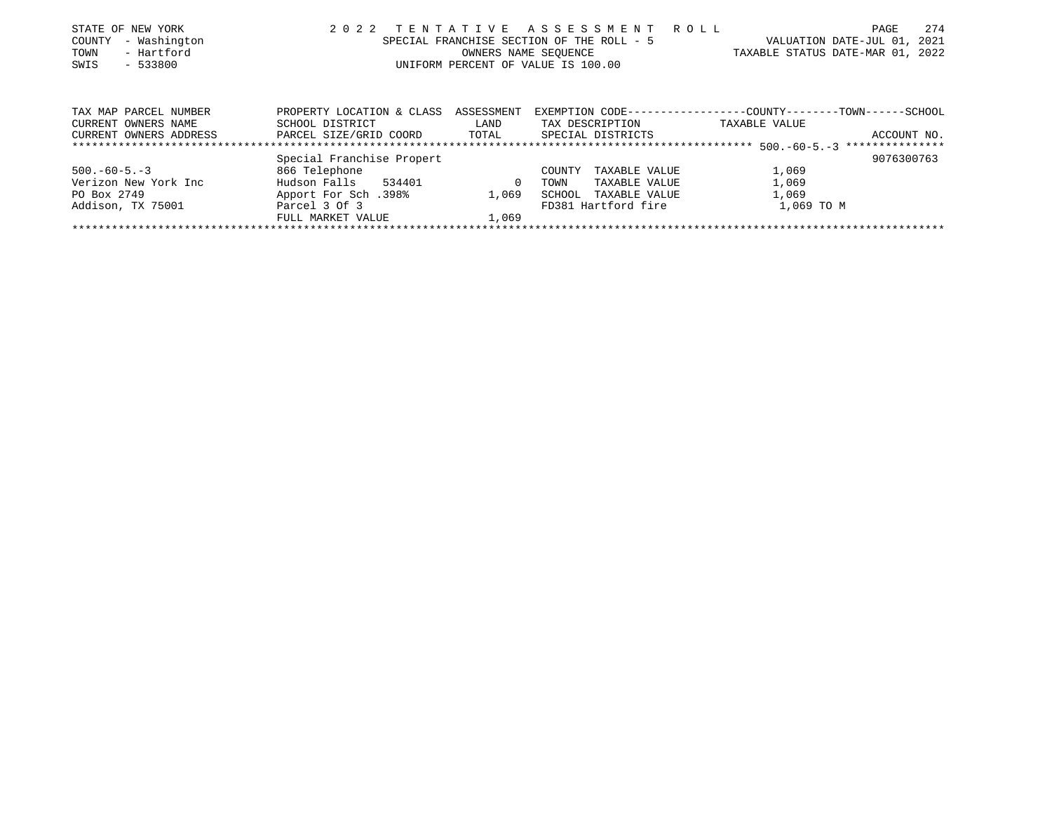| STATE OF NEW YORK      | 2 0 2 2                            | TENTATIVE            | A S S E S S M E N T                       | R O L L<br>PAGE                                              | 274  |
|------------------------|------------------------------------|----------------------|-------------------------------------------|--------------------------------------------------------------|------|
| - Washington<br>COUNTY |                                    |                      | SPECIAL FRANCHISE SECTION OF THE ROLL - 5 | VALUATION DATE-JUL 01,                                       | 2021 |
| - Hartford<br>TOWN     |                                    | OWNERS NAME SEQUENCE |                                           | TAXABLE STATUS DATE-MAR 01, 2022                             |      |
| SWIS<br>$-533800$      | UNIFORM PERCENT OF VALUE IS 100.00 |                      |                                           |                                                              |      |
|                        |                                    |                      |                                           |                                                              |      |
| TAX MAP PARCEL NUMBER  | PROPERTY LOCATION & CLASS          | ASSESSMENT           |                                           | EXEMPTION CODE-----------------COUNTY-------TOWN------SCHOOL |      |
| CURRENT OWNERS NAME    | SCHOOL DISTRICT                    | LAND                 | TAX DESCRIPTION                           | TAXABLE VALUE                                                |      |
| CURRENT OWNERS ADDRESS | PARCEL SIZE/GRID COORD             | TOTAL                | SPECIAL DISTRICTS                         | ACCOUNT NO.                                                  |      |
|                        |                                    |                      |                                           |                                                              |      |
|                        | Special Franchise Propert          |                      |                                           | 9076300763                                                   |      |
| $500. -60 - 5. -3$     | 866 Telephone                      |                      | TAXABLE VALUE<br>COUNTY                   | 1,069                                                        |      |
| Verizon New York Inc   | 534401<br>Hudson Falls             | $\mathbf{0}$         | TAXABLE VALUE<br>TOWN                     | 1,069                                                        |      |
| PO Box 2749            | Apport For Sch.398%                | 1,069                | SCHOOL<br>TAXABLE VALUE                   | 1,069                                                        |      |
| Addison, TX 75001      | Parcel 3 Of 3                      |                      | FD381 Hartford fire                       | 1,069 TO M                                                   |      |
|                        | FULL MARKET VALUE                  | 1,069                |                                           |                                                              |      |
|                        |                                    |                      |                                           |                                                              |      |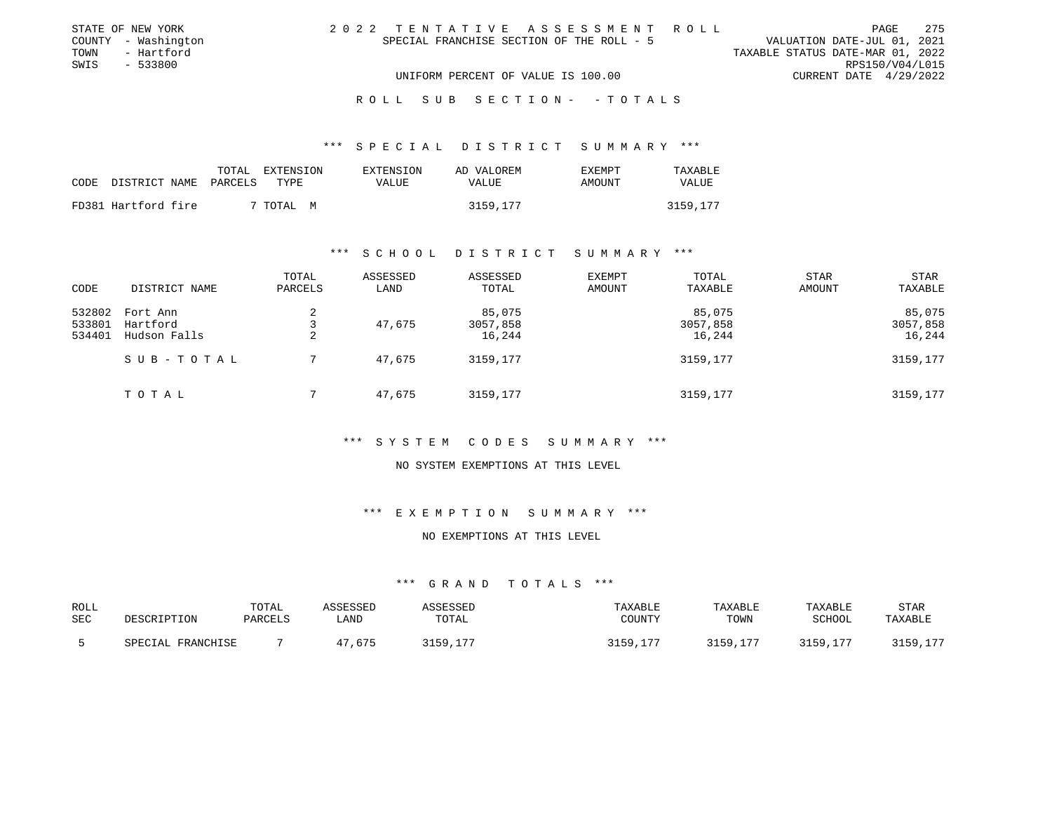| STATE OF NEW YORK   | 2022 TENTATIVE ASSESSMENT ROLL            | PAGE                             | 275 |
|---------------------|-------------------------------------------|----------------------------------|-----|
| COUNTY - Washington | SPECIAL FRANCHISE SECTION OF THE ROLL - 5 | VALUATION DATE-JUL 01, 2021      |     |
| - Hartford<br>TOWN  |                                           | TAXABLE STATUS DATE-MAR 01, 2022 |     |
| SWIS<br>- 533800    |                                           | RPS150/V04/L015                  |     |
|                     | UNIFORM PERCENT OF VALUE IS 100.00        | CURRENT DATE 4/29/2022           |     |
|                     |                                           |                                  |     |

### \*\*\* S P E C I A L D I S T R I C T S U M M A R Y \*\*\*

| CODE | DISTRICT NAME       | TOTAL<br>PARCELS | EXTENSION<br>TYPE. | EXTENSION<br>VALUE | AD VALOREM<br>VALUE | <b>EXEMPT</b><br>AMOUNT | TAXABLE<br>VALUE |
|------|---------------------|------------------|--------------------|--------------------|---------------------|-------------------------|------------------|
|      | FD381 Hartford fire |                  | 7 TOTAL M          |                    | 3159,177            |                         | 3159,177         |

#### \*\*\* S C H O O L D I S T R I C T S U M M A R Y \*\*\*

| CODE                       | DISTRICT NAME                        | TOTAL<br>PARCELS | ASSESSED<br>LAND | ASSESSED<br>TOTAL            | <b>EXEMPT</b><br>AMOUNT | TOTAL<br>TAXABLE             | <b>STAR</b><br><b>AMOUNT</b> | STAR<br>TAXABLE              |
|----------------------------|--------------------------------------|------------------|------------------|------------------------------|-------------------------|------------------------------|------------------------------|------------------------------|
| 532802<br>533801<br>534401 | Fort Ann<br>Hartford<br>Hudson Falls | 2<br>2           | 47.675           | 85,075<br>3057,858<br>16,244 |                         | 85,075<br>3057,858<br>16,244 |                              | 85,075<br>3057,858<br>16,244 |
|                            | SUB-TOTAL                            |                  | 47,675           | 3159,177                     |                         | 3159,177                     |                              | 3159,177                     |
|                            | TOTAL                                |                  | 47,675           | 3159,177                     |                         | 3159,177                     |                              | 3159,177                     |

# \*\*\* S Y S T E M C O D E S S U M M A R Y \*\*\*

### NO SYSTEM EXEMPTIONS AT THIS LEVEL

### \*\*\* E X E M P T I O N S U M M A R Y \*\*\*

### NO EXEMPTIONS AT THIS LEVEL

| ROLL | DESCRIPTION       | TOTAL   | ASSESSED | ASSESSED | TAXABLE  | TAXABLE  | TAXABLE  | <b>STAR</b> |
|------|-------------------|---------|----------|----------|----------|----------|----------|-------------|
| SEC  |                   | PARCELS | LAND     | TOTAL    | COUNTY   | TOWN     | SCHOOL   | TAXABLE     |
|      | SPECIAL FRANCHISE |         | 47,675   | 3159,177 | 3159,177 | 3159,177 | 3159,177 | 3159,177    |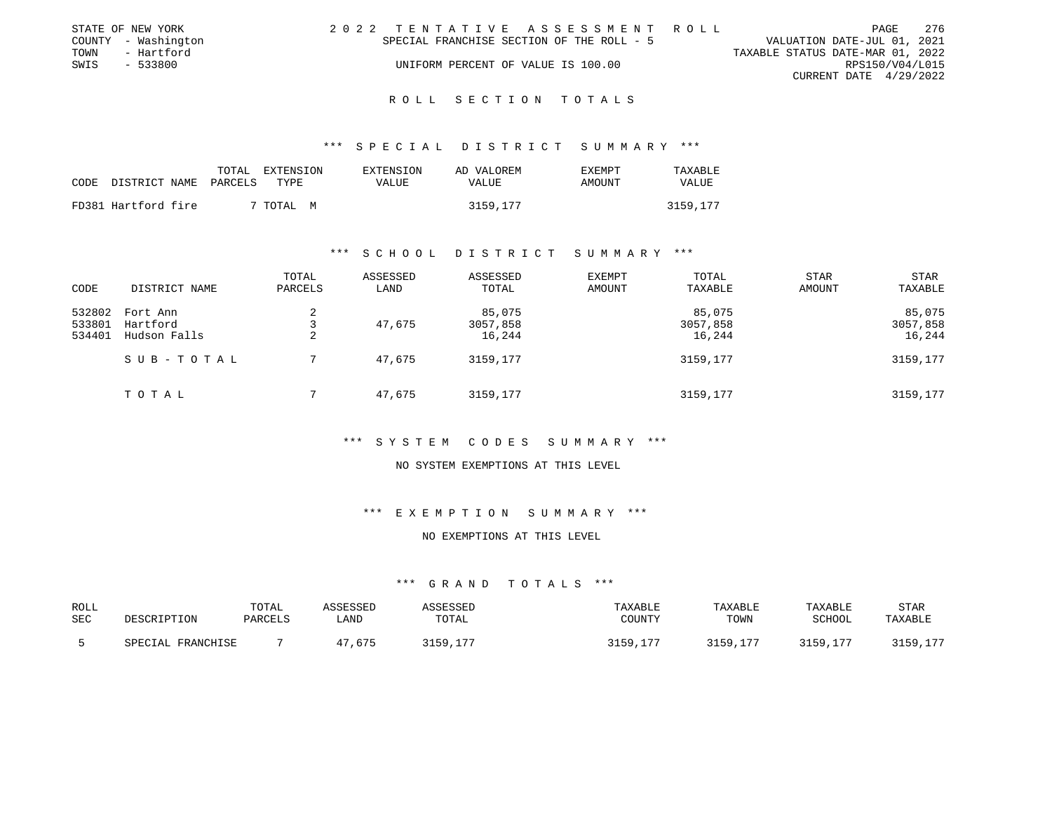|      | STATE OF NEW YORK   | 2022 TENTATIVE ASSESSMENT ROLL            |                                  | PAGE                   | - 276 |
|------|---------------------|-------------------------------------------|----------------------------------|------------------------|-------|
|      | COUNTY - Washington | SPECIAL FRANCHISE SECTION OF THE ROLL - 5 | VALUATION DATE-JUL 01, 2021      |                        |       |
| TOWN | - Hartford          |                                           | TAXABLE STATUS DATE-MAR 01, 2022 |                        |       |
| SWIS | $-533800$           | UNIFORM PERCENT OF VALUE IS 100.00        |                                  | RPS150/V04/L015        |       |
|      |                     |                                           |                                  | CURRENT DATE 4/29/2022 |       |
|      |                     |                                           |                                  |                        |       |

\*\*\* S P E C I A L D I S T R I C T S U M M A R Y \*\*\*

| CODE | DISTRICT NAME       | TOTAL<br>PARCELS | EXTENSION<br>TYPE. | EXTENSION<br>VALUE | AD VALOREM<br>VALUE | <b>EXEMPT</b><br>AMOUNT | TAXABLE<br>VALUE |
|------|---------------------|------------------|--------------------|--------------------|---------------------|-------------------------|------------------|
|      | FD381 Hartford fire |                  | TOTAL M            |                    | 3159,177            |                         | 3159,177         |

### \*\*\* S C H O O L D I S T R I C T S U M M A R Y \*\*\*

| CODE                       | DISTRICT NAME                        | TOTAL<br>PARCELS | ASSESSED<br>LAND | ASSESSED<br>TOTAL            | <b>EXEMPT</b><br>AMOUNT | TOTAL<br>TAXABLE             | STAR<br>AMOUNT | <b>STAR</b><br>TAXABLE       |
|----------------------------|--------------------------------------|------------------|------------------|------------------------------|-------------------------|------------------------------|----------------|------------------------------|
| 532802<br>533801<br>534401 | Fort Ann<br>Hartford<br>Hudson Falls | 2<br>2           | 47,675           | 85,075<br>3057,858<br>16,244 |                         | 85,075<br>3057,858<br>16,244 |                | 85,075<br>3057,858<br>16,244 |
|                            | SUB-TOTAL                            |                  | 47,675           | 3159,177                     |                         | 3159,177                     |                | 3159,177                     |
|                            | TOTAL                                |                  | 47,675           | 3159,177                     |                         | 3159,177                     |                | 3159,177                     |

# \*\*\* S Y S T E M C O D E S S U M M A R Y \*\*\*

### NO SYSTEM EXEMPTIONS AT THIS LEVEL

\*\*\* E X E M P T I O N S U M M A R Y \*\*\*

### NO EXEMPTIONS AT THIS LEVEL

| ROLL<br>SEC | DESCRIPTION       | TOTAL<br><b>PARCELS</b> | ASSESSED<br>_AND | ASSESSED<br>TOTAL | TAXABLE<br>COUNTY | TAXABLE<br>TOWN | TAXABLE<br>SCHOOL | <b>STAR</b><br>TAXABLE |
|-------------|-------------------|-------------------------|------------------|-------------------|-------------------|-----------------|-------------------|------------------------|
|             | SPECIAL FRANCHISE |                         | 47.675           | 3159              | 3159,177          | 3159,177        | 3159,177          | 3159,177               |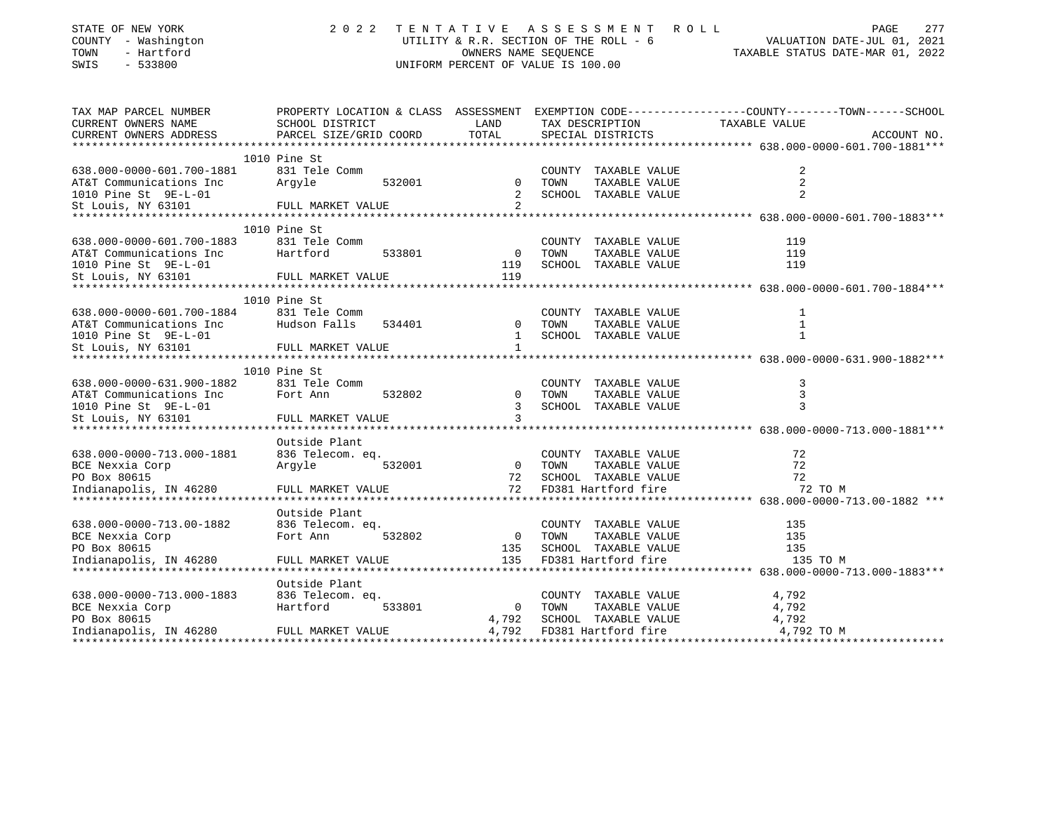| COUNTY - Washington<br>TOWN<br>- Hartford<br>SWIS<br>$-533800$                                     | UTILITY & R.R. SECTION OF THE ROLL - 6<br>UNIFORM PERCENT OF VALUE IS 100.00 | VALUATION DATE-JUL 01, 2021<br>TAXABLE STATUS DATE-MAR 01, 2022 |                                                                                              |                                                                                                                                 |
|----------------------------------------------------------------------------------------------------|------------------------------------------------------------------------------|-----------------------------------------------------------------|----------------------------------------------------------------------------------------------|---------------------------------------------------------------------------------------------------------------------------------|
| TAX MAP PARCEL NUMBER<br>CURRENT OWNERS NAME<br>CURRENT OWNERS ADDRESS                             | SCHOOL DISTRICT<br>PARCEL SIZE/GRID COORD                                    | LAND<br>TOTAL                                                   | TAX DESCRIPTION<br>SPECIAL DISTRICTS                                                         | PROPERTY LOCATION & CLASS ASSESSMENT EXEMPTION CODE---------------COUNTY-------TOWN------SCHOOL<br>TAXABLE VALUE<br>ACCOUNT NO. |
| 638.000-0000-601.700-1881<br>AT&T Communications Inc<br>1010 Pine St 9E-L-01<br>St Louis, NY 63101 | 1010 Pine St<br>831 Tele Comm<br>Argyle<br>FULL MARKET VALUE                 | 532001 0<br>$\overline{2}$                                      | COUNTY TAXABLE VALUE<br>TOWN<br>TAXABLE VALUE<br>2 SCHOOL TAXABLE VALUE                      | 2<br>2<br>$\overline{2}$                                                                                                        |
| 638.000-0000-601.700-1883<br>AT&T Communications Inc<br>1010 Pine St 9E-L-01<br>St Louis, NY 63101 | 1010 Pine St<br>831 Tele Comm<br>Hartford<br>533801<br>FULL MARKET VALUE     | $\overline{0}$<br>119<br>119                                    | COUNTY TAXABLE VALUE<br>TOWN<br>TAXABLE VALUE<br>SCHOOL TAXABLE VALUE                        | 119<br>119<br>119                                                                                                               |
| 638.000-0000-601.700-1884<br>AT&T Communications Inc<br>1010 Pine St 9E-L-01<br>St Louis, NY 63101 | 1010 Pine St<br>831 Tele Comm<br>Hudson Falls<br>534401<br>FULL MARKET VALUE | $\mathbf{1}$                                                    | COUNTY TAXABLE VALUE<br>0 TOWN<br>TAXABLE VALUE<br>1 SCHOOL TAXABLE VALUE                    | 1<br>1<br>$\mathbf 1$                                                                                                           |
| 638.000-0000-631.900-1882<br>AT&T Communications Inc<br>1010 Pine St 9E-L-01<br>St Louis, NY 63101 | 1010 Pine St<br>831 Tele Comm<br>Fort Ann<br>532802<br>FULL MARKET VALUE     | $\overline{0}$<br>$\mathbf{3}$                                  | COUNTY TAXABLE VALUE<br>TAXABLE VALUE<br>TOWN<br>3 SCHOOL TAXABLE VALUE                      | 3<br>3<br>3                                                                                                                     |
| 638.000-0000-713.000-1881<br>BCE Nexxia Corp<br>PO Box 80615<br>Indianapolis, IN 46280             | Outside Plant<br>836 Telecom. eq.<br>532001<br>Argyle<br>FULL MARKET VALUE   | 0 TOWN<br>72                                                    | COUNTY TAXABLE VALUE<br>TAXABLE VALUE<br>SCHOOL TAXABLE VALUE<br>72 FD381 Hartford fire      | 72<br>72<br>72<br>72 TO M                                                                                                       |
| 638.000-0000-713.00-1882<br>BCE Nexxia Corp<br>PO Box 80615<br>Indianapolis, IN 46280              | Outside Plant<br>836 Telecom. eq.<br>Fort Ann<br>532802<br>FULL MARKET VALUE | $\overline{0}$<br>135<br>135                                    | COUNTY TAXABLE VALUE<br>TOWN<br>TAXABLE VALUE<br>SCHOOL TAXABLE VALUE<br>FD381 Hartford fire | 135<br>135<br>135<br>135 TO M                                                                                                   |
| 638.000-0000-713.000-1883<br>BCE Nexxia Corp<br>PO Box 80615<br>Indianapolis, IN 46280             | Outside Plant<br>836 Telecom. eq.<br>533801<br>Hartford<br>FULL MARKET VALUE | $\overline{0}$<br>4,792<br>4,792                                | COUNTY TAXABLE VALUE<br>TAXABLE VALUE<br>TOWN<br>SCHOOL TAXABLE VALUE<br>FD381 Hartford fire | 4,792<br>4,792<br>4,792<br>4,792 TO M                                                                                           |

Indianapolis, IN 46280 FULL MARKET VALUE 4,792 FD381 Hartford fire 4,792 TO M \*\*\*\*\*\*\*\*\*\*\*\*\*\*\*\*\*\*\*\*\*\*\*\*\*\*\*\*\*\*\*\*\*\*\*\*\*\*\*\*\*\*\*\*\*\*\*\*\*\*\*\*\*\*\*\*\*\*\*\*\*\*\*\*\*\*\*\*\*\*\*\*\*\*\*\*\*\*\*\*\*\*\*\*\*\*\*\*\*\*\*\*\*\*\*\*\*\*\*\*\*\*\*\*\*\*\*\*\*\*\*\*\*\*\*\*\*\*\*\*\*\*\*\*\*\*\*\*\*\*\*\*

STATE OF NEW YORK 2022 TENTATIVE ASSESSMENT ROLL PAGE

277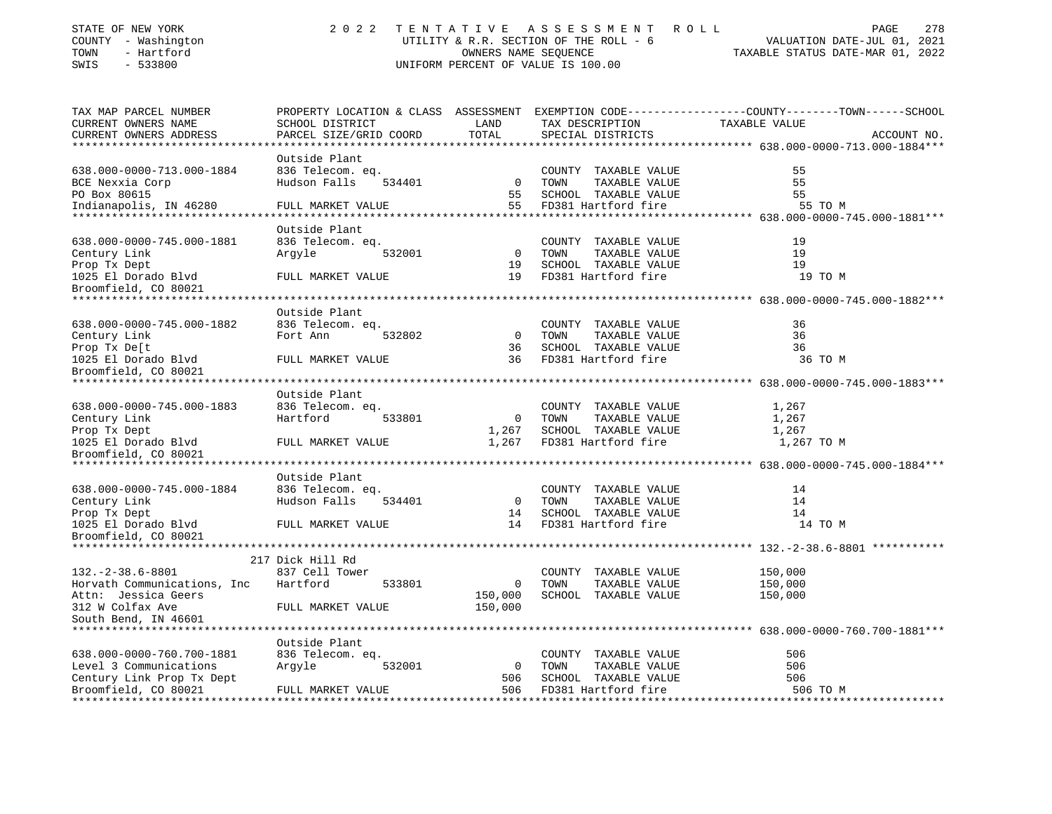| STATE OF NEW YORK   | 2022 TENTATIVE ASSESSMENT ROLL         | 278<br>PAGE                      |
|---------------------|----------------------------------------|----------------------------------|
| COUNTY - Washington | UTILITY & R.R. SECTION OF THE ROLL - 6 | VALUATION DATE-JUL 01, 2021      |
| TOWN<br>- Hartford  | OWNERS NAME SEOUENCE                   | TAXABLE STATUS DATE-MAR 01, 2022 |
| - 533800<br>SWIS    | UNIFORM PERCENT OF VALUE IS 100.00     |                                  |

| TAX MAP PARCEL NUMBER       |                        |                | PROPERTY LOCATION & CLASS ASSESSMENT EXEMPTION CODE----------------COUNTY-------TOWN-----SCHOOL |               |             |
|-----------------------------|------------------------|----------------|-------------------------------------------------------------------------------------------------|---------------|-------------|
| CURRENT OWNERS NAME         | SCHOOL DISTRICT        | LAND           | TAX DESCRIPTION                                                                                 | TAXABLE VALUE |             |
| CURRENT OWNERS ADDRESS      | PARCEL SIZE/GRID COORD | TOTAL          | SPECIAL DISTRICTS                                                                               |               | ACCOUNT NO. |
| ***********************     |                        |                |                                                                                                 |               |             |
|                             | Outside Plant          |                |                                                                                                 |               |             |
| 638.000-0000-713.000-1884   | 836 Telecom. eq.       |                | COUNTY TAXABLE VALUE                                                                            | 55            |             |
| BCE Nexxia Corp             | Hudson Falls<br>534401 | $\overline{0}$ | TAXABLE VALUE<br>TOWN                                                                           | 55            |             |
| PO Box 80615                |                        | 55             | SCHOOL TAXABLE VALUE                                                                            | 55            |             |
| Indianapolis, IN 46280      | FULL MARKET VALUE      | 55             | FD381 Hartford fire                                                                             | 55 TO M       |             |
|                             |                        |                |                                                                                                 |               |             |
|                             | Outside Plant          |                |                                                                                                 |               |             |
| 638.000-0000-745.000-1881   | 836 Telecom. eq.       |                | COUNTY TAXABLE VALUE                                                                            | 19            |             |
| Century Link                | Argyle<br>532001       | $\overline{0}$ | TAXABLE VALUE<br>TOWN                                                                           | 19            |             |
| Prop Tx Dept                |                        | 19             | SCHOOL TAXABLE VALUE                                                                            | 19            |             |
| 1025 El Dorado Blvd         | FULL MARKET VALUE      | 19             | FD381 Hartford fire                                                                             | 19 TO M       |             |
| Broomfield, CO 80021        |                        |                |                                                                                                 |               |             |
|                             |                        |                |                                                                                                 |               |             |
|                             | Outside Plant          |                |                                                                                                 |               |             |
| 638.000-0000-745.000-1882   | 836 Telecom. eq.       |                | COUNTY TAXABLE VALUE                                                                            | 36            |             |
| Century Link                | Fort Ann<br>532802     | $\overline{0}$ | TAXABLE VALUE<br>TOWN                                                                           | 36            |             |
| Prop Tx De[t                |                        | 36             | SCHOOL TAXABLE VALUE                                                                            | 36            |             |
| 1025 El Dorado Blvd         | FULL MARKET VALUE      | 36             | FD381 Hartford fire                                                                             | 36 TO M       |             |
| Broomfield, CO 80021        |                        |                |                                                                                                 |               |             |
|                             |                        |                |                                                                                                 |               |             |
|                             | Outside Plant          |                |                                                                                                 |               |             |
| 638.000-0000-745.000-1883   | 836 Telecom. eq.       |                | COUNTY TAXABLE VALUE                                                                            | 1,267         |             |
| Century Link                | Hartford<br>533801     | $\overline{0}$ | TOWN<br>TAXABLE VALUE                                                                           | 1,267         |             |
| Prop Tx Dept                |                        | 1,267          | SCHOOL TAXABLE VALUE                                                                            | 1,267         |             |
| 1025 El Dorado Blvd         | FULL MARKET VALUE      | 1,267          | FD381 Hartford fire                                                                             | 1,267 TO M    |             |
| Broomfield, CO 80021        |                        |                |                                                                                                 |               |             |
|                             |                        |                |                                                                                                 |               |             |
|                             | Outside Plant          |                |                                                                                                 |               |             |
| 638.000-0000-745.000-1884   | 836 Telecom. eq.       |                | COUNTY TAXABLE VALUE                                                                            | 14            |             |
|                             | Hudson Falls           | $\overline{0}$ | TOWN<br>TAXABLE VALUE                                                                           | 14            |             |
| Century Link                | 534401                 |                |                                                                                                 |               |             |
| Prop Tx Dept                |                        | 14             | SCHOOL TAXABLE VALUE                                                                            | 14            |             |
| 1025 El Dorado Blvd         | FULL MARKET VALUE      |                | 14 FD381 Hartford fire                                                                          | 14 TO M       |             |
| Broomfield, CO 80021        |                        |                |                                                                                                 |               |             |
|                             |                        |                |                                                                                                 |               |             |
|                             | 217 Dick Hill Rd       |                |                                                                                                 |               |             |
| $132. -2 - 38.6 - 8801$     | 837 Cell Tower         |                | COUNTY TAXABLE VALUE                                                                            | 150,000       |             |
| Horvath Communications, Inc | Hartford<br>533801     | $\overline{0}$ | TAXABLE VALUE<br>TOWN                                                                           | 150,000       |             |
| Attn: Jessica Geers         |                        | 150,000        | SCHOOL TAXABLE VALUE                                                                            | 150,000       |             |
| 312 W Colfax Ave            | FULL MARKET VALUE      | 150,000        |                                                                                                 |               |             |
| South Bend, IN 46601        |                        |                |                                                                                                 |               |             |
|                             |                        |                |                                                                                                 |               |             |
|                             | Outside Plant          |                |                                                                                                 |               |             |
| 638.000-0000-760.700-1881   | 836 Telecom. eq.       |                | COUNTY TAXABLE VALUE                                                                            | 506           |             |
| Level 3 Communications      | 532001<br>Argyle       | $\overline{0}$ | TOWN<br>TAXABLE VALUE                                                                           | 506           |             |
| Century Link Prop Tx Dept   |                        | 506            | SCHOOL TAXABLE VALUE                                                                            | 506           |             |
| Broomfield, CO 80021        | FULL MARKET VALUE      | 506            | FD381 Hartford fire                                                                             | 506 TO M      |             |
|                             |                        |                |                                                                                                 |               |             |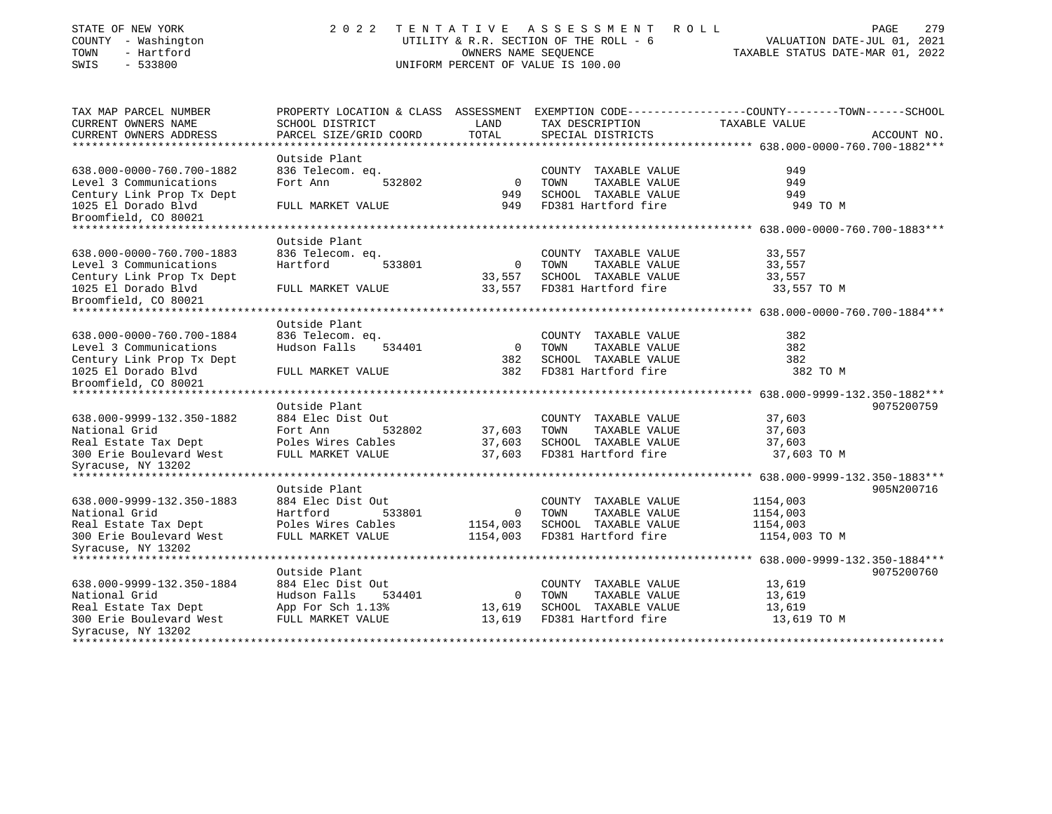| STATE OF NEW YORK                                      | 2022                                 | TENTATIVE      | A S S E S S M E N T<br>R O L L         | PAGE<br>279                                                                                      |
|--------------------------------------------------------|--------------------------------------|----------------|----------------------------------------|--------------------------------------------------------------------------------------------------|
| COUNTY - Washington                                    |                                      |                | UTILITY & R.R. SECTION OF THE ROLL - 6 | VALUATION DATE-JUL 01, 2021                                                                      |
| - Hartford<br>TOWN                                     |                                      |                | OWNERS NAME SEOUENCE                   | TAXABLE STATUS DATE-MAR 01, 2022                                                                 |
| $-533800$<br>SWIS                                      |                                      |                | UNIFORM PERCENT OF VALUE IS 100.00     |                                                                                                  |
|                                                        |                                      |                |                                        |                                                                                                  |
| TAX MAP PARCEL NUMBER                                  |                                      |                |                                        | PROPERTY LOCATION & CLASS ASSESSMENT EXEMPTION CODE----------------COUNTY-------TOWN------SCHOOL |
| CURRENT OWNERS NAME                                    | SCHOOL DISTRICT                      | LAND           | TAX DESCRIPTION                        | TAXABLE VALUE                                                                                    |
| CURRENT OWNERS ADDRESS                                 | PARCEL SIZE/GRID COORD               | TOTAL          | SPECIAL DISTRICTS                      | ACCOUNT NO.                                                                                      |
| *************************                              |                                      |                |                                        |                                                                                                  |
|                                                        | Outside Plant                        |                |                                        |                                                                                                  |
| 638.000-0000-760.700-1882                              | 836 Telecom. eq.                     |                | COUNTY TAXABLE VALUE                   | 949                                                                                              |
| Level 3 Communications                                 | Fort Ann<br>532802                   | $\mathbf 0$    | TAXABLE VALUE<br>TOWN                  | 949                                                                                              |
| Century Link Prop Tx Dept                              |                                      | 949            | SCHOOL TAXABLE VALUE                   | 949                                                                                              |
| 1025 El Dorado Blvd                                    | FULL MARKET VALUE                    | 949            | FD381 Hartford fire                    | 949 TO M                                                                                         |
| Broomfield, CO 80021<br>****************************** |                                      |                |                                        |                                                                                                  |
|                                                        | Outside Plant                        |                |                                        |                                                                                                  |
| 638.000-0000-760.700-1883                              | 836 Telecom. eq.                     |                | COUNTY TAXABLE VALUE                   | 33,557                                                                                           |
| Level 3 Communications                                 | Hartford<br>533801                   | $\mathbf 0$    | TAXABLE VALUE<br>TOWN                  | 33,557                                                                                           |
| Century Link Prop Tx Dept                              |                                      | 33,557         | SCHOOL TAXABLE VALUE                   | 33,557                                                                                           |
| 1025 El Dorado Blvd                                    | FULL MARKET VALUE                    | 33,557         | FD381 Hartford fire                    | 33,557 TO M                                                                                      |
| Broomfield, CO 80021                                   |                                      |                |                                        |                                                                                                  |
|                                                        | ************************************ |                |                                        | ************* 638.000-0000-760.700-1884***                                                       |
|                                                        | Outside Plant                        |                |                                        |                                                                                                  |
| 638.000-0000-760.700-1884                              | 836 Telecom. eq.                     |                | COUNTY TAXABLE VALUE                   | 382                                                                                              |
| Level 3 Communications                                 | Hudson Falls<br>534401               | $\circ$        | TAXABLE VALUE<br>TOWN                  | 382                                                                                              |
| Century Link Prop Tx Dept                              |                                      | 382            | SCHOOL TAXABLE VALUE                   | 382                                                                                              |
| 1025 El Dorado Blvd                                    | FULL MARKET VALUE                    | 382            | FD381 Hartford fire                    | 382 TO M                                                                                         |
| Broomfield, CO 80021                                   |                                      |                |                                        |                                                                                                  |
|                                                        |                                      |                |                                        | ********* 638.000-9999-132.350-1882***                                                           |
|                                                        | Outside Plant                        |                |                                        | 9075200759                                                                                       |
| 638.000-9999-132.350-1882                              | 884 Elec Dist Out                    |                | COUNTY TAXABLE VALUE                   | 37,603                                                                                           |
| National Grid                                          | Fort Ann<br>532802                   | 37,603         | TAXABLE VALUE<br>TOWN                  | 37,603                                                                                           |
| Real Estate Tax Dept                                   | Poles Wires Cables                   | 37,603         | SCHOOL TAXABLE VALUE                   | 37,603                                                                                           |
| 300 Erie Boulevard West                                | FULL MARKET VALUE                    | 37,603         | FD381 Hartford fire                    | 37,603 TO M                                                                                      |
| Syracuse, NY 13202                                     |                                      |                |                                        |                                                                                                  |
| ******************                                     |                                      |                |                                        | *************** 638.000-9999-132.350-1883***                                                     |
|                                                        | Outside Plant                        |                |                                        | 905N200716                                                                                       |
| 638.000-9999-132.350-1883                              | 884 Elec Dist Out                    |                | COUNTY TAXABLE VALUE                   | 1154,003                                                                                         |
| National Grid                                          | Hartford<br>533801                   | $\overline{0}$ | TOWN<br>TAXABLE VALUE                  | 1154,003                                                                                         |
| Real Estate Tax Dept                                   | Poles Wires Cables                   | 1154,003       | SCHOOL TAXABLE VALUE                   | 1154,003                                                                                         |
| 300 Erie Boulevard West                                | FULL MARKET VALUE                    | 1154,003       | FD381 Hartford fire                    | 1154,003 TO M                                                                                    |
| Syracuse, NY 13202                                     |                                      |                |                                        |                                                                                                  |
|                                                        |                                      |                |                                        | ******** 638.000-9999-132.350-1884***                                                            |
|                                                        | Outside Plant                        |                |                                        | 9075200760                                                                                       |
| 638.000-9999-132.350-1884                              | 884 Elec Dist Out                    |                | COUNTY TAXABLE VALUE                   | 13,619                                                                                           |
| National Grid                                          | Hudson Falls<br>534401               | $\mathbf 0$    | TAXABLE VALUE<br>TOWN                  | 13,619                                                                                           |
| Real Estate Tax Dept                                   | App For Sch 1.13%                    | 13,619         | SCHOOL TAXABLE VALUE                   | 13,619                                                                                           |
| 300 Erie Boulevard West                                | FULL MARKET VALUE                    | 13,619         | FD381 Hartford fire                    | 13,619 TO M                                                                                      |
| Syracuse, NY 13202<br>*******************              |                                      |                |                                        | .                                                                                                |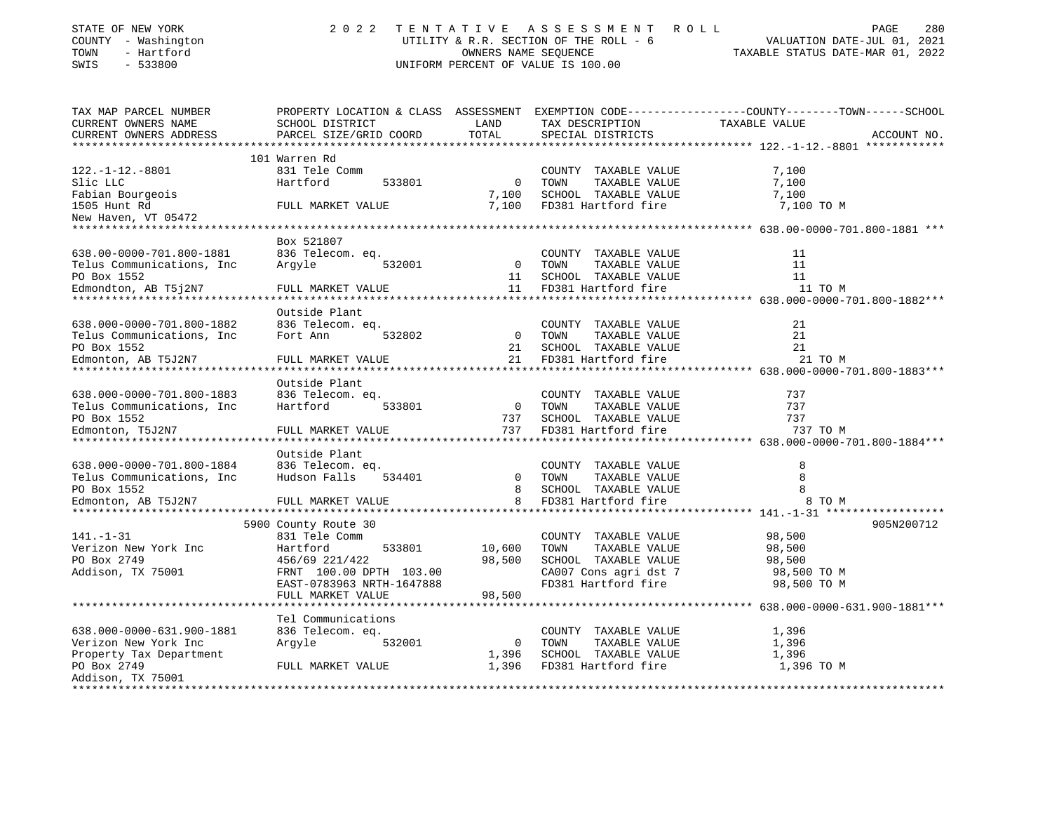| STATE OF NEW YORK<br>COUNTY - Washington<br>TOWN<br>- Hartford<br>$-533800$<br>SWIS | 2 0 2 2                 |                | TENTATIVE ASSESSMENT ROLL<br>UTILITY & R.R. SECTION OF THE ROLL - 6<br>OWNERS NAME SEOUENCE<br>UNIFORM PERCENT OF VALUE IS 100.00 | 280<br>PAGE<br>VALUATION DATE-JUL 01, 2021<br>TAXABLE STATUS DATE-MAR 01, 2022                                   |
|-------------------------------------------------------------------------------------|-------------------------|----------------|-----------------------------------------------------------------------------------------------------------------------------------|------------------------------------------------------------------------------------------------------------------|
| TAX MAP PARCEL NUMBER<br>CURRENT OWNERS NAME                                        | SCHOOL DISTRICT         | LAND           | TAX DESCRIPTION                                                                                                                   | PROPERTY LOCATION & CLASS ASSESSMENT EXEMPTION CODE---------------COUNTY-------TOWN------SCHOOL<br>TAXABLE VALUE |
| CURRENT OWNERS ADDRESS                                                              | PARCEL SIZE/GRID COORD  | TOTAL          | SPECIAL DISTRICTS                                                                                                                 | ACCOUNT NO.                                                                                                      |
|                                                                                     | 101 Warren Rd           |                |                                                                                                                                   |                                                                                                                  |
| $122. - 1 - 12. - 8801$                                                             | 831 Tele Comm           |                | COUNTY TAXABLE VALUE                                                                                                              | 7,100                                                                                                            |
| Slic LLC                                                                            | 533801<br>Hartford      | $\overline{0}$ | TAXABLE VALUE<br>TOWN                                                                                                             | 7,100                                                                                                            |
| Fabian Bourgeois                                                                    |                         | 7,100          | SCHOOL TAXABLE VALUE                                                                                                              | 7,100                                                                                                            |
| 1505 Hunt Rd                                                                        | FULL MARKET VALUE       | 7,100          | FD381 Hartford fire                                                                                                               | 7,100 TO M                                                                                                       |
| New Haven, VT 05472                                                                 |                         |                |                                                                                                                                   |                                                                                                                  |
|                                                                                     |                         |                |                                                                                                                                   |                                                                                                                  |
|                                                                                     | Box 521807              |                |                                                                                                                                   |                                                                                                                  |
| 638.00-0000-701.800-1881                                                            | 836 Telecom. eg.        |                | COUNTY TAXABLE VALUE                                                                                                              | 11                                                                                                               |
| Telus Communications, Inc.                                                          | Arqyle<br>532001        | $\overline{0}$ | TAXABLE VALUE<br>TOWN                                                                                                             | 11                                                                                                               |
| PO Box 1552                                                                         |                         | 11             | SCHOOL TAXABLE VALUE<br>11 FD381 Hartford fire                                                                                    | 11<br>11 TO M                                                                                                    |
| Edmondton, AB T5j2N7                                                                | FULL MARKET VALUE       |                |                                                                                                                                   |                                                                                                                  |
|                                                                                     | Outside Plant           |                |                                                                                                                                   |                                                                                                                  |
| 638.000-0000-701.800-1882                                                           | 836 Telecom. eq.        |                | COUNTY TAXABLE VALUE                                                                                                              | 21                                                                                                               |
| Telus Communications, Inc.                                                          | Fort Ann<br>532802      | $\overline{0}$ | TOWN<br>TAXABLE VALUE                                                                                                             | 21                                                                                                               |
| PO Box 1552                                                                         |                         | 21             | SCHOOL TAXABLE VALUE                                                                                                              | 21                                                                                                               |
| Edmonton, AB T5J2N7                                                                 | FULL MARKET VALUE       | 21             | FD381 Hartford fire                                                                                                               | 21 TO M                                                                                                          |
| ******************************                                                      | *********************** |                |                                                                                                                                   |                                                                                                                  |
|                                                                                     | Outside Plant           |                |                                                                                                                                   |                                                                                                                  |
| 638.000-0000-701.800-1883                                                           | 836 Telecom. eq.        |                | COUNTY TAXABLE VALUE                                                                                                              | 737                                                                                                              |
| Telus Communications, Inc.                                                          | Hartford<br>533801      | $\overline{0}$ | TAXABLE VALUE<br>TOWN                                                                                                             | 737                                                                                                              |
| PO Box 1552                                                                         |                         | 737            | SCHOOL TAXABLE VALUE                                                                                                              | 737                                                                                                              |
| Edmonton, T5J2N7                                                                    | FULL MARKET VALUE       | 737            | FD381 Hartford fire                                                                                                               | 737 TO M                                                                                                         |
|                                                                                     | Outside Plant           |                |                                                                                                                                   |                                                                                                                  |
| 638.000-0000-701.800-1884                                                           | 836 Telecom. eq.        |                | COUNTY TAXABLE VALUE                                                                                                              | 8                                                                                                                |
| Telus Communications, Inc                                                           | Hudson Falls<br>534401  | $\Omega$       | TOWN<br>TAXABLE VALUE                                                                                                             |                                                                                                                  |
| PO Box 1552                                                                         |                         | 8              | SCHOOL TAXABLE VALUE                                                                                                              |                                                                                                                  |
| Edmonton, AB T5J2N7                                                                 | FULL MARKET VALUE       | 8              | FD381 Hartford fire                                                                                                               | 8 TO M                                                                                                           |
|                                                                                     |                         |                |                                                                                                                                   |                                                                                                                  |

|                           | 5900 County Route 30      |        |              |        |                       |             | 905N200712 |
|---------------------------|---------------------------|--------|--------------|--------|-----------------------|-------------|------------|
| $141. - 1 - 31$           | 831 Tele Comm             |        |              | COUNTY | TAXABLE VALUE         | 98,500      |            |
| Verizon New York Inc      | Hartford                  | 533801 | 10,600       | TOWN   | TAXABLE VALUE         | 98,500      |            |
| PO Box 2749               | 456/69 221/422            |        | 98,500       | SCHOOL | TAXABLE VALUE         | 98,500      |            |
| Addison, TX 75001         | FRNT 100.00 DPTH 103.00   |        |              |        | CA007 Cons agri dst 7 | 98,500 TO M |            |
|                           | EAST-0783963 NRTH-1647888 |        |              |        | FD381 Hartford fire   | 98,500 TO M |            |
|                           | FULL MARKET VALUE         |        | 98,500       |        |                       |             |            |
|                           |                           |        |              |        |                       |             |            |
|                           | Tel Communications        |        |              |        |                       |             |            |
| 638.000-0000-631.900-1881 | 836 Telecom. eq.          |        |              | COUNTY | TAXABLE VALUE         | 1,396       |            |
| Verizon New York Inc      | Arqyle                    | 532001 | $\mathbf{0}$ | TOWN   | TAXABLE VALUE         | 1,396       |            |
| Property Tax Department   |                           |        | 1,396        | SCHOOL | TAXABLE VALUE         | 1,396       |            |
| PO Box 2749               | FULL MARKET VALUE         |        | 1,396        |        | FD381 Hartford fire   | 1,396 TO M  |            |
| Addison, TX 75001         |                           |        |              |        |                       |             |            |
|                           |                           |        |              |        |                       |             |            |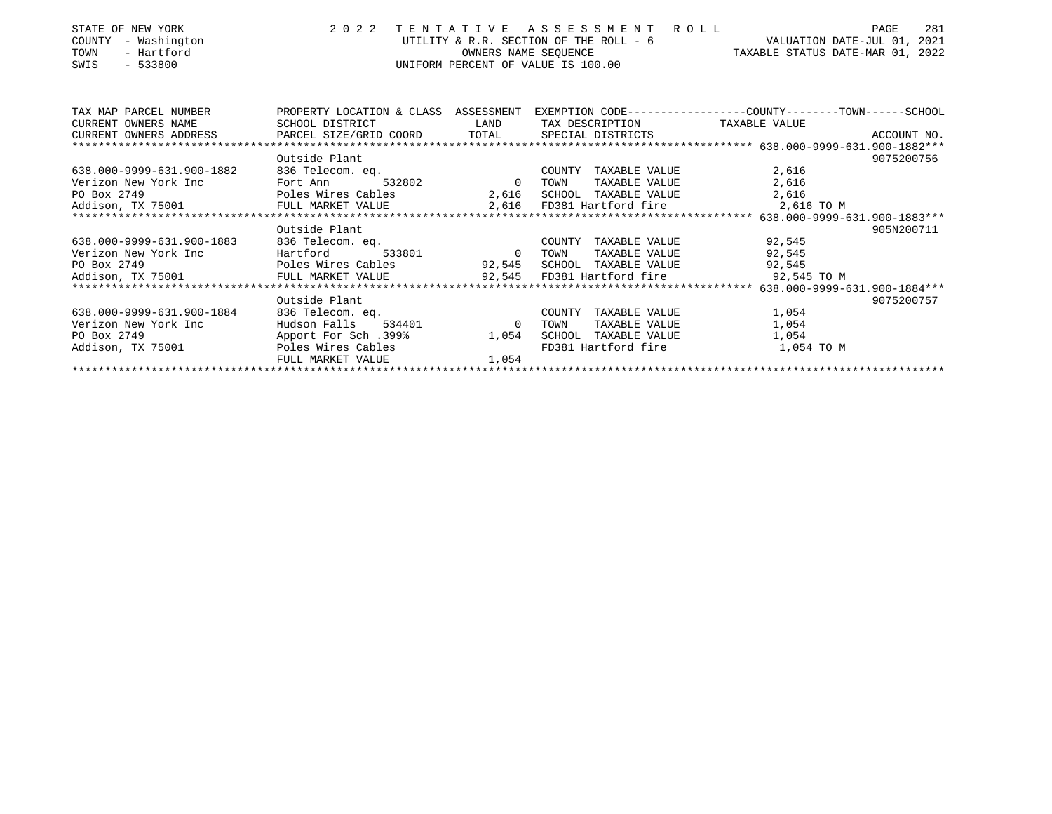| STATE OF NEW YORK<br>COUNTY<br>- Washington<br>TOWN<br>- Hartford<br>$-533800$<br>SWIS | 2 0 2 2                        | TENTATIVE      | ASSESSMENT ROLL<br>OWNERS NAME SEOUENCE<br>UNIFORM PERCENT OF VALUE IS 100.00 | 281<br>PAGE<br>UTILITY & R.R. SECTION OF THE ROLL - $6$ VALUATION DATE-JUL 01, 2021<br>TAXABLE STATUS DATE-MAR 01, 2022 |
|----------------------------------------------------------------------------------------|--------------------------------|----------------|-------------------------------------------------------------------------------|-------------------------------------------------------------------------------------------------------------------------|
| TAX MAP PARCEL NUMBER<br>CURRENT OWNERS NAME                                           | SCHOOL DISTRICT                | LAND           | TAX DESCRIPTION TAXABLE VALUE                                                 | PROPERTY LOCATION & CLASS ASSESSMENT EXEMPTION CODE---------------COUNTY-------TOWN------SCHOOL                         |
| CURRENT OWNERS ADDRESS PARCEL SIZE/GRID COORD TOTAL                                    |                                |                | SPECIAL DISTRICTS                                                             | ACCOUNT NO.                                                                                                             |
|                                                                                        |                                |                |                                                                               |                                                                                                                         |
|                                                                                        | Outside Plant                  |                |                                                                               | 9075200756                                                                                                              |
| 638.000-9999-631.900-1882                                                              | 836 Telecom. ea.               |                | COUNTY TAXABLE VALUE                                                          | 2,616                                                                                                                   |
| Verizon New York Inc                                                                   | 532802<br>Fort Ann             | $\overline{0}$ | TAXABLE VALUE<br>TOWN                                                         | 2,616                                                                                                                   |
| PO Box 2749                                                                            | Poles Wires Cables             |                | 2,616 SCHOOL TAXABLE VALUE                                                    | 2,616                                                                                                                   |
| Addison, TX 75001                                                                      | FULL MARKET VALUE              |                |                                                                               | 2,616 FD381 Hartford fire 2,616 TO M                                                                                    |
|                                                                                        |                                |                |                                                                               |                                                                                                                         |
|                                                                                        | Outside Plant                  |                |                                                                               | 905N200711                                                                                                              |
| 638.000-9999-631.900-1883                                                              | 836 Telecom. eq.               |                | COUNTY<br>TAXABLE VALUE                                                       | 92,545                                                                                                                  |
| Verizon New York Inc                                                                   | Hartford<br>Poles Wires Cables | 533801 0 TOWN  | TAXABLE VALUE                                                                 | 92,545                                                                                                                  |
| PO Box 2749<br>Addison, TX 75001                                                       | FULL MARKET VALUE              |                | 92,545 SCHOOL TAXABLE VALUE<br>92,545 FD381 Hartford fire                     | 92,545<br>92,545 TO M                                                                                                   |
|                                                                                        |                                |                |                                                                               |                                                                                                                         |
|                                                                                        | Outside Plant                  |                |                                                                               | 9075200757                                                                                                              |
| 638.000-9999-631.900-1884                                                              | 836 Telecom. eq.               |                | COUNTY<br>TAXABLE VALUE                                                       | 1,054                                                                                                                   |
| Verizon New York Inc                                                                   | Hudson Falls 534401            | $\overline{0}$ | TOWN<br>TAXABLE VALUE                                                         | 1,054                                                                                                                   |
| PO Box 2749                                                                            | Apport For Sch.399%            | 1,054          | SCHOOL TAXABLE VALUE                                                          | 1,054                                                                                                                   |
| Addison, TX 75001                                                                      | Poles Wires Cables             |                | FD381 Hartford fire                                                           | 1,054 TO M                                                                                                              |
|                                                                                        | FULL MARKET VALUE              | 1,054          |                                                                               |                                                                                                                         |
|                                                                                        |                                |                |                                                                               |                                                                                                                         |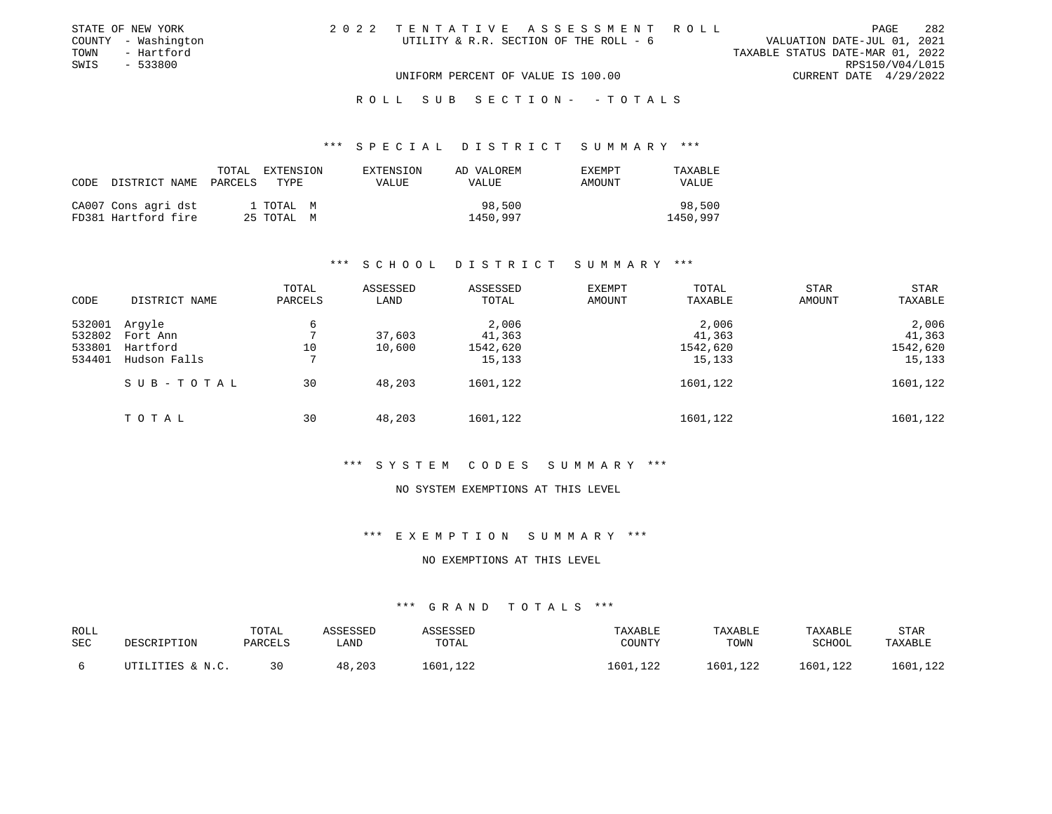| STATE OF NEW YORK   | 2022 TENTATIVE ASSESSMENT ROLL         |                                  | PAGE            | 282 |
|---------------------|----------------------------------------|----------------------------------|-----------------|-----|
| COUNTY - Washington | UTILITY & R.R. SECTION OF THE ROLL - 6 | VALUATION DATE-JUL 01, 2021      |                 |     |
| TOWN<br>- Hartford  |                                        | TAXABLE STATUS DATE-MAR 01, 2022 |                 |     |
| SWIS - 533800       |                                        |                                  | RPS150/V04/L015 |     |
|                     | UNIFORM PERCENT OF VALUE IS 100.00     | CURRENT DATE 4/29/2022           |                 |     |
|                     |                                        |                                  |                 |     |

#### \*\*\* S P E C I A L D I S T R I C T S U M M A R Y \*\*\*

| CODE | DISTRICT NAME                              | TOTAL<br>PARCELS | EXTENSION<br>TYPE       | EXTENSION<br><b>VALUE</b> | AD VALOREM<br>VALUE | <b>EXEMPT</b><br>AMOUNT | TAXABLE<br>VALUE   |
|------|--------------------------------------------|------------------|-------------------------|---------------------------|---------------------|-------------------------|--------------------|
|      | CA007 Cons agri dst<br>FD381 Hartford fire |                  | 1 TOTAL M<br>25 ТОТАЬ М |                           | 1450,997            | 98,500                  | 98,500<br>1450,997 |

### \*\*\* S C H O O L D I S T R I C T S U M M A R Y \*\*\*

| CODE                                 | DISTRICT NAME                                  | TOTAL<br>PARCELS | ASSESSED<br>LAND | ASSESSED<br>TOTAL                     | EXEMPT<br>AMOUNT | TOTAL<br>TAXABLE                      | STAR<br><b>AMOUNT</b> | STAR<br>TAXABLE                       |
|--------------------------------------|------------------------------------------------|------------------|------------------|---------------------------------------|------------------|---------------------------------------|-----------------------|---------------------------------------|
| 532001<br>532802<br>533801<br>534401 | Arqyle<br>Fort Ann<br>Hartford<br>Hudson Falls | 6<br>10          | 37,603<br>10,600 | 2,006<br>41,363<br>1542,620<br>15,133 |                  | 2,006<br>41,363<br>1542,620<br>15,133 |                       | 2,006<br>41,363<br>1542,620<br>15,133 |
|                                      | SUB-TOTAL                                      | 30               | 48,203           | 1601,122                              |                  | 1601,122                              |                       | 1601,122                              |
|                                      | TOTAL                                          | 30               | 48,203           | 1601,122                              |                  | 1601,122                              |                       | 1601,122                              |

#### \*\*\* S Y S T E M C O D E S S U M M A R Y \*\*\*

#### NO SYSTEM EXEMPTIONS AT THIS LEVEL

### \*\*\* E X E M P T I O N S U M M A R Y \*\*\*

#### NO EXEMPTIONS AT THIS LEVEL

| <b>ROLL</b> |                  | TOTAL   | ASSESSED | ASSESSED | TAXABLE  | TAXABLE  | TAXABLE  | <b>STAR</b> |
|-------------|------------------|---------|----------|----------|----------|----------|----------|-------------|
| <b>SEC</b>  | DESCRIPTION      | PARCELS | LAND     | TOTAL    | COUNTY   | TOWN     | SCHOOL   | TAXABLE     |
|             | UTILITIES & N.C. | 30      | 48,203   | 1601,122 | 1601,122 | 1601,122 | 1601,122 | 1601,122    |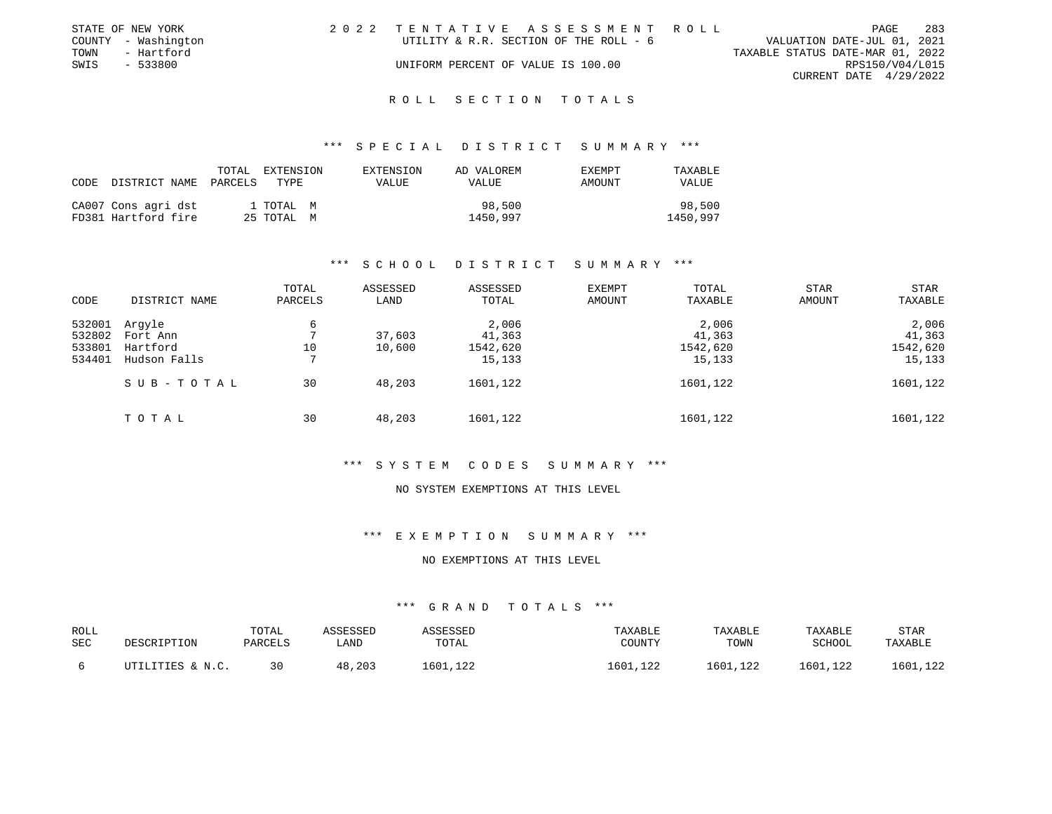|      | STATE OF NEW YORK   | 2022 TENTATIVE ASSESSMENT ROLL         |                                  | PAGE                   | -283 |
|------|---------------------|----------------------------------------|----------------------------------|------------------------|------|
|      | COUNTY - Washington | UTILITY & R.R. SECTION OF THE ROLL - 6 | VALUATION DATE-JUL 01, 2021      |                        |      |
| TOWN | - Hartford          |                                        | TAXABLE STATUS DATE-MAR 01, 2022 |                        |      |
| SWIS | - 533800            | UNIFORM PERCENT OF VALUE IS 100.00     |                                  | RPS150/V04/L015        |      |
|      |                     |                                        |                                  | CURRENT DATE 4/29/2022 |      |
|      |                     |                                        |                                  |                        |      |

#### \*\*\* S P E C I A L D I S T R I C T S U M M A R Y \*\*\*

| CODE | DISTRICT NAME PARCELS                      | TOTAL | EXTENSION<br>TYPE       | EXTENSION<br>VALUE | AD VALOREM<br>VALUE | <b>EXEMPT</b><br>AMOUNT | TAXABLE<br><b>VALUE</b> |
|------|--------------------------------------------|-------|-------------------------|--------------------|---------------------|-------------------------|-------------------------|
|      | CA007 Cons agri dst<br>FD381 Hartford fire |       | 1 TOTAL M<br>25 TOTAL M |                    | 98,500<br>1450,997  |                         | 98,500<br>1450,997      |

#### \*\*\* S C H O O L D I S T R I C T S U M M A R Y \*\*\*

| CODE                                 | DISTRICT NAME                                  | TOTAL<br>PARCELS | ASSESSED<br>LAND | ASSESSED<br>TOTAL                     | EXEMPT<br>AMOUNT | TOTAL<br>TAXABLE                      | <b>STAR</b><br>AMOUNT | STAR<br>TAXABLE                       |
|--------------------------------------|------------------------------------------------|------------------|------------------|---------------------------------------|------------------|---------------------------------------|-----------------------|---------------------------------------|
| 532001<br>532802<br>533801<br>534401 | Argyle<br>Fort Ann<br>Hartford<br>Hudson Falls | 6<br>10          | 37,603<br>10,600 | 2,006<br>41,363<br>1542,620<br>15,133 |                  | 2,006<br>41,363<br>1542,620<br>15,133 |                       | 2,006<br>41,363<br>1542,620<br>15,133 |
|                                      | SUB-TOTAL                                      | 30               | 48,203           | 1601,122                              |                  | 1601,122                              |                       | 1601,122                              |
|                                      | TOTAL                                          | 30               | 48,203           | 1601,122                              |                  | 1601,122                              |                       | 1601,122                              |

#### \*\*\* S Y S T E M C O D E S S U M M A R Y \*\*\*

#### NO SYSTEM EXEMPTIONS AT THIS LEVEL

### \*\*\* E X E M P T I O N S U M M A R Y \*\*\*

#### NO EXEMPTIONS AT THIS LEVEL

| <b>ROLL</b> |                  | TOTAL   | ASSESSED | ASSESSED | TAXABLE  | TAXABLE  | TAXABLE  | <b>STAR</b> |
|-------------|------------------|---------|----------|----------|----------|----------|----------|-------------|
| <b>SEC</b>  | DESCRIPTION      | PARCELS | LAND     | TOTAL    | COUNTY   | TOWN     | SCHOOL   | TAXABLE     |
|             | UTILITIES & N.C. | 30      | 48,203   | 1601,122 | 1601,122 | 1601,122 | 1601,122 | 1601,122    |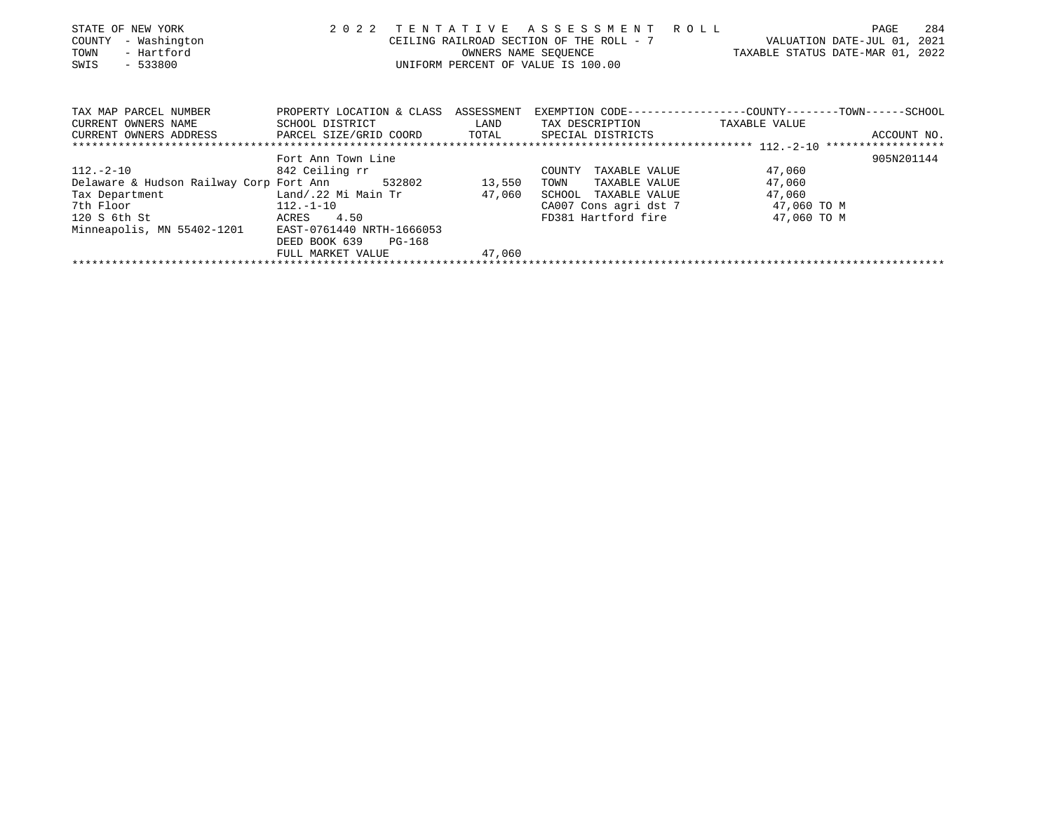| STATE OF NEW YORK                                   | 2 0 2 2                              |        | TENTATIVE ASSESSMENT ROLL                |                                                             | 284<br>PAGE |
|-----------------------------------------------------|--------------------------------------|--------|------------------------------------------|-------------------------------------------------------------|-------------|
| - Washington<br>COUNTY                              |                                      |        | CEILING RAILROAD SECTION OF THE ROLL - 7 | VALUATION DATE-JUL 01, 2021                                 |             |
| - Hartford<br>TOWN                                  |                                      |        | OWNERS NAME SEOUENCE                     | TAXABLE STATUS DATE-MAR 01, 2022                            |             |
| SWIS<br>$-533800$                                   |                                      |        | UNIFORM PERCENT OF VALUE IS 100.00       |                                                             |             |
|                                                     |                                      |        |                                          |                                                             |             |
|                                                     |                                      |        |                                          |                                                             |             |
| TAX MAP PARCEL NUMBER                               | PROPERTY LOCATION & CLASS ASSESSMENT |        |                                          | EXEMPTION CODE----------------COUNTY-------TOWN------SCHOOL |             |
| CURRENT OWNERS NAME                                 | SCHOOL DISTRICT                      | LAND   | TAX DESCRIPTION                          | TAXABLE VALUE                                               |             |
| CURRENT OWNERS ADDRESS FARCEL SIZE/GRID COORD TOTAL |                                      |        | SPECIAL DISTRICTS                        |                                                             | ACCOUNT NO. |
|                                                     |                                      |        |                                          |                                                             |             |
|                                                     | Fort Ann Town Line                   |        |                                          |                                                             | 905N201144  |
| 112.-2-10                                           | 842 Ceiling rr                       |        | TAXABLE VALUE<br>COUNTY                  | 47,060                                                      |             |
| Delaware & Hudson Railway Corp Fort Ann 532802      |                                      | 13,550 | TAXABLE VALUE<br>TOWN                    | 47,060                                                      |             |
| Tax Department                                      | Land/.22 Mi Main Tr                  | 47,060 | SCHOOL<br>TAXABLE VALUE                  | 47,060                                                      |             |
| 7th Floor<br>$112. -1 - 10$                         |                                      |        | CA007 Cons agri dst 7                    | 47,060 TO M                                                 |             |
| 120 S 6th St                                        | ACRES 4.50                           |        | FD381 Hartford fire                      | 47,060 TO M                                                 |             |
| Minneapolis, MN 55402-1201                          | EAST-0761440 NRTH-1666053            |        |                                          |                                                             |             |
|                                                     | DEED BOOK 639<br>PG-168              |        |                                          |                                                             |             |
|                                                     | FULL MARKET VALUE                    | 47,060 |                                          |                                                             |             |
|                                                     |                                      |        |                                          |                                                             |             |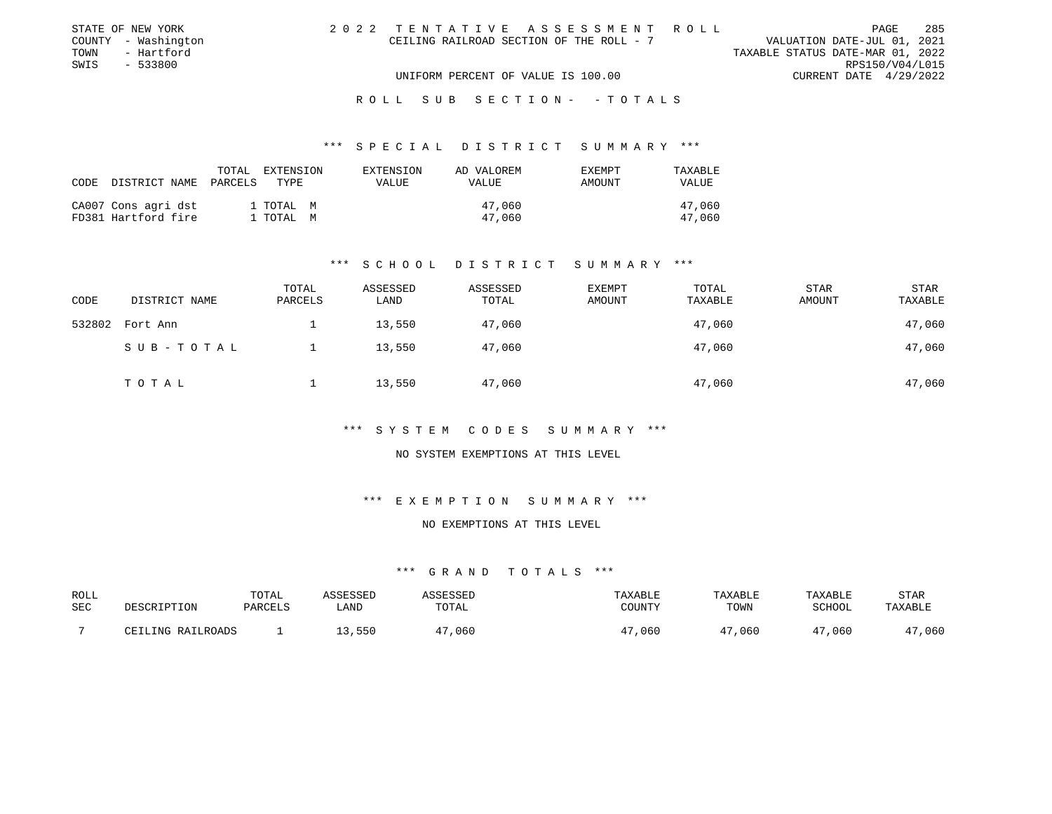| STATE OF NEW YORK   | 2022 TENTATIVE ASSESSMENT ROLL           | PAGE                             | 285 |
|---------------------|------------------------------------------|----------------------------------|-----|
| COUNTY - Washington | CEILING RAILROAD SECTION OF THE ROLL - 7 | VALUATION DATE-JUL 01, 2021      |     |
| - Hartford<br>TOWN  |                                          | TAXABLE STATUS DATE-MAR 01, 2022 |     |
| SWIS<br>- 533800    |                                          | RPS150/V04/L015                  |     |
|                     | UNIFORM PERCENT OF VALUE IS 100.00       | CURRENT DATE 4/29/2022           |     |
|                     |                                          |                                  |     |

#### \*\*\* S P E C I A L D I S T R I C T S U M M A R Y \*\*\*

| CODE | DISTRICT NAME                              | TOTAL<br>PARCELS | EXTENSION<br>TYPE.     | EXTENSION<br><b>VALUE</b> | AD VALOREM<br><b>VALUE</b> | <b>EXEMPT</b><br>AMOUNT | TAXABLE<br><b>VALUE</b> |
|------|--------------------------------------------|------------------|------------------------|---------------------------|----------------------------|-------------------------|-------------------------|
|      | CA007 Cons agri dst<br>FD381 Hartford fire |                  | 1 TOTAL M<br>1 ТОТАЬ М |                           | 47,060<br>47,060           |                         | 47,060<br>47,060        |

### \*\*\* S C H O O L D I S T R I C T S U M M A R Y \*\*\*

| CODE   | DISTRICT NAME | TOTAL<br>PARCELS | ASSESSED<br>LAND | ASSESSED<br>TOTAL | <b>EXEMPT</b><br>AMOUNT | TOTAL<br>TAXABLE | <b>STAR</b><br>AMOUNT | <b>STAR</b><br>TAXABLE |
|--------|---------------|------------------|------------------|-------------------|-------------------------|------------------|-----------------------|------------------------|
| 532802 | Fort Ann      |                  | 13,550           | 47,060            |                         | 47,060           |                       | 47,060                 |
|        | SUB-TOTAL     |                  | 13,550           | 47,060            |                         | 47,060           |                       | 47,060                 |
|        | TOTAL         |                  | 13,550           | 47,060            |                         | 47,060           |                       | 47,060                 |

# \*\*\* S Y S T E M C O D E S S U M M A R Y \*\*\*

### NO SYSTEM EXEMPTIONS AT THIS LEVEL

# \*\*\* E X E M P T I O N S U M M A R Y \*\*\*

# NO EXEMPTIONS AT THIS LEVEL

| ROLL<br>SEC | DESCRIPTION       | TOTAL<br>PARCELS | ASSESSED<br>_AND | ASSESSED<br>TOTAL | TAXABLE<br>COUNTY | <b>TAXABLE</b><br>TOWN | TAXABLE<br>SCHOOL | STAR<br>TAXABLE |
|-------------|-------------------|------------------|------------------|-------------------|-------------------|------------------------|-------------------|-----------------|
|             | CEILING RAILROADS |                  | 550              | ,060              | ,060              | 47,060                 | ,060              | ,060            |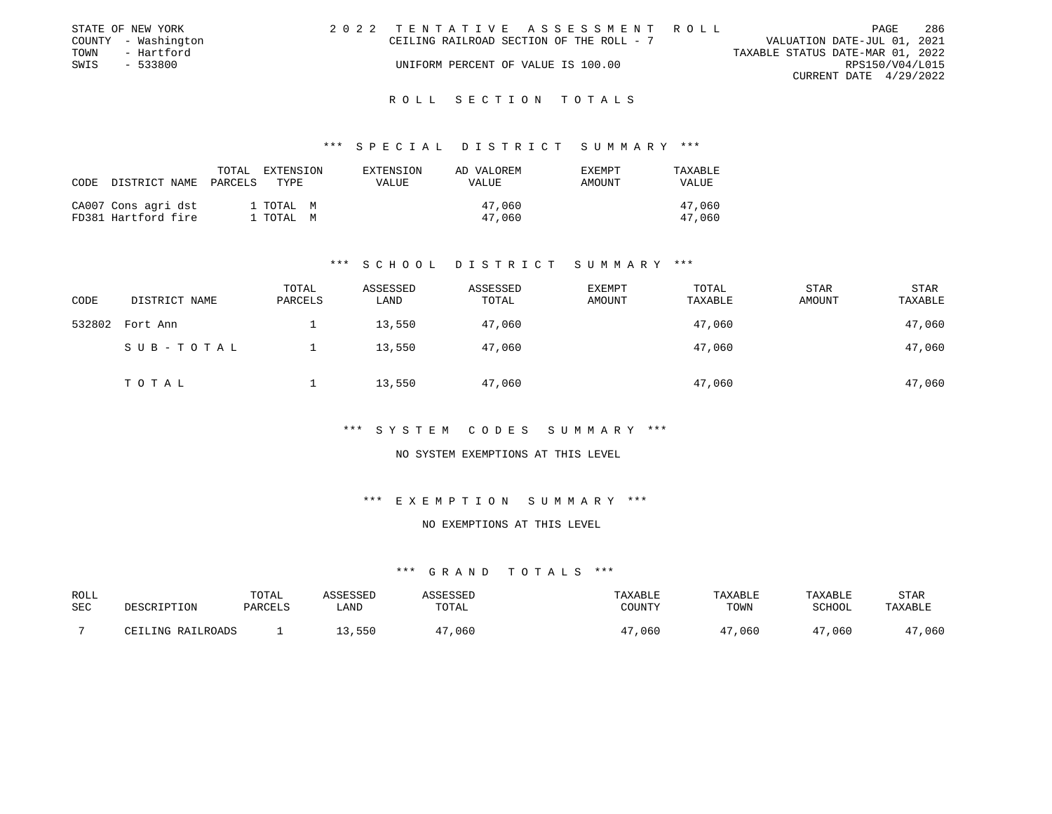|      | STATE OF NEW YORK   | 2022 TENTATIVE ASSESSMENT ROLL           |  |                                  |                        | PAGE | 286 |
|------|---------------------|------------------------------------------|--|----------------------------------|------------------------|------|-----|
|      | COUNTY - Washington | CEILING RAILROAD SECTION OF THE ROLL - 7 |  | VALUATION DATE-JUL 01, 2021      |                        |      |     |
| TOWN | - Hartford          |                                          |  | TAXABLE STATUS DATE-MAR 01, 2022 |                        |      |     |
| SWIS | - 533800            | UNIFORM PERCENT OF VALUE IS 100.00       |  |                                  | RPS150/V04/L015        |      |     |
|      |                     |                                          |  |                                  | CURRENT DATE 4/29/2022 |      |     |
|      |                     |                                          |  |                                  |                        |      |     |

#### \*\*\* S P E C I A L D I S T R I C T S U M M A R Y \*\*\*

| CODE | DISTRICT NAME                              | TOTAL<br>PARCELS | EXTENSION<br>TYPE      | EXTENSION<br>VALUE | AD VALOREM<br><b>VALUE</b> | <b>EXEMPT</b><br>AMOUNT | TAXABLE<br>VALUE |
|------|--------------------------------------------|------------------|------------------------|--------------------|----------------------------|-------------------------|------------------|
|      | CA007 Cons agri dst<br>FD381 Hartford fire |                  | 1 TOTAL M<br>1 TOTAL M |                    | 47,060<br>47,060           |                         | 47,060<br>47,060 |

### \*\*\* S C H O O L D I S T R I C T S U M M A R Y \*\*\*

| CODE   | DISTRICT NAME | TOTAL<br>PARCELS | ASSESSED<br>LAND | ASSESSED<br>TOTAL | <b>EXEMPT</b><br>AMOUNT | TOTAL<br>TAXABLE | <b>STAR</b><br>AMOUNT | <b>STAR</b><br>TAXABLE |
|--------|---------------|------------------|------------------|-------------------|-------------------------|------------------|-----------------------|------------------------|
| 532802 | Fort Ann      |                  | 13,550           | 47,060            |                         | 47,060           |                       | 47,060                 |
|        | SUB-TOTAL     |                  | 13,550           | 47,060            |                         | 47,060           |                       | 47,060                 |
|        | TOTAL         |                  | 13,550           | 47,060            |                         | 47,060           |                       | 47,060                 |

# \*\*\* S Y S T E M C O D E S S U M M A R Y \*\*\*

### NO SYSTEM EXEMPTIONS AT THIS LEVEL

# \*\*\* E X E M P T I O N S U M M A R Y \*\*\*

# NO EXEMPTIONS AT THIS LEVEL

| ROLL<br>SEC | DESCRIPTION       | TOTAL<br>PARCELS | ASSESSED<br>_AND | ASSESSED<br>TOTAL | TAXABLE<br>COUNTY | <b>TAXABLE</b><br>TOWN | TAXABLE<br>SCHOOL | STAR<br>TAXABLE |
|-------------|-------------------|------------------|------------------|-------------------|-------------------|------------------------|-------------------|-----------------|
|             | CEILING RAILROADS |                  | 550              | ,060              | ,060              | 47,060                 | ,060              | ,060            |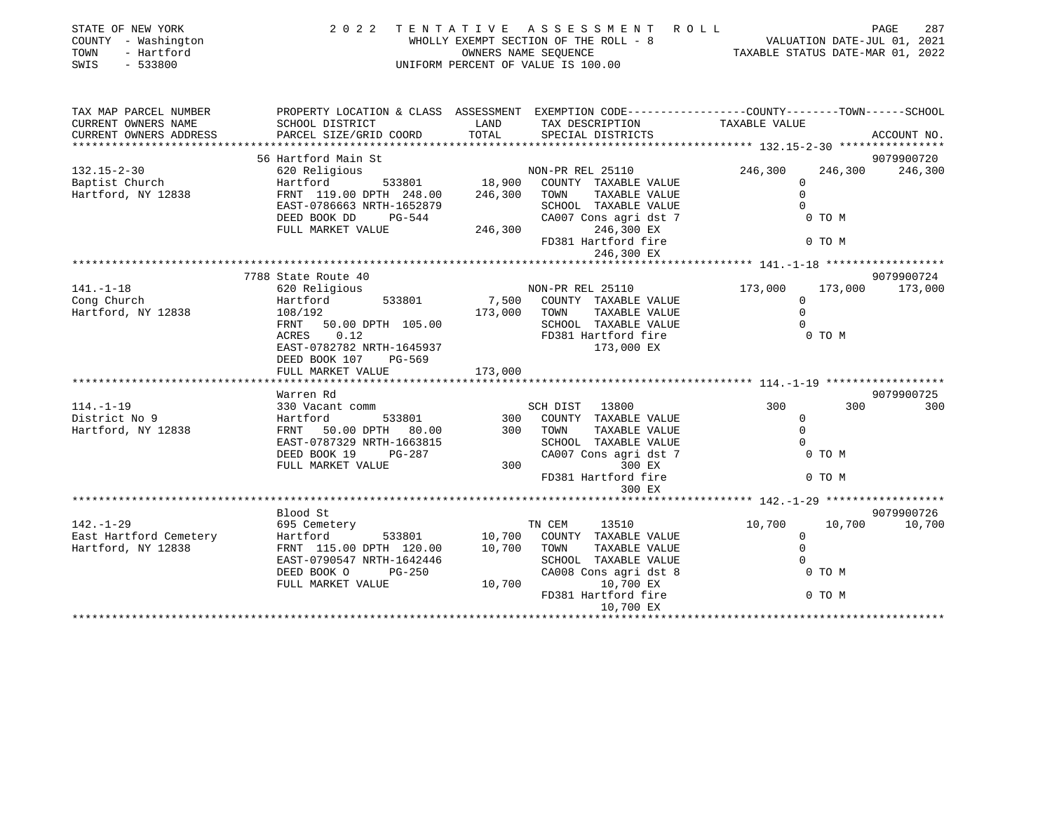| STATE OF NEW YORK<br>COUNTY - Washington<br>- Hartford<br>TOWN<br>$-533800$<br>SWIS |                                                                                                |                  | 2022 TENTATIVE ASSESSMENT ROLL<br>WHOLLY EXEMPT SECTION OF THE ROLL - 8<br>OWNERS NAME SEQUENCE<br>UNIFORM PERCENT OF VALUE IS 100.00 | VALUATION DATE-JUL 01, 2021<br>TAXABLE STATUS DATE-MAR 01, 2022 | PAGE<br>287 |
|-------------------------------------------------------------------------------------|------------------------------------------------------------------------------------------------|------------------|---------------------------------------------------------------------------------------------------------------------------------------|-----------------------------------------------------------------|-------------|
| TAX MAP PARCEL NUMBER                                                               | PROPERTY LOCATION & CLASS ASSESSMENT EXEMPTION CODE---------------COUNTY-------TOWN-----SCHOOL |                  |                                                                                                                                       |                                                                 |             |
| CURRENT OWNERS NAME<br>CURRENT OWNERS ADDRESS                                       | SCHOOL DISTRICT<br>PARCEL SIZE/GRID COORD                                                      | LAND<br>TOTAL    | TAX DESCRIPTION<br>SPECIAL DISTRICTS                                                                                                  | TAXABLE VALUE                                                   | ACCOUNT NO. |
| ************************                                                            |                                                                                                |                  |                                                                                                                                       |                                                                 |             |
|                                                                                     | 56 Hartford Main St                                                                            |                  |                                                                                                                                       |                                                                 | 9079900720  |
| $132.15 - 2 - 30$                                                                   | 620 Religious                                                                                  |                  | NON-PR REL 25110                                                                                                                      | 246,300<br>246,300                                              | 246,300     |
| Baptist Church                                                                      | 533801<br>Hartford                                                                             |                  | 18,900 COUNTY TAXABLE VALUE                                                                                                           | $\Omega$                                                        |             |
| Hartford, NY 12838                                                                  | FRNT 119.00 DPTH 248.00                                                                        | 246,300 TOWN     | TAXABLE VALUE                                                                                                                         | $\Omega$                                                        |             |
|                                                                                     | EAST-0786663 NRTH-1652879                                                                      |                  | SCHOOL TAXABLE VALUE                                                                                                                  | $\Omega$                                                        |             |
|                                                                                     | DEED BOOK DD<br>PG-544                                                                         |                  | CA007 Cons agri dst 7                                                                                                                 | 0 TO M                                                          |             |
|                                                                                     | FULL MARKET VALUE                                                                              |                  | 246,300<br>246,300 EX                                                                                                                 |                                                                 |             |
|                                                                                     |                                                                                                |                  | FD381 Hartford fire                                                                                                                   | 0 TO M                                                          |             |
|                                                                                     |                                                                                                |                  | 246,300 EX                                                                                                                            |                                                                 |             |
|                                                                                     | 7788 State Route 40                                                                            |                  |                                                                                                                                       |                                                                 | 9079900724  |
| $141. - 1 - 18$                                                                     | 620 Religious                                                                                  |                  | NON-PR REL 25110                                                                                                                      | 173,000<br>173,000                                              | 173,000     |
| Cong Church                                                                         | 533801<br>Hartford                                                                             |                  | 7,500 COUNTY TAXABLE VALUE                                                                                                            | $\mathbf{0}$                                                    |             |
| Hartford, NY 12838                                                                  | 108/192                                                                                        | 173,000 TOWN     | TAXABLE VALUE                                                                                                                         | $\Omega$                                                        |             |
|                                                                                     | FRNT<br>50.00 DPTH 105.00                                                                      |                  | SCHOOL TAXABLE VALUE                                                                                                                  | $\Omega$                                                        |             |
|                                                                                     | ACRES<br>0.12                                                                                  |                  | FD381 Hartford fire                                                                                                                   | 0 TO M                                                          |             |
|                                                                                     | EAST-0782782 NRTH-1645937                                                                      |                  | 173,000 EX                                                                                                                            |                                                                 |             |
|                                                                                     | DEED BOOK 107<br>PG-569                                                                        |                  |                                                                                                                                       |                                                                 |             |
|                                                                                     | FULL MARKET VALUE                                                                              | 173,000          |                                                                                                                                       |                                                                 |             |
|                                                                                     | Warren Rd                                                                                      |                  |                                                                                                                                       |                                                                 | 9079900725  |
| $114. - 1 - 19$                                                                     | 330 Vacant comm                                                                                |                  | SCH DIST 13800                                                                                                                        | 300<br>300                                                      | 300         |
| District No 9                                                                       | 533801<br>Hartford                                                                             |                  | 300 COUNTY TAXABLE VALUE                                                                                                              | $\mathbf 0$                                                     |             |
| Hartford, NY 12838                                                                  | FRNT 50.00 DPTH 80.00                                                                          |                  | TAXABLE VALUE<br>300 TOWN                                                                                                             | $\Omega$                                                        |             |
|                                                                                     | EAST-0787329 NRTH-1663815                                                                      |                  | SCHOOL TAXABLE VALUE                                                                                                                  | $\Omega$                                                        |             |
|                                                                                     | DEED BOOK 19<br>PG-287                                                                         |                  | CA007 Cons agri dst 7                                                                                                                 | 0 TO M                                                          |             |
|                                                                                     | FULL MARKET VALUE                                                                              | 300              | 300 EX                                                                                                                                |                                                                 |             |
|                                                                                     |                                                                                                |                  | FD381 Hartford fire                                                                                                                   | 0 TO M                                                          |             |
|                                                                                     |                                                                                                |                  | 300 EX                                                                                                                                |                                                                 |             |
|                                                                                     |                                                                                                |                  |                                                                                                                                       |                                                                 |             |
|                                                                                     | Blood St                                                                                       |                  |                                                                                                                                       |                                                                 | 9079900726  |
| $142. - 1 - 29$<br>East Hartford Cemetery                                           | 695 Cemetery<br>Hartford                                                                       |                  | TN CEM<br>13510<br>COUNTY TAXABLE VALUE                                                                                               | 10,700<br>10,700<br>0                                           | 10,700      |
| Hartford, NY 12838                                                                  | 533801<br>FRNT 115.00 DPTH 120.00                                                              | 10,700<br>10,700 | TAXABLE VALUE<br>TOWN                                                                                                                 | $\mathbf 0$                                                     |             |
|                                                                                     | EAST-0790547 NRTH-1642446                                                                      |                  | SCHOOL TAXABLE VALUE                                                                                                                  | $\Omega$                                                        |             |
|                                                                                     | DEED BOOK O<br>$PG-250$                                                                        |                  | CA008 Cons agri dst 8                                                                                                                 | 0 TO M                                                          |             |
|                                                                                     | FULL MARKET VALUE                                                                              | 10,700           | 10,700 EX                                                                                                                             |                                                                 |             |
|                                                                                     |                                                                                                |                  | FD381 Hartford fire                                                                                                                   | 0 TO M                                                          |             |
|                                                                                     |                                                                                                |                  | 10,700 EX                                                                                                                             |                                                                 |             |
|                                                                                     |                                                                                                |                  |                                                                                                                                       | *********************************                               |             |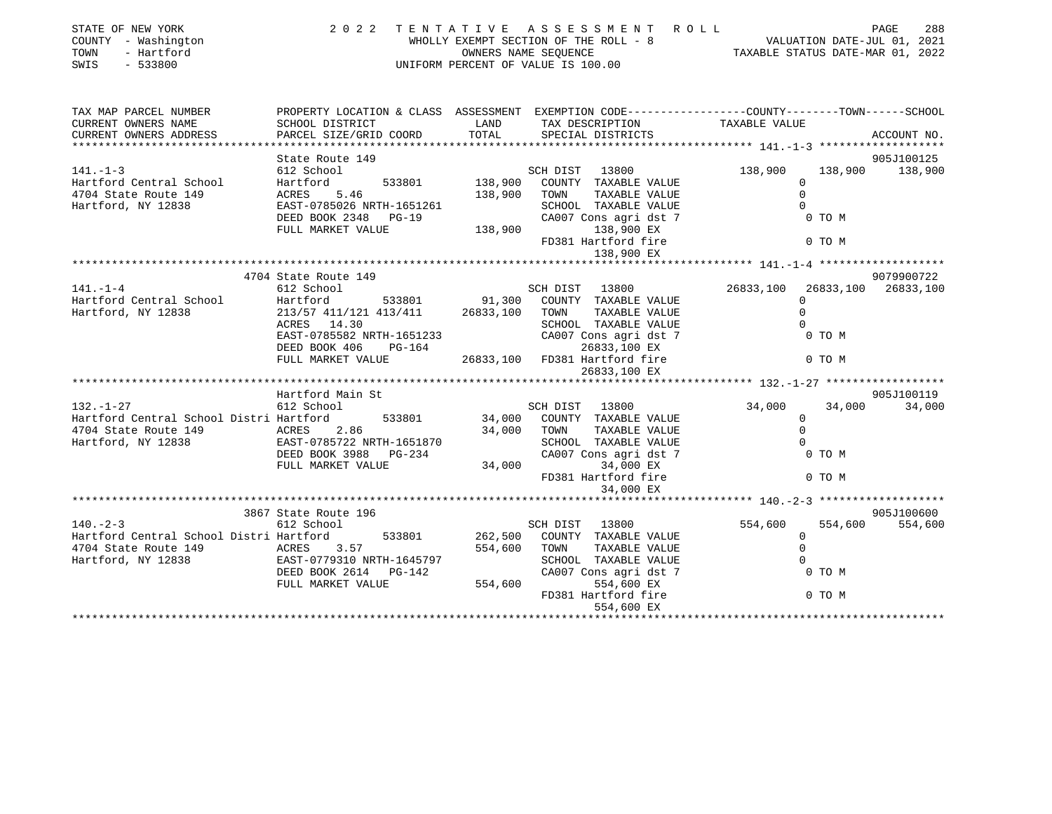| STATE OF NEW YORK<br>COUNTY - Washington<br>TOWN - Hartford<br>SWIS - 533800                             | 2022                                                                                                                                                                     |              | UNIFORM PERCENT OF VALUE IS 100.00                                                 | TENTATIVE ASSESSMENT ROLL<br>WHOLLY EXEMPT SECTION OF THE ROLL - 8<br>WALUATION DATE-JUL 01, 2021<br>OWNERS NAME SEQUENCE<br>TAXABLE STATUS DATE-MAR 01, 2022 | PAGE<br>288             |
|----------------------------------------------------------------------------------------------------------|--------------------------------------------------------------------------------------------------------------------------------------------------------------------------|--------------|------------------------------------------------------------------------------------|---------------------------------------------------------------------------------------------------------------------------------------------------------------|-------------------------|
| TAX MAP PARCEL NUMBER                                                                                    | PROPERTY LOCATION & CLASS ASSESSMENT EXEMPTION CODE-----------------COUNTY--------TOWN------SCHOOL                                                                       |              |                                                                                    |                                                                                                                                                               |                         |
| CURRENT OWNERS NAME                                                                                      | SCHOOL DISTRICT                                                                                                                                                          | LAND         | TAX DESCRIPTION                                                                    | TAXABLE VALUE                                                                                                                                                 |                         |
| CURRENT OWNERS ADDRESS                                                                                   | PARCEL SIZE/GRID COORD                                                                                                                                                   | TOTAL        | SPECIAL DISTRICTS                                                                  |                                                                                                                                                               | ACCOUNT NO.             |
|                                                                                                          | State Route 149                                                                                                                                                          |              |                                                                                    |                                                                                                                                                               | 905J100125              |
| $141. -1 - 3$                                                                                            | 149 <b>149</b><br>612 School                                                                                                                                             |              | SCH DIST 13800                                                                     |                                                                                                                                                               | 138,900 138,900 138,900 |
|                                                                                                          | SUB DIST 13800<br>Hartford 533801 138,900 COUNTY TAXABLE VALUE<br>ERST-0785026 NRTH-1651261 138,900 TOWN TAXABLE VALUE<br>ERST-0785026 NRTH-1651261 SCHOOL TAXABLE VALUE |              |                                                                                    | $\Omega$                                                                                                                                                      |                         |
| Hartford Central School Hartford<br>4704 State Route 149 ACRES 5.46                                      |                                                                                                                                                                          |              |                                                                                    | $\Omega$                                                                                                                                                      |                         |
| Hartford, NY 12838                                                                                       |                                                                                                                                                                          |              |                                                                                    | SCHOOL TAXABLE VALUE 0<br>CA007 Cons agri dst 7 0 TO M                                                                                                        |                         |
|                                                                                                          | DEED BOOK 2348 PG-19                                                                                                                                                     |              |                                                                                    |                                                                                                                                                               |                         |
|                                                                                                          | FULL MARKET VALUE                                                                                                                                                        |              | 138,900 138,900 EX                                                                 |                                                                                                                                                               |                         |
|                                                                                                          |                                                                                                                                                                          |              | FD381 Hartford fire                                                                |                                                                                                                                                               | 0 TO M                  |
|                                                                                                          |                                                                                                                                                                          |              | 138,900 EX                                                                         |                                                                                                                                                               |                         |
|                                                                                                          |                                                                                                                                                                          |              |                                                                                    |                                                                                                                                                               |                         |
|                                                                                                          | 4704 State Route 149                                                                                                                                                     |              |                                                                                    |                                                                                                                                                               | 9079900722              |
| $141. - 1 - 4$                                                                                           | 612 School                                                                                                                                                               |              | SCH DIST 13800                                                                     | 26833,100                                                                                                                                                     | 26833,100 26833,100     |
| Hartford Central School                                                                                  | Hartford 533801 91,300 COUNTY TAXABLE VALUE<br>213/57 411/121 413/411 26833,100 TOWN TAXABLE VALUE<br>Hartford                                                           |              |                                                                                    | $\Omega$                                                                                                                                                      |                         |
| Hartford, NY 12838                                                                                       |                                                                                                                                                                          |              |                                                                                    | $\Omega$                                                                                                                                                      |                         |
|                                                                                                          | ACRES 14.30<br>ACRES 14.30<br>EAST-0785582 NRTH-1651233<br>ACRES DO 164                                                                                                  |              | SCHOOL TAXABLE VALUE                                                               |                                                                                                                                                               |                         |
|                                                                                                          |                                                                                                                                                                          |              | CA007 Cons agri dst 7<br>26833,100 EX                                              | 0 TO M                                                                                                                                                        |                         |
|                                                                                                          | FULL MARKET VALUE                                                                                                                                                        |              | 26833,100 FD381 Hartford fire                                                      |                                                                                                                                                               | 0 TO M                  |
|                                                                                                          |                                                                                                                                                                          |              | 26833,100 EX                                                                       |                                                                                                                                                               |                         |
|                                                                                                          |                                                                                                                                                                          |              |                                                                                    |                                                                                                                                                               |                         |
|                                                                                                          | Hartford Main St                                                                                                                                                         |              |                                                                                    |                                                                                                                                                               | 905J100119              |
| $132. -1 - 27$                                                                                           | 612 School                                                                                                                                                               |              | SCH DIST 13800                                                                     | 34,000                                                                                                                                                        | 34,000 34,000           |
| Hartford Central School Distri Hartford                                                                  |                                                                                                                                                                          |              | 533801 34,000 COUNTY TAXABLE VALUE                                                 | $\Omega$                                                                                                                                                      |                         |
| 4704 State Route 149 ACRES 2.86                                                                          |                                                                                                                                                                          |              | TAXABLE VALUE<br>34,000 TOWN                                                       | $\Omega$                                                                                                                                                      |                         |
| Hartford, NY 12838                                                                                       | EAST-0785722 NRTH-1651870<br>DEED BOOK 3988 PG-234                                                                                                                       |              |                                                                                    | $\Omega$                                                                                                                                                      | 0 TO M                  |
|                                                                                                          | FULL MARKET VALUE                                                                                                                                                        |              |                                                                                    |                                                                                                                                                               |                         |
|                                                                                                          |                                                                                                                                                                          |              | 34, UUU -- SCHOOL TAXABLE VALULE<br>CAOOT Cons agri dst 7<br>24, 000 = 34, 000 EX  |                                                                                                                                                               | 0 TO M                  |
|                                                                                                          |                                                                                                                                                                          |              | 34,000 EX                                                                          |                                                                                                                                                               |                         |
|                                                                                                          |                                                                                                                                                                          |              |                                                                                    |                                                                                                                                                               |                         |
|                                                                                                          | 3867 State Route 196                                                                                                                                                     |              |                                                                                    |                                                                                                                                                               | 905J100600              |
| $140. -2-3$                                                                                              | 612 School                                                                                                                                                               |              | SCH DIST 13800                                                                     | 554,600                                                                                                                                                       | 554,600<br>554,600      |
| Hartford Central School Distri Hartford                                                                  |                                                                                                                                                                          |              | 533801 262,500 COUNTY TAXABLE VALUE                                                | $\Omega$                                                                                                                                                      |                         |
|                                                                                                          |                                                                                                                                                                          | 554,600 TOWN | TAXABLE VALUE                                                                      | $\Omega$                                                                                                                                                      |                         |
|                                                                                                          |                                                                                                                                                                          |              | SCHOOL TAXABLE VALUE                                                               | $\Omega$                                                                                                                                                      |                         |
| 4704 State Route 149 MCRES 3.57<br>Hartford, NY 12838 EAST-0779310 NRTH-1645797<br>DEED BOOK 2614 PG-142 |                                                                                                                                                                          |              |                                                                                    | 0 TO M                                                                                                                                                        |                         |
|                                                                                                          | FULL MARKET VALUE                                                                                                                                                        |              | 554,600                                                                            |                                                                                                                                                               |                         |
|                                                                                                          |                                                                                                                                                                          |              | SCHOOL TAXABLE VALUE<br>CA007 Cons agri dst 7<br>554,600 EX<br>FD381 Hartford fire |                                                                                                                                                               | 0 TO M                  |
|                                                                                                          |                                                                                                                                                                          |              | 554,600 EX                                                                         |                                                                                                                                                               |                         |
|                                                                                                          |                                                                                                                                                                          |              |                                                                                    |                                                                                                                                                               |                         |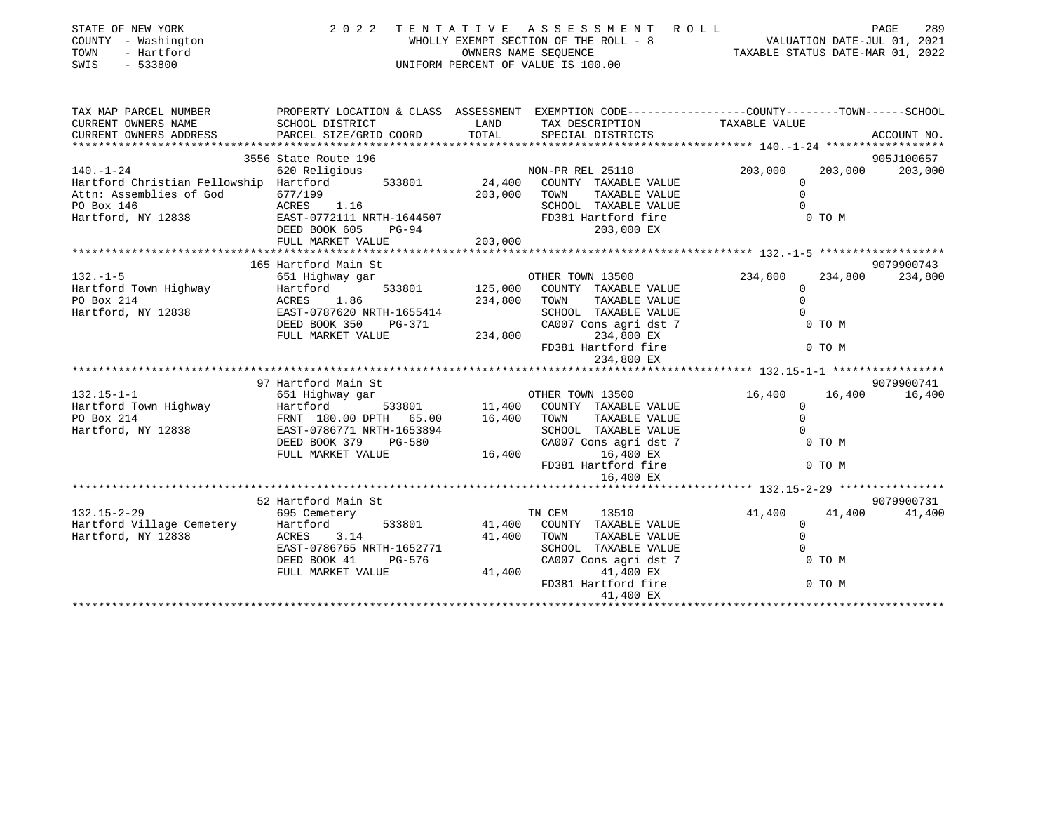| SIAIL UP NLW IURA<br>COUNTY - Washington<br>- Hartford<br>TOWN<br>SWIS<br>$-533800$                                                                                                         |                                                                                                                                                                                                                                                                                                                                                                                                                              |                       | WHOLLY EXEMPT SECTION OF THE ROLL - 8<br>WHOLLY EXEMPT SECTION OF THE ROLL - 8<br>OWNERS NAME SEQUENCE<br>TAXABLE STATUS DATE-MAR 01, 2022<br>UNIFORM PERCENT OF VALUE IS 100.00 |                                                          |                   |                             |
|---------------------------------------------------------------------------------------------------------------------------------------------------------------------------------------------|------------------------------------------------------------------------------------------------------------------------------------------------------------------------------------------------------------------------------------------------------------------------------------------------------------------------------------------------------------------------------------------------------------------------------|-----------------------|----------------------------------------------------------------------------------------------------------------------------------------------------------------------------------|----------------------------------------------------------|-------------------|-----------------------------|
| TAX MAP PARCEL NUMBER                                                                                                                                                                       | PROPERTY LOCATION & CLASS ASSESSMENT EXEMPTION CODE----------------COUNTY-------TOWN-----SCHOOL                                                                                                                                                                                                                                                                                                                              |                       |                                                                                                                                                                                  |                                                          |                   |                             |
| 140.-1-24<br>Fullowship Hartford S33801<br>Hartford Christian Fellowship Hartford 533801<br>Attn: Assemblies of God 677/199<br>PO Box 146<br>PO Box 146<br>PO Box 146<br>Hartford, NY 12838 | $\frac{0111199}{\text{ACRES}}$ 1.16<br>ACRES 1.16<br>EAST-0772111 NRTH-1644507<br>DEED BOOK 605<br>$PG-94$<br>FULL MARKET VALUE                                                                                                                                                                                                                                                                                              | 203,000               | SCHOOL TAXABLE VALUE<br>SCHOOL TAXABLE VALUE<br>FD381 Hartford fire<br>203,000 EX                                                                                                | $\circ$<br>$\Omega$<br>$\Omega$                          | 203,000<br>0 TO M | 905J100657<br>203,000       |
|                                                                                                                                                                                             |                                                                                                                                                                                                                                                                                                                                                                                                                              |                       |                                                                                                                                                                                  |                                                          |                   |                             |
| $132. - 1 - 5$<br>Hartford Town Highway Martford<br>PO Box 214 ACRES 1.86<br>Hartford, NY 12838 EAST-0787620 N                                                                              | 165 Hartford Main St<br>MICHAER TOWN 13500<br>651 Highway gar 6533801 125,000 COUNTY TAXABLE VALUE<br>ACRES 1.86 234,800 TOWN TAXABLE VALUE<br>EAST-0787620 NRTH-1655414 SCHOOL TAXABLE VALUE<br>ACRES 1.86<br>EAST-0787620 NRTH-1655414 SCHOOL TAXABLE VALUE 0<br>DEED BOOK 350 PG-371 CA007 Cons agri dst 7 0 TO M<br>FULL MARKET VALUE 234,800 PG-371 234,800 EX<br>FULL MARKET VALUE 234,800 PG-381 Hartford fire 0 TO M |                       | OTHER TOWN 13500 234,800<br>234,800 EX                                                                                                                                           | $\overline{0}$<br>$\Omega$                               | 234,800           | 9079900743<br>234,800       |
| 132.15-1-1<br>Hartford Town Highway (651 Highway gar (651 Mighway 133801 (651 Mighway 11,400 COUNTY TAXABLE VALUE<br>PO Box 214<br>Hartford, NY 12838 EAST-0786771 NRTH-1653894             | 97 Hartford Main St<br>FRNT 180.00 DPTH 65.00 16,400 TOWN TAXABLE VALUE<br>EAST-0786771 NRTH-1653894 SCHOOL TAXABLE VALUE<br>DEED BOOK 379 PG-580 CA007 Cons agridst 7<br>FULL MARKET VALUE 16,400 16,400 EX                                                                                                                                                                                                                 |                       | FD381 Hartford fire<br>16,400 EX                                                                                                                                                 | 16,400<br>$\Omega$<br>$\mathbf{0}$<br>$\overline{0}$     | 0 TO M<br>0 TO M  | 9079900741<br>16,400 16,400 |
|                                                                                                                                                                                             |                                                                                                                                                                                                                                                                                                                                                                                                                              |                       |                                                                                                                                                                                  |                                                          |                   |                             |
| $132.15 - 2 - 29$<br>Hartford Village Cemetery Hartford<br>Hartford, NY 12838 ACRES                                                                                                         | 52 Hartford Main St<br>695 Cemetery<br>3.14<br>EAST-0786765 NRTH-1652771<br>DEED BOOK 41<br>PG-576<br>FULL MARKET VALUE                                                                                                                                                                                                                                                                                                      | 41,400 TOWN<br>41,400 | TN CEM<br>13510<br>533801 41,400 COUNTY TAXABLE VALUE<br>TAXABLE VALUE<br>SCHOOL TAXABLE VALUE<br>CA007 Cons agri dst 7<br>41,400 EX<br>FD381 Hartford fire<br>41,400 EX         | 41,400<br>$\mathbf{0}$<br>$\Omega$<br>$\Omega$<br>0 TO M | 41,400<br>0 TO M  | 9079900731<br>41,400        |

\*\*\*\*\*\*\*\*\*\*\*\*\*\*\*\*\*\*\*\*\*\*\*\*\*\*\*\*\*\*\*\*\*\*\*\*\*\*\*\*\*\*\*\*\*\*\*\*\*\*\*\*\*\*\*\*\*\*\*\*\*\*\*\*\*\*\*\*\*\*\*\*\*\*\*\*\*\*\*\*\*\*\*\*\*\*\*\*\*\*\*\*\*\*\*\*\*\*\*\*\*\*\*\*\*\*\*\*\*\*\*\*\*\*\*\*\*\*\*\*\*\*\*\*\*\*\*\*\*\*\*\*

STATE OF NEW YORK 2 0 2 2 T E N T A T I V E A S S E S S M E N T R O L L PAGE 289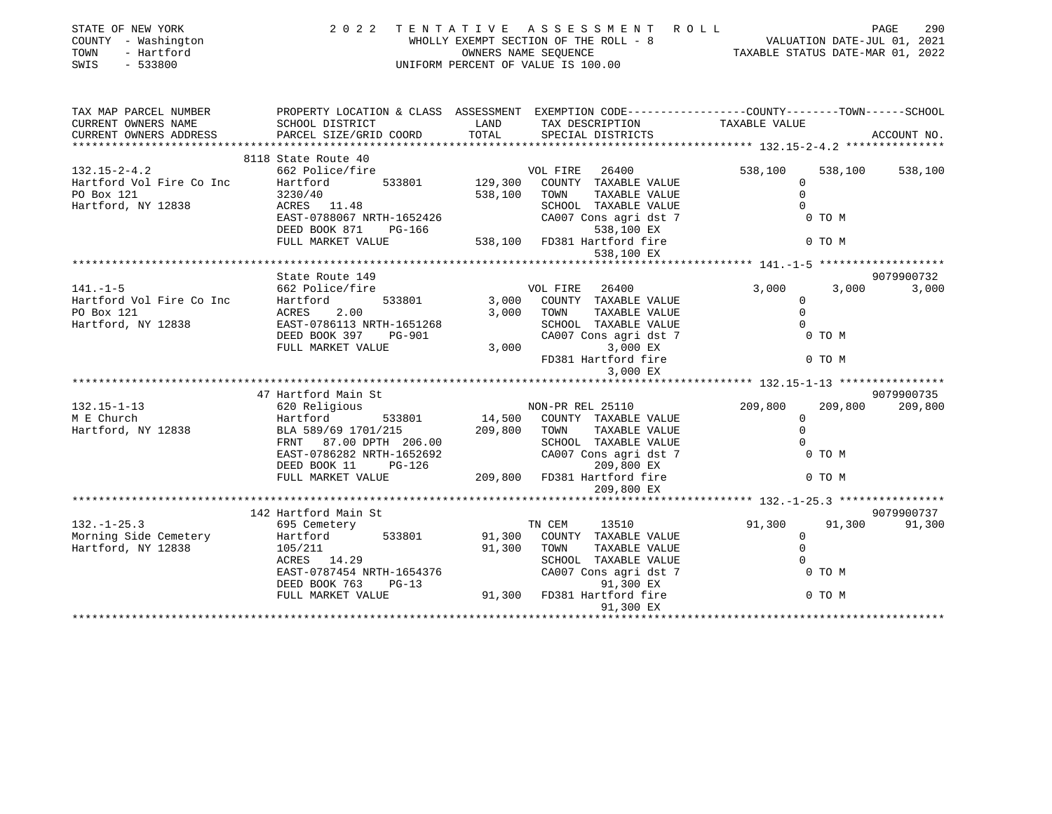| STATE OF NEW YORK<br>COUNTY - Washington<br>TOWN<br>- Hartford<br>$-533800$<br>SWIS | 2022<br>TENTATIVE                                       | OWNERS NAME SEOUENCE | ASSESSMENT<br>WHOLLY EXEMPT SECTION OF THE ROLL - 8<br>UNIFORM PERCENT OF VALUE IS 100.00 | ROLL<br>VALUATION DATE-JUL 01, 2021                                           | TAXABLE STATUS DATE-MAR 01, 2022 | PAGE<br>290 |
|-------------------------------------------------------------------------------------|---------------------------------------------------------|----------------------|-------------------------------------------------------------------------------------------|-------------------------------------------------------------------------------|----------------------------------|-------------|
| TAX MAP PARCEL NUMBER<br>CURRENT OWNERS NAME                                        | PROPERTY LOCATION & CLASS ASSESSMENT<br>SCHOOL DISTRICT | LAND                 | TAX DESCRIPTION                                                                           | EXEMPTION CODE-----------------COUNTY-------TOWN------SCHOOL<br>TAXABLE VALUE |                                  |             |
| CURRENT OWNERS ADDRESS                                                              | PARCEL SIZE/GRID COORD                                  | TOTAL                | SPECIAL DISTRICTS                                                                         |                                                                               |                                  | ACCOUNT NO. |
|                                                                                     |                                                         |                      |                                                                                           |                                                                               |                                  |             |
|                                                                                     | 8118 State Route 40                                     |                      |                                                                                           |                                                                               |                                  |             |
| $132.15 - 2 - 4.2$                                                                  | 662 Police/fire                                         |                      | VOL FIRE<br>26400                                                                         | 538,100                                                                       | 538,100                          | 538,100     |
| Hartford Vol Fire Co Inc                                                            | 533801<br>Hartford                                      |                      | 129,300 COUNTY TAXABLE VALUE                                                              |                                                                               | $\mathbf{0}$                     |             |
| PO Box 121                                                                          | 3230/40                                                 | 538,100              | TOWN<br>TAXABLE VALUE                                                                     |                                                                               | $\Omega$                         |             |
| Hartford, NY 12838                                                                  | ACRES 11.48                                             |                      | SCHOOL TAXABLE VALUE                                                                      |                                                                               | $\Omega$                         |             |
|                                                                                     | EAST-0788067 NRTH-1652426                               |                      | CA007 Cons agri dst 7                                                                     |                                                                               | 0 TO M                           |             |
|                                                                                     | DEED BOOK 871<br>PG-166                                 |                      | 538,100 EX                                                                                |                                                                               |                                  |             |
|                                                                                     | FULL MARKET VALUE                                       | 538,100              | FD381 Hartford fire                                                                       |                                                                               | $0$ TO M                         |             |
|                                                                                     |                                                         |                      | 538,100 EX                                                                                |                                                                               |                                  |             |
|                                                                                     | State Route 149                                         |                      |                                                                                           |                                                                               |                                  | 9079900732  |
| $141. - 1 - 5$                                                                      | 662 Police/fire                                         |                      | VOL FIRE<br>26400                                                                         | 3,000                                                                         | 3,000                            | 3,000       |
| Hartford Vol Fire Co Inc                                                            | Hartford<br>533801                                      | 3,000                | COUNTY TAXABLE VALUE                                                                      |                                                                               | $\circ$                          |             |
| PO Box 121                                                                          | 2.00<br>ACRES                                           | 3,000                | TOWN<br>TAXABLE VALUE                                                                     |                                                                               | $\Omega$                         |             |
| Hartford, NY 12838                                                                  | EAST-0786113 NRTH-1651268                               |                      | SCHOOL TAXABLE VALUE                                                                      |                                                                               | $\Omega$                         |             |
|                                                                                     | DEED BOOK 397<br>PG-901                                 |                      | CA007 Cons agri dst 7                                                                     |                                                                               | 0 TO M                           |             |
|                                                                                     | FULL MARKET VALUE                                       | 3,000                | 3,000 EX                                                                                  |                                                                               |                                  |             |
|                                                                                     |                                                         |                      | FD381 Hartford fire                                                                       |                                                                               | 0 TO M                           |             |
|                                                                                     |                                                         |                      | 3,000 EX                                                                                  |                                                                               |                                  |             |
|                                                                                     |                                                         |                      |                                                                                           |                                                                               |                                  |             |
|                                                                                     | 47 Hartford Main St                                     |                      |                                                                                           |                                                                               |                                  | 9079900735  |
| $132.15 - 1 - 13$                                                                   | 620 Religious                                           |                      | NON-PR REL 25110                                                                          | 209,800                                                                       | 209,800                          | 209,800     |
| M E Church                                                                          | Hartford<br>533801                                      | 14,500               | COUNTY TAXABLE VALUE                                                                      |                                                                               | $\mathbf 0$                      |             |
| Hartford, NY 12838                                                                  | BLA 589/69 1701/215                                     | 209,800              | TOWN<br>TAXABLE VALUE                                                                     |                                                                               | $\mathbf 0$<br>$\Omega$          |             |
|                                                                                     | FRNT 87.00 DPTH 206.00<br>EAST-0786282 NRTH-1652692     |                      | SCHOOL TAXABLE VALUE<br>CA007 Cons agri dst 7                                             |                                                                               | 0 TO M                           |             |
|                                                                                     | DEED BOOK 11<br>$PG-126$                                |                      | 209,800 EX                                                                                |                                                                               |                                  |             |
|                                                                                     | FULL MARKET VALUE                                       | 209,800              | FD381 Hartford fire                                                                       |                                                                               | 0 TO M                           |             |
|                                                                                     |                                                         |                      | 209,800 EX                                                                                |                                                                               |                                  |             |
|                                                                                     |                                                         |                      |                                                                                           |                                                                               |                                  |             |
|                                                                                     | 142 Hartford Main St                                    |                      |                                                                                           |                                                                               |                                  | 9079900737  |
| $132. - 1 - 25.3$                                                                   | 695 Cemetery                                            |                      | TN CEM<br>13510                                                                           | 91,300                                                                        | 91,300                           | 91,300      |
| Morning Side Cemetery                                                               | Hartford<br>533801                                      | 91,300               | COUNTY TAXABLE VALUE                                                                      |                                                                               | $\Omega$                         |             |
| Hartford, NY 12838                                                                  | 105/211                                                 | 91,300               | TAXABLE VALUE<br>TOWN                                                                     |                                                                               | $\mathbf 0$                      |             |
|                                                                                     | ACRES 14.29                                             |                      | SCHOOL TAXABLE VALUE                                                                      |                                                                               | $\Omega$                         |             |
|                                                                                     | EAST-0787454 NRTH-1654376                               |                      | CA007 Cons agri dst 7                                                                     |                                                                               | 0 TO M                           |             |
|                                                                                     | DEED BOOK 763<br>$PG-13$                                |                      | 91,300 EX                                                                                 |                                                                               |                                  |             |
|                                                                                     | FULL MARKET VALUE                                       | 91,300               | FD381 Hartford fire                                                                       |                                                                               | 0 TO M                           |             |
|                                                                                     |                                                         |                      | 91,300 EX                                                                                 |                                                                               |                                  |             |
|                                                                                     |                                                         |                      |                                                                                           |                                                                               |                                  |             |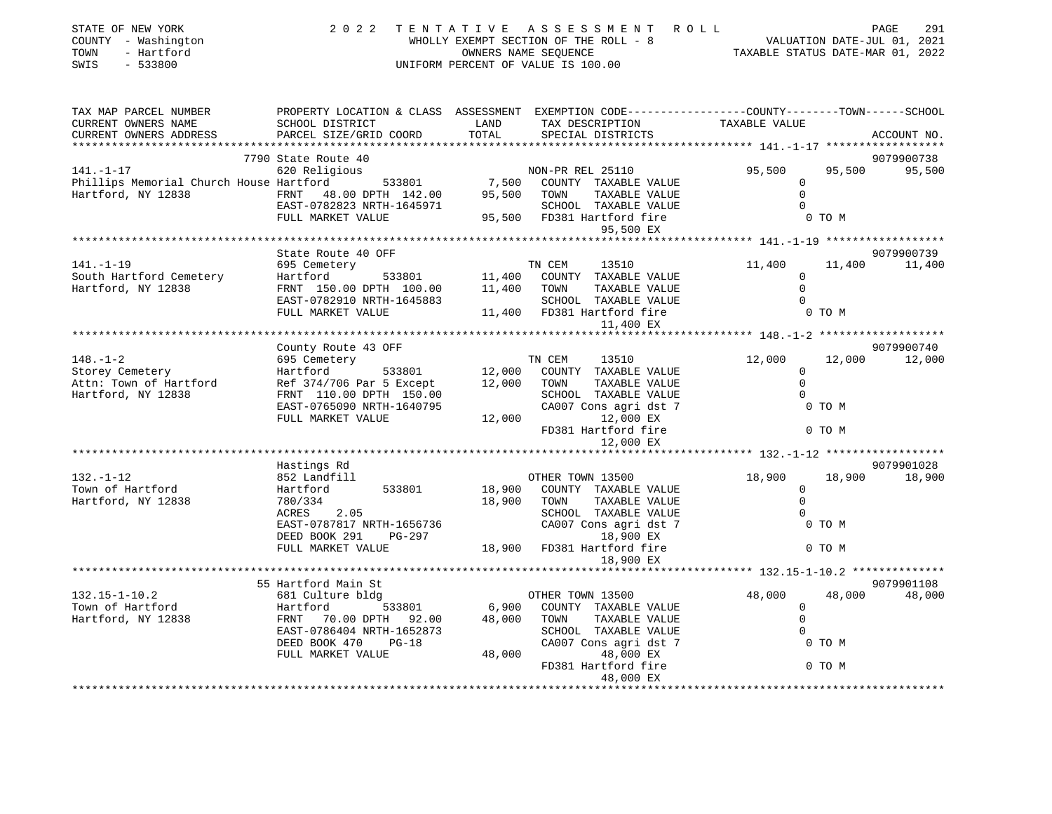| STATE OF NEW YORK<br>COUNTY - Washington<br>TOWN<br>- Hartford<br>$-533800$<br>SWIS                                                                                                                                                   |                                                                                                 |       | 2022 TENTATIVE ASSESSMENT ROLL<br>WHOLLY EXEMPT SECTION OF THE ROLL - 8<br>OWNERS NAME SEQUENCE TAXABLE STATUS DATE-JUL 01, 2021<br>TAXABLE STATUS DATE-MAR 01, 2022<br>UNIFORM PERCENT OF VALUE IS 100.00 |                                                 |        | PAGE<br>291   |
|---------------------------------------------------------------------------------------------------------------------------------------------------------------------------------------------------------------------------------------|-------------------------------------------------------------------------------------------------|-------|------------------------------------------------------------------------------------------------------------------------------------------------------------------------------------------------------------|-------------------------------------------------|--------|---------------|
| TAX MAP PARCEL NUMBER                                                                                                                                                                                                                 | PROPERTY LOCATION & CLASS ASSESSMENT EXEMPTION CODE----------------COUNTY-------TOWN-----SCHOOL |       |                                                                                                                                                                                                            |                                                 |        |               |
| CURRENT OWNERS NAME<br>CURRENT OWNERS ADDRESS                                                                                                                                                                                         | SCHOOL DISTRICT<br><b>Example 12</b> LAND<br>PARCEL SIZE/GRID COORD                             | TOTAL | TAX DESCRIPTION<br>SPECIAL DISTRICTS<br>SPECIAL DISTRICTS                                                                                                                                                  | TAXABLE VALUE                                   |        | ACCOUNT NO.   |
|                                                                                                                                                                                                                                       | 7790 State Route 40                                                                             |       |                                                                                                                                                                                                            |                                                 |        | 9079900738    |
| 141.-1-17 620 Religious<br>Phillips Memorial Church House Hartford 533801 7,500 COUNTY TAXABLE VALUE<br>Hartford, NY 12838 FRNT 48.00 DPTH 142.00 95,500 TOWN TAXABLE VALUE<br>EAST-0782823 NRTH-1645971 SCHOOL TAXABLE VALUE<br>FULL |                                                                                                 |       |                                                                                                                                                                                                            | 95,500                                          |        | 95,500 95,500 |
|                                                                                                                                                                                                                                       |                                                                                                 |       |                                                                                                                                                                                                            | $\circ$                                         |        |               |
|                                                                                                                                                                                                                                       |                                                                                                 |       |                                                                                                                                                                                                            | $\overline{0}$                                  |        |               |
|                                                                                                                                                                                                                                       |                                                                                                 |       |                                                                                                                                                                                                            | $\Omega$                                        |        |               |
|                                                                                                                                                                                                                                       |                                                                                                 |       |                                                                                                                                                                                                            |                                                 | 0 TO M |               |
|                                                                                                                                                                                                                                       |                                                                                                 |       | 95,500 EX                                                                                                                                                                                                  |                                                 |        |               |
|                                                                                                                                                                                                                                       |                                                                                                 |       |                                                                                                                                                                                                            |                                                 |        |               |
| $141. - 1 - 19$                                                                                                                                                                                                                       | State Route 40 OFF                                                                              |       |                                                                                                                                                                                                            |                                                 |        | 9079900739    |
|                                                                                                                                                                                                                                       | 695 Cemetery                                                                                    |       | TN CEM 13510                                                                                                                                                                                               | 11,400<br>$\Omega$                              |        | 11,400 11,400 |
|                                                                                                                                                                                                                                       |                                                                                                 |       |                                                                                                                                                                                                            | $\mathbf 0$                                     |        |               |
|                                                                                                                                                                                                                                       | EAST-0782910 NRTH-1645883                                                                       |       | SCHOOL TAXABLE VALUE                                                                                                                                                                                       | $\Omega$                                        |        |               |
|                                                                                                                                                                                                                                       | FULL MARKET VALUE                                                                               |       | 11,400 FD381 Hartford fire                                                                                                                                                                                 |                                                 | 0 TO M |               |
|                                                                                                                                                                                                                                       |                                                                                                 |       | 11,400 EX                                                                                                                                                                                                  |                                                 |        |               |
|                                                                                                                                                                                                                                       |                                                                                                 |       |                                                                                                                                                                                                            |                                                 |        |               |
|                                                                                                                                                                                                                                       | County Route 43 OFF                                                                             |       |                                                                                                                                                                                                            |                                                 |        | 9079900740    |
| $148. - 1 - 2$                                                                                                                                                                                                                        | 695 Cemetery                                                                                    |       | TN CEM<br>13510                                                                                                                                                                                            | 12,000                                          |        | 12,000 12,000 |
| Storey Cemetery                                                                                                                                                                                                                       | 533801<br>Hartford                                                                              |       | 12,000 COUNTY TAXABLE VALUE                                                                                                                                                                                | $\Omega$                                        |        |               |
| Attn: Town of Hartford Ref 374/706 Par 5 Except 12,000 TOWN                                                                                                                                                                           |                                                                                                 |       | TAXABLE VALUE                                                                                                                                                                                              | $\overline{0}$                                  |        |               |
| Hartford, NY 12838                                                                                                                                                                                                                    | FRNT 110.00 DPTH 150.00                                                                         |       | SCHOOL TAXABLE VALUE<br>CA007 Cons agri dst 7                                                                                                                                                              | $\Omega$                                        |        |               |
|                                                                                                                                                                                                                                       | EAST-0765090 NRTH-1640795                                                                       |       | CA007 Cons agri dst 7<br>CAUU7 Cons agri dst 7<br>12,000 12,000 EX                                                                                                                                         |                                                 | 0 TO M |               |
|                                                                                                                                                                                                                                       | FULL MARKET VALUE                                                                               |       |                                                                                                                                                                                                            |                                                 |        |               |
|                                                                                                                                                                                                                                       |                                                                                                 |       | FD381 Hartford fire                                                                                                                                                                                        |                                                 | 0 TO M |               |
|                                                                                                                                                                                                                                       |                                                                                                 |       | 12,000 EX                                                                                                                                                                                                  | ****************** 132.-1-12 ****************** |        |               |
|                                                                                                                                                                                                                                       | Hastings Rd                                                                                     |       |                                                                                                                                                                                                            |                                                 |        | 9079901028    |
| $132. - 1 - 12$                                                                                                                                                                                                                       | 852 Landfill                                                                                    |       | OTHER TOWN 13500                                                                                                                                                                                           | 18,900                                          |        | 18,900 18,900 |
| Town of Hartford                                                                                                                                                                                                                      | Hartford<br>533801                                                                              |       | 18,900 COUNTY TAXABLE VALUE                                                                                                                                                                                | $\overline{0}$                                  |        |               |
| Hartford, NY 12838                                                                                                                                                                                                                    | 780/334                                                                                         |       | 18,900 TOWN<br>TAXABLE VALUE                                                                                                                                                                               | $\Omega$                                        |        |               |
|                                                                                                                                                                                                                                       | ACRES 2.05                                                                                      |       | SCHOOL TAXABLE VALUE                                                                                                                                                                                       | $\Omega$                                        |        |               |
|                                                                                                                                                                                                                                       | EAST-0787817 NRTH-1656736                                                                       |       | CA007 Cons agri dst 7                                                                                                                                                                                      |                                                 | 0 TO M |               |
|                                                                                                                                                                                                                                       | DEED BOOK 291 PG-297                                                                            |       | 18,900 EX                                                                                                                                                                                                  |                                                 |        |               |
|                                                                                                                                                                                                                                       | FULL MARKET VALUE                                                                               |       | 18,900 FD381 Hartford fire                                                                                                                                                                                 |                                                 | 0 TO M |               |
|                                                                                                                                                                                                                                       |                                                                                                 |       | 18,900 EX                                                                                                                                                                                                  |                                                 |        |               |
|                                                                                                                                                                                                                                       |                                                                                                 |       |                                                                                                                                                                                                            |                                                 |        |               |
| $132.15 - 1 - 10.2$                                                                                                                                                                                                                   | 55 Hartford Main St<br>681 Culture bldg                                                         |       |                                                                                                                                                                                                            | 48,000                                          |        | 9079901108    |
| Town of Hartford                                                                                                                                                                                                                      |                                                                                                 |       | OTHER TOWN 13500                                                                                                                                                                                           | $\Omega$                                        | 48,000 | 48,000        |
| Hartford, NY 12838                                                                                                                                                                                                                    | Hartford 533801 6,900 COUNTY TAXABLE VALUE<br>FRNT 70.00 DPTH 92.00 48,000 TOWN TAXABLE VALUE   |       |                                                                                                                                                                                                            | $\mathbf 0$                                     |        |               |
|                                                                                                                                                                                                                                       | EAST-0786404 NRTH-1652873                                                                       |       | SCHOOL TAXABLE VALUE                                                                                                                                                                                       | $\Omega$                                        |        |               |
|                                                                                                                                                                                                                                       | DEED BOOK 470<br>$PG-18$                                                                        |       | CA007 Cons agri dst 7                                                                                                                                                                                      |                                                 | 0 TO M |               |
|                                                                                                                                                                                                                                       | FULL MARKET VALUE                                                                               |       | 48,000<br>48,000 EX                                                                                                                                                                                        |                                                 |        |               |
|                                                                                                                                                                                                                                       |                                                                                                 |       |                                                                                                                                                                                                            |                                                 |        |               |
|                                                                                                                                                                                                                                       |                                                                                                 |       | FD381 Hartford fire                                                                                                                                                                                        |                                                 | 0 TO M |               |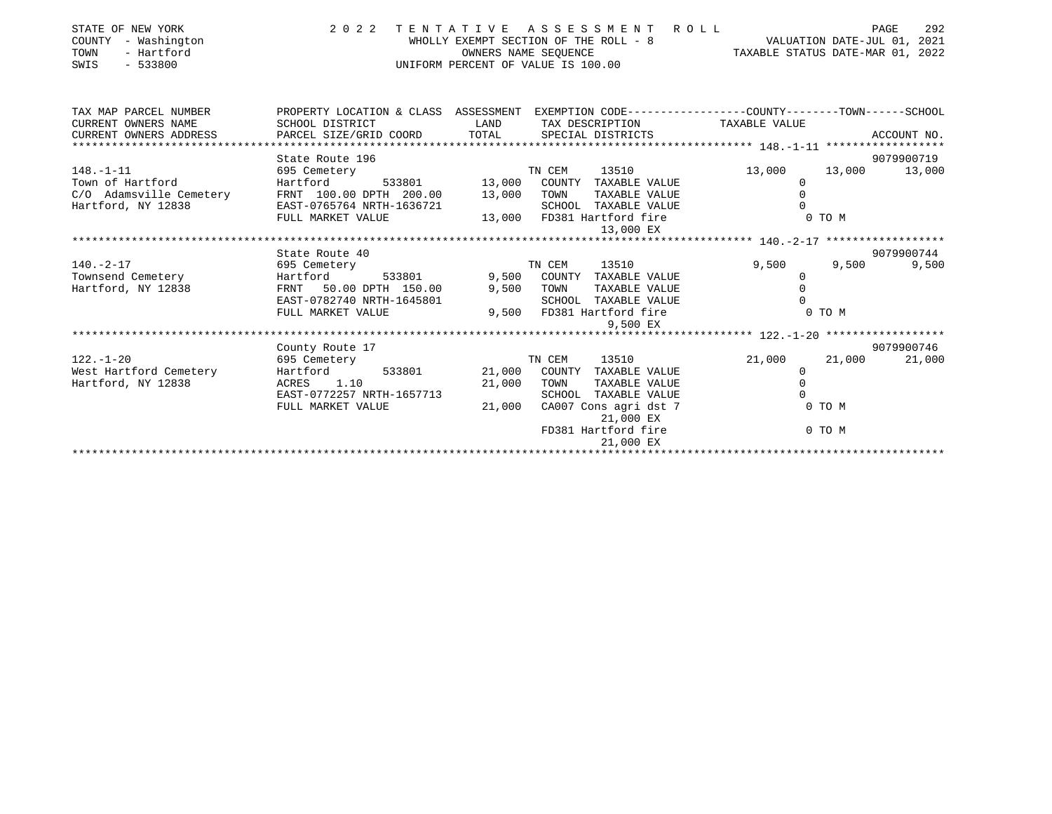| STATE OF NEW YORK<br>COUNTY<br>- Washington<br>- Hartford<br>TOWN<br>$-533800$<br>SWIS |                                                            |             | 2022 TENTATIVE ASSESSMENT ROLL<br>WHOLLY EXEMPT SECTION OF THE ROLL - 8 VALUATION DATE-JUL 01, 2021<br>OWNERS NAME SEOUENCE<br>UNIFORM PERCENT OF VALUE IS 100.00 | TAXABLE STATUS DATE-MAR 01, 2022 | 292<br>PAGE         |
|----------------------------------------------------------------------------------------|------------------------------------------------------------|-------------|-------------------------------------------------------------------------------------------------------------------------------------------------------------------|----------------------------------|---------------------|
| TAX MAP PARCEL NUMBER                                                                  |                                                            |             | PROPERTY LOCATION & CLASS ASSESSMENT EXEMPTION CODE---------------COUNTY-------TOWN-----SCHOOL                                                                    |                                  |                     |
| CURRENT OWNERS NAME<br>CURRENT OWNERS ADDRESS                                          | SCHOOL DISTRICT                                            | <b>LAND</b> | TAX DESCRIPTION TAXABLE VALUE                                                                                                                                     |                                  |                     |
|                                                                                        |                                                            |             |                                                                                                                                                                   |                                  | 9079900719          |
| $148. - 1 - 11$                                                                        |                                                            |             |                                                                                                                                                                   | 13,000                           | 13,000 13,000       |
| Town of Hartford                                                                       |                                                            |             |                                                                                                                                                                   | 0                                |                     |
| C/O Adamsville Cemetery<br>Hartford, NY 12838                                          | FRNT 100.00 DPTH 200.00 13,000 TOWN                        |             | TAXABLE VALUE                                                                                                                                                     | $\mathbf 0$                      |                     |
| Hartford, NY 12838                                                                     | EAST-0765764 NRTH-1636721                                  |             | SCHOOL TAXABLE VALUE                                                                                                                                              | $\Omega$                         |                     |
|                                                                                        | FULL MARKET VALUE                                          |             | 13,000 FD381 Hartford fire                                                                                                                                        | 0 TO M                           |                     |
|                                                                                        |                                                            |             | 13,000 EX                                                                                                                                                         |                                  |                     |
|                                                                                        |                                                            |             |                                                                                                                                                                   |                                  |                     |
| $140. -2 - 17$                                                                         | State Route 40                                             |             | TN CEM<br>13510                                                                                                                                                   | 9,500<br>9,500                   | 9079900744<br>9,500 |
| Townsend Cemetery                                                                      | 695 Cemetery<br>Hartford 533801 9,500 COUNTY TAXABLE VALUE |             |                                                                                                                                                                   | $\circ$                          |                     |
| Hartford, NY 12838                                                                     | FRNT 50.00 DPTH 150.00                                     |             | 9,500 TOWN<br>TAXABLE VALUE                                                                                                                                       | $\mathbf 0$                      |                     |
|                                                                                        | EAST-0782740 NRTH-1645801                                  |             | SCHOOL TAXABLE VALUE                                                                                                                                              | $\Omega$                         |                     |
|                                                                                        | FULL MARKET VALUE                                          |             | 9,500 FD381 Hartford fire                                                                                                                                         | 0 TO M                           |                     |
|                                                                                        |                                                            |             | 9,500 EX                                                                                                                                                          |                                  |                     |
|                                                                                        |                                                            |             |                                                                                                                                                                   |                                  |                     |
|                                                                                        | County Route 17                                            |             |                                                                                                                                                                   |                                  | 9079900746          |
| $122. - 1 - 20$                                                                        | 695 Cemetery                                               |             | TN CEM<br>13510                                                                                                                                                   | 21,000<br>21,000                 | 21,000              |
| West Hartford Cemetery                                                                 | Hartford 533801 21,000 COUNTY TAXABLE VALUE                |             |                                                                                                                                                                   | $\Omega$                         |                     |
| Hartford, NY 12838                                                                     | ACRES 1.10                                                 | 21,000 TOWN | TAXABLE VALUE                                                                                                                                                     | $\Omega$                         |                     |
|                                                                                        | EAST-0772257 NRTH-1657713                                  |             | SCHOOL TAXABLE VALUE                                                                                                                                              | $\Omega$                         |                     |
|                                                                                        | FULL MARKET VALUE                                          | 21,000      | CA007 Cons agri dst 7<br>21,000 EX                                                                                                                                | 0 TO M                           |                     |
|                                                                                        |                                                            |             | FD381 Hartford fire<br>21,000 EX                                                                                                                                  | 0 TO M                           |                     |
|                                                                                        |                                                            |             |                                                                                                                                                                   |                                  |                     |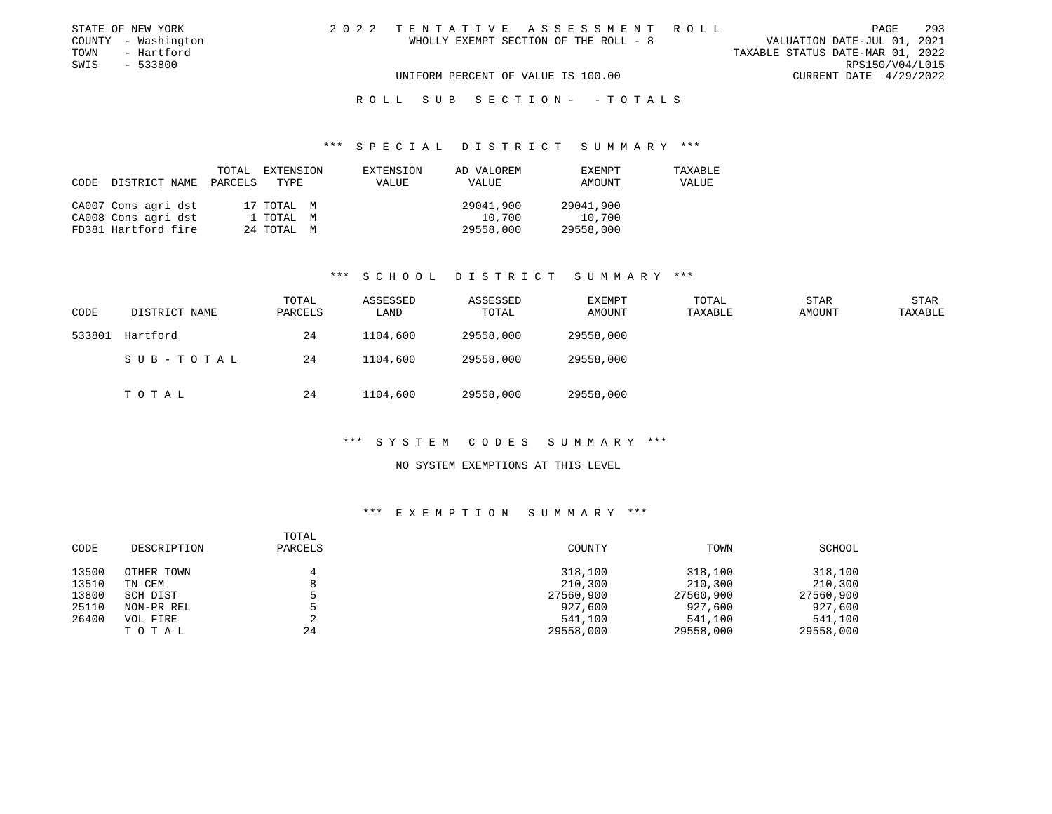| STATE OF NEW YORK   | 2022 TENTATIVE ASSESSMENT ROLL        | 293<br>PAGE                      |
|---------------------|---------------------------------------|----------------------------------|
| COUNTY - Washington | WHOLLY EXEMPT SECTION OF THE ROLL - 8 | VALUATION DATE-JUL 01, 2021      |
| TOWN<br>- Hartford  |                                       | TAXABLE STATUS DATE-MAR 01, 2022 |
| SWIS<br>- 533800    |                                       | RPS150/V04/L015                  |
|                     | UNIFORM PERCENT OF VALUE IS 100.00    | CURRENT DATE 4/29/2022           |
|                     |                                       |                                  |

#### R O L L S U B S E C T I O N - - T O T A L S

#### \*\*\* S P E C I A L D I S T R I C T S U M M A R Y \*\*\*

| CODE | DISTRICT NAME       | TOTAL<br>PARCELS | EXTENSION<br>TYPE | EXTENSION<br>VALUE | AD VALOREM<br><b>VALUE</b> | EXEMPT<br>AMOUNT | TAXABLE<br>VALUE |
|------|---------------------|------------------|-------------------|--------------------|----------------------------|------------------|------------------|
|      | CA007 Cons agri dst |                  | 17 TOTAL M        |                    | 29041,900                  | 29041,900        |                  |
|      | CA008 Cons agri dst |                  | 1 TOTAL M         |                    | 10,700                     | 10,700           |                  |
|      | FD381 Hartford fire |                  | 24 TOTAL M        |                    | 29558,000                  | 29558,000        |                  |

# \*\*\* S C H O O L D I S T R I C T S U M M A R Y \*\*\*

| CODE   | DISTRICT NAME | TOTAL<br>PARCELS | ASSESSED<br>LAND | ASSESSED<br>TOTAL | <b>EXEMPT</b><br>AMOUNT | TOTAL<br>TAXABLE | <b>STAR</b><br>AMOUNT | STAR<br>TAXABLE |
|--------|---------------|------------------|------------------|-------------------|-------------------------|------------------|-----------------------|-----------------|
| 533801 | Hartford      | 24               | 1104,600         | 29558,000         | 29558,000               |                  |                       |                 |
|        | SUB-TOTAL     | 24               | 1104,600         | 29558,000         | 29558,000               |                  |                       |                 |
|        | T O T A L     | 24               | 1104,600         | 29558,000         | 29558,000               |                  |                       |                 |

## \*\*\* S Y S T E M C O D E S S U M M A R Y \*\*\*

#### NO SYSTEM EXEMPTIONS AT THIS LEVEL

| CODE  | DESCRIPTION | TOTAL<br>PARCELS | COUNTY    | TOWN      | SCHOOL    |
|-------|-------------|------------------|-----------|-----------|-----------|
| 13500 | OTHER TOWN  |                  | 318,100   | 318,100   | 318,100   |
| 13510 | TN CEM      |                  | 210,300   | 210,300   | 210,300   |
| 13800 | SCH DIST    |                  | 27560,900 | 27560,900 | 27560,900 |
| 25110 | NON-PR REL  |                  | 927,600   | 927,600   | 927,600   |
| 26400 | VOL FIRE    |                  | 541,100   | 541,100   | 541,100   |
|       | тотаь       | 24               | 29558,000 | 29558,000 | 29558,000 |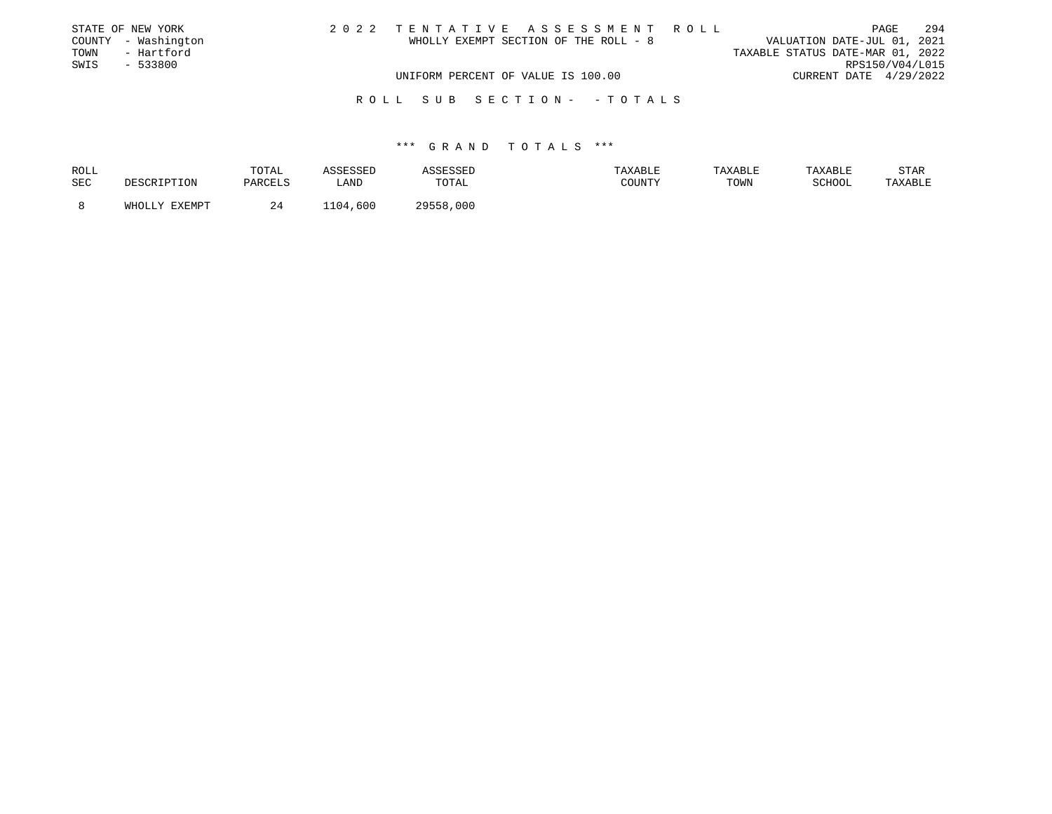|      | STATE OF NEW YORK   |                                    |  | 2022 TENTATIVE ASSESSMENT ROLL        |                                  |                        | PAGE | 294 |
|------|---------------------|------------------------------------|--|---------------------------------------|----------------------------------|------------------------|------|-----|
|      | COUNTY - Washington |                                    |  | WHOLLY EXEMPT SECTION OF THE ROLL - 8 | VALUATION DATE-JUL 01, 2021      |                        |      |     |
| TOWN | - Hartford          |                                    |  |                                       | TAXABLE STATUS DATE-MAR 01, 2022 |                        |      |     |
| SWIS | $-533800$           |                                    |  |                                       |                                  | RPS150/V04/L015        |      |     |
|      |                     | UNIFORM PERCENT OF VALUE IS 100.00 |  |                                       |                                  | CURRENT DATE 4/29/2022 |      |     |
|      |                     |                                    |  | ROLL SUB SECTION- - TOTALS            |                                  |                        |      |     |

| ROLL<br>SEC | <b>DESCRIPTION</b> | TOTAL<br>PARCELS | <i><b>SSESSED</b></i><br>LAND | ASSESSEI<br>TOTAL | TAXABLE<br>COUNTY | TAXABLE<br>TOWN | TAXABLE<br>SCHOOL | STAR<br>TAXABLE |
|-------------|--------------------|------------------|-------------------------------|-------------------|-------------------|-----------------|-------------------|-----------------|
|             | FYFMDT<br>Y.T.TOHW |                  | ,600<br>$1 \cap A$            | 29558,000         |                   |                 |                   |                 |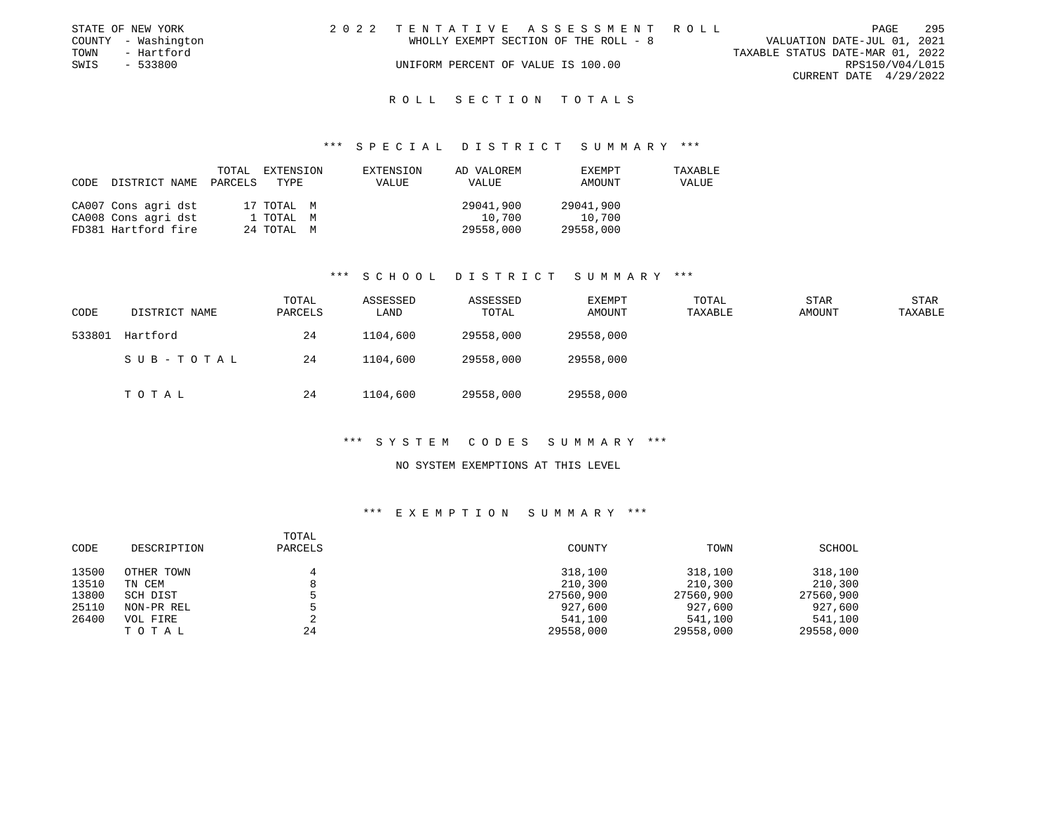|      | STATE OF NEW YORK   | 2022 TENTATIVE ASSESSMENT ROLL        |  |                                  |                        | PAGE | 295 |
|------|---------------------|---------------------------------------|--|----------------------------------|------------------------|------|-----|
|      | COUNTY - Washington | WHOLLY EXEMPT SECTION OF THE ROLL - 8 |  | VALUATION DATE-JUL 01, 2021      |                        |      |     |
| TOWN | - Hartford          |                                       |  | TAXABLE STATUS DATE-MAR 01, 2022 |                        |      |     |
| SWIS | - 533800            | UNIFORM PERCENT OF VALUE IS 100.00    |  |                                  | RPS150/V04/L015        |      |     |
|      |                     |                                       |  |                                  | CURRENT DATE 4/29/2022 |      |     |
|      |                     |                                       |  |                                  |                        |      |     |

#### R O L L S E C T I O N T O T A L S

#### \*\*\* S P E C I A L D I S T R I C T S U M M A R Y \*\*\*

| CODE | DISTRICT NAME       | TOTAL<br>PARCELS | EXTENSION<br>TYPE | EXTENSION<br>VALUE | AD VALOREM<br>VALUE | EXEMPT<br>AMOUNT | TAXABLE<br>VALUE |
|------|---------------------|------------------|-------------------|--------------------|---------------------|------------------|------------------|
|      | CA007 Cons agri dst |                  | 17 TOTAL M        |                    | 29041,900           | 29041,900        |                  |
|      | CA008 Cons agri dst |                  | 1 TOTAL M         |                    | 10,700              | 10,700           |                  |
|      | FD381 Hartford fire |                  | 24 TOTAL M        |                    | 29558,000           | 29558,000        |                  |

#### \*\*\* S C H O O L D I S T R I C T S U M M A R Y \*\*\*

| CODE   | DISTRICT NAME | TOTAL<br>PARCELS | ASSESSED<br>LAND | ASSESSED<br>TOTAL | <b>EXEMPT</b><br>AMOUNT | TOTAL<br>TAXABLE | STAR<br>AMOUNT | <b>STAR</b><br>TAXABLE |
|--------|---------------|------------------|------------------|-------------------|-------------------------|------------------|----------------|------------------------|
| 533801 | Hartford      | 24               | 1104,600         | 29558,000         | 29558,000               |                  |                |                        |
|        | SUB-TOTAL     | 24               | 1104,600         | 29558,000         | 29558,000               |                  |                |                        |
|        | TOTAL         | 24               | 1104,600         | 29558,000         | 29558,000               |                  |                |                        |

## \*\*\* S Y S T E M C O D E S S U M M A R Y \*\*\*

#### NO SYSTEM EXEMPTIONS AT THIS LEVEL

| CODE  | DESCRIPTION | TOTAL<br>PARCELS | COUNTY    | TOWN      | SCHOOL    |
|-------|-------------|------------------|-----------|-----------|-----------|
| 13500 | OTHER TOWN  |                  | 318,100   | 318,100   | 318,100   |
| 13510 | TN CEM      |                  | 210,300   | 210,300   | 210,300   |
| 13800 | SCH DIST    |                  | 27560,900 | 27560,900 | 27560,900 |
| 25110 | NON-PR REL  |                  | 927,600   | 927,600   | 927,600   |
| 26400 | VOL FIRE    |                  | 541,100   | 541,100   | 541,100   |
|       | тотаь       | 24               | 29558,000 | 29558,000 | 29558,000 |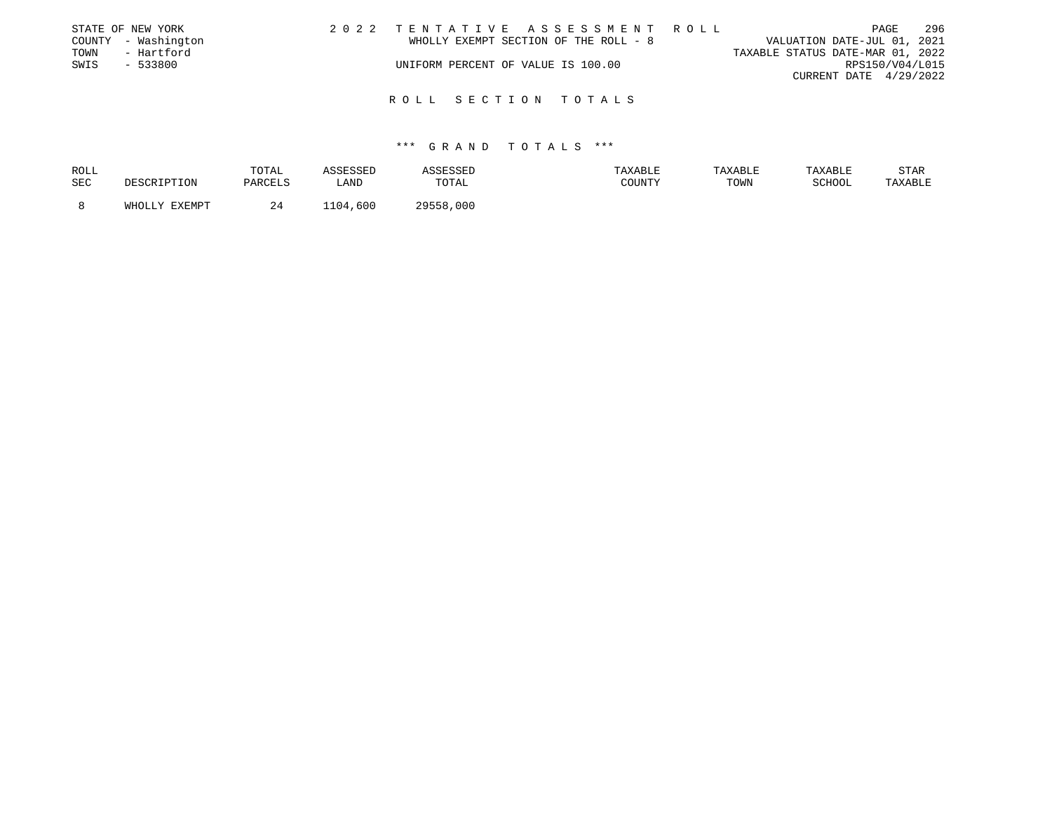|      | STATE OF NEW YORK   |                                    |  | 2022 TENTATIVE ASSESSMENT ROLL        |                                  |                        | PAGE | 296 |
|------|---------------------|------------------------------------|--|---------------------------------------|----------------------------------|------------------------|------|-----|
|      | COUNTY - Washington |                                    |  | WHOLLY EXEMPT SECTION OF THE ROLL - 8 | VALUATION DATE-JUL 01, 2021      |                        |      |     |
| TOWN | - Hartford          |                                    |  |                                       | TAXABLE STATUS DATE-MAR 01, 2022 |                        |      |     |
| SWIS | $-533800$           | UNIFORM PERCENT OF VALUE IS 100.00 |  |                                       |                                  | RPS150/V04/L015        |      |     |
|      |                     |                                    |  |                                       |                                  | CURRENT DATE 4/29/2022 |      |     |
|      |                     |                                    |  |                                       |                                  |                        |      |     |
|      |                     | ROLL SECTION TOTALS                |  |                                       |                                  |                        |      |     |

| ROLL |               | TOTAL   | ASSESSED | ASSESSED  | TAXABLE | TAXABLE | TAXABLE | <b>STAR</b> |
|------|---------------|---------|----------|-----------|---------|---------|---------|-------------|
| SEC  | DESCRIPTION   | PARCELS | LAND     | TOTAL     | COUNTY  | TOWN    | SCHOOL  | TAXABLE     |
|      |               |         |          |           |         |         |         |             |
|      | WHOLLY EXEMPT | 24      | 1104,600 | 29558,000 |         |         |         |             |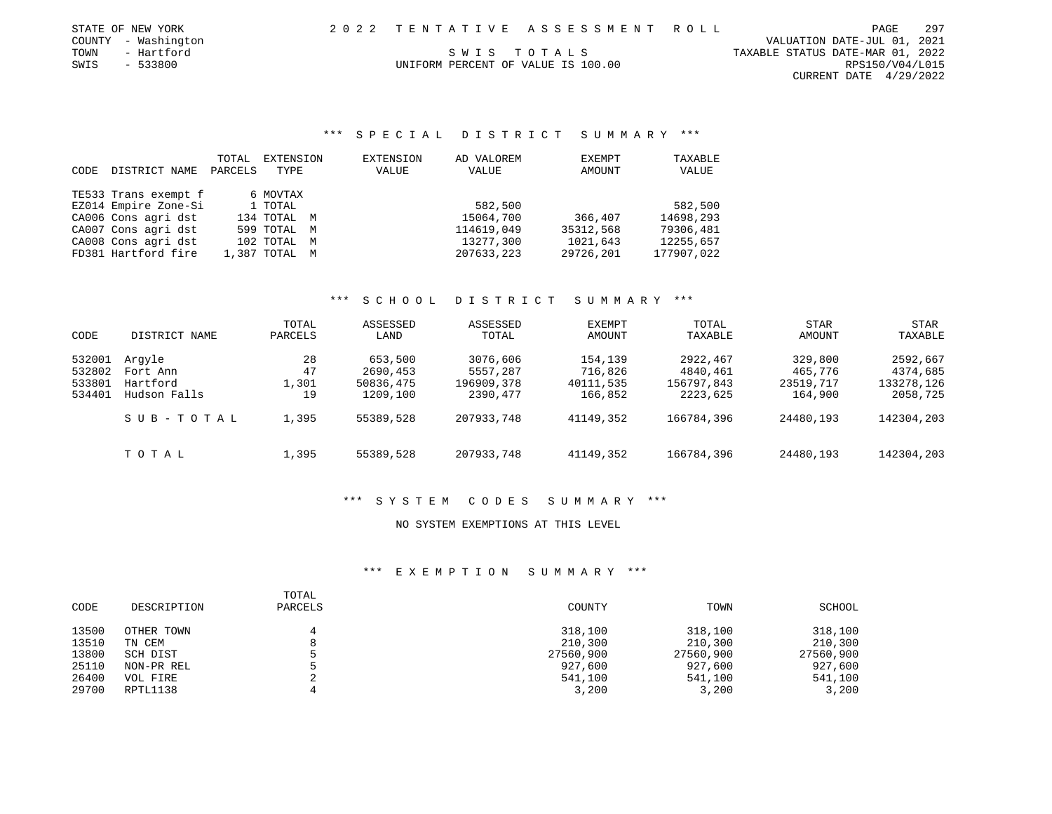| STATE OF NEW YORK   |            | 2022 TENTATIVE ASSESSMENT ROLL     |             |  |                                  | PAGE            | 297 |
|---------------------|------------|------------------------------------|-------------|--|----------------------------------|-----------------|-----|
| COUNTY - Washington |            |                                    |             |  | VALUATION DATE-JUL 01, 2021      |                 |     |
| TOWN                | - Hartford |                                    | SWIS TOTALS |  | TAXABLE STATUS DATE-MAR 01, 2022 |                 |     |
| SWIS                | - 533800   | UNIFORM PERCENT OF VALUE IS 100.00 |             |  |                                  | RPS150/V04/L015 |     |

CURRENT DATE 4/29/2022

## \*\*\* S P E C I A L D I S T R I C T S U M M A R Y \*\*\*

| CODE | DISTRICT NAME        | TOTAL<br>PARCELS | EXTENSION<br>TYPE | EXTENSION<br>VALUE | AD VALOREM<br>VALUE | EXEMPT<br>AMOUNT | TAXABLE<br>VALUE |
|------|----------------------|------------------|-------------------|--------------------|---------------------|------------------|------------------|
|      | TE533 Trans exempt f |                  | 6 MOVTAX          |                    |                     |                  |                  |
|      | EZ014 Empire Zone-Si |                  | 1 TOTAL           |                    | 582,500             |                  | 582,500          |
|      | CA006 Cons agri dst  |                  | 134 TOTAL M       |                    | 15064,700           | 366,407          | 14698,293        |
|      | CA007 Cons agri dst  |                  | 599 TOTAL M       |                    | 114619,049          | 35312,568        | 79306,481        |
|      | CA008 Cons agri dst  |                  | 102 TOTAL M       |                    | 13277,300           | 1021,643         | 12255,657        |
|      | FD381 Hartford fire  |                  | 1,387 TOTAL M     |                    | 207633,223          | 29726,201        | 177907,022       |

### \*\*\* S C H O O L D I S T R I C T S U M M A R Y \*\*\*

| CODE                                 | DISTRICT NAME                                  | TOTAL<br>PARCELS        | ASSESSED<br>LAND                             | ASSESSED<br>TOTAL                              | EXEMPT<br>AMOUNT                           | TOTAL<br>TAXABLE                               | STAR<br>AMOUNT                             | <b>STAR</b><br>TAXABLE                         |
|--------------------------------------|------------------------------------------------|-------------------------|----------------------------------------------|------------------------------------------------|--------------------------------------------|------------------------------------------------|--------------------------------------------|------------------------------------------------|
| 532001<br>532802<br>533801<br>534401 | Arqyle<br>Fort Ann<br>Hartford<br>Hudson Falls | 28<br>47<br>1,301<br>19 | 653,500<br>2690,453<br>50836,475<br>1209,100 | 3076,606<br>5557,287<br>196909,378<br>2390,477 | 154,139<br>716,826<br>40111,535<br>166,852 | 2922,467<br>4840,461<br>156797,843<br>2223,625 | 329,800<br>465,776<br>23519,717<br>164,900 | 2592,667<br>4374,685<br>133278,126<br>2058,725 |
|                                      | SUB-TOTAL                                      | 1,395                   | 55389,528                                    | 207933,748                                     | 41149,352                                  | 166784,396                                     | 24480,193                                  | 142304,203                                     |
|                                      | TOTAL                                          | 1,395                   | 55389,528                                    | 207933,748                                     | 41149,352                                  | 166784,396                                     | 24480,193                                  | 142304,203                                     |

# \*\*\* S Y S T E M C O D E S S U M M A R Y \*\*\*

# NO SYSTEM EXEMPTIONS AT THIS LEVEL

| CODE  | DESCRIPTION | TOTAL<br>PARCELS | COUNTY    | TOWN      | SCHOOL    |
|-------|-------------|------------------|-----------|-----------|-----------|
| 13500 | OTHER TOWN  | 4                | 318,100   | 318,100   | 318,100   |
| 13510 | TN CEM      | 8                | 210,300   | 210,300   | 210,300   |
| 13800 | SCH DIST    |                  | 27560,900 | 27560,900 | 27560,900 |
| 25110 | NON-PR REL  |                  | 927,600   | 927,600   | 927,600   |
| 26400 | VOL FIRE    |                  | 541,100   | 541,100   | 541,100   |
| 29700 | RPTL1138    |                  | 3,200     | 3,200     | 3,200     |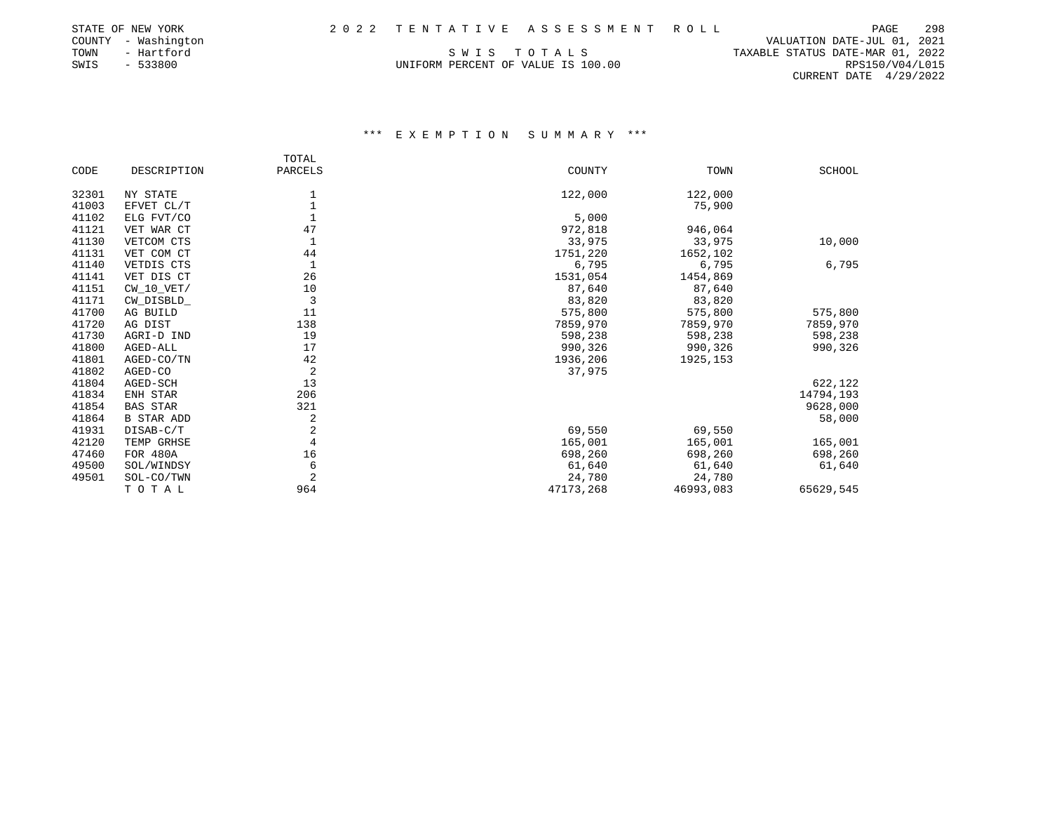| STATE OF NEW YORK   |                                    | 2022 TENTATIVE ASSESSMENT ROLL |                                  | PAGE                        | 298 |
|---------------------|------------------------------------|--------------------------------|----------------------------------|-----------------------------|-----|
| COUNTY - Washington |                                    |                                |                                  | VALUATION DATE-JUL 01, 2021 |     |
| TOWN<br>- Hartford  | SWIS TOTALS                        |                                | TAXABLE STATUS DATE-MAR 01, 2022 |                             |     |
| SWIS<br>- 533800    | UNIFORM PERCENT OF VALUE IS 100.00 |                                |                                  | RPS150/V04/L015             |     |
|                     |                                    |                                |                                  |                             |     |

CURRENT DATE 4/29/2022

|       |                 | TOTAL          |           |           |           |
|-------|-----------------|----------------|-----------|-----------|-----------|
| CODE  | DESCRIPTION     | PARCELS        | COUNTY    | TOWN      | SCHOOL    |
| 32301 | NY STATE        |                | 122,000   | 122,000   |           |
| 41003 | EFVET CL/T      |                |           | 75,900    |           |
| 41102 | ELG FVT/CO      |                | 5,000     |           |           |
| 41121 | VET WAR CT      | 47             | 972,818   | 946,064   |           |
| 41130 | VETCOM CTS      |                | 33,975    | 33,975    | 10,000    |
| 41131 | VET COM CT      | 44             | 1751,220  | 1652,102  |           |
| 41140 | VETDIS CTS      |                | 6,795     | 6,795     | 6,795     |
| 41141 | VET DIS CT      | 26             | 1531,054  | 1454,869  |           |
| 41151 | $CW_10_VET/$    | 10             | 87,640    | 87,640    |           |
| 41171 | CW_DISBLD_      | 3              | 83,820    | 83,820    |           |
| 41700 | AG BUILD        | 11             | 575,800   | 575,800   | 575,800   |
| 41720 | AG DIST         | 138            | 7859,970  | 7859,970  | 7859,970  |
| 41730 | AGRI-D IND      | 19             | 598,238   | 598,238   | 598,238   |
| 41800 | AGED-ALL        | 17             | 990,326   | 990,326   | 990,326   |
| 41801 | AGED-CO/TN      | 42             | 1936,206  | 1925,153  |           |
| 41802 | AGED-CO         | $\overline{2}$ | 37,975    |           |           |
| 41804 | AGED-SCH        | 13             |           |           | 622,122   |
| 41834 | ENH STAR        | 206            |           |           | 14794,193 |
| 41854 | BAS STAR        | 321            |           |           | 9628,000  |
| 41864 | B STAR ADD      | 2              |           |           | 58,000    |
| 41931 | DISAB-C/T       | 2              | 69,550    | 69,550    |           |
| 42120 | TEMP GRHSE      | 4              | 165,001   | 165,001   | 165,001   |
| 47460 | <b>FOR 480A</b> | 16             | 698,260   | 698,260   | 698,260   |
| 49500 | SOL/WINDSY      | 6              | 61,640    | 61,640    | 61,640    |
| 49501 | SOL-CO/TWN      | $\overline{2}$ | 24,780    | 24,780    |           |
|       | TOTAL           | 964            | 47173,268 | 46993,083 | 65629,545 |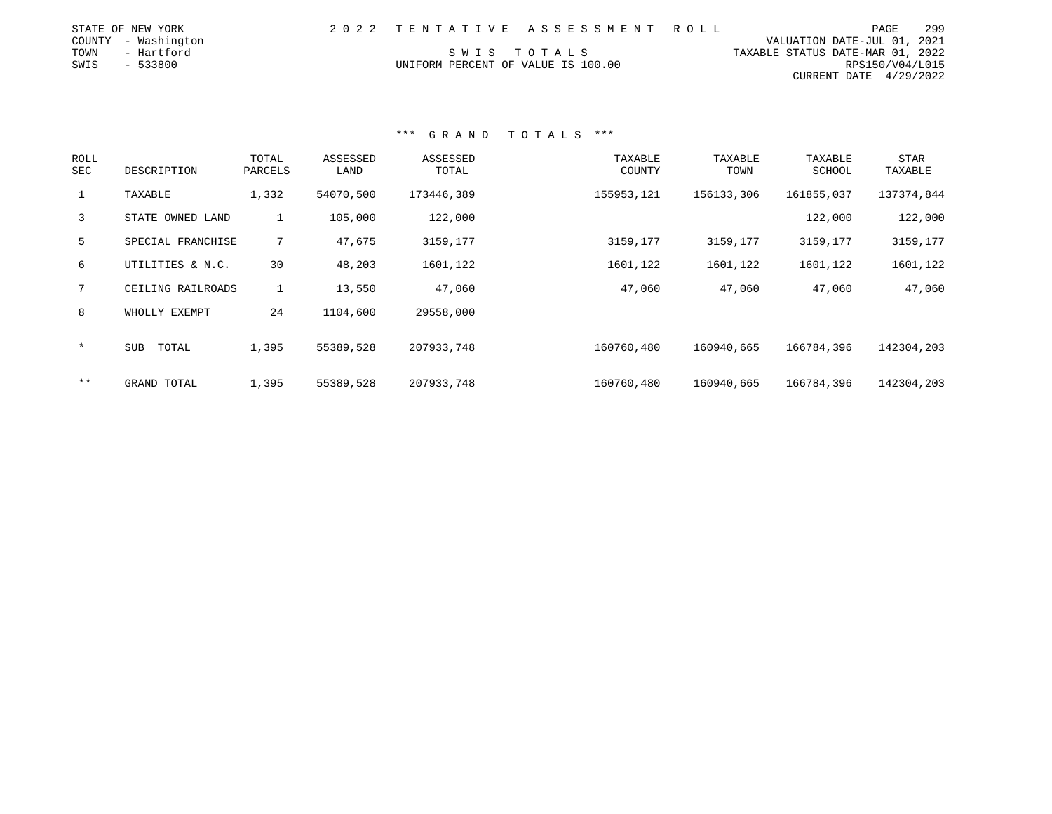| STATE OF NEW YORK   |                                    | 2022 TENTATIVE ASSESSMENT ROLL |                                  | PAGE                        | 299 |
|---------------------|------------------------------------|--------------------------------|----------------------------------|-----------------------------|-----|
| COUNTY - Washington |                                    |                                |                                  | VALUATION DATE-JUL 01, 2021 |     |
| TOWN<br>- Hartford  |                                    | SWIS TOTALS                    | TAXABLE STATUS DATE-MAR 01, 2022 |                             |     |
| SWIS<br>- 533800    | UNIFORM PERCENT OF VALUE IS 100.00 |                                |                                  | RPS150/V04/L015             |     |
|                     |                                    |                                |                                  | CURRENT DATE $4/29/2022$    |     |

| ROLL<br>SEC    | DESCRIPTION       | TOTAL<br>PARCELS | ASSESSED<br>LAND | ASSESSED<br>TOTAL | TAXABLE<br>COUNTY | TAXABLE<br>TOWN | TAXABLE<br>SCHOOL | <b>STAR</b><br>TAXABLE |
|----------------|-------------------|------------------|------------------|-------------------|-------------------|-----------------|-------------------|------------------------|
| 1              | TAXABLE           | 1,332            | 54070,500        | 173446,389        | 155953,121        | 156133,306      | 161855,037        | 137374,844             |
| $\overline{3}$ | STATE OWNED LAND  |                  | 105,000          | 122,000           |                   |                 | 122,000           | 122,000                |
| 5              | SPECIAL FRANCHISE | 7                | 47,675           | 3159,177          | 3159,177          | 3159,177        | 3159,177          | 3159,177               |
| 6              | UTILITIES & N.C.  | 30               | 48,203           | 1601,122          | 1601,122          | 1601,122        | 1601,122          | 1601,122               |
| $7^{\circ}$    | CEILING RAILROADS |                  | 13,550           | 47,060            | 47,060            | 47,060          | 47,060            | 47,060                 |
| 8              | WHOLLY EXEMPT     | 24               | 1104,600         | 29558,000         |                   |                 |                   |                        |
| $\star$        | SUB<br>TOTAL      | 1,395            | 55389,528        | 207933,748        | 160760,480        | 160940,665      | 166784,396        | 142304,203             |
| $* *$          | GRAND TOTAL       | 1,395            | 55389,528        | 207933,748        | 160760,480        | 160940,665      | 166784,396        | 142304,203             |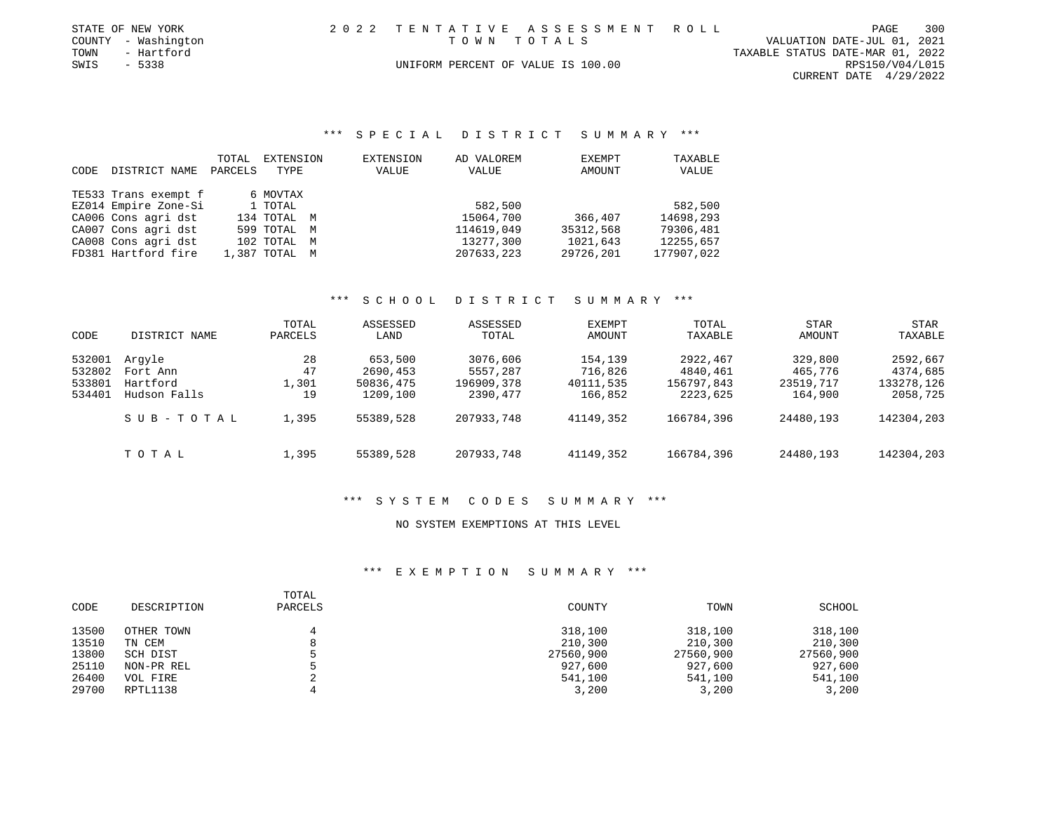|      | STATE OF NEW YORK   |                                    | 2022 TENTATIVE ASSESSMENT ROLL |                                  | PAGE                     | 300 |
|------|---------------------|------------------------------------|--------------------------------|----------------------------------|--------------------------|-----|
|      | COUNTY - Washington | TOWN TOTALS                        |                                | VALUATION DATE-JUL 01, 2021      |                          |     |
| TOWN | - Hartford          |                                    |                                | TAXABLE STATUS DATE-MAR 01, 2022 |                          |     |
| SWIS | $-5338$             | UNIFORM PERCENT OF VALUE IS 100.00 |                                |                                  | RPS150/V04/L015          |     |
|      |                     |                                    |                                |                                  | CURRENT DATE $4/29/2022$ |     |

# \*\*\* S P E C I A L D I S T R I C T S U M M A R Y \*\*\*

|      |                      | TOTAL   | EXTENSION     | EXTENSION | AD VALOREM | <b>EXEMPT</b> | TAXABLE    |
|------|----------------------|---------|---------------|-----------|------------|---------------|------------|
| CODE | DISTRICT NAME        | PARCELS | TYPE          | VALUE     | VALUE      | AMOUNT        | VALUE      |
|      | TE533 Trans exempt f |         | 6 MOVTAX      |           |            |               |            |
|      |                      |         |               |           |            |               |            |
|      | EZ014 Empire Zone-Si |         | 1 TOTAL       |           | 582,500    |               | 582,500    |
|      | CA006 Cons agri dst  |         | 134 TOTAL M   |           | 15064,700  | 366,407       | 14698,293  |
|      | CA007 Cons agri dst  |         | 599 TOTAL M   |           | 114619,049 | 35312,568     | 79306,481  |
|      | CA008 Cons agri dst  |         | 102 TOTAL M   |           | 13277,300  | 1021,643      | 12255,657  |
|      | FD381 Hartford fire  |         | 1,387 TOTAL M |           | 207633,223 | 29726,201     | 177907,022 |

#### \*\*\* S C H O O L D I S T R I C T S U M M A R Y \*\*\*

| CODE                                 | DISTRICT NAME                                  | TOTAL<br>PARCELS        | ASSESSED<br>LAND                             | ASSESSED<br>TOTAL                              | EXEMPT<br>AMOUNT                           | TOTAL<br>TAXABLE                               | <b>STAR</b><br>AMOUNT                      | <b>STAR</b><br>TAXABLE                         |
|--------------------------------------|------------------------------------------------|-------------------------|----------------------------------------------|------------------------------------------------|--------------------------------------------|------------------------------------------------|--------------------------------------------|------------------------------------------------|
| 532001<br>532802<br>533801<br>534401 | Arqyle<br>Fort Ann<br>Hartford<br>Hudson Falls | 28<br>47<br>1,301<br>19 | 653,500<br>2690,453<br>50836,475<br>1209,100 | 3076,606<br>5557,287<br>196909,378<br>2390,477 | 154,139<br>716,826<br>40111,535<br>166,852 | 2922,467<br>4840,461<br>156797,843<br>2223,625 | 329,800<br>465,776<br>23519,717<br>164,900 | 2592,667<br>4374,685<br>133278,126<br>2058,725 |
|                                      | SUB-TOTAL                                      | 1,395                   | 55389,528                                    | 207933,748                                     | 41149,352                                  | 166784,396                                     | 24480,193                                  | 142304,203                                     |
|                                      | TOTAL                                          | 1,395                   | 55389,528                                    | 207933,748                                     | 41149,352                                  | 166784,396                                     | 24480,193                                  | 142304,203                                     |

### \*\*\* S Y S T E M C O D E S S U M M A R Y \*\*\*

## NO SYSTEM EXEMPTIONS AT THIS LEVEL

| CODE  | DESCRIPTION | TOTAL<br>PARCELS | COUNTY    | TOWN      | SCHOOL    |
|-------|-------------|------------------|-----------|-----------|-----------|
| 13500 | OTHER TOWN  | 4                | 318,100   | 318,100   | 318,100   |
| 13510 | TN CEM      | 8                | 210,300   | 210,300   | 210,300   |
| 13800 | SCH DIST    |                  | 27560,900 | 27560,900 | 27560,900 |
| 25110 | NON-PR REL  |                  | 927,600   | 927,600   | 927,600   |
| 26400 | VOL FIRE    |                  | 541,100   | 541,100   | 541,100   |
| 29700 | RPTL1138    |                  | 3,200     | 3,200     | 3,200     |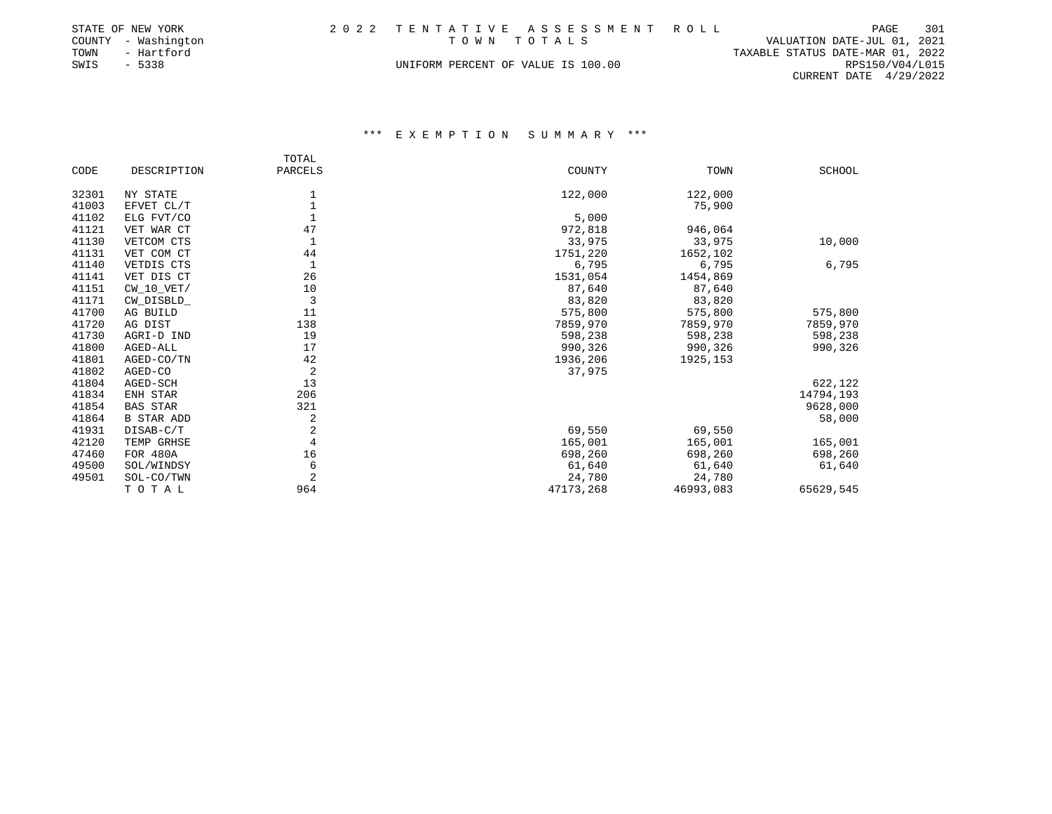|      | STATE OF NEW YORK   |                                    | 2022 TENTATIVE ASSESSMENT ROLL |                                  | PAGE                   | 301 |
|------|---------------------|------------------------------------|--------------------------------|----------------------------------|------------------------|-----|
|      | COUNTY - Washington | TOWN TOTALS                        |                                | VALUATION DATE-JUL 01, 2021      |                        |     |
| TOWN | - Hartford          |                                    |                                | TAXABLE STATUS DATE-MAR 01, 2022 |                        |     |
| SWIS | - 5338              | UNIFORM PERCENT OF VALUE IS 100.00 |                                |                                  | RPS150/V04/L015        |     |
|      |                     |                                    |                                |                                  | CURRENT DATE 4/29/2022 |     |

|       |                   | TOTAL          |           |           |               |
|-------|-------------------|----------------|-----------|-----------|---------------|
| CODE  | DESCRIPTION       | PARCELS        | COUNTY    | TOWN      | <b>SCHOOL</b> |
| 32301 | NY STATE          |                | 122,000   | 122,000   |               |
| 41003 | EFVET CL/T        |                |           | 75,900    |               |
| 41102 | ELG FVT/CO        |                | 5,000     |           |               |
| 41121 | VET WAR CT        | 47             | 972,818   | 946,064   |               |
| 41130 | VETCOM CTS        | $\mathbf{1}$   | 33,975    | 33,975    | 10,000        |
| 41131 | VET COM CT        | 44             | 1751,220  | 1652,102  |               |
| 41140 | VETDIS CTS        | $\mathbf{1}$   | 6,795     | 6,795     | 6,795         |
| 41141 | VET DIS CT        | 26             | 1531,054  | 1454,869  |               |
| 41151 | $CW_10_VET/$      | 10             | 87,640    | 87,640    |               |
| 41171 | CW_DISBLD_        | 3              | 83,820    | 83,820    |               |
| 41700 | AG BUILD          | 11             | 575,800   | 575,800   | 575,800       |
| 41720 | AG DIST           | 138            | 7859,970  | 7859,970  | 7859,970      |
| 41730 | AGRI-D IND        | 19             | 598,238   | 598,238   | 598,238       |
| 41800 | AGED-ALL          | 17             | 990,326   | 990,326   | 990,326       |
| 41801 | AGED-CO/TN        | 42             | 1936,206  | 1925, 153 |               |
| 41802 | AGED-CO           | $\overline{2}$ | 37,975    |           |               |
| 41804 | AGED-SCH          | 13             |           |           | 622,122       |
| 41834 | ENH STAR          | 206            |           |           | 14794,193     |
| 41854 | BAS STAR          | 321            |           |           | 9628,000      |
| 41864 | <b>B STAR ADD</b> | 2              |           |           | 58,000        |
| 41931 | DISAB-C/T         | 2              | 69,550    | 69,550    |               |
| 42120 | TEMP GRHSE        | $\overline{4}$ | 165,001   | 165,001   | 165,001       |
| 47460 | FOR 480A          | 16             | 698,260   | 698,260   | 698,260       |
| 49500 | SOL/WINDSY        | 6              | 61,640    | 61,640    | 61,640        |
| 49501 | SOL-CO/TWN        | $\overline{2}$ | 24,780    | 24,780    |               |
|       | TOTAL             | 964            | 47173,268 | 46993,083 | 65629,545     |